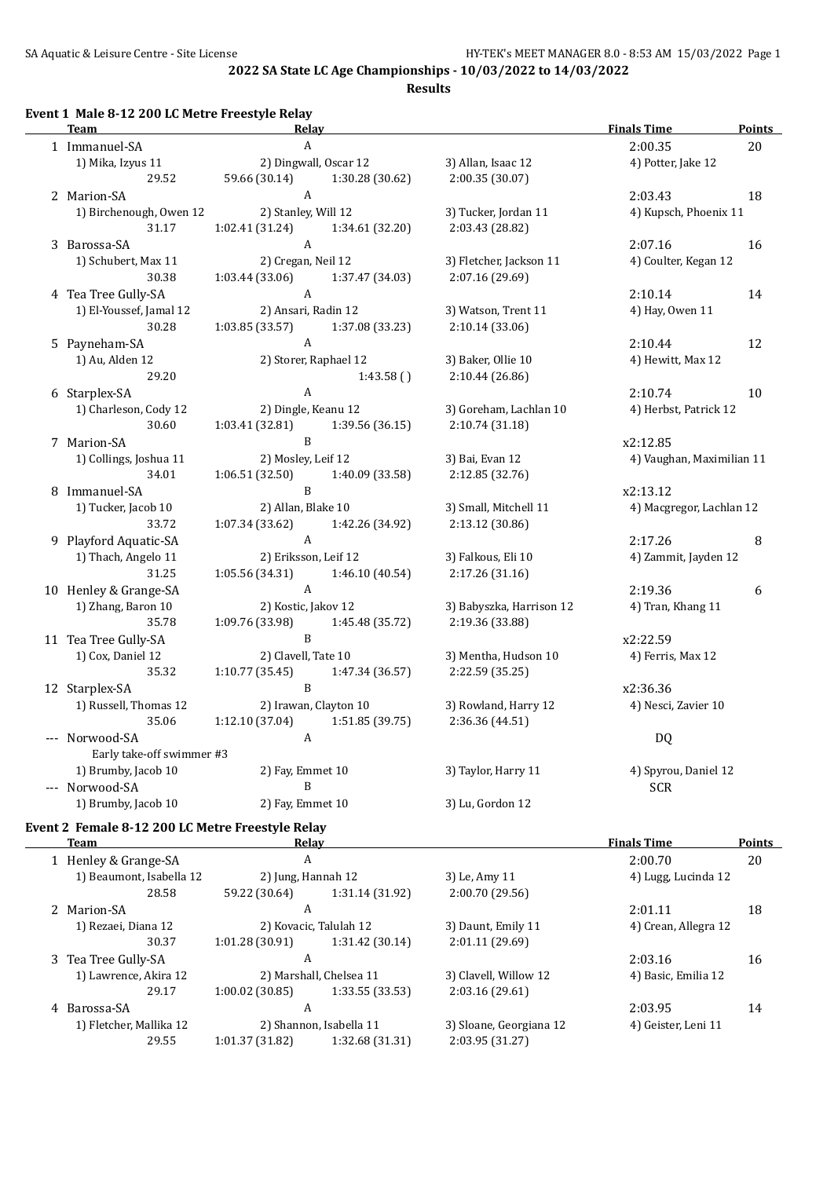**Results**

#### **Event 1 Male 8-12 200 LC Metre Freestyle Relay**

|   | <b>Team</b>                             | Relay                          |                 |                          | <b>Finals Time</b>        | <b>Points</b> |
|---|-----------------------------------------|--------------------------------|-----------------|--------------------------|---------------------------|---------------|
|   | 1 Immanuel-SA                           | A                              |                 |                          | 2:00.35                   | 20            |
|   | 1) Mika, Izyus 11                       | 2) Dingwall, Oscar 12          |                 | 3) Allan, Isaac 12       | 4) Potter, Jake 12        |               |
|   | 29.52                                   | 59.66 (30.14)                  | 1:30.28 (30.62) | 2:00.35 (30.07)          |                           |               |
|   | 2 Marion-SA                             | A                              |                 |                          | 2:03.43                   | 18            |
|   | 1) Birchenough, Owen 12                 | 2) Stanley, Will 12            |                 | 3) Tucker, Jordan 11     | 4) Kupsch, Phoenix 11     |               |
|   | 31.17                                   | 1:02.41 (31.24)                | 1:34.61 (32.20) | 2:03.43 (28.82)          |                           |               |
|   | 3 Barossa-SA                            | A                              |                 |                          | 2:07.16                   | 16            |
|   | 1) Schubert, Max 11                     | 2) Cregan, Neil 12             |                 | 3) Fletcher, Jackson 11  | 4) Coulter, Kegan 12      |               |
|   | 30.38                                   | 1:03.44 (33.06)                | 1:37.47 (34.03) | 2:07.16 (29.69)          |                           |               |
|   | 4 Tea Tree Gully-SA                     | $\mathbf{A}$                   |                 |                          | 2:10.14                   | 14            |
|   | 1) El-Youssef, Jamal 12                 | 2) Ansari, Radin 12            |                 | 3) Watson, Trent 11      | 4) Hay, Owen 11           |               |
|   | 30.28                                   | 1:03.85 (33.57)                | 1:37.08 (33.23) | 2:10.14(33.06)           |                           |               |
|   | 5 Payneham-SA                           | $\mathbf{A}$                   |                 |                          | 2:10.44                   | 12            |
|   | 1) Au, Alden 12                         | 2) Storer, Raphael 12          |                 | 3) Baker, Ollie 10       | 4) Hewitt, Max 12         |               |
|   | 29.20                                   |                                | 1:43.58()       | 2:10.44(26.86)           |                           |               |
|   | 6 Starplex-SA                           | $\mathbf{A}$                   |                 |                          | 2:10.74                   | 10            |
|   | 1) Charleson, Cody 12                   | 2) Dingle, Keanu 12            |                 | 3) Goreham, Lachlan 10   | 4) Herbst, Patrick 12     |               |
|   | 30.60                                   | 1:03.41 (32.81)                | 1:39.56 (36.15) | 2:10.74 (31.18)          |                           |               |
|   | 7 Marion-SA                             | B                              |                 |                          | x2:12.85                  |               |
|   | 1) Collings, Joshua 11                  | 2) Mosley, Leif 12             |                 | 3) Bai, Evan 12          | 4) Vaughan, Maximilian 11 |               |
|   | 34.01                                   | 1:06.51(32.50)                 | 1:40.09 (33.58) | 2:12.85 (32.76)          |                           |               |
| 8 | Immanuel-SA                             | B                              |                 |                          | x2:13.12                  |               |
|   | 1) Tucker, Jacob 10                     | 2) Allan, Blake 10             |                 | 3) Small, Mitchell 11    | 4) Macgregor, Lachlan 12  |               |
|   | 33.72                                   | 1:07.34 (33.62)                | 1:42.26 (34.92) | 2:13.12 (30.86)          |                           |               |
|   | 9 Playford Aquatic-SA                   | A                              |                 |                          | 2:17.26                   | 8             |
|   | 1) Thach, Angelo 11                     | 2) Eriksson, Leif 12           |                 | 3) Falkous, Eli 10       | 4) Zammit, Jayden 12      |               |
|   | 31.25                                   | 1:05.56 (34.31)                | 1:46.10 (40.54) | 2:17.26 (31.16)          |                           |               |
|   | 10 Henley & Grange-SA                   | $\mathbf{A}$                   |                 |                          | 2:19.36                   | 6             |
|   | 1) Zhang, Baron 10                      | 2) Kostic, Jakov 12            |                 | 3) Babyszka, Harrison 12 | 4) Tran, Khang 11         |               |
|   | 35.78                                   | 1:09.76 (33.98)<br>$\mathbf B$ | 1:45.48 (35.72) | 2:19.36 (33.88)          |                           |               |
|   | 11 Tea Tree Gully-SA                    |                                |                 |                          | x2:22.59                  |               |
|   | 1) Cox, Daniel 12<br>35.32              | 2) Clavell, Tate 10            |                 | 3) Mentha, Hudson 10     | 4) Ferris, Max 12         |               |
|   |                                         | 1:10.77 (35.45)<br>B           | 1:47.34 (36.57) | 2:22.59 (35.25)          | x2:36.36                  |               |
|   | 12 Starplex-SA<br>1) Russell, Thomas 12 | 2) Irawan, Clayton 10          |                 | 3) Rowland, Harry 12     |                           |               |
|   | 35.06                                   | 1:12.10 (37.04)                | 1:51.85 (39.75) | 2:36.36 (44.51)          | 4) Nesci, Zavier 10       |               |
|   | --- Norwood-SA                          | A                              |                 |                          | <b>DQ</b>                 |               |
|   | Early take-off swimmer #3               |                                |                 |                          |                           |               |
|   | 1) Brumby, Jacob 10                     | 2) Fay, Emmet 10               |                 | 3) Taylor, Harry 11      | 4) Spyrou, Daniel 12      |               |
|   | --- Norwood-SA                          | B                              |                 |                          | <b>SCR</b>                |               |
|   | 1) Brumby, Jacob 10                     | 2) Fay, Emmet 10               |                 | 3) Lu, Gordon 12         |                           |               |
|   |                                         |                                |                 |                          |                           |               |

# **Event 2 Female 8-12 200 LC Metre Freestyle Relay**

| Team                     |                                                                            |                 |                                                                                                                                 | <b>Finals Time</b>  | <b>Points</b>                               |
|--------------------------|----------------------------------------------------------------------------|-----------------|---------------------------------------------------------------------------------------------------------------------------------|---------------------|---------------------------------------------|
|                          |                                                                            |                 |                                                                                                                                 | 2:00.70             | 20                                          |
| 1) Beaumont, Isabella 12 |                                                                            |                 | 3) Le, Amy 11                                                                                                                   |                     |                                             |
| 28.58                    | 59.22 (30.64)                                                              | 1:31.14 (31.92) | 2:00.70 (29.56)                                                                                                                 |                     |                                             |
|                          |                                                                            |                 |                                                                                                                                 | 2:01.11             | 18                                          |
| 1) Rezaei, Diana 12      |                                                                            |                 | 3) Daunt, Emily 11                                                                                                              |                     |                                             |
| 30.37                    | 1:01.28(30.91)                                                             | 1:31.42(30.14)  | 2:01.11 (29.69)                                                                                                                 |                     |                                             |
|                          |                                                                            |                 |                                                                                                                                 | 2:03.16             | 16                                          |
| 1) Lawrence, Akira 12    |                                                                            |                 | 3) Clavell, Willow 12                                                                                                           | 4) Basic, Emilia 12 |                                             |
| 29.17                    | $1:00.02$ (30.85)                                                          | 1:33.55(33.53)  | 2:03.16(29.61)                                                                                                                  |                     |                                             |
|                          |                                                                            |                 |                                                                                                                                 | 2:03.95             | 14                                          |
| 1) Fletcher, Mallika 12  |                                                                            |                 | 3) Sloane, Georgiana 12                                                                                                         | 4) Geister, Leni 11 |                                             |
| 29.55                    | 1:01.37 (31.82)                                                            | 1:32.68 (31.31) | 2:03.95 (31.27)                                                                                                                 |                     |                                             |
|                          | 1 Henley & Grange-SA<br>2 Marion-SA<br>3 Tea Tree Gully-SA<br>4 Barossa-SA |                 | Relav<br>A<br>2) Jung, Hannah 12<br>A<br>2) Kovacic, Talulah 12<br>A<br>2) Marshall, Chelsea 11<br>A<br>2) Shannon, Isabella 11 |                     | 4) Lugg, Lucinda 12<br>4) Crean, Allegra 12 |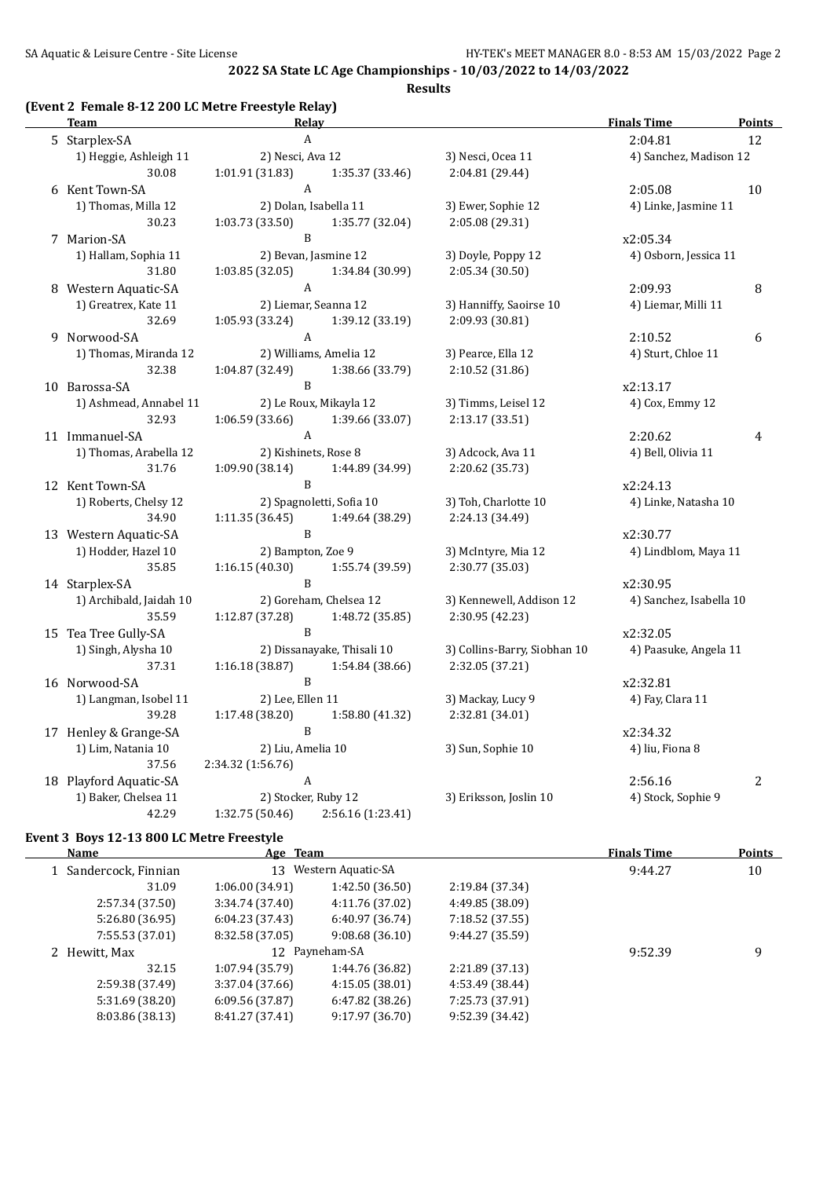**Results**

#### **(Event 2 Female 8-12 200 LC Metre Freestyle Relay)**

| <u>Team</u>             | <b>Relay</b>                        |                              | <b>Finals Time</b>      | <u>Points</u> |
|-------------------------|-------------------------------------|------------------------------|-------------------------|---------------|
| 5 Starplex-SA           | $\boldsymbol{A}$                    |                              | 2:04.81                 | 12            |
| 1) Heggie, Ashleigh 11  | 2) Nesci, Ava 12                    | 3) Nesci, Ocea 11            | 4) Sanchez, Madison 12  |               |
| 30.08                   | 1:01.91 (31.83)<br>1:35.37 (33.46)  | 2:04.81 (29.44)              |                         |               |
| 6 Kent Town-SA          | $\mathbf{A}$                        |                              | 2:05.08                 | 10            |
| 1) Thomas, Milla 12     | 2) Dolan, Isabella 11               | 3) Ewer, Sophie 12           | 4) Linke, Jasmine 11    |               |
| 30.23                   | 1:03.73(33.50)<br>1:35.77 (32.04)   | 2:05.08 (29.31)              |                         |               |
| 7 Marion-SA             | B                                   |                              | x2:05.34                |               |
| 1) Hallam, Sophia 11    | 2) Bevan, Jasmine 12                | 3) Doyle, Poppy 12           | 4) Osborn, Jessica 11   |               |
| 31.80                   | 1:03.85(32.05)<br>1:34.84 (30.99)   | 2:05.34 (30.50)              |                         |               |
| 8 Western Aquatic-SA    | $\boldsymbol{A}$                    |                              | 2:09.93                 | 8             |
| 1) Greatrex, Kate 11    | 2) Liemar, Seanna 12                | 3) Hanniffy, Saoirse 10      | 4) Liemar, Milli 11     |               |
| 32.69                   | 1:05.93 (33.24)<br>1:39.12 (33.19)  | 2:09.93 (30.81)              |                         |               |
| 9 Norwood-SA            | $\mathbf{A}$                        |                              | 2:10.52                 | 6             |
| 1) Thomas, Miranda 12   | 2) Williams, Amelia 12              | 3) Pearce, Ella 12           | 4) Sturt, Chloe 11      |               |
| 32.38                   | 1:04.87 (32.49)<br>1:38.66 (33.79)  | 2:10.52 (31.86)              |                         |               |
| 10 Barossa-SA           | $\mathbf{B}$                        |                              | x2:13.17                |               |
| 1) Ashmead, Annabel 11  | 2) Le Roux, Mikayla 12              | 3) Timms, Leisel 12          | 4) Cox, Emmy 12         |               |
| 32.93                   | 1:06.59 (33.66)<br>1:39.66 (33.07)  | 2:13.17 (33.51)              |                         |               |
| 11 Immanuel-SA          | $\mathbf{A}$                        |                              | 2:20.62                 | 4             |
| 1) Thomas, Arabella 12  | 2) Kishinets, Rose 8                | 3) Adcock, Ava 11            | 4) Bell, Olivia 11      |               |
| 31.76                   | 1:09.90(38.14)<br>1:44.89 (34.99)   | 2:20.62 (35.73)              |                         |               |
| 12 Kent Town-SA         | $\, {\bf B}$                        |                              | x2:24.13                |               |
| 1) Roberts, Chelsy 12   | 2) Spagnoletti, Sofia 10            | 3) Toh, Charlotte 10         | 4) Linke, Natasha 10    |               |
| 34.90                   | 1:11.35(36.45)<br>1:49.64 (38.29)   | 2:24.13 (34.49)              |                         |               |
| 13 Western Aquatic-SA   | $\, {\bf B}$                        |                              | x2:30.77                |               |
| 1) Hodder, Hazel 10     | 2) Bampton, Zoe 9                   | 3) McIntyre, Mia 12          | 4) Lindblom, Maya 11    |               |
| 35.85                   | 1:16.15(40.30)<br>1:55.74 (39.59)   | 2:30.77 (35.03)              |                         |               |
| 14 Starplex-SA          | B                                   |                              | x2:30.95                |               |
| 1) Archibald, Jaidah 10 | 2) Goreham, Chelsea 12              | 3) Kennewell, Addison 12     | 4) Sanchez, Isabella 10 |               |
| 35.59                   | 1:12.87 (37.28)<br>1:48.72 (35.85)  | 2:30.95 (42.23)              |                         |               |
| 15 Tea Tree Gully-SA    | $\, {\bf B}$                        |                              | x2:32.05                |               |
| 1) Singh, Alysha 10     | 2) Dissanayake, Thisali 10          | 3) Collins-Barry, Siobhan 10 | 4) Paasuke, Angela 11   |               |
| 37.31                   | 1:16.18(38.87)<br>1:54.84 (38.66)   | 2:32.05 (37.21)              |                         |               |
| 16 Norwood-SA           | $\mathbf B$                         |                              | x2:32.81                |               |
| 1) Langman, Isobel 11   | 2) Lee, Ellen 11                    | 3) Mackay, Lucy 9            | 4) Fay, Clara 11        |               |
| 39.28                   | 1:17.48 (38.20)<br>1:58.80 (41.32)  | 2:32.81 (34.01)              |                         |               |
| 17 Henley & Grange-SA   | B                                   |                              | x2:34.32                |               |
| 1) Lim, Natania 10      | 2) Liu, Amelia 10                   | 3) Sun, Sophie 10            | 4) liu, Fiona 8         |               |
| 37.56                   | 2:34.32 (1:56.76)                   |                              |                         |               |
| 18 Playford Aquatic-SA  | $\mathbf{A}$                        |                              | 2:56.16                 | 2             |
| 1) Baker, Chelsea 11    | 2) Stocker, Ruby 12                 | 3) Eriksson, Joslin 10       | 4) Stock, Sophie 9      |               |
| 42.29                   | 1:32.75(50.46)<br>2:56.16 (1:23.41) |                              |                         |               |
|                         |                                     |                              |                         |               |

#### **Event 3 Boys 12-13 800 LC Metre Freestyle**

| Name                  | Age Team        |                    |                 | <b>Finals Time</b> | <b>Points</b> |
|-----------------------|-----------------|--------------------|-----------------|--------------------|---------------|
| 1 Sandercock, Finnian | 13              | Western Aquatic-SA |                 | 9:44.27            | 10            |
| 31.09                 | 1:06.00(34.91)  | 1:42.50 (36.50)    | 2:19.84 (37.34) |                    |               |
| 2:57.34 (37.50)       | 3:34.74(37.40)  | 4:11.76 (37.02)    | 4:49.85 (38.09) |                    |               |
| 5:26.80 (36.95)       | 6:04.23(37.43)  | 6:40.97 (36.74)    | 7:18.52 (37.55) |                    |               |
| 7:55.53 (37.01)       | 8:32.58 (37.05) | 9:08.68(36.10)     | 9:44.27 (35.59) |                    |               |
| 2 Hewitt, Max         |                 | 12 Payneham-SA     |                 | 9:52.39            | 9             |
| 32.15                 | 1:07.94(35.79)  | 1:44.76 (36.82)    | 2:21.89 (37.13) |                    |               |
| 2:59.38 (37.49)       | 3:37.04 (37.66) | 4:15.05(38.01)     | 4:53.49 (38.44) |                    |               |
| 5:31.69 (38.20)       | 6:09.56(37.87)  | 6:47.82(38.26)     | 7:25.73 (37.91) |                    |               |
| 8:03.86 (38.13)       | 8:41.27 (37.41) | 9:17.97 (36.70)    | 9:52.39 (34.42) |                    |               |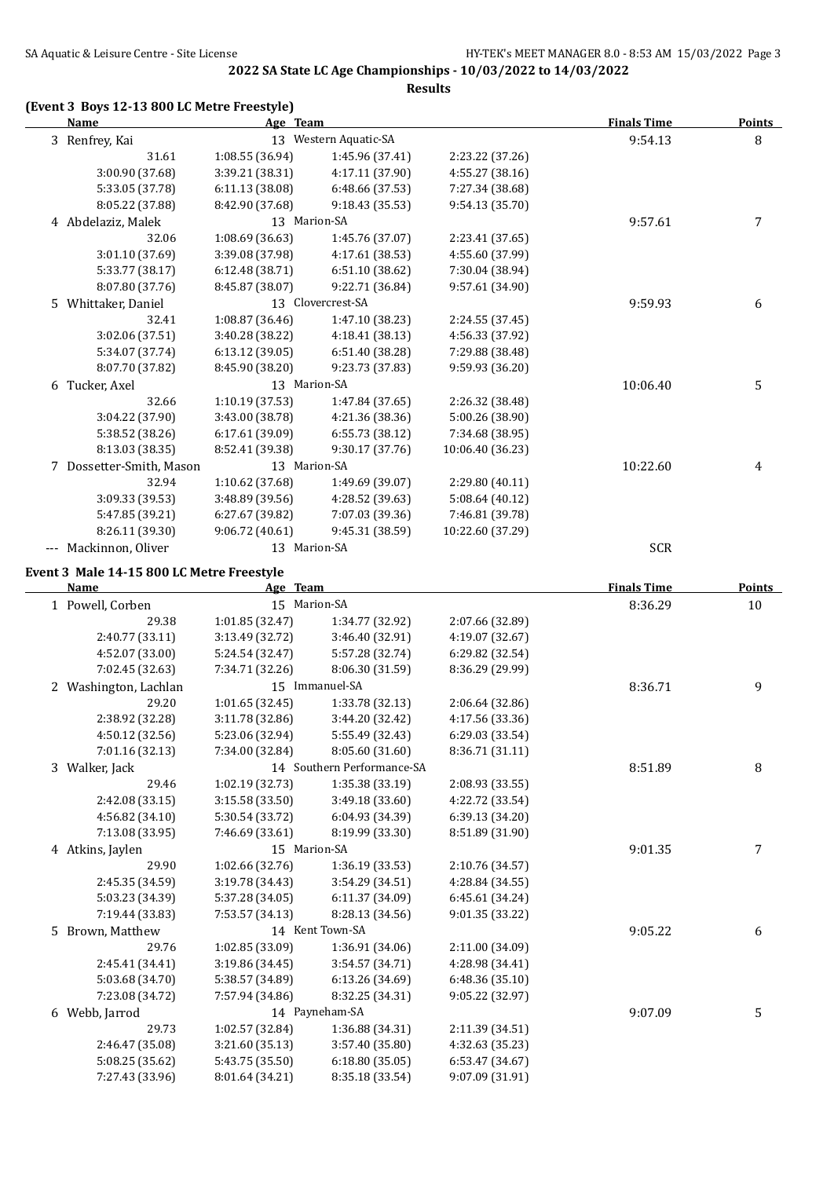**Results**

#### **(Event 3 Boys 12-13 800 LC Metre Freestyle)**

| <b>Name</b>                               | Age Team        |                            |                  | <b>Finals Time</b> | <b>Points</b> |
|-------------------------------------------|-----------------|----------------------------|------------------|--------------------|---------------|
| 3 Renfrey, Kai                            |                 | 13 Western Aquatic-SA      |                  | 9:54.13            | 8             |
| 31.61                                     | 1:08.55 (36.94) | 1:45.96 (37.41)            | 2:23.22 (37.26)  |                    |               |
| 3:00.90 (37.68)                           | 3:39.21 (38.31) | 4:17.11 (37.90)            | 4:55.27 (38.16)  |                    |               |
| 5:33.05 (37.78)                           | 6:11.13 (38.08) | 6:48.66 (37.53)            | 7:27.34 (38.68)  |                    |               |
| 8:05.22 (37.88)                           | 8:42.90 (37.68) | 9:18.43 (35.53)            | 9:54.13 (35.70)  |                    |               |
| 4 Abdelaziz, Malek                        | 13 Marion-SA    |                            |                  | 9:57.61            | 7             |
| 32.06                                     | 1:08.69 (36.63) | 1:45.76 (37.07)            | 2:23.41 (37.65)  |                    |               |
| 3:01.10 (37.69)                           | 3:39.08 (37.98) | 4:17.61 (38.53)            | 4:55.60 (37.99)  |                    |               |
| 5:33.77 (38.17)                           | 6:12.48 (38.71) | 6:51.10 (38.62)            | 7:30.04 (38.94)  |                    |               |
| 8:07.80 (37.76)                           | 8:45.87 (38.07) | 9:22.71 (36.84)            | 9:57.61 (34.90)  |                    |               |
| 5 Whittaker, Daniel                       |                 | 13 Clovercrest-SA          |                  | 9:59.93            | 6             |
| 32.41                                     | 1:08.87 (36.46) | 1:47.10 (38.23)            | 2:24.55 (37.45)  |                    |               |
| 3:02.06 (37.51)                           | 3:40.28 (38.22) | 4:18.41 (38.13)            | 4:56.33 (37.92)  |                    |               |
| 5:34.07 (37.74)                           | 6:13.12 (39.05) | 6:51.40 (38.28)            | 7:29.88 (38.48)  |                    |               |
| 8:07.70 (37.82)                           | 8:45.90 (38.20) | 9:23.73 (37.83)            | 9:59.93 (36.20)  |                    |               |
| 6 Tucker, Axel                            | 13 Marion-SA    |                            |                  | 10:06.40           | 5             |
| 32.66                                     | 1:10.19 (37.53) | 1:47.84 (37.65)            | 2:26.32 (38.48)  |                    |               |
| 3:04.22 (37.90)                           | 3:43.00 (38.78) | 4:21.36 (38.36)            | 5:00.26 (38.90)  |                    |               |
| 5:38.52 (38.26)                           | 6:17.61 (39.09) | 6:55.73 (38.12)            | 7:34.68 (38.95)  |                    |               |
| 8:13.03 (38.35)                           | 8:52.41 (39.38) | 9:30.17 (37.76)            | 10:06.40 (36.23) |                    |               |
| 7 Dossetter-Smith, Mason                  | 13 Marion-SA    |                            |                  | 10:22.60           | 4             |
| 32.94                                     | 1:10.62 (37.68) | 1:49.69 (39.07)            | 2:29.80 (40.11)  |                    |               |
| 3:09.33 (39.53)                           | 3:48.89 (39.56) | 4:28.52 (39.63)            | 5:08.64 (40.12)  |                    |               |
| 5:47.85 (39.21)                           | 6:27.67 (39.82) | 7:07.03 (39.36)            | 7:46.81 (39.78)  |                    |               |
| 8:26.11 (39.30)                           | 9:06.72(40.61)  | 9:45.31 (38.59)            | 10:22.60 (37.29) |                    |               |
| --- Mackinnon, Oliver                     | 13 Marion-SA    |                            |                  | <b>SCR</b>         |               |
| Event 3 Male 14-15 800 LC Metre Freestyle |                 |                            |                  |                    |               |
| Name                                      | Age Team        |                            |                  | <b>Finals Time</b> | <b>Points</b> |
| 1 Powell, Corben                          | 15 Marion-SA    |                            |                  | 8:36.29            | 10            |
| 29.38                                     | 1:01.85 (32.47) | 1:34.77 (32.92)            | 2:07.66 (32.89)  |                    |               |
| 2:40.77 (33.11)                           | 3:13.49 (32.72) | 3:46.40 (32.91)            | 4:19.07 (32.67)  |                    |               |
| 4:52.07 (33.00)                           | 5:24.54 (32.47) | 5:57.28 (32.74)            | 6:29.82 (32.54)  |                    |               |
| 7:02.45 (32.63)                           | 7:34.71 (32.26) | 8:06.30 (31.59)            | 8:36.29 (29.99)  |                    |               |
| 2 Washington, Lachlan                     |                 | 15 Immanuel-SA             |                  | 8:36.71            | 9             |
| 29.20                                     | 1:01.65(32.45)  | 1:33.78 (32.13)            | 2:06.64 (32.86)  |                    |               |
| 2:38.92 (32.28)                           | 3:11.78 (32.86) | 3:44.20 (32.42)            | 4:17.56 (33.36)  |                    |               |
| 4:50.12 (32.56)                           | 5:23.06 (32.94) | 5:55.49 (32.43)            | 6:29.03 (33.54)  |                    |               |
| 7:01.16 (32.13)                           | 7:34.00 (32.84) | 8:05.60 (31.60)            | 8:36.71 (31.11)  |                    |               |
| 3 Walker, Jack                            |                 | 14 Southern Performance-SA |                  | 8:51.89            | 8             |
| 29.46                                     | 1:02.19 (32.73) | 1:35.38 (33.19)            | 2:08.93 (33.55)  |                    |               |
| 2:42.08 (33.15)                           | 3:15.58 (33.50) | 3:49.18 (33.60)            | 4:22.72 (33.54)  |                    |               |
| 4:56.82 (34.10)                           | 5:30.54 (33.72) | 6:04.93 (34.39)            | 6:39.13 (34.20)  |                    |               |
| 7:13.08 (33.95)                           | 7:46.69 (33.61) | 8:19.99 (33.30)            | 8:51.89 (31.90)  |                    |               |
| 4 Atkins, Jaylen                          | 15 Marion-SA    |                            |                  | 9:01.35            | 7             |
| 29.90                                     | 1:02.66 (32.76) | 1:36.19 (33.53)            | 2:10.76 (34.57)  |                    |               |
| 2:45.35 (34.59)                           | 3:19.78 (34.43) | 3:54.29 (34.51)            | 4:28.84 (34.55)  |                    |               |
| 5:03.23 (34.39)                           | 5:37.28 (34.05) | 6:11.37 (34.09)            | 6:45.61 (34.24)  |                    |               |
| 7:19.44 (33.83)                           | 7:53.57 (34.13) | 8:28.13 (34.56)            | 9:01.35 (33.22)  |                    |               |
| 5 Brown, Matthew                          |                 | 14 Kent Town-SA            |                  | 9:05.22            | 6             |
| 29.76                                     | 1:02.85 (33.09) | 1:36.91 (34.06)            | 2:11.00 (34.09)  |                    |               |
| 2:45.41 (34.41)                           | 3:19.86 (34.45) | 3:54.57 (34.71)            | 4:28.98 (34.41)  |                    |               |
| 5:03.68 (34.70)                           | 5:38.57 (34.89) | 6:13.26 (34.69)            | 6:48.36 (35.10)  |                    |               |
| 7:23.08 (34.72)                           | 7:57.94 (34.86) | 8:32.25 (34.31)            | 9:05.22 (32.97)  |                    |               |
| 6 Webb, Jarrod                            |                 | 14 Payneham-SA             |                  | 9:07.09            | 5             |
| 29.73                                     | 1:02.57 (32.84) | 1:36.88 (34.31)            | 2:11.39 (34.51)  |                    |               |
| 2:46.47 (35.08)                           | 3:21.60 (35.13) | 3:57.40 (35.80)            | 4:32.63 (35.23)  |                    |               |
| 5:08.25 (35.62)                           | 5:43.75 (35.50) | 6:18.80 (35.05)            | 6:53.47 (34.67)  |                    |               |
| 7:27.43 (33.96)                           | 8:01.64 (34.21) | 8:35.18 (33.54)            | 9:07.09 (31.91)  |                    |               |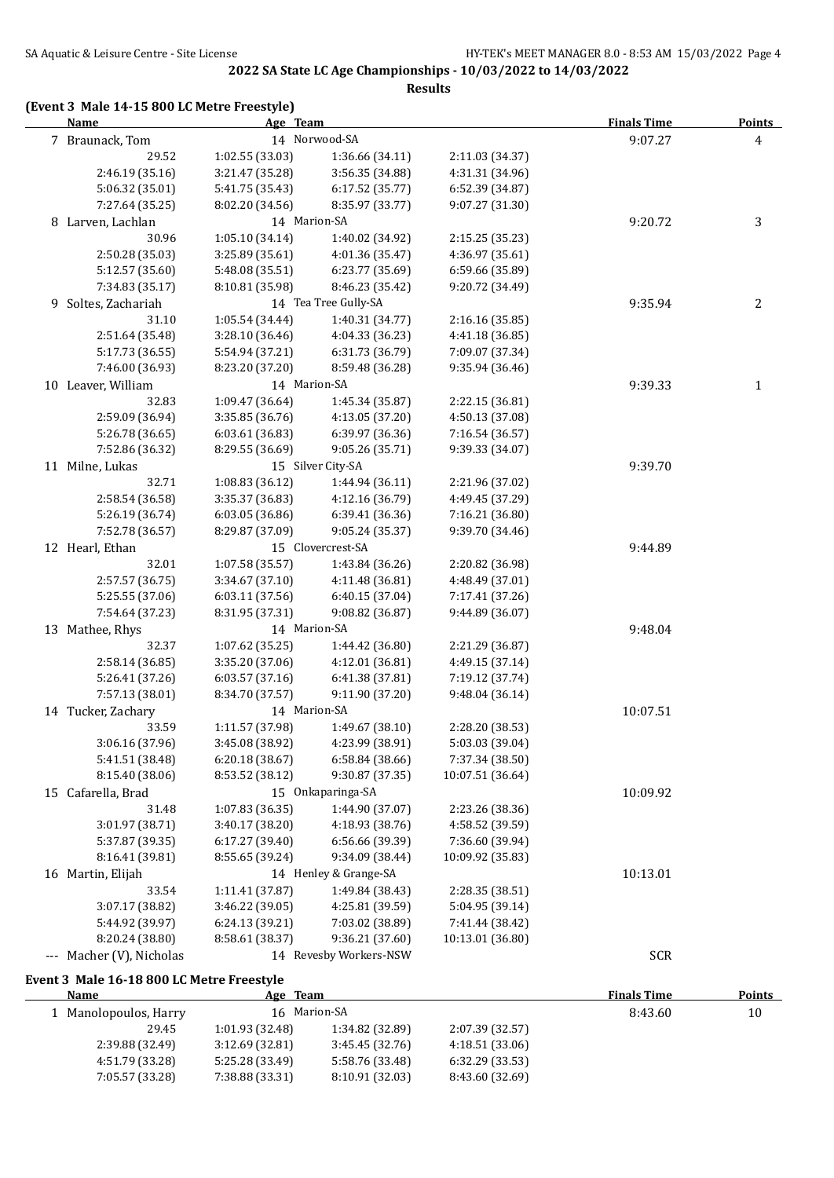**Results**

#### **(Event 3 Male 14-15 800 LC Metre Freestyle)**

| <b>Name</b>                        | Age Team        |                        |                  | <b>Finals Time</b> | <b>Points</b>  |
|------------------------------------|-----------------|------------------------|------------------|--------------------|----------------|
| 7 Braunack, Tom                    |                 | 14 Norwood-SA          |                  | 9:07.27            | $\overline{4}$ |
| 29.52                              | 1:02.55(33.03)  | 1:36.66 (34.11)        | 2:11.03 (34.37)  |                    |                |
| 2:46.19 (35.16)                    | 3:21.47 (35.28) | 3:56.35 (34.88)        | 4:31.31 (34.96)  |                    |                |
| 5:06.32 (35.01)                    | 5:41.75 (35.43) | 6:17.52 (35.77)        | 6:52.39 (34.87)  |                    |                |
| 7:27.64 (35.25)                    | 8:02.20 (34.56) | 8:35.97 (33.77)        | 9:07.27 (31.30)  |                    |                |
| 8 Larven, Lachlan                  | 14 Marion-SA    |                        |                  | 9:20.72            | 3              |
| 30.96                              | 1:05.10 (34.14) | 1:40.02 (34.92)        | 2:15.25 (35.23)  |                    |                |
| 2:50.28 (35.03)                    | 3:25.89 (35.61) | 4:01.36 (35.47)        | 4:36.97 (35.61)  |                    |                |
| 5:12.57 (35.60)                    | 5:48.08 (35.51) | 6:23.77 (35.69)        | 6:59.66 (35.89)  |                    |                |
| 7:34.83 (35.17)                    | 8:10.81 (35.98) | 8:46.23 (35.42)        | 9:20.72 (34.49)  |                    |                |
| 9 Soltes, Zachariah                |                 | 14 Tea Tree Gully-SA   |                  | 9:35.94            | 2              |
| 31.10                              | 1:05.54 (34.44) | 1:40.31 (34.77)        | 2:16.16 (35.85)  |                    |                |
| 2:51.64 (35.48)                    | 3:28.10 (36.46) | 4:04.33 (36.23)        | 4:41.18 (36.85)  |                    |                |
| 5:17.73 (36.55)                    | 5:54.94 (37.21) | 6:31.73 (36.79)        | 7:09.07 (37.34)  |                    |                |
| 7:46.00 (36.93)                    | 8:23.20 (37.20) | 8:59.48 (36.28)        | 9:35.94 (36.46)  |                    |                |
| 10 Leaver, William                 | 14 Marion-SA    |                        |                  | 9:39.33            | 1              |
| 32.83                              | 1:09.47 (36.64) | 1:45.34 (35.87)        | 2:22.15 (36.81)  |                    |                |
| 2:59.09 (36.94)                    | 3:35.85 (36.76) | 4:13.05 (37.20)        | 4:50.13 (37.08)  |                    |                |
| 5:26.78 (36.65)                    | 6:03.61 (36.83) | 6:39.97 (36.36)        | 7:16.54 (36.57)  |                    |                |
| 7:52.86 (36.32)                    | 8:29.55 (36.69) | 9:05.26 (35.71)        | 9:39.33 (34.07)  |                    |                |
| 11 Milne, Lukas                    |                 | 15 Silver City-SA      |                  | 9:39.70            |                |
| 32.71                              | 1:08.83 (36.12) | 1:44.94 (36.11)        | 2:21.96 (37.02)  |                    |                |
| 2:58.54 (36.58)                    | 3:35.37 (36.83) | 4:12.16 (36.79)        | 4:49.45 (37.29)  |                    |                |
| 5:26.19 (36.74)                    | 6:03.05 (36.86) | 6:39.41 (36.36)        | 7:16.21 (36.80)  |                    |                |
| 7:52.78 (36.57)                    | 8:29.87 (37.09) | 9:05.24 (35.37)        | 9:39.70 (34.46)  |                    |                |
| 12 Hearl, Ethan                    |                 | 15 Clovercrest-SA      |                  | 9:44.89            |                |
| 32.01                              | 1:07.58 (35.57) | 1:43.84 (36.26)        | 2:20.82 (36.98)  |                    |                |
| 2:57.57 (36.75)                    | 3:34.67 (37.10) | 4:11.48 (36.81)        | 4:48.49 (37.01)  |                    |                |
| 5:25.55 (37.06)                    | 6:03.11(37.56)  | 6:40.15 (37.04)        | 7:17.41 (37.26)  |                    |                |
| 7:54.64 (37.23)                    | 8:31.95 (37.31) | 9:08.82 (36.87)        | 9:44.89 (36.07)  |                    |                |
| 13 Mathee, Rhys                    | 14 Marion-SA    |                        |                  | 9:48.04            |                |
| 32.37                              | 1:07.62 (35.25) | 1:44.42 (36.80)        | 2:21.29 (36.87)  |                    |                |
| 2:58.14 (36.85)                    | 3:35.20 (37.06) | 4:12.01 (36.81)        | 4:49.15 (37.14)  |                    |                |
| 5:26.41 (37.26)                    | 6:03.57(37.16)  | 6:41.38 (37.81)        | 7:19.12 (37.74)  |                    |                |
| 7:57.13 (38.01)                    | 8:34.70 (37.57) | 9:11.90 (37.20)        | 9:48.04 (36.14)  |                    |                |
| 14 Tucker, Zachary                 | 14 Marion-SA    |                        |                  | 10:07.51           |                |
| 33.59                              | 1:11.57 (37.98) | 1:49.67 (38.10)        | 2:28.20 (38.53)  |                    |                |
| 3:06.16 (37.96)                    | 3:45.08 (38.92) | 4:23.99 (38.91)        | 5:03.03 (39.04)  |                    |                |
| 5:41.51 (38.48)                    | 6:20.18(38.67)  | 6:58.84 (38.66)        | 7:37.34 (38.50)  |                    |                |
| 8:15.40 (38.06)                    | 8:53.52 (38.12) | 9:30.87 (37.35)        | 10:07.51 (36.64) |                    |                |
| 15 Cafarella, Brad                 |                 | 15 Onkaparinga-SA      |                  | 10:09.92           |                |
| 31.48                              | 1:07.83 (36.35) | 1:44.90 (37.07)        | 2:23.26 (38.36)  |                    |                |
|                                    | 3:40.17 (38.20) | 4:18.93 (38.76)        | 4:58.52 (39.59)  |                    |                |
| 3:01.97 (38.71)                    |                 |                        |                  |                    |                |
| 5:37.87 (39.35)<br>8:16.41 (39.81) | 6:17.27 (39.40) | 6:56.66 (39.39)        | 7:36.60 (39.94)  |                    |                |
|                                    | 8:55.65 (39.24) | 9:34.09 (38.44)        | 10:09.92 (35.83) |                    |                |
| 16 Martin, Elijah                  |                 | 14 Henley & Grange-SA  |                  | 10:13.01           |                |
| 33.54                              | 1:11.41 (37.87) | 1:49.84 (38.43)        | 2:28.35 (38.51)  |                    |                |
| 3:07.17 (38.82)                    | 3:46.22 (39.05) | 4:25.81 (39.59)        | 5:04.95 (39.14)  |                    |                |
| 5:44.92 (39.97)                    | 6:24.13 (39.21) | 7:03.02 (38.89)        | 7:41.44 (38.42)  |                    |                |
| 8:20.24 (38.80)                    | 8:58.61 (38.37) | 9:36.21 (37.60)        | 10:13.01 (36.80) |                    |                |
| --- Macher (V), Nicholas           |                 | 14 Revesby Workers-NSW |                  | <b>SCR</b>         |                |

#### **Event 3 Male 16-18 800 LC Metre Freestyle**

| Name                  | Age Team        |                 |                 | <b>Finals Time</b> | <b>Points</b> |
|-----------------------|-----------------|-----------------|-----------------|--------------------|---------------|
| 1 Manolopoulos, Harry | 16 Marion-SA    |                 |                 | 8:43.60            | 10            |
| 29.45                 | 1:01.93(32.48)  | 1:34.82 (32.89) | 2:07.39 (32.57) |                    |               |
| 2:39.88 (32.49)       | 3:12.69(32.81)  | 3:45.45(32.76)  | 4:18.51(33.06)  |                    |               |
| 4:51.79 (33.28)       | 5:25.28 (33.49) | 5:58.76 (33.48) | 6:32.29(33.53)  |                    |               |
| 7:05.57 (33.28)       | 7:38.88 (33.31) | 8:10.91 (32.03) | 8:43.60 (32.69) |                    |               |
|                       |                 |                 |                 |                    |               |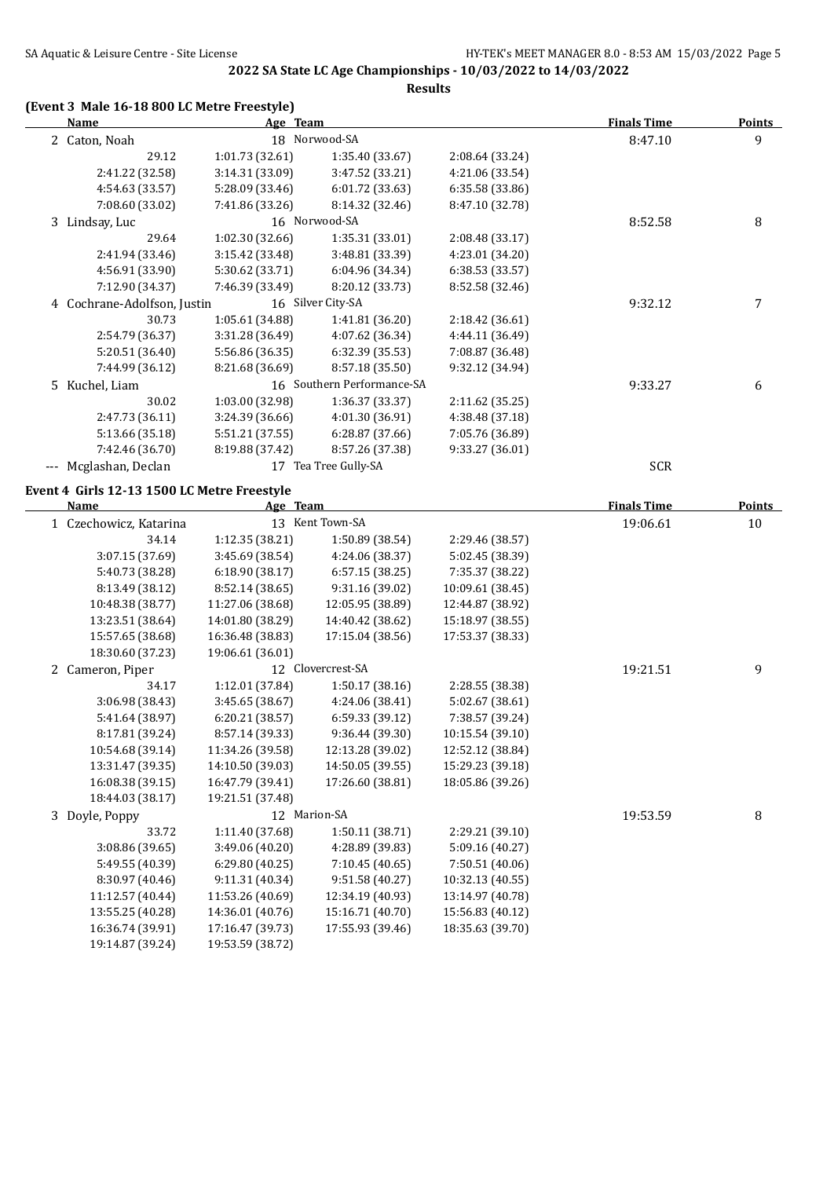## **2022 SA State LC Age Championships - 10/03/2022 to 14/03/2022**

**Results**

#### **(Event 3 Male 16-18 800 LC Metre Freestyle)**

| <b>Name</b>                                 | Age Team         |                            |                   | <b>Finals Time</b> | <b>Points</b> |
|---------------------------------------------|------------------|----------------------------|-------------------|--------------------|---------------|
| 2 Caton, Noah                               |                  | 18 Norwood-SA              |                   | 8:47.10            | 9             |
| 29.12                                       | 1:01.73 (32.61)  | 1:35.40 (33.67)            | 2:08.64 (33.24)   |                    |               |
| 2:41.22 (32.58)                             | 3:14.31 (33.09)  | 3:47.52 (33.21)            | 4:21.06 (33.54)   |                    |               |
| 4:54.63 (33.57)                             | 5:28.09 (33.46)  | 6:01.72 (33.63)            | 6:35.58 (33.86)   |                    |               |
| 7:08.60 (33.02)                             | 7:41.86 (33.26)  | 8:14.32 (32.46)            | 8:47.10 (32.78)   |                    |               |
| 3 Lindsay, Luc                              |                  | 16 Norwood-SA              |                   | 8:52.58            | 8             |
| 29.64                                       | 1:02.30 (32.66)  | 1:35.31 (33.01)            | 2:08.48 (33.17)   |                    |               |
| 2:41.94 (33.46)                             | 3:15.42 (33.48)  | 3:48.81 (33.39)            | 4:23.01 (34.20)   |                    |               |
| 4:56.91 (33.90)                             | 5:30.62 (33.71)  | 6:04.96 (34.34)            | 6:38.53(33.57)    |                    |               |
| 7:12.90 (34.37)                             | 7:46.39 (33.49)  | 8:20.12 (33.73)            | 8:52.58 (32.46)   |                    |               |
| 4 Cochrane-Adolfson, Justin                 |                  | 16 Silver City-SA          |                   | 9:32.12            | 7             |
| 30.73                                       | 1:05.61 (34.88)  | 1:41.81 (36.20)            | 2:18.42(36.61)    |                    |               |
| 2:54.79 (36.37)                             | 3:31.28 (36.49)  | 4:07.62 (36.34)            | 4:44.11 (36.49)   |                    |               |
| 5:20.51 (36.40)                             | 5:56.86 (36.35)  | 6:32.39 (35.53)            | 7:08.87 (36.48)   |                    |               |
| 7:44.99 (36.12)                             | 8:21.68 (36.69)  | 8:57.18 (35.50)            | 9:32.12 (34.94)   |                    |               |
| 5 Kuchel, Liam                              |                  | 16 Southern Performance-SA |                   | 9:33.27            | 6             |
| 30.02                                       | 1:03.00 (32.98)  | 1:36.37 (33.37)            | 2:11.62 (35.25)   |                    |               |
| 2:47.73 (36.11)                             | 3:24.39 (36.66)  | 4:01.30 (36.91)            | 4:38.48 (37.18)   |                    |               |
| 5:13.66 (35.18)                             | 5:51.21 (37.55)  | 6:28.87 (37.66)            | 7:05.76 (36.89)   |                    |               |
| 7:42.46 (36.70)                             | 8:19.88 (37.42)  | 8:57.26 (37.38)            | 9:33.27 (36.01)   |                    |               |
| --- Mcglashan, Declan                       |                  | 17 Tea Tree Gully-SA       |                   | <b>SCR</b>         |               |
| Event 4 Girls 12-13 1500 LC Metre Freestyle |                  |                            |                   |                    |               |
| Name                                        | Age Team         |                            |                   | <b>Finals Time</b> | Points        |
| 1 Czechowicz, Katarina                      |                  | 13 Kent Town-SA            |                   | 19:06.61           | 10            |
| 34.14                                       | 1:12.35 (38.21)  | 1:50.89 (38.54)            | 2:29.46 (38.57)   |                    |               |
| 3:07.15 (37.69)                             | 3:45.69 (38.54)  | 4:24.06 (38.37)            | 5:02.45 (38.39)   |                    |               |
| 5:40.73 (38.28)                             | 6:18.90 (38.17)  | 6:57.15(38.25)             | 7:35.37 (38.22)   |                    |               |
| 8:13.49 (38.12)                             | 8:52.14 (38.65)  | 9:31.16 (39.02)            | 10:09.61 (38.45)  |                    |               |
| 10:48.38 (38.77)                            | 11:27.06 (38.68) | 12:05.95 (38.89)           | 12:44.87 (38.92)  |                    |               |
| 12.22 F1 $(20.61)$                          | 14.01.00.020.201 | 14.40.42.020 $(20, 12)$    | 1 $F.10.07.00 FF$ |                    |               |

| 8:13.49 [38.14]  | 0:34.14 138.031  | $9:31.10$ [39.04] | 10:09.01 138.431 |          |   |
|------------------|------------------|-------------------|------------------|----------|---|
| 10:48.38 (38.77) | 11:27.06 (38.68) | 12:05.95 (38.89)  | 12:44.87 (38.92) |          |   |
| 13:23.51 (38.64) | 14:01.80 (38.29) | 14:40.42 (38.62)  | 15:18.97 (38.55) |          |   |
| 15:57.65 (38.68) | 16:36.48 (38.83) | 17:15.04 (38.56)  | 17:53.37 (38.33) |          |   |
| 18:30.60 (37.23) | 19:06.61 (36.01) |                   |                  |          |   |
| 2 Cameron, Piper |                  | 12 Clovercrest-SA |                  | 19:21.51 | 9 |
| 34.17            | 1:12.01(37.84)   | 1:50.17(38.16)    | 2:28.55 (38.38)  |          |   |
| 3:06.98 (38.43)  | 3:45.65(38.67)   | 4:24.06 (38.41)   | 5:02.67 (38.61)  |          |   |
| 5:41.64 (38.97)  | 6:20.21(38.57)   | 6:59.33(39.12)    | 7:38.57 (39.24)  |          |   |
| 8:17.81 (39.24)  | 8:57.14 (39.33)  | 9:36.44(39.30)    | 10:15.54 (39.10) |          |   |
| 10:54.68 (39.14) | 11:34.26 (39.58) | 12:13.28 (39.02)  | 12:52.12 (38.84) |          |   |
| 13:31.47 (39.35) | 14:10.50 (39.03) | 14:50.05 (39.55)  | 15:29.23 (39.18) |          |   |
| 16:08.38 (39.15) | 16:47.79 (39.41) | 17:26.60 (38.81)  | 18:05.86 (39.26) |          |   |
| 18:44.03 (38.17) | 19:21.51 (37.48) |                   |                  |          |   |
| 3 Doyle, Poppy   |                  | 12 Marion-SA      |                  | 19:53.59 | 8 |
| 33.72            | 1:11.40(37.68)   | 1:50.11(38.71)    | 2:29.21 (39.10)  |          |   |
| 3:08.86 (39.65)  | 3:49.06(40.20)   | 4:28.89 (39.83)   | 5:09.16(40.27)   |          |   |
| 5:49.55 (40.39)  | 6:29.80(40.25)   | 7:10.45(40.65)    | 7:50.51 (40.06)  |          |   |
| 8:30.97 (40.46)  | 9:11.31(40.34)   | 9:51.58(40.27)    | 10:32.13 (40.55) |          |   |
| 11:12.57 (40.44) | 11:53.26 (40.69) | 12:34.19 (40.93)  | 13:14.97 (40.78) |          |   |
| 13:55.25 (40.28) | 14:36.01 (40.76) | 15:16.71 (40.70)  | 15:56.83 (40.12) |          |   |
| 16:36.74 (39.91) | 17:16.47 (39.73) | 17:55.93 (39.46)  | 18:35.63 (39.70) |          |   |
| 19:14.87 (39.24) | 19:53.59 (38.72) |                   |                  |          |   |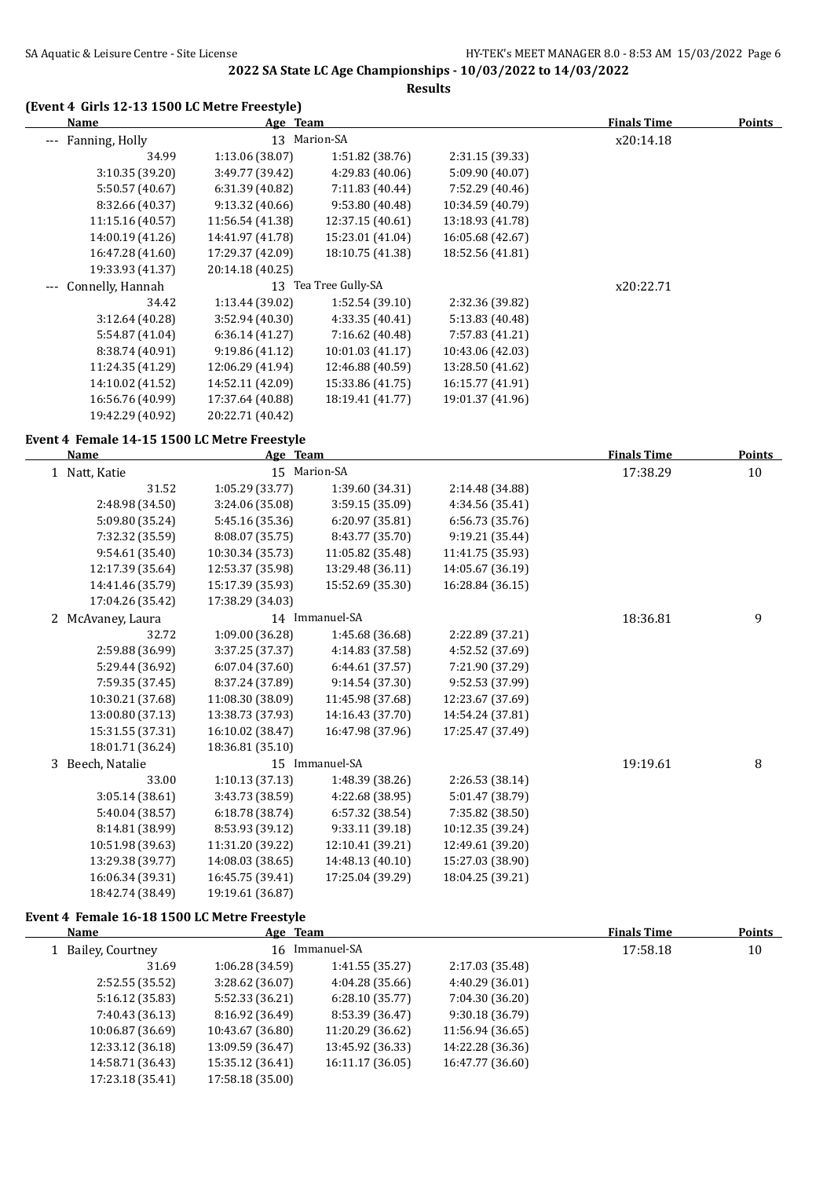**Results**

#### **(Event 4 Girls 12-13 1500 LC Metre Freestyle)**

|          | <b>Name</b>          | Age Team         |                      |                  | <b>Finals Time</b> | <b>Points</b> |
|----------|----------------------|------------------|----------------------|------------------|--------------------|---------------|
| $\cdots$ | Fanning, Holly       | 13               | Marion-SA            |                  | x20:14.18          |               |
|          | 34.99                | 1:13.06 (38.07)  | 1:51.82(38.76)       | 2:31.15 (39.33)  |                    |               |
|          | 3:10.35(39.20)       | 3:49.77 (39.42)  | 4:29.83 (40.06)      | 5:09.90 (40.07)  |                    |               |
|          | 5:50.57 (40.67)      | 6:31.39 (40.82)  | 7:11.83 (40.44)      | 7:52.29 (40.46)  |                    |               |
|          | 8:32.66 (40.37)      | 9:13.32(40.66)   | 9:53.80 (40.48)      | 10:34.59 (40.79) |                    |               |
|          | 11:15.16 (40.57)     | 11:56.54 (41.38) | 12:37.15 (40.61)     | 13:18.93 (41.78) |                    |               |
|          | 14:00.19 (41.26)     | 14:41.97 (41.78) | 15:23.01 (41.04)     | 16:05.68 (42.67) |                    |               |
|          | 16:47.28 (41.60)     | 17:29.37 (42.09) | 18:10.75 (41.38)     | 18:52.56 (41.81) |                    |               |
|          | 19:33.93 (41.37)     | 20:14.18 (40.25) |                      |                  |                    |               |
|          | --- Connelly, Hannah |                  | 13 Tea Tree Gully-SA |                  | x20:22.71          |               |
|          | 34.42                | 1:13.44 (39.02)  | 1:52.54(39.10)       | 2:32.36 (39.82)  |                    |               |
|          | 3:12.64(40.28)       | 3:52.94(40.30)   | 4:33.35 (40.41)      | 5:13.83 (40.48)  |                    |               |
|          | 5:54.87 (41.04)      | 6:36.14(41.27)   | 7:16.62 (40.48)      | 7:57.83 (41.21)  |                    |               |
|          | 8:38.74 (40.91)      | 9:19.86(41.12)   | 10:01.03 (41.17)     | 10:43.06 (42.03) |                    |               |
|          | 11:24.35 (41.29)     | 12:06.29 (41.94) | 12:46.88 (40.59)     | 13:28.50 (41.62) |                    |               |
|          | 14:10.02 (41.52)     | 14:52.11 (42.09) | 15:33.86 (41.75)     | 16:15.77 (41.91) |                    |               |
|          | 16:56.76 (40.99)     | 17:37.64 (40.88) | 18:19.41 (41.77)     | 19:01.37 (41.96) |                    |               |
|          | 19:42.29 (40.92)     | 20:22.71 (40.42) |                      |                  |                    |               |

#### **Event 4 Female 14-15 1500 LC Metre Freestyle**

| <b>Name</b>       | Age Team         |                  |                  | <b>Finals Time</b> | <b>Points</b> |
|-------------------|------------------|------------------|------------------|--------------------|---------------|
| 1 Natt, Katie     |                  | 15 Marion-SA     |                  | 17:38.29           | 10            |
| 31.52             | 1:05.29 (33.77)  | 1:39.60 (34.31)  | 2:14.48 (34.88)  |                    |               |
| 2:48.98 (34.50)   | 3:24.06 (35.08)  | 3:59.15 (35.09)  | 4:34.56 (35.41)  |                    |               |
| 5:09.80 (35.24)   | 5:45.16 (35.36)  | 6:20.97(35.81)   | 6:56.73 (35.76)  |                    |               |
| 7:32.32 (35.59)   | 8:08.07 (35.75)  | 8:43.77 (35.70)  | 9:19.21 (35.44)  |                    |               |
| 9:54.61 (35.40)   | 10:30.34 (35.73) | 11:05.82 (35.48) | 11:41.75 (35.93) |                    |               |
| 12:17.39 (35.64)  | 12:53.37 (35.98) | 13:29.48 (36.11) | 14:05.67 (36.19) |                    |               |
| 14:41.46 (35.79)  | 15:17.39 (35.93) | 15:52.69 (35.30) | 16:28.84 (36.15) |                    |               |
| 17:04.26 (35.42)  | 17:38.29 (34.03) |                  |                  |                    |               |
| 2 McAvaney, Laura |                  | 14 Immanuel-SA   |                  | 18:36.81           | 9             |
| 32.72             | 1:09.00 (36.28)  | 1:45.68 (36.68)  | 2:22.89 (37.21)  |                    |               |
| 2:59.88 (36.99)   | 3:37.25 (37.37)  | 4:14.83 (37.58)  | 4:52.52 (37.69)  |                    |               |
| 5:29.44 (36.92)   | 6:07.04(37.60)   | 6:44.61(37.57)   | 7:21.90 (37.29)  |                    |               |
| 7:59.35 (37.45)   | 8:37.24 (37.89)  | 9:14.54 (37.30)  | 9:52.53 (37.99)  |                    |               |
| 10:30.21 (37.68)  | 11:08.30 (38.09) | 11:45.98 (37.68) | 12:23.67 (37.69) |                    |               |
| 13:00.80 (37.13)  | 13:38.73 (37.93) | 14:16.43 (37.70) | 14:54.24 (37.81) |                    |               |
| 15:31.55 (37.31)  | 16:10.02 (38.47) | 16:47.98 (37.96) | 17:25.47 (37.49) |                    |               |
| 18:01.71 (36.24)  | 18:36.81 (35.10) |                  |                  |                    |               |
| 3 Beech, Natalie  |                  | 15 Immanuel-SA   |                  | 19:19.61           | 8             |
| 33.00             | 1:10.13(37.13)   | 1:48.39 (38.26)  | 2:26.53 (38.14)  |                    |               |
| 3:05.14 (38.61)   | 3:43.73 (38.59)  | 4:22.68 (38.95)  | 5:01.47 (38.79)  |                    |               |
| 5:40.04 (38.57)   | 6:18.78(38.74)   | 6:57.32 (38.54)  | 7:35.82 (38.50)  |                    |               |
| 8:14.81 (38.99)   | 8:53.93 (39.12)  | 9:33.11 (39.18)  | 10:12.35 (39.24) |                    |               |
| 10:51.98 (39.63)  | 11:31.20 (39.22) | 12:10.41 (39.21) | 12:49.61 (39.20) |                    |               |
| 13:29.38 (39.77)  | 14:08.03 (38.65) | 14:48.13 (40.10) | 15:27.03 (38.90) |                    |               |
| 16:06.34 (39.31)  | 16:45.75 (39.41) | 17:25.04 (39.29) | 18:04.25 (39.21) |                    |               |
| 18:42.74 (38.49)  | 19:19.61 (36.87) |                  |                  |                    |               |

#### **Event 4 Female 16-18 1500 LC Metre Freestyle**

| Points |
|--------|
| 10     |
|        |
|        |
|        |
|        |
|        |
|        |
|        |
|        |
|        |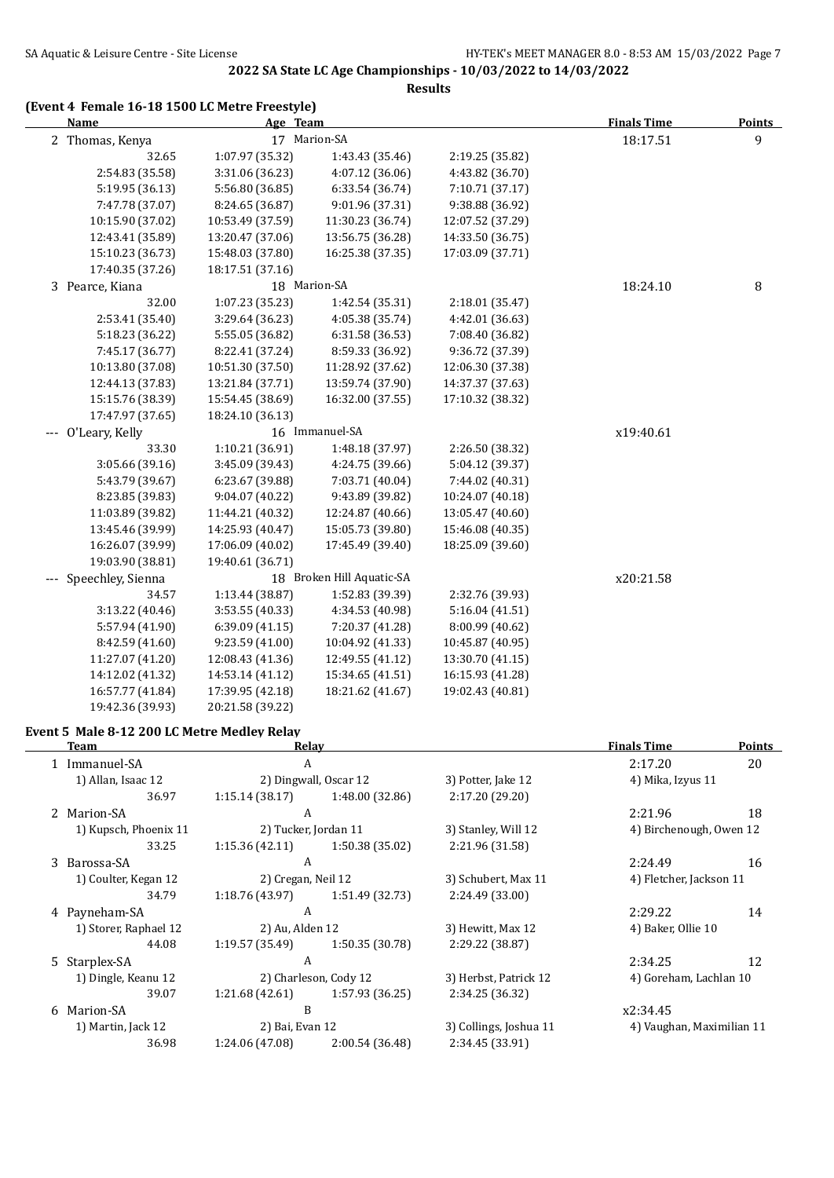**Results**

#### **(Event 4 Female 16-18 1500 LC Metre Freestyle)**

| <b>Name</b>           | Age Team         |                           | <b>Finals Time</b> | <b>Points</b> |   |
|-----------------------|------------------|---------------------------|--------------------|---------------|---|
| 2 Thomas, Kenya       | 17 Marion-SA     |                           |                    | 18:17.51      | 9 |
| 32.65                 | 1:07.97 (35.32)  | 1:43.43 (35.46)           | 2:19.25 (35.82)    |               |   |
| 2:54.83 (35.58)       | 3:31.06 (36.23)  | 4:07.12 (36.06)           | 4:43.82 (36.70)    |               |   |
| 5:19.95 (36.13)       | 5:56.80 (36.85)  | 6:33.54 (36.74)           | 7:10.71 (37.17)    |               |   |
| 7:47.78 (37.07)       | 8:24.65 (36.87)  | 9:01.96 (37.31)           | 9:38.88 (36.92)    |               |   |
| 10:15.90 (37.02)      | 10:53.49 (37.59) | 11:30.23 (36.74)          | 12:07.52 (37.29)   |               |   |
| 12:43.41 (35.89)      | 13:20.47 (37.06) | 13:56.75 (36.28)          | 14:33.50 (36.75)   |               |   |
| 15:10.23 (36.73)      | 15:48.03 (37.80) | 16:25.38 (37.35)          | 17:03.09 (37.71)   |               |   |
| 17:40.35 (37.26)      | 18:17.51 (37.16) |                           |                    |               |   |
| 3 Pearce, Kiana       |                  | 18 Marion-SA              |                    | 18:24.10      | 8 |
| 32.00                 | 1:07.23 (35.23)  | 1:42.54 (35.31)           | 2:18.01(35.47)     |               |   |
| 2:53.41 (35.40)       | 3:29.64 (36.23)  | 4:05.38 (35.74)           | 4:42.01 (36.63)    |               |   |
| 5:18.23 (36.22)       | 5:55.05 (36.82)  | 6:31.58 (36.53)           | 7:08.40 (36.82)    |               |   |
| 7:45.17 (36.77)       | 8:22.41 (37.24)  | 8:59.33 (36.92)           | 9:36.72 (37.39)    |               |   |
| 10:13.80 (37.08)      | 10:51.30 (37.50) | 11:28.92 (37.62)          | 12:06.30 (37.38)   |               |   |
| 12:44.13 (37.83)      | 13:21.84 (37.71) | 13:59.74 (37.90)          | 14:37.37 (37.63)   |               |   |
| 15:15.76 (38.39)      | 15:54.45 (38.69) | 16:32.00 (37.55)          | 17:10.32 (38.32)   |               |   |
| 17:47.97 (37.65)      | 18:24.10 (36.13) |                           |                    |               |   |
| --- O'Leary, Kelly    |                  | 16 Immanuel-SA            |                    | x19:40.61     |   |
| 33.30                 | 1:10.21 (36.91)  | 1:48.18 (37.97)           | 2:26.50 (38.32)    |               |   |
| 3:05.66 (39.16)       | 3:45.09 (39.43)  | 4:24.75 (39.66)           | 5:04.12 (39.37)    |               |   |
| 5:43.79 (39.67)       | 6:23.67 (39.88)  | 7:03.71 (40.04)           | 7:44.02 (40.31)    |               |   |
| 8:23.85 (39.83)       | 9:04.07(40.22)   | 9:43.89 (39.82)           | 10:24.07 (40.18)   |               |   |
| 11:03.89 (39.82)      | 11:44.21 (40.32) | 12:24.87 (40.66)          | 13:05.47 (40.60)   |               |   |
| 13:45.46 (39.99)      | 14:25.93 (40.47) | 15:05.73 (39.80)          | 15:46.08 (40.35)   |               |   |
| 16:26.07 (39.99)      | 17:06.09 (40.02) | 17:45.49 (39.40)          | 18:25.09 (39.60)   |               |   |
| 19:03.90 (38.81)      | 19:40.61 (36.71) |                           |                    |               |   |
| --- Speechley, Sienna |                  | 18 Broken Hill Aquatic-SA |                    | x20:21.58     |   |
| 34.57                 | 1:13.44 (38.87)  | 1:52.83 (39.39)           | 2:32.76 (39.93)    |               |   |
| 3:13.22 (40.46)       | 3:53.55 (40.33)  | 4:34.53 (40.98)           | 5:16.04 (41.51)    |               |   |
| 5:57.94 (41.90)       | 6:39.09 (41.15)  | 7:20.37 (41.28)           | 8:00.99 (40.62)    |               |   |
| 8:42.59 (41.60)       | 9:23.59 (41.00)  | 10:04.92 (41.33)          | 10:45.87 (40.95)   |               |   |
| 11:27.07 (41.20)      | 12:08.43 (41.36) | 12:49.55 (41.12)          | 13:30.70 (41.15)   |               |   |
| 14:12.02 (41.32)      | 14:53.14 (41.12) | 15:34.65 (41.51)          | 16:15.93 (41.28)   |               |   |
| 16:57.77 (41.84)      | 17:39.95 (42.18) | 18:21.62 (41.67)          | 19:02.43 (40.81)   |               |   |
| 19:42.36 (39.93)      | 20:21.58 (39.22) |                           |                    |               |   |

#### **Event 5 Male 8-12 200 LC Metre Medley Relay**

| <b>Team</b>                                | Relay                |                       |                        | <b>Finals Time</b>        | <b>Points</b> |
|--------------------------------------------|----------------------|-----------------------|------------------------|---------------------------|---------------|
| 1 Immanuel-SA                              | A                    |                       |                        | 2:17.20                   | 20            |
| 1) Allan, Isaac 12                         |                      | 2) Dingwall, Oscar 12 | 3) Potter, Jake 12     | 4) Mika, Izyus 11         |               |
| 36.97                                      | 1:15.14(38.17)       | 1:48.00 (32.86)       | 2:17.20 (29.20)        |                           |               |
| 2 Marion-SA                                | A                    |                       |                        | 2:21.96                   | 18            |
| 1) Kupsch, Phoenix 11                      | 2) Tucker, Jordan 11 |                       | 3) Stanley, Will 12    | 4) Birchenough, Owen 12   |               |
| 33.25                                      | 1:15.36(42.11)       | 1:50.38 (35.02)       | 2:21.96 (31.58)        |                           |               |
| 3 Barossa-SA                               | A                    |                       |                        | 2:24.49                   | 16            |
| 1) Coulter, Kegan 12<br>2) Cregan, Neil 12 |                      |                       | 3) Schubert, Max 11    | 4) Fletcher, Jackson 11   |               |
| 34.79                                      | 1:18.76 (43.97)      | 1:51.49 (32.73)       | 2:24.49 (33.00)        |                           |               |
| 4 Payneham-SA                              | A                    |                       |                        | 2:29.22                   | 14            |
| 1) Storer, Raphael 12                      | 2) Au, Alden 12      |                       | 3) Hewitt, Max 12      | 4) Baker, Ollie 10        |               |
| 44.08                                      | 1:19.57 (35.49)      | 1:50.35 (30.78)       | 2:29.22 (38.87)        |                           |               |
| 5 Starplex-SA                              | A                    |                       |                        | 2:34.25                   | 12            |
| 1) Dingle, Keanu 12                        |                      | 2) Charleson, Cody 12 | 3) Herbst, Patrick 12  | 4) Goreham, Lachlan 10    |               |
| 39.07                                      | 1:21.68(42.61)       | 1:57.93 (36.25)       | 2:34.25 (36.32)        |                           |               |
| 6 Marion-SA                                | B                    |                       |                        | x2:34.45                  |               |
| 1) Martin, Jack 12                         | 2) Bai, Evan 12      |                       | 3) Collings, Joshua 11 | 4) Vaughan, Maximilian 11 |               |
| 36.98                                      | 1:24.06 (47.08)      | 2:00.54 (36.48)       | 2:34.45 (33.91)        |                           |               |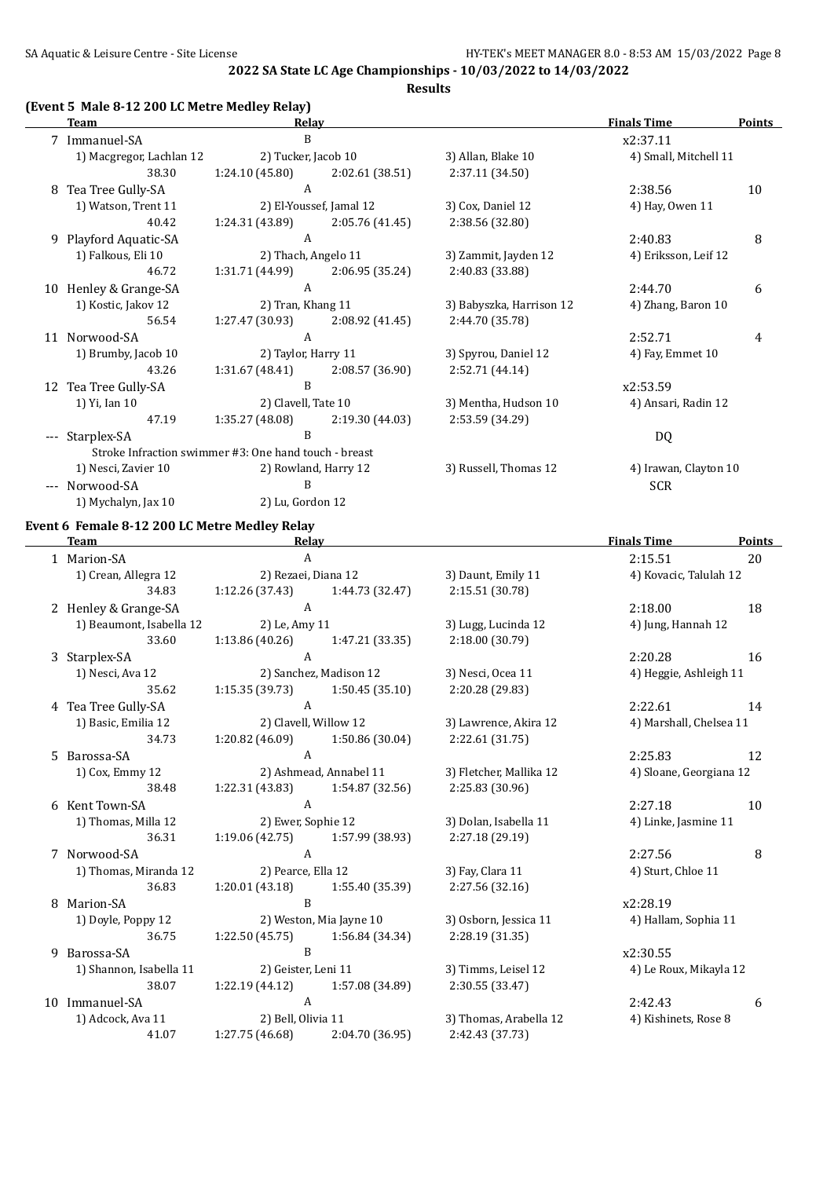**Results**

#### **(Event 5 Male 8-12 200 LC Metre Medley Relay)**

|     | <b>Team</b>                                           | Relav               |                         |                          | <b>Finals Time</b>    | <b>Points</b> |
|-----|-------------------------------------------------------|---------------------|-------------------------|--------------------------|-----------------------|---------------|
|     | 7 Immanuel-SA                                         | B                   |                         |                          | x2:37.11              |               |
|     | 1) Macgregor, Lachlan 12                              | 2) Tucker, Jacob 10 |                         | 3) Allan, Blake 10       | 4) Small, Mitchell 11 |               |
|     | 38.30                                                 | 1:24.10 (45.80)     | 2:02.61 (38.51)         | 2:37.11 (34.50)          |                       |               |
| 8   | Tea Tree Gully-SA                                     | A                   |                         |                          | 2:38.56               | 10            |
|     | 1) Watson, Trent 11                                   |                     | 2) El-Youssef, Jamal 12 | 3) Cox, Daniel 12        | 4) Hay, Owen 11       |               |
|     | 40.42                                                 | 1:24.31 (43.89)     | 2:05.76 (41.45)         | 2:38.56 (32.80)          |                       |               |
|     | 9 Playford Aquatic-SA                                 | A                   |                         |                          | 2:40.83               | 8             |
|     | 1) Falkous, Eli 10                                    | 2) Thach, Angelo 11 |                         | 3) Zammit, Jayden 12     | 4) Eriksson, Leif 12  |               |
|     | 46.72                                                 | 1:31.71 (44.99)     | 2:06.95 (35.24)         | 2:40.83 (33.88)          |                       |               |
| 10  | Henley & Grange-SA                                    | A                   |                         |                          | 2:44.70               | 6             |
|     | 1) Kostic, Jakov 12                                   | 2) Tran, Khang 11   |                         | 3) Babyszka, Harrison 12 | 4) Zhang, Baron 10    |               |
|     | 56.54                                                 | 1:27.47 (30.93)     | 2:08.92 (41.45)         | 2:44.70 (35.78)          |                       |               |
|     | 11 Norwood-SA                                         | A                   |                         |                          | 2:52.71               | 4             |
|     | 1) Brumby, Jacob 10                                   | 2) Taylor, Harry 11 |                         | 3) Spyrou, Daniel 12     | 4) Fay, Emmet 10      |               |
|     | 43.26                                                 | 1:31.67(48.41)      | 2:08.57 (36.90)         | 2:52.71 (44.14)          |                       |               |
|     | 12 Tea Tree Gully-SA                                  | B                   |                         |                          | x2:53.59              |               |
|     | 1) Yi, Ian 10                                         | 2) Clavell, Tate 10 |                         | 3) Mentha, Hudson 10     | 4) Ansari, Radin 12   |               |
|     | 47.19                                                 | 1:35.27 (48.08)     | 2:19.30 (44.03)         | 2:53.59 (34.29)          |                       |               |
| --- | Starplex-SA                                           | R                   |                         |                          | DQ                    |               |
|     | Stroke Infraction swimmer #3: One hand touch - breast |                     |                         |                          |                       |               |
|     | 1) Nesci, Zavier 10                                   |                     | 2) Rowland, Harry 12    | 3) Russell, Thomas 12    | 4) Irawan, Clayton 10 |               |
|     | Norwood-SA                                            | B                   |                         |                          | <b>SCR</b>            |               |
|     | 1) Mychalyn, Jax 10                                   | 2) Lu, Gordon 12    |                         |                          |                       |               |

#### **Event 6 Female 8-12 200 LC Metre Medley Relay**

 $\overline{\phantom{a}}$ 

| <b>Team</b> |                          | Relay                             |                         |                         | <b>Finals Time</b>      | Points |
|-------------|--------------------------|-----------------------------------|-------------------------|-------------------------|-------------------------|--------|
|             | 1 Marion-SA              | A                                 |                         |                         | 2:15.51                 | 20     |
|             | 1) Crean, Allegra 12     | 2) Rezaei, Diana 12               |                         | 3) Daunt, Emily 11      | 4) Kovacic, Talulah 12  |        |
|             | 34.83                    | 1:12.26 (37.43)                   | 1:44.73 (32.47)         | 2:15.51 (30.78)         |                         |        |
|             | 2 Henley & Grange-SA     | $\mathbf{A}$                      |                         |                         | 2:18.00                 | 18     |
|             | 1) Beaumont, Isabella 12 | 2) Le, Amy 11                     |                         | 3) Lugg, Lucinda 12     | 4) Jung, Hannah 12      |        |
|             | 33.60                    | 1:13.86(40.26)                    | 1:47.21 (33.35)         | 2:18.00 (30.79)         |                         |        |
|             | 3 Starplex-SA            | A                                 |                         |                         | 2:20.28                 | 16     |
|             | 1) Nesci, Ava 12         |                                   | 2) Sanchez, Madison 12  | 3) Nesci, Ocea 11       | 4) Heggie, Ashleigh 11  |        |
|             | 35.62                    | 1:15.35(39.73)                    | 1:50.45 (35.10)         | 2:20.28 (29.83)         |                         |        |
|             | 4 Tea Tree Gully-SA      | $\mathsf{A}$                      |                         |                         | 2:22.61                 | 14     |
|             | 1) Basic, Emilia 12      | 2) Clavell, Willow 12             |                         | 3) Lawrence, Akira 12   | 4) Marshall, Chelsea 11 |        |
|             | 34.73                    | 1:20.82 (46.09)                   | 1:50.86 (30.04)         | 2:22.61 (31.75)         |                         |        |
|             | 5 Barossa-SA             | A                                 |                         |                         | 2:25.83                 | 12     |
|             | 1) Cox, Emmy 12          |                                   | 2) Ashmead, Annabel 11  | 3) Fletcher, Mallika 12 | 4) Sloane, Georgiana 12 |        |
|             | 38.48                    | 1:22.31(43.83)                    | 1:54.87 (32.56)         | 2:25.83 (30.96)         |                         |        |
|             | 6 Kent Town-SA           | A                                 |                         |                         | 2:27.18                 | 10     |
|             | 1) Thomas, Milla 12      | 2) Ewer, Sophie 12                |                         | 3) Dolan, Isabella 11   | 4) Linke, Jasmine 11    |        |
|             | 36.31                    | 1:19.06 (42.75)                   | 1:57.99 (38.93)         | 2:27.18 (29.19)         |                         |        |
|             | 7 Norwood-SA             | $\mathbf{A}$                      |                         |                         | 2:27.56                 | 8      |
|             | 1) Thomas, Miranda 12    | 2) Pearce, Ella 12                |                         | 3) Fay, Clara 11        | 4) Sturt, Chloe 11      |        |
|             | 36.83                    | 1:20.01(43.18)                    | 1:55.40 (35.39)         | 2:27.56 (32.16)         |                         |        |
| 8           | Marion-SA                | B                                 |                         |                         | x2:28.19                |        |
|             | 1) Doyle, Poppy 12       |                                   | 2) Weston, Mia Jayne 10 | 3) Osborn, Jessica 11   | 4) Hallam, Sophia 11    |        |
|             | 36.75                    | 1:22.50(45.75)                    | 1:56.84 (34.34)         | 2:28.19 (31.35)         |                         |        |
| 9           | Barossa-SA               | B                                 |                         |                         | x2:30.55                |        |
|             | 1) Shannon, Isabella 11  | 2) Geister, Leni 11               |                         | 3) Timms, Leisel 12     | 4) Le Roux, Mikayla 12  |        |
|             | 38.07                    | $1:22.19(44.12)$ $1:57.08(34.89)$ |                         | 2:30.55 (33.47)         |                         |        |
|             | 10 Immanuel-SA           | A                                 |                         |                         | 2:42.43                 | 6      |
|             | 1) Adcock, Ava 11        | 2) Bell, Olivia 11                |                         | 3) Thomas, Arabella 12  | 4) Kishinets, Rose 8    |        |
|             | 41.07                    | 1:27.75 (46.68)                   | 2:04.70 (36.95)         | 2:42.43 (37.73)         |                         |        |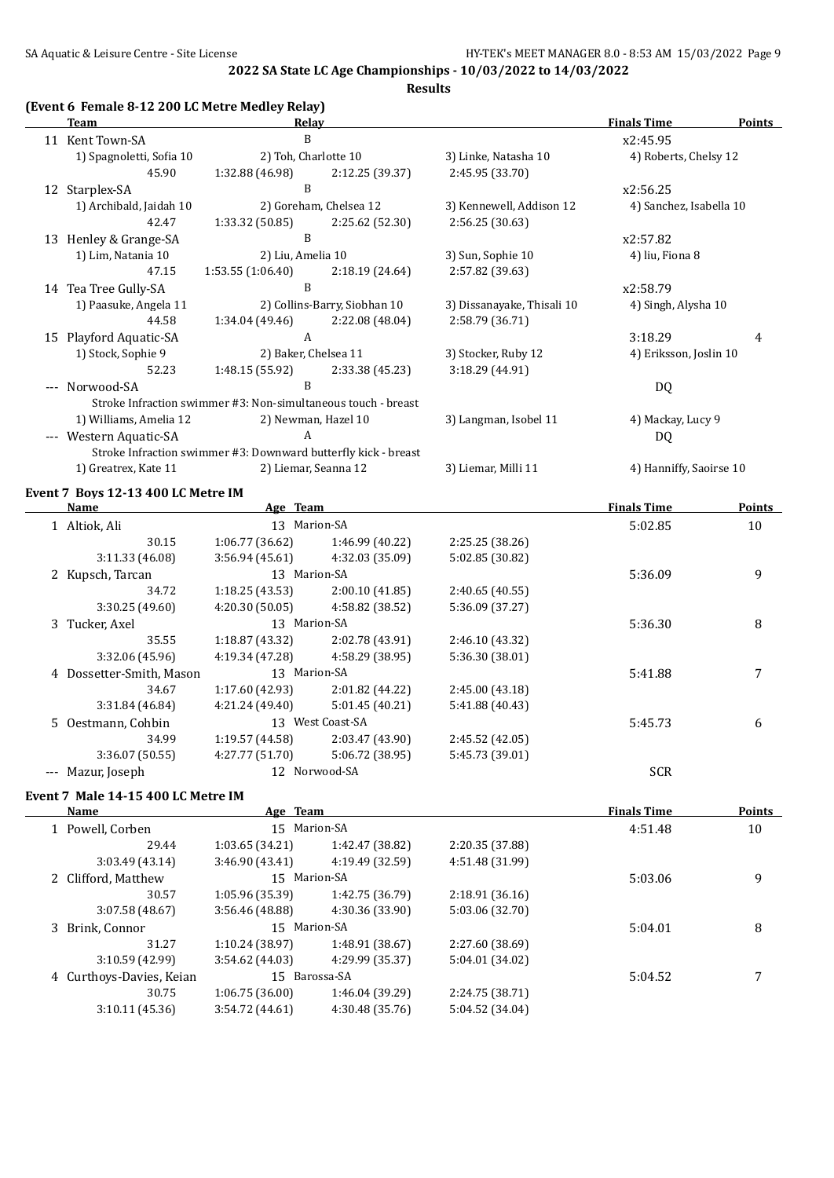#### **Results**

#### **(Event 6 Female 8-12 200 LC Metre Medley Relay)**

|    | <b>Relay</b><br>Team               |                                                                |                      | <b>Finals Time</b>         | Points                  |               |
|----|------------------------------------|----------------------------------------------------------------|----------------------|----------------------------|-------------------------|---------------|
|    | 11 Kent Town-SA                    | B                                                              |                      |                            | x2:45.95                |               |
|    | 1) Spagnoletti, Sofia 10           | 2) Toh, Charlotte 10                                           |                      | 3) Linke, Natasha 10       | 4) Roberts, Chelsy 12   |               |
|    | 45.90                              | 1:32.88 (46.98)                                                | 2:12.25 (39.37)      | 2:45.95 (33.70)            |                         |               |
|    | 12 Starplex-SA                     | B                                                              |                      |                            | x2:56.25                |               |
|    | 1) Archibald, Jaidah 10            | 2) Goreham, Chelsea 12                                         |                      | 3) Kennewell, Addison 12   | 4) Sanchez, Isabella 10 |               |
|    | 42.47                              | 1:33.32 (50.85)                                                | 2:25.62 (52.30)      | 2:56.25 (30.63)            |                         |               |
|    | B<br>13 Henley & Grange-SA         |                                                                |                      | x2:57.82                   |                         |               |
|    | 1) Lim, Natania 10                 | 2) Liu, Amelia 10                                              |                      | 3) Sun, Sophie 10          | 4) liu, Fiona 8         |               |
|    | 47.15                              | 1:53.55(1:06.40)                                               | 2:18.19 (24.64)      | 2:57.82 (39.63)            |                         |               |
|    | 14 Tea Tree Gully-SA               | B<br>2) Collins-Barry, Siobhan 10                              |                      |                            | x2:58.79                |               |
|    | 1) Paasuke, Angela 11              |                                                                |                      | 3) Dissanayake, Thisali 10 | 4) Singh, Alysha 10     |               |
|    | 44.58                              | 1:34.04 (49.46)                                                | 2:22.08 (48.04)      | 2:58.79 (36.71)            |                         |               |
| 15 | <b>Playford Aquatic-SA</b>         | A                                                              |                      |                            | 3:18.29                 | 4             |
|    | 1) Stock, Sophie 9                 | 2) Baker, Chelsea 11                                           |                      | 3) Stocker, Ruby 12        | 4) Eriksson, Joslin 10  |               |
|    | 52.23                              | 1:48.15 (55.92)                                                | 2:33.38 (45.23)      | 3:18.29 (44.91)            |                         |               |
|    | --- Norwood-SA                     | B                                                              |                      |                            | DQ                      |               |
|    |                                    | Stroke Infraction swimmer #3: Non-simultaneous touch - breast  |                      |                            |                         |               |
|    | 1) Williams, Amelia 12             |                                                                | 2) Newman, Hazel 10  | 3) Langman, Isobel 11      | 4) Mackay, Lucy 9       |               |
|    | Western Aquatic-SA                 | A                                                              |                      |                            | DQ                      |               |
|    |                                    | Stroke Infraction swimmer #3: Downward butterfly kick - breast |                      |                            |                         |               |
|    | 1) Greatrex, Kate 11               |                                                                | 2) Liemar, Seanna 12 | 3) Liemar, Milli 11        | 4) Hanniffy, Saoirse 10 |               |
|    | Event 7 Boys 12-13 400 LC Metre IM |                                                                |                      |                            |                         |               |
|    | Name                               | Age Team                                                       |                      |                            | <b>Finals Time</b>      | <b>Points</b> |

|    | Name<br>нее теаш       |                 |                  | гинатын типе    | <u>FOIIIts</u> |    |
|----|------------------------|-----------------|------------------|-----------------|----------------|----|
|    | 1 Altiok, Ali          | 13 Marion-SA    |                  |                 | 5:02.85        | 10 |
|    | 30.15                  | 1:06.77(36.62)  | 1:46.99 (40.22)  | 2:25.25 (38.26) |                |    |
|    | 3:11.33 (46.08)        | 3:56.94(45.61)  | 4:32.03 (35.09)  | 5:02.85 (30.82) |                |    |
|    | 2 Kupsch, Tarcan       | 13 Marion-SA    |                  |                 | 5:36.09        | 9  |
|    | 34.72                  | 1:18.25(43.53)  | 2:00.10(41.85)   | 2:40.65(40.55)  |                |    |
|    | 3:30.25(49.60)         | 4:20.30(50.05)  | 4:58.82 (38.52)  | 5:36.09 (37.27) |                |    |
| 3. | Tucker, Axel           | 13 Marion-SA    |                  |                 | 5:36.30        | 8  |
|    | 35.55                  | 1:18.87(43.32)  | 2:02.78 (43.91)  | 2:46.10 (43.32) |                |    |
|    | 3:32.06 (45.96)        | 4:19.34 (47.28) | 4:58.29 (38.95)  | 5:36.30 (38.01) |                |    |
| 4  | Dossetter-Smith, Mason | 13 Marion-SA    |                  |                 | 5:41.88        | 7  |
|    | 34.67                  | 1:17.60 (42.93) | 2:01.82 (44.22)  | 2:45.00 (43.18) |                |    |
|    | 3:31.84 (46.84)        | 4:21.24 (49.40) | 5:01.45 (40.21)  | 5:41.88 (40.43) |                |    |
|    | 5 Oestmann, Cohbin     |                 | 13 West Coast-SA |                 | 5:45.73        | 6  |
|    | 34.99                  | 1:19.57(44.58)  | 2:03.47 (43.90)  | 2:45.52 (42.05) |                |    |
|    | 3:36.07 (50.55)        | 4:27.77 (51.70) | 5:06.72 (38.95)  | 5:45.73 (39.01) |                |    |
|    | Mazur, Joseph          |                 | 12 Norwood-SA    |                 | <b>SCR</b>     |    |

#### **Event 7 Male 14-15 400 LC Metre IM**

| Name                     | Age Team        |                 |                 | <b>Finals Time</b> | <b>Points</b> |
|--------------------------|-----------------|-----------------|-----------------|--------------------|---------------|
| 1 Powell, Corben         | 15 Marion-SA    |                 |                 | 4:51.48            | 10            |
| 29.44                    | 1:03.65 (34.21) | 1:42.47 (38.82) | 2:20.35 (37.88) |                    |               |
| 3:03.49(43.14)           | 3:46.90(43.41)  | 4:19.49 (32.59) | 4:51.48 (31.99) |                    |               |
| 2 Clifford, Matthew      | 15 Marion-SA    |                 | 5:03.06         | 9                  |               |
| 30.57                    | 1:05.96 (35.39) | 1:42.75 (36.79) | 2:18.91(36.16)  |                    |               |
| 3:07.58 (48.67)          | 3:56.46 (48.88) | 4:30.36 (33.90) | 5:03.06 (32.70) |                    |               |
| 3 Brink. Connor          | 15 Marion-SA    |                 |                 | 5:04.01            | 8             |
| 31.27                    | 1:10.24 (38.97) | 1:48.91 (38.67) | 2:27.60 (38.69) |                    |               |
| 3:10.59 (42.99)          | 3:54.62 (44.03) | 4:29.99 (35.37) | 5:04.01 (34.02) |                    |               |
| 4 Curthoys-Davies, Keian | 15 Barossa-SA   |                 |                 | 5:04.52            |               |
| 30.75                    | 1:06.75(36.00)  | 1:46.04 (39.29) | 2:24.75 (38.71) |                    |               |
| 3:10.11(45.36)           | 3:54.72(44.61)  | 4:30.48 (35.76) | 5:04.52 (34.04) |                    |               |
|                          |                 |                 |                 |                    |               |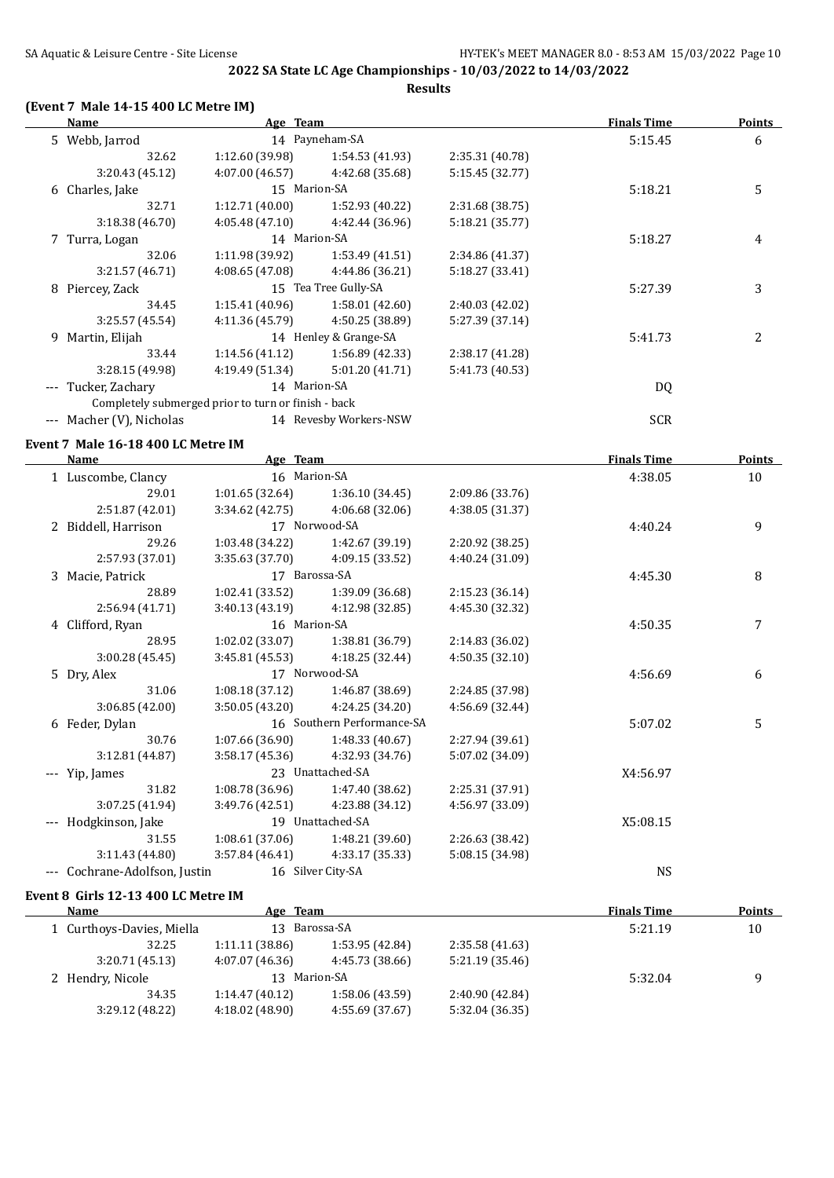**Results**

#### **(Event 7 Male 14-15 400 LC Metre IM)**

|          | Name                                                | Age Team        |                        |                 | <b>Finals Time</b> | <b>Points</b>  |
|----------|-----------------------------------------------------|-----------------|------------------------|-----------------|--------------------|----------------|
|          | 5 Webb, Jarrod                                      |                 | 14 Payneham-SA         |                 | 5:15.45            | 6              |
|          | 32.62                                               | 1:12.60(39.98)  | 1:54.53(41.93)         | 2:35.31 (40.78) |                    |                |
|          | 3:20.43(45.12)                                      | 4:07.00 (46.57) | 4:42.68 (35.68)        | 5:15.45 (32.77) |                    |                |
|          | 6 Charles, Jake                                     | 15 Marion-SA    |                        |                 | 5:18.21            | 5              |
|          | 32.71                                               | 1:12.71(40.00)  | 1:52.93 (40.22)        | 2:31.68 (38.75) |                    |                |
|          | 3:18.38 (46.70)                                     | 4:05.48(47.10)  | 4:42.44 (36.96)        | 5:18.21 (35.77) |                    |                |
|          | 7 Turra, Logan                                      | 14 Marion-SA    |                        |                 | 5:18.27            | 4              |
|          | 32.06                                               | 1:11.98(39.92)  | 1:53.49(41.51)         | 2:34.86 (41.37) |                    |                |
|          | 3:21.57(46.71)                                      | 4:08.65 (47.08) | 4:44.86 (36.21)        | 5:18.27 (33.41) |                    |                |
|          | 8 Piercey, Zack                                     |                 | 15 Tea Tree Gully-SA   |                 | 5:27.39            | 3              |
|          | 34.45                                               | 1:15.41(40.96)  | 1:58.01(42.60)         | 2:40.03 (42.02) |                    |                |
|          | 3:25.57(45.54)                                      | 4:11.36 (45.79) | 4:50.25 (38.89)        | 5:27.39 (37.14) |                    |                |
|          | 9 Martin, Elijah                                    |                 | 14 Henley & Grange-SA  |                 | 5:41.73            | $\mathfrak{D}$ |
|          | 33.44                                               | 1:14.56(41.12)  | 1:56.89 (42.33)        | 2:38.17 (41.28) |                    |                |
|          | 3:28.15(49.98)                                      | 4:19.49 (51.34) | 5:01.20 (41.71)        | 5:41.73 (40.53) |                    |                |
|          | --- Tucker, Zachary                                 | 14 Marion-SA    |                        |                 | DQ                 |                |
|          | Completely submerged prior to turn or finish - back |                 |                        |                 |                    |                |
| $\cdots$ | Macher (V), Nicholas                                |                 | 14 Revesby Workers-NSW |                 | <b>SCR</b>         |                |
|          | Event 7 Male 16-18 400 LC Metre IM                  |                 |                        |                 |                    |                |
|          |                                                     |                 |                        |                 |                    |                |

| <b>Name</b>               | Age Team        |                            |                 | <b>Finals Time</b> | <b>Points</b> |
|---------------------------|-----------------|----------------------------|-----------------|--------------------|---------------|
| 1 Luscombe, Clancy        | 16 Marion-SA    |                            |                 | 4:38.05            | 10            |
| 29.01                     | 1:01.65(32.64)  | 1:36.10 (34.45)            | 2:09.86 (33.76) |                    |               |
| 2:51.87 (42.01)           | 3:34.62(42.75)  | 4:06.68(32.06)             | 4:38.05 (31.37) |                    |               |
| 2 Biddell, Harrison       |                 | 17 Norwood-SA              |                 | 4:40.24            | 9             |
| 29.26                     | 1:03.48 (34.22) | 1:42.67 (39.19)            | 2:20.92 (38.25) |                    |               |
| 2:57.93 (37.01)           | 3:35.63(37.70)  | 4:09.15 (33.52)            | 4:40.24 (31.09) |                    |               |
| 3 Macie, Patrick          | 17 Barossa-SA   |                            |                 | 4:45.30            | 8             |
| 28.89                     | 1:02.41(33.52)  | 1:39.09 (36.68)            | 2:15.23 (36.14) |                    |               |
| 2:56.94 (41.71)           | 3:40.13 (43.19) | 4:12.98 (32.85)            | 4:45.30 (32.32) |                    |               |
| 4 Clifford, Ryan          | 16 Marion-SA    |                            |                 | 4:50.35            | 7             |
| 28.95                     | 1:02.02(33.07)  | 1:38.81 (36.79)            | 2:14.83 (36.02) |                    |               |
| 3:00.28(45.45)            | 3:45.81(45.53)  | 4:18.25(32.44)             | 4:50.35(32.10)  |                    |               |
| 5 Dry, Alex               |                 | 17 Norwood-SA              |                 | 4:56.69            | 6             |
| 31.06                     | 1:08.18(37.12)  | 1:46.87 (38.69)            | 2:24.85 (37.98) |                    |               |
| 3:06.85 (42.00)           | 3:50.05 (43.20) | 4:24.25 (34.20)            | 4:56.69 (32.44) |                    |               |
| 6 Feder, Dylan            |                 | 16 Southern Performance-SA |                 | 5:07.02            | 5             |
| 30.76                     | 1:07.66(36.90)  | 1:48.33 (40.67)            | 2:27.94 (39.61) |                    |               |
| 3:12.81 (44.87)           | 3:58.17(45.36)  | 4:32.93 (34.76)            | 5:07.02 (34.09) |                    |               |
| --- Yip, James            |                 | 23 Unattached-SA           |                 | X4:56.97           |               |
| 31.82                     | 1:08.78(36.96)  | 1:47.40 (38.62)            | 2:25.31 (37.91) |                    |               |
| 3:07.25 (41.94)           | 3:49.76(42.51)  | 4:23.88 (34.12)            | 4:56.97 (33.09) |                    |               |
| Hodgkinson, Jake          |                 | 19 Unattached-SA           |                 | X5:08.15           |               |
| 31.55                     | 1:08.61(37.06)  | 1:48.21 (39.60)            | 2:26.63 (38.42) |                    |               |
| 3:11.43 (44.80)           | 3:57.84(46.41)  | 4:33.17 (35.33)            | 5:08.15 (34.98) |                    |               |
| Cochrane-Adolfson, Justin |                 | 16 Silver City-SA          |                 | <b>NS</b>          |               |

#### **Event 8 Girls 12-13 400 LC Metre IM**

| Name |                           | Age Team       |                 | <b>Finals Time</b> | <b>Points</b> |    |
|------|---------------------------|----------------|-----------------|--------------------|---------------|----|
|      | 1 Curthoys-Davies, Miella |                | 13 Barossa-SA   |                    | 5:21.19       | 10 |
|      | 32.25                     | 1:11.11(38.86) | 1:53.95 (42.84) | 2:35.58(41.63)     |               |    |
|      | 3:20.71(45.13)            | 4:07.07(46.36) | 4:45.73 (38.66) | 5:21.19(35.46)     |               |    |
|      | 2 Hendry, Nicole          | 13             | Marion-SA       |                    | 5:32.04       |    |
|      | 34.35                     | 1:14.47(40.12) | 1:58.06 (43.59) | 2:40.90 (42.84)    |               |    |
|      | 3:29.12 (48.22)           | 4:18.02(48.90) | 4:55.69 (37.67) | 5:32.04 (36.35)    |               |    |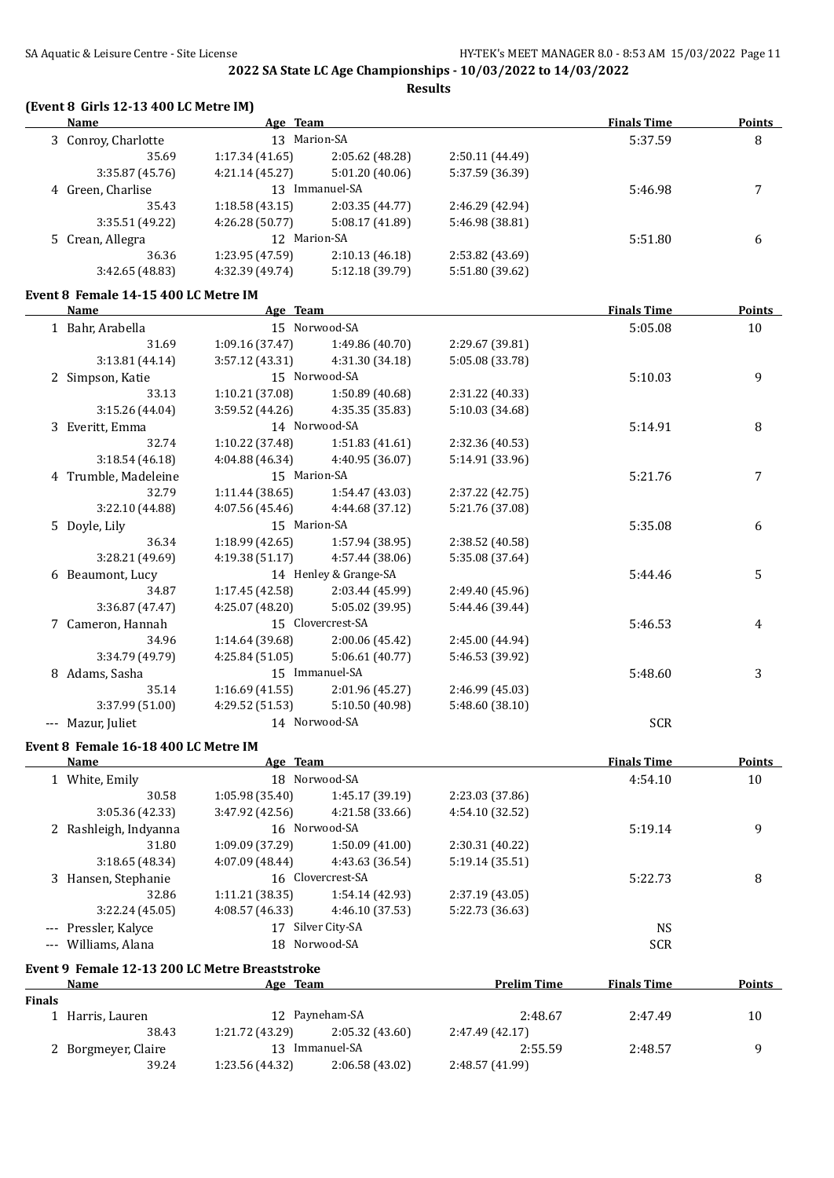**Results**

#### **(Event 8 Girls 12-13 400 LC Metre IM)**

| <b>Name</b>                         | Age Team        |                 |                 | <b>Finals Time</b> | <b>Points</b> |
|-------------------------------------|-----------------|-----------------|-----------------|--------------------|---------------|
| 13 Marion-SA<br>3 Conroy, Charlotte |                 |                 |                 | 5:37.59            | 8             |
| 35.69                               | 1:17.34(41.65)  | 2:05.62 (48.28) | 2:50.11(44.49)  |                    |               |
| 3:35.87(45.76)                      | 4:21.14(45.27)  | 5:01.20(40.06)  | 5:37.59 (36.39) |                    |               |
| 4 Green, Charlise                   | 13.             | Immanuel-SA     |                 | 5:46.98            |               |
| 35.43                               | 1:18.58(43.15)  | 2:03.35(44.77)  | 2:46.29 (42.94) |                    |               |
| 3:35.51 (49.22)                     | 4:26.28(50.77)  | 5:08.17 (41.89) | 5:46.98 (38.81) |                    |               |
| 5 Crean, Allegra                    | 12 Marion-SA    |                 |                 | 5:51.80            | 6             |
| 36.36                               | 1:23.95 (47.59) | 2:10.13(46.18)  | 2:53.82 (43.69) |                    |               |
| 3:42.65 (48.83)                     | 4:32.39 (49.74) | 5:12.18 (39.79) | 5:51.80 (39.62) |                    |               |

#### **Event 8 Female 14-15 400 LC Metre IM**

| Name                 | Age Team        |                       |                 | <b>Finals Time</b> | <b>Points</b> |
|----------------------|-----------------|-----------------------|-----------------|--------------------|---------------|
| 1 Bahr, Arabella     |                 | 15 Norwood-SA         |                 | 5:05.08            | 10            |
| 31.69                | 1:09.16 (37.47) | 1:49.86(40.70)        | 2:29.67 (39.81) |                    |               |
| 3:13.81 (44.14)      | 3:57.12(43.31)  | 4:31.30(34.18)        | 5:05.08 (33.78) |                    |               |
| 2 Simpson, Katie     |                 | 15 Norwood-SA         |                 | 5:10.03            | 9             |
| 33.13                | 1:10.21(37.08)  | 1:50.89(40.68)        | 2:31.22 (40.33) |                    |               |
| 3:15.26 (44.04)      | 3:59.52 (44.26) | 4:35.35 (35.83)       | 5:10.03 (34.68) |                    |               |
| 3 Everitt, Emma      |                 | 14 Norwood-SA         |                 | 5:14.91            | 8             |
| 32.74                | 1:10.22(37.48)  | 1:51.83(41.61)        | 2:32.36 (40.53) |                    |               |
| 3:18.54(46.18)       | 4:04.88 (46.34) | 4:40.95 (36.07)       | 5:14.91 (33.96) |                    |               |
| 4 Trumble, Madeleine |                 | 15 Marion-SA          |                 | 5:21.76            | 7             |
| 32.79                | 1:11.44(38.65)  | 1:54.47(43.03)        | 2:37.22 (42.75) |                    |               |
| 3:22.10 (44.88)      | 4:07.56 (45.46) | 4:44.68 (37.12)       | 5:21.76 (37.08) |                    |               |
| 5 Doyle, Lily        | 15 Marion-SA    |                       |                 | 5:35.08            | 6             |
| 36.34                | 1:18.99(42.65)  | 1:57.94 (38.95)       | 2:38.52 (40.58) |                    |               |
| 3:28.21 (49.69)      | 4:19.38 (51.17) | 4:57.44 (38.06)       | 5:35.08 (37.64) |                    |               |
| 6 Beaumont, Lucy     |                 | 14 Henley & Grange-SA |                 | 5:44.46            | 5             |
| 34.87                | 1:17.45 (42.58) | 2:03.44 (45.99)       | 2:49.40 (45.96) |                    |               |
| 3:36.87 (47.47)      | 4:25.07(48.20)  | 5:05.02 (39.95)       | 5:44.46 (39.44) |                    |               |
| 7 Cameron, Hannah    |                 | 15 Clovercrest-SA     |                 | 5:46.53            | 4             |
| 34.96                | 1:14.64 (39.68) | 2:00.06(45.42)        | 2:45.00 (44.94) |                    |               |
| 3:34.79 (49.79)      | 4:25.84(51.05)  | 5:06.61 (40.77)       | 5:46.53 (39.92) |                    |               |
| 8 Adams, Sasha       |                 | 15 Immanuel-SA        |                 | 5:48.60            | 3             |
| 35.14                | 1:16.69(41.55)  | 2:01.96(45.27)        | 2:46.99 (45.03) |                    |               |
| 3:37.99 (51.00)      | 4:29.52 (51.53) | 5:10.50 (40.98)       | 5:48.60 (38.10) |                    |               |
| Mazur, Juliet        | 14 Norwood-SA   |                       |                 | <b>SCR</b>         |               |

#### **Event 8 Female 16-18 400 LC Metre IM**

| Name                  | Age Team        |                   |                 | <b>Finals Time</b> | <b>Points</b> |
|-----------------------|-----------------|-------------------|-----------------|--------------------|---------------|
| 1 White, Emily        |                 | 18 Norwood-SA     |                 | 4:54.10            | 10            |
| 30.58                 | 1:05.98(35.40)  | 1:45.17(39.19)    | 2:23.03 (37.86) |                    |               |
| 3:05.36 (42.33)       | 3:47.92(42.56)  | 4:21.58 (33.66)   | 4:54.10 (32.52) |                    |               |
| 2 Rashleigh, Indyanna |                 | 16 Norwood-SA     |                 | 5:19.14            | 9             |
| 31.80                 | 1:09.09 (37.29) | 1:50.09(41.00)    | 2:30.31 (40.22) |                    |               |
| 3:18.65(48.34)        | 4:07.09(48.44)  | 4:43.63 (36.54)   | 5:19.14(35.51)  |                    |               |
| 3 Hansen, Stephanie   |                 | 16 Clovercrest-SA |                 | 5:22.73            | 8             |
| 32.86                 | 1:11.21(38.35)  | 1:54.14 (42.93)   | 2:37.19 (43.05) |                    |               |
| 3:22.24(45.05)        | 4:08.57(46.33)  | 4:46.10(37.53)    | 5:22.73 (36.63) |                    |               |
| --- Pressler, Kalyce  | 17              | Silver City-SA    |                 | <b>NS</b>          |               |
| --- Williams, Alana   |                 | 18 Norwood-SA     |                 | <b>SCR</b>         |               |
|                       |                 |                   |                 |                    |               |

#### **Event 9 Female 12-13 200 LC Metre Breaststroke**

|        | <b>Name</b>         | <b>Team</b><br>Age |                | <b>Prelim Time</b> | <b>Finals Time</b> | <b>Points</b> |
|--------|---------------------|--------------------|----------------|--------------------|--------------------|---------------|
| Finals |                     |                    |                |                    |                    |               |
|        | l Harris, Lauren    |                    | 12 Payneham-SA | 2:48.67            | 2:47.49            | 10            |
|        | 38.43               | 1:21.72 (43.29)    | 2:05.32(43.60) | 2:47.49 (42.17)    |                    |               |
|        | 2 Borgmeyer, Claire | 13                 | Immanuel-SA    | 2:55.59            | 2:48.57            |               |
|        | 39.24               | 1:23.56 (44.32)    | 2:06.58(43.02) | 2:48.57 (41.99)    |                    |               |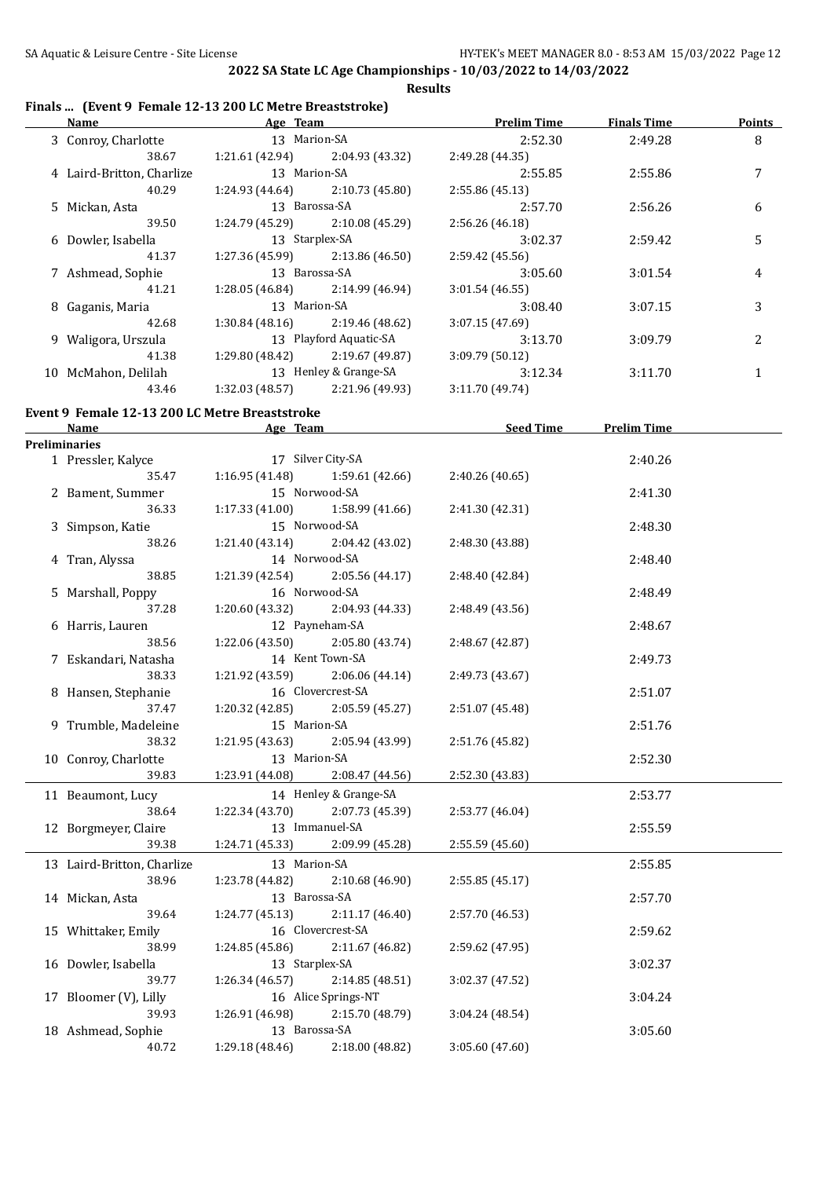**2022 SA State LC Age Championships - 10/03/2022 to 14/03/2022 Results**

#### **Finals ... (Event 9 Female 12-13 200 LC Metre Breaststroke)**

|                                                | Name Prelim Time Age Team Prelim Time                 |                       |                                                                                | <b>Finals Time</b> | Points       |
|------------------------------------------------|-------------------------------------------------------|-----------------------|--------------------------------------------------------------------------------|--------------------|--------------|
| 3 Conroy, Charlotte 13 Marion-SA               |                                                       |                       | 2:52.30                                                                        | 2:49.28            | $\, 8$       |
| 38.67                                          | 1:21.61 (42.94) 2:04.93 (43.32) 2:49.28 (44.35)       |                       |                                                                                |                    |              |
| 4 Laird-Britton, Charlize 13 Marion-SA         |                                                       |                       | 2:55.85                                                                        | 2:55.86            | 7            |
| 40.29                                          | $1:24.93(44.64)$ $2:10.73(45.80)$                     |                       | 2:55.86 (45.13)                                                                |                    |              |
| 5 Mickan, Asta                                 | 13 Barossa-SA                                         |                       | 2:57.70                                                                        | 2:56.26            | 6            |
| 39.50                                          | $1:24.79(45.29)$ $2:10.08(45.29)$                     |                       | 2:56.26 (46.18)                                                                |                    |              |
| 6 Dowler, Isabella                             | 13 Starplex-SA                                        |                       | 3:02.37                                                                        | 2:59.42            | 5            |
| 41.37                                          | $1:27.36(45.99)$ $2:13.86(46.50)$                     |                       | 2:59.42 (45.56)                                                                |                    |              |
| 7 Ashmead, Sophie 13 Barossa-SA                |                                                       |                       | 3:05.60                                                                        | 3:01.54            | 4            |
| 41.21                                          | $1:28.05(46.84)$ $2:14.99(46.94)$                     |                       | 3:01.54(46.55)                                                                 |                    |              |
| 8 Gaganis, Maria                               | 13 Marion-SA                                          |                       | 3:08.40                                                                        | 3:07.15            | 3            |
| 42.68                                          | $1:30.84(48.16)$ $2:19.46(48.62)$                     |                       | 3:07.15(47.69)                                                                 |                    |              |
|                                                |                                                       |                       |                                                                                |                    |              |
| 9 Waligora, Urszula 13 Playford Aquatic-SA     |                                                       |                       | 3:13.70                                                                        | 3:09.79            | 2            |
| 41.38                                          | 1:29.80 (48.42) 2:19.67 (49.87)                       |                       | 3:09.79(50.12)                                                                 |                    |              |
| 10 McMahon, Delilah 13 Henley & Grange-SA      |                                                       |                       | 3:12.34                                                                        | 3:11.70            | $\mathbf{1}$ |
| 43.46                                          | $1:32.03(48.57)$ $2:21.96(49.93)$                     |                       | 3:11.70(49.74)                                                                 |                    |              |
| Event 9 Female 12-13 200 LC Metre Breaststroke |                                                       |                       |                                                                                |                    |              |
|                                                |                                                       |                       | Name <b>Seed Time</b> Prelim Time <b>Age</b> Team <b>Seed Time</b> Prelim Time |                    |              |
| <b>Preliminaries</b>                           |                                                       |                       |                                                                                |                    |              |
| 1 Pressler, Kalyce                             | 17 Silver City-SA                                     |                       |                                                                                | 2:40.26            |              |
|                                                | 35.47 1:16.95 (41.48) 1:59.61 (42.66) 2:40.26 (40.65) |                       |                                                                                |                    |              |
| 2 Bament, Summer 15 Norwood-SA                 |                                                       |                       |                                                                                | 2:41.30            |              |
| 36.33                                          | $1:17.33(41.00)$ $1:58.99(41.66)$                     |                       | 2:41.30 (42.31)                                                                |                    |              |
| 3 Simpson, Katie                               | 15 Norwood-SA                                         |                       |                                                                                | 2:48.30            |              |
| 38.26                                          | $1:21.40(43.14)$ $2:04.42(43.02)$                     |                       | 2:48.30 (43.88)                                                                |                    |              |
| 4 Tran, Alyssa                                 | 14 Norwood-SA                                         |                       |                                                                                | 2:48.40            |              |
| 38.85                                          | $1:21.39(42.54)$ $2:05.56(44.17)$                     |                       | 2:48.40 (42.84)                                                                |                    |              |
|                                                |                                                       |                       |                                                                                |                    |              |
| 5 Marshall, Poppy                              | 16 Norwood-SA                                         |                       |                                                                                | 2:48.49            |              |
| 37.28                                          | $1:20.60(43.32)$ $2:04.93(44.33)$                     |                       | 2:48.49(43.56)                                                                 |                    |              |
| 6 Harris, Lauren                               | 12 Payneham-SA                                        |                       |                                                                                | 2:48.67            |              |
| 38.56                                          | $1:22.06(43.50)$ $2:05.80(43.74)$                     |                       | 2:48.67 (42.87)                                                                |                    |              |
| 7 Eskandari, Natasha                           | 14 Kent Town-SA                                       |                       |                                                                                | 2:49.73            |              |
| 38.33                                          | $1:21.92(43.59)$ $2:06.06(44.14)$                     |                       | 2:49.73 (43.67)                                                                |                    |              |
| 8 Hansen, Stephanie 16 Clovercrest-SA          |                                                       |                       |                                                                                | 2:51.07            |              |
| 37.47                                          | $1:20.32$ $(42.85)$ $2:05.59$ $(45.27)$               |                       | 2:51.07 (45.48)                                                                |                    |              |
| 9 Trumble, Madeleine                           | 15 Marion-SA                                          |                       |                                                                                | 2:51.76            |              |
| 38.32                                          | 1:21.95 (43.63)                                       | 2:05.94 (43.99)       | 2:51.76 (45.82)                                                                |                    |              |
| 10 Conroy, Charlotte                           | 13 Marion-SA                                          |                       |                                                                                | 2:52.30            |              |
| 39.83                                          | 1:23.91 (44.08)                                       | 2:08.47 (44.56)       | 2:52.30 (43.83)                                                                |                    |              |
| 11 Beaumont, Lucy                              |                                                       | 14 Henley & Grange-SA |                                                                                | 2:53.77            |              |
| 38.64                                          | 1:22.34 (43.70)                                       | 2:07.73 (45.39)       | 2:53.77 (46.04)                                                                |                    |              |
| 12 Borgmeyer, Claire                           | 13 Immanuel-SA                                        |                       |                                                                                |                    |              |
| 39.38                                          |                                                       |                       | 2:55.59 (45.60)                                                                | 2:55.59            |              |
|                                                | 1:24.71 (45.33)                                       | 2:09.99 (45.28)       |                                                                                |                    |              |
| 13 Laird-Britton, Charlize                     | 13 Marion-SA                                          |                       |                                                                                | 2:55.85            |              |
| 38.96                                          | 1:23.78 (44.82)                                       | 2:10.68 (46.90)       | 2:55.85 (45.17)                                                                |                    |              |
| 14 Mickan, Asta                                | 13 Barossa-SA                                         |                       |                                                                                | 2:57.70            |              |
| 39.64                                          | 1:24.77(45.13)                                        | 2:11.17 (46.40)       | 2:57.70 (46.53)                                                                |                    |              |
| 15 Whittaker, Emily                            | 16 Clovercrest-SA                                     |                       |                                                                                | 2:59.62            |              |
| 38.99                                          | 1:24.85 (45.86)                                       | 2:11.67 (46.82)       | 2:59.62 (47.95)                                                                |                    |              |
| 16 Dowler, Isabella                            | 13 Starplex-SA                                        |                       |                                                                                | 3:02.37            |              |
| 39.77                                          | 1:26.34(46.57)                                        | 2:14.85 (48.51)       | 3:02.37 (47.52)                                                                |                    |              |
| 17 Bloomer (V), Lilly                          | 16 Alice Springs-NT                                   |                       |                                                                                | 3:04.24            |              |
| 39.93                                          | 1:26.91 (46.98)                                       | 2:15.70 (48.79)       | 3:04.24 (48.54)                                                                |                    |              |
| 18 Ashmead, Sophie                             | 13 Barossa-SA                                         |                       |                                                                                | 3:05.60            |              |
| 40.72                                          | 1:29.18 (48.46)                                       | 2:18.00 (48.82)       | 3:05.60 (47.60)                                                                |                    |              |
|                                                |                                                       |                       |                                                                                |                    |              |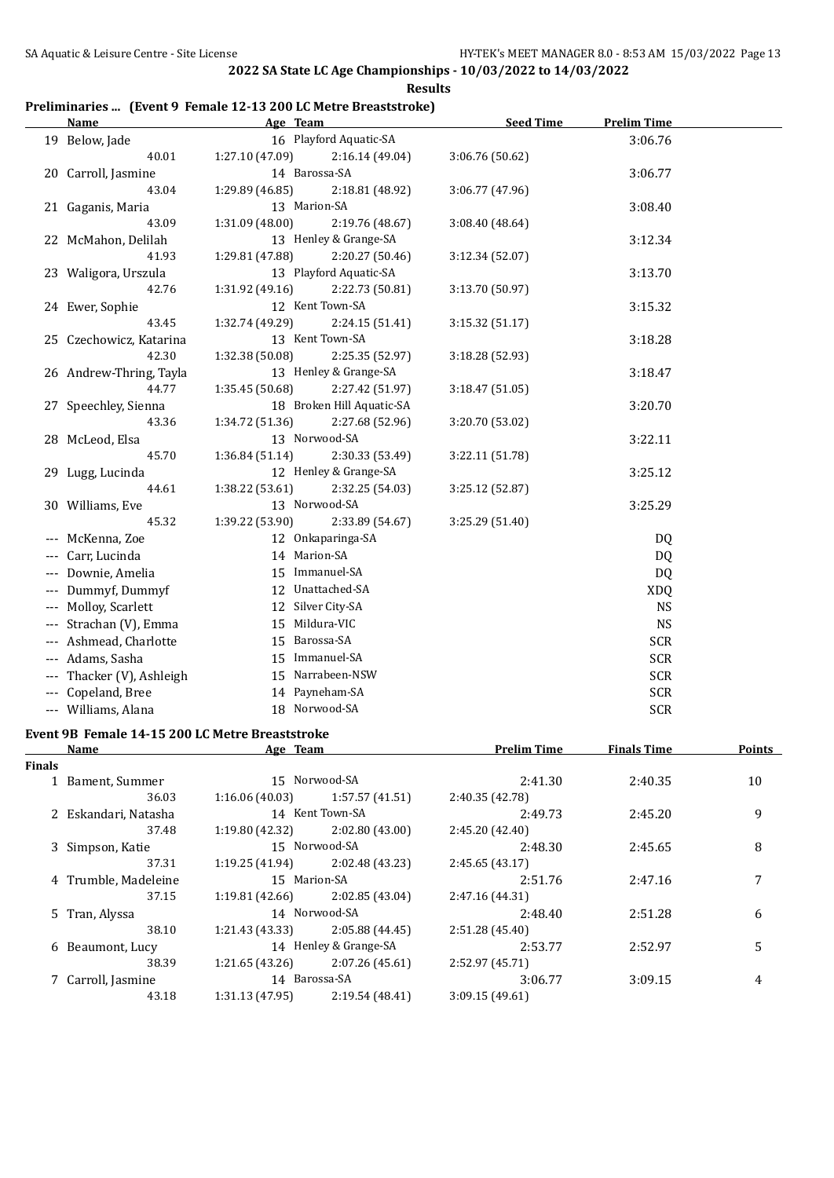## **Preliminaries ... (Event 9 Female 12-13 200 LC Metre Breaststroke)**

| <b>Name</b>               | Age Team        |                           | <b>Seed Time</b> | <b>Prelim Time</b> |  |
|---------------------------|-----------------|---------------------------|------------------|--------------------|--|
| 19 Below, Jade            |                 | 16 Playford Aquatic-SA    |                  | 3:06.76            |  |
| 40.01                     | 1:27.10(47.09)  | 2:16.14(49.04)            | 3:06.76 (50.62)  |                    |  |
| 20 Carroll, Jasmine       | 14 Barossa-SA   |                           |                  | 3:06.77            |  |
| 43.04                     | 1:29.89 (46.85) | 2:18.81 (48.92)           | 3:06.77 (47.96)  |                    |  |
| 21 Gaganis, Maria         | 13 Marion-SA    |                           |                  | 3:08.40            |  |
| 43.09                     | 1:31.09 (48.00) | 2:19.76 (48.67)           | 3:08.40 (48.64)  |                    |  |
| 22 McMahon, Delilah       |                 | 13 Henley & Grange-SA     |                  | 3:12.34            |  |
| 41.93                     | 1:29.81 (47.88) | 2:20.27 (50.46)           | 3:12.34 (52.07)  |                    |  |
| 23 Waligora, Urszula      |                 | 13 Playford Aquatic-SA    |                  | 3:13.70            |  |
| 42.76                     | 1:31.92 (49.16) | 2:22.73 (50.81)           | 3:13.70 (50.97)  |                    |  |
| 24 Ewer, Sophie           | 12 Kent Town-SA |                           |                  | 3:15.32            |  |
| 43.45                     | 1:32.74 (49.29) | 2:24.15 (51.41)           | 3:15.32 (51.17)  |                    |  |
| 25 Czechowicz, Katarina   |                 | 13 Kent Town-SA           |                  | 3:18.28            |  |
| 42.30                     | 1:32.38(50.08)  | 2:25.35 (52.97)           | 3:18.28 (52.93)  |                    |  |
| 26 Andrew-Thring, Tayla   |                 | 13 Henley & Grange-SA     |                  | 3:18.47            |  |
| 44.77                     | 1:35.45(50.68)  | 2:27.42 (51.97)           | 3:18.47(51.05)   |                    |  |
| 27 Speechley, Sienna      |                 | 18 Broken Hill Aquatic-SA |                  | 3:20.70            |  |
| 43.36                     | 1:34.72 (51.36) | 2:27.68 (52.96)           | 3:20.70 (53.02)  |                    |  |
| 28 McLeod, Elsa           |                 | 13 Norwood-SA             |                  | 3:22.11            |  |
| 45.70                     | 1:36.84(51.14)  | 2:30.33 (53.49)           | 3:22.11 (51.78)  |                    |  |
| 29 Lugg, Lucinda          |                 | 12 Henley & Grange-SA     |                  | 3:25.12            |  |
| 44.61                     | 1:38.22 (53.61) | 2:32.25 (54.03)           | 3:25.12 (52.87)  |                    |  |
| 30 Williams, Eve          |                 | 13 Norwood-SA             |                  | 3:25.29            |  |
| 45.32                     | 1:39.22 (53.90) | 2:33.89 (54.67)           | 3:25.29 (51.40)  |                    |  |
| --- McKenna, Zoe          |                 | 12 Onkaparinga-SA         |                  | DQ                 |  |
| --- Carr, Lucinda         | 14 Marion-SA    |                           |                  | DQ                 |  |
| Downie, Amelia            |                 | 15 Immanuel-SA            |                  | DQ                 |  |
| Dummyf, Dummyf            |                 | 12 Unattached-SA          |                  | <b>XDQ</b>         |  |
| Molloy, Scarlett          |                 | 12 Silver City-SA         |                  | <b>NS</b>          |  |
| Strachan (V), Emma        |                 | 15 Mildura-VIC            |                  | <b>NS</b>          |  |
| --- Ashmead, Charlotte    | 15 Barossa-SA   |                           |                  | <b>SCR</b>         |  |
| --- Adams, Sasha          |                 | 15 Immanuel-SA            |                  | <b>SCR</b>         |  |
| --- Thacker (V), Ashleigh |                 | 15 Narrabeen-NSW          |                  | <b>SCR</b>         |  |
| --- Copeland, Bree        |                 | 14 Payneham-SA            |                  | $SCR$              |  |
| --- Williams, Alana       |                 | 18 Norwood-SA             |                  | <b>SCR</b>         |  |

#### **Event 9B Female 14-15 200 LC Metre Breaststroke**

|        | Name                 | Age Team        |                       | <b>Prelim Time</b> | <b>Finals Time</b> | Points |
|--------|----------------------|-----------------|-----------------------|--------------------|--------------------|--------|
| Finals |                      |                 |                       |                    |                    |        |
|        | 1 Bament, Summer     |                 | 15 Norwood-SA         | 2:41.30            | 2:40.35            | 10     |
|        | 36.03                | 1:16.06(40.03)  | 1:57.57(41.51)        | 2:40.35 (42.78)    |                    |        |
|        | 2 Eskandari, Natasha |                 | 14 Kent Town-SA       | 2:49.73            | 2:45.20            | 9      |
|        | 37.48                | 1:19.80(42.32)  | 2:02.80(43.00)        | 2:45.20(42.40)     |                    |        |
|        | 3 Simpson, Katie     |                 | 15 Norwood-SA         | 2:48.30            | 2:45.65            | 8      |
|        | 37.31                | 1:19.25 (41.94) | 2:02.48 (43.23)       | 2:45.65(43.17)     |                    |        |
|        | 4 Trumble, Madeleine | 15 Marion-SA    |                       | 2:51.76            | 2:47.16            | 7      |
|        | 37.15                | 1:19.81 (42.66) | 2:02.85 (43.04)       | 2:47.16 (44.31)    |                    |        |
|        | 5 Tran, Alyssa       |                 | 14 Norwood-SA         | 2:48.40            | 2:51.28            | 6      |
|        | 38.10                | 1:21.43 (43.33) | 2:05.88 (44.45)       | 2:51.28 (45.40)    |                    |        |
|        | 6 Beaumont, Lucy     |                 | 14 Henley & Grange-SA | 2:53.77            | 2:52.97            | 5      |
|        | 38.39                | 1:21.65(43.26)  | 2:07.26 (45.61)       | 2:52.97 (45.71)    |                    |        |
|        | 7 Carroll, Jasmine   | 14 Barossa-SA   |                       | 3:06.77            | 3:09.15            | 4      |
|        | 43.18                | 1:31.13(47.95)  | 2:19.54 (48.41)       | 3:09.15(49.61)     |                    |        |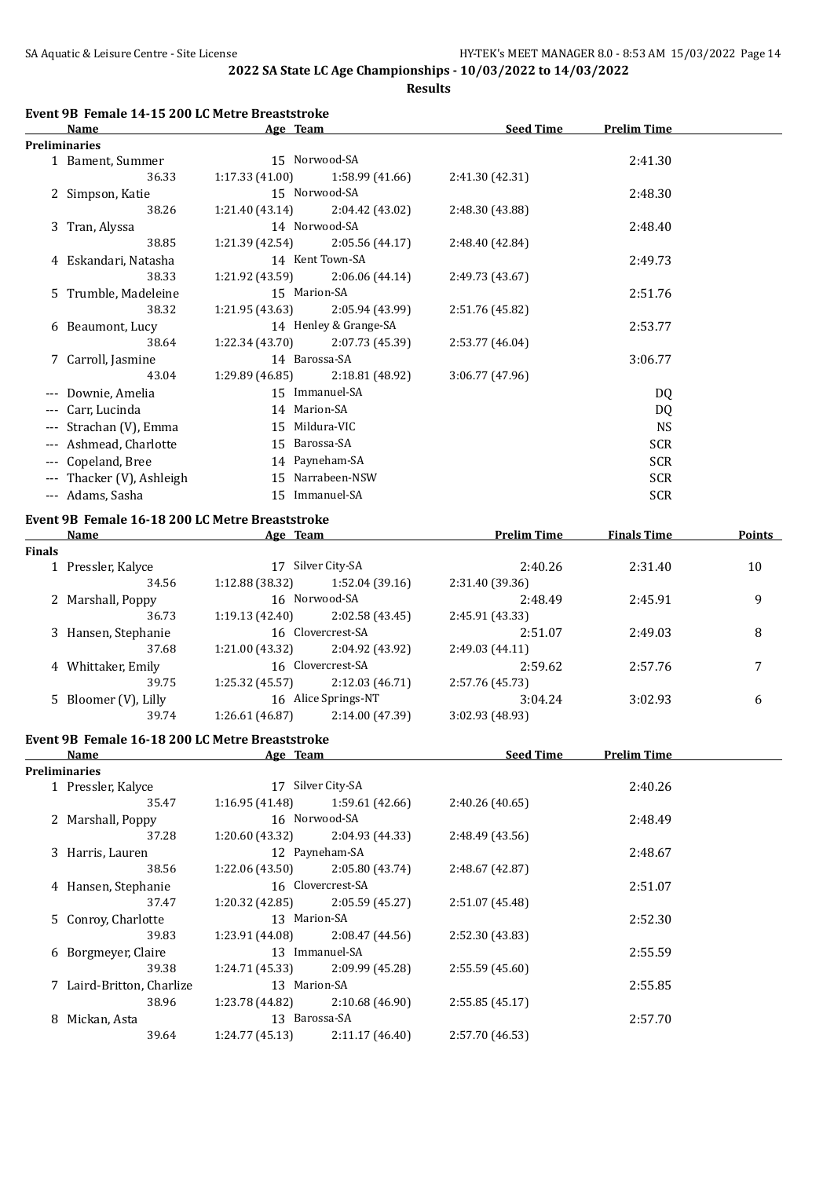**Results**

#### **Event 9B Female 14-15 200 LC Metre Breaststroke**

| <b>Name</b><br>Age Team   |                                   | <b>Seed Time</b>      | <b>Prelim Time</b> |            |  |
|---------------------------|-----------------------------------|-----------------------|--------------------|------------|--|
| <b>Preliminaries</b>      |                                   |                       |                    |            |  |
| 1 Bament, Summer          |                                   | 15 Norwood-SA         |                    | 2:41.30    |  |
| 36.33                     | 1:17.33(41.00)                    | 1:58.99 (41.66)       | 2:41.30 (42.31)    |            |  |
| 2 Simpson, Katie          |                                   | 15 Norwood-SA         |                    | 2:48.30    |  |
| 38.26                     | 1:21.40(43.14)                    | 2:04.42 (43.02)       | 2:48.30 (43.88)    |            |  |
| 3 Tran, Alyssa            |                                   | 14 Norwood-SA         |                    | 2:48.40    |  |
| 38.85                     | $1:21.39(42.54)$ $2:05.56(44.17)$ |                       | 2:48.40 (42.84)    |            |  |
| 4 Eskandari, Natasha      |                                   | 14 Kent Town-SA       |                    | 2:49.73    |  |
| 38.33                     | 1:21.92 (43.59)                   | 2:06.06(44.14)        | 2:49.73 (43.67)    |            |  |
| 5 Trumble, Madeleine      | 15 Marion-SA                      |                       |                    | 2:51.76    |  |
| 38.32                     | 1:21.95 (43.63)                   | 2:05.94 (43.99)       | 2:51.76 (45.82)    |            |  |
| 6 Beaumont, Lucy          |                                   | 14 Henley & Grange-SA |                    | 2:53.77    |  |
| 38.64                     | 1:22.34(43.70)                    | 2:07.73 (45.39)       | 2:53.77 (46.04)    |            |  |
| 7 Carroll, Jasmine        | 14 Barossa-SA                     |                       |                    | 3:06.77    |  |
| 43.04                     | 1:29.89 (46.85)                   | 2:18.81 (48.92)       | 3:06.77(47.96)     |            |  |
| Downie, Amelia            |                                   | 15 Immanuel-SA        |                    | DQ         |  |
| --- Carr, Lucinda         | 14 Marion-SA                      |                       |                    | DQ.        |  |
| --- Strachan (V), Emma    |                                   | 15 Mildura-VIC        |                    | <b>NS</b>  |  |
| --- Ashmead, Charlotte    | 15 Barossa-SA                     |                       |                    | <b>SCR</b> |  |
| Copeland, Bree            |                                   | 14 Payneham-SA        |                    | <b>SCR</b> |  |
| --- Thacker (V), Ashleigh |                                   | 15 Narrabeen-NSW      |                    | <b>SCR</b> |  |
| --- Adams, Sasha          |                                   | 15 Immanuel-SA        |                    | <b>SCR</b> |  |
|                           | .                                 |                       |                    |            |  |

#### **Event 9B Female 16-18 200 LC Metre Breaststroke**

|               | <b>Name</b>          | Age Team                           |                     | <b>Prelim Time</b> | <b>Finals Time</b> | Points |
|---------------|----------------------|------------------------------------|---------------------|--------------------|--------------------|--------|
| <b>Finals</b> |                      |                                    |                     |                    |                    |        |
|               | 1 Pressler, Kalyce   | 17                                 | Silver City-SA      | 2:40.26            | 2:31.40            | 10     |
|               | 34.56                | 1:12.88(38.32)                     | 1:52.04(39.16)      | 2:31.40 (39.36)    |                    |        |
|               | 2 Marshall, Poppy    |                                    | 16 Norwood-SA       | 2:48.49            | 2:45.91            | 9      |
|               | 36.73                | 1:19.13(42.40)                     | 2:02.58 (43.45)     | 2:45.91 (43.33)    |                    |        |
|               | 3 Hansen, Stephanie  |                                    | 16 Clovercrest-SA   | 2:51.07            | 2:49.03            | 8      |
|               | 37.68                | 1:21.00 (43.32)                    | 2:04.92 (43.92)     | 2:49.03(44.11)     |                    |        |
|               | 4 Whittaker, Emily   |                                    | 16 Clovercrest-SA   | 2:59.62            | 2:57.76            |        |
|               | 39.75                | 1:25.32(45.57)                     | 2:12.03(46.71)      | 2:57.76 (45.73)    |                    |        |
|               | 5 Bloomer (V), Lilly |                                    | 16 Alice Springs-NT | 3:04.24            | 3:02.93            | 6      |
|               | 39.74                | 1:26.61 (46.87)<br>2:14.00 (47.39) |                     | 3:02.93 (48.93)    |                    |        |

# **Event 9B Female 16-18 200 LC Metre Breaststroke**

| Name                      | Age Team        |                   | <b>Seed Time</b> | <b>Prelim Time</b> |  |
|---------------------------|-----------------|-------------------|------------------|--------------------|--|
| <b>Preliminaries</b>      |                 |                   |                  |                    |  |
| 1 Pressler, Kalyce        |                 | 17 Silver City-SA |                  | 2:40.26            |  |
| 35.47                     | 1:16.95(41.48)  | 1:59.61 (42.66)   | 2:40.26 (40.65)  |                    |  |
| 2 Marshall, Poppy         |                 | 16 Norwood-SA     |                  | 2:48.49            |  |
| 37.28                     | 1:20.60 (43.32) | 2:04.93 (44.33)   | 2:48.49 (43.56)  |                    |  |
| 3 Harris, Lauren          |                 | 12 Payneham-SA    |                  | 2:48.67            |  |
| 38.56                     | 1:22.06 (43.50) | 2:05.80 (43.74)   | 2:48.67 (42.87)  |                    |  |
| 4 Hansen, Stephanie       |                 | 16 Clovercrest-SA |                  | 2:51.07            |  |
| 37.47                     | 1:20.32 (42.85) | 2:05.59 (45.27)   | 2:51.07 (45.48)  |                    |  |
| 5 Conroy, Charlotte       |                 | 13 Marion-SA      |                  |                    |  |
| 39.83                     | 1:23.91 (44.08) | 2:08.47 (44.56)   | 2:52.30 (43.83)  |                    |  |
| 6 Borgmeyer, Claire       |                 | 13 Immanuel-SA    |                  | 2:55.59            |  |
| 39.38                     | 1:24.71 (45.33) | 2:09.99 (45.28)   | 2:55.59(45.60)   |                    |  |
| 7 Laird-Britton, Charlize | 13 Marion-SA    |                   |                  | 2:55.85            |  |
| 38.96                     | 1:23.78 (44.82) | 2:10.68 (46.90)   | 2:55.85(45.17)   |                    |  |
| 8 Mickan, Asta            |                 | 13 Barossa-SA     |                  | 2:57.70            |  |
| 39.64                     | 1:24.77(45.13)  | 2:11.17(46.40)    | 2:57.70 (46.53)  |                    |  |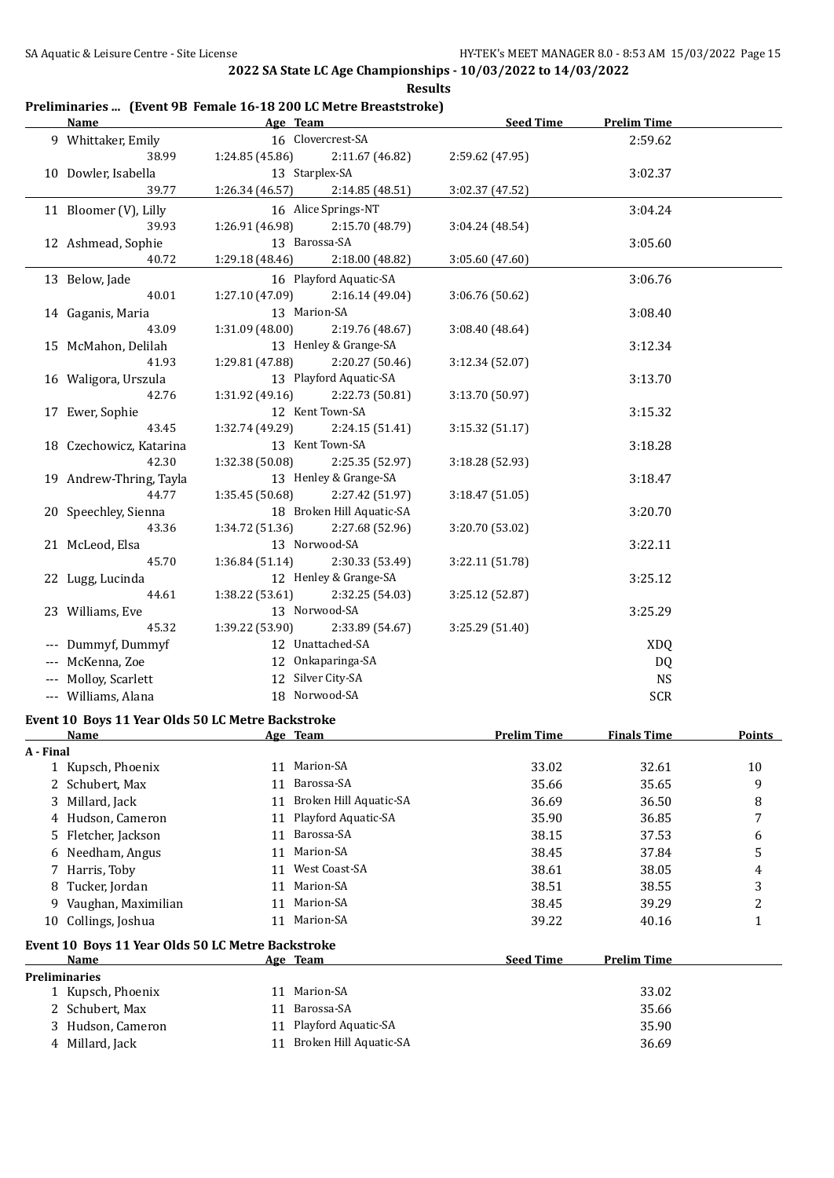|           | <u>Name</u>                                       |                           | Age Team                  | Seed Time          | <b>Prelim Time</b> |               |
|-----------|---------------------------------------------------|---------------------------|---------------------------|--------------------|--------------------|---------------|
|           | 9 Whittaker, Emily                                |                           | 16 Clovercrest-SA         |                    | 2:59.62            |               |
|           | 38.99                                             | 1:24.85(45.86)            | 2:11.67 (46.82)           | 2:59.62 (47.95)    |                    |               |
|           | 10 Dowler, Isabella                               |                           | 13 Starplex-SA            |                    | 3:02.37            |               |
|           | 39.77                                             | 1:26.34 (46.57)           | 2:14.85 (48.51)           | 3:02.37 (47.52)    |                    |               |
|           | 11 Bloomer (V), Lilly                             |                           | 16 Alice Springs-NT       |                    | 3:04.24            |               |
|           | 39.93                                             | 1:26.91 (46.98)           | 2:15.70 (48.79)           | 3:04.24 (48.54)    |                    |               |
|           | 12 Ashmead, Sophie                                |                           | 13 Barossa-SA             |                    | 3:05.60            |               |
|           | 40.72                                             | 1:29.18 (48.46)           | 2:18.00 (48.82)           | 3:05.60 (47.60)    |                    |               |
|           |                                                   |                           | 16 Playford Aquatic-SA    |                    |                    |               |
|           | 13 Below, Jade                                    |                           |                           |                    | 3:06.76            |               |
|           | 40.01                                             | 1:27.10(47.09)            | 2:16.14(49.04)            | 3:06.76 (50.62)    |                    |               |
|           | 14 Gaganis, Maria                                 |                           | 13 Marion-SA              |                    | 3:08.40            |               |
|           | 43.09                                             | 1:31.09(48.00)            | 2:19.76 (48.67)           | 3:08.40 (48.64)    |                    |               |
|           | 15 McMahon, Delilah                               |                           | 13 Henley & Grange-SA     |                    | 3:12.34            |               |
|           | 41.93                                             | 1:29.81 (47.88)           | 2:20.27 (50.46)           | 3:12.34 (52.07)    |                    |               |
|           | 16 Waligora, Urszula                              |                           | 13 Playford Aquatic-SA    |                    | 3:13.70            |               |
|           | 42.76                                             | 1:31.92 (49.16)           | 2:22.73 (50.81)           | 3:13.70 (50.97)    |                    |               |
|           | 17 Ewer, Sophie                                   |                           | 12 Kent Town-SA           |                    | 3:15.32            |               |
|           | 43.45                                             | 1:32.74 (49.29)           | 2:24.15 (51.41)           | 3:15.32(51.17)     |                    |               |
|           | 18 Czechowicz, Katarina                           |                           | 13 Kent Town-SA           |                    | 3:18.28            |               |
|           | 42.30                                             | 1:32.38 (50.08)           | 2:25.35 (52.97)           | 3:18.28 (52.93)    |                    |               |
|           | 19 Andrew-Thring, Tayla                           |                           | 13 Henley & Grange-SA     |                    | 3:18.47            |               |
|           | 44.77                                             | 1:35.45 (50.68)           | 2:27.42 (51.97)           | 3:18.47 (51.05)    |                    |               |
|           | 20 Speechley, Sienna                              |                           | 18 Broken Hill Aquatic-SA |                    | 3:20.70            |               |
|           | 43.36                                             | 1:34.72 (51.36)           | 2:27.68 (52.96)           | 3:20.70 (53.02)    |                    |               |
|           | 21 McLeod, Elsa                                   |                           | 13 Norwood-SA             |                    | 3:22.11            |               |
|           | 45.70                                             | 1:36.84(51.14)            | 2:30.33 (53.49)           | 3:22.11 (51.78)    |                    |               |
|           | 22 Lugg, Lucinda                                  |                           | 12 Henley & Grange-SA     |                    | 3:25.12            |               |
|           | 44.61                                             | 1:38.22 (53.61)           | 2:32.25 (54.03)           | 3:25.12 (52.87)    |                    |               |
|           | 23 Williams, Eve                                  |                           | 13 Norwood-SA             |                    | 3:25.29            |               |
|           | 45.32                                             | 1:39.22 (53.90)           | 2:33.89 (54.67)           | 3:25.29 (51.40)    |                    |               |
|           | --- Dummyf, Dummyf                                |                           | 12 Unattached-SA          |                    | <b>XDQ</b>         |               |
|           | --- McKenna, Zoe                                  |                           | 12 Onkaparinga-SA         |                    | DQ                 |               |
|           | --- Molloy, Scarlett                              |                           | 12 Silver City-SA         |                    | <b>NS</b>          |               |
|           | --- Williams, Alana                               |                           | 18 Norwood-SA             |                    | SCR                |               |
|           |                                                   |                           |                           |                    |                    |               |
|           | Event 10 Boys 11 Year Olds 50 LC Metre Backstroke |                           |                           |                    |                    |               |
|           | Name                                              | <b>Example 2</b> Age Team |                           | <b>Prelim Time</b> | <b>Finals Time</b> | <b>Points</b> |
| A - Final |                                                   |                           |                           |                    |                    |               |
|           | 1 Kupsch, Phoenix                                 |                           | 11 Marion-SA              | 33.02              | 32.61              | 10            |
|           | 2 Schubert, Max                                   | 11                        | Barossa-SA                | 35.66              | 35.65              | 9             |
|           | 3 Millard, Jack                                   | 11                        | Broken Hill Aquatic-SA    | 36.69              | 36.50              | 8             |
|           | 4 Hudson, Cameron                                 | 11                        | Playford Aquatic-SA       | 35.90              | 36.85              | 7             |
|           | 5 Fletcher, Jackson                               | 11                        | Barossa-SA                | 38.15              | 37.53              | 6             |
| 6         | Needham, Angus                                    | 11                        | Marion-SA                 | 38.45              | 37.84              | 5             |
|           | 7 Harris, Toby                                    | 11                        | West Coast-SA             | 38.61              | 38.05              | 4             |
| 8         | Tucker, Jordan                                    |                           | 11 Marion-SA              | 38.51              | 38.55              | 3             |
| 9         | Vaughan, Maximilian                               | 11                        | Marion-SA                 | 38.45              | 39.29              | 2             |
| 10        | Collings, Joshua                                  |                           | 11 Marion-SA              | 39.22              | 40.16              | $\mathbf{1}$  |
|           |                                                   |                           |                           |                    |                    |               |
|           | Event 10 Boys 11 Year Olds 50 LC Metre Backstroke |                           |                           |                    |                    |               |
|           | Name                                              |                           | Age Team                  | <b>Seed Time</b>   | <b>Prelim Time</b> |               |
|           | <b>Preliminaries</b>                              |                           |                           |                    |                    |               |
|           | 1 Kupsch, Phoenix                                 | 11                        | Marion-SA                 |                    | 33.02              |               |
|           | 2 Schubert, Max                                   | 11                        | Barossa-SA                |                    | 35.66              |               |
|           | 3 Hudson, Cameron                                 | 11                        | Playford Aquatic-SA       |                    | 35.90              |               |
|           | 4 Millard, Jack                                   |                           | 11 Broken Hill Aquatic-SA |                    | 36.69              |               |

## **Preliminaries ... (Event 9B Female 16-18 200 LC Metre Breaststroke)**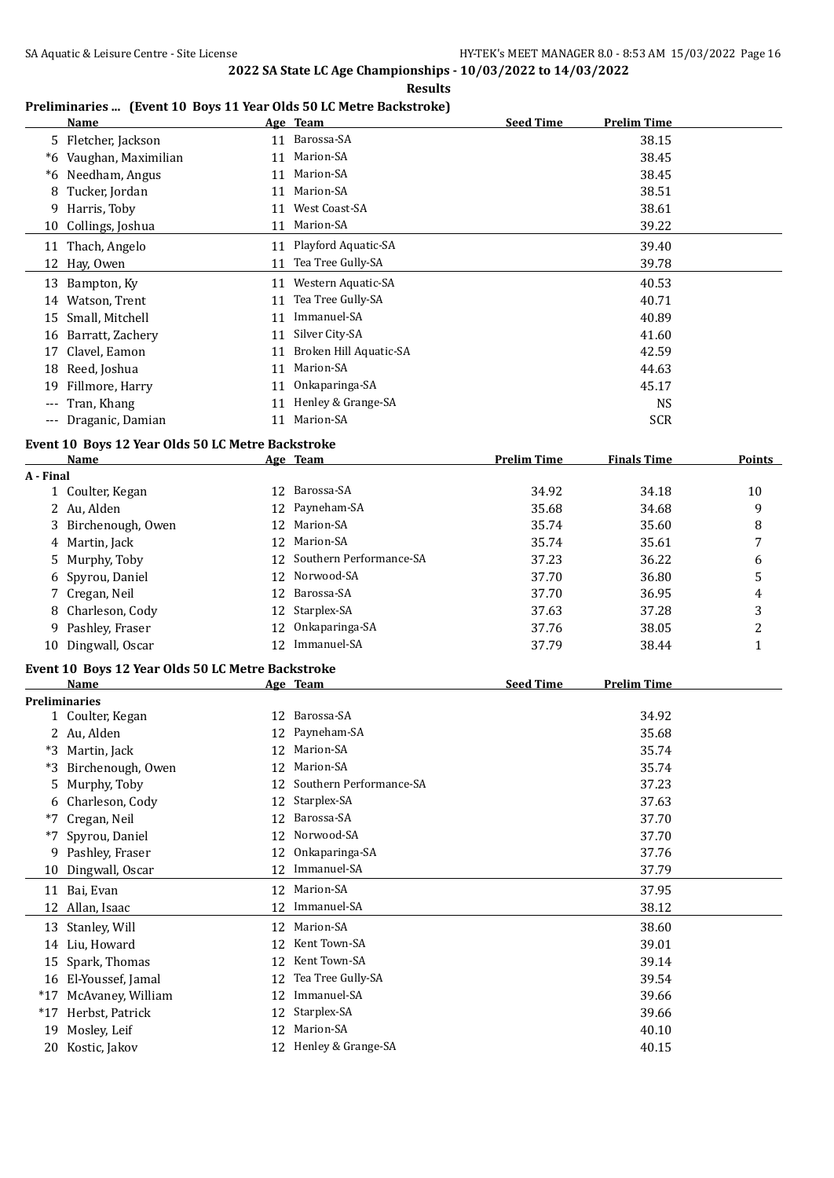**Results**

#### **Preliminaries ... (Event 10 Boys 11 Year Olds 50 LC Metre Backstroke)**

|                     | <b>Name</b>         |    | Age Team               | <b>Seed Time</b> | <b>Prelim Time</b> |
|---------------------|---------------------|----|------------------------|------------------|--------------------|
|                     | 5 Fletcher, Jackson |    | 11 Barossa-SA          |                  | 38.15              |
| *6                  | Vaughan, Maximilian | 11 | Marion-SA              |                  | 38.45              |
| *6                  | Needham, Angus      | 11 | Marion-SA              |                  | 38.45              |
| 8                   | Tucker, Jordan      | 11 | Marion-SA              |                  | 38.51              |
|                     | 9 Harris, Toby      | 11 | West Coast-SA          |                  | 38.61              |
|                     | 10 Collings, Joshua | 11 | Marion-SA              |                  | 39.22              |
|                     | 11 Thach, Angelo    |    | 11 Playford Aquatic-SA |                  | 39.40              |
|                     | 12 Hay, Owen        | 11 | Tea Tree Gully-SA      |                  | 39.78              |
| 13                  | Bampton, Ky         | 11 | Western Aquatic-SA     |                  | 40.53              |
| 14                  | Watson, Trent       | 11 | Tea Tree Gully-SA      |                  | 40.71              |
| 15                  | Small, Mitchell     | 11 | Immanuel-SA            |                  | 40.89              |
| 16                  | Barratt, Zachery    | 11 | Silver City-SA         |                  | 41.60              |
| 17                  | Clavel, Eamon       | 11 | Broken Hill Aquatic-SA |                  | 42.59              |
| 18                  | Reed, Joshua        | 11 | Marion-SA              |                  | 44.63              |
| 19                  | Fillmore, Harry     | 11 | Onkaparinga-SA         |                  | 45.17              |
| $---$               | Tran, Khang         | 11 | Henley & Grange-SA     |                  | <b>NS</b>          |
| $\qquad \qquad - -$ | Draganic, Damian    | 11 | Marion-SA              |                  | <b>SCR</b>         |

#### **Event 10 Boys 12 Year Olds 50 LC Metre Backstroke**

|           | <b>Name</b>         |                 | Age Team                   | <b>Prelim Time</b> | <b>Finals Time</b> | <b>Points</b> |
|-----------|---------------------|-----------------|----------------------------|--------------------|--------------------|---------------|
| A - Final |                     |                 |                            |                    |                    |               |
|           | 1 Coulter, Kegan    | 12.             | Barossa-SA                 | 34.92              | 34.18              | 10            |
|           | 2 Au, Alden         |                 | 12 Payneham-SA             | 35.68              | 34.68              | 9             |
|           | 3 Birchenough, Owen |                 | 12 Marion-SA               | 35.74              | 35.60              | 8             |
|           | 4 Martin, Jack      |                 | 12 Marion-SA               | 35.74              | 35.61              | 7             |
|           | 5 Murphy, Toby      |                 | 12 Southern Performance-SA | 37.23              | 36.22              | 6             |
|           | 6 Spyrou, Daniel    |                 | 12 Norwood-SA              | 37.70              | 36.80              | 5             |
|           | 7 Cregan, Neil      |                 | 12 Barossa-SA              | 37.70              | 36.95              | 4             |
|           | 8 Charleson, Cody   |                 | 12 Starplex-SA             | 37.63              | 37.28              | 3             |
|           | 9 Pashley, Fraser   | 12.             | Onkaparinga-SA             | 37.76              | 38.05              | າ             |
|           | 10 Dingwall, Oscar  | 12 <sup>1</sup> | Immanuel-SA                | 37.79              | 38.44              |               |

#### **Event 10 Boys 12 Year Olds 50 LC Metre Backstroke**

|       | Name                 |    | Age Team                | <b>Seed Time</b> | <b>Prelim Time</b> |  |
|-------|----------------------|----|-------------------------|------------------|--------------------|--|
|       | <b>Preliminaries</b> |    |                         |                  |                    |  |
|       | 1 Coulter, Kegan     |    | 12 Barossa-SA           |                  | 34.92              |  |
|       | 2 Au, Alden          | 12 | Payneham-SA             |                  | 35.68              |  |
| *3    | Martin, Jack         | 12 | Marion-SA               |                  | 35.74              |  |
| *3    | Birchenough, Owen    | 12 | Marion-SA               |                  | 35.74              |  |
|       | 5 Murphy, Toby       |    | Southern Performance-SA |                  | 37.23              |  |
| 6     | Charleson, Cody      | 12 | Starplex-SA             |                  | 37.63              |  |
| $*7$  | Cregan, Neil         | 12 | Barossa-SA              |                  | 37.70              |  |
| *7    | Spyrou, Daniel       | 12 | Norwood-SA              |                  | 37.70              |  |
|       | 9 Pashley, Fraser    | 12 | Onkaparinga-SA          |                  | 37.76              |  |
| 10    | Dingwall, Oscar      | 12 | Immanuel-SA             |                  | 37.79              |  |
|       | 11 Bai, Evan         | 12 | Marion-SA               |                  | 37.95              |  |
|       | 12 Allan, Isaac      | 12 | Immanuel-SA             |                  | 38.12              |  |
|       | 13 Stanley, Will     | 12 | Marion-SA               |                  | 38.60              |  |
| 14    | Liu, Howard          | 12 | Kent Town-SA            |                  | 39.01              |  |
|       | 15 Spark, Thomas     | 12 | Kent Town-SA            |                  | 39.14              |  |
|       | 16 El-Youssef, Jamal | 12 | Tea Tree Gully-SA       |                  | 39.54              |  |
| $*17$ | McAvaney, William    | 12 | Immanuel-SA             |                  | 39.66              |  |
| $*17$ | Herbst, Patrick      | 12 | Starplex-SA             |                  | 39.66              |  |
| 19    | Mosley, Leif         | 12 | Marion-SA               |                  | 40.10              |  |
|       | 20 Kostic, Jakov     |    | 12 Henley & Grange-SA   |                  | 40.15              |  |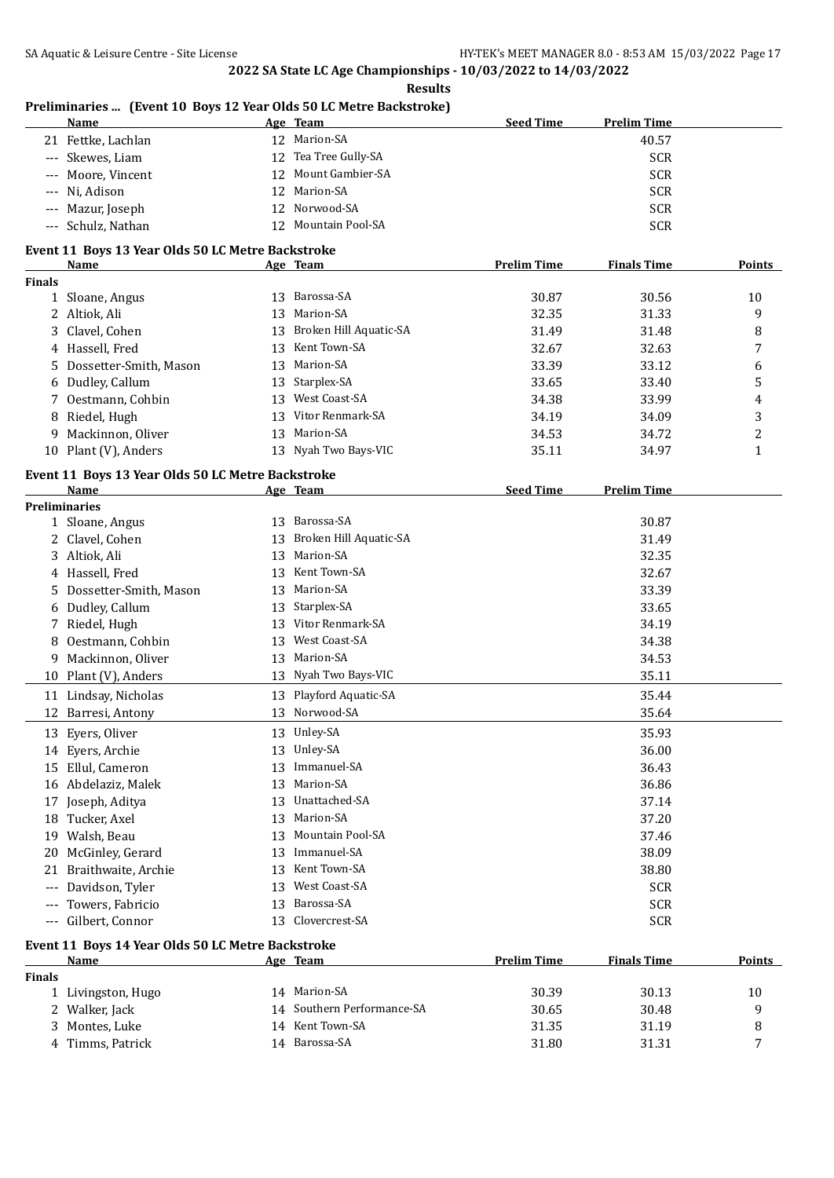## **Preliminaries ... (Event 10 Boys 12 Year Olds 50 LC Metre Backstroke)**

| Name               | Age Team             | <b>Seed Time</b><br><b>Prelim Time</b> |
|--------------------|----------------------|----------------------------------------|
| 21 Fettke, Lachlan | 12 Marion-SA         | 40.57                                  |
| --- Skewes, Liam   | 12 Tea Tree Gully-SA | <b>SCR</b>                             |
| --- Moore, Vincent | 12 Mount Gambier-SA  | <b>SCR</b>                             |
| --- Ni, Adison     | 12 Marion-SA         | <b>SCR</b>                             |
| --- Mazur, Joseph  | 12 Norwood-SA        | <b>SCR</b>                             |
| --- Schulz, Nathan | 12 Mountain Pool-SA  | <b>SCR</b>                             |

#### **Event 11 Boys 13 Year Olds 50 LC Metre Backstroke**

| Name |                                                                                                                                                                                                               |                        | <b>Prelim Time</b>                                  | <b>Finals Time</b> | <b>Points</b> |
|------|---------------------------------------------------------------------------------------------------------------------------------------------------------------------------------------------------------------|------------------------|-----------------------------------------------------|--------------------|---------------|
|      |                                                                                                                                                                                                               |                        |                                                     |                    |               |
|      | 13                                                                                                                                                                                                            | Barossa-SA             | 30.87                                               | 30.56              | 10            |
|      |                                                                                                                                                                                                               | Marion-SA              | 32.35                                               | 31.33              | 9             |
|      |                                                                                                                                                                                                               | Broken Hill Aquatic-SA | 31.49                                               | 31.48              | 8             |
|      | 13                                                                                                                                                                                                            | Kent Town-SA           | 32.67                                               | 32.63              | 7             |
|      |                                                                                                                                                                                                               | Marion-SA              | 33.39                                               | 33.12              | 6             |
|      |                                                                                                                                                                                                               | Starplex-SA            | 33.65                                               | 33.40              | 5             |
|      | 13                                                                                                                                                                                                            | West Coast-SA          | 34.38                                               | 33.99              | 4             |
|      |                                                                                                                                                                                                               | Vitor Renmark-SA       | 34.19                                               | 34.09              | 3             |
|      |                                                                                                                                                                                                               | Marion-SA              | 34.53                                               | 34.72              | າ             |
|      |                                                                                                                                                                                                               | Nyah Two Bays-VIC      | 35.11                                               | 34.97              |               |
|      | 1 Sloane, Angus<br>2 Altiok, Ali<br>3 Clavel, Cohen<br>4 Hassell, Fred<br>5 Dossetter-Smith, Mason<br>6 Dudley, Callum<br>7 Oestmann, Cohbin<br>8 Riedel, Hugh<br>9 Mackinnon, Oliver<br>10 Plant (V), Anders |                        | Age Team<br>13<br>13.<br>13<br>13<br>13<br>13<br>13 |                    |               |

#### **Event 11 Boys 13 Year Olds 50 LC Metre Backstroke**

|       | Name                                              |    | Age Team                | <b>Seed Time</b>   | <b>Prelim Time</b> |               |
|-------|---------------------------------------------------|----|-------------------------|--------------------|--------------------|---------------|
|       | <b>Preliminaries</b>                              |    |                         |                    |                    |               |
|       | 1 Sloane, Angus                                   | 13 | Barossa-SA              |                    | 30.87              |               |
|       | Clavel, Cohen                                     | 13 | Broken Hill Aquatic-SA  |                    | 31.49              |               |
| 3     | Altiok, Ali                                       | 13 | Marion-SA               |                    | 32.35              |               |
| 4     | Hassell, Fred                                     | 13 | Kent Town-SA            |                    | 32.67              |               |
| 5     | Dossetter-Smith, Mason                            | 13 | Marion-SA               |                    | 33.39              |               |
| 6     | Dudley, Callum                                    | 13 | Starplex-SA             |                    | 33.65              |               |
| 7     | Riedel, Hugh                                      | 13 | Vitor Renmark-SA        |                    | 34.19              |               |
| 8     | Oestmann, Cohbin                                  | 13 | West Coast-SA           |                    | 34.38              |               |
| 9     | Mackinnon, Oliver                                 | 13 | Marion-SA               |                    | 34.53              |               |
| 10    | Plant (V), Anders                                 | 13 | Nyah Two Bays-VIC       |                    | 35.11              |               |
| 11    | Lindsay, Nicholas                                 | 13 | Playford Aquatic-SA     |                    | 35.44              |               |
| 12    | Barresi, Antony                                   | 13 | Norwood-SA              |                    | 35.64              |               |
| 13    | Eyers, Oliver                                     | 13 | Unley-SA                |                    | 35.93              |               |
| 14    | Eyers, Archie                                     | 13 | Unley-SA                |                    | 36.00              |               |
| 15    | Ellul, Cameron                                    | 13 | Immanuel-SA             |                    | 36.43              |               |
| 16    | Abdelaziz, Malek                                  | 13 | Marion-SA               |                    | 36.86              |               |
| 17    | Joseph, Aditya                                    | 13 | Unattached-SA           |                    | 37.14              |               |
| 18    | Tucker, Axel                                      | 13 | Marion-SA               |                    | 37.20              |               |
| 19    | Walsh, Beau                                       | 13 | <b>Mountain Pool-SA</b> |                    | 37.46              |               |
| 20    | McGinley, Gerard                                  | 13 | Immanuel-SA             |                    | 38.09              |               |
| 21    | Braithwaite, Archie                               | 13 | Kent Town-SA            |                    | 38.80              |               |
| ---   | Davidson, Tyler                                   | 13 | West Coast-SA           |                    | <b>SCR</b>         |               |
| $---$ | Towers, Fabricio                                  | 13 | Barossa-SA              |                    | <b>SCR</b>         |               |
| ---   | Gilbert, Connor                                   | 13 | Clovercrest-SA          |                    | <b>SCR</b>         |               |
|       | Event 11 Boys 14 Year Olds 50 LC Metre Backstroke |    |                         |                    |                    |               |
|       | <b>Name</b>                                       |    | <u>Age Team</u>         | <b>Prelim Time</b> | <b>Finals Time</b> | <b>Points</b> |

| Finals |                    |                            |       |       |    |
|--------|--------------------|----------------------------|-------|-------|----|
|        | 1 Livingston, Hugo | 14 Marion-SA               | 30.39 | 30.13 | 10 |
|        | 2 Walker, Jack     | 14 Southern Performance-SA | 30.65 | 30.48 |    |
|        | 3 Montes, Luke     | 14 Kent Town-SA            | 31.35 | 31.19 | 8  |
|        | 4 Timms, Patrick   | 14 Barossa-SA              | 31.80 | 31.31 |    |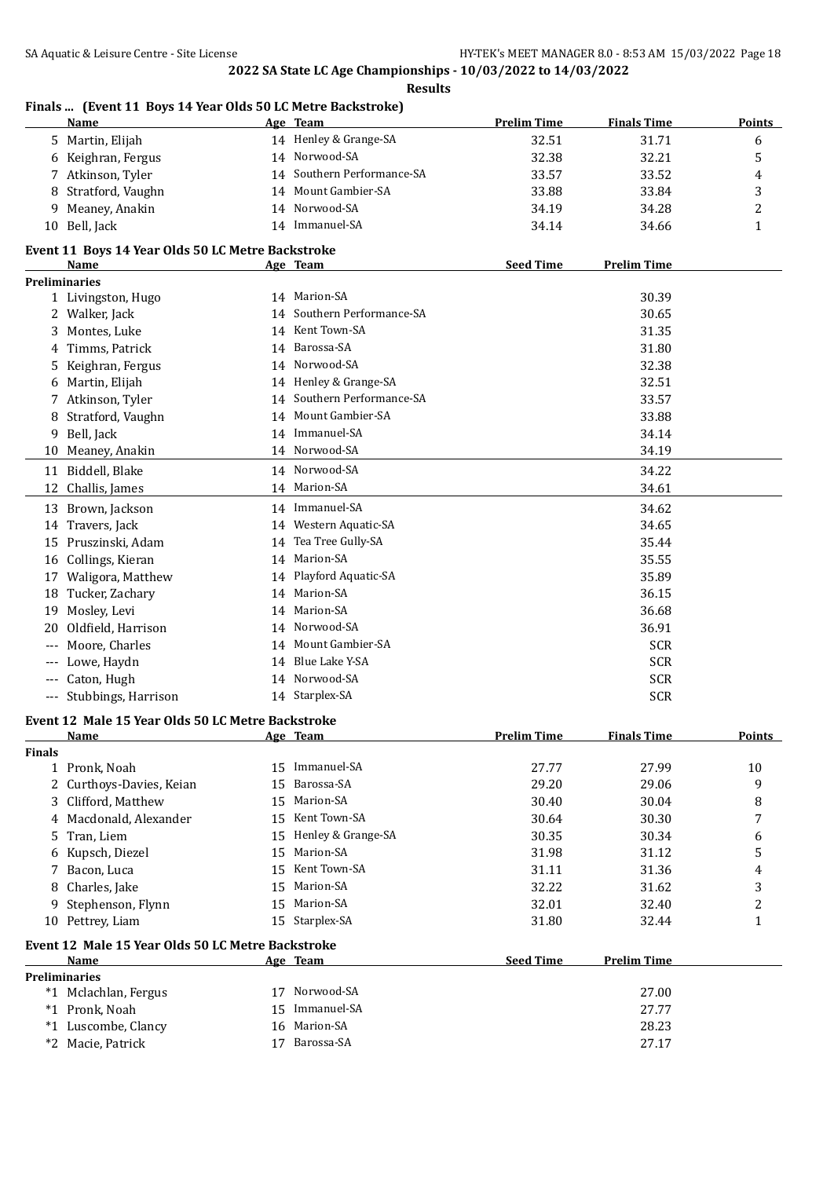|               | Name                                                      |    | Age Team                   | <b>Prelim Time</b> | <b>Finals Time</b> | <b>Points</b> |
|---------------|-----------------------------------------------------------|----|----------------------------|--------------------|--------------------|---------------|
|               | 5 Martin, Elijah                                          |    | 14 Henley & Grange-SA      | 32.51              | 31.71              | 6             |
|               | 6 Keighran, Fergus                                        |    | 14 Norwood-SA              | 32.38              | 32.21              | 5             |
| 7             | Atkinson, Tyler                                           |    | 14 Southern Performance-SA | 33.57              | 33.52              | 4             |
| 8             | Stratford, Vaughn                                         |    | 14 Mount Gambier-SA        | 33.88              | 33.84              | 3             |
| 9             | Meaney, Anakin                                            |    | 14 Norwood-SA              | 34.19              | 34.28              | 2             |
|               | 10 Bell, Jack                                             |    | 14 Immanuel-SA             | 34.14              | 34.66              | $\mathbf{1}$  |
|               | Event 11 Boys 14 Year Olds 50 LC Metre Backstroke         |    |                            |                    |                    |               |
|               | Name                                                      |    | Age Team                   | <b>Seed Time</b>   | <b>Prelim Time</b> |               |
|               | <b>Preliminaries</b>                                      |    |                            |                    |                    |               |
|               | 1 Livingston, Hugo                                        |    | 14 Marion-SA               |                    | 30.39              |               |
|               | 2 Walker, Jack                                            |    | 14 Southern Performance-SA |                    | 30.65              |               |
| 3             | Montes, Luke                                              |    | 14 Kent Town-SA            |                    | 31.35              |               |
| 4             | Timms, Patrick                                            | 14 | Barossa-SA                 |                    | 31.80              |               |
| 5             | Keighran, Fergus                                          |    | 14 Norwood-SA              |                    | 32.38              |               |
| 6             | Martin, Elijah                                            |    | 14 Henley & Grange-SA      |                    | 32.51              |               |
|               | 7 Atkinson, Tyler                                         |    | 14 Southern Performance-SA |                    | 33.57              |               |
| 8             | Stratford, Vaughn                                         |    | 14 Mount Gambier-SA        |                    | 33.88              |               |
| 9             | Bell, Jack                                                |    | 14 Immanuel-SA             |                    | 34.14              |               |
| 10            | Meaney, Anakin                                            |    | 14 Norwood-SA              |                    | 34.19              |               |
|               | 11 Biddell, Blake                                         |    | 14 Norwood-SA              |                    | 34.22              |               |
|               | 12 Challis, James                                         |    | 14 Marion-SA               |                    | 34.61              |               |
|               | 13 Brown, Jackson                                         |    | 14 Immanuel-SA             |                    | 34.62              |               |
|               | 14 Travers, Jack                                          |    | 14 Western Aquatic-SA      |                    | 34.65              |               |
|               | 15 Pruszinski, Adam                                       |    | 14 Tea Tree Gully-SA       |                    | 35.44              |               |
|               | 16 Collings, Kieran                                       |    | 14 Marion-SA               |                    | 35.55              |               |
|               |                                                           |    | 14 Playford Aquatic-SA     |                    | 35.89              |               |
|               | 17 Waligora, Matthew                                      |    | 14 Marion-SA               |                    |                    |               |
| 18            | Tucker, Zachary                                           |    | 14 Marion-SA               |                    | 36.15              |               |
| 19            | Mosley, Levi                                              |    |                            |                    | 36.68              |               |
| 20            | Oldfield, Harrison                                        |    | 14 Norwood-SA              |                    | 36.91              |               |
|               | Moore, Charles                                            |    | 14 Mount Gambier-SA        |                    | <b>SCR</b>         |               |
| $---$         | Lowe, Haydn                                               | 14 | Blue Lake Y-SA             |                    | <b>SCR</b>         |               |
| ---           | Caton, Hugh                                               |    | 14 Norwood-SA              |                    | <b>SCR</b>         |               |
|               | --- Stubbings, Harrison                                   |    | 14 Starplex-SA             |                    | <b>SCR</b>         |               |
|               | Event 12 Male 15 Year Olds 50 LC Metre Backstroke         |    |                            |                    |                    |               |
|               | <b>Name</b>                                               |    | Age Team                   | <b>Prelim Time</b> | <b>Finals Time</b> | <b>Points</b> |
| <b>Finals</b> | 1 Pronk, Noah                                             | 15 | Immanuel-SA                | 27.77              | 27.99              | 10            |
| 2             | Curthoys-Davies, Keian                                    | 15 | Barossa-SA                 | 29.20              | 29.06              | 9             |
|               | Clifford, Matthew                                         | 15 | Marion-SA                  | 30.40              | 30.04              |               |
| 3             |                                                           |    | Kent Town-SA               |                    |                    | 8             |
| 4             | Macdonald, Alexander                                      | 15 |                            | 30.64              | 30.30              | 7             |
| 5             | Tran, Liem                                                | 15 | Henley & Grange-SA         | 30.35              | 30.34              | 6             |
| 6             | Kupsch, Diezel                                            | 15 | Marion-SA                  | 31.98              | 31.12              | 5             |
| 7             | Bacon, Luca                                               | 15 | Kent Town-SA               | 31.11              | 31.36              | 4             |
| 8             | Charles, Jake                                             | 15 | Marion-SA                  | 32.22              | 31.62              | 3             |
| 9             | Stephenson, Flynn                                         | 15 | Marion-SA                  | 32.01              | 32.40              | 2             |
| 10            | Pettrey, Liam                                             | 15 | Starplex-SA                | 31.80              | 32.44              | $\mathbf{1}$  |
|               | Event 12 Male 15 Year Olds 50 LC Metre Backstroke<br>Name |    |                            |                    |                    |               |
|               | <b>Preliminaries</b>                                      |    | Age Team                   | <b>Seed Time</b>   | <b>Prelim Time</b> |               |
|               | *1 Mclachlan, Fergus                                      | 17 | Norwood-SA                 |                    | 27.00              |               |
|               | *1 Pronk, Noah                                            | 15 | Immanuel-SA                |                    | 27.77              |               |
|               | *1 Luscombe, Clancy                                       | 16 | Marion-SA                  |                    | 28.23              |               |
|               | *2 Macie, Patrick                                         |    | 17 Barossa-SA              |                    | 27.17              |               |
|               |                                                           |    |                            |                    |                    |               |

#### **Finals ... (Event 11 Boys 14 Year Olds 50 LC Metre Backstroke)**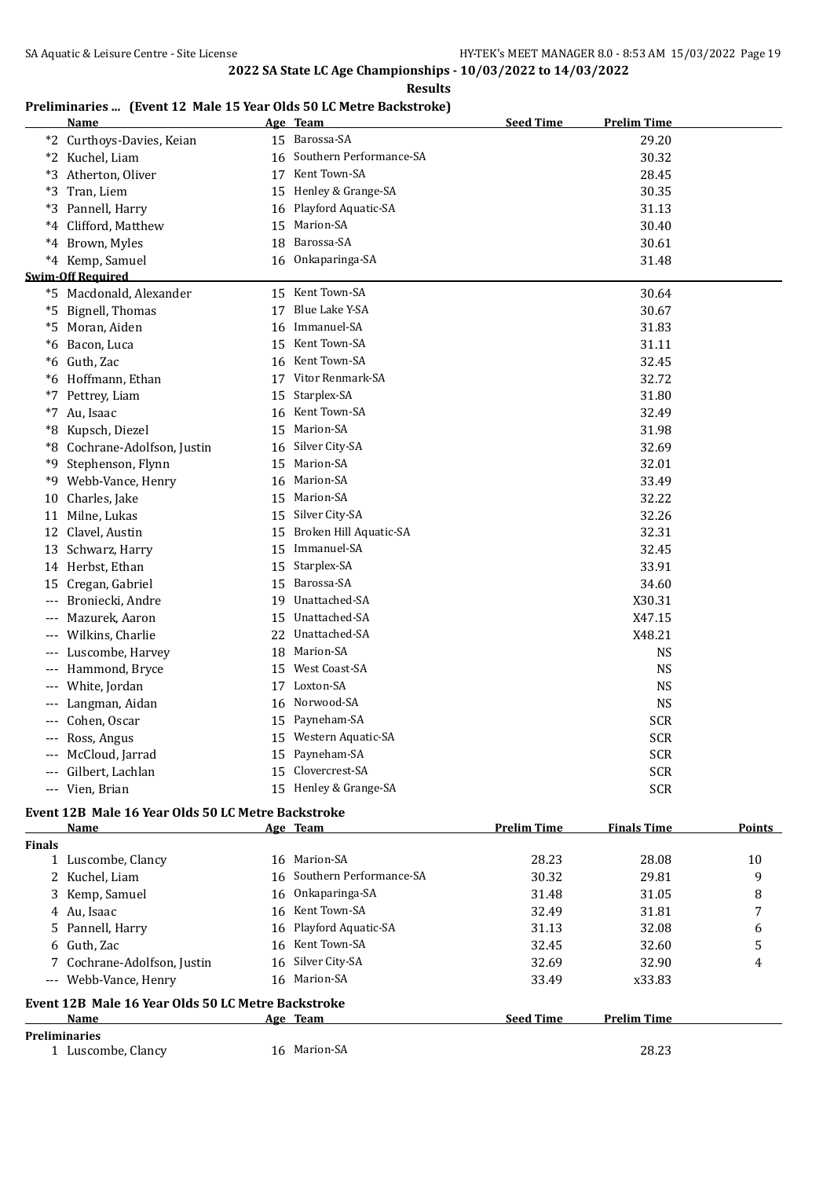#### **Preliminaries ... (Event 12 Male 15 Year Olds 50 LC Metre Backstroke)**

|       | <b>Name</b>                                        |    | Age Team                   | <b>Seed Time</b>   | <b>Prelim Time</b> |               |
|-------|----------------------------------------------------|----|----------------------------|--------------------|--------------------|---------------|
|       | *2 Curthoys-Davies, Keian                          |    | 15 Barossa-SA              |                    | 29.20              |               |
|       | *2 Kuchel, Liam                                    |    | 16 Southern Performance-SA |                    | 30.32              |               |
|       | *3 Atherton, Oliver                                |    | 17 Kent Town-SA            |                    | 28.45              |               |
|       | *3 Tran, Liem                                      |    | 15 Henley & Grange-SA      |                    | 30.35              |               |
|       | *3 Pannell, Harry                                  |    | 16 Playford Aquatic-SA     |                    | 31.13              |               |
|       | *4 Clifford, Matthew                               | 15 | Marion-SA                  |                    | 30.40              |               |
|       | *4 Brown, Myles                                    | 18 | Barossa-SA                 |                    | 30.61              |               |
|       | *4 Kemp, Samuel                                    | 16 | Onkaparinga-SA             |                    | 31.48              |               |
|       | <b>Swim-Off Required</b>                           |    |                            |                    |                    |               |
|       | *5 Macdonald, Alexander                            |    | 15 Kent Town-SA            |                    | 30.64              |               |
|       | *5 Bignell, Thomas                                 | 17 | Blue Lake Y-SA             |                    | 30.67              |               |
|       | *5 Moran, Aiden                                    | 16 | Immanuel-SA                |                    | 31.83              |               |
|       | *6 Bacon, Luca                                     | 15 | Kent Town-SA               |                    | 31.11              |               |
|       | *6 Guth, Zac                                       |    | 16 Kent Town-SA            |                    | 32.45              |               |
|       | *6 Hoffmann, Ethan                                 |    | 17 Vitor Renmark-SA        |                    | 32.72              |               |
| $*7$  | Pettrey, Liam                                      | 15 | Starplex-SA                |                    | 31.80              |               |
|       | *7 Au, Isaac                                       | 16 | Kent Town-SA               |                    | 32.49              |               |
|       | *8 Kupsch, Diezel                                  | 15 | Marion-SA                  |                    | 31.98              |               |
|       | *8 Cochrane-Adolfson, Justin                       | 16 | Silver City-SA             |                    | 32.69              |               |
|       | *9 Stephenson, Flynn                               | 15 | Marion-SA                  |                    | 32.01              |               |
|       | *9 Webb-Vance, Henry                               | 16 | Marion-SA                  |                    | 33.49              |               |
|       | 10 Charles, Jake                                   | 15 | Marion-SA                  |                    | 32.22              |               |
| 11    | Milne, Lukas                                       |    | 15 Silver City-SA          |                    | 32.26              |               |
|       | 12 Clavel, Austin                                  | 15 | Broken Hill Aquatic-SA     |                    | 32.31              |               |
|       | 13 Schwarz, Harry                                  | 15 | Immanuel-SA                |                    | 32.45              |               |
|       | 14 Herbst, Ethan                                   | 15 | Starplex-SA                |                    | 33.91              |               |
|       | 15 Cregan, Gabriel                                 | 15 | Barossa-SA                 |                    | 34.60              |               |
|       | --- Broniecki, Andre                               |    | 19 Unattached-SA           |                    | X30.31             |               |
|       | Mazurek, Aaron                                     | 15 | Unattached-SA              |                    | X47.15             |               |
|       | Wilkins, Charlie                                   |    | 22 Unattached-SA           |                    | X48.21             |               |
|       | --- Luscombe, Harvey                               | 18 | Marion-SA                  |                    | <b>NS</b>          |               |
|       | --- Hammond, Bryce                                 |    | 15 West Coast-SA           |                    | NS                 |               |
| $---$ | White, Jordan                                      |    | 17 Loxton-SA               |                    | <b>NS</b>          |               |
|       | Langman, Aidan                                     | 16 | Norwood-SA                 |                    | NS                 |               |
|       | Cohen, Oscar                                       | 15 | Payneham-SA                |                    | <b>SCR</b>         |               |
|       | Ross, Angus                                        |    | 15 Western Aquatic-SA      |                    | <b>SCR</b>         |               |
|       | McCloud, Jarrad                                    |    | 15 Payneham-SA             |                    | <b>SCR</b>         |               |
|       | Gilbert, Lachlan                                   | 15 | Clovercrest-SA             |                    | <b>SCR</b>         |               |
|       | --- Vien, Brian                                    |    | 15 Henley & Grange-SA      |                    | <b>SCR</b>         |               |
|       | Event 12B Male 16 Year Olds 50 LC Metre Backstroke |    |                            |                    |                    |               |
|       | <u>Name</u>                                        |    | Age Team                   | <u>Prelim Time</u> | <b>Finals Time</b> | <b>Points</b> |

| <b>Finals</b> |                                                    |    |                            |                  |                    |    |
|---------------|----------------------------------------------------|----|----------------------------|------------------|--------------------|----|
|               | 1 Luscombe, Clancy                                 |    | 16 Marion-SA               | 28.23            | 28.08              | 10 |
|               | 2 Kuchel, Liam                                     |    | 16 Southern Performance-SA | 30.32            | 29.81              | 9  |
|               | 3 Kemp, Samuel                                     |    | 16 Onkaparinga-SA          | 31.48            | 31.05              | 8  |
|               | 4 Au, Isaac                                        |    | 16 Kent Town-SA            | 32.49            | 31.81              |    |
|               | 5 Pannell, Harry                                   |    | 16 Playford Aquatic-SA     | 31.13            | 32.08              | 6  |
|               | 6 Guth. Zac                                        |    | 16 Kent Town-SA            | 32.45            | 32.60              | 5  |
|               | 7 Cochrane-Adolfson, Justin                        |    | 16 Silver City-SA          | 32.69            | 32.90              | 4  |
|               | --- Webb-Vance, Henry                              |    | 16 Marion-SA               | 33.49            | x33.83             |    |
|               | Event 12B Male 16 Year Olds 50 LC Metre Backstroke |    |                            |                  |                    |    |
|               | <b>Name</b>                                        |    | Age Team                   | <b>Seed Time</b> | <b>Prelim Time</b> |    |
|               | <b>Preliminaries</b>                               |    |                            |                  |                    |    |
|               | 1 Luscombe, Clancy                                 | 16 | Marion-SA                  |                  | 28.23              |    |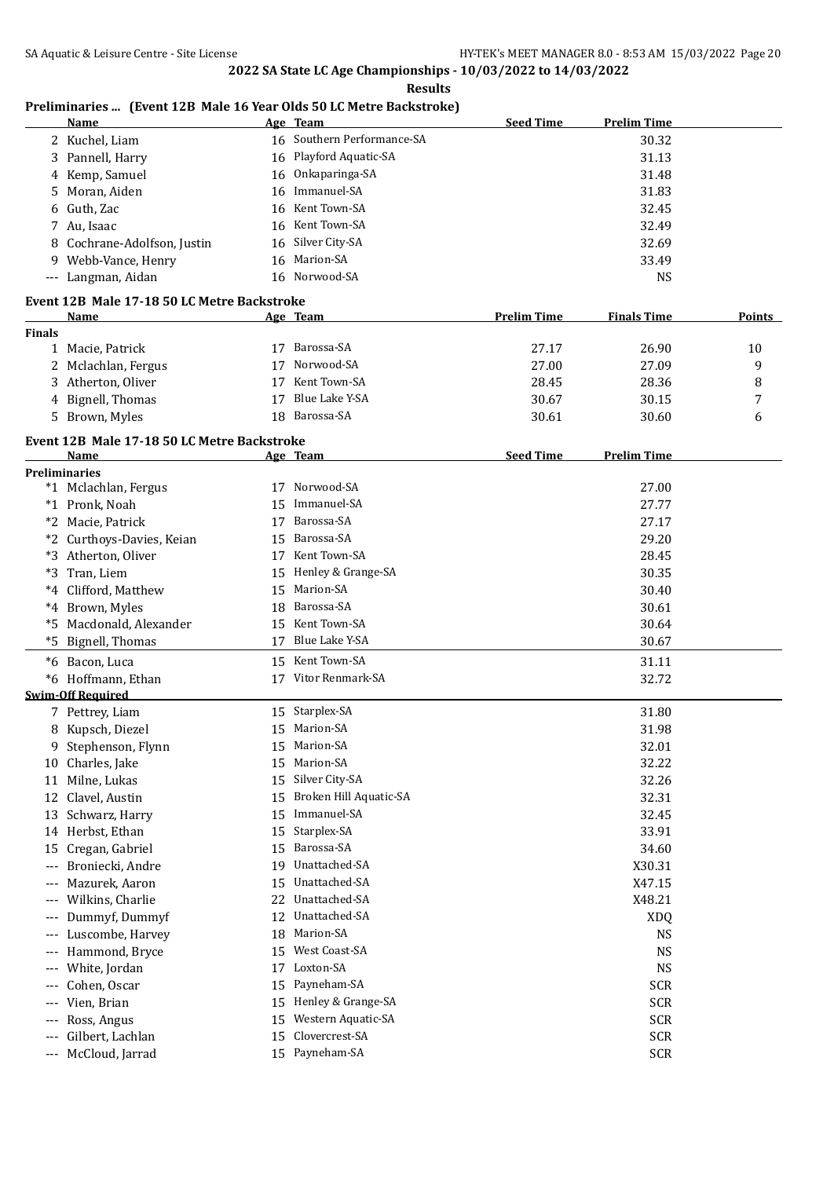## **Preliminaries ... (Event 12B Male 16 Year Olds 50 LC Metre Backstroke)**

|               | <u>Name</u>                                         |    | Age Team                   | <b>Seed Time</b>   | <b>Prelim Time</b> |        |
|---------------|-----------------------------------------------------|----|----------------------------|--------------------|--------------------|--------|
|               | 2 Kuchel, Liam                                      |    | 16 Southern Performance-SA |                    | 30.32              |        |
|               | 3 Pannell, Harry                                    |    | 16 Playford Aquatic-SA     |                    | 31.13              |        |
|               | 4 Kemp, Samuel                                      |    | 16 Onkaparinga-SA          |                    | 31.48              |        |
| 5.            | Moran, Aiden                                        |    | 16 Immanuel-SA             |                    | 31.83              |        |
|               | 6 Guth, Zac                                         |    | 16 Kent Town-SA            |                    | 32.45              |        |
|               | 7 Au, Isaac                                         |    | 16 Kent Town-SA            |                    | 32.49              |        |
|               | 8 Cochrane-Adolfson, Justin                         |    | 16 Silver City-SA          |                    | 32.69              |        |
|               | 9 Webb-Vance, Henry                                 |    | 16 Marion-SA               |                    | 33.49              |        |
|               | --- Langman, Aidan                                  |    | 16 Norwood-SA              |                    | <b>NS</b>          |        |
|               |                                                     |    |                            |                    |                    |        |
|               | Event 12B Male 17-18 50 LC Metre Backstroke<br>Name |    | Age Team                   | <b>Prelim Time</b> | <b>Finals Time</b> | Points |
| <b>Finals</b> |                                                     |    |                            |                    |                    |        |
|               | 1 Macie, Patrick                                    |    | 17 Barossa-SA              | 27.17              | 26.90              | 10     |
|               | 2 Mclachlan, Fergus                                 | 17 | Norwood-SA                 | 27.00              | 27.09              | 9      |
|               | 3 Atherton, Oliver                                  | 17 | Kent Town-SA               | 28.45              | 28.36              | 8      |
|               | 4 Bignell, Thomas                                   | 17 | Blue Lake Y-SA             | 30.67              | 30.15              | 7      |
|               | 5 Brown, Myles                                      | 18 | Barossa-SA                 | 30.61              | 30.60              | 6      |
|               |                                                     |    |                            |                    |                    |        |
|               | Event 12B Male 17-18 50 LC Metre Backstroke         |    |                            |                    |                    |        |
|               | Name                                                |    | <u>Age Team</u>            | <b>Seed Time</b>   | <b>Prelim Time</b> |        |
|               | <b>Preliminaries</b>                                |    |                            |                    |                    |        |
|               | *1 Mclachlan, Fergus                                |    | 17 Norwood-SA              |                    | 27.00              |        |
|               | *1 Pronk, Noah                                      | 15 | Immanuel-SA                |                    | 27.77              |        |
|               | *2 Macie, Patrick                                   | 17 | Barossa-SA                 |                    | 27.17              |        |
|               | *2 Curthoys-Davies, Keian                           | 15 | Barossa-SA                 |                    | 29.20              |        |
|               | *3 Atherton, Oliver                                 |    | 17 Kent Town-SA            |                    | 28.45              |        |
|               | *3 Tran, Liem                                       | 15 | Henley & Grange-SA         |                    | 30.35              |        |
|               | *4 Clifford, Matthew                                | 15 | Marion-SA                  |                    | 30.40              |        |
|               | *4 Brown, Myles                                     | 18 | Barossa-SA                 |                    | 30.61              |        |
|               | *5 Macdonald, Alexander                             | 15 | Kent Town-SA               |                    | 30.64              |        |
| $*5$          | Bignell, Thomas                                     | 17 | Blue Lake Y-SA             |                    | 30.67              |        |
|               | *6 Bacon, Luca                                      |    | 15 Kent Town-SA            |                    | 31.11              |        |
|               | *6 Hoffmann, Ethan                                  |    | 17 Vitor Renmark-SA        |                    | 32.72              |        |
|               | <b>Swim-Off Required</b>                            |    |                            |                    |                    |        |
|               | 7 Pettrey, Liam                                     |    | 15 Starplex-SA             |                    | 31.80              |        |
|               | 8 Kupsch, Diezel                                    |    | 15 Marion-SA               |                    | 31.98              |        |
| 9             | Stephenson, Flynn                                   | 15 | Marion-SA                  |                    | 32.01              |        |
|               | 10 Charles, Jake                                    | 15 | Marion-SA                  |                    | 32.22              |        |
| 11            | Milne, Lukas                                        | 15 | Silver City-SA             |                    | 32.26              |        |
| 12            | Clavel, Austin                                      | 15 | Broken Hill Aquatic-SA     |                    | 32.31              |        |
| 13            | Schwarz, Harry                                      | 15 | Immanuel-SA                |                    | 32.45              |        |
|               | 14 Herbst, Ethan                                    | 15 | Starplex-SA                |                    | 33.91              |        |
| 15            | Cregan, Gabriel                                     | 15 | Barossa-SA                 |                    | 34.60              |        |
| ---           | Broniecki, Andre                                    | 19 | Unattached-SA              |                    | X30.31             |        |
| $---$         | Mazurek, Aaron                                      | 15 | Unattached-SA              |                    | X47.15             |        |
| ---           | Wilkins, Charlie                                    | 22 | Unattached-SA              |                    | X48.21             |        |
| ---           | Dummyf, Dummyf                                      | 12 | Unattached-SA              |                    | <b>XDQ</b>         |        |
| $---$         | Luscombe, Harvey                                    | 18 | Marion-SA                  |                    | <b>NS</b>          |        |
| ---           | Hammond, Bryce                                      | 15 | West Coast-SA              |                    | <b>NS</b>          |        |
|               | White, Jordan                                       | 17 | Loxton-SA                  |                    | <b>NS</b>          |        |
| ---           |                                                     | 15 | Payneham-SA                |                    | <b>SCR</b>         |        |
|               | Cohen, Oscar                                        |    | Henley & Grange-SA         |                    |                    |        |
| $---$         | Vien, Brian                                         | 15 |                            |                    | <b>SCR</b>         |        |
| ---           | Ross, Angus                                         | 15 | Western Aquatic-SA         |                    | <b>SCR</b>         |        |
| ---           | Gilbert, Lachlan                                    | 15 | Clovercrest-SA             |                    | <b>SCR</b>         |        |
| ---           | McCloud, Jarrad                                     |    | 15 Payneham-SA             |                    | <b>SCR</b>         |        |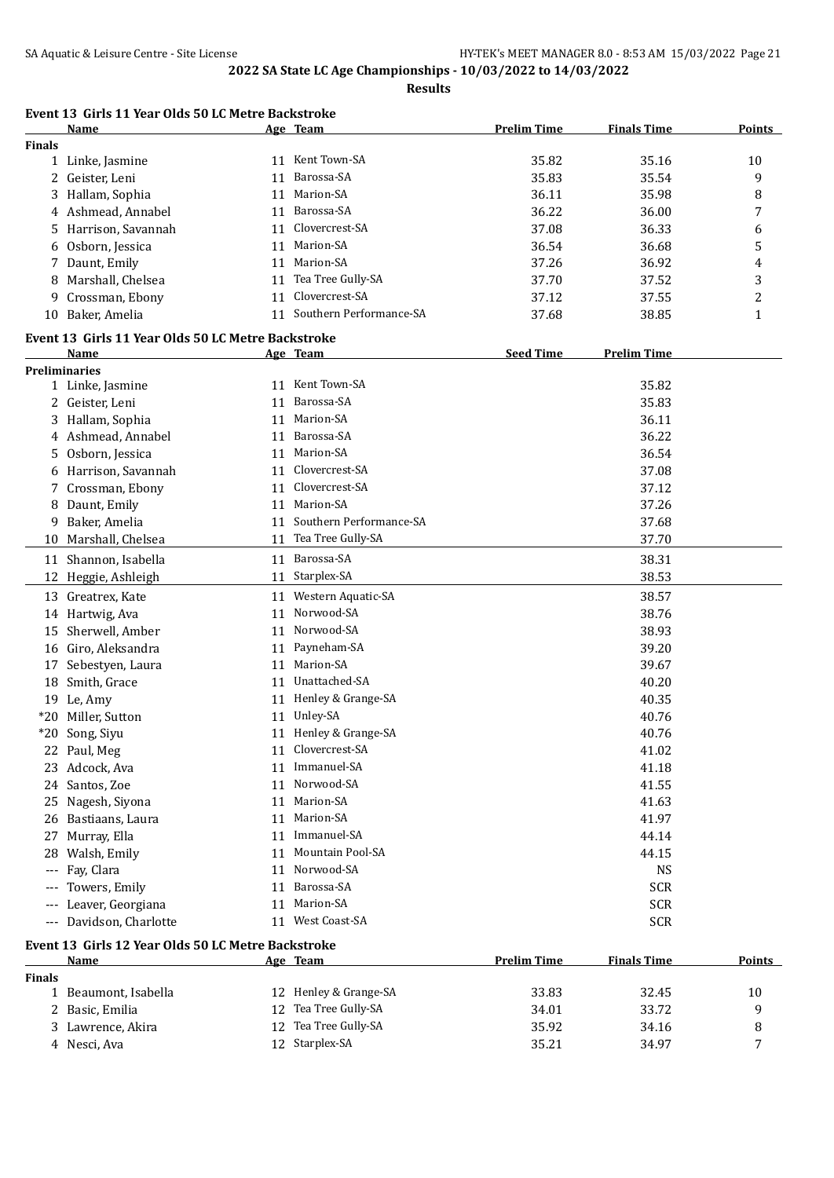**Results**

|               | Event 13 Girls 11 Year Olds 50 LC Metre Backstroke<br>Name |    | Age Team                   | <b>Prelim Time</b> | <b>Finals Time</b> | Points        |
|---------------|------------------------------------------------------------|----|----------------------------|--------------------|--------------------|---------------|
| <b>Finals</b> |                                                            |    |                            |                    |                    |               |
|               | 1 Linke, Jasmine                                           |    | 11 Kent Town-SA            | 35.82              | 35.16              | 10            |
|               | 2 Geister, Leni                                            | 11 | Barossa-SA                 | 35.83              | 35.54              | 9             |
| 3             | Hallam, Sophia                                             |    | 11 Marion-SA               | 36.11              | 35.98              | 8             |
|               | 4 Ashmead, Annabel                                         |    | 11 Barossa-SA              | 36.22              | 36.00              | 7             |
| 5.            | Harrison, Savannah                                         |    | 11 Clovercrest-SA          | 37.08              | 36.33              | 6             |
| 6             | Osborn, Jessica                                            |    | 11 Marion-SA               | 36.54              | 36.68              | 5             |
|               | 7 Daunt, Emily                                             |    | 11 Marion-SA               | 37.26              | 36.92              | 4             |
| 8             | Marshall, Chelsea                                          |    | 11 Tea Tree Gully-SA       | 37.70              | 37.52              | 3             |
| 9             | Crossman, Ebony                                            |    | 11 Clovercrest-SA          | 37.12              | 37.55              | 2             |
|               | 10 Baker, Amelia                                           |    | 11 Southern Performance-SA | 37.68              | 38.85              | $\mathbf{1}$  |
|               |                                                            |    |                            |                    |                    |               |
|               | Event 13 Girls 11 Year Olds 50 LC Metre Backstroke         |    |                            |                    |                    |               |
|               | Name<br><b>Preliminaries</b>                               |    | Age Team                   | <b>Seed Time</b>   | <b>Prelim Time</b> |               |
|               | 1 Linke, Jasmine                                           |    | 11 Kent Town-SA            |                    | 35.82              |               |
|               |                                                            |    | 11 Barossa-SA              |                    | 35.83              |               |
|               | 2 Geister, Leni                                            |    | 11 Marion-SA               |                    |                    |               |
|               | 3 Hallam, Sophia                                           |    | 11 Barossa-SA              |                    | 36.11              |               |
|               | 4 Ashmead, Annabel                                         |    |                            |                    | 36.22              |               |
|               | 5 Osborn, Jessica                                          |    | 11 Marion-SA               |                    | 36.54              |               |
|               | 6 Harrison, Savannah                                       |    | 11 Clovercrest-SA          |                    | 37.08              |               |
|               | 7 Crossman, Ebony                                          | 11 | Clovercrest-SA             |                    | 37.12              |               |
|               | 8 Daunt, Emily                                             |    | 11 Marion-SA               |                    | 37.26              |               |
| 9             | Baker, Amelia                                              | 11 | Southern Performance-SA    |                    | 37.68              |               |
|               | 10 Marshall, Chelsea                                       |    | 11 Tea Tree Gully-SA       |                    | 37.70              |               |
|               | 11 Shannon, Isabella                                       |    | 11 Barossa-SA              |                    | 38.31              |               |
|               | 12 Heggie, Ashleigh                                        |    | 11 Starplex-SA             |                    | 38.53              |               |
|               | 13 Greatrex, Kate                                          |    | 11 Western Aquatic-SA      |                    | 38.57              |               |
|               | 14 Hartwig, Ava                                            | 11 | Norwood-SA                 |                    | 38.76              |               |
| 15            | Sherwell, Amber                                            |    | 11 Norwood-SA              |                    | 38.93              |               |
| 16            | Giro, Aleksandra                                           | 11 | Payneham-SA                |                    | 39.20              |               |
|               | 17 Sebestyen, Laura                                        | 11 | Marion-SA                  |                    | 39.67              |               |
| 18            | Smith, Grace                                               |    | 11 Unattached-SA           |                    | 40.20              |               |
|               | 19 Le, Amy                                                 |    | 11 Henley & Grange-SA      |                    | 40.35              |               |
|               | *20 Miller, Sutton                                         |    | 11 Unley-SA                |                    | 40.76              |               |
|               | *20 Song, Siyu                                             |    | 11 Henley & Grange-SA      |                    | 40.76              |               |
|               | 22 Paul, Meg                                               |    | 11 Clovercrest-SA          |                    | 41.02              |               |
|               | 23 Adcock, Ava                                             |    | 11 Immanuel-SA             |                    | 41.18              |               |
|               | 24 Santos, Zoe                                             |    | 11 Norwood-SA              |                    | 41.55              |               |
|               | 25 Nagesh, Siyona                                          |    | 11 Marion-SA               |                    | 41.63              |               |
|               | 26 Bastiaans, Laura                                        |    | 11 Marion-SA               |                    | 41.97              |               |
|               |                                                            |    | 11 Immanuel-SA             |                    |                    |               |
| 27            | Murray, Ella                                               |    |                            |                    | 44.14              |               |
| 28            | Walsh, Emily                                               |    | 11 Mountain Pool-SA        |                    | 44.15              |               |
| ---           | Fay, Clara                                                 | 11 | Norwood-SA                 |                    | <b>NS</b>          |               |
| ---           | Towers, Emily                                              | 11 | Barossa-SA                 |                    | <b>SCR</b>         |               |
| $---$         | Leaver, Georgiana                                          | 11 | Marion-SA                  |                    | <b>SCR</b>         |               |
| ---           | Davidson, Charlotte                                        |    | 11 West Coast-SA           |                    | <b>SCR</b>         |               |
|               | Event 13 Girls 12 Year Olds 50 LC Metre Backstroke         |    |                            |                    |                    |               |
|               | Name                                                       |    | Age Team                   | <b>Prelim Time</b> | <b>Finals Time</b> | <b>Points</b> |
| <b>Finals</b> |                                                            |    |                            |                    |                    |               |
|               | 1 Beaumont, Isabella                                       |    | 12 Henley & Grange-SA      | 33.83              | 32.45              | 10            |
|               | 2 Basic, Emilia                                            |    | 12 Tea Tree Gully-SA       | 34.01              | 33.72              | 9             |

3 Lawrence, Akira 12 Tea Tree Gully-SA 35.92 34.16 35.92 4 Nesci, Ava 12 Starplex-SA 35.21 34.97 7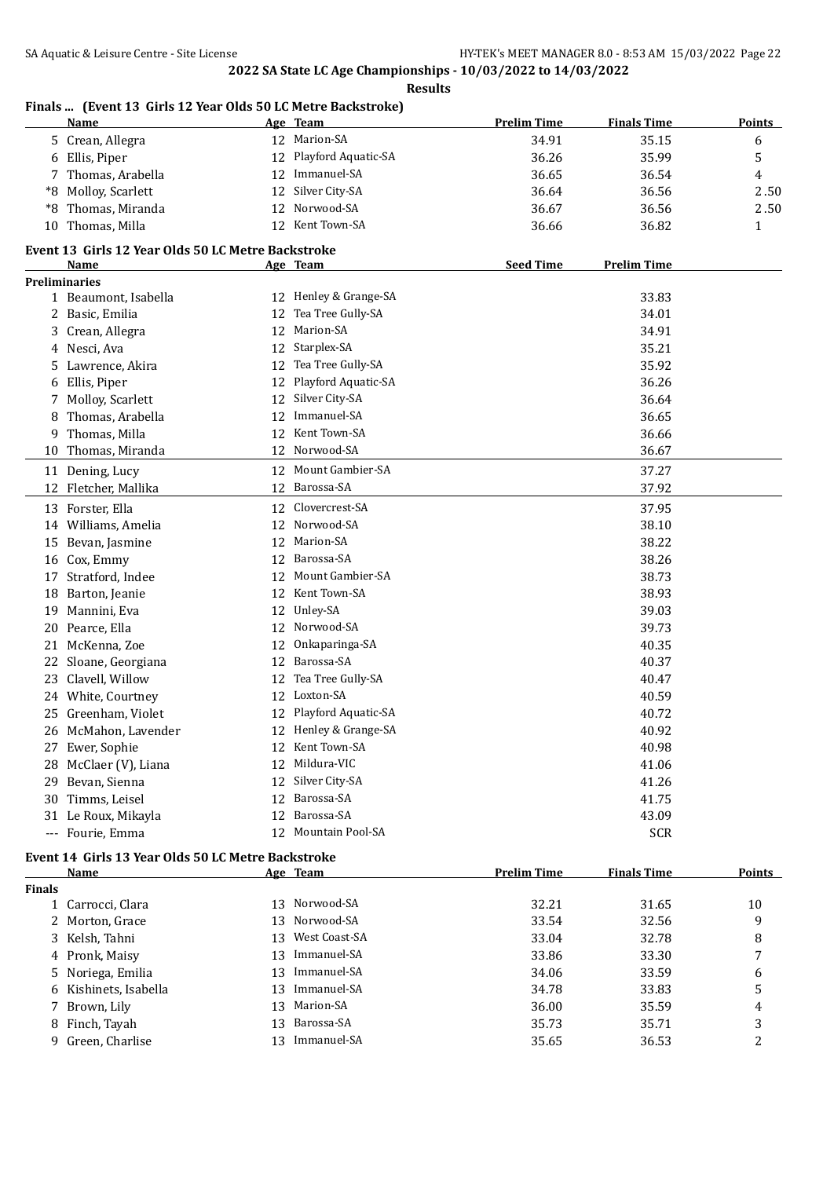|               | <b>Name</b>                                        |    | Age Team              | <b>Prelim Time</b> | <b>Finals Time</b> | <b>Points</b> |
|---------------|----------------------------------------------------|----|-----------------------|--------------------|--------------------|---------------|
|               | 5 Crean, Allegra                                   |    | 12 Marion-SA          | 34.91              | 35.15              | 6             |
| 6             | Ellis, Piper                                       | 12 | Playford Aquatic-SA   | 36.26              | 35.99              | 5             |
| 7             | Thomas, Arabella                                   | 12 | Immanuel-SA           | 36.65              | 36.54              | 4             |
| *8            | Molloy, Scarlett                                   | 12 | Silver City-SA        | 36.64              | 36.56              | 2.50          |
| *8            | Thomas, Miranda                                    | 12 | Norwood-SA            | 36.67              | 36.56              | 2.50          |
|               | 10 Thomas, Milla                                   |    | 12 Kent Town-SA       | 36.66              | 36.82              | 1             |
|               | Event 13 Girls 12 Year Olds 50 LC Metre Backstroke |    |                       |                    |                    |               |
|               | Name                                               |    | Age Team              | <b>Seed Time</b>   | <b>Prelim Time</b> |               |
|               | <b>Preliminaries</b>                               |    |                       |                    |                    |               |
|               | 1 Beaumont, Isabella                               |    | 12 Henley & Grange-SA |                    | 33.83              |               |
|               | 2 Basic, Emilia                                    | 12 | Tea Tree Gully-SA     |                    | 34.01              |               |
|               | 3 Crean, Allegra                                   | 12 | Marion-SA             |                    | 34.91              |               |
|               | 4 Nesci, Ava                                       | 12 | Starplex-SA           |                    | 35.21              |               |
| 5             | Lawrence, Akira                                    | 12 | Tea Tree Gully-SA     |                    | 35.92              |               |
| 6             | Ellis, Piper                                       | 12 | Playford Aquatic-SA   |                    | 36.26              |               |
| 7             | Molloy, Scarlett                                   | 12 | Silver City-SA        |                    | 36.64              |               |
| 8             | Thomas, Arabella                                   | 12 | Immanuel-SA           |                    | 36.65              |               |
| 9             | Thomas, Milla                                      | 12 | Kent Town-SA          |                    | 36.66              |               |
| 10            | Thomas, Miranda                                    |    | 12 Norwood-SA         |                    | 36.67              |               |
|               | 11 Dening, Lucy                                    |    | 12 Mount Gambier-SA   |                    | 37.27              |               |
|               | 12 Fletcher, Mallika                               |    | 12 Barossa-SA         |                    | 37.92              |               |
|               |                                                    |    | Clovercrest-SA        |                    |                    |               |
|               | 13 Forster, Ella                                   | 12 | Norwood-SA            |                    | 37.95              |               |
|               | 14 Williams, Amelia                                | 12 | Marion-SA             |                    | 38.10              |               |
| 15            | Bevan, Jasmine                                     | 12 | Barossa-SA            |                    | 38.22              |               |
| 16            | Cox, Emmy                                          | 12 | Mount Gambier-SA      |                    | 38.26              |               |
| 17            | Stratford, Indee                                   | 12 |                       |                    | 38.73              |               |
| 18            | Barton, Jeanie                                     | 12 | Kent Town-SA          |                    | 38.93              |               |
| 19            | Mannini, Eva                                       | 12 | Unley-SA              |                    | 39.03              |               |
| 20            | Pearce, Ella                                       | 12 | Norwood-SA            |                    | 39.73              |               |
| 21            | McKenna, Zoe                                       | 12 | Onkaparinga-SA        |                    | 40.35              |               |
| 22            | Sloane, Georgiana                                  | 12 | Barossa-SA            |                    | 40.37              |               |
| 23            | Clavell, Willow                                    | 12 | Tea Tree Gully-SA     |                    | 40.47              |               |
|               | 24 White, Courtney                                 | 12 | Loxton-SA             |                    | 40.59              |               |
| 25.           | Greenham, Violet                                   | 12 | Playford Aquatic-SA   |                    | 40.72              |               |
|               | 26 McMahon, Lavender                               |    | 12 Henley & Grange-SA |                    | 40.92              |               |
|               | 27 Ewer, Sophie                                    |    | 12 Kent Town-SA       |                    | 40.98              |               |
|               | 28 McClaer (V), Liana                              | 12 | Mildura-VIC           |                    | 41.06              |               |
| 29            | Bevan, Sienna                                      |    | 12 Silver City-SA     |                    | 41.26              |               |
| 30            | Timms, Leisel                                      |    | 12 Barossa-SA         |                    | 41.75              |               |
|               | 31 Le Roux, Mikayla                                |    | 12 Barossa-SA         |                    | 43.09              |               |
|               | --- Fourie, Emma                                   |    | 12 Mountain Pool-SA   |                    | <b>SCR</b>         |               |
|               | Event 14 Girls 13 Year Olds 50 LC Metre Backstroke |    |                       |                    |                    |               |
|               | Name                                               |    | Age Team              | <b>Prelim Time</b> | <b>Finals Time</b> | <b>Points</b> |
| <b>Finals</b> |                                                    |    | Norwood-SA            |                    |                    |               |
|               | 1 Carrocci, Clara                                  | 13 | Norwood-SA            | 32.21              | 31.65              | 10            |
| 2.            | Morton, Grace                                      | 13 | West Coast-SA         | 33.54              | 32.56              | 9             |
|               | 3 Kelsh, Tahni                                     | 13 | Immanuel-SA           | 33.04              | 32.78              | 8             |
|               | 4 Pronk, Maisy                                     | 13 | Immanuel-SA           | 33.86              | 33.30              | 7             |
|               | 5 Noriega, Emilia                                  | 13 | 13 Immanuel-SA        | 34.06              | 33.59              | 6             |
|               | 6 Kishinets, Isabella                              |    |                       | 34.78              | 33.83              | 5             |

 Brown, Lily 13 Marion-SA 36.00 35.59 4 8 Finch, Tayah 13 Barossa-SA 35.73 35.71 3 9 Green, Charlise 13 Immanuel-SA 35.65 36.53 2

## **Finals ... (Event 13 Girls 12 Year Olds 50 LC Metre Backstroke)**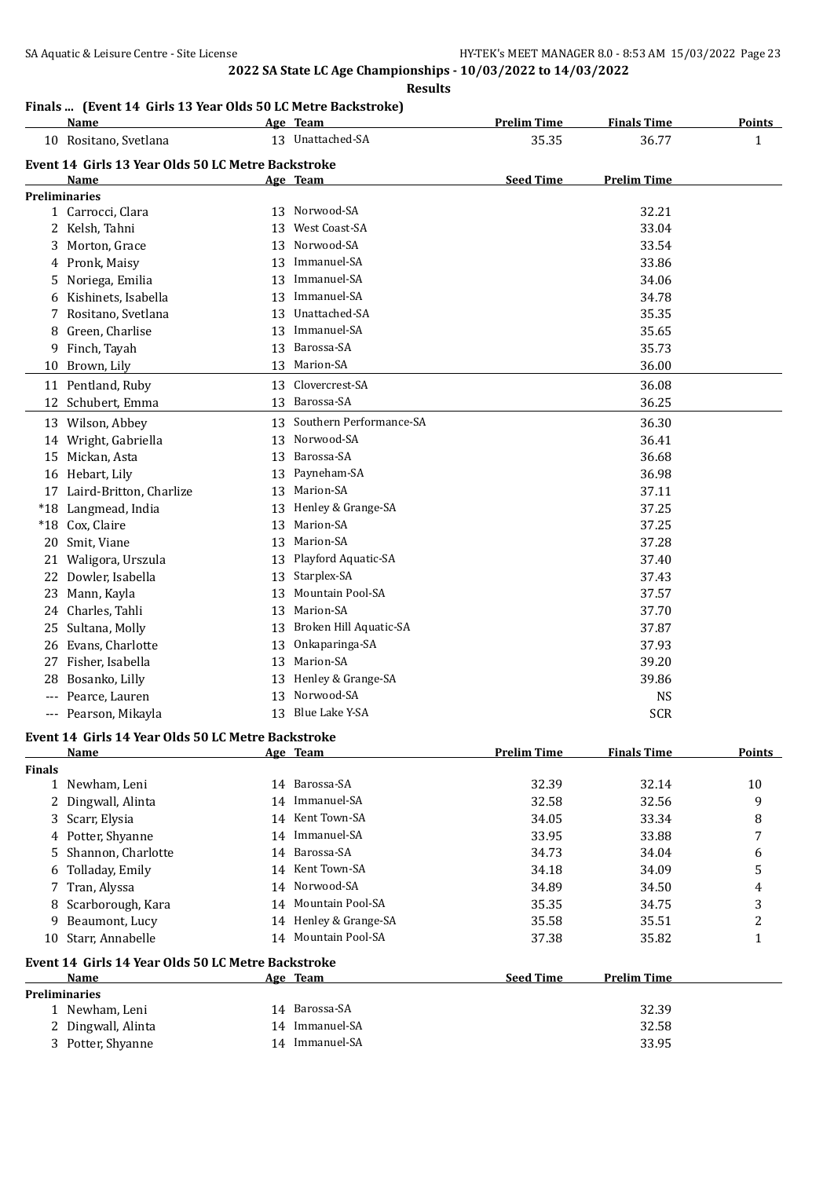#### **Finals ... (Event 14 Girls 13 Year Olds 50 LC Metre Backstroke)**

|               | Name                                               |    | Age Team                   | <b>Prelim Time</b> | <b>Finals Time</b> | <b>Points</b> |
|---------------|----------------------------------------------------|----|----------------------------|--------------------|--------------------|---------------|
|               | 10 Rositano, Svetlana                              |    | 13 Unattached-SA           | 35.35              | 36.77              | $\mathbf{1}$  |
|               | Event 14 Girls 13 Year Olds 50 LC Metre Backstroke |    |                            |                    |                    |               |
|               | Name                                               |    | <u>Age Team</u>            | <b>Seed Time</b>   | Prelim Time        |               |
|               | <b>Preliminaries</b>                               |    |                            |                    |                    |               |
|               | 1 Carrocci, Clara                                  |    | 13 Norwood-SA              |                    | 32.21              |               |
|               | 2 Kelsh, Tahni                                     | 13 | West Coast-SA              |                    | 33.04              |               |
|               | Morton, Grace                                      | 13 | Norwood-SA                 |                    | 33.54              |               |
|               | 4 Pronk, Maisy                                     | 13 | Immanuel-SA                |                    | 33.86              |               |
| 5.            | Noriega, Emilia                                    | 13 | Immanuel-SA                |                    | 34.06              |               |
|               | Kishinets, Isabella                                | 13 | Immanuel-SA                |                    | 34.78              |               |
| 7.            | Rositano, Svetlana                                 | 13 | Unattached-SA              |                    | 35.35              |               |
| 8             | Green, Charlise                                    | 13 | Immanuel-SA                |                    | 35.65              |               |
| 9.            | Finch, Tayah                                       | 13 | Barossa-SA                 |                    | 35.73              |               |
|               | 10 Brown, Lily                                     |    | 13 Marion-SA               |                    | 36.00              |               |
|               |                                                    |    | 13 Clovercrest-SA          |                    |                    |               |
|               | 11 Pentland, Ruby                                  |    |                            |                    | 36.08              |               |
|               | 12 Schubert, Emma                                  |    | 13 Barossa-SA              |                    | 36.25              |               |
|               | 13 Wilson, Abbey                                   |    | 13 Southern Performance-SA |                    | 36.30              |               |
|               | 14 Wright, Gabriella                               | 13 | Norwood-SA                 |                    | 36.41              |               |
|               | 15 Mickan, Asta                                    | 13 | Barossa-SA                 |                    | 36.68              |               |
|               | 16 Hebart, Lily                                    | 13 | Payneham-SA                |                    | 36.98              |               |
|               | 17 Laird-Britton, Charlize                         | 13 | Marion-SA                  |                    | 37.11              |               |
|               | *18 Langmead, India                                | 13 | Henley & Grange-SA         |                    | 37.25              |               |
|               | *18 Cox, Claire                                    | 13 | Marion-SA                  |                    | 37.25              |               |
| 20            | Smit, Viane                                        | 13 | Marion-SA                  |                    | 37.28              |               |
|               | 21 Waligora, Urszula                               | 13 | Playford Aquatic-SA        |                    | 37.40              |               |
|               | 22 Dowler, Isabella                                | 13 | Starplex-SA                |                    | 37.43              |               |
|               | 23 Mann, Kayla                                     | 13 | Mountain Pool-SA           |                    | 37.57              |               |
|               | 24 Charles, Tahli                                  | 13 | Marion-SA                  |                    | 37.70              |               |
| 25            | Sultana, Molly                                     | 13 | Broken Hill Aquatic-SA     |                    | 37.87              |               |
| 26            | Evans, Charlotte                                   | 13 | Onkaparinga-SA             |                    | 37.93              |               |
| 27            | Fisher, Isabella                                   | 13 | Marion-SA                  |                    | 39.20              |               |
| 28.           | Bosanko, Lilly                                     | 13 | Henley & Grange-SA         |                    | 39.86              |               |
|               | --- Pearce, Lauren                                 | 13 | Norwood-SA                 |                    | <b>NS</b>          |               |
|               | --- Pearson, Mikayla                               |    | 13 Blue Lake Y-SA          |                    | <b>SCR</b>         |               |
|               |                                                    |    |                            |                    |                    |               |
|               | Event 14 Girls 14 Year Olds 50 LC Metre Backstroke |    |                            |                    |                    |               |
|               | <b>Name</b>                                        |    | Age Team                   | <b>Prelim Time</b> | <b>Finals Time</b> | <b>Points</b> |
| <b>Finals</b> | 1 Newham, Leni                                     |    | 14 Barossa-SA              | 32.39              | 32.14              | 10            |
|               | Dingwall, Alinta                                   |    | 14 Immanuel-SA             | 32.58              | 32.56              |               |
| 2             |                                                    |    | 14 Kent Town-SA            |                    |                    | 9             |
|               | 3 Scarr, Elysia                                    |    | 14 Immanuel-SA             | 34.05              | 33.34              | 8             |
|               | 4 Potter, Shyanne                                  |    |                            | 33.95              | 33.88              | 7             |
| 5.            | Shannon, Charlotte                                 | 14 | Barossa-SA                 | 34.73              | 34.04              | 6             |
| 6             | Tolladay, Emily                                    |    | 14 Kent Town-SA            | 34.18              | 34.09              | 5             |
| 7             | Tran, Alyssa                                       | 14 | Norwood-SA                 | 34.89              | 34.50              | 4             |
| 8             | Scarborough, Kara                                  |    | 14 Mountain Pool-SA        | 35.35              | 34.75              | 3             |
| 9             | Beaumont, Lucy                                     |    | 14 Henley & Grange-SA      | 35.58              | 35.51              | 2             |
| 10            | Starr, Annabelle                                   |    | 14 Mountain Pool-SA        | 37.38              | 35.82              | 1             |
|               | Event 14 Girls 14 Year Olds 50 LC Metre Backstroke |    |                            |                    |                    |               |
|               | Name                                               |    | Age Team                   | <b>Seed Time</b>   | <b>Prelim Time</b> |               |
|               | <b>Preliminaries</b>                               |    |                            |                    |                    |               |
|               | 1 Newham, Leni                                     |    | 14 Barossa-SA              |                    | 32.39              |               |
|               | Dingwall, Alinta                                   |    | 14 Immanuel-SA             |                    | 32.58              |               |
|               | 3 Potter, Shyanne                                  |    | 14 Immanuel-SA             |                    | 33.95              |               |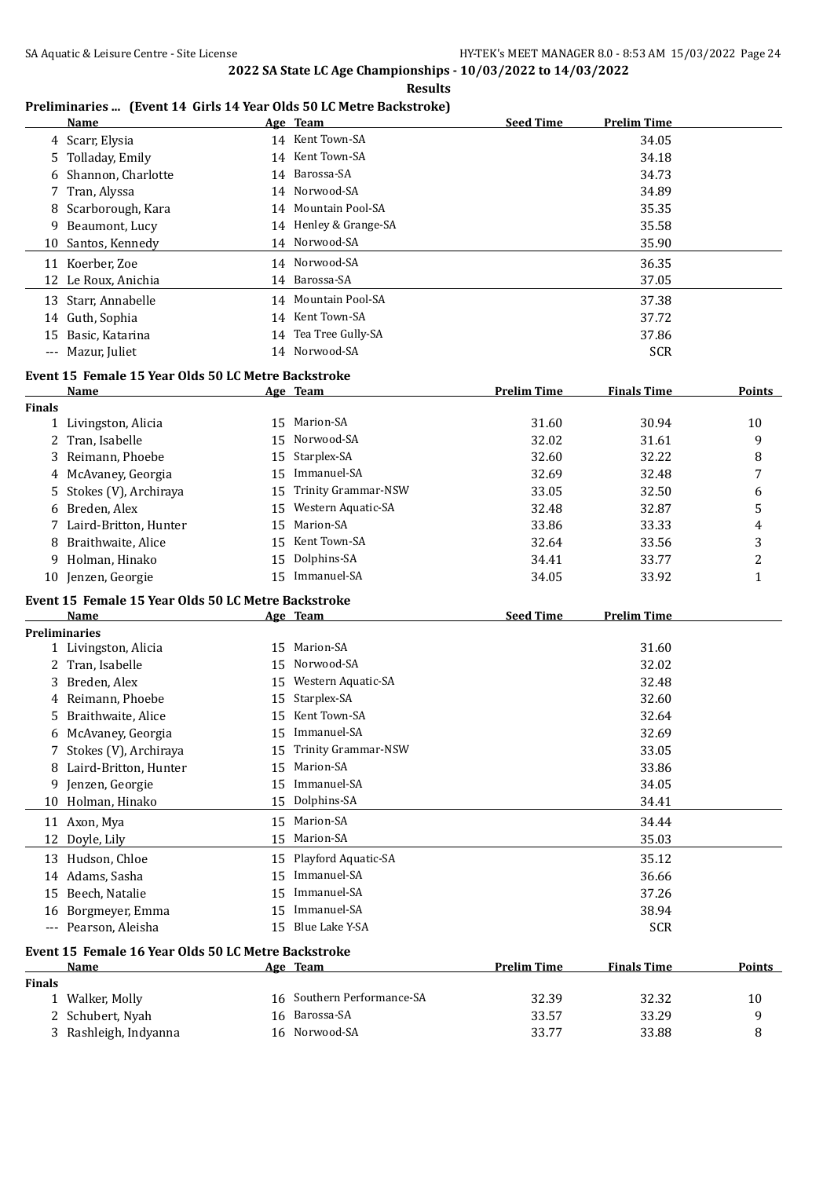#### **Preliminaries ... (Event 14 Girls 14 Year Olds 50 LC Metre Backstroke)**

|       | Name                 | Age Team              | <b>Seed Time</b> | <b>Prelim Time</b> |
|-------|----------------------|-----------------------|------------------|--------------------|
|       | 4 Scarr, Elysia      | 14 Kent Town-SA       |                  | 34.05              |
|       | 5 Tolladay, Emily    | 14 Kent Town-SA       |                  | 34.18              |
|       | 6 Shannon, Charlotte | 14 Barossa-SA         |                  | 34.73              |
|       | 7 Tran, Alyssa       | 14 Norwood-SA         |                  | 34.89              |
|       | 8 Scarborough, Kara  | 14 Mountain Pool-SA   |                  | 35.35              |
|       | 9 Beaumont, Lucy     | 14 Henley & Grange-SA |                  | 35.58              |
|       | 10 Santos, Kennedy   | 14 Norwood-SA         |                  | 35.90              |
| 11    | Koerber, Zoe         | 14 Norwood-SA         |                  | 36.35              |
|       | 12 Le Roux, Anichia  | 14 Barossa-SA         |                  | 37.05              |
| 13    | Starr, Annabelle     | 14 Mountain Pool-SA   |                  | 37.38              |
|       | 14 Guth, Sophia      | 14 Kent Town-SA       |                  | 37.72              |
| 15    | Basic, Katarina      | 14 Tea Tree Gully-SA  |                  | 37.86              |
| $---$ | Mazur, Juliet        | 14 Norwood-SA         |                  | <b>SCR</b>         |
|       |                      |                       |                  |                    |

#### **Event 15 Female 15 Year Olds 50 LC Metre Backstroke**

|               | <b>Name</b>                                         |    | Age Team                   | <b>Prelim Time</b> | <b>Finals Time</b> | <b>Points</b>  |
|---------------|-----------------------------------------------------|----|----------------------------|--------------------|--------------------|----------------|
| <b>Finals</b> |                                                     |    |                            |                    |                    |                |
|               | 1 Livingston, Alicia                                | 15 | Marion-SA                  | 31.60              | 30.94              | 10             |
|               | 2 Tran, Isabelle                                    | 15 | Norwood-SA                 | 32.02              | 31.61              | 9              |
| 3             | Reimann, Phoebe                                     | 15 | Starplex-SA                | 32.60              | 32.22              | 8              |
|               | 4 McAvaney, Georgia                                 | 15 | Immanuel-SA                | 32.69              | 32.48              | 7              |
| 5.            | Stokes (V), Archiraya                               | 15 | <b>Trinity Grammar-NSW</b> | 33.05              | 32.50              | 6              |
| 6             | Breden, Alex                                        | 15 | Western Aquatic-SA         | 32.48              | 32.87              | 5              |
|               | 7 Laird-Britton, Hunter                             | 15 | Marion-SA                  | 33.86              | 33.33              | 4              |
|               | Braithwaite, Alice                                  | 15 | Kent Town-SA               | 32.64              | 33.56              | 3              |
| 9             | Holman, Hinako                                      | 15 | Dolphins-SA                | 34.41              | 33.77              | $\overline{c}$ |
|               | 10 Jenzen, Georgie                                  |    | 15 Immanuel-SA             | 34.05              | 33.92              | $\mathbf{1}$   |
|               | Event 15 Female 15 Year Olds 50 LC Metre Backstroke |    |                            |                    |                    |                |
|               | Name                                                |    | Age Team                   | <b>Seed Time</b>   | <b>Prelim Time</b> |                |
|               | <b>Preliminaries</b>                                |    |                            |                    |                    |                |
|               | 1 Livingston, Alicia                                | 15 | Marion-SA                  |                    | 31.60              |                |
|               | 2 Tran, Isabelle                                    | 15 | Norwood-SA                 |                    | 32.02              |                |
| 3             | Breden, Alex                                        | 15 | Western Aquatic-SA         |                    | 32.48              |                |
| 4             | Reimann, Phoebe                                     | 15 | Starplex-SA                |                    | 32.60              |                |
| 5.            | Braithwaite, Alice                                  | 15 | Kent Town-SA               |                    | 32.64              |                |
| 6             | McAvaney, Georgia                                   | 15 | Immanuel-SA                |                    | 32.69              |                |
| 7             | Stokes (V), Archiraya                               | 15 | <b>Trinity Grammar-NSW</b> |                    | 33.05              |                |
| 8             | Laird-Britton, Hunter                               | 15 | Marion-SA                  |                    | 33.86              |                |
| 9             | Jenzen, Georgie                                     | 15 | Immanuel-SA                |                    | 34.05              |                |
| 10            | Holman, Hinako                                      | 15 | Dolphins-SA                |                    | 34.41              |                |
|               | 11 Axon, Mya                                        | 15 | Marion-SA                  |                    | 34.44              |                |
|               | 12 Doyle, Lily                                      |    | 15 Marion-SA               |                    | 35.03              |                |
|               | 13 Hudson, Chloe                                    | 15 | Playford Aquatic-SA        |                    | 35.12              |                |
|               | 14 Adams, Sasha                                     | 15 | Immanuel-SA                |                    | 36.66              |                |
| 15            | Beech, Natalie                                      | 15 | Immanuel-SA                |                    | 37.26              |                |
|               | 16 Borgmeyer, Emma                                  | 15 | Immanuel-SA                |                    | 38.94              |                |
|               | --- Pearson, Aleisha                                |    | 15 Blue Lake Y-SA          |                    | <b>SCR</b>         |                |
|               | Event 15 Female 16 Year Olds 50 LC Metre Backstroke |    |                            |                    |                    |                |
|               | <b>Name</b>                                         |    | Age Team                   | <b>Prelim Time</b> | <b>Finals Time</b> | <b>Points</b>  |
| <b>Finals</b> |                                                     |    |                            |                    |                    |                |
|               | 1 Walker, Molly                                     |    | 16 Southern Performance-SA | 32.39              | 32.32              | 10             |

2 Schubert, Nyah 16 Barossa-SA 33.57 33.29 9 3 Rashleigh, Indyanna 16 Norwood-SA 33.77 33.88 8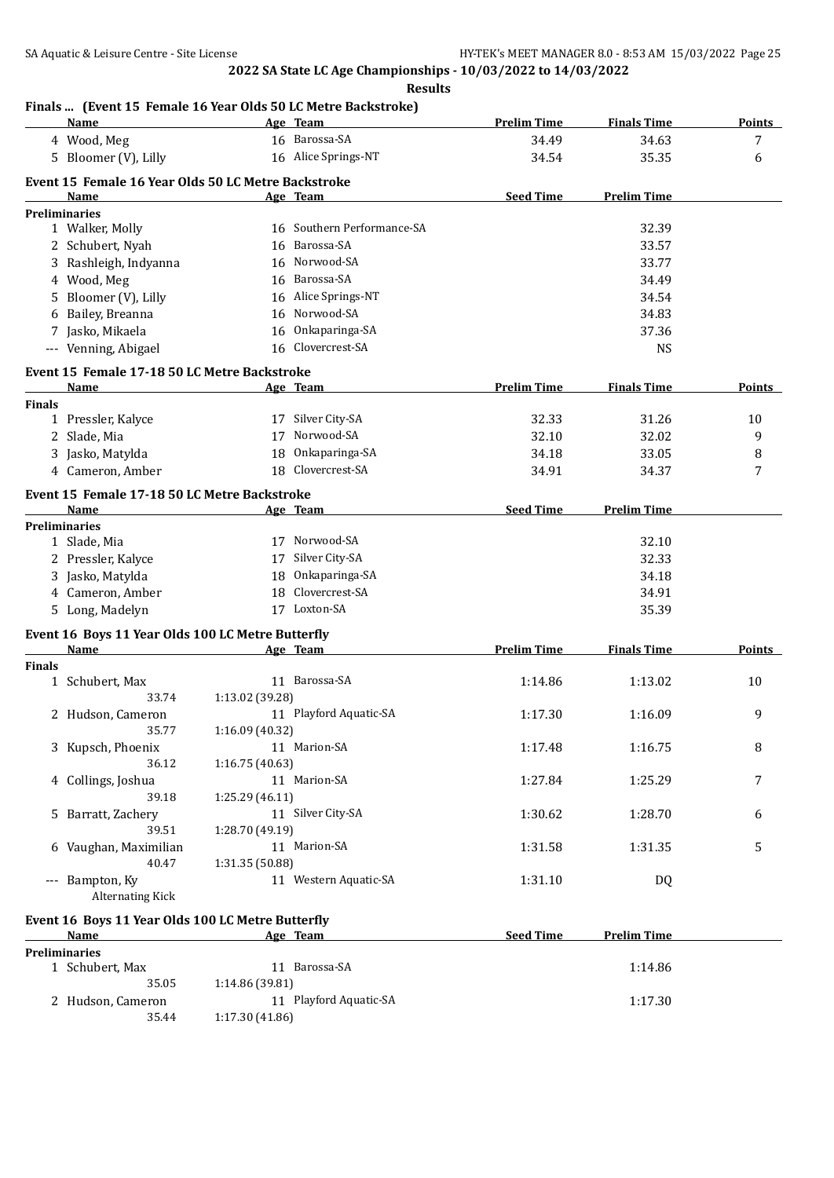#### **Finals ... (Event 15 Female 16 Year Olds 50 LC Metre Backstroke)**

| 16 Barossa-SA<br>4 Wood, Meg<br>34.49<br>34.63<br>7<br>16 Alice Springs-NT<br>5 Bloomer (V), Lilly<br>35.35<br>6<br>34.54<br>Event 15 Female 16 Year Olds 50 LC Metre Backstroke<br><b>Seed Time</b><br><b>Prelim Time</b><br>Name<br>Age Team<br><b>Preliminaries</b><br>16 Southern Performance-SA<br>32.39<br>1 Walker, Molly<br>16 Barossa-SA<br>33.57<br>2 Schubert, Nyah<br>16 Norwood-SA<br>3 Rashleigh, Indyanna<br>33.77<br>16 Barossa-SA<br>4 Wood, Meg<br>34.49<br>16 Alice Springs-NT<br>5 Bloomer (V), Lilly<br>34.54<br>16 Norwood-SA<br>34.83<br>6 Bailey, Breanna<br>7 Jasko, Mikaela<br>16 Onkaparinga-SA<br>37.36<br>16 Clovercrest-SA<br>--- Venning, Abigael<br><b>NS</b><br>Event 15 Female 17-18 50 LC Metre Backstroke<br><b>Prelim Time</b><br><b>Finals Time</b><br><b>Points</b><br>Name<br>Age Team<br><b>Finals</b><br>17 Silver City-SA<br>32.33<br>31.26<br>1 Pressler, Kalyce<br>10<br>17 Norwood-SA<br>9<br>2 Slade, Mia<br>32.10<br>32.02<br>18 Onkaparinga-SA<br>3 Jasko, Matylda<br>34.18<br>33.05<br>8<br>18 Clovercrest-SA<br>4 Cameron, Amber<br>34.91<br>34.37<br>7<br>Event 15 Female 17-18 50 LC Metre Backstroke<br><b>Seed Time</b><br>Name<br>Age Team<br><b>Prelim Time</b><br><b>Preliminaries</b><br>17 Norwood-SA<br>32.10<br>1 Slade, Mia<br>17 Silver City-SA<br>2 Pressler, Kalyce<br>32.33<br>18 Onkaparinga-SA<br>3 Jasko, Matylda<br>34.18<br>18 Clovercrest-SA<br>4 Cameron, Amber<br>34.91<br>17 Loxton-SA<br>5 Long, Madelyn<br>35.39<br>Event 16 Boys 11 Year Olds 100 LC Metre Butterfly<br><b>Prelim Time</b><br><b>Finals Time</b><br>Points<br>Name<br>Age Team<br><b>Finals</b><br>11 Barossa-SA<br>1 Schubert, Max<br>1:13.02<br>1:14.86<br>10<br>33.74<br>1:13.02 (39.28)<br>11 Playford Aquatic-SA<br>9<br>1:17.30<br>2 Hudson, Cameron<br>1:16.09<br>1:16.09 (40.32)<br>35.77<br>3 Kupsch, Phoenix<br>11 Marion-SA<br>1:17.48<br>1:16.75<br>8<br>36.12<br>1:16.75 (40.63)<br>11 Marion-SA<br>4 Collings, Joshua<br>1:27.84<br>1:25.29<br>7<br>1:25.29(46.11)<br>39.18<br>11 Silver City-SA<br>5 Barratt, Zachery<br>1:30.62<br>1:28.70<br>6<br>39.51<br>1:28.70 (49.19)<br>11 Marion-SA<br>6 Vaughan, Maximilian<br>1:31.35<br>5<br>1:31.58<br>40.47<br>1:31.35 (50.88)<br>11 Western Aquatic-SA<br>--- Bampton, Ky<br>1:31.10<br>DQ<br><b>Alternating Kick</b><br>Event 16 Boys 11 Year Olds 100 LC Metre Butterfly<br><b>Seed Time</b><br>Age Team<br><b>Prelim Time</b><br><b>Name</b><br><b>Preliminaries</b><br>11 Barossa-SA<br>1 Schubert, Max<br>1:14.86<br>1:14.86 (39.81)<br>35.05<br>2 Hudson, Cameron<br>11 Playford Aquatic-SA<br>1:17.30<br>35.44<br>1:17.30 (41.86) | <b>Name</b> | Age Team | <b>Prelim Time</b> | <b>Finals Time</b> | <b>Points</b> |
|-------------------------------------------------------------------------------------------------------------------------------------------------------------------------------------------------------------------------------------------------------------------------------------------------------------------------------------------------------------------------------------------------------------------------------------------------------------------------------------------------------------------------------------------------------------------------------------------------------------------------------------------------------------------------------------------------------------------------------------------------------------------------------------------------------------------------------------------------------------------------------------------------------------------------------------------------------------------------------------------------------------------------------------------------------------------------------------------------------------------------------------------------------------------------------------------------------------------------------------------------------------------------------------------------------------------------------------------------------------------------------------------------------------------------------------------------------------------------------------------------------------------------------------------------------------------------------------------------------------------------------------------------------------------------------------------------------------------------------------------------------------------------------------------------------------------------------------------------------------------------------------------------------------------------------------------------------------------------------------------------------------------------------------------------------------------------------------------------------------------------------------------------------------------------------------------------------------------------------------------------------------------------------------------------------------------------------------------------------------------------------------------------------------------------------------------------------------------------------------------------------------------------------------------------------------------------------------------------------------------------------------------------------|-------------|----------|--------------------|--------------------|---------------|
|                                                                                                                                                                                                                                                                                                                                                                                                                                                                                                                                                                                                                                                                                                                                                                                                                                                                                                                                                                                                                                                                                                                                                                                                                                                                                                                                                                                                                                                                                                                                                                                                                                                                                                                                                                                                                                                                                                                                                                                                                                                                                                                                                                                                                                                                                                                                                                                                                                                                                                                                                                                                                                                       |             |          |                    |                    |               |
|                                                                                                                                                                                                                                                                                                                                                                                                                                                                                                                                                                                                                                                                                                                                                                                                                                                                                                                                                                                                                                                                                                                                                                                                                                                                                                                                                                                                                                                                                                                                                                                                                                                                                                                                                                                                                                                                                                                                                                                                                                                                                                                                                                                                                                                                                                                                                                                                                                                                                                                                                                                                                                                       |             |          |                    |                    |               |
|                                                                                                                                                                                                                                                                                                                                                                                                                                                                                                                                                                                                                                                                                                                                                                                                                                                                                                                                                                                                                                                                                                                                                                                                                                                                                                                                                                                                                                                                                                                                                                                                                                                                                                                                                                                                                                                                                                                                                                                                                                                                                                                                                                                                                                                                                                                                                                                                                                                                                                                                                                                                                                                       |             |          |                    |                    |               |
|                                                                                                                                                                                                                                                                                                                                                                                                                                                                                                                                                                                                                                                                                                                                                                                                                                                                                                                                                                                                                                                                                                                                                                                                                                                                                                                                                                                                                                                                                                                                                                                                                                                                                                                                                                                                                                                                                                                                                                                                                                                                                                                                                                                                                                                                                                                                                                                                                                                                                                                                                                                                                                                       |             |          |                    |                    |               |
|                                                                                                                                                                                                                                                                                                                                                                                                                                                                                                                                                                                                                                                                                                                                                                                                                                                                                                                                                                                                                                                                                                                                                                                                                                                                                                                                                                                                                                                                                                                                                                                                                                                                                                                                                                                                                                                                                                                                                                                                                                                                                                                                                                                                                                                                                                                                                                                                                                                                                                                                                                                                                                                       |             |          |                    |                    |               |
|                                                                                                                                                                                                                                                                                                                                                                                                                                                                                                                                                                                                                                                                                                                                                                                                                                                                                                                                                                                                                                                                                                                                                                                                                                                                                                                                                                                                                                                                                                                                                                                                                                                                                                                                                                                                                                                                                                                                                                                                                                                                                                                                                                                                                                                                                                                                                                                                                                                                                                                                                                                                                                                       |             |          |                    |                    |               |
|                                                                                                                                                                                                                                                                                                                                                                                                                                                                                                                                                                                                                                                                                                                                                                                                                                                                                                                                                                                                                                                                                                                                                                                                                                                                                                                                                                                                                                                                                                                                                                                                                                                                                                                                                                                                                                                                                                                                                                                                                                                                                                                                                                                                                                                                                                                                                                                                                                                                                                                                                                                                                                                       |             |          |                    |                    |               |
|                                                                                                                                                                                                                                                                                                                                                                                                                                                                                                                                                                                                                                                                                                                                                                                                                                                                                                                                                                                                                                                                                                                                                                                                                                                                                                                                                                                                                                                                                                                                                                                                                                                                                                                                                                                                                                                                                                                                                                                                                                                                                                                                                                                                                                                                                                                                                                                                                                                                                                                                                                                                                                                       |             |          |                    |                    |               |
|                                                                                                                                                                                                                                                                                                                                                                                                                                                                                                                                                                                                                                                                                                                                                                                                                                                                                                                                                                                                                                                                                                                                                                                                                                                                                                                                                                                                                                                                                                                                                                                                                                                                                                                                                                                                                                                                                                                                                                                                                                                                                                                                                                                                                                                                                                                                                                                                                                                                                                                                                                                                                                                       |             |          |                    |                    |               |
|                                                                                                                                                                                                                                                                                                                                                                                                                                                                                                                                                                                                                                                                                                                                                                                                                                                                                                                                                                                                                                                                                                                                                                                                                                                                                                                                                                                                                                                                                                                                                                                                                                                                                                                                                                                                                                                                                                                                                                                                                                                                                                                                                                                                                                                                                                                                                                                                                                                                                                                                                                                                                                                       |             |          |                    |                    |               |
|                                                                                                                                                                                                                                                                                                                                                                                                                                                                                                                                                                                                                                                                                                                                                                                                                                                                                                                                                                                                                                                                                                                                                                                                                                                                                                                                                                                                                                                                                                                                                                                                                                                                                                                                                                                                                                                                                                                                                                                                                                                                                                                                                                                                                                                                                                                                                                                                                                                                                                                                                                                                                                                       |             |          |                    |                    |               |
|                                                                                                                                                                                                                                                                                                                                                                                                                                                                                                                                                                                                                                                                                                                                                                                                                                                                                                                                                                                                                                                                                                                                                                                                                                                                                                                                                                                                                                                                                                                                                                                                                                                                                                                                                                                                                                                                                                                                                                                                                                                                                                                                                                                                                                                                                                                                                                                                                                                                                                                                                                                                                                                       |             |          |                    |                    |               |
|                                                                                                                                                                                                                                                                                                                                                                                                                                                                                                                                                                                                                                                                                                                                                                                                                                                                                                                                                                                                                                                                                                                                                                                                                                                                                                                                                                                                                                                                                                                                                                                                                                                                                                                                                                                                                                                                                                                                                                                                                                                                                                                                                                                                                                                                                                                                                                                                                                                                                                                                                                                                                                                       |             |          |                    |                    |               |
|                                                                                                                                                                                                                                                                                                                                                                                                                                                                                                                                                                                                                                                                                                                                                                                                                                                                                                                                                                                                                                                                                                                                                                                                                                                                                                                                                                                                                                                                                                                                                                                                                                                                                                                                                                                                                                                                                                                                                                                                                                                                                                                                                                                                                                                                                                                                                                                                                                                                                                                                                                                                                                                       |             |          |                    |                    |               |
|                                                                                                                                                                                                                                                                                                                                                                                                                                                                                                                                                                                                                                                                                                                                                                                                                                                                                                                                                                                                                                                                                                                                                                                                                                                                                                                                                                                                                                                                                                                                                                                                                                                                                                                                                                                                                                                                                                                                                                                                                                                                                                                                                                                                                                                                                                                                                                                                                                                                                                                                                                                                                                                       |             |          |                    |                    |               |
|                                                                                                                                                                                                                                                                                                                                                                                                                                                                                                                                                                                                                                                                                                                                                                                                                                                                                                                                                                                                                                                                                                                                                                                                                                                                                                                                                                                                                                                                                                                                                                                                                                                                                                                                                                                                                                                                                                                                                                                                                                                                                                                                                                                                                                                                                                                                                                                                                                                                                                                                                                                                                                                       |             |          |                    |                    |               |
|                                                                                                                                                                                                                                                                                                                                                                                                                                                                                                                                                                                                                                                                                                                                                                                                                                                                                                                                                                                                                                                                                                                                                                                                                                                                                                                                                                                                                                                                                                                                                                                                                                                                                                                                                                                                                                                                                                                                                                                                                                                                                                                                                                                                                                                                                                                                                                                                                                                                                                                                                                                                                                                       |             |          |                    |                    |               |
|                                                                                                                                                                                                                                                                                                                                                                                                                                                                                                                                                                                                                                                                                                                                                                                                                                                                                                                                                                                                                                                                                                                                                                                                                                                                                                                                                                                                                                                                                                                                                                                                                                                                                                                                                                                                                                                                                                                                                                                                                                                                                                                                                                                                                                                                                                                                                                                                                                                                                                                                                                                                                                                       |             |          |                    |                    |               |
|                                                                                                                                                                                                                                                                                                                                                                                                                                                                                                                                                                                                                                                                                                                                                                                                                                                                                                                                                                                                                                                                                                                                                                                                                                                                                                                                                                                                                                                                                                                                                                                                                                                                                                                                                                                                                                                                                                                                                                                                                                                                                                                                                                                                                                                                                                                                                                                                                                                                                                                                                                                                                                                       |             |          |                    |                    |               |
|                                                                                                                                                                                                                                                                                                                                                                                                                                                                                                                                                                                                                                                                                                                                                                                                                                                                                                                                                                                                                                                                                                                                                                                                                                                                                                                                                                                                                                                                                                                                                                                                                                                                                                                                                                                                                                                                                                                                                                                                                                                                                                                                                                                                                                                                                                                                                                                                                                                                                                                                                                                                                                                       |             |          |                    |                    |               |
|                                                                                                                                                                                                                                                                                                                                                                                                                                                                                                                                                                                                                                                                                                                                                                                                                                                                                                                                                                                                                                                                                                                                                                                                                                                                                                                                                                                                                                                                                                                                                                                                                                                                                                                                                                                                                                                                                                                                                                                                                                                                                                                                                                                                                                                                                                                                                                                                                                                                                                                                                                                                                                                       |             |          |                    |                    |               |
|                                                                                                                                                                                                                                                                                                                                                                                                                                                                                                                                                                                                                                                                                                                                                                                                                                                                                                                                                                                                                                                                                                                                                                                                                                                                                                                                                                                                                                                                                                                                                                                                                                                                                                                                                                                                                                                                                                                                                                                                                                                                                                                                                                                                                                                                                                                                                                                                                                                                                                                                                                                                                                                       |             |          |                    |                    |               |
|                                                                                                                                                                                                                                                                                                                                                                                                                                                                                                                                                                                                                                                                                                                                                                                                                                                                                                                                                                                                                                                                                                                                                                                                                                                                                                                                                                                                                                                                                                                                                                                                                                                                                                                                                                                                                                                                                                                                                                                                                                                                                                                                                                                                                                                                                                                                                                                                                                                                                                                                                                                                                                                       |             |          |                    |                    |               |
|                                                                                                                                                                                                                                                                                                                                                                                                                                                                                                                                                                                                                                                                                                                                                                                                                                                                                                                                                                                                                                                                                                                                                                                                                                                                                                                                                                                                                                                                                                                                                                                                                                                                                                                                                                                                                                                                                                                                                                                                                                                                                                                                                                                                                                                                                                                                                                                                                                                                                                                                                                                                                                                       |             |          |                    |                    |               |
|                                                                                                                                                                                                                                                                                                                                                                                                                                                                                                                                                                                                                                                                                                                                                                                                                                                                                                                                                                                                                                                                                                                                                                                                                                                                                                                                                                                                                                                                                                                                                                                                                                                                                                                                                                                                                                                                                                                                                                                                                                                                                                                                                                                                                                                                                                                                                                                                                                                                                                                                                                                                                                                       |             |          |                    |                    |               |
|                                                                                                                                                                                                                                                                                                                                                                                                                                                                                                                                                                                                                                                                                                                                                                                                                                                                                                                                                                                                                                                                                                                                                                                                                                                                                                                                                                                                                                                                                                                                                                                                                                                                                                                                                                                                                                                                                                                                                                                                                                                                                                                                                                                                                                                                                                                                                                                                                                                                                                                                                                                                                                                       |             |          |                    |                    |               |
|                                                                                                                                                                                                                                                                                                                                                                                                                                                                                                                                                                                                                                                                                                                                                                                                                                                                                                                                                                                                                                                                                                                                                                                                                                                                                                                                                                                                                                                                                                                                                                                                                                                                                                                                                                                                                                                                                                                                                                                                                                                                                                                                                                                                                                                                                                                                                                                                                                                                                                                                                                                                                                                       |             |          |                    |                    |               |
|                                                                                                                                                                                                                                                                                                                                                                                                                                                                                                                                                                                                                                                                                                                                                                                                                                                                                                                                                                                                                                                                                                                                                                                                                                                                                                                                                                                                                                                                                                                                                                                                                                                                                                                                                                                                                                                                                                                                                                                                                                                                                                                                                                                                                                                                                                                                                                                                                                                                                                                                                                                                                                                       |             |          |                    |                    |               |
|                                                                                                                                                                                                                                                                                                                                                                                                                                                                                                                                                                                                                                                                                                                                                                                                                                                                                                                                                                                                                                                                                                                                                                                                                                                                                                                                                                                                                                                                                                                                                                                                                                                                                                                                                                                                                                                                                                                                                                                                                                                                                                                                                                                                                                                                                                                                                                                                                                                                                                                                                                                                                                                       |             |          |                    |                    |               |
|                                                                                                                                                                                                                                                                                                                                                                                                                                                                                                                                                                                                                                                                                                                                                                                                                                                                                                                                                                                                                                                                                                                                                                                                                                                                                                                                                                                                                                                                                                                                                                                                                                                                                                                                                                                                                                                                                                                                                                                                                                                                                                                                                                                                                                                                                                                                                                                                                                                                                                                                                                                                                                                       |             |          |                    |                    |               |
|                                                                                                                                                                                                                                                                                                                                                                                                                                                                                                                                                                                                                                                                                                                                                                                                                                                                                                                                                                                                                                                                                                                                                                                                                                                                                                                                                                                                                                                                                                                                                                                                                                                                                                                                                                                                                                                                                                                                                                                                                                                                                                                                                                                                                                                                                                                                                                                                                                                                                                                                                                                                                                                       |             |          |                    |                    |               |
|                                                                                                                                                                                                                                                                                                                                                                                                                                                                                                                                                                                                                                                                                                                                                                                                                                                                                                                                                                                                                                                                                                                                                                                                                                                                                                                                                                                                                                                                                                                                                                                                                                                                                                                                                                                                                                                                                                                                                                                                                                                                                                                                                                                                                                                                                                                                                                                                                                                                                                                                                                                                                                                       |             |          |                    |                    |               |
|                                                                                                                                                                                                                                                                                                                                                                                                                                                                                                                                                                                                                                                                                                                                                                                                                                                                                                                                                                                                                                                                                                                                                                                                                                                                                                                                                                                                                                                                                                                                                                                                                                                                                                                                                                                                                                                                                                                                                                                                                                                                                                                                                                                                                                                                                                                                                                                                                                                                                                                                                                                                                                                       |             |          |                    |                    |               |
|                                                                                                                                                                                                                                                                                                                                                                                                                                                                                                                                                                                                                                                                                                                                                                                                                                                                                                                                                                                                                                                                                                                                                                                                                                                                                                                                                                                                                                                                                                                                                                                                                                                                                                                                                                                                                                                                                                                                                                                                                                                                                                                                                                                                                                                                                                                                                                                                                                                                                                                                                                                                                                                       |             |          |                    |                    |               |
|                                                                                                                                                                                                                                                                                                                                                                                                                                                                                                                                                                                                                                                                                                                                                                                                                                                                                                                                                                                                                                                                                                                                                                                                                                                                                                                                                                                                                                                                                                                                                                                                                                                                                                                                                                                                                                                                                                                                                                                                                                                                                                                                                                                                                                                                                                                                                                                                                                                                                                                                                                                                                                                       |             |          |                    |                    |               |
|                                                                                                                                                                                                                                                                                                                                                                                                                                                                                                                                                                                                                                                                                                                                                                                                                                                                                                                                                                                                                                                                                                                                                                                                                                                                                                                                                                                                                                                                                                                                                                                                                                                                                                                                                                                                                                                                                                                                                                                                                                                                                                                                                                                                                                                                                                                                                                                                                                                                                                                                                                                                                                                       |             |          |                    |                    |               |
|                                                                                                                                                                                                                                                                                                                                                                                                                                                                                                                                                                                                                                                                                                                                                                                                                                                                                                                                                                                                                                                                                                                                                                                                                                                                                                                                                                                                                                                                                                                                                                                                                                                                                                                                                                                                                                                                                                                                                                                                                                                                                                                                                                                                                                                                                                                                                                                                                                                                                                                                                                                                                                                       |             |          |                    |                    |               |
|                                                                                                                                                                                                                                                                                                                                                                                                                                                                                                                                                                                                                                                                                                                                                                                                                                                                                                                                                                                                                                                                                                                                                                                                                                                                                                                                                                                                                                                                                                                                                                                                                                                                                                                                                                                                                                                                                                                                                                                                                                                                                                                                                                                                                                                                                                                                                                                                                                                                                                                                                                                                                                                       |             |          |                    |                    |               |
|                                                                                                                                                                                                                                                                                                                                                                                                                                                                                                                                                                                                                                                                                                                                                                                                                                                                                                                                                                                                                                                                                                                                                                                                                                                                                                                                                                                                                                                                                                                                                                                                                                                                                                                                                                                                                                                                                                                                                                                                                                                                                                                                                                                                                                                                                                                                                                                                                                                                                                                                                                                                                                                       |             |          |                    |                    |               |
|                                                                                                                                                                                                                                                                                                                                                                                                                                                                                                                                                                                                                                                                                                                                                                                                                                                                                                                                                                                                                                                                                                                                                                                                                                                                                                                                                                                                                                                                                                                                                                                                                                                                                                                                                                                                                                                                                                                                                                                                                                                                                                                                                                                                                                                                                                                                                                                                                                                                                                                                                                                                                                                       |             |          |                    |                    |               |
|                                                                                                                                                                                                                                                                                                                                                                                                                                                                                                                                                                                                                                                                                                                                                                                                                                                                                                                                                                                                                                                                                                                                                                                                                                                                                                                                                                                                                                                                                                                                                                                                                                                                                                                                                                                                                                                                                                                                                                                                                                                                                                                                                                                                                                                                                                                                                                                                                                                                                                                                                                                                                                                       |             |          |                    |                    |               |
|                                                                                                                                                                                                                                                                                                                                                                                                                                                                                                                                                                                                                                                                                                                                                                                                                                                                                                                                                                                                                                                                                                                                                                                                                                                                                                                                                                                                                                                                                                                                                                                                                                                                                                                                                                                                                                                                                                                                                                                                                                                                                                                                                                                                                                                                                                                                                                                                                                                                                                                                                                                                                                                       |             |          |                    |                    |               |
|                                                                                                                                                                                                                                                                                                                                                                                                                                                                                                                                                                                                                                                                                                                                                                                                                                                                                                                                                                                                                                                                                                                                                                                                                                                                                                                                                                                                                                                                                                                                                                                                                                                                                                                                                                                                                                                                                                                                                                                                                                                                                                                                                                                                                                                                                                                                                                                                                                                                                                                                                                                                                                                       |             |          |                    |                    |               |
|                                                                                                                                                                                                                                                                                                                                                                                                                                                                                                                                                                                                                                                                                                                                                                                                                                                                                                                                                                                                                                                                                                                                                                                                                                                                                                                                                                                                                                                                                                                                                                                                                                                                                                                                                                                                                                                                                                                                                                                                                                                                                                                                                                                                                                                                                                                                                                                                                                                                                                                                                                                                                                                       |             |          |                    |                    |               |
|                                                                                                                                                                                                                                                                                                                                                                                                                                                                                                                                                                                                                                                                                                                                                                                                                                                                                                                                                                                                                                                                                                                                                                                                                                                                                                                                                                                                                                                                                                                                                                                                                                                                                                                                                                                                                                                                                                                                                                                                                                                                                                                                                                                                                                                                                                                                                                                                                                                                                                                                                                                                                                                       |             |          |                    |                    |               |
|                                                                                                                                                                                                                                                                                                                                                                                                                                                                                                                                                                                                                                                                                                                                                                                                                                                                                                                                                                                                                                                                                                                                                                                                                                                                                                                                                                                                                                                                                                                                                                                                                                                                                                                                                                                                                                                                                                                                                                                                                                                                                                                                                                                                                                                                                                                                                                                                                                                                                                                                                                                                                                                       |             |          |                    |                    |               |
|                                                                                                                                                                                                                                                                                                                                                                                                                                                                                                                                                                                                                                                                                                                                                                                                                                                                                                                                                                                                                                                                                                                                                                                                                                                                                                                                                                                                                                                                                                                                                                                                                                                                                                                                                                                                                                                                                                                                                                                                                                                                                                                                                                                                                                                                                                                                                                                                                                                                                                                                                                                                                                                       |             |          |                    |                    |               |
|                                                                                                                                                                                                                                                                                                                                                                                                                                                                                                                                                                                                                                                                                                                                                                                                                                                                                                                                                                                                                                                                                                                                                                                                                                                                                                                                                                                                                                                                                                                                                                                                                                                                                                                                                                                                                                                                                                                                                                                                                                                                                                                                                                                                                                                                                                                                                                                                                                                                                                                                                                                                                                                       |             |          |                    |                    |               |
|                                                                                                                                                                                                                                                                                                                                                                                                                                                                                                                                                                                                                                                                                                                                                                                                                                                                                                                                                                                                                                                                                                                                                                                                                                                                                                                                                                                                                                                                                                                                                                                                                                                                                                                                                                                                                                                                                                                                                                                                                                                                                                                                                                                                                                                                                                                                                                                                                                                                                                                                                                                                                                                       |             |          |                    |                    |               |
|                                                                                                                                                                                                                                                                                                                                                                                                                                                                                                                                                                                                                                                                                                                                                                                                                                                                                                                                                                                                                                                                                                                                                                                                                                                                                                                                                                                                                                                                                                                                                                                                                                                                                                                                                                                                                                                                                                                                                                                                                                                                                                                                                                                                                                                                                                                                                                                                                                                                                                                                                                                                                                                       |             |          |                    |                    |               |
|                                                                                                                                                                                                                                                                                                                                                                                                                                                                                                                                                                                                                                                                                                                                                                                                                                                                                                                                                                                                                                                                                                                                                                                                                                                                                                                                                                                                                                                                                                                                                                                                                                                                                                                                                                                                                                                                                                                                                                                                                                                                                                                                                                                                                                                                                                                                                                                                                                                                                                                                                                                                                                                       |             |          |                    |                    |               |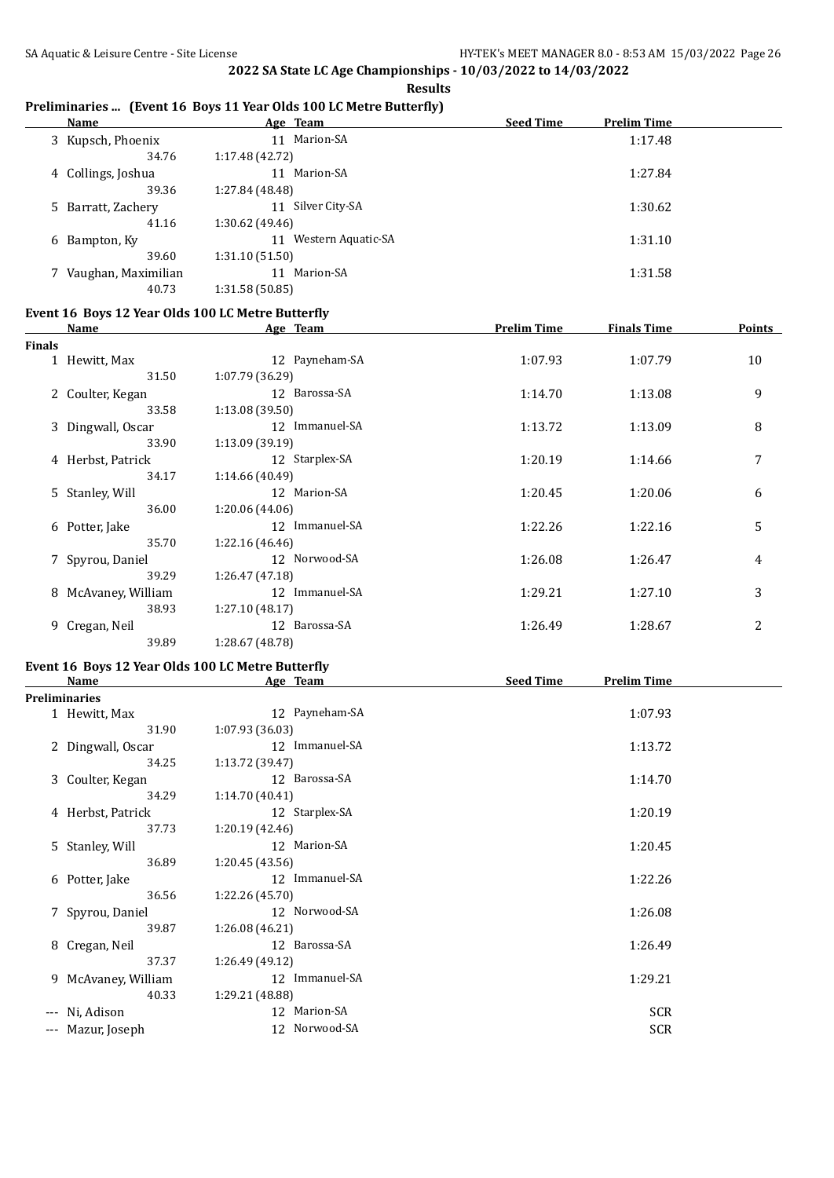**Results**

#### **Preliminaries ... (Event 16 Boys 11 Year Olds 100 LC Metre Butterfly)**

| Name                  | Age Team                 | <b>Seed Time</b><br><b>Prelim Time</b> |
|-----------------------|--------------------------|----------------------------------------|
| 3 Kupsch, Phoenix     | 11 Marion-SA             | 1:17.48                                |
| 34.76                 | 1:17.48(42.72)           |                                        |
| 4 Collings, Joshua    | 11 Marion-SA             | 1:27.84                                |
| 39.36                 | 1:27.84 (48.48)          |                                        |
| 5 Barratt, Zachery    | Silver City-SA<br>11     | 1:30.62                                |
| 41.16                 | 1:30.62(49.46)           |                                        |
| 6 Bampton, Ky         | Western Aquatic-SA<br>11 | 1:31.10                                |
| 39.60                 | 1:31.10(51.50)           |                                        |
| 7 Vaughan, Maximilian | Marion-SA<br>11          | 1:31.58                                |
| 40.73                 | 1:31.58(50.85)           |                                        |

### **Event 16 Boys 12 Year Olds 100 LC Metre Butterfly**

|               | <b>Name</b>         | Age Team        | <b>Prelim Time</b> | <b>Finals Time</b> | <b>Points</b> |
|---------------|---------------------|-----------------|--------------------|--------------------|---------------|
| <b>Finals</b> |                     |                 |                    |                    |               |
|               | 1 Hewitt, Max       | 12 Payneham-SA  | 1:07.93            | 1:07.79            | 10            |
|               | 31.50               | 1:07.79(36.29)  |                    |                    |               |
|               | 2 Coulter, Kegan    | 12 Barossa-SA   | 1:14.70            | 1:13.08            | 9             |
|               | 33.58               | 1:13.08(39.50)  |                    |                    |               |
|               | 3 Dingwall, Oscar   | 12 Immanuel-SA  | 1:13.72            | 1:13.09            | 8             |
|               | 33.90               | 1:13.09(39.19)  |                    |                    |               |
|               | 4 Herbst, Patrick   | 12 Starplex-SA  | 1:20.19            | 1:14.66            | 7             |
|               | 34.17               | 1:14.66(40.49)  |                    |                    |               |
|               | 5 Stanley, Will     | 12 Marion-SA    | 1:20.45            | 1:20.06            | 6             |
|               | 36.00               | 1:20.06(44.06)  |                    |                    |               |
|               | 6 Potter, Jake      | 12 Immanuel-SA  | 1:22.26            | 1:22.16            | 5             |
|               | 35.70               | 1:22.16(46.46)  |                    |                    |               |
|               | 7 Spyrou, Daniel    | 12 Norwood-SA   | 1:26.08            | 1:26.47            | 4             |
|               | 39.29               | 1:26.47(47.18)  |                    |                    |               |
|               | 8 McAvaney, William | 12 Immanuel-SA  | 1:29.21            | 1:27.10            | 3             |
|               | 38.93               | 1:27.10(48.17)  |                    |                    |               |
|               | 9 Cregan, Neil      | 12 Barossa-SA   | 1:26.49            | 1:28.67            | 2             |
|               | 39.89               | 1:28.67 (48.78) |                    |                    |               |

# **Event 16 Boys 12 Year Olds 100 LC Metre Butterfly**

| Name                 | Age Team        | <b>Seed Time</b><br><b>Prelim Time</b> |
|----------------------|-----------------|----------------------------------------|
| <b>Preliminaries</b> |                 |                                        |
| 1 Hewitt, Max        | 12 Payneham-SA  | 1:07.93                                |
| 31.90                | 1:07.93 (36.03) |                                        |
| 2 Dingwall, Oscar    | 12 Immanuel-SA  | 1:13.72                                |
| 34.25                | 1:13.72 (39.47) |                                        |
| 3 Coulter, Kegan     | 12 Barossa-SA   | 1:14.70                                |
| 34.29                | 1:14.70(40.41)  |                                        |
| 4 Herbst, Patrick    | 12 Starplex-SA  | 1:20.19                                |
| 37.73                | 1:20.19(42.46)  |                                        |
| 5 Stanley, Will      | 12 Marion-SA    | 1:20.45                                |
| 36.89                | 1:20.45(43.56)  |                                        |
| 6 Potter, Jake       | 12 Immanuel-SA  | 1:22.26                                |
| 36.56                | 1:22.26 (45.70) |                                        |
| 7 Spyrou, Daniel     | 12 Norwood-SA   | 1:26.08                                |
| 39.87                | 1:26.08(46.21)  |                                        |
| 8 Cregan, Neil       | 12 Barossa-SA   | 1:26.49                                |
| 37.37                | 1:26.49(49.12)  |                                        |
| 9 McAvaney, William  | 12 Immanuel-SA  | 1:29.21                                |
| 40.33                | 1:29.21 (48.88) |                                        |
| --- Ni, Adison       | 12 Marion-SA    | <b>SCR</b>                             |
| --- Mazur, Joseph    | 12 Norwood-SA   | <b>SCR</b>                             |
|                      |                 |                                        |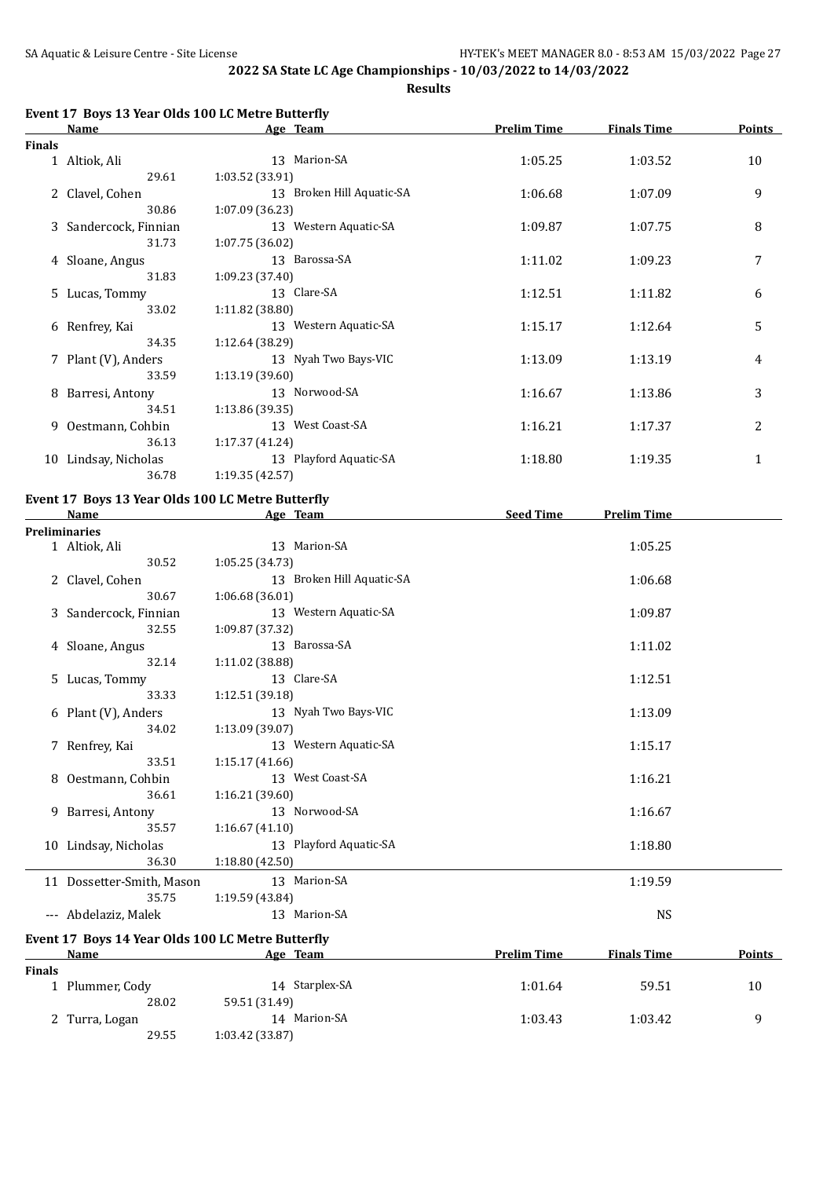**Results**

### **Event 17 Boys 13 Year Olds 100 LC Metre Butterfly**

|               | Name                  | Age Team                  | <b>Prelim Time</b> | <b>Finals Time</b> | <b>Points</b> |
|---------------|-----------------------|---------------------------|--------------------|--------------------|---------------|
| <b>Finals</b> |                       |                           |                    |                    |               |
|               | 1 Altiok, Ali         | 13 Marion-SA              | 1:05.25            | 1:03.52            | 10            |
|               | 29.61                 | 1:03.52 (33.91)           |                    |                    |               |
|               | 2 Clavel, Cohen       | 13 Broken Hill Aquatic-SA | 1:06.68            | 1:07.09            | 9             |
|               | 30.86                 | 1:07.09 (36.23)           |                    |                    |               |
|               | 3 Sandercock, Finnian | 13 Western Aquatic-SA     | 1:09.87            | 1:07.75            | 8             |
|               | 31.73                 | 1:07.75(36.02)            |                    |                    |               |
|               | 4 Sloane, Angus       | 13 Barossa-SA             | 1:11.02            | 1:09.23            | 7             |
|               | 31.83                 | 1:09.23 (37.40)           |                    |                    |               |
|               | 5 Lucas, Tommy        | 13 Clare-SA               | 1:12.51            | 1:11.82            | 6             |
|               | 33.02                 | 1:11.82(38.80)            |                    |                    |               |
|               | 6 Renfrey, Kai        | 13 Western Aquatic-SA     | 1:15.17            | 1:12.64            | 5             |
|               | 34.35                 | 1:12.64 (38.29)           |                    |                    |               |
|               | 7 Plant (V), Anders   | 13 Nyah Two Bays-VIC      | 1:13.09            | 1:13.19            | 4             |
|               | 33.59                 | 1:13.19(39.60)            |                    |                    |               |
|               | 8 Barresi, Antony     | 13 Norwood-SA             | 1:16.67            | 1:13.86            | 3             |
|               | 34.51                 | 1:13.86(39.35)            |                    |                    |               |
|               | 9 Oestmann, Cohbin    | 13 West Coast-SA          | 1:16.21            | 1:17.37            | 2             |
|               | 36.13                 | 1:17.37(41.24)            |                    |                    |               |
| 10            | Lindsay, Nicholas     | 13 Playford Aquatic-SA    | 1:18.80            | 1:19.35            | 1             |
|               | 36.78                 | 1:19.35 (42.57)           |                    |                    |               |

#### **Event 17 Boys 13 Year Olds 100 LC Metre Butterfly**

| <b>Name</b>                                       | Age Team                  | <b>Seed Time</b>   | <b>Prelim Time</b> |               |
|---------------------------------------------------|---------------------------|--------------------|--------------------|---------------|
| <b>Preliminaries</b>                              |                           |                    |                    |               |
| 1 Altiok, Ali                                     | 13 Marion-SA              |                    | 1:05.25            |               |
| 30.52                                             | 1:05.25(34.73)            |                    |                    |               |
| 2 Clavel, Cohen                                   | 13 Broken Hill Aquatic-SA |                    | 1:06.68            |               |
| 30.67                                             | 1:06.68 (36.01)           |                    |                    |               |
| 3 Sandercock, Finnian                             | 13 Western Aquatic-SA     |                    | 1:09.87            |               |
| 32.55                                             | 1:09.87 (37.32)           |                    |                    |               |
| 4 Sloane, Angus                                   | 13 Barossa-SA             |                    | 1:11.02            |               |
| 32.14                                             | 1:11.02 (38.88)           |                    |                    |               |
| 5 Lucas, Tommy                                    | 13 Clare-SA               |                    | 1:12.51            |               |
| 33.33                                             | 1:12.51(39.18)            |                    |                    |               |
| 6 Plant (V), Anders                               | 13 Nyah Two Bays-VIC      |                    | 1:13.09            |               |
| 34.02                                             | 1:13.09 (39.07)           |                    |                    |               |
| 7 Renfrey, Kai                                    | 13 Western Aquatic-SA     |                    | 1:15.17            |               |
| 33.51                                             | 1:15.17(41.66)            |                    |                    |               |
| 8 Oestmann, Cohbin                                | 13 West Coast-SA          |                    | 1:16.21            |               |
| 36.61                                             | 1:16.21(39.60)            |                    |                    |               |
| 9 Barresi, Antony                                 | 13 Norwood-SA             |                    | 1:16.67            |               |
| 35.57                                             | 1:16.67(41.10)            |                    |                    |               |
| 10 Lindsay, Nicholas                              | 13 Playford Aquatic-SA    |                    | 1:18.80            |               |
| 36.30                                             | 1:18.80(42.50)            |                    |                    |               |
| 11 Dossetter-Smith, Mason                         | 13 Marion-SA              |                    | 1:19.59            |               |
| 35.75                                             | 1:19.59 (43.84)           |                    |                    |               |
| --- Abdelaziz, Malek                              | 13 Marion-SA              |                    | <b>NS</b>          |               |
| Event 17 Boys 14 Year Olds 100 LC Metre Butterfly |                           |                    |                    |               |
| Name                                              | Age Team                  | <b>Prelim Time</b> | <b>Finals Time</b> | <b>Points</b> |

| Finals |                 |                |         |         |    |
|--------|-----------------|----------------|---------|---------|----|
|        | 1 Plummer, Cody | 14 Starplex-SA | 1:01.64 | 59.51   | 10 |
|        | 28.02           | 59.51 (31.49)  |         |         |    |
|        | 2 Turra, Logan  | 14 Marion-SA   | 1:03.43 | 1:03.42 |    |
|        | 29.55           | 1:03.42(33.87) |         |         |    |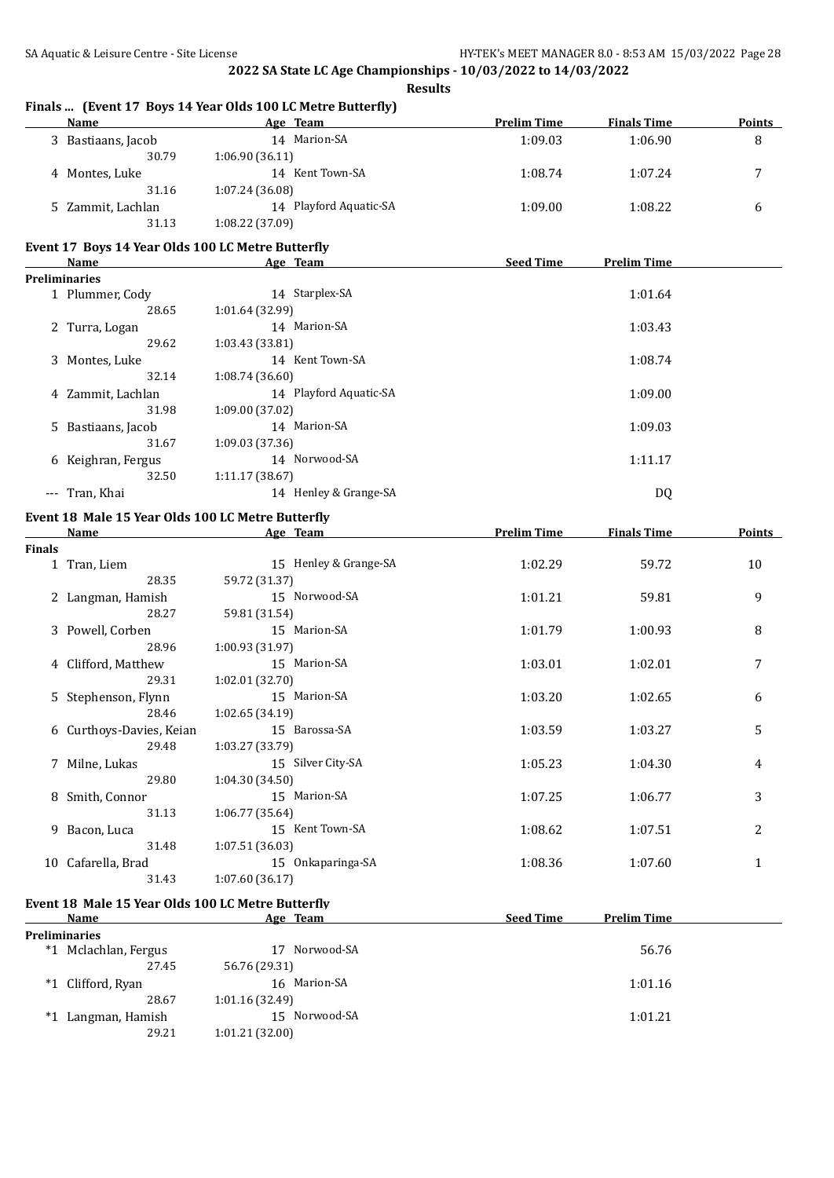**Finals ... (Event 17 Boys 14 Year Olds 100 LC Metre Butterfly)**

**2022 SA State LC Age Championships - 10/03/2022 to 14/03/2022**

**Results**

**Name Age Team Prelim Time Finals Time Points** 3 Bastiaans, Jacob 14 Marion-SA 1:09.03 1:06.90 8

|               | 30.79                                             | 1:06.90 (36.11)        |                    |                    |               |
|---------------|---------------------------------------------------|------------------------|--------------------|--------------------|---------------|
|               | 4 Montes, Luke                                    | 14 Kent Town-SA        | 1:08.74            | 1:07.24            | 7             |
|               | 31.16                                             | 1:07.24 (36.08)        |                    |                    |               |
|               | 5 Zammit, Lachlan                                 | 14 Playford Aquatic-SA | 1:09.00            | 1:08.22            | 6             |
|               | 31.13                                             | 1:08.22 (37.09)        |                    |                    |               |
|               |                                                   |                        |                    |                    |               |
|               | Event 17 Boys 14 Year Olds 100 LC Metre Butterfly |                        |                    |                    |               |
|               | Name                                              | Age Team               | <b>Seed Time</b>   | <b>Prelim Time</b> |               |
|               | <b>Preliminaries</b>                              |                        |                    |                    |               |
|               | 1 Plummer, Cody                                   | 14 Starplex-SA         |                    | 1:01.64            |               |
|               | 28.65                                             | 1:01.64 (32.99)        |                    |                    |               |
|               | 2 Turra, Logan                                    | 14 Marion-SA           |                    | 1:03.43            |               |
|               | 29.62                                             | 1:03.43 (33.81)        |                    |                    |               |
|               | 3 Montes, Luke                                    | 14 Kent Town-SA        |                    | 1:08.74            |               |
|               | 32.14                                             | 1:08.74 (36.60)        |                    |                    |               |
|               | 4 Zammit, Lachlan                                 | 14 Playford Aquatic-SA |                    | 1:09.00            |               |
|               | 31.98                                             | 1:09.00 (37.02)        |                    |                    |               |
| 5.            | Bastiaans, Jacob                                  | 14 Marion-SA           |                    | 1:09.03            |               |
|               | 31.67                                             | 1:09.03 (37.36)        |                    |                    |               |
|               | 6 Keighran, Fergus                                | 14 Norwood-SA          |                    | 1:11.17            |               |
|               | 32.50                                             | 1:11.17 (38.67)        |                    |                    |               |
|               | --- Tran, Khai                                    | 14 Henley & Grange-SA  |                    | DQ                 |               |
|               | Event 18 Male 15 Year Olds 100 LC Metre Butterfly |                        |                    |                    |               |
|               | Name                                              | Age Team               | <b>Prelim Time</b> | <b>Finals Time</b> | <b>Points</b> |
| <b>Finals</b> |                                                   |                        |                    |                    |               |
|               | 1 Tran, Liem                                      | 15 Henley & Grange-SA  | 1:02.29            | 59.72              | 10            |
|               | 28.35                                             | 59.72 (31.37)          |                    |                    |               |
|               | 2 Langman, Hamish                                 | 15 Norwood-SA          | 1:01.21            | 59.81              | 9             |
|               | 28.27                                             | 59.81 (31.54)          |                    |                    |               |
|               | 3 Powell, Corben                                  | 15 Marion-SA           | 1:01.79            | 1:00.93            | 8             |
|               | 28.96                                             | 1:00.93 (31.97)        |                    |                    |               |
|               | 4 Clifford, Matthew                               | 15 Marion-SA           | 1:03.01            | 1:02.01            | 7             |
|               | 29.31                                             | 1:02.01 (32.70)        |                    |                    |               |
|               | 5 Stephenson, Flynn                               | 15 Marion-SA           | 1:03.20            | 1:02.65            | 6             |
|               | 28.46                                             | 1:02.65 (34.19)        |                    |                    |               |
|               | 6 Curthoys-Davies, Keian                          | 15 Barossa-SA          | 1:03.59            | 1:03.27            | 5             |
|               | 29.48                                             | 1:03.27 (33.79)        |                    |                    |               |
|               | 7 Milne, Lukas                                    | 15 Silver City-SA      | 1:05.23            | 1:04.30            | 4             |
|               | 29.80                                             | 1:04.30(34.50)         |                    |                    |               |
|               | 8 Smith, Connor                                   | 15 Marion-SA           | 1:07.25            | 1:06.77            | 3             |
|               | 31.13                                             | 1:06.77 (35.64)        |                    |                    |               |
|               | 9 Bacon, Luca                                     | 15 Kent Town-SA        | 1:08.62            | 1:07.51            | 2             |
|               | 31.48                                             | 1:07.51 (36.03)        |                    |                    |               |
|               | 10 Cafarella, Brad                                | 15 Onkaparinga-SA      | 1:08.36            | 1:07.60            | 1             |
|               | 31.43                                             | 1:07.60 (36.17)        |                    |                    |               |
|               |                                                   |                        |                    |                    |               |
|               | Event 18 Male 15 Year Olds 100 LC Metre Butterfly |                        |                    |                    |               |
|               | Name                                              | Age Team               | <b>Seed Time</b>   | <b>Prelim Time</b> |               |
|               | <b>Preliminaries</b>                              |                        |                    |                    |               |
|               | *1 Mclachlan, Fergus                              | 17 Norwood-SA          |                    | 56.76              |               |
|               | 27.45                                             | 56.76 (29.31)          |                    |                    |               |
|               | *1 Clifford, Ryan                                 | 16 Marion-SA           |                    | 1:01.16            |               |
|               | 28.67                                             | 1:01.16 (32.49)        |                    |                    |               |
|               | *1 Langman, Hamish                                | 15 Norwood-SA          |                    | 1:01.21            |               |
|               | 29.21                                             | 1:01.21 (32.00)        |                    |                    |               |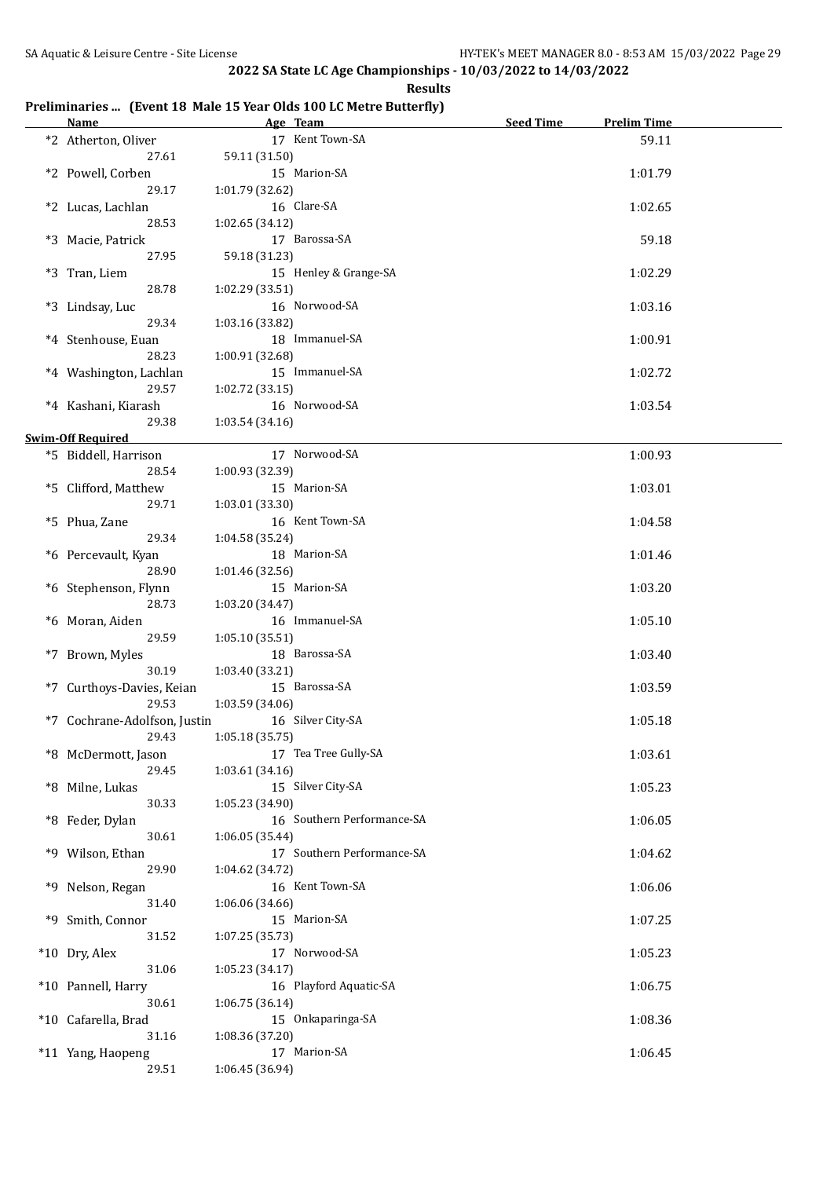**Results**

#### **Preliminaries ... (Event 18 Male 15 Year Olds 100 LC Metre Butterfly)**

| <b>Name</b>                  | Age Team                             | Seed Time | <b>Prelim Time</b> |  |
|------------------------------|--------------------------------------|-----------|--------------------|--|
| *2 Atherton, Oliver          | 17 Kent Town-SA                      |           | 59.11              |  |
| 27.61                        | 59.11 (31.50)                        |           |                    |  |
| *2 Powell, Corben            | 15 Marion-SA                         |           | 1:01.79            |  |
| 29.17                        | 1:01.79 (32.62)                      |           |                    |  |
| *2 Lucas, Lachlan            | 16 Clare-SA                          |           | 1:02.65            |  |
| 28.53                        | 1:02.65 (34.12)                      |           |                    |  |
| *3 Macie, Patrick            | 17 Barossa-SA                        |           | 59.18              |  |
| 27.95                        | 59.18 (31.23)                        |           |                    |  |
| *3 Tran, Liem                | 15 Henley & Grange-SA                |           | 1:02.29            |  |
| 28.78                        | 1:02.29(33.51)                       |           |                    |  |
| *3 Lindsay, Luc              | 16 Norwood-SA                        |           | 1:03.16            |  |
| 29.34                        | 1:03.16 (33.82)                      |           |                    |  |
| *4 Stenhouse, Euan           | 18 Immanuel-SA                       |           | 1:00.91            |  |
| 28.23                        | 1:00.91 (32.68)                      |           |                    |  |
| *4 Washington, Lachlan       | 15 Immanuel-SA                       |           | 1:02.72            |  |
| 29.57                        | 1:02.72 (33.15)                      |           |                    |  |
| *4 Kashani, Kiarash          | 16 Norwood-SA                        |           | 1:03.54            |  |
| 29.38                        | 1:03.54(34.16)                       |           |                    |  |
| <b>Swim-Off Required</b>     |                                      |           |                    |  |
| *5 Biddell, Harrison         | 17 Norwood-SA                        |           | 1:00.93            |  |
| 28.54                        | 1:00.93 (32.39)                      |           |                    |  |
| *5 Clifford, Matthew         | 15 Marion-SA                         |           | 1:03.01            |  |
| 29.71                        | 1:03.01 (33.30)                      |           |                    |  |
| *5 Phua, Zane                | 16 Kent Town-SA                      |           | 1:04.58            |  |
| 29.34                        | 1:04.58 (35.24)                      |           |                    |  |
| *6 Percevault, Kyan          | 18 Marion-SA                         |           | 1:01.46            |  |
| 28.90                        | 1:01.46 (32.56)                      |           |                    |  |
| *6 Stephenson, Flynn         | 15 Marion-SA                         |           | 1:03.20            |  |
| 28.73                        | 1:03.20 (34.47)                      |           |                    |  |
| *6 Moran, Aiden              | 16 Immanuel-SA                       |           | 1:05.10            |  |
| 29.59                        | 1:05.10(35.51)                       |           |                    |  |
| *7 Brown, Myles              | 18 Barossa-SA                        |           | 1:03.40            |  |
| 30.19                        | 1:03.40 (33.21)                      |           |                    |  |
| *7 Curthoys-Davies, Keian    | 15 Barossa-SA                        |           | 1:03.59            |  |
| 29.53                        | 1:03.59 (34.06)                      |           |                    |  |
| *7 Cochrane-Adolfson, Justin | 16 Silver City-SA                    |           | 1:05.18            |  |
| 29.43                        | 1:05.18(35.75)                       |           |                    |  |
| *8 McDermott, Jason          | 17 Tea Tree Gully-SA                 |           | 1:03.61            |  |
| 29.45                        | 1:03.61 (34.16)                      |           |                    |  |
| *8 Milne, Lukas              | 15 Silver City-SA                    |           | 1:05.23            |  |
| 30.33                        | 1:05.23 (34.90)                      |           |                    |  |
| *8 Feder, Dylan              | 16 Southern Performance-SA           |           | 1:06.05            |  |
| 30.61                        | 1:06.05 (35.44)                      |           |                    |  |
| *9 Wilson, Ethan             | 17 Southern Performance-SA           |           | 1:04.62            |  |
| 29.90                        | 1:04.62 (34.72)                      |           |                    |  |
| *9 Nelson, Regan             | 16 Kent Town-SA                      |           | 1:06.06            |  |
| 31.40                        | 1:06.06 (34.66)                      |           |                    |  |
| *9 Smith, Connor             | 15 Marion-SA                         |           | 1:07.25            |  |
| 31.52                        | 1:07.25 (35.73)                      |           |                    |  |
| *10 Dry, Alex                | 17 Norwood-SA                        |           | 1:05.23            |  |
| 31.06                        | 1:05.23 (34.17)                      |           |                    |  |
| *10 Pannell, Harry<br>30.61  | 16 Playford Aquatic-SA               |           | 1:06.75            |  |
| *10 Cafarella, Brad          | 1:06.75 (36.14)<br>15 Onkaparinga-SA |           | 1:08.36            |  |
| 31.16                        | 1:08.36 (37.20)                      |           |                    |  |
| *11 Yang, Haopeng            | 17 Marion-SA                         |           | 1:06.45            |  |
| 29.51                        | 1:06.45 (36.94)                      |           |                    |  |
|                              |                                      |           |                    |  |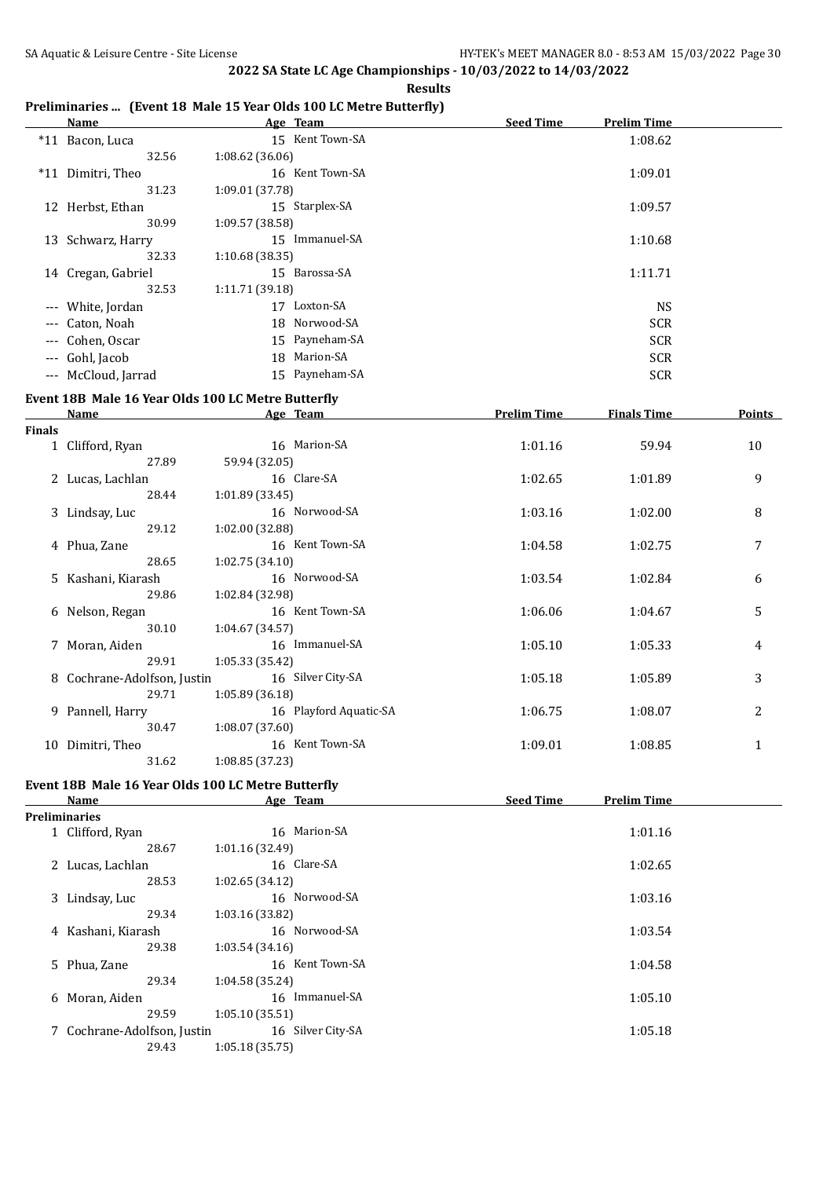#### **Preliminaries ... (Event 18 Male 15 Year Olds 100 LC Metre Butterfly)**

| <b>Name</b>         | Age Team          | <b>Seed Time</b><br><b>Prelim Time</b> |
|---------------------|-------------------|----------------------------------------|
| *11 Bacon, Luca     | 15 Kent Town-SA   | 1:08.62                                |
| 32.56               | 1:08.62(36.06)    |                                        |
| *11 Dimitri, Theo   | 16 Kent Town-SA   | 1:09.01                                |
| 31.23               | 1:09.01 (37.78)   |                                        |
| 12 Herbst, Ethan    | 15 Starplex-SA    | 1:09.57                                |
| 30.99               | 1:09.57 (38.58)   |                                        |
| 13 Schwarz, Harry   | Immanuel-SA<br>15 | 1:10.68                                |
| 32.33               | 1:10.68(38.35)    |                                        |
| 14 Cregan, Gabriel  | 15 Barossa-SA     | 1:11.71                                |
| 32.53               | 1:11.71 (39.18)   |                                        |
| --- White, Jordan   | Loxton-SA<br>17   | NS.                                    |
| --- Caton, Noah     | 18 Norwood-SA     | <b>SCR</b>                             |
| --- Cohen, Oscar    | 15 Payneham-SA    | <b>SCR</b>                             |
| --- Gohl, Jacob     | 18 Marion-SA      | <b>SCR</b>                             |
| --- McCloud, Jarrad | 15 Payneham-SA    | <b>SCR</b>                             |
|                     |                   |                                        |

# **Event 18B Male 16 Year Olds 100 LC Metre Butterfly**

|               | Name                        |                 | Age Team               | <b>Prelim Time</b> | <b>Finals Time</b> | <b>Points</b>  |
|---------------|-----------------------------|-----------------|------------------------|--------------------|--------------------|----------------|
| <b>Finals</b> |                             |                 |                        |                    |                    |                |
|               | 1 Clifford, Ryan            |                 | 16 Marion-SA           | 1:01.16            | 59.94              | 10             |
|               | 27.89                       | 59.94 (32.05)   |                        |                    |                    |                |
|               | 2 Lucas, Lachlan            |                 | 16 Clare-SA            | 1:02.65            | 1:01.89            | 9              |
|               | 28.44                       | 1:01.89(33.45)  |                        |                    |                    |                |
|               | 3 Lindsay, Luc              |                 | 16 Norwood-SA          | 1:03.16            | 1:02.00            | 8              |
|               | 29.12                       | 1:02.00 (32.88) |                        |                    |                    |                |
|               | 4 Phua, Zane                |                 | 16 Kent Town-SA        | 1:04.58            | 1:02.75            | 7              |
|               | 28.65                       | 1:02.75(34.10)  |                        |                    |                    |                |
|               | 5 Kashani, Kiarash          |                 | 16 Norwood-SA          | 1:03.54            | 1:02.84            | 6              |
|               | 29.86                       | 1:02.84 (32.98) |                        |                    |                    |                |
|               | 6 Nelson, Regan             |                 | 16 Kent Town-SA        | 1:06.06            | 1:04.67            | 5              |
|               | 30.10                       | 1:04.67 (34.57) |                        |                    |                    |                |
|               | 7 Moran, Aiden              |                 | 16 Immanuel-SA         | 1:05.10            | 1:05.33            | 4              |
|               | 29.91                       | 1:05.33(35.42)  |                        |                    |                    |                |
|               | 8 Cochrane-Adolfson, Justin |                 | 16 Silver City-SA      | 1:05.18            | 1:05.89            | 3              |
|               | 29.71                       | 1:05.89(36.18)  |                        |                    |                    |                |
|               | 9 Pannell, Harry            |                 | 16 Playford Aquatic-SA | 1:06.75            | 1:08.07            | $\overline{2}$ |
|               | 30.47                       | 1:08.07(37.60)  |                        |                    |                    |                |
| 10            | Dimitri, Theo               |                 | 16 Kent Town-SA        | 1:09.01            | 1:08.85            | $\mathbf{1}$   |
|               | 31.62                       | 1:08.85 (37.23) |                        |                    |                    |                |

#### **Event 18B Male 16 Year Olds 100 LC Metre Butterfly**

| Name                        | Age Team          | <b>Seed Time</b><br><b>Prelim Time</b> |
|-----------------------------|-------------------|----------------------------------------|
| <b>Preliminaries</b>        |                   |                                        |
| 1 Clifford, Ryan            | 16 Marion-SA      | 1:01.16                                |
| 28.67                       | 1:01.16(32.49)    |                                        |
| 2 Lucas, Lachlan            | 16 Clare-SA       | 1:02.65                                |
| 28.53                       | 1:02.65(34.12)    |                                        |
| 3 Lindsay, Luc              | 16 Norwood-SA     | 1:03.16                                |
| 29.34                       | 1:03.16(33.82)    |                                        |
| 4 Kashani, Kiarash          | 16 Norwood-SA     | 1:03.54                                |
| 29.38                       | 1:03.54(34.16)    |                                        |
| 5 Phua, Zane                | 16 Kent Town-SA   | 1:04.58                                |
| 29.34                       | 1:04.58(35.24)    |                                        |
| 6 Moran, Aiden              | 16 Immanuel-SA    | 1:05.10                                |
| 29.59                       | 1:05.10(35.51)    |                                        |
| 7 Cochrane-Adolfson, Justin | 16 Silver City-SA | 1:05.18                                |
| 29.43                       | 1:05.18(35.75)    |                                        |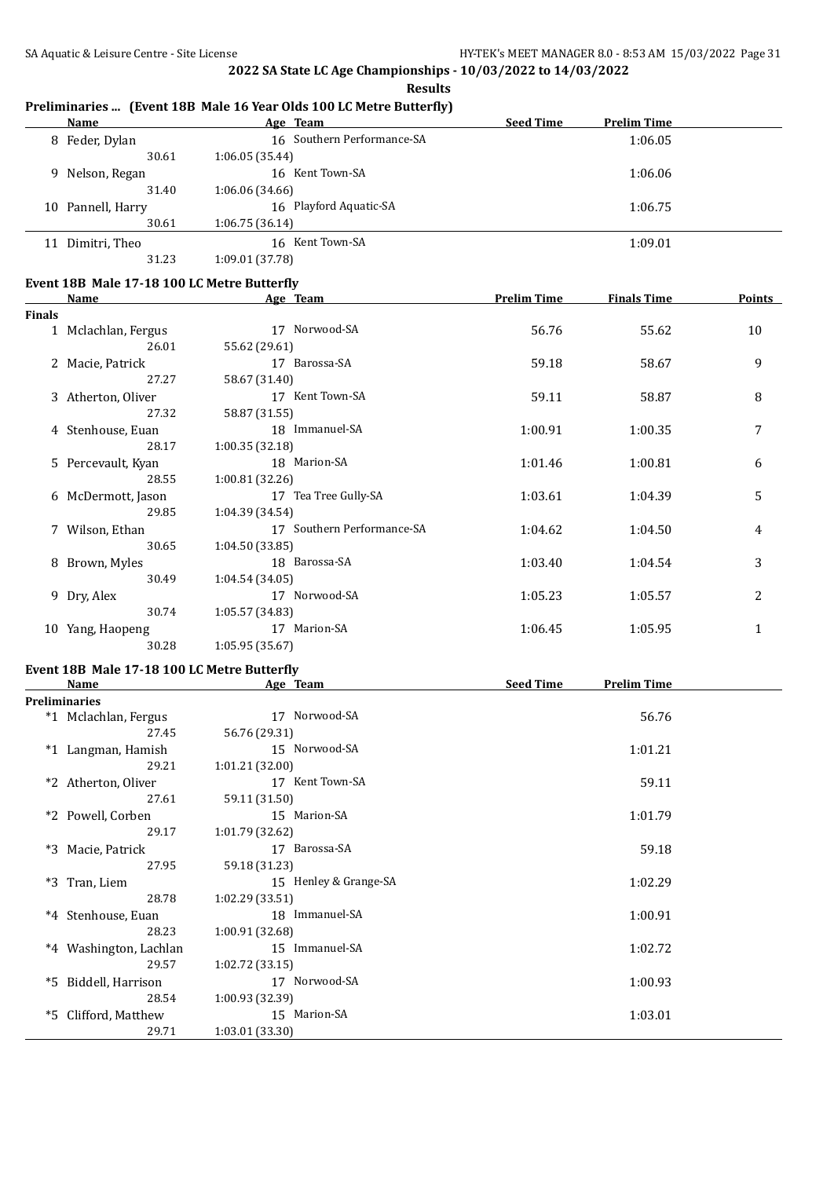**Results**

|               | <u>Name</u>                                 | $\mathbf{r}_1$ (Event Top mate To Teat Olds Too Equate butterity)<br>Age Team | Seed Time          | <b>Prelim Time</b> |        |
|---------------|---------------------------------------------|-------------------------------------------------------------------------------|--------------------|--------------------|--------|
|               | 8 Feder, Dylan                              | 16 Southern Performance-SA                                                    |                    | 1:06.05            |        |
|               | 30.61                                       | 1:06.05 (35.44)                                                               |                    |                    |        |
|               | 9 Nelson, Regan                             | 16 Kent Town-SA                                                               |                    | 1:06.06            |        |
|               | 31.40                                       | 1:06.06 (34.66)                                                               |                    |                    |        |
|               | 10 Pannell, Harry                           | 16 Playford Aquatic-SA                                                        |                    | 1:06.75            |        |
|               | 30.61                                       | 1:06.75 (36.14)                                                               |                    |                    |        |
|               | 11 Dimitri, Theo                            | 16 Kent Town-SA                                                               |                    | 1:09.01            |        |
|               | 31.23                                       | 1:09.01 (37.78)                                                               |                    |                    |        |
|               |                                             |                                                                               |                    |                    |        |
|               | Event 18B Male 17-18 100 LC Metre Butterfly |                                                                               |                    |                    |        |
|               | Name                                        | Age Team                                                                      | <b>Prelim Time</b> | <b>Finals Time</b> | Points |
| <b>Finals</b> | 1 Mclachlan, Fergus                         | 17 Norwood-SA                                                                 | 56.76              | 55.62              | 10     |
|               | 26.01                                       | 55.62 (29.61)                                                                 |                    |                    |        |
|               |                                             | 17 Barossa-SA                                                                 |                    |                    |        |
|               | 2 Macie, Patrick<br>27.27                   |                                                                               | 59.18              | 58.67              | 9      |
|               |                                             | 58.67 (31.40)<br>17 Kent Town-SA                                              |                    |                    |        |
|               | 3 Atherton, Oliver                          |                                                                               | 59.11              | 58.87              | 8      |
|               | 27.32                                       | 58.87 (31.55)                                                                 |                    |                    |        |
|               | 4 Stenhouse, Euan                           | 18 Immanuel-SA                                                                | 1:00.91            | 1:00.35            | 7      |
|               | 28.17                                       | 1:00.35(32.18)                                                                |                    |                    |        |
|               | 5 Percevault, Kyan                          | 18 Marion-SA                                                                  | 1:01.46            | 1:00.81            | 6      |
|               | 28.55                                       | 1:00.81 (32.26)                                                               |                    |                    |        |
|               | 6 McDermott, Jason                          | 17 Tea Tree Gully-SA                                                          | 1:03.61            | 1:04.39            | 5      |
|               | 29.85                                       | 1:04.39 (34.54)                                                               |                    |                    |        |
|               | 7 Wilson, Ethan                             | 17 Southern Performance-SA                                                    | 1:04.62            | 1:04.50            | 4      |
|               | 30.65                                       | 1:04.50 (33.85)                                                               |                    |                    |        |
|               | 8 Brown, Myles                              | 18 Barossa-SA                                                                 | 1:03.40            | 1:04.54            | 3      |
|               | 30.49                                       | 1:04.54 (34.05)                                                               |                    |                    |        |
|               | 9 Dry, Alex                                 | 17 Norwood-SA                                                                 | 1:05.23            | 1:05.57            | 2      |
|               | 30.74                                       | 1:05.57 (34.83)                                                               |                    |                    |        |
|               | 10 Yang, Haopeng                            | 17 Marion-SA                                                                  | 1:06.45            | 1:05.95            | 1      |
|               | 30.28                                       | 1:05.95 (35.67)                                                               |                    |                    |        |
|               | Event 18B Male 17-18 100 LC Metre Butterfly |                                                                               |                    |                    |        |
|               | Name                                        | Age Team                                                                      | <b>Seed Time</b>   | <b>Prelim Time</b> |        |
|               | <b>Preliminaries</b>                        |                                                                               |                    |                    |        |
|               | *1 Mclachlan, Fergus                        | 17 Norwood-SA                                                                 |                    | 56.76              |        |
|               | 27.45                                       | 56.76 (29.31)                                                                 |                    |                    |        |
|               | *1 Langman, Hamish                          | 15 Norwood-SA                                                                 |                    | 1:01.21            |        |
|               | 29.21                                       | 1:01.21 (32.00)                                                               |                    |                    |        |
|               | *2 Atherton, Oliver                         | 17 Kent Town-SA                                                               |                    | 59.11              |        |
|               | 27.61                                       | 59.11 (31.50)                                                                 |                    |                    |        |
|               | *2 Powell, Corben                           | 15 Marion-SA                                                                  |                    | 1:01.79            |        |
|               | 29.17                                       | 1:01.79 (32.62)                                                               |                    |                    |        |
|               | *3 Macie, Patrick                           | 17 Barossa-SA                                                                 |                    | 59.18              |        |
|               | 27.95                                       | 59.18 (31.23)                                                                 |                    |                    |        |
|               | *3 Tran, Liem                               | 15 Henley & Grange-SA                                                         |                    | 1:02.29            |        |
|               | 28.78                                       | 1:02.29 (33.51)                                                               |                    |                    |        |
|               | *4 Stenhouse, Euan                          | 18 Immanuel-SA                                                                |                    |                    |        |
|               | 28.23                                       | 1:00.91 (32.68)                                                               |                    | 1:00.91            |        |
|               |                                             |                                                                               |                    |                    |        |
|               | *4 Washington, Lachlan                      | 15 Immanuel-SA                                                                |                    | 1:02.72            |        |
|               | 29.57                                       | 1:02.72 (33.15)                                                               |                    |                    |        |
|               | *5 Biddell, Harrison                        | 17 Norwood-SA                                                                 |                    | 1:00.93            |        |
|               | 28.54                                       | 1:00.93 (32.39)                                                               |                    |                    |        |
|               | *5 Clifford, Matthew                        | 15 Marion-SA                                                                  |                    | 1:03.01            |        |

### **Preliminaries ... (Event 18B Male 16 Year Olds 100 LC Metre Butterfly)**

29.71 1:03.01 (33.30)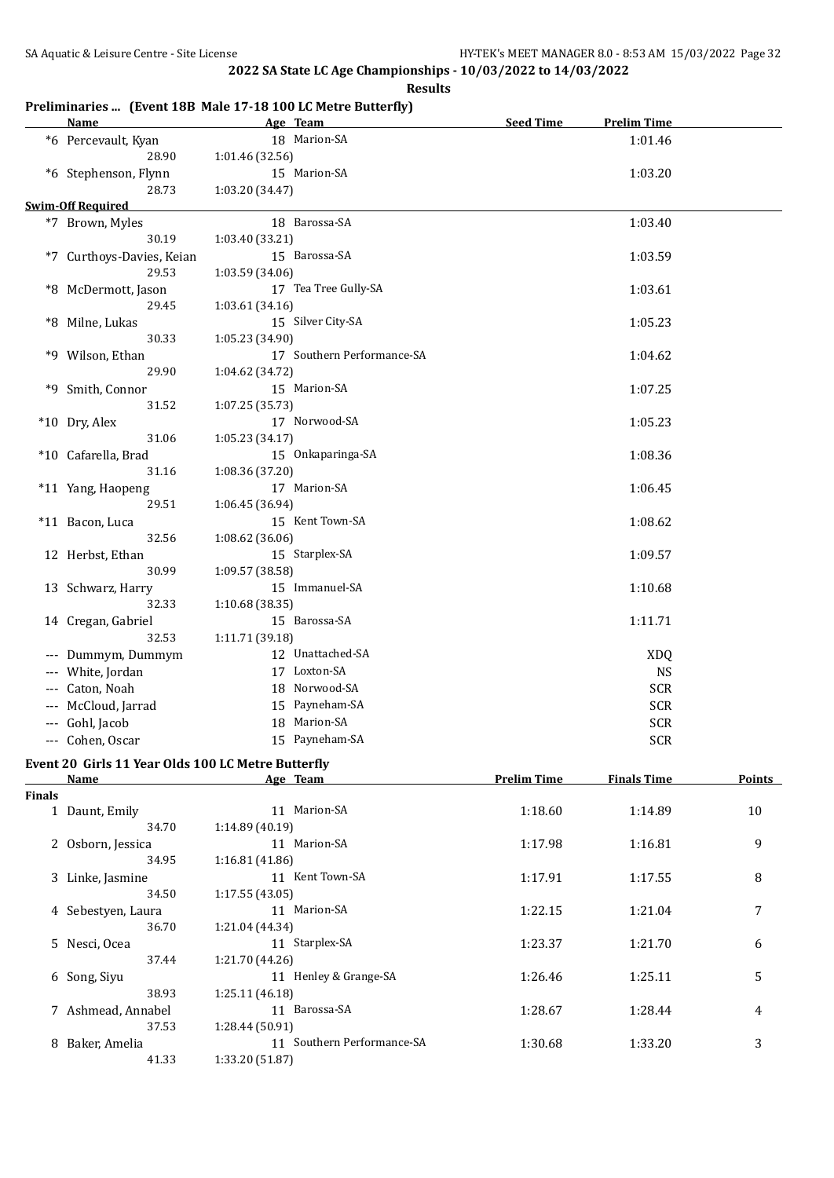#### **Results**

#### **Preliminaries ... (Event 18B Male 17-18 100 LC Metre Butterfly)**

|                     | <b>Name</b>                                        |                 | Age Team                   | <b>Seed Time</b>      | <b>Prelim Time</b> |                |
|---------------------|----------------------------------------------------|-----------------|----------------------------|-----------------------|--------------------|----------------|
|                     | *6 Percevault, Kyan                                |                 | 18 Marion-SA               |                       | 1:01.46            |                |
|                     | 28.90                                              | 1:01.46 (32.56) |                            |                       |                    |                |
|                     | *6 Stephenson, Flynn                               |                 | 15 Marion-SA               |                       | 1:03.20            |                |
|                     | 28.73                                              | 1:03.20 (34.47) |                            |                       |                    |                |
|                     | <b>Swim-Off Required</b>                           |                 |                            |                       |                    |                |
|                     | *7 Brown, Myles                                    |                 | 18 Barossa-SA              |                       | 1:03.40            |                |
|                     | 30.19                                              | 1:03.40 (33.21) |                            |                       |                    |                |
|                     | *7 Curthoys-Davies, Keian                          |                 | 15 Barossa-SA              |                       | 1:03.59            |                |
|                     | 29.53                                              | 1:03.59 (34.06) |                            |                       |                    |                |
|                     | *8 McDermott, Jason                                |                 | 17 Tea Tree Gully-SA       |                       | 1:03.61            |                |
|                     | 29.45                                              | 1:03.61 (34.16) |                            |                       |                    |                |
|                     | *8 Milne, Lukas                                    |                 | 15 Silver City-SA          |                       | 1:05.23            |                |
|                     | 30.33                                              | 1:05.23 (34.90) |                            |                       |                    |                |
|                     | *9 Wilson, Ethan                                   |                 | 17 Southern Performance-SA |                       | 1:04.62            |                |
|                     | 29.90                                              | 1:04.62 (34.72) |                            |                       |                    |                |
|                     | *9 Smith, Connor                                   |                 | 15 Marion-SA               |                       | 1:07.25            |                |
|                     | 31.52                                              | 1:07.25 (35.73) |                            |                       |                    |                |
|                     | *10 Dry, Alex                                      |                 | 17 Norwood-SA              |                       | 1:05.23            |                |
|                     | 31.06                                              | 1:05.23(34.17)  |                            |                       |                    |                |
|                     | *10 Cafarella, Brad                                |                 | 15 Onkaparinga-SA          |                       | 1:08.36            |                |
|                     | 31.16                                              | 1:08.36(37.20)  |                            |                       |                    |                |
|                     | *11 Yang, Haopeng                                  |                 | 17 Marion-SA               |                       | 1:06.45            |                |
|                     | 29.51                                              | 1:06.45 (36.94) |                            |                       |                    |                |
|                     | *11 Bacon, Luca                                    |                 | 15 Kent Town-SA            |                       | 1:08.62            |                |
|                     | 32.56                                              | 1:08.62 (36.06) |                            |                       |                    |                |
|                     | 12 Herbst, Ethan                                   |                 | 15 Starplex-SA             |                       | 1:09.57            |                |
|                     | 30.99                                              | 1:09.57 (38.58) |                            |                       |                    |                |
|                     | 13 Schwarz, Harry                                  |                 | 15 Immanuel-SA             |                       | 1:10.68            |                |
|                     | 32.33                                              | 1:10.68(38.35)  |                            |                       |                    |                |
|                     | 14 Cregan, Gabriel                                 |                 | 15 Barossa-SA              |                       | 1:11.71            |                |
|                     | 32.53                                              | 1:11.71 (39.18) |                            |                       |                    |                |
|                     | --- Dummym, Dummym                                 |                 | 12 Unattached-SA           |                       | <b>XDQ</b>         |                |
|                     | --- White, Jordan                                  |                 | 17 Loxton-SA               |                       | <b>NS</b>          |                |
|                     | --- Caton, Noah                                    |                 | 18 Norwood-SA              |                       | <b>SCR</b>         |                |
|                     | --- McCloud, Jarrad                                |                 | 15 Payneham-SA             |                       | <b>SCR</b>         |                |
| $\qquad \qquad - -$ | Gohl, Jacob                                        |                 | 18 Marion-SA               |                       | <b>SCR</b>         |                |
|                     | --- Cohen, Oscar                                   |                 | 15 Payneham-SA             |                       | <b>SCR</b>         |                |
|                     | Event 20 Girls 11 Year Olds 100 LC Metre Butterfly |                 |                            |                       |                    |                |
|                     | <b>Name</b>                                        |                 | Age Team                   | <b>Prelim Time</b>    | <b>Finals Time</b> | <u>Points</u>  |
| <b>Finals</b>       |                                                    |                 |                            |                       |                    |                |
|                     | $1$ Dount Emily                                    |                 | $11$ Marion-SA             | 1.10 $\zeta$ $\Omega$ | 1.1400             | 1 <sub>0</sub> |

| шаю |                    |                               |         |         |    |
|-----|--------------------|-------------------------------|---------|---------|----|
|     | Daunt, Emily       | Marion-SA<br>11               | 1:18.60 | 1:14.89 | 10 |
|     | 34.70              | 1:14.89(40.19)                |         |         |    |
|     | 2 Osborn, Jessica  | 11 Marion-SA                  | 1:17.98 | 1:16.81 | 9  |
|     | 34.95              | 1:16.81(41.86)                |         |         |    |
|     | 3 Linke, Jasmine   | 11 Kent Town-SA               | 1:17.91 | 1:17.55 | 8  |
|     | 34.50              | 1:17.55(43.05)                |         |         |    |
|     | 4 Sebestyen, Laura | 11 Marion-SA                  | 1:22.15 | 1:21.04 | 7  |
|     | 36.70              | 1:21.04 (44.34)               |         |         |    |
|     | 5 Nesci, Ocea      | Starplex-SA<br>11             | 1:23.37 | 1:21.70 | 6  |
|     | 37.44              | 1:21.70 (44.26)               |         |         |    |
|     | 6 Song, Siyu       | 11 Henley & Grange-SA         | 1:26.46 | 1:25.11 | 5  |
|     | 38.93              | 1:25.11(46.18)                |         |         |    |
|     | 7 Ashmead, Annabel | 11 Barossa-SA                 | 1:28.67 | 1:28.44 | 4  |
|     | 37.53              | 1:28.44 (50.91)               |         |         |    |
| 8   | Baker, Amelia      | Southern Performance-SA<br>11 | 1:30.68 | 1:33.20 | 3  |
|     | 41.33              | 1:33.20 (51.87)               |         |         |    |
|     |                    |                               |         |         |    |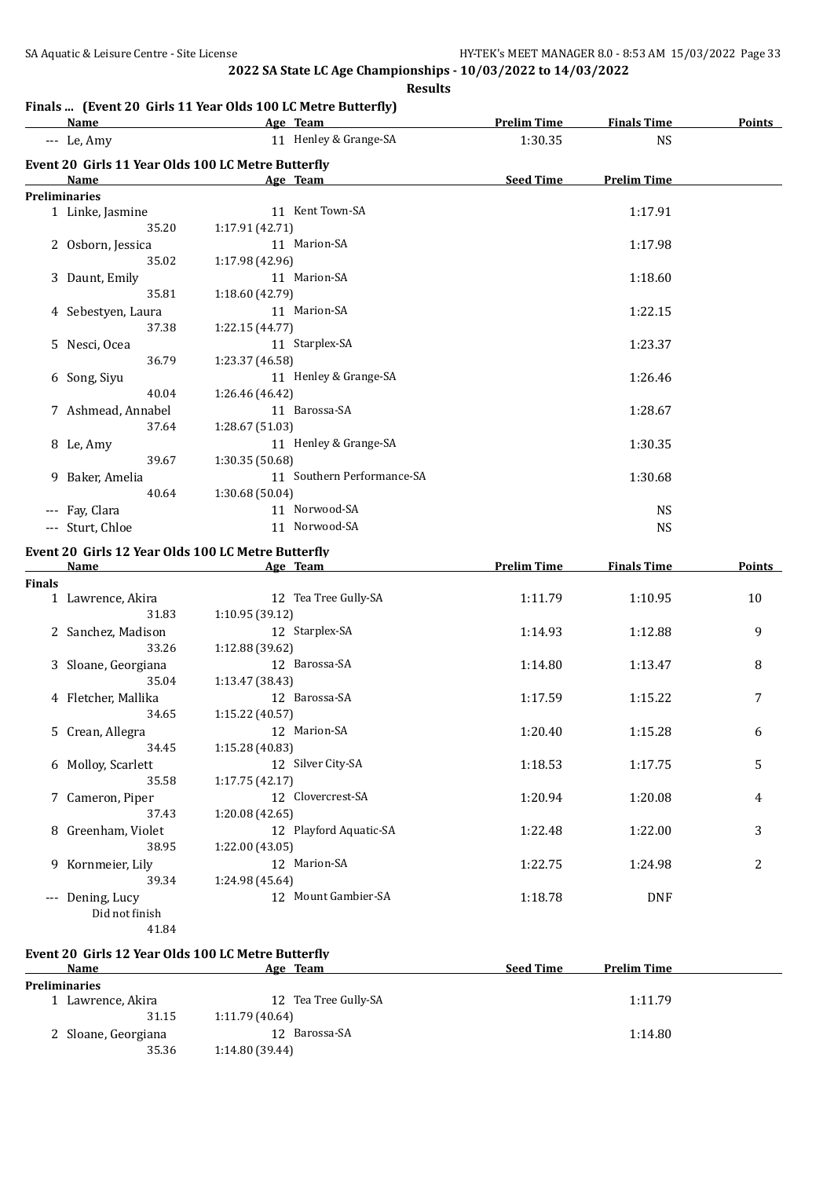#### **Finals ... (Event 20 Girls 11 Year Olds 100 LC Metre Butterfly)**

|               | <b>Name</b>                                        |                 | Age Team                   | <b>Prelim Time</b> | <b>Finals Time</b> | <b>Points</b> |
|---------------|----------------------------------------------------|-----------------|----------------------------|--------------------|--------------------|---------------|
|               | --- Le, Amy                                        |                 | 11 Henley & Grange-SA      | 1:30.35            | <b>NS</b>          |               |
|               | Event 20 Girls 11 Year Olds 100 LC Metre Butterfly |                 |                            |                    |                    |               |
|               | <b>Name</b>                                        |                 | Age Team                   | <b>Seed Time</b>   | <b>Prelim Time</b> |               |
|               | <b>Preliminaries</b>                               |                 |                            |                    |                    |               |
|               | 1 Linke, Jasmine                                   |                 | 11 Kent Town-SA            |                    | 1:17.91            |               |
|               | 35.20                                              | 1:17.91(42.71)  |                            |                    |                    |               |
|               | 2 Osborn, Jessica                                  |                 | 11 Marion-SA               |                    | 1:17.98            |               |
|               | 35.02                                              | 1:17.98 (42.96) |                            |                    |                    |               |
|               | 3 Daunt, Emily                                     |                 | 11 Marion-SA               |                    | 1:18.60            |               |
|               | 35.81                                              | 1:18.60 (42.79) |                            |                    |                    |               |
|               | 4 Sebestyen, Laura                                 |                 | 11 Marion-SA               |                    | 1:22.15            |               |
|               | 37.38                                              | 1:22.15(44.77)  |                            |                    |                    |               |
|               | 5 Nesci, Ocea                                      |                 | 11 Starplex-SA             |                    | 1:23.37            |               |
|               | 36.79                                              | 1:23.37 (46.58) |                            |                    |                    |               |
|               | 6 Song, Siyu                                       |                 | 11 Henley & Grange-SA      |                    | 1:26.46            |               |
|               | 40.04                                              | 1:26.46 (46.42) |                            |                    |                    |               |
|               | 7 Ashmead, Annabel                                 |                 | 11 Barossa-SA              |                    | 1:28.67            |               |
|               | 37.64                                              | 1:28.67 (51.03) |                            |                    |                    |               |
|               | 8 Le, Amy                                          |                 | 11 Henley & Grange-SA      |                    | 1:30.35            |               |
|               | 39.67                                              | 1:30.35 (50.68) |                            |                    |                    |               |
|               | 9 Baker, Amelia                                    |                 | 11 Southern Performance-SA |                    | 1:30.68            |               |
|               | 40.64                                              | 1:30.68(50.04)  |                            |                    |                    |               |
|               | --- Fay, Clara                                     |                 | 11 Norwood-SA              |                    | <b>NS</b>          |               |
|               | --- Sturt, Chloe                                   |                 | 11 Norwood-SA              |                    | <b>NS</b>          |               |
|               | Event 20 Girls 12 Year Olds 100 LC Metre Butterfly |                 |                            |                    |                    |               |
|               | Name                                               |                 | Age Team                   | <b>Prelim Time</b> | <b>Finals Time</b> | <b>Points</b> |
| <b>Finals</b> |                                                    |                 |                            |                    |                    |               |
|               | 1 Lawrence, Akira                                  |                 | 12 Tea Tree Gully-SA       | 1:11.79            | 1:10.95            | 10            |
|               | $\sim$ $\sim$                                      | $\sqrt{400}$    |                            |                    |                    |               |

| 1 Lawrence, Akira   | 12 Tea Tree Gully-SA   | 1:11.79 | 1:10.95    | 10 |
|---------------------|------------------------|---------|------------|----|
| 31.83               | 1:10.95(39.12)         |         |            |    |
| 2 Sanchez, Madison  | 12 Starplex-SA         | 1:14.93 | 1:12.88    | 9  |
| 33.26               | 1:12.88(39.62)         |         |            |    |
| 3 Sloane, Georgiana | 12 Barossa-SA          | 1:14.80 | 1:13.47    | 8  |
| 35.04               | 1:13.47 (38.43)        |         |            |    |
| 4 Fletcher, Mallika | 12 Barossa-SA          | 1:17.59 | 1:15.22    | 7  |
| 34.65               | 1:15.22(40.57)         |         |            |    |
| 5 Crean, Allegra    | 12 Marion-SA           | 1:20.40 | 1:15.28    | 6  |
| 34.45               | 1:15.28 (40.83)        |         |            |    |
| 6 Molloy, Scarlett  | 12 Silver City-SA      | 1:18.53 | 1:17.75    | 5  |
| 35.58               | 1:17.75(42.17)         |         |            |    |
| 7 Cameron, Piper    | 12 Clovercrest-SA      | 1:20.94 | 1:20.08    | 4  |
| 37.43               | 1:20.08(42.65)         |         |            |    |
| 8 Greenham, Violet  | 12 Playford Aquatic-SA | 1:22.48 | 1:22.00    | 3  |
| 38.95               | 1:22.00 (43.05)        |         |            |    |
| 9 Kornmeier, Lily   | 12 Marion-SA           | 1:22.75 | 1:24.98    | 2  |
| 39.34               | 1:24.98 (45.64)        |         |            |    |
| Dening, Lucy        | 12 Mount Gambier-SA    | 1:18.78 | <b>DNF</b> |    |
| Did not finish      |                        |         |            |    |
| 41.84               |                        |         |            |    |

## **Event 20 Girls 12 Year Olds 100 LC Metre Butterfly**

| <b>Name</b>          | Age Team             | <b>Seed Time</b><br><b>Prelim Time</b> |  |
|----------------------|----------------------|----------------------------------------|--|
| <b>Preliminaries</b> |                      |                                        |  |
| 1 Lawrence, Akira    | 12 Tea Tree Gully-SA | 1:11.79                                |  |
| 31.15                | 1:11.79(40.64)       |                                        |  |
| 2 Sloane, Georgiana  | Barossa-SA<br>12.    | 1:14.80                                |  |
| 35.36                | 1:14.80(39.44)       |                                        |  |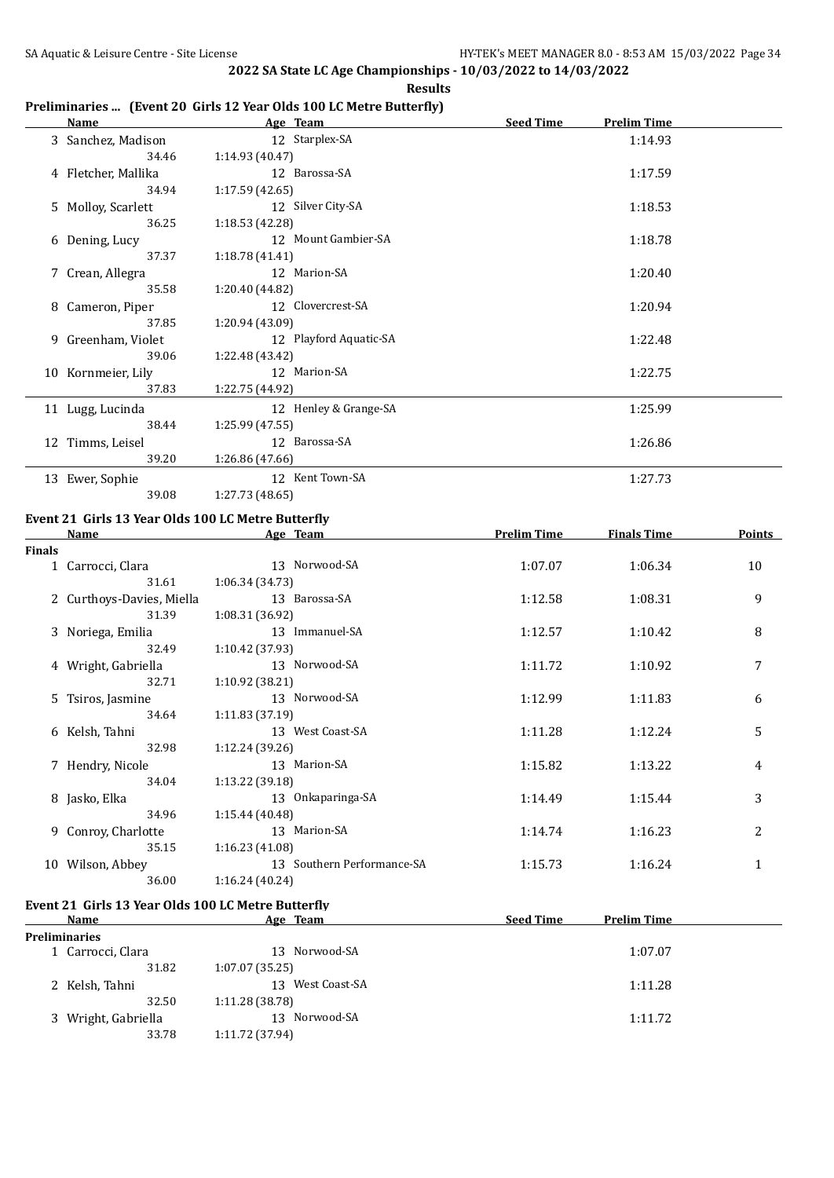**Results**

|  |  |  | Preliminaries  (Event 20 Girls 12 Year Olds 100 LC Metre Butterfly) |  |
|--|--|--|---------------------------------------------------------------------|--|
|--|--|--|---------------------------------------------------------------------|--|

| Name                   | Age Team               | <b>Seed Time</b> | <b>Prelim Time</b> |  |
|------------------------|------------------------|------------------|--------------------|--|
| 3 Sanchez, Madison     | 12 Starplex-SA         |                  | 1:14.93            |  |
| 34.46                  | 1:14.93 (40.47)        |                  |                    |  |
| 4 Fletcher, Mallika    | 12 Barossa-SA          |                  | 1:17.59            |  |
| 34.94                  | 1:17.59(42.65)         |                  |                    |  |
| 5 Molloy, Scarlett     | 12 Silver City-SA      |                  | 1:18.53            |  |
| 36.25                  | 1:18.53 (42.28)        |                  |                    |  |
| 6 Dening, Lucy         | 12 Mount Gambier-SA    |                  | 1:18.78            |  |
| 37.37                  | 1:18.78(41.41)         |                  |                    |  |
| 7 Crean, Allegra       | 12 Marion-SA           |                  | 1:20.40            |  |
| 35.58                  | 1:20.40 (44.82)        |                  |                    |  |
| 8 Cameron, Piper       | 12 Clovercrest-SA      |                  | 1:20.94            |  |
| 37.85                  | 1:20.94 (43.09)        |                  |                    |  |
| Greenham, Violet<br>9. | 12 Playford Aquatic-SA |                  | 1:22.48            |  |
| 39.06                  | 1:22.48 (43.42)        |                  |                    |  |
| 10 Kornmeier, Lily     | 12 Marion-SA           |                  | 1:22.75            |  |
| 37.83                  | 1:22.75 (44.92)        |                  |                    |  |
| 11 Lugg, Lucinda       | 12 Henley & Grange-SA  |                  | 1:25.99            |  |
| 38.44                  | 1:25.99(47.55)         |                  |                    |  |
| 12 Timms, Leisel       | 12 Barossa-SA          |                  | 1:26.86            |  |
| 39.20                  | 1:26.86 (47.66)        |                  |                    |  |
| 13 Ewer, Sophie        | 12 Kent Town-SA        |                  | 1:27.73            |  |
| 39.08                  | 1:27.73 (48.65)        |                  |                    |  |

# **Event 21 Girls 13 Year Olds 100 LC Metre Butterfly**

|               | Name                      | Age Team                   | <b>Prelim Time</b> | <b>Finals Time</b> | <b>Points</b> |
|---------------|---------------------------|----------------------------|--------------------|--------------------|---------------|
| <b>Finals</b> |                           |                            |                    |                    |               |
|               | 1 Carrocci, Clara         | 13 Norwood-SA              | 1:07.07            | 1:06.34            | 10            |
|               | 31.61                     | 1:06.34(34.73)             |                    |                    |               |
|               | 2 Curthoys-Davies, Miella | 13 Barossa-SA              | 1:12.58            | 1:08.31            | 9             |
|               | 31.39                     | 1:08.31 (36.92)            |                    |                    |               |
|               | 3 Noriega, Emilia         | 13 Immanuel-SA             | 1:12.57            | 1:10.42            | 8             |
|               | 32.49                     | 1:10.42 (37.93)            |                    |                    |               |
|               | 4 Wright, Gabriella       | 13 Norwood-SA              | 1:11.72            | 1:10.92            | 7             |
|               | 32.71                     | 1:10.92(38.21)             |                    |                    |               |
|               | 5 Tsiros, Jasmine         | 13 Norwood-SA              | 1:12.99            | 1:11.83            | 6             |
|               | 34.64                     | 1:11.83(37.19)             |                    |                    |               |
|               | 6 Kelsh, Tahni            | 13 West Coast-SA           | 1:11.28            | 1:12.24            | 5             |
|               | 32.98                     | 1:12.24(39.26)             |                    |                    |               |
|               | 7 Hendry, Nicole          | 13 Marion-SA               | 1:15.82            | 1:13.22            | 4             |
|               | 34.04                     | 1:13.22(39.18)             |                    |                    |               |
|               | 8 Jasko, Elka             | 13 Onkaparinga-SA          | 1:14.49            | 1:15.44            | 3             |
|               | 34.96                     | 1:15.44(40.48)             |                    |                    |               |
|               | 9 Conroy, Charlotte       | 13 Marion-SA               | 1:14.74            | 1:16.23            | 2             |
|               | 35.15                     | 1:16.23(41.08)             |                    |                    |               |
|               | 10 Wilson, Abbey          | 13 Southern Performance-SA | 1:15.73            | 1:16.24            | $\mathbf{1}$  |
|               | 36.00                     | 1:16.24(40.24)             |                    |                    |               |

# **Event 21 Girls 13 Year Olds 100 LC Metre Butterfly**

| Name                 | Age Team            | <b>Seed Time</b><br><b>Prelim Time</b> |
|----------------------|---------------------|----------------------------------------|
| <b>Preliminaries</b> |                     |                                        |
| 1 Carrocci, Clara    | 13 Norwood-SA       | 1:07.07                                |
| 31.82                | 1:07.07(35.25)      |                                        |
| 2 Kelsh, Tahni       | West Coast-SA<br>13 | 1:11.28                                |
| 32.50                | 1:11.28 (38.78)     |                                        |
| 3 Wright, Gabriella  | Norwood-SA<br>13    | 1:11.72                                |
| 33.78                | 1:11.72 (37.94)     |                                        |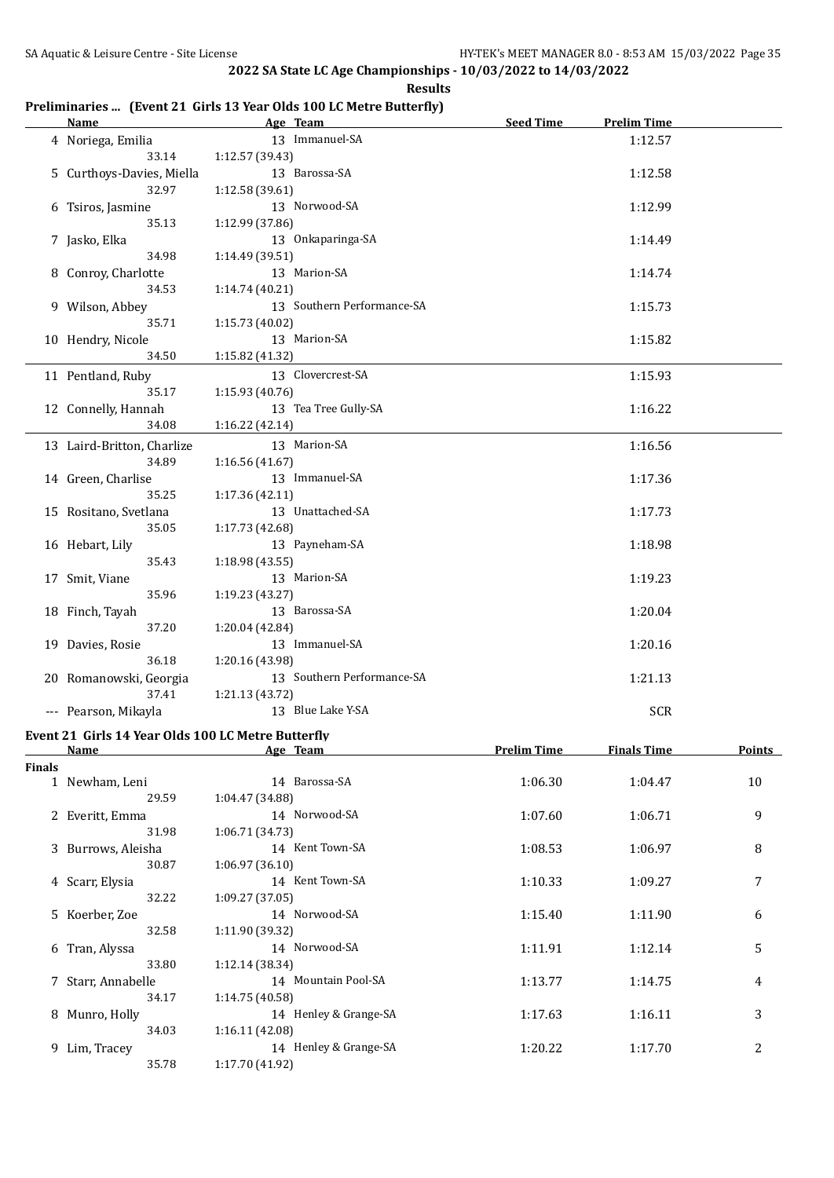|               | <u>Name</u>                                        |                 | Age Team                   | Seed Time          | <b>Prelim Time</b> |                  |
|---------------|----------------------------------------------------|-----------------|----------------------------|--------------------|--------------------|------------------|
|               | 4 Noriega, Emilia                                  |                 | 13 Immanuel-SA             |                    | 1:12.57            |                  |
|               | 33.14                                              | 1:12.57 (39.43) | 13 Barossa-SA              |                    |                    |                  |
|               | 5 Curthoys-Davies, Miella<br>32.97                 | 1:12.58 (39.61) |                            |                    | 1:12.58            |                  |
|               |                                                    |                 | 13 Norwood-SA              |                    |                    |                  |
|               | 6 Tsiros, Jasmine<br>35.13                         | 1:12.99 (37.86) |                            |                    | 1:12.99            |                  |
|               | 7 Jasko, Elka                                      |                 | 13 Onkaparinga-SA          |                    | 1:14.49            |                  |
|               | 34.98                                              | 1:14.49 (39.51) |                            |                    |                    |                  |
|               | 8 Conroy, Charlotte                                |                 | 13 Marion-SA               |                    | 1:14.74            |                  |
|               | 34.53                                              | 1:14.74 (40.21) |                            |                    |                    |                  |
|               | 9 Wilson, Abbey                                    |                 | 13 Southern Performance-SA |                    | 1:15.73            |                  |
|               | 35.71                                              | 1:15.73 (40.02) |                            |                    |                    |                  |
|               | 10 Hendry, Nicole                                  |                 | 13 Marion-SA               |                    | 1:15.82            |                  |
|               | 34.50                                              | 1:15.82 (41.32) |                            |                    |                    |                  |
|               | 11 Pentland, Ruby                                  |                 | 13 Clovercrest-SA          |                    | 1:15.93            |                  |
|               | 35.17                                              | 1:15.93 (40.76) |                            |                    |                    |                  |
|               | 12 Connelly, Hannah                                |                 | 13 Tea Tree Gully-SA       |                    | 1:16.22            |                  |
|               | 34.08                                              | 1:16.22 (42.14) |                            |                    |                    |                  |
|               | 13 Laird-Britton, Charlize                         |                 | 13 Marion-SA               |                    | 1:16.56            |                  |
|               | 34.89                                              | 1:16.56(41.67)  |                            |                    |                    |                  |
|               | 14 Green, Charlise                                 |                 | 13 Immanuel-SA             |                    | 1:17.36            |                  |
|               | 35.25                                              | 1:17.36 (42.11) |                            |                    |                    |                  |
|               | 15 Rositano, Svetlana                              |                 | 13 Unattached-SA           |                    | 1:17.73            |                  |
|               | 35.05                                              | 1:17.73 (42.68) |                            |                    |                    |                  |
|               | 16 Hebart, Lily                                    |                 | 13 Payneham-SA             |                    | 1:18.98            |                  |
|               | 35.43                                              | 1:18.98 (43.55) |                            |                    |                    |                  |
|               | 17 Smit, Viane                                     |                 | 13 Marion-SA               |                    | 1:19.23            |                  |
|               | 35.96                                              | 1:19.23 (43.27) |                            |                    |                    |                  |
|               | 18 Finch, Tayah                                    |                 | 13 Barossa-SA              |                    | 1:20.04            |                  |
|               | 37.20                                              | 1:20.04 (42.84) |                            |                    |                    |                  |
|               | 19 Davies, Rosie                                   |                 | 13 Immanuel-SA             |                    | 1:20.16            |                  |
|               | 36.18                                              | 1:20.16 (43.98) |                            |                    |                    |                  |
|               | 20 Romanowski, Georgia                             |                 | 13 Southern Performance-SA |                    | 1:21.13            |                  |
|               | 37.41                                              | 1:21.13 (43.72) |                            |                    |                    |                  |
|               | --- Pearson, Mikayla                               |                 | 13 Blue Lake Y-SA          |                    | <b>SCR</b>         |                  |
|               | Event 21 Girls 14 Year Olds 100 LC Metre Butterfly |                 |                            |                    |                    |                  |
|               | <b>Name</b>                                        |                 | <u>Age Team</u>            | <b>Prelim Time</b> | <b>Finals Time</b> | <b>Points</b>    |
| <b>Finals</b> |                                                    |                 |                            |                    |                    |                  |
|               | 1 Newham, Leni                                     |                 | 14 Barossa-SA              | 1:06.30            | 1:04.47            | 10               |
|               | 29.59                                              | 1:04.47 (34.88) |                            |                    |                    |                  |
|               | 2 Everitt, Emma                                    |                 | 14 Norwood-SA              | 1:07.60            | 1:06.71            | 9                |
|               | 31.98                                              | 1:06.71 (34.73) |                            |                    |                    |                  |
|               | 3 Burrows, Aleisha                                 |                 | 14 Kent Town-SA            | 1:08.53            | 1:06.97            | 8                |
|               | 30.87                                              | 1:06.97 (36.10) |                            |                    |                    |                  |
|               | 4 Scarr, Elysia                                    |                 | 14 Kent Town-SA            | 1:10.33            | 1:09.27            | 7                |
|               | 32.22                                              | 1:09.27 (37.05) |                            |                    |                    |                  |
|               | 5 Koerber, Zoe                                     |                 | 14 Norwood-SA              | 1:15.40            | 1:11.90            | 6                |
|               | 32.58                                              | 1:11.90 (39.32) |                            |                    |                    |                  |
|               | 6 Tran, Alyssa                                     |                 | 14 Norwood-SA              | 1:11.91            | 1:12.14            | 5                |
|               | 33.80                                              | 1:12.14 (38.34) |                            |                    |                    |                  |
|               | 7 Starr, Annabelle                                 |                 | 14 Mountain Pool-SA        | 1:13.77            | 1:14.75            | 4                |
|               | 34.17                                              | 1:14.75 (40.58) |                            |                    |                    |                  |
|               | 8 Munro, Holly                                     |                 | 14 Henley & Grange-SA      | 1:17.63            | 1:16.11            | 3                |
|               | 34.03                                              | 1:16.11 (42.08) |                            |                    |                    |                  |
|               | 9 Lim, Tracey                                      |                 | 14 Henley & Grange-SA      | 1:20.22            | 1:17.70            | $\boldsymbol{2}$ |
|               | 35.78                                              | 1:17.70 (41.92) |                            |                    |                    |                  |

## **Preliminaries ... (Event 21 Girls 13 Year Olds 100 LC Metre Butterfly)**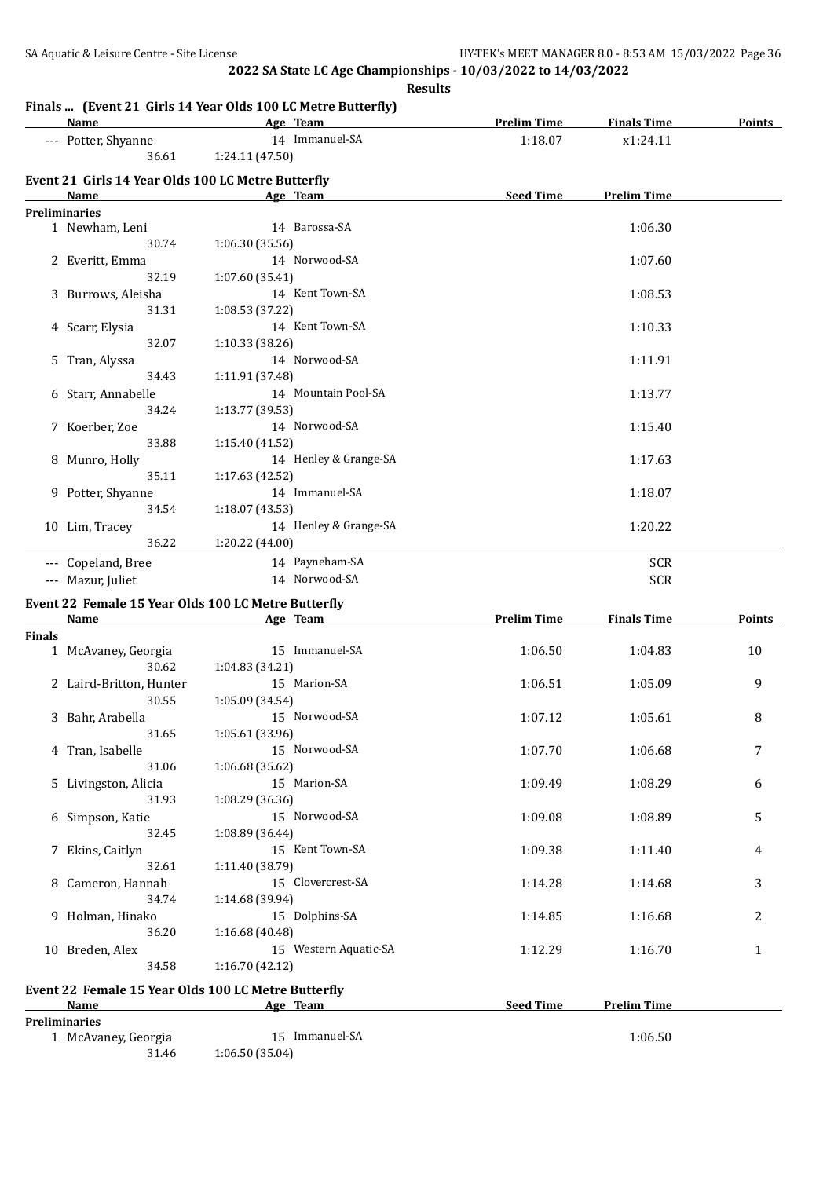**Results**

|               | <b>Name</b>                                        | Age Team                                            | <b>Prelim Time</b> | <b>Finals Time</b> | Points        |
|---------------|----------------------------------------------------|-----------------------------------------------------|--------------------|--------------------|---------------|
|               | --- Potter, Shyanne                                | 14 Immanuel-SA                                      | 1:18.07            | x1:24.11           |               |
|               | 36.61                                              | 1:24.11 (47.50)                                     |                    |                    |               |
|               | Event 21 Girls 14 Year Olds 100 LC Metre Butterfly |                                                     |                    |                    |               |
|               | <b>Name</b>                                        | Age Team                                            | <b>Seed Time</b>   | <b>Prelim Time</b> |               |
|               | <b>Preliminaries</b>                               |                                                     |                    |                    |               |
|               | 1 Newham, Leni                                     | 14 Barossa-SA                                       |                    | 1:06.30            |               |
|               | 30.74                                              | 1:06.30 (35.56)                                     |                    |                    |               |
|               | 2 Everitt, Emma                                    | 14 Norwood-SA                                       |                    | 1:07.60            |               |
|               | 32.19                                              | 1:07.60 (35.41)                                     |                    |                    |               |
|               | 3 Burrows, Aleisha                                 | 14 Kent Town-SA                                     |                    | 1:08.53            |               |
|               | 31.31                                              | 1:08.53 (37.22)                                     |                    |                    |               |
|               |                                                    | 14 Kent Town-SA                                     |                    |                    |               |
|               | 4 Scarr, Elysia                                    |                                                     |                    | 1:10.33            |               |
|               | 32.07                                              | 1:10.33 (38.26)                                     |                    |                    |               |
|               | 5 Tran, Alyssa                                     | 14 Norwood-SA                                       |                    | 1:11.91            |               |
|               | 34.43                                              | 1:11.91 (37.48)                                     |                    |                    |               |
|               | 6 Starr, Annabelle                                 | 14 Mountain Pool-SA                                 |                    | 1:13.77            |               |
|               | 34.24                                              | 1:13.77 (39.53)                                     |                    |                    |               |
|               | 7 Koerber, Zoe                                     | 14 Norwood-SA                                       |                    | 1:15.40            |               |
|               | 33.88                                              | 1:15.40 (41.52)                                     |                    |                    |               |
|               | 8 Munro, Holly                                     | 14 Henley & Grange-SA                               |                    | 1:17.63            |               |
|               | 35.11                                              | 1:17.63(42.52)                                      |                    |                    |               |
|               | 9 Potter, Shyanne                                  | 14 Immanuel-SA                                      |                    | 1:18.07            |               |
|               | 34.54                                              | 1:18.07 (43.53)                                     |                    |                    |               |
|               | 10 Lim, Tracey                                     | 14 Henley & Grange-SA                               |                    | 1:20.22            |               |
|               | 36.22                                              | 1:20.22 (44.00)                                     |                    |                    |               |
|               | --- Copeland, Bree                                 | 14 Payneham-SA                                      |                    | <b>SCR</b>         |               |
|               | --- Mazur, Juliet                                  | 14 Norwood-SA                                       |                    | <b>SCR</b>         |               |
|               |                                                    |                                                     |                    |                    |               |
|               |                                                    | Event 22 Female 15 Year Olds 100 LC Metre Butterfly |                    |                    |               |
|               | <b>Name</b>                                        | Age Team                                            | <b>Prelim Time</b> | <b>Finals Time</b> | <b>Points</b> |
| <b>Finals</b> |                                                    |                                                     |                    |                    |               |
|               | 1 McAvaney, Georgia                                | 15 Immanuel-SA                                      | 1:06.50            | 1:04.83            | 10            |
|               | 30.62                                              | 1:04.83 (34.21)                                     |                    |                    |               |
|               | 2 Laird-Britton, Hunter                            | 15 Marion-SA                                        | 1:06.51            | 1:05.09            | 9             |
|               | 30.55                                              | 1:05.09 (34.54)                                     |                    |                    |               |
|               | 3 Bahr, Arabella                                   | 15 Norwood-SA                                       | 1:07.12            | 1:05.61            | 8             |
|               | 31.65                                              | 1:05.61 (33.96)                                     |                    |                    |               |
|               | 4 Tran, Isabelle                                   | 15 Norwood-SA                                       | 1:07.70            | 1:06.68            | 7             |
|               | 31.06                                              | 1:06.68(35.62)                                      |                    |                    |               |
|               | 5 Livingston, Alicia                               | 15 Marion-SA                                        | 1:09.49            | 1:08.29            | 6             |
|               | 31.93                                              | 1:08.29 (36.36)                                     |                    |                    |               |
|               | 6 Simpson, Katie                                   | 15 Norwood-SA                                       | 1:09.08            | 1:08.89            | 5             |
|               | 32.45                                              | 1:08.89 (36.44)                                     |                    |                    |               |
|               | 7 Ekins, Caitlyn                                   | 15 Kent Town-SA                                     | 1:09.38            | 1:11.40            | 4             |
|               | 32.61                                              | 1:11.40 (38.79)                                     |                    |                    |               |
| 8             | Cameron, Hannah                                    | 15 Clovercrest-SA                                   | 1:14.28            | 1:14.68            | 3             |
|               | 34.74                                              | 1:14.68 (39.94)                                     |                    |                    |               |
|               | 9 Holman, Hinako                                   | 15 Dolphins-SA                                      | 1:14.85            | 1:16.68            | 2             |
|               | 36.20                                              | 1:16.68 (40.48)                                     |                    |                    |               |
|               |                                                    |                                                     |                    |                    |               |

#### **Event 22 Female 15 Year Olds 100 LC Metre Butterfly**

| Name                 | Age Team    | <b>Seed Time</b><br><b>Prelim Time</b> |
|----------------------|-------------|----------------------------------------|
| <b>Preliminaries</b> |             |                                        |
| McAvaney, Georgia    | Immanuel-SA | 1:06.50                                |

10 Breden, Alex 15 Western Aquatic-SA 1:12.29 1:16.70 1

31.46 1:06.50 (35.04)

34.58 1:16.70 (42.12)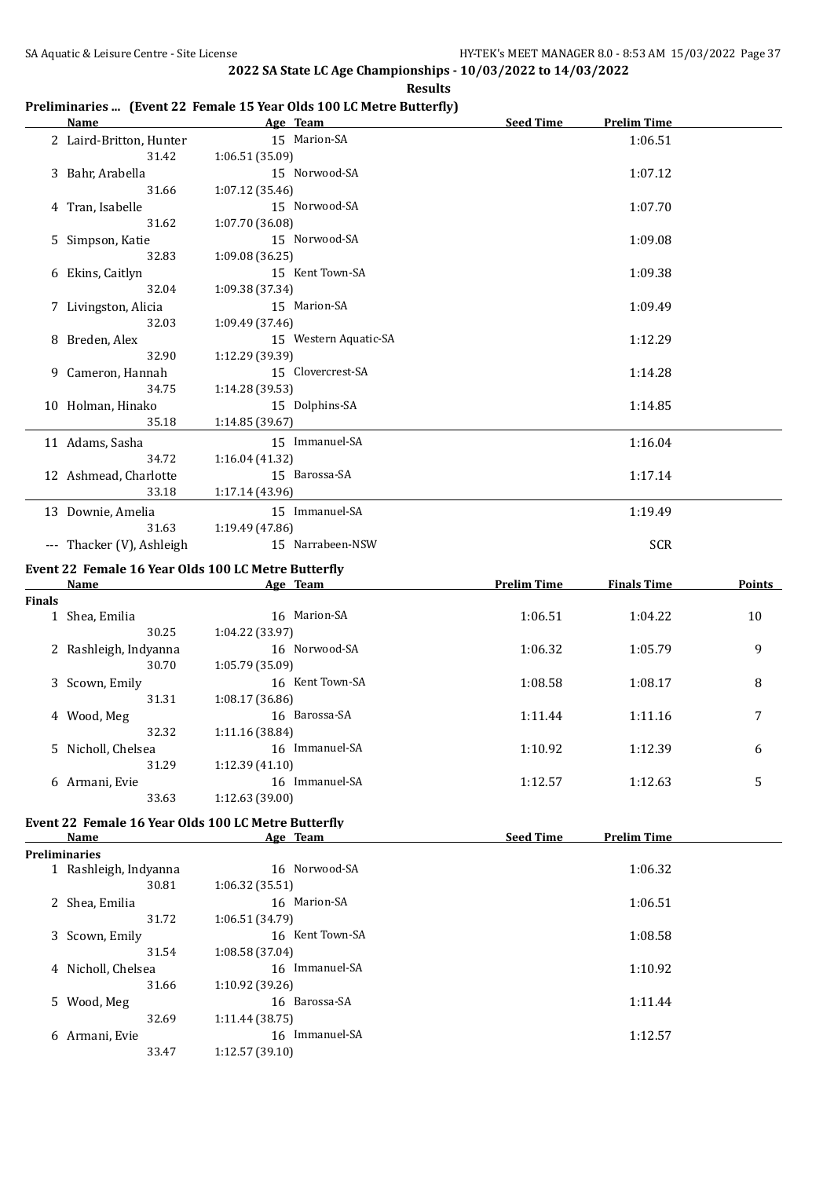#### **Age Team Seed Time Prelim Time** 2 Laird-Britton, Hunter 15 Marion-SA 1:06.51 31.42 1:06.51 (35.09) 3 Bahr, Arabella 15 Norwood-SA 1:07.12 31.66 1:07.12 (35.46) 4 Tran, Isabelle 15 Norwood-SA 1:07.70 31.62 1:07.70 (36.08) 5 Simpson, Katie 15 Norwood-SA 1:09.08 32.83 1:09.08 (36.25) 6 Ekins, Caitlyn 15 Kent Town-SA 1:09.38 32.04 1:09.38 (37.34) 7 Livingston, Alicia 15 Marion-SA 1:09.49 32.03 1:09.49 (37.46) 8 Breden, Alex 15 Western Aquatic-SA 1:12.29 32.90 1:12.29 (39.39) 9 Cameron, Hannah 15 Clovercrest-SA 1:14.28 34.75 1:14.28 (39.53) 10 Holman, Hinako 15 Dolphins-SA 1:14.85 35.18 1:14.85 (39.67) 11 Adams, Sasha 15 Immanuel-SA 1:16.04 34.72 1:16.04 (41.32) 12 Ashmead, Charlotte 15 Barossa-SA 1:17.14 33.18 1:17.14 (43.96) 13 Downie, Amelia 15 Immanuel-SA 1:19.49 31.63 1:19.49 (47.86) --- Thacker (V), Ashleigh 15 Narrabeen-NSW SCR **Event 22 Female 16 Year Olds 100 LC Metre Butterfly Name Age Team Prelim Time Finals Time Points Finals** 1 Shea, Emilia 16 Marion-SA 1:06.51 1:04.22 10 30.25 1:04.22 (33.97) 2 Rashleigh, Indyanna 16 Norwood-SA 1:06.32 1:05.79 9 30.70 1:05.79 (35.09) 3 Scown, Emily 16 Kent Town-SA 1:08.58 1:08.17 8 31.31 1:08.17 (36.86) 4 Wood, Meg 16 Barossa-SA 1:11.44 1:11.16 7 32.32 1:11.16 (38.84) 5 Nicholl, Chelsea 16 Immanuel-SA 1:10.92 1:12.39 6 31.29 1:12.39 (41.10) 6 Armani, Evie 16 Immanuel-SA 1:12.57 1:12.63 5 33.63 1:12.63 (39.00) **Event 22 Female 16 Year Olds 100 LC Metre Butterfly Name Age Team Seed Time Prelim Time Preliminaries** 1 Rashleigh, Indyanna 16 Norwood-SA 1:06.32 30.81 1:06.32 (35.51) 2 Shea, Emilia 16 Marion-SA 1:06.51 31.72 1:06.51 (34.79) 3 Scown, Emily 16 Kent Town-SA 1:08.58 31.54 1:08.58 (37.04) 4 Nicholl, Chelsea 16 Immanuel-SA 1:10.92 31.66 1:10.92 (39.26) 5 Wood, Meg 16 Barossa-SA 1:11.44 32.69 1:11.44 (38.75) 6 Armani, Evie 16 Immanuel-SA 1:12.57

#### **Preliminaries ... (Event 22 Female 15 Year Olds 100 LC Metre Butterfly)**

33.47 1:12.57 (39.10)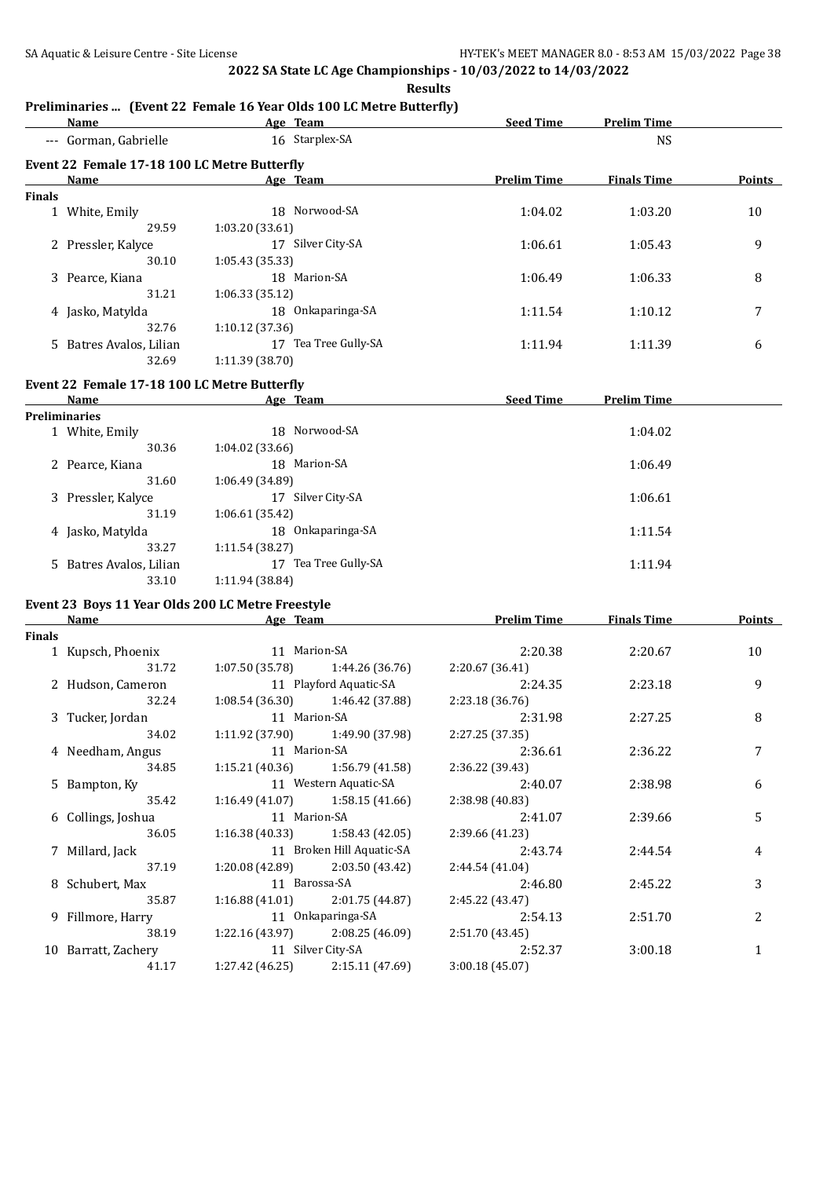**Results**

#### **Preliminaries ... (Event 22 Female 16 Year Olds 100 LC Metre Butterfly)**

|        | <b>Name</b>                                  | Age Team                | <b>Seed Time</b>   | <b>Prelim Time</b> |        |
|--------|----------------------------------------------|-------------------------|--------------------|--------------------|--------|
|        | --- Gorman, Gabrielle                        | 16 Starplex-SA          |                    | <b>NS</b>          |        |
|        | Event 22 Female 17-18 100 LC Metre Butterfly |                         |                    |                    |        |
|        | Name                                         | Age Team                | <b>Prelim Time</b> | <b>Finals Time</b> | Points |
| Finals |                                              |                         |                    |                    |        |
|        | 1 White, Emily                               | 18 Norwood-SA           | 1:04.02            | 1:03.20            | 10     |
|        | 29.59                                        | 1:03.20(33.61)          |                    |                    |        |
|        | 2 Pressler, Kalyce                           | Silver City-SA<br>17    | 1:06.61            | 1:05.43            | 9      |
|        | 30.10                                        | 1:05.43(35.33)          |                    |                    |        |
|        | 3 Pearce, Kiana                              | 18 Marion-SA            | 1:06.49            | 1:06.33            | 8      |
|        | 31.21                                        | 1:06.33(35.12)          |                    |                    |        |
|        | 4 Jasko, Matylda                             | 18 Onkaparinga-SA       | 1:11.54            | 1:10.12            | 7      |
|        | 32.76                                        | 1:10.12(37.36)          |                    |                    |        |
|        | 5 Batres Avalos, Lilian                      | Tea Tree Gully-SA<br>17 | 1:11.94            | 1:11.39            | 6      |
|        | 32.69                                        | 1:11.39 (38.70)         |                    |                    |        |
|        |                                              |                         |                    |                    |        |

#### **Event 22 Female 17-18 100 LC Metre Butterfly**

| Name                    | Age Team                | <b>Seed Time</b><br><b>Prelim Time</b> |
|-------------------------|-------------------------|----------------------------------------|
| <b>Preliminaries</b>    |                         |                                        |
| 1 White, Emily          | Norwood-SA<br>18        | 1:04.02                                |
| 30.36                   | 1:04.02(33.66)          |                                        |
| 2 Pearce, Kiana         | 18 Marion-SA            | 1:06.49                                |
| 31.60                   | 1:06.49(34.89)          |                                        |
| 3 Pressler, Kalyce      | Silver City-SA<br>17    | 1:06.61                                |
| 31.19                   | 1:06.61(35.42)          |                                        |
| 4 Jasko, Matylda        | Onkaparinga-SA<br>18    | 1:11.54                                |
| 33.27                   | 1:11.54(38.27)          |                                        |
| 5 Batres Avalos, Lilian | Tea Tree Gully-SA<br>17 | 1:11.94                                |
| 33.10                   | 1:11.94 (38.84)         |                                        |
|                         |                         |                                        |

# **Event 23 Boys 11 Year Olds 200 LC Metre Freestyle**

|        | Name                | Age Team          |                                   | <b>Prelim Time</b><br><b>Finals Time</b> |         | <b>Points</b>  |  |
|--------|---------------------|-------------------|-----------------------------------|------------------------------------------|---------|----------------|--|
| Finals |                     |                   |                                   |                                          |         |                |  |
|        | 1 Kupsch, Phoenix   | 11 Marion-SA      |                                   | 2:20.38                                  | 2:20.67 | 10             |  |
|        | 31.72               |                   | $1:07.50(35.78)$ $1:44.26(36.76)$ | 2:20.67(36.41)                           |         |                |  |
|        | 2 Hudson, Cameron   |                   | 11 Playford Aquatic-SA            | 2:24.35                                  | 2:23.18 | 9              |  |
|        | 32.24               |                   | $1:08.54(36.30)$ $1:46.42(37.88)$ | 2:23.18(36.76)                           |         |                |  |
|        | 3 Tucker, Jordan    | 11 Marion-SA      |                                   | 2:31.98                                  | 2:27.25 | 8              |  |
|        | 34.02               |                   | $1:11.92(37.90)$ $1:49.90(37.98)$ | 2:27.25 (37.35)                          |         |                |  |
|        | 4 Needham, Angus    | 11 Marion-SA      |                                   | 2:36.61                                  | 2:36.22 | 7              |  |
|        | 34.85               |                   | $1:15.21(40.36)$ $1:56.79(41.58)$ | 2:36.22 (39.43)                          |         |                |  |
|        | 5 Bampton, Ky       |                   | 11 Western Aquatic-SA             |                                          | 2:38.98 | 6              |  |
|        | 35.42               |                   | $1:16.49(41.07)$ $1:58.15(41.66)$ | 2:38.98 (40.83)                          |         |                |  |
|        | 6 Collings, Joshua  |                   | 11 Marion-SA                      | 2:41.07                                  | 2:39.66 | 5              |  |
|        | 36.05               |                   | $1:16.38(40.33)$ $1:58.43(42.05)$ | 2:39.66 (41.23)                          |         |                |  |
|        | 7 Millard, Jack     |                   | 11 Broken Hill Aquatic-SA         | 2:43.74                                  | 2:44.54 | 4              |  |
|        | 37.19               |                   | $1:20.08(42.89)$ $2:03.50(43.42)$ | 2:44.54(41.04)                           |         |                |  |
|        | 8 Schubert, Max     |                   | 11 Barossa-SA                     | 2:46.80                                  | 2:45.22 | 3              |  |
|        | 35.87               |                   | $1:16.88(41.01)$ $2:01.75(44.87)$ | 2:45.22 (43.47)                          |         |                |  |
|        | 9 Fillmore, Harry   | 11 Onkaparinga-SA |                                   | 2:54.13                                  | 2:51.70 | $\overline{c}$ |  |
|        | 38.19               |                   | $1:22.16(43.97)$ $2:08.25(46.09)$ | 2:51.70 (43.45)                          |         |                |  |
|        | 10 Barratt, Zachery |                   | 11 Silver City-SA                 | 2:52.37                                  | 3:00.18 | 1              |  |
|        | 41.17               |                   | $1:27.42(46.25)$ $2:15.11(47.69)$ | 3:00.18(45.07)                           |         |                |  |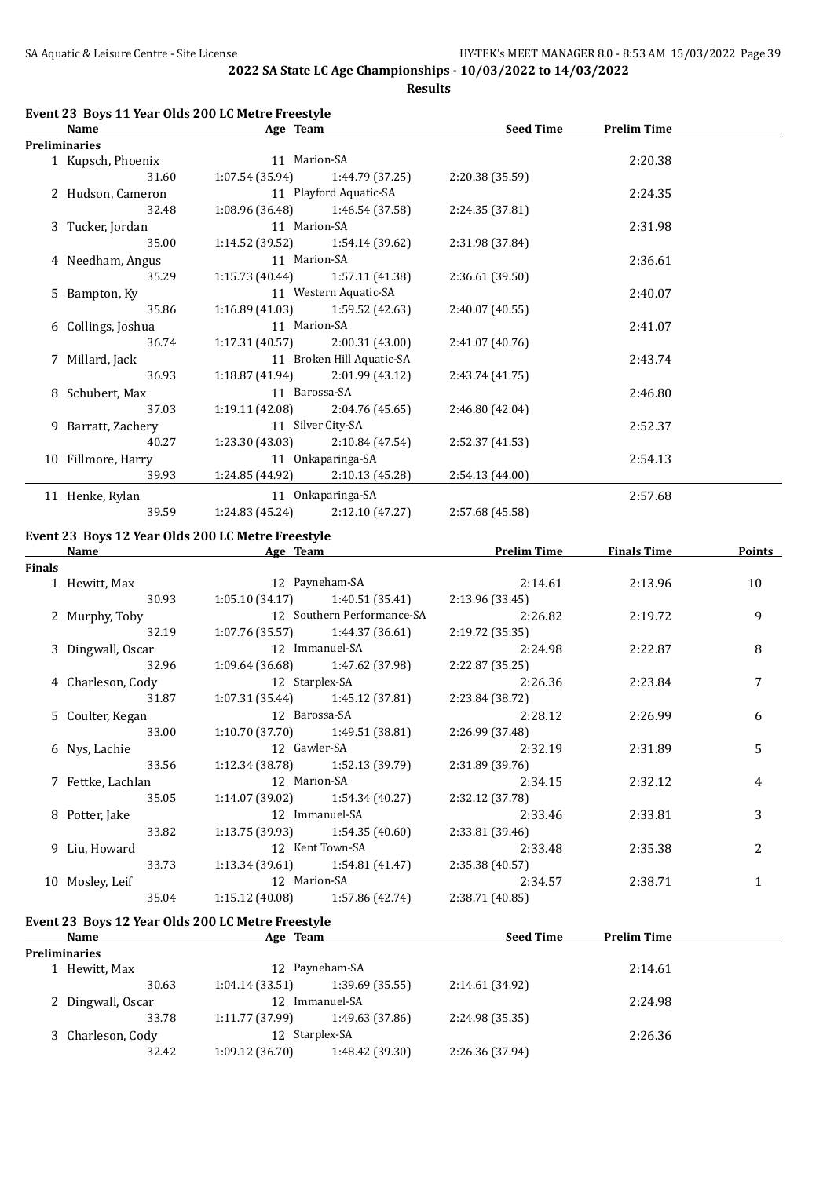**Results**

| Age Team<br>Name     |                       | <b>Seed Time</b>                        | <b>Prelim Time</b> |         |  |
|----------------------|-----------------------|-----------------------------------------|--------------------|---------|--|
| <b>Preliminaries</b> |                       |                                         |                    |         |  |
| 1 Kupsch, Phoenix    | 11 Marion-SA          |                                         |                    | 2:20.38 |  |
| 31.60                |                       | $1:07.54(35.94)$ $1:44.79(37.25)$       | 2:20.38 (35.59)    |         |  |
| 2 Hudson, Cameron    |                       | 11 Playford Aquatic-SA                  |                    | 2:24.35 |  |
| 32.48                |                       | $1:08.96(36.48)$ $1:46.54(37.58)$       | 2:24.35(37.81)     |         |  |
| 3 Tucker, Jordan     | 11 Marion-SA          |                                         |                    | 2:31.98 |  |
| 35.00                |                       | $1:14.52(39.52)$ $1:54.14(39.62)$       | 2:31.98 (37.84)    |         |  |
| 4 Needham, Angus     | 11 Marion-SA          |                                         |                    | 2:36.61 |  |
| 35.29                |                       | $1:15.73(40.44)$ $1:57.11(41.38)$       | 2:36.61(39.50)     |         |  |
| 5 Bampton, Ky        | 11 Western Aquatic-SA |                                         |                    | 2:40.07 |  |
| 35.86                |                       | $1:16.89(41.03)$ $1:59.52(42.63)$       | 2:40.07(40.55)     |         |  |
| 6 Collings, Joshua   | 11 Marion-SA          |                                         |                    | 2:41.07 |  |
| 36.74                |                       | $1:17.31(40.57)$ $2:00.31(43.00)$       | 2:41.07(40.76)     |         |  |
| 7 Millard, Jack      |                       | 11 Broken Hill Aquatic-SA               |                    | 2:43.74 |  |
| 36.93                |                       | $1:18.87(41.94)$ $2:01.99(43.12)$       | 2:43.74 (41.75)    |         |  |
| 8 Schubert, Max      | 11 Barossa-SA         |                                         |                    | 2:46.80 |  |
| 37.03                |                       | $1:19.11(42.08)$ $2:04.76(45.65)$       | 2:46.80(42.04)     |         |  |
| 9 Barratt, Zachery   |                       | 11 Silver City-SA                       |                    | 2:52.37 |  |
| 40.27                |                       | $1:23.30(43.03)$ $2:10.84(47.54)$       | 2:52.37 (41.53)    |         |  |
| 10 Fillmore, Harry   |                       | 11 Onkaparinga-SA                       |                    | 2:54.13 |  |
| 39.93                |                       | 1:24.85 (44.92) 2:10.13 (45.28)         | 2:54.13(44.00)     |         |  |
| 11 Henke, Rylan      | 11 Onkaparinga-SA     |                                         |                    | 2:57.68 |  |
| 39.59                |                       | $1:24.83$ $(45.24)$ $2:12.10$ $(47.27)$ | 2:57.68 (45.58)    |         |  |

# **Event 23 Boys 12 Year Olds 200 LC Metre Freestyle**

|               | Name              | Age Team                          |                | <b>Prelim Time</b> | <b>Finals Time</b> | <b>Points</b> |
|---------------|-------------------|-----------------------------------|----------------|--------------------|--------------------|---------------|
| <b>Finals</b> |                   |                                   |                |                    |                    |               |
|               | 1 Hewitt, Max     |                                   | 12 Payneham-SA | 2:14.61            | 2:13.96            | 10            |
|               | 30.93             | $1:05.10(34.17)$ $1:40.51(35.41)$ |                | 2:13.96(33.45)     |                    |               |
|               | 2 Murphy, Toby    | 12 Southern Performance-SA        |                | 2:26.82            | 2:19.72            | 9             |
|               | 32.19             | $1:07.76(35.57)$ $1:44.37(36.61)$ |                | 2:19.72 (35.35)    |                    |               |
|               | 3 Dingwall, Oscar | 12 Immanuel-SA                    |                | 2:24.98            | 2:22.87            | 8             |
|               | 32.96             | $1:09.64(36.68)$ $1:47.62(37.98)$ |                | 2:22.87(35.25)     |                    |               |
|               | 4 Charleson, Cody | 12 Starplex-SA                    |                | 2:26.36            | 2:23.84            | 7             |
|               | 31.87             | $1:07.31(35.44)$ $1:45.12(37.81)$ |                | 2:23.84 (38.72)    |                    |               |
|               | 5 Coulter, Kegan  | 12 Barossa-SA                     |                | 2:28.12            | 2:26.99            | 6             |
|               | 33.00             | $1:10.70(37.70)$ $1:49.51(38.81)$ |                | 2:26.99 (37.48)    |                    |               |
|               | 6 Nys, Lachie     | 12 Gawler-SA                      |                | 2:32.19            | 2:31.89            | 5             |
|               | 33.56             | $1:12.34(38.78)$ $1:52.13(39.79)$ |                | 2:31.89 (39.76)    |                    |               |
|               | 7 Fettke, Lachlan | 12 Marion-SA                      |                | 2:34.15            | 2:32.12            | 4             |
|               | 35.05             | $1:14.07(39.02)$ $1:54.34(40.27)$ |                | 2:32.12 (37.78)    |                    |               |
|               | 8 Potter, Jake    | 12 Immanuel-SA                    |                | 2:33.46            | 2:33.81            | 3             |
|               | 33.82             | $1:13.75(39.93)$ $1:54.35(40.60)$ |                | 2:33.81 (39.46)    |                    |               |
|               | 9 Liu, Howard     | 12 Kent Town-SA                   |                | 2:33.48            | 2:35.38            | 2             |
|               | 33.73             | $1:13.34(39.61)$ $1:54.81(41.47)$ |                | 2:35.38 (40.57)    |                    |               |
|               | 10 Mosley, Leif   | 12 Marion-SA                      |                | 2:34.57            | 2:38.71            | 1             |
|               | 35.04             | $1:15.12(40.08)$ $1:57.86(42.74)$ |                | 2:38.71 (40.85)    |                    |               |
|               |                   |                                   |                |                    |                    |               |

## **Event 23 Boys 12 Year Olds 200 LC Metre Freestyle**

|               | <b>Name</b>          | Age Team        |                 | <b>Seed Time</b> | <b>Prelim Time</b> |  |
|---------------|----------------------|-----------------|-----------------|------------------|--------------------|--|
|               | <b>Preliminaries</b> |                 |                 |                  |                    |  |
| 1 Hewitt, Max |                      | 12 Payneham-SA  |                 |                  | 2:14.61            |  |
|               | 30.63                | 1:04.14(33.51)  | 1:39.69(35.55)  | 2:14.61 (34.92)  |                    |  |
|               | 2 Dingwall, Oscar    | 12              | Immanuel-SA     |                  | 2:24.98            |  |
|               | 33.78                | 1:11.77 (37.99) | 1:49.63 (37.86) | 2:24.98 (35.35)  |                    |  |
|               | 3 Charleson, Cody    | 12 Starplex-SA  |                 |                  | 2:26.36            |  |
|               | 32.42                | 1:09.12(36.70)  | 1:48.42 (39.30) | 2:26.36 (37.94)  |                    |  |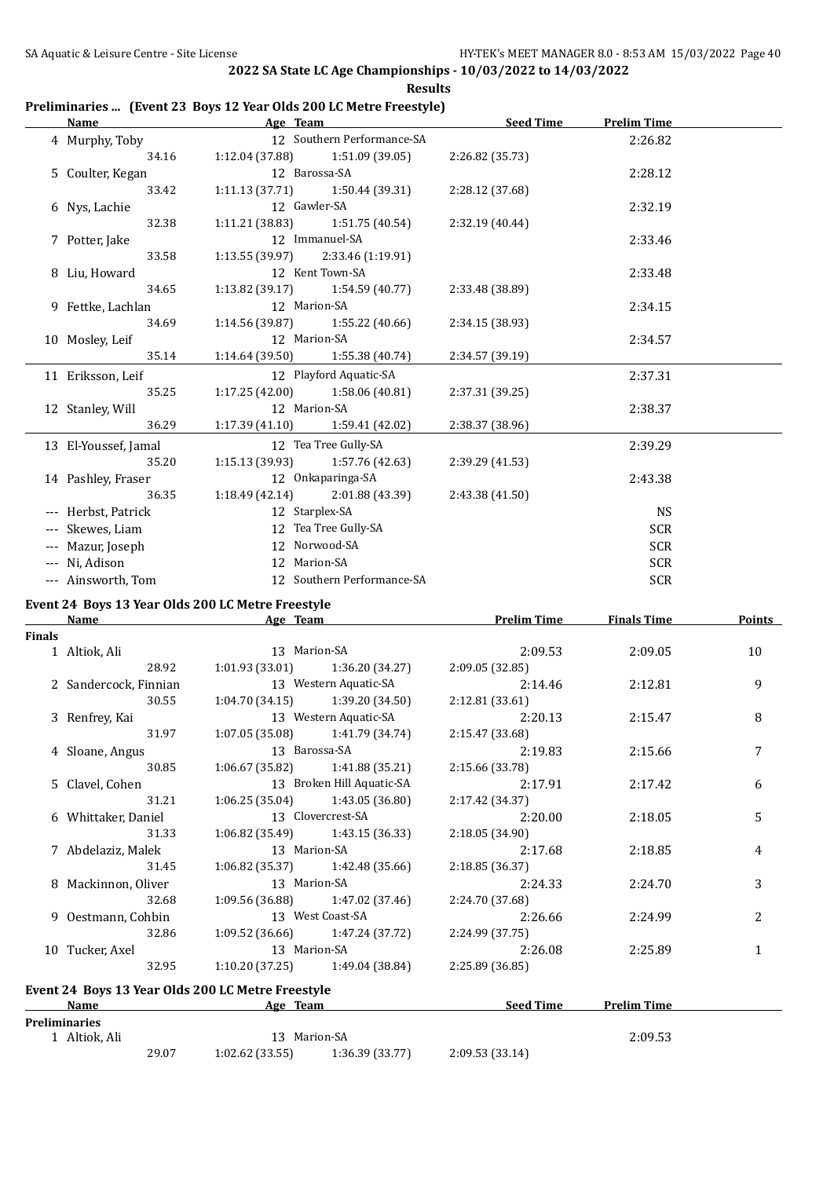#### **Preliminaries ... (Event 23 Boys 12 Year Olds 200 LC Metre Freestyle)**

| Name                 | Age Team                            |                                   | <b>Seed Time</b> | <b>Prelim Time</b> |  |
|----------------------|-------------------------------------|-----------------------------------|------------------|--------------------|--|
| 4 Murphy, Toby       |                                     | 12 Southern Performance-SA        |                  | 2:26.82            |  |
| 34.16                |                                     | $1:12.04(37.88)$ $1:51.09(39.05)$ | 2:26.82 (35.73)  |                    |  |
| 5 Coulter, Kegan     | 12 Barossa-SA                       |                                   |                  | 2:28.12            |  |
| 33.42                | $1:11.13(37.71)$ $1:50.44(39.31)$   |                                   | 2:28.12 (37.68)  |                    |  |
| 6 Nys, Lachie        | 12 Gawler-SA                        |                                   |                  | 2:32.19            |  |
| 32.38                | $1:11.21(38.83)$ $1:51.75(40.54)$   |                                   | 2:32.19 (40.44)  |                    |  |
| 7 Potter, Jake       |                                     | 12 Immanuel-SA                    |                  | 2:33.46            |  |
| 33.58                | $1:13.55(39.97)$ $2:33.46(1:19.91)$ |                                   |                  |                    |  |
| 8 Liu, Howard        |                                     | 12 Kent Town-SA                   |                  | 2:33.48            |  |
| 34.65                | $1:13.82$ (39.17) $1:54.59$ (40.77) |                                   | 2:33.48 (38.89)  |                    |  |
| 9 Fettke, Lachlan    | 12 Marion-SA                        |                                   |                  | 2:34.15            |  |
| 34.69                | $1:14.56(39.87)$ $1:55.22(40.66)$   |                                   | 2:34.15 (38.93)  |                    |  |
| 10 Mosley, Leif      | 12 Marion-SA                        |                                   |                  | 2:34.57            |  |
| 35.14                | 1:14.64 (39.50)                     | 1:55.38 (40.74)                   | 2:34.57 (39.19)  |                    |  |
| 11 Eriksson, Leif    |                                     | 12 Playford Aquatic-SA            |                  | 2:37.31            |  |
| 35.25                | 1:17.25(42.00)                      | 1:58.06 (40.81)                   | 2:37.31 (39.25)  |                    |  |
| 12 Stanley, Will     | 12 Marion-SA                        |                                   |                  | 2:38.37            |  |
| 36.29                | $1:17.39(41.10)$ $1:59.41(42.02)$   |                                   | 2:38.37 (38.96)  |                    |  |
| 13 El-Youssef, Jamal |                                     | 12 Tea Tree Gully-SA              |                  | 2:39.29            |  |
| 35.20                | $1:15.13(39.93)$ $1:57.76(42.63)$   |                                   | 2:39.29 (41.53)  |                    |  |
| 14 Pashley, Fraser   |                                     | 12 Onkaparinga-SA                 |                  | 2:43.38            |  |
| 36.35                | 1:18.49(42.14)                      | 2:01.88 (43.39)                   | 2:43.38 (41.50)  |                    |  |
| --- Herbst, Patrick  | 12 Starplex-SA                      |                                   |                  | <b>NS</b>          |  |
| --- Skewes, Liam     |                                     | 12 Tea Tree Gully-SA              |                  | <b>SCR</b>         |  |
| --- Mazur, Joseph    |                                     | 12 Norwood-SA                     |                  | <b>SCR</b>         |  |
| --- Ni, Adison       | 12 Marion-SA                        |                                   |                  | SCR                |  |
| --- Ainsworth, Tom   |                                     | 12 Southern Performance-SA        |                  | <b>SCR</b>         |  |
|                      |                                     |                                   |                  |                    |  |

# **Event 24 Boys 13 Year Olds 200 LC Metre Freestyle**<br>Name Age Team

|               | <b>Name</b>           | Age Team          |                                   | <b>Prelim Time</b> | <b>Finals Time</b> | <b>Points</b>  |
|---------------|-----------------------|-------------------|-----------------------------------|--------------------|--------------------|----------------|
| <b>Finals</b> |                       |                   |                                   |                    |                    |                |
|               | 1 Altiok, Ali         | 13 Marion-SA      |                                   | 2:09.53            | 2:09.05            | 10             |
|               | 28.92                 |                   | $1:01.93(33.01)$ $1:36.20(34.27)$ | 2:09.05(32.85)     |                    |                |
|               | 2 Sandercock, Finnian |                   | 13 Western Aquatic-SA             | 2:14.46            | 2:12.81            | 9              |
|               | 30.55                 |                   | $1:04.70(34.15)$ $1:39.20(34.50)$ | 2:12.81(33.61)     |                    |                |
|               | 3 Renfrey, Kai        |                   | 13 Western Aquatic-SA             | 2:20.13            | 2:15.47            | 8              |
|               | 31.97                 |                   | $1:07.05(35.08)$ $1:41.79(34.74)$ | 2:15.47 (33.68)    |                    |                |
|               | 4 Sloane, Angus       | 13 Barossa-SA     |                                   | 2:19.83            | 2:15.66            |                |
|               | 30.85                 |                   | $1:06.67(35.82)$ $1:41.88(35.21)$ | 2:15.66 (33.78)    |                    |                |
|               | 5 Clavel, Cohen       |                   | 13 Broken Hill Aquatic-SA         | 2:17.91            | 2:17.42            | 6              |
|               | 31.21                 |                   | $1:06.25(35.04)$ $1:43.05(36.80)$ | 2:17.42 (34.37)    |                    |                |
|               | 6 Whittaker, Daniel   | 13 Clovercrest-SA |                                   | 2:20.00            | 2:18.05            | 5              |
|               | 31.33                 |                   | $1:06.82(35.49)$ $1:43.15(36.33)$ | 2:18.05(34.90)     |                    |                |
|               | 7 Abdelaziz, Malek    | 13 Marion-SA      |                                   | 2:17.68            | 2:18.85            | 4              |
|               | 31.45                 |                   | $1:06.82(35.37)$ $1:42.48(35.66)$ | 2:18.85(36.37)     |                    |                |
|               | 8 Mackinnon, Oliver   | 13 Marion-SA      |                                   | 2:24.33            | 2:24.70            | 3              |
|               | 32.68                 |                   | $1:09.56(36.88)$ $1:47.02(37.46)$ | 2:24.70 (37.68)    |                    |                |
|               | 9 Oestmann, Cohbin    | 13 West Coast-SA  |                                   | 2:26.66            | 2:24.99            | $\overline{c}$ |
|               | 32.86                 |                   | $1:09.52(36.66)$ $1:47.24(37.72)$ | 2:24.99 (37.75)    |                    |                |
|               | 10 Tucker, Axel       | 13 Marion-SA      |                                   | 2:26.08            | 2:25.89            | 1              |
|               | 32.95                 |                   | $1:10.20(37.25)$ $1:49.04(38.84)$ | 2:25.89(36.85)     |                    |                |
|               |                       |                   |                                   |                    |                    |                |

# **Event 24 Boys 13 Year Olds 200 LC Metre Freestyle**

| Name                 |              | Team<br>Age    |                 | <b>Seed Time</b> | <b>Prelim Time</b> |  |
|----------------------|--------------|----------------|-----------------|------------------|--------------------|--|
| <b>Preliminaries</b> |              |                |                 |                  |                    |  |
| Altiok. Ali          | 13 Marion-SA |                |                 |                  | 2:09.53            |  |
|                      | 29.07        | 1:02.62(33.55) | 1:36.39 (33.77) | 2:09.53 (33.14)  |                    |  |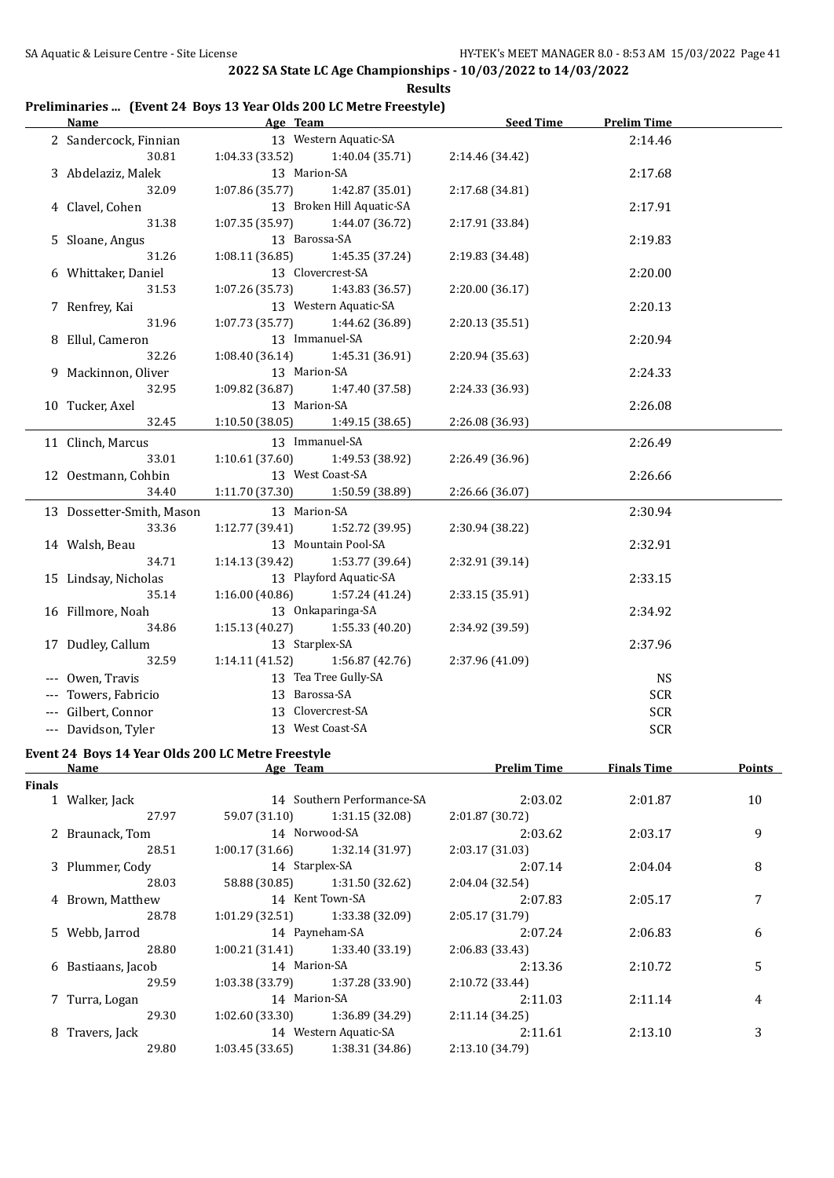#### **Preliminaries ... (Event 24 Boys 13 Year Olds 200 LC Metre Freestyle)**

| <b>Name</b>               | Age Team        |                           | <b>Seed Time</b> | <b>Prelim Time</b> |  |
|---------------------------|-----------------|---------------------------|------------------|--------------------|--|
| 2 Sandercock, Finnian     |                 | 13 Western Aquatic-SA     |                  | 2:14.46            |  |
| 30.81                     | 1:04.33 (33.52) | 1:40.04 (35.71)           | 2:14.46 (34.42)  |                    |  |
| 3 Abdelaziz, Malek        | 13 Marion-SA    |                           |                  | 2:17.68            |  |
| 32.09                     | 1:07.86(35.77)  | 1:42.87 (35.01)           | 2:17.68 (34.81)  |                    |  |
| 4 Clavel, Cohen           |                 | 13 Broken Hill Aquatic-SA |                  | 2:17.91            |  |
| 31.38                     | 1:07.35(35.97)  | 1:44.07 (36.72)           | 2:17.91 (33.84)  |                    |  |
| 5 Sloane, Angus           | 13 Barossa-SA   |                           |                  | 2:19.83            |  |
| 31.26                     | 1:08.11(36.85)  | 1:45.35 (37.24)           | 2:19.83 (34.48)  |                    |  |
| 6 Whittaker, Daniel       |                 | 13 Clovercrest-SA         |                  | 2:20.00            |  |
| 31.53                     | 1:07.26 (35.73) | 1:43.83 (36.57)           | 2:20.00 (36.17)  |                    |  |
| 7 Renfrey, Kai            |                 | 13 Western Aquatic-SA     |                  | 2:20.13            |  |
| 31.96                     | 1:07.73(35.77)  | 1:44.62 (36.89)           | 2:20.13 (35.51)  |                    |  |
| 8 Ellul, Cameron          | 13 Immanuel-SA  |                           |                  | 2:20.94            |  |
| 32.26                     | 1:08.40(36.14)  | 1:45.31 (36.91)           | 2:20.94 (35.63)  |                    |  |
| 9 Mackinnon, Oliver       | 13 Marion-SA    |                           |                  | 2:24.33            |  |
| 32.95                     | 1:09.82 (36.87) | 1:47.40 (37.58)           | 2:24.33 (36.93)  |                    |  |
| 10 Tucker, Axel           | 13 Marion-SA    |                           |                  | 2:26.08            |  |
| 32.45                     | 1:10.50 (38.05) | 1:49.15 (38.65)           | 2:26.08 (36.93)  |                    |  |
| 11 Clinch, Marcus         |                 | 13 Immanuel-SA            |                  | 2:26.49            |  |
| 33.01                     | 1:10.61 (37.60) | 1:49.53 (38.92)           | 2:26.49 (36.96)  |                    |  |
| 12 Oestmann, Cohbin       |                 | 13 West Coast-SA          |                  | 2:26.66            |  |
| 34.40                     | 1:11.70 (37.30) | 1:50.59 (38.89)           | 2:26.66 (36.07)  |                    |  |
| 13 Dossetter-Smith, Mason | 13 Marion-SA    |                           |                  | 2:30.94            |  |
| 33.36                     | 1:12.77 (39.41) | 1:52.72 (39.95)           | 2:30.94 (38.22)  |                    |  |
| 14 Walsh, Beau            |                 | 13 Mountain Pool-SA       |                  | 2:32.91            |  |
| 34.71                     | 1:14.13 (39.42) | 1:53.77 (39.64)           | 2:32.91 (39.14)  |                    |  |
| 15 Lindsay, Nicholas      |                 | 13 Playford Aquatic-SA    |                  | 2:33.15            |  |
| 35.14                     | 1:16.00(40.86)  | 1:57.24 (41.24)           | 2:33.15 (35.91)  |                    |  |
| 16 Fillmore, Noah         |                 | 13 Onkaparinga-SA         |                  | 2:34.92            |  |
| 34.86                     | 1:15.13(40.27)  | 1:55.33 (40.20)           | 2:34.92 (39.59)  |                    |  |
| 17 Dudley, Callum         | 13 Starplex-SA  |                           |                  | 2:37.96            |  |
| 32.59                     | 1:14.11(41.52)  | 1:56.87 (42.76)           | 2:37.96 (41.09)  |                    |  |
| Owen, Travis              |                 | 13 Tea Tree Gully-SA      |                  | <b>NS</b>          |  |
| Towers, Fabricio          | 13 Barossa-SA   |                           |                  | <b>SCR</b>         |  |
| --- Gilbert, Connor       |                 | 13 Clovercrest-SA         |                  | <b>SCR</b>         |  |
| --- Davidson, Tyler       |                 | 13 West Coast-SA          |                  | <b>SCR</b>         |  |

#### **Event 24 Boys 14 Year Olds 200 LC Metre Freestyle Name Age Team Prelim Time Finals Time Points**

 $\overline{a}$ 

| Finals |                    |                 |                                   |                 |         |    |
|--------|--------------------|-----------------|-----------------------------------|-----------------|---------|----|
|        | 1 Walker, Jack     |                 | 14 Southern Performance-SA        | 2:03.02         | 2:01.87 | 10 |
|        | 27.97              |                 | 59.07 (31.10) 1:31.15 (32.08)     | 2:01.87 (30.72) |         |    |
|        | 2 Braunack, Tom    |                 | 14 Norwood-SA                     | 2:03.62         | 2:03.17 | 9  |
|        | 28.51              |                 | $1:00.17(31.66)$ $1:32.14(31.97)$ | 2:03.17 (31.03) |         |    |
|        | 3 Plummer, Cody    | 14 Starplex-SA  |                                   | 2:07.14         | 2:04.04 | 8  |
|        | 28.03              |                 | 58.88 (30.85) 1:31.50 (32.62)     | 2:04.04 (32.54) |         |    |
|        | 4 Brown, Matthew   |                 | 14 Kent Town-SA                   | 2:07.83         | 2:05.17 | 7  |
|        | 28.78              | 1:01.29(32.51)  | 1:33.38 (32.09)                   | 2:05.17(31.79)  |         |    |
|        | 5 Webb, Jarrod     | 14 Payneham-SA  |                                   | 2:07.24         | 2:06.83 | 6  |
|        | 28.80              |                 | $1:00.21(31.41)$ $1:33.40(33.19)$ | 2:06.83 (33.43) |         |    |
|        | 6 Bastiaans, Jacob |                 | 14 Marion-SA                      |                 | 2:10.72 | 5  |
|        | 29.59              | 1:03.38 (33.79) | 1:37.28 (33.90)                   | 2:10.72 (33.44) |         |    |
|        | 7 Turra, Logan     | 14 Marion-SA    |                                   | 2:11.03         | 2:11.14 | 4  |
|        | 29.30              |                 | $1:02.60(33.30)$ $1:36.89(34.29)$ | 2:11.14(34.25)  |         |    |
|        | 8 Travers, Jack    |                 | 14 Western Aquatic-SA             | 2:11.61         | 2:13.10 | 3  |
|        | 29.80              | 1:03.45(33.65)  | 1:38.31 (34.86)                   | 2:13.10 (34.79) |         |    |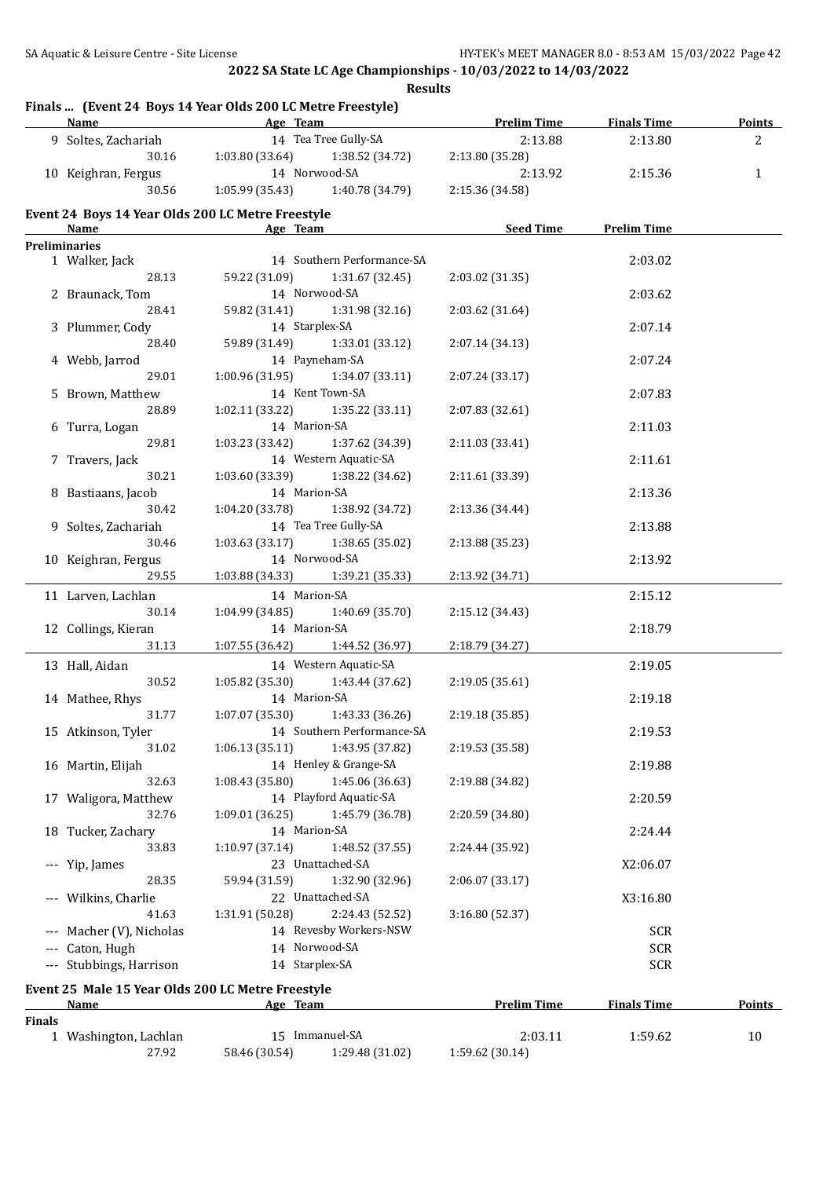**Results**

|               | Finals  (Event 24 Boys 14 Year Olds 200 LC Metre Freestyle)<br>Name Age Team |                 |                                     | <b>Example 12 Prelim Time</b> | <b>Finals Time</b> | <b>Points</b> |
|---------------|------------------------------------------------------------------------------|-----------------|-------------------------------------|-------------------------------|--------------------|---------------|
|               | 9 Soltes, Zachariah                                                          |                 | 14 Tea Tree Gully-SA                | 2:13.88                       | 2:13.80            | 2             |
|               | 30.16                                                                        | 1:03.80 (33.64) | 1:38.52 (34.72)                     | 2:13.80 (35.28)               |                    |               |
|               | 10 Keighran, Fergus                                                          | 14 Norwood-SA   |                                     | 2:13.92                       | 2:15.36            | $\mathbf{1}$  |
|               | 30.56                                                                        |                 | $1:05.99(35.43)$ $1:40.78(34.79)$   | 2:15.36 (34.58)               |                    |               |
|               | Event 24 Boys 14 Year Olds 200 LC Metre Freestyle                            |                 |                                     |                               |                    |               |
|               | Name Age Team<br><b>Preliminaries</b>                                        |                 |                                     | <b>Example 2 Seed Time</b>    | <b>Prelim Time</b> |               |
|               | 1 Walker, Jack                                                               |                 | 14 Southern Performance-SA          |                               | 2:03.02            |               |
|               | 28.13                                                                        |                 | 59.22 (31.09) 1:31.67 (32.45)       | 2:03.02 (31.35)               |                    |               |
|               | 2 Braunack, Tom                                                              |                 | 14 Norwood-SA                       |                               | 2:03.62            |               |
|               | 28.41                                                                        |                 | 59.82 (31.41) 1:31.98 (32.16)       | 2:03.62 (31.64)               |                    |               |
|               | 3 Plummer, Cody                                                              |                 | 14 Starplex-SA                      |                               | 2:07.14            |               |
|               | 28.40                                                                        |                 | 59.89 (31.49) 1:33.01 (33.12)       | 2:07.14 (34.13)               |                    |               |
|               | 4 Webb, Jarrod                                                               |                 | 14 Payneham-SA                      |                               | 2:07.24            |               |
|               | 29.01                                                                        |                 | $1:00.96(31.95)$ $1:34.07(33.11)$   | 2:07.24 (33.17)               |                    |               |
|               | 5 Brown, Matthew                                                             |                 | 14 Kent Town-SA                     |                               | 2:07.83            |               |
|               | 28.89                                                                        |                 | $1:02.11(33.22)$ $1:35.22(33.11)$   | 2:07.83 (32.61)               |                    |               |
|               | 6 Turra, Logan                                                               | 14 Marion-SA    |                                     |                               | 2:11.03            |               |
|               | 29.81                                                                        |                 | 1:03.23 (33.42) 1:37.62 (34.39)     | 2:11.03 (33.41)               |                    |               |
|               | 7 Travers, Jack                                                              |                 | 14 Western Aquatic-SA               |                               | 2:11.61            |               |
|               | 30.21                                                                        |                 | 1:03.60 (33.39) 1:38.22 (34.62)     | 2:11.61 (33.39)               |                    |               |
|               | 8 Bastiaans, Jacob                                                           | 14 Marion-SA    |                                     |                               | 2:13.36            |               |
|               | 30.42                                                                        |                 | $1:04.20(33.78)$ $1:38.92(34.72)$   | 2:13.36 (34.44)               |                    |               |
|               | 9 Soltes, Zachariah                                                          |                 | 14 Tea Tree Gully-SA                |                               | 2:13.88            |               |
|               | 30.46                                                                        |                 | $1:03.63$ (33.17) $1:38.65$ (35.02) | 2:13.88 (35.23)               |                    |               |
|               | 10 Keighran, Fergus                                                          |                 | 14 Norwood-SA                       |                               | 2:13.92            |               |
|               | 29.55                                                                        |                 | $1:03.88(34.33)$ $1:39.21(35.33)$   | 2:13.92 (34.71)               |                    |               |
|               | 11 Larven, Lachlan                                                           | 14 Marion-SA    |                                     |                               | 2:15.12            |               |
|               | 30.14                                                                        |                 | $1:04.99(34.85)$ $1:40.69(35.70)$   | 2:15.12 (34.43)               |                    |               |
|               | 12 Collings, Kieran                                                          | 14 Marion-SA    |                                     |                               | 2:18.79            |               |
|               | 31.13                                                                        |                 | $1:07.55(36.42)$ $1:44.52(36.97)$   | 2:18.79 (34.27)               |                    |               |
|               | 13 Hall, Aidan                                                               |                 | 14 Western Aquatic-SA               |                               | 2:19.05            |               |
|               | 30.52                                                                        |                 | $1:05.82$ (35.30) $1:43.44$ (37.62) | 2:19.05 (35.61)               |                    |               |
|               | 14 Mathee, Rhys                                                              | 14 Marion-SA    |                                     |                               | 2:19.18            |               |
|               | 31.77                                                                        | 1:07.07 (35.30) | 1:43.33 (36.26)                     | 2:19.18 (35.85)               |                    |               |
|               | 15 Atkinson, Tyler                                                           |                 | 14 Southern Performance-SA          |                               | 2:19.53            |               |
|               | 31.02                                                                        | 1:06.13(35.11)  | 1:43.95 (37.82)                     | 2:19.53 (35.58)               |                    |               |
|               | 16 Martin, Elijah                                                            |                 | 14 Henley & Grange-SA               |                               | 2:19.88            |               |
|               | 32.63                                                                        | 1:08.43 (35.80) | 1:45.06 (36.63)                     | 2:19.88 (34.82)               |                    |               |
|               | 17 Waligora, Matthew                                                         |                 | 14 Playford Aquatic-SA              |                               | 2:20.59            |               |
|               | 32.76                                                                        | 1:09.01 (36.25) | 1:45.79 (36.78)                     | 2:20.59 (34.80)               |                    |               |
|               | 18 Tucker, Zachary                                                           | 14 Marion-SA    |                                     |                               | 2:24.44            |               |
|               | 33.83                                                                        | 1:10.97 (37.14) | 1:48.52 (37.55)                     | 2:24.44 (35.92)               |                    |               |
|               | --- Yip, James                                                               |                 | 23 Unattached-SA                    |                               | X2:06.07           |               |
|               | 28.35                                                                        | 59.94 (31.59)   | 1:32.90 (32.96)                     | 2:06.07 (33.17)               |                    |               |
|               | --- Wilkins, Charlie                                                         |                 | 22 Unattached-SA                    |                               | X3:16.80           |               |
|               | 41.63                                                                        | 1:31.91 (50.28) | 2:24.43 (52.52)                     | 3:16.80 (52.37)               |                    |               |
|               | --- Macher (V), Nicholas                                                     |                 | 14 Revesby Workers-NSW              |                               | SCR                |               |
|               | Caton, Hugh                                                                  |                 | 14 Norwood-SA                       |                               | SCR                |               |
|               | --- Stubbings, Harrison                                                      |                 | 14 Starplex-SA                      |                               | SCR                |               |
|               |                                                                              |                 |                                     |                               |                    |               |
|               | Event 25 Male 15 Year Olds 200 LC Metre Freestyle<br><u>Name</u>             | Age Team        |                                     | <b>Prelim Time</b>            | <b>Finals Time</b> | <b>Points</b> |
| <b>Finals</b> |                                                                              |                 |                                     |                               |                    |               |
|               | 1 Washington, Lachlan                                                        |                 | 15 Immanuel-SA                      | 2:03.11                       | 1:59.62            | 10            |
|               | 27.92                                                                        | 58.46 (30.54)   | 1:29.48 (31.02)                     | 1:59.62 (30.14)               |                    |               |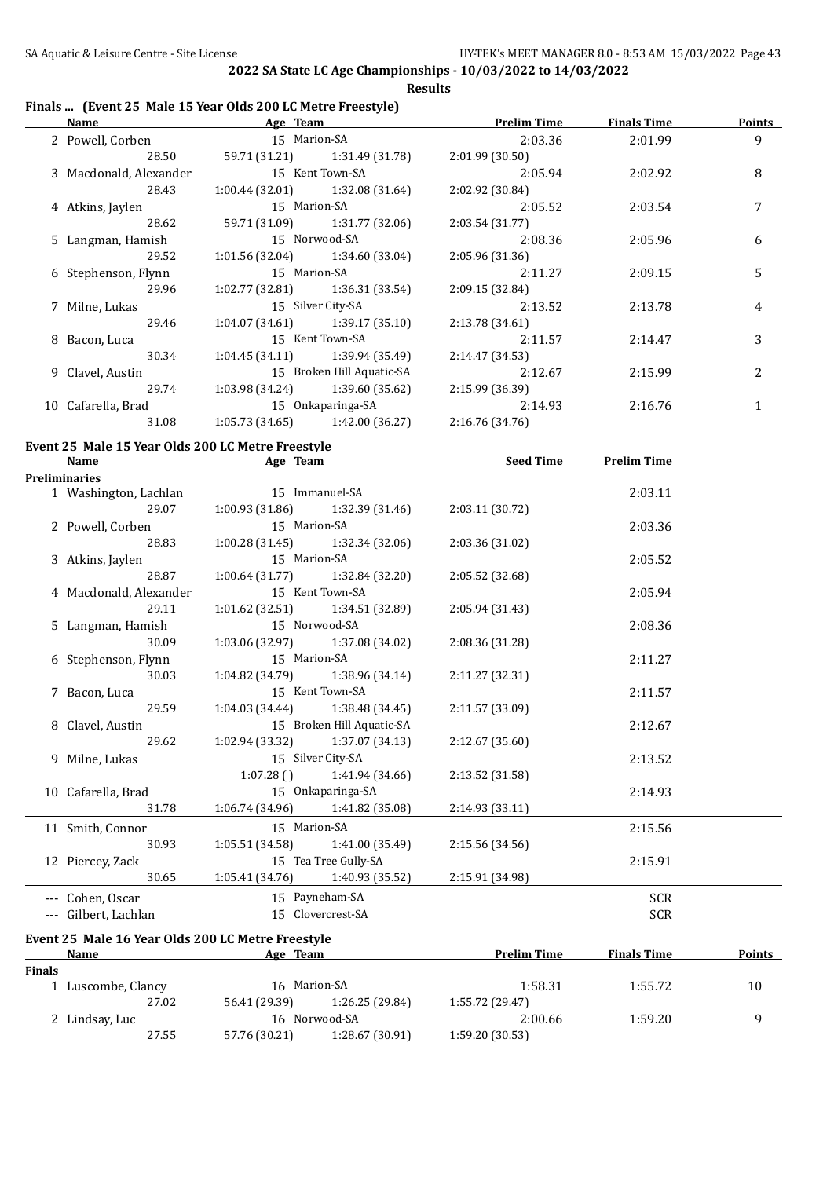## **Finals ... (Event 25 Male 15 Year Olds 200 LC Metre Freestyle)**

| <b>Name</b>                                       | <b>Example 2016</b> Age Team                                | <b>Prelim Time</b> | <b>Finals Time</b> | <b>Points</b>  |
|---------------------------------------------------|-------------------------------------------------------------|--------------------|--------------------|----------------|
| 2 Powell, Corben                                  | 15 Marion-SA                                                | 2:03.36            | 2:01.99            | $\overline{9}$ |
| 28.50                                             | 59.71 (31.21)<br>1:31.49 (31.78)                            | 2:01.99 (30.50)    |                    |                |
| 3 Macdonald, Alexander                            | 15 Kent Town-SA                                             | 2:05.94            | 2:02.92            | 8              |
| 28.43                                             | 1:00.44(32.01)<br>1:32.08 (31.64)                           | 2:02.92 (30.84)    |                    |                |
| 4 Atkins, Jaylen                                  | 15 Marion-SA                                                | 2:05.52            | 2:03.54            | 7              |
| 28.62                                             | 59.71 (31.09)<br>1:31.77 (32.06)                            | 2:03.54 (31.77)    |                    |                |
| 5 Langman, Hamish                                 | 15 Norwood-SA                                               | 2:08.36            | 2:05.96            | 6              |
| 29.52                                             | 1:01.56 (32.04)<br>1:34.60 (33.04)                          | 2:05.96 (31.36)    |                    |                |
| 6 Stephenson, Flynn                               | 15 Marion-SA                                                | 2:11.27            | 2:09.15            | 5              |
| 29.96                                             | 1:02.77 (32.81)<br>1:36.31 (33.54)                          | 2:09.15 (32.84)    |                    |                |
| 7 Milne, Lukas                                    | 15 Silver City-SA                                           | 2:13.52            | 2:13.78            | 4              |
| 29.46                                             | $1:04.07(34.61)$ $1:39.17(35.10)$                           | 2:13.78 (34.61)    |                    |                |
| 8 Bacon, Luca                                     | 15 Kent Town-SA                                             | 2:11.57            | 2:14.47            | 3              |
| 30.34                                             | 1:04.45 (34.11)<br>1:39.94 (35.49)                          | 2:14.47 (34.53)    |                    |                |
| 9 Clavel, Austin                                  | 15 Broken Hill Aquatic-SA                                   | 2:12.67            | 2:15.99            | 2              |
| 29.74                                             | 1:03.98 (34.24) 1:39.60 (35.62)                             | 2:15.99 (36.39)    |                    |                |
| 10 Cafarella, Brad                                | 15 Onkaparinga-SA                                           | 2:14.93            | 2:16.76            | $\mathbf{1}$   |
| 31.08                                             | 1:05.73(34.65)<br>1:42.00 (36.27)                           | 2:16.76 (34.76)    |                    |                |
| Event 25 Male 15 Year Olds 200 LC Metre Freestyle |                                                             |                    |                    |                |
| <b>Name</b>                                       | <b>Example 2018</b> Age Team <b>Contract 2018</b> Seed Time |                    | <b>Prelim Time</b> |                |
| <b>Preliminaries</b>                              |                                                             |                    |                    |                |
| 1 Washington, Lachlan                             | 15 Immanuel-SA                                              |                    | 2:03.11            |                |
| 29.07                                             | 1:00.93(31.86)<br>1:32.39 (31.46)                           | 2:03.11 (30.72)    |                    |                |
| 2 Powell, Corben                                  | 15 Marion-SA                                                |                    | 2:03.36            |                |
| 28.83                                             | 1:00.28(31.45)<br>1:32.34 (32.06)                           | 2:03.36 (31.02)    |                    |                |
| 3 Atkins, Jaylen                                  | 15 Marion-SA                                                |                    | 2:05.52            |                |
| 28.87                                             | 1:00.64 (31.77)<br>1:32.84 (32.20)                          | 2:05.52 (32.68)    |                    |                |
| 4 Macdonald, Alexander                            | 15 Kent Town-SA                                             |                    | 2:05.94            |                |
| 29.11                                             | 1:01.62 (32.51)<br>1:34.51 (32.89)                          | 2:05.94 (31.43)    |                    |                |
| 5 Langman, Hamish                                 | 15 Norwood-SA                                               |                    | 2:08.36            |                |
| 30.09                                             | 1:03.06 (32.97)<br>1:37.08 (34.02)                          | 2:08.36 (31.28)    |                    |                |
| 6 Stephenson, Flynn                               | 15 Marion-SA                                                |                    | 2:11.27            |                |
| 30.03                                             | 1:04.82 (34.79)<br>1:38.96 (34.14)                          | 2:11.27 (32.31)    |                    |                |
| 7 Bacon, Luca                                     | 15 Kent Town-SA                                             |                    | 2:11.57            |                |
| 29.59                                             | 1:04.03(34.44)<br>1:38.48 (34.45)                           | 2:11.57 (33.09)    |                    |                |
| 8 Clavel, Austin                                  | 15 Broken Hill Aquatic-SA                                   |                    | 2:12.67            |                |
| 29.62                                             | $1:02.94(33.32)$ $1:37.07(34.13)$                           | 2:12.67(35.60)     |                    |                |
| 9 Milne, Lukas                                    | 15 Silver City-SA                                           |                    | 2:13.52            |                |
|                                                   | 1:07.28()<br>1:41.94 (34.66)                                | 2:13.52 (31.58)    |                    |                |
| 10 Cafarella, Brad                                | 15 Onkaparinga-SA                                           |                    | 2:14.93            |                |
| 31.78                                             | 1:06.74 (34.96)<br>1:41.82 (35.08)                          | 2:14.93 (33.11)    |                    |                |
| 11 Smith, Connor                                  | 15 Marion-SA                                                |                    | 2:15.56            |                |
| 30.93                                             | 1:05.51(34.58)<br>1:41.00 (35.49)                           | 2:15.56 (34.56)    |                    |                |
| 12 Piercey, Zack                                  | 15 Tea Tree Gully-SA                                        |                    | 2:15.91            |                |
| 30.65                                             | 1:05.41 (34.76)<br>1:40.93 (35.52)                          | 2:15.91 (34.98)    |                    |                |
| --- Cohen, Oscar                                  | 15 Payneham-SA                                              |                    | <b>SCR</b>         |                |

|        | Name               | Age Team      |                 | <b>Prelim Time</b> | <b>Finals Time</b> | <b>Points</b> |
|--------|--------------------|---------------|-----------------|--------------------|--------------------|---------------|
| Finals |                    |               |                 |                    |                    |               |
|        | 1 Luscombe, Clancy | 16 Marion-SA  |                 | 1:58.31            | 1:55.72            | 10            |
|        | 27.02              | 56.41 (29.39) | 1:26.25 (29.84) | 1:55.72 (29.47)    |                    |               |
|        | 2 Lindsay, Luc     |               | 16 Norwood-SA   | 2:00.66            | 1:59.20            | q             |
|        | 27.55              | 57.76 (30.21) | 1:28.67(30.91)  | 1:59.20(30.53)     |                    |               |

--- Gilbert, Lachlan 15 Clovercrest-SA SCR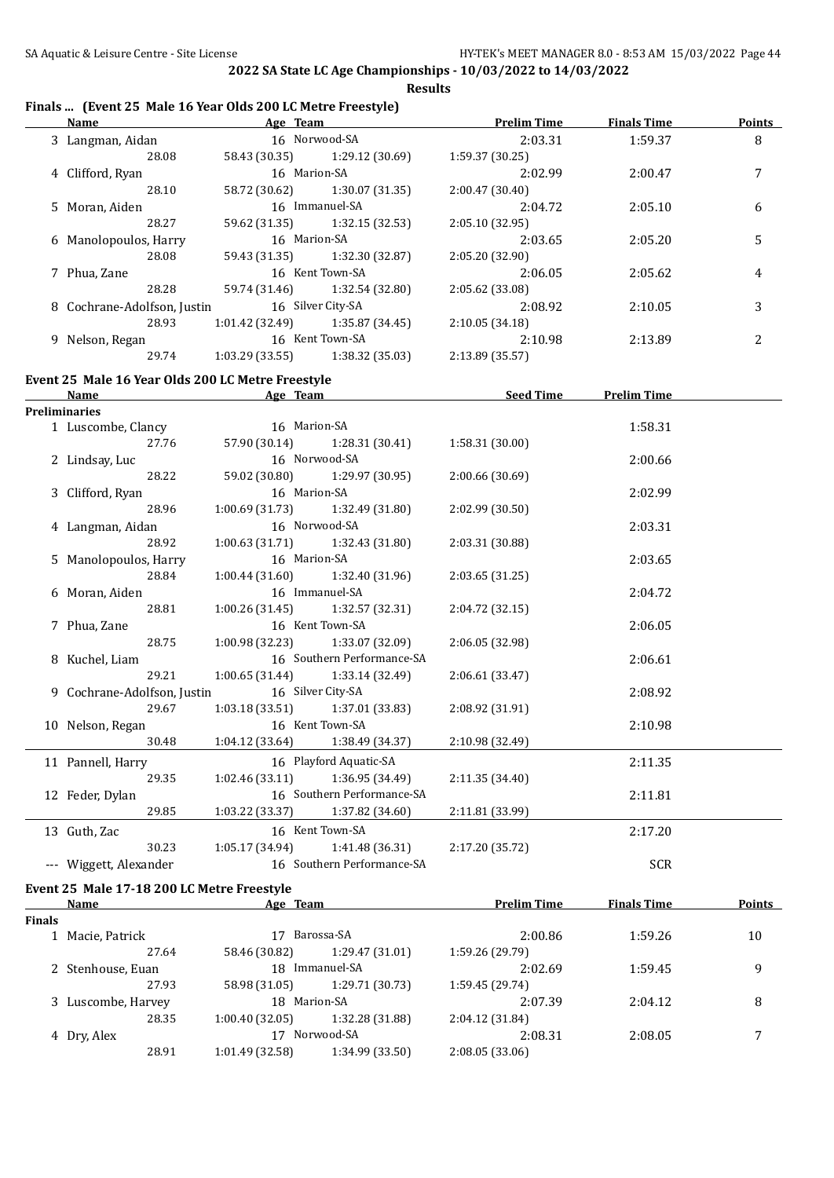# **Finals ... (Event 25 Male 16 Year Olds 200 LC Metre Freestyle)**

|               | Name Age Team                                     |                 |                              | <b>Prelim Time</b> | <b>Finals Time</b> | <b>Points</b> |
|---------------|---------------------------------------------------|-----------------|------------------------------|--------------------|--------------------|---------------|
|               | 3 Langman, Aidan                                  | 16 Norwood-SA   |                              | 2:03.31            | 1:59.37            | 8             |
|               | 28.08                                             | 58.43 (30.35)   | 1:29.12 (30.69)              | 1:59.37 (30.25)    |                    |               |
|               | 4 Clifford, Ryan                                  | 16 Marion-SA    |                              | 2:02.99            | 2:00.47            | 7             |
|               | 28.10                                             | 58.72 (30.62)   | 1:30.07 (31.35)              | 2:00.47 (30.40)    |                    |               |
|               | 5 Moran, Aiden                                    |                 | 16 Immanuel-SA               | 2:04.72            | 2:05.10            | 6             |
|               | 28.27                                             | 59.62 (31.35)   | 1:32.15 (32.53)              | 2:05.10 (32.95)    |                    |               |
|               | 6 Manolopoulos, Harry                             | 16 Marion-SA    |                              | 2:03.65            | 2:05.20            | 5             |
|               | 28.08                                             | 59.43 (31.35)   | 1:32.30 (32.87)              | 2:05.20 (32.90)    |                    |               |
|               | 7 Phua, Zane                                      |                 | 16 Kent Town-SA              | 2:06.05            | 2:05.62            | 4             |
|               | 28.28                                             | 59.74 (31.46)   | 1:32.54 (32.80)              | 2:05.62 (33.08)    |                    |               |
|               | 8 Cochrane-Adolfson, Justin                       |                 | 16 Silver City-SA            | 2:08.92            | 2:10.05            | 3             |
|               | 28.93                                             | 1:01.42 (32.49) | 1:35.87 (34.45)              | 2:10.05 (34.18)    |                    |               |
|               | 9 Nelson, Regan                                   |                 | 16 Kent Town-SA              | 2:10.98            | 2:13.89            | 2             |
|               | 29.74                                             | 1:03.29 (33.55) | 1:38.32 (35.03)              | 2:13.89 (35.57)    |                    |               |
|               |                                                   |                 |                              |                    |                    |               |
|               | Event 25 Male 16 Year Olds 200 LC Metre Freestyle |                 |                              |                    |                    |               |
|               | <b>Name</b>                                       |                 | <b>Example 2018</b> Age Team | <u>Seed Time</u>   | <b>Prelim Time</b> |               |
|               | <b>Preliminaries</b>                              |                 |                              |                    |                    |               |
|               | 1 Luscombe, Clancy                                | 16 Marion-SA    |                              |                    | 1:58.31            |               |
|               | 27.76                                             | 57.90 (30.14)   | 1:28.31 (30.41)              | 1:58.31 (30.00)    |                    |               |
|               | 2 Lindsay, Luc                                    |                 | 16 Norwood-SA                |                    | 2:00.66            |               |
|               | 28.22                                             | 59.02 (30.80)   | 1:29.97 (30.95)              | 2:00.66 (30.69)    |                    |               |
|               | 3 Clifford, Ryan                                  | 16 Marion-SA    |                              |                    | 2:02.99            |               |
|               | 28.96                                             | 1:00.69(31.73)  | 1:32.49 (31.80)              | 2:02.99 (30.50)    |                    |               |
|               | 4 Langman, Aidan                                  |                 | 16 Norwood-SA                |                    | 2:03.31            |               |
|               | 28.92                                             | 1:00.63(31.71)  | 1:32.43 (31.80)              | 2:03.31 (30.88)    |                    |               |
|               | 5 Manolopoulos, Harry                             | 16 Marion-SA    |                              |                    | 2:03.65            |               |
|               | 28.84                                             | 1:00.44(31.60)  | 1:32.40 (31.96)              | 2:03.65 (31.25)    |                    |               |
|               | 6 Moran, Aiden                                    |                 | 16 Immanuel-SA               |                    | 2:04.72            |               |
|               | 28.81                                             | 1:00.26(31.45)  | 1:32.57 (32.31)              | 2:04.72 (32.15)    |                    |               |
|               | 7 Phua, Zane                                      |                 | 16 Kent Town-SA              |                    | 2:06.05            |               |
|               | 28.75                                             | 1:00.98 (32.23) | 1:33.07 (32.09)              | 2:06.05 (32.98)    |                    |               |
|               | 8 Kuchel, Liam                                    |                 | 16 Southern Performance-SA   |                    | 2:06.61            |               |
|               | 29.21                                             | 1:00.65(31.44)  | 1:33.14 (32.49)              | 2:06.61 (33.47)    |                    |               |
|               | 9 Cochrane-Adolfson, Justin                       |                 | 16 Silver City-SA            |                    | 2:08.92            |               |
|               | 29.67                                             | 1:03.18(33.51)  | 1:37.01 (33.83)              | 2:08.92 (31.91)    |                    |               |
|               | 10 Nelson, Regan                                  |                 | 16 Kent Town-SA              |                    | 2:10.98            |               |
|               | 30.48 1:04.12 (33.64) 1:38.49 (34.37)             |                 |                              | 2:10.98 (32.49)    |                    |               |
|               |                                                   |                 |                              |                    |                    |               |
|               | 11 Pannell, Harry                                 |                 | 16 Playford Aquatic-SA       |                    | 2:11.35            |               |
|               | 29.35                                             | 1:02.46 (33.11) | 1:36.95 (34.49)              | 2:11.35 (34.40)    |                    |               |
|               | 12 Feder, Dylan                                   |                 | 16 Southern Performance-SA   |                    | 2:11.81            |               |
|               | 29.85                                             | 1:03.22 (33.37) | 1:37.82 (34.60)              | 2:11.81 (33.99)    |                    |               |
|               | 13 Guth, Zac                                      |                 | 16 Kent Town-SA              |                    | 2:17.20            |               |
|               | 30.23                                             | 1:05.17 (34.94) | 1:41.48 (36.31)              | 2:17.20 (35.72)    |                    |               |
|               | --- Wiggett, Alexander                            |                 | 16 Southern Performance-SA   |                    | <b>SCR</b>         |               |
|               | Event 25 Male 17-18 200 LC Metre Freestyle        |                 |                              |                    |                    |               |
|               | Name                                              | Age Team        |                              | <b>Prelim Time</b> | <b>Finals Time</b> | <b>Points</b> |
| <b>Finals</b> |                                                   |                 |                              |                    |                    |               |
|               | 1 Macie, Patrick                                  |                 | 17 Barossa-SA                | 2:00.86            | 1:59.26            | 10            |
|               | 27.64                                             | 58.46 (30.82)   | 1:29.47 (31.01)              | 1:59.26 (29.79)    |                    |               |
|               | 2 Stenhouse, Euan                                 |                 | 18 Immanuel-SA               | 2:02.69            | 1:59.45            | 9             |
|               | 27.93                                             | 58.98 (31.05)   | 1:29.71 (30.73)              | 1:59.45 (29.74)    |                    |               |
|               | 3 Luscombe, Harvey                                | 18 Marion-SA    |                              | 2:07.39            | 2:04.12            | 8             |
|               | 28.35                                             | 1:00.40(32.05)  | 1:32.28 (31.88)              | 2:04.12 (31.84)    |                    |               |
|               | 4 Dry, Alex                                       |                 | 17 Norwood-SA                | 2:08.31            | 2:08.05            | 7             |
|               | 28.91                                             | 1:01.49 (32.58) | 1:34.99 (33.50)              | 2:08.05 (33.06)    |                    |               |
|               |                                                   |                 |                              |                    |                    |               |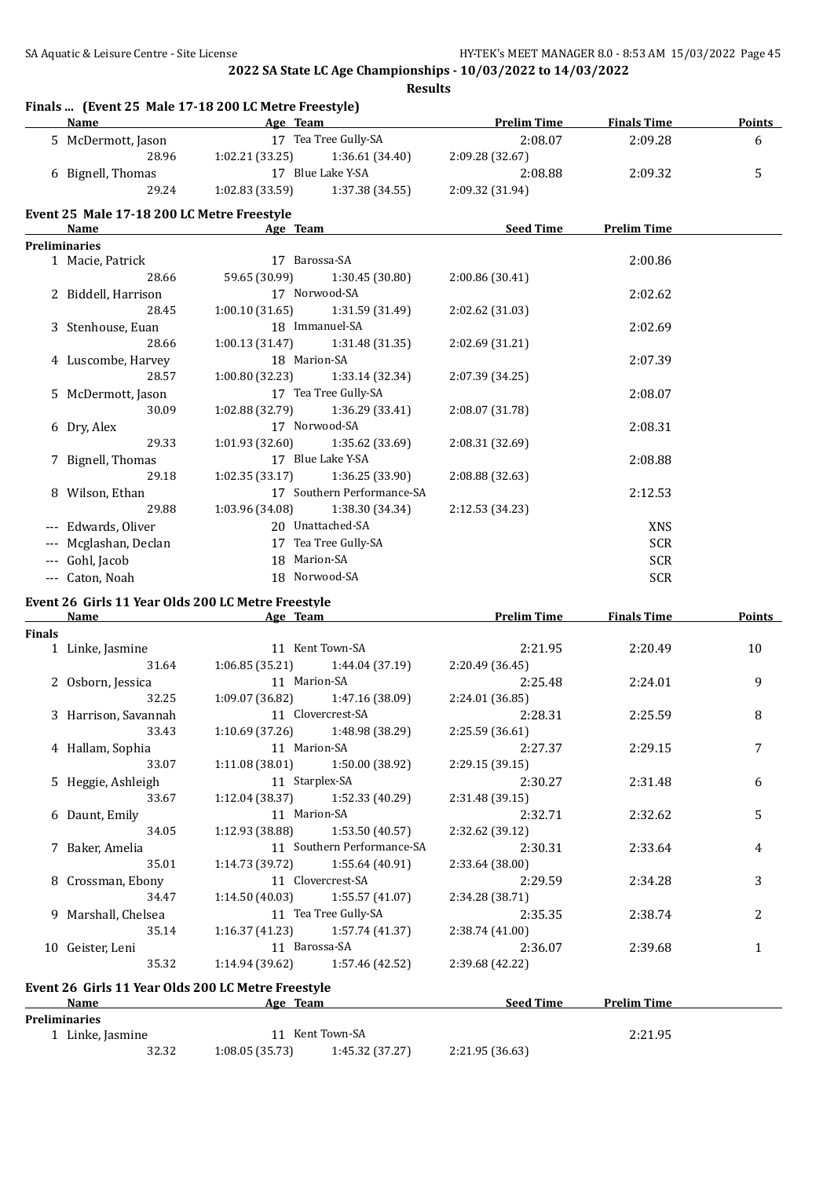|               | <b>Name</b>                                | Finals  (Event 25 Male 17-18 200 LC Metre Freestyle)<br>Age Team<br>the control of the control of the control of | <b>Prelim Time</b> | <b>Finals Time</b> | <b>Points</b> |
|---------------|--------------------------------------------|------------------------------------------------------------------------------------------------------------------|--------------------|--------------------|---------------|
|               | 5 McDermott, Jason                         | 17 Tea Tree Gully-SA                                                                                             | 2:08.07            | 2:09.28            | 6             |
|               | 28.96                                      | 1:02.21 (33.25)<br>1:36.61(34.40)                                                                                | 2:09.28 (32.67)    |                    |               |
|               | 6 Bignell, Thomas                          | 17 Blue Lake Y-SA                                                                                                | 2:08.88            | 2:09.32            | 5             |
|               | 29.24                                      | 1:02.83 (33.59)<br>1:37.38 (34.55)                                                                               | 2:09.32 (31.94)    |                    |               |
|               | Event 25 Male 17-18 200 LC Metre Freestyle |                                                                                                                  |                    |                    |               |
|               | Name                                       | Age Team                                                                                                         | Seed Time          | <b>Prelim Time</b> |               |
|               | <b>Preliminaries</b>                       |                                                                                                                  |                    |                    |               |
|               | 1 Macie, Patrick                           | 17 Barossa-SA                                                                                                    |                    | 2:00.86            |               |
|               | 28.66                                      | 1:30.45 (30.80)<br>59.65 (30.99)                                                                                 | 2:00.86 (30.41)    |                    |               |
|               | 2 Biddell, Harrison                        | 17 Norwood-SA                                                                                                    |                    | 2:02.62            |               |
|               | 28.45                                      | 1:00.10(31.65)<br>1:31.59 (31.49)                                                                                | 2:02.62 (31.03)    |                    |               |
|               | 3 Stenhouse, Euan                          | 18 Immanuel-SA                                                                                                   |                    | 2:02.69            |               |
|               | 28.66                                      | 1:31.48 (31.35)<br>1:00.13(31.47)                                                                                | 2:02.69 (31.21)    |                    |               |
|               | 4 Luscombe, Harvey                         | 18 Marion-SA                                                                                                     |                    | 2:07.39            |               |
|               | 28.57                                      | 1:00.80(32.23)<br>1:33.14 (32.34)                                                                                | 2:07.39 (34.25)    |                    |               |
|               | 5 McDermott, Jason                         | 17 Tea Tree Gully-SA                                                                                             |                    | 2:08.07            |               |
|               | 30.09                                      | 1:02.88 (32.79)<br>1:36.29(33.41)                                                                                | 2:08.07 (31.78)    |                    |               |
|               | 6 Dry, Alex                                | 17 Norwood-SA                                                                                                    |                    | 2:08.31            |               |
|               | 29.33                                      | 1:01.93 (32.60)<br>1:35.62 (33.69)                                                                               | 2:08.31 (32.69)    |                    |               |
|               | 7 Bignell, Thomas                          | 17 Blue Lake Y-SA                                                                                                |                    | 2:08.88            |               |
|               | 29.18                                      | 1:36.25 (33.90)<br>1:02.35 (33.17)                                                                               | 2:08.88 (32.63)    |                    |               |
|               | 8 Wilson, Ethan                            | 17 Southern Performance-SA                                                                                       |                    | 2:12.53            |               |
|               | 29.88                                      | 1:03.96 (34.08)<br>1:38.30 (34.34)                                                                               | 2:12.53 (34.23)    |                    |               |
|               | --- Edwards, Oliver                        | 20 Unattached-SA                                                                                                 |                    | <b>XNS</b>         |               |
|               | Mcglashan, Declan                          | 17 Tea Tree Gully-SA                                                                                             |                    | <b>SCR</b>         |               |
|               |                                            | 18 Marion-SA                                                                                                     |                    |                    |               |
|               | --- Gohl, Jacob                            |                                                                                                                  |                    | <b>SCR</b>         |               |
|               | --- Caton, Noah                            | 18 Norwood-SA                                                                                                    |                    | <b>SCR</b>         |               |
|               |                                            | Event 26 Girls 11 Year Olds 200 LC Metre Freestyle                                                               |                    |                    |               |
|               | <u>Name</u>                                | Age Team                                                                                                         | <b>Prelim Time</b> | <b>Finals Time</b> | <b>Points</b> |
| <b>Finals</b> |                                            | 11 Kent Town-SA                                                                                                  |                    |                    |               |
|               | 1 Linke, Jasmine<br>31.64                  |                                                                                                                  | 2:21.95            | 2:20.49            | 10            |
|               |                                            | 1:06.85 (35.21)<br>1:44.04 (37.19)                                                                               | 2:20.49 (36.45)    |                    |               |
|               | 2 Osborn, Jessica                          | 11 Marion-SA                                                                                                     | 2:25.48            | 2:24.01            | 9             |
|               | 32.25                                      | 1:09.07 (36.82)<br>1:47.16 (38.09)                                                                               | 2:24.01 (36.85)    |                    |               |
|               | 3 Harrison, Savannah                       | 11 Clovercrest-SA                                                                                                | 2:28.31            | 2:25.59            | 8             |
|               | 33.43                                      | 1:10.69(37.26)<br>1:48.98 (38.29)                                                                                | 2:25.59 (36.61)    |                    |               |
|               | 4 Hallam, Sophia                           | 11 Marion-SA                                                                                                     | 2:27.37            | 2:29.15            | 7             |
|               | 33.07                                      | 1:11.08(38.01)<br>1:50.00 (38.92)                                                                                | 2:29.15 (39.15)    |                    |               |
|               | 5 Heggie, Ashleigh                         | 11 Starplex-SA                                                                                                   | 2:30.27            | 2:31.48            | 6             |
|               | 33.67                                      | 1:12.04 (38.37)<br>1:52.33 (40.29)                                                                               | 2:31.48 (39.15)    |                    |               |
|               |                                            |                                                                                                                  |                    | 2:32.62            | 5             |
|               | 6 Daunt, Emily                             | 11 Marion-SA                                                                                                     | 2:32.71            |                    |               |
|               | 34.05                                      | 1:12.93(38.88)<br>1:53.50 (40.57)                                                                                | 2:32.62 (39.12)    |                    |               |
|               | 7 Baker, Amelia                            | 11 Southern Performance-SA                                                                                       | 2:30.31            | 2:33.64            | 4             |
|               | 35.01                                      | 1:55.64 (40.91)<br>1:14.73(39.72)                                                                                | 2:33.64 (38.00)    |                    |               |
|               | 8 Crossman, Ebony                          | 11 Clovercrest-SA                                                                                                | 2:29.59            | 2:34.28            | 3             |
|               | 34.47                                      | $1:14.50(40.03)$ $1:55.57(41.07)$                                                                                | 2:34.28 (38.71)    |                    |               |
|               | 9 Marshall, Chelsea                        | 11 Tea Tree Gully-SA                                                                                             | 2:35.35            | 2:38.74            | 2             |
|               | 35.14                                      | 1:57.74 (41.37)<br>1:16.37 (41.23)                                                                               | 2:38.74 (41.00)    |                    |               |
|               | 10 Geister, Leni                           | 11 Barossa-SA                                                                                                    | 2:36.07            | 2:39.68            | 1             |
|               | 35.32                                      | 1:57.46 (42.52)<br>1:14.94 (39.62)                                                                               | 2:39.68 (42.22)    |                    |               |
|               |                                            |                                                                                                                  |                    |                    |               |
|               |                                            | Event 26 Girls 11 Year Olds 200 LC Metre Freestyle                                                               |                    |                    |               |
|               | <b>Name</b>                                | Age Team                                                                                                         | <b>Seed Time</b>   | <b>Prelim Time</b> |               |
|               | Preliminaries                              |                                                                                                                  |                    |                    |               |
|               | 1 Linke, Jasmine<br>32.32                  | 11 Kent Town-SA<br>1:08.05(35.73)<br>1:45.32 (37.27)                                                             | 2:21.95 (36.63)    | 2:21.95            |               |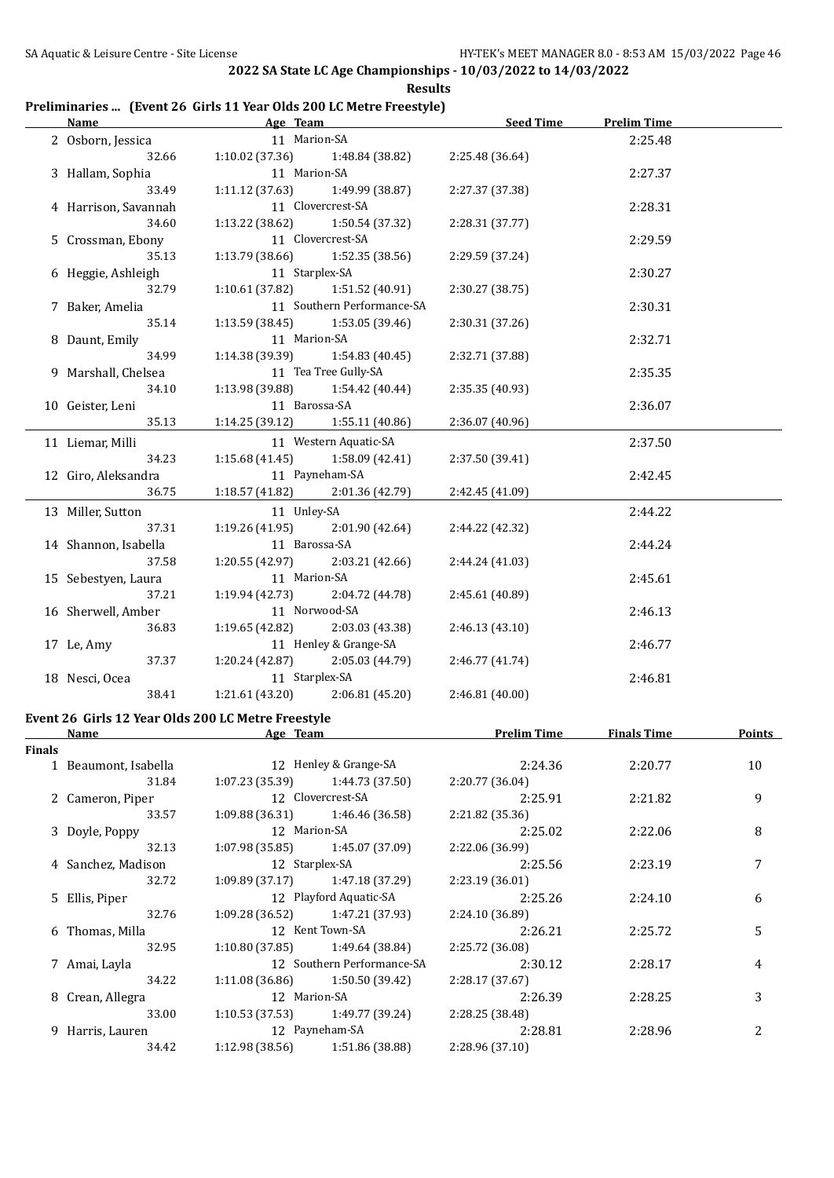#### **Preliminaries ... (Event 26 Girls 11 Year Olds 200 LC Metre Freestyle)**

| <u>Name</u>      |                                                            | Age Team                          |                            | <b>Seed Time</b>   | <b>Prelim Time</b> |        |
|------------------|------------------------------------------------------------|-----------------------------------|----------------------------|--------------------|--------------------|--------|
|                  | 2 Osborn, Jessica                                          | 11 Marion-SA                      |                            |                    | 2:25.48            |        |
|                  | 32.66                                                      | 1:10.02(37.36)                    | 1:48.84 (38.82)            | 2:25.48 (36.64)    |                    |        |
| 3 Hallam, Sophia |                                                            | 11 Marion-SA                      |                            |                    | 2:27.37            |        |
|                  | 33.49                                                      | 1:11.12(37.63)                    | 1:49.99 (38.87)            | 2:27.37 (37.38)    |                    |        |
|                  | 4 Harrison, Savannah                                       |                                   | 11 Clovercrest-SA          |                    | 2:28.31            |        |
|                  | 34.60                                                      | 1:13.22 (38.62)                   | 1:50.54 (37.32)            | 2:28.31 (37.77)    |                    |        |
|                  | 5 Crossman, Ebony                                          |                                   | 11 Clovercrest-SA          |                    | 2:29.59            |        |
|                  | 35.13                                                      | 1:13.79 (38.66)                   | 1:52.35 (38.56)            | 2:29.59 (37.24)    |                    |        |
|                  | 6 Heggie, Ashleigh                                         | 11 Starplex-SA                    |                            |                    | 2:30.27            |        |
|                  | 32.79                                                      | 1:10.61(37.82)                    | 1:51.52 (40.91)            | 2:30.27 (38.75)    |                    |        |
|                  | 7 Baker, Amelia                                            |                                   | 11 Southern Performance-SA |                    | 2:30.31            |        |
|                  | 35.14                                                      | 1:13.59(38.45)                    | 1:53.05 (39.46)            | 2:30.31 (37.26)    |                    |        |
|                  | 8 Daunt, Emily                                             | 11 Marion-SA                      |                            |                    | 2:32.71            |        |
|                  | 34.99                                                      | 1:14.38 (39.39)                   | 1:54.83 (40.45)            | 2:32.71 (37.88)    |                    |        |
|                  | 9 Marshall, Chelsea                                        |                                   | 11 Tea Tree Gully-SA       |                    | 2:35.35            |        |
|                  | 34.10                                                      | 1:13.98 (39.88)                   | 1:54.42 (40.44)            | 2:35.35 (40.93)    |                    |        |
| 10 Geister, Leni |                                                            | 11 Barossa-SA                     |                            |                    | 2:36.07            |        |
|                  | 35.13                                                      | $1:14.25(39.12)$ $1:55.11(40.86)$ |                            | 2:36.07 (40.96)    |                    |        |
|                  | 11 Liemar, Milli                                           |                                   | 11 Western Aquatic-SA      |                    | 2:37.50            |        |
|                  | 34.23                                                      | 1:15.68(41.45)                    | 1:58.09 (42.41)            | 2:37.50 (39.41)    |                    |        |
|                  | 12 Giro, Aleksandra                                        |                                   | 11 Payneham-SA             |                    | 2:42.45            |        |
|                  | 36.75                                                      | 1:18.57(41.82)                    | 2:01.36 (42.79)            | 2:42.45 (41.09)    |                    |        |
|                  | 13 Miller, Sutton                                          | 11 Unley-SA                       |                            |                    | 2:44.22            |        |
|                  | 37.31                                                      | 1:19.26 (41.95)                   | 2:01.90 (42.64)            | 2:44.22 (42.32)    |                    |        |
|                  | 14 Shannon, Isabella                                       | 11 Barossa-SA                     |                            |                    | 2:44.24            |        |
|                  | 37.58                                                      | 1:20.55 (42.97)                   | 2:03.21 (42.66)            | 2:44.24 (41.03)    |                    |        |
|                  | 15 Sebestyen, Laura                                        | 11 Marion-SA                      |                            |                    | 2:45.61            |        |
|                  | 37.21                                                      | 1:19.94 (42.73)                   | 2:04.72 (44.78)            | 2:45.61 (40.89)    |                    |        |
|                  | 16 Sherwell, Amber                                         |                                   | 11 Norwood-SA              |                    | 2:46.13            |        |
|                  | 36.83                                                      | 1:19.65(42.82)                    | 2:03.03 (43.38)            | 2:46.13 (43.10)    |                    |        |
|                  | 17 Le, Amy                                                 |                                   | 11 Henley & Grange-SA      |                    | 2:46.77            |        |
|                  | 37.37                                                      | 1:20.24 (42.87)                   | 2:05.03 (44.79)            | 2:46.77 (41.74)    |                    |        |
|                  | 18 Nesci, Ocea                                             | 11 Starplex-SA                    |                            |                    | 2:46.81            |        |
|                  | 38.41                                                      | $1:21.61(43.20)$ $2:06.81(45.20)$ |                            | 2:46.81 (40.00)    |                    |        |
|                  |                                                            |                                   |                            |                    |                    |        |
|                  | Event 26 Girls 12 Year Olds 200 LC Metre Freestyle<br>Name | <b>Example 2</b> Age Team         |                            | <u>Prelim Time</u> | <b>Finals Time</b> | Points |
| Finals           |                                                            |                                   |                            |                    |                    |        |
|                  | 1 Beaumont, Isabella                                       |                                   | 12 Henley & Grange-SA      | 2:24.36            | 2:20.77            | $10\,$ |
|                  | 31.84                                                      | 1:07.23 (35.39)                   | 1:44.73 (37.50)            | 2:20.77 (36.04)    |                    |        |
|                  | 2 Cameron, Piper                                           |                                   | 12 Clovercrest-SA          | 2:25.91            | 2:21.82            | 9      |
|                  | 33.57                                                      | 1:09.88 (36.31)                   | 1:46.46 (36.58)            | 2:21.82 (35.36)    |                    |        |
|                  | 3 Doyle, Poppy                                             | 12 Marion-SA                      |                            | 2:25.02            | 2:22.06            | 8      |

32.72 1:09.89 (37.17) 1:47.18 (37.29) 2:23.19 (36.01) 5 Ellis, Piper 12 Playford Aquatic-SA 2:25.26 2:24.10 6 32.76 1:09.28 (36.52) 1:47.21 (37.93) 2:24.10 (36.89) 6 Thomas, Milla 12 Kent Town-SA 2:26.21 2:25.72 5 32.95 1:10.80 (37.85) 1:49.64 (38.84) 2:25.72 (36.08) 7 Amai, Layla 12 Southern Performance-SA 2:30.12 2:28.17 4 34.22 1:11.08 (36.86) 1:50.50 (39.42) 2:28.17 (37.67) 8 Crean, Allegra 12 Marion-SA 2:26.39 2:28.25 3 33.00 1:10.53 (37.53) 1:49.77 (39.24) 2:28.25 (38.48) 9 Harris, Lauren 12 Payneham-SA 2:28.81 2:28.96 2 34.42 1:12.98 (38.56) 1:51.86 (38.88) 2:28.96 (37.10)

32.13 1:07.98 (35.85) 1:45.07 (37.09) 2:22.06 (36.99)

4 Sanchez, Madison 12 Starplex-SA 2:25.56 2:23.19 7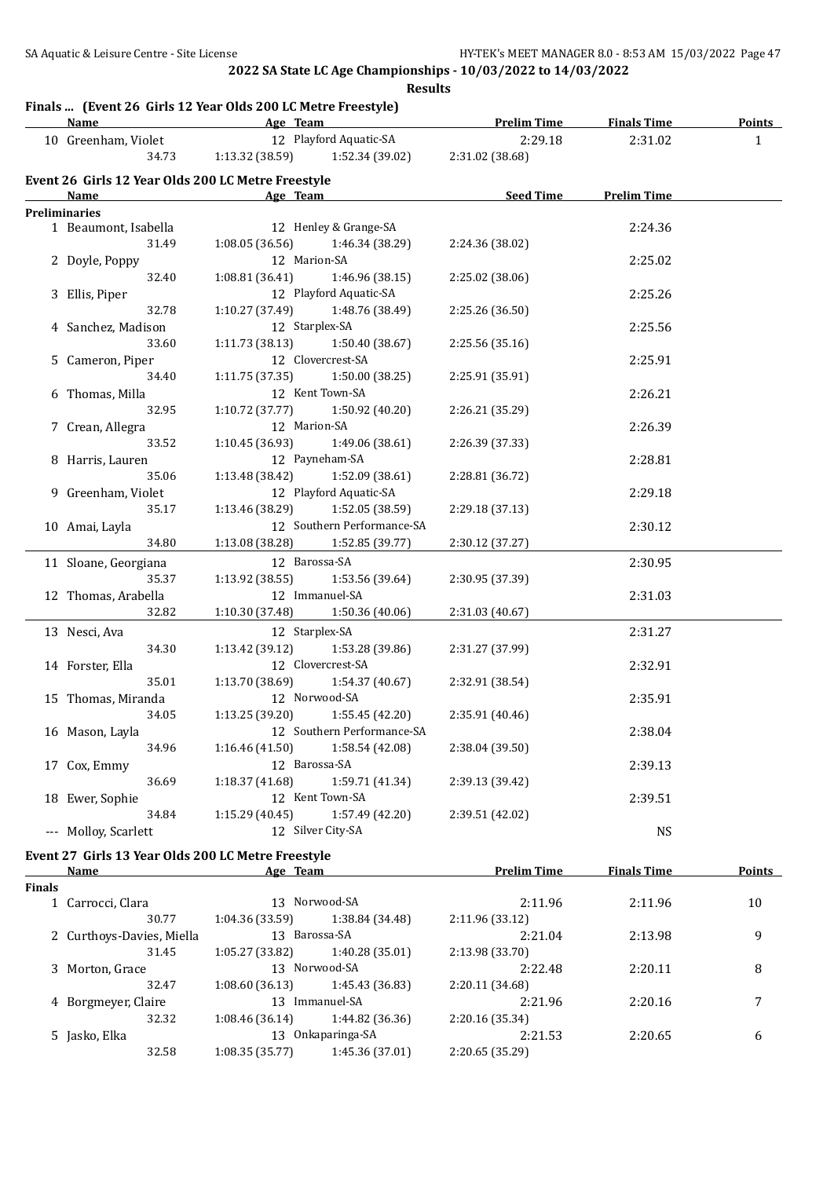## **Finals ... (Event 26 Girls 12 Year Olds 200 LC Metre Freestyle)**

|               | <b>Name</b>                                        |                              | <u>Age Team and the Second Age Team</u>         | <b>Prelim Time</b> | <b>Finals Time</b> | <b>Points</b> |
|---------------|----------------------------------------------------|------------------------------|-------------------------------------------------|--------------------|--------------------|---------------|
|               | 10 Greenham, Violet                                |                              | 12 Playford Aquatic-SA                          | 2:29.18            | 2:31.02            | $\mathbf{1}$  |
|               | 34.73                                              |                              | 1:13.32 (38.59) 1:52.34 (39.02) 2:31.02 (38.68) |                    |                    |               |
|               | Event 26 Girls 12 Year Olds 200 LC Metre Freestyle |                              |                                                 |                    |                    |               |
|               | Name                                               | <b>Example 2016</b> Age Team |                                                 | Seed Time          | <b>Prelim Time</b> |               |
|               | <b>Preliminaries</b>                               |                              |                                                 |                    |                    |               |
|               | 1 Beaumont, Isabella                               |                              | 12 Henley & Grange-SA                           |                    | 2:24.36            |               |
|               | 31.49                                              | 1:08.05(36.56)               | 1:46.34 (38.29)                                 | 2:24.36 (38.02)    |                    |               |
|               | 2 Doyle, Poppy                                     |                              | 12 Marion-SA                                    |                    | 2:25.02            |               |
|               | 32.40                                              | 1:08.81(36.41)               | 1:46.96 (38.15)                                 | 2:25.02 (38.06)    |                    |               |
|               | 3 Ellis, Piper                                     |                              | 12 Playford Aquatic-SA                          |                    | 2:25.26            |               |
|               | 32.78                                              |                              | $1:10.27(37.49)$ $1:48.76(38.49)$               | 2:25.26 (36.50)    |                    |               |
|               | 4 Sanchez, Madison                                 |                              | 12 Starplex-SA                                  |                    | 2:25.56            |               |
|               | 33.60                                              | 1:11.73(38.13)               | 1:50.40 (38.67)                                 | 2:25.56(35.16)     |                    |               |
|               | 5 Cameron, Piper                                   |                              | 12 Clovercrest-SA                               |                    | 2:25.91            |               |
|               | 34.40                                              | 1:11.75(37.35)               | 1:50.00(38.25)                                  | 2:25.91 (35.91)    |                    |               |
|               | 6 Thomas, Milla                                    |                              | 12 Kent Town-SA                                 |                    | 2:26.21            |               |
|               | 32.95                                              | 1:10.72 (37.77)              | 1:50.92 (40.20)                                 | 2:26.21 (35.29)    |                    |               |
|               | 7 Crean, Allegra                                   |                              | 12 Marion-SA                                    |                    | 2:26.39            |               |
|               | 33.52                                              | 1:10.45 (36.93)              | 1:49.06 (38.61)                                 | 2:26.39 (37.33)    |                    |               |
|               | 8 Harris, Lauren                                   |                              | 12 Payneham-SA                                  |                    | 2:28.81            |               |
|               | 35.06                                              |                              | 1:13.48 (38.42) 1:52.09 (38.61)                 | 2:28.81 (36.72)    |                    |               |
|               | 9 Greenham, Violet                                 |                              | 12 Playford Aquatic-SA                          |                    | 2:29.18            |               |
|               | 35.17                                              | 1:13.46 (38.29)              | 1:52.05 (38.59)                                 |                    |                    |               |
|               |                                                    |                              | 12 Southern Performance-SA                      | 2:29.18 (37.13)    |                    |               |
|               | 10 Amai, Layla                                     |                              |                                                 |                    | 2:30.12            |               |
|               | 34.80                                              |                              | 1:13.08 (38.28) 1:52.85 (39.77)                 | 2:30.12 (37.27)    |                    |               |
|               | 11 Sloane, Georgiana                               |                              | 12 Barossa-SA                                   |                    | 2:30.95            |               |
|               | 35.37                                              | 1:13.92(38.55)               | 1:53.56 (39.64)                                 | 2:30.95 (37.39)    |                    |               |
|               | 12 Thomas, Arabella                                |                              | 12 Immanuel-SA                                  |                    | 2:31.03            |               |
|               | 32.82                                              | 1:10.30(37.48)               | 1:50.36 (40.06)                                 | 2:31.03 (40.67)    |                    |               |
|               | 13 Nesci, Ava                                      |                              | 12 Starplex-SA                                  |                    | 2:31.27            |               |
|               | 34.30                                              | 1:13.42 (39.12)              | 1:53.28 (39.86)                                 | 2:31.27 (37.99)    |                    |               |
|               | 14 Forster, Ella                                   |                              | 12 Clovercrest-SA                               |                    | 2:32.91            |               |
|               | 35.01                                              | 1:13.70 (38.69)              | 1:54.37 (40.67)                                 | 2:32.91 (38.54)    |                    |               |
|               |                                                    |                              | 12 Norwood-SA                                   |                    |                    |               |
|               | 15 Thomas, Miranda                                 |                              |                                                 |                    | 2:35.91            |               |
|               | 34.05                                              | 1:13.25(39.20)               | 1:55.45 (42.20)                                 | 2:35.91 (40.46)    |                    |               |
|               | 16 Mason, Layla                                    |                              | 12 Southern Performance-SA                      |                    | 2:38.04            |               |
|               | 34.96                                              |                              | $1:16.46(41.50)$ $1:58.54(42.08)$               | 2:38.04 (39.50)    |                    |               |
|               | 17 Cox, Emmy                                       |                              | 12 Barossa-SA                                   |                    | 2:39.13            |               |
|               | 36.69                                              | 1:18.37(41.68)               | 1:59.71 (41.34)                                 | 2:39.13 (39.42)    |                    |               |
|               | 18 Ewer, Sophie                                    |                              | 12 Kent Town-SA                                 |                    | 2:39.51            |               |
|               | 34.84                                              | 1:15.29(40.45)               | 1:57.49 (42.20)                                 | 2:39.51 (42.02)    |                    |               |
|               | --- Molloy, Scarlett                               |                              | 12 Silver City-SA                               |                    | <b>NS</b>          |               |
|               | Event 27 Girls 13 Year Olds 200 LC Metre Freestyle |                              |                                                 |                    |                    |               |
|               | Name                                               |                              | Age Team                                        | <b>Prelim Time</b> | <b>Finals Time</b> | <b>Points</b> |
| <b>Finals</b> |                                                    |                              |                                                 |                    |                    |               |
|               | 1 Carrocci, Clara                                  |                              | 13 Norwood-SA                                   | 2:11.96            | 2:11.96            | 10            |
|               | 30.77                                              | 1:04.36(33.59)               | 1:38.84 (34.48)                                 | 2:11.96 (33.12)    |                    |               |
|               | 2 Curthoys-Davies, Miella                          |                              | 13 Barossa-SA                                   | 2:21.04            | 2:13.98            | 9             |
|               | 31.45                                              | 1:05.27(33.82)               | 1:40.28 (35.01)                                 | 2:13.98 (33.70)    |                    |               |
|               | 3 Morton, Grace                                    |                              | 13 Norwood-SA                                   | 2:22.48            | 2:20.11            | 8             |
|               | 32.47                                              | 1:08.60(36.13)               | 1:45.43 (36.83)                                 | 2:20.11 (34.68)    |                    |               |
|               | 4 Borgmeyer, Claire                                |                              | 13 Immanuel-SA                                  | 2:21.96            | 2:20.16            | 7             |
|               | 32.32                                              | 1:08.46(36.14)               | 1:44.82 (36.36)                                 | 2:20.16 (35.34)    |                    |               |
|               | 5 Jasko, Elka                                      |                              | 13 Onkaparinga-SA                               | 2:21.53            | 2:20.65            | 6             |
|               | 32.58                                              | 1:08.35 (35.77)              | 1:45.36 (37.01)                                 | 2:20.65 (35.29)    |                    |               |
|               |                                                    |                              |                                                 |                    |                    |               |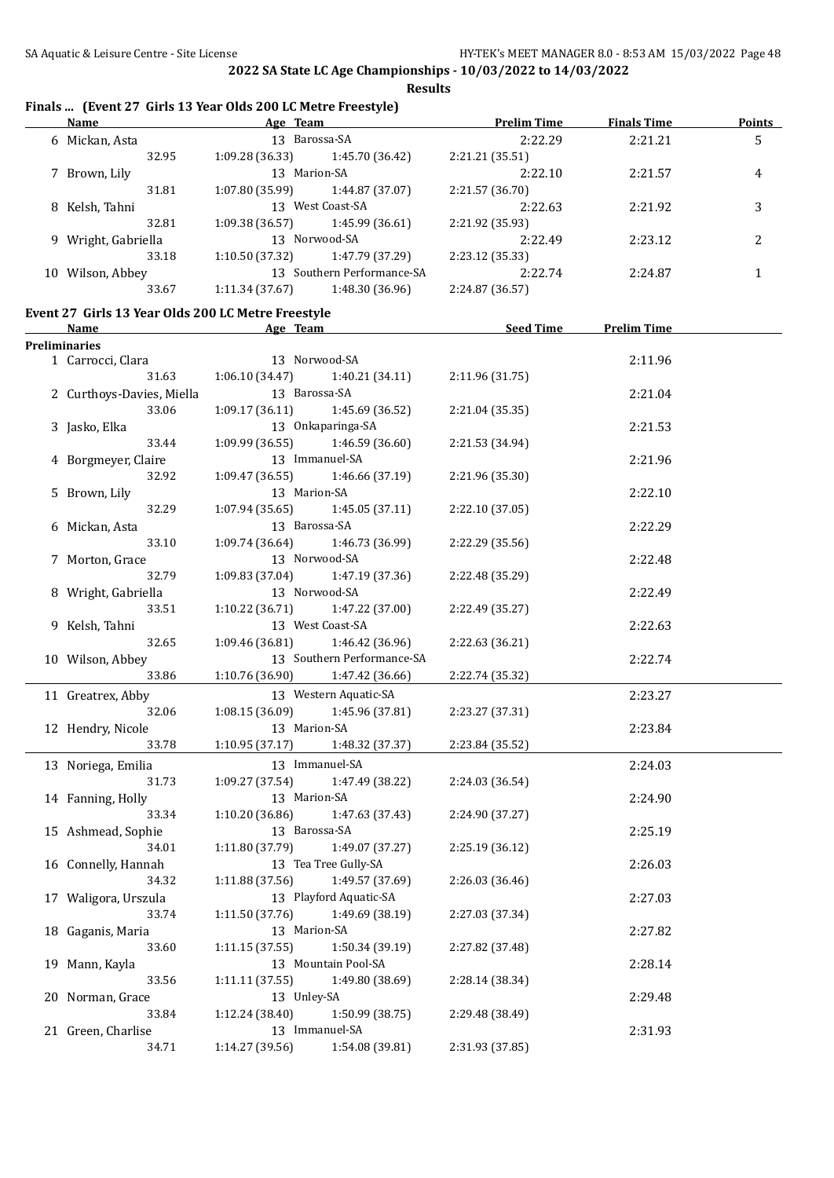## **Finals ... (Event 27 Girls 13 Year Olds 200 LC Metre Freestyle)**

|    | Name<br>Age Team    |                 | <b>Prelim Time</b>         | <b>Finals Time</b> | <b>Points</b> |                |
|----|---------------------|-----------------|----------------------------|--------------------|---------------|----------------|
|    | 6 Mickan, Asta      | 13 Barossa-SA   |                            | 2:22.29            | 2:21.21       | 5              |
|    | 32.95               | 1:09.28(36.33)  | 1:45.70 (36.42)            | 2:21.21 (35.51)    |               |                |
|    | 7 Brown, Lily       | 13              | Marion-SA                  | 2:22.10            | 2:21.57       | 4              |
|    | 31.81               | 1:07.80(35.99)  | 1:44.87 (37.07)            | 2:21.57(36.70)     |               |                |
|    | 8 Kelsh, Tahni      | 13 <sup>7</sup> | West Coast-SA              | 2:22.63            | 2:21.92       | 3              |
|    | 32.81               | 1:09.38(36.57)  | 1:45.99 (36.61)            | 2:21.92 (35.93)    |               |                |
|    | 9 Wright, Gabriella |                 | 13 Norwood-SA              | 2:22.49            | 2:23.12       | $\overline{c}$ |
|    | 33.18               | 1:10.50(37.32)  | 1:47.79 (37.29)            | 2:23.12 (35.33)    |               |                |
| 10 | Wilson, Abbey       |                 | 13 Southern Performance-SA | 2:22.74            | 2:24.87       |                |
|    | 33.67               | 1:11.34(37.67)  | 1:48.30 (36.96)            | 2:24.87 (36.57)    |               |                |
|    |                     |                 |                            |                    |               |                |

## **Event 27 Girls 13 Year Olds 200 LC Metre Freestyle**

|               | <u>Name</u>               | Age Team        |                            | <b>Seed Time</b> | <b>Prelim Time</b> |  |
|---------------|---------------------------|-----------------|----------------------------|------------------|--------------------|--|
| Preliminaries |                           |                 |                            |                  |                    |  |
|               | 1 Carrocci, Clara         | 13 Norwood-SA   |                            |                  | 2:11.96            |  |
|               | 31.63                     | 1:06.10(34.47)  | 1:40.21(34.11)             | 2:11.96 (31.75)  |                    |  |
|               | 2 Curthoys-Davies, Miella | 13 Barossa-SA   |                            |                  | 2:21.04            |  |
|               | 33.06                     | 1:09.17(36.11)  | 1:45.69 (36.52)            | 2:21.04 (35.35)  |                    |  |
|               | 3 Jasko, Elka             |                 | 13 Onkaparinga-SA          |                  | 2:21.53            |  |
|               | 33.44                     | 1:09.99(36.55)  | 1:46.59(36.60)             | 2:21.53 (34.94)  |                    |  |
|               | 4 Borgmeyer, Claire       |                 | 13 Immanuel-SA             |                  | 2:21.96            |  |
|               | 32.92                     | 1:09.47(36.55)  | 1:46.66 (37.19)            | 2:21.96 (35.30)  |                    |  |
|               | 5 Brown, Lily             | 13 Marion-SA    |                            |                  | 2:22.10            |  |
|               | 32.29                     | 1:07.94(35.65)  | 1:45.05 (37.11)            | 2:22.10 (37.05)  |                    |  |
|               | 6 Mickan, Asta            | 13 Barossa-SA   |                            |                  | 2:22.29            |  |
|               | 33.10                     | 1:09.74(36.64)  | 1:46.73 (36.99)            | 2:22.29 (35.56)  |                    |  |
|               | 7 Morton, Grace           |                 | 13 Norwood-SA              |                  | 2:22.48            |  |
|               | 32.79                     | 1:09.83(37.04)  | 1:47.19 (37.36)            | 2:22.48 (35.29)  |                    |  |
|               | 8 Wright, Gabriella       |                 | 13 Norwood-SA              |                  | 2:22.49            |  |
|               | 33.51                     | 1:10.22 (36.71) | 1:47.22 (37.00)            | 2:22.49 (35.27)  |                    |  |
|               | 9 Kelsh, Tahni            |                 | 13 West Coast-SA           |                  | 2:22.63            |  |
|               | 32.65                     | 1:09.46(36.81)  | 1:46.42 (36.96)            | 2:22.63 (36.21)  |                    |  |
|               | 10 Wilson, Abbey          |                 | 13 Southern Performance-SA |                  | 2:22.74            |  |
|               | 33.86                     | 1:10.76(36.90)  | 1:47.42 (36.66)            | 2:22.74 (35.32)  |                    |  |
|               | 11 Greatrex, Abby         |                 | 13 Western Aquatic-SA      |                  | 2:23.27            |  |
|               | 32.06                     | 1:08.15(36.09)  | 1:45.96 (37.81)            | 2:23.27 (37.31)  |                    |  |
|               | 12 Hendry, Nicole         | 13 Marion-SA    |                            |                  | 2:23.84            |  |
|               | 33.78                     | 1:10.95(37.17)  | 1:48.32 (37.37)            | 2:23.84 (35.52)  |                    |  |
|               | 13 Noriega, Emilia        |                 | 13 Immanuel-SA             |                  | 2:24.03            |  |
|               | 31.73                     | 1:09.27(37.54)  | 1:47.49 (38.22)            | 2:24.03 (36.54)  |                    |  |
|               | 14 Fanning, Holly         | 13 Marion-SA    |                            |                  | 2:24.90            |  |
|               | 33.34                     | 1:10.20(36.86)  | 1:47.63 (37.43)            | 2:24.90 (37.27)  |                    |  |
|               | 15 Ashmead, Sophie        | 13 Barossa-SA   |                            |                  | 2:25.19            |  |
|               | 34.01                     | 1:11.80(37.79)  | 1:49.07 (37.27)            | 2:25.19 (36.12)  |                    |  |
|               | 16 Connelly, Hannah       |                 | 13 Tea Tree Gully-SA       |                  | 2:26.03            |  |
|               | 34.32                     | 1:11.88(37.56)  | 1:49.57 (37.69)            | 2:26.03 (36.46)  |                    |  |
|               | 17 Waligora, Urszula      |                 | 13 Playford Aquatic-SA     |                  | 2:27.03            |  |
|               | 33.74                     | 1:11.50(37.76)  | 1:49.69 (38.19)            | 2:27.03 (37.34)  |                    |  |
|               | 18 Gaganis, Maria         | 13 Marion-SA    |                            |                  | 2:27.82            |  |
|               | 33.60                     | 1:11.15(37.55)  | 1:50.34 (39.19)            | 2:27.82 (37.48)  |                    |  |
|               | 19 Mann, Kayla            |                 | 13 Mountain Pool-SA        |                  | 2:28.14            |  |
|               | 33.56                     | 1:11.11(37.55)  | 1:49.80 (38.69)            | 2:28.14 (38.34)  |                    |  |
|               | 20 Norman, Grace          | 13 Unley-SA     |                            |                  | 2:29.48            |  |
|               | 33.84                     | 1:12.24(38.40)  | 1:50.99 (38.75)            | 2:29.48 (38.49)  |                    |  |
|               | 21 Green, Charlise        |                 | 13 Immanuel-SA             |                  | 2:31.93            |  |
|               | 34.71                     | 1:14.27 (39.56) | 1:54.08 (39.81)            | 2:31.93 (37.85)  |                    |  |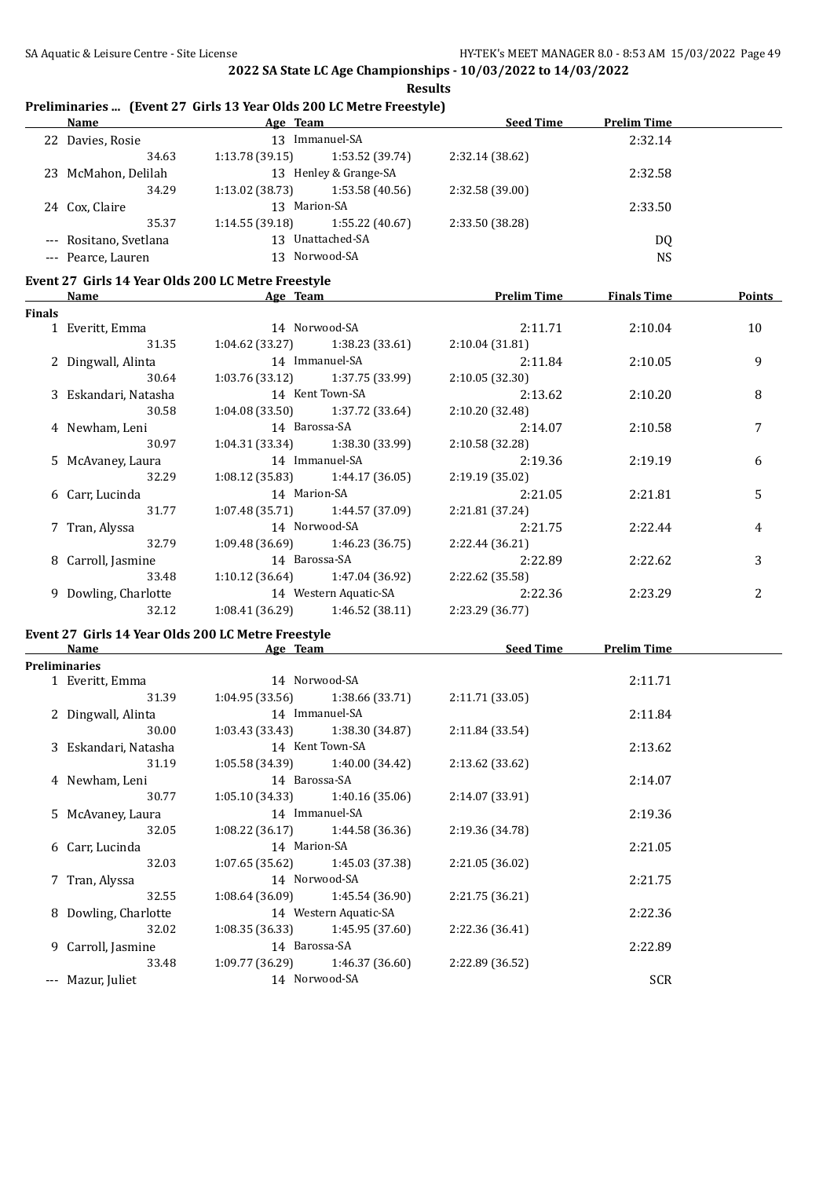#### **Preliminaries ... (Event 27 Girls 13 Year Olds 200 LC Metre Freestyle)**

| <b>Prelim Time</b> |
|--------------------|
| 2:32.14            |
|                    |
| 2:32.58            |
|                    |
| 2:33.50            |
|                    |
| DQ                 |
| <b>NS</b>          |
|                    |

#### **Event 27 Girls 14 Year Olds 200 LC Metre Freestyle**

| Name<br><b>Finals</b> |                      | Age Team              |                                     | <b>Prelim Time</b> | <b>Finals Time</b> | <b>Points</b>  |
|-----------------------|----------------------|-----------------------|-------------------------------------|--------------------|--------------------|----------------|
|                       |                      |                       |                                     |                    |                    |                |
|                       | 1 Everitt, Emma      |                       | 14 Norwood-SA                       | 2:11.71            | 2:10.04            | 10             |
|                       | 31.35                |                       | $1:04.62$ (33.27) $1:38.23$ (33.61) | 2:10.04(31.81)     |                    |                |
|                       | 2 Dingwall, Alinta   |                       | 14 Immanuel-SA                      | 2:11.84            | 2:10.05            | 9              |
|                       | 30.64                |                       | $1:03.76(33.12)$ $1:37.75(33.99)$   | 2:10.05(32.30)     |                    |                |
|                       | 3 Eskandari, Natasha |                       | 14 Kent Town-SA                     | 2:13.62            | 2:10.20            | 8              |
|                       | 30.58                |                       | $1:04.08(33.50)$ $1:37.72(33.64)$   | 2:10.20 (32.48)    |                    |                |
|                       | 4 Newham, Leni       | 14 Barossa-SA         |                                     | 2:14.07            | 2:10.58            |                |
|                       | 30.97                |                       | $1:04.31(33.34)$ $1:38.30(33.99)$   | 2:10.58(32.28)     |                    |                |
|                       | 5 McAvaney, Laura    | 14 Immanuel-SA        |                                     | 2:19.36            | 2:19.19            | 6              |
|                       | 32.29                |                       | $1:08.12(35.83)$ $1:44.17(36.05)$   | 2:19.19(35.02)     |                    |                |
|                       | 6 Carr, Lucinda      |                       | 14 Marion-SA                        |                    | 2:21.81            | 5              |
|                       | 31.77                |                       | $1:07.48(35.71)$ $1:44.57(37.09)$   | 2:21.81(37.24)     |                    |                |
|                       | 7 Tran, Alyssa       |                       | 14 Norwood-SA                       | 2:21.75            | 2:22.44            | 4              |
|                       | 32.79                |                       | $1:09.48(36.69)$ $1:46.23(36.75)$   | 2:22.44 (36.21)    |                    |                |
|                       | 8 Carroll, Jasmine   | 14 Barossa-SA         |                                     | 2:22.89            | 2:22.62            | 3              |
|                       | 33.48                |                       | $1:10.12(36.64)$ $1:47.04(36.92)$   | 2:22.62 (35.58)    |                    |                |
|                       | 9 Dowling, Charlotte | 14 Western Aquatic-SA |                                     | 2:22.36            | 2:23.29            | $\overline{c}$ |
|                       | 32.12                | 1:08.41 (36.29)       | 1:46.52 (38.11)                     | 2:23.29 (36.77)    |                    |                |
|                       |                      |                       |                                     |                    |                    |                |

# **Event 27 Girls 14 Year Olds 200 LC Metre Freestyle**

| Name |                      | Age Team      |                                   | <b>Seed Time</b> | <b>Prelim Time</b> |  |
|------|----------------------|---------------|-----------------------------------|------------------|--------------------|--|
|      | <b>Preliminaries</b> |               |                                   |                  |                    |  |
|      | 1 Everitt, Emma      |               | 14 Norwood-SA                     |                  | 2:11.71            |  |
|      | 31.39                |               | $1:04.95(33.56)$ $1:38.66(33.71)$ | 2:11.71(33.05)   |                    |  |
|      | 2 Dingwall, Alinta   |               | 14 Immanuel-SA                    |                  | 2:11.84            |  |
|      | 30.00                |               | $1:03.43(33.43)$ $1:38.30(34.87)$ | 2:11.84(33.54)   |                    |  |
|      | 3 Eskandari, Natasha |               | 14 Kent Town-SA                   |                  | 2:13.62            |  |
|      | 31.19                |               | $1:05.58(34.39)$ $1:40.00(34.42)$ | 2:13.62 (33.62)  |                    |  |
|      | 4 Newham, Leni       | 14 Barossa-SA |                                   |                  | 2:14.07            |  |
|      | 30.77                |               | $1:05.10(34.33)$ $1:40.16(35.06)$ | 2:14.07(33.91)   |                    |  |
|      | 5 McAvaney, Laura    |               | 14 Immanuel-SA                    |                  | 2:19.36            |  |
|      | 32.05                |               | $1:08.22(36.17)$ $1:44.58(36.36)$ | 2:19.36 (34.78)  |                    |  |
|      | 6 Carr, Lucinda      | 14 Marion-SA  |                                   |                  | 2:21.05            |  |
|      | 32.03                |               | $1:07.65(35.62)$ $1:45.03(37.38)$ | 2:21.05 (36.02)  |                    |  |
|      | 7 Tran, Alyssa       |               | 14 Norwood-SA                     |                  | 2:21.75            |  |
|      | 32.55                |               | $1:08.64(36.09)$ $1:45.54(36.90)$ | 2:21.75 (36.21)  |                    |  |
|      | 8 Dowling, Charlotte |               | 14 Western Aquatic-SA             |                  | 2:22.36            |  |
|      | 32.02                |               | $1:08.35(36.33)$ $1:45.95(37.60)$ | 2:22.36 (36.41)  |                    |  |
|      | 9 Carroll, Jasmine   | 14 Barossa-SA |                                   |                  | 2:22.89            |  |
|      | 33.48                |               | $1:09.77(36.29)$ $1:46.37(36.60)$ | 2:22.89 (36.52)  |                    |  |
|      | Mazur, Juliet        |               | 14 Norwood-SA                     |                  | <b>SCR</b>         |  |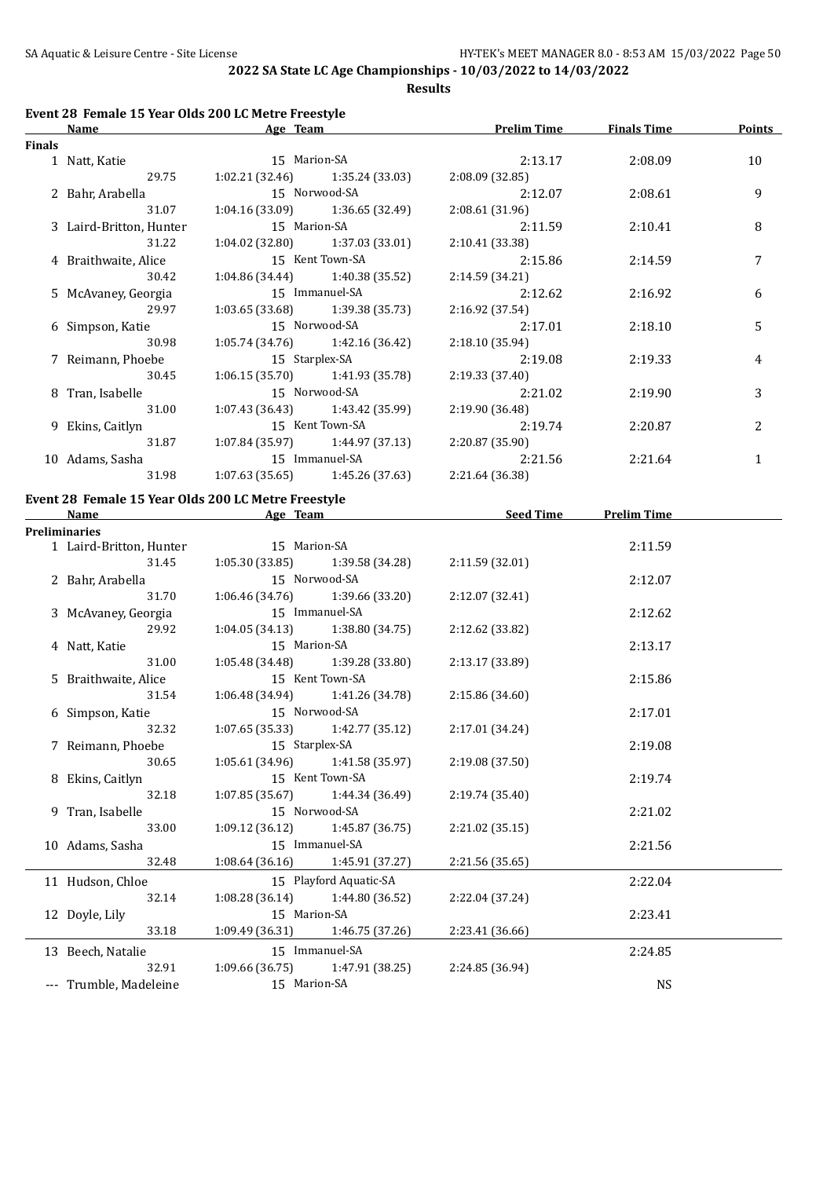**Results**

#### **Event 28 Female 15 Year Olds 200 LC Metre Freestyle**

| Finals<br>1 Natt, Katie |                                                                                                                                                                                                |                                                                                                                                                                                                                                                                                                                                                                                                                                                                       |                                                                        |    |
|-------------------------|------------------------------------------------------------------------------------------------------------------------------------------------------------------------------------------------|-----------------------------------------------------------------------------------------------------------------------------------------------------------------------------------------------------------------------------------------------------------------------------------------------------------------------------------------------------------------------------------------------------------------------------------------------------------------------|------------------------------------------------------------------------|----|
|                         |                                                                                                                                                                                                |                                                                                                                                                                                                                                                                                                                                                                                                                                                                       |                                                                        |    |
|                         | 15 Marion-SA                                                                                                                                                                                   | 2:13.17                                                                                                                                                                                                                                                                                                                                                                                                                                                               | 2:08.09                                                                | 10 |
| 29.75                   |                                                                                                                                                                                                | 2:08.09(32.85)                                                                                                                                                                                                                                                                                                                                                                                                                                                        |                                                                        |    |
|                         |                                                                                                                                                                                                | 2:12.07                                                                                                                                                                                                                                                                                                                                                                                                                                                               | 2:08.61                                                                | 9  |
| 31.07                   |                                                                                                                                                                                                | 2:08.61 (31.96)                                                                                                                                                                                                                                                                                                                                                                                                                                                       |                                                                        |    |
|                         |                                                                                                                                                                                                | 2:11.59                                                                                                                                                                                                                                                                                                                                                                                                                                                               | 2:10.41                                                                | 8  |
| 31.22                   |                                                                                                                                                                                                | 2:10.41(33.38)                                                                                                                                                                                                                                                                                                                                                                                                                                                        |                                                                        |    |
|                         |                                                                                                                                                                                                | 2:15.86                                                                                                                                                                                                                                                                                                                                                                                                                                                               | 2:14.59                                                                | 7  |
| 30.42                   |                                                                                                                                                                                                | 2:14.59 (34.21)                                                                                                                                                                                                                                                                                                                                                                                                                                                       |                                                                        |    |
|                         |                                                                                                                                                                                                | 2:12.62                                                                                                                                                                                                                                                                                                                                                                                                                                                               | 2:16.92                                                                | 6  |
| 29.97                   |                                                                                                                                                                                                | 2:16.92 (37.54)                                                                                                                                                                                                                                                                                                                                                                                                                                                       |                                                                        |    |
|                         |                                                                                                                                                                                                | 2:17.01                                                                                                                                                                                                                                                                                                                                                                                                                                                               | 2:18.10                                                                | 5  |
| 30.98                   |                                                                                                                                                                                                | 2:18.10 (35.94)                                                                                                                                                                                                                                                                                                                                                                                                                                                       |                                                                        |    |
|                         |                                                                                                                                                                                                | 2:19.08                                                                                                                                                                                                                                                                                                                                                                                                                                                               | 2:19.33                                                                | 4  |
| 30.45                   |                                                                                                                                                                                                | 2:19.33 (37.40)                                                                                                                                                                                                                                                                                                                                                                                                                                                       |                                                                        |    |
|                         |                                                                                                                                                                                                | 2:21.02                                                                                                                                                                                                                                                                                                                                                                                                                                                               | 2:19.90                                                                | 3  |
| 31.00                   |                                                                                                                                                                                                | 2:19.90 (36.48)                                                                                                                                                                                                                                                                                                                                                                                                                                                       |                                                                        |    |
|                         |                                                                                                                                                                                                | 2:19.74                                                                                                                                                                                                                                                                                                                                                                                                                                                               | 2:20.87                                                                | 2  |
| 31.87                   |                                                                                                                                                                                                | 2:20.87 (35.90)                                                                                                                                                                                                                                                                                                                                                                                                                                                       |                                                                        |    |
|                         |                                                                                                                                                                                                | 2:21.56                                                                                                                                                                                                                                                                                                                                                                                                                                                               | 2:21.64                                                                |    |
| 31.98                   |                                                                                                                                                                                                | 2:21.64 (36.38)                                                                                                                                                                                                                                                                                                                                                                                                                                                       |                                                                        |    |
|                         | 2 Bahr, Arabella<br>3 Laird-Britton, Hunter<br>4 Braithwaite, Alice<br>5 McAvaney, Georgia<br>6 Simpson, Katie<br>7 Reimann, Phoebe<br>8 Tran, Isabelle<br>9 Ekins, Caitlyn<br>10 Adams, Sasha | $1:02.21(32.46)$ $1:35.24(33.03)$<br>15 Norwood-SA<br>$1:04.16(33.09)$ $1:36.65(32.49)$<br>15 Marion-SA<br>$1:04.02$ (32.80) $1:37.03$ (33.01)<br>15 Kent Town-SA<br>$1:04.86(34.44)$ $1:40.38(35.52)$<br>15 Immanuel-SA<br>$1:03.65(33.68)$ $1:39.38(35.73)$<br>15 Norwood-SA<br>$1:05.74(34.76)$ $1:42.16(36.42)$<br>15 Starplex-SA<br>$1:06.15(35.70)$ $1:41.93(35.78)$<br>15 Norwood-SA<br>$1:07.43(36.43)$ $1:43.42(35.99)$<br>15 Kent Town-SA<br>15 Immanuel-SA | $1:07.84(35.97)$ $1:44.97(37.13)$<br>$1:07.63(35.65)$ $1:45.26(37.63)$ |    |

## **Event 28 Female 15 Year Olds 200 LC Metre Freestyle**

| Name                    | Age Team        |                                   | <b>Seed Time</b> | <b>Prelim Time</b> |  |
|-------------------------|-----------------|-----------------------------------|------------------|--------------------|--|
| <b>Preliminaries</b>    |                 |                                   |                  |                    |  |
| 1 Laird-Britton, Hunter | 15 Marion-SA    |                                   |                  | 2:11.59            |  |
| 31.45                   |                 | $1:05.30(33.85)$ $1:39.58(34.28)$ | 2:11.59 (32.01)  |                    |  |
| 2 Bahr, Arabella        | 15 Norwood-SA   |                                   |                  | 2:12.07            |  |
| 31.70                   |                 | $1:06.46(34.76)$ $1:39.66(33.20)$ | 2:12.07(32.41)   |                    |  |
| 3 McAvaney, Georgia     | 15 Immanuel-SA  |                                   |                  | 2:12.62            |  |
| 29.92                   |                 | $1:04.05(34.13)$ $1:38.80(34.75)$ | 2:12.62 (33.82)  |                    |  |
| 4 Natt, Katie           | 15 Marion-SA    |                                   |                  | 2:13.17            |  |
| 31.00                   |                 | $1:05.48(34.48)$ $1:39.28(33.80)$ | 2:13.17 (33.89)  |                    |  |
| 5 Braithwaite, Alice    | 15 Kent Town-SA |                                   |                  | 2:15.86            |  |
| 31.54                   |                 | $1:06.48(34.94)$ $1:41.26(34.78)$ | 2:15.86 (34.60)  |                    |  |
| 6 Simpson, Katie        |                 | 15 Norwood-SA                     |                  | 2:17.01            |  |
| 32.32                   |                 | $1:07.65(35.33)$ $1:42.77(35.12)$ | 2:17.01 (34.24)  |                    |  |
| 7 Reimann, Phoebe       | 15 Starplex-SA  |                                   |                  | 2:19.08            |  |
| 30.65                   |                 | 1:05.61 (34.96) 1:41.58 (35.97)   | 2:19.08 (37.50)  |                    |  |
| 8 Ekins, Caitlyn        |                 | 15 Kent Town-SA                   |                  | 2:19.74            |  |
| 32.18                   |                 | $1:07.85(35.67)$ $1:44.34(36.49)$ | 2:19.74 (35.40)  |                    |  |
| 9 Tran, Isabelle        | 15 Norwood-SA   |                                   |                  | 2:21.02            |  |
| 33.00                   |                 | $1:09.12(36.12)$ $1:45.87(36.75)$ | 2:21.02 (35.15)  |                    |  |
| 10 Adams, Sasha         | 15 Immanuel-SA  |                                   |                  | 2:21.56            |  |
| 32.48                   |                 | $1:08.64(36.16)$ $1:45.91(37.27)$ | 2:21.56 (35.65)  |                    |  |
| 11 Hudson, Chloe        |                 | 15 Playford Aquatic-SA            |                  | 2:22.04            |  |
| 32.14                   |                 | $1:08.28(36.14)$ $1:44.80(36.52)$ | 2:22.04 (37.24)  |                    |  |
| 12 Doyle, Lily          | 15 Marion-SA    |                                   |                  | 2:23.41            |  |
| 33.18                   |                 | $1:09.49(36.31)$ $1:46.75(37.26)$ | 2:23.41 (36.66)  |                    |  |
| 13 Beech, Natalie       | 15 Immanuel-SA  |                                   |                  | 2:24.85            |  |
| 32.91                   |                 | $1:09.66(36.75)$ $1:47.91(38.25)$ | 2:24.85 (36.94)  |                    |  |
| --- Trumble, Madeleine  | 15 Marion-SA    |                                   |                  | <b>NS</b>          |  |
|                         |                 |                                   |                  |                    |  |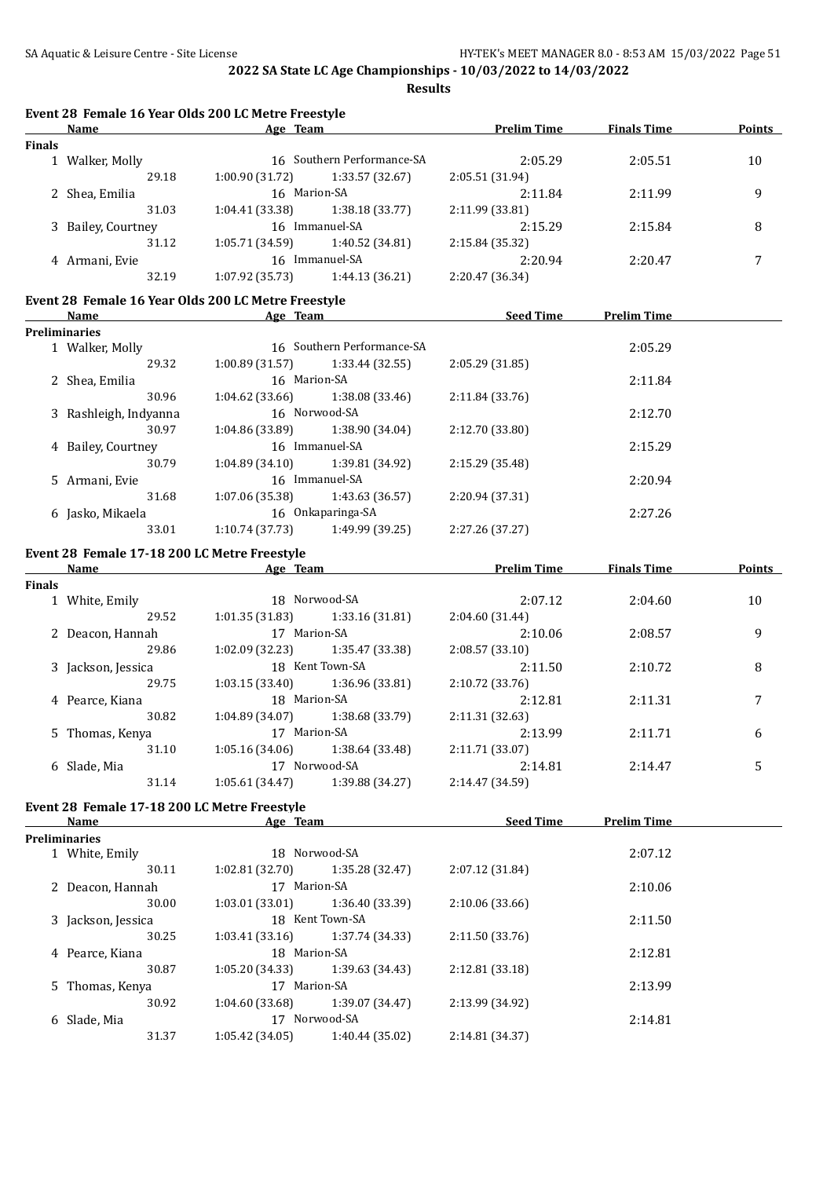**Event 28 Female 16 Year Olds 200 LC Metre Freestyle**

**2022 SA State LC Age Championships - 10/03/2022 to 14/03/2022 Results**

|               | Name                                         | Age Team                                                                   | <b>Prelim Time</b> | <b>Finals Time</b> | <b>Points</b> |
|---------------|----------------------------------------------|----------------------------------------------------------------------------|--------------------|--------------------|---------------|
| <b>Finals</b> |                                              |                                                                            |                    |                    |               |
|               | 1 Walker, Molly                              | 16 Southern Performance-SA                                                 | 2:05.29            | 2:05.51            | 10            |
|               | 29.18                                        | $1:00.90(31.72)$ $1:33.57(32.67)$                                          | 2:05.51 (31.94)    |                    |               |
|               | 2 Shea, Emilia                               | 16 Marion-SA                                                               | 2:11.84            | 2:11.99            | 9             |
|               | 31.03                                        | $1:04.41(33.38)$ $1:38.18(33.77)$                                          | 2:11.99(33.81)     |                    |               |
|               | 3 Bailey, Courtney                           | 16 Immanuel-SA                                                             | 2:15.29            | 2:15.84            | 8             |
|               | 31.12                                        | $1:05.71(34.59)$ $1:40.52(34.81)$                                          | 2:15.84 (35.32)    |                    |               |
|               | 4 Armani, Evie                               | 16 Immanuel-SA                                                             | 2:20.94            | 2:20.47            | 7             |
|               | 32.19                                        | $1:07.92(35.73)$ $1:44.13(36.21)$                                          | 2:20.47 (36.34)    |                    |               |
|               |                                              | Event 28 Female 16 Year Olds 200 LC Metre Freestyle                        |                    |                    |               |
|               |                                              | <b>Name Seed Time Prelim Time Age Team Seed Time Seed Time Prelim Time</b> |                    |                    |               |
|               | <b>Preliminaries</b>                         |                                                                            |                    |                    |               |
|               | 1 Walker, Molly                              | 16 Southern Performance-SA                                                 |                    | 2:05.29            |               |
|               | 29.32                                        | $1:00.89$ $(31.57)$ $1:33.44$ $(32.55)$                                    | 2:05.29(31.85)     |                    |               |
|               | 2 Shea, Emilia                               | 16 Marion-SA                                                               |                    | 2:11.84            |               |
|               | 30.96                                        | $1:04.62$ $(33.66)$ $1:38.08$ $(33.46)$                                    | 2:11.84(33.76)     |                    |               |
|               | 3 Rashleigh, Indyanna                        | 16 Norwood-SA                                                              |                    | 2:12.70            |               |
|               | 30.97                                        | $1:04.86(33.89)$ $1:38.90(34.04)$                                          | 2:12.70 (33.80)    |                    |               |
|               | 4 Bailey, Courtney                           | 16 Immanuel-SA                                                             |                    | 2:15.29            |               |
|               | 30.79                                        | $1:04.89(34.10)$ $1:39.81(34.92)$                                          | 2:15.29 (35.48)    |                    |               |
|               | 5 Armani, Evie                               | 16 Immanuel-SA                                                             |                    | 2:20.94            |               |
|               | 31.68                                        | $1:07.06(35.38)$ $1:43.63(36.57)$                                          | 2:20.94 (37.31)    |                    |               |
|               |                                              | 6 Jasko, Mikaela 16 Onkaparinga-SA                                         |                    | 2:27.26            |               |
|               | 33.01                                        | $1:10.74(37.73)$ $1:49.99(39.25)$                                          | 2:27.26 (37.27)    |                    |               |
|               | Event 28 Female 17-18 200 LC Metre Freestyle |                                                                            |                    |                    |               |
|               |                                              | Name <b>Solution Agement Age Team Prelim Time</b> Finals Time              |                    |                    | <b>Points</b> |
| <b>Finals</b> |                                              |                                                                            |                    |                    |               |
|               | 1 White, Emily                               | 18 Norwood-SA                                                              | 2:07.12            | 2:04.60            | 10            |
|               | 29.52                                        | $1:01.35(31.83)$ $1:33.16(31.81)$                                          | 2:04.60 (31.44)    |                    |               |
|               | 2 Deacon, Hannah                             | 17 Marion-SA                                                               | 2:10.06            | 2:08.57            | 9             |
|               | 29.86                                        | $1:02.09$ (32.23) $1:35.47$ (33.38)                                        | 2:08.57(33.10)     |                    |               |
|               | 3 Jackson, Jessica                           | 18 Kent Town-SA                                                            | 2:11.50            | 2:10.72            | 8             |
|               | 29.75                                        | $1:03.15(33.40)$ $1:36.96(33.81)$                                          | 2:10.72(33.76)     |                    |               |
|               | 4 Pearce, Kiana                              | 18 Marion-SA                                                               | 2:12.81            | 2:11.31            | 7             |
|               | 30.82                                        | $1:04.89(34.07)$ $1:38.68(33.79)$                                          | 2:11.31(32.63)     |                    |               |
|               | 5 Thomas, Kenya                              | 17 Marion-SA                                                               | 2:13.99            | 2:11.71            | 6             |
|               | 31.10                                        | $1:05.16(34.06)$ $1:38.64(33.48)$                                          | 2:11.71 (33.07)    |                    |               |
|               | 6 Slade, Mia                                 | 17 Norwood-SA                                                              | 2:14.81            | 2:14.47            | 5             |
|               | 31.14                                        | 1:05.61 (34.47)<br>1:39.88 (34.27)                                         | 2:14.47 (34.59)    |                    |               |
|               | Event 28 Female 17-18 200 LC Metre Freestyle |                                                                            |                    |                    |               |
|               | Name                                         | Age Team                                                                   | <b>Seed Time</b>   | <b>Prelim Time</b> |               |
|               | Preliminaries                                |                                                                            |                    |                    |               |
|               | 1 White, Emily                               | 18 Norwood-SA                                                              |                    | 2:07.12            |               |
|               | 30.11                                        | 1:02.81 (32.70)<br>1:35.28 (32.47)                                         | 2:07.12 (31.84)    |                    |               |
|               | 2 Deacon, Hannah                             | 17 Marion-SA                                                               |                    | 2:10.06            |               |
|               | 30.00                                        | 1:03.01 (33.01)<br>1:36.40 (33.39)                                         | 2:10.06 (33.66)    |                    |               |
|               | 3 Jackson, Jessica                           | 18 Kent Town-SA                                                            |                    | 2:11.50            |               |
|               | 30.25                                        | 1:03.41(33.16)<br>1:37.74 (34.33)                                          | 2:11.50 (33.76)    |                    |               |
|               | 4 Pearce, Kiana                              | 18 Marion-SA                                                               |                    | 2:12.81            |               |
|               | 30.87                                        | 1:05.20 (34.33)<br>1:39.63 (34.43)                                         | 2:12.81 (33.18)    |                    |               |
|               | 5 Thomas, Kenya                              | 17 Marion-SA                                                               |                    | 2:13.99            |               |
|               | 30.92                                        | 1:04.60 (33.68)<br>1:39.07 (34.47)                                         | 2:13.99 (34.92)    |                    |               |
|               | 6 Slade, Mia                                 | 17 Norwood-SA                                                              |                    | 2:14.81            |               |
|               | 31.37                                        | 1:40.44 (35.02)<br>1:05.42 (34.05)                                         | 2:14.81 (34.37)    |                    |               |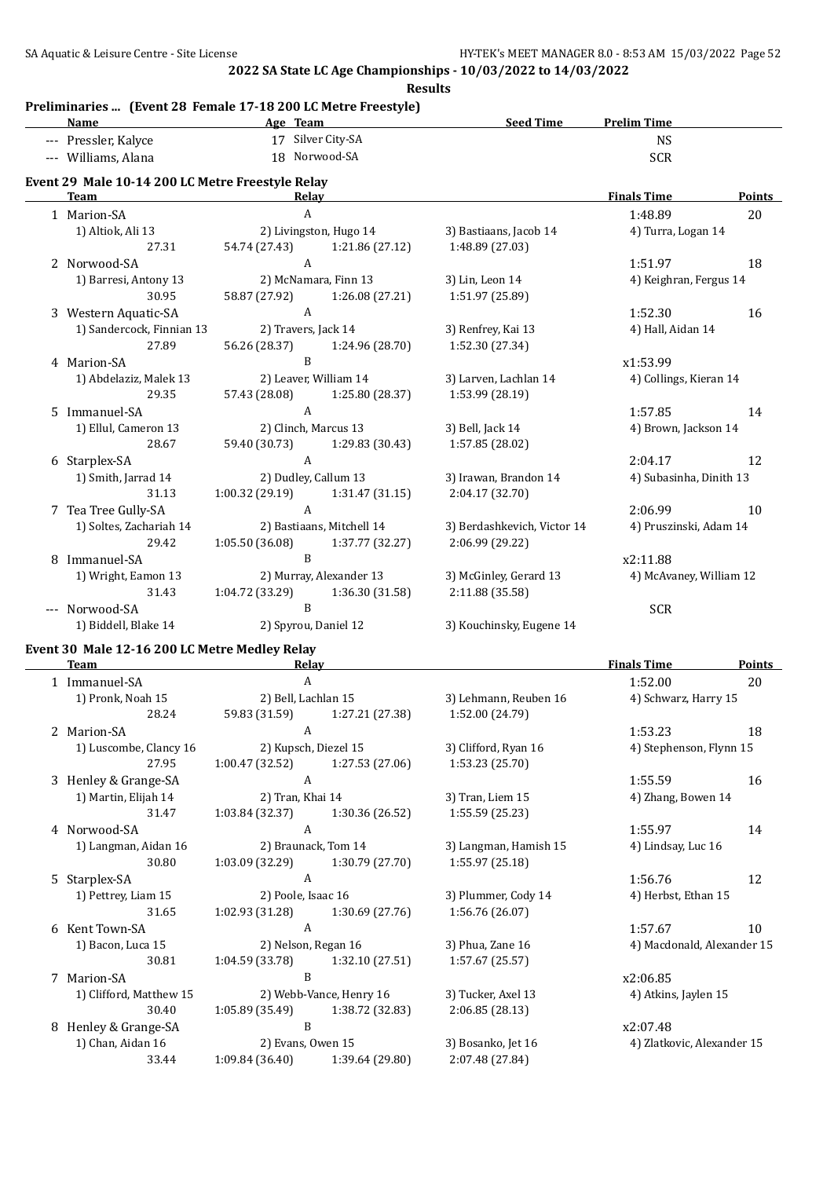**Results**

#### **Preliminaries ... (Event 28 Female 17-18 200 LC Metre Freestyle)**

| <u>Name</u>                                      |                                     | Age Team                  | <b>Seed Time</b>            | <b>Prelim Time</b>      |               |
|--------------------------------------------------|-------------------------------------|---------------------------|-----------------------------|-------------------------|---------------|
| --- Pressler, Kalyce                             | 17 Silver City-SA                   |                           |                             | <b>NS</b>               |               |
| --- Williams, Alana                              | 18 Norwood-SA                       |                           |                             | <b>SCR</b>              |               |
| Event 29 Male 10-14 200 LC Metre Freestyle Relay |                                     |                           |                             |                         |               |
| <b>Team</b>                                      | Relay                               |                           |                             | <b>Finals Time</b>      | <b>Points</b> |
| 1 Marion-SA                                      | A                                   |                           |                             | 1:48.89                 | 20            |
| 1) Altiok, Ali 13                                | 2) Livingston, Hugo 14              |                           | 3) Bastiaans, Jacob 14      | 4) Turra, Logan 14      |               |
| 27.31                                            | 54.74 (27.43)                       | 1:21.86 (27.12)           | 1:48.89 (27.03)             |                         |               |
| 2 Norwood-SA                                     | $\mathbf{A}$                        |                           |                             | 1:51.97                 | 18            |
| 1) Barresi, Antony 13                            | 2) McNamara, Finn 13                |                           | 3) Lin, Leon 14             | 4) Keighran, Fergus 14  |               |
| 30.95                                            | 58.87 (27.92) 1:26.08 (27.21)       |                           | 1:51.97 (25.89)             |                         |               |
| 3 Western Aquatic-SA                             | $\mathbf{A}$                        |                           |                             | 1:52.30                 | 16            |
| 1) Sandercock, Finnian 13                        | 2) Travers, Jack 14                 |                           | 3) Renfrey, Kai 13          | 4) Hall, Aidan 14       |               |
| 27.89                                            | 56.26 (28.37)                       | 1:24.96 (28.70)           | 1:52.30 (27.34)             |                         |               |
| 4 Marion-SA                                      | B                                   |                           |                             | x1:53.99                |               |
| 1) Abdelaziz, Malek 13                           | 2) Leaver, William 14               |                           | 3) Larven, Lachlan 14       | 4) Collings, Kieran 14  |               |
| 29.35                                            | 57.43 (28.08)                       | 1:25.80 (28.37)           | 1:53.99 (28.19)             |                         |               |
| 5 Immanuel-SA                                    | $\mathbf{A}$                        |                           |                             | 1:57.85                 | 14            |
| 1) Ellul, Cameron 13                             | 2) Clinch, Marcus 13                |                           | 3) Bell, Jack 14            | 4) Brown, Jackson 14    |               |
| 28.67                                            | 59.40 (30.73)                       | 1:29.83 (30.43)           | 1:57.85 (28.02)             |                         |               |
| 6 Starplex-SA                                    | A                                   |                           |                             | 2:04.17                 | 12            |
| 1) Smith, Jarrad 14                              | 2) Dudley, Callum 13                |                           | 3) Irawan, Brandon 14       | 4) Subasinha, Dinith 13 |               |
| 31.13                                            | 1:00.32(29.19)                      | 1:31.47(31.15)            | 2:04.17 (32.70)             |                         |               |
| 7 Tea Tree Gully-SA                              | $\mathbf{A}$                        |                           |                             | 2:06.99                 | 10            |
| 1) Soltes, Zachariah 14                          |                                     | 2) Bastiaans, Mitchell 14 | 3) Berdashkevich, Victor 14 | 4) Pruszinski, Adam 14  |               |
| 29.42                                            | $1:05.50(36.08)$ $1:37.77(32.27)$   |                           | 2:06.99 (29.22)             |                         |               |
| 8 Immanuel-SA                                    | $\overline{B}$                      |                           |                             | x2:11.88                |               |
| 1) Wright, Eamon 13                              |                                     | 2) Murray, Alexander 13   | 3) McGinley, Gerard 13      | 4) McAvaney, William 12 |               |
| 31.43                                            | $1:04.72$ (33.29) $1:36.30$ (31.58) |                           | 2:11.88 (35.58)             |                         |               |
| --- Norwood-SA                                   | B                                   |                           |                             | <b>SCR</b>              |               |
| 1) Biddell, Blake 14                             | 2) Spyrou, Daniel 12                |                           | 3) Kouchinsky, Eugene 14    |                         |               |
| Event 30 Male 12-16 200 LC Metre Medley Relay    |                                     |                           |                             |                         |               |
| <b>Team</b>                                      | Relay                               |                           |                             | <b>Finals Time</b>      | <b>Points</b> |
| 1 Immanuel-SA                                    | A                                   |                           |                             | 1:52.00                 | 20            |

|   | 1 Immanuel-SA           | A                    |                                   |                       | 1:52.00                    | 20 |
|---|-------------------------|----------------------|-----------------------------------|-----------------------|----------------------------|----|
|   | 1) Pronk, Noah 15       | 2) Bell, Lachlan 15  |                                   | 3) Lehmann, Reuben 16 | 4) Schwarz, Harry 15       |    |
|   | 28.24                   | 59.83 (31.59)        | 1:27.21 (27.38)                   | 1:52.00 (24.79)       |                            |    |
|   | 2 Marion-SA             | A                    |                                   |                       | 1:53.23                    | 18 |
|   | 1) Luscombe, Clancy 16  | 2) Kupsch, Diezel 15 |                                   | 3) Clifford, Ryan 16  | 4) Stephenson, Flynn 15    |    |
|   | 27.95                   | 1:00.47(32.52)       | 1:27.53(27.06)                    | 1:53.23 (25.70)       |                            |    |
|   | 3 Henley & Grange-SA    | A                    |                                   |                       | 1:55.59                    | 16 |
|   | 1) Martin, Elijah 14    | 2) Tran, Khai 14     |                                   | 3) Tran, Liem 15      | 4) Zhang, Bowen 14         |    |
|   | 31.47                   | 1:03.84 (32.37)      | 1:30.36 (26.52)                   | 1:55.59(25.23)        |                            |    |
|   | 4 Norwood-SA            | $\overline{A}$       |                                   |                       | 1:55.97                    | 14 |
|   | 1) Langman, Aidan 16    |                      | 2) Braunack, Tom 14               | 3) Langman, Hamish 15 | 4) Lindsay, Luc 16         |    |
|   | 30.80                   | 1:03.09 (32.29)      | 1:30.79 (27.70)                   | 1:55.97 (25.18)       |                            |    |
|   | 5 Starplex-SA           | A                    |                                   |                       | 1:56.76                    | 12 |
|   | 1) Pettrey, Liam 15     | 2) Poole, Isaac 16   |                                   | 3) Plummer, Cody 14   | 4) Herbst, Ethan 15        |    |
|   | 31.65                   | 1:02.93 (31.28)      | 1:30.69(27.76)                    | 1:56.76 (26.07)       |                            |    |
| 6 | Kent Town-SA            | A                    |                                   |                       | 1:57.67                    | 10 |
|   | 1) Bacon, Luca 15       | 2) Nelson, Regan 16  |                                   | 3) Phua, Zane 16      | 4) Macdonald, Alexander 15 |    |
|   | 30.81                   | 1:04.59 (33.78)      | 1:32.10 (27.51)                   | 1:57.67(25.57)        |                            |    |
| 7 | Marion-SA               | B                    |                                   |                       | x2:06.85                   |    |
|   | 1) Clifford, Matthew 15 |                      | 2) Webb-Vance, Henry 16           | 3) Tucker, Axel 13    | 4) Atkins, Jaylen 15       |    |
|   | 30.40                   |                      | $1:05.89(35.49)$ $1:38.72(32.83)$ | 2:06.85 (28.13)       |                            |    |
| 8 | Henley & Grange-SA      | B                    |                                   |                       | x2:07.48                   |    |
|   | 1) Chan, Aidan 16       | 2) Evans, Owen 15    |                                   | 3) Bosanko, Jet 16    | 4) Zlatkovic, Alexander 15 |    |
|   | 33.44                   | 1:09.84 (36.40)      | 1:39.64 (29.80)                   | 2:07.48 (27.84)       |                            |    |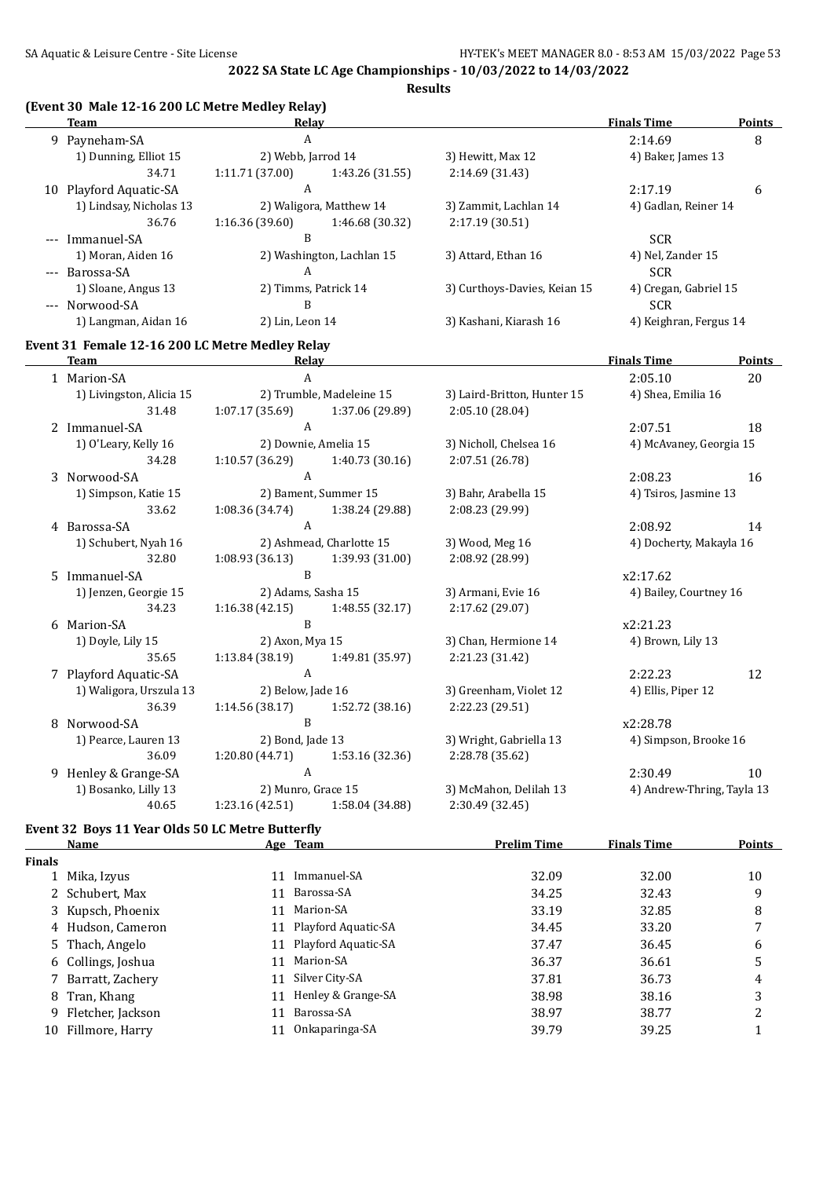**Results**

## **(Event 30 Male 12-16 200 LC Metre Medley Relay)**

|                           | Relay          |                 |                                                                                                                       | <b>Finals Time</b> | <b>Points</b>                                                           |
|---------------------------|----------------|-----------------|-----------------------------------------------------------------------------------------------------------------------|--------------------|-------------------------------------------------------------------------|
| 9 Payneham-SA             | A              |                 |                                                                                                                       | 2:14.69            | 8                                                                       |
| 1) Dunning, Elliot 15     |                |                 | 3) Hewitt, Max 12                                                                                                     | 4) Baker, James 13 |                                                                         |
| 34.71                     | 1:11.71(37.00) | 1:43.26 (31.55) | 2:14.69 (31.43)                                                                                                       |                    |                                                                         |
| Playford Aquatic-SA<br>10 | A              |                 |                                                                                                                       | 2:17.19            | 6                                                                       |
| 1) Lindsay, Nicholas 13   |                |                 | 3) Zammit, Lachlan 14                                                                                                 |                    |                                                                         |
| 36.76                     | 1:16.36(39.60) | 1:46.68 (30.32) | 2:17.19(30.51)                                                                                                        |                    |                                                                         |
| --- Immanuel-SA           | B              |                 |                                                                                                                       | <b>SCR</b>         |                                                                         |
| 1) Moran, Aiden 16        |                |                 | 3) Attard, Ethan 16                                                                                                   | 4) Nel, Zander 15  |                                                                         |
| --- Barossa-SA            | A              |                 |                                                                                                                       | <b>SCR</b>         |                                                                         |
| 1) Sloane, Angus 13       |                |                 | 3) Curthoys-Davies, Keian 15                                                                                          |                    |                                                                         |
| --- Norwood-SA            | B              |                 |                                                                                                                       | <b>SCR</b>         |                                                                         |
| 1) Langman, Aidan 16      |                |                 | 3) Kashani, Kiarash 16                                                                                                |                    |                                                                         |
|                           |                |                 | 2) Webb, Jarrod 14<br>2) Waligora, Matthew 14<br>2) Washington, Lachlan 15<br>2) Timms, Patrick 14<br>2) Lin, Leon 14 |                    | 4) Gadlan, Reiner 14<br>4) Cregan, Gabriel 15<br>4) Keighran, Fergus 14 |

#### **Event 31 Female 12-16 200 LC Metre Medley Relay**

|   | <b>Team</b>              | Relay                |                          |                             | <b>Finals Time</b>         | <b>Points</b> |
|---|--------------------------|----------------------|--------------------------|-----------------------------|----------------------------|---------------|
|   | 1 Marion-SA              | A                    |                          |                             | 2:05.10                    | 20            |
|   | 1) Livingston, Alicia 15 |                      | 2) Trumble, Madeleine 15 | 3) Laird-Britton, Hunter 15 | 4) Shea, Emilia 16         |               |
|   | 31.48                    | 1:07.17(35.69)       | 1:37.06 (29.89)          | 2:05.10 (28.04)             |                            |               |
|   | 2 Immanuel-SA            | $\mathsf{A}$         |                          |                             | 2:07.51                    | 18            |
|   | 1) O'Leary, Kelly 16     | 2) Downie, Amelia 15 |                          | 3) Nicholl, Chelsea 16      | 4) McAvaney, Georgia 15    |               |
|   | 34.28                    | 1:10.57 (36.29)      | 1:40.73 (30.16)          | 2:07.51 (26.78)             |                            |               |
|   | 3 Norwood-SA             | A                    |                          |                             | 2:08.23                    | 16            |
|   | 1) Simpson, Katie 15     |                      | 2) Bament, Summer 15     | 3) Bahr, Arabella 15        | 4) Tsiros, Jasmine 13      |               |
|   | 33.62                    | 1:08.36(34.74)       | 1:38.24 (29.88)          | 2:08.23 (29.99)             |                            |               |
|   | 4 Barossa-SA             | A                    |                          |                             | 2:08.92                    | 14            |
|   | 1) Schubert, Nyah 16     |                      | 2) Ashmead, Charlotte 15 | 3) Wood, Meg 16             | 4) Docherty, Makayla 16    |               |
|   | 32.80                    | 1:08.93(36.13)       | 1:39.93 (31.00)          | 2:08.92 (28.99)             |                            |               |
|   | 5 Immanuel-SA            | B                    |                          |                             | x2:17.62                   |               |
|   | 1) Jenzen, Georgie 15    | 2) Adams, Sasha 15   |                          | 3) Armani, Evie 16          | 4) Bailey, Courtney 16     |               |
|   | 34.23                    | 1:16.38(42.15)       | 1:48.55(32.17)           | 2:17.62 (29.07)             |                            |               |
|   | 6 Marion-SA              | B                    |                          |                             | x2:21.23                   |               |
|   | 1) Doyle, Lily 15        | 2) Axon, Mya 15      |                          | 3) Chan, Hermione 14        | 4) Brown, Lily 13          |               |
|   | 35.65                    | 1:13.84(38.19)       | 1:49.81 (35.97)          | 2:21.23 (31.42)             |                            |               |
|   | 7 Playford Aquatic-SA    | A                    |                          |                             | 2:22.23                    | 12            |
|   | 1) Waligora, Urszula 13  | 2) Below, Jade 16    |                          | 3) Greenham, Violet 12      | 4) Ellis, Piper 12         |               |
|   | 36.39                    | 1:14.56(38.17)       | 1:52.72 (38.16)          | 2:22.23 (29.51)             |                            |               |
| 8 | Norwood-SA               | B                    |                          |                             | x2:28.78                   |               |
|   | 1) Pearce, Lauren 13     | 2) Bond, Jade 13     |                          | 3) Wright, Gabriella 13     | 4) Simpson, Brooke 16      |               |
|   | 36.09                    | 1:20.80(44.71)       | 1:53.16 (32.36)          | 2:28.78 (35.62)             |                            |               |
| 9 | Henley & Grange-SA       | $\mathbf{A}$         |                          |                             | 2:30.49                    | 10            |
|   | 1) Bosanko, Lilly 13     | 2) Munro, Grace 15   |                          | 3) McMahon, Delilah 13      | 4) Andrew-Thring, Tayla 13 |               |
|   | 40.65                    | 1:23.16 (42.51)      | 1:58.04 (34.88)          | 2:30.49 (32.45)             |                            |               |

## **Event 32 Boys 11 Year Olds 50 LC Metre Butterfly**

|               | Name                |    | Age Team               | <b>Prelim Time</b> | <b>Finals Time</b> | Points |
|---------------|---------------------|----|------------------------|--------------------|--------------------|--------|
| <b>Finals</b> |                     |    |                        |                    |                    |        |
|               | 1 Mika, Izyus       | 11 | Immanuel-SA            | 32.09              | 32.00              | 10     |
|               | 2 Schubert, Max     | 11 | Barossa-SA             | 34.25              | 32.43              | 9      |
|               | 3 Kupsch, Phoenix   | 11 | Marion-SA              | 33.19              | 32.85              | 8      |
|               | 4 Hudson, Cameron   |    | 11 Playford Aquatic-SA | 34.45              | 33.20              |        |
|               | 5 Thach, Angelo     |    | 11 Playford Aquatic-SA | 37.47              | 36.45              | 6      |
|               | 6 Collings, Joshua  | 11 | Marion-SA              | 36.37              | 36.61              | 5      |
|               | 7 Barratt, Zachery  | 11 | Silver City-SA         | 37.81              | 36.73              | 4      |
|               | 8 Tran, Khang       | 11 | Henley & Grange-SA     | 38.98              | 38.16              | 3      |
|               | 9 Fletcher, Jackson | 11 | Barossa-SA             | 38.97              | 38.77              | っ      |
|               | 10 Fillmore, Harry  |    | Onkaparinga-SA         | 39.79              | 39.25              |        |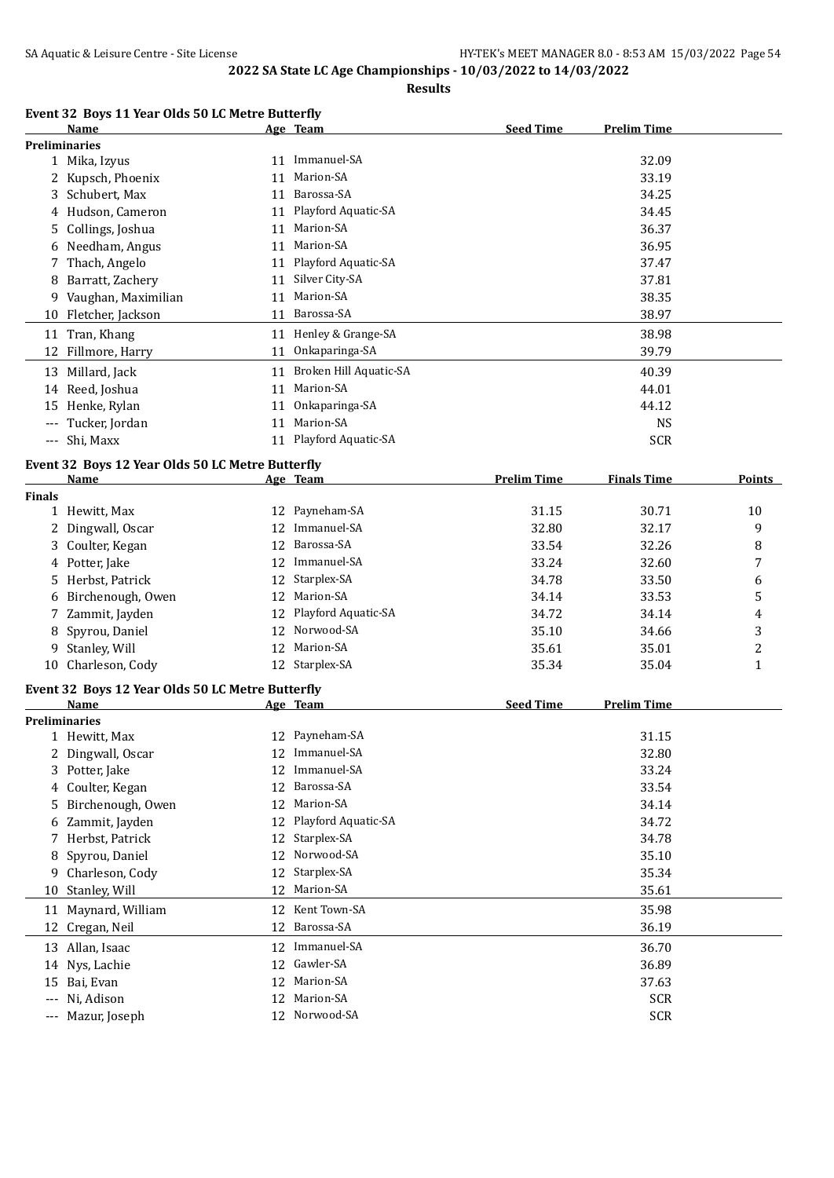**Name Age Team Seed Time Prelim Time**

**2022 SA State LC Age Championships - 10/03/2022 to 14/03/2022**

**Results**

| Name                 | Age Team        | <b>Seed Time</b> | <b>Prelim Time</b> |
|----------------------|-----------------|------------------|--------------------|
| <b>Preliminaries</b> |                 |                  |                    |
| 1 Mika, Izyus        | 11 Immanuel-SA  |                  | 32.09              |
| 2 Kupsch, Phoenix    | Marion-SA<br>11 |                  | 33.19              |

**Event 32 Boys 11 Year Olds 50 LC Metre Butterfly**

|               | 2 Kupsch, Phoenix                                |    | 11 Marion-SA              |                    | 33.19              |                |
|---------------|--------------------------------------------------|----|---------------------------|--------------------|--------------------|----------------|
|               | 3 Schubert, Max                                  |    | 11 Barossa-SA             |                    | 34.25              |                |
|               | 4 Hudson, Cameron                                |    | 11 Playford Aquatic-SA    |                    | 34.45              |                |
|               | 5 Collings, Joshua                               |    | 11 Marion-SA              |                    | 36.37              |                |
|               | 6 Needham, Angus                                 |    | 11 Marion-SA              |                    | 36.95              |                |
|               | 7 Thach, Angelo                                  |    | 11 Playford Aquatic-SA    |                    | 37.47              |                |
|               | 8 Barratt, Zachery                               |    | 11 Silver City-SA         |                    | 37.81              |                |
|               | 9 Vaughan, Maximilian                            |    | 11 Marion-SA              |                    | 38.35              |                |
|               | 10 Fletcher, Jackson                             |    | 11 Barossa-SA             |                    | 38.97              |                |
|               | 11 Tran, Khang                                   |    | 11 Henley & Grange-SA     |                    | 38.98              |                |
|               | 12 Fillmore, Harry                               |    | 11 Onkaparinga-SA         |                    | 39.79              |                |
|               | 13 Millard, Jack                                 |    | 11 Broken Hill Aquatic-SA |                    | 40.39              |                |
|               | 14 Reed, Joshua                                  |    | 11 Marion-SA              |                    | 44.01              |                |
|               | 15 Henke, Rylan                                  |    | 11 Onkaparinga-SA         |                    | 44.12              |                |
|               | --- Tucker, Jordan                               |    | 11 Marion-SA              |                    | <b>NS</b>          |                |
|               | --- Shi, Maxx                                    |    | 11 Playford Aquatic-SA    |                    | <b>SCR</b>         |                |
|               | Event 32 Boys 12 Year Olds 50 LC Metre Butterfly |    |                           |                    |                    |                |
|               | Name                                             |    | Age Team                  | <b>Prelim Time</b> | <b>Finals Time</b> | Points         |
| <b>Finals</b> |                                                  |    |                           |                    |                    |                |
|               | 1 Hewitt, Max                                    |    | 12 Payneham-SA            | 31.15              | 30.71              | 10             |
|               | 2 Dingwall, Oscar                                |    | 12 Immanuel-SA            | 32.80              | 32.17              | 9              |
|               | 3 Coulter, Kegan                                 |    | 12 Barossa-SA             | 33.54              | 32.26              | 8              |
|               | 4 Potter, Jake                                   |    | 12 Immanuel-SA            | 33.24              | 32.60              | 7              |
|               | 5 Herbst, Patrick                                |    | 12 Starplex-SA            | 34.78              | 33.50              | 6              |
|               | 6 Birchenough, Owen                              |    | 12 Marion-SA              | 34.14              | 33.53              | 5              |
|               | 7 Zammit, Jayden                                 |    | 12 Playford Aquatic-SA    | 34.72              | 34.14              | 4              |
|               | 8 Spyrou, Daniel                                 |    | 12 Norwood-SA             | 35.10              | 34.66              | 3              |
| 9.            | Stanley, Will                                    |    | 12 Marion-SA              | 35.61              | 35.01              | $\overline{c}$ |
|               | 10 Charleson, Cody                               |    | 12 Starplex-SA            | 35.34              | 35.04              | $\mathbf{1}$   |
|               | Event 32 Boys 12 Year Olds 50 LC Metre Butterfly |    |                           |                    |                    |                |
|               | Name                                             |    | Age Team                  | <b>Seed Time</b>   | <b>Prelim Time</b> |                |
|               | <b>Preliminaries</b>                             |    |                           |                    |                    |                |
|               | 1 Hewitt, Max                                    |    | 12 Payneham-SA            |                    | 31.15              |                |
|               | 2 Dingwall, Oscar                                | 12 | Immanuel-SA               |                    | 32.80              |                |
|               | 3 Potter, Jake                                   | 12 | Immanuel-SA               |                    | 33.24              |                |
|               | 4 Coulter, Kegan                                 |    | 12 Barossa-SA             |                    | 33.54              |                |
|               | 5 Birchenough, Owen                              | 12 | Marion-SA                 |                    | 34.14              |                |
|               | 6 Zammit, Jayden                                 | 12 | Playford Aquatic-SA       |                    | 34.72              |                |
|               | 7 Herbst, Patrick                                | 12 | Starplex-SA               |                    | 34.78              |                |
| 8             | Spyrou, Daniel                                   | 12 | Norwood-SA                |                    | 35.10              |                |
| 9.            | Charleson, Cody                                  | 12 | Starplex-SA               |                    | 35.34              |                |
|               | 10 Stanley, Will                                 | 12 | Marion-SA                 |                    | 35.61              |                |
|               | 11 Maynard, William                              |    | 12 Kent Town-SA           |                    | 35.98              |                |

12 Cregan, Neil 12 Barossa-SA 36.19 13 Allan, Isaac 12 Immanuel-SA 36.70<br>14 Nys, Lachie 12 Gawler-SA 36.89 Nys, Lachie 12 Gawler-SA 36.89 Bai, Evan 12 Marion-SA 37.63 --- Ni, Adison 32 Marion-SA 3CR --- Mazur, Joseph 12 Norwood-SA SCR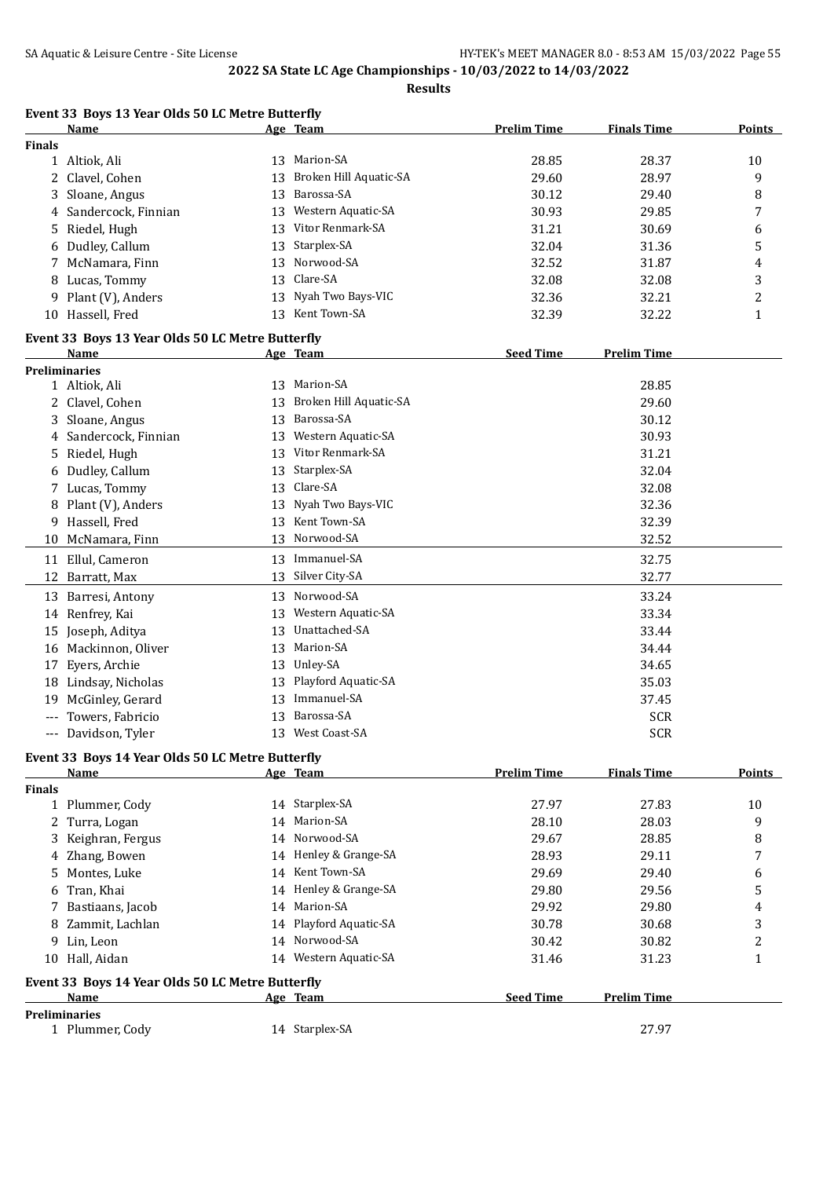**Results**

|               | Event 33 Boys 13 Year Olds 50 LC Metre Butterfly<br>Name        |    | Age Team               | <b>Prelim Time</b> | <b>Finals Time</b> | Points         |
|---------------|-----------------------------------------------------------------|----|------------------------|--------------------|--------------------|----------------|
| <b>Finals</b> |                                                                 |    |                        |                    |                    |                |
|               | 1 Altiok, Ali                                                   | 13 | Marion-SA              | 28.85              | 28.37              | 10             |
| 2             | Clavel, Cohen                                                   | 13 | Broken Hill Aquatic-SA | 29.60              | 28.97              | 9              |
|               | Sloane, Angus                                                   | 13 | Barossa-SA             | 30.12              | 29.40              | 8              |
| 4             | Sandercock, Finnian                                             | 13 | Western Aquatic-SA     | 30.93              | 29.85              | 7              |
|               | 5 Riedel, Hugh                                                  | 13 | Vitor Renmark-SA       | 31.21              | 30.69              | 6              |
|               | 6 Dudley, Callum                                                | 13 | Starplex-SA            | 32.04              | 31.36              | 5              |
|               | 7 McNamara, Finn                                                | 13 | Norwood-SA             | 32.52              | 31.87              | 4              |
|               | 8 Lucas, Tommy                                                  | 13 | Clare-SA               | 32.08              | 32.08              | 3              |
|               | 9 Plant (V), Anders                                             | 13 | Nyah Two Bays-VIC      | 32.36              | 32.21              | $\overline{c}$ |
|               | 10 Hassell, Fred                                                |    | 13 Kent Town-SA        | 32.39              | 32.22              | $\mathbf{1}$   |
|               |                                                                 |    |                        |                    |                    |                |
|               | Event 33 Boys 13 Year Olds 50 LC Metre Butterfly                |    |                        | <b>Seed Time</b>   | <b>Prelim Time</b> |                |
|               | Name<br><b>Preliminaries</b>                                    |    | Age Team               |                    |                    |                |
|               | 1 Altiok, Ali                                                   |    | 13 Marion-SA           |                    | 28.85              |                |
| 2             | Clavel, Cohen                                                   | 13 | Broken Hill Aquatic-SA |                    | 29.60              |                |
|               |                                                                 | 13 | Barossa-SA             |                    |                    |                |
| 3             | Sloane, Angus                                                   |    | Western Aquatic-SA     |                    | 30.12<br>30.93     |                |
| 4             | Sandercock, Finnian                                             | 13 | Vitor Renmark-SA       |                    |                    |                |
| 5             | Riedel, Hugh                                                    | 13 |                        |                    | 31.21              |                |
| 6             | Dudley, Callum                                                  | 13 | Starplex-SA            |                    | 32.04              |                |
|               | 7 Lucas, Tommy                                                  | 13 | Clare-SA               |                    | 32.08              |                |
|               | 8 Plant (V), Anders                                             | 13 | Nyah Two Bays-VIC      |                    | 32.36              |                |
|               | 9 Hassell, Fred                                                 |    | 13 Kent Town-SA        |                    | 32.39              |                |
|               | 10 McNamara, Finn                                               |    | 13 Norwood-SA          |                    | 32.52              |                |
|               | 11 Ellul, Cameron                                               |    | 13 Immanuel-SA         |                    | 32.75              |                |
|               | 12 Barratt, Max                                                 | 13 | Silver City-SA         |                    | 32.77              |                |
|               | 13 Barresi, Antony                                              | 13 | Norwood-SA             |                    | 33.24              |                |
|               | 14 Renfrey, Kai                                                 | 13 | Western Aquatic-SA     |                    | 33.34              |                |
|               | 15 Joseph, Aditya                                               | 13 | Unattached-SA          |                    | 33.44              |                |
|               | 16 Mackinnon, Oliver                                            | 13 | Marion-SA              |                    | 34.44              |                |
| 17            | Eyers, Archie                                                   |    | 13 Unley-SA            |                    | 34.65              |                |
|               | 18 Lindsay, Nicholas                                            | 13 | Playford Aquatic-SA    |                    | 35.03              |                |
|               | 19 McGinley, Gerard                                             | 13 | Immanuel-SA            |                    | 37.45              |                |
|               | Towers, Fabricio                                                |    | 13 Barossa-SA          |                    | <b>SCR</b>         |                |
|               | --- Davidson, Tyler                                             |    | 13 West Coast-SA       |                    | <b>SCR</b>         |                |
|               |                                                                 |    |                        |                    |                    |                |
|               | Event 33 Boys 14 Year Olds 50 LC Metre Butterfly<br><b>Name</b> |    | Age Team               | <b>Prelim Time</b> | <b>Finals Time</b> | <b>Points</b>  |
| <b>Finals</b> |                                                                 |    |                        |                    |                    |                |
|               | 1 Plummer, Cody                                                 |    | 14 Starplex-SA         | 27.97              | 27.83              | 10             |
|               | 2 Turra, Logan                                                  | 14 | Marion-SA              | 28.10              | 28.03              | 9              |
| 3             | Keighran, Fergus                                                | 14 | Norwood-SA             | 29.67              | 28.85              | 8              |
|               | 4 Zhang, Bowen                                                  |    | 14 Henley & Grange-SA  | 28.93              | 29.11              | 7              |
|               | Montes, Luke                                                    |    | 14 Kent Town-SA        |                    | 29.40              |                |
| 5             |                                                                 |    | Henley & Grange-SA     | 29.69              |                    | 6              |
| 6             | Tran, Khai                                                      | 14 | 14 Marion-SA           | 29.80              | 29.56              | 5              |
| 7             | Bastiaans, Jacob                                                |    |                        | 29.92              | 29.80              | 4              |
| 8             | Zammit, Lachlan                                                 | 14 | Playford Aquatic-SA    | 30.78              | 30.68              | 3              |
|               | 9 Lin, Leon                                                     | 14 | Norwood-SA             | 30.42              | 30.82              | $\overline{c}$ |
|               | 10 Hall, Aidan                                                  |    | 14 Western Aquatic-SA  | 31.46              | 31.23              | $\mathbf{1}$   |
|               | Event 33 Boys 14 Year Olds 50 LC Metre Butterfly                |    |                        |                    |                    |                |
|               | Name                                                            |    | Age Team               | <b>Seed Time</b>   | <b>Prelim Time</b> |                |
|               | <b>Preliminaries</b>                                            |    |                        |                    |                    |                |
|               | 1 Plummer, Cody                                                 |    | 14 Starplex-SA         |                    | 27.97              |                |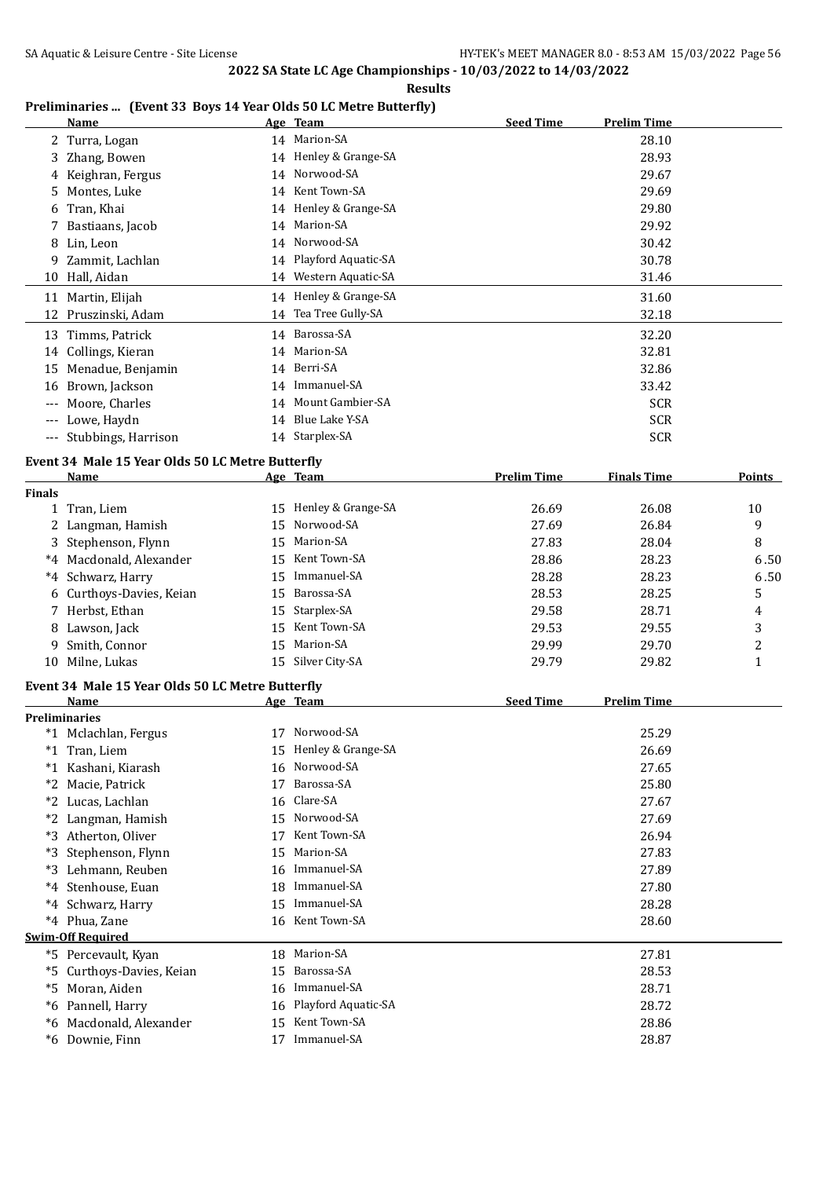**Results**

| Preliminaries  (Event 33 Boys 14 Year Olds 50 LC Metre Butterfly) |  |  |  |
|-------------------------------------------------------------------|--|--|--|

|               | <u>Name</u>                                      |    | Age Team              | <b>Seed Time</b>   | <b>Prelim Time</b> |              |
|---------------|--------------------------------------------------|----|-----------------------|--------------------|--------------------|--------------|
|               | 2 Turra, Logan                                   |    | 14 Marion-SA          |                    | 28.10              |              |
|               | 3 Zhang, Bowen                                   |    | 14 Henley & Grange-SA |                    | 28.93              |              |
|               | 4 Keighran, Fergus                               |    | 14 Norwood-SA         |                    | 29.67              |              |
| 5             | Montes, Luke                                     |    | 14 Kent Town-SA       |                    | 29.69              |              |
| 6             | Tran, Khai                                       |    | 14 Henley & Grange-SA |                    | 29.80              |              |
| 7             | Bastiaans, Jacob                                 |    | 14 Marion-SA          |                    | 29.92              |              |
| 8             | Lin, Leon                                        |    | 14 Norwood-SA         |                    | 30.42              |              |
| 9             | Zammit, Lachlan                                  | 14 | Playford Aquatic-SA   |                    | 30.78              |              |
|               | 10 Hall, Aidan                                   |    | 14 Western Aquatic-SA |                    | 31.46              |              |
| 11            | Martin, Elijah                                   |    | 14 Henley & Grange-SA |                    | 31.60              |              |
|               | 12 Pruszinski, Adam                              |    | 14 Tea Tree Gully-SA  |                    | 32.18              |              |
|               | 13 Timms, Patrick                                |    | 14 Barossa-SA         |                    | 32.20              |              |
|               | 14 Collings, Kieran                              |    | 14 Marion-SA          |                    | 32.81              |              |
|               | 15 Menadue, Benjamin                             |    | 14 Berri-SA           |                    | 32.86              |              |
|               | 16 Brown, Jackson                                | 14 | Immanuel-SA           |                    | 33.42              |              |
| $---$         | Moore, Charles                                   | 14 | Mount Gambier-SA      |                    | <b>SCR</b>         |              |
|               | --- Lowe, Haydn                                  |    | 14 Blue Lake Y-SA     |                    | <b>SCR</b>         |              |
|               | --- Stubbings, Harrison                          |    | 14 Starplex-SA        |                    | <b>SCR</b>         |              |
|               | Event 34 Male 15 Year Olds 50 LC Metre Butterfly |    |                       |                    |                    |              |
|               | Name                                             |    | Age Team              | <b>Prelim Time</b> | <b>Finals Time</b> | Points       |
| <b>Finals</b> |                                                  |    |                       |                    |                    |              |
|               | 1 Tran, Liem                                     |    | 15 Henley & Grange-SA | 26.69              | 26.08              | 10           |
|               | 2 Langman, Hamish                                | 15 | Norwood-SA            | 27.69              | 26.84              | 9            |
|               | 3 Stephenson, Flynn                              | 15 | Marion-SA             | 27.83              | 28.04              | 8            |
|               | *4 Macdonald, Alexander                          |    | 15 Kent Town-SA       | 28.86              | 28.23              | 6.50         |
| $^*4$         | Schwarz, Harry                                   | 15 | Immanuel-SA           | 28.28              | 28.23              | 6.50         |
|               | 6 Curthoys-Davies, Keian                         | 15 | Barossa-SA            | 28.53              | 28.25              | 5            |
|               | 7 Herbst, Ethan                                  | 15 | Starplex-SA           | 29.58              | 28.71              | 4            |
|               | 8 Lawson, Jack                                   | 15 | Kent Town-SA          | 29.53              | 29.55              | 3            |
| 9             | Smith, Connor                                    | 15 | Marion-SA             | 29.99              | 29.70              | 2            |
|               | 10 Milne, Lukas                                  |    | 15 Silver City-SA     | 29.79              | 29.82              | $\mathbf{1}$ |
|               | Event 34 Male 15 Year Olds 50 LC Metre Butterfly |    |                       |                    |                    |              |
|               | Name                                             |    | Age Team              | <b>Seed Time</b>   | <b>Prelim Time</b> |              |
|               | <b>Preliminaries</b>                             |    |                       |                    |                    |              |
|               | *1 Mclachlan, Fergus                             |    | 17 Norwood-SA         |                    | 25.29              |              |
|               | *1 Tran, Liem                                    |    | 15 Henley & Grange-SA |                    | 26.69              |              |
|               | *1 Kashani, Kiarash                              |    | 16 Norwood-SA         |                    | 27.65              |              |
|               | *2 Macie, Patrick                                | 17 | Barossa-SA            |                    | 25.80              |              |
|               | *2 Lucas, Lachlan                                | 16 | Clare-SA              |                    | 27.67              |              |
|               | *2 Langman, Hamish                               |    | 15 Norwood-SA         |                    | 27.69              |              |
|               | *3 Atherton, Oliver                              | 17 | Kent Town-SA          |                    | 26.94              |              |
| *3            | Stephenson, Flynn                                | 15 | Marion-SA             |                    | 27.83              |              |
|               | *3 Lehmann, Reuben                               | 16 | Immanuel-SA           |                    | 27.89              |              |
| $*4$          | Stenhouse, Euan                                  | 18 | Immanuel-SA           |                    | 27.80              |              |
| $*4$          | Schwarz, Harry                                   |    | 15 Immanuel-SA        |                    | 28.28              |              |
|               | *4 Phua, Zane                                    |    | 16 Kent Town-SA       |                    | 28.60              |              |
|               | <b>Swim-Off Required</b>                         |    |                       |                    |                    |              |
|               | *5 Percevault, Kyan                              |    | 18 Marion-SA          |                    | 27.81              |              |
|               | *5 Curthoys-Davies, Keian                        | 15 | Barossa-SA            |                    | 28.53              |              |
|               | *5 Moran, Aiden                                  | 16 | Immanuel-SA           |                    | 28.71              |              |
|               | *6 Pannell, Harry                                | 16 | Playford Aquatic-SA   |                    | 28.72              |              |
|               | *6 Macdonald, Alexander                          | 15 | Kent Town-SA          |                    | 28.86              |              |
|               | *6 Downie, Finn                                  |    | 17 Immanuel-SA        |                    | 28.87              |              |
|               |                                                  |    |                       |                    |                    |              |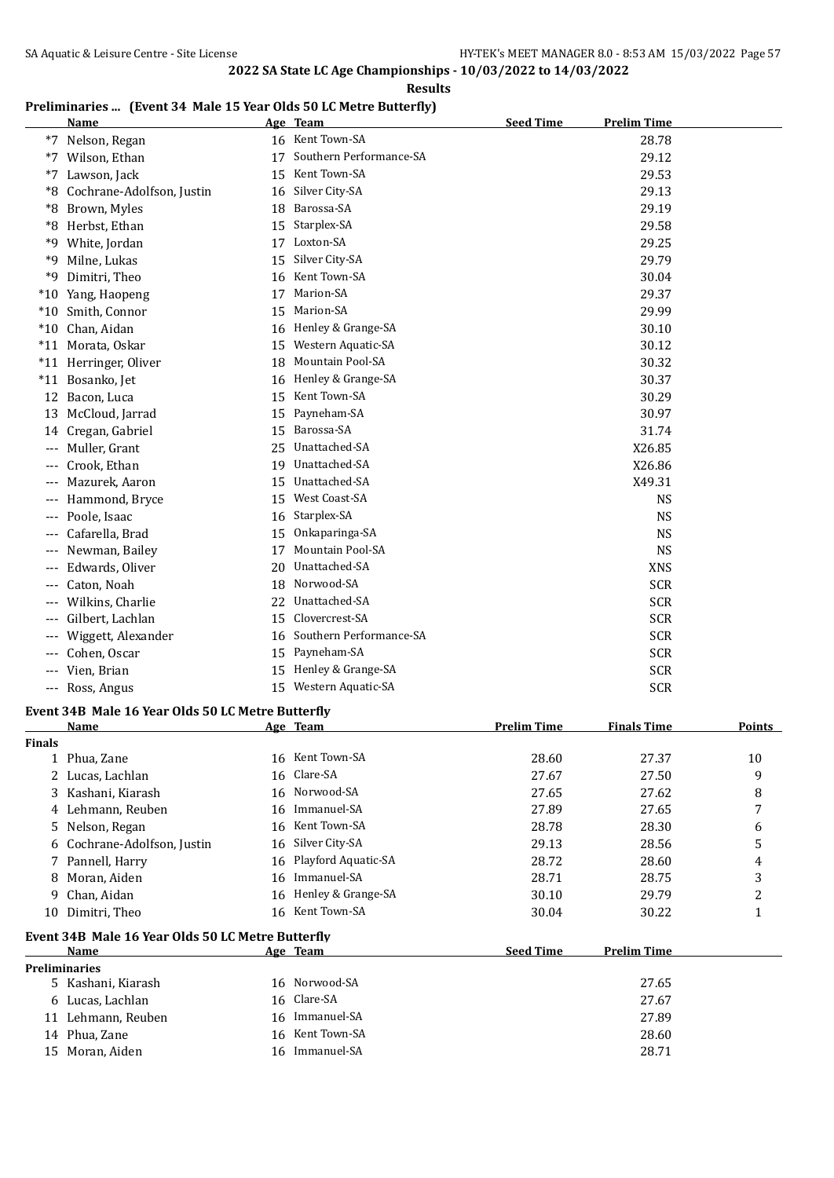**Results**

## **Preliminaries ... (Event 34 Male 15 Year Olds 50 LC Metre Butterfly)**

|                     | <u>Name</u>                                       |    | Age Team                | <b>Seed Time</b>   | <b>Prelim Time</b> |              |
|---------------------|---------------------------------------------------|----|-------------------------|--------------------|--------------------|--------------|
|                     | *7 Nelson, Regan                                  |    | 16 Kent Town-SA         |                    | 28.78              |              |
|                     | *7 Wilson, Ethan                                  | 17 | Southern Performance-SA |                    | 29.12              |              |
| $*7$                | Lawson, Jack                                      |    | 15 Kent Town-SA         |                    | 29.53              |              |
| $*8$                | Cochrane-Adolfson, Justin                         | 16 | Silver City-SA          |                    | 29.13              |              |
|                     | *8 Brown, Myles                                   | 18 | Barossa-SA              |                    | 29.19              |              |
|                     | *8 Herbst, Ethan                                  | 15 | Starplex-SA             |                    | 29.58              |              |
|                     | *9 White, Jordan                                  |    | 17 Loxton-SA            |                    | 29.25              |              |
| *9                  | Milne, Lukas                                      | 15 | Silver City-SA          |                    | 29.79              |              |
| *9                  | Dimitri, Theo                                     |    | 16 Kent Town-SA         |                    | 30.04              |              |
|                     | *10 Yang, Haopeng                                 | 17 | Marion-SA               |                    | 29.37              |              |
|                     | *10 Smith, Connor                                 | 15 | Marion-SA               |                    | 29.99              |              |
|                     | *10 Chan, Aidan                                   |    | 16 Henley & Grange-SA   |                    | 30.10              |              |
|                     | *11 Morata, Oskar                                 |    | 15 Western Aquatic-SA   |                    | 30.12              |              |
|                     | *11 Herringer, Oliver                             | 18 | <b>Mountain Pool-SA</b> |                    | 30.32              |              |
|                     | *11 Bosanko, Jet                                  |    | 16 Henley & Grange-SA   |                    | 30.37              |              |
|                     |                                                   |    | 15 Kent Town-SA         |                    | 30.29              |              |
|                     | 12 Bacon, Luca                                    |    | Payneham-SA             |                    |                    |              |
| 13                  | McCloud, Jarrad                                   | 15 | Barossa-SA              |                    | 30.97              |              |
|                     | 14 Cregan, Gabriel                                | 15 |                         |                    | 31.74              |              |
|                     | Muller, Grant                                     | 25 | Unattached-SA           |                    | X26.85             |              |
| $---$               | Crook, Ethan                                      | 19 | Unattached-SA           |                    | X26.86             |              |
|                     | Mazurek, Aaron                                    | 15 | Unattached-SA           |                    | X49.31             |              |
|                     | Hammond, Bryce                                    | 15 | West Coast-SA           |                    | <b>NS</b>          |              |
|                     | Poole, Isaac                                      | 16 | Starplex-SA             |                    | <b>NS</b>          |              |
| $---$               | Cafarella, Brad                                   | 15 | Onkaparinga-SA          |                    | <b>NS</b>          |              |
| $---$               | Newman, Bailey                                    | 17 | <b>Mountain Pool-SA</b> |                    | <b>NS</b>          |              |
| $---$               | Edwards, Oliver                                   | 20 | Unattached-SA           |                    | <b>XNS</b>         |              |
| $---$               | Caton, Noah                                       | 18 | Norwood-SA              |                    | <b>SCR</b>         |              |
|                     | Wilkins, Charlie                                  | 22 | Unattached-SA           |                    | <b>SCR</b>         |              |
|                     | Gilbert, Lachlan                                  | 15 | Clovercrest-SA          |                    | <b>SCR</b>         |              |
|                     | Wiggett, Alexander                                | 16 | Southern Performance-SA |                    | <b>SCR</b>         |              |
| ---                 | Cohen, Oscar                                      | 15 | Payneham-SA             |                    | <b>SCR</b>         |              |
| $\qquad \qquad - -$ | Vien, Brian                                       |    | 15 Henley & Grange-SA   |                    | <b>SCR</b>         |              |
|                     | --- Ross, Angus                                   |    | 15 Western Aquatic-SA   |                    | <b>SCR</b>         |              |
|                     | Event 34B Male 16 Year Olds 50 LC Metre Butterfly |    |                         |                    |                    |              |
|                     | Name                                              |    | Age Team                | <b>Prelim Time</b> | <b>Finals Time</b> | Points       |
| <b>Finals</b>       |                                                   |    |                         |                    |                    |              |
|                     | 1 Phua, Zane                                      |    | 16 Kent Town-SA         | 28.60              | 27.37              | 10           |
| 2                   | Lucas, Lachlan                                    | 16 | Clare-SA                | 27.67              | 27.50              | 9            |
| 3                   | Kashani, Kiarash                                  | 16 | Norwood-SA              | 27.65              | 27.62              | 8            |
|                     | 4 Lehmann, Reuben                                 | 16 | Immanuel-SA             | 27.89              | 27.65              | 7            |
| 5.                  | Nelson, Regan                                     | 16 | Kent Town-SA            | 28.78              | 28.30              | 6            |
| 6                   | Cochrane-Adolfson, Justin                         | 16 | Silver City-SA          | 29.13              | 28.56              | 5            |
|                     | 7 Pannell, Harry                                  | 16 | Playford Aquatic-SA     | 28.72              | 28.60              | 4            |
| 8                   | Moran, Aiden                                      | 16 | Immanuel-SA             | 28.71              | 28.75              | 3            |
| 9.                  | Chan, Aidan                                       | 16 | Henley & Grange-SA      | 30.10              | 29.79              | 2            |
|                     | 10 Dimitri, Theo                                  |    | 16 Kent Town-SA         | 30.04              | 30.22              | $\mathbf{1}$ |
|                     | Event 34B Male 16 Year Olds 50 LC Metre Butterfly |    |                         |                    |                    |              |
|                     | Name                                              |    | Age Team                | <b>Seed Time</b>   | <b>Prelim Time</b> |              |
|                     | Preliminaries                                     |    |                         |                    |                    |              |
|                     | 5 Kashani, Kiarash                                |    | 16 Norwood-SA           |                    | 27.65              |              |
|                     | 6 Lucas, Lachlan                                  | 16 | Clare-SA                |                    | 27.67              |              |
|                     | 11 Lehmann, Reuben                                | 16 | Immanuel-SA             |                    | 27.89              |              |
|                     | 14 Phua, Zane                                     | 16 | Kent Town-SA            |                    | 28.60              |              |
|                     | 15 Moran, Aiden                                   |    | 16 Immanuel-SA          |                    | 28.71              |              |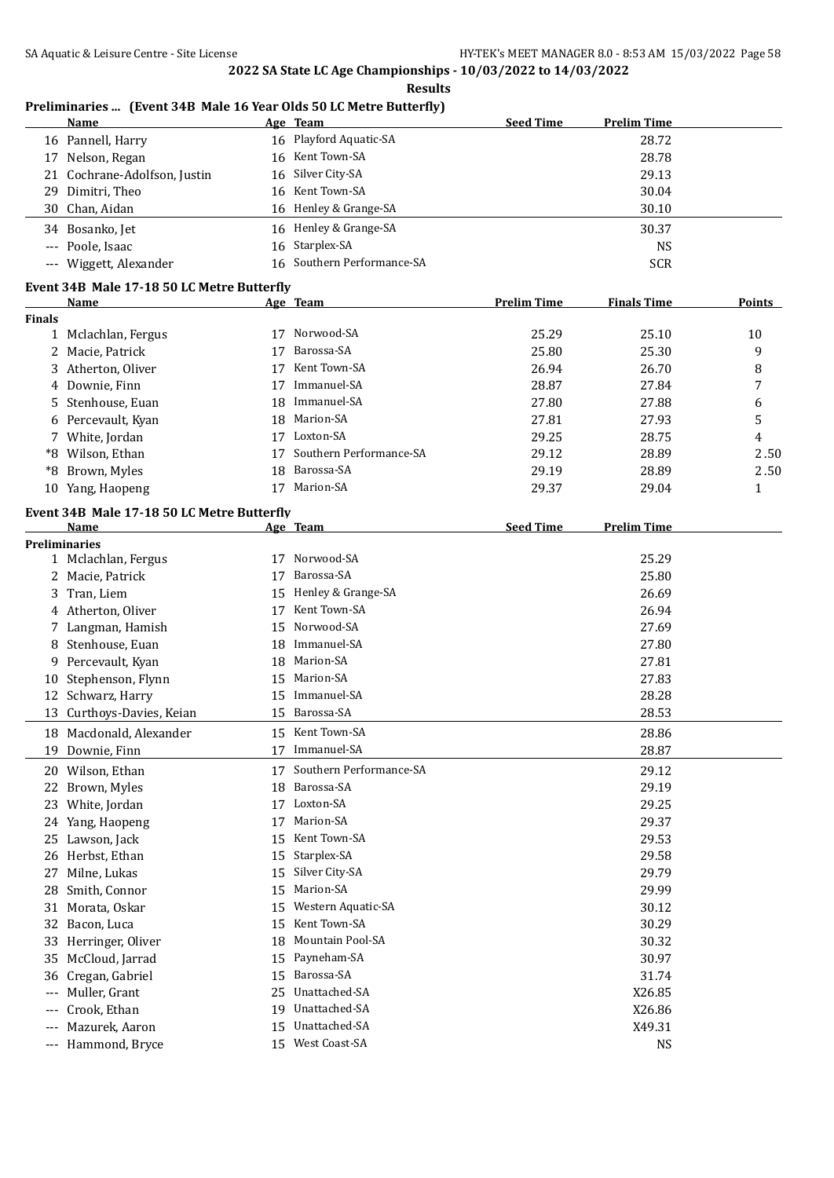#### **Results Preliminaries ... (Event 34B Male 16 Year Olds 50 LC Metre Butterfly) Name Age Team Seed Time Prelim Time** 16 Pannell, Harry 16 Playford Aquatic-SA 28.72 17 Nelson, Regan 16 Kent Town-SA 28.78 21 Cochrane-Adolfson, Justin 16 Silver City-SA 29.13 29 Dimitri, Theo 2010 16 Kent Town-SA 2010 16 Kent Town-SA 30.04 30 Chan, Aidan 16 Henley & Grange-SA 30.10 34 Bosanko, Jet 16 Henley & Grange-SA 30.37 --- Poole, Isaac 16 Starplex-SA NS --- Wiggett, Alexander 16 Southern Performance-SA SCR **Event 34B Male 17-18 50 LC Metre Butterfly Name Age Team Prelim Time Finals Time Points Finals** 1 Mclachlan, Fergus 17 Norwood-SA 25.29 25.10 10 2 Macie, Patrick 17 Barossa-SA 25.80 25.30 9 3 Atherton, Oliver 17 Kent Town-SA 26.94 26.70 8 4 Downie, Finn 17 Immanuel-SA 28.87 27.84 7 5 Stenhouse, Euan 18 Immanuel-SA 27.80 27.88 6 6 Percevault, Kyan 18 Marion-SA 27.81 27.93 5 7 White, Jordan 17 Loxton-SA 29.25 28.75 4 \*8 Wilson, Ethan 17 Southern Performance-SA 29.12 28.89 2 . 50 \*8 Brown, Myles 18 Barossa-SA 29.19 28.89 2 . 50 10 Yang, Haopeng 17 Marion-SA 29.37 29.04 1 **Event 34B Male 17-18 50 LC Metre Butterfly Age Team Seed Time Prelim Time Preliminaries** 1 Mclachlan, Fergus 17 Norwood-SA 25.29 2 Macie, Patrick 25.80 2012 17 Barossa-SA 25.80 3 Tran, Liem 15 Henley & Grange-SA 26.69 4 Atherton, Oliver 17 Kent Town-SA 26.94 7 Langman, Hamish 15 Norwood-SA 27.69 8 Stenhouse, Euan 18 Immanuel-SA 27.80 9 Percevault, Kyan 18 Marion-SA 27.81 10 Stephenson, Flynn 15 Marion-SA 27.83 12 Schwarz, Harry 15 Immanuel-SA 28.28 13 Curthoys-Davies, Keian 15 Barossa-SA 28.53 18 Macdonald, Alexander 15 Kent Town-SA 28.86 19 Downie, Finn 17 Immanuel-SA 28.87 20 Wilson, Ethan 17 Southern Performance-SA 29.12 22 Brown, Myles 18 Barossa-SA 29.19 23 White, Jordan 17 Loxton-SA 29.25 24 Yang, Haopeng 17 Marion-SA 29.37 25 Lawson, Jack 29.53 2015 15 Kent Town-SA 26 Herbst, Ethan 29.58 and 20.58 and 29.58 and 29.58 and 29.58 and 29.58 and 29.58 and 29.58 and 29.58 and 29.58 and 29.58 and 29.58 and 29.58 and 29.58 and 29.58 and 29.58 and 20.58 and 20.58 and 20.58 and 20.58 and 20.58 27 Milne, Lukas 15 Silver City-SA 29.79 28 Smith, Connor 29.99 15 Marion-SA 29.99 31 Morata, Oskar 15 Western Aquatic-SA 30.12 32 Bacon, Luca 30.29 and 31 Sent Town-SA 30.29 and 30.29 and 30.29 and 30.29 and 30.29 and 30.29 and 30.29 and 30.29 and 30.29 and 30.29 and 30.29 and 30.29 and 30.29 and 30.29 and 30.29 and 30.29 and 30.29 and 30.29 and 3 33 Herringer, Oliver 18 Mountain Pool-SA 30.32 35 McCloud, Jarrad 15 Payneham-SA 30.97 36 Cregan, Gabriel 15 Barossa-SA 31.74 --- Muller, Grant 25 Unattached-SA X26.85 --- Crook, Ethan 19 Unattached-SA X26.86 --- Mazurek, Aaron 15 Unattached-SA X49.31 --- Hammond, Bryce 15 West Coast-SA NS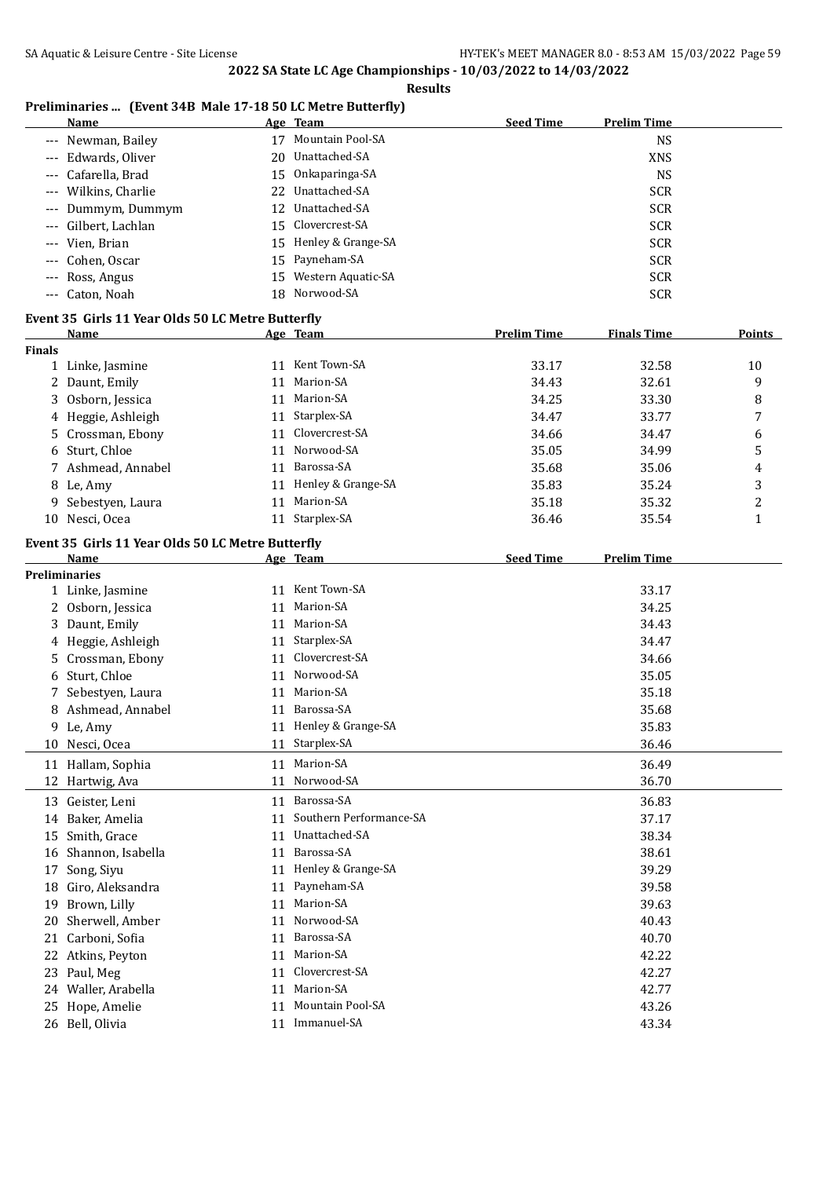## **Preliminaries ... (Event 34B Male 17-18 50 LC Metre Butterfly)**

|                      | <u>Name</u>                                       |    | Age Team                         | <b>Seed Time</b>   | <b>Prelim Time</b> |              |
|----------------------|---------------------------------------------------|----|----------------------------------|--------------------|--------------------|--------------|
|                      | --- Newman, Bailey                                |    | 17 Mountain Pool-SA              |                    | <b>NS</b>          |              |
| $\cdots$             | Edwards, Oliver                                   |    | 20 Unattached-SA                 |                    | <b>XNS</b>         |              |
| $\cdots$             | Cafarella, Brad                                   |    | 15 Onkaparinga-SA                |                    | <b>NS</b>          |              |
| $\scriptstyle\cdots$ | Wilkins, Charlie                                  | 22 | Unattached-SA                    |                    | <b>SCR</b>         |              |
| ---                  | Dummym, Dummym                                    | 12 | Unattached-SA                    |                    | <b>SCR</b>         |              |
| ---                  | Gilbert, Lachlan                                  | 15 | Clovercrest-SA                   |                    | <b>SCR</b>         |              |
| ---                  | Vien, Brian                                       |    | 15 Henley & Grange-SA            |                    | <b>SCR</b>         |              |
| $---$                | Cohen, Oscar                                      | 15 | Payneham-SA                      |                    | <b>SCR</b>         |              |
| $---$                | Ross, Angus                                       | 15 | Western Aquatic-SA               |                    | <b>SCR</b>         |              |
| $\qquad \qquad - -$  | Caton, Noah                                       | 18 | Norwood-SA                       |                    | <b>SCR</b>         |              |
|                      |                                                   |    |                                  |                    |                    |              |
|                      | Event 35 Girls 11 Year Olds 50 LC Metre Butterfly |    |                                  |                    |                    |              |
| <b>Finals</b>        | Name                                              |    | Age Team                         | <b>Prelim Time</b> | <b>Finals Time</b> | Points       |
|                      | 1 Linke, Jasmine                                  |    | 11 Kent Town-SA                  | 33.17              | 32.58              | 10           |
|                      | 2 Daunt, Emily                                    |    | 11 Marion-SA                     | 34.43              | 32.61              | 9            |
|                      | Osborn, Jessica                                   |    | 11 Marion-SA                     | 34.25              | 33.30              |              |
| 3                    |                                                   |    |                                  |                    |                    | 8            |
|                      | 4 Heggie, Ashleigh                                |    | 11 Starplex-SA<br>Clovercrest-SA | 34.47              | 33.77              | 7            |
| 5.                   | Crossman, Ebony                                   | 11 |                                  | 34.66              | 34.47              | 6            |
| 6                    | Sturt, Chloe                                      | 11 | Norwood-SA                       | 35.05              | 34.99              | 5            |
|                      | 7 Ashmead, Annabel                                | 11 | Barossa-SA                       | 35.68              | 35.06              | 4            |
|                      | 8 Le, Amy                                         |    | 11 Henley & Grange-SA            | 35.83              | 35.24              | 3            |
| 9.                   | Sebestyen, Laura                                  | 11 | Marion-SA                        | 35.18              | 35.32              | 2            |
|                      | 10 Nesci, Ocea                                    |    | 11 Starplex-SA                   | 36.46              | 35.54              | $\mathbf{1}$ |
|                      | Event 35 Girls 11 Year Olds 50 LC Metre Butterfly |    |                                  |                    |                    |              |
|                      | Name                                              |    | Age Team                         | <b>Seed Time</b>   | <b>Prelim Time</b> |              |
|                      | <b>Preliminaries</b>                              |    |                                  |                    |                    |              |
|                      | 1 Linke, Jasmine                                  |    | 11 Kent Town-SA                  |                    | 33.17              |              |
|                      | 2 Osborn, Jessica                                 | 11 | Marion-SA                        |                    | 34.25              |              |
|                      | 3 Daunt, Emily                                    | 11 | Marion-SA                        |                    | 34.43              |              |
| 4                    | Heggie, Ashleigh                                  |    | 11 Starplex-SA                   |                    | 34.47              |              |
| 5.                   | Crossman, Ebony                                   | 11 | Clovercrest-SA                   |                    | 34.66              |              |
| 6                    | Sturt, Chloe                                      | 11 | Norwood-SA                       |                    | 35.05              |              |
|                      | 7 Sebestyen, Laura                                | 11 | Marion-SA                        |                    | 35.18              |              |
|                      | 8 Ashmead, Annabel                                | 11 | Barossa-SA                       |                    | 35.68              |              |
|                      | 9 Le, Amy                                         |    | 11 Henley & Grange-SA            |                    | 35.83              |              |
|                      | 10 Nesci, Ocea                                    | 11 | Starplex-SA                      |                    | 36.46              |              |
|                      | 11 Hallam, Sophia                                 | 11 | Marion-SA                        |                    | 36.49              |              |
|                      | 12 Hartwig, Ava                                   | 11 | Norwood-SA                       |                    | 36.70              |              |
| 13                   | Geister, Leni                                     | 11 | Barossa-SA                       |                    | 36.83              |              |
| 14                   | Baker, Amelia                                     | 11 | Southern Performance-SA          |                    | 37.17              |              |
| 15                   | Smith, Grace                                      | 11 | Unattached-SA                    |                    | 38.34              |              |
| 16                   | Shannon, Isabella                                 | 11 | Barossa-SA                       |                    | 38.61              |              |
| 17                   | Song, Siyu                                        |    | 11 Henley & Grange-SA            |                    | 39.29              |              |
| 18                   | Giro, Aleksandra                                  | 11 | Payneham-SA                      |                    | 39.58              |              |
| 19                   | Brown, Lilly                                      | 11 | Marion-SA                        |                    | 39.63              |              |
| 20                   | Sherwell, Amber                                   | 11 | Norwood-SA                       |                    | 40.43              |              |
| 21                   | Carboni, Sofia                                    | 11 | Barossa-SA                       |                    | 40.70              |              |
|                      | 22 Atkins, Peyton                                 | 11 | Marion-SA                        |                    | 42.22              |              |
| 23                   | Paul, Meg                                         | 11 | Clovercrest-SA                   |                    | 42.27              |              |
|                      | Waller, Arabella                                  | 11 | Marion-SA                        |                    | 42.77              |              |
| 24                   |                                                   | 11 | <b>Mountain Pool-SA</b>          |                    | 43.26              |              |
| 25                   | Hope, Amelie                                      |    | 11 Immanuel-SA                   |                    |                    |              |
|                      | 26 Bell, Olivia                                   |    |                                  |                    | 43.34              |              |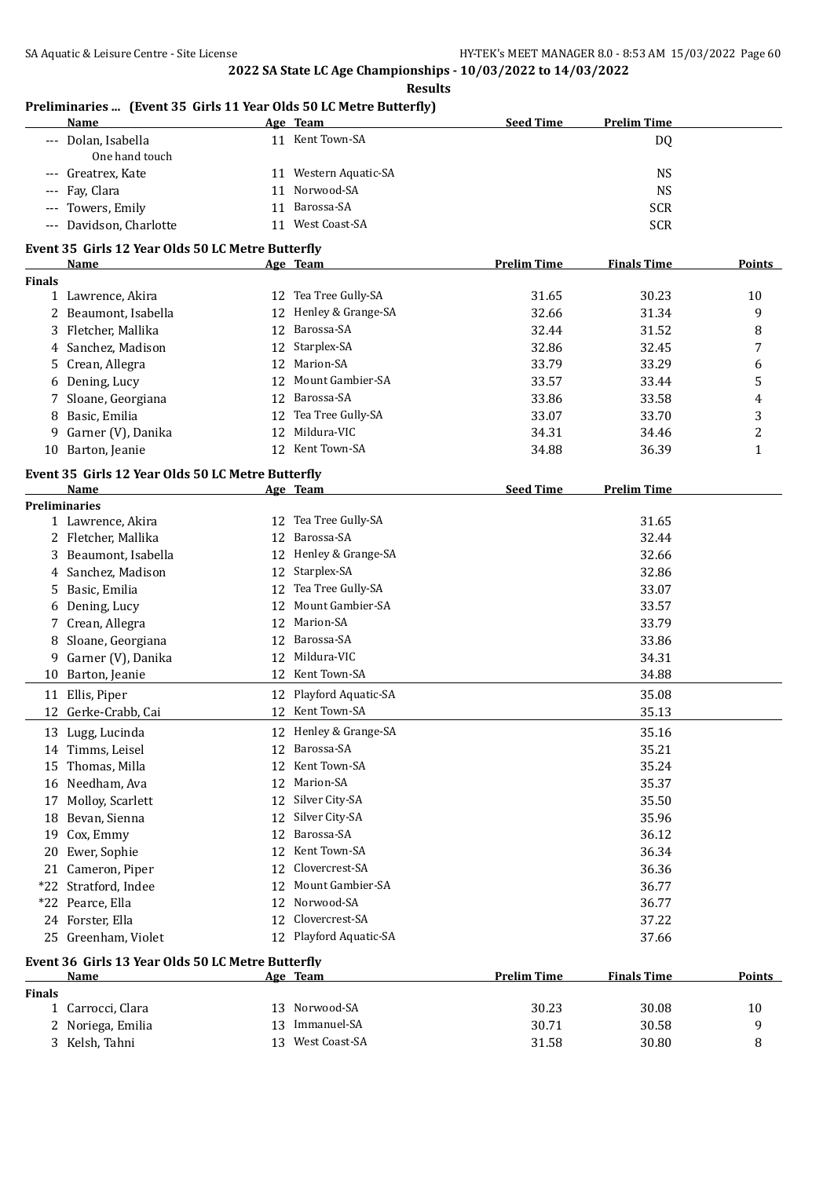**Results**

|                     | Preliminaries  (Event 35 Girls 11 Year Olds 50 LC Metre Butterfly)<br><b>Name</b> |    | Age Team               | <b>Seed Time</b>   | <b>Prelim Time</b> |               |
|---------------------|-----------------------------------------------------------------------------------|----|------------------------|--------------------|--------------------|---------------|
|                     | --- Dolan, Isabella                                                               |    | 11 Kent Town-SA        |                    | <b>DQ</b>          |               |
|                     | One hand touch                                                                    |    |                        |                    |                    |               |
| $\qquad \qquad - -$ | Greatrex, Kate                                                                    |    | 11 Western Aquatic-SA  |                    | <b>NS</b>          |               |
| $---$               | Fay, Clara                                                                        |    | 11 Norwood-SA          |                    | <b>NS</b>          |               |
| $\qquad \qquad - -$ | Towers, Emily                                                                     |    | 11 Barossa-SA          |                    | <b>SCR</b>         |               |
|                     | --- Davidson, Charlotte                                                           |    | 11 West Coast-SA       |                    | <b>SCR</b>         |               |
|                     | Event 35 Girls 12 Year Olds 50 LC Metre Butterfly                                 |    |                        |                    |                    |               |
|                     | Name                                                                              |    | Age Team               | <b>Prelim Time</b> | <b>Finals Time</b> | <b>Points</b> |
| <b>Finals</b>       |                                                                                   |    |                        |                    |                    |               |
|                     | 1 Lawrence, Akira                                                                 |    | 12 Tea Tree Gully-SA   | 31.65              | 30.23              | 10            |
|                     | 2 Beaumont, Isabella                                                              |    | 12 Henley & Grange-SA  | 32.66              | 31.34              | 9             |
|                     | 3 Fletcher, Mallika                                                               |    | 12 Barossa-SA          | 32.44              | 31.52              | 8             |
|                     | 4 Sanchez, Madison                                                                |    | 12 Starplex-SA         | 32.86              | 32.45              | 7             |
|                     | 5 Crean, Allegra                                                                  | 12 | Marion-SA              | 33.79              | 33.29              | 6             |
|                     | 6 Dening, Lucy                                                                    | 12 | Mount Gambier-SA       | 33.57              | 33.44              | 5             |
| 7                   | Sloane, Georgiana                                                                 | 12 | Barossa-SA             | 33.86              | 33.58              | 4             |
| 8                   | Basic, Emilia                                                                     | 12 | Tea Tree Gully-SA      | 33.07              | 33.70              | 3             |
| 9                   | Garner (V), Danika                                                                | 12 | Mildura-VIC            | 34.31              | 34.46              | 2             |
|                     | 10 Barton, Jeanie                                                                 |    | 12 Kent Town-SA        | 34.88              | 36.39              | $\mathbf{1}$  |
|                     |                                                                                   |    |                        |                    |                    |               |
|                     | Event 35 Girls 12 Year Olds 50 LC Metre Butterfly<br>Name                         |    | Age Team               | <b>Seed Time</b>   | <b>Prelim Time</b> |               |
|                     | <b>Preliminaries</b>                                                              |    |                        |                    |                    |               |
|                     | 1 Lawrence, Akira                                                                 |    | 12 Tea Tree Gully-SA   |                    | 31.65              |               |
|                     | 2 Fletcher, Mallika                                                               | 12 | Barossa-SA             |                    | 32.44              |               |
|                     | 3 Beaumont, Isabella                                                              |    | 12 Henley & Grange-SA  |                    | 32.66              |               |
|                     | 4 Sanchez, Madison                                                                |    | 12 Starplex-SA         |                    | 32.86              |               |
|                     | 5 Basic, Emilia                                                                   | 12 | Tea Tree Gully-SA      |                    | 33.07              |               |
| 6                   | Dening, Lucy                                                                      |    | 12 Mount Gambier-SA    |                    | 33.57              |               |
|                     | 7 Crean, Allegra                                                                  | 12 | Marion-SA              |                    | 33.79              |               |
| 8                   | Sloane, Georgiana                                                                 | 12 | Barossa-SA             |                    | 33.86              |               |
| 9                   | Garner (V), Danika                                                                | 12 | Mildura-VIC            |                    | 34.31              |               |
| 10                  | Barton, Jeanie                                                                    |    | 12 Kent Town-SA        |                    | 34.88              |               |
|                     |                                                                                   |    | 12 Playford Aquatic-SA |                    |                    |               |
|                     | 11 Ellis, Piper                                                                   |    | 12 Kent Town-SA        |                    | 35.08<br>35.13     |               |
|                     | 12 Gerke-Crabb, Cai                                                               |    |                        |                    |                    |               |
|                     | 13 Lugg, Lucinda                                                                  |    | 12 Henley & Grange-SA  |                    | 35.16              |               |
|                     | 14 Timms, Leisel                                                                  | 12 | Barossa-SA             |                    | 35.21              |               |
| 15                  | Thomas, Milla                                                                     | 12 | Kent Town-SA           |                    | 35.24              |               |
|                     | 16 Needham, Ava                                                                   |    | 12 Marion-SA           |                    | 35.37              |               |
| 17                  | Molloy, Scarlett                                                                  |    | 12 Silver City-SA      |                    | 35.50              |               |
| 18                  | Bevan, Sienna                                                                     | 12 | Silver City-SA         |                    | 35.96              |               |
| 19                  | Cox, Emmy                                                                         | 12 | Barossa-SA             |                    | 36.12              |               |
| 20                  | Ewer, Sophie                                                                      | 12 | Kent Town-SA           |                    | 36.34              |               |
| 21                  | Cameron, Piper                                                                    | 12 | Clovercrest-SA         |                    | 36.36              |               |
|                     | *22 Stratford, Indee                                                              | 12 | Mount Gambier-SA       |                    | 36.77              |               |
|                     | *22 Pearce, Ella                                                                  | 12 | Norwood-SA             |                    | 36.77              |               |
|                     | 24 Forster, Ella                                                                  | 12 | Clovercrest-SA         |                    | 37.22              |               |
|                     | 25 Greenham, Violet                                                               |    | 12 Playford Aquatic-SA |                    | 37.66              |               |
|                     | Event 36 Girls 13 Year Olds 50 LC Metre Butterfly                                 |    |                        |                    |                    |               |
|                     | <u>Name</u>                                                                       |    | Age Team               | <b>Prelim Time</b> | <b>Finals Time</b> | <b>Points</b> |
| <b>Finals</b>       |                                                                                   |    |                        |                    |                    |               |
|                     | 1 Carrocci, Clara                                                                 |    | 13 Norwood-SA          | 30.23              | 30.08              | 10            |
| 2                   | Noriega, Emilia                                                                   | 13 | Immanuel-SA            | 30.71              | 30.58              | 9             |
|                     | 3 Kelsh, Tahni                                                                    |    |                        |                    |                    |               |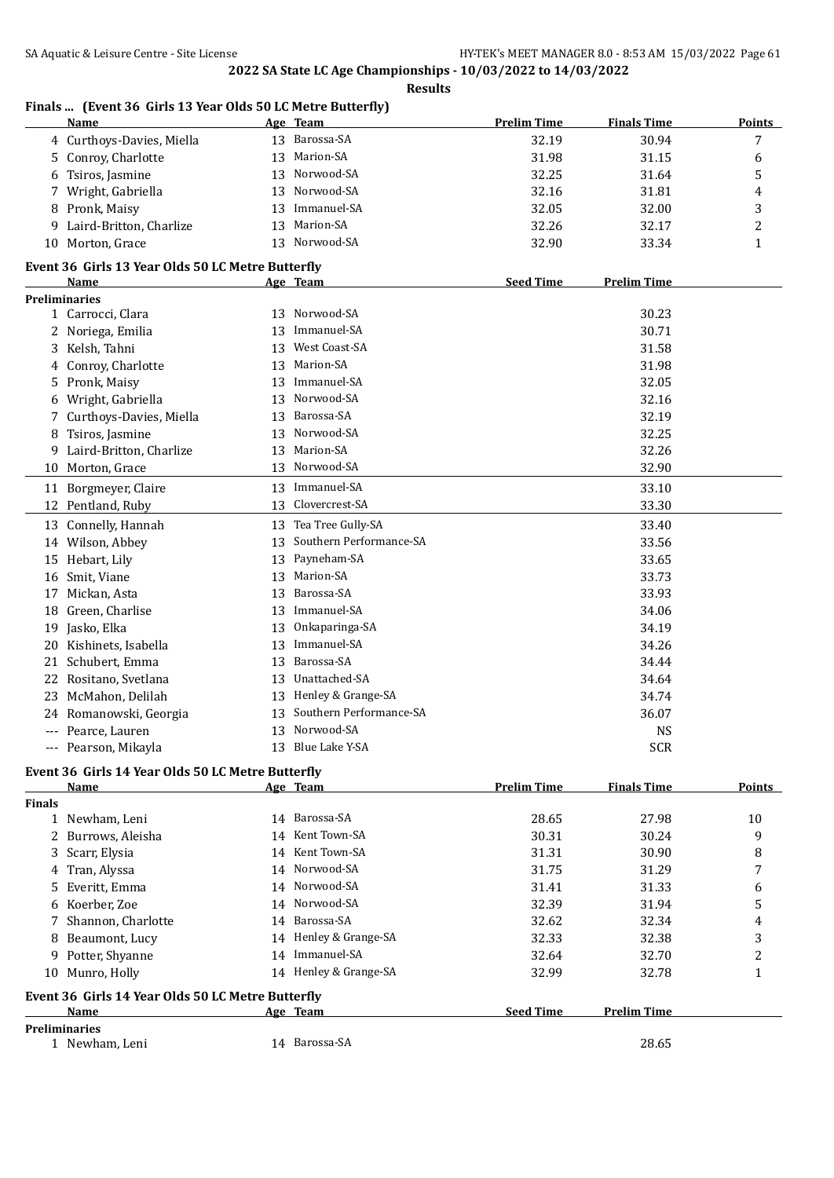|               | <u>Name</u>                                       |    | Age Team                | <b>Prelim Time</b> | <b>Finals Time</b> | <b>Points</b> |
|---------------|---------------------------------------------------|----|-------------------------|--------------------|--------------------|---------------|
|               | 4 Curthoys-Davies, Miella                         | 13 | Barossa-SA              | 32.19              | 30.94              | 7             |
|               | 5 Conroy, Charlotte                               | 13 | Marion-SA               | 31.98              | 31.15              | 6             |
| 6             | Tsiros, Jasmine                                   | 13 | Norwood-SA              | 32.25              | 31.64              | 5             |
|               | 7 Wright, Gabriella                               | 13 | Norwood-SA              | 32.16              | 31.81              | 4             |
| 8             | Pronk, Maisy                                      | 13 | Immanuel-SA             | 32.05              | 32.00              | 3             |
| 9             | Laird-Britton, Charlize                           | 13 | Marion-SA               | 32.26              | 32.17              | 2             |
|               | 10 Morton, Grace                                  |    | 13 Norwood-SA           | 32.90              | 33.34              | 1             |
|               | Event 36 Girls 13 Year Olds 50 LC Metre Butterfly |    |                         |                    |                    |               |
|               | Name                                              |    | Age Team                | <b>Seed Time</b>   | <b>Prelim Time</b> |               |
|               | <b>Preliminaries</b>                              |    |                         |                    |                    |               |
|               | 1 Carrocci, Clara                                 | 13 | Norwood-SA              |                    | 30.23              |               |
|               | 2 Noriega, Emilia                                 | 13 | Immanuel-SA             |                    | 30.71              |               |
| 3             | Kelsh, Tahni                                      | 13 | West Coast-SA           |                    | 31.58              |               |
| 4             | Conroy, Charlotte                                 | 13 | Marion-SA               |                    | 31.98              |               |
| 5.            | Pronk, Maisy                                      | 13 | Immanuel-SA             |                    | 32.05              |               |
| 6             | Wright, Gabriella                                 | 13 | Norwood-SA              |                    | 32.16              |               |
| 7             | Curthoys-Davies, Miella                           | 13 | Barossa-SA              |                    | 32.19              |               |
| 8             | Tsiros, Jasmine                                   | 13 | Norwood-SA              |                    | 32.25              |               |
| 9             | Laird-Britton, Charlize                           | 13 | Marion-SA               |                    | 32.26              |               |
| 10            | Morton, Grace                                     | 13 | Norwood-SA              |                    | 32.90              |               |
| 11            | Borgmeyer, Claire                                 | 13 | Immanuel-SA             |                    | 33.10              |               |
|               | 12 Pentland, Ruby                                 | 13 | Clovercrest-SA          |                    | 33.30              |               |
|               | 13 Connelly, Hannah                               | 13 | Tea Tree Gully-SA       |                    | 33.40              |               |
|               | 14 Wilson, Abbey                                  | 13 | Southern Performance-SA |                    | 33.56              |               |
| 15            | Hebart, Lily                                      | 13 | Payneham-SA             |                    | 33.65              |               |
| 16            | Smit, Viane                                       | 13 | Marion-SA               |                    | 33.73              |               |
| 17            | Mickan, Asta                                      | 13 | Barossa-SA              |                    | 33.93              |               |
| 18            | Green, Charlise                                   | 13 | Immanuel-SA             |                    | 34.06              |               |
| 19            | Jasko, Elka                                       | 13 | Onkaparinga-SA          |                    | 34.19              |               |
| 20            | Kishinets, Isabella                               | 13 | Immanuel-SA             |                    | 34.26              |               |
| 21            | Schubert, Emma                                    | 13 | Barossa-SA              |                    | 34.44              |               |
|               | 22 Rositano, Svetlana                             | 13 | Unattached-SA           |                    | 34.64              |               |
| 23.           | McMahon, Delilah                                  |    | 13 Henley & Grange-SA   |                    | 34.74              |               |
|               | 24 Romanowski, Georgia                            | 13 | Southern Performance-SA |                    | 36.07              |               |
| $---$         | Pearce, Lauren                                    |    | 13 Norwood-SA           |                    | <b>NS</b>          |               |
|               | --- Pearson, Mikayla                              |    | 13 Blue Lake Y-SA       |                    | <b>SCR</b>         |               |
|               | Event 36 Girls 14 Year Olds 50 LC Metre Butterfly |    |                         |                    |                    |               |
|               | Name                                              |    | Age Team                | <b>Prelim Time</b> | <b>Finals Time</b> | <b>Points</b> |
| <b>Finals</b> |                                                   |    |                         |                    |                    |               |
|               | 1 Newham, Leni                                    |    | 14 Barossa-SA           | 28.65              | 27.98              | 10            |
| 2             | Burrows, Aleisha                                  | 14 | Kent Town-SA            | 30.31              | 30.24              | 9             |
| 3             | Scarr, Elysia                                     | 14 | Kent Town-SA            | 31.31              | 30.90              | 8             |
| 4             | Tran, Alyssa                                      | 14 | Norwood-SA              | 31.75              | 31.29              | 7             |
| 5.            | Everitt, Emma                                     | 14 | Norwood-SA              | 31.41              | 31.33              | 6             |
| 6             | Koerber, Zoe                                      | 14 | Norwood-SA              | 32.39              | 31.94              | 5             |
| 7             | Shannon, Charlotte                                | 14 | Barossa-SA              | 32.62              | 32.34              | 4             |
| 8             | Beaumont, Lucy                                    | 14 | Henley & Grange-SA      | 32.33              | 32.38              | 3             |
| 9.            | Potter, Shyanne                                   | 14 | Immanuel-SA             | 32.64              | 32.70              | 2             |
|               | 10 Munro, Holly                                   |    | 14 Henley & Grange-SA   | 32.99              | 32.78              | $\mathbf{1}$  |
|               | Event 36 Girls 14 Year Olds 50 LC Metre Butterfly |    |                         |                    |                    |               |
|               | Name                                              |    | Age Team                | <b>Seed Time</b>   | <b>Prelim Time</b> |               |
|               | <b>Preliminaries</b>                              |    | 14 Barossa-SA           |                    | 28.65              |               |
|               | 1 Newham, Leni                                    |    |                         |                    |                    |               |

## **Finals ... (Event 36 Girls 13 Year Olds 50 LC Metre Butterfly)**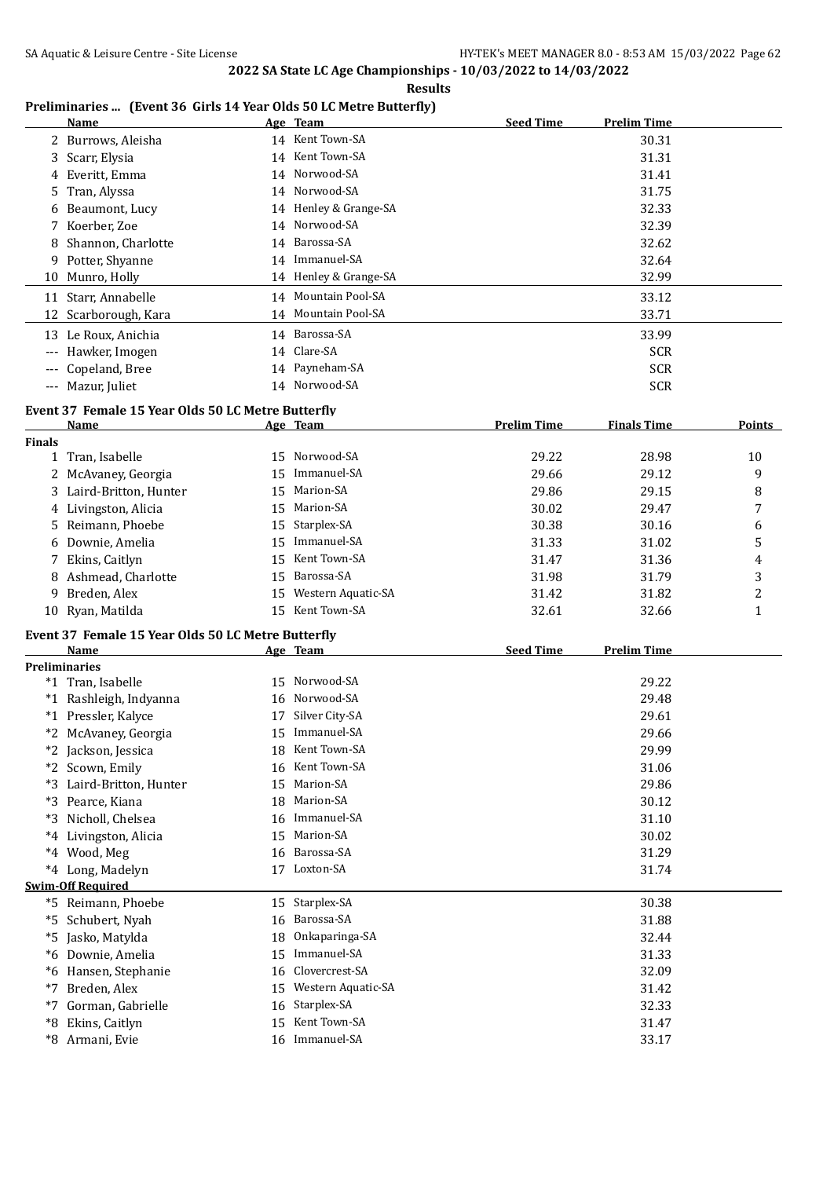**Results**

#### **Preliminaries ... (Event 36 Girls 14 Year Olds 50 LC Metre Butterfly)**

|          | Name                 |    | Age Team              | <b>Seed Time</b> | <b>Prelim Time</b> |
|----------|----------------------|----|-----------------------|------------------|--------------------|
|          | 2 Burrows, Aleisha   |    | 14 Kent Town-SA       |                  | 30.31              |
|          | 3 Scarr, Elysia      |    | 14 Kent Town-SA       |                  | 31.31              |
|          | 4 Everitt, Emma      |    | 14 Norwood-SA         |                  | 31.41              |
|          | 5 Tran, Alyssa       |    | 14 Norwood-SA         |                  | 31.75              |
|          | 6 Beaumont, Lucy     |    | 14 Henley & Grange-SA |                  | 32.33              |
|          | Koerber, Zoe         |    | 14 Norwood-SA         |                  | 32.39              |
| 8        | Shannon, Charlotte   | 14 | Barossa-SA            |                  | 32.62              |
| 9.       | Potter, Shyanne      |    | 14 Immanuel-SA        |                  | 32.64              |
|          | 10 Munro, Holly      |    | 14 Henley & Grange-SA |                  | 32.99              |
|          | 11 Starr, Annabelle  |    | 14 Mountain Pool-SA   |                  | 33.12              |
|          | 12 Scarborough, Kara |    | 14 Mountain Pool-SA   |                  | 33.71              |
|          | 13 Le Roux, Anichia  |    | 14 Barossa-SA         |                  | 33.99              |
| $---$    | Hawker, Imogen       |    | 14 Clare-SA           |                  | <b>SCR</b>         |
|          | --- Copeland, Bree   |    | 14 Payneham-SA        |                  | <b>SCR</b>         |
| $\cdots$ | Mazur, Juliet        |    | 14 Norwood-SA         |                  | <b>SCR</b>         |

#### **Event 37 Female 15 Year Olds 50 LC Metre Butterfly**

|               | <b>Name</b>                                        |    | Age Team              | <b>Prelim Time</b> | <b>Finals Time</b> | <b>Points</b> |
|---------------|----------------------------------------------------|----|-----------------------|--------------------|--------------------|---------------|
| <b>Finals</b> |                                                    |    |                       |                    |                    |               |
|               | 1 Tran, Isabelle                                   |    | 15 Norwood-SA         | 29.22              | 28.98              | 10            |
|               | 2 McAvaney, Georgia                                | 15 | Immanuel-SA           | 29.66              | 29.12              | 9             |
|               | 3 Laird-Britton, Hunter                            | 15 | Marion-SA             | 29.86              | 29.15              | 8             |
|               | 4 Livingston, Alicia                               |    | 15 Marion-SA          | 30.02              | 29.47              | 7             |
|               | 5 Reimann, Phoebe                                  |    | 15 Starplex-SA        | 30.38              | 30.16              | 6             |
|               | 6 Downie, Amelia                                   | 15 | Immanuel-SA           | 31.33              | 31.02              | 5             |
|               | 7 Ekins, Caitlyn                                   | 15 | Kent Town-SA          | 31.47              | 31.36              | 4             |
|               | 8 Ashmead, Charlotte                               | 15 | Barossa-SA            | 31.98              | 31.79              | 3             |
|               | 9 Breden, Alex                                     |    | 15 Western Aquatic-SA | 31.42              | 31.82              | 2             |
|               | 10 Ryan, Matilda                                   |    | 15 Kent Town-SA       | 32.61              | 32.66              | $\mathbf{1}$  |
|               | Event 37 Female 15 Year Olds 50 LC Metre Butterfly |    |                       |                    |                    |               |
|               | Name                                               |    | <u>Age Team</u>       | <b>Seed Time</b>   | <b>Prelim Time</b> |               |
|               | <b>Preliminaries</b>                               |    |                       |                    |                    |               |
|               | *1 Tran, Isabelle                                  |    | 15 Norwood-SA         |                    | 29.22              |               |
|               | *1 Rashleigh, Indyanna                             | 16 | Norwood-SA            |                    | 29.48              |               |
|               | *1 Pressler, Kalyce                                | 17 | Silver City-SA        |                    | 29.61              |               |
|               | *2 McAvaney, Georgia                               | 15 | Immanuel-SA           |                    | 29.66              |               |
|               | *2 Jackson, Jessica                                |    | 18 Kent Town-SA       |                    | 29.99              |               |
|               | *2 Scown, Emily                                    |    | 16 Kent Town-SA       |                    | 31.06              |               |
|               | *3 Laird-Britton, Hunter                           |    | 15 Marion-SA          |                    | 29.86              |               |
|               | *3 Pearce, Kiana                                   |    | 18 Marion-SA          |                    | 30.12              |               |
|               | *3 Nicholl, Chelsea                                |    | 16 Immanuel-SA        |                    | 31.10              |               |
|               | *4 Livingston, Alicia                              |    | 15 Marion-SA          |                    | 30.02              |               |
|               | *4 Wood, Meg                                       |    | 16 Barossa-SA         |                    | 31.29              |               |
|               | *4 Long, Madelyn                                   |    | 17 Loxton-SA          |                    | 31.74              |               |
|               | <b>Swim-Off Required</b>                           |    |                       |                    |                    |               |
|               | *5 Reimann, Phoebe                                 |    | 15 Starplex-SA        |                    | 30.38              |               |
|               | *5 Schubert, Nyah                                  |    | 16 Barossa-SA         |                    | 31.88              |               |
|               | *5 Jasko, Matylda                                  |    | 18 Onkaparinga-SA     |                    | 32.44              |               |
|               | *6 Downie, Amelia                                  |    | 15 Immanuel-SA        |                    | 31.33              |               |
|               | *6 Hansen, Stephanie                               |    | 16 Clovercrest-SA     |                    | 32.09              |               |
|               | *7 Breden, Alex                                    |    | 15 Western Aquatic-SA |                    | 31.42              |               |
|               | *7 Gorman, Gabrielle                               |    | 16 Starplex-SA        |                    | 32.33              |               |
|               | *8 Ekins, Caitlyn                                  | 15 | Kent Town-SA          |                    | 31.47              |               |
|               | *8 Armani, Evie                                    |    | 16 Immanuel-SA        |                    | 33.17              |               |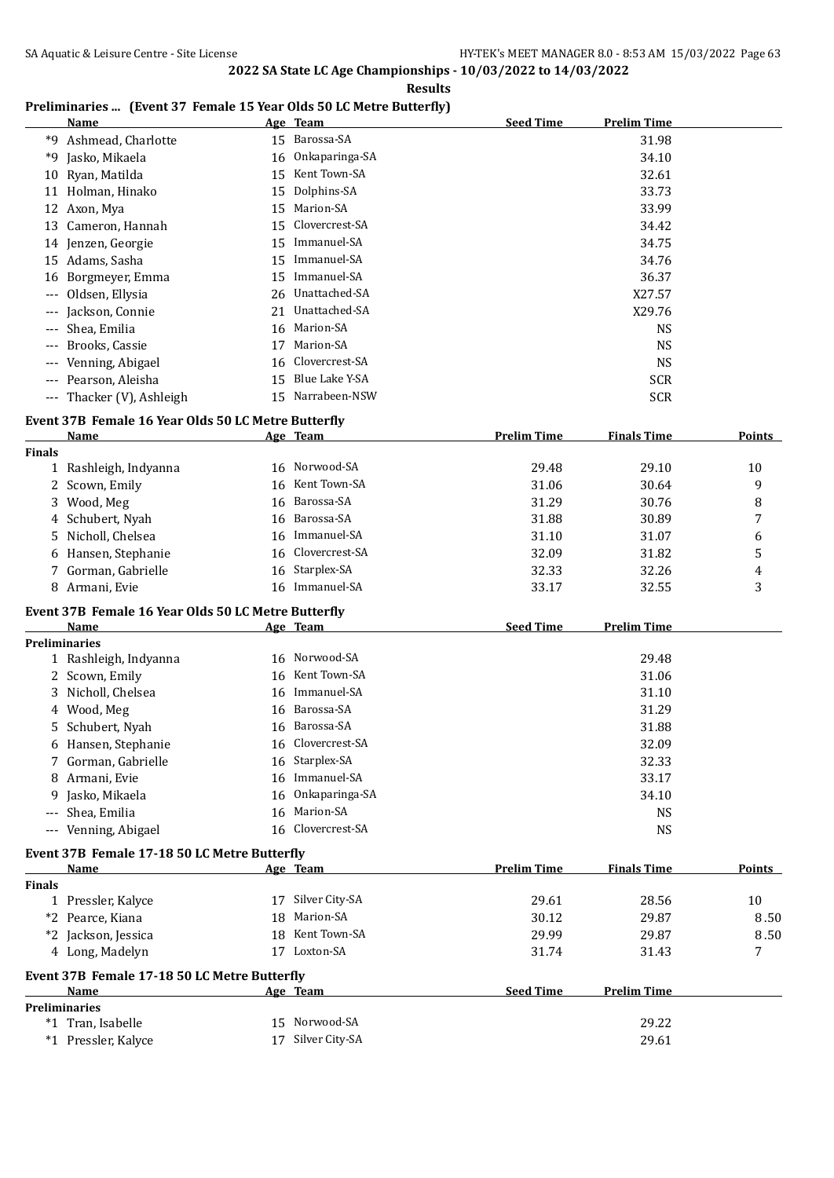## **Preliminaries ... (Event 37 Female 15 Year Olds 50 LC Metre Butterfly)**

|       | Name                      |    | Age Team          | <b>Seed Time</b> | <b>Prelim Time</b> |
|-------|---------------------------|----|-------------------|------------------|--------------------|
|       | *9 Ashmead, Charlotte     |    | 15 Barossa-SA     |                  | 31.98              |
|       | *9 Jasko, Mikaela         |    | 16 Onkaparinga-SA |                  | 34.10              |
|       | 10 Ryan, Matilda          | 15 | Kent Town-SA      |                  | 32.61              |
|       | 11 Holman, Hinako         |    | 15 Dolphins-SA    |                  | 33.73              |
|       | 12 Axon, Mya              | 15 | Marion-SA         |                  | 33.99              |
|       | 13 Cameron, Hannah        |    | 15 Clovercrest-SA |                  | 34.42              |
|       | 14 Jenzen, Georgie        | 15 | Immanuel-SA       |                  | 34.75              |
|       | 15 Adams, Sasha           | 15 | Immanuel-SA       |                  | 34.76              |
|       | 16 Borgmeyer, Emma        | 15 | Immanuel-SA       |                  | 36.37              |
|       | --- Oldsen, Ellysia       |    | 26 Unattached-SA  |                  | X27.57             |
| $---$ | Jackson, Connie           | 21 | Unattached-SA     |                  | X29.76             |
|       | --- Shea, Emilia          |    | 16 Marion-SA      |                  | NS.                |
|       | --- Brooks, Cassie        | 17 | Marion-SA         |                  | <b>NS</b>          |
|       | --- Venning, Abigael      |    | 16 Clovercrest-SA |                  | NS.                |
|       | --- Pearson, Aleisha      | 15 | Blue Lake Y-SA    |                  | <b>SCR</b>         |
|       | --- Thacker (V), Ashleigh |    | 15 Narrabeen-NSW  |                  | <b>SCR</b>         |

#### **Event 37B Female 16 Year Olds 50 LC Metre Butterfly**

|               | <b>Name</b>                                         |    | Age Team          | <b>Prelim Time</b> | <b>Finals Time</b> | Points |
|---------------|-----------------------------------------------------|----|-------------------|--------------------|--------------------|--------|
| <b>Finals</b> |                                                     |    |                   |                    |                    |        |
|               | 1 Rashleigh, Indyanna                               |    | 16 Norwood-SA     | 29.48              | 29.10              | 10     |
|               | 2 Scown, Emily                                      | 16 | Kent Town-SA      | 31.06              | 30.64              | 9      |
| 3.            | Wood, Meg                                           |    | 16 Barossa-SA     | 31.29              | 30.76              | 8      |
|               | 4 Schubert, Nyah                                    |    | 16 Barossa-SA     | 31.88              | 30.89              | 7      |
| 5.            | Nicholl, Chelsea                                    | 16 | Immanuel-SA       | 31.10              | 31.07              | 6      |
| 6             | Hansen, Stephanie                                   |    | 16 Clovercrest-SA | 32.09              | 31.82              | 5      |
|               | 7 Gorman, Gabrielle                                 | 16 | Starplex-SA       | 32.33              | 32.26              | 4      |
|               | 8 Armani, Evie                                      |    | 16 Immanuel-SA    | 33.17              | 32.55              | 3      |
|               | Event 37B Female 16 Year Olds 50 LC Metre Butterfly |    |                   |                    |                    |        |
|               | <b>Name</b>                                         |    | Age Team          | <b>Seed Time</b>   | <b>Prelim Time</b> |        |
|               | <b>Preliminaries</b>                                |    |                   |                    |                    |        |
|               | 1 Rashleigh, Indyanna                               |    | 16 Norwood-SA     |                    | 29.48              |        |
|               | 2 Scown, Emily                                      | 16 | Kent Town-SA      |                    | 31.06              |        |
|               | 3 Nicholl, Chelsea                                  | 16 | Immanuel-SA       |                    | 31.10              |        |
| 4             | Wood, Meg                                           |    | 16 Barossa-SA     |                    | 31.29              |        |
| 5.            | Schubert, Nyah                                      | 16 | Barossa-SA        |                    | 31.88              |        |
|               | 6 Hansen, Stephanie                                 | 16 | Clovercrest-SA    |                    | 32.09              |        |
|               | 7 Gorman, Gabrielle                                 | 16 | Starplex-SA       |                    | 32.33              |        |
| 8             | Armani, Evie                                        | 16 | Immanuel-SA       |                    | 33.17              |        |
| 9             | Jasko, Mikaela                                      | 16 | Onkaparinga-SA    |                    | 34.10              |        |
|               | Shea, Emilia                                        | 16 | Marion-SA         |                    | <b>NS</b>          |        |
|               | Venning, Abigael                                    |    | 16 Clovercrest-SA |                    | <b>NS</b>          |        |
|               | Event 37B Female 17-18 50 LC Metre Butterfly        |    |                   |                    |                    |        |
|               | Name                                                |    | Age Team          | <b>Prelim Time</b> | <b>Finals Time</b> | Points |
| <b>Finals</b> |                                                     |    |                   |                    |                    |        |
|               | 1 Pressler, Kalyce                                  | 17 | Silver City-SA    | 29.61              | 28.56              | 10     |
| $*2$          | Pearce, Kiana                                       | 18 | Marion-SA         | 30.12              | 29.87              | 8.50   |
|               | *2 Jackson, Jessica                                 | 18 | Kent Town-SA      | 29.99              | 29.87              | 8.50   |
|               | 4 Long, Madelyn                                     |    | 17 Loxton-SA      | 31.74              | 31.43              | 7      |
|               | Event 37B Female 17-18 50 LC Metre Butterfly        |    |                   |                    |                    |        |

|      | Name                |  | Age Team          | <b>Seed Time</b> | <b>Prelim Time</b> |  |  |  |
|------|---------------------|--|-------------------|------------------|--------------------|--|--|--|
|      | Preliminaries       |  |                   |                  |                    |  |  |  |
| $*1$ | Tran, Isabelle      |  | 15 Norwood-SA     |                  | 29.22              |  |  |  |
|      | *1 Pressler, Kalyce |  | 17 Silver City-SA |                  | 29.61              |  |  |  |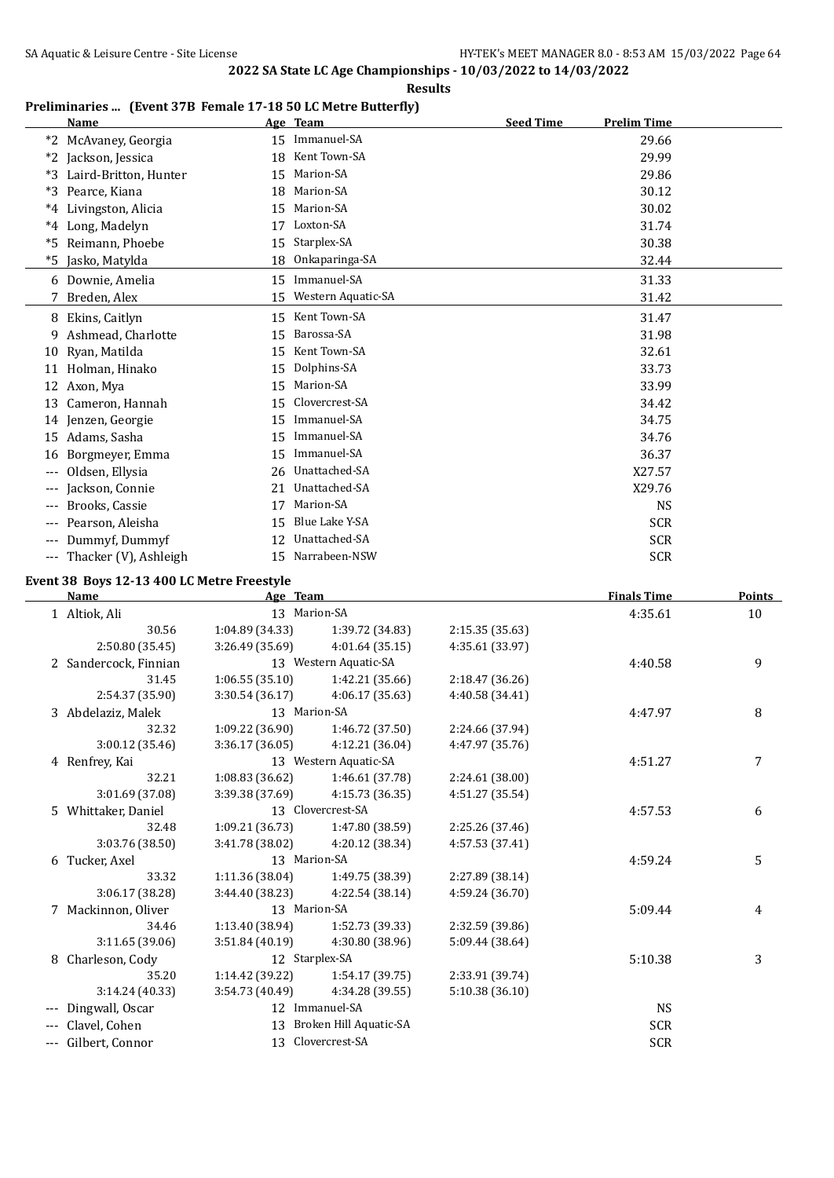#### **Results**

## **Preliminaries ... (Event 37B Female 17-18 50 LC Metre Butterfly)**

|       | <b>Name</b>           |                 | Age Team           | <b>Seed Time</b> | <b>Prelim Time</b> |
|-------|-----------------------|-----------------|--------------------|------------------|--------------------|
| *2    | McAvaney, Georgia     | 15 <sub>1</sub> | Immanuel-SA        |                  | 29.66              |
| $*2$  | Jackson, Jessica      | 18              | Kent Town-SA       |                  | 29.99              |
| *3    | Laird-Britton, Hunter | 15              | Marion-SA          |                  | 29.86              |
| *3    | Pearce, Kiana         | 18              | Marion-SA          |                  | 30.12              |
| $^*4$ | Livingston, Alicia    | 15              | Marion-SA          |                  | 30.02              |
| $^*4$ | Long, Madelyn         | 17              | Loxton-SA          |                  | 31.74              |
| *5    | Reimann, Phoebe       | 15              | Starplex-SA        |                  | 30.38              |
| *5    | Jasko, Matylda        | 18              | Onkaparinga-SA     |                  | 32.44              |
|       | 6 Downie, Amelia      | 15              | Immanuel-SA        |                  | 31.33              |
|       | Breden, Alex          | 15              | Western Aquatic-SA |                  | 31.42              |
|       | 8 Ekins, Caitlyn      | 15              | Kent Town-SA       |                  | 31.47              |
| 9     | Ashmead, Charlotte    | 15              | Barossa-SA         |                  | 31.98              |
| 10    | Ryan, Matilda         | 15              | Kent Town-SA       |                  | 32.61              |
| 11    | Holman, Hinako        | 15              | Dolphins-SA        |                  | 33.73              |
| 12    | Axon, Mya             | 15              | Marion-SA          |                  | 33.99              |
| 13    | Cameron, Hannah       | 15              | Clovercrest-SA     |                  | 34.42              |
| 14    | Jenzen, Georgie       | 15              | Immanuel-SA        |                  | 34.75              |
| 15    | Adams, Sasha          | 15              | Immanuel-SA        |                  | 34.76              |
| 16    | Borgmeyer, Emma       | 15              | Immanuel-SA        |                  | 36.37              |
|       | Oldsen, Ellysia       | 26              | Unattached-SA      |                  | X27.57             |
| $---$ | Jackson, Connie       | 21              | Unattached-SA      |                  | X29.76             |
| ---   | Brooks, Cassie        | 17              | Marion-SA          |                  | <b>NS</b>          |
| ---   | Pearson, Aleisha      | 15              | Blue Lake Y-SA     |                  | <b>SCR</b>         |
| $---$ | Dummyf, Dummyf        | 12              | Unattached-SA      |                  | <b>SCR</b>         |
| $---$ | Thacker (V), Ashleigh | 15              | Narrabeen-NSW      |                  | <b>SCR</b>         |

#### **Event 38 Boys 12-13 400 LC Metre Freestyle**

| <b>Name</b>           | Age Team        |                        |                 | <b>Finals Time</b> | Points |
|-----------------------|-----------------|------------------------|-----------------|--------------------|--------|
| 1 Altiok, Ali         | 13 Marion-SA    |                        |                 | 4:35.61            | 10     |
| 30.56                 | 1:04.89 (34.33) | 1:39.72 (34.83)        | 2:15.35 (35.63) |                    |        |
| 2:50.80 (35.45)       | 3:26.49(35.69)  | 4:01.64 (35.15)        | 4:35.61 (33.97) |                    |        |
| 2 Sandercock, Finnian |                 | 13 Western Aquatic-SA  |                 | 4:40.58            | 9      |
| 31.45                 | 1:06.55(35.10)  | 1:42.21 (35.66)        | 2:18.47 (36.26) |                    |        |
| 2:54.37 (35.90)       | 3:30.54(36.17)  | 4:06.17 (35.63)        | 4:40.58 (34.41) |                    |        |
| 3 Abdelaziz, Malek    | 13 Marion-SA    |                        |                 | 4:47.97            | 8      |
| 32.32                 | 1:09.22(36.90)  | 1:46.72 (37.50)        | 2:24.66 (37.94) |                    |        |
| 3:00.12(35.46)        | 3:36.17(36.05)  | 4:12.21 (36.04)        | 4:47.97 (35.76) |                    |        |
| 4 Renfrey, Kai        |                 | 13 Western Aquatic-SA  |                 | 4:51.27            | 7      |
| 32.21                 | 1:08.83(36.62)  | 1:46.61 (37.78)        | 2:24.61 (38.00) |                    |        |
| 3:01.69 (37.08)       | 3:39.38 (37.69) | 4:15.73 (36.35)        | 4:51.27 (35.54) |                    |        |
| 5 Whittaker, Daniel   |                 | 13 Clovercrest-SA      |                 | 4:57.53            | 6      |
| 32.48                 | 1:09.21 (36.73) | 1:47.80 (38.59)        | 2:25.26 (37.46) |                    |        |
| 3:03.76 (38.50)       | 3:41.78 (38.02) | 4:20.12 (38.34)        | 4:57.53 (37.41) |                    |        |
| 6 Tucker, Axel        | 13 Marion-SA    |                        |                 | 4:59.24            | 5      |
| 33.32                 | 1:11.36 (38.04) | 1:49.75 (38.39)        | 2:27.89 (38.14) |                    |        |
| 3:06.17 (38.28)       | 3:44.40 (38.23) | 4:22.54 (38.14)        | 4:59.24 (36.70) |                    |        |
| 7 Mackinnon, Oliver   | 13 Marion-SA    |                        |                 | 5:09.44            | 4      |
| 34.46                 | 1:13.40 (38.94) | 1:52.73 (39.33)        | 2:32.59 (39.86) |                    |        |
| 3:11.65 (39.06)       | 3:51.84(40.19)  | 4:30.80 (38.96)        | 5:09.44 (38.64) |                    |        |
| 8 Charleson, Cody     | 12 Starplex-SA  |                        |                 | 5:10.38            | 3      |
| 35.20                 | 1:14.42 (39.22) | 1:54.17 (39.75)        | 2:33.91 (39.74) |                    |        |
| 3:14.24 (40.33)       | 3:54.73 (40.49) | 4:34.28 (39.55)        | 5:10.38(36.10)  |                    |        |
| Dingwall, Oscar       |                 | 12 Immanuel-SA         |                 | <b>NS</b>          |        |
| Clavel, Cohen         | 13              | Broken Hill Aquatic-SA |                 | <b>SCR</b>         |        |
| --- Gilbert, Connor   |                 | 13 Clovercrest-SA      |                 | <b>SCR</b>         |        |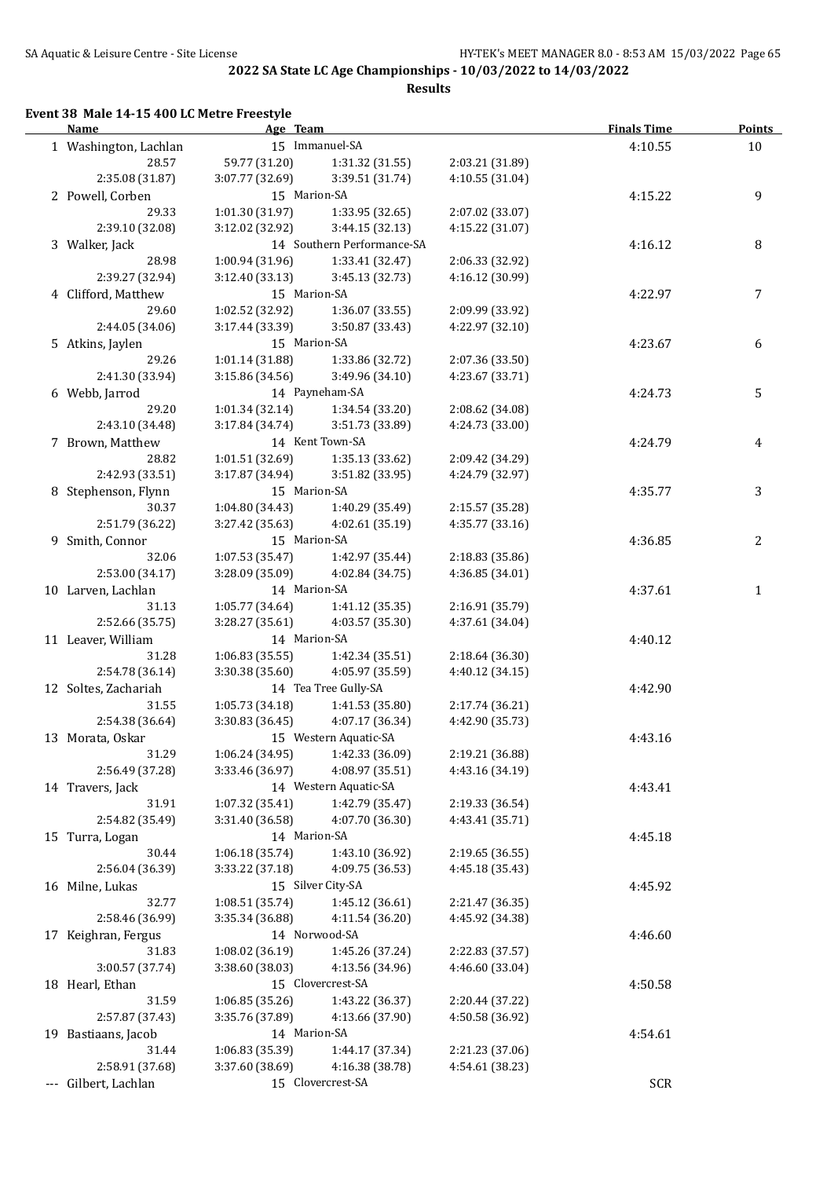**Results**

#### **Event 38 Male 14-15 400 LC Metre Freestyle**

| <b>Name</b>           | Age Team        |                            |                 | <b>Finals Time</b> | <b>Points</b> |
|-----------------------|-----------------|----------------------------|-----------------|--------------------|---------------|
| 1 Washington, Lachlan |                 | 15 Immanuel-SA             |                 | 4:10.55            | 10            |
| 28.57                 | 59.77 (31.20)   | 1:31.32(31.55)             | 2:03.21 (31.89) |                    |               |
| 2:35.08 (31.87)       | 3:07.77 (32.69) | 3:39.51 (31.74)            | 4:10.55 (31.04) |                    |               |
| 2 Powell, Corben      | 15 Marion-SA    |                            |                 | 4:15.22            | 9             |
| 29.33                 | 1:01.30(31.97)  | 1:33.95 (32.65)            | 2:07.02 (33.07) |                    |               |
| 2:39.10 (32.08)       | 3:12.02 (32.92) | 3:44.15 (32.13)            | 4:15.22 (31.07) |                    |               |
| 3 Walker, Jack        |                 | 14 Southern Performance-SA |                 | 4:16.12            | 8             |
| 28.98                 | 1:00.94(31.96)  | 1:33.41 (32.47)            | 2:06.33 (32.92) |                    |               |
| 2:39.27 (32.94)       | 3:12.40(33.13)  | 3:45.13 (32.73)            | 4:16.12 (30.99) |                    |               |
| 4 Clifford, Matthew   | 15 Marion-SA    |                            |                 | 4:22.97            | 7             |
| 29.60                 | 1:02.52 (32.92) | 1:36.07 (33.55)            | 2:09.99 (33.92) |                    |               |
| 2:44.05 (34.06)       | 3:17.44 (33.39) | 3:50.87 (33.43)            | 4:22.97 (32.10) |                    |               |
| 5 Atkins, Jaylen      | 15 Marion-SA    |                            |                 | 4:23.67            | 6             |
| 29.26                 | 1:01.14(31.88)  | 1:33.86 (32.72)            | 2:07.36 (33.50) |                    |               |
| 2:41.30 (33.94)       | 3:15.86 (34.56) | 3:49.96 (34.10)            | 4:23.67 (33.71) |                    |               |
| 6 Webb, Jarrod        |                 | 14 Payneham-SA             |                 | 4:24.73            | 5             |
| 29.20                 | 1:01.34(32.14)  | 1:34.54 (33.20)            | 2:08.62 (34.08) |                    |               |
| 2:43.10 (34.48)       | 3:17.84 (34.74) | 3:51.73 (33.89)            | 4:24.73 (33.00) |                    |               |
| 7 Brown, Matthew      |                 | 14 Kent Town-SA            |                 | 4:24.79            | 4             |
| 28.82                 | 1:01.51(32.69)  | 1:35.13 (33.62)            | 2:09.42 (34.29) |                    |               |
| 2:42.93 (33.51)       | 3:17.87 (34.94) | 3:51.82 (33.95)            | 4:24.79 (32.97) |                    |               |
| 8 Stephenson, Flynn   | 15 Marion-SA    |                            |                 | 4:35.77            | 3             |
| 30.37                 | 1:04.80(34.43)  | 1:40.29 (35.49)            | 2:15.57 (35.28) |                    |               |
| 2:51.79 (36.22)       | 3:27.42 (35.63) | 4:02.61 (35.19)            | 4:35.77 (33.16) |                    |               |
| 9 Smith, Connor       | 15 Marion-SA    |                            |                 | 4:36.85            | 2             |
| 32.06                 | 1:07.53(35.47)  | 1:42.97 (35.44)            | 2:18.83 (35.86) |                    |               |
| 2:53.00 (34.17)       | 3:28.09 (35.09) | 4:02.84 (34.75)            | 4:36.85 (34.01) |                    |               |
| 10 Larven, Lachlan    | 14 Marion-SA    |                            |                 | 4:37.61            | 1             |
| 31.13                 | 1:05.77(34.64)  | 1:41.12 (35.35)            | 2:16.91 (35.79) |                    |               |
| 2:52.66 (35.75)       | 3:28.27 (35.61) | 4:03.57 (35.30)            | 4:37.61 (34.04) |                    |               |
| 11 Leaver, William    | 14 Marion-SA    |                            |                 | 4:40.12            |               |
| 31.28                 | 1:06.83(35.55)  | 1:42.34 (35.51)            | 2:18.64 (36.30) |                    |               |
| 2:54.78 (36.14)       | 3:30.38 (35.60) | 4:05.97 (35.59)            | 4:40.12 (34.15) |                    |               |
| 12 Soltes, Zachariah  |                 | 14 Tea Tree Gully-SA       |                 | 4:42.90            |               |
| 31.55                 | 1:05.73(34.18)  | 1:41.53 (35.80)            | 2:17.74 (36.21) |                    |               |
| 2:54.38 (36.64)       | 3:30.83(36.45)  | 4:07.17 (36.34)            | 4:42.90 (35.73) |                    |               |
| 13 Morata, Oskar      |                 | 15 Western Aquatic-SA      |                 | 4:43.16            |               |
| 31.29                 | 1:06.24 (34.95) | 1:42.33 (36.09)            | 2:19.21 (36.88) |                    |               |
| 2:56.49 (37.28)       | 3:33.46 (36.97) | 4:08.97 (35.51)            | 4:43.16 (34.19) |                    |               |
| 14 Travers, Jack      |                 | 14 Western Aquatic-SA      |                 | 4:43.41            |               |
| 31.91                 | 1:07.32 (35.41) | 1:42.79 (35.47)            | 2:19.33 (36.54) |                    |               |
| 2:54.82 (35.49)       | 3:31.40 (36.58) | 4:07.70 (36.30)            | 4:43.41 (35.71) |                    |               |
| 15 Turra, Logan       | 14 Marion-SA    |                            |                 | 4:45.18            |               |
| 30.44                 | 1:06.18 (35.74) | 1:43.10 (36.92)            | 2:19.65 (36.55) |                    |               |
| 2:56.04 (36.39)       | 3:33.22 (37.18) | 4:09.75 (36.53)            | 4:45.18 (35.43) |                    |               |
| 16 Milne, Lukas       |                 | 15 Silver City-SA          |                 | 4:45.92            |               |
| 32.77                 | 1:08.51 (35.74) | 1:45.12 (36.61)            | 2:21.47 (36.35) |                    |               |
| 2:58.46 (36.99)       | 3:35.34 (36.88) | 4:11.54 (36.20)            | 4:45.92 (34.38) |                    |               |
| 17 Keighran, Fergus   |                 | 14 Norwood-SA              |                 | 4:46.60            |               |
| 31.83                 | 1:08.02 (36.19) | 1:45.26 (37.24)            | 2:22.83 (37.57) |                    |               |
| 3:00.57 (37.74)       | 3:38.60 (38.03) | 4:13.56 (34.96)            | 4:46.60 (33.04) |                    |               |
| 18 Hearl, Ethan       |                 | 15 Clovercrest-SA          |                 | 4:50.58            |               |
| 31.59                 | 1:06.85 (35.26) | 1:43.22 (36.37)            | 2:20.44 (37.22) |                    |               |
| 2:57.87 (37.43)       | 3:35.76 (37.89) | 4:13.66 (37.90)            | 4:50.58 (36.92) |                    |               |
| 19 Bastiaans, Jacob   | 14 Marion-SA    |                            |                 | 4:54.61            |               |
| 31.44                 | 1:06.83 (35.39) | 1:44.17 (37.34)            | 2:21.23 (37.06) |                    |               |
| 2:58.91 (37.68)       | 3:37.60 (38.69) | 4:16.38 (38.78)            | 4:54.61 (38.23) |                    |               |
| --- Gilbert, Lachlan  |                 | 15 Clovercrest-SA          |                 | SCR                |               |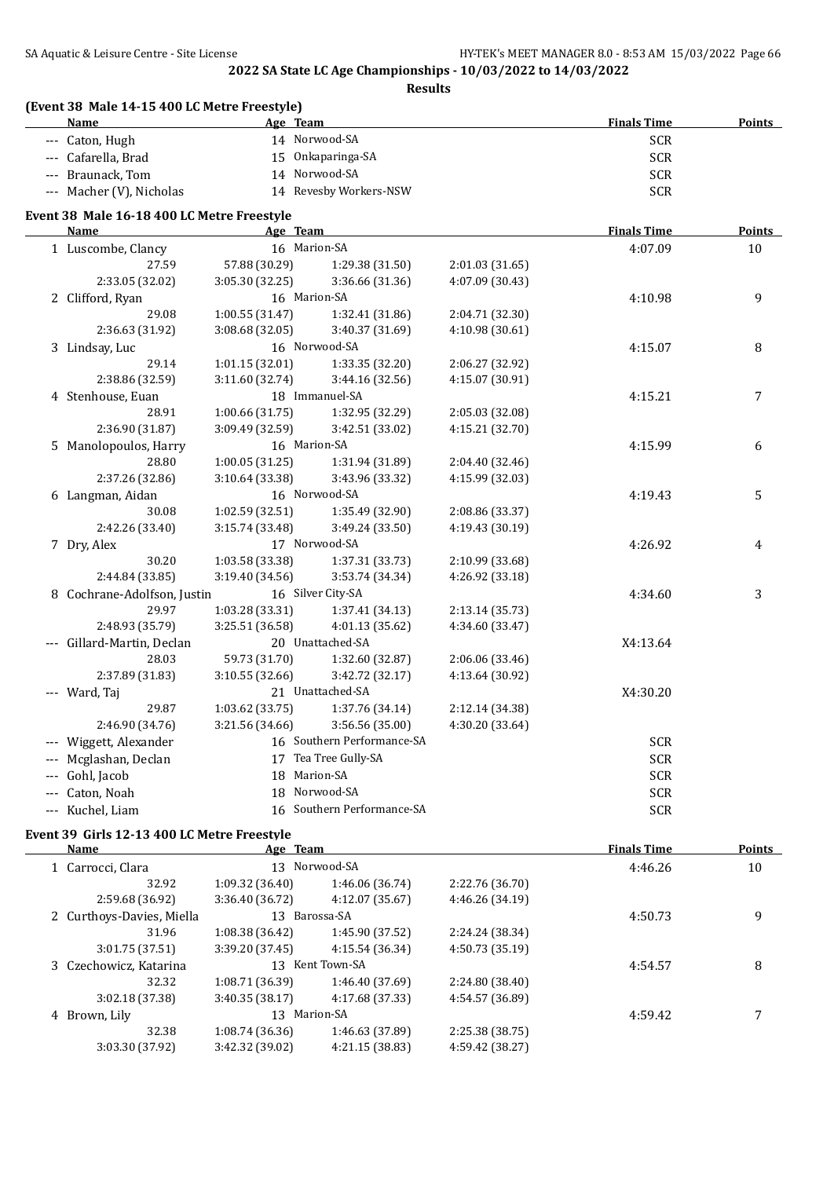**Results**

| (Event 38 Male 14-15 400 LC Metre Freestyle)<br><b>Name</b> |                 | Age Team                   |                 | <b>Finals Time</b> | <b>Points</b> |
|-------------------------------------------------------------|-----------------|----------------------------|-----------------|--------------------|---------------|
| --- Caton, Hugh                                             |                 | 14 Norwood-SA              |                 | <b>SCR</b>         |               |
| --- Cafarella, Brad                                         |                 | 15 Onkaparinga-SA          |                 | <b>SCR</b>         |               |
| --- Braunack, Tom                                           |                 | 14 Norwood-SA              |                 | <b>SCR</b>         |               |
| --- Macher (V), Nicholas                                    |                 | 14 Revesby Workers-NSW     |                 | <b>SCR</b>         |               |
| Event 38 Male 16-18 400 LC Metre Freestyle                  |                 |                            |                 |                    |               |
| <b>Name</b>                                                 |                 | Age Team                   |                 | <b>Finals Time</b> | <b>Points</b> |
| 1 Luscombe, Clancy                                          |                 | 16 Marion-SA               |                 | 4:07.09            | 10            |
| 27.59                                                       | 57.88 (30.29)   | 1:29.38 (31.50)            | 2:01.03 (31.65) |                    |               |
| 2:33.05 (32.02)                                             | 3:05.30 (32.25) | 3:36.66 (31.36)            | 4:07.09 (30.43) |                    |               |
| 2 Clifford, Ryan                                            |                 | 16 Marion-SA               |                 | 4:10.98            | 9             |
| 29.08                                                       | 1:00.55(31.47)  | 1:32.41 (31.86)            | 2:04.71 (32.30) |                    |               |
| 2:36.63 (31.92)                                             | 3:08.68 (32.05) | 3:40.37 (31.69)            | 4:10.98 (30.61) |                    |               |
| 3 Lindsay, Luc                                              |                 | 16 Norwood-SA              |                 | 4:15.07            | 8             |
| 29.14                                                       | 1:01.15(32.01)  | 1:33.35 (32.20)            | 2:06.27 (32.92) |                    |               |
| 2:38.86 (32.59)                                             | 3:11.60 (32.74) | 3:44.16 (32.56)            | 4:15.07 (30.91) |                    |               |
| 4 Stenhouse, Euan                                           |                 | 18 Immanuel-SA             |                 | 4:15.21            | 7             |
| 28.91                                                       | 1:00.66(31.75)  | 1:32.95 (32.29)            | 2:05.03 (32.08) |                    |               |
| 2:36.90 (31.87)                                             | 3:09.49 (32.59) | 3:42.51 (33.02)            | 4:15.21 (32.70) |                    |               |
| 5 Manolopoulos, Harry                                       |                 | 16 Marion-SA               |                 | 4:15.99            | 6             |
| 28.80                                                       | 1:00.05(31.25)  | 1:31.94 (31.89)            | 2:04.40 (32.46) |                    |               |
| 2:37.26 (32.86)                                             | 3:10.64 (33.38) | 3:43.96 (33.32)            | 4:15.99 (32.03) |                    |               |
| 6 Langman, Aidan                                            |                 | 16 Norwood-SA              |                 | 4:19.43            | 5             |
| 30.08                                                       | 1:02.59 (32.51) | 1:35.49 (32.90)            | 2:08.86 (33.37) |                    |               |
| 2:42.26 (33.40)                                             | 3:15.74 (33.48) | 3:49.24 (33.50)            | 4:19.43 (30.19) |                    |               |
| 7 Dry, Alex                                                 |                 | 17 Norwood-SA              |                 | 4:26.92            | 4             |
| 30.20                                                       | 1:03.58 (33.38) | 1:37.31 (33.73)            | 2:10.99 (33.68) |                    |               |
| 2:44.84 (33.85)                                             | 3:19.40 (34.56) | 3:53.74 (34.34)            | 4:26.92 (33.18) |                    |               |
| 8 Cochrane-Adolfson, Justin                                 |                 | 16 Silver City-SA          |                 | 4:34.60            | 3             |
| 29.97                                                       | 1:03.28 (33.31) | 1:37.41 (34.13)            | 2:13.14 (35.73) |                    |               |
| 2:48.93 (35.79)                                             | 3:25.51 (36.58) | 4:01.13 (35.62)            | 4:34.60 (33.47) |                    |               |
| --- Gillard-Martin, Declan                                  |                 | 20 Unattached-SA           |                 | X4:13.64           |               |
| 28.03                                                       | 59.73 (31.70)   | 1:32.60 (32.87)            | 2:06.06 (33.46) |                    |               |
| 2:37.89 (31.83)                                             | 3:10.55(32.66)  | 3:42.72 (32.17)            | 4:13.64 (30.92) |                    |               |
| --- Ward, Taj                                               |                 | 21 Unattached-SA           |                 | X4:30.20           |               |
| 29.87                                                       | 1:03.62 (33.75) | 1:37.76 (34.14)            | 2:12.14 (34.38) |                    |               |
| 2:46.90 (34.76)                                             | 3:21.56 (34.66) | 3:56.56 (35.00)            | 4:30.20 (33.64) |                    |               |
| --- Wiggett, Alexander                                      |                 | 16 Southern Performance-SA |                 | <b>SCR</b>         |               |
| --- Mcglashan, Declan                                       |                 | 17 Tea Tree Gully-SA       |                 | <b>SCR</b>         |               |
| --- Gohl, Jacob                                             |                 | 18 Marion-SA               |                 | <b>SCR</b>         |               |
| --- Caton, Noah                                             |                 | 18 Norwood-SA              |                 | <b>SCR</b>         |               |
| --- Kuchel, Liam                                            |                 | 16 Southern Performance-SA |                 | <b>SCR</b>         |               |
|                                                             |                 |                            |                 |                    |               |
| Event 39 Girls 12-13 400 LC Metre Freestyle<br>Name         |                 | Age Team                   |                 | <b>Finals Time</b> | <b>Points</b> |
| 1 Carrocci, Clara                                           |                 | 13 Norwood-SA              |                 | 4:46.26            | 10            |
| 32.92                                                       | 1:09.32 (36.40) | 1:46.06 (36.74)            | 2:22.76 (36.70) |                    |               |
| 2:59.68 (36.92)                                             | 3:36.40 (36.72) | 4:12.07 (35.67)            | 4:46.26 (34.19) |                    |               |
| 2 Curthoys-Davies, Miella                                   |                 | 13 Barossa-SA              |                 | 4:50.73            | 9             |
| 31.96                                                       | 1:08.38 (36.42) | 1:45.90 (37.52)            | 2:24.24 (38.34) |                    |               |
| 3:01.75 (37.51)                                             | 3:39.20 (37.45) | 4:15.54 (36.34)            | 4:50.73 (35.19) |                    |               |
| 3 Czechowicz, Katarina                                      |                 | 13 Kent Town-SA            |                 | 4:54.57            | 8             |
| 32.32                                                       | 1:08.71 (36.39) | 1:46.40 (37.69)            | 2:24.80 (38.40) |                    |               |
| 3:02.18 (37.38)                                             | 3:40.35 (38.17) | 4:17.68 (37.33)            | 4:54.57 (36.89) |                    |               |
| 4 Brown, Lily                                               |                 | 13 Marion-SA               |                 |                    | 7             |
| 32.38                                                       | 1:08.74 (36.36) |                            |                 | 4:59.42            |               |
|                                                             |                 | 1:46.63 (37.89)            | 2:25.38 (38.75) |                    |               |

3:03.30 (37.92) 3:42.32 (39.02) 4:21.15 (38.83) 4:59.42 (38.27)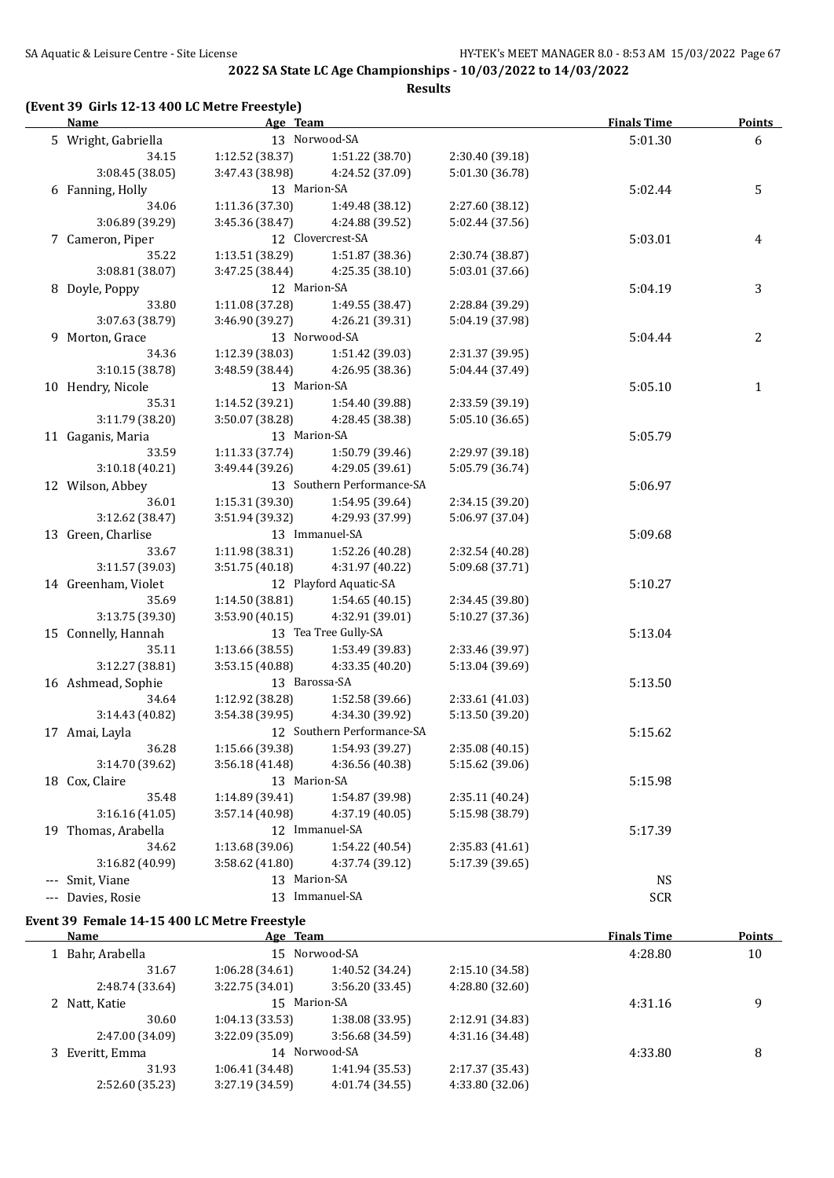**Results**

## **(Event 39 Girls 12-13 400 LC Metre Freestyle)**

|     | <b>Name</b>         | Age Team        |                            |                 | <b>Finals Time</b> | <b>Points</b> |
|-----|---------------------|-----------------|----------------------------|-----------------|--------------------|---------------|
|     | 5 Wright, Gabriella |                 | 13 Norwood-SA              |                 | 5:01.30            | 6             |
|     | 34.15               | 1:12.52 (38.37) | 1:51.22 (38.70)            | 2:30.40 (39.18) |                    |               |
|     | 3:08.45 (38.05)     | 3:47.43 (38.98) | 4:24.52 (37.09)            | 5:01.30 (36.78) |                    |               |
|     | 6 Fanning, Holly    | 13 Marion-SA    |                            |                 | 5:02.44            | 5             |
|     | 34.06               | 1:11.36 (37.30) | 1:49.48 (38.12)            | 2:27.60 (38.12) |                    |               |
|     | 3:06.89 (39.29)     | 3:45.36 (38.47) | 4:24.88 (39.52)            | 5:02.44 (37.56) |                    |               |
|     | 7 Cameron, Piper    |                 | 12 Clovercrest-SA          |                 | 5:03.01            | 4             |
|     | 35.22               | 1:13.51 (38.29) | 1:51.87 (38.36)            | 2:30.74 (38.87) |                    |               |
|     | 3:08.81 (38.07)     | 3:47.25 (38.44) | 4:25.35 (38.10)            | 5:03.01 (37.66) |                    |               |
|     | 8 Doyle, Poppy      | 12 Marion-SA    |                            |                 | 5:04.19            | 3             |
|     | 33.80               | 1:11.08 (37.28) | 1:49.55 (38.47)            | 2:28.84 (39.29) |                    |               |
|     | 3:07.63 (38.79)     | 3:46.90 (39.27) | 4:26.21 (39.31)            | 5:04.19 (37.98) |                    |               |
|     | 9 Morton, Grace     |                 | 13 Norwood-SA              |                 | 5:04.44            | 2             |
|     | 34.36               | 1:12.39 (38.03) | 1:51.42 (39.03)            | 2:31.37 (39.95) |                    |               |
|     | 3:10.15(38.78)      | 3:48.59 (38.44) | 4:26.95 (38.36)            | 5:04.44 (37.49) |                    |               |
|     | 10 Hendry, Nicole   | 13 Marion-SA    |                            |                 | 5:05.10            | $\mathbf{1}$  |
|     | 35.31               | 1:14.52 (39.21) | 1:54.40 (39.88)            | 2:33.59 (39.19) |                    |               |
|     | 3:11.79 (38.20)     | 3:50.07 (38.28) | 4:28.45 (38.38)            | 5:05.10 (36.65) |                    |               |
|     | 11 Gaganis, Maria   | 13 Marion-SA    |                            |                 | 5:05.79            |               |
|     | 33.59               | 1:11.33 (37.74) | 1:50.79 (39.46)            | 2:29.97 (39.18) |                    |               |
|     | 3:10.18(40.21)      | 3:49.44 (39.26) | 4:29.05 (39.61)            | 5:05.79 (36.74) |                    |               |
|     | 12 Wilson, Abbey    |                 | 13 Southern Performance-SA |                 | 5:06.97            |               |
|     | 36.01               | 1:15.31 (39.30) | 1:54.95 (39.64)            | 2:34.15 (39.20) |                    |               |
|     | 3:12.62 (38.47)     | 3:51.94 (39.32) | 4:29.93 (37.99)            | 5:06.97 (37.04) |                    |               |
|     | 13 Green, Charlise  |                 | 13 Immanuel-SA             |                 | 5:09.68            |               |
|     | 33.67               | 1:11.98 (38.31) | 1:52.26 (40.28)            | 2:32.54 (40.28) |                    |               |
|     | 3:11.57 (39.03)     | 3:51.75(40.18)  | 4:31.97 (40.22)            | 5:09.68 (37.71) |                    |               |
|     | 14 Greenham, Violet |                 | 12 Playford Aquatic-SA     |                 | 5:10.27            |               |
|     | 35.69               | 1:14.50 (38.81) | 1:54.65(40.15)             | 2:34.45 (39.80) |                    |               |
|     | 3:13.75 (39.30)     | 3:53.90(40.15)  | 4:32.91 (39.01)            | 5:10.27 (37.36) |                    |               |
|     | 15 Connelly, Hannah |                 | 13 Tea Tree Gully-SA       |                 | 5:13.04            |               |
|     | 35.11               | 1:13.66(38.55)  | 1:53.49 (39.83)            | 2:33.46 (39.97) |                    |               |
|     | 3:12.27 (38.81)     | 3:53.15(40.88)  | 4:33.35 (40.20)            | 5:13.04 (39.69) |                    |               |
|     | 16 Ashmead, Sophie  | 13 Barossa-SA   |                            |                 | 5:13.50            |               |
|     | 34.64               | 1:12.92 (38.28) | 1:52.58 (39.66)            | 2:33.61 (41.03) |                    |               |
|     | 3:14.43 (40.82)     | 3:54.38(39.95)  | 4:34.30 (39.92)            | 5:13.50 (39.20) |                    |               |
|     | 17 Amai, Layla      |                 | 12 Southern Performance-SA |                 | 5:15.62            |               |
|     | 36.28               | 1:15.66 (39.38) | 1:54.93 (39.27)            | 2:35.08 (40.15) |                    |               |
|     | 3:14.70 (39.62)     | 3:56.18 (41.48) | 4:36.56 (40.38)            | 5:15.62 (39.06) |                    |               |
|     | 18 Cox, Claire      | 13 Marion-SA    |                            |                 | 5:15.98            |               |
|     | 35.48               | 1:14.89 (39.41) | 1:54.87 (39.98)            | 2:35.11 (40.24) |                    |               |
|     | 3:16.16(41.05)      | 3:57.14 (40.98) | 4:37.19 (40.05)            | 5:15.98 (38.79) |                    |               |
|     | 19 Thomas, Arabella |                 | 12 Immanuel-SA             |                 | 5:17.39            |               |
|     | 34.62               | 1:13.68(39.06)  | 1:54.22 (40.54)            | 2:35.83 (41.61) |                    |               |
|     | 3:16.82 (40.99)     | 3:58.62 (41.80) | 4:37.74 (39.12)            | 5:17.39 (39.65) |                    |               |
| --- | Smit, Viane         | 13 Marion-SA    |                            |                 | <b>NS</b>          |               |
|     | --- Davies, Rosie   |                 | 13 Immanuel-SA             |                 | <b>SCR</b>         |               |

## **Event 39 Female 14-15 400 LC Metre Freestyle**

| <b>Name</b>      | Age Team        |                 |                 | <b>Finals Time</b> | <b>Points</b> |
|------------------|-----------------|-----------------|-----------------|--------------------|---------------|
| 1 Bahr, Arabella |                 | 15 Norwood-SA   |                 | 4:28.80            | 10            |
| 31.67            | 1:06.28(34.61)  | 1:40.52 (34.24) | 2:15.10(34.58)  |                    |               |
| 2:48.74 (33.64)  | 3:22.75(34.01)  | 3:56.20(33.45)  | 4:28.80 (32.60) |                    |               |
| 2 Natt, Katie    | 15 Marion-SA    |                 |                 | 4:31.16            | 9             |
| 30.60            | 1:04.13(33.53)  | 1:38.08(33.95)  | 2:12.91 (34.83) |                    |               |
| 2:47.00 (34.09)  | 3:22.09 (35.09) | 3:56.68 (34.59) | 4:31.16 (34.48) |                    |               |
| 3 Everitt, Emma  |                 | 14 Norwood-SA   |                 | 4:33.80            | 8             |
| 31.93            | 1:06.41(34.48)  | 1:41.94 (35.53) | 2:17.37 (35.43) |                    |               |
| 2:52.60 (35.23)  | 3:27.19 (34.59) | 4:01.74 (34.55) | 4:33.80 (32.06) |                    |               |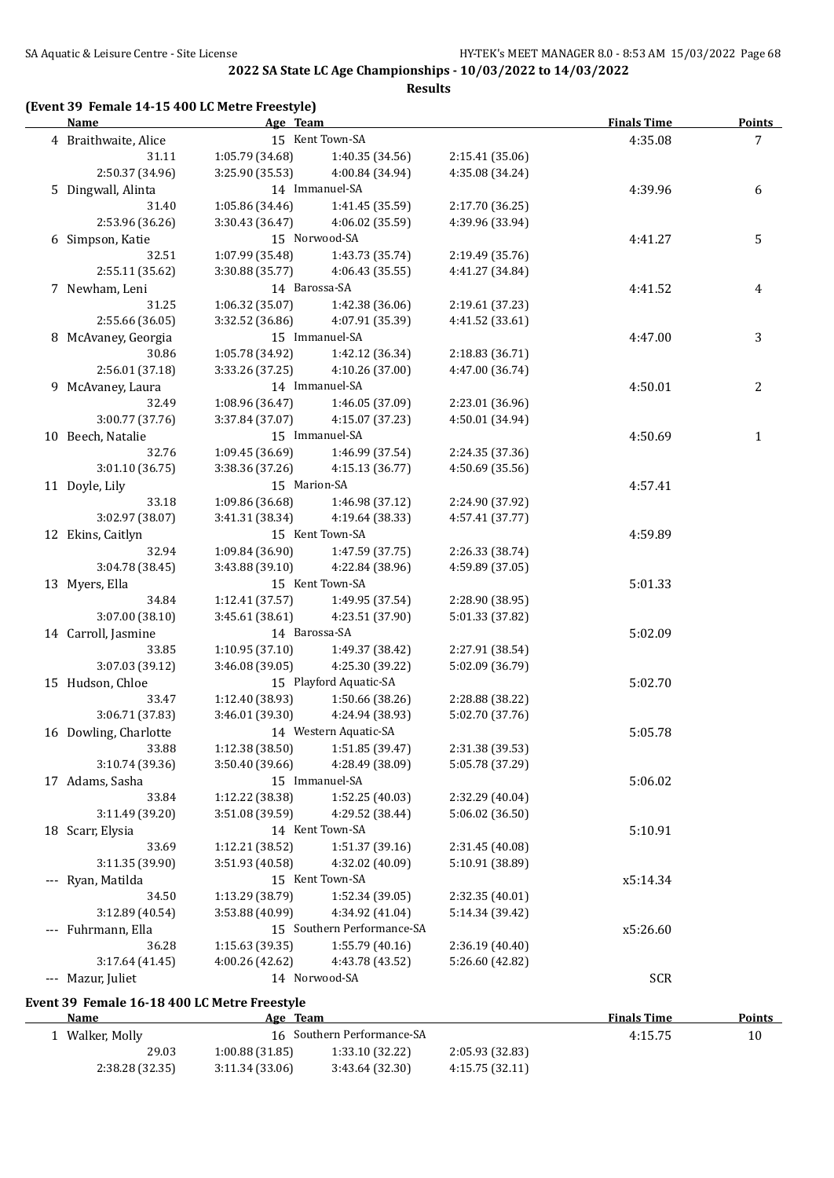**Results**

#### **(Event 39 Female 14-15 400 LC Metre Freestyle)**

| <b>Name</b>                                  | Age Team        |                                   |                                    | <b>Finals Time</b> | <b>Points</b>  |
|----------------------------------------------|-----------------|-----------------------------------|------------------------------------|--------------------|----------------|
| 4 Braithwaite, Alice                         |                 | 15 Kent Town-SA                   |                                    | 4:35.08            | 7 <sup>1</sup> |
| 31.11                                        | 1:05.79 (34.68) | 1:40.35 (34.56)                   | 2:15.41 (35.06)                    |                    |                |
| 2:50.37 (34.96)                              | 3:25.90 (35.53) | 4:00.84 (34.94)                   | 4:35.08 (34.24)                    |                    |                |
| 5 Dingwall, Alinta                           |                 | 14 Immanuel-SA                    |                                    | 4:39.96            | 6              |
| 31.40                                        | 1:05.86 (34.46) | 1:41.45 (35.59)                   | 2:17.70 (36.25)                    |                    |                |
| 2:53.96 (36.26)                              | 3:30.43 (36.47) | 4:06.02 (35.59)                   | 4:39.96 (33.94)                    |                    |                |
| 6 Simpson, Katie                             |                 | 15 Norwood-SA                     |                                    | 4:41.27            | 5              |
| 32.51                                        | 1:07.99 (35.48) | 1:43.73 (35.74)                   | 2:19.49 (35.76)                    |                    |                |
| 2:55.11 (35.62)                              | 3:30.88 (35.77) | 4:06.43 (35.55)                   | 4:41.27 (34.84)                    |                    |                |
| 7 Newham, Leni                               | 14 Barossa-SA   |                                   |                                    | 4:41.52            | 4              |
| 31.25                                        | 1:06.32 (35.07) | 1:42.38 (36.06)                   | 2:19.61 (37.23)                    |                    |                |
| 2:55.66 (36.05)                              | 3:32.52 (36.86) | 4:07.91 (35.39)                   | 4:41.52 (33.61)                    |                    |                |
| 8 McAvaney, Georgia                          |                 | 15 Immanuel-SA                    |                                    | 4:47.00            | 3              |
| 30.86                                        | 1:05.78 (34.92) | 1:42.12 (36.34)                   | 2:18.83 (36.71)                    |                    |                |
| 2:56.01 (37.18)                              | 3:33.26 (37.25) | 4:10.26 (37.00)                   | 4:47.00 (36.74)                    |                    |                |
| 9 McAvaney, Laura                            |                 | 14 Immanuel-SA                    |                                    | 4:50.01            | 2              |
| 32.49                                        | 1:08.96 (36.47) | 1:46.05 (37.09)                   | 2:23.01 (36.96)                    |                    |                |
| 3:00.77 (37.76)                              | 3:37.84 (37.07) | 4:15.07 (37.23)                   | 4:50.01 (34.94)                    |                    |                |
| 10 Beech, Natalie                            |                 | 15 Immanuel-SA                    |                                    | 4:50.69            | $\mathbf{1}$   |
| 32.76                                        | 1:09.45 (36.69) | 1:46.99 (37.54)                   | 2:24.35 (37.36)                    |                    |                |
| 3:01.10(36.75)                               | 3:38.36 (37.26) | 4:15.13 (36.77)                   | 4:50.69 (35.56)                    |                    |                |
| 11 Doyle, Lily                               | 15 Marion-SA    |                                   |                                    | 4:57.41            |                |
| 33.18                                        |                 | $1:09.86(36.68)$ $1:46.98(37.12)$ | 2:24.90 (37.92)                    |                    |                |
| 3:02.97 (38.07)                              | 3:41.31 (38.34) | 4:19.64 (38.33)                   | 4:57.41 (37.77)                    |                    |                |
| 12 Ekins, Caitlyn                            |                 | 15 Kent Town-SA                   |                                    | 4:59.89            |                |
| 32.94                                        |                 | $1:09.84(36.90)$ $1:47.59(37.75)$ |                                    |                    |                |
| 3:04.78 (38.45)                              | 3:43.88 (39.10) | 4:22.84 (38.96)                   | 2:26.33 (38.74)<br>4:59.89 (37.05) |                    |                |
| 13 Myers, Ella                               |                 | 15 Kent Town-SA                   |                                    |                    |                |
|                                              |                 |                                   |                                    | 5:01.33            |                |
| 34.84                                        | 1:12.41(37.57)  | 1:49.95 (37.54)                   | 2:28.90 (38.95)                    |                    |                |
| 3:07.00 (38.10)                              | 3:45.61(38.61)  | 4:23.51 (37.90)                   | 5:01.33 (37.82)                    |                    |                |
| 14 Carroll, Jasmine                          | 14 Barossa-SA   |                                   |                                    | 5:02.09            |                |
| 33.85                                        |                 | $1:10.95(37.10)$ $1:49.37(38.42)$ | 2:27.91 (38.54)                    |                    |                |
| 3:07.03 (39.12)                              | 3:46.08(39.05)  | 4:25.30 (39.22)                   | 5:02.09 (36.79)                    |                    |                |
| 15 Hudson, Chloe                             |                 | 15 Playford Aquatic-SA            |                                    | 5:02.70            |                |
| 33.47                                        |                 | 1:12.40 (38.93) 1:50.66 (38.26)   | 2:28.88 (38.22)                    |                    |                |
| 3:06.71 (37.83)                              | 3:46.01 (39.30) | 4:24.94 (38.93)                   | 5:02.70 (37.76)                    |                    |                |
| 16 Dowling, Charlotte                        |                 | 14 Western Aquatic-SA             |                                    | 5:05.78            |                |
| 33.88                                        | 1:12.38 (38.50) | 1:51.85 (39.47)                   | 2:31.38 (39.53)                    |                    |                |
| 3:10.74 (39.36)                              | 3:50.40 (39.66) | 4:28.49 (38.09)                   | 5:05.78 (37.29)                    |                    |                |
| 17 Adams, Sasha                              |                 | 15 Immanuel-SA                    |                                    | 5:06.02            |                |
| 33.84                                        | 1:12.22 (38.38) | 1:52.25 (40.03)                   | 2:32.29 (40.04)                    |                    |                |
| 3:11.49 (39.20)                              | 3:51.08 (39.59) | 4:29.52 (38.44)                   | 5:06.02 (36.50)                    |                    |                |
| 18 Scarr, Elysia                             |                 | 14 Kent Town-SA                   |                                    | 5:10.91            |                |
| 33.69                                        | 1:12.21 (38.52) | 1:51.37 (39.16)                   | 2:31.45 (40.08)                    |                    |                |
| 3:11.35 (39.90)                              | 3:51.93 (40.58) | 4:32.02 (40.09)                   | 5:10.91 (38.89)                    |                    |                |
| --- Ryan, Matilda                            |                 | 15 Kent Town-SA                   |                                    | x5:14.34           |                |
| 34.50                                        | 1:13.29 (38.79) | 1:52.34 (39.05)                   | 2:32.35 (40.01)                    |                    |                |
| 3:12.89 (40.54)                              | 3:53.88 (40.99) | 4:34.92 (41.04)                   | 5:14.34 (39.42)                    |                    |                |
| --- Fuhrmann, Ella                           |                 | 15 Southern Performance-SA        |                                    | x5:26.60           |                |
| 36.28                                        | 1:15.63 (39.35) | 1:55.79(40.16)                    | 2:36.19 (40.40)                    |                    |                |
| 3:17.64 (41.45)                              | 4:00.26 (42.62) | 4:43.78 (43.52)                   | 5:26.60 (42.82)                    |                    |                |
| --- Mazur, Juliet                            |                 | 14 Norwood-SA                     |                                    | <b>SCR</b>         |                |
| Event 39 Female 16-18 400 LC Metre Freestyle |                 |                                   |                                    |                    |                |
| Name                                         | Age Team        |                                   |                                    | <b>Finals Time</b> | <b>Points</b>  |
| 1 Walker, Molly                              |                 | 16 Southern Performance-SA        |                                    | 4:15.75            | 10             |
| 29.03                                        | 1:00.88 (31.85) | 1:33.10 (32.22)                   | 2:05.93 (32.83)                    |                    |                |
| 2:38.28 (32.35)                              | 3:11.34(33.06)  | 3:43.64 (32.30)                   | 4:15.75(32.11)                     |                    |                |
|                                              |                 |                                   |                                    |                    |                |

2:38.28 (32.35) 3:11.34 (33.06) 3:43.64 (32.30) 4:15.75 (32.11)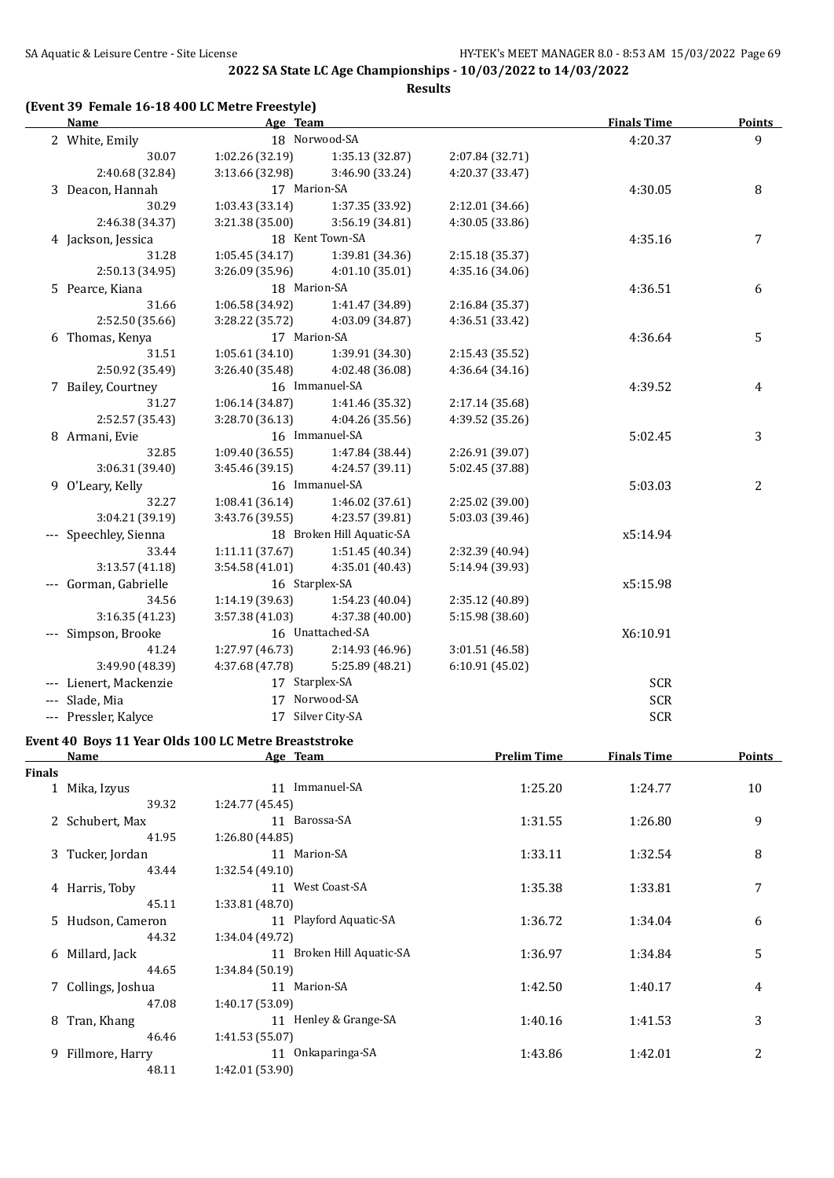**Results**

#### **(Event 39 Female 16-18 400 LC Metre Freestyle)**

| <b>Name</b>            | Age Team        |                           |                 | <b>Finals Time</b> | <b>Points</b>  |
|------------------------|-----------------|---------------------------|-----------------|--------------------|----------------|
| 2 White, Emily         |                 | 18 Norwood-SA             |                 | 4:20.37            | $\overline{9}$ |
| 30.07                  | 1:02.26 (32.19) | 1:35.13 (32.87)           | 2:07.84 (32.71) |                    |                |
| 2:40.68 (32.84)        | 3:13.66 (32.98) | 3:46.90 (33.24)           | 4:20.37 (33.47) |                    |                |
| 3 Deacon, Hannah       | 17 Marion-SA    |                           |                 | 4:30.05            | 8              |
| 30.29                  | 1:03.43(33.14)  | 1:37.35 (33.92)           | 2:12.01 (34.66) |                    |                |
| 2:46.38 (34.37)        | 3:21.38 (35.00) | 3:56.19 (34.81)           | 4:30.05 (33.86) |                    |                |
| 4 Jackson, Jessica     |                 | 18 Kent Town-SA           |                 | 4:35.16            | 7              |
| 31.28                  | 1:05.45(34.17)  | 1:39.81 (34.36)           | 2:15.18 (35.37) |                    |                |
| 2:50.13 (34.95)        | 3:26.09(35.96)  | 4:01.10 (35.01)           | 4:35.16 (34.06) |                    |                |
| 5 Pearce, Kiana        | 18 Marion-SA    |                           |                 | 4:36.51            | 6              |
| 31.66                  | 1:06.58 (34.92) | 1:41.47 (34.89)           | 2:16.84 (35.37) |                    |                |
| 2:52.50 (35.66)        | 3:28.22 (35.72) | 4:03.09 (34.87)           | 4:36.51 (33.42) |                    |                |
| 6 Thomas, Kenya        | 17 Marion-SA    |                           |                 | 4:36.64            | 5              |
| 31.51                  | 1:05.61(34.10)  | 1:39.91 (34.30)           | 2:15.43 (35.52) |                    |                |
| 2:50.92 (35.49)        | 3:26.40(35.48)  | 4:02.48 (36.08)           | 4:36.64(34.16)  |                    |                |
| 7 Bailey, Courtney     |                 | 16 Immanuel-SA            |                 | 4:39.52            | 4              |
| 31.27                  | 1:06.14 (34.87) | 1:41.46 (35.32)           | 2:17.14 (35.68) |                    |                |
| 2:52.57 (35.43)        | 3:28.70(36.13)  | 4:04.26 (35.56)           | 4:39.52 (35.26) |                    |                |
| 8 Armani, Evie         |                 | 16 Immanuel-SA            |                 | 5:02.45            | 3              |
| 32.85                  | 1:09.40(36.55)  | 1:47.84 (38.44)           | 2:26.91 (39.07) |                    |                |
| 3:06.31 (39.40)        | 3:45.46(39.15)  | 4:24.57 (39.11)           | 5:02.45 (37.88) |                    |                |
| 9 O'Leary, Kelly       |                 | 16 Immanuel-SA            |                 | 5:03.03            | 2              |
| 32.27                  | 1:08.41(36.14)  | 1:46.02 (37.61)           | 2:25.02 (39.00) |                    |                |
| 3:04.21 (39.19)        | 3:43.76 (39.55) | 4:23.57 (39.81)           | 5:03.03 (39.46) |                    |                |
| --- Speechley, Sienna  |                 | 18 Broken Hill Aquatic-SA |                 | x5:14.94           |                |
| 33.44                  | 1:11.11(37.67)  | 1:51.45(40.34)            | 2:32.39 (40.94) |                    |                |
| 3:13.57(41.18)         | 3:54.58(41.01)  | 4:35.01(40.43)            | 5:14.94 (39.93) |                    |                |
| --- Gorman, Gabrielle  | 16 Starplex-SA  |                           |                 | x5:15.98           |                |
| 34.56                  | 1:14.19(39.63)  | 1:54.23 (40.04)           | 2:35.12 (40.89) |                    |                |
| 3:16.35 (41.23)        | 3:57.38 (41.03) | 4:37.38 (40.00)           | 5:15.98 (38.60) |                    |                |
| --- Simpson, Brooke    |                 | 16 Unattached-SA          |                 | X6:10.91           |                |
| 41.24                  | 1:27.97(46.73)  | 2:14.93 (46.96)           | 3:01.51 (46.58) |                    |                |
| 3:49.90 (48.39)        | 4:37.68 (47.78) | 5:25.89 (48.21)           | 6:10.91(45.02)  |                    |                |
| --- Lienert, Mackenzie | 17 Starplex-SA  |                           |                 | SCR                |                |
| --- Slade, Mia         |                 | 17 Norwood-SA             |                 | <b>SCR</b>         |                |
| --- Pressler, Kalyce   |                 | 17 Silver City-SA         |                 | <b>SCR</b>         |                |

# **Event 40 Boys 11 Year Olds 100 LC Metre Breaststroke**

|               | <b>Name</b>        | Age Team                  | <b>Prelim Time</b> | <b>Finals Time</b> | Points |
|---------------|--------------------|---------------------------|--------------------|--------------------|--------|
| <b>Finals</b> |                    |                           |                    |                    |        |
|               | 1 Mika, Izyus      | Immanuel-SA<br>11         | 1:25.20            | 1:24.77            | 10     |
|               | 39.32              | 1:24.77 (45.45)           |                    |                    |        |
|               | 2 Schubert, Max    | 11 Barossa-SA             | 1:31.55            | 1:26.80            | 9      |
|               | 41.95              | 1:26.80(44.85)            |                    |                    |        |
|               | 3 Tucker, Jordan   | 11 Marion-SA              | 1:33.11            | 1:32.54            | 8      |
|               | 43.44              | 1:32.54(49.10)            |                    |                    |        |
|               | 4 Harris, Toby     | 11 West Coast-SA          | 1:35.38            | 1:33.81            | 7      |
|               | 45.11              | 1:33.81(48.70)            |                    |                    |        |
|               | 5 Hudson, Cameron  | 11 Playford Aquatic-SA    | 1:36.72            | 1:34.04            | 6      |
|               | 44.32              | 1:34.04 (49.72)           |                    |                    |        |
|               | 6 Millard, Jack    | 11 Broken Hill Aquatic-SA | 1:36.97            | 1:34.84            | 5      |
|               | 44.65              | 1:34.84(50.19)            |                    |                    |        |
|               | 7 Collings, Joshua | 11 Marion-SA              | 1:42.50            | 1:40.17            | 4      |
|               | 47.08              | 1:40.17 (53.09)           |                    |                    |        |
| 8             | Tran, Khang        | 11 Henley & Grange-SA     | 1:40.16            | 1:41.53            | 3      |
|               | 46.46              | 1:41.53 (55.07)           |                    |                    |        |
|               | 9 Fillmore, Harry  | Onkaparinga-SA<br>11      | 1:43.86            | 1:42.01            | 2      |
|               | 48.11              | 1:42.01 (53.90)           |                    |                    |        |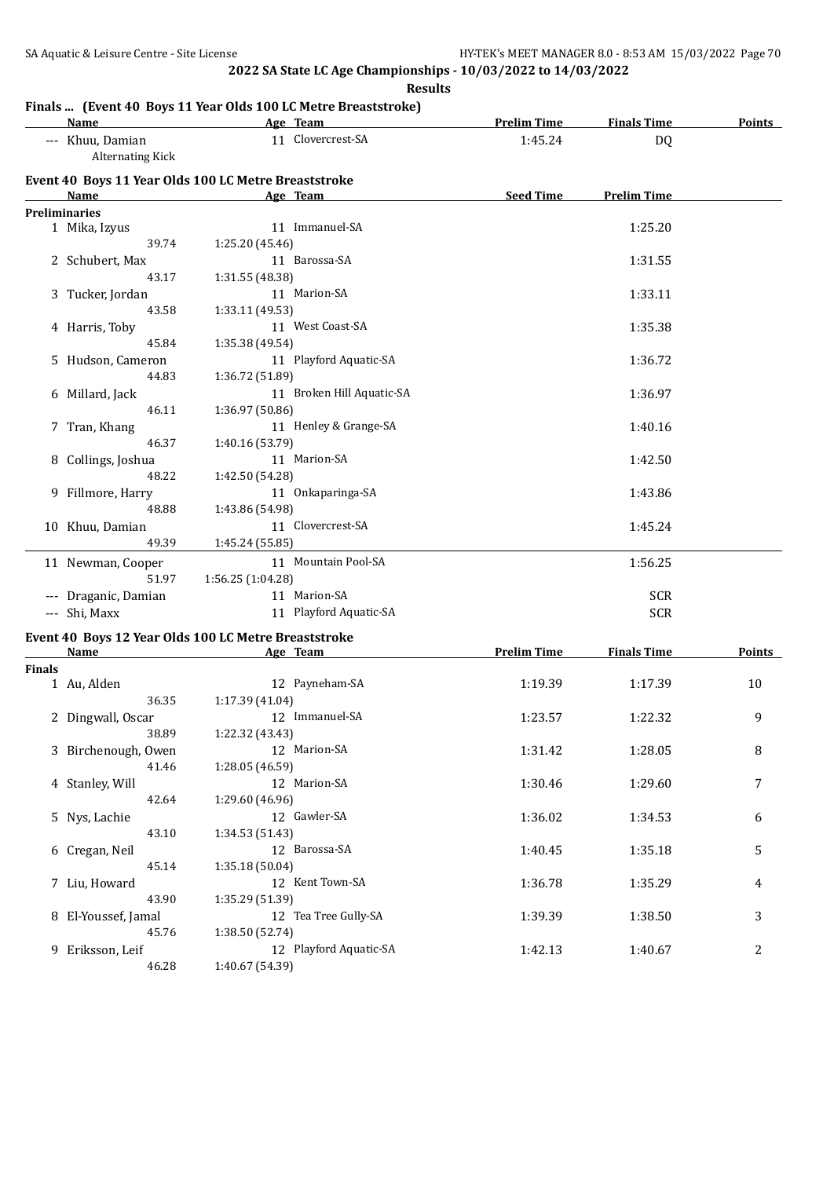**Results** 

# **Finals ... (Event 40 Boys 11 Year Olds 100 LC Metre Breaststroke)**

| Name<br>the company of the company of the company of | Age Team                                             | <b>Prelim Time</b> | <b>Finals Time</b> | <b>Points</b> |
|------------------------------------------------------|------------------------------------------------------|--------------------|--------------------|---------------|
| --- Khuu, Damian<br>Alternating Kick                 | 11 Clovercrest-SA                                    | 1:45.24            | D <sub>0</sub>     |               |
|                                                      | Event 40 Boys 11 Year Olds 100 LC Metre Breaststroke |                    |                    |               |
| Name                                                 | Age Team                                             | <b>Seed Time</b>   | <b>Prelim Time</b> |               |
| <b>Preliminaries</b>                                 |                                                      |                    |                    |               |
| 1 Mika, Izyus                                        | 11 Immanuel-SA                                       |                    | 1:25.20            |               |
| 39.74                                                | 1:25.20 (45.46)                                      |                    |                    |               |
| 2 Schubert, Max                                      | 11 Barossa-SA                                        |                    | 1:31.55            |               |
| 43.17                                                | 1:31.55 (48.38)                                      |                    |                    |               |
| 3 Tucker, Jordan                                     | 11 Marion-SA                                         |                    | 1:33.11            |               |
| 43.58                                                | 1:33.11 (49.53)                                      |                    |                    |               |
| 4 Harris, Toby                                       | 11 West Coast-SA                                     |                    | 1:35.38            |               |
| 45.84                                                | 1:35.38 (49.54)                                      |                    |                    |               |
| 5 Hudson, Cameron                                    | 11 Playford Aquatic-SA                               |                    | 1:36.72            |               |
| 44.83                                                | 1:36.72 (51.89)                                      |                    |                    |               |
| 6 Millard, Jack                                      | 11 Broken Hill Aquatic-SA                            |                    | 1:36.97            |               |
| 46.11                                                | 1:36.97 (50.86)                                      |                    |                    |               |
| 7 Tran, Khang                                        | 11 Henley & Grange-SA                                |                    | 1:40.16            |               |
| 46.37                                                | 1:40.16 (53.79)                                      |                    |                    |               |
| 8 Collings, Joshua                                   | 11 Marion-SA                                         |                    | 1:42.50            |               |
| 48.22                                                | 1:42.50 (54.28)                                      |                    |                    |               |
| 9 Fillmore, Harry                                    | 11 Onkaparinga-SA                                    |                    | 1:43.86            |               |
| 48.88                                                | 1:43.86 (54.98)                                      |                    |                    |               |
| 10 Khuu, Damian                                      | 11 Clovercrest-SA                                    |                    | 1:45.24            |               |
| 49.39                                                | 1:45.24(55.85)                                       |                    |                    |               |
| 11 Newman, Cooper                                    | 11 Mountain Pool-SA                                  |                    | 1:56.25            |               |
| 51.97                                                | 1:56.25 (1:04.28)                                    |                    |                    |               |
| --- Draganic, Damian                                 | 11 Marion-SA                                         |                    | <b>SCR</b>         |               |
| --- Shi, Maxx                                        | 11 Playford Aquatic-SA                               |                    | <b>SCR</b>         |               |

# **Event 40 Boys 12 Year Olds 100 LC Metre Breaststroke**

|               | Name                | Age Team               | <b>Prelim Time</b> | <b>Finals Time</b> | Points         |
|---------------|---------------------|------------------------|--------------------|--------------------|----------------|
| <b>Finals</b> |                     |                        |                    |                    |                |
|               | 1 Au, Alden         | 12 Payneham-SA         | 1:19.39            | 1:17.39            | 10             |
|               | 36.35               | 1:17.39(41.04)         |                    |                    |                |
|               | 2 Dingwall, Oscar   | 12 Immanuel-SA         | 1:23.57            | 1:22.32            | 9              |
|               | 38.89               | 1:22.32 (43.43)        |                    |                    |                |
|               | 3 Birchenough, Owen | 12 Marion-SA           | 1:31.42            | 1:28.05            | 8              |
|               | 41.46               | 1:28.05(46.59)         |                    |                    |                |
|               | 4 Stanley, Will     | 12 Marion-SA           | 1:30.46            | 1:29.60            | 7              |
|               | 42.64               | 1:29.60(46.96)         |                    |                    |                |
|               | 5 Nys, Lachie       | 12 Gawler-SA           | 1:36.02            | 1:34.53            | 6              |
|               | 43.10               | 1:34.53(51.43)         |                    |                    |                |
|               | 6 Cregan, Neil      | 12 Barossa-SA          | 1:40.45            | 1:35.18            | 5              |
|               | 45.14               | 1:35.18(50.04)         |                    |                    |                |
|               | 7 Liu, Howard       | 12 Kent Town-SA        | 1:36.78            | 1:35.29            | 4              |
|               | 43.90               | 1:35.29 (51.39)        |                    |                    |                |
|               | 8 El-Youssef, Jamal | 12 Tea Tree Gully-SA   | 1:39.39            | 1:38.50            | 3              |
|               | 45.76               | 1:38.50(52.74)         |                    |                    |                |
|               | 9 Eriksson, Leif    | 12 Playford Aquatic-SA | 1:42.13            | 1:40.67            | $\overline{2}$ |
|               | 46.28               | 1:40.67 (54.39)        |                    |                    |                |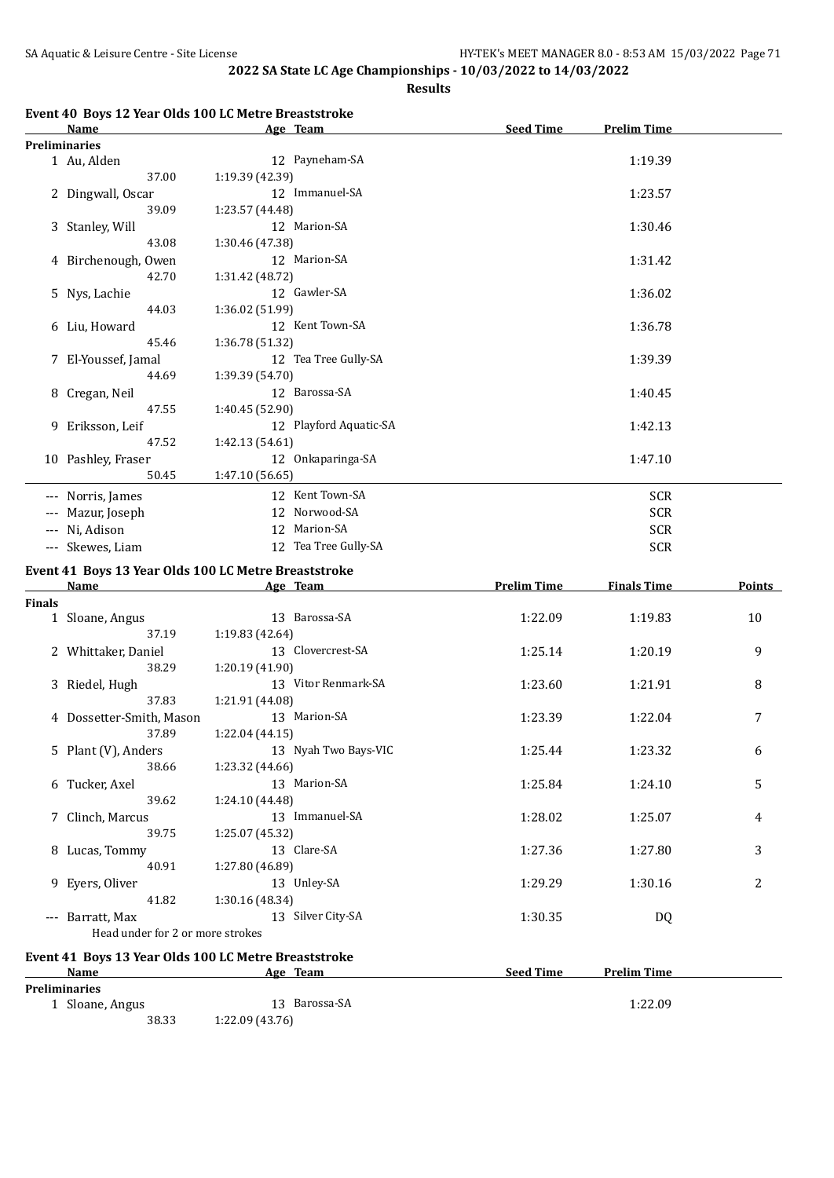**Results**

|  |  |  |  | Event 40 Boys 12 Year Olds 100 LC Metre Breaststroke |
|--|--|--|--|------------------------------------------------------|
|--|--|--|--|------------------------------------------------------|

|               | Name                             | Age Team                                             | <b>Seed Time</b>   | <b>Prelim Time</b> |        |
|---------------|----------------------------------|------------------------------------------------------|--------------------|--------------------|--------|
|               | <b>Preliminaries</b>             |                                                      |                    |                    |        |
|               | 1 Au, Alden                      | 12 Payneham-SA                                       |                    | 1:19.39            |        |
|               | 37.00                            | 1:19.39 (42.39)                                      |                    |                    |        |
|               | 2 Dingwall, Oscar                | 12 Immanuel-SA                                       |                    | 1:23.57            |        |
|               | 39.09                            | 1:23.57 (44.48)                                      |                    |                    |        |
|               | 3 Stanley, Will                  | 12 Marion-SA                                         |                    | 1:30.46            |        |
|               | 43.08                            | 1:30.46 (47.38)                                      |                    |                    |        |
|               |                                  | 12 Marion-SA                                         |                    |                    |        |
|               | 4 Birchenough, Owen              |                                                      |                    | 1:31.42            |        |
|               | 42.70                            | 1:31.42 (48.72)                                      |                    |                    |        |
|               | 5 Nys, Lachie                    | 12 Gawler-SA                                         |                    | 1:36.02            |        |
|               | 44.03                            | 1:36.02 (51.99)                                      |                    |                    |        |
|               | 6 Liu, Howard                    | 12 Kent Town-SA                                      |                    | 1:36.78            |        |
|               | 45.46                            | 1:36.78 (51.32)                                      |                    |                    |        |
|               | 7 El-Youssef, Jamal              | 12 Tea Tree Gully-SA                                 |                    | 1:39.39            |        |
|               | 44.69                            | 1:39.39 (54.70)                                      |                    |                    |        |
|               | 8 Cregan, Neil                   | 12 Barossa-SA                                        |                    | 1:40.45            |        |
|               | 47.55                            | 1:40.45 (52.90)                                      |                    |                    |        |
|               | 9 Eriksson, Leif                 | 12 Playford Aquatic-SA                               |                    | 1:42.13            |        |
|               | 47.52                            | 1:42.13 (54.61)                                      |                    |                    |        |
|               |                                  |                                                      |                    |                    |        |
|               | 10 Pashley, Fraser               | 12 Onkaparinga-SA                                    |                    | 1:47.10            |        |
|               | 50.45                            | 1:47.10 (56.65)                                      |                    |                    |        |
|               | --- Norris, James                | 12 Kent Town-SA                                      |                    | <b>SCR</b>         |        |
|               | --- Mazur, Joseph                | 12 Norwood-SA                                        |                    | <b>SCR</b>         |        |
|               | --- Ni, Adison                   | 12 Marion-SA                                         | <b>SCR</b>         |                    |        |
|               | --- Skewes, Liam                 | 12 Tea Tree Gully-SA                                 | <b>SCR</b>         |                    |        |
|               |                                  |                                                      |                    |                    |        |
|               |                                  | Event 41 Boys 13 Year Olds 100 LC Metre Breaststroke |                    |                    |        |
|               | Name                             | Age Team                                             | <b>Prelim Time</b> | <b>Finals Time</b> | Points |
| <b>Finals</b> |                                  |                                                      |                    |                    |        |
|               | 1 Sloane, Angus                  | 13 Barossa-SA                                        | 1:22.09            | 1:19.83            | 10     |
|               | 37.19                            | 1:19.83 (42.64)                                      |                    |                    |        |
|               | 2 Whittaker, Daniel              | 13 Clovercrest-SA                                    | 1:25.14            | 1:20.19            | 9      |
|               | 38.29                            | 1:20.19 (41.90)                                      |                    |                    |        |
|               | 3 Riedel, Hugh                   | 13 Vitor Renmark-SA                                  | 1:23.60            | 1:21.91            | 8      |
|               | 37.83                            | 1:21.91 (44.08)                                      |                    |                    |        |
|               | 4 Dossetter-Smith, Mason         | 13 Marion-SA                                         | 1:23.39            | 1:22.04            | 7      |
|               | 37.89                            | 1:22.04 (44.15)                                      |                    |                    |        |
|               |                                  |                                                      |                    |                    |        |
|               | 5 Plant (V), Anders              | 13 Nyah Two Bays-VIC                                 | 1:25.44            | 1:23.32            | 6      |
|               | 38.66                            | 1:23.32 (44.66)                                      |                    |                    |        |
|               | 6 Tucker, Axel                   | 13 Marion-SA                                         | 1:25.84            | 1:24.10            | 5      |
|               | 39.62                            | 1:24.10 (44.48)                                      |                    |                    |        |
|               | 7 Clinch, Marcus                 | 13 Immanuel-SA                                       | 1:28.02            | 1:25.07            | 4      |
|               | 39.75                            | 1:25.07 (45.32)                                      |                    |                    |        |
|               | 8 Lucas, Tommy                   | 13 Clare-SA                                          | 1:27.36            | 1:27.80            | 3      |
|               | 40.91                            | 1:27.80 (46.89)                                      |                    |                    |        |
|               | 9 Eyers, Oliver                  | 13 Unley-SA                                          | 1:29.29            | 1:30.16            | 2      |
|               | 41.82                            | 1:30.16 (48.34)                                      |                    |                    |        |
|               | --- Barratt, Max                 | 13 Silver City-SA                                    | 1:30.35            | DQ                 |        |
|               | Head under for 2 or more strokes |                                                      |                    |                    |        |
|               |                                  |                                                      |                    |                    |        |
|               |                                  | Event 41 Boys 13 Year Olds 100 LC Metre Breaststroke |                    |                    |        |
|               | Name                             | <u>Age Team</u>                                      | <b>Seed Time</b>   | <b>Prelim Time</b> |        |
|               | <b>Preliminaries</b>             |                                                      |                    |                    |        |
|               | 1 Sloane, Angus                  | 13 Barossa-SA                                        |                    | 1:22.09            |        |
|               | 38.33                            | 1:22.09 (43.76)                                      |                    |                    |        |
|               |                                  |                                                      |                    |                    |        |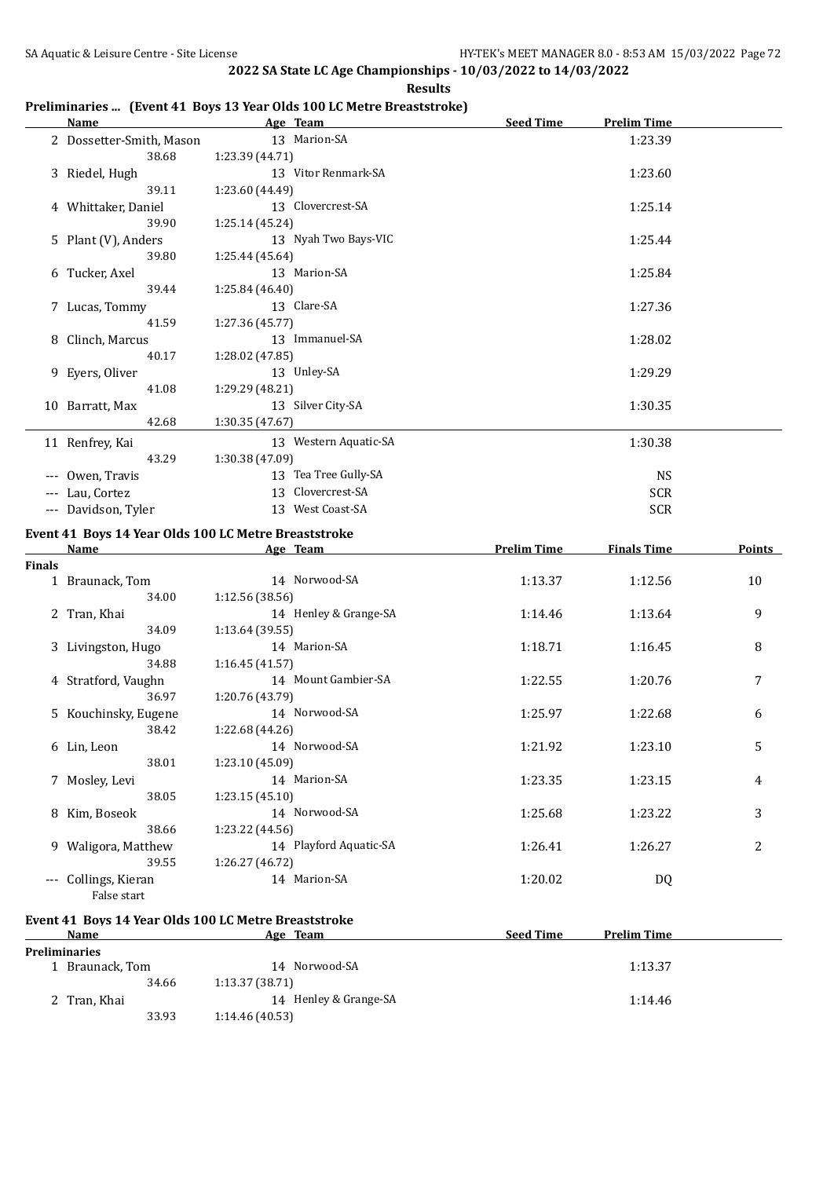|  | Preliminaries  (Event 41 Boys 13 Year Olds 100 LC Metre Breaststroke) |  |
|--|-----------------------------------------------------------------------|--|
|  |                                                                       |  |

|               | <b>Name</b>              | Age Team                                             | <b>Seed Time</b>   | <b>Prelim Time</b> |        |
|---------------|--------------------------|------------------------------------------------------|--------------------|--------------------|--------|
|               | 2 Dossetter-Smith, Mason | 13 Marion-SA                                         |                    | 1:23.39            |        |
|               | 38.68                    | 1:23.39 (44.71)                                      |                    |                    |        |
|               | 3 Riedel, Hugh           | 13 Vitor Renmark-SA                                  |                    | 1:23.60            |        |
|               | 39.11                    | 1:23.60 (44.49)                                      |                    |                    |        |
|               | 4 Whittaker, Daniel      | 13 Clovercrest-SA                                    |                    | 1:25.14            |        |
|               | 39.90                    | 1:25.14(45.24)                                       |                    |                    |        |
|               | 5 Plant (V), Anders      | 13 Nyah Two Bays-VIC                                 |                    | 1:25.44            |        |
|               | 39.80                    | 1:25.44 (45.64)                                      |                    |                    |        |
|               | 6 Tucker, Axel           | 13 Marion-SA                                         |                    | 1:25.84            |        |
|               | 39.44                    | 1:25.84 (46.40)                                      |                    |                    |        |
|               | 7 Lucas, Tommy           | 13 Clare-SA                                          |                    | 1:27.36            |        |
|               | 41.59                    | 1:27.36 (45.77)                                      |                    |                    |        |
|               | 8 Clinch, Marcus         | 13 Immanuel-SA                                       |                    | 1:28.02            |        |
|               | 40.17                    | 1:28.02 (47.85)                                      |                    |                    |        |
|               | 9 Eyers, Oliver          | 13 Unley-SA                                          |                    | 1:29.29            |        |
|               | 41.08                    | 1:29.29 (48.21)                                      |                    |                    |        |
|               | 10 Barratt, Max          | 13 Silver City-SA                                    |                    | 1:30.35            |        |
|               | 42.68                    | 1:30.35 (47.67)                                      |                    |                    |        |
|               | 11 Renfrey, Kai          | 13 Western Aquatic-SA                                |                    | 1:30.38            |        |
|               | 43.29                    | 1:30.38 (47.09)                                      |                    |                    |        |
|               | --- Owen, Travis         | 13 Tea Tree Gully-SA                                 |                    | <b>NS</b>          |        |
|               | --- Lau, Cortez          | 13 Clovercrest-SA                                    |                    | <b>SCR</b>         |        |
|               | --- Davidson, Tyler      | 13 West Coast-SA                                     |                    | <b>SCR</b>         |        |
|               |                          | Event 41 Boys 14 Year Olds 100 LC Metre Breaststroke |                    |                    |        |
|               | Name                     | Age Team                                             | <b>Prelim Time</b> | <b>Finals Time</b> | Points |
| <b>Finals</b> |                          |                                                      |                    |                    |        |
|               | 1 Braunack, Tom          | 14 Norwood-SA                                        | 1:13.37            | 1:12.56            | 10     |
|               | 34.00                    | 1:12.56(38.56)                                       |                    |                    |        |
|               | 2 Tran, Khai             | 14 Henley & Grange-SA                                | 1:14.46            | 1:13.64            | 9      |
|               | 34.09                    | 1:13.64(39.55)                                       |                    |                    |        |
|               | 3 Livingston, Hugo       | 14 Marion-SA                                         | 1:18.71            | 1:16.45            | 8      |
|               | 34.88                    | 1:16.45(41.57)                                       |                    |                    |        |
|               |                          |                                                      |                    |                    |        |

#### **Finals**

| 1 Braunack, Tom      | 14 Norwood-SA          | 1:13.37 | 1:12.56 | 10 |
|----------------------|------------------------|---------|---------|----|
| 34.00                | 1:12.56(38.56)         |         |         |    |
| 2 Tran, Khai         | 14 Henley & Grange-SA  | 1:14.46 | 1:13.64 | 9  |
| 34.09                | 1:13.64(39.55)         |         |         |    |
| 3 Livingston, Hugo   | 14 Marion-SA           | 1:18.71 | 1:16.45 | 8  |
| 34.88                | 1:16.45(41.57)         |         |         |    |
| 4 Stratford, Vaughn  | 14 Mount Gambier-SA    | 1:22.55 | 1:20.76 | 7  |
| 36.97                | 1:20.76 (43.79)        |         |         |    |
| 5 Kouchinsky, Eugene | 14 Norwood-SA          | 1:25.97 | 1:22.68 | 6  |
| 38.42                | 1:22.68 (44.26)        |         |         |    |
| 6 Lin, Leon          | 14 Norwood-SA          | 1:21.92 | 1:23.10 | 5  |
| 38.01                | 1:23.10(45.09)         |         |         |    |
| 7 Mosley, Levi       | 14 Marion-SA           | 1:23.35 | 1:23.15 | 4  |
| 38.05                | 1:23.15(45.10)         |         |         |    |
| 8 Kim, Boseok        | 14 Norwood-SA          | 1:25.68 | 1:23.22 | 3  |
| 38.66                | 1:23.22 (44.56)        |         |         |    |
| 9 Waligora, Matthew  | 14 Playford Aquatic-SA | 1:26.41 | 1:26.27 | 2  |
| 39.55                | 1:26.27(46.72)         |         |         |    |
| --- Collings, Kieran | 14 Marion-SA           | 1:20.02 | DQ      |    |
| False start          |                        |         |         |    |
|                      |                        |         |         |    |

#### **Event 41 Boys 14 Year Olds 100 LC Metre Breaststroke**

| Name                 | Age Team              | <b>Seed Time</b><br><b>Prelim Time</b> |
|----------------------|-----------------------|----------------------------------------|
| <b>Preliminaries</b> |                       |                                        |
| Braunack, Tom        | 14 Norwood-SA         | 1:13.37                                |
| 34.66                | 1:13.37(38.71)        |                                        |
| 2 Tran, Khai         | 14 Henley & Grange-SA | 1:14.46                                |
| 33.93                | 1:14.46(40.53)        |                                        |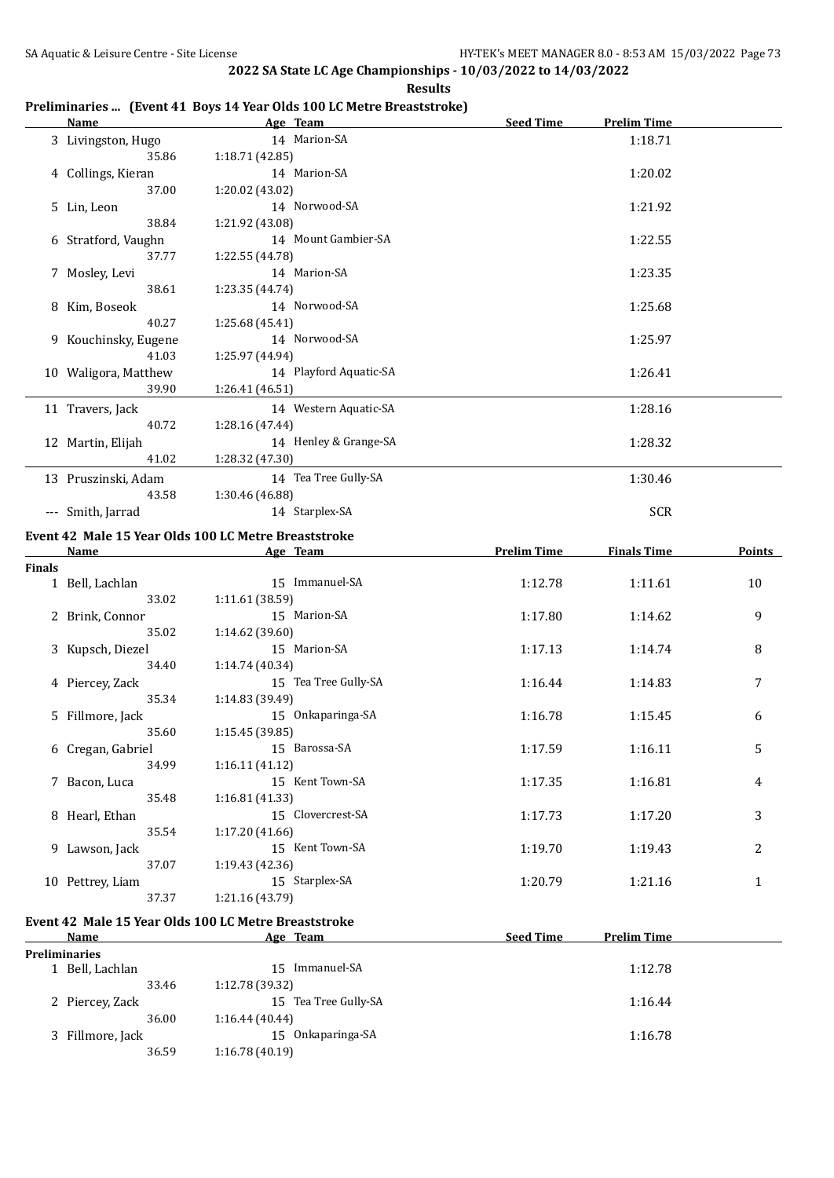**Results**

|  | Preliminaries  (Event 41 Boys 14 Year Olds 100 LC Metre Breaststroke) |  |
|--|-----------------------------------------------------------------------|--|
|  |                                                                       |  |

| 3 Livingston, Hugo<br>14 Marion-SA<br>1:18.71<br>35.86<br>1:18.71 (42.85)<br>14 Marion-SA<br>4 Collings, Kieran<br>1:20.02<br>37.00<br>1:20.02 (43.02)<br>14 Norwood-SA<br>5 Lin, Leon<br>1:21.92<br>38.84<br>1:21.92 (43.08)<br>14 Mount Gambier-SA<br>6 Stratford, Vaughn<br>1:22.55<br>37.77<br>1:22.55 (44.78)<br>14 Marion-SA<br>7 Mosley, Levi<br>1:23.35<br>38.61<br>1:23.35 (44.74)<br>14 Norwood-SA<br>8 Kim, Boseok<br>1:25.68<br>40.27<br>1:25.68 (45.41)<br>14 Norwood-SA<br>9 Kouchinsky, Eugene<br>1:25.97<br>41.03<br>1:25.97 (44.94)<br>14 Playford Aquatic-SA<br>10 Waligora, Matthew<br>1:26.41<br>39.90<br>1:26.41 (46.51)<br>14 Western Aquatic-SA<br>1:28.16<br>11 Travers, Jack<br>40.72<br>1:28.16 (47.44)<br>14 Henley & Grange-SA<br>12 Martin, Elijah<br>1:28.32<br>41.02<br>1:28.32 (47.30)<br>13 Pruszinski, Adam<br>14 Tea Tree Gully-SA<br>1:30.46<br>43.58<br>1:30.46 (46.88)<br>14 Starplex-SA<br>SCR<br>--- Smith, Jarrad<br>Event 42 Male 15 Year Olds 100 LC Metre Breaststroke<br>Age Team<br><b>Prelim Time</b><br><b>Finals Time</b><br><b>Points</b><br>Name<br>Finals<br>1 Bell, Lachlan<br>15 Immanuel-SA<br>1:12.78<br>1:11.61<br>10<br>33.02<br>1:11.61 (38.59)<br>15 Marion-SA<br>9<br>2 Brink, Connor<br>1:17.80<br>1:14.62<br>35.02<br>1:14.62 (39.60)<br>15 Marion-SA<br>1:17.13<br>1:14.74<br>3 Kupsch, Diezel<br>8<br>34.40<br>1:14.74 (40.34)<br>15 Tea Tree Gully-SA<br>7<br>4 Piercey, Zack<br>1:16.44<br>1:14.83<br>1:14.83 (39.49)<br>35.34<br>15 Onkaparinga-SA<br>5 Fillmore, Jack<br>1:16.78<br>1:15.45<br>6<br>35.60<br>1:15.45 (39.85)<br>15 Barossa-SA<br>6 Cregan, Gabriel<br>1:17.59<br>1:16.11<br>5<br>34.99<br>1:16.11 (41.12)<br>15 Kent Town-SA<br>7 Bacon, Luca<br>1:17.35<br>1:16.81<br>4<br>35.48<br>1:16.81 (41.33)<br>15 Clovercrest-SA<br>8 Hearl, Ethan<br>1:17.73<br>1:17.20<br>3 |  | Name Age Team | <b>Seed Time</b> | <b>Prelim Time</b> |  |
|-------------------------------------------------------------------------------------------------------------------------------------------------------------------------------------------------------------------------------------------------------------------------------------------------------------------------------------------------------------------------------------------------------------------------------------------------------------------------------------------------------------------------------------------------------------------------------------------------------------------------------------------------------------------------------------------------------------------------------------------------------------------------------------------------------------------------------------------------------------------------------------------------------------------------------------------------------------------------------------------------------------------------------------------------------------------------------------------------------------------------------------------------------------------------------------------------------------------------------------------------------------------------------------------------------------------------------------------------------------------------------------------------------------------------------------------------------------------------------------------------------------------------------------------------------------------------------------------------------------------------------------------------------------------------------------------------------------------------------------------------------------------------------------------------------------------------------------------------------------|--|---------------|------------------|--------------------|--|
|                                                                                                                                                                                                                                                                                                                                                                                                                                                                                                                                                                                                                                                                                                                                                                                                                                                                                                                                                                                                                                                                                                                                                                                                                                                                                                                                                                                                                                                                                                                                                                                                                                                                                                                                                                                                                                                             |  |               |                  |                    |  |
|                                                                                                                                                                                                                                                                                                                                                                                                                                                                                                                                                                                                                                                                                                                                                                                                                                                                                                                                                                                                                                                                                                                                                                                                                                                                                                                                                                                                                                                                                                                                                                                                                                                                                                                                                                                                                                                             |  |               |                  |                    |  |
|                                                                                                                                                                                                                                                                                                                                                                                                                                                                                                                                                                                                                                                                                                                                                                                                                                                                                                                                                                                                                                                                                                                                                                                                                                                                                                                                                                                                                                                                                                                                                                                                                                                                                                                                                                                                                                                             |  |               |                  |                    |  |
|                                                                                                                                                                                                                                                                                                                                                                                                                                                                                                                                                                                                                                                                                                                                                                                                                                                                                                                                                                                                                                                                                                                                                                                                                                                                                                                                                                                                                                                                                                                                                                                                                                                                                                                                                                                                                                                             |  |               |                  |                    |  |
|                                                                                                                                                                                                                                                                                                                                                                                                                                                                                                                                                                                                                                                                                                                                                                                                                                                                                                                                                                                                                                                                                                                                                                                                                                                                                                                                                                                                                                                                                                                                                                                                                                                                                                                                                                                                                                                             |  |               |                  |                    |  |
|                                                                                                                                                                                                                                                                                                                                                                                                                                                                                                                                                                                                                                                                                                                                                                                                                                                                                                                                                                                                                                                                                                                                                                                                                                                                                                                                                                                                                                                                                                                                                                                                                                                                                                                                                                                                                                                             |  |               |                  |                    |  |
|                                                                                                                                                                                                                                                                                                                                                                                                                                                                                                                                                                                                                                                                                                                                                                                                                                                                                                                                                                                                                                                                                                                                                                                                                                                                                                                                                                                                                                                                                                                                                                                                                                                                                                                                                                                                                                                             |  |               |                  |                    |  |
|                                                                                                                                                                                                                                                                                                                                                                                                                                                                                                                                                                                                                                                                                                                                                                                                                                                                                                                                                                                                                                                                                                                                                                                                                                                                                                                                                                                                                                                                                                                                                                                                                                                                                                                                                                                                                                                             |  |               |                  |                    |  |
|                                                                                                                                                                                                                                                                                                                                                                                                                                                                                                                                                                                                                                                                                                                                                                                                                                                                                                                                                                                                                                                                                                                                                                                                                                                                                                                                                                                                                                                                                                                                                                                                                                                                                                                                                                                                                                                             |  |               |                  |                    |  |
|                                                                                                                                                                                                                                                                                                                                                                                                                                                                                                                                                                                                                                                                                                                                                                                                                                                                                                                                                                                                                                                                                                                                                                                                                                                                                                                                                                                                                                                                                                                                                                                                                                                                                                                                                                                                                                                             |  |               |                  |                    |  |
|                                                                                                                                                                                                                                                                                                                                                                                                                                                                                                                                                                                                                                                                                                                                                                                                                                                                                                                                                                                                                                                                                                                                                                                                                                                                                                                                                                                                                                                                                                                                                                                                                                                                                                                                                                                                                                                             |  |               |                  |                    |  |
|                                                                                                                                                                                                                                                                                                                                                                                                                                                                                                                                                                                                                                                                                                                                                                                                                                                                                                                                                                                                                                                                                                                                                                                                                                                                                                                                                                                                                                                                                                                                                                                                                                                                                                                                                                                                                                                             |  |               |                  |                    |  |
|                                                                                                                                                                                                                                                                                                                                                                                                                                                                                                                                                                                                                                                                                                                                                                                                                                                                                                                                                                                                                                                                                                                                                                                                                                                                                                                                                                                                                                                                                                                                                                                                                                                                                                                                                                                                                                                             |  |               |                  |                    |  |
|                                                                                                                                                                                                                                                                                                                                                                                                                                                                                                                                                                                                                                                                                                                                                                                                                                                                                                                                                                                                                                                                                                                                                                                                                                                                                                                                                                                                                                                                                                                                                                                                                                                                                                                                                                                                                                                             |  |               |                  |                    |  |
|                                                                                                                                                                                                                                                                                                                                                                                                                                                                                                                                                                                                                                                                                                                                                                                                                                                                                                                                                                                                                                                                                                                                                                                                                                                                                                                                                                                                                                                                                                                                                                                                                                                                                                                                                                                                                                                             |  |               |                  |                    |  |
|                                                                                                                                                                                                                                                                                                                                                                                                                                                                                                                                                                                                                                                                                                                                                                                                                                                                                                                                                                                                                                                                                                                                                                                                                                                                                                                                                                                                                                                                                                                                                                                                                                                                                                                                                                                                                                                             |  |               |                  |                    |  |
|                                                                                                                                                                                                                                                                                                                                                                                                                                                                                                                                                                                                                                                                                                                                                                                                                                                                                                                                                                                                                                                                                                                                                                                                                                                                                                                                                                                                                                                                                                                                                                                                                                                                                                                                                                                                                                                             |  |               |                  |                    |  |
|                                                                                                                                                                                                                                                                                                                                                                                                                                                                                                                                                                                                                                                                                                                                                                                                                                                                                                                                                                                                                                                                                                                                                                                                                                                                                                                                                                                                                                                                                                                                                                                                                                                                                                                                                                                                                                                             |  |               |                  |                    |  |
|                                                                                                                                                                                                                                                                                                                                                                                                                                                                                                                                                                                                                                                                                                                                                                                                                                                                                                                                                                                                                                                                                                                                                                                                                                                                                                                                                                                                                                                                                                                                                                                                                                                                                                                                                                                                                                                             |  |               |                  |                    |  |
|                                                                                                                                                                                                                                                                                                                                                                                                                                                                                                                                                                                                                                                                                                                                                                                                                                                                                                                                                                                                                                                                                                                                                                                                                                                                                                                                                                                                                                                                                                                                                                                                                                                                                                                                                                                                                                                             |  |               |                  |                    |  |
|                                                                                                                                                                                                                                                                                                                                                                                                                                                                                                                                                                                                                                                                                                                                                                                                                                                                                                                                                                                                                                                                                                                                                                                                                                                                                                                                                                                                                                                                                                                                                                                                                                                                                                                                                                                                                                                             |  |               |                  |                    |  |
|                                                                                                                                                                                                                                                                                                                                                                                                                                                                                                                                                                                                                                                                                                                                                                                                                                                                                                                                                                                                                                                                                                                                                                                                                                                                                                                                                                                                                                                                                                                                                                                                                                                                                                                                                                                                                                                             |  |               |                  |                    |  |
|                                                                                                                                                                                                                                                                                                                                                                                                                                                                                                                                                                                                                                                                                                                                                                                                                                                                                                                                                                                                                                                                                                                                                                                                                                                                                                                                                                                                                                                                                                                                                                                                                                                                                                                                                                                                                                                             |  |               |                  |                    |  |
|                                                                                                                                                                                                                                                                                                                                                                                                                                                                                                                                                                                                                                                                                                                                                                                                                                                                                                                                                                                                                                                                                                                                                                                                                                                                                                                                                                                                                                                                                                                                                                                                                                                                                                                                                                                                                                                             |  |               |                  |                    |  |
|                                                                                                                                                                                                                                                                                                                                                                                                                                                                                                                                                                                                                                                                                                                                                                                                                                                                                                                                                                                                                                                                                                                                                                                                                                                                                                                                                                                                                                                                                                                                                                                                                                                                                                                                                                                                                                                             |  |               |                  |                    |  |
|                                                                                                                                                                                                                                                                                                                                                                                                                                                                                                                                                                                                                                                                                                                                                                                                                                                                                                                                                                                                                                                                                                                                                                                                                                                                                                                                                                                                                                                                                                                                                                                                                                                                                                                                                                                                                                                             |  |               |                  |                    |  |
|                                                                                                                                                                                                                                                                                                                                                                                                                                                                                                                                                                                                                                                                                                                                                                                                                                                                                                                                                                                                                                                                                                                                                                                                                                                                                                                                                                                                                                                                                                                                                                                                                                                                                                                                                                                                                                                             |  |               |                  |                    |  |
|                                                                                                                                                                                                                                                                                                                                                                                                                                                                                                                                                                                                                                                                                                                                                                                                                                                                                                                                                                                                                                                                                                                                                                                                                                                                                                                                                                                                                                                                                                                                                                                                                                                                                                                                                                                                                                                             |  |               |                  |                    |  |
|                                                                                                                                                                                                                                                                                                                                                                                                                                                                                                                                                                                                                                                                                                                                                                                                                                                                                                                                                                                                                                                                                                                                                                                                                                                                                                                                                                                                                                                                                                                                                                                                                                                                                                                                                                                                                                                             |  |               |                  |                    |  |
|                                                                                                                                                                                                                                                                                                                                                                                                                                                                                                                                                                                                                                                                                                                                                                                                                                                                                                                                                                                                                                                                                                                                                                                                                                                                                                                                                                                                                                                                                                                                                                                                                                                                                                                                                                                                                                                             |  |               |                  |                    |  |
|                                                                                                                                                                                                                                                                                                                                                                                                                                                                                                                                                                                                                                                                                                                                                                                                                                                                                                                                                                                                                                                                                                                                                                                                                                                                                                                                                                                                                                                                                                                                                                                                                                                                                                                                                                                                                                                             |  |               |                  |                    |  |
|                                                                                                                                                                                                                                                                                                                                                                                                                                                                                                                                                                                                                                                                                                                                                                                                                                                                                                                                                                                                                                                                                                                                                                                                                                                                                                                                                                                                                                                                                                                                                                                                                                                                                                                                                                                                                                                             |  |               |                  |                    |  |
|                                                                                                                                                                                                                                                                                                                                                                                                                                                                                                                                                                                                                                                                                                                                                                                                                                                                                                                                                                                                                                                                                                                                                                                                                                                                                                                                                                                                                                                                                                                                                                                                                                                                                                                                                                                                                                                             |  |               |                  |                    |  |
|                                                                                                                                                                                                                                                                                                                                                                                                                                                                                                                                                                                                                                                                                                                                                                                                                                                                                                                                                                                                                                                                                                                                                                                                                                                                                                                                                                                                                                                                                                                                                                                                                                                                                                                                                                                                                                                             |  |               |                  |                    |  |
|                                                                                                                                                                                                                                                                                                                                                                                                                                                                                                                                                                                                                                                                                                                                                                                                                                                                                                                                                                                                                                                                                                                                                                                                                                                                                                                                                                                                                                                                                                                                                                                                                                                                                                                                                                                                                                                             |  |               |                  |                    |  |
|                                                                                                                                                                                                                                                                                                                                                                                                                                                                                                                                                                                                                                                                                                                                                                                                                                                                                                                                                                                                                                                                                                                                                                                                                                                                                                                                                                                                                                                                                                                                                                                                                                                                                                                                                                                                                                                             |  |               |                  |                    |  |
|                                                                                                                                                                                                                                                                                                                                                                                                                                                                                                                                                                                                                                                                                                                                                                                                                                                                                                                                                                                                                                                                                                                                                                                                                                                                                                                                                                                                                                                                                                                                                                                                                                                                                                                                                                                                                                                             |  |               |                  |                    |  |
|                                                                                                                                                                                                                                                                                                                                                                                                                                                                                                                                                                                                                                                                                                                                                                                                                                                                                                                                                                                                                                                                                                                                                                                                                                                                                                                                                                                                                                                                                                                                                                                                                                                                                                                                                                                                                                                             |  |               |                  |                    |  |
|                                                                                                                                                                                                                                                                                                                                                                                                                                                                                                                                                                                                                                                                                                                                                                                                                                                                                                                                                                                                                                                                                                                                                                                                                                                                                                                                                                                                                                                                                                                                                                                                                                                                                                                                                                                                                                                             |  |               |                  |                    |  |
|                                                                                                                                                                                                                                                                                                                                                                                                                                                                                                                                                                                                                                                                                                                                                                                                                                                                                                                                                                                                                                                                                                                                                                                                                                                                                                                                                                                                                                                                                                                                                                                                                                                                                                                                                                                                                                                             |  |               |                  |                    |  |
|                                                                                                                                                                                                                                                                                                                                                                                                                                                                                                                                                                                                                                                                                                                                                                                                                                                                                                                                                                                                                                                                                                                                                                                                                                                                                                                                                                                                                                                                                                                                                                                                                                                                                                                                                                                                                                                             |  |               |                  |                    |  |
| 35.54<br>1:17.20 (41.66)                                                                                                                                                                                                                                                                                                                                                                                                                                                                                                                                                                                                                                                                                                                                                                                                                                                                                                                                                                                                                                                                                                                                                                                                                                                                                                                                                                                                                                                                                                                                                                                                                                                                                                                                                                                                                                    |  |               |                  |                    |  |

# **Event 42 Male 15 Year Olds 100 LC Metre Breaststroke**

37.07 1:19.43 (42.36)

37.37 1:21.16 (43.79)

| Name                 | Age Team             | <b>Seed Time</b><br><b>Prelim Time</b> |
|----------------------|----------------------|----------------------------------------|
| <b>Preliminaries</b> |                      |                                        |
| 1 Bell, Lachlan      | Immanuel-SA<br>15.   | 1:12.78                                |
| 33.46                | 1:12.78 (39.32)      |                                        |
| 2 Piercey, Zack      | 15 Tea Tree Gully-SA | 1:16.44                                |
| 36.00                | 1:16.44(40.44)       |                                        |
| 3 Fillmore, Jack     | 15 Onkaparinga-SA    | 1:16.78                                |
| 36.59                | 1:16.78(40.19)       |                                        |

9 Lawson, Jack 15 Kent Town-SA 1:19.70 1:19.43 2

10 Pettrey, Liam 15 Starplex-SA 1:20.79 1:21.16 1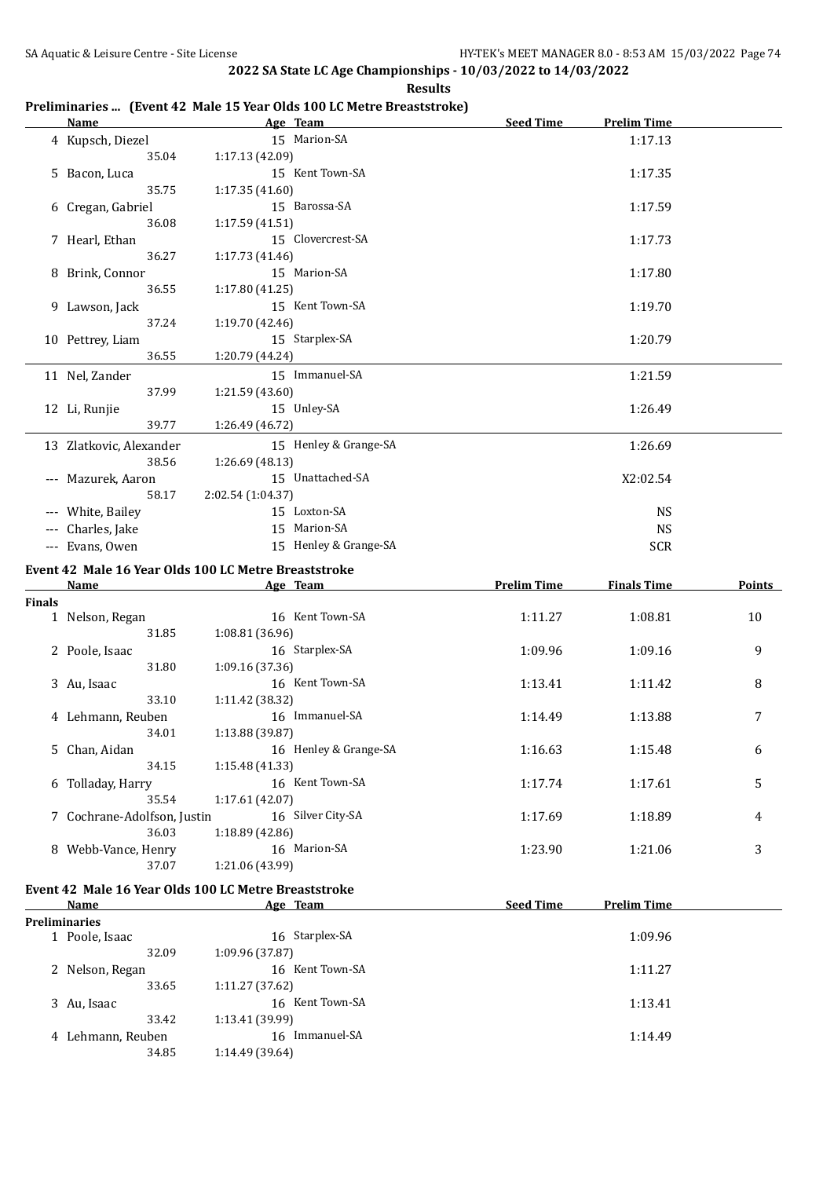|        | <u>Name</u>                                          | Age Team          |                       | <b>Seed Time</b>   | <b>Prelim Time</b> |               |
|--------|------------------------------------------------------|-------------------|-----------------------|--------------------|--------------------|---------------|
|        | 4 Kupsch, Diezel                                     |                   | 15 Marion-SA          |                    | 1:17.13            |               |
|        | 35.04                                                | 1:17.13 (42.09)   |                       |                    |                    |               |
|        | 5 Bacon, Luca                                        |                   | 15 Kent Town-SA       |                    | 1:17.35            |               |
|        | 35.75                                                | 1:17.35 (41.60)   |                       |                    |                    |               |
|        | 6 Cregan, Gabriel                                    |                   | 15 Barossa-SA         |                    | 1:17.59            |               |
|        | 36.08                                                | 1:17.59 (41.51)   |                       |                    |                    |               |
|        | 7 Hearl, Ethan                                       |                   | 15 Clovercrest-SA     |                    | 1:17.73            |               |
|        | 36.27                                                | 1:17.73(41.46)    |                       |                    |                    |               |
|        | 8 Brink, Connor                                      |                   | 15 Marion-SA          |                    | 1:17.80            |               |
|        | 36.55                                                | 1:17.80 (41.25)   |                       |                    |                    |               |
|        | 9 Lawson, Jack                                       |                   | 15 Kent Town-SA       |                    | 1:19.70            |               |
|        | 37.24                                                | 1:19.70 (42.46)   |                       |                    |                    |               |
|        | 10 Pettrey, Liam<br>36.55                            |                   | 15 Starplex-SA        |                    | 1:20.79            |               |
|        |                                                      | 1:20.79 (44.24)   |                       |                    |                    |               |
|        | 11 Nel, Zander                                       |                   | 15 Immanuel-SA        |                    | 1:21.59            |               |
|        | 37.99                                                | 1:21.59 (43.60)   |                       |                    |                    |               |
|        | 12 Li, Runjie                                        |                   | 15 Unley-SA           |                    | 1:26.49            |               |
|        | 39.77                                                | 1:26.49 (46.72)   |                       |                    |                    |               |
|        | 13 Zlatkovic, Alexander                              |                   | 15 Henley & Grange-SA |                    | 1:26.69            |               |
|        | 38.56                                                | 1:26.69 (48.13)   |                       |                    |                    |               |
|        | --- Mazurek, Aaron                                   |                   | 15 Unattached-SA      |                    | X2:02.54           |               |
|        | 58.17                                                | 2:02.54 (1:04.37) |                       |                    |                    |               |
|        | --- White, Bailey                                    |                   | 15 Loxton-SA          |                    | <b>NS</b>          |               |
|        | --- Charles, Jake                                    |                   | 15 Marion-SA          |                    | <b>NS</b>          |               |
|        | --- Evans, Owen                                      |                   | 15 Henley & Grange-SA |                    | <b>SCR</b>         |               |
|        | Event 42 Male 16 Year Olds 100 LC Metre Breaststroke |                   |                       |                    |                    |               |
|        | Name                                                 |                   | Age Team              | <b>Prelim Time</b> | <b>Finals Time</b> | <b>Points</b> |
| Finals |                                                      |                   |                       |                    |                    |               |
|        | 1 Nelson, Regan                                      |                   | 16 Kent Town-SA       | 1:11.27            | 1:08.81            | 10            |
|        | 31.85                                                | 1:08.81 (36.96)   |                       |                    |                    |               |
|        | 2 Poole, Isaac                                       |                   | 16 Starplex-SA        | 1:09.96            | 1:09.16            | 9             |
|        | 31.80                                                | 1:09.16 (37.36)   |                       |                    |                    |               |
|        | 3 Au, Isaac                                          |                   | 16 Kent Town-SA       | 1:13.41            | 1:11.42            | 8             |
|        | 33.10                                                | 1:11.42 (38.32)   |                       |                    |                    |               |
|        | 4 Lehmann, Reuben                                    |                   | 16 Immanuel-SA        | 1:14.49            | 1:13.88            | 7             |
|        | 34.01                                                | 1:13.88 (39.87)   |                       |                    |                    |               |
|        | 5 Chan, Aidan                                        |                   | 16 Henley & Grange-SA | 1:16.63            | 1:15.48            | 6             |
|        | 34.15                                                | 1:15.48 (41.33)   |                       |                    |                    |               |
|        | 6 Tolladay, Harry                                    |                   | 16 Kent Town-SA       | 1:17.74            | 1:17.61            | 5             |
|        | 35.54                                                | 1:17.61 (42.07)   |                       |                    |                    |               |
|        | 7 Cochrane-Adolfson, Justin                          |                   | 16 Silver City-SA     | 1:17.69            | 1:18.89            | 4             |
|        | 36.03                                                | 1:18.89 (42.86)   |                       |                    |                    |               |
|        | 8 Webb-Vance, Henry                                  |                   | 16 Marion-SA          | 1:23.90            | 1:21.06            | 3             |
|        | 37.07                                                | 1:21.06 (43.99)   |                       |                    |                    |               |
|        | Event 42 Male 16 Year Olds 100 LC Metre Breaststroke |                   |                       |                    |                    |               |
|        | <u>Name</u>                                          | Age Team          |                       | <b>Seed Time</b>   | <b>Prelim Time</b> |               |
|        | <b>Preliminaries</b>                                 |                   |                       |                    |                    |               |
|        | 1 Poole, Isaac                                       |                   | 16 Starplex-SA        |                    | 1:09.96            |               |
|        | 32.09                                                | 1:09.96 (37.87)   |                       |                    |                    |               |
|        | 2 Nelson, Regan                                      |                   | 16 Kent Town-SA       |                    | 1:11.27            |               |
|        | 33.65                                                | 1:11.27 (37.62)   |                       |                    |                    |               |
|        | 3 Au, Isaac                                          |                   | 16 Kent Town-SA       |                    | 1:13.41            |               |
|        |                                                      |                   |                       |                    |                    |               |
|        | 33.42                                                | 1:13.41 (39.99)   |                       |                    |                    |               |
|        | 4 Lehmann, Reuben                                    |                   | 16 Immanuel-SA        |                    | 1:14.49            |               |

### **Results Preliminaries ... (Event 42 Male 15 Year Olds 100 LC Metre Breaststroke)**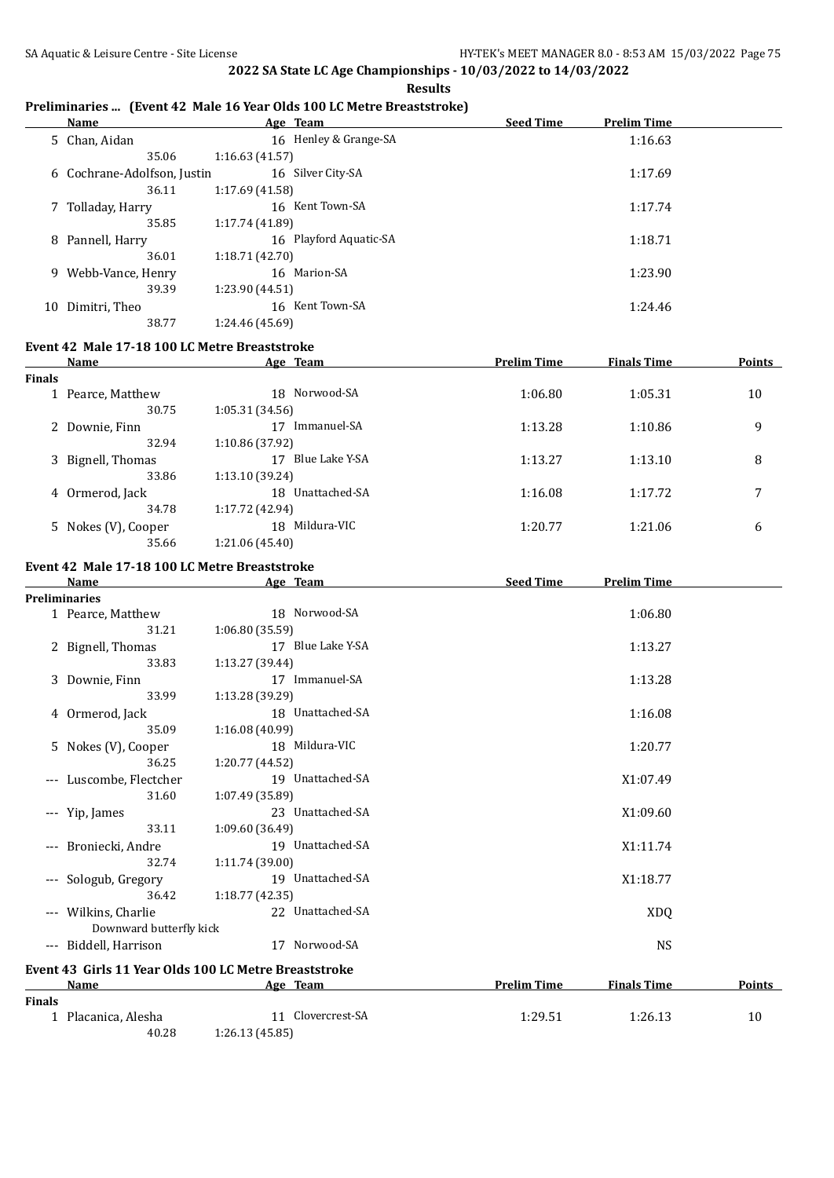#### **Results**

## **Preliminaries ... (Event 42 Male 16 Year Olds 100 LC Metre Breaststroke)**

| <b>Name</b>                 | Age Team               | <b>Seed Time</b> | <b>Prelim Time</b> |  |
|-----------------------------|------------------------|------------------|--------------------|--|
| 5 Chan, Aidan               | 16 Henley & Grange-SA  |                  | 1:16.63            |  |
| 35.06                       | 1:16.63(41.57)         |                  |                    |  |
| 6 Cochrane-Adolfson, Justin | 16 Silver City-SA      |                  | 1:17.69            |  |
| 36.11                       | 1:17.69 (41.58)        |                  |                    |  |
| 7 Tolladay, Harry           | 16 Kent Town-SA        |                  | 1:17.74            |  |
| 35.85                       | 1:17.74 (41.89)        |                  |                    |  |
| 8 Pannell, Harry            | 16 Playford Aquatic-SA |                  | 1:18.71            |  |
| 36.01                       | 1:18.71 (42.70)        |                  |                    |  |
| 9 Webb-Vance, Henry         | 16 Marion-SA           |                  | 1:23.90            |  |
| 39.39                       | 1:23.90 (44.51)        |                  |                    |  |
| 10 Dimitri, Theo            | 16 Kent Town-SA        |                  | 1:24.46            |  |
| 38.77                       | 1:24.46 (45.69)        |                  |                    |  |

### **Event 42 Male 17-18 100 LC Metre Breaststroke**

|               | Name                | Age Team             | <b>Prelim Time</b> | <b>Finals Time</b> | <b>Points</b> |
|---------------|---------------------|----------------------|--------------------|--------------------|---------------|
| <b>Finals</b> |                     |                      |                    |                    |               |
|               | 1 Pearce, Matthew   | 18 Norwood-SA        | 1:06.80            | 1:05.31            | 10            |
|               | 30.75               | 1:05.31(34.56)       |                    |                    |               |
|               | 2 Downie, Finn      | Immanuel-SA<br>17    | 1:13.28            | 1:10.86            | 9             |
|               | 32.94               | 1:10.86 (37.92)      |                    |                    |               |
|               | 3 Bignell, Thomas   | Blue Lake Y-SA<br>17 | 1:13.27            | 1:13.10            | 8             |
|               | 33.86               | 1:13.10 (39.24)      |                    |                    |               |
|               | 4 Ormerod, Jack     | Unattached-SA<br>18  | 1:16.08            | 1:17.72            | 7             |
|               | 34.78               | 1:17.72 (42.94)      |                    |                    |               |
|               | 5 Nokes (V), Cooper | Mildura-VIC<br>18    | 1:20.77            | 1:21.06            | 6             |
|               | 35.66               | 1:21.06 (45.40)      |                    |                    |               |

### **Event 42 Male 17-18 100 LC Metre Breaststroke**

|        | <b>Name</b>             | Age Team                                              | <b>Seed Time</b>   | <b>Prelim Time</b> |        |
|--------|-------------------------|-------------------------------------------------------|--------------------|--------------------|--------|
|        | <b>Preliminaries</b>    |                                                       |                    |                    |        |
|        | 1 Pearce, Matthew       | 18 Norwood-SA                                         |                    | 1:06.80            |        |
|        | 31.21                   | 1:06.80(35.59)                                        |                    |                    |        |
|        | 2 Bignell, Thomas       | 17 Blue Lake Y-SA                                     |                    | 1:13.27            |        |
|        | 33.83                   | 1:13.27 (39.44)                                       |                    |                    |        |
|        | 3 Downie, Finn          | 17 Immanuel-SA                                        |                    | 1:13.28            |        |
|        | 33.99                   | 1:13.28(39.29)                                        |                    |                    |        |
|        | 4 Ormerod, Jack         | 18 Unattached-SA                                      |                    | 1:16.08            |        |
|        | 35.09                   | 1:16.08 (40.99)                                       |                    |                    |        |
|        | 5 Nokes (V), Cooper     | 18 Mildura-VIC                                        |                    | 1:20.77            |        |
|        | 36.25                   | 1:20.77 (44.52)                                       |                    |                    |        |
|        | --- Luscombe, Flectcher | 19 Unattached-SA                                      |                    | X1:07.49           |        |
|        | 31.60                   | 1:07.49(35.89)                                        |                    |                    |        |
|        | --- Yip, James          | 23 Unattached-SA                                      |                    | X1:09.60           |        |
|        | 33.11                   | 1:09.60 (36.49)                                       |                    |                    |        |
|        | --- Broniecki, Andre    | 19 Unattached-SA                                      |                    | X1:11.74           |        |
|        | 32.74                   | 1:11.74 (39.00)                                       |                    |                    |        |
|        | --- Sologub, Gregory    | 19 Unattached-SA                                      |                    | X1:18.77           |        |
|        | 36.42                   | 1:18.77 (42.35)                                       |                    |                    |        |
|        | --- Wilkins, Charlie    | 22 Unattached-SA                                      |                    | <b>XDQ</b>         |        |
|        | Downward butterfly kick |                                                       |                    |                    |        |
|        | --- Biddell, Harrison   | 17 Norwood-SA                                         |                    | <b>NS</b>          |        |
|        |                         | Event 43 Girls 11 Year Olds 100 LC Metre Breaststroke |                    |                    |        |
|        | Name                    | Age Team                                              | <b>Prelim Time</b> | <b>Finals Time</b> | Points |
| Finals |                         |                                                       |                    |                    |        |
|        | 1 Placanica, Alesha     | 11 Clovercrest-SA                                     | 1:29.51            | 1:26.13            | 10     |
|        | 40.28                   | 1:26.13 (45.85)                                       |                    |                    |        |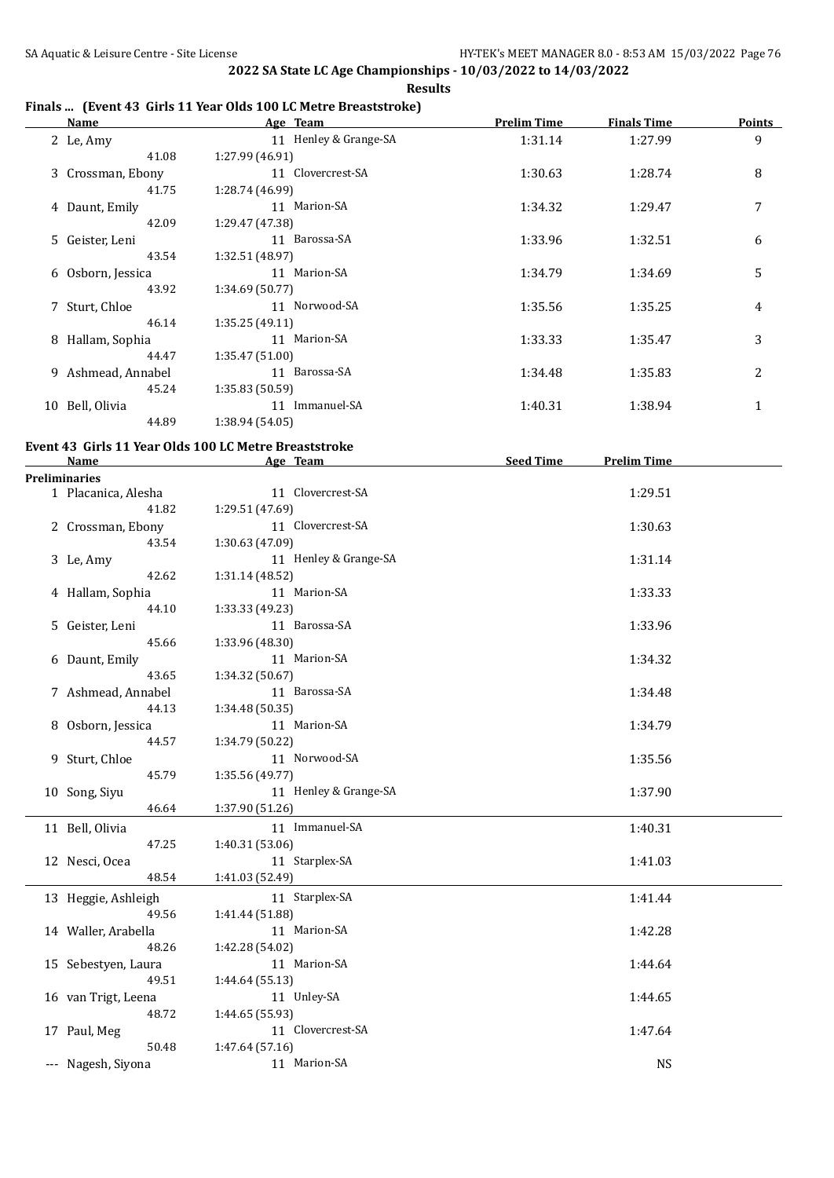**2022 SA State LC Age Championships - 10/03/2022 to 14/03/2022 Results**

### **Finals ... (Event 43 Girls 11 Year Olds 100 LC Metre Breaststroke)**

| <b>Name</b>          | <b>Example 2018 Age Team</b>                          | <b>Prelim Time</b> | <b>Finals Time</b> | <b>Points</b> |
|----------------------|-------------------------------------------------------|--------------------|--------------------|---------------|
| 2 Le, Amy            | 11 Henley & Grange-SA                                 | 1:31.14            | 1:27.99            | 9             |
| 41.08                | 1:27.99 (46.91)                                       |                    |                    |               |
| 3 Crossman, Ebony    | 11 Clovercrest-SA                                     | 1:30.63            | 1:28.74            | 8             |
| 41.75                | 1:28.74 (46.99)                                       |                    |                    |               |
| 4 Daunt, Emily       | 11 Marion-SA                                          | 1:34.32            | 1:29.47            | 7             |
| 42.09                | 1:29.47 (47.38)                                       |                    |                    |               |
| 5 Geister, Leni      | 11 Barossa-SA                                         | 1:33.96            | 1:32.51            | 6             |
| 43.54                | 1:32.51 (48.97)                                       |                    |                    |               |
| 6 Osborn, Jessica    | 11 Marion-SA                                          | 1:34.79            | 1:34.69            | 5             |
| 43.92                | 1:34.69 (50.77)                                       |                    |                    |               |
| 7 Sturt, Chloe       | 11 Norwood-SA                                         | 1:35.56            | 1:35.25            | 4             |
| 46.14                | 1:35.25 (49.11)                                       |                    |                    |               |
|                      | 11 Marion-SA                                          |                    |                    |               |
| 8 Hallam, Sophia     |                                                       | 1:33.33            | 1:35.47            | 3             |
| 44.47                | 1:35.47 (51.00)                                       |                    |                    |               |
| 9 Ashmead, Annabel   | 11 Barossa-SA                                         | 1:34.48            | 1:35.83            | 2             |
| 45.24                | 1:35.83 (50.59)                                       |                    |                    |               |
| 10 Bell, Olivia      | 11 Immanuel-SA                                        | 1:40.31            | 1:38.94            | $\mathbf{1}$  |
| 44.89                | 1:38.94(54.05)                                        |                    |                    |               |
|                      | Event 43 Girls 11 Year Olds 100 LC Metre Breaststroke |                    |                    |               |
| <b>Name</b>          | <b>Example 2016</b> Age Team                          | Seed Time          | <b>Prelim Time</b> |               |
| <b>Preliminaries</b> |                                                       |                    |                    |               |
| 1 Placanica, Alesha  | 11 Clovercrest-SA                                     |                    | 1:29.51            |               |
| 41.82                | 1:29.51 (47.69)                                       |                    |                    |               |
| 2 Crossman, Ebony    | 11 Clovercrest-SA                                     |                    | 1:30.63            |               |
| 43.54                | 1:30.63 (47.09)                                       |                    |                    |               |
| 3 Le, Amy            | 11 Henley & Grange-SA                                 |                    | 1:31.14            |               |
| 42.62                | 1:31.14 (48.52)                                       |                    |                    |               |
| 4 Hallam, Sophia     | 11 Marion-SA                                          |                    | 1:33.33            |               |
| 44.10                | 1:33.33 (49.23)                                       |                    |                    |               |
| 5 Geister, Leni      | 11 Barossa-SA                                         |                    | 1:33.96            |               |
| 45.66                | 1:33.96 (48.30)                                       |                    |                    |               |
|                      | 11 Marion-SA                                          |                    |                    |               |
| 6 Daunt, Emily       |                                                       |                    | 1:34.32            |               |
| 43.65                | 1:34.32 (50.67)                                       |                    |                    |               |
| 7 Ashmead, Annabel   | 11 Barossa-SA                                         |                    | 1:34.48            |               |
| 44.13                | 1:34.48 (50.35)                                       |                    |                    |               |
| 8 Osborn, Jessica    | 11 Marion-SA                                          |                    | 1:34.79            |               |
| 44.57                | 1:34.79 (50.22)                                       |                    |                    |               |
| 9 Sturt, Chloe       | 11 Norwood-SA                                         |                    | 1:35.56            |               |
| 45.79                | 1:35.56 (49.77)                                       |                    |                    |               |
| 10 Song, Siyu        | 11 Henley & Grange-SA                                 |                    | 1:37.90            |               |
| 46.64                | 1:37.90 (51.26)                                       |                    |                    |               |
| 11 Bell, Olivia      | 11 Immanuel-SA                                        |                    | 1:40.31            |               |
| 47.25                | 1:40.31 (53.06)                                       |                    |                    |               |
| 12 Nesci, Ocea       | 11 Starplex-SA                                        |                    | 1:41.03            |               |
| 48.54                | 1:41.03 (52.49)                                       |                    |                    |               |
| 13 Heggie, Ashleigh  | 11 Starplex-SA                                        |                    | 1:41.44            |               |
| 49.56                |                                                       |                    |                    |               |
|                      | 1:41.44 (51.88)                                       |                    |                    |               |
| 14 Waller, Arabella  | 11 Marion-SA                                          |                    | 1:42.28            |               |
| 48.26                | 1:42.28 (54.02)                                       |                    |                    |               |
| 15 Sebestyen, Laura  | 11 Marion-SA                                          |                    | 1:44.64            |               |
| 49.51                | 1:44.64 (55.13)                                       |                    |                    |               |
| 16 van Trigt, Leena  | 11 Unley-SA                                           |                    | 1:44.65            |               |
| 48.72                | 1:44.65 (55.93)                                       |                    |                    |               |
| 17 Paul, Meg         | 11 Clovercrest-SA                                     |                    | 1:47.64            |               |
| 50.48                | 1:47.64 (57.16)                                       |                    |                    |               |
| --- Nagesh, Siyona   | 11 Marion-SA                                          |                    | <b>NS</b>          |               |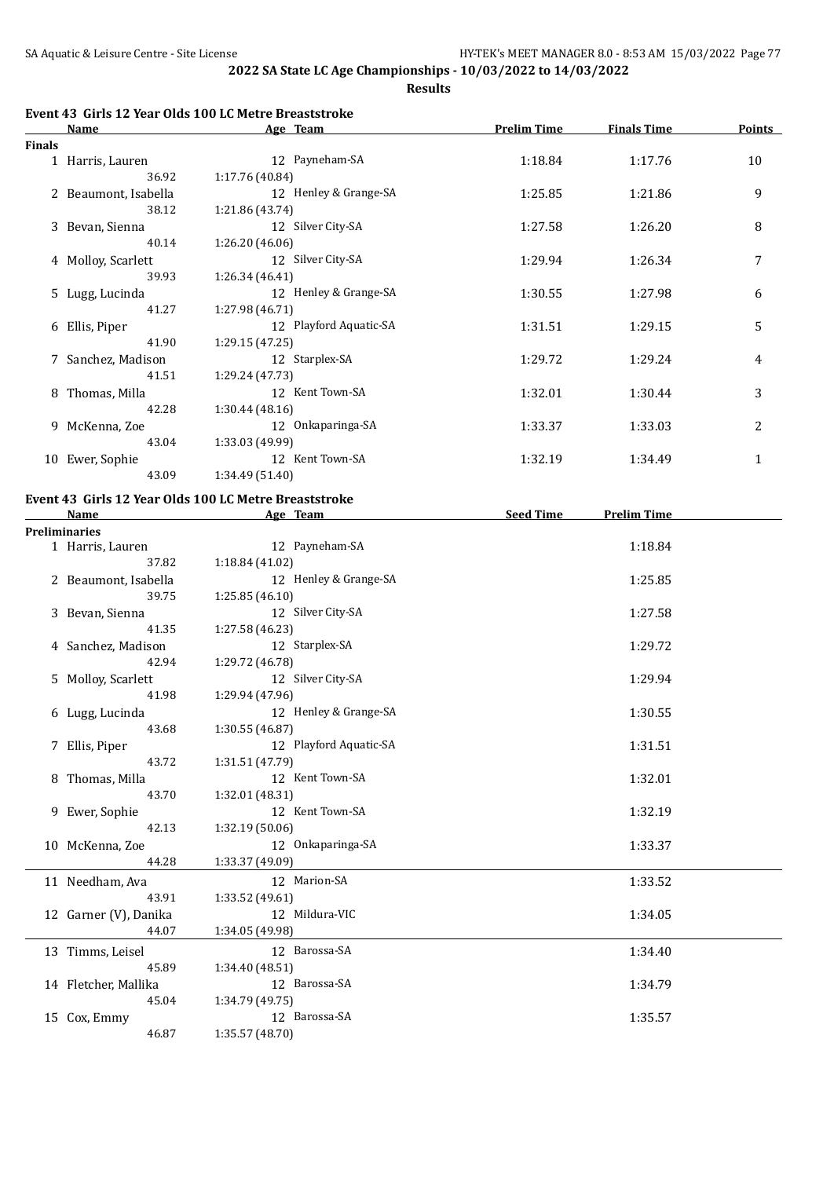**Results**

## **Event 43 Girls 12 Year Olds 100 LC Metre Breaststroke**

|               | Name                 | Age Team               | <b>Prelim Time</b> | <b>Finals Time</b> | <b>Points</b> |
|---------------|----------------------|------------------------|--------------------|--------------------|---------------|
| <b>Finals</b> |                      |                        |                    |                    |               |
|               | 1 Harris, Lauren     | 12 Payneham-SA         | 1:18.84            | 1:17.76            | 10            |
|               | 36.92                | 1:17.76 (40.84)        |                    |                    |               |
|               | 2 Beaumont, Isabella | 12 Henley & Grange-SA  | 1:25.85            | 1:21.86            | 9             |
|               | 38.12                | 1:21.86 (43.74)        |                    |                    |               |
|               | 3 Bevan, Sienna      | 12 Silver City-SA      | 1:27.58            | 1:26.20            | 8             |
|               | 40.14                | 1:26.20(46.06)         |                    |                    |               |
|               | 4 Molloy, Scarlett   | 12 Silver City-SA      | 1:29.94            | 1:26.34            | 7             |
|               | 39.93                | 1:26.34(46.41)         |                    |                    |               |
|               | 5 Lugg, Lucinda      | 12 Henley & Grange-SA  | 1:30.55            | 1:27.98            | 6             |
|               | 41.27                | 1:27.98 (46.71)        |                    |                    |               |
|               | 6 Ellis, Piper       | 12 Playford Aquatic-SA | 1:31.51            | 1:29.15            | 5             |
|               | 41.90                | 1:29.15(47.25)         |                    |                    |               |
|               | 7 Sanchez, Madison   | 12 Starplex-SA         | 1:29.72            | 1:29.24            | 4             |
|               | 41.51                | 1:29.24 (47.73)        |                    |                    |               |
|               | 8 Thomas, Milla      | 12 Kent Town-SA        | 1:32.01            | 1:30.44            | 3             |
|               | 42.28                | 1:30.44(48.16)         |                    |                    |               |
|               | 9 McKenna, Zoe       | 12 Onkaparinga-SA      | 1:33.37            | 1:33.03            | 2             |
|               | 43.04                | 1:33.03 (49.99)        |                    |                    |               |
| 10            | Ewer, Sophie         | 12 Kent Town-SA        | 1:32.19            | 1:34.49            | 1             |
|               | 43.09                | 1:34.49 (51.40)        |                    |                    |               |

#### **Event 43 Girls 12 Year Olds 100 LC Metre Breaststroke**

| <b>Name</b>           | Age Team               | <b>Seed Time</b><br><b>Prelim Time</b> |
|-----------------------|------------------------|----------------------------------------|
| <b>Preliminaries</b>  |                        |                                        |
| 1 Harris, Lauren      | 12 Payneham-SA         | 1:18.84                                |
| 37.82                 | 1:18.84 (41.02)        |                                        |
| 2 Beaumont, Isabella  | 12 Henley & Grange-SA  | 1:25.85                                |
| 39.75                 | 1:25.85 (46.10)        |                                        |
| 3 Bevan, Sienna       | 12 Silver City-SA      | 1:27.58                                |
| 41.35                 | 1:27.58 (46.23)        |                                        |
| 4 Sanchez, Madison    | 12 Starplex-SA         | 1:29.72                                |
| 42.94                 | 1:29.72 (46.78)        |                                        |
| 5 Molloy, Scarlett    | 12 Silver City-SA      | 1:29.94                                |
| 41.98                 | 1:29.94 (47.96)        |                                        |
| 6 Lugg, Lucinda       | 12 Henley & Grange-SA  | 1:30.55                                |
| 43.68                 | 1:30.55 (46.87)        |                                        |
| 7 Ellis, Piper        | 12 Playford Aquatic-SA | 1:31.51                                |
| 43.72                 | 1:31.51 (47.79)        |                                        |
| 8 Thomas, Milla       | 12 Kent Town-SA        | 1:32.01                                |
| 43.70                 | 1:32.01 (48.31)        |                                        |
| 9 Ewer, Sophie        | 12 Kent Town-SA        | 1:32.19                                |
| 42.13                 | 1:32.19(50.06)         |                                        |
| 10 McKenna, Zoe       | 12 Onkaparinga-SA      | 1:33.37                                |
| 44.28                 | 1:33.37 (49.09)        |                                        |
| 11 Needham, Ava       | 12 Marion-SA           | 1:33.52                                |
| 43.91                 | 1:33.52 (49.61)        |                                        |
| 12 Garner (V), Danika | 12 Mildura-VIC         | 1:34.05                                |
| 44.07                 | 1:34.05 (49.98)        |                                        |
| 13 Timms, Leisel      | 12 Barossa-SA          | 1:34.40                                |
| 45.89                 | 1:34.40 (48.51)        |                                        |
| 14 Fletcher, Mallika  | 12 Barossa-SA          | 1:34.79                                |
| 45.04                 | 1:34.79 (49.75)        |                                        |
| 15 Cox, Emmy          | 12 Barossa-SA          | 1:35.57                                |
| 46.87                 | 1:35.57 (48.70)        |                                        |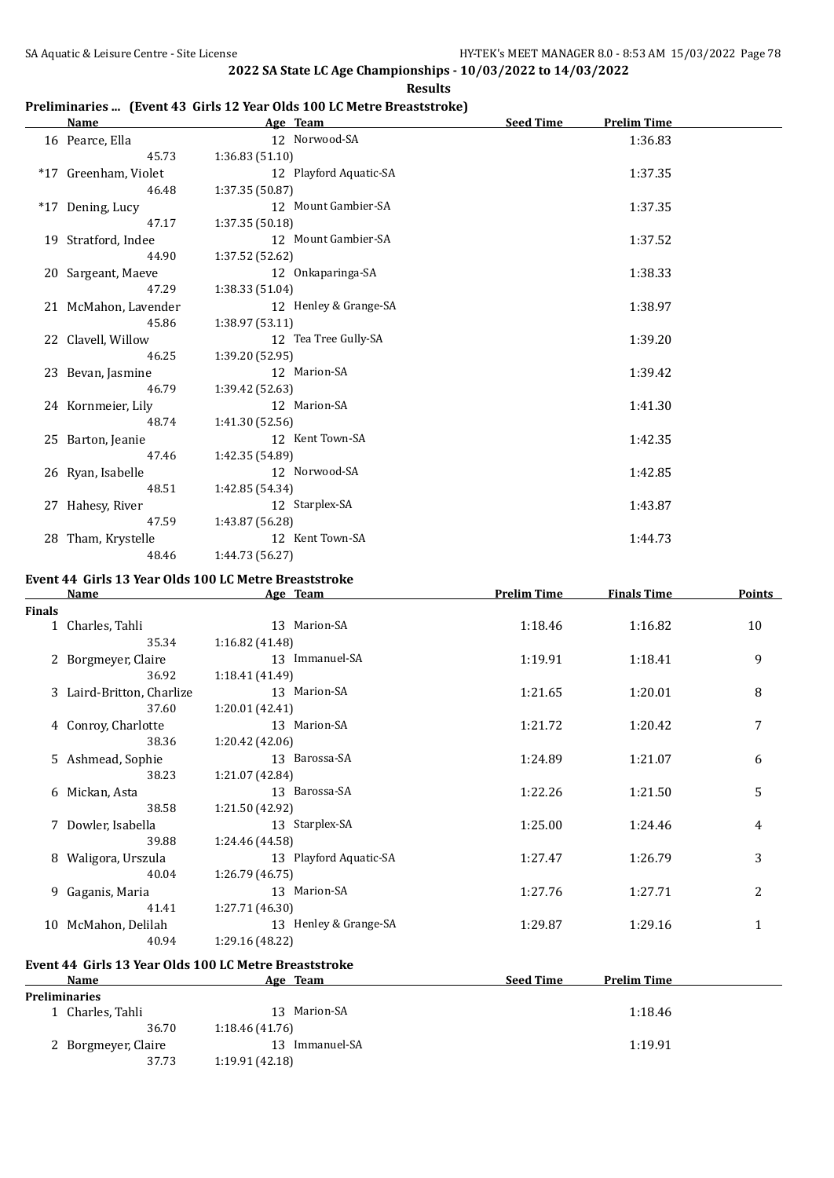#### **Preliminaries ... (Event 43 Girls 12 Year Olds 100 LC Metre Breaststroke)**

| <b>Name</b>          | Age Team               | <b>Seed Time</b><br><b>Prelim Time</b> |
|----------------------|------------------------|----------------------------------------|
| 16 Pearce, Ella      | 12 Norwood-SA          | 1:36.83                                |
| 45.73                | 1:36.83 (51.10)        |                                        |
| *17 Greenham, Violet | 12 Playford Aquatic-SA | 1:37.35                                |
| 46.48                | 1:37.35 (50.87)        |                                        |
| *17 Dening, Lucy     | 12 Mount Gambier-SA    | 1:37.35                                |
| 47.17                | 1:37.35 (50.18)        |                                        |
| 19 Stratford, Indee  | 12 Mount Gambier-SA    | 1:37.52                                |
| 44.90                | 1:37.52 (52.62)        |                                        |
| 20 Sargeant, Maeve   | 12 Onkaparinga-SA      | 1:38.33                                |
| 47.29                | 1:38.33 (51.04)        |                                        |
| 21 McMahon, Lavender | 12 Henley & Grange-SA  | 1:38.97                                |
| 45.86                | 1:38.97(53.11)         |                                        |
| 22 Clavell, Willow   | 12 Tea Tree Gully-SA   | 1:39.20                                |
| 46.25                | 1:39.20 (52.95)        |                                        |
| 23 Bevan, Jasmine    | 12 Marion-SA           | 1:39.42                                |
| 46.79                | 1:39.42 (52.63)        |                                        |
| 24 Kornmeier, Lily   | 12 Marion-SA           | 1:41.30                                |
| 48.74                | 1:41.30 (52.56)        |                                        |
| 25 Barton, Jeanie    | 12 Kent Town-SA        | 1:42.35                                |
| 47.46                | 1:42.35 (54.89)        |                                        |
| 26 Ryan, Isabelle    | 12 Norwood-SA          | 1:42.85                                |
| 48.51                | 1:42.85 (54.34)        |                                        |
| 27 Hahesy, River     | 12 Starplex-SA         | 1:43.87                                |
| 47.59                | 1:43.87 (56.28)        |                                        |
| 28 Tham, Krystelle   | 12 Kent Town-SA        | 1:44.73                                |
| 48.46                | 1:44.73 (56.27)        |                                        |

#### **Event 44 Girls 13 Year Olds 100 LC Metre Breaststroke**

|        | <b>Name</b>               | Age Team               | <b>Prelim Time</b> | <b>Finals Time</b> | Points         |
|--------|---------------------------|------------------------|--------------------|--------------------|----------------|
| Finals |                           |                        |                    |                    |                |
|        | 1 Charles, Tahli          | 13 Marion-SA           | 1:18.46            | 1:16.82            | 10             |
|        | 35.34                     | 1:16.82(41.48)         |                    |                    |                |
|        | 2 Borgmeyer, Claire       | 13 Immanuel-SA         | 1:19.91            | 1:18.41            | 9              |
|        | 36.92                     | 1:18.41(41.49)         |                    |                    |                |
|        | 3 Laird-Britton, Charlize | 13 Marion-SA           | 1:21.65            | 1:20.01            | 8              |
|        | 37.60                     | 1:20.01(42.41)         |                    |                    |                |
|        | 4 Conroy, Charlotte       | 13 Marion-SA           | 1:21.72            | 1:20.42            | 7              |
|        | 38.36                     | 1:20.42 (42.06)        |                    |                    |                |
|        | 5 Ashmead, Sophie         | 13 Barossa-SA          | 1:24.89            | 1:21.07            | 6              |
|        | 38.23                     | 1:21.07 (42.84)        |                    |                    |                |
|        | 6 Mickan, Asta            | 13 Barossa-SA          | 1:22.26            | 1:21.50            | 5              |
|        | 38.58                     | 1:21.50 (42.92)        |                    |                    |                |
|        | 7 Dowler, Isabella        | 13 Starplex-SA         | 1:25.00            | 1:24.46            | 4              |
|        | 39.88                     | 1:24.46 (44.58)        |                    |                    |                |
|        | 8 Waligora, Urszula       | 13 Playford Aquatic-SA | 1:27.47            | 1:26.79            | 3              |
|        | 40.04                     | 1:26.79 (46.75)        |                    |                    |                |
|        | 9 Gaganis, Maria          | 13 Marion-SA           | 1:27.76            | 1:27.71            | $\overline{2}$ |
|        | 41.41                     | 1:27.71 (46.30)        |                    |                    |                |
|        | 10 McMahon, Delilah       | 13 Henley & Grange-SA  | 1:29.87            | 1:29.16            | 1              |
|        | 40.94                     | 1:29.16 (48.22)        |                    |                    |                |
|        |                           |                        |                    |                    |                |

## **Event 44 Girls 13 Year Olds 100 LC Metre Breaststroke**

| <b>Name</b>         | Age Team          | <b>Seed Time</b><br><b>Prelim Time</b> |
|---------------------|-------------------|----------------------------------------|
| Preliminaries       |                   |                                        |
| Charles, Tahli      | Marion-SA<br>-13- | 1:18.46                                |
| 36.70               | 1:18.46(41.76)    |                                        |
| 2 Borgmeyer, Claire | Immanuel-SA       | 1:19.91                                |
| 37.73               | 1:19.91(42.18)    |                                        |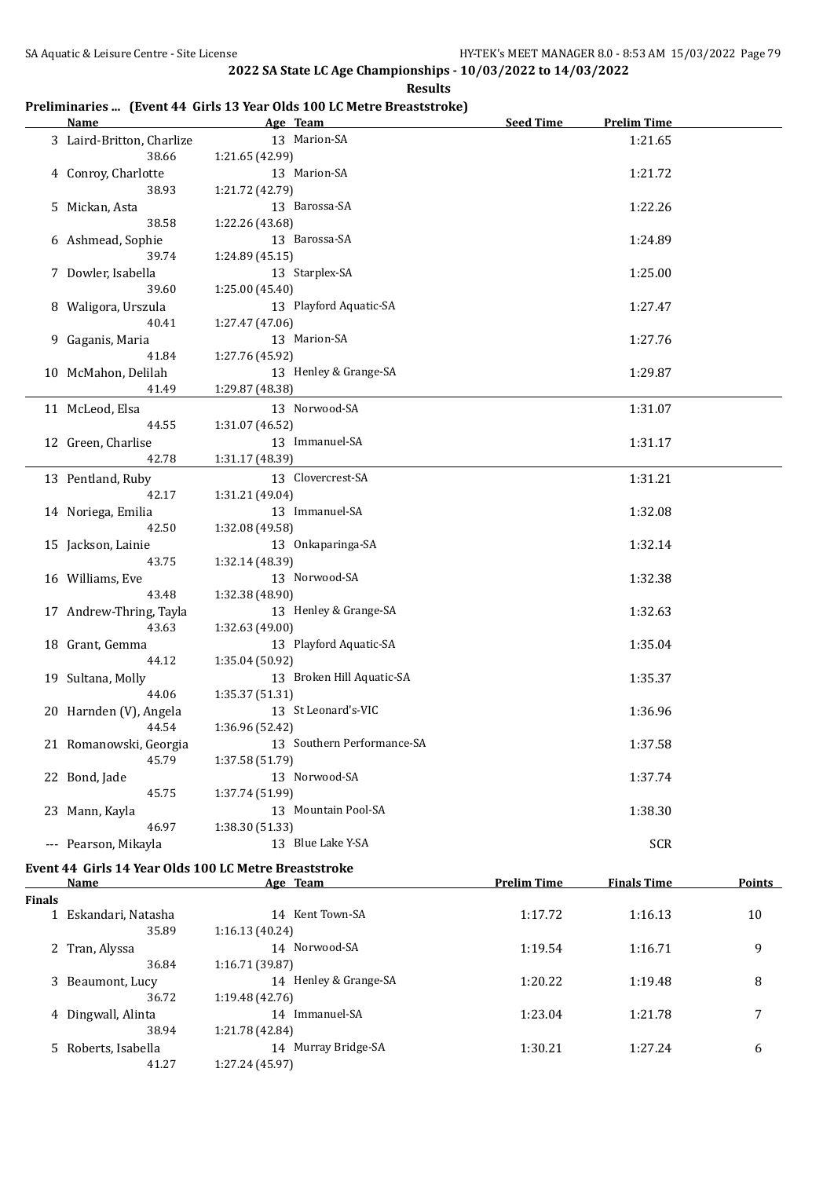**Results**

### **Preliminaries ... (Event 44 Girls 13 Year Olds 100 LC Metre Breaststroke)**

| Name                       | Age Team                          | <b>Seed Time</b> | <b>Prelim Time</b> |  |
|----------------------------|-----------------------------------|------------------|--------------------|--|
| 3 Laird-Britton, Charlize  | 13 Marion-SA                      |                  | 1:21.65            |  |
| 38.66                      | 1:21.65 (42.99)                   |                  |                    |  |
| 4 Conroy, Charlotte        | 13 Marion-SA                      |                  | 1:21.72            |  |
| 38.93                      | 1:21.72 (42.79)                   |                  |                    |  |
| 5 Mickan, Asta             | 13 Barossa-SA                     |                  | 1:22.26            |  |
| 38.58                      | 1:22.26 (43.68)                   |                  |                    |  |
| 6 Ashmead, Sophie          | 13 Barossa-SA                     |                  | 1:24.89            |  |
| 39.74                      | 1:24.89 (45.15)                   |                  |                    |  |
| 7 Dowler, Isabella         | 13 Starplex-SA                    |                  | 1:25.00            |  |
| 39.60                      | 1:25.00 (45.40)                   |                  |                    |  |
| 8 Waligora, Urszula        | 13 Playford Aquatic-SA            |                  | 1:27.47            |  |
| 40.41                      | 1:27.47 (47.06)                   |                  |                    |  |
| 9 Gaganis, Maria           | 13 Marion-SA                      |                  | 1:27.76            |  |
| 41.84                      | 1:27.76 (45.92)                   |                  |                    |  |
| 10 McMahon, Delilah        | 13 Henley & Grange-SA             |                  | 1:29.87            |  |
| 41.49                      | 1:29.87 (48.38)                   |                  |                    |  |
| 11 McLeod, Elsa            | 13 Norwood-SA                     |                  | 1:31.07            |  |
| 44.55                      | 1:31.07 (46.52)                   |                  |                    |  |
| 12 Green, Charlise         | 13 Immanuel-SA                    |                  | 1:31.17            |  |
| 42.78                      | 1:31.17 (48.39)                   |                  |                    |  |
|                            |                                   |                  |                    |  |
| 13 Pentland, Ruby<br>42.17 | 13 Clovercrest-SA                 |                  | 1:31.21            |  |
|                            | 1:31.21 (49.04)<br>13 Immanuel-SA |                  |                    |  |
| 14 Noriega, Emilia         |                                   |                  | 1:32.08            |  |
| 42.50                      | 1:32.08 (49.58)                   |                  |                    |  |
| 15 Jackson, Lainie         | 13 Onkaparinga-SA                 |                  | 1:32.14            |  |
| 43.75                      | 1:32.14 (48.39)                   |                  |                    |  |
| 16 Williams, Eve           | 13 Norwood-SA                     |                  | 1:32.38            |  |
| 43.48                      | 1:32.38 (48.90)                   |                  |                    |  |
| 17 Andrew-Thring, Tayla    | 13 Henley & Grange-SA             |                  | 1:32.63            |  |
| 43.63                      | 1:32.63 (49.00)                   |                  |                    |  |
| 18 Grant, Gemma            | 13 Playford Aquatic-SA            |                  | 1:35.04            |  |
| 44.12                      | 1:35.04 (50.92)                   |                  |                    |  |
| 19 Sultana, Molly          | 13 Broken Hill Aquatic-SA         |                  | 1:35.37            |  |
| 44.06                      | 1:35.37 (51.31)                   |                  |                    |  |
| 20 Harnden (V), Angela     | 13 St Leonard's-VIC               |                  | 1:36.96            |  |
| 44.54                      | 1:36.96 (52.42)                   |                  |                    |  |
| 21 Romanowski, Georgia     | 13 Southern Performance-SA        |                  | 1:37.58            |  |
| 45.79                      | 1:37.58 (51.79)                   |                  |                    |  |
| 22 Bond, Jade              | 13 Norwood-SA                     |                  | 1:37.74            |  |
| 45.75                      | 1:37.74 (51.99)                   |                  |                    |  |
| 23 Mann, Kayla             | 13 Mountain Pool-SA               |                  | 1:38.30            |  |
| 46.97                      | 1:38.30 (51.33)                   |                  |                    |  |
| --- Pearson, Mikayla       | 13 Blue Lake Y-SA                 |                  | <b>SCR</b>         |  |
|                            |                                   |                  |                    |  |

#### **Event 44 Girls 14 Year Olds 100 LC Metre Breaststroke**

|               | Name                | Age Team              | <b>Prelim Time</b> | <b>Finals Time</b> | <b>Points</b> |
|---------------|---------------------|-----------------------|--------------------|--------------------|---------------|
| <b>Finals</b> |                     |                       |                    |                    |               |
|               | Eskandari, Natasha  | 14 Kent Town-SA       | 1:17.72            | 1:16.13            | 10            |
|               | 35.89               | 1:16.13(40.24)        |                    |                    |               |
|               | 2 Tran, Alyssa      | 14 Norwood-SA         | 1:19.54            | 1:16.71            | 9             |
|               | 36.84               | 1:16.71 (39.87)       |                    |                    |               |
|               | 3 Beaumont, Lucy    | 14 Henley & Grange-SA | 1:20.22            | 1:19.48            | 8             |
|               | 36.72               | 1:19.48 (42.76)       |                    |                    |               |
|               | 4 Dingwall, Alinta  | 14 Immanuel-SA        | 1:23.04            | 1:21.78            | 7             |
|               | 38.94               | 1:21.78 (42.84)       |                    |                    |               |
|               | 5 Roberts, Isabella | 14 Murray Bridge-SA   | 1:30.21            | 1:27.24            | 6             |
|               | 41.27               | 1:27.24 (45.97)       |                    |                    |               |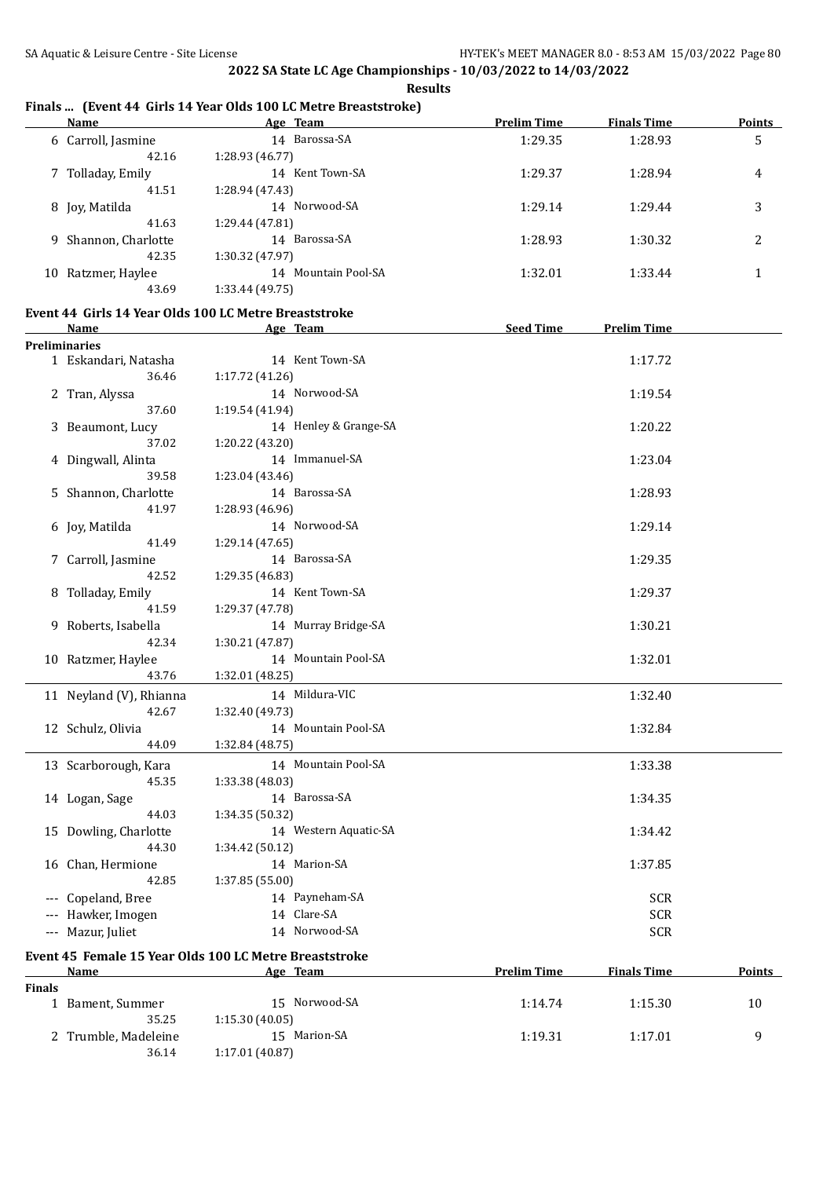#### **Finals ... (Event 44 Girls 14 Year Olds 100 LC Metre Breaststroke)**

| Name            | Age Team                                                                                | <b>Prelim Time</b> | <b>Finals Time</b> | <b>Points</b>  |
|-----------------|-----------------------------------------------------------------------------------------|--------------------|--------------------|----------------|
|                 | 14 Barossa-SA                                                                           | 1:29.35            | 1:28.93            | 5              |
| 42.16           | 1:28.93 (46.77)                                                                         |                    |                    |                |
|                 | Kent Town-SA<br>14                                                                      | 1:29.37            | 1:28.94            | 4              |
| 41.51           | 1:28.94 (47.43)                                                                         |                    |                    |                |
|                 | 14 Norwood-SA                                                                           | 1:29.14            | 1:29.44            | 3              |
| 41.63           | 1:29.44 (47.81)                                                                         |                    |                    |                |
|                 | 14 Barossa-SA                                                                           | 1:28.93            | 1:30.32            | $\overline{c}$ |
| 42.35           | 1:30.32 (47.97)                                                                         |                    |                    |                |
| Ratzmer, Haylee | Mountain Pool-SA<br>14                                                                  | 1:32.01            | 1:33.44            |                |
| 43.69           | 1:33.44 (49.75)                                                                         |                    |                    |                |
|                 | 6 Carroll, Jasmine<br>7 Tolladay, Emily<br>8 Jov, Matilda<br>9 Shannon, Charlotte<br>10 |                    |                    |                |

## **Event 44 Girls 14 Year Olds 100 LC Metre Breaststroke**

36.14 1:17.01 (40.87)

|               | <b>Name</b>             | Age Team                                                           | <b>Seed Time</b>   | <b>Prelim Time</b> |        |
|---------------|-------------------------|--------------------------------------------------------------------|--------------------|--------------------|--------|
|               | <b>Preliminaries</b>    |                                                                    |                    |                    |        |
|               | 1 Eskandari, Natasha    | 14 Kent Town-SA                                                    |                    | 1:17.72            |        |
|               | 36.46                   | 1:17.72 (41.26)                                                    |                    |                    |        |
|               | 2 Tran, Alyssa          | 14 Norwood-SA                                                      |                    | 1:19.54            |        |
|               | 37.60                   | 1:19.54 (41.94)                                                    |                    |                    |        |
|               | 3 Beaumont, Lucy        | 14 Henley & Grange-SA                                              |                    | 1:20.22            |        |
|               | 37.02                   | 1:20.22 (43.20)                                                    |                    |                    |        |
|               | 4 Dingwall, Alinta      | 14 Immanuel-SA                                                     |                    | 1:23.04            |        |
|               | 39.58                   | 1:23.04(43.46)                                                     |                    |                    |        |
|               | 5 Shannon, Charlotte    | 14 Barossa-SA                                                      |                    | 1:28.93            |        |
|               | 41.97                   | 1:28.93 (46.96)                                                    |                    |                    |        |
|               | 6 Joy, Matilda          | 14 Norwood-SA                                                      |                    | 1:29.14            |        |
|               | 41.49                   | 1:29.14 (47.65)                                                    |                    |                    |        |
|               | 7 Carroll, Jasmine      | 14 Barossa-SA                                                      |                    | 1:29.35            |        |
|               | 42.52                   | 1:29.35 (46.83)                                                    |                    |                    |        |
|               | 8 Tolladay, Emily       | 14 Kent Town-SA                                                    |                    | 1:29.37            |        |
|               | 41.59                   | 1:29.37 (47.78)                                                    |                    |                    |        |
|               | 9 Roberts, Isabella     | 14 Murray Bridge-SA                                                |                    | 1:30.21            |        |
|               | 42.34                   | 1:30.21 (47.87)                                                    |                    |                    |        |
|               | 10 Ratzmer, Haylee      | 14 Mountain Pool-SA                                                |                    | 1:32.01            |        |
|               | 43.76                   | 1:32.01 (48.25)                                                    |                    |                    |        |
|               | 11 Neyland (V), Rhianna | 14 Mildura-VIC                                                     |                    | 1:32.40            |        |
|               | 42.67                   | 1:32.40 (49.73)                                                    |                    |                    |        |
|               | 12 Schulz, Olivia       | 14 Mountain Pool-SA                                                |                    | 1:32.84            |        |
|               | 44.09                   | 1:32.84 (48.75)                                                    |                    |                    |        |
|               | 13 Scarborough, Kara    | 14 Mountain Pool-SA                                                |                    | 1:33.38            |        |
|               | 45.35                   | 1:33.38 (48.03)                                                    |                    |                    |        |
|               | 14 Logan, Sage          | 14 Barossa-SA                                                      |                    | 1:34.35            |        |
|               | 44.03                   | 1:34.35 (50.32)                                                    |                    |                    |        |
|               | 15 Dowling, Charlotte   | 14 Western Aquatic-SA                                              |                    | 1:34.42            |        |
|               | 44.30                   | 1:34.42 (50.12)                                                    |                    |                    |        |
|               | 16 Chan, Hermione       | 14 Marion-SA                                                       |                    | 1:37.85            |        |
|               | 42.85                   | 1:37.85 (55.00)                                                    |                    |                    |        |
|               | --- Copeland, Bree      | 14 Payneham-SA                                                     |                    | <b>SCR</b>         |        |
|               | --- Hawker, Imogen      | 14 Clare-SA                                                        |                    | <b>SCR</b>         |        |
|               | --- Mazur, Juliet       | 14 Norwood-SA                                                      |                    | <b>SCR</b>         |        |
|               |                         |                                                                    |                    |                    |        |
|               | <b>Name</b>             | Event 45 Female 15 Year Olds 100 LC Metre Breaststroke<br>Age Team | <b>Prelim Time</b> | <b>Finals Time</b> | Points |
| <b>Finals</b> |                         |                                                                    |                    |                    |        |
|               | 1 Bament, Summer        | 15 Norwood-SA                                                      | 1:14.74            | 1:15.30            | 10     |
|               | 35.25                   | 1:15.30(40.05)                                                     |                    |                    |        |
|               | 2 Trumble, Madeleine    | 15 Marion-SA                                                       | 1:19.31            | 1:17.01            | 9      |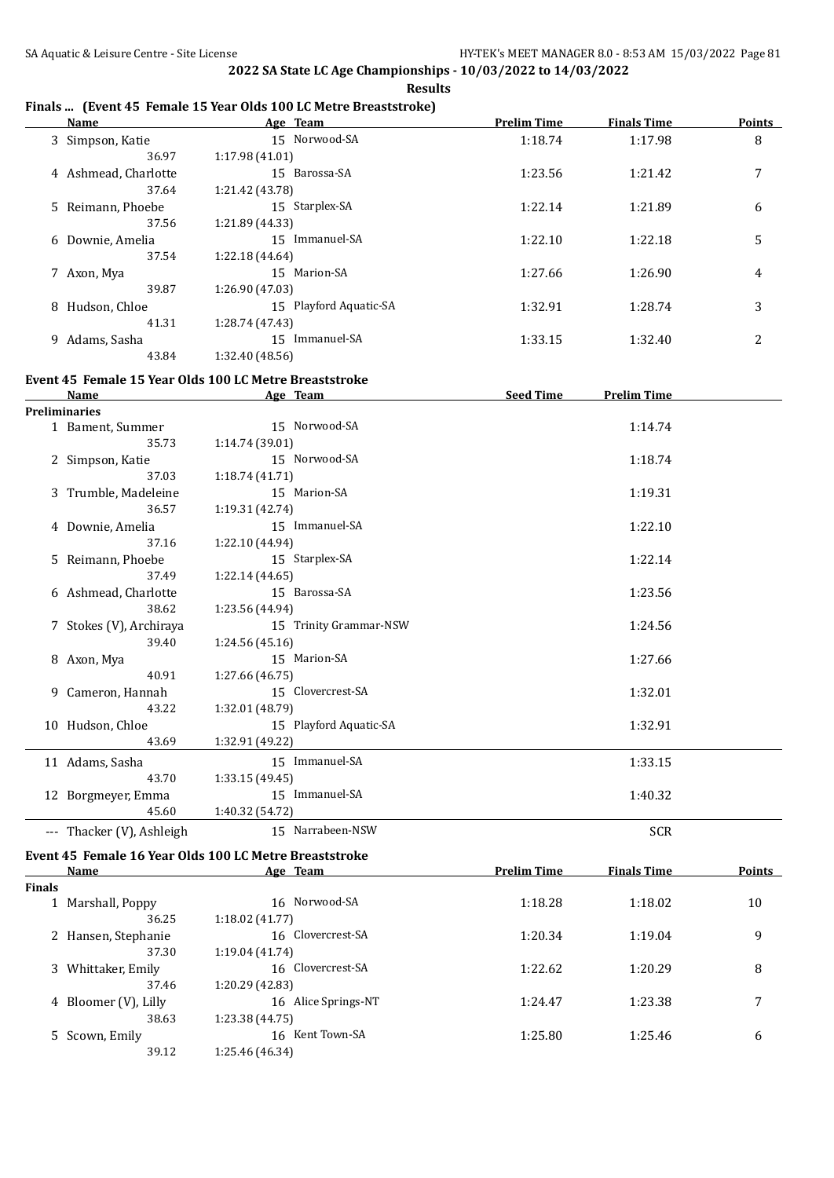#### **Finals ... (Event 45 Female 15 Year Olds 100 LC Metre Breaststroke)**

|   | <b>Name</b>          |                 | Age Team               | <b>Prelim Time</b> | <b>Finals Time</b> | <b>Points</b> |
|---|----------------------|-----------------|------------------------|--------------------|--------------------|---------------|
|   | 3 Simpson, Katie     |                 | 15 Norwood-SA          | 1:18.74            | 1:17.98            | 8             |
|   | 36.97                | 1:17.98(41.01)  |                        |                    |                    |               |
|   | 4 Ashmead, Charlotte |                 | 15 Barossa-SA          | 1:23.56            | 1:21.42            | 7             |
|   | 37.64                | 1:21.42 (43.78) |                        |                    |                    |               |
|   | 5 Reimann, Phoebe    |                 | 15 Starplex-SA         | 1:22.14            | 1:21.89            | 6             |
|   | 37.56                | 1:21.89 (44.33) |                        |                    |                    |               |
|   | 6 Downie, Amelia     |                 | 15 Immanuel-SA         | 1:22.10            | 1:22.18            | 5             |
|   | 37.54                | 1:22.18 (44.64) |                        |                    |                    |               |
|   | 7 Axon, Mya          |                 | 15 Marion-SA           | 1:27.66            | 1:26.90            | 4             |
|   | 39.87                | 1:26.90 (47.03) |                        |                    |                    |               |
|   | 8 Hudson, Chloe      |                 | 15 Playford Aquatic-SA | 1:32.91            | 1:28.74            | 3             |
|   | 41.31                | 1:28.74 (47.43) |                        |                    |                    |               |
| 9 | Adams, Sasha         | 15              | Immanuel-SA            | 1:33.15            | 1:32.40            | 2             |
|   | 43.84                | 1:32.40 (48.56) |                        |                    |                    |               |

#### **Event 45 Female 15 Year Olds 100 LC Metre Breaststroke**

| <b>Name</b>               | Age Team               | <b>Seed Time</b><br><b>Prelim Time</b> |
|---------------------------|------------------------|----------------------------------------|
| <b>Preliminaries</b>      |                        |                                        |
| 1 Bament, Summer          | 15 Norwood-SA          | 1:14.74                                |
| 35.73                     | 1:14.74(39.01)         |                                        |
| 2 Simpson, Katie          | 15 Norwood-SA          | 1:18.74                                |
| 37.03                     | 1:18.74(41.71)         |                                        |
| 3 Trumble, Madeleine      | 15 Marion-SA           | 1:19.31                                |
| 36.57                     | 1:19.31 (42.74)        |                                        |
| 4 Downie, Amelia          | 15 Immanuel-SA         | 1:22.10                                |
| 37.16                     | 1:22.10 (44.94)        |                                        |
| 5 Reimann, Phoebe         | 15 Starplex-SA         | 1:22.14                                |
| 37.49                     | 1:22.14(44.65)         |                                        |
| 6 Ashmead, Charlotte      | 15 Barossa-SA          | 1:23.56                                |
| 38.62                     | 1:23.56 (44.94)        |                                        |
| 7 Stokes (V), Archiraya   | 15 Trinity Grammar-NSW | 1:24.56                                |
| 39.40                     | 1:24.56(45.16)         |                                        |
| 8 Axon, Mya               | 15 Marion-SA           | 1:27.66                                |
| 40.91                     | 1:27.66 (46.75)        |                                        |
| 9 Cameron, Hannah         | 15 Clovercrest-SA      | 1:32.01                                |
| 43.22                     | 1:32.01 (48.79)        |                                        |
| 10 Hudson, Chloe          | 15 Playford Aquatic-SA | 1:32.91                                |
| 43.69                     | 1:32.91 (49.22)        |                                        |
| 11 Adams, Sasha           | 15 Immanuel-SA         | 1:33.15                                |
| 43.70                     | 1:33.15(49.45)         |                                        |
| 12 Borgmeyer, Emma        | 15 Immanuel-SA         | 1:40.32                                |
| 45.60                     | 1:40.32 (54.72)        |                                        |
| --- Thacker (V), Ashleigh | 15 Narrabeen-NSW       | <b>SCR</b>                             |

# **Event 45 Female 16 Year Olds 100 LC Metre Breaststroke**<br>Name Age Team

|               | <b>Name</b>          | Age Team            | <b>Prelim Time</b> |         | <b>Points</b> |  |
|---------------|----------------------|---------------------|--------------------|---------|---------------|--|
| <b>Finals</b> |                      |                     |                    |         |               |  |
|               | 1 Marshall, Poppy    | 16 Norwood-SA       | 1:18.28            | 1:18.02 | 10            |  |
|               | 36.25                | 1:18.02(41.77)      |                    |         |               |  |
|               | 2 Hansen, Stephanie  | 16 Clovercrest-SA   | 1:20.34            | 1:19.04 | 9             |  |
|               | 37.30                | 1:19.04(41.74)      |                    |         |               |  |
|               | 3 Whittaker, Emily   | 16 Clovercrest-SA   | 1:22.62            | 1:20.29 | 8             |  |
|               | 37.46                | 1:20.29 (42.83)     |                    |         |               |  |
|               | 4 Bloomer (V), Lilly | 16 Alice Springs-NT | 1:24.47            | 1:23.38 | 7             |  |
|               | 38.63                | 1:23.38(44.75)      |                    |         |               |  |
|               | 5 Scown, Emily       | 16 Kent Town-SA     | 1:25.80            | 1:25.46 | 6             |  |
|               | 39.12                | 1:25.46 (46.34)     |                    |         |               |  |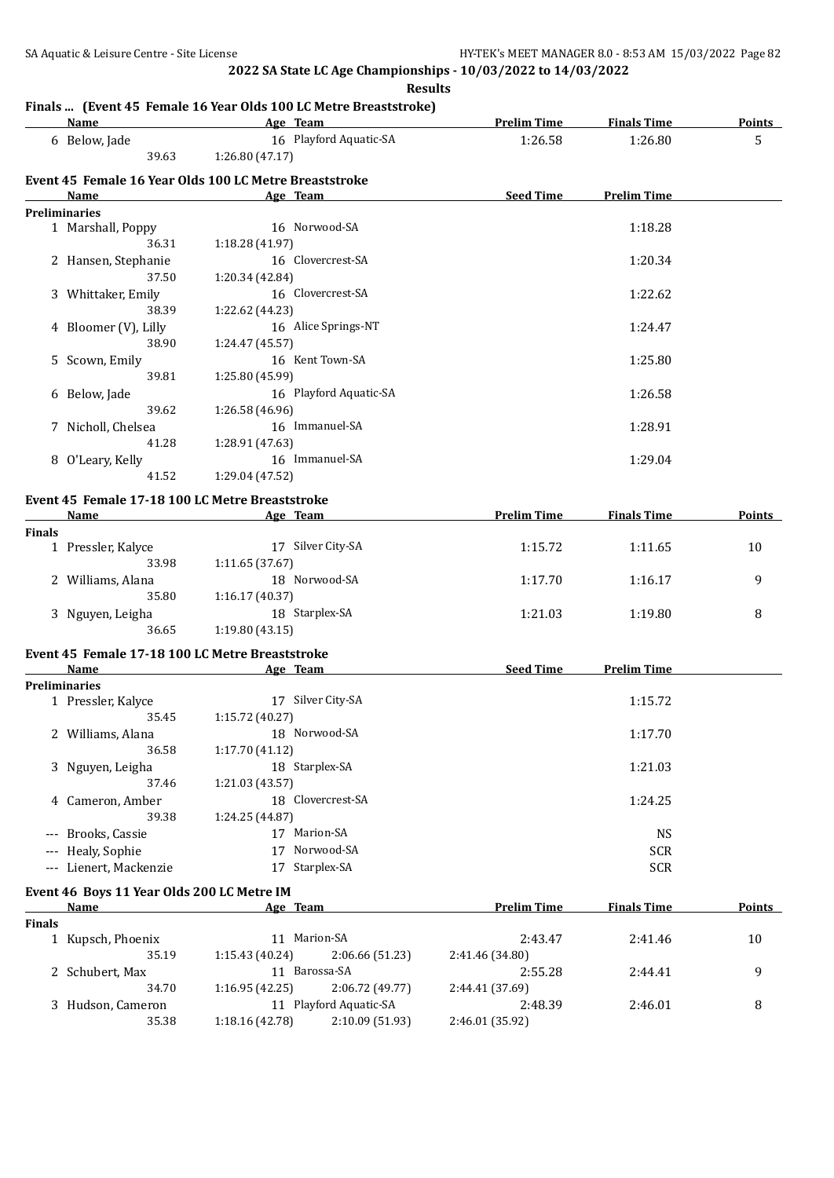**Results**

# **Finals ... (Event 45 Female 16 Year Olds 100 LC Metre Breaststroke)**

|               | Name                                       | rinais  (Event 45 remaie 10 fear Olus 100 EG Metre Dreaststroke)<br>Age Team | <b>Prelim Time</b> | <b>Finals Time</b> | <b>Points</b> |
|---------------|--------------------------------------------|------------------------------------------------------------------------------|--------------------|--------------------|---------------|
|               | 6 Below, Jade<br>39.63                     | 16 Playford Aquatic-SA<br>1:26.80(47.17)                                     | 1:26.58            | 1:26.80            | 5             |
|               |                                            |                                                                              |                    |                    |               |
|               | Name                                       | Event 45 Female 16 Year Olds 100 LC Metre Breaststroke<br>Age Team           | <b>Seed Time</b>   | <b>Prelim Time</b> |               |
|               | <b>Preliminaries</b>                       |                                                                              |                    |                    |               |
|               | 1 Marshall, Poppy                          | 16 Norwood-SA                                                                |                    | 1:18.28            |               |
|               | 36.31                                      | 1:18.28 (41.97)                                                              |                    |                    |               |
|               | 2 Hansen, Stephanie                        | 16 Clovercrest-SA                                                            |                    | 1:20.34            |               |
|               | 37.50                                      | 1:20.34 (42.84)                                                              |                    |                    |               |
|               | 3 Whittaker, Emily                         | 16 Clovercrest-SA                                                            |                    | 1:22.62            |               |
|               | 38.39                                      | 1:22.62 (44.23)                                                              |                    |                    |               |
|               | 4 Bloomer (V), Lilly                       | 16 Alice Springs-NT                                                          |                    | 1:24.47            |               |
|               | 38.90                                      | 1:24.47 (45.57)                                                              |                    |                    |               |
|               | 5 Scown, Emily                             | 16 Kent Town-SA                                                              |                    | 1:25.80            |               |
|               | 39.81                                      | 1:25.80 (45.99)                                                              |                    |                    |               |
|               | 6 Below, Jade                              | 16 Playford Aquatic-SA                                                       |                    | 1:26.58            |               |
|               | 39.62                                      | 1:26.58 (46.96)                                                              |                    |                    |               |
|               | 7 Nicholl, Chelsea                         | 16 Immanuel-SA                                                               |                    | 1:28.91            |               |
|               | 41.28                                      | 1:28.91 (47.63)                                                              |                    |                    |               |
|               | 8 O'Leary, Kelly                           | 16 Immanuel-SA                                                               |                    | 1:29.04            |               |
|               | 41.52                                      | 1:29.04 (47.52)                                                              |                    |                    |               |
|               |                                            | Event 45 Female 17-18 100 LC Metre Breaststroke                              |                    |                    |               |
|               | Name                                       | Age Team                                                                     | <b>Prelim Time</b> | <b>Finals Time</b> | Points        |
| <b>Finals</b> |                                            |                                                                              |                    |                    |               |
|               | 1 Pressler, Kalyce                         | 17 Silver City-SA                                                            | 1:15.72            | 1:11.65            | 10            |
|               | 33.98                                      | 1:11.65 (37.67)                                                              |                    |                    |               |
|               | 2 Williams, Alana                          | 18 Norwood-SA                                                                | 1:17.70            | 1:16.17            | 9             |
|               | 35.80                                      | 1:16.17(40.37)                                                               |                    |                    |               |
|               | 3 Nguyen, Leigha                           | 18 Starplex-SA                                                               | 1:21.03            | 1:19.80            | 8             |
|               | 36.65                                      | 1:19.80 (43.15)                                                              |                    |                    |               |
|               |                                            | Event 45 Female 17-18 100 LC Metre Breaststroke                              |                    |                    |               |
|               | <b>Name</b>                                | Age Team                                                                     | Seed Time          | <b>Prelim Time</b> |               |
|               | <b>Preliminaries</b>                       |                                                                              |                    |                    |               |
|               | 1 Pressler, Kalyce                         | 17 Silver City-SA                                                            |                    | 1:15.72            |               |
|               | 35.45                                      | 1:15.72 (40.27)                                                              |                    |                    |               |
|               | 2 Williams, Alana                          | 18 Norwood-SA                                                                |                    | 1:17.70            |               |
|               | 36.58                                      | 1:17.70(41.12)                                                               |                    |                    |               |
|               | 3 Nguyen, Leigha                           | 18 Starplex-SA                                                               |                    | 1:21.03            |               |
|               | 37.46                                      | 1:21.03 (43.57)                                                              |                    |                    |               |
|               | 4 Cameron, Amber                           | 18 Clovercrest-SA                                                            |                    | 1:24.25            |               |
|               | 39.38                                      | 1:24.25 (44.87)                                                              |                    |                    |               |
|               | --- Brooks, Cassie                         | 17 Marion-SA                                                                 |                    | <b>NS</b>          |               |
|               | --- Healy, Sophie                          | 17 Norwood-SA                                                                |                    | <b>SCR</b>         |               |
|               | --- Lienert, Mackenzie                     | 17 Starplex-SA                                                               |                    | <b>SCR</b>         |               |
|               | Event 46 Boys 11 Year Olds 200 LC Metre IM |                                                                              |                    |                    |               |
|               | Name                                       | Age Team                                                                     | <b>Prelim Time</b> | <b>Finals Time</b> | <b>Points</b> |
| <b>Finals</b> |                                            |                                                                              |                    |                    |               |
|               | 1 Kupsch, Phoenix                          | 11 Marion-SA                                                                 | 2:43.47            | 2:41.46            | 10            |
|               | 35.19                                      | 1:15.43 (40.24)<br>2:06.66 (51.23)                                           | 2:41.46 (34.80)    |                    |               |
|               | 2 Schubert, Max                            | 11 Barossa-SA                                                                | 2:55.28            | 2:44.41            | 9             |
|               | 34.70                                      | 1:16.95(42.25)<br>2:06.72 (49.77)                                            | 2:44.41 (37.69)    |                    |               |
|               | 3 Hudson, Cameron                          | 11 Playford Aquatic-SA                                                       | 2:48.39            | 2:46.01            | 8             |
|               | 35.38                                      | 1:18.16 (42.78)<br>2:10.09 (51.93)                                           | 2:46.01 (35.92)    |                    |               |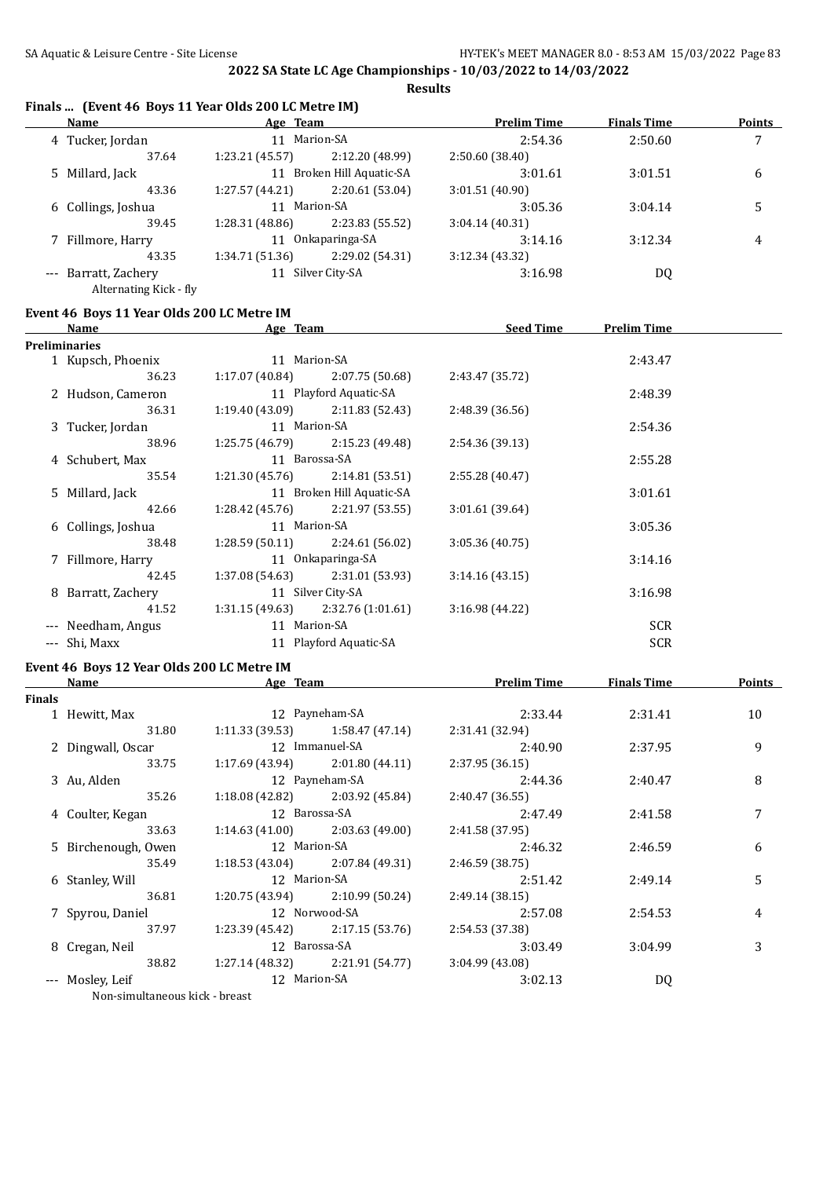### **Finals ... (Event 46 Boys 11 Year Olds 200 LC Metre IM)**

| <b>Name</b>            | Age Team        |                        | <b>Prelim Time</b> | <b>Finals Time</b> | <b>Points</b> |
|------------------------|-----------------|------------------------|--------------------|--------------------|---------------|
| 4 Tucker, Jordan       | 11              | Marion-SA              | 2:54.36            | 2:50.60            | 7             |
| 37.64                  | 1:23.21 (45.57) | 2:12.20 (48.99)        | 2:50.60(38.40)     |                    |               |
| 5 Millard, Jack        | 11              | Broken Hill Aquatic-SA | 3:01.61            | 3:01.51            | 6             |
| 43.36                  | 1:27.57(44.21)  | 2:20.61 (53.04)        | 3:01.51(40.90)     |                    |               |
| 6 Collings, Joshua     |                 | 11 Marion-SA           |                    | 3:04.14            |               |
| 39.45                  | 1:28.31(48.86)  | 2:23.83 (55.52)        | 3:04.14(40.31)     |                    |               |
| 7 Fillmore, Harry      |                 | Onkaparinga-SA         | 3:14.16            | 3:12.34            | 4             |
| 43.35                  | 1:34.71(51.36)  | 2:29.02 (54.31)        | 3:12.34(43.32)     |                    |               |
| --- Barratt, Zachery   | 11              | Silver City-SA         |                    | DQ                 |               |
| Alternating Kick - fly |                 |                        |                    |                    |               |

#### **Event 46 Boys 11 Year Olds 200 LC Metre IM**

| <b>Name</b>        | <b>Seed Time</b><br><b>Prelim Time</b><br>Age Team |                 |                                                                                                                                                                                                                                                                                                                                                                                                        |            |  |  |  |  |  |
|--------------------|----------------------------------------------------|-----------------|--------------------------------------------------------------------------------------------------------------------------------------------------------------------------------------------------------------------------------------------------------------------------------------------------------------------------------------------------------------------------------------------------------|------------|--|--|--|--|--|
| Preliminaries      |                                                    |                 |                                                                                                                                                                                                                                                                                                                                                                                                        |            |  |  |  |  |  |
| 1 Kupsch, Phoenix  |                                                    |                 |                                                                                                                                                                                                                                                                                                                                                                                                        | 2:43.47    |  |  |  |  |  |
| 36.23              |                                                    | 2:07.75 (50.68) | 2:43.47 (35.72)                                                                                                                                                                                                                                                                                                                                                                                        |            |  |  |  |  |  |
| 2 Hudson, Cameron  |                                                    |                 |                                                                                                                                                                                                                                                                                                                                                                                                        | 2:48.39    |  |  |  |  |  |
| 36.31              |                                                    | 2:11.83 (52.43) | 2:48.39 (36.56)                                                                                                                                                                                                                                                                                                                                                                                        |            |  |  |  |  |  |
| 3 Tucker, Jordan   |                                                    |                 |                                                                                                                                                                                                                                                                                                                                                                                                        | 2:54.36    |  |  |  |  |  |
| 38.96              |                                                    | 2:15.23 (49.48) | 2:54.36 (39.13)                                                                                                                                                                                                                                                                                                                                                                                        |            |  |  |  |  |  |
| 4 Schubert, Max    |                                                    |                 |                                                                                                                                                                                                                                                                                                                                                                                                        | 2:55.28    |  |  |  |  |  |
| 35.54              |                                                    | 2:14.81 (53.51) | 2:55.28 (40.47)                                                                                                                                                                                                                                                                                                                                                                                        |            |  |  |  |  |  |
| 5 Millard, Jack    |                                                    |                 |                                                                                                                                                                                                                                                                                                                                                                                                        | 3:01.61    |  |  |  |  |  |
| 42.66              |                                                    | 2:21.97 (53.55) | 3:01.61 (39.64)                                                                                                                                                                                                                                                                                                                                                                                        |            |  |  |  |  |  |
| 6 Collings, Joshua |                                                    |                 |                                                                                                                                                                                                                                                                                                                                                                                                        | 3:05.36    |  |  |  |  |  |
| 38.48              |                                                    | 2:24.61 (56.02) | 3:05.36(40.75)                                                                                                                                                                                                                                                                                                                                                                                         |            |  |  |  |  |  |
| 7 Fillmore, Harry  |                                                    |                 |                                                                                                                                                                                                                                                                                                                                                                                                        | 3:14.16    |  |  |  |  |  |
| 42.45              |                                                    |                 | 3:14.16(43.15)                                                                                                                                                                                                                                                                                                                                                                                         |            |  |  |  |  |  |
| 8 Barratt, Zachery |                                                    |                 |                                                                                                                                                                                                                                                                                                                                                                                                        | 3:16.98    |  |  |  |  |  |
| 41.52              |                                                    |                 | 3:16.98(44.22)                                                                                                                                                                                                                                                                                                                                                                                         |            |  |  |  |  |  |
| --- Needham, Angus |                                                    |                 |                                                                                                                                                                                                                                                                                                                                                                                                        | <b>SCR</b> |  |  |  |  |  |
| --- Shi, Maxx      |                                                    |                 |                                                                                                                                                                                                                                                                                                                                                                                                        | <b>SCR</b> |  |  |  |  |  |
|                    |                                                    |                 | 11 Marion-SA<br>1:17.07 (40.84)<br>11 Playford Aquatic-SA<br>1:19.40 (43.09)<br>11 Marion-SA<br>1:25.75 (46.79)<br>11 Barossa-SA<br>1:21.30 (45.76)<br>11 Broken Hill Aquatic-SA<br>1:28.42 (45.76)<br>11 Marion-SA<br>1:28.59 (50.11)<br>11 Onkaparinga-SA<br>$1:37.08(54.63)$ $2:31.01(53.93)$<br>11 Silver City-SA<br>$1:31.15(49.63)$ $2:32.76(1:01.61)$<br>11 Marion-SA<br>11 Playford Aquatic-SA |            |  |  |  |  |  |

# **Event 46 Boys 12 Year Olds 200 LC Metre IM**

|        | Name                           | Age Team      |                                     | <b>Prelim Time</b> | <b>Finals Time</b> | Points |
|--------|--------------------------------|---------------|-------------------------------------|--------------------|--------------------|--------|
| Finals |                                |               |                                     |                    |                    |        |
|        | 1 Hewitt, Max                  |               | 12 Payneham-SA                      | 2:33.44            | 2:31.41            | 10     |
|        | 31.80                          |               | $1:11.33(39.53)$ $1:58.47(47.14)$   | 2:31.41 (32.94)    |                    |        |
|        | 2 Dingwall, Oscar              |               | 12 Immanuel-SA                      | 2:40.90            | 2:37.95            | 9      |
|        | 33.75                          |               | $1:17.69$ (43.94) $2:01.80$ (44.11) | 2:37.95(36.15)     |                    |        |
|        | 3 Au, Alden                    |               | 12 Payneham-SA                      | 2:44.36            | 2:40.47            | 8      |
|        | 35.26                          |               | $1:18.08(42.82)$ $2:03.92(45.84)$   | 2:40.47(36.55)     |                    |        |
|        | 4 Coulter, Kegan               | 12 Barossa-SA |                                     | 2:47.49            | 2:41.58            |        |
|        | 33.63                          |               | $1:14.63(41.00)$ $2:03.63(49.00)$   | 2:41.58 (37.95)    |                    |        |
|        | 5 Birchenough, Owen            | 12 Marion-SA  |                                     | 2:46.32            | 2:46.59            | 6      |
|        | 35.49                          |               | $1:18.53(43.04)$ $2:07.84(49.31)$   | 2:46.59(38.75)     |                    |        |
|        | 6 Stanley, Will                | 12 Marion-SA  |                                     | 2:51.42            | 2:49.14            | 5      |
|        | 36.81                          |               | $1:20.75(43.94)$ $2:10.99(50.24)$   | 2:49.14(38.15)     |                    |        |
|        | 7 Spyrou, Daniel               |               | 12 Norwood-SA                       | 2:57.08            | 2:54.53            | 4      |
|        | 37.97                          |               | $1:23.39(45.42)$ $2:17.15(53.76)$   | 2:54.53 (37.38)    |                    |        |
|        | 8 Cregan, Neil                 |               | 12 Barossa-SA                       | 3:03.49            | 3:04.99            | 3      |
|        | 38.82                          |               | $1:27.14(48.32)$ $2:21.91(54.77)$   | 3:04.99(43.08)     |                    |        |
|        | --- Mosley, Leif               | 12 Marion-SA  |                                     | 3:02.13            | DQ                 |        |
|        | Non-simultaneous kick - breast |               |                                     |                    |                    |        |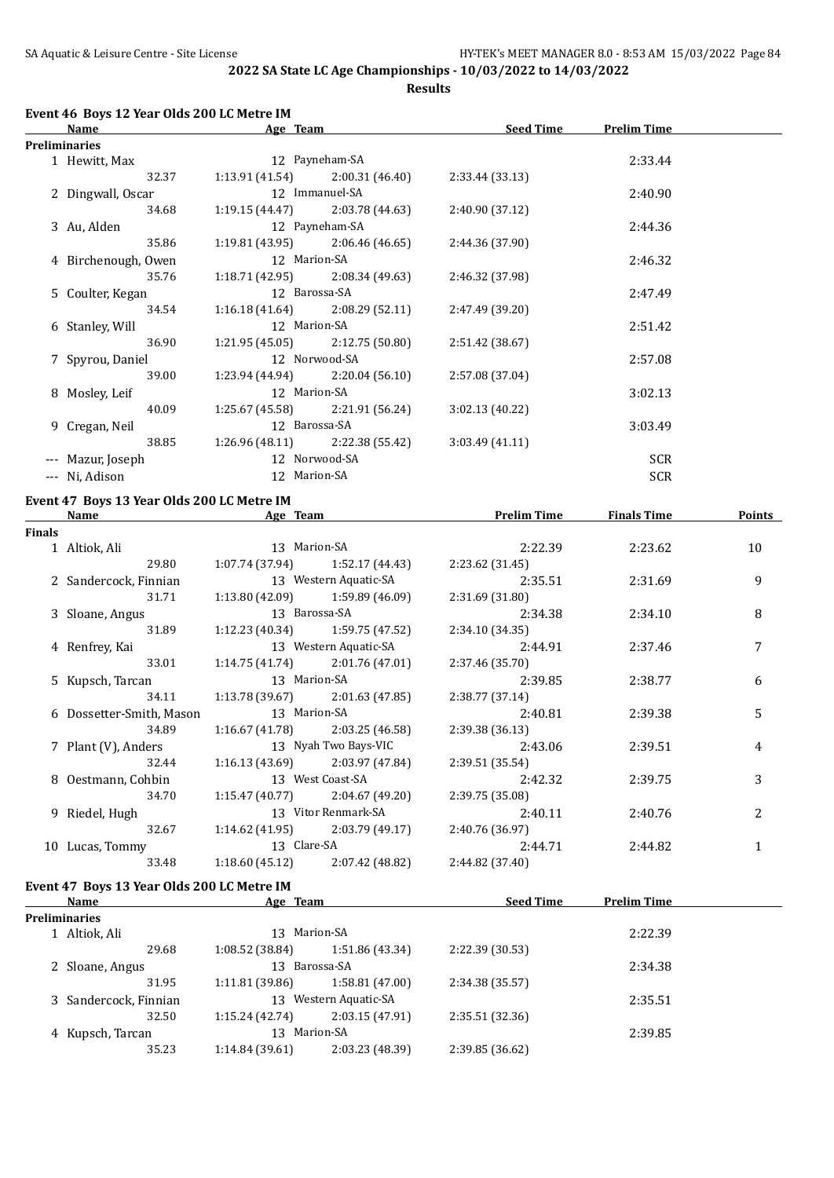#### **Event 46 Boys 12 Year Olds 200 LC Metre IM**

| Name<br>Age Team    |               | <b>Seed Time</b>                  | <b>Prelim Time</b> |            |  |
|---------------------|---------------|-----------------------------------|--------------------|------------|--|
| Preliminaries       |               |                                   |                    |            |  |
| 1 Hewitt, Max       |               | 12 Payneham-SA                    |                    | 2:33.44    |  |
| 32.37               |               | $1:13.91(41.54)$ $2:00.31(46.40)$ | 2:33.44(33.13)     |            |  |
| 2 Dingwall, Oscar   |               | 12 Immanuel-SA                    |                    | 2:40.90    |  |
| 34.68               |               | $1:19.15(44.47)$ $2:03.78(44.63)$ | 2:40.90 (37.12)    |            |  |
| 3 Au, Alden         |               | 12 Payneham-SA                    |                    | 2:44.36    |  |
| 35.86               |               | $1:19.81(43.95)$ $2:06.46(46.65)$ | 2:44.36 (37.90)    |            |  |
| 4 Birchenough, Owen | 12 Marion-SA  |                                   |                    | 2:46.32    |  |
| 35.76               |               | $1:18.71(42.95)$ $2:08.34(49.63)$ | 2:46.32 (37.98)    |            |  |
| 5 Coulter, Kegan    | 12 Barossa-SA |                                   |                    | 2:47.49    |  |
| 34.54               |               | $1:16.18(41.64)$ $2:08.29(52.11)$ | 2:47.49 (39.20)    |            |  |
| 6 Stanley, Will     | 12 Marion-SA  |                                   |                    | 2:51.42    |  |
| 36.90               |               | $1:21.95(45.05)$ $2:12.75(50.80)$ | 2:51.42 (38.67)    |            |  |
| 7 Spyrou, Daniel    |               | 12 Norwood-SA                     |                    | 2:57.08    |  |
| 39.00               |               | $1:23.94(44.94)$ $2:20.04(56.10)$ | 2:57.08 (37.04)    |            |  |
| 8 Mosley, Leif      | 12 Marion-SA  |                                   |                    | 3:02.13    |  |
| 40.09               |               | $1:25.67(45.58)$ $2:21.91(56.24)$ | 3:02.13(40.22)     |            |  |
| 9 Cregan, Neil      | 12 Barossa-SA |                                   |                    | 3:03.49    |  |
| 38.85               |               | $1:26.96(48.11)$ $2:22.38(55.42)$ | 3:03.49(41.11)     |            |  |
| --- Mazur, Joseph   |               | 12 Norwood-SA                     |                    | <b>SCR</b> |  |
| --- Ni, Adison      | 12 Marion-SA  |                                   |                    | <b>SCR</b> |  |
|                     |               |                                   |                    |            |  |

# **Event 47 Boys 13 Year Olds 200 LC Metre IM**

|        | Name<br>Age Team         |                | <b>Prelim Time</b>                  | <b>Finals Time</b> | <b>Points</b> |    |
|--------|--------------------------|----------------|-------------------------------------|--------------------|---------------|----|
| Finals |                          |                |                                     |                    |               |    |
|        | 1 Altiok, Ali            | 13 Marion-SA   |                                     | 2:22.39            | 2:23.62       | 10 |
|        | 29.80                    |                | $1:07.74(37.94)$ $1:52.17(44.43)$   | 2:23.62 (31.45)    |               |    |
|        | 2 Sandercock, Finnian    |                | 13 Western Aquatic-SA               | 2:35.51            | 2:31.69       | 9  |
|        | 31.71                    |                | $1:13.80(42.09)$ $1:59.89(46.09)$   | 2:31.69(31.80)     |               |    |
|        | 3 Sloane, Angus          |                | 13 Barossa-SA                       | 2:34.38            | 2:34.10       | 8  |
|        | 31.89                    |                | $1:12.23(40.34)$ $1:59.75(47.52)$   | 2:34.10(34.35)     |               |    |
|        | 4 Renfrey, Kai           |                | 13 Western Aquatic-SA               | 2:44.91            | 2:37.46       | 7  |
|        | 33.01                    |                | $1:14.75(41.74)$ $2:01.76(47.01)$   | 2:37.46 (35.70)    |               |    |
|        | 5 Kupsch, Tarcan         | 13 Marion-SA   |                                     | 2:39.85            | 2:38.77       | 6  |
|        | 34.11                    |                | $1:13.78(39.67)$ $2:01.63(47.85)$   | 2:38.77(37.14)     |               |    |
|        | 6 Dossetter-Smith, Mason | 13 Marion-SA   |                                     | 2:40.81            | 2:39.38       | 5  |
|        | 34.89                    |                | $1:16.67(41.78)$ $2:03.25(46.58)$   | 2:39.38(36.13)     |               |    |
|        | 7 Plant (V), Anders      |                | 13 Nyah Two Bays-VIC                | 2:43.06            | 2:39.51       | 4  |
|        | 32.44                    |                | $1:16.13(43.69)$ $2:03.97(47.84)$   | 2:39.51 (35.54)    |               |    |
|        | 8 Oestmann, Cohbin       |                | 13 West Coast-SA                    | 2:42.32            | 2:39.75       | 3  |
|        | 34.70                    |                | $1:15.47(40.77)$ $2:04.67(49.20)$   | 2:39.75 (35.08)    |               |    |
|        | 9 Riedel, Hugh           |                | 13 Vitor Renmark-SA                 | 2:40.11            | 2:40.76       | 2  |
|        | 32.67                    |                | $1:14.62$ (41.95) $2:03.79$ (49.17) | 2:40.76 (36.97)    |               |    |
|        | 10 Lucas, Tommy          | 13 Clare-SA    |                                     | 2:44.71            | 2:44.82       |    |
|        | 33.48                    | 1:18.60(45.12) | 2:07.42 (48.82)                     | 2:44.82 (37.40)    |               |    |
|        |                          |                |                                     |                    |               |    |

# **Event 47 Boys 13 Year Olds 200 LC Metre IM**

| Name                  | Age Team        |                    | <b>Seed Time</b> | <b>Prelim Time</b> |  |
|-----------------------|-----------------|--------------------|------------------|--------------------|--|
| <b>Preliminaries</b>  |                 |                    |                  |                    |  |
| Altiok, Ali           | 13              | Marion-SA          |                  | 2:22.39            |  |
| 29.68                 | 1:08.52 (38.84) | 1:51.86 (43.34)    | 2:22.39 (30.53)  |                    |  |
| 2 Sloane, Angus       | 13              | Barossa-SA         |                  | 2:34.38            |  |
| 31.95                 | 1:11.81 (39.86) | 1:58.81 (47.00)    | 2:34.38 (35.57)  |                    |  |
| 3 Sandercock, Finnian | 13              | Western Aquatic-SA |                  | 2:35.51            |  |
| 32.50                 | 1:15.24(42.74)  | 2:03.15(47.91)     | 2:35.51(32.36)   |                    |  |
| 4 Kupsch, Tarcan      | 13              | Marion-SA          |                  | 2:39.85            |  |
| 35.23                 | 1:14.84(39.61)  | 2:03.23 (48.39)    | 2:39.85 (36.62)  |                    |  |
|                       |                 |                    |                  |                    |  |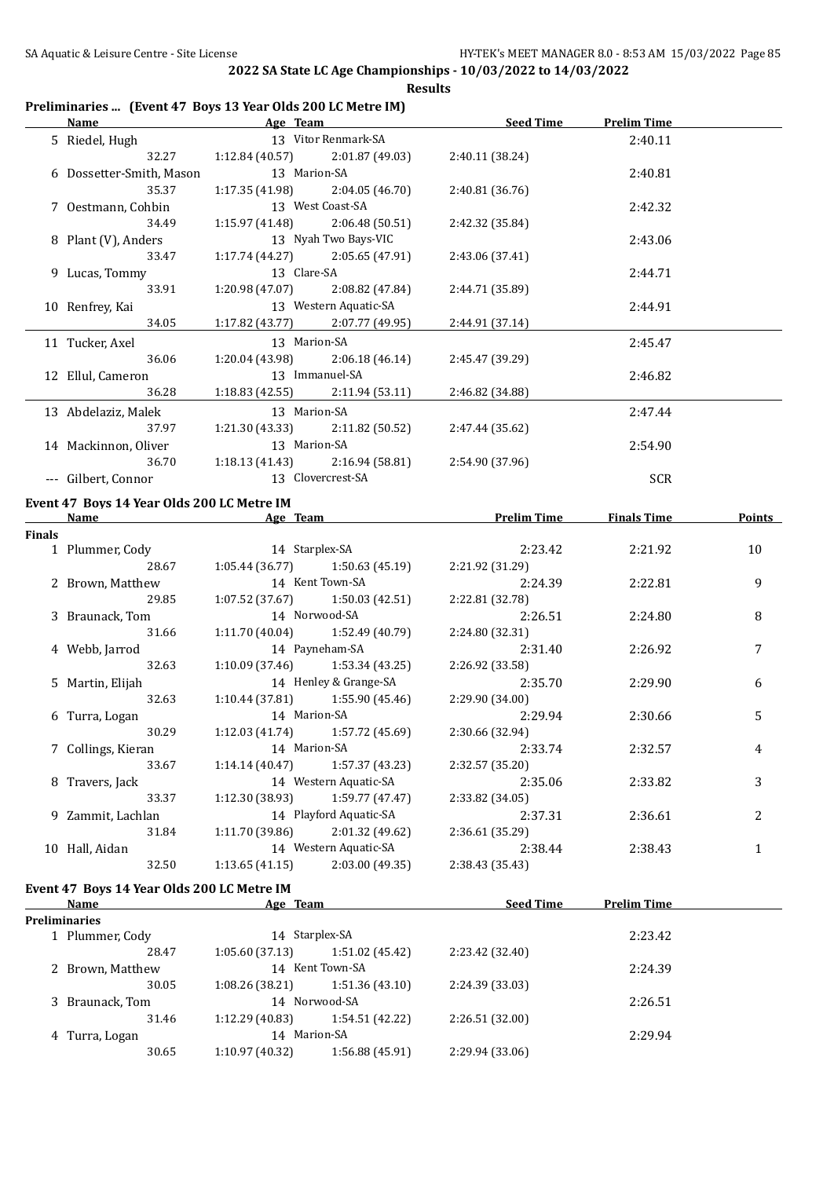#### **Preliminaries ... (Event 47 Boys 13 Year Olds 200 LC Metre IM)**

| Name                     | Age Team |  | <b>Seed Time</b>                                                                                                                                                                                                                                                                                                                                                                                                                                                                                                                                                                                  | <b>Prelim Time</b> |  |
|--------------------------|----------|--|---------------------------------------------------------------------------------------------------------------------------------------------------------------------------------------------------------------------------------------------------------------------------------------------------------------------------------------------------------------------------------------------------------------------------------------------------------------------------------------------------------------------------------------------------------------------------------------------------|--------------------|--|
| 5 Riedel, Hugh           |          |  |                                                                                                                                                                                                                                                                                                                                                                                                                                                                                                                                                                                                   | 2:40.11            |  |
| 32.27                    |          |  | 2:40.11 (38.24)                                                                                                                                                                                                                                                                                                                                                                                                                                                                                                                                                                                   |                    |  |
| 6 Dossetter-Smith, Mason |          |  |                                                                                                                                                                                                                                                                                                                                                                                                                                                                                                                                                                                                   | 2:40.81            |  |
| 35.37                    |          |  | 2:40.81(36.76)                                                                                                                                                                                                                                                                                                                                                                                                                                                                                                                                                                                    |                    |  |
| 7 Oestmann, Cohbin       |          |  |                                                                                                                                                                                                                                                                                                                                                                                                                                                                                                                                                                                                   | 2:42.32            |  |
| 34.49                    |          |  | 2:42.32 (35.84)                                                                                                                                                                                                                                                                                                                                                                                                                                                                                                                                                                                   |                    |  |
| 8 Plant (V), Anders      |          |  |                                                                                                                                                                                                                                                                                                                                                                                                                                                                                                                                                                                                   | 2:43.06            |  |
| 33.47                    |          |  | 2:43.06 (37.41)                                                                                                                                                                                                                                                                                                                                                                                                                                                                                                                                                                                   |                    |  |
| 9 Lucas, Tommy           |          |  |                                                                                                                                                                                                                                                                                                                                                                                                                                                                                                                                                                                                   | 2:44.71            |  |
| 33.91                    |          |  | 2:44.71 (35.89)                                                                                                                                                                                                                                                                                                                                                                                                                                                                                                                                                                                   |                    |  |
| 10 Renfrey, Kai          |          |  |                                                                                                                                                                                                                                                                                                                                                                                                                                                                                                                                                                                                   | 2:44.91            |  |
| 34.05                    |          |  | 2:44.91 (37.14)                                                                                                                                                                                                                                                                                                                                                                                                                                                                                                                                                                                   |                    |  |
| 11 Tucker, Axel          |          |  |                                                                                                                                                                                                                                                                                                                                                                                                                                                                                                                                                                                                   | 2:45.47            |  |
| 36.06                    |          |  | 2:45.47 (39.29)                                                                                                                                                                                                                                                                                                                                                                                                                                                                                                                                                                                   |                    |  |
| 12 Ellul, Cameron        |          |  |                                                                                                                                                                                                                                                                                                                                                                                                                                                                                                                                                                                                   | 2:46.82            |  |
| 36.28                    |          |  | 2:46.82 (34.88)                                                                                                                                                                                                                                                                                                                                                                                                                                                                                                                                                                                   |                    |  |
| 13 Abdelaziz, Malek      |          |  |                                                                                                                                                                                                                                                                                                                                                                                                                                                                                                                                                                                                   | 2:47.44            |  |
| 37.97                    |          |  | 2:47.44 (35.62)                                                                                                                                                                                                                                                                                                                                                                                                                                                                                                                                                                                   |                    |  |
| 14 Mackinnon, Oliver     |          |  |                                                                                                                                                                                                                                                                                                                                                                                                                                                                                                                                                                                                   | 2:54.90            |  |
| 36.70                    |          |  | 2:54.90 (37.96)                                                                                                                                                                                                                                                                                                                                                                                                                                                                                                                                                                                   |                    |  |
| --- Gilbert, Connor      |          |  |                                                                                                                                                                                                                                                                                                                                                                                                                                                                                                                                                                                                   | <b>SCR</b>         |  |
|                          |          |  | 13 Vitor Renmark-SA<br>$1:12.84(40.57)$ $2:01.87(49.03)$<br>13 Marion-SA<br>$1:17.35(41.98)$ $2:04.05(46.70)$<br>13 West Coast-SA<br>$1:15.97(41.48)$ $2:06.48(50.51)$<br>13 Nyah Two Bays-VIC<br>$1:17.74(44.27)$ $2:05.65(47.91)$<br>13 Clare-SA<br>$1:20.98(47.07)$ 2:08.82 (47.84)<br>13 Western Aquatic-SA<br>$1:17.82$ (43.77) $2:07.77$ (49.95)<br>13 Marion-SA<br>$1:20.04(43.98)$ $2:06.18(46.14)$<br>13 Immanuel-SA<br>$1:18.83(42.55)$ $2:11.94(53.11)$<br>13 Marion-SA<br>$1:21.30(43.33)$ $2:11.82(50.52)$<br>13 Marion-SA<br>$1:18.13(41.43)$ $2:16.94(58.81)$<br>13 Clovercrest-SA |                    |  |

#### **Event 47 Boys 14 Year Olds 200 LC Metre IM name Age Team Prelim Time Finals Time Points**

| Finals |                    |                       |                                     |                 |         |    |
|--------|--------------------|-----------------------|-------------------------------------|-----------------|---------|----|
|        | 1 Plummer, Cody    | 14 Starplex-SA        |                                     | 2:23.42         | 2:21.92 | 10 |
|        | 28.67              |                       | $1:05.44(36.77)$ $1:50.63(45.19)$   | 2:21.92 (31.29) |         |    |
|        | 2 Brown, Matthew   |                       | 14 Kent Town-SA                     | 2:24.39         | 2:22.81 | 9  |
|        | 29.85              |                       | $1:07.52(37.67)$ $1:50.03(42.51)$   | 2:22.81 (32.78) |         |    |
|        | 3 Braunack, Tom    | 14 Norwood-SA         |                                     | 2:26.51         | 2:24.80 | 8  |
|        | 31.66              |                       | $1:11.70(40.04)$ $1:52.49(40.79)$   | 2:24.80 (32.31) |         |    |
|        | 4 Webb, Jarrod     |                       | 14 Payneham-SA                      | 2:31.40         | 2:26.92 | 7  |
|        | 32.63              |                       | $1:10.09$ (37.46) $1:53.34$ (43.25) | 2:26.92 (33.58) |         |    |
|        | 5 Martin, Elijah   |                       | 14 Henley & Grange-SA               | 2:35.70         | 2:29.90 | 6  |
|        | 32.63              |                       | $1:10.44(37.81)$ $1:55.90(45.46)$   | 2:29.90(34.00)  |         |    |
|        | 6 Turra, Logan     | 14 Marion-SA          |                                     | 2:29.94         | 2:30.66 | 5  |
|        | 30.29              |                       | $1:12.03(41.74)$ $1:57.72(45.69)$   | 2:30.66 (32.94) |         |    |
|        | 7 Collings, Kieran | 14 Marion-SA          |                                     | 2:33.74         | 2:32.57 | 4  |
|        | 33.67              |                       | $1:14.14(40.47)$ $1:57.37(43.23)$   | 2:32.57 (35.20) |         |    |
|        | 8 Travers, Jack    | 14 Western Aquatic-SA |                                     | 2:35.06         | 2:33.82 | 3  |
|        | 33.37              |                       | $1:12.30(38.93)$ $1:59.77(47.47)$   | 2:33.82 (34.05) |         |    |
|        | 9 Zammit, Lachlan  |                       | 14 Playford Aquatic-SA              | 2:37.31         | 2:36.61 | 2  |
|        | 31.84              |                       | $1:11.70(39.86)$ $2:01.32(49.62)$   | 2:36.61 (35.29) |         |    |
|        | 10 Hall, Aidan     | 14 Western Aquatic-SA |                                     | 2:38.44         | 2:38.43 |    |
|        | 32.50              |                       | $1:13.65(41.15)$ $2:03.00(49.35)$   | 2:38.43 (35.43) |         |    |
|        |                    |                       |                                     |                 |         |    |

# **Event 47 Boys 14 Year Olds 200 LC Metre IM**

| Name                 | Age Team       |                 | <b>Seed Time</b> | <b>Prelim Time</b> |  |
|----------------------|----------------|-----------------|------------------|--------------------|--|
| <b>Preliminaries</b> |                |                 |                  |                    |  |
| 1 Plummer, Cody      | 14 Starplex-SA |                 |                  | 2:23.42            |  |
| 28.47                | 1:05.60(37.13) | 1:51.02 (45.42) | 2:23.42 (32.40)  |                    |  |
| 2 Brown, Matthew     |                | 14 Kent Town-SA |                  | 2:24.39            |  |
| 30.05                | 1:08.26(38.21) | 1:51.36(43.10)  | 2:24.39 (33.03)  |                    |  |
| 3 Braunack, Tom      | 14 Norwood-SA  |                 |                  | 2:26.51            |  |
| 31.46                | 1:12.29(40.83) | 1:54.51 (42.22) | 2:26.51 (32.00)  |                    |  |
| 4 Turra, Logan       | 14 Marion-SA   |                 |                  | 2:29.94            |  |
| 30.65                | 1:10.97(40.32) | 1:56.88 (45.91) | 2:29.94 (33.06)  |                    |  |
|                      |                |                 |                  |                    |  |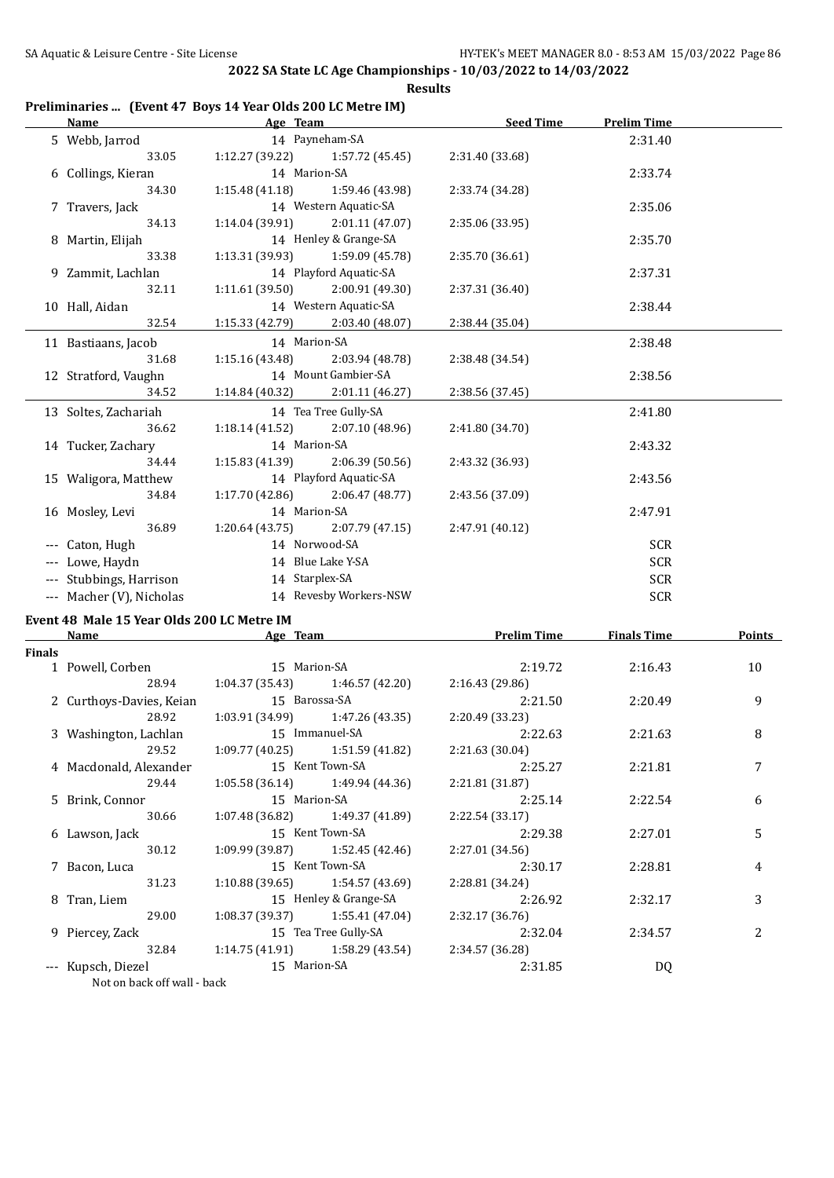#### **Preliminaries ... (Event 47 Boys 14 Year Olds 200 LC Metre IM)**

| Name                     | Age Team                          |                        | <b>Seed Time</b> | <b>Prelim Time</b> |  |
|--------------------------|-----------------------------------|------------------------|------------------|--------------------|--|
| 5 Webb, Jarrod           |                                   | 14 Payneham-SA         |                  | 2:31.40            |  |
| 33.05                    | $1:12.27(39.22)$ $1:57.72(45.45)$ |                        | 2:31.40 (33.68)  |                    |  |
| 6 Collings, Kieran       | 14 Marion-SA                      |                        |                  | 2:33.74            |  |
| 34.30                    | 1:15.48(41.18)                    | 1:59.46 (43.98)        | 2:33.74 (34.28)  |                    |  |
| 7 Travers, Jack          |                                   | 14 Western Aquatic-SA  |                  | 2:35.06            |  |
| 34.13                    | $1:14.04(39.91)$ $2:01.11(47.07)$ |                        | 2:35.06 (33.95)  |                    |  |
| 8 Martin, Elijah         |                                   | 14 Henley & Grange-SA  |                  | 2:35.70            |  |
| 33.38                    | 1:13.31 (39.93)                   | 1:59.09 (45.78)        | 2:35.70 (36.61)  |                    |  |
| 9 Zammit, Lachlan        |                                   | 14 Playford Aquatic-SA |                  | 2:37.31            |  |
| 32.11                    | $1:11.61(39.50)$ $2:00.91(49.30)$ |                        | 2:37.31 (36.40)  |                    |  |
| 10 Hall, Aidan           |                                   | 14 Western Aquatic-SA  |                  | 2:38.44            |  |
| 32.54                    | $1:15.33(42.79)$ 2:03.40 (48.07)  |                        | 2:38.44 (35.04)  |                    |  |
| 11 Bastiaans, Jacob      | 14 Marion-SA                      |                        |                  | 2:38.48            |  |
| 31.68                    | 1:15.16 (43.48)                   | 2:03.94 (48.78)        | 2:38.48 (34.54)  |                    |  |
| 12 Stratford, Vaughn     |                                   | 14 Mount Gambier-SA    |                  | 2:38.56            |  |
| 34.52                    | $1:14.84(40.32)$ $2:01.11(46.27)$ |                        | 2:38.56 (37.45)  |                    |  |
| 13 Soltes, Zachariah     |                                   | 14 Tea Tree Gully-SA   |                  | 2:41.80            |  |
| 36.62                    | 1:18.14(41.52)                    | 2:07.10 (48.96)        | 2:41.80 (34.70)  |                    |  |
| 14 Tucker, Zachary       | 14 Marion-SA                      |                        |                  | 2:43.32            |  |
| 34.44                    | $1:15.83(41.39)$ $2:06.39(50.56)$ |                        | 2:43.32 (36.93)  |                    |  |
| 15 Waligora, Matthew     |                                   | 14 Playford Aquatic-SA |                  | 2:43.56            |  |
| 34.84                    | $1:17.70(42.86)$ $2:06.47(48.77)$ |                        | 2:43.56 (37.09)  |                    |  |
| 16 Mosley, Levi          | 14 Marion-SA                      |                        |                  | 2:47.91            |  |
| 36.89                    | 1:20.64(43.75)                    | 2:07.79 (47.15)        | 2:47.91 (40.12)  |                    |  |
| --- Caton, Hugh          | 14 Norwood-SA                     |                        |                  | <b>SCR</b>         |  |
| --- Lowe, Haydn          |                                   | 14 Blue Lake Y-SA      |                  | <b>SCR</b>         |  |
| --- Stubbings, Harrison  | 14 Starplex-SA                    |                        |                  | <b>SCR</b>         |  |
| --- Macher (V), Nicholas |                                   | 14 Revesby Workers-NSW |                  | SCR                |  |
|                          |                                   |                        |                  |                    |  |

#### **Event 48 Male 15 Year Olds 200 LC Metre IM**

|        | Name<br>Age Team                                |                 | <b>Prelim Time</b>                | <b>Finals Time</b> | <b>Points</b> |                |
|--------|-------------------------------------------------|-----------------|-----------------------------------|--------------------|---------------|----------------|
| Finals |                                                 |                 |                                   |                    |               |                |
|        | 1 Powell, Corben                                | 15 Marion-SA    |                                   | 2:19.72            | 2:16.43       | 10             |
|        | 28.94                                           |                 | $1:04.37(35.43)$ $1:46.57(42.20)$ | 2:16.43(29.86)     |               |                |
|        | 2 Curthoys-Davies, Keian                        | 15 Barossa-SA   |                                   | 2:21.50            | 2:20.49       | 9              |
|        | 28.92                                           |                 | $1:03.91(34.99)$ $1:47.26(43.35)$ | 2:20.49 (33.23)    |               |                |
|        | 3 Washington, Lachlan                           |                 | 15 Immanuel-SA                    | 2:22.63            | 2:21.63       | 8              |
|        | 29.52                                           |                 | $1:09.77(40.25)$ $1:51.59(41.82)$ | 2:21.63(30.04)     |               |                |
|        | 4 Macdonald, Alexander                          | 15 Kent Town-SA |                                   | 2:25.27            | 2:21.81       | 7              |
|        | 29.44                                           |                 | $1:05.58(36.14)$ $1:49.94(44.36)$ | 2:21.81(31.87)     |               |                |
|        | 5 Brink, Connor                                 |                 | 15 Marion-SA                      | 2:25.14            | 2:22.54       | 6              |
|        | 30.66                                           |                 | $1:07.48(36.82)$ $1:49.37(41.89)$ | 2:22.54 (33.17)    |               |                |
|        | 6 Lawson, Jack                                  | 15 Kent Town-SA |                                   | 2:29.38            | 2:27.01       | 5              |
|        | 30.12                                           |                 | $1:09.99(39.87)$ $1:52.45(42.46)$ | 2:27.01(34.56)     |               |                |
|        | 7 Bacon, Luca                                   |                 | 15 Kent Town-SA                   | 2:30.17            | 2:28.81       | 4              |
|        | 31.23                                           |                 | $1:10.88(39.65)$ $1:54.57(43.69)$ | 2:28.81 (34.24)    |               |                |
|        | 8 Tran, Liem                                    |                 | 15 Henley & Grange-SA             | 2:26.92            | 2:32.17       | 3              |
|        | 29.00                                           |                 | $1:08.37(39.37)$ $1:55.41(47.04)$ | 2:32.17(36.76)     |               |                |
|        | 9 Piercey, Zack                                 |                 | 15 Tea Tree Gully-SA              | 2:32.04            | 2:34.57       | $\overline{c}$ |
|        | 32.84                                           |                 | $1:14.75(41.91)$ $1:58.29(43.54)$ | 2:34.57 (36.28)    |               |                |
|        | --- Kupsch, Diezel<br>Not an hagh off unll hagh | 15 Marion-SA    |                                   | 2:31.85            | DQ            |                |

Not on back off wall - back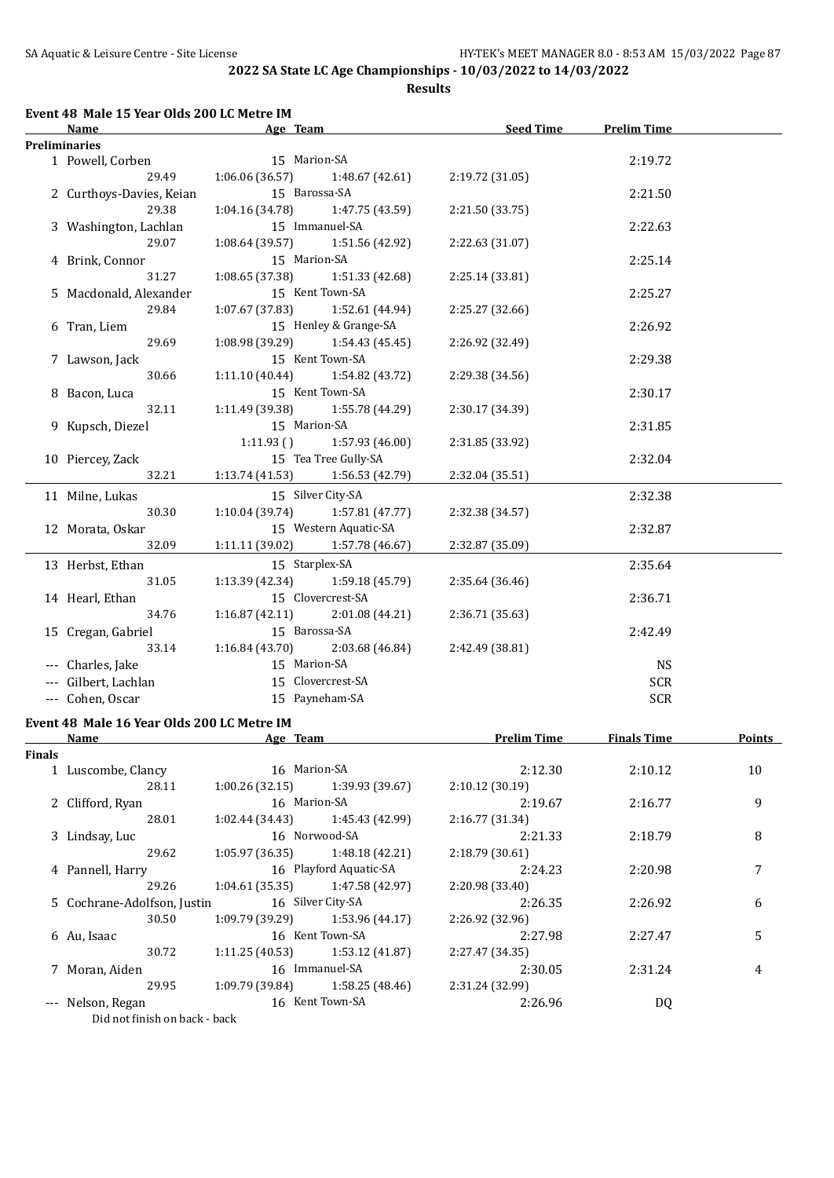**Results**

#### **Event 48 Male 15 Year Olds 200 LC Metre IM**

| Age Team<br>Name         |                                     | <b>Seed Time</b>                        | <b>Prelim Time</b> |            |  |
|--------------------------|-------------------------------------|-----------------------------------------|--------------------|------------|--|
| <b>Preliminaries</b>     |                                     |                                         |                    |            |  |
| 1 Powell, Corben         | 15 Marion-SA                        |                                         |                    | 2:19.72    |  |
| 29.49                    | 1:06.06 (36.57)                     | 1:48.67(42.61)                          | 2:19.72 (31.05)    |            |  |
| 2 Curthoys-Davies, Keian | 15 Barossa-SA                       |                                         |                    | 2:21.50    |  |
| 29.38                    | 1:04.16 (34.78)                     | 1:47.75 (43.59)                         | 2:21.50 (33.75)    |            |  |
| 3 Washington, Lachlan    |                                     | 15 Immanuel-SA                          |                    | 2:22.63    |  |
| 29.07                    | 1:08.64 (39.57)                     | 1:51.56 (42.92)                         | 2:22.63 (31.07)    |            |  |
| 4 Brink, Connor          | 15 Marion-SA                        |                                         |                    | 2:25.14    |  |
| 31.27                    | 1:08.65(37.38)                      | 1:51.33 (42.68)                         | 2:25.14 (33.81)    |            |  |
| 5 Macdonald, Alexander   |                                     | 15 Kent Town-SA                         |                    | 2:25.27    |  |
| 29.84                    | 1:07.67(37.83)                      | 1:52.61 (44.94)                         | 2:25.27 (32.66)    |            |  |
| 6 Tran, Liem             |                                     | 15 Henley & Grange-SA                   |                    | 2:26.92    |  |
| 29.69                    | $1:08.98(39.29)$ $1:54.43(45.45)$   |                                         | 2:26.92 (32.49)    |            |  |
| 7 Lawson, Jack           |                                     | 15 Kent Town-SA                         |                    | 2:29.38    |  |
| 30.66                    |                                     | $1:11.10(40.44)$ $1:54.82(43.72)$       | 2:29.38 (34.56)    |            |  |
| 8 Bacon, Luca            |                                     | 15 Kent Town-SA                         |                    | 2:30.17    |  |
| 32.11                    | $1:11.49$ (39.38) $1:55.78$ (44.29) |                                         | 2:30.17 (34.39)    |            |  |
| 9 Kupsch, Diezel         | 15 Marion-SA                        |                                         |                    | 2:31.85    |  |
|                          |                                     | $1:11.93$ () $1:57.93$ (46.00)          | 2:31.85 (33.92)    |            |  |
| 10 Piercey, Zack         |                                     | 15 Tea Tree Gully-SA                    |                    | 2:32.04    |  |
| 32.21                    | $1:13.74(41.53)$ $1:56.53(42.79)$   |                                         | 2:32.04 (35.51)    |            |  |
| 11 Milne, Lukas          |                                     | 15 Silver City-SA                       |                    | 2:32.38    |  |
| 30.30                    | 1:10.04(39.74)                      | 1:57.81(47.77)                          | 2:32.38 (34.57)    |            |  |
| 12 Morata, Oskar         |                                     | 15 Western Aquatic-SA                   |                    | 2:32.87    |  |
| 32.09                    | 1:11.11(39.02)                      | 1:57.78 (46.67)                         | 2:32.87 (35.09)    |            |  |
| 13 Herbst, Ethan         | 15 Starplex-SA                      |                                         |                    | 2:35.64    |  |
| 31.05                    |                                     | $1:13.39$ $(42.34)$ $1:59.18$ $(45.79)$ | 2:35.64 (36.46)    |            |  |
| 14 Hearl, Ethan          |                                     | 15 Clovercrest-SA                       |                    | 2:36.71    |  |
| 34.76                    |                                     | $1:16.87(42.11)$ $2:01.08(44.21)$       | 2:36.71 (35.63)    |            |  |
| 15 Cregan, Gabriel       | 15 Barossa-SA                       |                                         |                    | 2:42.49    |  |
| 33.14                    | 1:16.84(43.70)                      | 2:03.68 (46.84)                         | 2:42.49 (38.81)    |            |  |
| --- Charles, Jake        | 15 Marion-SA                        |                                         |                    | <b>NS</b>  |  |
| --- Gilbert, Lachlan     |                                     | 15 Clovercrest-SA                       |                    | <b>SCR</b> |  |
| --- Cohen, Oscar         |                                     | 15 Payneham-SA                          |                    | <b>SCR</b> |  |
|                          |                                     |                                         |                    |            |  |

#### **Event 48 Male 16 Year Olds 200 LC Metre IM**

|               | Name                          |                   | Age Team                          |                 | <b>Finals Time</b> | <b>Points</b> |
|---------------|-------------------------------|-------------------|-----------------------------------|-----------------|--------------------|---------------|
| <b>Finals</b> |                               |                   |                                   |                 |                    |               |
|               | 1 Luscombe, Clancy            | 16 Marion-SA      |                                   | 2:12.30         | 2:10.12            | 10            |
|               | 28.11                         | 1:00.26(32.15)    | 1:39.93 (39.67)                   | 2:10.12(30.19)  |                    |               |
|               | 2 Clifford, Ryan              | 16 Marion-SA      |                                   | 2:19.67         | 2:16.77            | 9             |
|               | 28.01                         |                   | $1:02.44(34.43)$ $1:45.43(42.99)$ | 2:16.77(31.34)  |                    |               |
|               | 3 Lindsay, Luc                |                   | 16 Norwood-SA                     | 2:21.33         | 2:18.79            | 8             |
|               | 29.62                         | 1:05.97(36.35)    | 1:48.18 (42.21)                   | 2:18.79(30.61)  |                    |               |
|               | 4 Pannell, Harry              |                   | 16 Playford Aquatic-SA            | 2:24.23         | 2:20.98            | 7             |
|               | 29.26                         | 1:04.61 (35.35)   | 1:47.58 (42.97)                   | 2:20.98 (33.40) |                    |               |
|               | 5 Cochrane-Adolfson, Justin   | 16 Silver City-SA |                                   | 2:26.35         | 2:26.92            | 6             |
|               | 30.50                         |                   | $1:09.79(39.29)$ 1:53.96 (44.17)  | 2:26.92 (32.96) |                    |               |
|               | 6 Au, Isaac                   |                   | 16 Kent Town-SA                   | 2:27.98         | 2:27.47            | 5             |
|               | 30.72                         |                   | $1:11.25(40.53)$ $1:53.12(41.87)$ | 2:27.47 (34.35) |                    |               |
|               | 7 Moran, Aiden                |                   | 16 Immanuel-SA                    | 2:30.05         | 2:31.24            | 4             |
|               | 29.95                         | 1:09.79 (39.84)   | 1:58.25 (48.46)                   | 2:31.24 (32.99) |                    |               |
|               | --- Nelson, Regan             |                   | 16 Kent Town-SA                   | 2:26.96         | DQ                 |               |
|               | Did not finish on back - back |                   |                                   |                 |                    |               |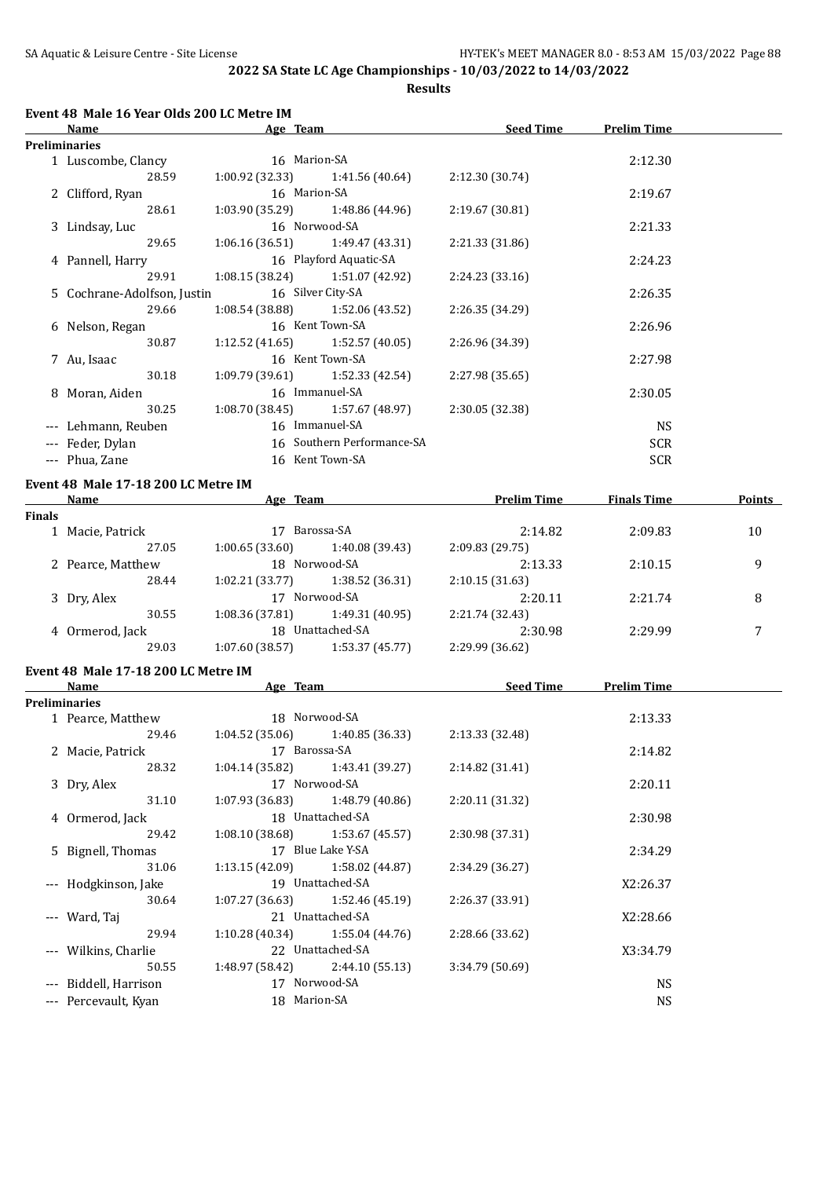**Results**

| Name                        | Age Team     |                                     | <b>Seed Time</b> | <b>Prelim Time</b> |  |
|-----------------------------|--------------|-------------------------------------|------------------|--------------------|--|
| Preliminaries               |              |                                     |                  |                    |  |
| 1 Luscombe, Clancy          | 16 Marion-SA |                                     |                  | 2:12.30            |  |
| 28.59                       |              | $1:00.92$ (32.33) $1:41.56$ (40.64) | 2:12.30(30.74)   |                    |  |
| 2 Clifford, Ryan            | 16 Marion-SA |                                     |                  | 2:19.67            |  |
| 28.61                       |              | $1:03.90(35.29)$ $1:48.86(44.96)$   | 2:19.67 (30.81)  |                    |  |
| 3 Lindsay, Luc              |              | 16 Norwood-SA                       |                  | 2:21.33            |  |
| 29.65                       |              | $1:06.16(36.51)$ $1:49.47(43.31)$   | 2:21.33 (31.86)  |                    |  |
| 4 Pannell, Harry            |              | 16 Playford Aquatic-SA              |                  | 2:24.23            |  |
| 29.91                       |              | $1:08.15(38.24)$ $1:51.07(42.92)$   | 2:24.23 (33.16)  |                    |  |
| 5 Cochrane-Adolfson, Justin |              | 16 Silver City-SA                   |                  | 2:26.35            |  |
| 29.66                       |              | $1:08.54(38.88)$ $1:52.06(43.52)$   | 2:26.35 (34.29)  |                    |  |
| 6 Nelson, Regan             |              | 16 Kent Town-SA                     |                  | 2:26.96            |  |
| 30.87                       |              | $1:12.52(41.65)$ $1:52.57(40.05)$   | 2:26.96 (34.39)  |                    |  |
| 7 Au, Isaac                 |              | 16 Kent Town-SA                     |                  | 2:27.98            |  |
| 30.18                       |              | $1:09.79(39.61)$ $1:52.33(42.54)$   | 2:27.98 (35.65)  |                    |  |
| 8 Moran, Aiden              |              | 16 Immanuel-SA                      |                  | 2:30.05            |  |
| 30.25                       |              | $1:08.70(38.45)$ $1:57.67(48.97)$   | 2:30.05 (32.38)  |                    |  |
| --- Lehmann, Reuben         |              | 16 Immanuel-SA                      |                  | <b>NS</b>          |  |
| --- Feder, Dylan            |              | 16 Southern Performance-SA          |                  | <b>SCR</b>         |  |
| --- Phua, Zane              |              | 16 Kent Town-SA                     |                  | <b>SCR</b>         |  |
|                             |              |                                     |                  |                    |  |

#### **Event 48 Male 17-18 200 LC Metre IM**

|        | Name              | Age Team        |                       | <b>Prelim Time</b> | <b>Finals Time</b> | <b>Points</b> |
|--------|-------------------|-----------------|-----------------------|--------------------|--------------------|---------------|
| Finals |                   |                 |                       |                    |                    |               |
|        | 1 Macie, Patrick  |                 | Barossa-SA<br>2:14.82 |                    | 2:09.83            | 10            |
|        | 27.05             | 1:00.65(33.60)  | 1:40.08 (39.43)       | 2:09.83 (29.75)    |                    |               |
|        | 2 Pearce, Matthew | 18 Norwood-SA   |                       | 2:13.33            | 2:10.15            | 9             |
|        | 28.44             | 1:02.21(33.77)  | 1:38.52(36.31)        | 2:10.15(31.63)     |                    |               |
|        | 3 Dry, Alex       | 17              | Norwood-SA            | 2:20.11            | 2:21.74            | 8             |
|        | 30.55             | 1:08.36 (37.81) | 1:49.31 (40.95)       | 2:21.74 (32.43)    |                    |               |
|        | 4 Ormerod, Jack   |                 | 18 Unattached-SA      | 2:30.98            | 2:29.99            | 7             |
|        | 29.03             | 1:07.60(38.57)  | 1:53.37(45.77)        | 2:29.99 (36.62)    |                    |               |
|        |                   |                 |                       |                    |                    |               |

# **Event 48 Male 17-18 200 LC Metre IM**

| Age Team<br>Name                    |                   | <b>Seed Time</b>                  | <b>Prelim Time</b> |           |  |
|-------------------------------------|-------------------|-----------------------------------|--------------------|-----------|--|
| <b>Preliminaries</b>                |                   |                                   |                    |           |  |
| 1 Pearce, Matthew                   |                   | 18 Norwood-SA                     |                    | 2:13.33   |  |
| 29.46                               |                   | $1:04.52(35.06)$ 1:40.85 (36.33)  | 2:13.33 (32.48)    |           |  |
| 2 Macie, Patrick                    | 17 Barossa-SA     |                                   |                    | 2:14.82   |  |
| 28.32                               | 1:04.14 (35.82)   | 1:43.41 (39.27)                   | 2:14.82 (31.41)    |           |  |
| 3 Dry, Alex                         |                   | 17 Norwood-SA                     |                    | 2:20.11   |  |
| 31.10                               |                   | $1:07.93(36.83)$ $1:48.79(40.86)$ | 2:20.11 (31.32)    |           |  |
| 18 Unattached-SA<br>4 Ormerod, Jack |                   |                                   | 2:30.98            |           |  |
| 29.42                               | 1:08.10 (38.68)   | 1:53.67 (45.57)                   | 2:30.98 (37.31)    |           |  |
| 5 Bignell, Thomas                   | 17 Blue Lake Y-SA |                                   |                    | 2:34.29   |  |
| 31.06                               |                   | $1:13.15(42.09)$ $1:58.02(44.87)$ | 2:34.29 (36.27)    |           |  |
| --- Hodgkinson, Jake                |                   | 19 Unattached-SA                  |                    | X2:26.37  |  |
| 30.64                               |                   | $1:07.27(36.63)$ $1:52.46(45.19)$ | 2:26.37 (33.91)    |           |  |
| --- Ward, Taj                       |                   | 21 Unattached-SA                  |                    | X2:28.66  |  |
| 29.94                               |                   | $1:10.28(40.34)$ $1:55.04(44.76)$ | 2:28.66 (33.62)    |           |  |
| --- Wilkins, Charlie                |                   | 22 Unattached-SA                  |                    | X3:34.79  |  |
| 50.55                               |                   | $1:48.97(58.42)$ 2:44.10(55.13)   | 3:34.79 (50.69)    |           |  |
| --- Biddell, Harrison               |                   | 17 Norwood-SA                     |                    | <b>NS</b> |  |
| --- Percevault, Kyan                | 18 Marion-SA      |                                   |                    | <b>NS</b> |  |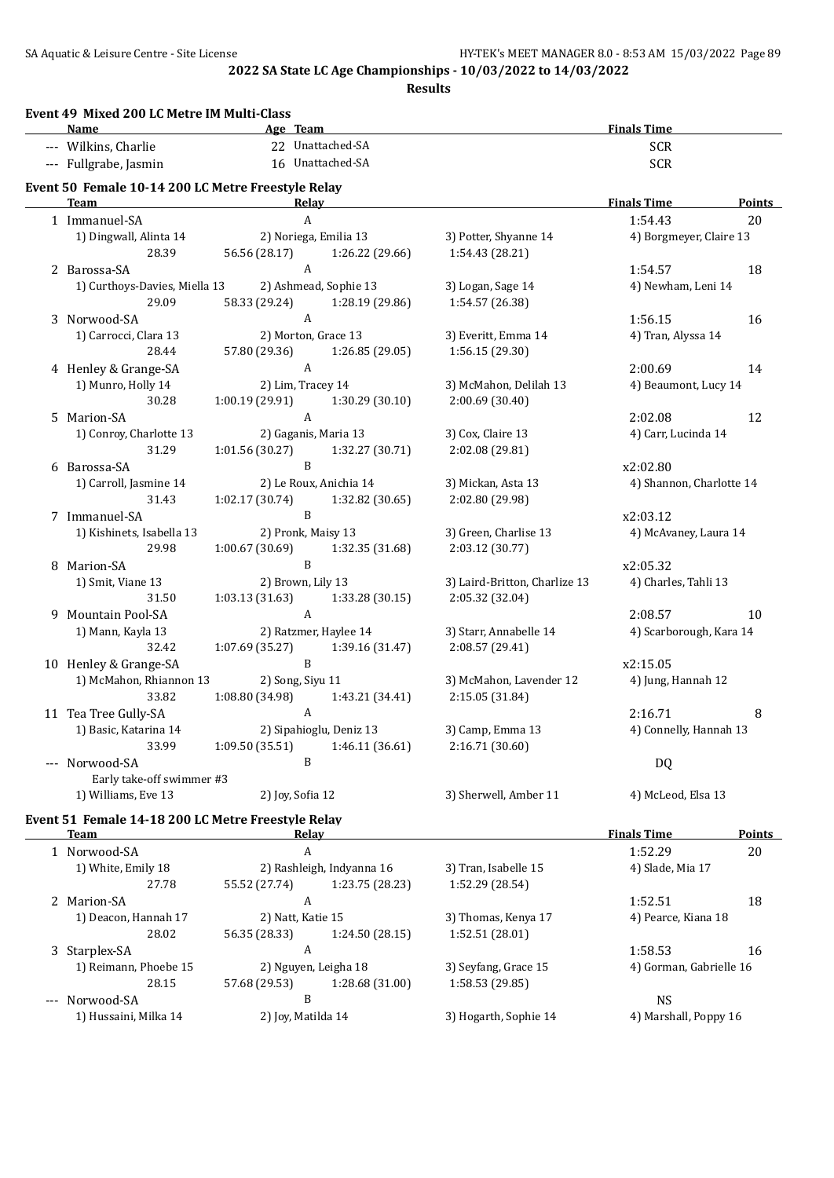**Results**

|                     | Name                                               |                 | Age Team                |                                        | <b>Finals Time</b>       |               |
|---------------------|----------------------------------------------------|-----------------|-------------------------|----------------------------------------|--------------------------|---------------|
|                     | --- Wilkins, Charlie                               |                 | 22 Unattached-SA        |                                        | <b>SCR</b>               |               |
|                     | --- Fullgrabe, Jasmin                              |                 | 16 Unattached-SA        |                                        | <b>SCR</b>               |               |
|                     | Event 50 Female 10-14 200 LC Metre Freestyle Relay |                 |                         |                                        |                          |               |
|                     | <b>Team</b>                                        |                 | Relay                   |                                        | <b>Finals Time</b>       | <b>Points</b> |
|                     | 1 Immanuel-SA                                      |                 | A                       |                                        | 1:54.43                  | 20            |
|                     | 1) Dingwall, Alinta 14                             |                 | 2) Noriega, Emilia 13   | 3) Potter, Shyanne 14                  | 4) Borgmeyer, Claire 13  |               |
|                     | 28.39                                              | 56.56 (28.17)   | 1:26.22 (29.66)         | 1:54.43 (28.21)                        |                          |               |
|                     | 2 Barossa-SA                                       |                 | A                       |                                        | 1:54.57                  | 18            |
|                     | 1) Curthoys-Davies, Miella 13                      |                 | 2) Ashmead, Sophie 13   | 3) Logan, Sage 14                      | 4) Newham, Leni 14       |               |
|                     | 29.09                                              | 58.33 (29.24)   | 1:28.19 (29.86)<br>A    | 1:54.57 (26.38)                        |                          |               |
|                     | 3 Norwood-SA                                       |                 | 2) Morton, Grace 13     |                                        | 1:56.15                  | 16            |
|                     | 1) Carrocci, Clara 13<br>28.44                     | 57.80 (29.36)   | 1:26.85 (29.05)         | 3) Everitt, Emma 14<br>1:56.15 (29.30) | 4) Tran, Alyssa 14       |               |
|                     | 4 Henley & Grange-SA                               |                 | A                       |                                        | 2:00.69                  | 14            |
|                     | 1) Munro, Holly 14                                 |                 | 2) Lim, Tracey 14       | 3) McMahon, Delilah 13                 | 4) Beaumont, Lucy 14     |               |
|                     | 30.28                                              | 1:00.19 (29.91) | 1:30.29 (30.10)         | 2:00.69 (30.40)                        |                          |               |
|                     | 5 Marion-SA                                        |                 | $\mathbf{A}$            |                                        | 2:02.08                  | 12            |
|                     | 1) Conroy, Charlotte 13                            |                 | 2) Gaganis, Maria 13    | 3) Cox, Claire 13                      | 4) Carr, Lucinda 14      |               |
|                     | 31.29                                              | 1:01.56(30.27)  | 1:32.27 (30.71)         | 2:02.08 (29.81)                        |                          |               |
|                     | 6 Barossa-SA                                       |                 | B                       |                                        | x2:02.80                 |               |
|                     | 1) Carroll, Jasmine 14                             |                 | 2) Le Roux, Anichia 14  | 3) Mickan, Asta 13                     | 4) Shannon, Charlotte 14 |               |
|                     | 31.43                                              | 1:02.17(30.74)  | 1:32.82 (30.65)         | 2:02.80 (29.98)                        |                          |               |
|                     | 7 Immanuel-SA                                      |                 | B                       |                                        | x2:03.12                 |               |
|                     | 1) Kishinets, Isabella 13                          |                 | 2) Pronk, Maisy 13      | 3) Green, Charlise 13                  | 4) McAvaney, Laura 14    |               |
|                     | 29.98                                              | 1:00.67(30.69)  | 1:32.35 (31.68)         | 2:03.12 (30.77)                        |                          |               |
|                     | 8 Marion-SA                                        |                 | B                       |                                        | x2:05.32                 |               |
|                     | 1) Smit, Viane 13                                  |                 | 2) Brown, Lily 13       | 3) Laird-Britton, Charlize 13          | 4) Charles, Tahli 13     |               |
|                     | 31.50                                              | 1:03.13(31.63)  | 1:33.28 (30.15)         | 2:05.32 (32.04)                        |                          |               |
|                     | 9 Mountain Pool-SA                                 |                 | A                       |                                        | 2:08.57                  | 10            |
|                     | 1) Mann, Kayla 13                                  |                 | 2) Ratzmer, Haylee 14   | 3) Starr, Annabelle 14                 | 4) Scarborough, Kara 14  |               |
|                     | 32.42                                              | 1:07.69 (35.27) | 1:39.16 (31.47)         | 2:08.57 (29.41)                        |                          |               |
|                     | 10 Henley & Grange-SA                              |                 | $\, {\bf B}$            |                                        | x2:15.05                 |               |
|                     | 1) McMahon, Rhiannon 13                            |                 | 2) Song, Siyu 11        | 3) McMahon, Lavender 12                | 4) Jung, Hannah 12       |               |
|                     | 33.82                                              | 1:08.80 (34.98) | 1:43.21 (34.41)         | 2:15.05 (31.84)                        |                          |               |
|                     | 11 Tea Tree Gully-SA                               |                 | A                       |                                        | 2:16.71                  | 8             |
|                     | 1) Basic, Katarina 14                              |                 | 2) Sipahioglu, Deniz 13 | 3) Camp, Emma 13                       | 4) Connelly, Hannah 13   |               |
|                     | 33.99                                              | 1:09.50(35.51)  | 1:46.11(36.61)          | 2:16.71 (30.60)                        |                          |               |
| $\qquad \qquad - -$ | Norwood-SA                                         |                 | B                       |                                        | DQ                       |               |
|                     | Early take-off swimmer #3                          |                 |                         | 3) Sherwell, Amber 11                  |                          |               |
|                     | 1) Williams, Eve 13                                |                 | 2) Joy, Sofia 12        |                                        | 4) McLeod, Elsa 13       |               |
|                     | Event 51 Female 14-18 200 LC Metre Freestyle Relay |                 |                         |                                        |                          |               |
|                     | Team                                               |                 | <b>Relay</b>            |                                        | <b>Finals Time</b>       | <b>Points</b> |
|                     | 1 Norwood-SA                                       |                 | A                       |                                        | 1:52.29                  | 20            |

| Norwood-SA            | А                  |                           |                       | 1:52.29                 | 20 |
|-----------------------|--------------------|---------------------------|-----------------------|-------------------------|----|
| 1) White, Emily 18    |                    | 2) Rashleigh, Indyanna 16 | 3) Tran, Isabelle 15  | 4) Slade, Mia 17        |    |
| 27.78                 | 55.52 (27.74)      | 1:23.75 (28.23)           | 1:52.29 (28.54)       |                         |    |
| 2 Marion-SA           | А                  |                           |                       | 1:52.51                 | 18 |
| 1) Deacon, Hannah 17  | 2) Natt, Katie 15  |                           | 3) Thomas, Kenya 17   | 4) Pearce, Kiana 18     |    |
| 28.02                 | 56.35 (28.33)      | 1:24.50(28.15)            | 1:52.51(28.01)        |                         |    |
| 3 Starplex-SA         | А                  |                           |                       | 1:58.53                 | 16 |
| 1) Reimann, Phoebe 15 |                    | 2) Nguyen, Leigha 18      | 3) Seyfang, Grace 15  | 4) Gorman, Gabrielle 16 |    |
| 28.15                 | 57.68 (29.53)      | 1:28.68 (31.00)           | 1:58.53 (29.85)       |                         |    |
| --- Norwood-SA        | B                  |                           |                       | <b>NS</b>               |    |
| 1) Hussaini, Milka 14 | 2) Joy, Matilda 14 |                           | 3) Hogarth, Sophie 14 | 4) Marshall, Poppy 16   |    |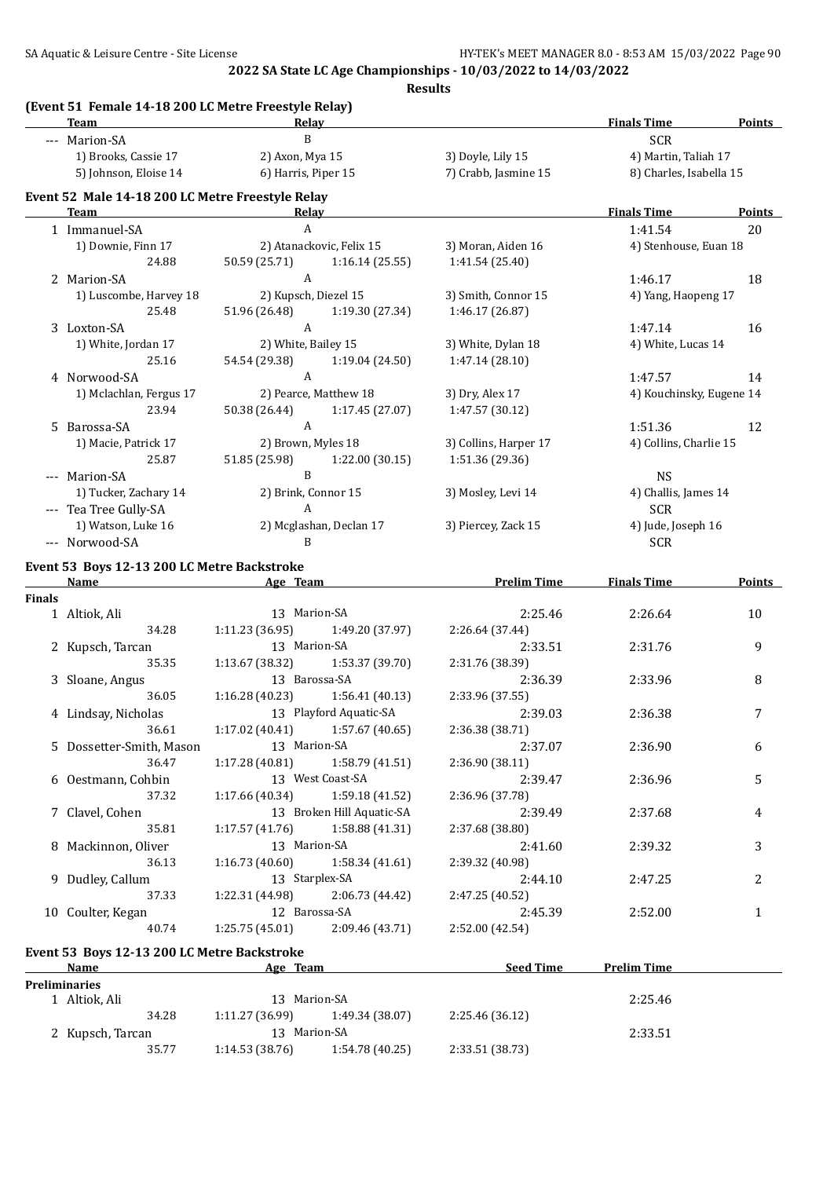**Results**

|               | (Event 51 Female 14-18 200 LC Metre Freestyle Relay)<br>Team | Relay                   |                           |                       | <b>Finals Time</b>       | <b>Points</b> |
|---------------|--------------------------------------------------------------|-------------------------|---------------------------|-----------------------|--------------------------|---------------|
|               | --- Marion-SA                                                | B                       |                           |                       | <b>SCR</b>               |               |
|               | 1) Brooks, Cassie 17                                         | 2) Axon, Mya 15         |                           | 3) Doyle, Lily 15     | 4) Martin, Taliah 17     |               |
|               | 5) Johnson, Eloise 14                                        | 6) Harris, Piper 15     |                           | 7) Crabb, Jasmine 15  | 8) Charles, Isabella 15  |               |
|               |                                                              |                         |                           |                       |                          |               |
|               | Event 52 Male 14-18 200 LC Metre Freestyle Relay<br>Team     | <b>Relay</b>            |                           |                       | <b>Finals Time</b>       | <b>Points</b> |
|               | 1 Immanuel-SA                                                | $\mathbf{A}$            |                           |                       | 1:41.54                  | 20            |
|               | 1) Downie, Finn 17                                           |                         | 2) Atanackovic, Felix 15  | 3) Moran, Aiden 16    | 4) Stenhouse, Euan 18    |               |
|               | 24.88                                                        | 50.59 (25.71)           | 1:16.14(25.55)            | 1:41.54(25.40)        |                          |               |
|               | 2 Marion-SA                                                  | $\mathbf{A}$            |                           |                       | 1:46.17                  | 18            |
|               | 1) Luscombe, Harvey 18                                       | 2) Kupsch, Diezel 15    |                           | 3) Smith, Connor 15   | 4) Yang, Haopeng 17      |               |
|               | 25.48                                                        | 51.96 (26.48)           | 1:19.30 (27.34)           | 1:46.17 (26.87)       |                          |               |
|               | 3 Loxton-SA                                                  | $\mathbf{A}$            |                           |                       | 1:47.14                  | 16            |
|               | 1) White, Jordan 17                                          | 2) White, Bailey 15     |                           | 3) White, Dylan 18    | 4) White, Lucas 14       |               |
|               | 25.16                                                        | 54.54 (29.38)           | 1:19.04 (24.50)           | 1:47.14 (28.10)       |                          |               |
|               | 4 Norwood-SA                                                 | $\mathbf{A}$            |                           |                       | 1:47.57                  | 14            |
|               | 1) Mclachlan, Fergus 17                                      |                         | 2) Pearce, Matthew 18     | 3) Dry, Alex 17       | 4) Kouchinsky, Eugene 14 |               |
|               | 23.94                                                        | 50.38 (26.44)           | 1:17.45 (27.07)           | 1:47.57 (30.12)       |                          |               |
|               | 5 Barossa-SA                                                 | $\mathbf{A}$            |                           |                       | 1:51.36                  | 12            |
|               | 1) Macie, Patrick 17                                         | 2) Brown, Myles 18      |                           | 3) Collins, Harper 17 | 4) Collins, Charlie 15   |               |
|               | 25.87                                                        | 51.85 (25.98)           | 1:22.00 (30.15)           | 1:51.36 (29.36)       |                          |               |
|               | --- Marion-SA                                                | B                       |                           |                       | <b>NS</b>                |               |
|               | 1) Tucker, Zachary 14                                        | 2) Brink, Connor 15     |                           | 3) Mosley, Levi 14    | 4) Challis, James 14     |               |
|               | --- Tea Tree Gully-SA                                        | A                       |                           |                       | <b>SCR</b>               |               |
|               | 1) Watson, Luke 16                                           | 2) Mcglashan, Declan 17 |                           | 3) Piercey, Zack 15   | 4) Jude, Joseph 16       |               |
|               | --- Norwood-SA                                               | B                       |                           |                       | <b>SCR</b>               |               |
|               | Event 53 Boys 12-13 200 LC Metre Backstroke                  |                         |                           |                       |                          |               |
|               | Name                                                         | Age Team                |                           | <b>Prelim Time</b>    | <b>Finals Time</b>       | <b>Points</b> |
| <b>Finals</b> |                                                              |                         |                           |                       |                          |               |
|               | 1 Altiok, Ali                                                | 13 Marion-SA            |                           | 2:25.46               | 2:26.64                  | 10            |
|               | 34.28                                                        | 1:11.23(36.95)          | 1:49.20 (37.97)           | 2:26.64 (37.44)       |                          |               |
|               | 2 Kupsch, Tarcan                                             | 13 Marion-SA            |                           | 2:33.51               | 2:31.76                  | 9             |
|               | 35.35                                                        | 1:13.67 (38.32)         | 1:53.37 (39.70)           | 2:31.76 (38.39)       |                          |               |
|               | 3 Sloane, Angus                                              | 13 Barossa-SA           |                           | 2:36.39               | 2:33.96                  | 8             |
|               | 36.05                                                        | 1:16.28(40.23)          | 1:56.41(40.13)            | 2:33.96 (37.55)       |                          |               |
|               | 4 Lindsay, Nicholas                                          |                         | 13 Playford Aquatic-SA    | 2:39.03               | 2:36.38                  | 7             |
|               | 36.61                                                        | 1:17.02(40.41)          | 1:57.67 (40.65)           | 2:36.38 (38.71)       |                          |               |
|               | 5 Dossetter-Smith, Mason                                     | 13 Marion-SA            |                           | 2:37.07               | 2:36.90                  | 6             |
|               | 36.47                                                        | 1:17.28(40.81)          | 1:58.79 (41.51)           | 2:36.90 (38.11)       |                          |               |
|               | 6 Oestmann, Cohbin                                           |                         | 13 West Coast-SA          | 2:39.47               | 2:36.96                  | 5             |
|               | 37.32                                                        | 1:17.66(40.34)          | 1:59.18 (41.52)           | 2:36.96 (37.78)       |                          |               |
|               | 7 Clavel, Cohen                                              |                         | 13 Broken Hill Aquatic-SA | 2:39.49               | 2:37.68                  | 4             |
|               | 35.81                                                        | 1:17.57 (41.76)         | 1:58.88 (41.31)           | 2:37.68 (38.80)       |                          |               |
|               | 8 Mackinnon, Oliver                                          | 13 Marion-SA            |                           | 2:41.60               | 2:39.32                  | 3             |
|               | 36.13                                                        | 1:16.73(40.60)          | 1:58.34 (41.61)           | 2:39.32 (40.98)       |                          |               |
|               | 9 Dudley, Callum                                             | 13 Starplex-SA          |                           | 2:44.10               | 2:47.25                  | 2             |
|               | 37.33                                                        | 1:22.31 (44.98)         | 2:06.73 (44.42)           | 2:47.25 (40.52)       |                          |               |
|               | 10 Coulter, Kegan                                            | 12 Barossa-SA           |                           | 2:45.39               | 2:52.00                  | 1             |
|               | 40.74                                                        | 1:25.75(45.01)          | 2:09.46 (43.71)           | 2:52.00 (42.54)       |                          |               |
|               | Event 53 Boys 12-13 200 LC Metre Backstroke                  |                         |                           |                       |                          |               |
|               | Name                                                         | Age Team                |                           | <b>Seed Time</b>      | <b>Prelim Time</b>       |               |
|               | <b>Preliminaries</b>                                         |                         |                           |                       |                          |               |
|               | 1 Altiok, Ali                                                | 13 Marion-SA            |                           |                       | 2:25.46                  |               |
|               | 34.28                                                        | 1:11.27 (36.99)         | 1:49.34 (38.07)           | 2:25.46 (36.12)       |                          |               |
|               | 2 Kupsch, Tarcan                                             | 13 Marion-SA            |                           |                       | 2:33.51                  |               |
|               | 35.77                                                        | 1:14.53(38.76)          | 1:54.78 (40.25)           | 2:33.51 (38.73)       |                          |               |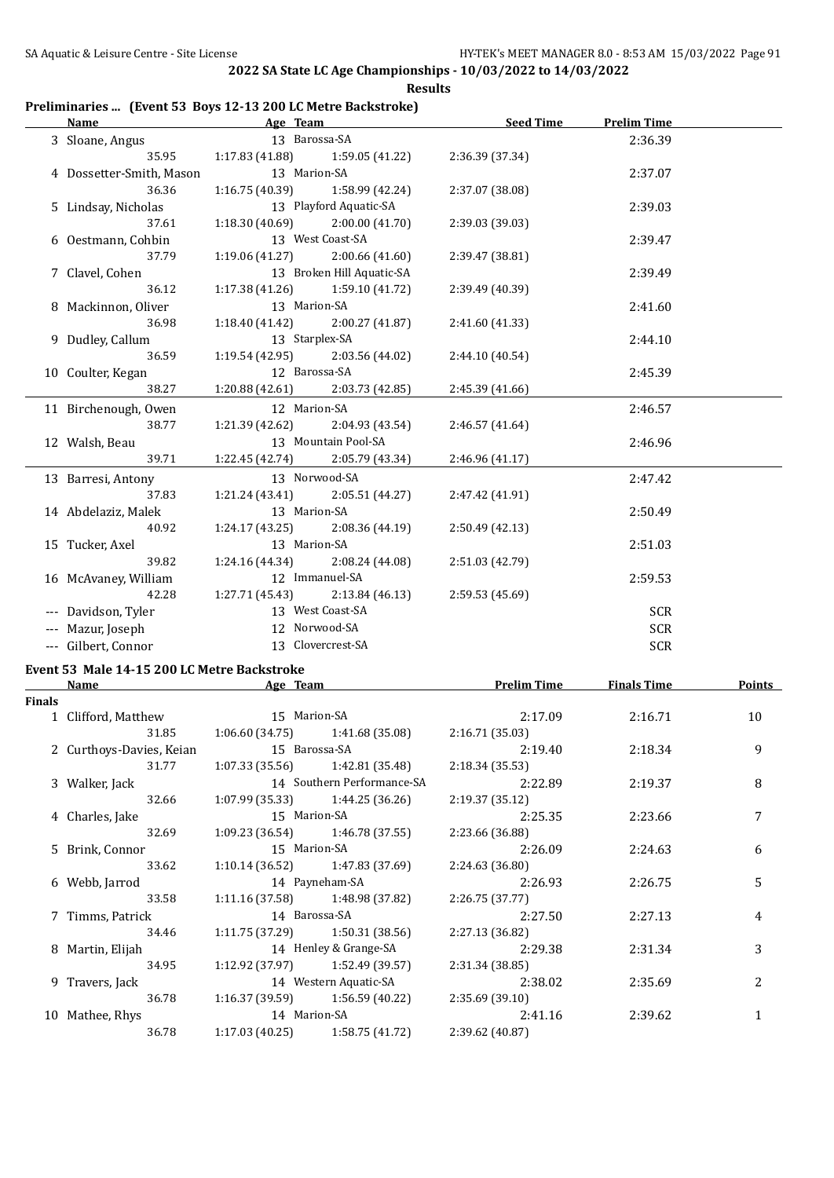### **Preliminaries ... (Event 53 Boys 12-13 200 LC Metre Backstroke)**

|        | <b>Name</b>                                 | Age Team                  |                                   | <b>Seed Time</b>   | <b>Prelim Time</b> |        |
|--------|---------------------------------------------|---------------------------|-----------------------------------|--------------------|--------------------|--------|
|        | 3 Sloane, Angus                             | 13 Barossa-SA             |                                   |                    | 2:36.39            |        |
|        | 35.95                                       | 1:17.83(41.88)            | 1:59.05(41.22)                    | 2:36.39 (37.34)    |                    |        |
|        | 4 Dossetter-Smith, Mason                    | 13 Marion-SA              |                                   |                    | 2:37.07            |        |
|        | 36.36                                       | 1:16.75 (40.39)           | 1:58.99 (42.24)                   | 2:37.07 (38.08)    |                    |        |
|        | 5 Lindsay, Nicholas                         |                           | 13 Playford Aquatic-SA            |                    | 2:39.03            |        |
|        | 37.61                                       |                           | $1:18.30(40.69)$ $2:00.00(41.70)$ | 2:39.03 (39.03)    |                    |        |
|        | 6 Oestmann, Cohbin                          |                           | 13 West Coast-SA                  |                    | 2:39.47            |        |
|        | 37.79                                       |                           | $1:19.06(41.27)$ $2:00.66(41.60)$ | 2:39.47 (38.81)    |                    |        |
|        | 7 Clavel, Cohen                             |                           | 13 Broken Hill Aquatic-SA         |                    | 2:39.49            |        |
|        | 36.12                                       |                           | $1:17.38(41.26)$ $1:59.10(41.72)$ | 2:39.49 (40.39)    |                    |        |
|        | 8 Mackinnon, Oliver                         | 13 Marion-SA              |                                   |                    | 2:41.60            |        |
|        | 36.98                                       |                           | $1:18.40(41.42)$ $2:00.27(41.87)$ | 2:41.60 (41.33)    |                    |        |
|        | 9 Dudley, Callum                            | 13 Starplex-SA            |                                   |                    | 2:44.10            |        |
|        | 36.59                                       |                           | $1:19.54(42.95)$ $2:03.56(44.02)$ | 2:44.10 (40.54)    |                    |        |
|        | 10 Coulter, Kegan                           | 12 Barossa-SA             |                                   |                    | 2:45.39            |        |
|        | 38.27                                       |                           | $1:20.88(42.61)$ $2:03.73(42.85)$ | 2:45.39 (41.66)    |                    |        |
|        | 11 Birchenough, Owen                        | 12 Marion-SA              |                                   |                    | 2:46.57            |        |
|        | 38.77                                       | 1:21.39 (42.62)           | 2:04.93 (43.54)                   | 2:46.57 (41.64)    |                    |        |
|        | 12 Walsh, Beau                              |                           | 13 Mountain Pool-SA               |                    | 2:46.96            |        |
|        | 39.71                                       |                           | 1:22.45 (42.74) 2:05.79 (43.34)   | 2:46.96 (41.17)    |                    |        |
|        | 13 Barresi, Antony                          |                           | 13 Norwood-SA                     |                    | 2:47.42            |        |
|        | 37.83                                       |                           | $1:21.24(43.41)$ $2:05.51(44.27)$ | 2:47.42 (41.91)    |                    |        |
|        | 14 Abdelaziz, Malek                         | 13 Marion-SA              |                                   |                    | 2:50.49            |        |
|        | 40.92                                       | 1:24.17 (43.25)           | 2:08.36 (44.19)                   | 2:50.49 (42.13)    |                    |        |
|        | 15 Tucker, Axel                             | 13 Marion-SA              |                                   |                    | 2:51.03            |        |
|        | 39.82                                       |                           | 1:24.16 (44.34) 2:08.24 (44.08)   | 2:51.03 (42.79)    |                    |        |
|        | 16 McAvaney, William                        |                           | 12 Immanuel-SA                    |                    | 2:59.53            |        |
|        | 42.28                                       | 1:27.71(45.43)            | 2:13.84 (46.13)                   | 2:59.53 (45.69)    |                    |        |
|        | --- Davidson, Tyler                         |                           | 13 West Coast-SA                  |                    | <b>SCR</b>         |        |
|        | --- Mazur, Joseph                           |                           | 12 Norwood-SA                     |                    | <b>SCR</b>         |        |
|        | --- Gilbert, Connor                         |                           | 13 Clovercrest-SA                 |                    | <b>SCR</b>         |        |
|        | Event 53 Male 14-15 200 LC Metre Backstroke |                           |                                   |                    |                    |        |
|        | Name                                        | <b>Example 2</b> Age Team |                                   | <b>Prelim Time</b> | <b>Finals Time</b> | Points |
| Einele |                                             |                           |                                   |                    |                    |        |

| Finals |                                  |                |                                   |                 |         |                |
|--------|----------------------------------|----------------|-----------------------------------|-----------------|---------|----------------|
|        | 1 Clifford, Matthew 15 Marion-SA |                |                                   | 2:17.09         | 2:16.71 | 10             |
|        | 31.85                            |                | $1:06.60(34.75)$ $1:41.68(35.08)$ | 2:16.71(35.03)  |         |                |
|        | 2 Curthoys-Davies, Keian         | 15 Barossa-SA  |                                   | 2:19.40         | 2:18.34 | 9              |
|        | 31.77                            |                | $1:07.33(35.56)$ $1:42.81(35.48)$ | 2:18.34(35.53)  |         |                |
|        | 3 Walker, Jack                   |                | 14 Southern Performance-SA        | 2:22.89         | 2:19.37 | 8              |
|        | 32.66                            |                | $1:07.99(35.33)$ $1:44.25(36.26)$ | 2:19.37(35.12)  |         |                |
|        | 4 Charles, Jake                  | 15 Marion-SA   |                                   | 2:25.35         | 2:23.66 | 7              |
|        | 32.69                            |                | $1:09.23(36.54)$ $1:46.78(37.55)$ | 2:23.66 (36.88) |         |                |
|        | 5 Brink, Connor                  | 15 Marion-SA   |                                   | 2:26.09         | 2:24.63 | 6              |
|        | 33.62                            |                | $1:10.14(36.52)$ $1:47.83(37.69)$ | 2:24.63 (36.80) |         |                |
|        | 6 Webb, Jarrod                   | 14 Payneham-SA |                                   | 2:26.93         | 2:26.75 | 5              |
|        | 33.58                            |                | $1:11.16(37.58)$ $1:48.98(37.82)$ | 2:26.75(37.77)  |         |                |
|        | 7 Timms, Patrick                 | 14 Barossa-SA  |                                   | 2:27.50         | 2:27.13 | 4              |
|        | 34.46                            |                | $1:11.75(37.29)$ $1:50.31(38.56)$ | 2:27.13 (36.82) |         |                |
|        | 8 Martin, Elijah                 |                | 14 Henley & Grange-SA             | 2:29.38         | 2:31.34 | 3              |
|        | 34.95                            |                | $1:12.92(37.97)$ $1:52.49(39.57)$ | 2:31.34(38.85)  |         |                |
|        | 9 Travers, Jack                  |                | 14 Western Aquatic-SA             | 2:38.02         | 2:35.69 | $\overline{c}$ |
|        | 36.78                            |                | $1:16.37(39.59)$ $1:56.59(40.22)$ | 2:35.69(39.10)  |         |                |
|        | 10 Mathee, Rhys                  | 14 Marion-SA   |                                   | 2:41.16         | 2:39.62 |                |
|        | 36.78                            |                | $1:17.03(40.25)$ $1:58.75(41.72)$ | 2:39.62(40.87)  |         |                |
|        |                                  |                |                                   |                 |         |                |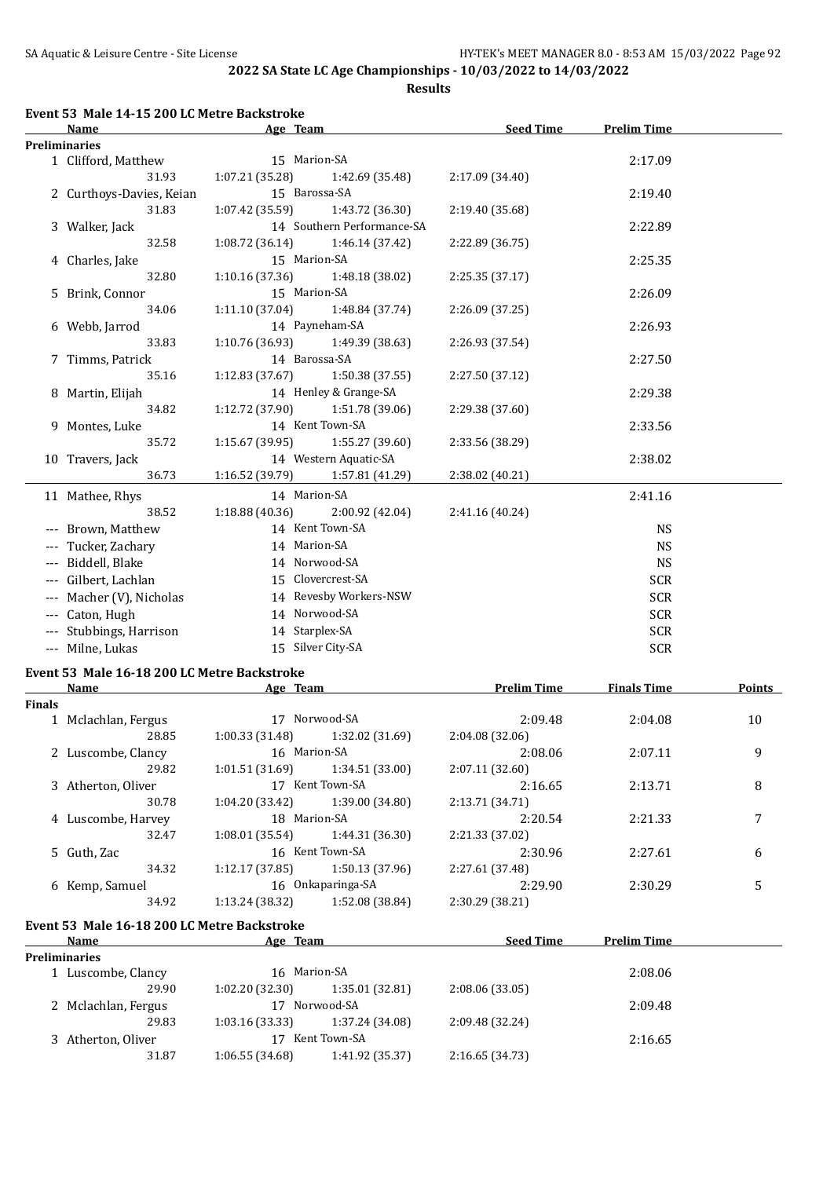**Results**

|               | Event 53 Male 14-15 200 LC Metre Backstroke<br>Name | Age Team                          |                            | <b>Seed Time</b>   | <b>Prelim Time</b> |               |
|---------------|-----------------------------------------------------|-----------------------------------|----------------------------|--------------------|--------------------|---------------|
|               | <b>Preliminaries</b>                                |                                   |                            |                    |                    |               |
|               | 1 Clifford, Matthew                                 | 15 Marion-SA                      |                            |                    | 2:17.09            |               |
|               | 31.93                                               | 1:07.21 (35.28)                   | 1:42.69 (35.48)            | 2:17.09 (34.40)    |                    |               |
|               | 2 Curthoys-Davies, Keian                            | 15 Barossa-SA                     |                            |                    | 2:19.40            |               |
|               | 31.83                                               | 1:07.42 (35.59)                   | 1:43.72 (36.30)            | 2:19.40 (35.68)    |                    |               |
|               | 3 Walker, Jack                                      |                                   | 14 Southern Performance-SA |                    | 2:22.89            |               |
|               | 32.58                                               | 1:08.72(36.14)                    | 1:46.14 (37.42)            | 2:22.89 (36.75)    |                    |               |
|               | 4 Charles, Jake                                     | 15 Marion-SA                      |                            |                    | 2:25.35            |               |
|               | 32.80                                               |                                   | 1:48.18 (38.02)            |                    |                    |               |
|               |                                                     | 1:10.16 (37.36)                   |                            | 2:25.35 (37.17)    |                    |               |
|               | 5 Brink, Connor                                     | 15 Marion-SA                      |                            |                    | 2:26.09            |               |
|               | 34.06                                               | 1:11.10 (37.04)                   | 1:48.84 (37.74)            | 2:26.09 (37.25)    |                    |               |
|               | 6 Webb, Jarrod                                      | 14 Payneham-SA                    |                            |                    | 2:26.93            |               |
|               | 33.83                                               | 1:10.76 (36.93)                   | 1:49.39 (38.63)            | 2:26.93 (37.54)    |                    |               |
|               | 7 Timms, Patrick                                    | 14 Barossa-SA                     |                            |                    | 2:27.50            |               |
|               | 35.16                                               | 1:12.83(37.67)                    | 1:50.38 (37.55)            | 2:27.50 (37.12)    |                    |               |
|               | 8 Martin, Elijah                                    |                                   | 14 Henley & Grange-SA      |                    | 2:29.38            |               |
|               | 34.82                                               | 1:12.72 (37.90)                   | 1:51.78 (39.06)            | 2:29.38 (37.60)    |                    |               |
|               | 14 Kent Town-SA<br>9 Montes, Luke                   |                                   |                            | 2:33.56            |                    |               |
|               | 35.72                                               | 1:15.67 (39.95)                   | 1:55.27 (39.60)            | 2:33.56 (38.29)    |                    |               |
|               |                                                     |                                   | 14 Western Aquatic-SA      |                    | 2:38.02            |               |
|               | 10 Travers, Jack                                    |                                   |                            |                    |                    |               |
|               | 36.73                                               | 1:16.52 (39.79)                   | 1:57.81 (41.29)            | 2:38.02 (40.21)    |                    |               |
|               | 11 Mathee, Rhys                                     | 14 Marion-SA                      |                            |                    | 2:41.16            |               |
|               | 38.52                                               | 1:18.88 (40.36)                   | 2:00.92 (42.04)            | 2:41.16 (40.24)    |                    |               |
|               | --- Brown, Matthew                                  | 14 Kent Town-SA                   |                            |                    | <b>NS</b>          |               |
|               | Tucker, Zachary                                     | 14 Marion-SA                      |                            |                    | <b>NS</b>          |               |
|               | --- Biddell, Blake                                  | 14 Norwood-SA                     |                            |                    | <b>NS</b>          |               |
|               | --- Gilbert, Lachlan                                | 15 Clovercrest-SA                 |                            |                    | <b>SCR</b>         |               |
|               | Macher (V), Nicholas                                |                                   | 14 Revesby Workers-NSW     |                    | <b>SCR</b>         |               |
|               |                                                     | 14 Norwood-SA                     |                            |                    |                    |               |
| $---$         | Caton, Hugh                                         |                                   |                            |                    | <b>SCR</b>         |               |
|               | --- Stubbings, Harrison                             | 14 Starplex-SA                    |                            |                    | <b>SCR</b>         |               |
|               | --- Milne, Lukas                                    | 15 Silver City-SA                 |                            |                    | <b>SCR</b>         |               |
|               | Event 53 Male 16-18 200 LC Metre Backstroke         |                                   |                            |                    |                    |               |
|               | <b>Name</b>                                         | Age Team                          |                            | <b>Prelim Time</b> | <b>Finals Time</b> | <b>Points</b> |
| <b>Finals</b> |                                                     |                                   |                            |                    |                    |               |
|               | 1 Mclachlan, Fergus                                 | 17 Norwood-SA                     |                            | 2:09.48            | 2:04.08            | 10            |
|               | 28.85                                               | $1:00.33(31.48)$ $1:32.02(31.69)$ |                            | 2:04.08 (32.06)    |                    |               |
|               | 2 Luscombe, Clancy                                  | 16 Marion-SA                      |                            | 2:08.06            | 2:07.11            | 9             |
|               | 29.82                                               | 1:01.51(31.69)                    | 1:34.51 (33.00)            | 2:07.11 (32.60)    |                    |               |
|               | 3 Atherton, Oliver                                  | 17 Kent Town-SA                   |                            | 2:16.65            | 2:13.71            | 8             |
|               | 30.78                                               | 1:04.20 (33.42)                   | 1:39.00 (34.80)            | 2:13.71 (34.71)    |                    |               |
|               | 4 Luscombe, Harvey                                  | 18 Marion-SA                      |                            | 2:20.54            | 2:21.33            | 7             |
|               | 32.47                                               | 1:08.01(35.54)                    | 1:44.31 (36.30)            | 2:21.33 (37.02)    |                    |               |
|               | 5 Guth, Zac                                         | 16 Kent Town-SA                   |                            |                    |                    |               |
|               |                                                     |                                   |                            | 2:30.96            | 2:27.61            | 6             |
|               | 34.32                                               | 1:12.17(37.85)                    | 1:50.13 (37.96)            | 2:27.61 (37.48)    |                    |               |
|               | 6 Kemp, Samuel                                      | 16 Onkaparinga-SA                 |                            | 2:29.90            | 2:30.29            | 5             |
|               | 34.92                                               | 1:13.24 (38.32)                   | 1:52.08 (38.84)            | 2:30.29 (38.21)    |                    |               |
|               | Event 53 Male 16-18 200 LC Metre Backstroke         |                                   |                            |                    |                    |               |
|               | <u>Name</u>                                         | Age Team                          |                            | <u>Seed Time</u>   | <b>Prelim Time</b> |               |
|               | <b>Preliminaries</b>                                |                                   |                            |                    |                    |               |
|               | 1 Luscombe, Clancy                                  | 16 Marion-SA                      |                            |                    | 2:08.06            |               |
|               | 29.90                                               | 1:02.20 (32.30)                   | 1:35.01 (32.81)            | 2:08.06 (33.05)    |                    |               |
|               | 2 Mclachlan, Fergus                                 | 17 Norwood-SA                     |                            |                    | 2:09.48            |               |
|               | 29.83                                               | 1:03.16 (33.33)                   | 1:37.24 (34.08)            | 2:09.48 (32.24)    |                    |               |
|               |                                                     | $17$ U and Taxing $0A$            |                            |                    |                    |               |

3 Atherton, Oliver 17 Kent Town-SA 2:16.65 <br>31.87 1:06.55 (34.68) 1:41.92 (35.37) 2:16.65 (34.73) 31.87 1:06.55 (34.68) 1:41.92 (35.37) 2:16.65 (34.73)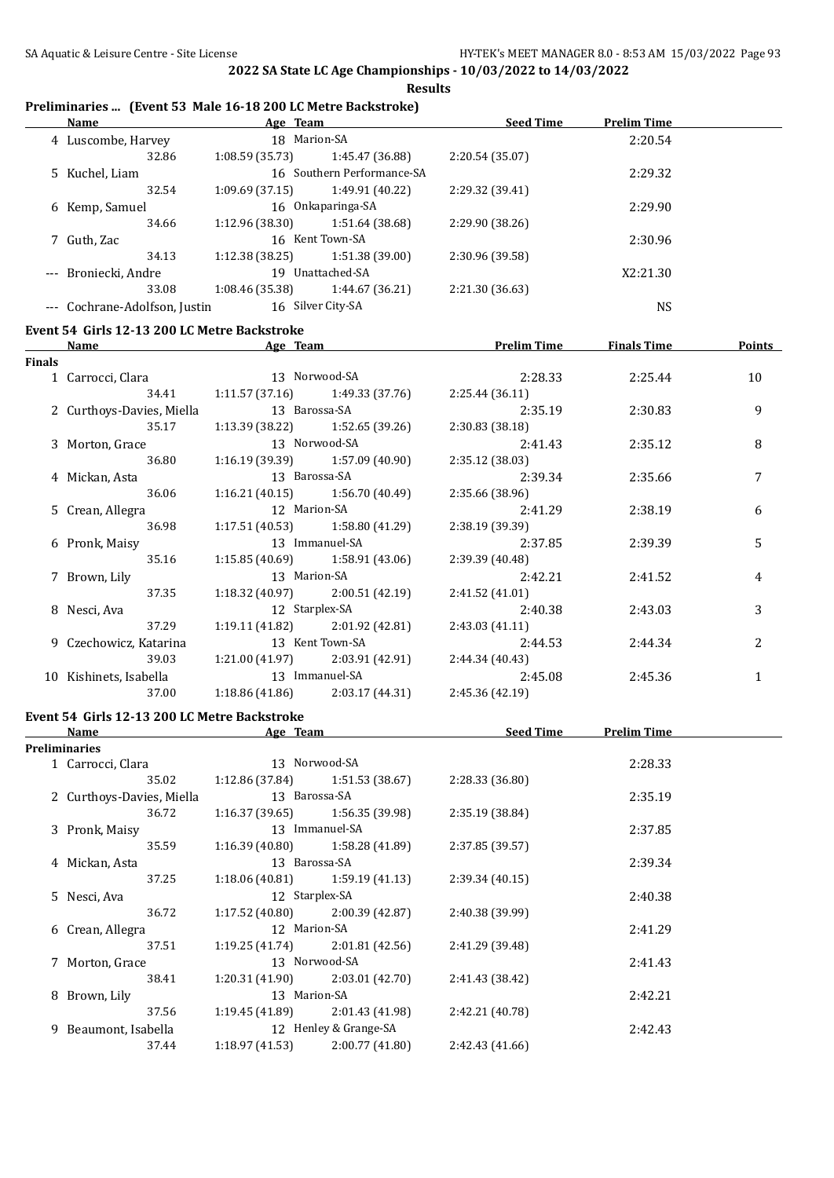#### **Preliminaries ... (Event 53 Male 16-18 200 LC Metre Backstroke)**

| <b>Name</b>          |                 |                           | <b>Seed Time</b>                                                                                                  | <b>Prelim Time</b> |
|----------------------|-----------------|---------------------------|-------------------------------------------------------------------------------------------------------------------|--------------------|
| 4 Luscombe, Harvey   | 18 Marion-SA    |                           |                                                                                                                   | 2:20.54            |
| 32.86                | 1:08.59(35.73)  | 1:45.47 (36.88)           | 2:20.54(35.07)                                                                                                    |                    |
| 5 Kuchel, Liam       |                 |                           |                                                                                                                   | 2:29.32            |
| 32.54                | 1:09.69(37.15)  | 1:49.91 (40.22)           | 2:29.32 (39.41)                                                                                                   |                    |
| 6 Kemp, Samuel       |                 |                           |                                                                                                                   | 2:29.90            |
| 34.66                | 1:12.96(38.30)  | 1:51.64 (38.68)           | 2:29.90 (38.26)                                                                                                   |                    |
| 7 Guth, Zac          |                 |                           |                                                                                                                   | 2:30.96            |
| 34.13                | 1:12.38(38.25)  | 1:51.38(39.00)            | 2:30.96 (39.58)                                                                                                   |                    |
| --- Broniecki, Andre | 19              |                           |                                                                                                                   | X2:21.30           |
| 33.08                | 1:08.46 (35.38) | 1:44.67 (36.21)           | 2:21.30 (36.63)                                                                                                   |                    |
|                      | 16              |                           |                                                                                                                   | NS                 |
|                      |                 | Cochrane-Adolfson, Justin | Age Team<br>16 Southern Performance-SA<br>16 Onkaparinga-SA<br>16 Kent Town-SA<br>Unattached-SA<br>Silver City-SA |                    |

#### **Event 54 Girls 12-13 200 LC Metre Backstroke**

| Name          |                           | Age Team        |                                   | <b>Prelim Time</b> | <b>Finals Time</b> | Points         |
|---------------|---------------------------|-----------------|-----------------------------------|--------------------|--------------------|----------------|
| <b>Finals</b> |                           |                 |                                   |                    |                    |                |
|               | 1 Carrocci, Clara         | 13 Norwood-SA   |                                   | 2:28.33            | 2:25.44            | 10             |
|               | 34.41                     |                 | $1:11.57(37.16)$ $1:49.33(37.76)$ | 2:25.44(36.11)     |                    |                |
|               | 2 Curthoys-Davies, Miella | 13 Barossa-SA   |                                   | 2:35.19            | 2:30.83            | 9              |
|               | 35.17                     |                 | $1:13.39(38.22)$ $1:52.65(39.26)$ | 2:30.83 (38.18)    |                    |                |
|               | 3 Morton, Grace           | 13 Norwood-SA   |                                   | 2:41.43            | 2:35.12            | 8              |
|               | 36.80                     |                 | $1:16.19(39.39)$ $1:57.09(40.90)$ | 2:35.12 (38.03)    |                    |                |
|               | 4 Mickan, Asta            | 13 Barossa-SA   |                                   | 2:39.34            | 2:35.66            | 7              |
|               | 36.06                     |                 | $1:16.21(40.15)$ $1:56.70(40.49)$ | 2:35.66 (38.96)    |                    |                |
|               | 5 Crean, Allegra          | 12 Marion-SA    |                                   | 2:41.29            | 2:38.19            | 6              |
|               | 36.98                     |                 | $1:17.51(40.53)$ $1:58.80(41.29)$ | 2:38.19 (39.39)    |                    |                |
|               | 6 Pronk, Maisy            | 13 Immanuel-SA  |                                   | 2:37.85            | 2:39.39            | 5              |
|               | 35.16                     |                 | $1:15.85(40.69)$ $1:58.91(43.06)$ | 2:39.39 (40.48)    |                    |                |
|               | 7 Brown, Lily             | 13 Marion-SA    |                                   | 2:42.21            | 2:41.52            | 4              |
|               | 37.35                     |                 | $1:18.32(40.97)$ $2:00.51(42.19)$ | 2:41.52 (41.01)    |                    |                |
|               | 8 Nesci, Ava              |                 | 12 Starplex-SA                    | 2:40.38            | 2:43.03            | 3              |
|               | 37.29                     |                 | $1:19.11(41.82)$ $2:01.92(42.81)$ | 2:43.03(41.11)     |                    |                |
|               | 9 Czechowicz, Katarina    | 13 Kent Town-SA |                                   | 2:44.53            | 2:44.34            | $\overline{2}$ |
|               | 39.03                     |                 | $1:21.00(41.97)$ $2:03.91(42.91)$ | 2:44.34 (40.43)    |                    |                |
|               | 10 Kishinets, Isabella    |                 | 13 Immanuel-SA                    | 2:45.08            | 2:45.36            | 1              |
|               | 37.00                     |                 | $1:18.86(41.86)$ $2:03.17(44.31)$ | 2:45.36(42.19)     |                    |                |

#### **Event 54 Girls 12-13 200 LC Metre Backstroke**

| Name                            | Age Team                          |                                   | <b>Seed Time</b> | <b>Prelim Time</b> |  |
|---------------------------------|-----------------------------------|-----------------------------------|------------------|--------------------|--|
| Preliminaries                   |                                   |                                   |                  |                    |  |
| 1 Carrocci, Clara               |                                   | 13 Norwood-SA                     |                  | 2:28.33            |  |
| 35.02                           | 1:12.86 (37.84)                   | 1:51.53 (38.67)                   | 2:28.33 (36.80)  |                    |  |
| 2 Curthoys-Davies, Miella       | 13 Barossa-SA                     |                                   |                  | 2:35.19            |  |
| 36.72                           |                                   | $1:16.37(39.65)$ $1:56.35(39.98)$ | 2:35.19 (38.84)  |                    |  |
| 3 Pronk, Maisy                  |                                   | 13 Immanuel-SA                    |                  | 2:37.85            |  |
| 35.59                           |                                   | $1:16.39(40.80)$ $1:58.28(41.89)$ | 2:37.85 (39.57)  |                    |  |
| 13 Barossa-SA<br>4 Mickan, Asta |                                   |                                   | 2:39.34          |                    |  |
| 37.25                           |                                   | $1:18.06(40.81)$ $1:59.19(41.13)$ | 2:39.34 (40.15)  |                    |  |
| 5 Nesci, Ava                    | 12 Starplex-SA                    |                                   |                  | 2:40.38            |  |
| 36.72                           | $1:17.52(40.80)$ 2:00.39 (42.87)  |                                   | 2:40.38 (39.99)  |                    |  |
| 6 Crean, Allegra                | 12 Marion-SA                      |                                   |                  | 2:41.29            |  |
| 37.51                           |                                   | $1:19.25(41.74)$ $2:01.81(42.56)$ | 2:41.29 (39.48)  |                    |  |
| 7 Morton, Grace                 |                                   | 13 Norwood-SA                     |                  | 2:41.43            |  |
| 38.41                           | $1:20.31(41.90)$ $2:03.01(42.70)$ |                                   | 2:41.43 (38.42)  |                    |  |
| 8 Brown, Lily                   | 13 Marion-SA                      |                                   |                  | 2:42.21            |  |
| 37.56                           | 1:19.45 (41.89)                   | 2:01.43 (41.98)                   | 2:42.21 (40.78)  |                    |  |
| 9 Beaumont, Isabella            |                                   | 12 Henley & Grange-SA             |                  | 2:42.43            |  |
| 37.44                           | 1:18.97 (41.53)                   | 2:00.77(41.80)                    | 2:42.43(41.66)   |                    |  |
|                                 |                                   |                                   |                  |                    |  |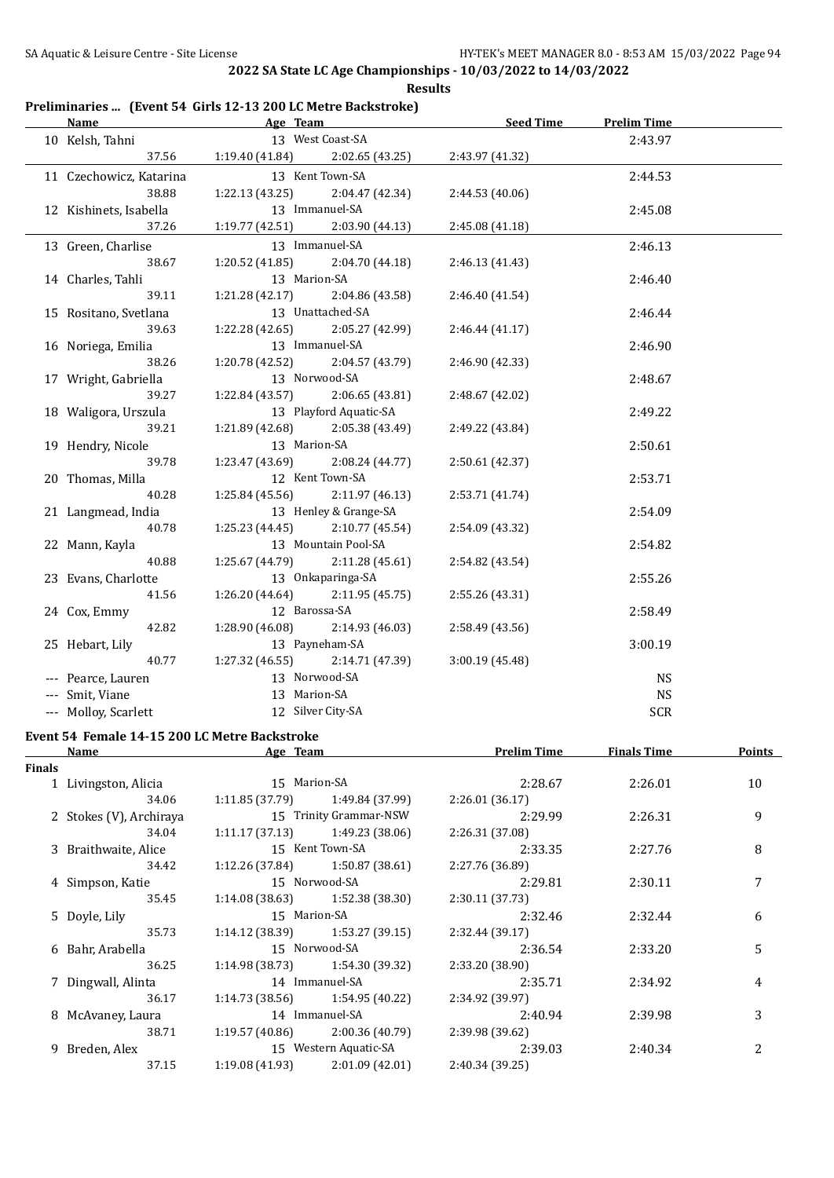#### **Preliminaries ... (Event 54 Girls 12-13 200 LC Metre Backstroke)**

| <b>Name</b>             | Age Team                            |                       | Seed Time       | <b>Prelim Time</b> |  |
|-------------------------|-------------------------------------|-----------------------|-----------------|--------------------|--|
| 10 Kelsh, Tahni         |                                     | 13 West Coast-SA      |                 | 2:43.97            |  |
| 37.56                   | $1:19.40(41.84)$ $2:02.65(43.25)$   |                       | 2:43.97 (41.32) |                    |  |
| 11 Czechowicz, Katarina |                                     | 13 Kent Town-SA       |                 | 2:44.53            |  |
| 38.88                   | 1:22.13(43.25)                      | 2:04.47 (42.34)       | 2:44.53 (40.06) |                    |  |
| 12 Kishinets, Isabella  |                                     | 13 Immanuel-SA        |                 | 2:45.08            |  |
| 37.26                   | $1:19.77(42.51)$ $2:03.90(44.13)$   |                       | 2:45.08 (41.18) |                    |  |
| 13 Green, Charlise      |                                     | 13 Immanuel-SA        |                 | 2:46.13            |  |
| 38.67                   | $1:20.52$ (41.85) $2:04.70$ (44.18) |                       | 2:46.13 (41.43) |                    |  |
| 14 Charles, Tahli       | 13 Marion-SA                        |                       |                 | 2:46.40            |  |
| 39.11                   | 1:21.28 (42.17) 2:04.86 (43.58)     |                       | 2:46.40 (41.54) |                    |  |
| 15 Rositano, Svetlana   |                                     | 13 Unattached-SA      |                 | 2:46.44            |  |
| 39.63                   | 1:22.28 (42.65) 2:05.27 (42.99)     |                       | 2:46.44(41.17)  |                    |  |
| 16 Noriega, Emilia      |                                     | 13 Immanuel-SA        |                 | 2:46.90            |  |
| 38.26                   | 1:20.78 (42.52) 2:04.57 (43.79)     |                       | 2:46.90 (42.33) |                    |  |
| 17 Wright, Gabriella    | 13 Norwood-SA                       |                       |                 | 2:48.67            |  |
| 39.27                   | $1:22.84(43.57)$ $2:06.65(43.81)$   |                       | 2:48.67 (42.02) |                    |  |
| 18 Waligora, Urszula    | 13 Playford Aquatic-SA              |                       |                 | 2:49.22            |  |
| 39.21                   | 1:21.89 (42.68) 2:05.38 (43.49)     |                       | 2:49.22 (43.84) |                    |  |
| 19 Hendry, Nicole       | 13 Marion-SA                        |                       |                 | 2:50.61            |  |
| 39.78                   | $1:23.47(43.69)$ $2:08.24(44.77)$   |                       | 2:50.61 (42.37) |                    |  |
| 20 Thomas, Milla        |                                     | 12 Kent Town-SA       |                 | 2:53.71            |  |
| 40.28                   | $1:25.84(45.56)$ $2:11.97(46.13)$   |                       | 2:53.71 (41.74) |                    |  |
| 21 Langmead, India      |                                     | 13 Henley & Grange-SA |                 | 2:54.09            |  |
| 40.78                   | $1:25.23(44.45)$ $2:10.77(45.54)$   |                       | 2:54.09 (43.32) |                    |  |
| 22 Mann, Kayla          |                                     | 13 Mountain Pool-SA   |                 | 2:54.82            |  |
| 40.88                   | $1:25.67(44.79)$ $2:11.28(45.61)$   |                       | 2:54.82 (43.54) |                    |  |
| 23 Evans, Charlotte     | $1:26.20(44.64)$ $2:11.95(45.75)$   | 13 Onkaparinga-SA     |                 | 2:55.26            |  |
| 41.56                   | 12 Barossa-SA                       |                       | 2:55.26 (43.31) |                    |  |
| 24 Cox, Emmy<br>42.82   | 1:28.90 (46.08)                     | 2:14.93 (46.03)       | 2:58.49(43.56)  | 2:58.49            |  |
| 25 Hebart, Lily         |                                     | 13 Payneham-SA        |                 | 3:00.19            |  |
| 40.77                   | $1:27.32(46.55)$ $2:14.71(47.39)$   |                       | 3:00.19 (45.48) |                    |  |
| --- Pearce, Lauren      | 13 Norwood-SA                       |                       |                 | <b>NS</b>          |  |
| --- Smit, Viane         | 13 Marion-SA                        |                       |                 | <b>NS</b>          |  |
| --- Molloy, Scarlett    |                                     | 12 Silver City-SA     |                 | <b>SCR</b>         |  |
|                         |                                     |                       |                 |                    |  |

#### **Event 54 Female 14-15 200 LC Metre Backstroke Name Age Team Prelim Time Finals Time Points**

| <b>Finals</b> |                         |                 |                                   |                 |         |    |
|---------------|-------------------------|-----------------|-----------------------------------|-----------------|---------|----|
|               | 1 Livingston, Alicia    | 15 Marion-SA    |                                   | 2:28.67         | 2:26.01 | 10 |
|               | 34.06                   | 1:11.85 (37.79) | 1:49.84 (37.99)                   | 2:26.01(36.17)  |         |    |
|               | 2 Stokes (V), Archiraya |                 | 15 Trinity Grammar-NSW            | 2:29.99         | 2:26.31 | 9  |
|               | 34.04                   |                 | $1:11.17(37.13)$ $1:49.23(38.06)$ | 2:26.31 (37.08) |         |    |
|               | 3 Braithwaite, Alice    |                 | 15 Kent Town-SA                   | 2:33.35         | 2:27.76 | 8  |
|               | 34.42                   |                 | $1:12.26(37.84)$ $1:50.87(38.61)$ | 2:27.76 (36.89) |         |    |
|               | 4 Simpson, Katie        |                 | 15 Norwood-SA                     | 2:29.81         | 2:30.11 | 7  |
|               | 35.45                   |                 | $1:14.08(38.63)$ $1:52.38(38.30)$ | 2:30.11(37.73)  |         |    |
|               | 5 Doyle, Lily           | 15 Marion-SA    |                                   | 2:32.46         | 2:32.44 | 6  |
|               | 35.73                   |                 | $1:14.12(38.39)$ $1:53.27(39.15)$ | 2:32.44(39.17)  |         |    |
|               | 6 Bahr, Arabella        |                 | 15 Norwood-SA                     | 2:36.54         | 2:33.20 | 5  |
|               | 36.25                   |                 | $1:14.98(38.73)$ $1:54.30(39.32)$ | 2:33.20 (38.90) |         |    |
|               | 7 Dingwall, Alinta      |                 | 14 Immanuel-SA                    | 2:35.71         | 2:34.92 | 4  |
|               | 36.17                   |                 | $1:14.73(38.56)$ $1:54.95(40.22)$ | 2:34.92 (39.97) |         |    |
|               | 8 McAvaney, Laura       |                 | 14 Immanuel-SA                    | 2:40.94         | 2:39.98 | 3  |
|               | 38.71                   |                 | $1:19.57(40.86)$ $2:00.36(40.79)$ | 2:39.98 (39.62) |         |    |
|               | 9 Breden, Alex          |                 | 15 Western Aquatic-SA             | 2:39.03         | 2:40.34 | 2  |
|               | 37.15                   | 1:19.08 (41.93) | 2:01.09(42.01)                    | 2:40.34 (39.25) |         |    |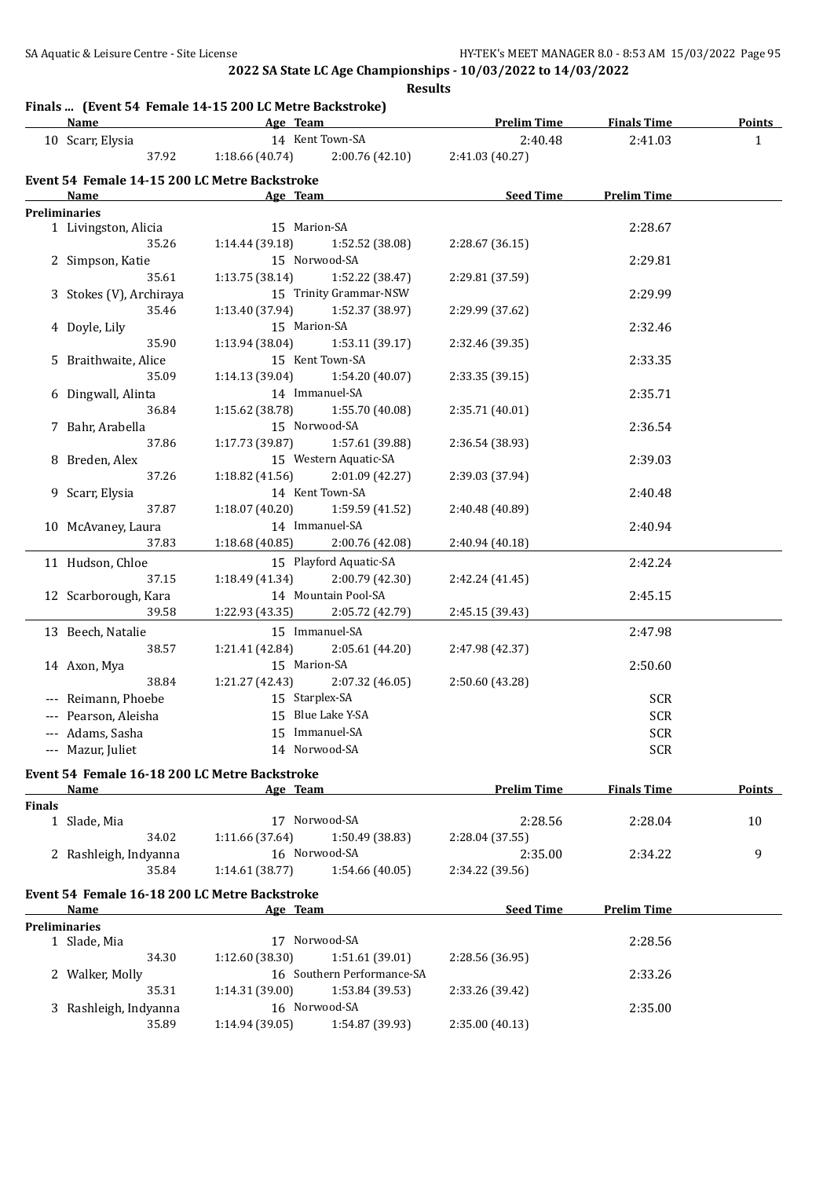# **Finals ... (Event 54 Female 14-15 200 LC Metre Backstroke)**

| 14 Kent Town-SA<br>2:41.03<br>10 Scarr, Elysia<br>2:40.48<br>37.92<br>1:18.66 (40.74)<br>2:00.76 (42.10)<br>2:41.03 (40.27)<br>Event 54 Female 14-15 200 LC Metre Backstroke<br>Seed Time<br><b>Prelim Time</b><br>Age Team<br>Name<br>the control of the control of the control of the<br><b>Preliminaries</b><br>1 Livingston, Alicia<br>15 Marion-SA<br>2:28.67<br>1:14.44(39.18)<br>1:52.52 (38.08)<br>2:28.67 (36.15)<br>35.26<br>15 Norwood-SA<br>2 Simpson, Katie<br>2:29.81<br>35.61<br>1:13.75(38.14)<br>1:52.22 (38.47)<br>2:29.81 (37.59)<br>15 Trinity Grammar-NSW<br>3 Stokes (V), Archiraya<br>2:29.99<br>1:13.40 (37.94)<br>1:52.37 (38.97)<br>2:29.99 (37.62)<br>35.46<br>15 Marion-SA<br>4 Doyle, Lily<br>2:32.46<br>35.90<br>1:13.94 (38.04) 1:53.11 (39.17)<br>2:32.46 (39.35)<br>15 Kent Town-SA<br>5 Braithwaite, Alice<br>2:33.35<br>35.09<br>1:14.13 (39.04)<br>1:54.20 (40.07)<br>2:33.35 (39.15)<br>14 Immanuel-SA<br>6 Dingwall, Alinta<br>2:35.71<br>36.84<br>$1:15.62$ (38.78) $1:55.70$ (40.08)<br>2:35.71 (40.01)<br>15 Norwood-SA<br>7 Bahr, Arabella<br>2:36.54<br>37.86<br>1:17.73 (39.87) 1:57.61 (39.88)<br>2:36.54 (38.93)<br>15 Western Aquatic-SA<br>8 Breden, Alex<br>2:39.03<br>37.26<br>1:18.82 (41.56)<br>2:01.09 (42.27)<br>2:39.03 (37.94)<br>14 Kent Town-SA<br>9 Scarr, Elysia<br>2:40.48<br>37.87<br>$1:18.07(40.20)$ $1:59.59(41.52)$<br>2:40.48 (40.89)<br>14 Immanuel-SA<br>10 McAvaney, Laura<br>2:40.94<br>37.83<br>1:18.68 (40.85) 2:00.76 (42.08)<br>2:40.94 (40.18)<br>11 Hudson, Chloe<br>15 Playford Aquatic-SA<br>2:42.24<br>37.15<br>$1:18.49(41.34)$ $2:00.79(42.30)$<br>2:42.24 (41.45)<br>14 Mountain Pool-SA<br>12 Scarborough, Kara<br>2:45.15<br>39.58<br>1:22.93 (43.35)<br>2:05.72 (42.79)<br>2:45.15 (39.43)<br>15 Immanuel-SA<br>13 Beech, Natalie<br>2:47.98<br>1:21.41 (42.84)<br>2:05.61 (44.20)<br>2:47.98 (42.37)<br>38.57<br>15 Marion-SA<br>14 Axon, Mya<br>2:50.60<br>1:21.27 (42.43)<br>2:07.32 (46.05)<br>2:50.60 (43.28)<br>38.84<br>15 Starplex-SA<br>SCR<br>--- Reimann, Phoebe<br>--- Pearson, Aleisha<br>15 Blue Lake Y-SA<br><b>SCR</b><br>15 Immanuel-SA<br><b>SCR</b><br>--- Adams, Sasha<br>14 Norwood-SA<br>--- Mazur, Juliet<br><b>SCR</b><br>Event 54 Female 16-18 200 LC Metre Backstroke<br><b>Prelim Time</b><br><b>Finals Time</b><br>Age Team<br><u>Name</u><br><b>Finals</b><br>17 Norwood-SA<br>1 Slade, Mia<br>2:28.56<br>2:28.04<br>1:11.66 (37.64)<br>34.02<br>1:50.49 (38.83)<br>2:28.04 (37.55)<br>16 Norwood-SA<br>2:35.00<br>2 Rashleigh, Indyanna<br>2:34.22<br>35.84<br>1:14.61 (38.77)<br>1:54.66 (40.05)<br>2:34.22 (39.56)<br>Event 54 Female 16-18 200 LC Metre Backstroke<br><b>Seed Time</b><br><b>Prelim Time</b><br>Age Team<br>Name<br><b>Preliminaries</b><br>17 Norwood-SA<br>2:28.56<br>1 Slade, Mia<br>34.30<br>1:12.60 (38.30)<br>1:51.61 (39.01)<br>2:28.56 (36.95)<br>16 Southern Performance-SA<br>2:33.26<br>2 Walker, Molly<br>35.31<br>1:14.31(39.00)<br>1:53.84 (39.53)<br>2:33.26 (39.42)<br>16 Norwood-SA<br>3 Rashleigh, Indyanna<br>2:35.00 | Pludis  (Event 54 reliate 14-15 200 LC Metre Dackstroke)<br><b>Name</b> |       | <b>Example 2</b> Age Team |                 | <b>Prelim Time</b> | <b>Finals Time</b> | Points        |
|---------------------------------------------------------------------------------------------------------------------------------------------------------------------------------------------------------------------------------------------------------------------------------------------------------------------------------------------------------------------------------------------------------------------------------------------------------------------------------------------------------------------------------------------------------------------------------------------------------------------------------------------------------------------------------------------------------------------------------------------------------------------------------------------------------------------------------------------------------------------------------------------------------------------------------------------------------------------------------------------------------------------------------------------------------------------------------------------------------------------------------------------------------------------------------------------------------------------------------------------------------------------------------------------------------------------------------------------------------------------------------------------------------------------------------------------------------------------------------------------------------------------------------------------------------------------------------------------------------------------------------------------------------------------------------------------------------------------------------------------------------------------------------------------------------------------------------------------------------------------------------------------------------------------------------------------------------------------------------------------------------------------------------------------------------------------------------------------------------------------------------------------------------------------------------------------------------------------------------------------------------------------------------------------------------------------------------------------------------------------------------------------------------------------------------------------------------------------------------------------------------------------------------------------------------------------------------------------------------------------------------------------------------------------------------------------------------------------------------------------------------------------------------------------------------------------------------------------------------------------------------------------------------------------------------------------------------------------------------------------------------------------------------------------------------------------------------|-------------------------------------------------------------------------|-------|---------------------------|-----------------|--------------------|--------------------|---------------|
|                                                                                                                                                                                                                                                                                                                                                                                                                                                                                                                                                                                                                                                                                                                                                                                                                                                                                                                                                                                                                                                                                                                                                                                                                                                                                                                                                                                                                                                                                                                                                                                                                                                                                                                                                                                                                                                                                                                                                                                                                                                                                                                                                                                                                                                                                                                                                                                                                                                                                                                                                                                                                                                                                                                                                                                                                                                                                                                                                                                                                                                                                 |                                                                         |       |                           |                 |                    |                    | $\mathbf{1}$  |
|                                                                                                                                                                                                                                                                                                                                                                                                                                                                                                                                                                                                                                                                                                                                                                                                                                                                                                                                                                                                                                                                                                                                                                                                                                                                                                                                                                                                                                                                                                                                                                                                                                                                                                                                                                                                                                                                                                                                                                                                                                                                                                                                                                                                                                                                                                                                                                                                                                                                                                                                                                                                                                                                                                                                                                                                                                                                                                                                                                                                                                                                                 |                                                                         |       |                           |                 |                    |                    |               |
|                                                                                                                                                                                                                                                                                                                                                                                                                                                                                                                                                                                                                                                                                                                                                                                                                                                                                                                                                                                                                                                                                                                                                                                                                                                                                                                                                                                                                                                                                                                                                                                                                                                                                                                                                                                                                                                                                                                                                                                                                                                                                                                                                                                                                                                                                                                                                                                                                                                                                                                                                                                                                                                                                                                                                                                                                                                                                                                                                                                                                                                                                 |                                                                         |       |                           |                 |                    |                    |               |
|                                                                                                                                                                                                                                                                                                                                                                                                                                                                                                                                                                                                                                                                                                                                                                                                                                                                                                                                                                                                                                                                                                                                                                                                                                                                                                                                                                                                                                                                                                                                                                                                                                                                                                                                                                                                                                                                                                                                                                                                                                                                                                                                                                                                                                                                                                                                                                                                                                                                                                                                                                                                                                                                                                                                                                                                                                                                                                                                                                                                                                                                                 |                                                                         |       |                           |                 |                    |                    |               |
|                                                                                                                                                                                                                                                                                                                                                                                                                                                                                                                                                                                                                                                                                                                                                                                                                                                                                                                                                                                                                                                                                                                                                                                                                                                                                                                                                                                                                                                                                                                                                                                                                                                                                                                                                                                                                                                                                                                                                                                                                                                                                                                                                                                                                                                                                                                                                                                                                                                                                                                                                                                                                                                                                                                                                                                                                                                                                                                                                                                                                                                                                 |                                                                         |       |                           |                 |                    |                    |               |
|                                                                                                                                                                                                                                                                                                                                                                                                                                                                                                                                                                                                                                                                                                                                                                                                                                                                                                                                                                                                                                                                                                                                                                                                                                                                                                                                                                                                                                                                                                                                                                                                                                                                                                                                                                                                                                                                                                                                                                                                                                                                                                                                                                                                                                                                                                                                                                                                                                                                                                                                                                                                                                                                                                                                                                                                                                                                                                                                                                                                                                                                                 |                                                                         |       |                           |                 |                    |                    |               |
|                                                                                                                                                                                                                                                                                                                                                                                                                                                                                                                                                                                                                                                                                                                                                                                                                                                                                                                                                                                                                                                                                                                                                                                                                                                                                                                                                                                                                                                                                                                                                                                                                                                                                                                                                                                                                                                                                                                                                                                                                                                                                                                                                                                                                                                                                                                                                                                                                                                                                                                                                                                                                                                                                                                                                                                                                                                                                                                                                                                                                                                                                 |                                                                         |       |                           |                 |                    |                    |               |
|                                                                                                                                                                                                                                                                                                                                                                                                                                                                                                                                                                                                                                                                                                                                                                                                                                                                                                                                                                                                                                                                                                                                                                                                                                                                                                                                                                                                                                                                                                                                                                                                                                                                                                                                                                                                                                                                                                                                                                                                                                                                                                                                                                                                                                                                                                                                                                                                                                                                                                                                                                                                                                                                                                                                                                                                                                                                                                                                                                                                                                                                                 |                                                                         |       |                           |                 |                    |                    |               |
|                                                                                                                                                                                                                                                                                                                                                                                                                                                                                                                                                                                                                                                                                                                                                                                                                                                                                                                                                                                                                                                                                                                                                                                                                                                                                                                                                                                                                                                                                                                                                                                                                                                                                                                                                                                                                                                                                                                                                                                                                                                                                                                                                                                                                                                                                                                                                                                                                                                                                                                                                                                                                                                                                                                                                                                                                                                                                                                                                                                                                                                                                 |                                                                         |       |                           |                 |                    |                    |               |
|                                                                                                                                                                                                                                                                                                                                                                                                                                                                                                                                                                                                                                                                                                                                                                                                                                                                                                                                                                                                                                                                                                                                                                                                                                                                                                                                                                                                                                                                                                                                                                                                                                                                                                                                                                                                                                                                                                                                                                                                                                                                                                                                                                                                                                                                                                                                                                                                                                                                                                                                                                                                                                                                                                                                                                                                                                                                                                                                                                                                                                                                                 |                                                                         |       |                           |                 |                    |                    |               |
|                                                                                                                                                                                                                                                                                                                                                                                                                                                                                                                                                                                                                                                                                                                                                                                                                                                                                                                                                                                                                                                                                                                                                                                                                                                                                                                                                                                                                                                                                                                                                                                                                                                                                                                                                                                                                                                                                                                                                                                                                                                                                                                                                                                                                                                                                                                                                                                                                                                                                                                                                                                                                                                                                                                                                                                                                                                                                                                                                                                                                                                                                 |                                                                         |       |                           |                 |                    |                    |               |
|                                                                                                                                                                                                                                                                                                                                                                                                                                                                                                                                                                                                                                                                                                                                                                                                                                                                                                                                                                                                                                                                                                                                                                                                                                                                                                                                                                                                                                                                                                                                                                                                                                                                                                                                                                                                                                                                                                                                                                                                                                                                                                                                                                                                                                                                                                                                                                                                                                                                                                                                                                                                                                                                                                                                                                                                                                                                                                                                                                                                                                                                                 |                                                                         |       |                           |                 |                    |                    |               |
|                                                                                                                                                                                                                                                                                                                                                                                                                                                                                                                                                                                                                                                                                                                                                                                                                                                                                                                                                                                                                                                                                                                                                                                                                                                                                                                                                                                                                                                                                                                                                                                                                                                                                                                                                                                                                                                                                                                                                                                                                                                                                                                                                                                                                                                                                                                                                                                                                                                                                                                                                                                                                                                                                                                                                                                                                                                                                                                                                                                                                                                                                 |                                                                         |       |                           |                 |                    |                    |               |
|                                                                                                                                                                                                                                                                                                                                                                                                                                                                                                                                                                                                                                                                                                                                                                                                                                                                                                                                                                                                                                                                                                                                                                                                                                                                                                                                                                                                                                                                                                                                                                                                                                                                                                                                                                                                                                                                                                                                                                                                                                                                                                                                                                                                                                                                                                                                                                                                                                                                                                                                                                                                                                                                                                                                                                                                                                                                                                                                                                                                                                                                                 |                                                                         |       |                           |                 |                    |                    |               |
|                                                                                                                                                                                                                                                                                                                                                                                                                                                                                                                                                                                                                                                                                                                                                                                                                                                                                                                                                                                                                                                                                                                                                                                                                                                                                                                                                                                                                                                                                                                                                                                                                                                                                                                                                                                                                                                                                                                                                                                                                                                                                                                                                                                                                                                                                                                                                                                                                                                                                                                                                                                                                                                                                                                                                                                                                                                                                                                                                                                                                                                                                 |                                                                         |       |                           |                 |                    |                    |               |
|                                                                                                                                                                                                                                                                                                                                                                                                                                                                                                                                                                                                                                                                                                                                                                                                                                                                                                                                                                                                                                                                                                                                                                                                                                                                                                                                                                                                                                                                                                                                                                                                                                                                                                                                                                                                                                                                                                                                                                                                                                                                                                                                                                                                                                                                                                                                                                                                                                                                                                                                                                                                                                                                                                                                                                                                                                                                                                                                                                                                                                                                                 |                                                                         |       |                           |                 |                    |                    |               |
|                                                                                                                                                                                                                                                                                                                                                                                                                                                                                                                                                                                                                                                                                                                                                                                                                                                                                                                                                                                                                                                                                                                                                                                                                                                                                                                                                                                                                                                                                                                                                                                                                                                                                                                                                                                                                                                                                                                                                                                                                                                                                                                                                                                                                                                                                                                                                                                                                                                                                                                                                                                                                                                                                                                                                                                                                                                                                                                                                                                                                                                                                 |                                                                         |       |                           |                 |                    |                    |               |
|                                                                                                                                                                                                                                                                                                                                                                                                                                                                                                                                                                                                                                                                                                                                                                                                                                                                                                                                                                                                                                                                                                                                                                                                                                                                                                                                                                                                                                                                                                                                                                                                                                                                                                                                                                                                                                                                                                                                                                                                                                                                                                                                                                                                                                                                                                                                                                                                                                                                                                                                                                                                                                                                                                                                                                                                                                                                                                                                                                                                                                                                                 |                                                                         |       |                           |                 |                    |                    |               |
|                                                                                                                                                                                                                                                                                                                                                                                                                                                                                                                                                                                                                                                                                                                                                                                                                                                                                                                                                                                                                                                                                                                                                                                                                                                                                                                                                                                                                                                                                                                                                                                                                                                                                                                                                                                                                                                                                                                                                                                                                                                                                                                                                                                                                                                                                                                                                                                                                                                                                                                                                                                                                                                                                                                                                                                                                                                                                                                                                                                                                                                                                 |                                                                         |       |                           |                 |                    |                    |               |
|                                                                                                                                                                                                                                                                                                                                                                                                                                                                                                                                                                                                                                                                                                                                                                                                                                                                                                                                                                                                                                                                                                                                                                                                                                                                                                                                                                                                                                                                                                                                                                                                                                                                                                                                                                                                                                                                                                                                                                                                                                                                                                                                                                                                                                                                                                                                                                                                                                                                                                                                                                                                                                                                                                                                                                                                                                                                                                                                                                                                                                                                                 |                                                                         |       |                           |                 |                    |                    |               |
|                                                                                                                                                                                                                                                                                                                                                                                                                                                                                                                                                                                                                                                                                                                                                                                                                                                                                                                                                                                                                                                                                                                                                                                                                                                                                                                                                                                                                                                                                                                                                                                                                                                                                                                                                                                                                                                                                                                                                                                                                                                                                                                                                                                                                                                                                                                                                                                                                                                                                                                                                                                                                                                                                                                                                                                                                                                                                                                                                                                                                                                                                 |                                                                         |       |                           |                 |                    |                    |               |
|                                                                                                                                                                                                                                                                                                                                                                                                                                                                                                                                                                                                                                                                                                                                                                                                                                                                                                                                                                                                                                                                                                                                                                                                                                                                                                                                                                                                                                                                                                                                                                                                                                                                                                                                                                                                                                                                                                                                                                                                                                                                                                                                                                                                                                                                                                                                                                                                                                                                                                                                                                                                                                                                                                                                                                                                                                                                                                                                                                                                                                                                                 |                                                                         |       |                           |                 |                    |                    |               |
|                                                                                                                                                                                                                                                                                                                                                                                                                                                                                                                                                                                                                                                                                                                                                                                                                                                                                                                                                                                                                                                                                                                                                                                                                                                                                                                                                                                                                                                                                                                                                                                                                                                                                                                                                                                                                                                                                                                                                                                                                                                                                                                                                                                                                                                                                                                                                                                                                                                                                                                                                                                                                                                                                                                                                                                                                                                                                                                                                                                                                                                                                 |                                                                         |       |                           |                 |                    |                    |               |
|                                                                                                                                                                                                                                                                                                                                                                                                                                                                                                                                                                                                                                                                                                                                                                                                                                                                                                                                                                                                                                                                                                                                                                                                                                                                                                                                                                                                                                                                                                                                                                                                                                                                                                                                                                                                                                                                                                                                                                                                                                                                                                                                                                                                                                                                                                                                                                                                                                                                                                                                                                                                                                                                                                                                                                                                                                                                                                                                                                                                                                                                                 |                                                                         |       |                           |                 |                    |                    |               |
|                                                                                                                                                                                                                                                                                                                                                                                                                                                                                                                                                                                                                                                                                                                                                                                                                                                                                                                                                                                                                                                                                                                                                                                                                                                                                                                                                                                                                                                                                                                                                                                                                                                                                                                                                                                                                                                                                                                                                                                                                                                                                                                                                                                                                                                                                                                                                                                                                                                                                                                                                                                                                                                                                                                                                                                                                                                                                                                                                                                                                                                                                 |                                                                         |       |                           |                 |                    |                    |               |
|                                                                                                                                                                                                                                                                                                                                                                                                                                                                                                                                                                                                                                                                                                                                                                                                                                                                                                                                                                                                                                                                                                                                                                                                                                                                                                                                                                                                                                                                                                                                                                                                                                                                                                                                                                                                                                                                                                                                                                                                                                                                                                                                                                                                                                                                                                                                                                                                                                                                                                                                                                                                                                                                                                                                                                                                                                                                                                                                                                                                                                                                                 |                                                                         |       |                           |                 |                    |                    |               |
|                                                                                                                                                                                                                                                                                                                                                                                                                                                                                                                                                                                                                                                                                                                                                                                                                                                                                                                                                                                                                                                                                                                                                                                                                                                                                                                                                                                                                                                                                                                                                                                                                                                                                                                                                                                                                                                                                                                                                                                                                                                                                                                                                                                                                                                                                                                                                                                                                                                                                                                                                                                                                                                                                                                                                                                                                                                                                                                                                                                                                                                                                 |                                                                         |       |                           |                 |                    |                    |               |
|                                                                                                                                                                                                                                                                                                                                                                                                                                                                                                                                                                                                                                                                                                                                                                                                                                                                                                                                                                                                                                                                                                                                                                                                                                                                                                                                                                                                                                                                                                                                                                                                                                                                                                                                                                                                                                                                                                                                                                                                                                                                                                                                                                                                                                                                                                                                                                                                                                                                                                                                                                                                                                                                                                                                                                                                                                                                                                                                                                                                                                                                                 |                                                                         |       |                           |                 |                    |                    |               |
|                                                                                                                                                                                                                                                                                                                                                                                                                                                                                                                                                                                                                                                                                                                                                                                                                                                                                                                                                                                                                                                                                                                                                                                                                                                                                                                                                                                                                                                                                                                                                                                                                                                                                                                                                                                                                                                                                                                                                                                                                                                                                                                                                                                                                                                                                                                                                                                                                                                                                                                                                                                                                                                                                                                                                                                                                                                                                                                                                                                                                                                                                 |                                                                         |       |                           |                 |                    |                    |               |
|                                                                                                                                                                                                                                                                                                                                                                                                                                                                                                                                                                                                                                                                                                                                                                                                                                                                                                                                                                                                                                                                                                                                                                                                                                                                                                                                                                                                                                                                                                                                                                                                                                                                                                                                                                                                                                                                                                                                                                                                                                                                                                                                                                                                                                                                                                                                                                                                                                                                                                                                                                                                                                                                                                                                                                                                                                                                                                                                                                                                                                                                                 |                                                                         |       |                           |                 |                    |                    |               |
|                                                                                                                                                                                                                                                                                                                                                                                                                                                                                                                                                                                                                                                                                                                                                                                                                                                                                                                                                                                                                                                                                                                                                                                                                                                                                                                                                                                                                                                                                                                                                                                                                                                                                                                                                                                                                                                                                                                                                                                                                                                                                                                                                                                                                                                                                                                                                                                                                                                                                                                                                                                                                                                                                                                                                                                                                                                                                                                                                                                                                                                                                 |                                                                         |       |                           |                 |                    |                    |               |
|                                                                                                                                                                                                                                                                                                                                                                                                                                                                                                                                                                                                                                                                                                                                                                                                                                                                                                                                                                                                                                                                                                                                                                                                                                                                                                                                                                                                                                                                                                                                                                                                                                                                                                                                                                                                                                                                                                                                                                                                                                                                                                                                                                                                                                                                                                                                                                                                                                                                                                                                                                                                                                                                                                                                                                                                                                                                                                                                                                                                                                                                                 |                                                                         |       |                           |                 |                    |                    |               |
|                                                                                                                                                                                                                                                                                                                                                                                                                                                                                                                                                                                                                                                                                                                                                                                                                                                                                                                                                                                                                                                                                                                                                                                                                                                                                                                                                                                                                                                                                                                                                                                                                                                                                                                                                                                                                                                                                                                                                                                                                                                                                                                                                                                                                                                                                                                                                                                                                                                                                                                                                                                                                                                                                                                                                                                                                                                                                                                                                                                                                                                                                 |                                                                         |       |                           |                 |                    |                    |               |
|                                                                                                                                                                                                                                                                                                                                                                                                                                                                                                                                                                                                                                                                                                                                                                                                                                                                                                                                                                                                                                                                                                                                                                                                                                                                                                                                                                                                                                                                                                                                                                                                                                                                                                                                                                                                                                                                                                                                                                                                                                                                                                                                                                                                                                                                                                                                                                                                                                                                                                                                                                                                                                                                                                                                                                                                                                                                                                                                                                                                                                                                                 |                                                                         |       |                           |                 |                    |                    |               |
|                                                                                                                                                                                                                                                                                                                                                                                                                                                                                                                                                                                                                                                                                                                                                                                                                                                                                                                                                                                                                                                                                                                                                                                                                                                                                                                                                                                                                                                                                                                                                                                                                                                                                                                                                                                                                                                                                                                                                                                                                                                                                                                                                                                                                                                                                                                                                                                                                                                                                                                                                                                                                                                                                                                                                                                                                                                                                                                                                                                                                                                                                 |                                                                         |       |                           |                 |                    |                    |               |
|                                                                                                                                                                                                                                                                                                                                                                                                                                                                                                                                                                                                                                                                                                                                                                                                                                                                                                                                                                                                                                                                                                                                                                                                                                                                                                                                                                                                                                                                                                                                                                                                                                                                                                                                                                                                                                                                                                                                                                                                                                                                                                                                                                                                                                                                                                                                                                                                                                                                                                                                                                                                                                                                                                                                                                                                                                                                                                                                                                                                                                                                                 |                                                                         |       |                           |                 |                    |                    |               |
|                                                                                                                                                                                                                                                                                                                                                                                                                                                                                                                                                                                                                                                                                                                                                                                                                                                                                                                                                                                                                                                                                                                                                                                                                                                                                                                                                                                                                                                                                                                                                                                                                                                                                                                                                                                                                                                                                                                                                                                                                                                                                                                                                                                                                                                                                                                                                                                                                                                                                                                                                                                                                                                                                                                                                                                                                                                                                                                                                                                                                                                                                 |                                                                         |       |                           |                 |                    |                    |               |
|                                                                                                                                                                                                                                                                                                                                                                                                                                                                                                                                                                                                                                                                                                                                                                                                                                                                                                                                                                                                                                                                                                                                                                                                                                                                                                                                                                                                                                                                                                                                                                                                                                                                                                                                                                                                                                                                                                                                                                                                                                                                                                                                                                                                                                                                                                                                                                                                                                                                                                                                                                                                                                                                                                                                                                                                                                                                                                                                                                                                                                                                                 |                                                                         |       |                           |                 |                    |                    |               |
|                                                                                                                                                                                                                                                                                                                                                                                                                                                                                                                                                                                                                                                                                                                                                                                                                                                                                                                                                                                                                                                                                                                                                                                                                                                                                                                                                                                                                                                                                                                                                                                                                                                                                                                                                                                                                                                                                                                                                                                                                                                                                                                                                                                                                                                                                                                                                                                                                                                                                                                                                                                                                                                                                                                                                                                                                                                                                                                                                                                                                                                                                 |                                                                         |       |                           |                 |                    |                    |               |
|                                                                                                                                                                                                                                                                                                                                                                                                                                                                                                                                                                                                                                                                                                                                                                                                                                                                                                                                                                                                                                                                                                                                                                                                                                                                                                                                                                                                                                                                                                                                                                                                                                                                                                                                                                                                                                                                                                                                                                                                                                                                                                                                                                                                                                                                                                                                                                                                                                                                                                                                                                                                                                                                                                                                                                                                                                                                                                                                                                                                                                                                                 |                                                                         |       |                           |                 |                    |                    | <b>Points</b> |
|                                                                                                                                                                                                                                                                                                                                                                                                                                                                                                                                                                                                                                                                                                                                                                                                                                                                                                                                                                                                                                                                                                                                                                                                                                                                                                                                                                                                                                                                                                                                                                                                                                                                                                                                                                                                                                                                                                                                                                                                                                                                                                                                                                                                                                                                                                                                                                                                                                                                                                                                                                                                                                                                                                                                                                                                                                                                                                                                                                                                                                                                                 |                                                                         |       |                           |                 |                    |                    |               |
|                                                                                                                                                                                                                                                                                                                                                                                                                                                                                                                                                                                                                                                                                                                                                                                                                                                                                                                                                                                                                                                                                                                                                                                                                                                                                                                                                                                                                                                                                                                                                                                                                                                                                                                                                                                                                                                                                                                                                                                                                                                                                                                                                                                                                                                                                                                                                                                                                                                                                                                                                                                                                                                                                                                                                                                                                                                                                                                                                                                                                                                                                 |                                                                         |       |                           |                 |                    |                    | 10            |
|                                                                                                                                                                                                                                                                                                                                                                                                                                                                                                                                                                                                                                                                                                                                                                                                                                                                                                                                                                                                                                                                                                                                                                                                                                                                                                                                                                                                                                                                                                                                                                                                                                                                                                                                                                                                                                                                                                                                                                                                                                                                                                                                                                                                                                                                                                                                                                                                                                                                                                                                                                                                                                                                                                                                                                                                                                                                                                                                                                                                                                                                                 |                                                                         |       |                           |                 |                    |                    |               |
|                                                                                                                                                                                                                                                                                                                                                                                                                                                                                                                                                                                                                                                                                                                                                                                                                                                                                                                                                                                                                                                                                                                                                                                                                                                                                                                                                                                                                                                                                                                                                                                                                                                                                                                                                                                                                                                                                                                                                                                                                                                                                                                                                                                                                                                                                                                                                                                                                                                                                                                                                                                                                                                                                                                                                                                                                                                                                                                                                                                                                                                                                 |                                                                         |       |                           |                 |                    |                    | 9             |
|                                                                                                                                                                                                                                                                                                                                                                                                                                                                                                                                                                                                                                                                                                                                                                                                                                                                                                                                                                                                                                                                                                                                                                                                                                                                                                                                                                                                                                                                                                                                                                                                                                                                                                                                                                                                                                                                                                                                                                                                                                                                                                                                                                                                                                                                                                                                                                                                                                                                                                                                                                                                                                                                                                                                                                                                                                                                                                                                                                                                                                                                                 |                                                                         |       |                           |                 |                    |                    |               |
|                                                                                                                                                                                                                                                                                                                                                                                                                                                                                                                                                                                                                                                                                                                                                                                                                                                                                                                                                                                                                                                                                                                                                                                                                                                                                                                                                                                                                                                                                                                                                                                                                                                                                                                                                                                                                                                                                                                                                                                                                                                                                                                                                                                                                                                                                                                                                                                                                                                                                                                                                                                                                                                                                                                                                                                                                                                                                                                                                                                                                                                                                 |                                                                         |       |                           |                 |                    |                    |               |
|                                                                                                                                                                                                                                                                                                                                                                                                                                                                                                                                                                                                                                                                                                                                                                                                                                                                                                                                                                                                                                                                                                                                                                                                                                                                                                                                                                                                                                                                                                                                                                                                                                                                                                                                                                                                                                                                                                                                                                                                                                                                                                                                                                                                                                                                                                                                                                                                                                                                                                                                                                                                                                                                                                                                                                                                                                                                                                                                                                                                                                                                                 |                                                                         |       |                           |                 |                    |                    |               |
|                                                                                                                                                                                                                                                                                                                                                                                                                                                                                                                                                                                                                                                                                                                                                                                                                                                                                                                                                                                                                                                                                                                                                                                                                                                                                                                                                                                                                                                                                                                                                                                                                                                                                                                                                                                                                                                                                                                                                                                                                                                                                                                                                                                                                                                                                                                                                                                                                                                                                                                                                                                                                                                                                                                                                                                                                                                                                                                                                                                                                                                                                 |                                                                         |       |                           |                 |                    |                    |               |
|                                                                                                                                                                                                                                                                                                                                                                                                                                                                                                                                                                                                                                                                                                                                                                                                                                                                                                                                                                                                                                                                                                                                                                                                                                                                                                                                                                                                                                                                                                                                                                                                                                                                                                                                                                                                                                                                                                                                                                                                                                                                                                                                                                                                                                                                                                                                                                                                                                                                                                                                                                                                                                                                                                                                                                                                                                                                                                                                                                                                                                                                                 |                                                                         |       |                           |                 |                    |                    |               |
|                                                                                                                                                                                                                                                                                                                                                                                                                                                                                                                                                                                                                                                                                                                                                                                                                                                                                                                                                                                                                                                                                                                                                                                                                                                                                                                                                                                                                                                                                                                                                                                                                                                                                                                                                                                                                                                                                                                                                                                                                                                                                                                                                                                                                                                                                                                                                                                                                                                                                                                                                                                                                                                                                                                                                                                                                                                                                                                                                                                                                                                                                 |                                                                         |       |                           |                 |                    |                    |               |
|                                                                                                                                                                                                                                                                                                                                                                                                                                                                                                                                                                                                                                                                                                                                                                                                                                                                                                                                                                                                                                                                                                                                                                                                                                                                                                                                                                                                                                                                                                                                                                                                                                                                                                                                                                                                                                                                                                                                                                                                                                                                                                                                                                                                                                                                                                                                                                                                                                                                                                                                                                                                                                                                                                                                                                                                                                                                                                                                                                                                                                                                                 |                                                                         |       |                           |                 |                    |                    |               |
|                                                                                                                                                                                                                                                                                                                                                                                                                                                                                                                                                                                                                                                                                                                                                                                                                                                                                                                                                                                                                                                                                                                                                                                                                                                                                                                                                                                                                                                                                                                                                                                                                                                                                                                                                                                                                                                                                                                                                                                                                                                                                                                                                                                                                                                                                                                                                                                                                                                                                                                                                                                                                                                                                                                                                                                                                                                                                                                                                                                                                                                                                 |                                                                         |       |                           |                 |                    |                    |               |
|                                                                                                                                                                                                                                                                                                                                                                                                                                                                                                                                                                                                                                                                                                                                                                                                                                                                                                                                                                                                                                                                                                                                                                                                                                                                                                                                                                                                                                                                                                                                                                                                                                                                                                                                                                                                                                                                                                                                                                                                                                                                                                                                                                                                                                                                                                                                                                                                                                                                                                                                                                                                                                                                                                                                                                                                                                                                                                                                                                                                                                                                                 |                                                                         |       |                           |                 |                    |                    |               |
|                                                                                                                                                                                                                                                                                                                                                                                                                                                                                                                                                                                                                                                                                                                                                                                                                                                                                                                                                                                                                                                                                                                                                                                                                                                                                                                                                                                                                                                                                                                                                                                                                                                                                                                                                                                                                                                                                                                                                                                                                                                                                                                                                                                                                                                                                                                                                                                                                                                                                                                                                                                                                                                                                                                                                                                                                                                                                                                                                                                                                                                                                 |                                                                         | 35.89 | 1:14.94(39.05)            | 1:54.87 (39.93) | 2:35.00 (40.13)    |                    |               |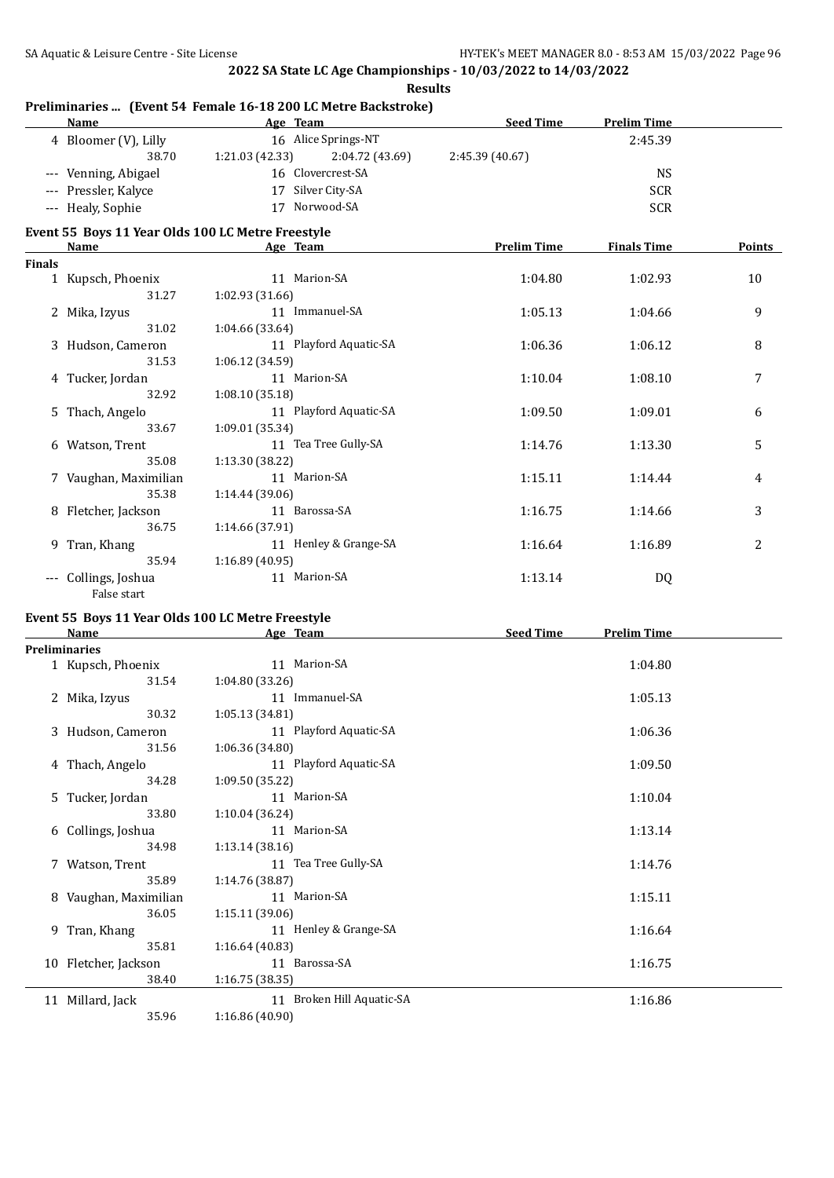**Results**

#### **Preliminaries ... (Event 54 Female 16-18 200 LC Metre Backstroke) Age Team Seed Time Prelim Time** 4 Bloomer (V), Lilly 16 Alice Springs-NT 2:45.39 38.70 1:21.03 (42.33) 2:04.72 (43.69) 2:45.39 (40.67) --- Venning, Abigael 16 Clovercrest-SA NS --- Pressler, Kalyce 17 Silver City-SA SCR --- Healy, Sophie 17 Norwood-SA SCR **Event 55 Boys 11 Year Olds 100 LC Metre Freestyle Name Age Team Prelim Time Finals Time Points Finals** 1 Kupsch, Phoenix 11 Marion-SA 1:04.80 1:02.93 10 31.27 1:02.93 (31.66) 2 Mika, Izyus 11 Immanuel-SA 1:05.13 1:04.66 9 31.02 1:04.66 (33.64) 3 Hudson, Cameron 11 Playford Aquatic-SA 1:06.36 1:06.12 8 31.53 1:06.12 (34.59) 4 Tucker, Jordan 11 Marion-SA 1:10.04 1:08.10 7 32.92 1:08.10 (35.18) 5 Thach, Angelo 11 Playford Aquatic-SA 1:09.50 1:09.01 6 33.67 1:09.01 (35.34) 6 Watson, Trent 11 Tea Tree Gully-SA 1:14.76 1:13.30 5 35.08 1:13.30 (38.22) 7 Vaughan, Maximilian 11 Marion-SA 1:15.11 1:14.44 4 35.38 1:14.44 (39.06) 8 Fletcher, Jackson 11 Barossa-SA 1:16.75 1:14.66 3 36.75 1:14.66 (37.91) 9 Tran, Khang 2 11 Henley & Grange-SA 1:16.64 1:16.89 2 35.94 1:16.89 (40.95) --- Collings, Joshua 11 Marion-SA 1:13.14 DQ

# **Event 55 Boys 11 Year Olds 100 LC Metre Freestyle**

False start

| Name                  | Age Team                  | <b>Seed Time</b><br><b>Prelim Time</b> |
|-----------------------|---------------------------|----------------------------------------|
| <b>Preliminaries</b>  |                           |                                        |
| 1 Kupsch, Phoenix     | 11 Marion-SA              | 1:04.80                                |
| 31.54                 | 1:04.80(33.26)            |                                        |
| 2 Mika, Izyus         | 11 Immanuel-SA            | 1:05.13                                |
| 30.32                 | 1:05.13(34.81)            |                                        |
| 3 Hudson, Cameron     | 11 Playford Aquatic-SA    | 1:06.36                                |
| 31.56                 | 1:06.36 (34.80)           |                                        |
| 4 Thach, Angelo       | 11 Playford Aquatic-SA    | 1:09.50                                |
| 34.28                 | 1:09.50 (35.22)           |                                        |
| 5 Tucker, Jordan      | 11 Marion-SA              | 1:10.04                                |
| 33.80                 | 1:10.04 (36.24)           |                                        |
| 6 Collings, Joshua    | 11 Marion-SA              | 1:13.14                                |
| 34.98                 | 1:13.14 (38.16)           |                                        |
| 7 Watson, Trent       | 11 Tea Tree Gully-SA      | 1:14.76                                |
| 35.89                 | 1:14.76 (38.87)           |                                        |
| 8 Vaughan, Maximilian | 11 Marion-SA              | 1:15.11                                |
| 36.05                 | 1:15.11 (39.06)           |                                        |
| 9 Tran, Khang         | 11 Henley & Grange-SA     | 1:16.64                                |
| 35.81                 | 1:16.64(40.83)            |                                        |
| 10 Fletcher, Jackson  | 11 Barossa-SA             | 1:16.75                                |
| 38.40                 | 1:16.75(38.35)            |                                        |
| 11 Millard, Jack      | 11 Broken Hill Aquatic-SA | 1:16.86                                |
| 35.96                 | 1:16.86 (40.90)           |                                        |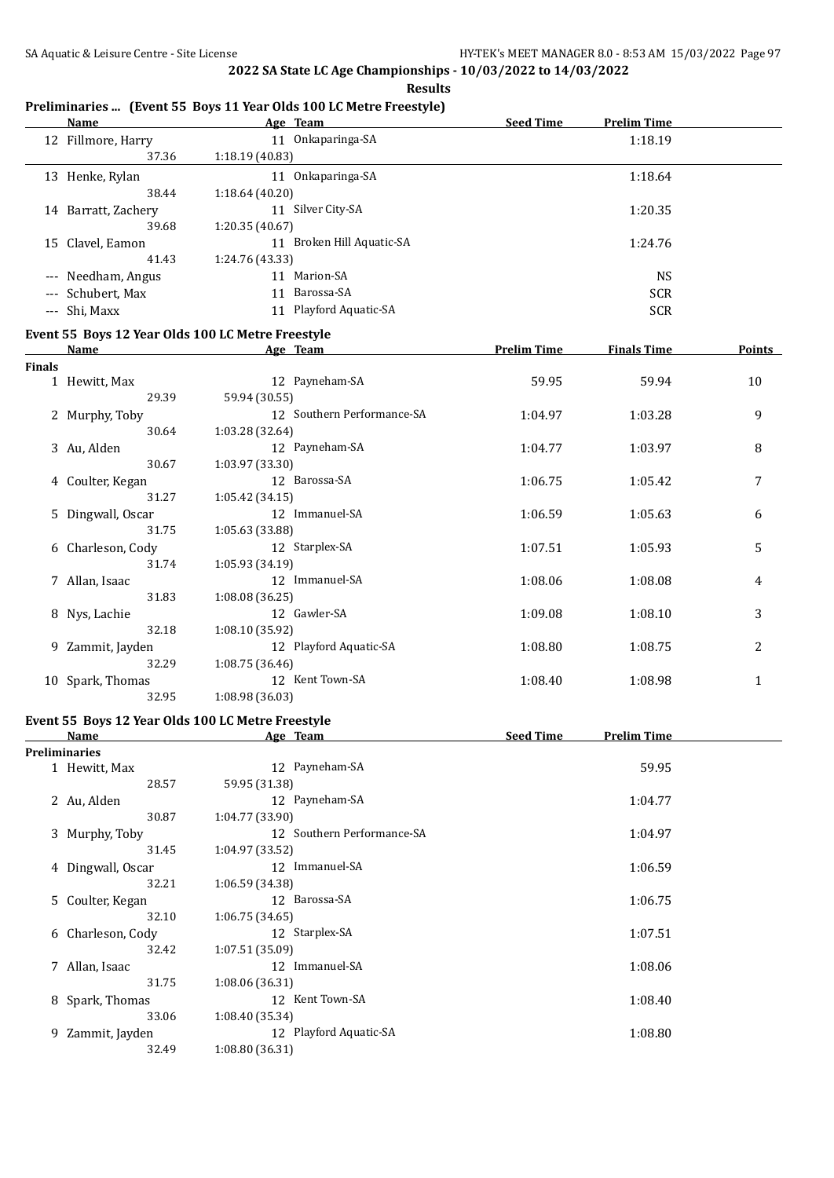**Results**

#### **Preliminaries ... (Event 55 Boys 11 Year Olds 100 LC Metre Freestyle)**

|               | <b>Name</b>         | Age Team                                          | <b>Seed Time</b>   | <b>Prelim Time</b> |        |
|---------------|---------------------|---------------------------------------------------|--------------------|--------------------|--------|
|               | 12 Fillmore, Harry  | 11 Onkaparinga-SA                                 |                    | 1:18.19            |        |
|               | 37.36               | 1:18.19 (40.83)                                   |                    |                    |        |
|               | 13 Henke, Rylan     | 11 Onkaparinga-SA                                 |                    | 1:18.64            |        |
|               | 38.44               | 1:18.64(40.20)                                    |                    |                    |        |
|               | 14 Barratt, Zachery | 11 Silver City-SA                                 |                    | 1:20.35            |        |
|               | 39.68               | 1:20.35(40.67)                                    |                    |                    |        |
|               | 15 Clavel, Eamon    | 11 Broken Hill Aquatic-SA                         |                    | 1:24.76            |        |
|               | 41.43               | 1:24.76 (43.33)                                   |                    |                    |        |
|               | --- Needham, Angus  | 11 Marion-SA                                      |                    | <b>NS</b>          |        |
|               | --- Schubert, Max   | 11 Barossa-SA                                     |                    | <b>SCR</b>         |        |
|               | --- Shi, Maxx       | 11 Playford Aquatic-SA                            |                    | <b>SCR</b>         |        |
|               |                     | Event 55 Boys 12 Year Olds 100 LC Metre Freestyle |                    |                    |        |
|               | <b>Name</b>         | Age Team                                          | <b>Prelim Time</b> | <b>Finals Time</b> | Points |
| <b>Finals</b> |                     |                                                   |                    |                    |        |
|               | 1 Hewitt, Max       | 12 Payneham-SA                                    | 59.95              | 59.94              | 10     |
|               | 29.39               | 59.94 (30.55)                                     |                    |                    |        |
|               | 2 Murphy, Toby      | 12 Southern Performance-SA                        | 1:04.97            | 1:03.28            | 9      |
|               | 30.64               | 1:03.28 (32.64)                                   |                    |                    |        |
|               | 3 Au, Alden         | 12 Payneham-SA                                    | 1:04.77            | 1:03.97            | 8      |
|               | 30.67               | 1:03.97 (33.30)                                   |                    |                    |        |
|               | 4 Coulter, Kegan    | 12 Barossa-SA                                     | 1:06.75            | 1:05.42            | 7      |
|               | 31.27               | 1:05.42(34.15)                                    |                    |                    |        |
|               | 5 Dingwall, Oscar   | 12 Immanuel-SA                                    | 1:06.59            | 1:05.63            | 6      |
|               | 31.75               | 1:05.63 (33.88)                                   |                    |                    |        |
|               | 6 Charleson, Cody   | 12 Starplex-SA                                    | 1:07.51            | 1:05.93            | 5      |
|               | 31.74               | 1:05.93 (34.19)                                   |                    |                    |        |
|               | 7 Allan, Isaac      | 12 Immanuel-SA                                    | 1:08.06            | 1:08.08            | 4      |
|               | 31.83               | 1:08.08(36.25)                                    |                    |                    |        |
|               | 8 Nys, Lachie       | 12 Gawler-SA                                      | 1:09.08            | 1:08.10            | 3      |
|               | 32.18               | 1:08.10 (35.92)                                   |                    |                    |        |
|               | 9 Zammit, Jayden    | 12 Playford Aquatic-SA                            | 1:08.80            | 1:08.75            | 2      |
|               | 32.29               | 1:08.75 (36.46)                                   |                    |                    |        |
|               | 10 Spark, Thomas    | 12 Kent Town-SA                                   | 1:08.40            | 1:08.98            | 1      |
|               | 32.95               | 1:08.98 (36.03)                                   |                    |                    |        |

### **Event 55 Boys 12 Year Olds 100 LC Metre Freestyle**

|   | <b>Name</b>       | Age Team                   | <b>Seed Time</b><br><b>Prelim Time</b> |  |
|---|-------------------|----------------------------|----------------------------------------|--|
|   | Preliminaries     |                            |                                        |  |
|   | 1 Hewitt, Max     | 12 Payneham-SA             | 59.95                                  |  |
|   | 28.57             | 59.95 (31.38)              |                                        |  |
|   | 2 Au, Alden       | 12 Payneham-SA             | 1:04.77                                |  |
|   | 30.87             | 1:04.77 (33.90)            |                                        |  |
|   | 3 Murphy, Toby    | 12 Southern Performance-SA | 1:04.97                                |  |
|   | 31.45             | 1:04.97 (33.52)            |                                        |  |
|   | 4 Dingwall, Oscar | 12 Immanuel-SA             | 1:06.59                                |  |
|   | 32.21             | 1:06.59 (34.38)            |                                        |  |
|   | 5 Coulter, Kegan  | 12 Barossa-SA              | 1:06.75                                |  |
|   | 32.10             | 1:06.75(34.65)             |                                        |  |
|   | 6 Charleson, Cody | 12 Starplex-SA             | 1:07.51                                |  |
|   | 32.42             | 1:07.51 (35.09)            |                                        |  |
|   | 7 Allan, Isaac    | Immanuel-SA<br>12          | 1:08.06                                |  |
|   | 31.75             | 1:08.06 (36.31)            |                                        |  |
| 8 | Spark, Thomas     | 12 Kent Town-SA            | 1:08.40                                |  |
|   | 33.06             | 1:08.40 (35.34)            |                                        |  |
|   | 9 Zammit, Jayden  | 12 Playford Aquatic-SA     | 1:08.80                                |  |
|   | 32.49             | 1:08.80(36.31)             |                                        |  |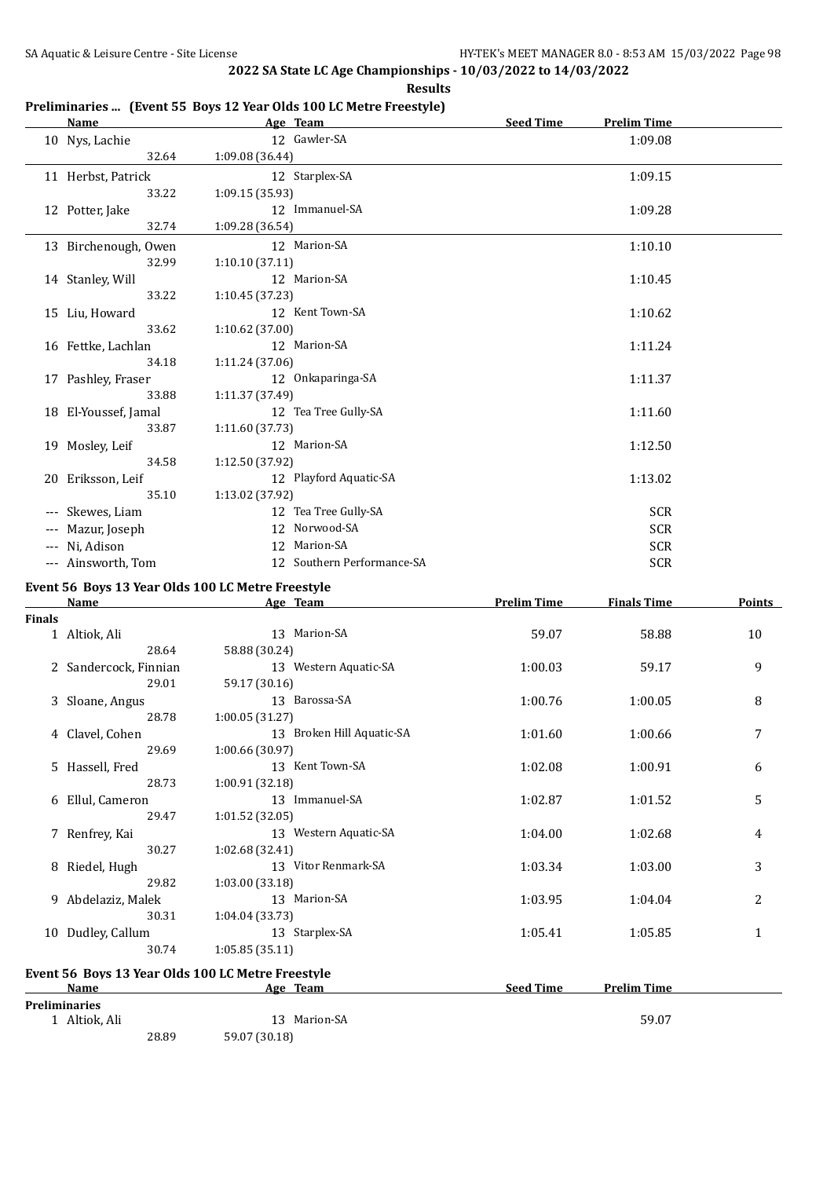**Results**

#### **Preliminaries ... (Event 55 Boys 12 Year Olds 100 LC Metre Freestyle)**

|               | <u>Name</u>                                       |                 | Age Team                   | <b>Seed Time</b>   | <b>Prelim Time</b> |        |
|---------------|---------------------------------------------------|-----------------|----------------------------|--------------------|--------------------|--------|
|               | 10 Nys, Lachie                                    |                 | 12 Gawler-SA               |                    | 1:09.08            |        |
|               | 32.64                                             | 1:09.08 (36.44) |                            |                    |                    |        |
|               | 11 Herbst, Patrick                                |                 | 12 Starplex-SA             |                    | 1:09.15            |        |
|               | 33.22                                             | 1:09.15 (35.93) |                            |                    |                    |        |
|               | 12 Potter, Jake                                   |                 | 12 Immanuel-SA             |                    | 1:09.28            |        |
|               | 32.74                                             | 1:09.28 (36.54) |                            |                    |                    |        |
|               | 13 Birchenough, Owen                              |                 | 12 Marion-SA               |                    | 1:10.10            |        |
|               | 32.99                                             | 1:10.10(37.11)  |                            |                    |                    |        |
|               | 14 Stanley, Will                                  |                 | 12 Marion-SA               |                    | 1:10.45            |        |
|               | 33.22                                             | 1:10.45 (37.23) |                            |                    |                    |        |
|               | 15 Liu, Howard                                    |                 | 12 Kent Town-SA            |                    | 1:10.62            |        |
|               | 33.62                                             | 1:10.62 (37.00) |                            |                    |                    |        |
|               | 16 Fettke, Lachlan                                |                 | 12 Marion-SA               |                    | 1:11.24            |        |
|               | 34.18                                             | 1:11.24 (37.06) |                            |                    |                    |        |
|               | 17 Pashley, Fraser                                |                 | 12 Onkaparinga-SA          |                    | 1:11.37            |        |
|               | 33.88                                             | 1:11.37 (37.49) |                            |                    |                    |        |
|               | 18 El-Youssef, Jamal                              |                 | 12 Tea Tree Gully-SA       |                    | 1:11.60            |        |
|               | 33.87                                             | 1:11.60 (37.73) |                            |                    |                    |        |
|               | 19 Mosley, Leif                                   |                 | 12 Marion-SA               |                    | 1:12.50            |        |
|               | 34.58                                             | 1:12.50 (37.92) |                            |                    |                    |        |
|               | 20 Eriksson, Leif                                 |                 | 12 Playford Aquatic-SA     |                    | 1:13.02            |        |
|               | 35.10                                             | 1:13.02 (37.92) |                            |                    |                    |        |
|               | --- Skewes, Liam                                  |                 | 12 Tea Tree Gully-SA       |                    | <b>SCR</b>         |        |
|               | --- Mazur, Joseph                                 |                 | 12 Norwood-SA              |                    | <b>SCR</b>         |        |
|               | --- Ni, Adison                                    |                 | 12 Marion-SA               |                    | <b>SCR</b>         |        |
|               | --- Ainsworth, Tom                                |                 | 12 Southern Performance-SA |                    | <b>SCR</b>         |        |
|               | Event 56 Boys 13 Year Olds 100 LC Metre Freestyle |                 |                            |                    |                    |        |
|               | Name                                              |                 | Age Team                   | <b>Prelim Time</b> | <b>Finals Time</b> | Points |
| <b>Finals</b> |                                                   |                 |                            |                    |                    |        |
|               | 1 Altiok, Ali                                     |                 | 13 Marion-SA               | 59.07              | 58.88              | 10     |
|               | 28.64                                             | 58.88 (30.24)   |                            |                    |                    |        |
|               | 2 Sandercock, Finnian                             |                 | 13 Western Aquatic-SA      | 1:00.03            | 59.17              | 9      |
|               | 29.01                                             | 59.17 (30.16)   |                            |                    |                    |        |
|               | 3 Sloane, Angus                                   |                 | 13 Barossa-SA              | 1:00.76            | 1:00.05            | 8      |
|               | 28.78                                             | 1:00.05 (31.27) |                            |                    |                    |        |
|               | 4 Clavel, Cohen                                   |                 | 13 Broken Hill Aquatic-SA  | 1:01.60            | 1:00.66            | 7      |
|               | 29.69                                             | 1:00.66 (30.97) |                            |                    |                    |        |
|               | 5 Hassell, Fred                                   |                 | 13 Kent Town-SA            | 1:02.08            | 1:00.91            | 6      |
|               | 28.73<br>6 Ellul, Cameron                         | 1:00.91 (32.18) | 13 Immanuel-SA             | 1:02.87            |                    | 5      |
|               |                                                   |                 |                            |                    | 1:01.52            |        |

7 Renfrey, Kai 13 Western Aquatic-SA 1:04.00 1:02.68 4 30.27 1:02.68 30.27 1:02.68 1:02.68 1:04.00 1:02.68 1:02.68 1:02.68 1:02.68 1:02.68 1:02.68 1:02.68 1:02.68 1:02.68 1:02.68 1:02.68 1:02.68 1:02.68 1:02.68 1:02.68 1:0

8 Riedel, Hugh 13 Vitor Renmark-SA 1:03.34 1:03.00 3

9 Abdelaziz, Malek 13 Marion-SA 1:03.95 1:04.04 2

| 10 Dudley, Callum    |       | 13 Starplex-SA                                    | 1:05.41          | 1:05.85            |  |
|----------------------|-------|---------------------------------------------------|------------------|--------------------|--|
|                      | 30.74 | 1:05.85(35.11)                                    |                  |                    |  |
|                      |       | Event 56 Boys 13 Year Olds 100 LC Metre Freestyle |                  |                    |  |
| Name                 |       | Age Team                                          | <b>Seed Time</b> | <b>Prelim Time</b> |  |
| <b>Preliminaries</b> |       |                                                   |                  |                    |  |
| Altiok, Ali          |       | Marion-SA<br>13.                                  |                  | 59.07              |  |
|                      | 28.89 | 59.07 (30.18)                                     |                  |                    |  |

29.47 1:01.52 (32.05)

29.82 1:03.00 (33.18)

30.31 1:04.04 (33.73)

30.27 1:02.68 (32.41)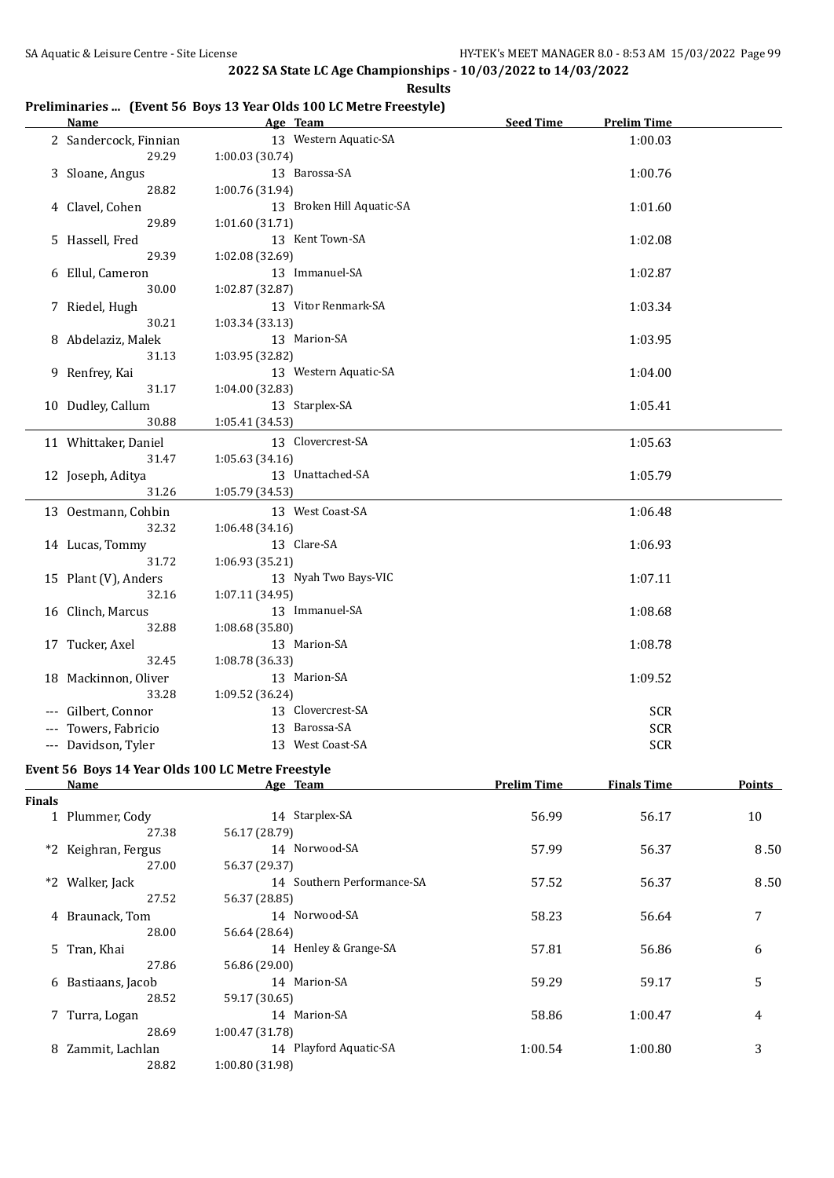**Results**

### **Preliminaries ... (Event 56 Boys 13 Year Olds 100 LC Metre Freestyle)**

| <b>Name</b>           | Age Team                  | <b>Seed Time</b> | <b>Prelim Time</b> |  |
|-----------------------|---------------------------|------------------|--------------------|--|
| 2 Sandercock, Finnian | 13 Western Aquatic-SA     |                  | 1:00.03            |  |
| 29.29                 | 1:00.03(30.74)            |                  |                    |  |
| 3 Sloane, Angus       | 13 Barossa-SA             |                  | 1:00.76            |  |
| 28.82                 | 1:00.76 (31.94)           |                  |                    |  |
| 4 Clavel, Cohen       | 13 Broken Hill Aquatic-SA |                  | 1:01.60            |  |
| 29.89                 | 1:01.60 (31.71)           |                  |                    |  |
| 5 Hassell, Fred       | 13 Kent Town-SA           |                  | 1:02.08            |  |
| 29.39                 | 1:02.08 (32.69)           |                  |                    |  |
| 6 Ellul, Cameron      | 13 Immanuel-SA            |                  | 1:02.87            |  |
| 30.00                 | 1:02.87 (32.87)           |                  |                    |  |
| 7 Riedel, Hugh        | 13 Vitor Renmark-SA       |                  | 1:03.34            |  |
| 30.21                 | 1:03.34 (33.13)           |                  |                    |  |
| 8 Abdelaziz, Malek    | 13 Marion-SA              |                  | 1:03.95            |  |
| 31.13                 | 1:03.95 (32.82)           |                  |                    |  |
| 9 Renfrey, Kai        | 13 Western Aquatic-SA     |                  | 1:04.00            |  |
| 31.17                 | 1:04.00 (32.83)           |                  |                    |  |
| 10 Dudley, Callum     | 13 Starplex-SA            |                  | 1:05.41            |  |
| 30.88                 | 1:05.41 (34.53)           |                  |                    |  |
| 11 Whittaker, Daniel  | 13 Clovercrest-SA         |                  | 1:05.63            |  |
| 31.47                 | 1:05.63 (34.16)           |                  |                    |  |
| 12 Joseph, Aditya     | 13 Unattached-SA          |                  | 1:05.79            |  |
| 31.26                 | 1:05.79 (34.53)           |                  |                    |  |
| 13 Oestmann, Cohbin   | 13 West Coast-SA          |                  | 1:06.48            |  |
| 32.32                 | 1:06.48 (34.16)           |                  |                    |  |
| 14 Lucas, Tommy       | 13 Clare-SA               |                  | 1:06.93            |  |
| 31.72                 | 1:06.93 (35.21)           |                  |                    |  |
| 15 Plant (V), Anders  | 13 Nyah Two Bays-VIC      |                  | 1:07.11            |  |
| 32.16                 | 1:07.11 (34.95)           |                  |                    |  |
| 16 Clinch, Marcus     | 13 Immanuel-SA            |                  | 1:08.68            |  |
| 32.88                 | 1:08.68 (35.80)           |                  |                    |  |
| 17 Tucker, Axel       | 13 Marion-SA              |                  | 1:08.78            |  |
| 32.45                 | 1:08.78 (36.33)           |                  |                    |  |
| 18 Mackinnon, Oliver  | 13 Marion-SA              |                  | 1:09.52            |  |
| 33.28                 | 1:09.52 (36.24)           |                  |                    |  |
| --- Gilbert, Connor   | 13 Clovercrest-SA         |                  | <b>SCR</b>         |  |
| Towers, Fabricio      | 13 Barossa-SA             |                  | <b>SCR</b>         |  |
| --- Davidson, Tyler   | 13 West Coast-SA          |                  | <b>SCR</b>         |  |
|                       |                           |                  |                    |  |

#### **Event 56 Boys 14 Year Olds 100 LC Metre Freestyle**

|               | Name                | Age Team                   | <b>Prelim Time</b> | <b>Finals Time</b> | <b>Points</b> |
|---------------|---------------------|----------------------------|--------------------|--------------------|---------------|
| <b>Finals</b> |                     |                            |                    |                    |               |
|               | 1 Plummer, Cody     | 14 Starplex-SA             | 56.99              | 56.17              | 10            |
|               | 27.38               | 56.17 (28.79)              |                    |                    |               |
|               | *2 Keighran, Fergus | 14 Norwood-SA              | 57.99              | 56.37              | 8.50          |
|               | 27.00               | 56.37 (29.37)              |                    |                    |               |
|               | *2 Walker, Jack     | 14 Southern Performance-SA | 57.52              | 56.37              | 8.50          |
|               | 27.52               | 56.37 (28.85)              |                    |                    |               |
|               | 4 Braunack, Tom     | 14 Norwood-SA              | 58.23              | 56.64              | 7             |
|               | 28.00               | 56.64 (28.64)              |                    |                    |               |
|               | 5 Tran, Khai        | 14 Henley & Grange-SA      | 57.81              | 56.86              | 6             |
|               | 27.86               | 56.86 (29.00)              |                    |                    |               |
| 6             | Bastiaans, Jacob    | 14 Marion-SA               | 59.29              | 59.17              | 5             |
|               | 28.52               | 59.17 (30.65)              |                    |                    |               |
|               | 7 Turra, Logan      | 14 Marion-SA               | 58.86              | 1:00.47            | 4             |
|               | 28.69               | 1:00.47(31.78)             |                    |                    |               |
|               | 8 Zammit, Lachlan   | 14 Playford Aquatic-SA     | 1:00.54            | 1:00.80            | 3             |
|               | 28.82               | 1:00.80 (31.98)            |                    |                    |               |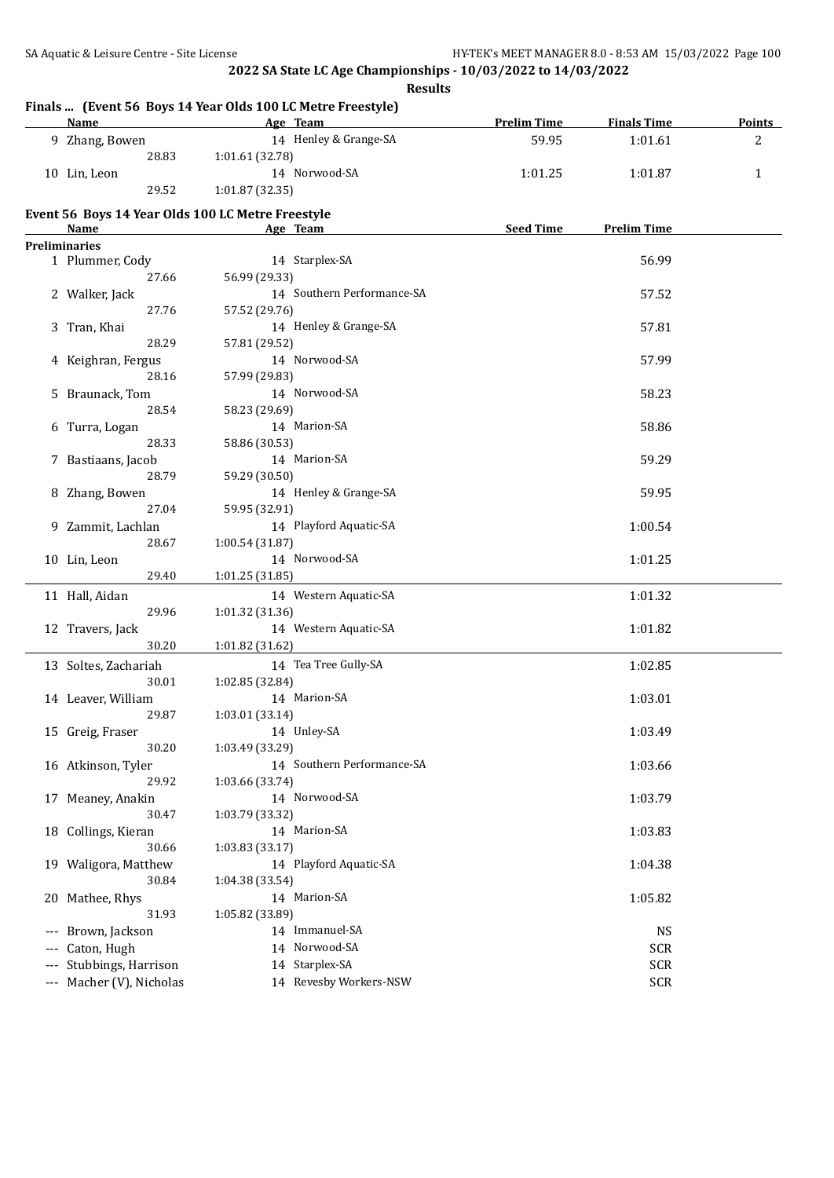**Results**

|                      | <b>Name</b>                                       | Age Team        |                            | <b>Prelim Time</b> | <b>Finals Time</b> | <b>Points</b> |
|----------------------|---------------------------------------------------|-----------------|----------------------------|--------------------|--------------------|---------------|
|                      | 9 Zhang, Bowen                                    |                 | 14 Henley & Grange-SA      | 59.95              | 1:01.61            | 2             |
|                      | 28.83                                             | 1:01.61 (32.78) |                            |                    |                    |               |
|                      | 10 Lin, Leon                                      |                 | 14 Norwood-SA              | 1:01.25            | 1:01.87            | 1             |
|                      | 29.52                                             | 1:01.87 (32.35) |                            |                    |                    |               |
|                      | Event 56 Boys 14 Year Olds 100 LC Metre Freestyle |                 |                            |                    |                    |               |
|                      | Name                                              |                 | Age Team                   | <b>Seed Time</b>   | <b>Prelim Time</b> |               |
|                      | <b>Preliminaries</b>                              |                 |                            |                    |                    |               |
|                      | 1 Plummer, Cody                                   |                 | 14 Starplex-SA             |                    | 56.99              |               |
|                      | 27.66                                             | 56.99 (29.33)   |                            |                    |                    |               |
|                      | 2 Walker, Jack                                    |                 | 14 Southern Performance-SA |                    | 57.52              |               |
|                      | 27.76                                             | 57.52 (29.76)   |                            |                    |                    |               |
| 3                    | Tran, Khai                                        |                 | 14 Henley & Grange-SA      |                    | 57.81              |               |
|                      | 28.29                                             | 57.81 (29.52)   |                            |                    |                    |               |
|                      | 4 Keighran, Fergus                                |                 | 14 Norwood-SA              |                    | 57.99              |               |
|                      | 28.16                                             | 57.99 (29.83)   |                            |                    |                    |               |
| 5.                   | Braunack, Tom                                     |                 | 14 Norwood-SA              |                    | 58.23              |               |
|                      | 28.54                                             | 58.23 (29.69)   |                            |                    |                    |               |
|                      |                                                   |                 |                            |                    |                    |               |
|                      | 6 Turra, Logan                                    |                 | 14 Marion-SA               |                    | 58.86              |               |
|                      | 28.33                                             | 58.86 (30.53)   |                            |                    |                    |               |
| 7                    | Bastiaans, Jacob                                  |                 | 14 Marion-SA               |                    | 59.29              |               |
|                      | 28.79                                             | 59.29 (30.50)   |                            |                    |                    |               |
|                      | 8 Zhang, Bowen                                    |                 | 14 Henley & Grange-SA      |                    | 59.95              |               |
|                      | 27.04                                             | 59.95 (32.91)   |                            |                    |                    |               |
|                      | 9 Zammit, Lachlan                                 |                 | 14 Playford Aquatic-SA     |                    | 1:00.54            |               |
|                      | 28.67                                             | 1:00.54 (31.87) |                            |                    |                    |               |
|                      | 10 Lin, Leon                                      |                 | 14 Norwood-SA              |                    | 1:01.25            |               |
|                      | 29.40                                             | 1:01.25 (31.85) |                            |                    |                    |               |
|                      | 11 Hall, Aidan                                    |                 | 14 Western Aquatic-SA      |                    | 1:01.32            |               |
|                      | 29.96                                             | 1:01.32 (31.36) |                            |                    |                    |               |
|                      | 12 Travers, Jack                                  |                 | 14 Western Aquatic-SA      |                    | 1:01.82            |               |
|                      | 30.20                                             | 1:01.82 (31.62) |                            |                    |                    |               |
|                      | 13 Soltes, Zachariah                              |                 | 14 Tea Tree Gully-SA       |                    | 1:02.85            |               |
|                      | 30.01                                             | 1:02.85 (32.84) |                            |                    |                    |               |
|                      | 14 Leaver, William                                |                 | 14 Marion-SA               |                    | 1:03.01            |               |
|                      | 29.87                                             | 1:03.01(33.14)  |                            |                    |                    |               |
|                      | 15 Greig, Fraser                                  | 14 Unley-SA     |                            |                    | 1:03.49            |               |
|                      | 30.20                                             | 1:03.49 (33.29) |                            |                    |                    |               |
|                      |                                                   |                 | 14 Southern Performance-SA |                    |                    |               |
|                      | 16 Atkinson, Tyler                                |                 |                            |                    | 1:03.66            |               |
|                      | 29.92                                             | 1:03.66 (33.74) |                            |                    |                    |               |
|                      | 17 Meaney, Anakin                                 |                 | 14 Norwood-SA              |                    | 1:03.79            |               |
|                      | 30.47                                             | 1:03.79 (33.32) |                            |                    |                    |               |
|                      | 18 Collings, Kieran                               |                 | 14 Marion-SA               |                    | 1:03.83            |               |
|                      | 30.66                                             | 1:03.83 (33.17) |                            |                    |                    |               |
|                      | 19 Waligora, Matthew                              |                 | 14 Playford Aquatic-SA     |                    | 1:04.38            |               |
|                      | 30.84                                             | 1:04.38 (33.54) |                            |                    |                    |               |
|                      | 20 Mathee, Rhys                                   |                 | 14 Marion-SA               |                    | 1:05.82            |               |
|                      | 31.93                                             | 1:05.82 (33.89) |                            |                    |                    |               |
| ---                  | Brown, Jackson                                    |                 | 14 Immanuel-SA             |                    | <b>NS</b>          |               |
| ---                  | Caton, Hugh                                       |                 | 14 Norwood-SA              |                    | <b>SCR</b>         |               |
| ---                  | Stubbings, Harrison                               |                 | 14 Starplex-SA             |                    | <b>SCR</b>         |               |
| $\scriptstyle\cdots$ | Macher (V), Nicholas                              |                 | 14 Revesby Workers-NSW     |                    | <b>SCR</b>         |               |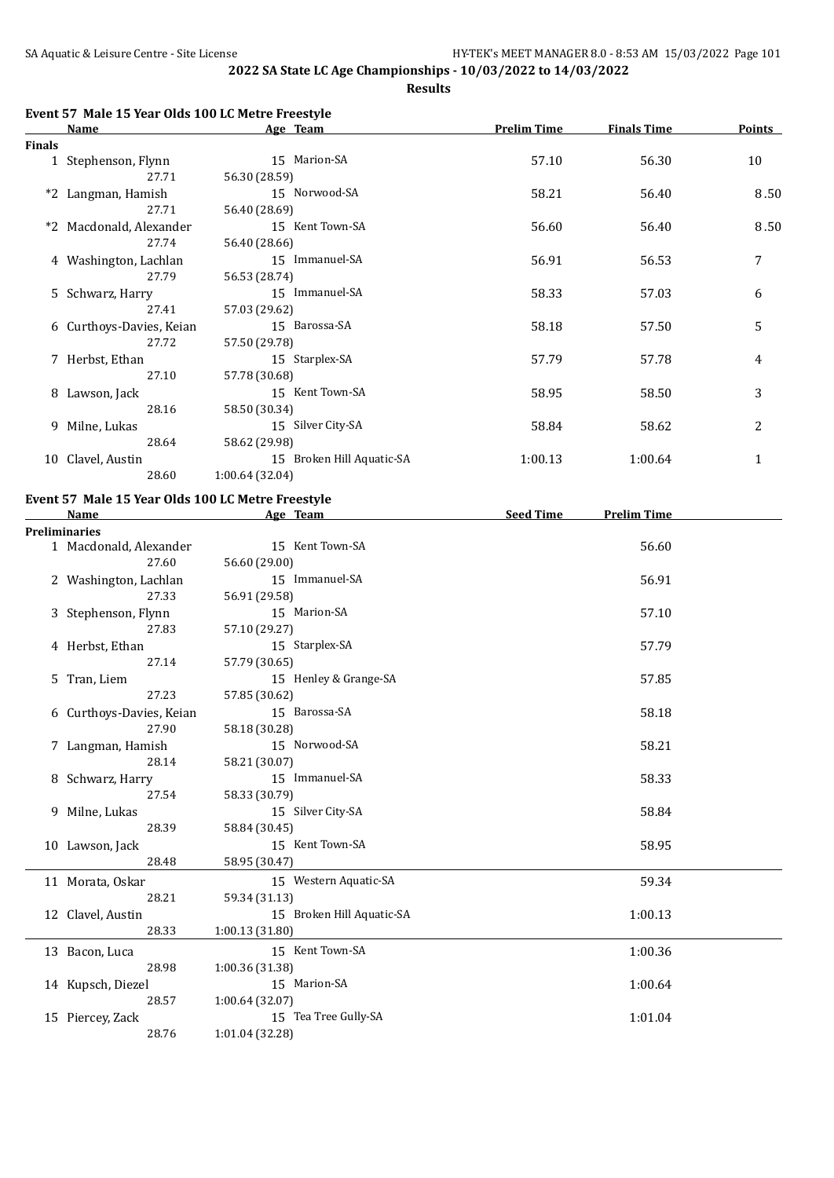**Results**

| Event 57 Male 15 Year Olds 100 LC Metre Freestyle |  |  |  |  |
|---------------------------------------------------|--|--|--|--|
|                                                   |  |  |  |  |

|        | <b>Name</b>              | Age Team                  | <b>Prelim Time</b> | <b>Finals Time</b> | <b>Points</b> |
|--------|--------------------------|---------------------------|--------------------|--------------------|---------------|
| Finals |                          |                           |                    |                    |               |
|        | 1 Stephenson, Flynn      | 15 Marion-SA              | 57.10              | 56.30              | 10            |
|        | 27.71                    | 56.30 (28.59)             |                    |                    |               |
|        | *2 Langman, Hamish       | 15 Norwood-SA             | 58.21              | 56.40              | 8.50          |
|        | 27.71                    | 56.40 (28.69)             |                    |                    |               |
|        | *2 Macdonald, Alexander  | 15 Kent Town-SA           | 56.60              | 56.40              | 8.50          |
|        | 27.74                    | 56.40 (28.66)             |                    |                    |               |
|        | 4 Washington, Lachlan    | 15 Immanuel-SA            | 56.91              | 56.53              | 7             |
|        | 27.79                    | 56.53 (28.74)             |                    |                    |               |
|        | 5 Schwarz, Harry         | 15 Immanuel-SA            | 58.33              | 57.03              | 6             |
|        | 27.41                    | 57.03 (29.62)             |                    |                    |               |
|        | 6 Curthoys-Davies, Keian | 15 Barossa-SA             | 58.18              | 57.50              | 5             |
|        | 27.72                    | 57.50 (29.78)             |                    |                    |               |
|        | 7 Herbst, Ethan          | 15 Starplex-SA            | 57.79              | 57.78              | 4             |
|        | 27.10                    | 57.78 (30.68)             |                    |                    |               |
|        | 8 Lawson, Jack           | 15 Kent Town-SA           | 58.95              | 58.50              | 3             |
|        | 28.16                    | 58.50 (30.34)             |                    |                    |               |
|        | 9 Milne, Lukas           | 15 Silver City-SA         | 58.84              | 58.62              | 2             |
|        | 28.64                    | 58.62 (29.98)             |                    |                    |               |
|        | 10 Clavel, Austin        | 15 Broken Hill Aquatic-SA | 1:00.13            | 1:00.64            | 1             |
|        | 28.60                    | 1:00.64(32.04)            |                    |                    |               |
|        |                          |                           |                    |                    |               |

#### **Event 57 Male 15 Year Olds 100 LC Metre Freestyle**

| <b>Name</b>              | Age Team                  | <b>Seed Time</b><br><b>Prelim Time</b> |
|--------------------------|---------------------------|----------------------------------------|
| <b>Preliminaries</b>     |                           |                                        |
| 1 Macdonald, Alexander   | 15 Kent Town-SA           | 56.60                                  |
| 27.60                    | 56.60 (29.00)             |                                        |
| 2 Washington, Lachlan    | 15 Immanuel-SA            | 56.91                                  |
| 27.33                    | 56.91 (29.58)             |                                        |
| 3 Stephenson, Flynn      | 15 Marion-SA              | 57.10                                  |
| 27.83                    | 57.10 (29.27)             |                                        |
| 4 Herbst, Ethan          | 15 Starplex-SA            | 57.79                                  |
| 27.14                    | 57.79 (30.65)             |                                        |
| 5 Tran, Liem             | 15 Henley & Grange-SA     | 57.85                                  |
| 27.23                    | 57.85 (30.62)             |                                        |
| 6 Curthoys-Davies, Keian | 15 Barossa-SA             | 58.18                                  |
| 27.90                    | 58.18 (30.28)             |                                        |
| 7 Langman, Hamish        | 15 Norwood-SA             | 58.21                                  |
| 28.14                    | 58.21 (30.07)             |                                        |
| 8 Schwarz, Harry         | 15 Immanuel-SA            | 58.33                                  |
| 27.54                    | 58.33 (30.79)             |                                        |
| 9 Milne, Lukas           | 15 Silver City-SA         | 58.84                                  |
| 28.39                    | 58.84 (30.45)             |                                        |
| 10 Lawson, Jack          | 15 Kent Town-SA           | 58.95                                  |
| 28.48                    | 58.95 (30.47)             |                                        |
| 11 Morata, Oskar         | 15 Western Aquatic-SA     | 59.34                                  |
| 28.21                    | 59.34 (31.13)             |                                        |
| 12 Clavel, Austin        | 15 Broken Hill Aquatic-SA | 1:00.13                                |
| 28.33                    | 1:00.13(31.80)            |                                        |
| 13 Bacon, Luca           | 15 Kent Town-SA           | 1:00.36                                |
| 28.98                    | 1:00.36 (31.38)           |                                        |
| 14 Kupsch, Diezel        | 15 Marion-SA              | 1:00.64                                |
| 28.57                    | 1:00.64(32.07)            |                                        |
| 15 Piercey, Zack         | 15 Tea Tree Gully-SA      | 1:01.04                                |
| 28.76                    | 1:01.04 (32.28)           |                                        |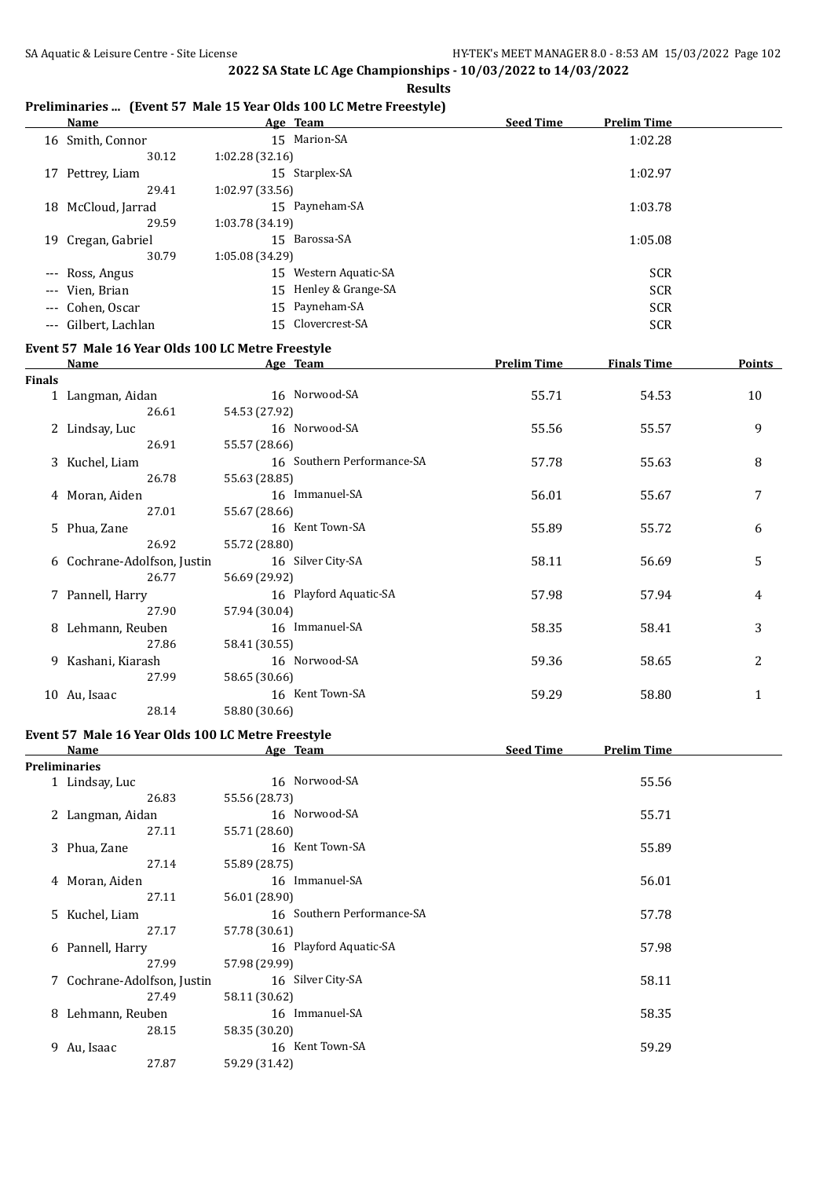#### **Results**

#### **Preliminaries ... (Event 57 Male 15 Year Olds 100 LC Metre Freestyle)**

|    | Name                 | Age Team                 | <b>Seed Time</b><br><b>Prelim Time</b> |
|----|----------------------|--------------------------|----------------------------------------|
|    | 16 Smith, Connor     | 15 Marion-SA             | 1:02.28                                |
|    | 30.12                | 1:02.28(32.16)           |                                        |
| 17 | Pettrey, Liam        | 15 Starplex-SA           | 1:02.97                                |
|    | 29.41                | 1:02.97(33.56)           |                                        |
|    | 18 McCloud, Jarrad   | 15 Payneham-SA           | 1:03.78                                |
|    | 29.59                | 1:03.78(34.19)           |                                        |
| 19 | Cregan, Gabriel      | 15 Barossa-SA            | 1:05.08                                |
|    | 30.79                | 1:05.08 (34.29)          |                                        |
|    | --- Ross, Angus      | Western Aquatic-SA<br>15 | <b>SCR</b>                             |
|    | --- Vien, Brian      | 15 Henley & Grange-SA    | <b>SCR</b>                             |
|    | --- Cohen, Oscar     | 15 Payneham-SA           | <b>SCR</b>                             |
|    | --- Gilbert, Lachlan | Clovercrest-SA<br>15     | <b>SCR</b>                             |

## **Event 57 Male 16 Year Olds 100 LC Metre Freestyle**

|               | <b>Name</b>                 | Age Team                   | <b>Prelim Time</b> | <b>Finals Time</b> | <b>Points</b>  |
|---------------|-----------------------------|----------------------------|--------------------|--------------------|----------------|
| <b>Finals</b> |                             |                            |                    |                    |                |
|               | 1 Langman, Aidan            | 16 Norwood-SA              | 55.71              | 54.53              | 10             |
|               | 26.61                       | 54.53 (27.92)              |                    |                    |                |
|               | 2 Lindsay, Luc              | 16 Norwood-SA              | 55.56              | 55.57              | 9              |
|               | 26.91                       | 55.57 (28.66)              |                    |                    |                |
|               | 3 Kuchel, Liam              | 16 Southern Performance-SA | 57.78              | 55.63              | 8              |
|               | 26.78                       | 55.63 (28.85)              |                    |                    |                |
|               | 4 Moran, Aiden              | 16 Immanuel-SA             | 56.01              | 55.67              | 7              |
|               | 27.01                       | 55.67 (28.66)              |                    |                    |                |
|               | 5 Phua, Zane                | 16 Kent Town-SA            | 55.89              | 55.72              | 6              |
|               | 26.92                       | 55.72 (28.80)              |                    |                    |                |
|               | 6 Cochrane-Adolfson, Justin | 16 Silver City-SA          | 58.11              | 56.69              | 5              |
|               | 26.77                       | 56.69 (29.92)              |                    |                    |                |
|               | 7 Pannell, Harry            | 16 Playford Aquatic-SA     | 57.98              | 57.94              | 4              |
|               | 27.90                       | 57.94 (30.04)              |                    |                    |                |
|               | 8 Lehmann, Reuben           | 16 Immanuel-SA             | 58.35              | 58.41              | 3              |
|               | 27.86                       | 58.41 (30.55)              |                    |                    |                |
|               | 9 Kashani, Kiarash          | 16 Norwood-SA              | 59.36              | 58.65              | $\overline{2}$ |
|               | 27.99                       | 58.65 (30.66)              |                    |                    |                |
|               | 10 Au, Isaac                | 16 Kent Town-SA            | 59.29              | 58.80              | $\mathbf{1}$   |
|               | 28.14                       | 58.80 (30.66)              |                    |                    |                |

#### **Event 57 Male 16 Year Olds 100 LC Metre Freestyle**

|   | <b>Name</b>                 | Age Team                   | <b>Seed Time</b><br><b>Prelim Time</b> |  |
|---|-----------------------------|----------------------------|----------------------------------------|--|
|   | Preliminaries               |                            |                                        |  |
|   | 1 Lindsay, Luc              | 16 Norwood-SA              | 55.56                                  |  |
|   | 26.83                       | 55.56 (28.73)              |                                        |  |
|   | 2 Langman, Aidan            | 16 Norwood-SA              | 55.71                                  |  |
|   | 27.11                       | 55.71 (28.60)              |                                        |  |
|   | 3 Phua, Zane                | 16 Kent Town-SA            | 55.89                                  |  |
|   | 27.14                       | 55.89 (28.75)              |                                        |  |
|   | 4 Moran, Aiden              | 16 Immanuel-SA             | 56.01                                  |  |
|   | 27.11                       | 56.01 (28.90)              |                                        |  |
|   | 5 Kuchel, Liam              | 16 Southern Performance-SA | 57.78                                  |  |
|   | 27.17                       | 57.78 (30.61)              |                                        |  |
|   | 6 Pannell, Harry            | 16 Playford Aquatic-SA     | 57.98                                  |  |
|   | 27.99                       | 57.98 (29.99)              |                                        |  |
|   | 7 Cochrane-Adolfson, Justin | 16 Silver City-SA          | 58.11                                  |  |
|   | 27.49                       | 58.11 (30.62)              |                                        |  |
| 8 | Lehmann, Reuben             | 16 Immanuel-SA             | 58.35                                  |  |
|   | 28.15                       | 58.35 (30.20)              |                                        |  |
|   | 9 Au, Isaac                 | 16 Kent Town-SA            | 59.29                                  |  |
|   | 27.87                       | 59.29 (31.42)              |                                        |  |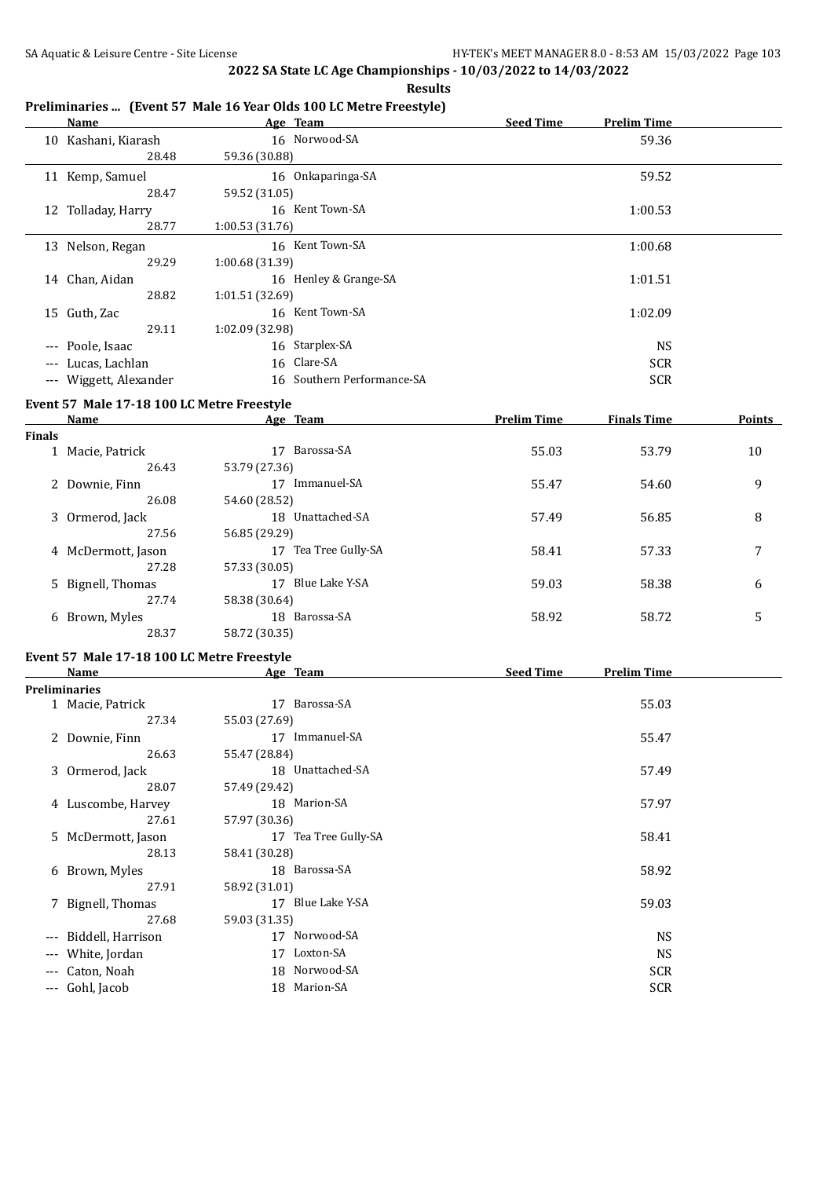**Results**

|        | <u>Name</u>                                | <b>Example 2016 Age</b> Team |                               | Seed Time          | <b>Prelim Time</b> |        |
|--------|--------------------------------------------|------------------------------|-------------------------------|--------------------|--------------------|--------|
|        | 10 Kashani, Kiarash                        |                              | 16 Norwood-SA                 |                    | 59.36              |        |
|        | 28.48                                      | 59.36 (30.88)                |                               |                    |                    |        |
|        | 11 Kemp, Samuel                            |                              | 16 Onkaparinga-SA             |                    | 59.52              |        |
|        | 28.47                                      | 59.52 (31.05)                |                               |                    |                    |        |
|        | 12 Tolladay, Harry                         |                              | 16 Kent Town-SA               |                    | 1:00.53            |        |
|        | 28.77                                      | 1:00.53 (31.76)              |                               |                    |                    |        |
|        | 13 Nelson, Regan                           |                              | 16 Kent Town-SA               |                    | 1:00.68            |        |
|        | 29.29                                      | 1:00.68 (31.39)              |                               |                    |                    |        |
|        | 14 Chan, Aidan                             |                              | 16 Henley & Grange-SA         |                    | 1:01.51            |        |
|        | 28.82                                      | 1:01.51 (32.69)              |                               |                    |                    |        |
|        | 15 Guth, Zac                               |                              | 16 Kent Town-SA               |                    | 1:02.09            |        |
|        | 29.11                                      | 1:02.09 (32.98)              |                               |                    |                    |        |
|        | --- Poole, Isaac                           |                              | 16 Starplex-SA<br>16 Clare-SA |                    | <b>NS</b>          |        |
|        | --- Lucas, Lachlan                         |                              | 16 Southern Performance-SA    |                    | <b>SCR</b>         |        |
|        | --- Wiggett, Alexander                     |                              |                               |                    | <b>SCR</b>         |        |
|        | Event 57 Male 17-18 100 LC Metre Freestyle |                              |                               |                    |                    |        |
|        |                                            |                              | Name Age Team                 | <b>Prelim Time</b> | <b>Finals Time</b> | Points |
| Finals | 1 Macie, Patrick                           |                              | 17 Barossa-SA                 | 55.03              | 53.79              | 10     |
|        | 26.43                                      | 53.79 (27.36)                |                               |                    |                    |        |
|        | 2 Downie, Finn                             |                              | 17 Immanuel-SA                | 55.47              | 54.60              | 9      |
|        | 26.08                                      | 54.60 (28.52)                |                               |                    |                    |        |
|        | 3 Ormerod, Jack                            |                              | 18 Unattached-SA              | 57.49              | 56.85              | 8      |
|        | 27.56                                      | 56.85 (29.29)                |                               |                    |                    |        |
|        | 4 McDermott, Jason                         |                              | 17 Tea Tree Gully-SA          | 58.41              | 57.33              | 7      |
|        | 27.28                                      | 57.33 (30.05)                |                               |                    |                    |        |
|        | 5 Bignell, Thomas                          |                              | 17 Blue Lake Y-SA             | 59.03              | 58.38              | 6      |
|        | 27.74                                      | 58.38 (30.64)                |                               |                    |                    |        |
|        | 6 Brown, Myles                             |                              | 18 Barossa-SA                 | 58.92              | 58.72              | 5      |
|        | 28.37                                      | 58.72 (30.35)                |                               |                    |                    |        |
|        | Event 57 Male 17-18 100 LC Metre Freestyle |                              |                               |                    |                    |        |
|        | <b>Name</b>                                | <b>Example 2</b> Age Team    |                               | Seed Time          | <b>Prelim Time</b> |        |
|        | <b>Preliminaries</b>                       |                              |                               |                    |                    |        |
|        | 1 Macie, Patrick                           |                              | 17 Barossa-SA                 |                    | 55.03              |        |
|        | 27.34                                      | 55.03 (27.69)                |                               |                    |                    |        |
|        | 2 Downie, Finn                             |                              | 17 Immanuel-SA                |                    | 55.47              |        |
|        | 26.63                                      | 55.47 (28.84)                | 18 Unattached-SA              |                    | 57.49              |        |
|        | 3 Ormerod, Jack<br>28.07                   | 57.49 (29.42)                |                               |                    |                    |        |
|        | 4 Luscombe, Harvey                         |                              | 18 Marion-SA                  |                    | 57.97              |        |
|        | 27.61                                      | 57.97 (30.36)                |                               |                    |                    |        |
|        | 5 McDermott, Jason                         |                              | 17 Tea Tree Gully-SA          |                    | 58.41              |        |
|        | 28.13                                      | 58.41 (30.28)                |                               |                    |                    |        |
|        | 6 Brown, Myles                             |                              | 18 Barossa-SA                 |                    | 58.92              |        |
|        | 27.91                                      | 58.92 (31.01)                |                               |                    |                    |        |
|        | 7 Bignell, Thomas                          |                              | 17 Blue Lake Y-SA             |                    | 59.03              |        |
|        | 27.68                                      | 59.03 (31.35)                |                               |                    |                    |        |
|        | Biddell, Harrison                          |                              | 17 Norwood-SA                 |                    | <b>NS</b>          |        |
|        | White, Jordan                              |                              | 17 Loxton-SA                  |                    | <b>NS</b>          |        |
|        | Caton, Noah                                |                              | 18 Norwood-SA                 |                    | <b>SCR</b>         |        |
| ---    | Gohl, Jacob                                |                              | 18 Marion-SA                  |                    | <b>SCR</b>         |        |

## **Preliminaries ... (Event 57 Male 16 Year Olds 100 LC Metre Freestyle)**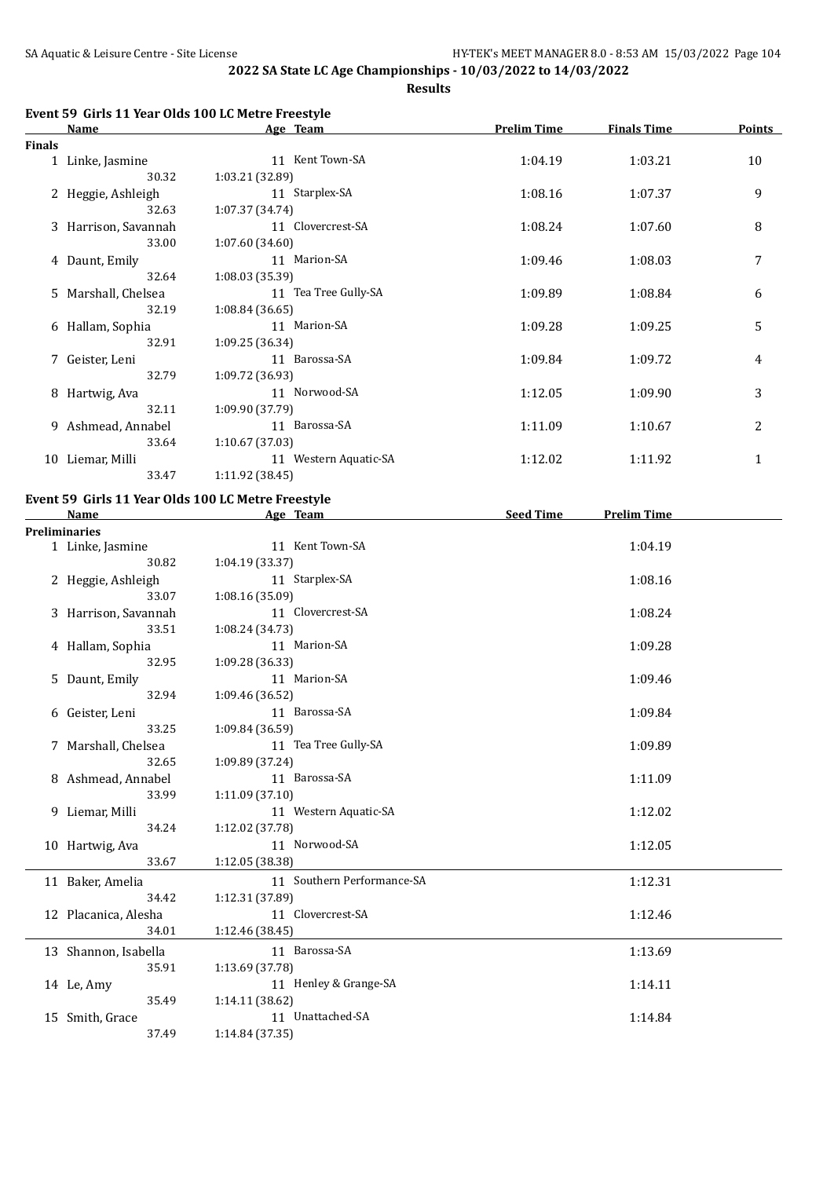**Results**

## **Event 59 Girls 11 Year Olds 100 LC Metre Freestyle**

|        | <b>Name</b>          | Age Team              | <b>Prelim Time</b> | <b>Finals Time</b> | Points       |
|--------|----------------------|-----------------------|--------------------|--------------------|--------------|
| Finals |                      |                       |                    |                    |              |
|        | 1 Linke, Jasmine     | 11 Kent Town-SA       | 1:04.19            | 1:03.21            | 10           |
|        | 30.32                | 1:03.21 (32.89)       |                    |                    |              |
|        | 2 Heggie, Ashleigh   | 11 Starplex-SA        | 1:08.16            | 1:07.37            | 9            |
|        | 32.63                | 1:07.37(34.74)        |                    |                    |              |
|        | 3 Harrison, Savannah | 11 Clovercrest-SA     | 1:08.24            | 1:07.60            | 8            |
|        | 33.00                | 1:07.60(34.60)        |                    |                    |              |
|        | 4 Daunt, Emily       | 11 Marion-SA          | 1:09.46            | 1:08.03            | 7            |
|        | 32.64                | 1:08.03 (35.39)       |                    |                    |              |
|        | 5 Marshall, Chelsea  | 11 Tea Tree Gully-SA  | 1:09.89            | 1:08.84            | 6            |
|        | 32.19                | 1:08.84(36.65)        |                    |                    |              |
|        | 6 Hallam, Sophia     | 11 Marion-SA          | 1:09.28            | 1:09.25            | 5            |
|        | 32.91                | 1:09.25 (36.34)       |                    |                    |              |
|        | 7 Geister, Leni      | 11 Barossa-SA         | 1:09.84            | 1:09.72            | 4            |
|        | 32.79                | 1:09.72(36.93)        |                    |                    |              |
|        | 8 Hartwig, Ava       | 11 Norwood-SA         | 1:12.05            | 1:09.90            | 3            |
|        | 32.11                | 1:09.90 (37.79)       |                    |                    |              |
| 9      | Ashmead, Annabel     | 11 Barossa-SA         | 1:11.09            | 1:10.67            | 2            |
|        | 33.64                | 1:10.67(37.03)        |                    |                    |              |
| 10     | Liemar, Milli        | 11 Western Aquatic-SA | 1:12.02            | 1:11.92            | $\mathbf{1}$ |
|        | 33.47                | 1:11.92 (38.45)       |                    |                    |              |

#### **Event 59 Girls 11 Year Olds 100 LC Metre Freestyle**

| Name                 | Age Team                   | <b>Seed Time</b> | <b>Prelim Time</b> |  |
|----------------------|----------------------------|------------------|--------------------|--|
| <b>Preliminaries</b> |                            |                  |                    |  |
| 1 Linke, Jasmine     | 11 Kent Town-SA            |                  | 1:04.19            |  |
| 30.82                | 1:04.19 (33.37)            |                  |                    |  |
| 2 Heggie, Ashleigh   | 11 Starplex-SA             |                  | 1:08.16            |  |
| 33.07                | 1:08.16 (35.09)            |                  |                    |  |
| 3 Harrison, Savannah | 11 Clovercrest-SA          |                  | 1:08.24            |  |
| 33.51                | 1:08.24 (34.73)            |                  |                    |  |
| 4 Hallam, Sophia     | 11 Marion-SA               |                  | 1:09.28            |  |
| 32.95                | 1:09.28 (36.33)            |                  |                    |  |
| 5 Daunt, Emily       | 11 Marion-SA               |                  | 1:09.46            |  |
| 32.94                | 1:09.46 (36.52)            |                  |                    |  |
| 6 Geister, Leni      | 11 Barossa-SA              |                  | 1:09.84            |  |
| 33.25                | 1:09.84(36.59)             |                  |                    |  |
| 7 Marshall, Chelsea  | 11 Tea Tree Gully-SA       |                  | 1:09.89            |  |
| 32.65                | 1:09.89 (37.24)            |                  |                    |  |
| 8 Ashmead, Annabel   | 11 Barossa-SA              |                  | 1:11.09            |  |
| 33.99                | 1:11.09(37.10)             |                  |                    |  |
| 9 Liemar, Milli      | 11 Western Aquatic-SA      |                  | 1:12.02            |  |
| 34.24                | 1:12.02 (37.78)            |                  |                    |  |
| 10 Hartwig, Ava      | 11 Norwood-SA              |                  | 1:12.05            |  |
| 33.67                | 1:12.05 (38.38)            |                  |                    |  |
| 11 Baker, Amelia     | 11 Southern Performance-SA |                  | 1:12.31            |  |
| 34.42                | 1:12.31 (37.89)            |                  |                    |  |
| 12 Placanica, Alesha | 11 Clovercrest-SA          |                  | 1:12.46            |  |
| 34.01                | 1:12.46 (38.45)            |                  |                    |  |
| 13 Shannon, Isabella | 11 Barossa-SA              |                  | 1:13.69            |  |
| 35.91                | 1:13.69 (37.78)            |                  |                    |  |
| 14 Le, Amy           | 11 Henley & Grange-SA      |                  | 1:14.11            |  |
| 35.49                | 1:14.11(38.62)             |                  |                    |  |
| 15 Smith, Grace      | 11 Unattached-SA           |                  | 1:14.84            |  |
| 37.49                | 1:14.84 (37.35)            |                  |                    |  |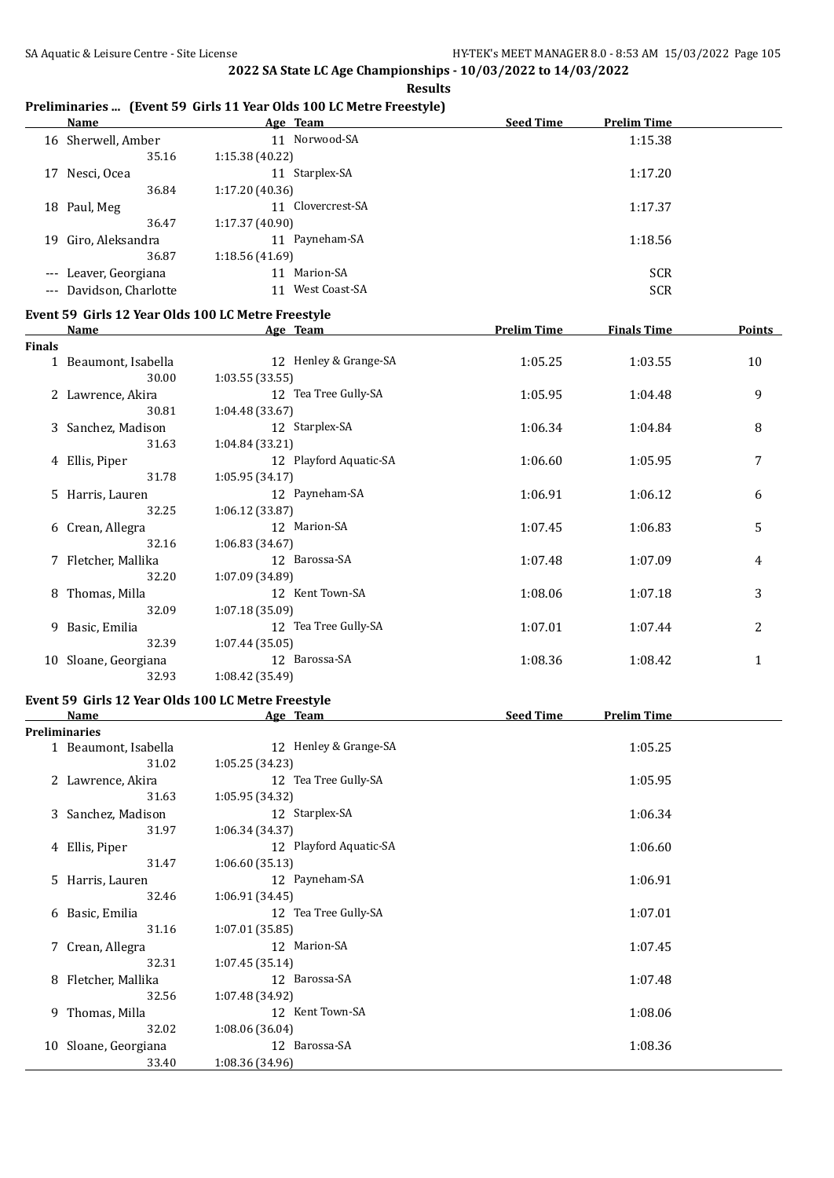#### **Results**

## **Preliminaries ... (Event 59 Girls 11 Year Olds 100 LC Metre Freestyle)**

|    | Name                    | Age Team             | <b>Seed Time</b><br><b>Prelim Time</b> |
|----|-------------------------|----------------------|----------------------------------------|
|    | 16 Sherwell, Amber      | 11 Norwood-SA        | 1:15.38                                |
|    | 35.16                   | 1:15.38(40.22)       |                                        |
| 17 | Nesci, Ocea             | Starplex-SA<br>11    | 1:17.20                                |
|    | 36.84                   | 1:17.20 (40.36)      |                                        |
|    | 18 Paul, Meg            | Clovercrest-SA<br>11 | 1:17.37                                |
|    | 36.47                   | 1:17.37 (40.90)      |                                        |
|    | 19 Giro, Aleksandra     | Payneham-SA<br>11    | 1:18.56                                |
|    | 36.87                   | 1:18.56(41.69)       |                                        |
|    | --- Leaver, Georgiana   | Marion-SA<br>11      | <b>SCR</b>                             |
|    | --- Davidson, Charlotte | West Coast-SA<br>11  | <b>SCR</b>                             |

#### **Event 59 Girls 12 Year Olds 100 LC Metre Freestyle**

|               | <b>Name</b>          | Age Team               | <b>Prelim Time</b> | <b>Finals Time</b> | <b>Points</b> |
|---------------|----------------------|------------------------|--------------------|--------------------|---------------|
| <b>Finals</b> |                      |                        |                    |                    |               |
|               | 1 Beaumont, Isabella | 12 Henley & Grange-SA  | 1:05.25            | 1:03.55            | 10            |
|               | 30.00                | 1:03.55(33.55)         |                    |                    |               |
|               | 2 Lawrence, Akira    | 12 Tea Tree Gully-SA   | 1:05.95            | 1:04.48            | 9             |
|               | 30.81                | 1:04.48(33.67)         |                    |                    |               |
|               | 3 Sanchez, Madison   | 12 Starplex-SA         | 1:06.34            | 1:04.84            | 8             |
|               | 31.63                | 1:04.84(33.21)         |                    |                    |               |
|               | 4 Ellis, Piper       | 12 Playford Aquatic-SA | 1:06.60            | 1:05.95            | 7             |
|               | 31.78                | 1:05.95(34.17)         |                    |                    |               |
|               | 5 Harris, Lauren     | 12 Payneham-SA         | 1:06.91            | 1:06.12            | 6             |
|               | 32.25                | 1:06.12(33.87)         |                    |                    |               |
|               | 6 Crean, Allegra     | 12 Marion-SA           | 1:07.45            | 1:06.83            | 5             |
|               | 32.16                | 1:06.83(34.67)         |                    |                    |               |
|               | 7 Fletcher, Mallika  | 12 Barossa-SA          | 1:07.48            | 1:07.09            | 4             |
|               | 32.20                | 1:07.09 (34.89)        |                    |                    |               |
|               | 8 Thomas, Milla      | 12 Kent Town-SA        | 1:08.06            | 1:07.18            | 3             |
|               | 32.09                | 1:07.18(35.09)         |                    |                    |               |
|               | 9 Basic, Emilia      | 12 Tea Tree Gully-SA   | 1:07.01            | 1:07.44            | 2             |
|               | 32.39                | 1:07.44(35.05)         |                    |                    |               |
| 10            | Sloane, Georgiana    | 12 Barossa-SA          | 1:08.36            | 1:08.42            | 1             |
|               | 32.93                | 1:08.42 (35.49)        |                    |                    |               |

#### **Event 59 Girls 12 Year Olds 100 LC Metre Freestyle**

|                      | Name                 | Age Team               | <b>Seed Time</b><br><b>Prelim Time</b> |
|----------------------|----------------------|------------------------|----------------------------------------|
| <b>Preliminaries</b> |                      |                        |                                        |
|                      | 1 Beaumont, Isabella | 12 Henley & Grange-SA  | 1:05.25                                |
|                      | 31.02                | 1:05.25(34.23)         |                                        |
|                      | 2 Lawrence, Akira    | 12 Tea Tree Gully-SA   | 1:05.95                                |
|                      | 31.63                | 1:05.95 (34.32)        |                                        |
|                      | 3 Sanchez, Madison   | 12 Starplex-SA         | 1:06.34                                |
|                      | 31.97                | 1:06.34 (34.37)        |                                        |
|                      | 4 Ellis, Piper       | 12 Playford Aquatic-SA | 1:06.60                                |
|                      | 31.47                | 1:06.60(35.13)         |                                        |
|                      | 5 Harris, Lauren     | 12 Payneham-SA         | 1:06.91                                |
|                      | 32.46                | 1:06.91(34.45)         |                                        |
|                      | 6 Basic, Emilia      | 12 Tea Tree Gully-SA   | 1:07.01                                |
|                      | 31.16                | 1:07.01(35.85)         |                                        |
|                      | 7 Crean, Allegra     | 12 Marion-SA           | 1:07.45                                |
|                      | 32.31                | 1:07.45(35.14)         |                                        |
| 8.                   | Fletcher, Mallika    | 12 Barossa-SA          | 1:07.48                                |
|                      | 32.56                | 1:07.48 (34.92)        |                                        |
|                      | 9 Thomas, Milla      | 12 Kent Town-SA        | 1:08.06                                |
|                      | 32.02                | 1:08.06 (36.04)        |                                        |
|                      | 10 Sloane, Georgiana | 12 Barossa-SA          | 1:08.36                                |
|                      | 33.40                | 1:08.36 (34.96)        |                                        |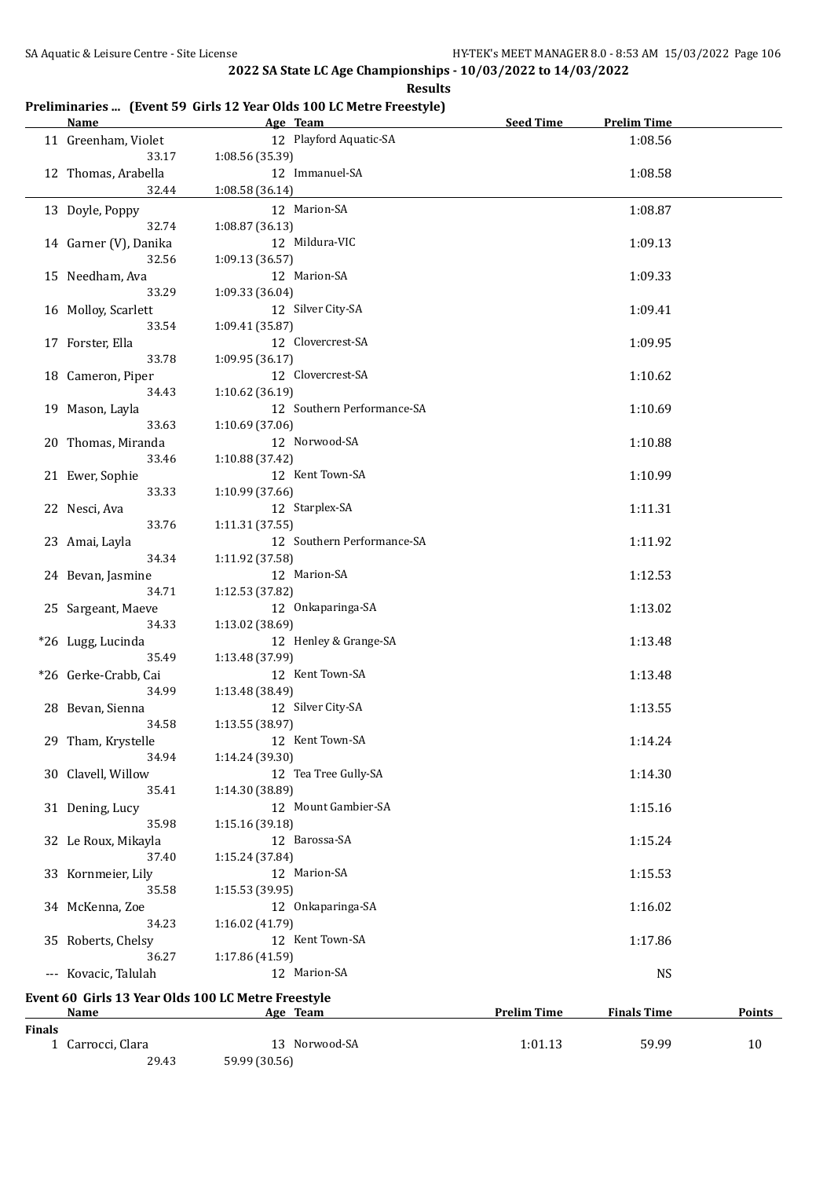**Results**

## **Preliminaries ... (Event 59 Girls 12 Year Olds 100 LC Metre Freestyle)**

|               | <b>Name</b>                    | Age Team                                                       | <b>Seed Time</b>   | <b>Prelim Time</b> |               |
|---------------|--------------------------------|----------------------------------------------------------------|--------------------|--------------------|---------------|
|               | 11 Greenham, Violet<br>33.17   | 12 Playford Aquatic-SA<br>1:08.56 (35.39)                      |                    | 1:08.56            |               |
|               | 12 Thomas, Arabella<br>32.44   | 12 Immanuel-SA<br>1:08.58 (36.14)                              |                    | 1:08.58            |               |
|               | 13 Doyle, Poppy<br>32.74       | 12 Marion-SA<br>1:08.87(36.13)                                 |                    | 1:08.87            |               |
|               | 14 Garner (V), Danika<br>32.56 | 12 Mildura-VIC<br>1:09.13 (36.57)                              |                    | 1:09.13            |               |
|               | 15 Needham, Ava<br>33.29       | 12 Marion-SA                                                   |                    | 1:09.33            |               |
|               | 16 Molloy, Scarlett            | 1:09.33 (36.04)<br>12 Silver City-SA                           |                    | 1:09.41            |               |
|               | 33.54<br>17 Forster, Ella      | 1:09.41 (35.87)<br>12 Clovercrest-SA                           |                    | 1:09.95            |               |
|               | 33.78<br>18 Cameron, Piper     | 1:09.95 (36.17)<br>12 Clovercrest-SA                           |                    | 1:10.62            |               |
|               | 34.43<br>19 Mason, Layla       | 1:10.62 (36.19)<br>12 Southern Performance-SA                  |                    | 1:10.69            |               |
|               | 33.63<br>20 Thomas, Miranda    | 1:10.69 (37.06)<br>12 Norwood-SA                               |                    | 1:10.88            |               |
|               | 33.46<br>21 Ewer, Sophie       | 1:10.88 (37.42)<br>12 Kent Town-SA                             |                    | 1:10.99            |               |
|               | 33.33<br>22 Nesci, Ava         | 1:10.99 (37.66)<br>12 Starplex-SA                              |                    | 1:11.31            |               |
|               | 33.76<br>23 Amai, Layla        | 1:11.31(37.55)<br>12 Southern Performance-SA                   |                    | 1:11.92            |               |
|               | 34.34<br>24 Bevan, Jasmine     | 1:11.92 (37.58)<br>12 Marion-SA                                |                    | 1:12.53            |               |
|               | 34.71<br>25 Sargeant, Maeve    | 1:12.53 (37.82)<br>12 Onkaparinga-SA                           |                    | 1:13.02            |               |
|               | 34.33<br>*26 Lugg, Lucinda     | 1:13.02 (38.69)<br>12 Henley & Grange-SA                       |                    | 1:13.48            |               |
|               | 35.49<br>*26 Gerke-Crabb, Cai  | 1:13.48 (37.99)<br>12 Kent Town-SA                             |                    | 1:13.48            |               |
|               | 34.99<br>28 Bevan, Sienna      | 1:13.48 (38.49)<br>12 Silver City-SA                           |                    | 1:13.55            |               |
|               | 34.58<br>29 Tham, Krystelle    | 1:13.55 (38.97)<br>12 Kent Town-SA                             |                    | 1:14.24            |               |
|               | 34.94<br>30 Clavell, Willow    | 1:14.24 (39.30)<br>12 Tea Tree Gully-SA                        |                    | 1:14.30            |               |
|               | 35.41<br>31 Dening, Lucy       | 1:14.30 (38.89)<br>12 Mount Gambier-SA                         |                    | 1:15.16            |               |
|               | 35.98<br>32 Le Roux, Mikayla   | 1:15.16 (39.18)<br>12 Barossa-SA                               |                    | 1:15.24            |               |
|               | 37.40<br>33 Kornmeier, Lily    | 1:15.24 (37.84)<br>12 Marion-SA                                |                    | 1:15.53            |               |
|               | 35.58<br>34 McKenna, Zoe       | 1:15.53(39.95)<br>12 Onkaparinga-SA                            |                    | 1:16.02            |               |
|               | 34.23<br>35 Roberts, Chelsy    | 1:16.02 (41.79)<br>12 Kent Town-SA                             |                    | 1:17.86            |               |
|               | 36.27<br>--- Kovacic, Talulah  | 1:17.86 (41.59)<br>12 Marion-SA                                |                    | <b>NS</b>          |               |
|               |                                |                                                                |                    |                    |               |
|               | <u>Name</u>                    | Event 60 Girls 13 Year Olds 100 LC Metre Freestyle<br>Age Team | <b>Prelim Time</b> | <b>Finals Time</b> | <b>Points</b> |
| <b>Finals</b> |                                |                                                                |                    |                    |               |
|               | 1 Carrocci, Clara<br>29.43     | 13 Norwood-SA<br>59.99 (30.56)                                 | 1:01.13            | 59.99              | 10            |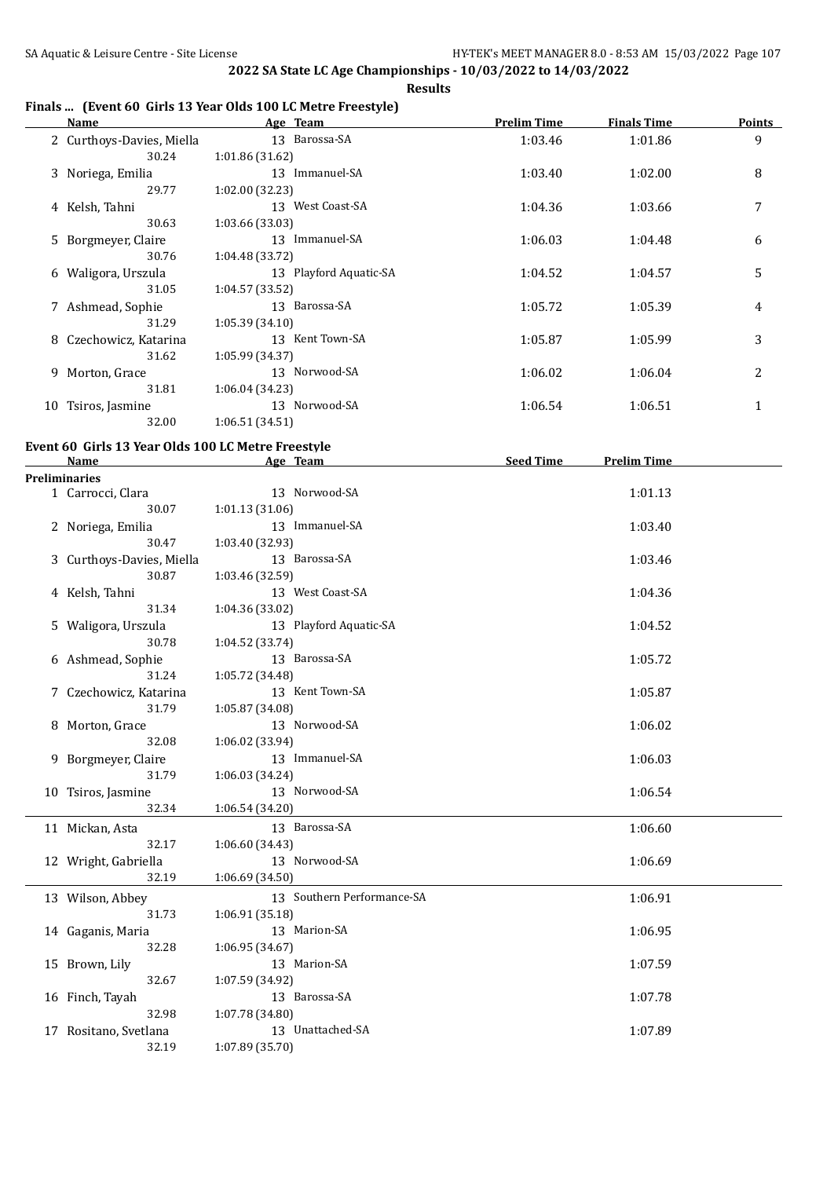### **Finals ... (Event 60 Girls 13 Year Olds 100 LC Metre Freestyle)**

| <b>Name</b>                                                       | Age Team                                      | <b>Prelim Time</b> | <b>Finals Time</b> | <b>Points</b> |
|-------------------------------------------------------------------|-----------------------------------------------|--------------------|--------------------|---------------|
| 2 Curthoys-Davies, Miella<br>30.24                                | 13 Barossa-SA<br>1:01.86 (31.62)              | 1:03.46            | 1:01.86            | 9             |
| 3 Noriega, Emilia<br>29.77                                        | 13 Immanuel-SA<br>1:02.00 (32.23)             | 1:03.40            | 1:02.00            | 8             |
| 4 Kelsh, Tahni<br>30.63                                           | 13 West Coast-SA<br>1:03.66 (33.03)           | 1:04.36            | 1:03.66            | 7             |
| 5 Borgmeyer, Claire<br>30.76                                      | 13 Immanuel-SA<br>1:04.48 (33.72)             | 1:06.03            | 1:04.48            | 6             |
| 6 Waligora, Urszula<br>31.05                                      | 13 Playford Aquatic-SA<br>1:04.57 (33.52)     | 1:04.52            | 1:04.57            | 5             |
| 7 Ashmead, Sophie<br>31.29                                        | 13 Barossa-SA<br>1:05.39 (34.10)              | 1:05.72            | 1:05.39            | 4             |
| 8 Czechowicz, Katarina<br>31.62                                   | 13 Kent Town-SA<br>1:05.99 (34.37)            | 1:05.87            | 1:05.99            | 3             |
| 9 Morton, Grace<br>31.81                                          | 13 Norwood-SA<br>1:06.04 (34.23)              | 1:06.02            | 1:06.04            | 2             |
| 10 Tsiros, Jasmine<br>32.00                                       | 13 Norwood-SA<br>1:06.51 (34.51)              | 1:06.54            | 1:06.51            | 1             |
|                                                                   |                                               |                    |                    |               |
| Event 60 Girls 13 Year Olds 100 LC Metre Freestyle<br><b>Name</b> | <b>Example 2018</b> Age Team                  | Seed Time          | <b>Prelim Time</b> |               |
| <b>Preliminaries</b>                                              | 13 Norwood-SA                                 |                    |                    |               |
| 1 Carrocci, Clara<br>30.07                                        | 1:01.13(31.06)<br>13 Immanuel-SA              |                    | 1:01.13            |               |
| 2 Noriega, Emilia<br>30.47                                        | 1:03.40 (32.93)                               |                    | 1:03.40            |               |
| 3 Curthoys-Davies, Miella<br>30.87                                | 13 Barossa-SA<br>1:03.46 (32.59)              |                    | 1:03.46            |               |
| 4 Kelsh, Tahni<br>31.34                                           | 13 West Coast-SA<br>1:04.36 (33.02)           |                    | 1:04.36            |               |
| 5 Waligora, Urszula<br>30.78                                      | 13 Playford Aquatic-SA<br>1:04.52 (33.74)     |                    | 1:04.52            |               |
| 6 Ashmead, Sophie<br>31.24                                        | 13 Barossa-SA<br>1:05.72 (34.48)              |                    | 1:05.72            |               |
| 7 Czechowicz, Katarina<br>31.79                                   | 13 Kent Town-SA<br>1:05.87 (34.08)            |                    | 1:05.87            |               |
| 8 Morton, Grace<br>32.08                                          | 13 Norwood-SA<br>1:06.02 (33.94)              |                    | 1:06.02            |               |
| 9 Borgmeyer, Claire<br>31.79                                      | 13 Immanuel-SA<br>1:06.03 (34.24)             |                    | 1:06.03            |               |
| 10 Tsiros, Jasmine<br>32.34                                       | 13 Norwood-SA<br>1:06.54 (34.20)              |                    | 1:06.54            |               |
| 11 Mickan, Asta<br>32.17                                          | 13 Barossa-SA<br>1:06.60 (34.43)              |                    | 1:06.60            |               |
| 12 Wright, Gabriella<br>32.19                                     | 13 Norwood-SA<br>1:06.69(34.50)               |                    | 1:06.69            |               |
| 13 Wilson, Abbey<br>31.73                                         | 13 Southern Performance-SA<br>1:06.91 (35.18) |                    | 1:06.91            |               |
| 14 Gaganis, Maria<br>32.28                                        | 13 Marion-SA<br>1:06.95 (34.67)               |                    | 1:06.95            |               |
| 15 Brown, Lily<br>32.67                                           | 13 Marion-SA<br>1:07.59 (34.92)               |                    | 1:07.59            |               |
| 16 Finch, Tayah<br>32.98                                          | 13 Barossa-SA<br>1:07.78 (34.80)              |                    | 1:07.78            |               |
| 17 Rositano, Svetlana<br>32.19                                    | 13 Unattached-SA<br>1:07.89 (35.70)           |                    | 1:07.89            |               |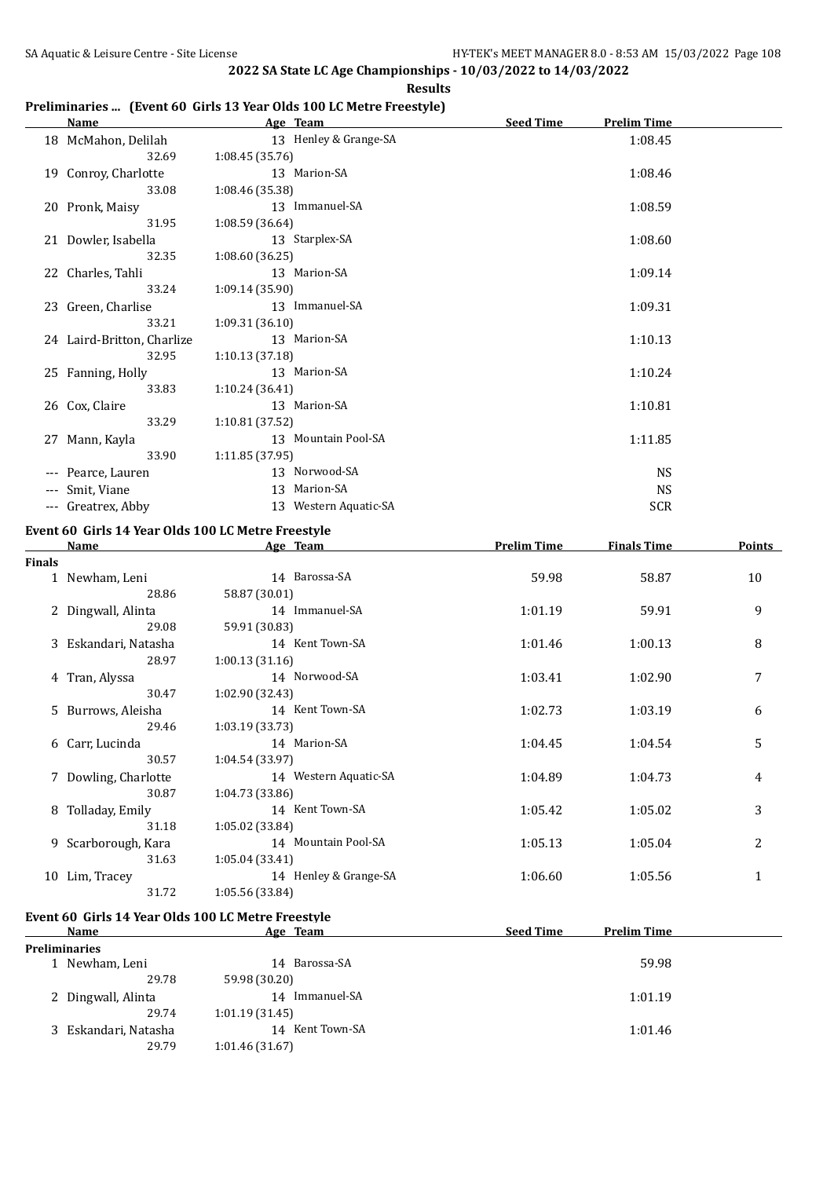#### **Preliminaries ... (Event 60 Girls 13 Year Olds 100 LC Metre Freestyle)**

|                     | <b>Name</b>                | Age Team              | <b>Seed Time</b><br><b>Prelim Time</b> |
|---------------------|----------------------------|-----------------------|----------------------------------------|
|                     | 18 McMahon, Delilah        | 13 Henley & Grange-SA | 1:08.45                                |
|                     | 32.69                      | 1:08.45(35.76)        |                                        |
|                     | 19 Conroy, Charlotte       | 13 Marion-SA          | 1:08.46                                |
|                     | 33.08                      | 1:08.46 (35.38)       |                                        |
|                     | 20 Pronk, Maisy            | 13 Immanuel-SA        | 1:08.59                                |
|                     | 31.95                      | 1:08.59 (36.64)       |                                        |
|                     | 21 Dowler, Isabella        | 13 Starplex-SA        | 1:08.60                                |
|                     | 32.35                      | 1:08.60(36.25)        |                                        |
|                     | 22 Charles, Tahli          | 13 Marion-SA          | 1:09.14                                |
|                     | 33.24                      | 1:09.14(35.90)        |                                        |
|                     | 23 Green, Charlise         | 13 Immanuel-SA        | 1:09.31                                |
|                     | 33.21                      | 1:09.31(36.10)        |                                        |
|                     | 24 Laird-Britton, Charlize | 13 Marion-SA          | 1:10.13                                |
|                     | 32.95                      | 1:10.13(37.18)        |                                        |
|                     | 25 Fanning, Holly          | 13 Marion-SA          | 1:10.24                                |
|                     | 33.83                      | 1:10.24(36.41)        |                                        |
|                     | 26 Cox, Claire             | 13 Marion-SA          | 1:10.81                                |
|                     | 33.29                      | 1:10.81(37.52)        |                                        |
|                     | 27 Mann, Kayla             | 13 Mountain Pool-SA   | 1:11.85                                |
|                     | 33.90                      | 1:11.85 (37.95)       |                                        |
| $\cdots$            | Pearce, Lauren             | 13 Norwood-SA         | <b>NS</b>                              |
| $\qquad \qquad - -$ | Smit, Viane                | 13 Marion-SA          | <b>NS</b>                              |
|                     | --- Greatrex, Abby         | 13 Western Aquatic-SA | <b>SCR</b>                             |

#### **Event 60 Girls 14 Year Olds 100 LC Metre Freestyle**

|               | Name                 | Age Team              | <b>Prelim Time</b> | <b>Finals Time</b> | Points |
|---------------|----------------------|-----------------------|--------------------|--------------------|--------|
| <b>Finals</b> |                      |                       |                    |                    |        |
|               | 1 Newham, Leni       | 14 Barossa-SA         | 59.98              | 58.87              | 10     |
|               | 28.86                | 58.87 (30.01)         |                    |                    |        |
|               | 2 Dingwall, Alinta   | 14 Immanuel-SA        | 1:01.19            | 59.91              | 9      |
|               | 29.08                | 59.91 (30.83)         |                    |                    |        |
|               | 3 Eskandari, Natasha | 14 Kent Town-SA       | 1:01.46            | 1:00.13            | 8      |
|               | 28.97                | 1:00.13(31.16)        |                    |                    |        |
|               | 4 Tran, Alyssa       | 14 Norwood-SA         | 1:03.41            | 1:02.90            | 7      |
|               | 30.47                | 1:02.90 (32.43)       |                    |                    |        |
|               | 5 Burrows, Aleisha   | 14 Kent Town-SA       | 1:02.73            | 1:03.19            | 6      |
|               | 29.46                | 1:03.19(33.73)        |                    |                    |        |
|               | 6 Carr, Lucinda      | 14 Marion-SA          | 1:04.45            | 1:04.54            | 5      |
|               | 30.57                | 1:04.54(33.97)        |                    |                    |        |
|               | 7 Dowling, Charlotte | 14 Western Aquatic-SA | 1:04.89            | 1:04.73            | 4      |
|               | 30.87                | 1:04.73(33.86)        |                    |                    |        |
| 8             | Tolladay, Emily      | 14 Kent Town-SA       | 1:05.42            | 1:05.02            | 3      |
|               | 31.18                | 1:05.02(33.84)        |                    |                    |        |
| 9.            | Scarborough, Kara    | 14 Mountain Pool-SA   | 1:05.13            | 1:05.04            | 2      |
|               | 31.63                | 1:05.04(33.41)        |                    |                    |        |
|               | 10 Lim, Tracey       | 14 Henley & Grange-SA | 1:06.60            | 1:05.56            | 1      |
|               | 31.72                | 1:05.56 (33.84)       |                    |                    |        |

#### **Event 60 Girls 14 Year Olds 100 LC Metre Freestyle**

| Name                 | Age Team          | <b>Seed Time</b><br><b>Prelim Time</b> |  |  |  |  |  |
|----------------------|-------------------|----------------------------------------|--|--|--|--|--|
| <b>Preliminaries</b> |                   |                                        |  |  |  |  |  |
| 1 Newham, Leni       | Barossa-SA<br>14  | 59.98                                  |  |  |  |  |  |
| 29.78                | 59.98 (30.20)     |                                        |  |  |  |  |  |
| 2 Dingwall, Alinta   | Immanuel-SA<br>14 | 1:01.19                                |  |  |  |  |  |
| 29.74                | 1:01.19(31.45)    |                                        |  |  |  |  |  |
| 3 Eskandari, Natasha | 14 Kent Town-SA   | 1:01.46                                |  |  |  |  |  |
| 29.79                | 1:01.46 (31.67)   |                                        |  |  |  |  |  |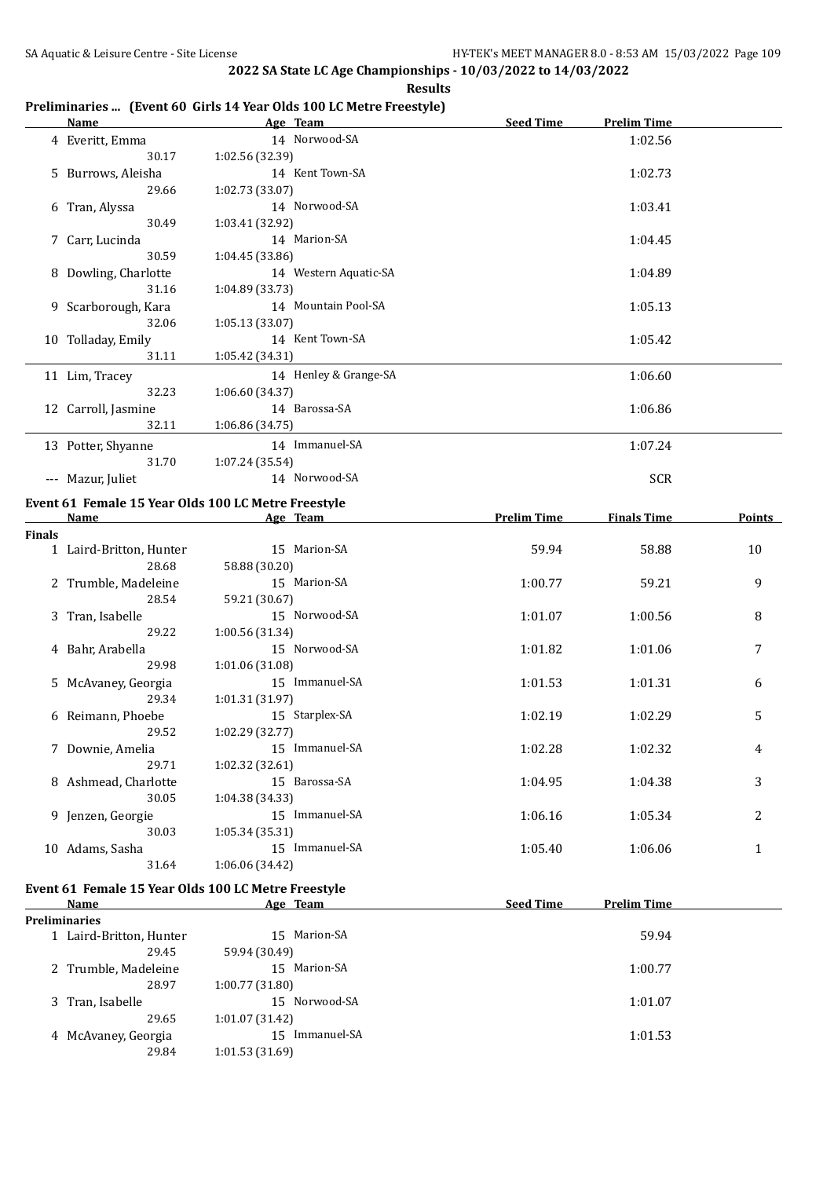| Preliminaries  (Event 60 Girls 14 Year Olds 100 LC Metre Freestyle) |  |  |  |  |  |  |
|---------------------------------------------------------------------|--|--|--|--|--|--|
|---------------------------------------------------------------------|--|--|--|--|--|--|

|               | <u>Name_</u>                 | Age Team                                            | <b>Seed Time</b>   | <b>Prelim Time</b> |              |
|---------------|------------------------------|-----------------------------------------------------|--------------------|--------------------|--------------|
|               | 4 Everitt, Emma              | 14 Norwood-SA                                       |                    | 1:02.56            |              |
|               | 30.17                        | 1:02.56 (32.39)                                     |                    |                    |              |
|               | 5 Burrows, Aleisha           | 14 Kent Town-SA                                     |                    | 1:02.73            |              |
|               | 29.66                        | 1:02.73 (33.07)                                     |                    |                    |              |
|               | 6 Tran, Alyssa               | 14 Norwood-SA                                       |                    | 1:03.41            |              |
|               | 30.49                        | 1:03.41 (32.92)                                     |                    |                    |              |
|               | 7 Carr, Lucinda<br>30.59     | 14 Marion-SA<br>1:04.45 (33.86)                     |                    | 1:04.45            |              |
|               | 8 Dowling, Charlotte         | 14 Western Aquatic-SA                               |                    | 1:04.89            |              |
|               | 31.16                        | 1:04.89 (33.73)                                     |                    |                    |              |
|               | 9 Scarborough, Kara          | 14 Mountain Pool-SA                                 |                    | 1:05.13            |              |
|               | 32.06                        | 1:05.13 (33.07)                                     |                    |                    |              |
|               | 10 Tolladay, Emily           | 14 Kent Town-SA                                     |                    | 1:05.42            |              |
|               | 31.11                        | 1:05.42 (34.31)                                     |                    |                    |              |
|               | 11 Lim, Tracey               | 14 Henley & Grange-SA                               |                    | 1:06.60            |              |
|               | 32.23                        | 1:06.60 (34.37)                                     |                    |                    |              |
|               | 12 Carroll, Jasmine          | 14 Barossa-SA                                       |                    | 1:06.86            |              |
|               | 32.11                        | 1:06.86 (34.75)                                     |                    |                    |              |
|               | 13 Potter, Shyanne           | 14 Immanuel-SA                                      |                    | 1:07.24            |              |
|               | 31.70                        | 1:07.24 (35.54)                                     |                    |                    |              |
|               | --- Mazur, Juliet            | 14 Norwood-SA                                       |                    | <b>SCR</b>         |              |
|               |                              | Event 61 Female 15 Year Olds 100 LC Metre Freestyle |                    |                    |              |
|               | Name                         | Age Team                                            | <b>Prelim Time</b> | <b>Finals Time</b> | Points       |
| <b>Finals</b> |                              |                                                     |                    |                    |              |
|               | 1 Laird-Britton, Hunter      | 15 Marion-SA                                        | 59.94              | 58.88              | 10           |
|               | 28.68                        | 58.88 (30.20)                                       |                    |                    |              |
|               | 2 Trumble, Madeleine         | 15 Marion-SA                                        | 1:00.77            | 59.21              | 9            |
|               | 28.54                        | 59.21 (30.67)                                       |                    |                    |              |
|               | 3 Tran, Isabelle<br>29.22    | 15 Norwood-SA<br>1:00.56 (31.34)                    | 1:01.07            | 1:00.56            | 8            |
|               | 4 Bahr, Arabella             | 15 Norwood-SA                                       | 1:01.82            | 1:01.06            | 7            |
|               | 29.98                        | 1:01.06 (31.08)                                     |                    |                    |              |
|               | 5 McAvaney, Georgia          | 15 Immanuel-SA                                      | 1:01.53            | 1:01.31            | 6            |
|               | 29.34                        | 1:01.31 (31.97)                                     |                    |                    |              |
|               | 6 Reimann, Phoebe            | 15 Starplex-SA                                      | 1:02.19            | 1:02.29            | 5            |
|               | 29.52                        | 1:02.29 (32.77)                                     |                    |                    |              |
|               | 7 Downie, Amelia             | 15 Immanuel-SA                                      | 1:02.28            | 1:02.32            | 4            |
|               | 29.71                        | 1:02.32 (32.61)                                     |                    |                    |              |
|               | 8 Ashmead, Charlotte         | 15 Barossa-SA                                       | 1:04.95            | 1:04.38            | 3            |
|               | 30.05                        | 1:04.38 (34.33)                                     |                    |                    |              |
|               | 9 Jenzen, Georgie            | 15 Immanuel-SA                                      | 1:06.16            | 1:05.34            | 2            |
|               | 30.03                        | 1:05.34 (35.31)<br>15 Immanuel-SA                   |                    |                    |              |
|               | 10 Adams, Sasha<br>31.64     | 1:06.06 (34.42)                                     | 1:05.40            | 1:06.06            | $\mathbf{1}$ |
|               |                              |                                                     |                    |                    |              |
|               |                              | Event 61 Female 15 Year Olds 100 LC Metre Freestyle |                    |                    |              |
|               | Name<br><b>Preliminaries</b> | Age Team                                            | <b>Seed Time</b>   | <b>Prelim Time</b> |              |
|               | 1 Laird-Britton, Hunter      | 15 Marion-SA                                        |                    | 59.94              |              |
|               | 29.45                        | 59.94 (30.49)                                       |                    |                    |              |
|               | 2 Trumble, Madeleine         | 15 Marion-SA                                        |                    | 1:00.77            |              |
|               | 28.97                        | 1:00.77 (31.80)                                     |                    |                    |              |
|               | 3 Tran, Isabelle             | 15 Norwood-SA                                       |                    | 1:01.07            |              |
|               | 29.65                        | 1:01.07 (31.42)                                     |                    |                    |              |
|               | 4 McAvaney, Georgia          | 15 Immanuel-SA                                      |                    | 1:01.53            |              |
|               | 29.84                        | 1:01.53 (31.69)                                     |                    |                    |              |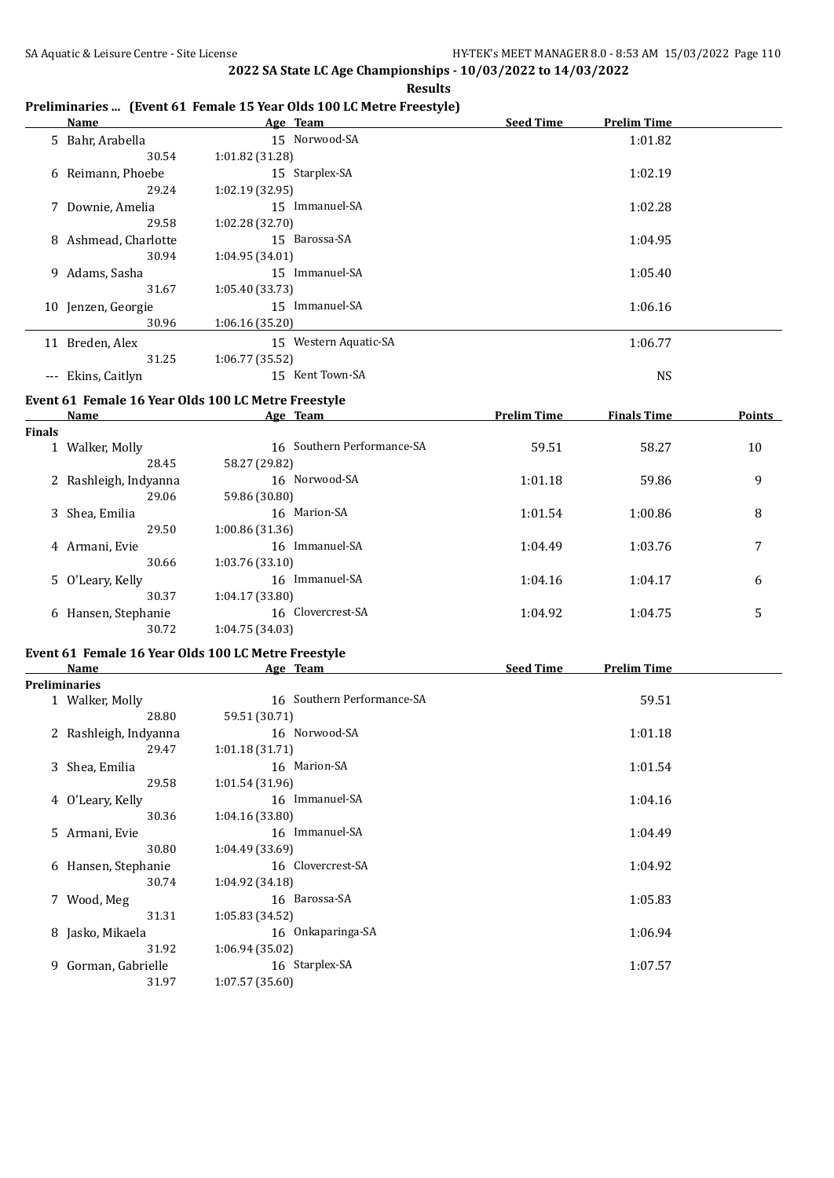| Preliminaries  (Event 61 Female 15 Year Olds 100 LC Metre Freestyle) |  |  |  |
|----------------------------------------------------------------------|--|--|--|
|                                                                      |  |  |  |

|        |                       | Temminaties  [Event 01 Female 15 Teal Olus 100 EC Mette Freestyle] |                    |                    |               |
|--------|-----------------------|--------------------------------------------------------------------|--------------------|--------------------|---------------|
|        | <b>Name</b>           | <b>Example 2</b> Age Team                                          | <b>Seed Time</b>   | <b>Prelim Time</b> |               |
|        | 5 Bahr, Arabella      | 15 Norwood-SA                                                      |                    | 1:01.82            |               |
|        | 30.54                 | 1:01.82 (31.28)                                                    |                    |                    |               |
|        | 6 Reimann, Phoebe     | 15 Starplex-SA                                                     |                    | 1:02.19            |               |
|        | 29.24                 | 1:02.19 (32.95)                                                    |                    |                    |               |
|        | 7 Downie, Amelia      | 15 Immanuel-SA                                                     |                    | 1:02.28            |               |
|        | 29.58                 | 1:02.28 (32.70)                                                    |                    |                    |               |
|        | 8 Ashmead, Charlotte  | 15 Barossa-SA                                                      |                    | 1:04.95            |               |
|        | 30.94                 | 1:04.95 (34.01)                                                    |                    |                    |               |
|        | 9 Adams, Sasha        | 15 Immanuel-SA                                                     |                    | 1:05.40            |               |
|        | 31.67                 | 1:05.40 (33.73)                                                    |                    |                    |               |
|        | 10 Jenzen, Georgie    | 15 Immanuel-SA                                                     |                    | 1:06.16            |               |
|        | 30.96                 | 1:06.16 (35.20)                                                    |                    |                    |               |
|        | 11 Breden, Alex       | 15 Western Aquatic-SA                                              |                    | 1:06.77            |               |
|        | 31.25                 | 1:06.77 (35.52)                                                    |                    |                    |               |
|        |                       |                                                                    |                    |                    |               |
|        | --- Ekins, Caitlyn    | 15 Kent Town-SA                                                    |                    | <b>NS</b>          |               |
|        |                       | Event 61 Female 16 Year Olds 100 LC Metre Freestyle                |                    |                    |               |
|        | <b>Name</b>           | Age Team                                                           | <b>Prelim Time</b> | <b>Finals Time</b> | <b>Points</b> |
| Finals |                       |                                                                    |                    |                    |               |
|        | 1 Walker, Molly       | 16 Southern Performance-SA                                         | 59.51              | 58.27              | 10            |
|        | 28.45                 | 58.27 (29.82)                                                      |                    |                    |               |
|        | 2 Rashleigh, Indyanna | 16 Norwood-SA                                                      | 1:01.18            | 59.86              | 9             |
|        | 29.06                 | 59.86 (30.80)                                                      |                    |                    |               |
|        | 3 Shea, Emilia        | 16 Marion-SA                                                       | 1:01.54            | 1:00.86            | 8             |
|        | 29.50                 | 1:00.86 (31.36)                                                    |                    |                    |               |
|        | 4 Armani, Evie        | 16 Immanuel-SA                                                     | 1:04.49            | 1:03.76            | 7             |
|        | 30.66                 | 1:03.76 (33.10)                                                    |                    |                    |               |
|        | 5 O'Leary, Kelly      | 16 Immanuel-SA                                                     | 1:04.16            | 1:04.17            | 6             |
|        | 30.37                 | 1:04.17 (33.80)                                                    |                    |                    |               |
|        | 6 Hansen, Stephanie   | 16 Clovercrest-SA                                                  | 1:04.92            | 1:04.75            | 5             |
|        | 30.72                 | 1:04.75 (34.03)                                                    |                    |                    |               |
|        |                       |                                                                    |                    |                    |               |
|        |                       | Event 61 Female 16 Year Olds 100 LC Metre Freestyle                |                    |                    |               |
|        | Name                  | Age Team                                                           | Seed Time          | <b>Prelim Time</b> |               |
|        | <b>Preliminaries</b>  |                                                                    |                    |                    |               |
|        | 1 Walker, Molly       | 16 Southern Performance-SA                                         |                    | 59.51              |               |
|        | 28.80                 | 59.51 (30.71)                                                      |                    |                    |               |
|        | 2 Rashleigh, Indyanna | 16 Norwood-SA                                                      |                    | 1:01.18            |               |
|        | 29.47                 | 1:01.18 (31.71)                                                    |                    |                    |               |
|        | 3 Shea, Emilia        | 16 Marion-SA                                                       |                    | 1:01.54            |               |
|        | 29.58                 | 1:01.54 (31.96)                                                    |                    |                    |               |
|        | 4 O'Leary, Kelly      | 16 Immanuel-SA                                                     |                    | 1:04.16            |               |
|        | 30.36                 | 1:04.16 (33.80)                                                    |                    |                    |               |
|        | 5 Armani, Evie        | 16 Immanuel-SA                                                     |                    | 1:04.49            |               |
|        | 30.80                 | 1:04.49 (33.69)                                                    |                    |                    |               |
|        | 6 Hansen, Stephanie   | 16 Clovercrest-SA                                                  |                    | 1:04.92            |               |
|        | 30.74                 | 1:04.92 (34.18)                                                    |                    |                    |               |
|        | 7 Wood, Meg           | 16 Barossa-SA                                                      |                    | 1:05.83            |               |
|        | 31.31                 | 1:05.83 (34.52)                                                    |                    |                    |               |
|        | 8 Jasko, Mikaela      | 16 Onkaparinga-SA                                                  |                    | 1:06.94            |               |
|        | 31.92                 | 1:06.94 (35.02)                                                    |                    |                    |               |
|        | 9 Gorman, Gabrielle   | 16 Starplex-SA                                                     |                    | 1:07.57            |               |
|        | 31.97                 | 1:07.57 (35.60)                                                    |                    |                    |               |
|        |                       |                                                                    |                    |                    |               |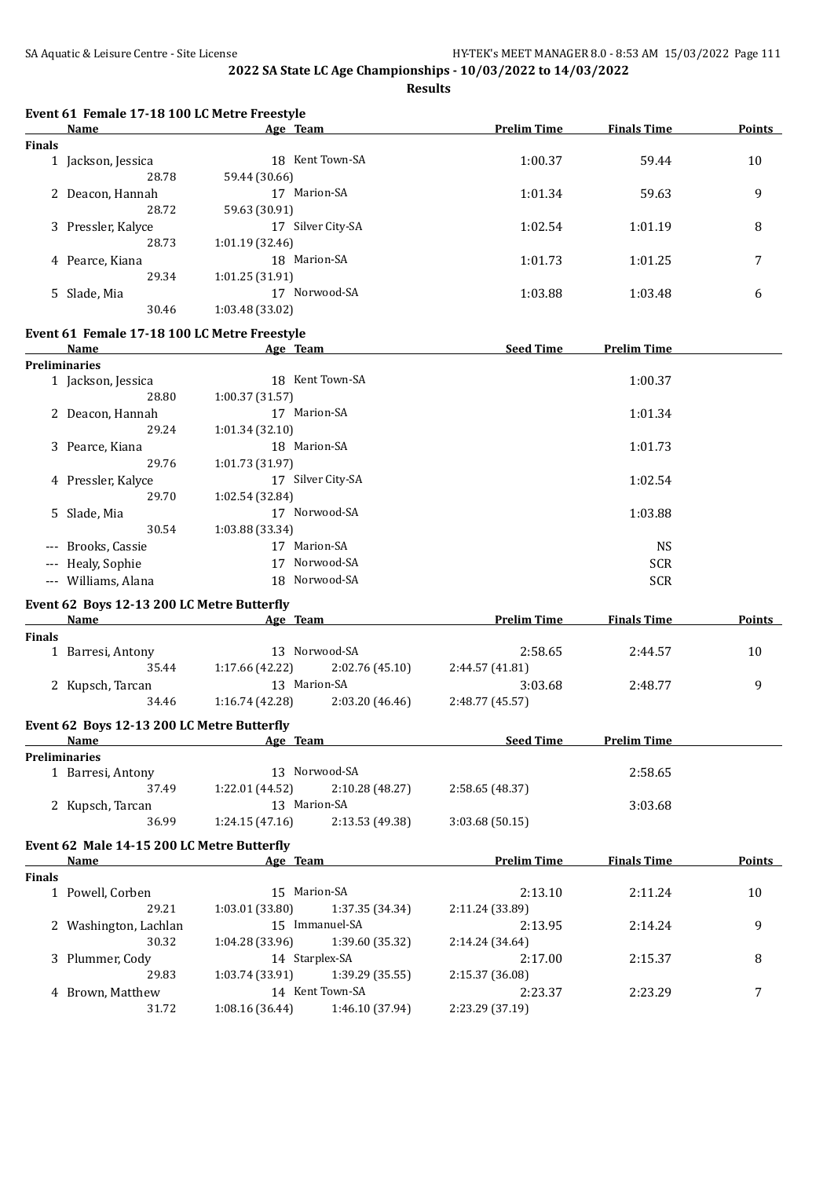| <b>Finals</b><br><b>Preliminaries</b> | Name<br>1 Jackson, Jessica<br>28.78<br>2 Deacon, Hannah<br>28.72<br>3 Pressler, Kalyce<br>28.73<br>4 Pearce, Kiana<br>29.34<br>5 Slade, Mia<br>30.46<br>Event 61 Female 17-18 100 LC Metre Freestyle<br>Name<br>1 Jackson, Jessica<br>28.80<br>2 Deacon, Hannah<br>29.24<br>3 Pearce, Kiana<br>29.76<br>4 Pressler, Kalyce<br>29.70<br>5 Slade, Mia | Age Team<br>18 Kent Town-SA<br>59.44 (30.66)<br>17 Marion-SA<br>59.63 (30.91)<br>17 Silver City-SA<br>1:01.19 (32.46)<br>18 Marion-SA<br>1:01.25 (31.91)<br>17 Norwood-SA<br>1:03.48 (33.02)<br>Age Team<br>18 Kent Town-SA<br>1:00.37 (31.57)<br>17 Marion-SA<br>1:01.34 (32.10)<br>18 Marion-SA<br>1:01.73 (31.97)<br>17 Silver City-SA<br>1:02.54 (32.84)<br>17 Norwood-SA | <b>Prelim Time</b><br>1:00.37<br>1:01.34<br>1:02.54<br>1:01.73<br>1:03.88<br><b>Seed Time</b> | <b>Finals Time</b><br>59.44<br>59.63<br>1:01.19<br>1:01.25<br>1:03.48<br><b>Prelim Time</b><br>1:00.37<br>1:01.34<br>1:01.73<br>1:02.54 | Points<br>10<br>9<br>8<br>7<br>6 |
|---------------------------------------|-----------------------------------------------------------------------------------------------------------------------------------------------------------------------------------------------------------------------------------------------------------------------------------------------------------------------------------------------------|-------------------------------------------------------------------------------------------------------------------------------------------------------------------------------------------------------------------------------------------------------------------------------------------------------------------------------------------------------------------------------|-----------------------------------------------------------------------------------------------|-----------------------------------------------------------------------------------------------------------------------------------------|----------------------------------|
|                                       |                                                                                                                                                                                                                                                                                                                                                     |                                                                                                                                                                                                                                                                                                                                                                               |                                                                                               |                                                                                                                                         |                                  |
|                                       |                                                                                                                                                                                                                                                                                                                                                     |                                                                                                                                                                                                                                                                                                                                                                               |                                                                                               |                                                                                                                                         |                                  |
|                                       |                                                                                                                                                                                                                                                                                                                                                     |                                                                                                                                                                                                                                                                                                                                                                               |                                                                                               |                                                                                                                                         |                                  |
|                                       |                                                                                                                                                                                                                                                                                                                                                     |                                                                                                                                                                                                                                                                                                                                                                               |                                                                                               |                                                                                                                                         |                                  |
|                                       |                                                                                                                                                                                                                                                                                                                                                     |                                                                                                                                                                                                                                                                                                                                                                               |                                                                                               |                                                                                                                                         |                                  |
|                                       |                                                                                                                                                                                                                                                                                                                                                     |                                                                                                                                                                                                                                                                                                                                                                               |                                                                                               |                                                                                                                                         |                                  |
|                                       |                                                                                                                                                                                                                                                                                                                                                     |                                                                                                                                                                                                                                                                                                                                                                               |                                                                                               |                                                                                                                                         |                                  |
|                                       |                                                                                                                                                                                                                                                                                                                                                     |                                                                                                                                                                                                                                                                                                                                                                               |                                                                                               |                                                                                                                                         |                                  |
|                                       |                                                                                                                                                                                                                                                                                                                                                     |                                                                                                                                                                                                                                                                                                                                                                               |                                                                                               |                                                                                                                                         |                                  |
|                                       |                                                                                                                                                                                                                                                                                                                                                     |                                                                                                                                                                                                                                                                                                                                                                               |                                                                                               |                                                                                                                                         |                                  |
|                                       |                                                                                                                                                                                                                                                                                                                                                     |                                                                                                                                                                                                                                                                                                                                                                               |                                                                                               |                                                                                                                                         |                                  |
|                                       |                                                                                                                                                                                                                                                                                                                                                     |                                                                                                                                                                                                                                                                                                                                                                               |                                                                                               |                                                                                                                                         |                                  |
|                                       |                                                                                                                                                                                                                                                                                                                                                     |                                                                                                                                                                                                                                                                                                                                                                               |                                                                                               |                                                                                                                                         |                                  |
|                                       |                                                                                                                                                                                                                                                                                                                                                     |                                                                                                                                                                                                                                                                                                                                                                               |                                                                                               |                                                                                                                                         |                                  |
|                                       |                                                                                                                                                                                                                                                                                                                                                     |                                                                                                                                                                                                                                                                                                                                                                               |                                                                                               |                                                                                                                                         |                                  |
|                                       |                                                                                                                                                                                                                                                                                                                                                     |                                                                                                                                                                                                                                                                                                                                                                               |                                                                                               |                                                                                                                                         |                                  |
|                                       |                                                                                                                                                                                                                                                                                                                                                     |                                                                                                                                                                                                                                                                                                                                                                               |                                                                                               |                                                                                                                                         |                                  |
|                                       |                                                                                                                                                                                                                                                                                                                                                     |                                                                                                                                                                                                                                                                                                                                                                               |                                                                                               |                                                                                                                                         |                                  |
|                                       |                                                                                                                                                                                                                                                                                                                                                     |                                                                                                                                                                                                                                                                                                                                                                               |                                                                                               |                                                                                                                                         |                                  |
|                                       |                                                                                                                                                                                                                                                                                                                                                     |                                                                                                                                                                                                                                                                                                                                                                               |                                                                                               |                                                                                                                                         |                                  |
|                                       |                                                                                                                                                                                                                                                                                                                                                     |                                                                                                                                                                                                                                                                                                                                                                               |                                                                                               |                                                                                                                                         |                                  |
|                                       |                                                                                                                                                                                                                                                                                                                                                     |                                                                                                                                                                                                                                                                                                                                                                               |                                                                                               |                                                                                                                                         |                                  |
|                                       |                                                                                                                                                                                                                                                                                                                                                     |                                                                                                                                                                                                                                                                                                                                                                               |                                                                                               |                                                                                                                                         |                                  |
|                                       |                                                                                                                                                                                                                                                                                                                                                     |                                                                                                                                                                                                                                                                                                                                                                               |                                                                                               |                                                                                                                                         |                                  |
|                                       |                                                                                                                                                                                                                                                                                                                                                     |                                                                                                                                                                                                                                                                                                                                                                               |                                                                                               | 1:03.88                                                                                                                                 |                                  |
|                                       | 30.54                                                                                                                                                                                                                                                                                                                                               | 1:03.88 (33.34)                                                                                                                                                                                                                                                                                                                                                               |                                                                                               |                                                                                                                                         |                                  |
|                                       | --- Brooks, Cassie                                                                                                                                                                                                                                                                                                                                  | 17 Marion-SA                                                                                                                                                                                                                                                                                                                                                                  |                                                                                               | <b>NS</b>                                                                                                                               |                                  |
|                                       | --- Healy, Sophie                                                                                                                                                                                                                                                                                                                                   | 17 Norwood-SA                                                                                                                                                                                                                                                                                                                                                                 |                                                                                               | <b>SCR</b>                                                                                                                              |                                  |
|                                       | --- Williams, Alana                                                                                                                                                                                                                                                                                                                                 | 18 Norwood-SA                                                                                                                                                                                                                                                                                                                                                                 |                                                                                               | <b>SCR</b>                                                                                                                              |                                  |
|                                       |                                                                                                                                                                                                                                                                                                                                                     |                                                                                                                                                                                                                                                                                                                                                                               |                                                                                               |                                                                                                                                         |                                  |
|                                       | Event 62 Boys 12-13 200 LC Metre Butterfly                                                                                                                                                                                                                                                                                                          |                                                                                                                                                                                                                                                                                                                                                                               |                                                                                               |                                                                                                                                         |                                  |
|                                       | Name                                                                                                                                                                                                                                                                                                                                                | Age Team                                                                                                                                                                                                                                                                                                                                                                      | <b>Prelim Time</b>                                                                            | <b>Finals Time</b>                                                                                                                      | Points                           |
| <b>Finals</b>                         |                                                                                                                                                                                                                                                                                                                                                     |                                                                                                                                                                                                                                                                                                                                                                               |                                                                                               |                                                                                                                                         |                                  |
|                                       | 1 Barresi, Antony                                                                                                                                                                                                                                                                                                                                   | 13 Norwood-SA                                                                                                                                                                                                                                                                                                                                                                 | 2:58.65                                                                                       | 2:44.57                                                                                                                                 | 10                               |
|                                       | 35.44                                                                                                                                                                                                                                                                                                                                               | 1:17.66 (42.22)<br>2:02.76 (45.10)                                                                                                                                                                                                                                                                                                                                            | 2:44.57 (41.81)                                                                               |                                                                                                                                         |                                  |
|                                       | 2 Kupsch, Tarcan                                                                                                                                                                                                                                                                                                                                    | 13 Marion-SA                                                                                                                                                                                                                                                                                                                                                                  | 3:03.68                                                                                       | 2:48.77                                                                                                                                 | 9                                |
|                                       | 34.46                                                                                                                                                                                                                                                                                                                                               | 1:16.74(42.28)<br>2:03.20 (46.46)                                                                                                                                                                                                                                                                                                                                             | 2:48.77 (45.57)                                                                               |                                                                                                                                         |                                  |
|                                       | Event 62 Boys 12-13 200 LC Metre Butterfly                                                                                                                                                                                                                                                                                                          |                                                                                                                                                                                                                                                                                                                                                                               |                                                                                               |                                                                                                                                         |                                  |
|                                       | <b>Name</b>                                                                                                                                                                                                                                                                                                                                         | Age Team                                                                                                                                                                                                                                                                                                                                                                      | Seed Time                                                                                     | <b>Prelim Time</b>                                                                                                                      |                                  |
| <b>Preliminaries</b>                  |                                                                                                                                                                                                                                                                                                                                                     |                                                                                                                                                                                                                                                                                                                                                                               |                                                                                               |                                                                                                                                         |                                  |
|                                       | 1 Barresi, Antony                                                                                                                                                                                                                                                                                                                                   | 13 Norwood-SA                                                                                                                                                                                                                                                                                                                                                                 |                                                                                               | 2:58.65                                                                                                                                 |                                  |
|                                       | 37.49                                                                                                                                                                                                                                                                                                                                               | $1:22.01(44.52)$ $2:10.28(48.27)$                                                                                                                                                                                                                                                                                                                                             | 2:58.65 (48.37)                                                                               |                                                                                                                                         |                                  |
|                                       | 2 Kupsch, Tarcan                                                                                                                                                                                                                                                                                                                                    | 13 Marion-SA                                                                                                                                                                                                                                                                                                                                                                  |                                                                                               | 3:03.68                                                                                                                                 |                                  |
|                                       | 36.99                                                                                                                                                                                                                                                                                                                                               | 2:13.53 (49.38)<br>1:24.15(47.16)                                                                                                                                                                                                                                                                                                                                             | 3:03.68(50.15)                                                                                |                                                                                                                                         |                                  |
|                                       |                                                                                                                                                                                                                                                                                                                                                     |                                                                                                                                                                                                                                                                                                                                                                               |                                                                                               |                                                                                                                                         |                                  |
|                                       | Event 62 Male 14-15 200 LC Metre Butterfly                                                                                                                                                                                                                                                                                                          |                                                                                                                                                                                                                                                                                                                                                                               |                                                                                               |                                                                                                                                         |                                  |
|                                       | Name                                                                                                                                                                                                                                                                                                                                                | Age Team Prelim Time                                                                                                                                                                                                                                                                                                                                                          |                                                                                               | <b>Finals Time</b>                                                                                                                      | <b>Points</b>                    |
| <b>Finals</b>                         |                                                                                                                                                                                                                                                                                                                                                     |                                                                                                                                                                                                                                                                                                                                                                               |                                                                                               |                                                                                                                                         |                                  |
|                                       | 1 Powell, Corben                                                                                                                                                                                                                                                                                                                                    | 15 Marion-SA                                                                                                                                                                                                                                                                                                                                                                  | 2:13.10                                                                                       | 2:11.24                                                                                                                                 | 10                               |
|                                       | 29.21                                                                                                                                                                                                                                                                                                                                               | 1:03.01(33.80)<br>1:37.35 (34.34)                                                                                                                                                                                                                                                                                                                                             | 2:11.24 (33.89)                                                                               |                                                                                                                                         |                                  |
|                                       | 2 Washington, Lachlan                                                                                                                                                                                                                                                                                                                               | 15 Immanuel-SA                                                                                                                                                                                                                                                                                                                                                                | 2:13.95                                                                                       | 2:14.24                                                                                                                                 | 9                                |
|                                       | 30.32                                                                                                                                                                                                                                                                                                                                               | 1:04.28 (33.96)<br>1:39.60 (35.32)                                                                                                                                                                                                                                                                                                                                            | 2:14.24 (34.64)                                                                               |                                                                                                                                         |                                  |
|                                       | 3 Plummer, Cody                                                                                                                                                                                                                                                                                                                                     | 14 Starplex-SA                                                                                                                                                                                                                                                                                                                                                                | 2:17.00                                                                                       | 2:15.37                                                                                                                                 | 8                                |
|                                       | 29.83                                                                                                                                                                                                                                                                                                                                               | 1:03.74 (33.91)<br>1:39.29 (35.55)                                                                                                                                                                                                                                                                                                                                            | 2:15.37 (36.08)                                                                               |                                                                                                                                         |                                  |
|                                       | 4 Brown, Matthew                                                                                                                                                                                                                                                                                                                                    | 14 Kent Town-SA                                                                                                                                                                                                                                                                                                                                                               | 2:23.37                                                                                       | 2:23.29                                                                                                                                 | 7                                |
|                                       | 31.72                                                                                                                                                                                                                                                                                                                                               | 1:08.16(36.44)<br>1:46.10 (37.94)                                                                                                                                                                                                                                                                                                                                             | 2:23.29 (37.19)                                                                               |                                                                                                                                         |                                  |
|                                       |                                                                                                                                                                                                                                                                                                                                                     |                                                                                                                                                                                                                                                                                                                                                                               |                                                                                               |                                                                                                                                         |                                  |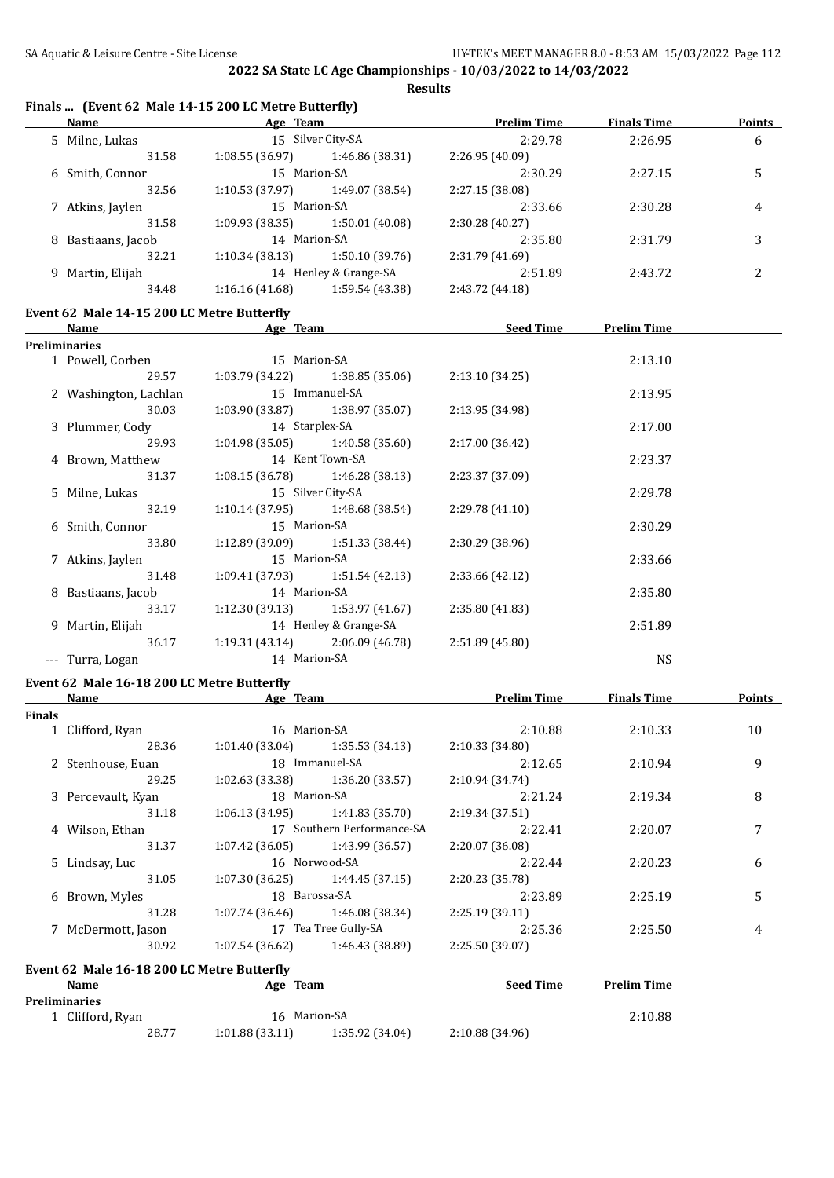#### **Finals ... (Event 62 Male 14-15 200 LC Metre Butterfly) Name Age Team Prelim Time Finals Time Points** 5 Milne, Lukas 15 Silver City-SA 2:29.78 2:26.95 6 31.58 1:08.55 (36.97) 1:46.86 (38.31) 2:26.95 (40.09) 6 Smith, Connor 15 Marion-SA 2:30.29 2:27.15 5 32.56 1:10.53 (37.97) 1:49.07 (38.54) 2:27.15 (38.08) 7 Atkins, Jaylen 15 Marion-SA 2:33.66 2:30.28 4 31.58 1:09.93 (38.35) 1:50.01 (40.08) 2:30.28 (40.27) 8 Bastiaans, Jacob 14 Marion-SA 2:35.80 2:31.79 3 32.21 1:10.34 (38.13) 1:50.10 (39.76) 2:31.79 (41.69) 9 Martin, Elijah 14 Henley & Grange-SA 2:51.89 2:43.72 2 34.48 1:16.16 (41.68) 1:59.54 (43.38) 2:43.72 (44.18) **Event 62 Male 14-15 200 LC Metre Butterfly Name Age Team Seed Time Prelim Time Preliminaries** 1 Powell, Corben 15 Marion-SA 2:13.10 29.57 1:03.79 (34.22) 1:38.85 (35.06) 2:13.10 (34.25) 2 Washington, Lachlan 15 Immanuel-SA 2:13.95 30.03 1:03.90 (33.87) 1:38.97 (35.07) 2:13.95 (34.98) 3 Plummer, Cody 14 Starplex-SA 2:17.00 29.93 1:04.98 (35.05) 1:40.58 (35.60) 2:17.00 (36.42) 4 Brown, Matthew 14 Kent Town-SA 2:23.37 31.37 1:08.15 (36.78) 1:46.28 (38.13) 2:23.37 (37.09) 5 Milne, Lukas 15 Silver City-SA 2:29.78 32.19 1:10.14 (37.95) 1:48.68 (38.54) 2:29.78 (41.10) 6 Smith, Connor 15 Marion-SA 2:30.29 33.80 1:12.89 (39.09) 1:51.33 (38.44) 2:30.29 (38.96) 7 Atkins, Jaylen 15 Marion-SA 2:33.66 31.48 1:09.41 (37.93) 1:51.54 (42.13) 2:33.66 (42.12) 8 Bastiaans, Jacob 14 Marion-SA 2:35.80 33.17 1:12.30 (39.13) 1:53.97 (41.67) 2:35.80 (41.83) 9 Martin, Elijah 14 Henley & Grange-SA 2:51.89 36.17 1:19.31 (43.14) 2:06.09 (46.78) 2:51.89 (45.80) -- Turra, Logan 14 Marion-SA NS **Event 62 Male 16-18 200 LC Metre Butterfly Name Age Team Prelim Time Finals Time Points Finals** 1 Clifford, Ryan 16 Marion-SA 2:10.88 2:10.33 10 28.36 1:01.40 (33.04) 1:35.53 (34.13) 2:10.33 (34.80) 2 Stenhouse, Euan 18 Immanuel-SA 2:12.65 2:10.94 9 29.25 1:02.63 (33.38) 1:36.20 (33.57) 2:10.94 (34.74) 3 Percevault, Kyan 18 Marion-SA 2:21.24 2:19.34 8 31.18 1:06.13 (34.95) 1:41.83 (35.70) 2:19.34 (37.51) 4 Wilson, Ethan 17 Southern Performance-SA 2:22.41 2:20.07 7 31.37 1:07.42 (36.05) 1:43.99 (36.57) 2:20.07 (36.08) 5 Lindsay, Luc 16 Norwood-SA 2:22.44 2:20.23 6 31.05 1:07.30 (36.25) 1:44.45 (37.15) 2:20.23 (35.78) 6 Brown, Myles 18 Barossa-SA 2:23.89 2:25.19 5 31.28 1:07.74 (36.46) 1:46.08 (38.34) 2:25.19 (39.11) 7 McDermott, Jason 17 Tea Tree Gully-SA 2:25.36 2:25.50 4 30.92 1:07.54 (36.62) 1:46.43 (38.89) 2:25.50 (39.07) **Event 62 Male 16-18 200 LC Metre Butterfly Age Team Seed Time Prelim Time Preliminaries** 1 Clifford, Ryan 2:10.88 2012 16 Marion-SA 2:10.88 28.77 1:01.88 (33.11) 1:35.92 (34.04) 2:10.88 (34.96)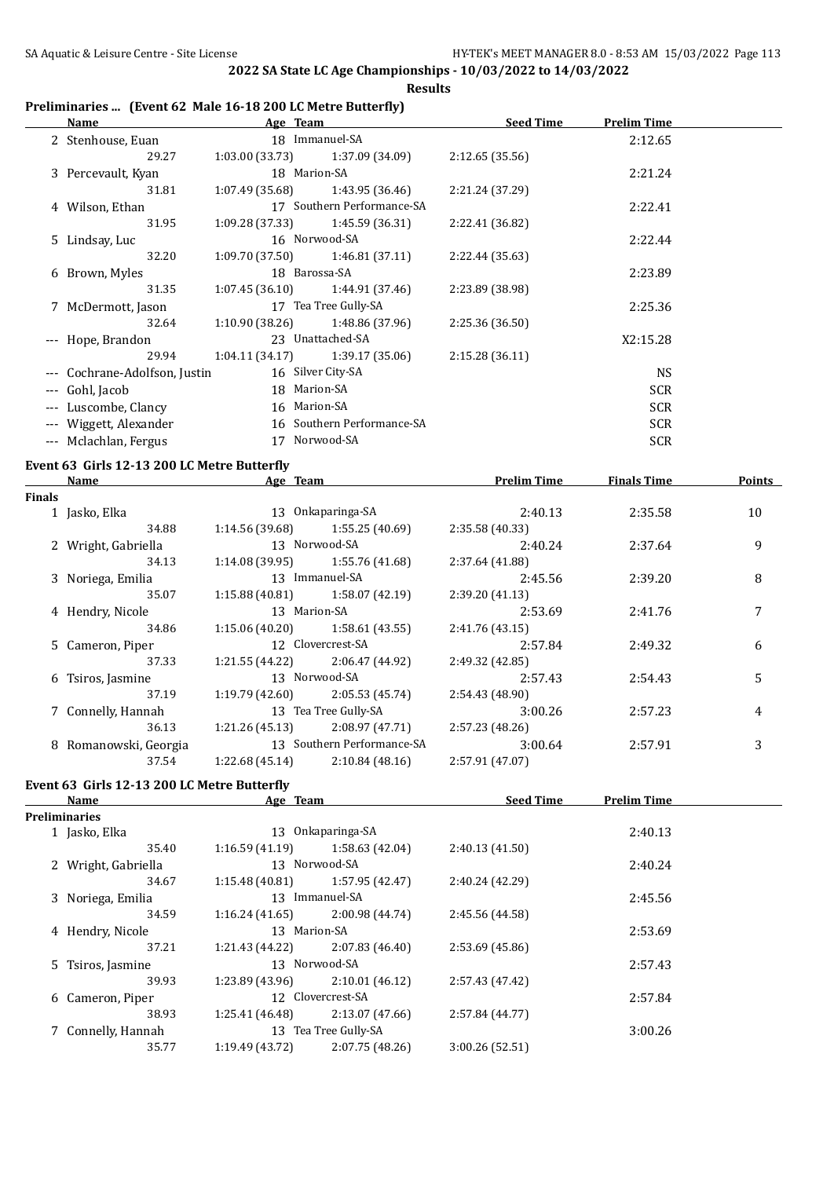$\overline{a}$ 

**2022 SA State LC Age Championships - 10/03/2022 to 14/03/2022**

#### **Results**

## **Preliminaries ... (Event 62 Male 16-18 200 LC Metre Butterfly)**

|                     | Name                          | Age Team        |                                   | <b>Seed Time</b> | <b>Prelim Time</b> |  |
|---------------------|-------------------------------|-----------------|-----------------------------------|------------------|--------------------|--|
|                     | 2 Stenhouse, Euan             |                 | 18 Immanuel-SA                    |                  | 2:12.65            |  |
|                     | 29.27                         | 1:03.00(33.73)  | 1:37.09 (34.09)                   | 2:12.65(35.56)   |                    |  |
|                     | 3 Percevault, Kyan            |                 | 18 Marion-SA                      |                  | 2:21.24            |  |
|                     | 31.81                         | 1:07.49 (35.68) | 1:43.95 (36.46)                   | 2:21.24 (37.29)  |                    |  |
|                     | 4 Wilson, Ethan               |                 | 17 Southern Performance-SA        |                  | 2:22.41            |  |
|                     | 31.95                         | 1:09.28 (37.33) | 1:45.59 (36.31)                   | 2:22.41 (36.82)  |                    |  |
|                     | 5 Lindsay, Luc                |                 | 16 Norwood-SA                     |                  | 2:22.44            |  |
|                     | 32.20                         | 1:09.70 (37.50) | 1:46.81 (37.11)                   | 2:22.44 (35.63)  |                    |  |
|                     | 6 Brown, Myles                |                 | 18 Barossa-SA                     |                  | 2:23.89            |  |
|                     | 31.35                         |                 | $1:07.45(36.10)$ $1:44.91(37.46)$ | 2:23.89 (38.98)  |                    |  |
|                     | 7 McDermott, Jason            |                 | 17 Tea Tree Gully-SA              |                  | 2:25.36            |  |
|                     | 32.64                         | 1:10.90 (38.26) | 1:48.86 (37.96)                   | 2:25.36 (36.50)  |                    |  |
|                     | --- Hope, Brandon             |                 | 23 Unattached-SA                  |                  | X2:15.28           |  |
|                     | 29.94                         |                 | $1:04.11(34.17)$ $1:39.17(35.06)$ | 2:15.28(36.11)   |                    |  |
|                     | --- Cochrane-Adolfson, Justin |                 | 16 Silver City-SA                 |                  | <b>NS</b>          |  |
| $---$               | Gohl, Jacob                   |                 | 18 Marion-SA                      |                  | <b>SCR</b>         |  |
| $\cdots$            | Luscombe, Clancy              |                 | 16 Marion-SA                      |                  | <b>SCR</b>         |  |
|                     | Wiggett, Alexander            |                 | 16 Southern Performance-SA        |                  | <b>SCR</b>         |  |
| $\qquad \qquad - -$ | Mclachlan, Fergus             | 17              | Norwood-SA                        |                  | <b>SCR</b>         |  |
|                     |                               |                 |                                   |                  |                    |  |

# **Event 63 Girls 12-13 200 LC Metre Butterfly**

|        | Name                  | Age Team        |                            | <b>Prelim Time</b> | <b>Finals Time</b> | <b>Points</b> |
|--------|-----------------------|-----------------|----------------------------|--------------------|--------------------|---------------|
| Finals |                       |                 |                            |                    |                    |               |
|        | 1 Jasko, Elka         |                 | 13 Onkaparinga-SA          | 2:40.13            | 2:35.58            | 10            |
|        | 34.88                 | 1:14.56 (39.68) | 1:55.25 (40.69)            | 2:35.58 (40.33)    |                    |               |
|        | 2 Wright, Gabriella   |                 | 13 Norwood-SA              | 2:40.24            | 2:37.64            | 9             |
|        | 34.13                 | 1:14.08 (39.95) | 1:55.76 (41.68)            | 2:37.64 (41.88)    |                    |               |
|        | 3 Noriega, Emilia     |                 | 13 Immanuel-SA             | 2:45.56            | 2:39.20            | 8             |
|        | 35.07                 | 1:15.88(40.81)  | 1:58.07 (42.19)            | 2:39.20(41.13)     |                    |               |
|        | 4 Hendry, Nicole      | 13 Marion-SA    |                            | 2:53.69            | 2:41.76            | 7             |
|        | 34.86                 | 1:15.06 (40.20) | 1:58.61 (43.55)            | 2:41.76 (43.15)    |                    |               |
|        | 5 Cameron, Piper      |                 | 12 Clovercrest-SA          | 2:57.84            | 2:49.32            | 6             |
|        | 37.33                 | 1:21.55 (44.22) | 2:06.47 (44.92)            | 2:49.32 (42.85)    |                    |               |
|        | 6 Tsiros, Jasmine     |                 | 13 Norwood-SA              | 2:57.43            | 2:54.43            | 5             |
|        | 37.19                 | 1:19.79 (42.60) | 2:05.53(45.74)             | 2:54.43 (48.90)    |                    |               |
|        | 7 Connelly, Hannah    |                 | 13 Tea Tree Gully-SA       | 3:00.26            | 2:57.23            | 4             |
|        | 36.13                 | 1:21.26(45.13)  | 2:08.97(47.71)             | 2:57.23(48.26)     |                    |               |
|        | 8 Romanowski, Georgia |                 | 13 Southern Performance-SA | 3:00.64            | 2:57.91            | 3             |
|        | 37.54                 | 1:22.68(45.14)  | 2:10.84(48.16)             | 2:57.91 (47.07)    |                    |               |

## **Event 63 Girls 12-13 200 LC Metre Butterfly**

| Name                | Age Team        |                      | <b>Seed Time</b> | <b>Prelim Time</b> |  |
|---------------------|-----------------|----------------------|------------------|--------------------|--|
| Preliminaries       |                 |                      |                  |                    |  |
| 1 Jasko, Elka       | 13              | Onkaparinga-SA       |                  | 2:40.13            |  |
| 35.40               | 1:16.59(41.19)  | 1:58.63 (42.04)      | 2:40.13(41.50)   |                    |  |
| 2 Wright, Gabriella |                 | 13 Norwood-SA        |                  | 2:40.24            |  |
| 34.67               | 1:15.48(40.81)  | 1:57.95 (42.47)      | 2:40.24 (42.29)  |                    |  |
| 3 Noriega, Emilia   |                 | 13 Immanuel-SA       |                  | 2:45.56            |  |
| 34.59               | 1:16.24(41.65)  | 2:00.98 (44.74)      | 2:45.56 (44.58)  |                    |  |
| 4 Hendry, Nicole    | 13 Marion-SA    |                      |                  | 2:53.69            |  |
| 37.21               | 1:21.43 (44.22) | 2:07.83(46.40)       | 2:53.69(45.86)   |                    |  |
| 5 Tsiros, Jasmine   |                 | 13 Norwood-SA        |                  | 2:57.43            |  |
| 39.93               | 1:23.89(43.96)  | 2:10.01(46.12)       | 2:57.43 (47.42)  |                    |  |
| 6 Cameron, Piper    |                 | 12 Clovercrest-SA    |                  | 2:57.84            |  |
| 38.93               | 1:25.41(46.48)  | 2:13.07 (47.66)      | 2:57.84 (44.77)  |                    |  |
| 7 Connelly, Hannah  |                 | 13 Tea Tree Gully-SA |                  | 3:00.26            |  |
| 35.77               | 1:19.49 (43.72) | 2:07.75(48.26)       | 3:00.26 (52.51)  |                    |  |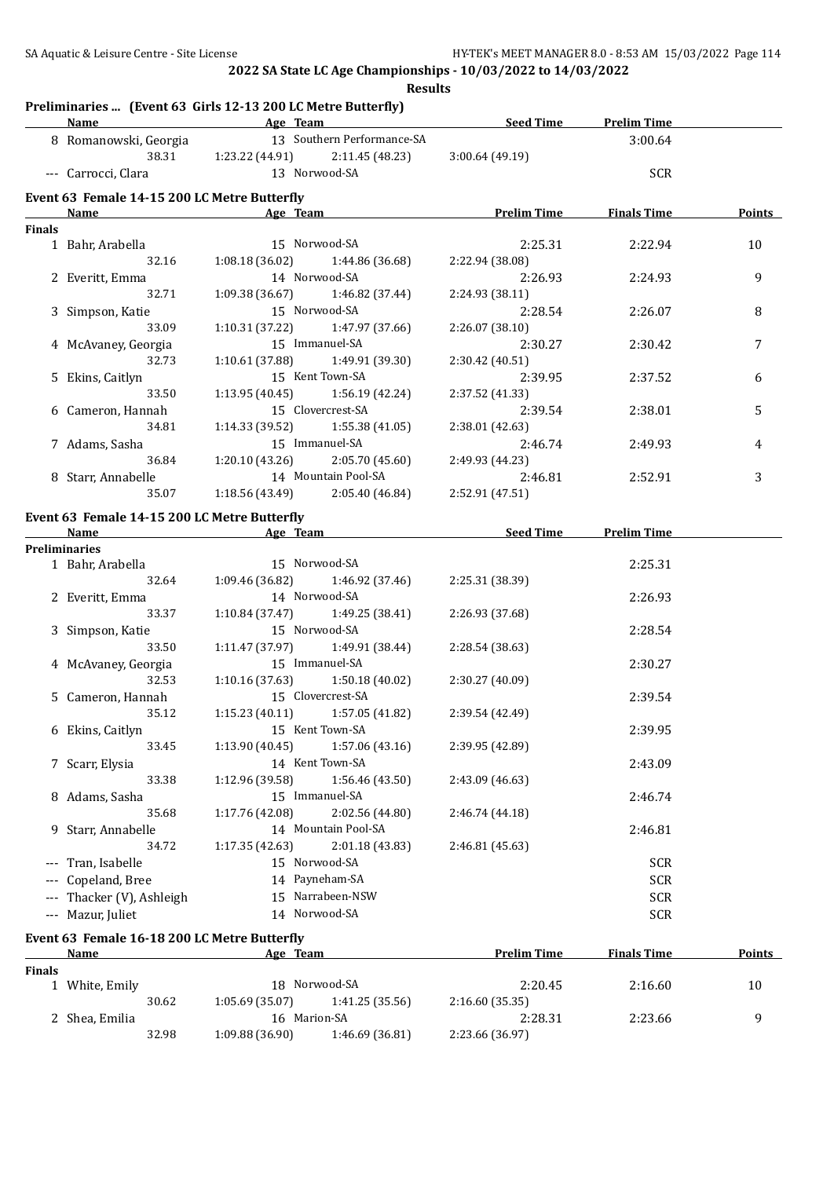**Results**

|               | <b>Name</b>                                                 | <b>Example 2016</b> Age Team        | Seed Time                  | <b>Prelim Time</b> |               |
|---------------|-------------------------------------------------------------|-------------------------------------|----------------------------|--------------------|---------------|
|               | 8 Romanowski, Georgia                                       | 13 Southern Performance-SA          |                            | 3:00.64            |               |
|               | 38.31                                                       | $1:23.22$ (44.91) $2:11.45$ (48.23) | 3:00.64(49.19)             |                    |               |
|               | --- Carrocci, Clara                                         | 13 Norwood-SA                       |                            | <b>SCR</b>         |               |
|               | Event 63 Female 14-15 200 LC Metre Butterfly                |                                     |                            |                    |               |
|               | Name                                                        | Age Team                            | <b>Prelim Time</b>         | <b>Finals Time</b> | Points        |
| <b>Finals</b> |                                                             |                                     |                            |                    |               |
|               | 1 Bahr, Arabella                                            | 15 Norwood-SA                       | 2:25.31                    | 2:22.94            | 10            |
|               | 32.16                                                       | 1:08.18(36.02)<br>1:44.86 (36.68)   | 2:22.94 (38.08)            |                    |               |
|               | 2 Everitt, Emma                                             | 14 Norwood-SA                       | 2:26.93                    | 2:24.93            | 9             |
|               | 32.71                                                       | 1:09.38 (36.67)<br>1:46.82 (37.44)  | 2:24.93 (38.11)            |                    |               |
|               | 3 Simpson, Katie                                            | 15 Norwood-SA                       | 2:28.54                    | 2:26.07            | 8             |
|               | 33.09                                                       | 1:10.31(37.22)<br>1:47.97 (37.66)   | 2:26.07 (38.10)            |                    |               |
|               | 4 McAvaney, Georgia                                         | 15 Immanuel-SA                      | 2:30.27                    | 2:30.42            | 7             |
|               | 32.73                                                       | 1:10.61 (37.88)<br>1:49.91 (39.30)  | 2:30.42 (40.51)            |                    |               |
|               | 5 Ekins, Caitlyn                                            | 15 Kent Town-SA                     | 2:39.95                    | 2:37.52            | 6             |
|               | 33.50                                                       | 1:13.95(40.45)<br>1:56.19 (42.24)   | 2:37.52 (41.33)            |                    |               |
|               | 6 Cameron, Hannah                                           | 15 Clovercrest-SA                   | 2:39.54                    | 2:38.01            | 5             |
|               | 34.81                                                       | 1:14.33 (39.52)<br>1:55.38(41.05)   | 2:38.01 (42.63)            |                    |               |
|               | 7 Adams, Sasha                                              | 15 Immanuel-SA                      | 2:46.74                    | 2:49.93            | 4             |
|               | 36.84                                                       | 1:20.10(43.26)<br>2:05.70 (45.60)   | 2:49.93 (44.23)            |                    |               |
|               | 8 Starr, Annabelle                                          | 14 Mountain Pool-SA                 | 2:46.81                    | 2:52.91            | 3             |
|               | 35.07                                                       | 1:18.56 (43.49)<br>2:05.40 (46.84)  | 2:52.91 (47.51)            |                    |               |
|               | Event 63 Female 14-15 200 LC Metre Butterfly                |                                     |                            |                    |               |
|               | Name                                                        | <b>Example 2</b> Age Team           | <b>Example 2 Seed Time</b> | <b>Prelim Time</b> |               |
|               | <b>Preliminaries</b>                                        |                                     |                            |                    |               |
|               | 1 Bahr, Arabella                                            | 15 Norwood-SA                       |                            | 2:25.31            |               |
|               | 32.64                                                       | 1:09.46 (36.82)<br>1:46.92 (37.46)  | 2:25.31 (38.39)            |                    |               |
|               | 2 Everitt, Emma                                             | 14 Norwood-SA                       |                            | 2:26.93            |               |
|               | 33.37                                                       | 1:10.84(37.47)<br>1:49.25 (38.41)   | 2:26.93 (37.68)            |                    |               |
|               | 3 Simpson, Katie                                            | 15 Norwood-SA                       |                            | 2:28.54            |               |
|               | 33.50                                                       | 1:11.47 (37.97)<br>1:49.91 (38.44)  | 2:28.54 (38.63)            |                    |               |
|               | 4 McAvaney, Georgia                                         | 15 Immanuel-SA                      |                            | 2:30.27            |               |
|               | 32.53                                                       | 1:10.16(37.63)<br>1:50.18(40.02)    | 2:30.27 (40.09)            |                    |               |
|               | 5 Cameron, Hannah                                           | 15 Clovercrest-SA                   |                            | 2:39.54            |               |
|               | 35.12                                                       | $1:15.23(40.11)$ $1:57.05(41.82)$   | 2:39.54 (42.49)            |                    |               |
|               | 6 Ekins, Caitlyn                                            | 15 Kent Town-SA                     |                            | 2:39.95            |               |
|               | 33.45                                                       | 1:13.90(40.45)<br>1:57.06 (43.16)   | 2:39.95 (42.89)            |                    |               |
|               | 7 Scarr, Elysia                                             | 14 Kent Town-SA                     |                            | 2:43.09            |               |
|               | 33.38                                                       | 1:12.96 (39.58)<br>1:56.46 (43.50)  | 2:43.09 (46.63)            |                    |               |
|               | 8 Adams, Sasha                                              | 15 Immanuel-SA                      |                            | 2:46.74            |               |
|               | 35.68                                                       | 1:17.76 (42.08)<br>2:02.56 (44.80)  | 2:46.74 (44.18)            |                    |               |
|               | 9 Starr, Annabelle                                          | 14 Mountain Pool-SA                 |                            | 2:46.81            |               |
|               | 34.72                                                       | 1:17.35(42.63)<br>2:01.18 (43.83)   | 2:46.81 (45.63)            |                    |               |
| $---$         | Tran, Isabelle                                              | 15 Norwood-SA                       |                            | <b>SCR</b>         |               |
|               | Copeland, Bree                                              | 14 Payneham-SA                      |                            | <b>SCR</b>         |               |
|               | Thacker (V), Ashleigh                                       | 15 Narrabeen-NSW                    |                            | <b>SCR</b>         |               |
|               | --- Mazur, Juliet                                           | 14 Norwood-SA                       |                            | <b>SCR</b>         |               |
|               |                                                             |                                     |                            |                    |               |
|               | Event 63 Female 16-18 200 LC Metre Butterfly<br><b>Name</b> | Age Team                            | <b>Prelim Time</b>         | <b>Finals Time</b> | <b>Points</b> |
| <b>Finals</b> |                                                             |                                     |                            |                    |               |
|               | 1 White, Emily                                              | 18 Norwood-SA                       | 2:20.45                    | 2:16.60            | 10            |
|               | 30.62                                                       | 1:05.69 (35.07)<br>1:41.25 (35.56)  | 2:16.60 (35.35)            |                    |               |
|               |                                                             |                                     |                            |                    |               |

2 Shea, Emilia 16 Marion-SA 2:28.31 2:23.66 9

32.98 1:09.88 (36.90) 1:46.69 (36.81) 2:23.66 (36.97)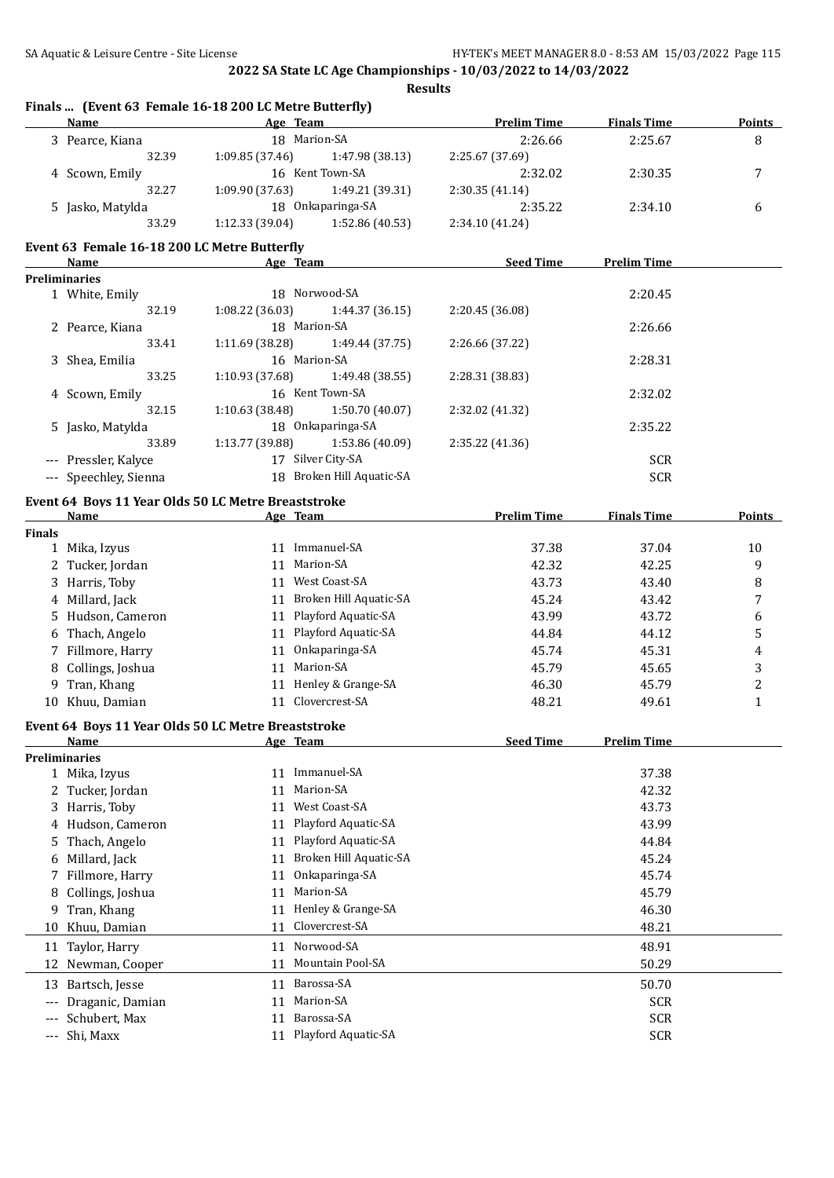|                      | <b>Name</b>                                  | Finals  (Event 63 Female 16-18 200 LC Metre Butterfly)<br>Age Team | <b>Prelim Time</b> | <b>Finals Time</b> | <b>Points</b>  |
|----------------------|----------------------------------------------|--------------------------------------------------------------------|--------------------|--------------------|----------------|
|                      | 3 Pearce, Kiana                              | 18 Marion-SA                                                       | 2:26.66            | 2:25.67            | 8              |
|                      | 32.39                                        | 1:09.85 (37.46)<br>1:47.98 (38.13)                                 | 2:25.67 (37.69)    |                    |                |
|                      |                                              | 16 Kent Town-SA                                                    | 2:32.02            |                    | 7              |
|                      | 4 Scown, Emily<br>32.27                      | 1:09.90 (37.63)<br>1:49.21 (39.31)                                 |                    | 2:30.35            |                |
|                      |                                              |                                                                    | 2:30.35 (41.14)    |                    |                |
|                      | 5 Jasko, Matylda                             | 18 Onkaparinga-SA                                                  | 2:35.22            | 2:34.10            | 6              |
|                      | 33.29                                        | 1:12.33 (39.04)<br>1:52.86 (40.53)                                 | 2:34.10 (41.24)    |                    |                |
|                      | Event 63 Female 16-18 200 LC Metre Butterfly |                                                                    |                    |                    |                |
|                      | Name                                         | Age Team                                                           | <b>Seed Time</b>   | <b>Prelim Time</b> |                |
|                      | <b>Preliminaries</b>                         |                                                                    |                    |                    |                |
|                      | 1 White, Emily                               | 18 Norwood-SA                                                      |                    | 2:20.45            |                |
|                      | 32.19                                        | 1:08.22 (36.03)<br>1:44.37 (36.15)                                 | 2:20.45 (36.08)    |                    |                |
|                      | 2 Pearce, Kiana                              | 18 Marion-SA                                                       |                    | 2:26.66            |                |
|                      | 33.41                                        | 1:11.69 (38.28)<br>1:49.44 (37.75)                                 | 2:26.66 (37.22)    |                    |                |
|                      | 3 Shea, Emilia                               | 16 Marion-SA                                                       |                    | 2:28.31            |                |
|                      | 33.25                                        | 1:10.93 (37.68)<br>1:49.48 (38.55)                                 | 2:28.31 (38.83)    |                    |                |
|                      | 4 Scown, Emily                               | 16 Kent Town-SA                                                    |                    | 2:32.02            |                |
|                      | 32.15                                        | 1:50.70 (40.07)<br>1:10.63 (38.48)                                 | 2:32.02 (41.32)    |                    |                |
|                      | 5 Jasko, Matylda                             | 18 Onkaparinga-SA                                                  |                    | 2:35.22            |                |
|                      | 33.89                                        | 1:53.86 (40.09)<br>1:13.77 (39.88)                                 | 2:35.22 (41.36)    |                    |                |
|                      | --- Pressler, Kalyce                         | 17 Silver City-SA                                                  |                    | <b>SCR</b>         |                |
|                      | --- Speechley, Sienna                        | 18 Broken Hill Aquatic-SA                                          |                    | <b>SCR</b>         |                |
|                      |                                              | Event 64 Boys 11 Year Olds 50 LC Metre Breaststroke                |                    |                    |                |
|                      | <b>Name</b>                                  | Age Team                                                           | <b>Prelim Time</b> | <b>Finals Time</b> | Points         |
| <b>Finals</b>        |                                              |                                                                    |                    |                    |                |
|                      | 1 Mika, Izyus                                | 11 Immanuel-SA                                                     | 37.38              | 37.04              | 10             |
|                      | 2 Tucker, Jordan                             | 11 Marion-SA                                                       | 42.32              | 42.25              | 9              |
|                      | 3 Harris, Toby                               | 11 West Coast-SA                                                   | 43.73              | 43.40              | 8              |
|                      | 4 Millard, Jack                              | 11 Broken Hill Aquatic-SA                                          | 45.24              | 43.42              | 7              |
|                      | 5 Hudson, Cameron                            | 11 Playford Aquatic-SA                                             | 43.99              | 43.72              | 6              |
|                      | 6 Thach, Angelo                              | 11 Playford Aquatic-SA                                             | 44.84              | 44.12              | 5              |
|                      | 7 Fillmore, Harry                            | 11 Onkaparinga-SA                                                  | 45.74              | 45.31              | $\overline{4}$ |
|                      |                                              | 11 Marion-SA                                                       |                    |                    |                |
|                      | 8 Collings, Joshua                           |                                                                    | 45.79              | 45.65              | 3              |
| 9                    | Tran, Khang                                  | 11 Henley & Grange-SA                                              | 46.30              | 45.79              | $\overline{c}$ |
|                      | 10 Khuu, Damian                              | 11 Clovercrest-SA                                                  | 48.21              | 49.61              | $\mathbf{1}$   |
|                      |                                              | Event 64 Boys 11 Year Olds 50 LC Metre Breaststroke                |                    |                    |                |
|                      | Name                                         | Age Team                                                           | <b>Seed Time</b>   | <b>Prelim Time</b> |                |
|                      | <b>Preliminaries</b>                         |                                                                    |                    |                    |                |
|                      | 1 Mika, Izyus                                | 11 Immanuel-SA                                                     |                    | 37.38              |                |
|                      | 2 Tucker, Jordan                             | Marion-SA<br>11                                                    |                    | 42.32              |                |
| 3                    | Harris, Toby                                 | West Coast-SA<br>11                                                |                    | 43.73              |                |
| 4                    | Hudson, Cameron                              | Playford Aquatic-SA<br>11                                          |                    | 43.99              |                |
| 5.                   | Thach, Angelo                                | Playford Aquatic-SA<br>11                                          |                    | 44.84              |                |
| 6                    | Millard, Jack                                | Broken Hill Aquatic-SA<br>11                                       |                    | 45.24              |                |
| 7                    | Fillmore, Harry                              | Onkaparinga-SA<br>11                                               |                    | 45.74              |                |
| 8                    | Collings, Joshua                             | Marion-SA<br>11                                                    |                    | 45.79              |                |
| 9                    | Tran, Khang                                  | Henley & Grange-SA<br>11                                           |                    | 46.30              |                |
| 10                   | Khuu, Damian                                 | Clovercrest-SA<br>11                                               |                    | 48.21              |                |
| 11                   | Taylor, Harry                                | Norwood-SA<br>11                                                   |                    | 48.91              |                |
| 12                   | Newman, Cooper                               | Mountain Pool-SA<br>11                                             |                    | 50.29              |                |
|                      |                                              |                                                                    |                    |                    |                |
| 13                   | Bartsch, Jesse                               | Barossa-SA<br>11                                                   |                    | 50.70              |                |
|                      | Draganic, Damian                             | Marion-SA<br>11                                                    |                    | <b>SCR</b>         |                |
|                      | Schubert, Max                                | Barossa-SA<br>11                                                   |                    | <b>SCR</b>         |                |
| $\scriptstyle\cdots$ | Shi, Maxx                                    | Playford Aquatic-SA<br>11                                          |                    | <b>SCR</b>         |                |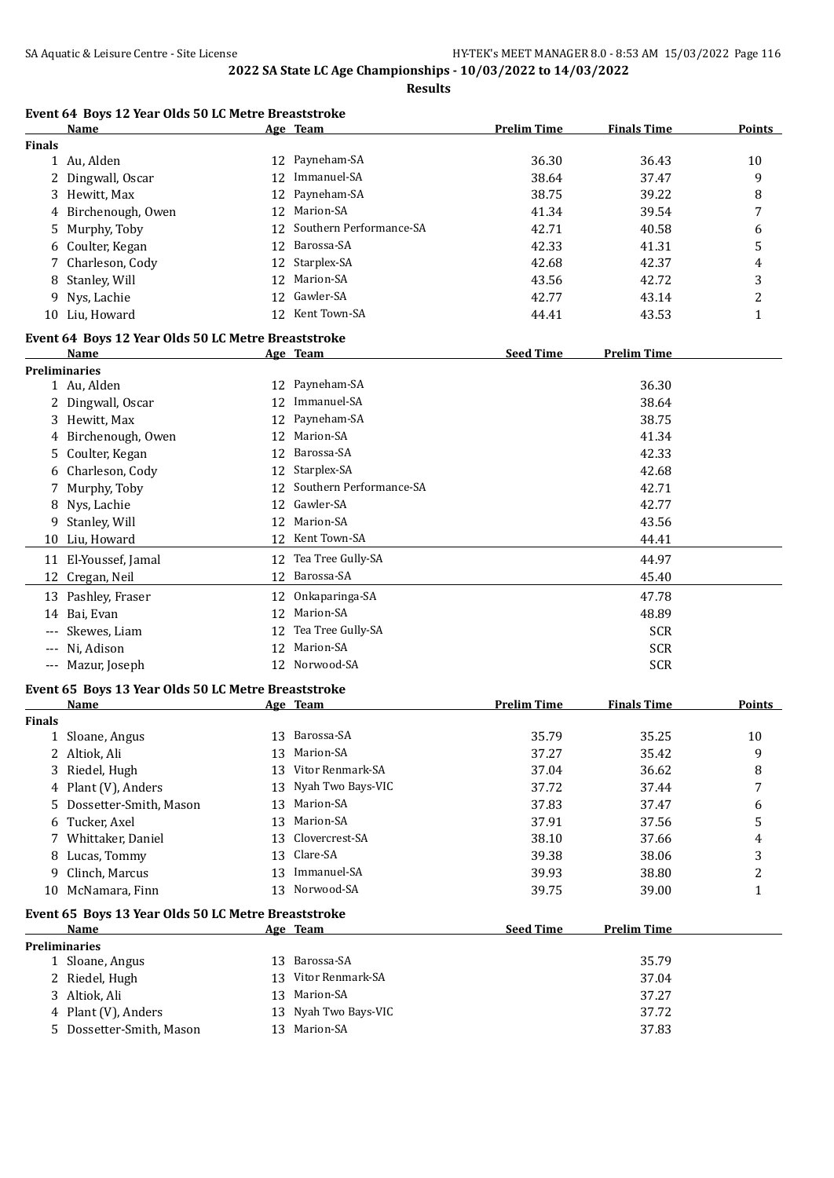**Results**

|               | Name                | Age Team                   | <b>Prelim Time</b> | <b>Finals Time</b> | <b>Points</b> |
|---------------|---------------------|----------------------------|--------------------|--------------------|---------------|
| <b>Finals</b> |                     |                            |                    |                    |               |
|               | Au, Alden           | 12 Payneham-SA             | 36.30              | 36.43              | 10            |
|               | 2 Dingwall, Oscar   | 12 Immanuel-SA             | 38.64              | 37.47              |               |
|               | 3 Hewitt, Max       | 12 Payneham-SA             | 38.75              | 39.22              |               |
|               | 4 Birchenough, Owen | 12 Marion-SA               | 41.34              | 39.54              | -             |
|               | 5 Murnhy Tohy       | 12 Southern Performance-SA | 42.71              | 4058               |               |

**Event 64 Boys 12 Year Olds 50 LC Metre Breaststroke**

|               | <b>Preliminaries</b>                                        |    |                               |                    |                    |              |
|---------------|-------------------------------------------------------------|----|-------------------------------|--------------------|--------------------|--------------|
|               | Event 65 Boys 13 Year Olds 50 LC Metre Breaststroke<br>Name |    | Age Team                      | <b>Seed Time</b>   | <b>Prelim Time</b> |              |
|               |                                                             |    |                               |                    |                    |              |
|               | 10 McNamara, Finn                                           |    | 13 Norwood-SA                 | 39.75              | 39.00              | 1            |
|               | 9 Clinch, Marcus                                            |    | 13 Immanuel-SA                | 39.93              | 38.80              | 2            |
|               | 8 Lucas, Tommy                                              |    | 13 Clare-SA                   | 39.38              | 38.06              | 3            |
|               | 7 Whittaker, Daniel                                         |    | 13 Clovercrest-SA             | 38.10              | 37.66              | 4            |
| 6             | Tucker, Axel                                                |    | 13 Marion-SA                  | 37.91              | 37.56              | 5            |
|               | 4 Plant (V), Anders<br>Dossetter-Smith, Mason               |    | 13 Marion-SA                  | 37.83              | 37.47              | 6            |
|               | 3 Riedel, Hugh                                              |    | 13 Nyah Two Bays-VIC          | 37.04<br>37.72     | 36.62<br>37.44     | 8<br>7       |
|               | 2 Altiok, Ali                                               | 13 | 13 Vitor Renmark-SA           | 37.27              | 35.42              |              |
|               | 1 Sloane, Angus                                             |    | Marion-SA                     | 35.79              | 35.25              | 10<br>9      |
| <b>Finals</b> |                                                             |    | 13 Barossa-SA                 |                    |                    |              |
|               | Name                                                        |    | Age Team                      | <b>Prelim Time</b> | <b>Finals Time</b> | Points       |
|               | Event 65 Boys 13 Year Olds 50 LC Metre Breaststroke         |    |                               |                    |                    |              |
|               | --- Mazur, Joseph                                           |    |                               |                    | <b>SCR</b>         |              |
|               | --- Ni, Adison                                              |    | 12 Marion-SA<br>12 Norwood-SA |                    | <b>SCR</b>         |              |
|               | --- Skewes, Liam                                            |    | 12 Tea Tree Gully-SA          |                    | <b>SCR</b>         |              |
|               | 14 Bai, Evan                                                |    | 12 Marion-SA                  |                    | 48.89              |              |
|               | 13 Pashley, Fraser                                          |    | 12 Onkaparinga-SA             |                    | 47.78              |              |
|               | 12 Cregan, Neil                                             |    |                               |                    | 45.40              |              |
|               | 11 El-Youssef, Jamal                                        |    | 12 Barossa-SA                 |                    | 44.97              |              |
|               |                                                             |    | 12 Tea Tree Gully-SA          |                    |                    |              |
|               | 10 Liu, Howard                                              |    | 12 Kent Town-SA               |                    | 44.41              |              |
| 9.            | Stanley, Will                                               |    | 12 Marion-SA                  |                    | 43.56              |              |
| 8             | Nys, Lachie                                                 | 12 | Gawler-SA                     |                    | 42.77              |              |
|               | Murphy, Toby                                                | 12 | Southern Performance-SA       |                    | 42.71              |              |
|               | 5 Coulter, Kegan<br>6 Charleson, Cody                       |    | 12 Starplex-SA                |                    | 42.68              |              |
|               | 4 Birchenough, Owen                                         |    | 12 Barossa-SA                 |                    | 41.34<br>42.33     |              |
|               | 3 Hewitt, Max                                               | 12 | Payneham-SA<br>12 Marion-SA   |                    | 38.75              |              |
|               | 2 Dingwall, Oscar                                           |    | 12 Immanuel-SA                |                    | 38.64              |              |
|               | 1 Au, Alden                                                 |    | 12 Payneham-SA                |                    | 36.30              |              |
|               | <b>Preliminaries</b>                                        |    |                               |                    |                    |              |
|               | Name                                                        |    | Age Team                      | <b>Seed Time</b>   | <b>Prelim Time</b> |              |
|               | Event 64 Boys 12 Year Olds 50 LC Metre Breaststroke         |    |                               |                    |                    |              |
|               | 10 Liu, Howard                                              |    | 12 Kent Town-SA               | 44.41              | 43.53              | $\mathbf{1}$ |
| 9             | Nys, Lachie                                                 |    | 12 Gawler-SA                  | 42.77              | 43.14              | 2            |
| 8             | Stanley, Will                                               |    | 12 Marion-SA                  | 43.56              | 42.72              | 3            |
|               | 7 Charleson, Cody                                           |    | 12 Starplex-SA                | 42.68              | 42.37              | 4            |
|               | 6 Coulter, Kegan                                            |    | 12 Barossa-SA                 | 42.33              | 41.31              | 5            |
|               | 5 Murphy, Toby                                              |    | 12 Southern Performance-SA    | 42.71              | 40.58              | 6            |
|               | 4 DILLIENOUGH, OWEN                                         |    |                               | 41.J4              | J 7.J T            | $\prime$     |

| 1 Sloane, Angus          |    | 13 Barossa-SA        | 35.79 |
|--------------------------|----|----------------------|-------|
| 2 Riedel, Hugh           |    | 13 Vitor Renmark-SA  | 37.04 |
| 3 Altiok, Ali            |    | 13 Marion-SA         | 37.27 |
| 4 Plant (V), Anders      |    | 13 Nyah Two Bays-VIC | 37.72 |
| 5 Dossetter-Smith, Mason | 13 | Marion-SA            | 37.83 |
|                          |    |                      |       |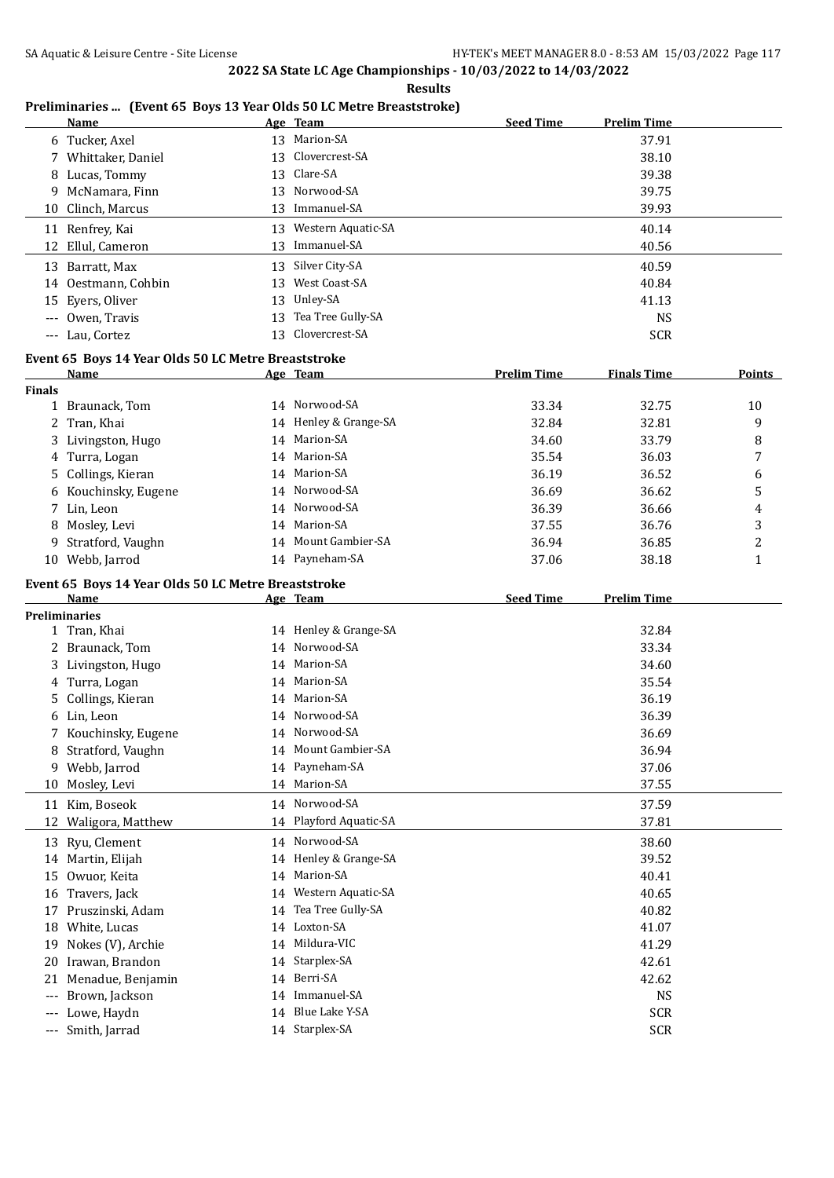|                     |                                                                      |    | <b>Results</b>         |                    |                    |                |
|---------------------|----------------------------------------------------------------------|----|------------------------|--------------------|--------------------|----------------|
|                     | Preliminaries  (Event 65 Boys 13 Year Olds 50 LC Metre Breaststroke) |    |                        |                    |                    |                |
|                     | Name                                                                 |    | Age Team               | <b>Seed Time</b>   | <b>Prelim Time</b> |                |
|                     | 6 Tucker, Axel                                                       |    | 13 Marion-SA           |                    | 37.91              |                |
|                     | 7 Whittaker, Daniel                                                  | 13 | Clovercrest-SA         |                    | 38.10              |                |
|                     | 8 Lucas, Tommy                                                       | 13 | Clare-SA               |                    | 39.38              |                |
| 9                   | McNamara, Finn                                                       | 13 | Norwood-SA             |                    | 39.75              |                |
| 10                  | Clinch, Marcus                                                       | 13 | Immanuel-SA            |                    | 39.93              |                |
|                     | 11 Renfrey, Kai                                                      |    | 13 Western Aquatic-SA  |                    | 40.14              |                |
|                     | 12 Ellul, Cameron                                                    |    | 13 Immanuel-SA         |                    | 40.56              |                |
|                     | 13 Barratt, Max                                                      |    | 13 Silver City-SA      |                    | 40.59              |                |
|                     | 14 Oestmann, Cohbin                                                  |    | 13 West Coast-SA       |                    | 40.84              |                |
| 15                  | Eyers, Oliver                                                        | 13 | Unley-SA               |                    | 41.13              |                |
|                     | Owen, Travis                                                         | 13 | Tea Tree Gully-SA      |                    | <b>NS</b>          |                |
|                     | --- Lau, Cortez                                                      |    | 13 Clovercrest-SA      |                    | <b>SCR</b>         |                |
|                     | Event 65 Boys 14 Year Olds 50 LC Metre Breaststroke                  |    |                        |                    |                    |                |
|                     | Name                                                                 |    | Age Team               | <b>Prelim Time</b> | <b>Finals Time</b> | <b>Points</b>  |
| <b>Finals</b>       |                                                                      |    |                        |                    |                    |                |
|                     | 1 Braunack, Tom                                                      |    | 14 Norwood-SA          | 33.34              | 32.75              | 10             |
|                     | 2 Tran, Khai                                                         |    | 14 Henley & Grange-SA  | 32.84              | 32.81              | 9              |
|                     | 3 Livingston, Hugo                                                   |    | 14 Marion-SA           | 34.60              | 33.79              | 8              |
|                     | 4 Turra, Logan                                                       |    | 14 Marion-SA           | 35.54              | 36.03              | 7              |
| 5.                  | Collings, Kieran                                                     |    | 14 Marion-SA           | 36.19              | 36.52              | 6              |
| 6                   | Kouchinsky, Eugene                                                   |    | 14 Norwood-SA          | 36.69              | 36.62              | 5              |
|                     | 7 Lin, Leon                                                          |    | 14 Norwood-SA          | 36.39              | 36.66              | 4              |
| 8                   | Mosley, Levi                                                         |    | 14 Marion-SA           | 37.55              | 36.76              | 3              |
| 9                   | Stratford, Vaughn                                                    |    | 14 Mount Gambier-SA    | 36.94              | 36.85              | $\overline{c}$ |
|                     | 10 Webb, Jarrod                                                      |    | 14 Payneham-SA         | 37.06              | 38.18              | $\mathbf{1}$   |
|                     |                                                                      |    |                        |                    |                    |                |
|                     | Event 65 Boys 14 Year Olds 50 LC Metre Breaststroke                  |    |                        |                    |                    |                |
|                     | Name<br><b>Preliminaries</b>                                         |    | Age Team               | <b>Seed Time</b>   | <b>Prelim Time</b> |                |
|                     | 1 Tran, Khai                                                         |    | 14 Henley & Grange-SA  |                    | 32.84              |                |
|                     | 2 Braunack, Tom                                                      |    | 14 Norwood-SA          |                    | 33.34              |                |
|                     | 3 Livingston, Hugo                                                   |    | 14 Marion-SA           |                    | 34.60              |                |
|                     | 4 Turra, Logan                                                       |    | 14 Marion-SA           |                    | 35.54              |                |
|                     | 5 Collings, Kieran                                                   |    | 14 Marion-SA           |                    | 36.19              |                |
|                     | Lin, Leon                                                            |    | 14 Norwood-SA          |                    | 36.39              |                |
| 6                   |                                                                      |    | 14 Norwood-SA          |                    |                    |                |
| 7                   | Kouchinsky, Eugene                                                   |    | Mount Gambier-SA       |                    | 36.69              |                |
| 8                   | Stratford, Vaughn                                                    | 14 | 14 Payneham-SA         |                    | 36.94              |                |
| 9.                  | Webb, Jarrod                                                         |    | 14 Marion-SA           |                    | 37.06              |                |
| 10                  | Mosley, Levi                                                         |    |                        |                    | 37.55              |                |
|                     | 11 Kim, Boseok                                                       |    | 14 Norwood-SA          |                    | 37.59              |                |
| 12                  | Waligora, Matthew                                                    |    | 14 Playford Aquatic-SA |                    | 37.81              |                |
| 13                  | Ryu, Clement                                                         |    | 14 Norwood-SA          |                    | 38.60              |                |
|                     | 14 Martin, Elijah                                                    |    | 14 Henley & Grange-SA  |                    | 39.52              |                |
| 15                  | Owuor, Keita                                                         |    | 14 Marion-SA           |                    | 40.41              |                |
|                     | 16 Travers, Jack                                                     | 14 | Western Aquatic-SA     |                    | 40.65              |                |
| 17                  | Pruszinski, Adam                                                     | 14 | Tea Tree Gully-SA      |                    | 40.82              |                |
| 18                  | White, Lucas                                                         |    | 14 Loxton-SA           |                    | 41.07              |                |
| 19                  | Nokes (V), Archie                                                    |    | 14 Mildura-VIC         |                    | 41.29              |                |
|                     | 20 Irawan, Brandon                                                   |    | 14 Starplex-SA         |                    | 42.61              |                |
| 21                  | Menadue, Benjamin                                                    |    | 14 Berri-SA            |                    | 42.62              |                |
| $---$               | Brown, Jackson                                                       | 14 | Immanuel-SA            |                    | <b>NS</b>          |                |
| $\qquad \qquad - -$ | Lowe, Haydn                                                          | 14 | Blue Lake Y-SA         |                    | <b>SCR</b>         |                |
|                     | --- Smith, Jarrad                                                    |    | 14 Starplex-SA         |                    | <b>SCR</b>         |                |
|                     |                                                                      |    |                        |                    |                    |                |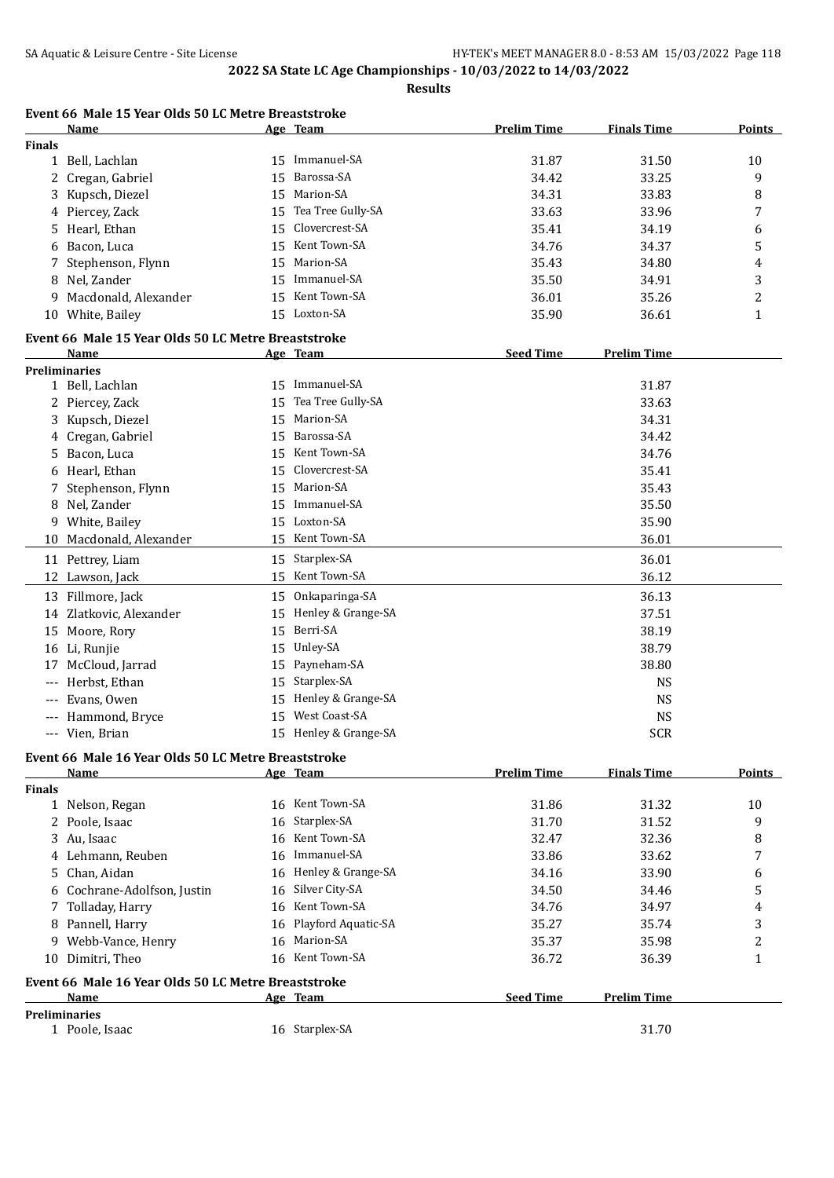|                     | Name                                                |    | Age Team              | <b>Prelim Time</b> | <b>Finals Time</b> | <b>Points</b>  |
|---------------------|-----------------------------------------------------|----|-----------------------|--------------------|--------------------|----------------|
| <b>Finals</b>       |                                                     |    |                       |                    |                    |                |
|                     | 1 Bell, Lachlan                                     | 15 | Immanuel-SA           | 31.87              | 31.50              | 10             |
|                     | 2 Cregan, Gabriel                                   | 15 | Barossa-SA            | 34.42              | 33.25              | 9              |
|                     | Kupsch, Diezel                                      | 15 | Marion-SA             | 34.31              | 33.83              | 8              |
|                     | 4 Piercey, Zack                                     | 15 | Tea Tree Gully-SA     | 33.63              | 33.96              | 7              |
| 5                   | Hearl, Ethan                                        | 15 | Clovercrest-SA        | 35.41              | 34.19              | 6              |
| 6                   | Bacon, Luca                                         |    | 15 Kent Town-SA       | 34.76              | 34.37              | 5              |
| 7                   | Stephenson, Flynn                                   | 15 | Marion-SA             | 35.43              | 34.80              | 4              |
| 8                   | Nel, Zander                                         | 15 | Immanuel-SA           | 35.50              | 34.91              | 3              |
| 9                   | Macdonald, Alexander                                | 15 | Kent Town-SA          | 36.01              | 35.26              | 2              |
|                     | 10 White, Bailey                                    |    | 15 Loxton-SA          | 35.90              | 36.61              | 1              |
|                     |                                                     |    |                       |                    |                    |                |
|                     | Event 66 Male 15 Year Olds 50 LC Metre Breaststroke |    |                       |                    |                    |                |
|                     | Name                                                |    | Age Team              | <b>Seed Time</b>   | <b>Prelim Time</b> |                |
|                     | <b>Preliminaries</b>                                |    |                       |                    |                    |                |
|                     | 1 Bell, Lachlan                                     |    | 15 Immanuel-SA        |                    | 31.87              |                |
|                     | 2 Piercey, Zack                                     | 15 | Tea Tree Gully-SA     |                    | 33.63              |                |
| 3                   | Kupsch, Diezel                                      | 15 | Marion-SA             |                    | 34.31              |                |
|                     | Cregan, Gabriel                                     | 15 | Barossa-SA            |                    | 34.42              |                |
| 5                   | Bacon, Luca                                         | 15 | Kent Town-SA          |                    | 34.76              |                |
| 6                   | Hearl, Ethan                                        | 15 | Clovercrest-SA        |                    | 35.41              |                |
|                     | Stephenson, Flynn                                   | 15 | Marion-SA             |                    | 35.43              |                |
|                     | 8 Nel, Zander                                       | 15 | Immanuel-SA           |                    | 35.50              |                |
|                     | 9 White, Bailey                                     | 15 | Loxton-SA             |                    | 35.90              |                |
| 10                  | Macdonald, Alexander                                |    | 15 Kent Town-SA       |                    | 36.01              |                |
|                     | 11 Pettrey, Liam                                    | 15 | Starplex-SA           |                    | 36.01              |                |
|                     | 12 Lawson, Jack                                     | 15 | Kent Town-SA          |                    | 36.12              |                |
|                     | 13 Fillmore, Jack                                   |    | 15 Onkaparinga-SA     |                    | 36.13              |                |
|                     |                                                     |    | Henley & Grange-SA    |                    |                    |                |
| 14                  | Zlatkovic, Alexander                                | 15 |                       |                    | 37.51              |                |
|                     | 15 Moore, Rory                                      | 15 | Berri-SA              |                    | 38.19              |                |
|                     | 16 Li, Runjie                                       | 15 | Unley-SA              |                    | 38.79              |                |
| 17                  | McCloud, Jarrad                                     | 15 | Payneham-SA           |                    | 38.80              |                |
| $---$               | Herbst, Ethan                                       | 15 | Starplex-SA           |                    | <b>NS</b>          |                |
| $---$               | Evans, Owen                                         |    | 15 Henley & Grange-SA |                    | <b>NS</b>          |                |
| $---$               | Hammond, Bryce                                      | 15 | West Coast-SA         |                    | <b>NS</b>          |                |
| $\qquad \qquad - -$ | Vien, Brian                                         |    | 15 Henley & Grange-SA |                    | <b>SCR</b>         |                |
|                     | Event 66 Male 16 Year Olds 50 LC Metre Breaststroke |    |                       |                    |                    |                |
|                     | Name                                                |    | Age Team              | <b>Prelim Time</b> | <b>Finals Time</b> | <b>Points</b>  |
| <b>Finals</b>       |                                                     |    |                       |                    |                    |                |
|                     | 1 Nelson, Regan                                     |    | 16 Kent Town-SA       | 31.86              | 31.32              | 10             |
|                     | 2 Poole, Isaac                                      |    | 16 Starplex-SA        | 31.70              | 31.52              | 9              |
|                     | 3 Au, Isaac                                         |    | 16 Kent Town-SA       | 32.47              | 32.36              | 8              |
|                     | 4 Lehmann, Reuben                                   | 16 | Immanuel-SA           | 33.86              | 33.62              | 7              |
| 5                   | Chan, Aidan                                         | 16 | Henley & Grange-SA    | 34.16              | 33.90              | 6              |
|                     | 6 Cochrane-Adolfson, Justin                         | 16 | Silver City-SA        | 34.50              | 34.46              | 5              |
| 7                   | Tolladay, Harry                                     | 16 | Kent Town-SA          | 34.76              | 34.97              |                |
|                     |                                                     |    | Playford Aquatic-SA   |                    |                    | 4              |
| 8                   | Pannell, Harry                                      | 16 | Marion-SA             | 35.27              | 35.74              | 3              |
|                     | 9 Webb-Vance, Henry                                 | 16 |                       | 35.37              | 35.98              | $\overline{c}$ |
|                     | 10 Dimitri, Theo                                    | 16 | Kent Town-SA          | 36.72              | 36.39              | $\mathbf{1}$   |
|                     | Event 66 Male 16 Year Olds 50 LC Metre Breaststroke |    |                       |                    |                    |                |
|                     | Name                                                |    | Age Team              | <b>Seed Time</b>   | <b>Prelim Time</b> |                |
|                     | <b>Preliminaries</b>                                |    |                       |                    |                    |                |
|                     | 1 Poole, Isaac                                      |    | 16 Starplex-SA        |                    | 31.70              |                |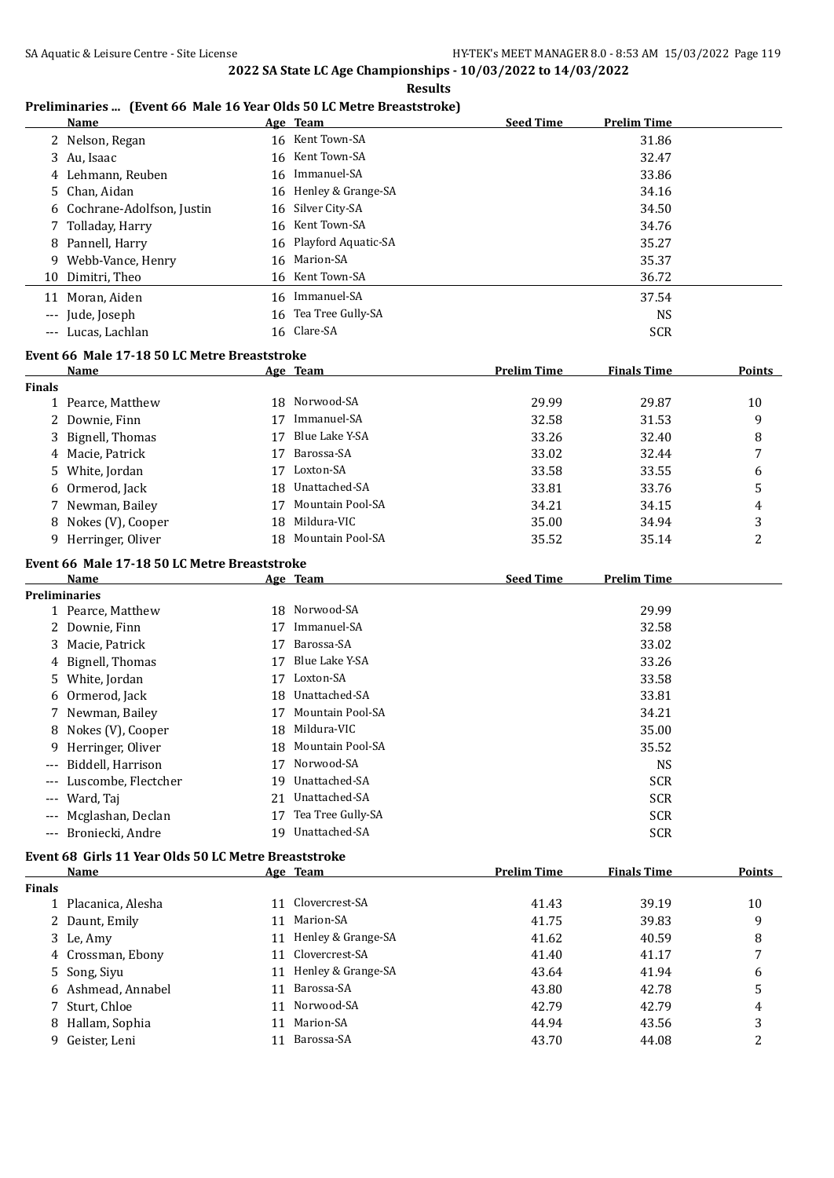**Results**

#### **Preliminaries ... (Event 66 Male 16 Year Olds 50 LC Metre Breaststroke)**

|               | <b>Name</b>                                          |    | Age Team             | <b>Seed Time</b>   | <b>Prelim Time</b> |                |
|---------------|------------------------------------------------------|----|----------------------|--------------------|--------------------|----------------|
|               | 2 Nelson, Regan                                      |    | 16 Kent Town-SA      |                    | 31.86              |                |
|               | 3 Au, Isaac                                          | 16 | Kent Town-SA         |                    | 32.47              |                |
|               | Lehmann, Reuben                                      | 16 | Immanuel-SA          |                    | 33.86              |                |
| 5             | Chan, Aidan                                          | 16 | Henley & Grange-SA   |                    | 34.16              |                |
| 6             | Cochrane-Adolfson, Justin                            | 16 | Silver City-SA       |                    | 34.50              |                |
|               | 7 Tolladay, Harry                                    | 16 | Kent Town-SA         |                    | 34.76              |                |
|               | 8 Pannell, Harry                                     | 16 | Playford Aquatic-SA  |                    | 35.27              |                |
|               | 9 Webb-Vance, Henry                                  | 16 | Marion-SA            |                    | 35.37              |                |
| 10            | Dimitri, Theo                                        |    | 16 Kent Town-SA      |                    | 36.72              |                |
|               | 11 Moran, Aiden                                      |    | 16 Immanuel-SA       |                    | 37.54              |                |
|               | --- Jude, Joseph                                     |    | 16 Tea Tree Gully-SA |                    | <b>NS</b>          |                |
|               | --- Lucas, Lachlan                                   |    | 16 Clare-SA          |                    | <b>SCR</b>         |                |
|               |                                                      |    |                      |                    |                    |                |
|               | Event 66 Male 17-18 50 LC Metre Breaststroke         |    |                      |                    |                    |                |
|               | Name                                                 |    | Age Team             | <b>Prelim Time</b> | <b>Finals Time</b> | Points         |
| <b>Finals</b> | 1 Pearce, Matthew                                    |    | 18 Norwood-SA        | 29.99              | 29.87              | 10             |
|               | 2 Downie, Finn                                       |    | 17 Immanuel-SA       | 32.58              | 31.53              | 9              |
|               |                                                      | 17 | Blue Lake Y-SA       | 33.26              |                    |                |
| 3             | Bignell, Thomas                                      |    | Barossa-SA           |                    | 32.40              | 8              |
|               | 4 Macie, Patrick                                     | 17 | Loxton-SA            | 33.02              | 32.44              | 7              |
|               | 5 White, Jordan                                      | 17 |                      | 33.58              | 33.55              | 6              |
|               | 6 Ormerod, Jack                                      |    | 18 Unattached-SA     | 33.81              | 33.76              | 5              |
|               | 7 Newman, Bailey                                     | 17 | Mountain Pool-SA     | 34.21              | 34.15              | 4              |
|               | 8 Nokes (V), Cooper                                  | 18 | Mildura-VIC          | 35.00              | 34.94              | 3              |
|               | 9 Herringer, Oliver                                  |    | 18 Mountain Pool-SA  | 35.52              | 35.14              | 2              |
|               | Event 66 Male 17-18 50 LC Metre Breaststroke         |    |                      |                    |                    |                |
|               | Name                                                 |    | Age Team             | <b>Seed Time</b>   | <b>Prelim Time</b> |                |
|               | <b>Preliminaries</b>                                 |    |                      |                    |                    |                |
|               | 1 Pearce, Matthew                                    |    | 18 Norwood-SA        |                    | 29.99              |                |
|               | 2 Downie, Finn                                       | 17 | Immanuel-SA          |                    | 32.58              |                |
|               | 3 Macie, Patrick                                     | 17 | Barossa-SA           |                    | 33.02              |                |
|               | 4 Bignell, Thomas                                    | 17 | Blue Lake Y-SA       |                    | 33.26              |                |
| 5.            | White, Jordan                                        | 17 | Loxton-SA            |                    | 33.58              |                |
|               | 6 Ormerod, Jack                                      | 18 | Unattached-SA        |                    | 33.81              |                |
|               | 7 Newman, Bailey                                     | 17 | Mountain Pool-SA     |                    | 34.21              |                |
|               | 8 Nokes (V), Cooper                                  |    | 18 Mildura-VIC       |                    | 35.00              |                |
|               | 9 Herringer, Oliver                                  | 18 | Mountain Pool-SA     |                    | 35.52              |                |
| $---$         | Biddell, Harrison                                    | 17 | Norwood-SA           |                    | <b>NS</b>          |                |
|               | Luscombe, Flectcher                                  | 19 | Unattached-SA        |                    | <b>SCR</b>         |                |
| ---           | Ward, Taj                                            | 21 | Unattached-SA        |                    | <b>SCR</b>         |                |
| ---           | Mcglashan, Declan                                    | 17 | Tea Tree Gully-SA    |                    | <b>SCR</b>         |                |
| ---           | Broniecki, Andre                                     |    | 19 Unattached-SA     |                    | <b>SCR</b>         |                |
|               | Event 68 Girls 11 Year Olds 50 LC Metre Breaststroke |    |                      |                    |                    |                |
|               | Name                                                 |    | Age Team             | <b>Prelim Time</b> | <b>Finals Time</b> | <b>Points</b>  |
| Finals        |                                                      |    |                      |                    |                    |                |
|               | 1 Placanica, Alesha                                  |    | 11 Clovercrest-SA    | 41.43              | 39.19              | 10             |
|               | 2 Daunt, Emily                                       | 11 | Marion-SA            | 41.75              | 39.83              | 9              |
| 3             | Le, Amy                                              | 11 | Henley & Grange-SA   | 41.62              | 40.59              | 8              |
| 4             | Crossman, Ebony                                      | 11 | Clovercrest-SA       | 41.40              | 41.17              | 7              |
| 5             | Song, Siyu                                           | 11 | Henley & Grange-SA   | 43.64              | 41.94              | 6              |
|               | 6 Ashmead, Annabel                                   | 11 | Barossa-SA           | 43.80              | 42.78              | 5              |
| 7             | Sturt, Chloe                                         | 11 | Norwood-SA           | 42.79              | 42.79              | 4              |
| 8             | Hallam, Sophia                                       | 11 | Marion-SA            | 44.94              | 43.56              | 3              |
|               | 9 Geister, Leni                                      |    | 11 Barossa-SA        | 43.70              | 44.08              | $\overline{c}$ |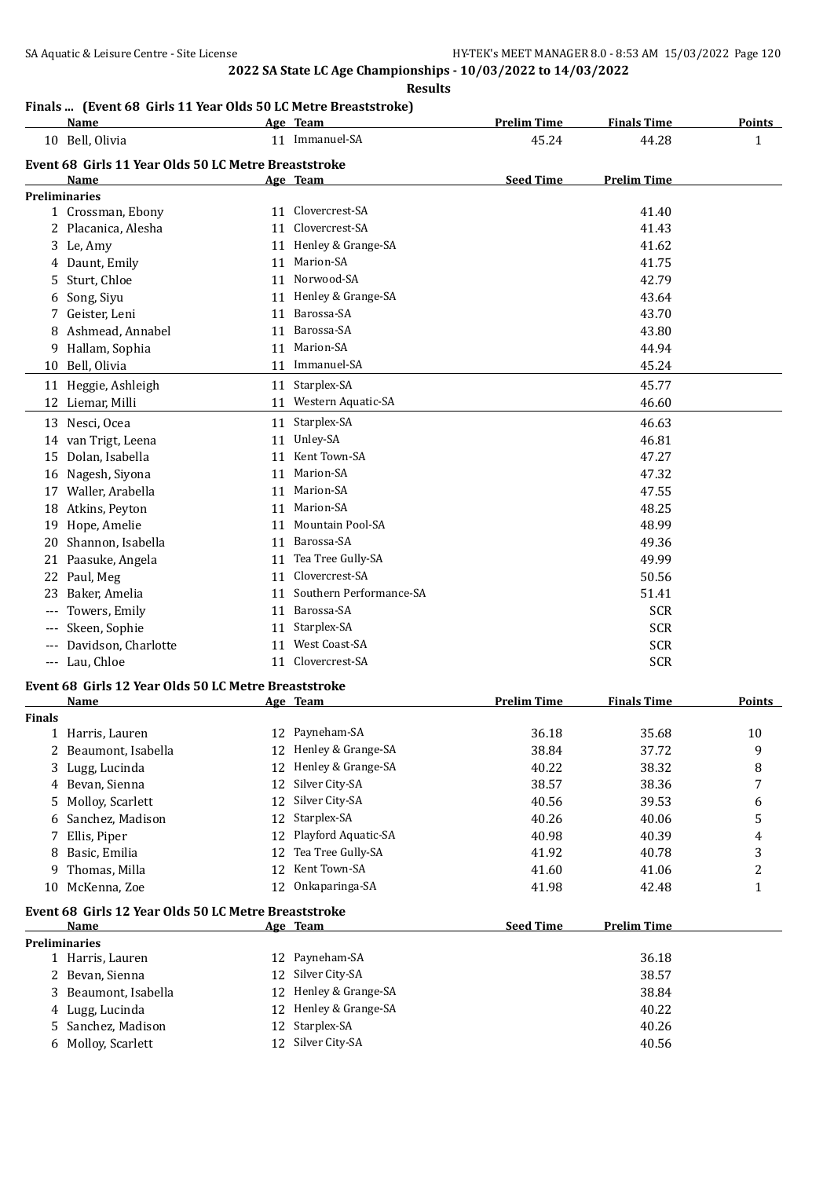**Results**

## **Finals ... (Event 68 Girls 11 Year Olds 50 LC Metre Breaststroke)**

|               | <b>Name</b>                                                  |    | Age Team                | <b>Prelim Time</b> | <b>Finals Time</b> | <b>Points</b> |
|---------------|--------------------------------------------------------------|----|-------------------------|--------------------|--------------------|---------------|
|               | 10 Bell, Olivia                                              |    | 11 Immanuel-SA          | 45.24              | 44.28              | 1             |
|               | Event 68 Girls 11 Year Olds 50 LC Metre Breaststroke         |    |                         |                    |                    |               |
|               | Name                                                         |    | Age Team                | <b>Seed Time</b>   | <b>Prelim Time</b> |               |
|               | <b>Preliminaries</b>                                         |    |                         |                    |                    |               |
|               | 1 Crossman, Ebony                                            |    | 11 Clovercrest-SA       |                    | 41.40              |               |
|               | 2 Placanica, Alesha                                          | 11 | Clovercrest-SA          |                    | 41.43              |               |
|               | 3 Le, Amy                                                    | 11 | Henley & Grange-SA      |                    | 41.62              |               |
|               | 4 Daunt, Emily                                               | 11 | Marion-SA               |                    | 41.75              |               |
| 5.            | Sturt, Chloe                                                 | 11 | Norwood-SA              |                    | 42.79              |               |
| 6             | Song, Siyu                                                   |    | 11 Henley & Grange-SA   |                    | 43.64              |               |
| 7             | Geister, Leni                                                | 11 | Barossa-SA              |                    | 43.70              |               |
|               | 8 Ashmead, Annabel                                           | 11 | Barossa-SA              |                    | 43.80              |               |
| 9             | Hallam, Sophia                                               | 11 | Marion-SA               |                    | 44.94              |               |
| 10            | Bell, Olivia                                                 | 11 | Immanuel-SA             |                    | 45.24              |               |
|               | 11 Heggie, Ashleigh                                          | 11 | Starplex-SA             |                    | 45.77              |               |
|               | 12 Liemar, Milli                                             |    | 11 Western Aquatic-SA   |                    | 46.60              |               |
|               | 13 Nesci, Ocea                                               | 11 | Starplex-SA             |                    | 46.63              |               |
|               | 14 van Trigt, Leena                                          | 11 | Unley-SA                |                    | 46.81              |               |
|               | 15 Dolan, Isabella                                           | 11 | Kent Town-SA            |                    | 47.27              |               |
|               | 16 Nagesh, Siyona                                            | 11 | Marion-SA               |                    | 47.32              |               |
| 17            | Waller, Arabella                                             | 11 | Marion-SA               |                    | 47.55              |               |
|               | 18 Atkins, Peyton                                            | 11 | Marion-SA               |                    | 48.25              |               |
|               | 19 Hope, Amelie                                              | 11 | <b>Mountain Pool-SA</b> |                    | 48.99              |               |
|               | 20 Shannon, Isabella                                         | 11 | Barossa-SA              |                    | 49.36              |               |
|               | 21 Paasuke, Angela                                           | 11 | Tea Tree Gully-SA       |                    | 49.99              |               |
|               | 22 Paul, Meg                                                 | 11 | Clovercrest-SA          |                    | 50.56              |               |
| 23            | Baker, Amelia                                                | 11 | Southern Performance-SA |                    | 51.41              |               |
|               | Towers, Emily                                                |    | 11 Barossa-SA           |                    | <b>SCR</b>         |               |
|               | Skeen, Sophie                                                | 11 | Starplex-SA             |                    | <b>SCR</b>         |               |
| $---$         | Davidson, Charlotte                                          | 11 | West Coast-SA           |                    | <b>SCR</b>         |               |
|               | --- Lau, Chloe                                               |    | 11 Clovercrest-SA       |                    | <b>SCR</b>         |               |
|               |                                                              |    |                         |                    |                    |               |
|               | Event 68 Girls 12 Year Olds 50 LC Metre Breaststroke<br>Name |    | Age Team                | <b>Prelim Time</b> | <b>Finals Time</b> | <b>Points</b> |
| <b>Finals</b> |                                                              |    |                         |                    |                    |               |
|               | 1 Harris, Lauren                                             |    | 12 Payneham-SA          | 36.18              | 35.68              | 10            |
|               | Beaumont, Isabella                                           |    | 12 Henley & Grange-SA   | 38.84              | 37.72              | 9             |
|               | 3 Lugg, Lucinda                                              |    | 12 Henley & Grange-SA   | 40.22              | 38.32              | 8             |
|               | 4 Bevan, Sienna                                              | 12 | Silver City-SA          | 38.57              | 38.36              | 7             |
| 5             | Molloy, Scarlett                                             | 12 | Silver City-SA          | 40.56              | 39.53              | 6             |
| 6             | Sanchez, Madison                                             | 12 | Starplex-SA             | 40.26              | 40.06              | 5             |
| 7             | Ellis, Piper                                                 |    | 12 Playford Aquatic-SA  | 40.98              | 40.39              | 4             |
| 8             | Basic, Emilia                                                | 12 | Tea Tree Gully-SA       | 41.92              | 40.78              | 3             |
| 9             | Thomas, Milla                                                | 12 | Kent Town-SA            | 41.60              | 41.06              | 2             |
| 10            | McKenna, Zoe                                                 | 12 | Onkaparinga-SA          | 41.98              | 42.48              | $\mathbf{1}$  |
|               |                                                              |    |                         |                    |                    |               |
|               | Event 68 Girls 12 Year Olds 50 LC Metre Breaststroke         |    |                         |                    |                    |               |
|               | Name<br><b>Preliminaries</b>                                 |    | Age Team                | <b>Seed Time</b>   | <b>Prelim Time</b> |               |
|               | 1 Harris, Lauren                                             |    | 12 Payneham-SA          |                    | 36.18              |               |
|               | 2 Bevan, Sienna                                              | 12 | Silver City-SA          |                    | 38.57              |               |
| 3             | Beaumont, Isabella                                           | 12 | Henley & Grange-SA      |                    | 38.84              |               |
|               | 4 Lugg, Lucinda                                              | 12 | Henley & Grange-SA      |                    | 40.22              |               |
|               | 5 Sanchez, Madison                                           | 12 | Starplex-SA             |                    | 40.26              |               |
|               | 6 Molloy, Scarlett                                           |    | 12 Silver City-SA       |                    | 40.56              |               |
|               |                                                              |    |                         |                    |                    |               |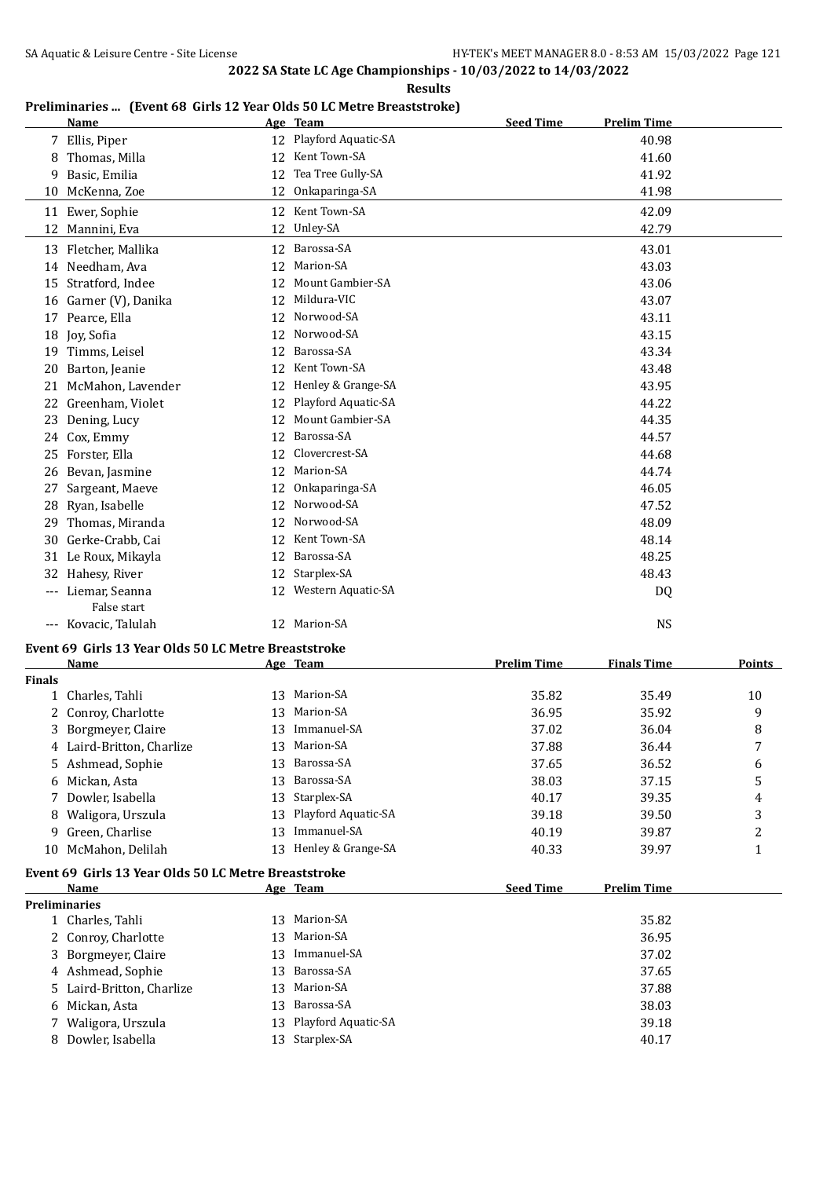**Results**

#### **Preliminaries ... (Event 68 Girls 12 Year Olds 50 LC Metre Breaststroke)**

|    | <b>Name</b>                   |    | Age Team            | <b>Seed Time</b> | <b>Prelim Time</b> |
|----|-------------------------------|----|---------------------|------------------|--------------------|
| 7  | Ellis, Piper                  | 12 | Playford Aquatic-SA |                  | 40.98              |
| 8  | Thomas, Milla                 | 12 | Kent Town-SA        |                  | 41.60              |
| 9  | Basic, Emilia                 | 12 | Tea Tree Gully-SA   |                  | 41.92              |
| 10 | McKenna, Zoe                  | 12 | Onkaparinga-SA      |                  | 41.98              |
| 11 | Ewer, Sophie                  | 12 | Kent Town-SA        |                  | 42.09              |
| 12 | Mannini, Eva                  | 12 | Unley-SA            |                  | 42.79              |
| 13 | Fletcher, Mallika             | 12 | Barossa-SA          |                  | 43.01              |
| 14 | Needham. Ava                  | 12 | Marion-SA           |                  | 43.03              |
| 15 | Stratford, Indee              | 12 | Mount Gambier-SA    |                  | 43.06              |
| 16 | Garner (V), Danika            | 12 | Mildura-VIC         |                  | 43.07              |
| 17 | Pearce, Ella                  | 12 | Norwood-SA          |                  | 43.11              |
| 18 | Joy, Sofia                    | 12 | Norwood-SA          |                  | 43.15              |
| 19 | Timms, Leisel                 | 12 | Barossa-SA          |                  | 43.34              |
| 20 | Barton, Jeanie                | 12 | Kent Town-SA        |                  | 43.48              |
| 21 | McMahon, Lavender             | 12 | Henley & Grange-SA  |                  | 43.95              |
| 22 | Greenham, Violet              | 12 | Playford Aquatic-SA |                  | 44.22              |
| 23 | Dening, Lucy                  | 12 | Mount Gambier-SA    |                  | 44.35              |
| 24 | Cox, Emmy                     | 12 | Barossa-SA          |                  | 44.57              |
| 25 | Forster, Ella                 | 12 | Clovercrest-SA      |                  | 44.68              |
| 26 | Bevan, Jasmine                | 12 | Marion-SA           |                  | 44.74              |
| 27 | Sargeant, Maeve               | 12 | Onkaparinga-SA      |                  | 46.05              |
| 28 | Ryan, Isabelle                | 12 | Norwood-SA          |                  | 47.52              |
| 29 | Thomas, Miranda               | 12 | Norwood-SA          |                  | 48.09              |
| 30 | Gerke-Crabb, Cai              | 12 | Kent Town-SA        |                  | 48.14              |
| 31 | Le Roux, Mikayla              | 12 | Barossa-SA          |                  | 48.25              |
| 32 | Hahesy, River                 | 12 | Starplex-SA         |                  | 48.43              |
|    | Liemar, Seanna<br>False start | 12 | Western Aquatic-SA  |                  | DQ                 |
|    | --- Kovacic, Talulah          |    | 12 Marion-SA        |                  | <b>NS</b>          |

#### **Event 69 Girls 13 Year Olds 50 LC Metre Breaststroke**

|               | Name                                                 |    | Age Team            | <b>Prelim Time</b> | <b>Finals Time</b> | Points |
|---------------|------------------------------------------------------|----|---------------------|--------------------|--------------------|--------|
| <b>Finals</b> |                                                      |    |                     |                    |                    |        |
| $\mathbf{1}$  | Charles, Tahli                                       | 13 | Marion-SA           | 35.82              | 35.49              | 10     |
|               | Conroy, Charlotte                                    | 13 | Marion-SA           | 36.95              | 35.92              | 9      |
| 3             | Borgmeyer, Claire                                    | 13 | Immanuel-SA         | 37.02              | 36.04              | 8      |
| 4             | Laird-Britton, Charlize                              | 13 | Marion-SA           | 37.88              | 36.44              | 7      |
| 5.            | Ashmead, Sophie                                      | 13 | Barossa-SA          | 37.65              | 36.52              | 6      |
|               | 6 Mickan, Asta                                       | 13 | Barossa-SA          | 38.03              | 37.15              | 5      |
|               | Dowler, Isabella                                     | 13 | Starplex-SA         | 40.17              | 39.35              | 4      |
| 8             | Waligora, Urszula                                    | 13 | Playford Aquatic-SA | 39.18              | 39.50              | 3      |
| 9.            | Green, Charlise                                      | 13 | Immanuel-SA         | 40.19              | 39.87              | 2      |
| 10            | McMahon, Delilah                                     | 13 | Henley & Grange-SA  | 40.33              | 39.97              | 1      |
|               | Event 69 Girls 13 Year Olds 50 LC Metre Breaststroke |    |                     |                    |                    |        |
|               | Name                                                 |    | Age Team            | <b>Seed Time</b>   | <b>Prelim Time</b> |        |
|               | <b>Preliminaries</b>                                 |    |                     |                    |                    |        |
|               | 1 Charles, Tahli                                     | 13 | Marion-SA           |                    | 35.82              |        |
|               | Conroy, Charlotte                                    | 13 | Marion-SA           |                    | 36.95              |        |
| 3.            | Borgmeyer, Claire                                    | 13 | Immanuel-SA         |                    | 37.02              |        |
|               | 4 Ashmead, Sophie                                    | 13 | Barossa-SA          |                    | 37.65              |        |
|               | 5 Laird-Britton, Charlize                            | 13 | Marion-SA           |                    | 37.88              |        |
| 6             | Mickan, Asta                                         | 13 | Barossa-SA          |                    | 38.03              |        |
|               | Waligora, Urszula                                    | 13 | Playford Aquatic-SA |                    | 39.18              |        |
| 8.            | Dowler, Isabella                                     | 13 | Starplex-SA         |                    | 40.17              |        |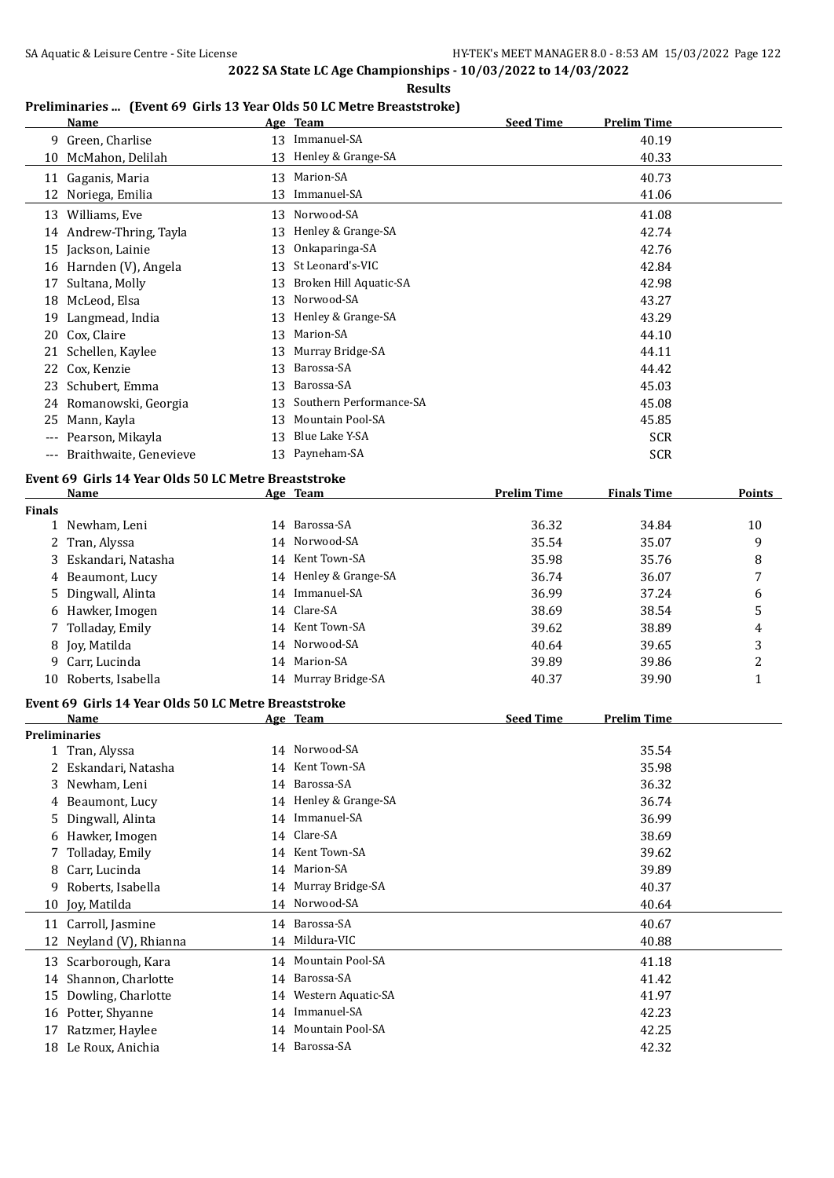**Results**

## **Preliminaries ... (Event 69 Girls 13 Year Olds 50 LC Metre Breaststroke)**

|               | <b>Name</b>                                          |    | Age Team                | <b>Seed Time</b>   | <b>Prelim Time</b> |               |
|---------------|------------------------------------------------------|----|-------------------------|--------------------|--------------------|---------------|
|               | 9 Green, Charlise                                    |    | 13 Immanuel-SA          |                    | 40.19              |               |
|               | 10 McMahon, Delilah                                  |    | 13 Henley & Grange-SA   |                    | 40.33              |               |
|               | 11 Gaganis, Maria                                    |    | 13 Marion-SA            |                    | 40.73              |               |
|               | 12 Noriega, Emilia                                   | 13 | Immanuel-SA             |                    | 41.06              |               |
|               | 13 Williams, Eve                                     |    | 13 Norwood-SA           |                    | 41.08              |               |
|               | 14 Andrew-Thring, Tayla                              |    | 13 Henley & Grange-SA   |                    | 42.74              |               |
| 15            | Jackson, Lainie                                      | 13 | Onkaparinga-SA          |                    | 42.76              |               |
|               | 16 Harnden (V), Angela                               | 13 | St Leonard's-VIC        |                    | 42.84              |               |
| 17            | Sultana, Molly                                       | 13 | Broken Hill Aquatic-SA  |                    | 42.98              |               |
| 18            | McLeod, Elsa                                         | 13 | Norwood-SA              |                    | 43.27              |               |
| 19            | Langmead, India                                      | 13 | Henley & Grange-SA      |                    | 43.29              |               |
| 20            | Cox, Claire                                          | 13 | Marion-SA               |                    | 44.10              |               |
|               | 21 Schellen, Kaylee                                  | 13 | Murray Bridge-SA        |                    | 44.11              |               |
| 22            | Cox, Kenzie                                          | 13 | Barossa-SA              |                    | 44.42              |               |
| 23            | Schubert, Emma                                       | 13 | Barossa-SA              |                    | 45.03              |               |
|               | 24 Romanowski, Georgia                               | 13 | Southern Performance-SA |                    | 45.08              |               |
| 25            | Mann, Kayla                                          | 13 | Mountain Pool-SA        |                    | 45.85              |               |
|               | --- Pearson, Mikayla                                 | 13 | Blue Lake Y-SA          |                    | <b>SCR</b>         |               |
|               | --- Braithwaite, Genevieve                           |    | 13 Payneham-SA          |                    | <b>SCR</b>         |               |
|               | Event 69 Girls 14 Year Olds 50 LC Metre Breaststroke |    |                         |                    |                    |               |
|               | Name                                                 |    | Age Team                | <b>Prelim Time</b> | <b>Finals Time</b> | <b>Points</b> |
| <b>Finals</b> |                                                      |    |                         |                    |                    |               |
|               | 1 Newham, Leni                                       |    | 14 Barossa-SA           | 36.32              | 34.84              | 10            |
| 2             | Tran, Alyssa                                         |    | 14 Norwood-SA           | 35.54              | 35.07              | 9             |
| 3             | Eskandari, Natasha                                   |    | 14 Kent Town-SA         | 35.98              | 35.76              | 8             |
| 4             | Beaumont, Lucy                                       |    | 14 Henley & Grange-SA   | 36.74              | 36.07              | 7             |
| 5             | Dingwall, Alinta                                     |    | 14 Immanuel-SA          | 36.99              | 37.24              | 6             |
| 6             | Hawker, Imogen                                       |    | 14 Clare-SA             | 38.69              | 38.54              | 5             |
|               | Tolladay, Emily                                      |    | 14 Kent Town-SA         | 39.62              | 38.89              | 4             |
| 8             | Joy, Matilda                                         |    | 14 Norwood-SA           | 40.64              | 39.65              | 3             |
| 9             | Carr, Lucinda                                        |    | 14 Marion-SA            | 39.89              | 39.86              | 2             |
|               | 10 Roberts, Isabella                                 |    | 14 Murray Bridge-SA     | 40.37              | 39.90              | $\mathbf{1}$  |
|               | Event 69 Girls 14 Year Olds 50 LC Metre Breaststroke |    |                         |                    |                    |               |
|               | Name                                                 |    | Age Team                | <b>Seed Time</b>   | <b>Prelim Time</b> |               |
|               | <b>Preliminaries</b>                                 |    |                         |                    |                    |               |
| 1             | Tran, Alyssa                                         |    | 14 Norwood-SA           |                    | 35.54              |               |
| 2             | Eskandari, Natasha                                   | 14 | Kent Town-SA            |                    | 35.98              |               |
| 3             | Newham, Leni                                         | 14 | Barossa-SA              |                    | 36.32              |               |
| 4             | Beaumont, Lucy                                       | 14 | Henley & Grange-SA      |                    | 36.74              |               |
| 5             | Dingwall, Alinta                                     | 14 | Immanuel-SA             |                    | 36.99              |               |
| 6             | Hawker, Imogen                                       | 14 | Clare-SA                |                    | 38.69              |               |
| 7             | Tolladay, Emily                                      | 14 | Kent Town-SA            |                    | 39.62              |               |
| 8             | Carr, Lucinda                                        | 14 | Marion-SA               |                    | 39.89              |               |
| 9             | Roberts, Isabella                                    | 14 | Murray Bridge-SA        |                    | 40.37              |               |
| 10            | Joy, Matilda                                         |    | 14 Norwood-SA           |                    | 40.64              |               |
|               | 11 Carroll, Jasmine                                  | 14 | Barossa-SA              |                    | 40.67              |               |
| 12            | Neyland (V), Rhianna                                 | 14 | Mildura-VIC             |                    | 40.88              |               |
| 13            | Scarborough, Kara                                    | 14 | Mountain Pool-SA        |                    | 41.18              |               |
| 14            | Shannon, Charlotte                                   | 14 | Barossa-SA              |                    | 41.42              |               |
| 15            | Dowling, Charlotte                                   | 14 | Western Aquatic-SA      |                    | 41.97              |               |
|               | 16 Potter, Shyanne                                   |    | 14 Immanuel-SA          |                    | 42.23              |               |
| 17            | Ratzmer, Haylee                                      |    | 14 Mountain Pool-SA     |                    | 42.25              |               |
|               | 18 Le Roux, Anichia                                  |    | 14 Barossa-SA           |                    | 42.32              |               |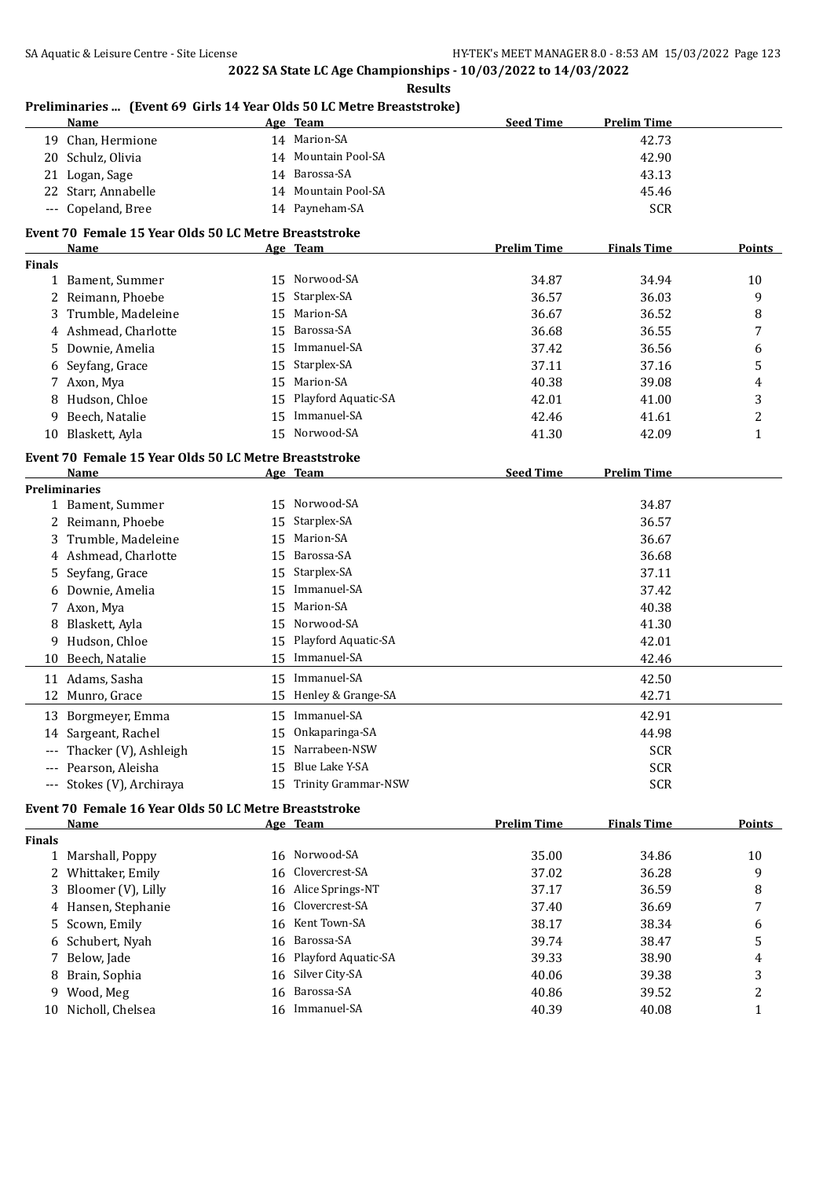**Results**

|               | Preliminaries  (Event 69 Girls 14 Year Olds 50 LC Metre Breaststroke) |    |                        |                    |                    |              |
|---------------|-----------------------------------------------------------------------|----|------------------------|--------------------|--------------------|--------------|
|               | Name                                                                  |    | Age Team               | <b>Seed Time</b>   | <b>Prelim Time</b> |              |
|               | 19 Chan, Hermione                                                     |    | 14 Marion-SA           |                    | 42.73              |              |
|               | 20 Schulz, Olivia                                                     |    | 14 Mountain Pool-SA    |                    | 42.90              |              |
|               | 21 Logan, Sage                                                        |    | 14 Barossa-SA          |                    | 43.13              |              |
|               | 22 Starr, Annabelle                                                   |    | 14 Mountain Pool-SA    |                    | 45.46              |              |
|               | --- Copeland, Bree                                                    |    | 14 Payneham-SA         |                    | <b>SCR</b>         |              |
|               | Event 70 Female 15 Year Olds 50 LC Metre Breaststroke                 |    |                        |                    |                    |              |
|               | Name                                                                  |    | Age Team               | <b>Prelim Time</b> | <b>Finals Time</b> | Points       |
| <b>Finals</b> |                                                                       |    |                        |                    |                    |              |
|               | 1 Bament, Summer                                                      |    | 15 Norwood-SA          | 34.87              | 34.94              | 10           |
|               | 2 Reimann, Phoebe                                                     | 15 | Starplex-SA            | 36.57              | 36.03              | 9            |
|               | 3 Trumble, Madeleine                                                  | 15 | Marion-SA              | 36.67              | 36.52              | 8            |
|               | 4 Ashmead, Charlotte                                                  | 15 | Barossa-SA             | 36.68              | 36.55              | 7            |
|               | 5 Downie, Amelia                                                      |    | 15 Immanuel-SA         | 37.42              | 36.56              | 6            |
|               | 6 Seyfang, Grace                                                      | 15 | Starplex-SA            | 37.11              | 37.16              | 5            |
|               | 7 Axon, Mya                                                           | 15 | Marion-SA              | 40.38              | 39.08              | 4            |
| 8             | Hudson, Chloe                                                         | 15 | Playford Aquatic-SA    | 42.01              | 41.00              | 3            |
| 9             | Beech, Natalie                                                        | 15 | Immanuel-SA            | 42.46              | 41.61              | 2            |
|               | 10 Blaskett, Ayla                                                     | 15 | Norwood-SA             | 41.30              | 42.09              | $\mathbf{1}$ |
|               | Event 70 Female 15 Year Olds 50 LC Metre Breaststroke                 |    |                        |                    |                    |              |
|               | Name                                                                  |    | Age Team               | <b>Seed Time</b>   | <b>Prelim Time</b> |              |
|               | <b>Preliminaries</b>                                                  |    |                        |                    |                    |              |
|               | 1 Bament, Summer                                                      |    | 15 Norwood-SA          |                    | 34.87              |              |
|               | 2 Reimann, Phoebe                                                     |    | 15 Starplex-SA         |                    | 36.57              |              |
| 3             | Trumble, Madeleine                                                    | 15 | Marion-SA              |                    | 36.67              |              |
|               | 4 Ashmead, Charlotte                                                  | 15 | Barossa-SA             |                    | 36.68              |              |
| 5.            | Seyfang, Grace                                                        | 15 | Starplex-SA            |                    | 37.11              |              |
|               | 6 Downie, Amelia                                                      | 15 | Immanuel-SA            |                    | 37.42              |              |
|               | 7 Axon, Mya                                                           | 15 | Marion-SA              |                    | 40.38              |              |
| 8             | Blaskett, Ayla                                                        | 15 | Norwood-SA             |                    | 41.30              |              |
| 9.            | Hudson, Chloe                                                         | 15 | Playford Aquatic-SA    |                    | 42.01              |              |
| 10            | Beech, Natalie                                                        |    | 15 Immanuel-SA         |                    | 42.46              |              |
|               | 11 Adams, Sasha                                                       |    | 15 Immanuel-SA         |                    | 42.50              |              |
|               | 12 Munro, Grace                                                       |    | 15 Henley & Grange-SA  |                    | 42.71              |              |
|               | 13 Borgmeyer, Emma                                                    |    | 15 Immanuel-SA         |                    | 42.91              |              |
|               | 14 Sargeant, Rachel                                                   |    | 15 Onkaparinga-SA      |                    | 44.98              |              |
|               | Thacker (V), Ashleigh                                                 | 15 | Narrabeen-NSW          |                    | <b>SCR</b>         |              |
|               | Pearson, Aleisha                                                      | 15 | Blue Lake Y-SA         |                    | <b>SCR</b>         |              |
|               | Stokes (V), Archiraya                                                 |    | 15 Trinity Grammar-NSW |                    | <b>SCR</b>         |              |
| $---$         |                                                                       |    |                        |                    |                    |              |
|               | Event 70 Female 16 Year Olds 50 LC Metre Breaststroke                 |    |                        |                    |                    | Points       |
|               | <b>Name</b>                                                           |    | Age Team               | <b>Prelim Time</b> | <b>Finals Time</b> |              |
| <b>Finals</b> | 1 Marshall, Poppy                                                     |    | 16 Norwood-SA          | 35.00              | 34.86              | 10           |
|               | 2 Whittaker, Emily                                                    | 16 | Clovercrest-SA         | 37.02              | 36.28              | 9            |
|               |                                                                       |    | 16 Alice Springs-NT    |                    |                    |              |
| 3             | Bloomer (V), Lilly                                                    |    | 16 Clovercrest-SA      | 37.17              | 36.59              | 8            |
|               | 4 Hansen, Stephanie                                                   |    |                        | 37.40              | 36.69              | 7            |
| 5             | Scown, Emily                                                          |    | 16 Kent Town-SA        | 38.17              | 38.34              | 6            |
| 6             | Schubert, Nyah                                                        |    | 16 Barossa-SA          | 39.74              | 38.47              | 5            |
|               | 7 Below, Jade                                                         |    | 16 Playford Aquatic-SA | 39.33              | 38.90              | 4            |

8 Brain, Sophia 16 Silver City-SA 40.06 39.38 3 9 Wood, Meg 16 Barossa-SA 40.86 39.52 2 10 Nicholl, Chelsea 16 Immanuel-SA 40.39 40.08 1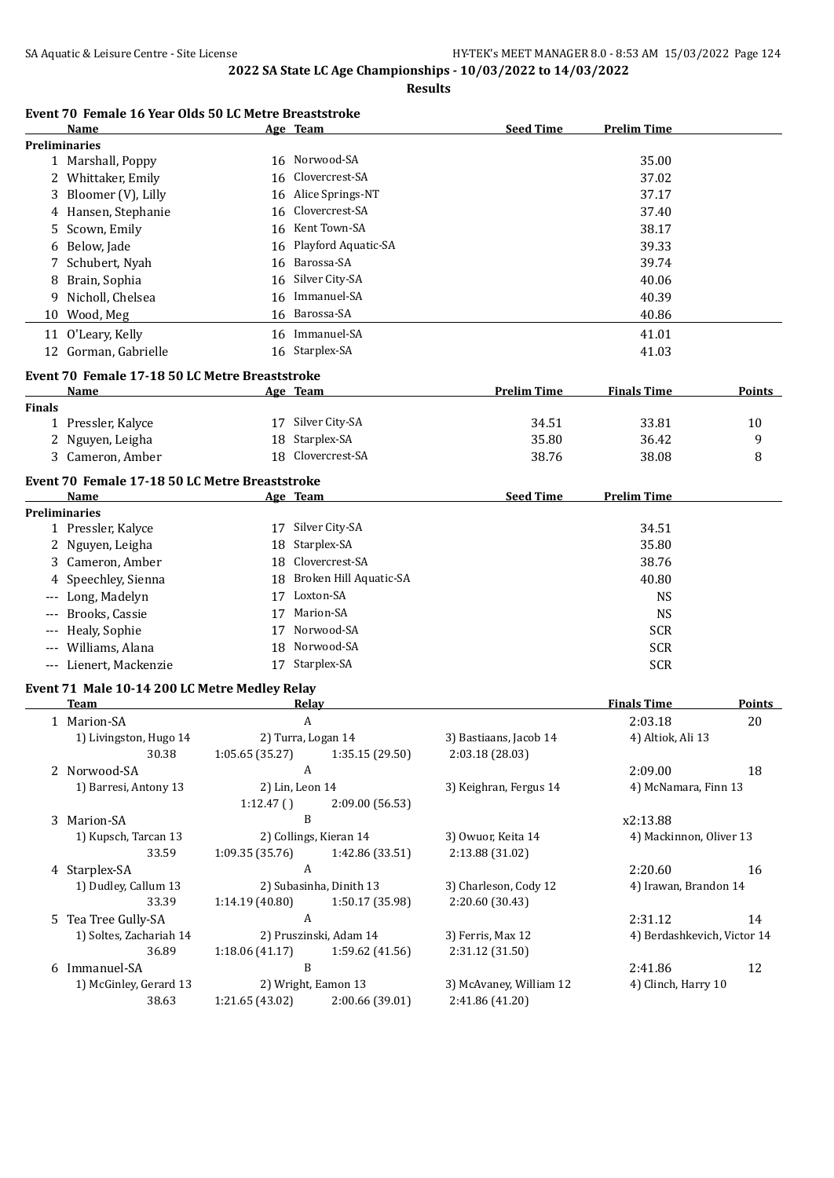**Results**

#### **Event 70 Female 16 Year Olds 50 LC Metre Breaststroke**

| Name                 | Age Team               | <b>Seed Time</b> | <b>Prelim Time</b> |
|----------------------|------------------------|------------------|--------------------|
| <b>Preliminaries</b> |                        |                  |                    |
| 1 Marshall, Poppy    | 16 Norwood-SA          |                  | 35.00              |
| 2 Whittaker, Emily   | 16 Clovercrest-SA      |                  | 37.02              |
| 3 Bloomer (V), Lilly | 16 Alice Springs-NT    |                  | 37.17              |
| 4 Hansen, Stephanie  | 16 Clovercrest-SA      |                  | 37.40              |
| 5 Scown, Emily       | 16 Kent Town-SA        |                  | 38.17              |
| 6 Below, Jade        | 16 Playford Aquatic-SA |                  | 39.33              |
| 7 Schubert, Nyah     | 16 Barossa-SA          |                  | 39.74              |
| 8 Brain, Sophia      | 16 Silver City-SA      |                  | 40.06              |
| 9 Nicholl, Chelsea   | 16 Immanuel-SA         |                  | 40.39              |
| 10 Wood, Meg         | 16 Barossa-SA          |                  | 40.86              |
| 11 O'Leary, Kelly    | 16 Immanuel-SA         |                  | 41.01              |
| 12 Gorman, Gabrielle | 16 Starplex-SA         |                  | 41.03              |

#### **Event 70 Female 17-18 50 LC Metre Breaststroke**

|               | <b>Name</b>      | Age | Team              | <b>Prelim Time</b> | <b>Finals Time</b> | Points |
|---------------|------------------|-----|-------------------|--------------------|--------------------|--------|
| <b>Finals</b> |                  |     |                   |                    |                    |        |
|               | Pressler, Kalyce |     | 17 Silver City-SA | 34.51              | 33.81              | 10     |
|               | 2 Nguyen, Leigha |     | 18 Starplex-SA    | 35.80              | 36.42              |        |
|               | 3 Cameron, Amber |     | 18 Clovercrest-SA | 38.76              | 38.08              |        |

#### **Event 70 Female 17-18 50 LC Metre Breaststroke**

| <b>Name</b>            |    | Age Team                  | <b>Seed Time</b> | Prelim Time |
|------------------------|----|---------------------------|------------------|-------------|
| Preliminaries          |    |                           |                  |             |
| 1 Pressler, Kalyce     | 17 | Silver City-SA            |                  | 34.51       |
| 2 Nguyen, Leigha       |    | 18 Starplex-SA            |                  | 35.80       |
| 3 Cameron, Amber       |    | 18 Clovercrest-SA         |                  | 38.76       |
| 4 Speechley, Sienna    |    | 18 Broken Hill Aquatic-SA |                  | 40.80       |
| --- Long, Madelyn      | 17 | Loxton-SA                 |                  | <b>NS</b>   |
| --- Brooks, Cassie     | 17 | Marion-SA                 |                  | <b>NS</b>   |
| --- Healy, Sophie      | 17 | Norwood-SA                |                  | <b>SCR</b>  |
| --- Williams, Alana    |    | 18 Norwood-SA             |                  | <b>SCR</b>  |
| --- Lienert, Mackenzie |    | Starplex-SA               |                  | <b>SCR</b>  |

#### **Event 71 Male 10-14 200 LC Metre Medley Relay**

| Team                    | Relay               |                         |                         | <b>Finals Time</b>          | <b>Points</b> |
|-------------------------|---------------------|-------------------------|-------------------------|-----------------------------|---------------|
| 1 Marion-SA             | A                   |                         |                         | 2:03.18                     | 20            |
| 1) Livingston, Hugo 14  | 2) Turra, Logan 14  |                         | 3) Bastiaans, Jacob 14  | 4) Altiok, Ali 13           |               |
| 30.38                   | 1:05.65(35.27)      | 1:35.15(29.50)          | 2:03.18(28.03)          |                             |               |
| 2 Norwood-SA            | A                   |                         |                         | 2:09.00                     | 18            |
| 1) Barresi, Antony 13   | 2) Lin, Leon 14     |                         | 3) Keighran, Fergus 14  | 4) McNamara, Finn 13        |               |
|                         | 1:12.47()           | 2:09.00(56.53)          |                         |                             |               |
| 3 Marion-SA             | B                   |                         |                         | x2:13.88                    |               |
| 1) Kupsch, Tarcan 13    |                     | 2) Collings, Kieran 14  | 3) Owuor, Keita 14      | 4) Mackinnon, Oliver 13     |               |
| 33.59                   | 1:09.35 (35.76)     | 1:42.86 (33.51)         | 2:13.88 (31.02)         |                             |               |
| 4 Starplex-SA           | A                   |                         |                         | 2:20.60                     | 16            |
| 1) Dudley, Callum 13    |                     | 2) Subasinha, Dinith 13 | 3) Charleson, Cody 12   | 4) Irawan, Brandon 14       |               |
| 33.39                   | 1:14.19 (40.80)     | 1:50.17 (35.98)         | 2:20.60 (30.43)         |                             |               |
| 5 Tea Tree Gully-SA     | A                   |                         |                         | 2:31.12                     | 14            |
| 1) Soltes, Zachariah 14 |                     | 2) Pruszinski, Adam 14  | 3) Ferris, Max 12       | 4) Berdashkevich, Victor 14 |               |
| 36.89                   | 1:18.06(41.17)      | 1:59.62(41.56)          | 2:31.12 (31.50)         |                             |               |
| 6 Immanuel-SA           | B                   |                         |                         | 2:41.86                     | 12            |
| 1) McGinley, Gerard 13  | 2) Wright, Eamon 13 |                         | 3) McAvaney, William 12 | 4) Clinch, Harry 10         |               |
| 38.63                   | 1:21.65(43.02)      | 2:00.66 (39.01)         | 2:41.86 (41.20)         |                             |               |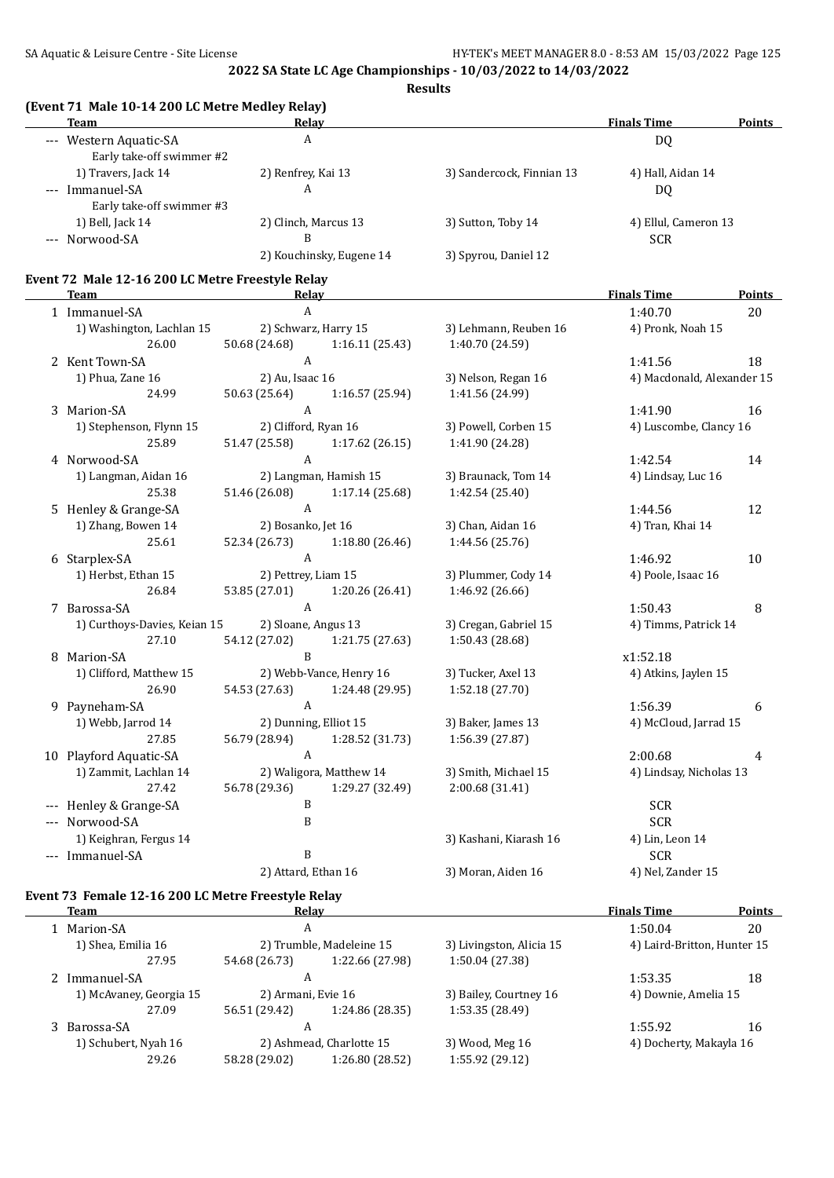**Results**

#### **(Event 71 Male 10-14 200 LC Metre Medley Relay)**

| Team                                                | . .<br>Relav             |                           | <b>Finals Time</b>   | <b>Points</b> |
|-----------------------------------------------------|--------------------------|---------------------------|----------------------|---------------|
| --- Western Aquatic-SA<br>Early take-off swimmer #2 | A                        |                           | DQ                   |               |
| 1) Travers, Jack 14                                 | 2) Renfrey, Kai 13       | 3) Sandercock, Finnian 13 | 4) Hall, Aidan 14    |               |
| --- Immanuel-SA                                     | A                        |                           | DQ                   |               |
| Early take-off swimmer #3                           |                          |                           |                      |               |
| 1) Bell, Jack 14                                    | 2) Clinch, Marcus 13     | 3) Sutton, Toby 14        | 4) Ellul, Cameron 13 |               |
| --- Norwood-SA                                      | B                        |                           | <b>SCR</b>           |               |
|                                                     | 2) Kouchinsky, Eugene 14 | 3) Spyrou, Daniel 12      |                      |               |
| <b>P. PONT LAO 47 000 TOM . P. L. L. P. L.</b>      |                          |                           |                      |               |

# **Event 72 Male 12-16 200 LC Metre Freestyle Relay**

|       | <b>Team</b>                  | Relav                |                         |                        | <b>Finals Time</b>         | <b>Points</b> |
|-------|------------------------------|----------------------|-------------------------|------------------------|----------------------------|---------------|
|       | 1 Immanuel-SA                | $\mathbf{A}$         |                         |                        | 1:40.70                    | 20            |
|       | 1) Washington, Lachlan 15    |                      | 2) Schwarz, Harry 15    | 3) Lehmann, Reuben 16  | 4) Pronk, Noah 15          |               |
|       | 26.00                        | 50.68 (24.68)        | 1:16.11(25.43)          | 1:40.70 (24.59)        |                            |               |
|       | 2 Kent Town-SA               | $\mathbf{A}$         |                         |                        | 1:41.56                    | 18            |
|       | 1) Phua, Zane 16             | 2) Au, Isaac 16      |                         | 3) Nelson, Regan 16    | 4) Macdonald, Alexander 15 |               |
|       | 24.99                        | 50.63 (25.64)        | 1:16.57 (25.94)         | 1:41.56 (24.99)        |                            |               |
|       | 3 Marion-SA                  | $\boldsymbol{A}$     |                         |                        | 1:41.90                    | 16            |
|       | 1) Stephenson, Flynn 15      | 2) Clifford, Ryan 16 |                         | 3) Powell, Corben 15   | 4) Luscombe, Clancy 16     |               |
|       | 25.89                        | 51.47 (25.58)        | 1:17.62(26.15)          | 1:41.90 (24.28)        |                            |               |
|       | 4 Norwood-SA                 | $\mathbf{A}$         |                         |                        | 1:42.54                    | 14            |
|       | 1) Langman, Aidan 16         |                      | 2) Langman, Hamish 15   | 3) Braunack, Tom 14    | 4) Lindsay, Luc 16         |               |
|       | 25.38                        | 51.46 (26.08)        | 1:17.14(25.68)          | 1:42.54 (25.40)        |                            |               |
|       | 5 Henley & Grange-SA         | $\mathbf{A}$         |                         |                        | 1:44.56                    | 12            |
|       | 1) Zhang, Bowen 14           | 2) Bosanko, Jet 16   |                         | 3) Chan, Aidan 16      | 4) Tran, Khai 14           |               |
|       | 25.61                        | 52.34 (26.73)        | 1:18.80(26.46)          | 1:44.56 (25.76)        |                            |               |
|       | 6 Starplex-SA                | $\overline{A}$       |                         |                        | 1:46.92                    | 10            |
|       | 1) Herbst, Ethan 15          | 2) Pettrey, Liam 15  |                         | 3) Plummer, Cody 14    | 4) Poole, Isaac 16         |               |
|       | 26.84                        | 53.85 (27.01)        | 1:20.26 (26.41)         | 1:46.92 (26.66)        |                            |               |
|       | 7 Barossa-SA                 | $\mathbf{A}$         |                         |                        | 1:50.43                    | 8             |
|       | 1) Curthoys-Davies, Keian 15 | 2) Sloane, Angus 13  |                         | 3) Cregan, Gabriel 15  | 4) Timms, Patrick 14       |               |
|       | 27.10                        | 54.12 (27.02)        | 1:21.75 (27.63)         | 1:50.43 (28.68)        |                            |               |
|       | 8 Marion-SA                  | B                    |                         |                        | x1:52.18                   |               |
|       | 1) Clifford, Matthew 15      |                      | 2) Webb-Vance, Henry 16 | 3) Tucker, Axel 13     | 4) Atkins, Jaylen 15       |               |
|       | 26.90                        | 54.53 (27.63)        | 1:24.48 (29.95)         | 1:52.18 (27.70)        |                            |               |
|       | 9 Payneham-SA                | A                    |                         |                        | 1:56.39                    | 6             |
|       | 1) Webb, Jarrod 14           |                      | 2) Dunning, Elliot 15   | 3) Baker, James 13     | 4) McCloud, Jarrad 15      |               |
|       | 27.85                        | 56.79 (28.94)        | 1:28.52 (31.73)         | 1:56.39 (27.87)        |                            |               |
|       | 10 Playford Aquatic-SA       | $\mathbf{A}$         |                         |                        | 2:00.68                    | 4             |
|       | 1) Zammit, Lachlan 14        |                      | 2) Waligora, Matthew 14 | 3) Smith, Michael 15   | 4) Lindsay, Nicholas 13    |               |
|       | 27.42                        | 56.78 (29.36)        | 1:29.27 (32.49)         | 2:00.68 (31.41)        |                            |               |
| $---$ | Henley & Grange-SA           | B                    |                         |                        | <b>SCR</b>                 |               |
|       | --- Norwood-SA               | B                    |                         |                        | <b>SCR</b>                 |               |
|       | 1) Keighran, Fergus 14       |                      |                         | 3) Kashani, Kiarash 16 | 4) Lin, Leon 14            |               |
|       | --- Immanuel-SA              | $\mathbf{B}$         |                         |                        | <b>SCR</b>                 |               |
|       |                              | 2) Attard, Ethan 16  |                         | 3) Moran, Aiden 16     | 4) Nel, Zander 15          |               |

#### **Event 73 Female 12-16 200 LC Metre Freestyle Relay**

| <b>Team</b>             | Relay              |                          |                          | <b>Finals Time</b>          | Points |
|-------------------------|--------------------|--------------------------|--------------------------|-----------------------------|--------|
| 1 Marion-SA             | A                  |                          |                          | 1:50.04                     | 20     |
| 1) Shea, Emilia 16      |                    | 2) Trumble, Madeleine 15 | 3) Livingston, Alicia 15 | 4) Laird-Britton, Hunter 15 |        |
| 27.95                   | 54.68 (26.73)      | 1:22.66 (27.98)          | 1:50.04 (27.38)          |                             |        |
| 2 Immanuel-SA           | A                  |                          |                          | 1:53.35                     | 18     |
| 1) McAvaney, Georgia 15 | 2) Armani, Evie 16 |                          | 3) Bailey, Courtney 16   | 4) Downie, Amelia 15        |        |
| 27.09                   | 56.51 (29.42)      | 1:24.86 (28.35)          | 1:53.35 (28.49)          |                             |        |
| 3 Barossa-SA            | A                  |                          |                          | 1:55.92                     | 16     |
| 1) Schubert, Nyah 16    |                    | 2) Ashmead, Charlotte 15 | 3) Wood, Meg 16          | 4) Docherty, Makayla 16     |        |
| 29.26                   | 58.28 (29.02)      | 1:26.80 (28.52)          | 1:55.92 (29.12)          |                             |        |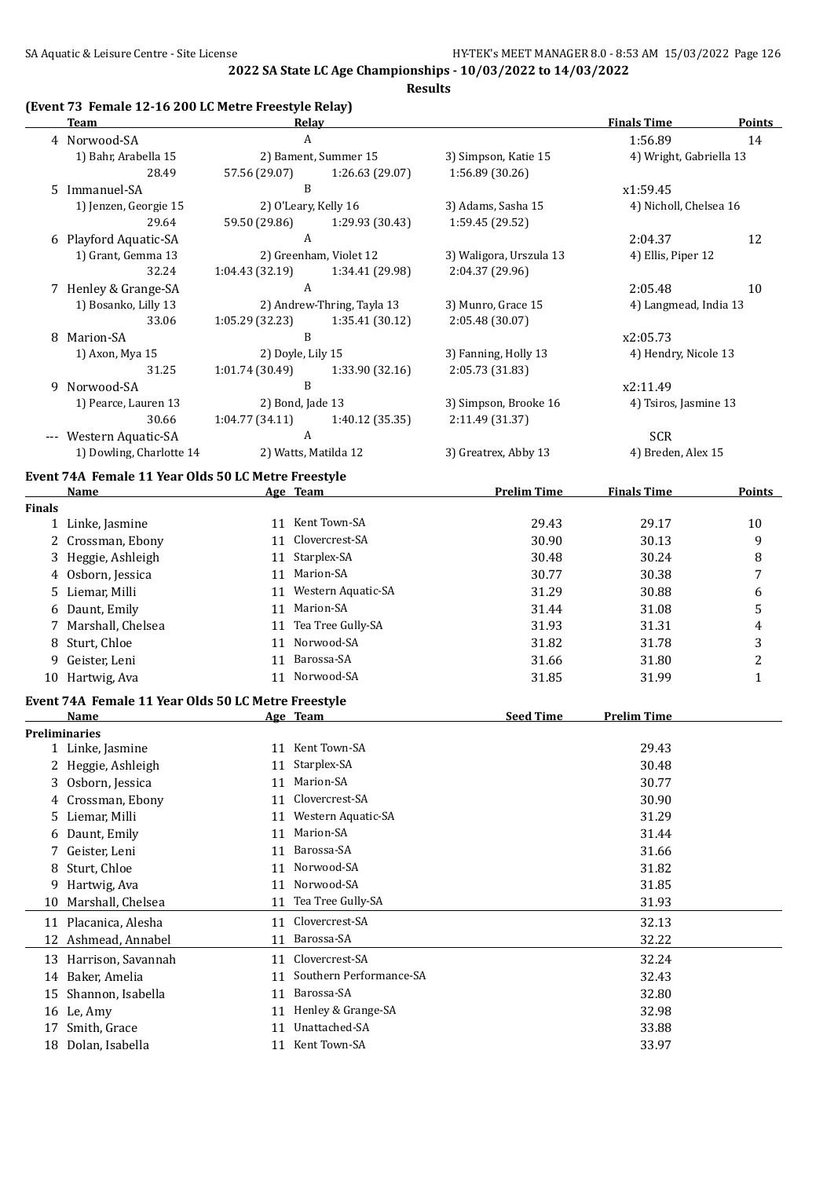#### **(Event 73 Female 12-16 200 LC Metre Freestyle Relay)**

|               | <b>Team</b>                                                 | <b>Relay</b>               |                         |                         | <b>Finals Time</b>      | <b>Points</b>           |
|---------------|-------------------------------------------------------------|----------------------------|-------------------------|-------------------------|-------------------------|-------------------------|
|               | 4 Norwood-SA                                                | A                          |                         |                         | 1:56.89                 | 14                      |
|               | 1) Bahr, Arabella 15                                        | 2) Bament, Summer 15       |                         | 3) Simpson, Katie 15    | 4) Wright, Gabriella 13 |                         |
|               | 28.49                                                       | 57.56 (29.07)              | 1:26.63 (29.07)         | 1:56.89 (30.26)         |                         |                         |
|               | 5 Immanuel-SA                                               | B                          |                         |                         | x1:59.45                |                         |
|               | 1) Jenzen, Georgie 15                                       | 2) O'Leary, Kelly 16       |                         | 3) Adams, Sasha 15      | 4) Nicholl, Chelsea 16  |                         |
|               | 29.64                                                       | 59.50 (29.86)              | 1:29.93 (30.43)         | 1:59.45 (29.52)         |                         |                         |
|               | 6 Playford Aquatic-SA                                       | A                          |                         |                         | 2:04.37                 | 12                      |
|               | 1) Grant, Gemma 13                                          | 2) Greenham, Violet 12     |                         | 3) Waligora, Urszula 13 | 4) Ellis, Piper 12      |                         |
|               | 32.24                                                       | 1:04.43 (32.19)            | 1:34.41 (29.98)         | 2:04.37 (29.96)         |                         |                         |
|               | 7 Henley & Grange-SA                                        | A                          |                         |                         | 2:05.48                 | 10                      |
|               | 1) Bosanko, Lilly 13                                        | 2) Andrew-Thring, Tayla 13 |                         | 3) Munro, Grace 15      | 4) Langmead, India 13   |                         |
|               | 33.06                                                       | 1:05.29(32.23)             | 1:35.41 (30.12)         | 2:05.48 (30.07)         |                         |                         |
|               | 8 Marion-SA                                                 | B                          |                         |                         | x2:05.73                |                         |
|               | 1) Axon, Mya 15                                             | 2) Doyle, Lily 15          |                         | 3) Fanning, Holly 13    | 4) Hendry, Nicole 13    |                         |
|               | 31.25                                                       | 1:01.74 (30.49)            | 1:33.90 (32.16)         | 2:05.73 (31.83)         |                         |                         |
|               | 9 Norwood-SA                                                | B                          |                         |                         | x2:11.49                |                         |
|               | 1) Pearce, Lauren 13                                        | 2) Bond, Jade 13           |                         | 3) Simpson, Brooke 16   | 4) Tsiros, Jasmine 13   |                         |
|               | 30.66                                                       | 1:04.77 (34.11)            | 1:40.12 (35.35)         | 2:11.49 (31.37)         |                         |                         |
|               | --- Western Aquatic-SA                                      | A                          |                         |                         | <b>SCR</b>              |                         |
|               | 1) Dowling, Charlotte 14                                    | 2) Watts, Matilda 12       |                         | 3) Greatrex, Abby 13    | 4) Breden, Alex 15      |                         |
|               | Event 74A Female 11 Year Olds 50 LC Metre Freestyle         |                            |                         |                         |                         |                         |
|               | Name                                                        | Age Team                   |                         | <b>Prelim Time</b>      | <b>Finals Time</b>      | <b>Points</b>           |
| <b>Finals</b> |                                                             |                            |                         |                         |                         |                         |
|               | 1 Linke, Jasmine                                            | 11 Kent Town-SA            |                         | 29.43                   | 29.17                   | 10                      |
|               | 2 Crossman, Ebony                                           | 11 Clovercrest-SA          |                         | 30.90                   | 30.13                   | 9                       |
| 3             | Heggie, Ashleigh                                            | 11 Starplex-SA             |                         | 30.48                   | 30.24                   | 8                       |
| 4             | Osborn, Jessica                                             | 11 Marion-SA               |                         | 30.77                   | 30.38                   | 7                       |
| 5             | Liemar, Milli                                               | 11 Western Aquatic-SA      |                         | 31.29                   | 30.88                   | 6                       |
| 6             | Daunt, Emily                                                | 11 Marion-SA               |                         | 31.44                   | 31.08                   | 5                       |
| 7.            | Marshall, Chelsea                                           | 11 Tea Tree Gully-SA       |                         | 31.93                   | 31.31                   | 4                       |
| 8             | Sturt, Chloe                                                | 11 Norwood-SA              |                         | 31.82                   | 31.78                   | 3                       |
| 9             | Geister, Leni                                               | 11 Barossa-SA              |                         | 31.66                   | 31.80                   | $\overline{\mathbf{c}}$ |
|               | 10 Hartwig, Ava                                             | 11 Norwood-SA              |                         | 31.85                   | 31.99                   | $\mathbf{1}$            |
|               |                                                             |                            |                         |                         |                         |                         |
|               | Event 74A Female 11 Year Olds 50 LC Metre Freestyle<br>Name | Age Team                   |                         | <b>Seed Time</b>        | <b>Prelim Time</b>      |                         |
|               | <b>Preliminaries</b>                                        |                            |                         |                         |                         |                         |
|               | 1 Linke, Jasmine                                            | 11 Kent Town-SA            |                         |                         | 29.43                   |                         |
|               | 2 Heggie, Ashleigh                                          | 11 Starplex-SA             |                         |                         | 30.48                   |                         |
| 3.            | Osborn, Jessica                                             | Marion-SA<br>11            |                         |                         | 30.77                   |                         |
| 4             | Crossman, Ebony                                             | Clovercrest-SA<br>11       |                         |                         | 30.90                   |                         |
| 5             | Liemar, Milli                                               | 11                         | Western Aquatic-SA      |                         | 31.29                   |                         |
| 6             | Daunt, Emily                                                | Marion-SA<br>11            |                         |                         | 31.44                   |                         |
| 7             | Geister, Leni                                               | Barossa-SA<br>11           |                         |                         | 31.66                   |                         |
| 8             | Sturt, Chloe                                                | Norwood-SA<br>11           |                         |                         | 31.82                   |                         |
|               |                                                             | Norwood-SA                 |                         |                         |                         |                         |
| 9             | Hartwig, Ava                                                | 11                         |                         |                         | 31.85                   |                         |
| 10            | Marshall, Chelsea                                           | 11                         | Tea Tree Gully-SA       |                         | 31.93                   |                         |
|               | 11 Placanica, Alesha                                        | Clovercrest-SA<br>11       |                         |                         | 32.13                   |                         |
|               | 12 Ashmead, Annabel                                         | Barossa-SA<br>11           |                         |                         | 32.22                   |                         |
|               | 13 Harrison, Savannah                                       | 11 Clovercrest-SA          |                         |                         | 32.24                   |                         |
| 14            | Baker, Amelia                                               | 11                         | Southern Performance-SA |                         | 32.43                   |                         |
| 15            | Shannon, Isabella                                           | Barossa-SA<br>11           |                         |                         | 32.80                   |                         |
|               | 16 Le, Amy                                                  | 11                         | Henley & Grange-SA      |                         | 32.98                   |                         |
| 17            | Smith, Grace                                                | Unattached-SA<br>11        |                         |                         | 33.88                   |                         |
|               | 18 Dolan, Isabella                                          | 11 Kent Town-SA            |                         |                         | 33.97                   |                         |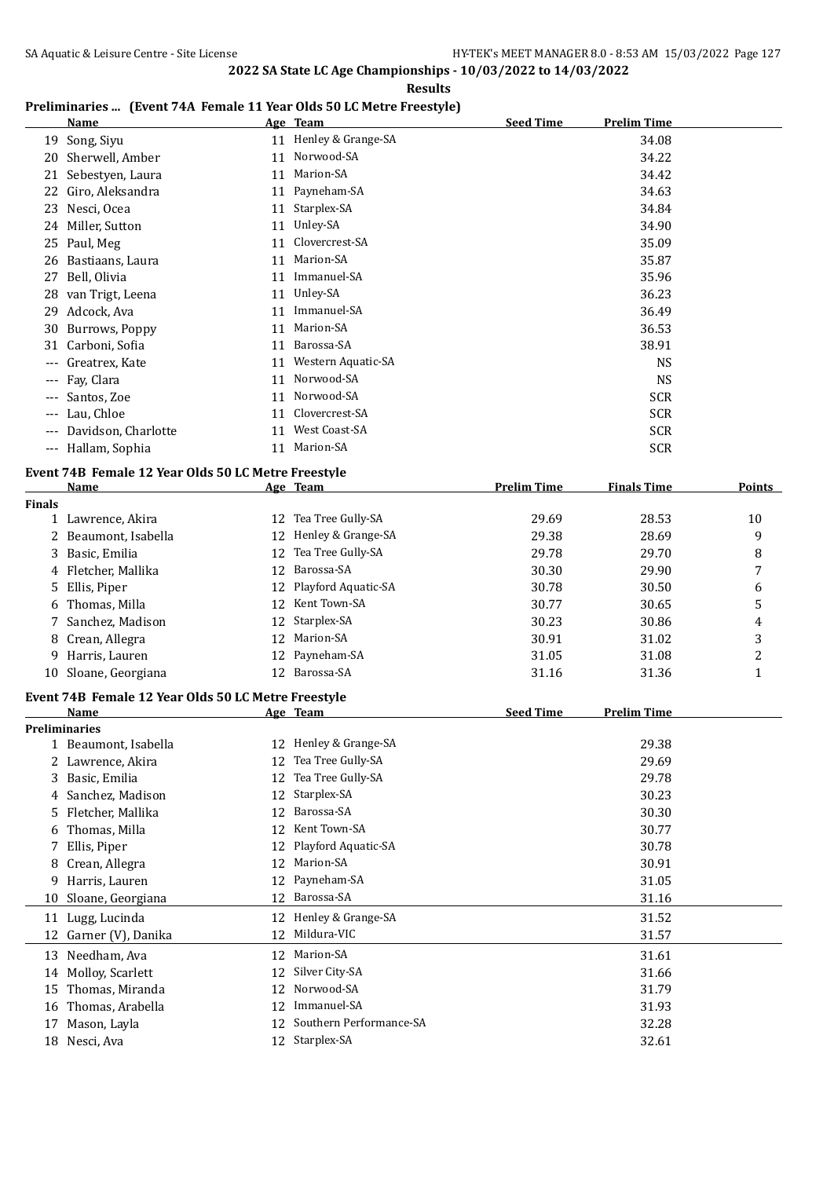**Results**

## **Preliminaries ... (Event 74A Female 11 Year Olds 50 LC Metre Freestyle)**

|          | <b>Name</b>         |    | Age Team              | <b>Seed Time</b> | Prelim Time |  |
|----------|---------------------|----|-----------------------|------------------|-------------|--|
| 19       | Song, Siyu          |    | 11 Henley & Grange-SA |                  | 34.08       |  |
| 20       | Sherwell, Amber     | 11 | Norwood-SA            |                  | 34.22       |  |
| 21       | Sebestyen, Laura    | 11 | Marion-SA             |                  | 34.42       |  |
| 22       | Giro, Aleksandra    | 11 | Payneham-SA           |                  | 34.63       |  |
| 23       | Nesci, Ocea         | 11 | Starplex-SA           |                  | 34.84       |  |
| 24       | Miller, Sutton      | 11 | Unley-SA              |                  | 34.90       |  |
| 25       | Paul, Meg           | 11 | Clovercrest-SA        |                  | 35.09       |  |
| 26       | Bastiaans, Laura    | 11 | Marion-SA             |                  | 35.87       |  |
| 27       | Bell, Olivia        | 11 | Immanuel-SA           |                  | 35.96       |  |
| 28       | van Trigt, Leena    | 11 | Unley-SA              |                  | 36.23       |  |
| 29       | Adcock, Ava         | 11 | Immanuel-SA           |                  | 36.49       |  |
| 30       | Burrows, Poppy      | 11 | Marion-SA             |                  | 36.53       |  |
| 31       | Carboni, Sofia      | 11 | Barossa-SA            |                  | 38.91       |  |
| $\cdots$ | Greatrex, Kate      | 11 | Western Aquatic-SA    |                  | <b>NS</b>   |  |
|          | --- Fay, Clara      | 11 | Norwood-SA            |                  | <b>NS</b>   |  |
| $---$    | Santos, Zoe         | 11 | Norwood-SA            |                  | <b>SCR</b>  |  |
| $---$    | Lau, Chloe          | 11 | Clovercrest-SA        |                  | <b>SCR</b>  |  |
| ---      | Davidson, Charlotte | 11 | West Coast-SA         |                  | <b>SCR</b>  |  |
| $---$    | Hallam, Sophia      | 11 | Marion-SA             |                  | <b>SCR</b>  |  |
|          |                     |    |                       |                  |             |  |

## **Event 74B Female 12 Year Olds 50 LC Metre Freestyle**

|               | Name                                                |                 | Age Team            | <b>Prelim Time</b> | <b>Finals Time</b> | Points |
|---------------|-----------------------------------------------------|-----------------|---------------------|--------------------|--------------------|--------|
| <b>Finals</b> |                                                     |                 |                     |                    |                    |        |
|               | Lawrence, Akira                                     | 12              | Tea Tree Gully-SA   | 29.69              | 28.53              | 10     |
|               | 2 Beaumont, Isabella                                | 12              | Henley & Grange-SA  | 29.38              | 28.69              | 9      |
|               | 3 Basic, Emilia                                     | 12              | Tea Tree Gully-SA   | 29.78              | 29.70              | 8      |
|               | 4 Fletcher, Mallika                                 | 12 <sup>1</sup> | Barossa-SA          | 30.30              | 29.90              | 7      |
|               | 5 Ellis, Piper                                      | 12.             | Playford Aquatic-SA | 30.78              | 30.50              | 6      |
|               | 6 Thomas, Milla                                     | 12              | Kent Town-SA        | 30.77              | 30.65              | 5      |
|               | Sanchez, Madison                                    | 12              | Starplex-SA         | 30.23              | 30.86              | 4      |
|               | 8 Crean, Allegra                                    | 12              | Marion-SA           | 30.91              | 31.02              | 3      |
| 9.            | Harris, Lauren                                      |                 | 12 Payneham-SA      | 31.05              | 31.08              | 2      |
|               | 10 Sloane, Georgiana                                | 12              | Barossa-SA          | 31.16              | 31.36              |        |
|               | Event 74B Female 12 Year Olds 50 LC Metre Freestyle |                 |                     |                    |                    |        |
|               | Name                                                |                 | Age Team            | <b>Seed Time</b>   | <b>Prelim Time</b> |        |
|               | Proliminarios                                       |                 |                     |                    |                    |        |

|    | <b>Preliminaries</b>  |    |                         |       |
|----|-----------------------|----|-------------------------|-------|
|    | 1 Beaumont, Isabella  | 12 | Henley & Grange-SA      | 29.38 |
|    | 2 Lawrence, Akira     | 12 | Tea Tree Gully-SA       | 29.69 |
| 3  | Basic, Emilia         | 12 | Tea Tree Gully-SA       | 29.78 |
| 4  | Sanchez, Madison      | 12 | Starplex-SA             | 30.23 |
| 5. | Fletcher, Mallika     | 12 | Barossa-SA              | 30.30 |
| 6  | Thomas, Milla         | 12 | Kent Town-SA            | 30.77 |
|    | Ellis, Piper          | 12 | Playford Aquatic-SA     | 30.78 |
| 8  | Crean, Allegra        | 12 | Marion-SA               | 30.91 |
| 9  | Harris, Lauren        | 12 | Payneham-SA             | 31.05 |
| 10 | Sloane, Georgiana     | 12 | Barossa-SA              | 31.16 |
| 11 | Lugg, Lucinda         |    | 12 Henley & Grange-SA   | 31.52 |
|    | 12 Garner (V), Danika | 12 | Mildura-VIC             | 31.57 |
| 13 | Needham, Ava          | 12 | Marion-SA               | 31.61 |
|    | 14 Molloy, Scarlett   | 12 | Silver City-SA          | 31.66 |
| 15 | Thomas, Miranda       | 12 | Norwood-SA              | 31.79 |
| 16 | Thomas, Arabella      | 12 | Immanuel-SA             | 31.93 |
| 17 | Mason, Layla          | 12 | Southern Performance-SA | 32.28 |
| 18 | Nesci, Ava            | 12 | Starplex-SA             | 32.61 |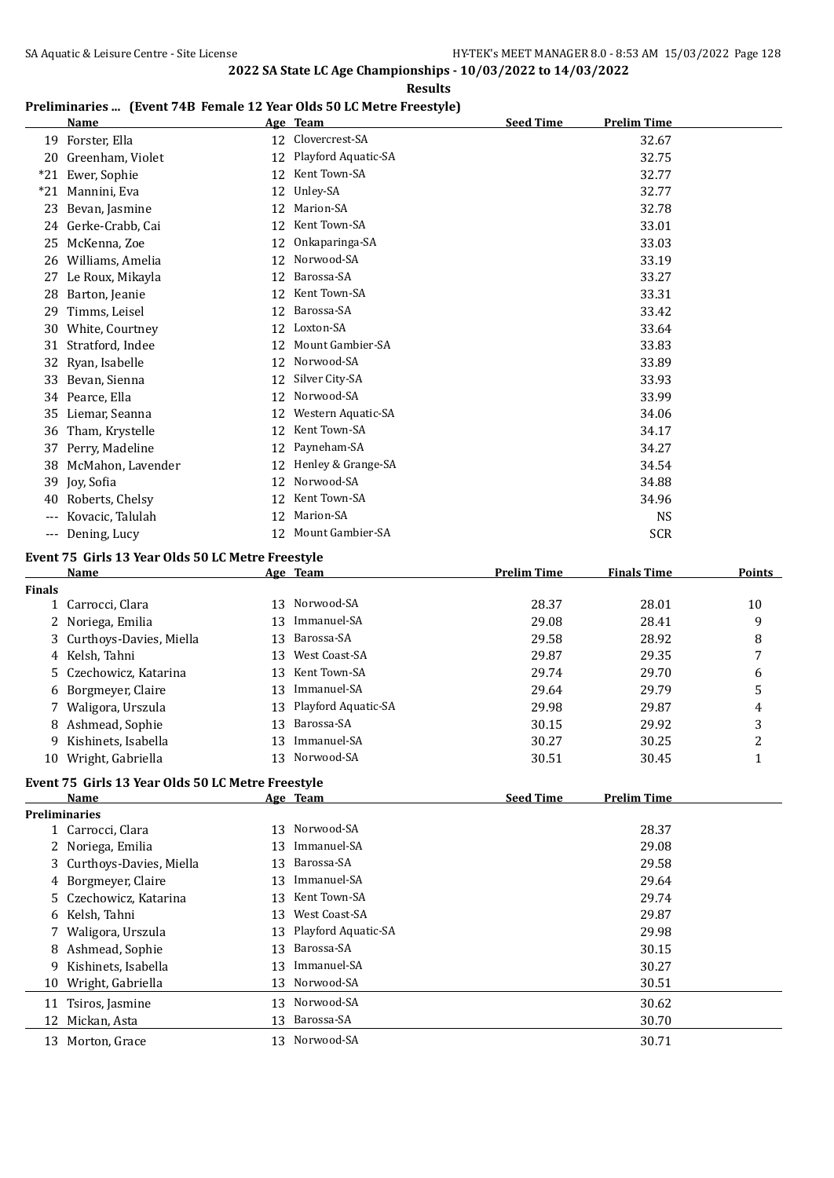#### **Results**

## **Preliminaries ... (Event 74B Female 12 Year Olds 50 LC Metre Freestyle)**

|               | Freminialies  (Event 74D remale 12 fear only 50 LC Metre Preestyle) |    |                                 | <b>Seed Time</b>   | <b>Prelim Time</b> |                   |
|---------------|---------------------------------------------------------------------|----|---------------------------------|--------------------|--------------------|-------------------|
|               | <u>Name</u><br>19 Forster, Ella                                     |    | Age Team<br>12 Clovercrest-SA   |                    | 32.67              |                   |
|               |                                                                     |    | 12 Playford Aquatic-SA          |                    |                    |                   |
|               | 20 Greenham, Violet                                                 |    | 12 Kent Town-SA                 |                    | 32.75              |                   |
|               | *21 Ewer, Sophie                                                    |    |                                 |                    | 32.77              |                   |
|               | *21 Mannini, Eva                                                    |    | 12 Unley-SA                     |                    | 32.77              |                   |
| 23            | Bevan, Jasmine                                                      |    | 12 Marion-SA<br>12 Kent Town-SA |                    | 32.78              |                   |
|               | 24 Gerke-Crabb, Cai                                                 |    |                                 |                    | 33.01              |                   |
| 25            | McKenna, Zoe                                                        | 12 | Onkaparinga-SA                  |                    | 33.03              |                   |
|               | 26 Williams, Amelia                                                 | 12 | Norwood-SA                      |                    | 33.19              |                   |
|               | 27 Le Roux, Mikayla                                                 | 12 | Barossa-SA                      |                    | 33.27              |                   |
| 28            | Barton, Jeanie                                                      | 12 | Kent Town-SA                    |                    | 33.31              |                   |
| 29            | Timms, Leisel                                                       | 12 | Barossa-SA                      |                    | 33.42              |                   |
|               | 30 White, Courtney                                                  |    | 12 Loxton-SA                    |                    | 33.64              |                   |
|               | 31 Stratford, Indee                                                 | 12 | Mount Gambier-SA                |                    | 33.83              |                   |
| 32            | Ryan, Isabelle                                                      |    | 12 Norwood-SA                   |                    | 33.89              |                   |
| 33            | Bevan, Sienna                                                       | 12 | Silver City-SA                  |                    | 33.93              |                   |
|               | 34 Pearce, Ella                                                     | 12 | Norwood-SA                      |                    | 33.99              |                   |
| 35            | Liemar, Seanna                                                      |    | 12 Western Aquatic-SA           |                    | 34.06              |                   |
| 36            | Tham, Krystelle                                                     |    | 12 Kent Town-SA                 |                    | 34.17              |                   |
|               | 37 Perry, Madeline                                                  |    | 12 Payneham-SA                  |                    | 34.27              |                   |
| 38            | McMahon, Lavender                                                   |    | 12 Henley & Grange-SA           |                    | 34.54              |                   |
| 39            | Joy, Sofia                                                          |    | 12 Norwood-SA                   |                    | 34.88              |                   |
| 40            | Roberts, Chelsy                                                     |    | 12 Kent Town-SA                 |                    | 34.96              |                   |
|               | --- Kovacic, Talulah                                                | 12 | Marion-SA                       |                    | <b>NS</b>          |                   |
|               | --- Dening, Lucy                                                    |    | 12 Mount Gambier-SA             |                    | <b>SCR</b>         |                   |
|               | Event 75 Girls 13 Year Olds 50 LC Metre Freestyle                   |    |                                 |                    |                    |                   |
|               | Name                                                                |    | Age Team                        | <b>Prelim Time</b> | <b>Finals Time</b> | <b>Points</b>     |
| <b>Finals</b> |                                                                     |    |                                 |                    |                    |                   |
|               | 1 Carrocci, Clara                                                   |    | 13 Norwood-SA                   | 28.37              | 28.01              | 10                |
| 2             | Noriega, Emilia                                                     | 13 | Immanuel-SA                     | 29.08              | 28.41              | 9                 |
| 3             | Curthoys-Davies, Miella                                             | 13 | Barossa-SA                      | 29.58              | 28.92              | 8                 |
|               | 4 Kelsh, Tahni                                                      | 13 | West Coast-SA                   | 29.87              | 29.35              | 7                 |
|               | Czechowicz, Katarina                                                | 13 | Kent Town-SA                    | 29.74              | 29.70              | 6                 |
| 6             | Borgmeyer, Claire                                                   | 13 | Immanuel-SA                     | 29.64              | 29.79              | 5                 |
|               | Waligora, Urszula                                                   | 13 | Playford Aquatic-SA             | 29.98              | 29.87              | 4                 |
|               | 8 Ashmead, Sophie                                                   | 13 | Barossa-SA                      | 30.15              | 29.92              | 3                 |
|               | 9 Kishinets, Isabella                                               |    | 13 Immanuel-SA                  | 30.27              | 30.25              |                   |
|               |                                                                     |    | 13 Norwood-SA                   | 30.51              |                    | 2<br>$\mathbf{1}$ |
|               | 10 Wright, Gabriella                                                |    |                                 |                    | 30.45              |                   |
|               | Event 75 Girls 13 Year Olds 50 LC Metre Freestyle                   |    |                                 |                    |                    |                   |
|               | Name                                                                |    | <u>Age Team</u>                 | <b>Seed Time</b>   | <b>Prelim Time</b> |                   |
|               | <b>Preliminaries</b>                                                |    |                                 |                    |                    |                   |
|               | 1 Carrocci, Clara                                                   |    | 13 Norwood-SA                   |                    | 28.37              |                   |
| 2             | Noriega, Emilia                                                     | 13 | Immanuel-SA                     |                    | 29.08              |                   |
|               | Curthoys-Davies, Miella                                             | 13 | Barossa-SA                      |                    | 29.58              |                   |
| 4             | Borgmeyer, Claire                                                   | 13 | Immanuel-SA                     |                    | 29.64              |                   |
| 5             | Czechowicz, Katarina                                                | 13 | Kent Town-SA                    |                    | 29.74              |                   |
| 6             | Kelsh, Tahni                                                        | 13 | West Coast-SA                   |                    | 29.87              |                   |
| 7             | Waligora, Urszula                                                   | 13 | Playford Aquatic-SA             |                    | 29.98              |                   |
| 8             | Ashmead, Sophie                                                     | 13 | Barossa-SA                      |                    | 30.15              |                   |
| 9             | Kishinets, Isabella                                                 | 13 | Immanuel-SA                     |                    | 30.27              |                   |
| 10            | Wright, Gabriella                                                   | 13 | Norwood-SA                      |                    | 30.51              |                   |
| 11            | Tsiros, Jasmine                                                     |    | 13 Norwood-SA                   |                    | 30.62              |                   |
|               | 12 Mickan, Asta                                                     | 13 | Barossa-SA                      |                    | 30.70              |                   |
|               | 13 Morton, Grace                                                    |    | 13 Norwood-SA                   |                    | 30.71              |                   |
|               |                                                                     |    |                                 |                    |                    |                   |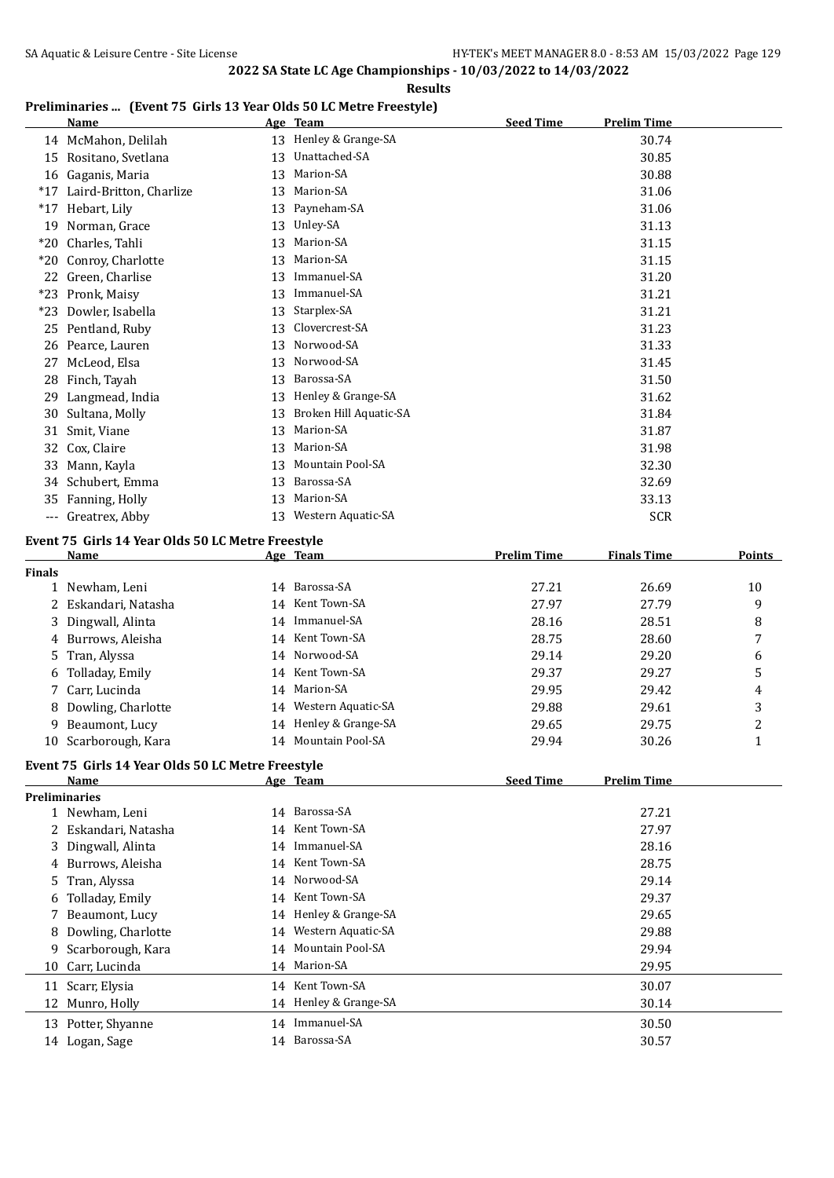#### **Results**

## **Preliminaries ... (Event 75 Girls 13 Year Olds 50 LC Metre Freestyle)**

|       | <b>Name</b>             | <b>Age</b> | <b>Team</b>            | <b>Seed Time</b> | <b>Prelim Time</b> |
|-------|-------------------------|------------|------------------------|------------------|--------------------|
|       | 14 McMahon, Delilah     | 13         | Henley & Grange-SA     |                  | 30.74              |
| 15    | Rositano, Svetlana      | 13         | Unattached-SA          |                  | 30.85              |
| 16    | Gaganis, Maria          | 13         | Marion-SA              |                  | 30.88              |
| $*17$ | Laird-Britton, Charlize | 13         | Marion-SA              |                  | 31.06              |
| $*17$ | Hebart, Lily            | 13         | Payneham-SA            |                  | 31.06              |
| 19    | Norman, Grace           | 13         | Unley-SA               |                  | 31.13              |
| $*20$ | Charles, Tahli          | 13         | Marion-SA              |                  | 31.15              |
| $*20$ | Conroy, Charlotte       | 13         | Marion-SA              |                  | 31.15              |
| 22    | Green, Charlise         | 13         | Immanuel-SA            |                  | 31.20              |
| $*23$ | Pronk, Maisy            | 13         | Immanuel-SA            |                  | 31.21              |
| $*23$ | Dowler, Isabella        | 13         | Starplex-SA            |                  | 31.21              |
| 25    | Pentland, Ruby          | 13         | Clovercrest-SA         |                  | 31.23              |
| 26    | Pearce, Lauren          | 13         | Norwood-SA             |                  | 31.33              |
| 27    | McLeod, Elsa            | 13         | Norwood-SA             |                  | 31.45              |
| 28    | Finch, Tayah            | 13         | Barossa-SA             |                  | 31.50              |
| 29    | Langmead, India         | 13         | Henley & Grange-SA     |                  | 31.62              |
| 30    | Sultana, Molly          | 13         | Broken Hill Aquatic-SA |                  | 31.84              |
| 31    | Smit, Viane             | 13         | Marion-SA              |                  | 31.87              |
| 32    | Cox, Claire             | 13         | Marion-SA              |                  | 31.98              |
| 33    | Mann, Kayla             | 13         | Mountain Pool-SA       |                  | 32.30              |
| 34    | Schubert, Emma          | 13         | Barossa-SA             |                  | 32.69              |
| 35    | Fanning, Holly          | 13         | Marion-SA              |                  | 33.13              |
| ---   | Greatrex, Abby          | 13         | Western Aquatic-SA     |                  | <b>SCR</b>         |

## **Event 75 Girls 14 Year Olds 50 LC Metre Freestyle**

|               | <b>Name</b>                                       |    | Age Team              | <b>Prelim Time</b> | <b>Finals Time</b> | Points         |
|---------------|---------------------------------------------------|----|-----------------------|--------------------|--------------------|----------------|
| <b>Finals</b> |                                                   |    |                       |                    |                    |                |
| $\mathbf{1}$  | Newham, Leni                                      |    | 14 Barossa-SA         | 27.21              | 26.69              | 10             |
|               | Eskandari, Natasha                                | 14 | Kent Town-SA          | 27.97              | 27.79              | 9              |
| 3             | Dingwall, Alinta                                  | 14 | Immanuel-SA           | 28.16              | 28.51              | 8              |
| 4             | Burrows, Aleisha                                  |    | 14 Kent Town-SA       | 28.75              | 28.60              | 7              |
| 5             | Tran, Alyssa                                      |    | 14 Norwood-SA         | 29.14              | 29.20              | 6              |
| 6             | Tolladay, Emily                                   | 14 | Kent Town-SA          | 29.37              | 29.27              | 5              |
|               | Carr, Lucinda                                     | 14 | Marion-SA             | 29.95              | 29.42              | 4              |
| 8             | Dowling, Charlotte                                |    | 14 Western Aquatic-SA | 29.88              | 29.61              | 3              |
| 9             | Beaumont, Lucy                                    | 14 | Henley & Grange-SA    | 29.65              | 29.75              | $\overline{c}$ |
| 10            | Scarborough, Kara                                 |    | 14 Mountain Pool-SA   | 29.94              | 30.26              | $\mathbf{1}$   |
|               | Event 75 Girls 14 Year Olds 50 LC Metre Freestyle |    |                       |                    |                    |                |
|               | Name                                              |    | Age Team              | <b>Seed Time</b>   | <b>Prelim Time</b> |                |
|               | <b>Preliminaries</b>                              |    |                       |                    |                    |                |
|               | 1 Newham, Leni                                    |    | 14 Barossa-SA         |                    | 27.21              |                |
| 2             | Eskandari, Natasha                                | 14 | Kent Town-SA          |                    | 27.97              |                |
| 3             | Dingwall, Alinta                                  | 14 | Immanuel-SA           |                    | 28.16              |                |
| 4             | Burrows, Aleisha                                  |    | 14 Kent Town-SA       |                    | 28.75              |                |
| 5             | Tran, Alyssa                                      |    | 14 Norwood-SA         |                    | 29.14              |                |
| 6             | Tolladay, Emily                                   | 14 | Kent Town-SA          |                    | 29.37              |                |
|               | Beaumont, Lucy                                    | 14 | Henley & Grange-SA    |                    | 29.65              |                |
| 8             | Dowling, Charlotte                                | 14 | Western Aquatic-SA    |                    | 29.88              |                |
| 9             | Scarborough, Kara                                 | 14 | Mountain Pool-SA      |                    | 29.94              |                |
| 10            | Carr, Lucinda                                     |    | 14 Marion-SA          |                    | 29.95              |                |
|               | 11 Scarr, Elysia                                  |    | 14 Kent Town-SA       |                    | 30.07              |                |
| 12            | Munro, Holly                                      |    | 14 Henley & Grange-SA |                    | 30.14              |                |
|               | 13 Potter, Shyanne                                |    | 14 Immanuel-SA        |                    | 30.50              |                |
|               | 14 Logan, Sage                                    |    | 14 Barossa-SA         |                    | 30.57              |                |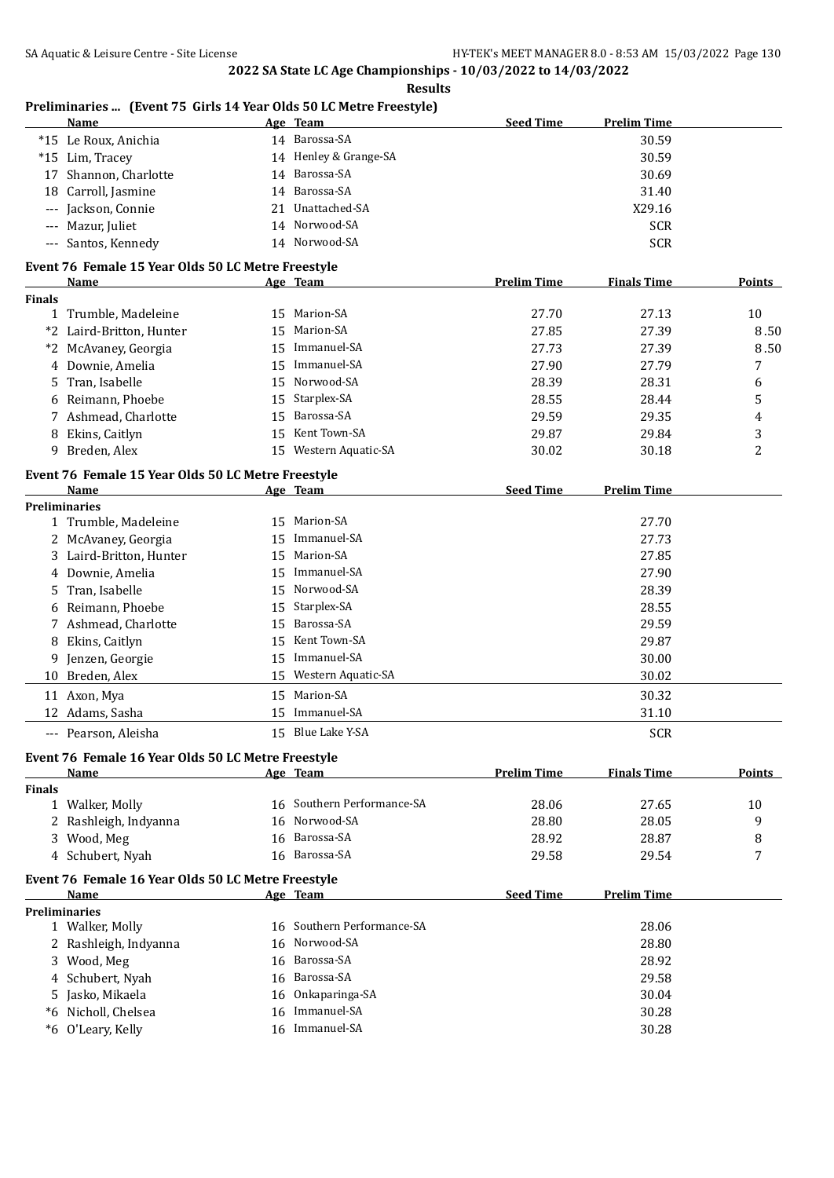|               | Preliminaries  (Event 75 Girls 14 Year Olds 50 LC Metre Freestyle)<br>Name |    | Age Team                   | <b>Seed Time</b>   | <b>Prelim Time</b> |                |
|---------------|----------------------------------------------------------------------------|----|----------------------------|--------------------|--------------------|----------------|
|               | *15 Le Roux, Anichia                                                       |    | 14 Barossa-SA              |                    | 30.59              |                |
|               | *15 Lim, Tracey                                                            |    | 14 Henley & Grange-SA      |                    | 30.59              |                |
| 17            | Shannon, Charlotte                                                         |    | 14 Barossa-SA              |                    | 30.69              |                |
|               | 18 Carroll, Jasmine                                                        |    | 14 Barossa-SA              |                    | 31.40              |                |
|               | --- Jackson, Connie                                                        |    | 21 Unattached-SA           |                    | X29.16             |                |
| $---$         | Mazur, Juliet                                                              |    | 14 Norwood-SA              |                    | <b>SCR</b>         |                |
|               | --- Santos, Kennedy                                                        |    | 14 Norwood-SA              |                    | <b>SCR</b>         |                |
|               | Event 76 Female 15 Year Olds 50 LC Metre Freestyle                         |    |                            |                    |                    |                |
|               | Name                                                                       |    | Age Team                   | <b>Prelim Time</b> | <b>Finals Time</b> | Points         |
| <b>Finals</b> |                                                                            |    |                            |                    |                    |                |
|               | 1 Trumble, Madeleine                                                       | 15 | Marion-SA                  | 27.70              | 27.13              | 10             |
| *2            | Laird-Britton, Hunter                                                      | 15 | Marion-SA                  | 27.85              | 27.39              | 8.50           |
| *2            | McAvaney, Georgia                                                          | 15 | Immanuel-SA                | 27.73              | 27.39              | 8.50           |
| 4             | Downie, Amelia                                                             | 15 | Immanuel-SA                | 27.90              | 27.79              | 7              |
| 5             | Tran, Isabelle                                                             | 15 | Norwood-SA                 | 28.39              | 28.31              | 6              |
| 6             | Reimann, Phoebe                                                            | 15 | Starplex-SA                | 28.55              | 28.44              | 5              |
|               | 7 Ashmead, Charlotte                                                       | 15 | Barossa-SA                 | 29.59              | 29.35              | 4              |
| 8             | Ekins, Caitlyn                                                             | 15 | Kent Town-SA               | 29.87              | 29.84              | 3              |
| 9             | Breden, Alex                                                               |    | 15 Western Aquatic-SA      | 30.02              | 30.18              | $\overline{c}$ |
|               | Event 76 Female 15 Year Olds 50 LC Metre Freestyle                         |    |                            |                    |                    |                |
|               | <b>Name</b>                                                                |    | <u>Age Team</u>            | <b>Seed Time</b>   | <b>Prelim Time</b> |                |
|               | <b>Preliminaries</b>                                                       | 15 | Marion-SA                  |                    | 27.70              |                |
|               | 1 Trumble, Madeleine                                                       | 15 | Immanuel-SA                |                    |                    |                |
| 3             | 2 McAvaney, Georgia<br>Laird-Britton, Hunter                               | 15 | Marion-SA                  |                    | 27.73<br>27.85     |                |
|               | Downie, Amelia                                                             | 15 | Immanuel-SA                |                    | 27.90              |                |
| 4             |                                                                            | 15 | Norwood-SA                 |                    | 28.39              |                |
| 5             | Tran, Isabelle<br>Reimann, Phoebe                                          | 15 | Starplex-SA                |                    | 28.55              |                |
| 6<br>7        | Ashmead, Charlotte                                                         | 15 | Barossa-SA                 |                    | 29.59              |                |
|               | Ekins, Caitlyn                                                             | 15 | Kent Town-SA               |                    | 29.87              |                |
| 8             | Jenzen, Georgie                                                            | 15 | Immanuel-SA                |                    | 30.00              |                |
| 9<br>10       | Breden, Alex                                                               | 15 | Western Aquatic-SA         |                    | 30.02              |                |
|               |                                                                            |    |                            |                    |                    |                |
|               | 11 Axon, Mya                                                               | 15 | Marion-SA                  |                    | 30.32              |                |
|               | 12 Adams, Sasha                                                            |    | 15 Immanuel-SA             |                    | 31.10              |                |
|               | --- Pearson, Aleisha                                                       |    | 15 Blue Lake Y-SA          |                    | <b>SCR</b>         |                |
|               | Event 76 Female 16 Year Olds 50 LC Metre Freestyle<br>Name                 |    | Age Team                   | <b>Prelim Time</b> | <b>Finals Time</b> | <b>Points</b>  |
| Finals        |                                                                            |    |                            |                    |                    |                |
|               | 1 Walker, Molly                                                            |    | 16 Southern Performance-SA | 28.06              | 27.65              | 10             |
| 2             | Rashleigh, Indyanna                                                        | 16 | Norwood-SA                 | 28.80              | 28.05              | 9              |
|               | 3 Wood, Meg                                                                | 16 | Barossa-SA                 | 28.92              | 28.87              | 8              |
|               | 4 Schubert, Nyah                                                           |    | 16 Barossa-SA              | 29.58              | 29.54              | 7              |
|               | Event 76 Female 16 Year Olds 50 LC Metre Freestyle                         |    |                            |                    |                    |                |
|               | Name                                                                       |    | Age Team                   | <b>Seed Time</b>   | <b>Prelim Time</b> |                |
|               | <b>Preliminaries</b>                                                       |    |                            |                    |                    |                |
|               | 1 Walker, Molly                                                            |    | 16 Southern Performance-SA |                    | 28.06              |                |
|               | 2 Rashleigh, Indyanna                                                      | 16 | Norwood-SA                 |                    | 28.80              |                |
| 3             | Wood, Meg                                                                  | 16 | Barossa-SA                 |                    | 28.92              |                |
| 4             | Schubert, Nyah                                                             | 16 | Barossa-SA                 |                    | 29.58              |                |
| 5             | Jasko, Mikaela                                                             | 16 | Onkaparinga-SA             |                    | 30.04              |                |
| *6            | Nicholl, Chelsea                                                           | 16 | Immanuel-SA                |                    | 30.28              |                |
|               | *6 O'Leary, Kelly                                                          |    | 16 Immanuel-SA             |                    | 30.28              |                |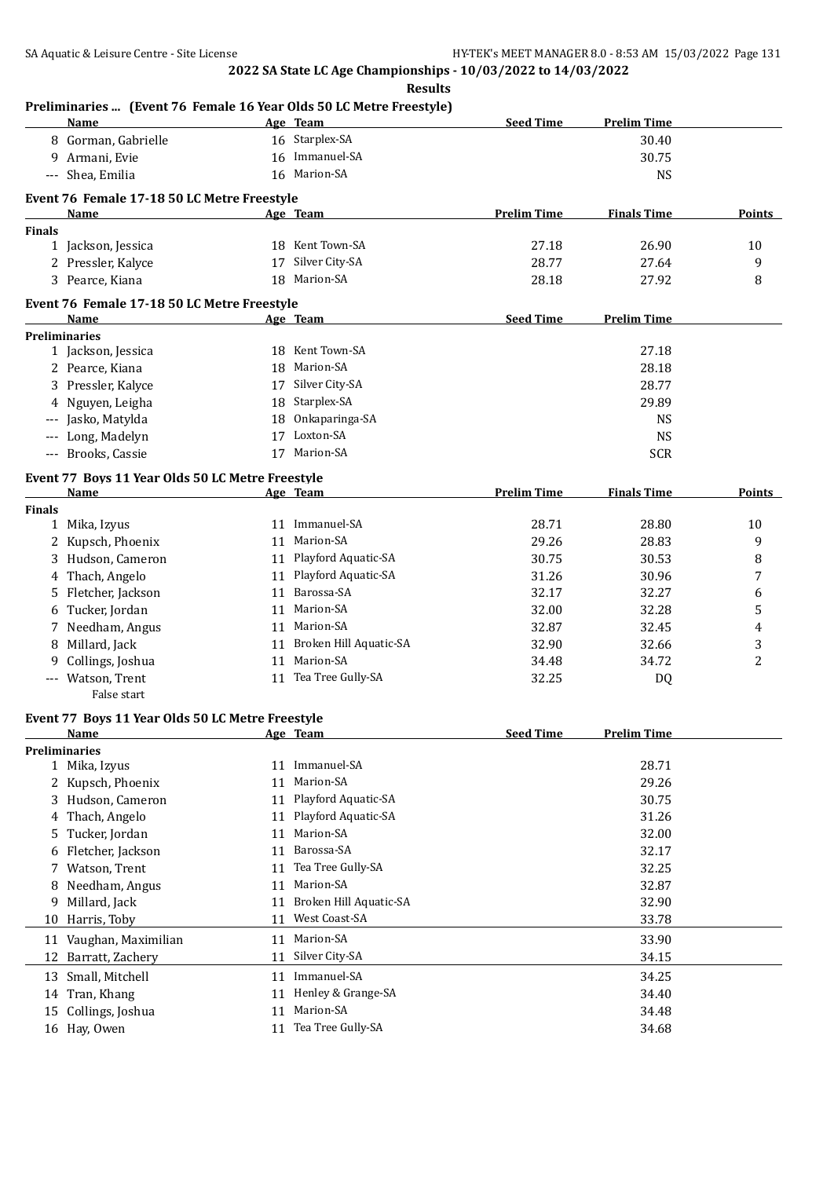**Results**

|               | <b>Name</b>                                         |    | Age Team                                | <b>Seed Time</b>   | <b>Prelim Time</b> |        |
|---------------|-----------------------------------------------------|----|-----------------------------------------|--------------------|--------------------|--------|
|               | 8 Gorman, Gabrielle                                 |    | 16 Starplex-SA                          |                    | 30.40              |        |
| 9             | Armani, Evie                                        |    | 16 Immanuel-SA                          |                    | 30.75              |        |
| $---$         | Shea, Emilia                                        |    | 16 Marion-SA                            |                    | <b>NS</b>          |        |
|               | Event 76 Female 17-18 50 LC Metre Freestyle         |    |                                         |                    |                    |        |
|               | Name                                                |    | Age Team                                | <b>Prelim Time</b> | <b>Finals Time</b> | Points |
| <b>Finals</b> |                                                     |    |                                         |                    |                    |        |
|               | 1 Jackson, Jessica                                  |    | 18 Kent Town-SA                         | 27.18              | 26.90              | 10     |
|               | 2 Pressler, Kalyce                                  | 17 | Silver City-SA                          | 28.77              | 27.64              | 9      |
|               | 3 Pearce, Kiana                                     | 18 | Marion-SA                               | 28.18              | 27.92              | 8      |
|               |                                                     |    |                                         |                    |                    |        |
|               | Event 76 Female 17-18 50 LC Metre Freestyle<br>Name |    | Age Team                                | <b>Seed Time</b>   | <b>Prelim Time</b> |        |
|               | <b>Preliminaries</b>                                |    |                                         |                    |                    |        |
|               | 1 Jackson, Jessica                                  |    | 18 Kent Town-SA                         |                    | 27.18              |        |
|               | 2 Pearce, Kiana                                     | 18 | Marion-SA                               |                    | 28.18              |        |
|               | 3 Pressler, Kalyce                                  |    | 17 Silver City-SA                       |                    | 28.77              |        |
|               | 4 Nguyen, Leigha                                    | 18 | Starplex-SA                             |                    | 29.89              |        |
|               | --- Jasko, Matylda                                  | 18 | Onkaparinga-SA                          |                    | <b>NS</b>          |        |
|               |                                                     |    | Loxton-SA                               |                    |                    |        |
|               | --- Long, Madelyn                                   | 17 |                                         |                    | <b>NS</b>          |        |
|               | --- Brooks, Cassie                                  | 17 | Marion-SA                               |                    | <b>SCR</b>         |        |
|               | Event 77 Boys 11 Year Olds 50 LC Metre Freestyle    |    |                                         |                    |                    |        |
|               | Name                                                |    | Age Team                                | <b>Prelim Time</b> | <b>Finals Time</b> | Points |
| Finals        |                                                     |    |                                         |                    |                    |        |
|               | 1 Mika, Izyus                                       |    | 11 Immanuel-SA                          | 28.71              | 28.80              | 10     |
| 2             | Kupsch, Phoenix                                     | 11 | Marion-SA                               | 29.26              | 28.83              | 9      |
| 3             | Hudson, Cameron                                     | 11 | Playford Aquatic-SA                     | 30.75              | 30.53              | 8      |
| 4             | Thach, Angelo                                       | 11 | Playford Aquatic-SA                     | 31.26              | 30.96              | 7      |
| 5             | Fletcher, Jackson                                   | 11 | Barossa-SA                              | 32.17              | 32.27              | 6      |
| 6             | Tucker, Jordan                                      | 11 | Marion-SA                               | 32.00              | 32.28              | 5      |
| 7             | Needham, Angus                                      | 11 | Marion-SA                               | 32.87              | 32.45              | 4      |
| 8             | Millard, Jack                                       | 11 | Broken Hill Aquatic-SA                  | 32.90              | 32.66              | 3      |
| 9             | Collings, Joshua                                    | 11 | Marion-SA                               | 34.48              | 34.72              | 2      |
| $---$         | Watson, Trent                                       |    | 11 Tea Tree Gully-SA                    | 32.25              | <b>DQ</b>          |        |
|               | False start                                         |    |                                         |                    |                    |        |
|               | Event 77 Boys 11 Year Olds 50 LC Metre Freestyle    |    |                                         |                    |                    |        |
|               | Name                                                |    | <u>Age Team</u>                         | <b>Seed Time</b>   | <b>Prelim Time</b> |        |
|               | Preliminaries                                       |    |                                         |                    |                    |        |
|               | 1 Mika, Izyus                                       |    | 11 Immanuel-SA                          |                    | 28.71              |        |
|               | 2 Kupsch, Phoenix                                   | 11 | Marion-SA                               |                    | 29.26              |        |
| 3             | Hudson, Cameron                                     | 11 | Playford Aquatic-SA                     |                    | 30.75              |        |
| 4             | Thach, Angelo                                       | 11 | Playford Aquatic-SA                     |                    | 31.26              |        |
| 5             | Tucker, Jordan                                      | 11 | Marion-SA                               |                    | 32.00              |        |
| 6             | Fletcher, Jackson                                   | 11 | Barossa-SA                              |                    | 32.17              |        |
| 7             | Watson, Trent                                       | 11 | Tea Tree Gully-SA                       |                    | 32.25              |        |
|               |                                                     |    | Marion-SA                               |                    |                    |        |
| 8             | Needham, Angus                                      | 11 |                                         |                    | 32.87              |        |
| 9             | Millard, Jack                                       | 11 | Broken Hill Aquatic-SA<br>West Coast-SA |                    | 32.90              |        |
| 10            | Harris, Toby                                        | 11 |                                         |                    | 33.78              |        |
| 11            | Vaughan, Maximilian                                 | 11 | Marion-SA                               |                    | 33.90              |        |
| 12            | Barratt, Zachery                                    | 11 | Silver City-SA                          |                    | 34.15              |        |
| 13            | Small, Mitchell                                     | 11 | Immanuel-SA                             |                    | 34.25              |        |
| 14            | Tran, Khang                                         | 11 | Henley & Grange-SA                      |                    | 34.40              |        |
| 15            | Collings, Joshua                                    | 11 | Marion-SA                               |                    | 34.48              |        |
|               | 16 Hay, Owen                                        | 11 | Tea Tree Gully-SA                       |                    | 34.68              |        |
|               |                                                     |    |                                         |                    |                    |        |

## **Preliminaries ... (Event 76 Female 16 Year Olds 50 LC Metre Freestyle)**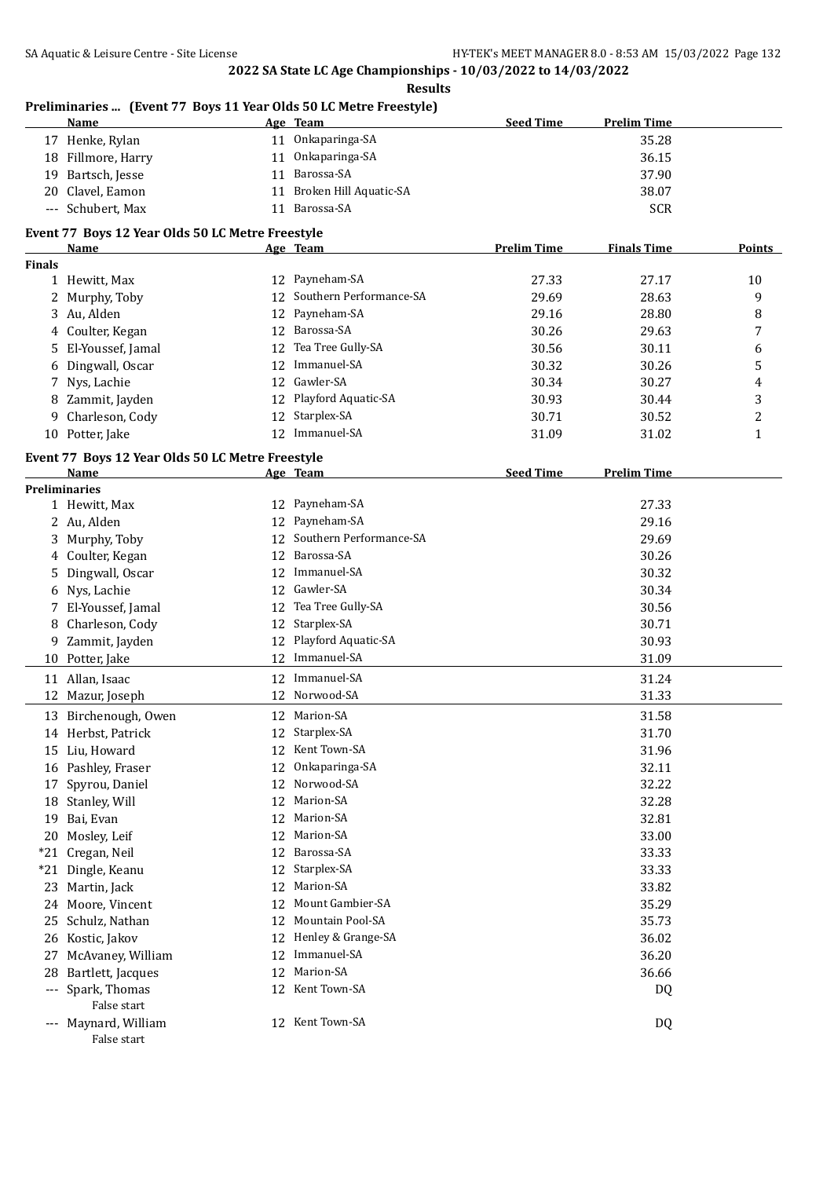**Results**

| 11 Onkaparinga-SA<br>35.28<br>17 Henke, Rylan<br>11 Onkaparinga-SA<br>18 Fillmore, Harry<br>36.15<br>11 Barossa-SA<br>19 Bartsch, Jesse<br>37.90<br>11 Broken Hill Aquatic-SA<br>20 Clavel, Eamon<br>38.07<br>11 Barossa-SA<br><b>SCR</b><br>--- Schubert, Max<br>Event 77 Boys 12 Year Olds 50 LC Metre Freestyle<br><b>Prelim Time</b><br><b>Finals Time</b><br>Name<br>Age Team<br><b>Finals</b><br>12 Payneham-SA<br>1 Hewitt, Max<br>27.33<br>27.17<br>10<br>12 Southern Performance-SA<br>9<br>2 Murphy, Toby<br>29.69<br>28.63<br>Payneham-SA<br>3 Au, Alden<br>29.16<br>28.80<br>8<br>12<br>12 Barossa-SA<br>4 Coulter, Kegan<br>30.26<br>29.63<br>7<br>Tea Tree Gully-SA<br>El-Youssef, Jamal<br>30.56<br>30.11<br>12<br>6<br>5.<br>Immanuel-SA<br>30.32<br>5<br>Dingwall, Oscar<br>30.26<br>12<br>6<br>Gawler-SA<br>Nys, Lachie<br>30.34<br>30.27<br>12<br>4<br>7<br>12 Playford Aquatic-SA<br>3<br>Zammit, Jayden<br>30.93<br>30.44<br>8<br>Starplex-SA<br>Charleson, Cody<br>2<br>12<br>30.71<br>30.52<br>9.<br>12 Immanuel-SA<br>10 Potter, Jake<br>31.09<br>31.02<br>$\mathbf{1}$<br>Event 77 Boys 12 Year Olds 50 LC Metre Freestyle<br><b>Seed Time</b><br><b>Prelim Time</b><br>Name<br>Age Team<br><b>Preliminaries</b><br>Payneham-SA<br>27.33<br>1 Hewitt, Max<br>12<br>Payneham-SA<br>2 Au, Alden<br>12<br>29.16<br>Southern Performance-SA<br>Murphy, Toby<br>12<br>29.69<br>3<br>Barossa-SA<br>4 Coulter, Kegan<br>30.26<br>12<br>Immanuel-SA<br>Dingwall, Oscar<br>30.32<br>12<br>5.<br>Gawler-SA<br>6 Nys, Lachie<br>30.34<br>12<br>Tea Tree Gully-SA<br>7 El-Youssef, Jamal<br>30.56<br>12<br>Starplex-SA<br>8 Charleson, Cody<br>30.71<br>12<br>Playford Aquatic-SA<br>9 Zammit, Jayden<br>30.93<br>12<br>12 Immanuel-SA<br>31.09<br>10 Potter, Jake<br>12 Immanuel-SA<br>11 Allan, Isaac<br>31.24<br>12 Norwood-SA<br>31.33<br>12 Mazur, Joseph<br>13 Birchenough, Owen<br>12 Marion-SA<br>31.58<br>12 Starplex-SA<br>14 Herbst, Patrick<br>31.70<br>12 Kent Town-SA<br>15 Liu, Howard<br>31.96<br>Onkaparinga-SA<br>16 Pashley, Fraser<br>32.11<br>12<br>Norwood-SA<br>32.22<br>Spyrou, Daniel<br>12<br>17<br>Marion-SA<br>18 Stanley, Will<br>12<br>32.28<br>Marion-SA<br>Bai, Evan<br>32.81<br>12<br>19<br>Mosley, Leif<br>Marion-SA<br>33.00<br>12<br>20<br>Barossa-SA<br>Cregan, Neil<br>33.33<br>12<br>*21<br>Starplex-SA<br>33.33<br>*21<br>Dingle, Keanu<br>12<br>Marion-SA<br>33.82<br>Martin, Jack<br>12<br>23<br>Mount Gambier-SA<br>Moore, Vincent<br>35.29<br>12<br>24<br>Mountain Pool-SA<br>35.73<br>Schulz, Nathan<br>12<br>25<br>Henley & Grange-SA<br>36.02<br>26 Kostic, Jakov<br>12<br>Immanuel-SA<br>36.20<br>McAvaney, William<br>12<br>27<br>Marion-SA<br>Bartlett, Jacques<br>12<br>36.66<br>28<br>12 Kent Town-SA<br>Spark, Thomas<br>DQ<br>$---$<br>False start<br>12 Kent Town-SA<br>--- Maynard, William<br>DQ<br>False start | <b>Name</b> | Age Team | <b>Seed Time</b> | <b>Prelim Time</b> |        |
|---------------------------------------------------------------------------------------------------------------------------------------------------------------------------------------------------------------------------------------------------------------------------------------------------------------------------------------------------------------------------------------------------------------------------------------------------------------------------------------------------------------------------------------------------------------------------------------------------------------------------------------------------------------------------------------------------------------------------------------------------------------------------------------------------------------------------------------------------------------------------------------------------------------------------------------------------------------------------------------------------------------------------------------------------------------------------------------------------------------------------------------------------------------------------------------------------------------------------------------------------------------------------------------------------------------------------------------------------------------------------------------------------------------------------------------------------------------------------------------------------------------------------------------------------------------------------------------------------------------------------------------------------------------------------------------------------------------------------------------------------------------------------------------------------------------------------------------------------------------------------------------------------------------------------------------------------------------------------------------------------------------------------------------------------------------------------------------------------------------------------------------------------------------------------------------------------------------------------------------------------------------------------------------------------------------------------------------------------------------------------------------------------------------------------------------------------------------------------------------------------------------------------------------------------------------------------------------------------------------------------------------------------------------------------------------------------------------------------------------------------------------------------------------------------------------------------------------------------------------------------------------|-------------|----------|------------------|--------------------|--------|
|                                                                                                                                                                                                                                                                                                                                                                                                                                                                                                                                                                                                                                                                                                                                                                                                                                                                                                                                                                                                                                                                                                                                                                                                                                                                                                                                                                                                                                                                                                                                                                                                                                                                                                                                                                                                                                                                                                                                                                                                                                                                                                                                                                                                                                                                                                                                                                                                                                                                                                                                                                                                                                                                                                                                                                                                                                                                                       |             |          |                  |                    |        |
|                                                                                                                                                                                                                                                                                                                                                                                                                                                                                                                                                                                                                                                                                                                                                                                                                                                                                                                                                                                                                                                                                                                                                                                                                                                                                                                                                                                                                                                                                                                                                                                                                                                                                                                                                                                                                                                                                                                                                                                                                                                                                                                                                                                                                                                                                                                                                                                                                                                                                                                                                                                                                                                                                                                                                                                                                                                                                       |             |          |                  |                    |        |
|                                                                                                                                                                                                                                                                                                                                                                                                                                                                                                                                                                                                                                                                                                                                                                                                                                                                                                                                                                                                                                                                                                                                                                                                                                                                                                                                                                                                                                                                                                                                                                                                                                                                                                                                                                                                                                                                                                                                                                                                                                                                                                                                                                                                                                                                                                                                                                                                                                                                                                                                                                                                                                                                                                                                                                                                                                                                                       |             |          |                  |                    |        |
|                                                                                                                                                                                                                                                                                                                                                                                                                                                                                                                                                                                                                                                                                                                                                                                                                                                                                                                                                                                                                                                                                                                                                                                                                                                                                                                                                                                                                                                                                                                                                                                                                                                                                                                                                                                                                                                                                                                                                                                                                                                                                                                                                                                                                                                                                                                                                                                                                                                                                                                                                                                                                                                                                                                                                                                                                                                                                       |             |          |                  |                    |        |
|                                                                                                                                                                                                                                                                                                                                                                                                                                                                                                                                                                                                                                                                                                                                                                                                                                                                                                                                                                                                                                                                                                                                                                                                                                                                                                                                                                                                                                                                                                                                                                                                                                                                                                                                                                                                                                                                                                                                                                                                                                                                                                                                                                                                                                                                                                                                                                                                                                                                                                                                                                                                                                                                                                                                                                                                                                                                                       |             |          |                  |                    |        |
|                                                                                                                                                                                                                                                                                                                                                                                                                                                                                                                                                                                                                                                                                                                                                                                                                                                                                                                                                                                                                                                                                                                                                                                                                                                                                                                                                                                                                                                                                                                                                                                                                                                                                                                                                                                                                                                                                                                                                                                                                                                                                                                                                                                                                                                                                                                                                                                                                                                                                                                                                                                                                                                                                                                                                                                                                                                                                       |             |          |                  |                    |        |
|                                                                                                                                                                                                                                                                                                                                                                                                                                                                                                                                                                                                                                                                                                                                                                                                                                                                                                                                                                                                                                                                                                                                                                                                                                                                                                                                                                                                                                                                                                                                                                                                                                                                                                                                                                                                                                                                                                                                                                                                                                                                                                                                                                                                                                                                                                                                                                                                                                                                                                                                                                                                                                                                                                                                                                                                                                                                                       |             |          |                  |                    | Points |
|                                                                                                                                                                                                                                                                                                                                                                                                                                                                                                                                                                                                                                                                                                                                                                                                                                                                                                                                                                                                                                                                                                                                                                                                                                                                                                                                                                                                                                                                                                                                                                                                                                                                                                                                                                                                                                                                                                                                                                                                                                                                                                                                                                                                                                                                                                                                                                                                                                                                                                                                                                                                                                                                                                                                                                                                                                                                                       |             |          |                  |                    |        |
|                                                                                                                                                                                                                                                                                                                                                                                                                                                                                                                                                                                                                                                                                                                                                                                                                                                                                                                                                                                                                                                                                                                                                                                                                                                                                                                                                                                                                                                                                                                                                                                                                                                                                                                                                                                                                                                                                                                                                                                                                                                                                                                                                                                                                                                                                                                                                                                                                                                                                                                                                                                                                                                                                                                                                                                                                                                                                       |             |          |                  |                    |        |
|                                                                                                                                                                                                                                                                                                                                                                                                                                                                                                                                                                                                                                                                                                                                                                                                                                                                                                                                                                                                                                                                                                                                                                                                                                                                                                                                                                                                                                                                                                                                                                                                                                                                                                                                                                                                                                                                                                                                                                                                                                                                                                                                                                                                                                                                                                                                                                                                                                                                                                                                                                                                                                                                                                                                                                                                                                                                                       |             |          |                  |                    |        |
|                                                                                                                                                                                                                                                                                                                                                                                                                                                                                                                                                                                                                                                                                                                                                                                                                                                                                                                                                                                                                                                                                                                                                                                                                                                                                                                                                                                                                                                                                                                                                                                                                                                                                                                                                                                                                                                                                                                                                                                                                                                                                                                                                                                                                                                                                                                                                                                                                                                                                                                                                                                                                                                                                                                                                                                                                                                                                       |             |          |                  |                    |        |
|                                                                                                                                                                                                                                                                                                                                                                                                                                                                                                                                                                                                                                                                                                                                                                                                                                                                                                                                                                                                                                                                                                                                                                                                                                                                                                                                                                                                                                                                                                                                                                                                                                                                                                                                                                                                                                                                                                                                                                                                                                                                                                                                                                                                                                                                                                                                                                                                                                                                                                                                                                                                                                                                                                                                                                                                                                                                                       |             |          |                  |                    |        |
|                                                                                                                                                                                                                                                                                                                                                                                                                                                                                                                                                                                                                                                                                                                                                                                                                                                                                                                                                                                                                                                                                                                                                                                                                                                                                                                                                                                                                                                                                                                                                                                                                                                                                                                                                                                                                                                                                                                                                                                                                                                                                                                                                                                                                                                                                                                                                                                                                                                                                                                                                                                                                                                                                                                                                                                                                                                                                       |             |          |                  |                    |        |
|                                                                                                                                                                                                                                                                                                                                                                                                                                                                                                                                                                                                                                                                                                                                                                                                                                                                                                                                                                                                                                                                                                                                                                                                                                                                                                                                                                                                                                                                                                                                                                                                                                                                                                                                                                                                                                                                                                                                                                                                                                                                                                                                                                                                                                                                                                                                                                                                                                                                                                                                                                                                                                                                                                                                                                                                                                                                                       |             |          |                  |                    |        |
|                                                                                                                                                                                                                                                                                                                                                                                                                                                                                                                                                                                                                                                                                                                                                                                                                                                                                                                                                                                                                                                                                                                                                                                                                                                                                                                                                                                                                                                                                                                                                                                                                                                                                                                                                                                                                                                                                                                                                                                                                                                                                                                                                                                                                                                                                                                                                                                                                                                                                                                                                                                                                                                                                                                                                                                                                                                                                       |             |          |                  |                    |        |
|                                                                                                                                                                                                                                                                                                                                                                                                                                                                                                                                                                                                                                                                                                                                                                                                                                                                                                                                                                                                                                                                                                                                                                                                                                                                                                                                                                                                                                                                                                                                                                                                                                                                                                                                                                                                                                                                                                                                                                                                                                                                                                                                                                                                                                                                                                                                                                                                                                                                                                                                                                                                                                                                                                                                                                                                                                                                                       |             |          |                  |                    |        |
|                                                                                                                                                                                                                                                                                                                                                                                                                                                                                                                                                                                                                                                                                                                                                                                                                                                                                                                                                                                                                                                                                                                                                                                                                                                                                                                                                                                                                                                                                                                                                                                                                                                                                                                                                                                                                                                                                                                                                                                                                                                                                                                                                                                                                                                                                                                                                                                                                                                                                                                                                                                                                                                                                                                                                                                                                                                                                       |             |          |                  |                    |        |
|                                                                                                                                                                                                                                                                                                                                                                                                                                                                                                                                                                                                                                                                                                                                                                                                                                                                                                                                                                                                                                                                                                                                                                                                                                                                                                                                                                                                                                                                                                                                                                                                                                                                                                                                                                                                                                                                                                                                                                                                                                                                                                                                                                                                                                                                                                                                                                                                                                                                                                                                                                                                                                                                                                                                                                                                                                                                                       |             |          |                  |                    |        |
|                                                                                                                                                                                                                                                                                                                                                                                                                                                                                                                                                                                                                                                                                                                                                                                                                                                                                                                                                                                                                                                                                                                                                                                                                                                                                                                                                                                                                                                                                                                                                                                                                                                                                                                                                                                                                                                                                                                                                                                                                                                                                                                                                                                                                                                                                                                                                                                                                                                                                                                                                                                                                                                                                                                                                                                                                                                                                       |             |          |                  |                    |        |
|                                                                                                                                                                                                                                                                                                                                                                                                                                                                                                                                                                                                                                                                                                                                                                                                                                                                                                                                                                                                                                                                                                                                                                                                                                                                                                                                                                                                                                                                                                                                                                                                                                                                                                                                                                                                                                                                                                                                                                                                                                                                                                                                                                                                                                                                                                                                                                                                                                                                                                                                                                                                                                                                                                                                                                                                                                                                                       |             |          |                  |                    |        |
|                                                                                                                                                                                                                                                                                                                                                                                                                                                                                                                                                                                                                                                                                                                                                                                                                                                                                                                                                                                                                                                                                                                                                                                                                                                                                                                                                                                                                                                                                                                                                                                                                                                                                                                                                                                                                                                                                                                                                                                                                                                                                                                                                                                                                                                                                                                                                                                                                                                                                                                                                                                                                                                                                                                                                                                                                                                                                       |             |          |                  |                    |        |
|                                                                                                                                                                                                                                                                                                                                                                                                                                                                                                                                                                                                                                                                                                                                                                                                                                                                                                                                                                                                                                                                                                                                                                                                                                                                                                                                                                                                                                                                                                                                                                                                                                                                                                                                                                                                                                                                                                                                                                                                                                                                                                                                                                                                                                                                                                                                                                                                                                                                                                                                                                                                                                                                                                                                                                                                                                                                                       |             |          |                  |                    |        |
|                                                                                                                                                                                                                                                                                                                                                                                                                                                                                                                                                                                                                                                                                                                                                                                                                                                                                                                                                                                                                                                                                                                                                                                                                                                                                                                                                                                                                                                                                                                                                                                                                                                                                                                                                                                                                                                                                                                                                                                                                                                                                                                                                                                                                                                                                                                                                                                                                                                                                                                                                                                                                                                                                                                                                                                                                                                                                       |             |          |                  |                    |        |
|                                                                                                                                                                                                                                                                                                                                                                                                                                                                                                                                                                                                                                                                                                                                                                                                                                                                                                                                                                                                                                                                                                                                                                                                                                                                                                                                                                                                                                                                                                                                                                                                                                                                                                                                                                                                                                                                                                                                                                                                                                                                                                                                                                                                                                                                                                                                                                                                                                                                                                                                                                                                                                                                                                                                                                                                                                                                                       |             |          |                  |                    |        |
|                                                                                                                                                                                                                                                                                                                                                                                                                                                                                                                                                                                                                                                                                                                                                                                                                                                                                                                                                                                                                                                                                                                                                                                                                                                                                                                                                                                                                                                                                                                                                                                                                                                                                                                                                                                                                                                                                                                                                                                                                                                                                                                                                                                                                                                                                                                                                                                                                                                                                                                                                                                                                                                                                                                                                                                                                                                                                       |             |          |                  |                    |        |
|                                                                                                                                                                                                                                                                                                                                                                                                                                                                                                                                                                                                                                                                                                                                                                                                                                                                                                                                                                                                                                                                                                                                                                                                                                                                                                                                                                                                                                                                                                                                                                                                                                                                                                                                                                                                                                                                                                                                                                                                                                                                                                                                                                                                                                                                                                                                                                                                                                                                                                                                                                                                                                                                                                                                                                                                                                                                                       |             |          |                  |                    |        |
|                                                                                                                                                                                                                                                                                                                                                                                                                                                                                                                                                                                                                                                                                                                                                                                                                                                                                                                                                                                                                                                                                                                                                                                                                                                                                                                                                                                                                                                                                                                                                                                                                                                                                                                                                                                                                                                                                                                                                                                                                                                                                                                                                                                                                                                                                                                                                                                                                                                                                                                                                                                                                                                                                                                                                                                                                                                                                       |             |          |                  |                    |        |
|                                                                                                                                                                                                                                                                                                                                                                                                                                                                                                                                                                                                                                                                                                                                                                                                                                                                                                                                                                                                                                                                                                                                                                                                                                                                                                                                                                                                                                                                                                                                                                                                                                                                                                                                                                                                                                                                                                                                                                                                                                                                                                                                                                                                                                                                                                                                                                                                                                                                                                                                                                                                                                                                                                                                                                                                                                                                                       |             |          |                  |                    |        |
|                                                                                                                                                                                                                                                                                                                                                                                                                                                                                                                                                                                                                                                                                                                                                                                                                                                                                                                                                                                                                                                                                                                                                                                                                                                                                                                                                                                                                                                                                                                                                                                                                                                                                                                                                                                                                                                                                                                                                                                                                                                                                                                                                                                                                                                                                                                                                                                                                                                                                                                                                                                                                                                                                                                                                                                                                                                                                       |             |          |                  |                    |        |
|                                                                                                                                                                                                                                                                                                                                                                                                                                                                                                                                                                                                                                                                                                                                                                                                                                                                                                                                                                                                                                                                                                                                                                                                                                                                                                                                                                                                                                                                                                                                                                                                                                                                                                                                                                                                                                                                                                                                                                                                                                                                                                                                                                                                                                                                                                                                                                                                                                                                                                                                                                                                                                                                                                                                                                                                                                                                                       |             |          |                  |                    |        |
|                                                                                                                                                                                                                                                                                                                                                                                                                                                                                                                                                                                                                                                                                                                                                                                                                                                                                                                                                                                                                                                                                                                                                                                                                                                                                                                                                                                                                                                                                                                                                                                                                                                                                                                                                                                                                                                                                                                                                                                                                                                                                                                                                                                                                                                                                                                                                                                                                                                                                                                                                                                                                                                                                                                                                                                                                                                                                       |             |          |                  |                    |        |
|                                                                                                                                                                                                                                                                                                                                                                                                                                                                                                                                                                                                                                                                                                                                                                                                                                                                                                                                                                                                                                                                                                                                                                                                                                                                                                                                                                                                                                                                                                                                                                                                                                                                                                                                                                                                                                                                                                                                                                                                                                                                                                                                                                                                                                                                                                                                                                                                                                                                                                                                                                                                                                                                                                                                                                                                                                                                                       |             |          |                  |                    |        |
|                                                                                                                                                                                                                                                                                                                                                                                                                                                                                                                                                                                                                                                                                                                                                                                                                                                                                                                                                                                                                                                                                                                                                                                                                                                                                                                                                                                                                                                                                                                                                                                                                                                                                                                                                                                                                                                                                                                                                                                                                                                                                                                                                                                                                                                                                                                                                                                                                                                                                                                                                                                                                                                                                                                                                                                                                                                                                       |             |          |                  |                    |        |
|                                                                                                                                                                                                                                                                                                                                                                                                                                                                                                                                                                                                                                                                                                                                                                                                                                                                                                                                                                                                                                                                                                                                                                                                                                                                                                                                                                                                                                                                                                                                                                                                                                                                                                                                                                                                                                                                                                                                                                                                                                                                                                                                                                                                                                                                                                                                                                                                                                                                                                                                                                                                                                                                                                                                                                                                                                                                                       |             |          |                  |                    |        |
|                                                                                                                                                                                                                                                                                                                                                                                                                                                                                                                                                                                                                                                                                                                                                                                                                                                                                                                                                                                                                                                                                                                                                                                                                                                                                                                                                                                                                                                                                                                                                                                                                                                                                                                                                                                                                                                                                                                                                                                                                                                                                                                                                                                                                                                                                                                                                                                                                                                                                                                                                                                                                                                                                                                                                                                                                                                                                       |             |          |                  |                    |        |
|                                                                                                                                                                                                                                                                                                                                                                                                                                                                                                                                                                                                                                                                                                                                                                                                                                                                                                                                                                                                                                                                                                                                                                                                                                                                                                                                                                                                                                                                                                                                                                                                                                                                                                                                                                                                                                                                                                                                                                                                                                                                                                                                                                                                                                                                                                                                                                                                                                                                                                                                                                                                                                                                                                                                                                                                                                                                                       |             |          |                  |                    |        |
|                                                                                                                                                                                                                                                                                                                                                                                                                                                                                                                                                                                                                                                                                                                                                                                                                                                                                                                                                                                                                                                                                                                                                                                                                                                                                                                                                                                                                                                                                                                                                                                                                                                                                                                                                                                                                                                                                                                                                                                                                                                                                                                                                                                                                                                                                                                                                                                                                                                                                                                                                                                                                                                                                                                                                                                                                                                                                       |             |          |                  |                    |        |
|                                                                                                                                                                                                                                                                                                                                                                                                                                                                                                                                                                                                                                                                                                                                                                                                                                                                                                                                                                                                                                                                                                                                                                                                                                                                                                                                                                                                                                                                                                                                                                                                                                                                                                                                                                                                                                                                                                                                                                                                                                                                                                                                                                                                                                                                                                                                                                                                                                                                                                                                                                                                                                                                                                                                                                                                                                                                                       |             |          |                  |                    |        |
|                                                                                                                                                                                                                                                                                                                                                                                                                                                                                                                                                                                                                                                                                                                                                                                                                                                                                                                                                                                                                                                                                                                                                                                                                                                                                                                                                                                                                                                                                                                                                                                                                                                                                                                                                                                                                                                                                                                                                                                                                                                                                                                                                                                                                                                                                                                                                                                                                                                                                                                                                                                                                                                                                                                                                                                                                                                                                       |             |          |                  |                    |        |
|                                                                                                                                                                                                                                                                                                                                                                                                                                                                                                                                                                                                                                                                                                                                                                                                                                                                                                                                                                                                                                                                                                                                                                                                                                                                                                                                                                                                                                                                                                                                                                                                                                                                                                                                                                                                                                                                                                                                                                                                                                                                                                                                                                                                                                                                                                                                                                                                                                                                                                                                                                                                                                                                                                                                                                                                                                                                                       |             |          |                  |                    |        |
|                                                                                                                                                                                                                                                                                                                                                                                                                                                                                                                                                                                                                                                                                                                                                                                                                                                                                                                                                                                                                                                                                                                                                                                                                                                                                                                                                                                                                                                                                                                                                                                                                                                                                                                                                                                                                                                                                                                                                                                                                                                                                                                                                                                                                                                                                                                                                                                                                                                                                                                                                                                                                                                                                                                                                                                                                                                                                       |             |          |                  |                    |        |
|                                                                                                                                                                                                                                                                                                                                                                                                                                                                                                                                                                                                                                                                                                                                                                                                                                                                                                                                                                                                                                                                                                                                                                                                                                                                                                                                                                                                                                                                                                                                                                                                                                                                                                                                                                                                                                                                                                                                                                                                                                                                                                                                                                                                                                                                                                                                                                                                                                                                                                                                                                                                                                                                                                                                                                                                                                                                                       |             |          |                  |                    |        |
|                                                                                                                                                                                                                                                                                                                                                                                                                                                                                                                                                                                                                                                                                                                                                                                                                                                                                                                                                                                                                                                                                                                                                                                                                                                                                                                                                                                                                                                                                                                                                                                                                                                                                                                                                                                                                                                                                                                                                                                                                                                                                                                                                                                                                                                                                                                                                                                                                                                                                                                                                                                                                                                                                                                                                                                                                                                                                       |             |          |                  |                    |        |
|                                                                                                                                                                                                                                                                                                                                                                                                                                                                                                                                                                                                                                                                                                                                                                                                                                                                                                                                                                                                                                                                                                                                                                                                                                                                                                                                                                                                                                                                                                                                                                                                                                                                                                                                                                                                                                                                                                                                                                                                                                                                                                                                                                                                                                                                                                                                                                                                                                                                                                                                                                                                                                                                                                                                                                                                                                                                                       |             |          |                  |                    |        |
|                                                                                                                                                                                                                                                                                                                                                                                                                                                                                                                                                                                                                                                                                                                                                                                                                                                                                                                                                                                                                                                                                                                                                                                                                                                                                                                                                                                                                                                                                                                                                                                                                                                                                                                                                                                                                                                                                                                                                                                                                                                                                                                                                                                                                                                                                                                                                                                                                                                                                                                                                                                                                                                                                                                                                                                                                                                                                       |             |          |                  |                    |        |
|                                                                                                                                                                                                                                                                                                                                                                                                                                                                                                                                                                                                                                                                                                                                                                                                                                                                                                                                                                                                                                                                                                                                                                                                                                                                                                                                                                                                                                                                                                                                                                                                                                                                                                                                                                                                                                                                                                                                                                                                                                                                                                                                                                                                                                                                                                                                                                                                                                                                                                                                                                                                                                                                                                                                                                                                                                                                                       |             |          |                  |                    |        |
|                                                                                                                                                                                                                                                                                                                                                                                                                                                                                                                                                                                                                                                                                                                                                                                                                                                                                                                                                                                                                                                                                                                                                                                                                                                                                                                                                                                                                                                                                                                                                                                                                                                                                                                                                                                                                                                                                                                                                                                                                                                                                                                                                                                                                                                                                                                                                                                                                                                                                                                                                                                                                                                                                                                                                                                                                                                                                       |             |          |                  |                    |        |
|                                                                                                                                                                                                                                                                                                                                                                                                                                                                                                                                                                                                                                                                                                                                                                                                                                                                                                                                                                                                                                                                                                                                                                                                                                                                                                                                                                                                                                                                                                                                                                                                                                                                                                                                                                                                                                                                                                                                                                                                                                                                                                                                                                                                                                                                                                                                                                                                                                                                                                                                                                                                                                                                                                                                                                                                                                                                                       |             |          |                  |                    |        |
|                                                                                                                                                                                                                                                                                                                                                                                                                                                                                                                                                                                                                                                                                                                                                                                                                                                                                                                                                                                                                                                                                                                                                                                                                                                                                                                                                                                                                                                                                                                                                                                                                                                                                                                                                                                                                                                                                                                                                                                                                                                                                                                                                                                                                                                                                                                                                                                                                                                                                                                                                                                                                                                                                                                                                                                                                                                                                       |             |          |                  |                    |        |
|                                                                                                                                                                                                                                                                                                                                                                                                                                                                                                                                                                                                                                                                                                                                                                                                                                                                                                                                                                                                                                                                                                                                                                                                                                                                                                                                                                                                                                                                                                                                                                                                                                                                                                                                                                                                                                                                                                                                                                                                                                                                                                                                                                                                                                                                                                                                                                                                                                                                                                                                                                                                                                                                                                                                                                                                                                                                                       |             |          |                  |                    |        |
|                                                                                                                                                                                                                                                                                                                                                                                                                                                                                                                                                                                                                                                                                                                                                                                                                                                                                                                                                                                                                                                                                                                                                                                                                                                                                                                                                                                                                                                                                                                                                                                                                                                                                                                                                                                                                                                                                                                                                                                                                                                                                                                                                                                                                                                                                                                                                                                                                                                                                                                                                                                                                                                                                                                                                                                                                                                                                       |             |          |                  |                    |        |
|                                                                                                                                                                                                                                                                                                                                                                                                                                                                                                                                                                                                                                                                                                                                                                                                                                                                                                                                                                                                                                                                                                                                                                                                                                                                                                                                                                                                                                                                                                                                                                                                                                                                                                                                                                                                                                                                                                                                                                                                                                                                                                                                                                                                                                                                                                                                                                                                                                                                                                                                                                                                                                                                                                                                                                                                                                                                                       |             |          |                  |                    |        |
|                                                                                                                                                                                                                                                                                                                                                                                                                                                                                                                                                                                                                                                                                                                                                                                                                                                                                                                                                                                                                                                                                                                                                                                                                                                                                                                                                                                                                                                                                                                                                                                                                                                                                                                                                                                                                                                                                                                                                                                                                                                                                                                                                                                                                                                                                                                                                                                                                                                                                                                                                                                                                                                                                                                                                                                                                                                                                       |             |          |                  |                    |        |

## **Preliminaries ... (Event 77 Boys 11 Year Olds 50 LC Metre Freestyle)**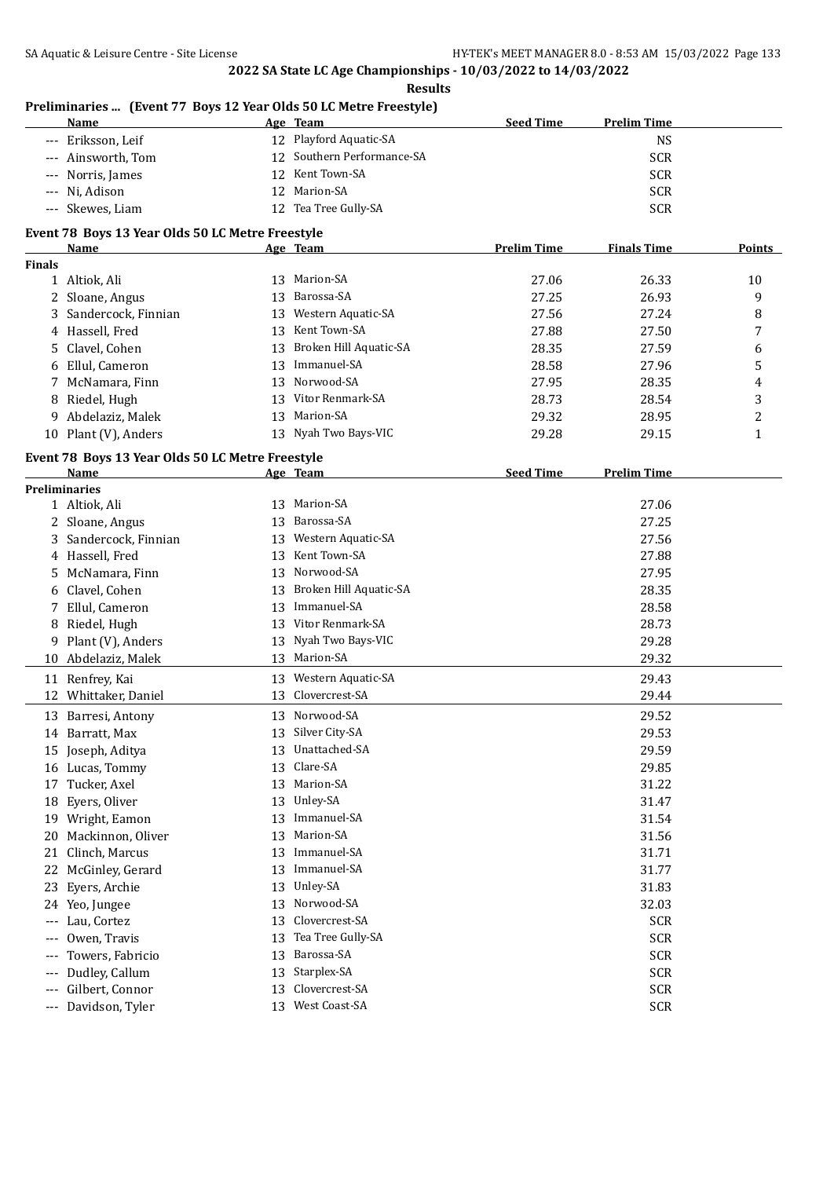#### **Preliminaries ... (Event 77 Boys 12 Year Olds 50 LC Metre Freestyle)**

| Name               | Age Team                   | <b>Prelim Time</b><br><b>Seed Time</b> |  |
|--------------------|----------------------------|----------------------------------------|--|
| --- Eriksson, Leif | 12 Playford Aquatic-SA     | NS                                     |  |
| --- Ainsworth, Tom | 12 Southern Performance-SA | <b>SCR</b>                             |  |
| --- Norris, James  | 12 Kent Town-SA            | <b>SCR</b>                             |  |
| --- Ni, Adison     | 12 Marion-SA               | <b>SCR</b>                             |  |
| --- Skewes, Liam   | 12 Tea Tree Gully-SA       | <b>SCR</b>                             |  |

**Results**

#### **Event 78 Boys 13 Year Olds 50 LC Metre Freestyle**

|               | <b>Name</b>                                      |    | Age Team               | <b>Prelim Time</b> | <b>Finals Time</b> | <b>Points</b>           |
|---------------|--------------------------------------------------|----|------------------------|--------------------|--------------------|-------------------------|
| <b>Finals</b> |                                                  |    |                        |                    |                    |                         |
|               | 1 Altiok, Ali                                    |    | 13 Marion-SA           | 27.06              | 26.33              | 10                      |
|               | 2 Sloane, Angus                                  | 13 | Barossa-SA             | 27.25              | 26.93              | 9                       |
| 3             | Sandercock, Finnian                              | 13 | Western Aquatic-SA     | 27.56              | 27.24              | 8                       |
|               | 4 Hassell, Fred                                  |    | 13 Kent Town-SA        | 27.88              | 27.50              | 7                       |
| 5.            | Clavel, Cohen                                    | 13 | Broken Hill Aquatic-SA | 28.35              | 27.59              | 6                       |
| 6             | Ellul, Cameron                                   | 13 | Immanuel-SA            | 28.58              | 27.96              | 5                       |
| 7             | McNamara, Finn                                   | 13 | Norwood-SA             | 27.95              | 28.35              | 4                       |
| 8             | Riedel, Hugh                                     | 13 | Vitor Renmark-SA       | 28.73              | 28.54              | 3                       |
| 9             | Abdelaziz, Malek                                 | 13 | Marion-SA              | 29.32              | 28.95              | $\overline{\mathbf{c}}$ |
|               | 10 Plant (V), Anders                             | 13 | Nyah Two Bays-VIC      | 29.28              | 29.15              | $\mathbf{1}$            |
|               | Event 78 Boys 13 Year Olds 50 LC Metre Freestyle |    |                        |                    |                    |                         |
|               | Name                                             |    | <u>Age Team</u>        | <b>Seed Time</b>   | <b>Prelim Time</b> |                         |
|               | <b>Preliminaries</b>                             |    |                        |                    |                    |                         |
|               | 1 Altiok, Ali                                    |    | 13 Marion-SA           |                    | 27.06              |                         |
|               | 2 Sloane, Angus                                  |    | 13 Barossa-SA          |                    | 27.25              |                         |
|               | 3 Sandercock, Finnian                            | 13 | Western Aquatic-SA     |                    | 27.56              |                         |
|               | 4 Hassell, Fred                                  |    | 13 Kent Town-SA        |                    | 27.88              |                         |
|               | 5 McNamara, Finn                                 | 13 | Norwood-SA             |                    | 27.95              |                         |
|               | 6 Clavel, Cohen                                  | 13 | Broken Hill Aquatic-SA |                    | 28.35              |                         |
| 7             | Ellul, Cameron                                   |    | 13 Immanuel-SA         |                    | 28.58              |                         |
| 8             | Riedel, Hugh                                     |    | 13 Vitor Renmark-SA    |                    | 28.73              |                         |
| 9             | Plant (V), Anders                                | 13 | Nyah Two Bays-VIC      |                    | 29.28              |                         |
|               | 10 Abdelaziz, Malek                              |    | 13 Marion-SA           |                    | 29.32              |                         |
|               | 11 Renfrey, Kai                                  |    | 13 Western Aquatic-SA  |                    | 29.43              |                         |
| 12            | Whittaker, Daniel                                | 13 | Clovercrest-SA         |                    | 29.44              |                         |
|               | 13 Barresi, Antony                               |    | 13 Norwood-SA          |                    | 29.52              |                         |
|               | 14 Barratt, Max                                  | 13 | Silver City-SA         |                    | 29.53              |                         |
| 15            | Joseph, Aditya                                   | 13 | Unattached-SA          |                    | 29.59              |                         |
|               | 16 Lucas, Tommy                                  | 13 | Clare-SA               |                    | 29.85              |                         |
| 17            | Tucker, Axel                                     |    | 13 Marion-SA           |                    | 31.22              |                         |
| 18            | Eyers, Oliver                                    | 13 | Unley-SA               |                    | 31.47              |                         |
|               | 19 Wright, Eamon                                 | 13 | Immanuel-SA            |                    | 31.54              |                         |
| 20            | Mackinnon, Oliver                                |    | 13 Marion-SA           |                    | 31.56              |                         |
|               | 21 Clinch, Marcus                                |    | 13 Immanuel-SA         |                    | 31.71              |                         |
|               | 22 McGinley, Gerard                              |    | 13 Immanuel-SA         |                    | 31.77              |                         |
|               | 23 Eyers, Archie                                 |    | 13 Unley-SA            |                    | 31.83              |                         |
|               | 24 Yeo, Jungee                                   |    | 13 Norwood-SA          |                    | 32.03              |                         |
|               | --- Lau, Cortez                                  | 13 | Clovercrest-SA         |                    | <b>SCR</b>         |                         |
| $---$         | Owen, Travis                                     | 13 | Tea Tree Gully-SA      |                    | <b>SCR</b>         |                         |
| $---$         | Towers, Fabricio                                 | 13 | Barossa-SA             |                    | <b>SCR</b>         |                         |
| $---$         | Dudley, Callum                                   | 13 | Starplex-SA            |                    | <b>SCR</b>         |                         |
| $---$         | Gilbert, Connor                                  | 13 | Clovercrest-SA         |                    | <b>SCR</b>         |                         |
| $-\, -\, -$   | Davidson, Tyler                                  |    | 13 West Coast-SA       |                    | <b>SCR</b>         |                         |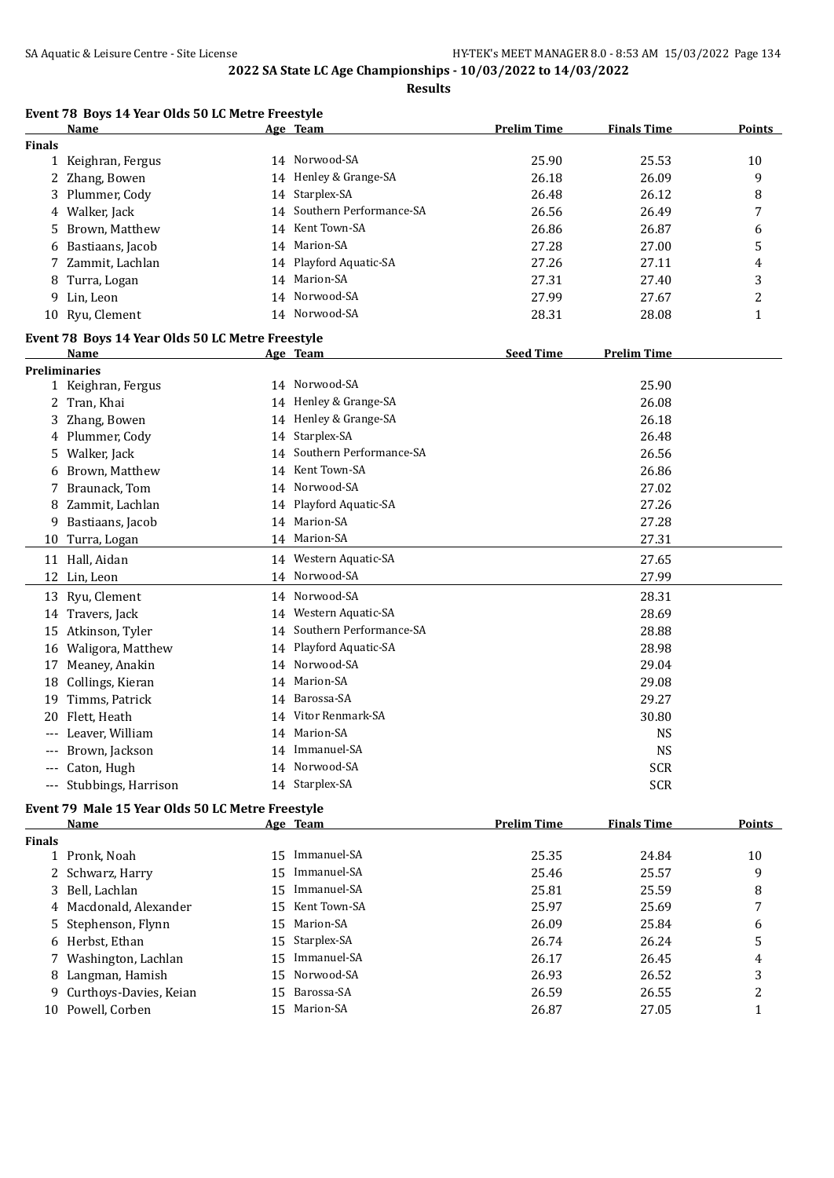|               | Event 78 Boys 14 Year Olds 50 LC Metre Freestyle<br><u>Name</u> |    | <u>Age Team</u>         | <b>Prelim Time</b> | <b>Finals Time</b>     | <b>Points</b>  |
|---------------|-----------------------------------------------------------------|----|-------------------------|--------------------|------------------------|----------------|
| <b>Finals</b> |                                                                 |    |                         |                    |                        |                |
|               | 1 Keighran, Fergus                                              |    | 14 Norwood-SA           | 25.90              | 25.53                  | 10             |
|               | 2 Zhang, Bowen                                                  |    | 14 Henley & Grange-SA   | 26.18              | 26.09                  | 9              |
|               | 3 Plummer, Cody                                                 | 14 | Starplex-SA             | 26.48              | 26.12                  | 8              |
| 4             | Walker, Jack                                                    | 14 | Southern Performance-SA | 26.56              | 26.49                  | 7              |
|               | 5 Brown, Matthew                                                | 14 | Kent Town-SA            | 26.86              | 26.87                  | 6              |
|               | 6 Bastiaans, Jacob                                              |    | 14 Marion-SA            | 27.28              | 27.00                  | 5              |
|               | 7 Zammit, Lachlan                                               | 14 | Playford Aquatic-SA     | 27.26              | 27.11                  | 4              |
| 8             | Turra, Logan                                                    | 14 | Marion-SA               | 27.31              | 27.40                  | 3              |
|               | 9 Lin, Leon                                                     | 14 | Norwood-SA              | 27.99              | 27.67                  | $\overline{c}$ |
|               | 10 Ryu, Clement                                                 |    | 14 Norwood-SA           | 28.31              | 28.08                  | 1              |
|               | Event 78 Boys 14 Year Olds 50 LC Metre Freestyle                |    |                         |                    |                        |                |
|               | Name                                                            |    | Age Team                | <b>Seed Time</b>   | <b>Prelim Time</b>     |                |
|               | <b>Preliminaries</b>                                            |    |                         |                    |                        |                |
|               | 1 Keighran, Fergus                                              |    | 14 Norwood-SA           |                    | 25.90                  |                |
|               | 2 Tran, Khai                                                    |    | 14 Henley & Grange-SA   |                    | 26.08                  |                |
| 3             | Zhang, Bowen                                                    |    | 14 Henley & Grange-SA   |                    | 26.18                  |                |
|               | 4 Plummer, Cody                                                 |    | 14 Starplex-SA          |                    | 26.48                  |                |
|               | 5 Walker, Jack                                                  | 14 | Southern Performance-SA |                    | 26.56                  |                |
| 6             | Brown, Matthew                                                  |    | 14 Kent Town-SA         |                    | 26.86                  |                |
| 7             | Braunack, Tom                                                   |    | 14 Norwood-SA           |                    | 27.02                  |                |
| 8             | Zammit, Lachlan                                                 |    | 14 Playford Aquatic-SA  |                    | 27.26                  |                |
| 9.            | Bastiaans, Jacob                                                | 14 | Marion-SA               |                    | 27.28                  |                |
|               | 10 Turra, Logan                                                 |    | 14 Marion-SA            |                    | 27.31                  |                |
|               | 11 Hall, Aidan                                                  |    | 14 Western Aquatic-SA   |                    | 27.65                  |                |
| 12            | Lin, Leon                                                       | 14 | Norwood-SA              |                    | 27.99                  |                |
|               | 13 Ryu, Clement                                                 |    | 14 Norwood-SA           |                    | 28.31                  |                |
|               | 14 Travers, Jack                                                |    | 14 Western Aquatic-SA   |                    | 28.69                  |                |
|               | 15 Atkinson, Tyler                                              | 14 | Southern Performance-SA |                    | 28.88                  |                |
|               | 16 Waligora, Matthew                                            | 14 | Playford Aquatic-SA     |                    | 28.98                  |                |
| 17            | Meaney, Anakin                                                  | 14 | Norwood-SA              |                    | 29.04                  |                |
|               | 18 Collings, Kieran                                             | 14 | Marion-SA               |                    | 29.08                  |                |
|               | 19 Timms, Patrick                                               | 14 | Barossa-SA              |                    | 29.27                  |                |
|               | 20 Flett, Heath                                                 |    | 14 Vitor Renmark-SA     |                    | 30.80                  |                |
|               | --- Leaver, William                                             |    | 14 Marion-SA            |                    | $\mathbf{N}\mathbf{S}$ |                |
|               | --- Brown, Jackson                                              |    | 14 Immanuel-SA          |                    | <b>NS</b>              |                |
| ---           | Caton, Hugh                                                     |    | 14 Norwood-SA           |                    | <b>SCR</b>             |                |
|               | --- Stubbings, Harrison                                         |    | 14 Starplex-SA          |                    | <b>SCR</b>             |                |
|               | Event 79 Male 15 Year Olds 50 LC Metre Freestyle                |    |                         |                    |                        |                |
|               | Name                                                            |    | Age Team                | <b>Prelim Time</b> | <b>Finals Time</b>     | <b>Points</b>  |
| <b>Finals</b> | 1 Pronk, Noah                                                   |    | 15 Immanuel-SA          | 25.35              | 24.84                  | 10             |
|               |                                                                 |    |                         |                    |                        |                |

| 1 Pronk, Noah            |     | 15 Immanuel-SA  | 25.35 | 24.84 | 10 |
|--------------------------|-----|-----------------|-------|-------|----|
| 2 Schwarz, Harry         |     | 15 Immanuel-SA  | 25.46 | 25.57 | q  |
| 3 Bell, Lachlan          |     | 15 Immanuel-SA  | 25.81 | 25.59 | 8  |
| 4 Macdonald, Alexander   |     | 15 Kent Town-SA | 25.97 | 25.69 |    |
| 5 Stephenson, Flynn      |     | 15 Marion-SA    | 26.09 | 25.84 | 6  |
| 6 Herbst, Ethan          |     | 15 Starplex-SA  | 26.74 | 26.24 |    |
| 7 Washington, Lachlan    |     | 15 Immanuel-SA  | 26.17 | 26.45 | 4  |
| 8 Langman, Hamish        |     | 15 Norwood-SA   | 26.93 | 26.52 |    |
| 9 Curthoys-Davies, Keian |     | 15 Barossa-SA   | 26.59 | 26.55 |    |
| 10 Powell, Corben        | 15. | Marion-SA       | 26.87 | 27.05 |    |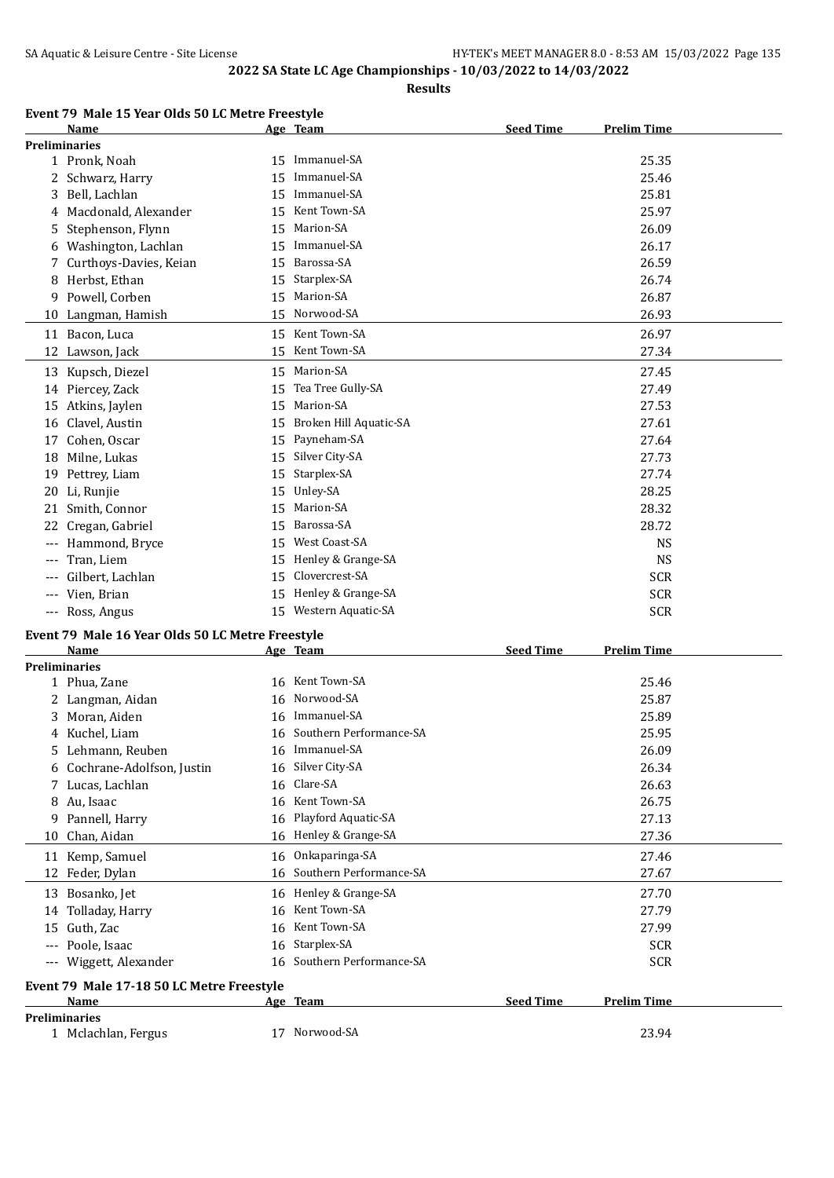**Results**

|    | Event 79 Male 15 Year Olds 50 LC Metre Freestyle |    |                        |                  |                    |
|----|--------------------------------------------------|----|------------------------|------------------|--------------------|
|    | Name                                             |    | Age Team               | <b>Seed Time</b> | <b>Prelim Time</b> |
|    | <b>Preliminaries</b>                             |    |                        |                  |                    |
|    | 1 Pronk, Noah                                    | 15 | Immanuel-SA            |                  | 25.35              |
|    | 2 Schwarz, Harry                                 | 15 | Immanuel-SA            |                  | 25.46              |
| 3  | Bell, Lachlan                                    | 15 | Immanuel-SA            |                  | 25.81              |
| 4  | Macdonald, Alexander                             | 15 | Kent Town-SA           |                  | 25.97              |
| 5. | Stephenson, Flynn                                | 15 | Marion-SA              |                  | 26.09              |
| 6  | Washington, Lachlan                              | 15 | Immanuel-SA            |                  | 26.17              |
|    | 7 Curthoys-Davies, Keian                         | 15 | Barossa-SA             |                  | 26.59              |
| 8  | Herbst, Ethan                                    | 15 | Starplex-SA            |                  | 26.74              |
| 9  | Powell, Corben                                   | 15 | Marion-SA              |                  | 26.87              |
| 10 | Langman, Hamish                                  | 15 | Norwood-SA             |                  | 26.93              |
|    | 11 Bacon, Luca                                   |    | 15 Kent Town-SA        |                  | 26.97              |
|    | 12 Lawson, Jack                                  | 15 | Kent Town-SA           |                  | 27.34              |
|    | 13 Kupsch, Diezel                                | 15 | Marion-SA              |                  | 27.45              |
|    | 14 Piercey, Zack                                 | 15 | Tea Tree Gully-SA      |                  | 27.49              |
| 15 | Atkins, Jaylen                                   | 15 | Marion-SA              |                  | 27.53              |
| 16 | Clavel, Austin                                   | 15 | Broken Hill Aquatic-SA |                  | 27.61              |
|    | 17 Cohen, Oscar                                  |    | 15 Payneham-SA         |                  | 27.64              |
|    | 10 Milno Lulzoc                                  |    | $15$ Silver City-SA    |                  | 2772               |

| 13 Kupsch, Diezel    | 15 | Marion-SA              | 27.45      |
|----------------------|----|------------------------|------------|
| 14 Piercey, Zack     |    | 15 Tea Tree Gully-SA   | 27.49      |
| 15 Atkins, Jaylen    | 15 | Marion-SA              | 27.53      |
| 16 Clavel, Austin    | 15 | Broken Hill Aquatic-SA | 27.61      |
| 17 Cohen, Oscar      |    | 15 Payneham-SA         | 27.64      |
| 18 Milne, Lukas      |    | 15 Silver City-SA      | 27.73      |
| 19 Pettrey, Liam     |    | 15 Starplex-SA         | 27.74      |
| 20 Li, Runjie        |    | 15 Unley-SA            | 28.25      |
| 21 Smith, Connor     |    | 15 Marion-SA           | 28.32      |
| 22 Cregan, Gabriel   |    | 15 Barossa-SA          | 28.72      |
| --- Hammond, Bryce   | 15 | West Coast-SA          | <b>NS</b>  |
| --- Tran, Liem       |    | 15 Henley & Grange-SA  | <b>NS</b>  |
| --- Gilbert, Lachlan | 15 | Clovercrest-SA         | <b>SCR</b> |
| --- Vien, Brian      | 15 | Henley & Grange-SA     | <b>SCR</b> |

--- Ross, Angus 3CR SCR 3 and 15 Western Aquatic-SA 3 and 3 SCR

#### **Event 79 Male 16 Year Olds 50 LC Metre Freestyle**

|       | Name                                      |    | Age Team                | <b>Seed Time</b> | <b>Prelim Time</b> |
|-------|-------------------------------------------|----|-------------------------|------------------|--------------------|
|       | <b>Preliminaries</b>                      |    |                         |                  |                    |
|       | 1 Phua, Zane                              | 16 | Kent Town-SA            |                  | 25.46              |
|       | Langman, Aidan                            | 16 | Norwood-SA              |                  | 25.87              |
| 3     | Moran, Aiden                              | 16 | Immanuel-SA             |                  | 25.89              |
| 4     | Kuchel, Liam                              | 16 | Southern Performance-SA |                  | 25.95              |
| 5.    | Lehmann, Reuben                           | 16 | Immanuel-SA             |                  | 26.09              |
|       | 6 Cochrane-Adolfson, Justin               | 16 | Silver City-SA          |                  | 26.34              |
| 7     | Lucas, Lachlan                            | 16 | Clare-SA                |                  | 26.63              |
| 8     | Au, Isaac                                 | 16 | Kent Town-SA            |                  | 26.75              |
| 9     | Pannell, Harry                            | 16 | Playford Aquatic-SA     |                  | 27.13              |
| 10    | Chan, Aidan                               | 16 | Henley & Grange-SA      |                  | 27.36              |
| 11    | Kemp, Samuel                              | 16 | Onkaparinga-SA          |                  | 27.46              |
|       | 12 Feder, Dylan                           | 16 | Southern Performance-SA |                  | 27.67              |
| 13    | Bosanko, Jet                              | 16 | Henley & Grange-SA      |                  | 27.70              |
|       | 14 Tolladay, Harry                        | 16 | Kent Town-SA            |                  | 27.79              |
| 15    | Guth, Zac                                 | 16 | Kent Town-SA            |                  | 27.99              |
| $---$ | Poole, Isaac                              | 16 | Starplex-SA             |                  | <b>SCR</b>         |
| ---   | Wiggett, Alexander                        | 16 | Southern Performance-SA |                  | <b>SCR</b>         |
|       | Event 79 Male 17-18 50 LC Metre Freestyle |    |                         |                  |                    |
|       | Name                                      |    | Age Team                | <b>Seed Time</b> | <b>Prelim Time</b> |
|       | <b>Preliminaries</b>                      |    |                         |                  |                    |
|       | 1 Mclachlan, Fergus                       | 17 | Norwood-SA              |                  | 23.94              |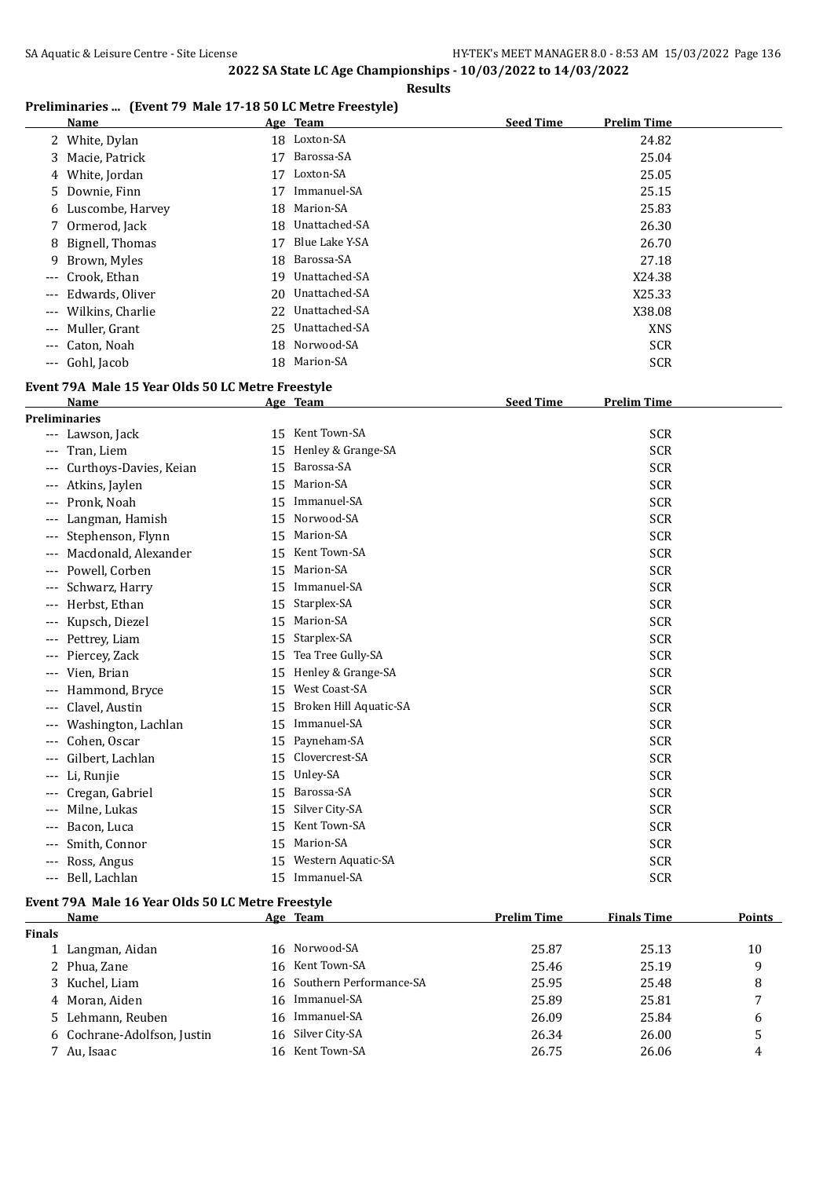#### **Results**

## **Preliminaries ... (Event 79 Male 17-18 50 LC Metre Freestyle)**

|       | <b>Name</b>        |     | Age Team         | <b>Seed Time</b> | <b>Prelim Time</b> |
|-------|--------------------|-----|------------------|------------------|--------------------|
|       | 2 White, Dylan     |     | 18 Loxton-SA     |                  | 24.82              |
|       | 3 Macie, Patrick   | 17  | Barossa-SA       |                  | 25.04              |
|       | 4 White, Jordan    | 17  | Loxton-SA        |                  | 25.05              |
|       | 5 Downie, Finn     | 17  | Immanuel-SA      |                  | 25.15              |
|       | 6 Luscombe, Harvey | 18  | Marion-SA        |                  | 25.83              |
|       | 7 Ormerod, Jack    | 18  | Unattached-SA    |                  | 26.30              |
|       | 8 Bignell, Thomas  | 17  | Blue Lake Y-SA   |                  | 26.70              |
|       | 9 Brown, Myles     | 18  | Barossa-SA       |                  | 27.18              |
|       | --- Crook, Ethan   | 19. | Unattached-SA    |                  | X24.38             |
| $---$ | Edwards, Oliver    |     | 20 Unattached-SA |                  | X25.33             |
| $---$ | Wilkins, Charlie   |     | 22 Unattached-SA |                  | X38.08             |
| $---$ | Muller, Grant      |     | 25 Unattached-SA |                  | <b>XNS</b>         |
|       | --- Caton, Noah    |     | 18 Norwood-SA    |                  | <b>SCR</b>         |
|       | --- Gohl, Jacob    | 18  | Marion-SA        |                  | <b>SCR</b>         |

## **Event 79A Male 15 Year Olds 50 LC Metre Freestyle**

| Name                          |    | Age Team               | <b>Seed Time</b> | <b>Prelim Time</b> |  |
|-------------------------------|----|------------------------|------------------|--------------------|--|
| <b>Preliminaries</b>          |    |                        |                  |                    |  |
| Lawson, Jack<br>---           | 15 | Kent Town-SA           |                  | <b>SCR</b>         |  |
| Tran, Liem<br>$---$           | 15 | Henley & Grange-SA     |                  | <b>SCR</b>         |  |
| Curthoys-Davies, Keian<br>--- | 15 | Barossa-SA             |                  | <b>SCR</b>         |  |
| Atkins, Jaylen<br>$---$       | 15 | Marion-SA              |                  | <b>SCR</b>         |  |
| Pronk, Noah<br>$---$          | 15 | Immanuel-SA            |                  | <b>SCR</b>         |  |
| Langman, Hamish<br>$---$      | 15 | Norwood-SA             |                  | <b>SCR</b>         |  |
| Stephenson, Flynn<br>---      | 15 | Marion-SA              |                  | <b>SCR</b>         |  |
| Macdonald, Alexander<br>---   | 15 | Kent Town-SA           |                  | <b>SCR</b>         |  |
| Powell, Corben<br>---         | 15 | Marion-SA              |                  | <b>SCR</b>         |  |
| Schwarz, Harry<br>---         | 15 | Immanuel-SA            |                  | <b>SCR</b>         |  |
| Herbst, Ethan<br>---          | 15 | Starplex-SA            |                  | <b>SCR</b>         |  |
| Kupsch, Diezel<br>$---$       | 15 | Marion-SA              |                  | <b>SCR</b>         |  |
| Pettrey, Liam<br>---          | 15 | Starplex-SA            |                  | <b>SCR</b>         |  |
| Piercey, Zack<br>$---$        | 15 | Tea Tree Gully-SA      |                  | <b>SCR</b>         |  |
| Vien, Brian<br>---            | 15 | Henley & Grange-SA     |                  | <b>SCR</b>         |  |
| Hammond, Bryce<br>$---$       | 15 | West Coast-SA          |                  | <b>SCR</b>         |  |
| Clavel, Austin<br>---         | 15 | Broken Hill Aquatic-SA |                  | <b>SCR</b>         |  |
| Washington, Lachlan<br>---    | 15 | Immanuel-SA            |                  | <b>SCR</b>         |  |
| Cohen, Oscar<br>$---$         | 15 | Payneham-SA            |                  | <b>SCR</b>         |  |
| Gilbert, Lachlan<br>---       | 15 | Clovercrest-SA         |                  | <b>SCR</b>         |  |
| Li, Runjie<br>---             | 15 | Unley-SA               |                  | <b>SCR</b>         |  |
| Cregan, Gabriel<br>$---$      | 15 | Barossa-SA             |                  | <b>SCR</b>         |  |
| Milne, Lukas<br>$---$         | 15 | Silver City-SA         |                  | <b>SCR</b>         |  |
| Bacon, Luca<br>$---$          | 15 | Kent Town-SA           |                  | <b>SCR</b>         |  |
| Smith, Connor<br>---          | 15 | Marion-SA              |                  | <b>SCR</b>         |  |
| Ross, Angus<br>---            | 15 | Western Aquatic-SA     |                  | <b>SCR</b>         |  |
| Bell, Lachlan<br>---          | 15 | Immanuel-SA            |                  | <b>SCR</b>         |  |

#### **Event 79A Male 16 Year Olds 50 LC Metre Freestyle**

|               | Name                        | Age Team                   | <b>Prelim Time</b> | <b>Finals Time</b> | Points |
|---------------|-----------------------------|----------------------------|--------------------|--------------------|--------|
| <b>Finals</b> |                             |                            |                    |                    |        |
|               | 1 Langman, Aidan            | 16 Norwood-SA              | 25.87              | 25.13              | 10     |
|               | 2 Phua, Zane                | 16 Kent Town-SA            | 25.46              | 25.19              | 9      |
|               | 3 Kuchel, Liam              | 16 Southern Performance-SA | 25.95              | 25.48              | 8      |
|               | 4 Moran, Aiden              | 16 Immanuel-SA             | 25.89              | 25.81              | 7      |
|               | 5 Lehmann, Reuben           | 16 Immanuel-SA             | 26.09              | 25.84              | 6      |
|               | 6 Cochrane-Adolfson, Justin | 16 Silver City-SA          | 26.34              | 26.00              | 5      |
|               | 7 Au, Isaac                 | 16 Kent Town-SA            | 26.75              | 26.06              | 4      |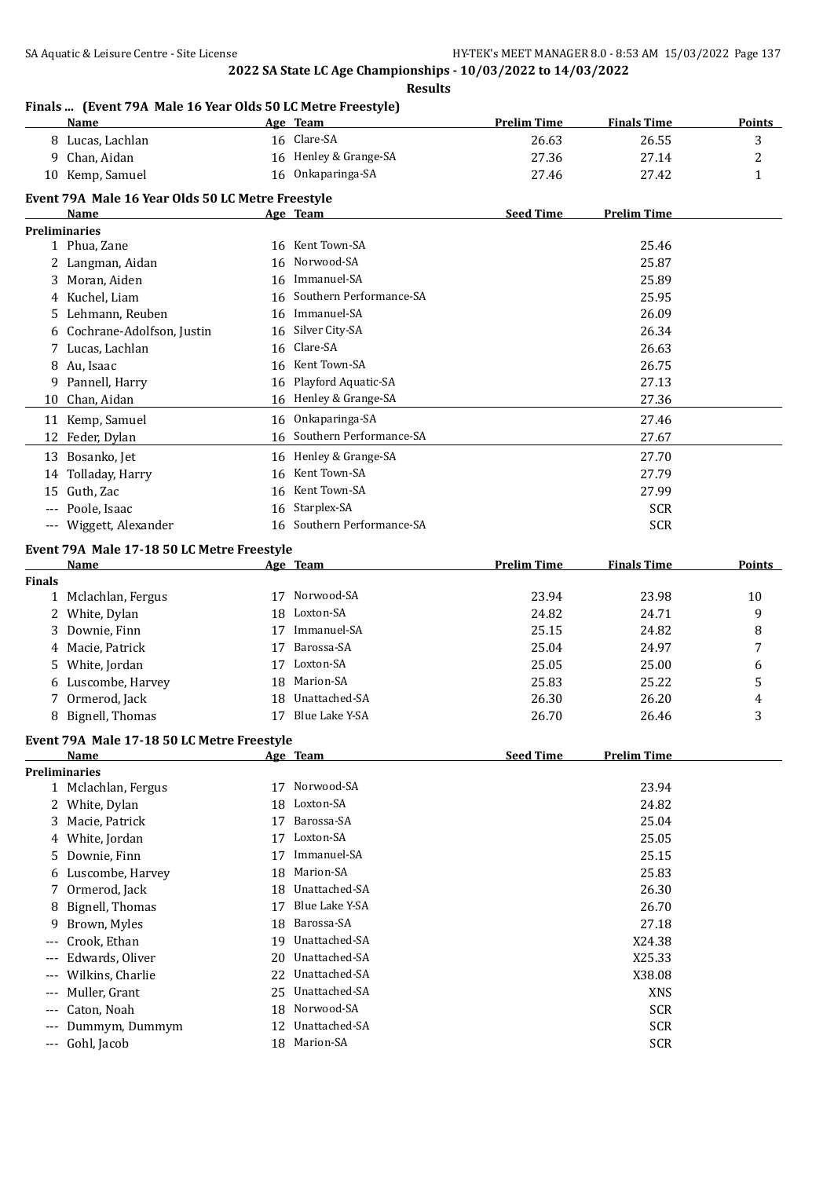**Results**

## **Finals ... (Event 79A Male 16 Year Olds 50 LC Metre Freestyle)**

|               | Name                                                      |    | Age Team                   | <b>Prelim Time</b> | <b>Finals Time</b> | <b>Points</b> |
|---------------|-----------------------------------------------------------|----|----------------------------|--------------------|--------------------|---------------|
|               | 8 Lucas, Lachlan                                          |    | 16 Clare-SA                | 26.63              | 26.55              | 3             |
|               | 9 Chan, Aidan                                             |    | 16 Henley & Grange-SA      | 27.36              | 27.14              | 2             |
|               | 10 Kemp, Samuel                                           |    | 16 Onkaparinga-SA          | 27.46              | 27.42              | 1             |
|               |                                                           |    |                            |                    |                    |               |
|               | Event 79A Male 16 Year Olds 50 LC Metre Freestyle<br>Name |    | Age Team                   | <b>Seed Time</b>   | <b>Prelim Time</b> |               |
|               | <b>Preliminaries</b>                                      |    |                            |                    |                    |               |
|               | 1 Phua, Zane                                              |    | 16 Kent Town-SA            |                    | 25.46              |               |
|               | 2 Langman, Aidan                                          | 16 | Norwood-SA                 |                    | 25.87              |               |
|               | 3 Moran, Aiden                                            |    | 16 Immanuel-SA             |                    | 25.89              |               |
|               | 4 Kuchel, Liam                                            |    | 16 Southern Performance-SA |                    | 25.95              |               |
|               | 5 Lehmann, Reuben                                         |    | 16 Immanuel-SA             |                    | 26.09              |               |
|               | 6 Cochrane-Adolfson, Justin                               |    | 16 Silver City-SA          |                    | 26.34              |               |
|               | 7 Lucas, Lachlan                                          | 16 | Clare-SA                   |                    | 26.63              |               |
|               | 8 Au, Isaac                                               |    | 16 Kent Town-SA            |                    | 26.75              |               |
|               | 9 Pannell, Harry                                          | 16 | Playford Aquatic-SA        |                    | 27.13              |               |
|               | 10 Chan, Aidan                                            |    | 16 Henley & Grange-SA      |                    | 27.36              |               |
|               |                                                           |    |                            |                    |                    |               |
|               | 11 Kemp, Samuel                                           |    | 16 Onkaparinga-SA          |                    | 27.46              |               |
|               | 12 Feder, Dylan                                           |    | 16 Southern Performance-SA |                    | 27.67              |               |
|               | 13 Bosanko, Jet                                           |    | 16 Henley & Grange-SA      |                    | 27.70              |               |
|               | 14 Tolladay, Harry                                        | 16 | Kent Town-SA               |                    | 27.79              |               |
|               | 15 Guth, Zac                                              | 16 | Kent Town-SA               |                    | 27.99              |               |
|               | --- Poole, Isaac                                          | 16 | Starplex-SA                |                    | <b>SCR</b>         |               |
|               | --- Wiggett, Alexander                                    |    | 16 Southern Performance-SA |                    | <b>SCR</b>         |               |
|               | Event 79A Male 17-18 50 LC Metre Freestyle                |    |                            |                    |                    |               |
|               | Name                                                      |    | Age Team                   | <b>Prelim Time</b> | <b>Finals Time</b> | Points        |
| <b>Finals</b> |                                                           |    |                            |                    |                    |               |
|               | 1 Mclachlan, Fergus                                       |    | 17 Norwood-SA              | 23.94              | 23.98              | 10            |
|               | 2 White, Dylan                                            |    | 18 Loxton-SA               | 24.82              | 24.71              | 9             |
|               | 3 Downie, Finn                                            |    | 17 Immanuel-SA             | 25.15              | 24.82              | 8             |
|               | 4 Macie, Patrick                                          |    | 17 Barossa-SA              | 25.04              | 24.97              | 7             |
|               | 5 White, Jordan                                           |    | 17 Loxton-SA               | 25.05              | 25.00              | 6             |
|               | 6 Luscombe, Harvey                                        |    | 18 Marion-SA               | 25.83              | 25.22              | 5             |
|               | 7 Ormerod, Jack                                           |    | 18 Unattached-SA           | 26.30              | 26.20              | 4             |
|               | 8 Bignell, Thomas                                         |    | 17 Blue Lake Y-SA          | 26.70              | 26.46              | 3             |
|               |                                                           |    |                            |                    |                    |               |
|               | Event 79A Male 17-18 50 LC Metre Freestyle                |    |                            |                    |                    |               |
|               | <u>Name</u><br><b>Preliminaries</b>                       |    | Age Team                   | <b>Seed Time</b>   | <b>Prelim Time</b> |               |
|               | 1 Mclachlan, Fergus                                       | 17 | Norwood-SA                 |                    | 23.94              |               |
|               | 2 White, Dylan                                            | 18 | Loxton-SA                  |                    | 24.82              |               |
| 3             | Macie, Patrick                                            | 17 | Barossa-SA                 |                    | 25.04              |               |
|               |                                                           | 17 | Loxton-SA                  |                    | 25.05              |               |
| 4             | White, Jordan                                             | 17 | Immanuel-SA                |                    |                    |               |
| 5.            | Downie, Finn                                              |    | Marion-SA                  |                    | 25.15              |               |
| 6             | Luscombe, Harvey                                          | 18 | Unattached-SA              |                    | 25.83              |               |
| 7             | Ormerod, Jack                                             | 18 |                            |                    | 26.30              |               |
| 8             | Bignell, Thomas                                           | 17 | Blue Lake Y-SA             |                    | 26.70              |               |
| 9             | Brown, Myles                                              | 18 | Barossa-SA                 |                    | 27.18              |               |
| ---           | Crook, Ethan                                              | 19 | Unattached-SA              |                    | X24.38             |               |
| ---           | Edwards, Oliver                                           | 20 | Unattached-SA              |                    | X25.33             |               |
| ---           | Wilkins, Charlie                                          | 22 | Unattached-SA              |                    | X38.08             |               |
| $---$         | Muller, Grant                                             | 25 | Unattached-SA              |                    | <b>XNS</b>         |               |
| ---           | Caton, Noah                                               | 18 | Norwood-SA                 |                    | <b>SCR</b>         |               |
| ---           | Dummym, Dummym                                            | 12 | Unattached-SA              |                    | <b>SCR</b>         |               |
| ---           | Gohl, Jacob                                               |    | 18 Marion-SA               |                    | <b>SCR</b>         |               |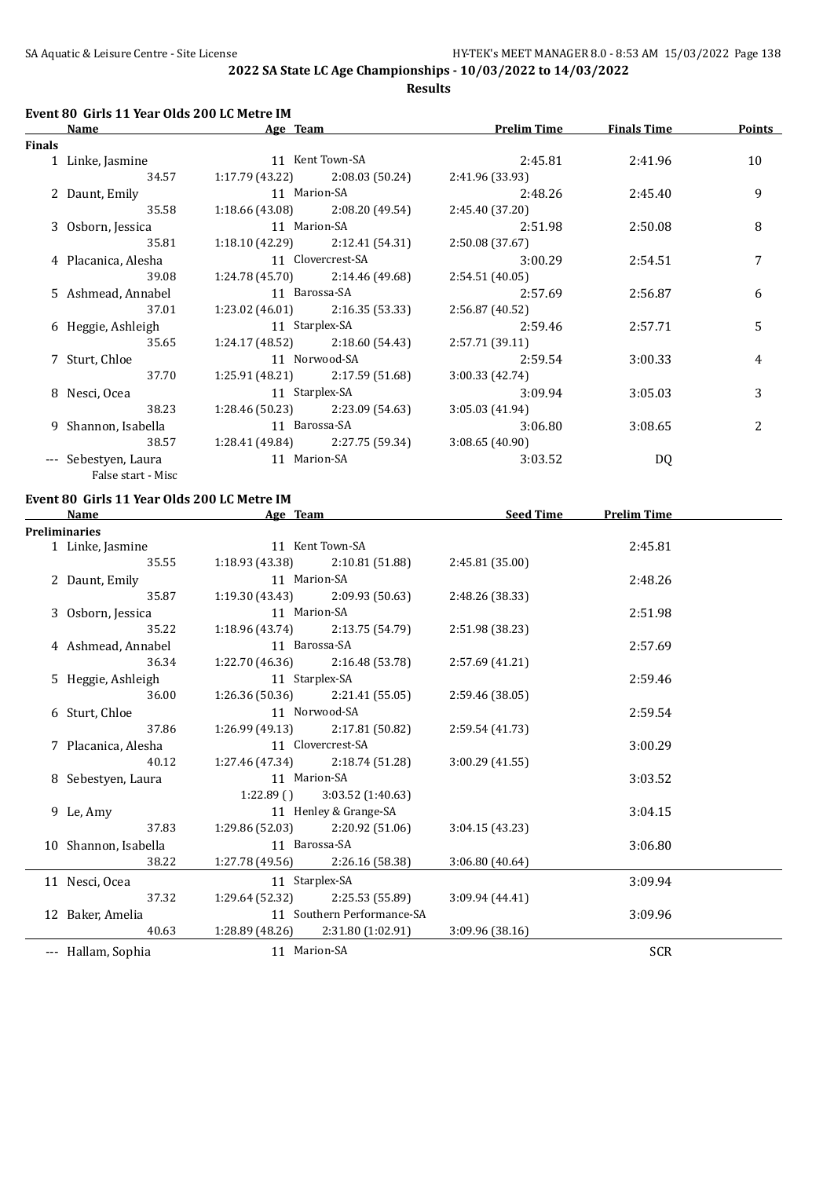**Results**

## **Event 80 Girls 11 Year Olds 200 LC Metre IM**

|               | Name<br>Age Team     |                   | <b>Prelim Time</b>                | <b>Finals Time</b> | <b>Points</b> |                |
|---------------|----------------------|-------------------|-----------------------------------|--------------------|---------------|----------------|
| <b>Finals</b> |                      |                   |                                   |                    |               |                |
|               | 1 Linke, Jasmine     |                   | 11 Kent Town-SA                   | 2:45.81            | 2:41.96       | 10             |
|               | 34.57                |                   | $1:17.79(43.22)$ $2:08.03(50.24)$ | 2:41.96 (33.93)    |               |                |
|               | 2 Daunt, Emily       | 11 Marion-SA      |                                   | 2:48.26            | 2:45.40       | 9              |
|               | 35.58                |                   | $1:18.66(43.08)$ $2:08.20(49.54)$ | 2:45.40(37.20)     |               |                |
|               | 3 Osborn, Jessica    | 11 Marion-SA      |                                   | 2:51.98            | 2:50.08       | 8              |
|               | 35.81                |                   | $1:18.10(42.29)$ $2:12.41(54.31)$ | 2:50.08(37.67)     |               |                |
|               | 4 Placanica, Alesha  | 11 Clovercrest-SA |                                   | 3:00.29            | 2:54.51       | 7              |
|               | 39.08                |                   | $1:24.78(45.70)$ $2:14.46(49.68)$ | 2:54.51(40.05)     |               |                |
|               | 5 Ashmead, Annabel   | 11 Barossa-SA     |                                   | 2:57.69            | 2:56.87       | 6              |
|               | 37.01                |                   | $1:23.02(46.01)$ $2:16.35(53.33)$ | 2:56.87(40.52)     |               |                |
|               | 6 Heggie, Ashleigh   | 11 Starplex-SA    |                                   | 2:59.46            | 2:57.71       | 5              |
|               | 35.65                |                   | $1:24.17(48.52)$ $2:18.60(54.43)$ | 2:57.71 (39.11)    |               |                |
|               | 7 Sturt, Chloe       |                   | 11 Norwood-SA                     | 2:59.54            | 3:00.33       | 4              |
|               | 37.70                |                   | $1:25.91(48.21)$ $2:17.59(51.68)$ | 3:00.33(42.74)     |               |                |
|               | 8 Nesci, Ocea        |                   | 11 Starplex-SA                    | 3:09.94            | 3:05.03       | 3              |
|               | 38.23                |                   | $1:28.46(50.23)$ $2:23.09(54.63)$ | 3:05.03(41.94)     |               |                |
|               | 9 Shannon, Isabella  | 11 Barossa-SA     |                                   | 3:06.80            | 3:08.65       | $\overline{c}$ |
|               | 38.57                |                   | $1:28.41(49.84)$ $2:27.75(59.34)$ | 3:08.65(40.90)     |               |                |
|               | --- Sebestyen, Laura | 11 Marion-SA      |                                   | 3:03.52            | DQ            |                |
|               | False start - Misc   |                   |                                   |                    |               |                |

## **Event 80 Girls 11 Year Olds 200 LC Metre IM**

| <b>Name</b>          | Age Team       |                                     | <b>Seed Time</b> | <b>Prelim Time</b> |  |
|----------------------|----------------|-------------------------------------|------------------|--------------------|--|
| <b>Preliminaries</b> |                |                                     |                  |                    |  |
| 1 Linke, Jasmine     |                | 11 Kent Town-SA                     |                  | 2:45.81            |  |
| 35.55                |                | $1:18.93(43.38)$ $2:10.81(51.88)$   | 2:45.81 (35.00)  |                    |  |
| 2 Daunt, Emily       |                | 11 Marion-SA                        |                  | 2:48.26            |  |
| 35.87                |                | $1:19.30(43.43)$ $2:09.93(50.63)$   | 2:48.26 (38.33)  |                    |  |
| 3 Osborn, Jessica    |                | 11 Marion-SA                        |                  | 2:51.98            |  |
| 35.22                |                | $1:18.96(43.74)$ $2:13.75(54.79)$   | 2:51.98 (38.23)  |                    |  |
| 4 Ashmead, Annabel   | 11 Barossa-SA  |                                     |                  | 2:57.69            |  |
| 36.34                |                | $1:22.70(46.36)$ $2:16.48(53.78)$   | 2:57.69 (41.21)  |                    |  |
| 5 Heggie, Ashleigh   | 11 Starplex-SA |                                     |                  | 2:59.46            |  |
| 36.00                |                | $1:26.36(50.36)$ $2:21.41(55.05)$   | 2:59.46 (38.05)  |                    |  |
| 6 Sturt, Chloe       |                | 11 Norwood-SA                       |                  | 2:59.54            |  |
| 37.86                |                | $1:26.99(49.13)$ $2:17.81(50.82)$   | 2:59.54 (41.73)  |                    |  |
| 7 Placanica, Alesha  |                | 11 Clovercrest-SA                   |                  | 3:00.29            |  |
| 40.12                |                | $1:27.46(47.34)$ $2:18.74(51.28)$   | 3:00.29(41.55)   |                    |  |
| 8 Sebestyen, Laura   |                | 11 Marion-SA                        |                  |                    |  |
|                      |                | $1:22.89$ () $3:03.52$ (1:40.63)    |                  |                    |  |
| 9 Le, Amy            |                | 11 Henley & Grange-SA               |                  | 3:04.15            |  |
| 37.83                |                | $1:29.86(52.03)$ $2:20.92(51.06)$   | 3:04.15(43.23)   |                    |  |
| 10 Shannon, Isabella |                | 11 Barossa-SA                       |                  | 3:06.80            |  |
| 38.22                |                | 1:27.78 (49.56) 2:26.16 (58.38)     | 3:06.80(40.64)   |                    |  |
| 11 Nesci, Ocea       |                | 11 Starplex-SA                      |                  | 3:09.94            |  |
| 37.32                |                | $1:29.64(52.32)$ $2:25.53(55.89)$   | 3:09.94(44.41)   |                    |  |
| 12 Baker, Amelia     |                | 11 Southern Performance-SA          |                  | 3:09.96            |  |
| 40.63                |                | $1:28.89(48.26)$ $2:31.80(1:02.91)$ | 3:09.96(38.16)   |                    |  |
| --- Hallam, Sophia   |                | 11 Marion-SA                        |                  | SCR                |  |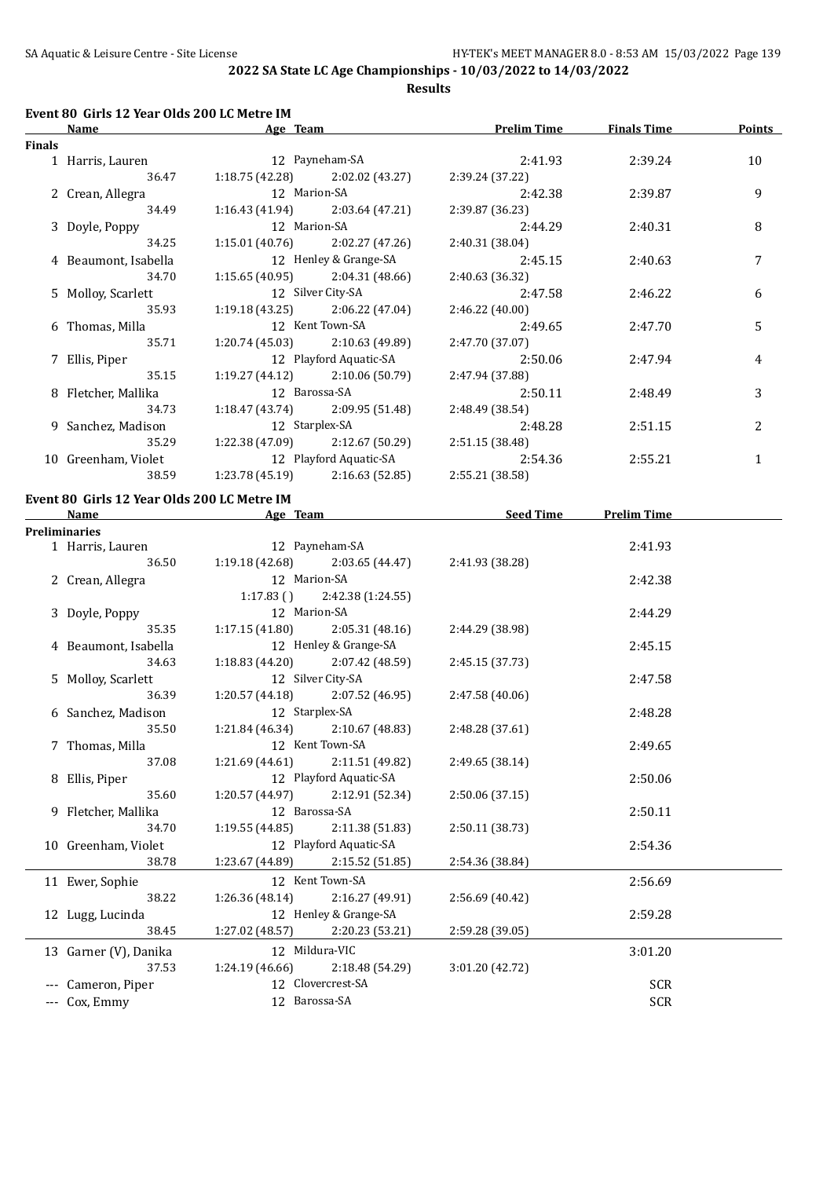**Results**

## **Event 80 Girls 12 Year Olds 200 LC Metre IM**

|               | Name<br>Age Team     |                   | <b>Prelim Time</b>                |                 | <b>Finals Time</b> | Points |
|---------------|----------------------|-------------------|-----------------------------------|-----------------|--------------------|--------|
| <b>Finals</b> |                      |                   |                                   |                 |                    |        |
|               | 1 Harris, Lauren     |                   | 12 Payneham-SA                    | 2:41.93         | 2:39.24            | 10     |
|               | 36.47                |                   | $1:18.75(42.28)$ $2:02.02(43.27)$ | 2:39.24 (37.22) |                    |        |
|               | 2 Crean, Allegra     |                   | 12 Marion-SA                      | 2:42.38         | 2:39.87            | 9      |
|               | 34.49                |                   | $1:16.43(41.94)$ $2:03.64(47.21)$ | 2:39.87 (36.23) |                    |        |
|               | 3 Doyle, Poppy       | 12 Marion-SA      |                                   | 2:44.29         | 2:40.31            | 8      |
|               | 34.25                |                   | $1:15.01(40.76)$ $2:02.27(47.26)$ | 2:40.31(38.04)  |                    |        |
|               | 4 Beaumont, Isabella |                   | 12 Henley & Grange-SA             | 2:45.15         | 2:40.63            | 7      |
|               | 34.70                |                   | $1:15.65(40.95)$ $2:04.31(48.66)$ | 2:40.63 (36.32) |                    |        |
|               | 5 Molloy, Scarlett   | 12 Silver City-SA |                                   | 2:47.58         | 2:46.22            | 6      |
|               | 35.93                |                   | $1:19.18(43.25)$ $2:06.22(47.04)$ | 2:46.22 (40.00) |                    |        |
|               | 6 Thomas, Milla      | 12 Kent Town-SA   |                                   | 2:49.65         | 2:47.70            | 5      |
|               | 35.71                |                   | $1:20.74(45.03)$ $2:10.63(49.89)$ | 2:47.70 (37.07) |                    |        |
|               | 7 Ellis, Piper       |                   | 12 Playford Aquatic-SA            | 2:50.06         | 2:47.94            | 4      |
|               | 35.15                |                   | $1:19.27(44.12)$ $2:10.06(50.79)$ | 2:47.94 (37.88) |                    |        |
|               | 8 Fletcher, Mallika  |                   | 12 Barossa-SA                     | 2:50.11         | 2:48.49            | 3      |
|               | 34.73                |                   | $1:18.47(43.74)$ $2:09.95(51.48)$ | 2:48.49 (38.54) |                    |        |
|               | 9 Sanchez, Madison   | 12 Starplex-SA    |                                   | 2:48.28         | 2:51.15            | 2      |
|               | 35.29                |                   | $1:22.38(47.09)$ $2:12.67(50.29)$ | 2:51.15 (38.48) |                    |        |
|               | 10 Greenham, Violet  |                   | 12 Playford Aquatic-SA            | 2:54.36         | 2:55.21            | 1      |
|               | 38.59                |                   | $1:23.78(45.19)$ $2:16.63(52.85)$ | 2:55.21 (38.58) |                    |        |
|               |                      |                   |                                   |                 |                    |        |

#### **Event 80 Girls 12 Year Olds 200 LC Metre IM**

|                    | Name                                    | Age Team               |                                     | <b>Seed Time</b> | <b>Prelim Time</b> |  |
|--------------------|-----------------------------------------|------------------------|-------------------------------------|------------------|--------------------|--|
|                    | <b>Preliminaries</b>                    |                        |                                     |                  |                    |  |
|                    | 1 Harris, Lauren                        |                        | 12 Payneham-SA                      |                  | 2:41.93            |  |
|                    | 36.50                                   |                        | $1:19.18(42.68)$ $2:03.65(44.47)$   | 2:41.93 (38.28)  |                    |  |
|                    | 2 Crean, Allegra                        | 12 Marion-SA           |                                     |                  | 2:42.38            |  |
|                    |                                         |                        | $1:17.83$ () $2:42.38$ (1:24.55)    |                  |                    |  |
|                    | 3 Doyle, Poppy                          | 12 Marion-SA           |                                     |                  | 2:44.29            |  |
|                    | 35.35                                   |                        | $1:17.15(41.80)$ $2:05.31(48.16)$   | 2:44.29 (38.98)  |                    |  |
|                    | 4 Beaumont, Isabella                    |                        | 12 Henley & Grange-SA               |                  | 2:45.15            |  |
|                    | 34.63                                   |                        | $1:18.83(44.20)$ $2:07.42(48.59)$   | 2:45.15 (37.73)  |                    |  |
|                    | 12 Silver City-SA<br>5 Molloy, Scarlett |                        |                                     |                  | 2:47.58            |  |
|                    | 36.39                                   |                        | $1:20.57(44.18)$ $2:07.52(46.95)$   | 2:47.58 (40.06)  |                    |  |
| 6 Sanchez, Madison |                                         | 12 Starplex-SA         |                                     |                  | 2:48.28            |  |
|                    | 35.50                                   |                        | $1:21.84(46.34)$ $2:10.67(48.83)$   | 2:48.28 (37.61)  |                    |  |
|                    | 7 Thomas, Milla                         |                        | 12 Kent Town-SA                     |                  | 2:49.65            |  |
|                    | 37.08                                   |                        | $1:21.69(44.61)$ $2:11.51(49.82)$   | 2:49.65 (38.14)  |                    |  |
|                    | 8 Ellis, Piper                          |                        | 12 Playford Aquatic-SA              |                  | 2:50.06            |  |
|                    | 35.60                                   |                        | $1:20.57(44.97)$ $2:12.91(52.34)$   | 2:50.06 (37.15)  |                    |  |
|                    | 9 Fletcher, Mallika                     |                        | 12 Barossa-SA                       |                  | 2:50.11            |  |
|                    | 34.70                                   |                        | $1:19.55(44.85)$ $2:11.38(51.83)$   | 2:50.11 (38.73)  |                    |  |
|                    | 10 Greenham, Violet                     | 12 Playford Aquatic-SA |                                     |                  | 2:54.36            |  |
|                    | 38.78                                   |                        | $1:23.67(44.89)$ $2:15.52(51.85)$   | 2:54.36 (38.84)  |                    |  |
|                    | 11 Ewer, Sophie                         |                        | 12 Kent Town-SA                     |                  | 2:56.69            |  |
|                    | 38.22                                   |                        | 1:26.36 (48.14) 2:16.27 (49.91)     | 2:56.69 (40.42)  |                    |  |
|                    | 12 Lugg, Lucinda                        |                        | 12 Henley & Grange-SA               |                  | 2:59.28            |  |
|                    | 38.45                                   |                        | $1:27.02$ (48.57) $2:20.23$ (53.21) | 2:59.28 (39.05)  |                    |  |
|                    | 13 Garner (V), Danika                   | 12 Mildura-VIC         |                                     |                  | 3:01.20            |  |
|                    | 37.53                                   |                        | $1:24.19(46.66)$ $2:18.48(54.29)$   | 3:01.20 (42.72)  |                    |  |
|                    | Cameron, Piper                          |                        | 12 Clovercrest-SA                   |                  | <b>SCR</b>         |  |
|                    | --- Cox, Emmy                           |                        | 12 Barossa-SA                       |                  | <b>SCR</b>         |  |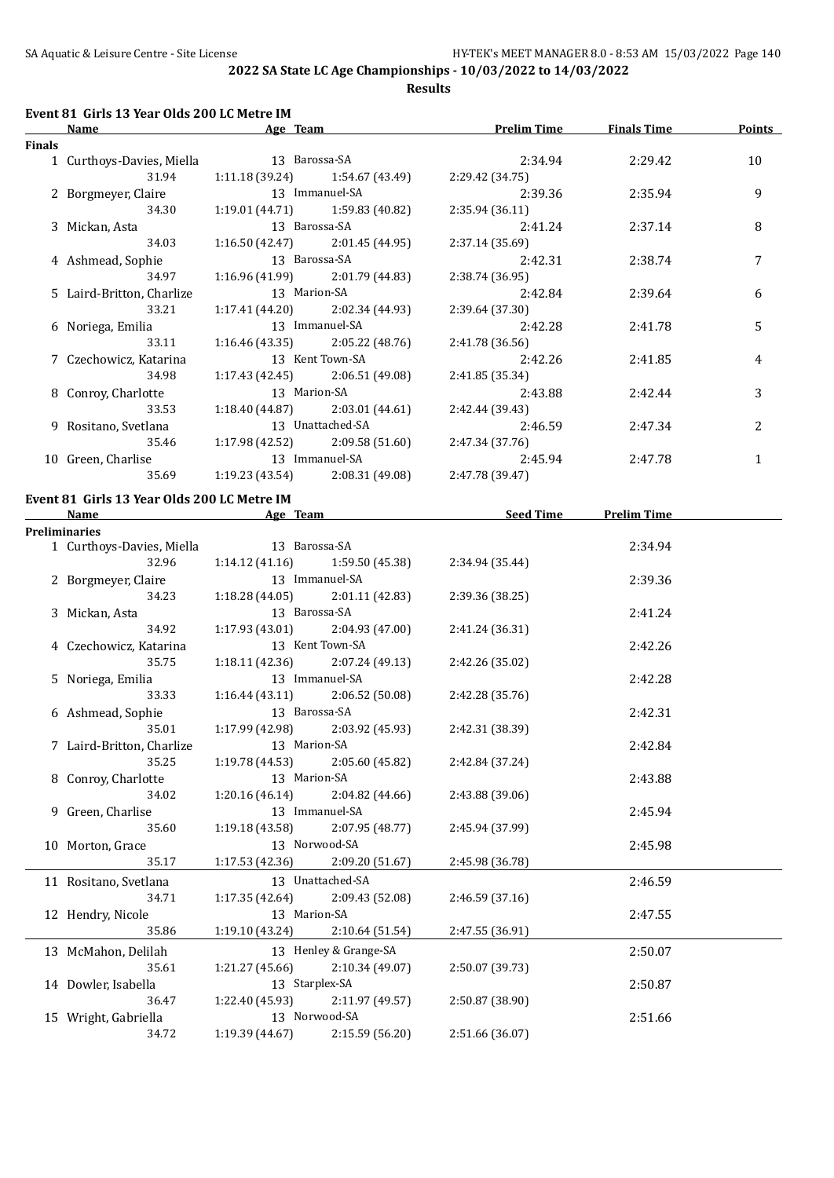**Results**

#### **Event 81 Girls 13 Year Olds 200 LC Metre IM**

| Name   |                           | Age Team         |                                   | <b>Prelim Time</b> | <b>Finals Time</b> | <b>Points</b>  |
|--------|---------------------------|------------------|-----------------------------------|--------------------|--------------------|----------------|
| Finals |                           |                  |                                   |                    |                    |                |
|        | 1 Curthoys-Davies, Miella | 13 Barossa-SA    |                                   | 2:34.94            | 2:29.42            | 10             |
|        | 31.94                     |                  | $1:11.18(39.24)$ $1:54.67(43.49)$ | 2:29.42 (34.75)    |                    |                |
|        | 2 Borgmeyer, Claire       | 13 Immanuel-SA   |                                   | 2:39.36            | 2:35.94            | 9              |
|        | 34.30                     |                  | $1:19.01(44.71)$ $1:59.83(40.82)$ | 2:35.94(36.11)     |                    |                |
|        | 3 Mickan, Asta            | 13 Barossa-SA    |                                   | 2:41.24            | 2:37.14            | 8              |
|        | 34.03                     |                  | $1:16.50(42.47)$ $2:01.45(44.95)$ | 2:37.14(35.69)     |                    |                |
|        | 4 Ashmead, Sophie         |                  | 13 Barossa-SA                     | 2:42.31            | 2:38.74            | 7              |
|        | 34.97                     |                  | $1:16.96(41.99)$ 2:01.79 (44.83)  | 2:38.74 (36.95)    |                    |                |
|        | 5 Laird-Britton, Charlize | 13 Marion-SA     |                                   | 2:42.84            | 2:39.64            | 6              |
|        | 33.21                     |                  | $1:17.41(44.20)$ $2:02.34(44.93)$ | 2:39.64(37.30)     |                    |                |
|        | 6 Noriega, Emilia         | 13 Immanuel-SA   |                                   | 2:42.28            | 2:41.78            | 5              |
|        | 33.11                     |                  | $1:16.46(43.35)$ $2:05.22(48.76)$ | 2:41.78 (36.56)    |                    |                |
|        | 7 Czechowicz, Katarina    | 13 Kent Town-SA  |                                   | 2:42.26            | 2:41.85            | 4              |
|        | 34.98                     |                  | $1:17.43(42.45)$ $2:06.51(49.08)$ | 2:41.85(35.34)     |                    |                |
|        | 8 Conroy, Charlotte       | 13 Marion-SA     |                                   | 2:43.88            | 2:42.44            | 3              |
|        | 33.53                     |                  | $1:18.40(44.87)$ $2:03.01(44.61)$ | 2:42.44 (39.43)    |                    |                |
|        | 9 Rositano, Svetlana      | 13 Unattached-SA |                                   | 2:46.59            | 2:47.34            | $\overline{c}$ |
|        | 35.46                     |                  | $1:17.98(42.52)$ $2:09.58(51.60)$ | 2:47.34 (37.76)    |                    |                |
|        | 10 Green, Charlise        |                  | 13 Immanuel-SA                    | 2:45.94            | 2:47.78            | 1              |
|        | 35.69                     |                  | $1:19.23(43.54)$ $2:08.31(49.08)$ | 2:47.78 (39.47)    |                    |                |
|        |                           |                  |                                   |                    |                    |                |

#### **Event 81 Girls 13 Year Olds 200 LC Metre IM**

| Name                                    | Age Team                          |                                   | Seed Time       | <b>Prelim Time</b> |  |
|-----------------------------------------|-----------------------------------|-----------------------------------|-----------------|--------------------|--|
| <b>Preliminaries</b>                    |                                   |                                   |                 |                    |  |
| 1 Curthoys-Davies, Miella 13 Barossa-SA |                                   |                                   |                 | 2:34.94            |  |
| 32.96                                   | 1:14.12 (41.16)                   | 1:59.50 (45.38)                   | 2:34.94 (35.44) |                    |  |
| 2 Borgmeyer, Claire                     | 13 Immanuel-SA                    |                                   |                 | 2:39.36            |  |
| 34.23                                   |                                   | $1:18.28(44.05)$ $2:01.11(42.83)$ | 2:39.36 (38.25) |                    |  |
| 3 Mickan, Asta                          | 13 Barossa-SA                     |                                   |                 | 2:41.24            |  |
| 34.92                                   |                                   | $1:17.93(43.01)$ $2:04.93(47.00)$ | 2:41.24 (36.31) |                    |  |
| 4 Czechowicz, Katarina                  | 13 Kent Town-SA                   |                                   |                 | 2:42.26            |  |
| 35.75                                   |                                   | $1:18.11(42.36)$ $2:07.24(49.13)$ | 2:42.26 (35.02) |                    |  |
| 5 Noriega, Emilia                       | 13 Immanuel-SA                    |                                   |                 | 2:42.28            |  |
| 33.33                                   |                                   | $1:16.44(43.11)$ $2:06.52(50.08)$ | 2:42.28 (35.76) |                    |  |
| 6 Ashmead, Sophie                       | 13 Barossa-SA                     |                                   |                 | 2:42.31            |  |
| 35.01                                   |                                   | $1:17.99(42.98)$ $2:03.92(45.93)$ | 2:42.31 (38.39) |                    |  |
| 7 Laird-Britton, Charlize               | 13 Marion-SA                      |                                   |                 | 2:42.84            |  |
| 35.25                                   |                                   | $1:19.78(44.53)$ $2:05.60(45.82)$ | 2:42.84 (37.24) |                    |  |
| 8 Conroy, Charlotte                     | 13 Marion-SA                      |                                   |                 | 2:43.88            |  |
| 34.02                                   |                                   | $1:20.16(46.14)$ $2:04.82(44.66)$ | 2:43.88 (39.06) |                    |  |
| 9 Green, Charlise                       | 13 Immanuel-SA                    |                                   |                 | 2:45.94            |  |
| 35.60                                   |                                   | $1:19.18(43.58)$ $2:07.95(48.77)$ | 2:45.94 (37.99) |                    |  |
| 10 Morton, Grace                        |                                   | 13 Norwood-SA                     |                 | 2:45.98            |  |
| 35.17                                   |                                   | $1:17.53(42.36)$ $2:09.20(51.67)$ | 2:45.98 (36.78) |                    |  |
| 11 Rositano, Svetlana                   | 13 Unattached-SA                  |                                   |                 | 2:46.59            |  |
| 34.71                                   |                                   | $1:17.35(42.64)$ $2:09.43(52.08)$ | 2:46.59(37.16)  |                    |  |
| 12 Hendry, Nicole                       | 13 Marion-SA                      |                                   |                 | 2:47.55            |  |
| 35.86                                   |                                   | $1:19.10(43.24)$ $2:10.64(51.54)$ | 2:47.55 (36.91) |                    |  |
| 13 McMahon, Delilah                     | 13 Henley & Grange-SA             |                                   |                 | 2:50.07            |  |
| 35.61                                   |                                   | $1:21.27(45.66)$ $2:10.34(49.07)$ | 2:50.07 (39.73) |                    |  |
| 14 Dowler, Isabella                     | 13 Starplex-SA                    |                                   |                 | 2:50.87            |  |
| 36.47                                   |                                   | $1:22.40(45.93)$ $2:11.97(49.57)$ | 2:50.87 (38.90) |                    |  |
| 15 Wright, Gabriella                    | 13 Norwood-SA                     |                                   |                 | 2:51.66            |  |
| 34.72                                   | $1:19.39(44.67)$ $2:15.59(56.20)$ |                                   | 2:51.66 (36.07) |                    |  |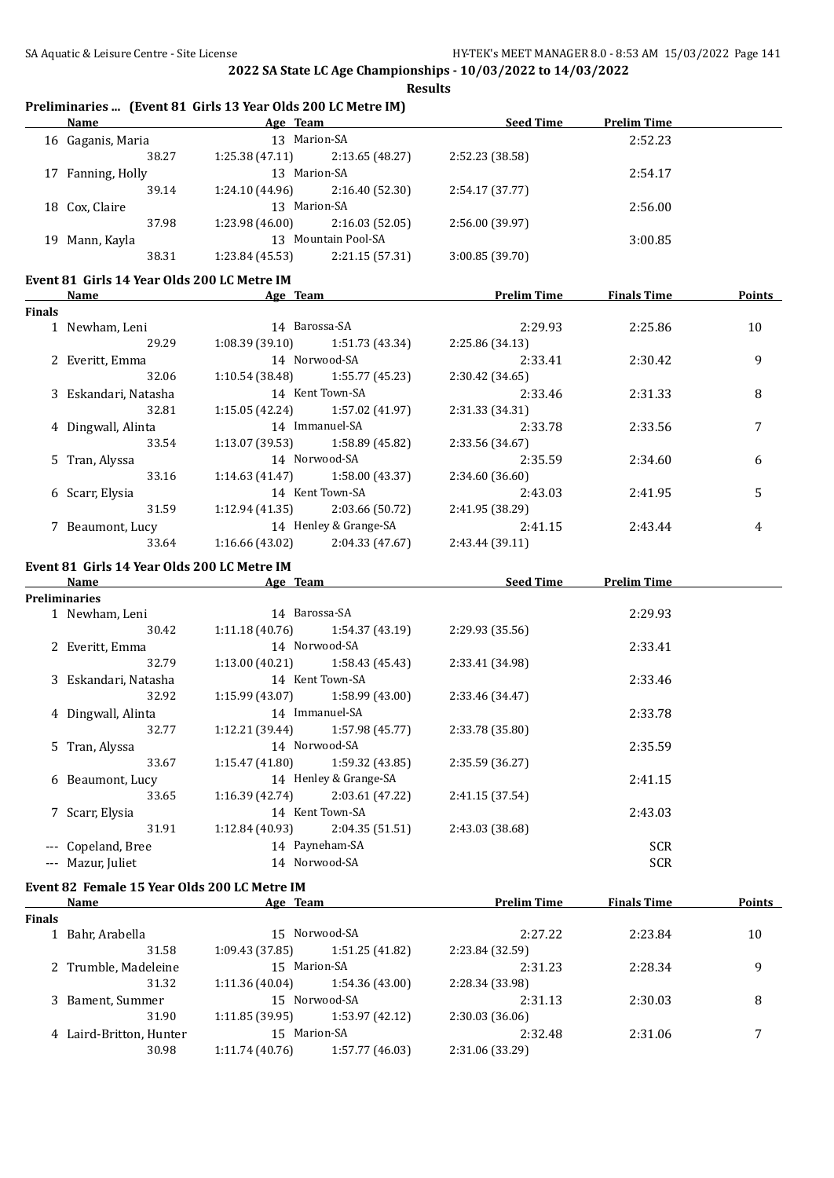|               | Tremminaries Tevent of this to real ones good conclue infl<br>Name <b>Age Team</b> Age Communication and Age Age Team <b>Age 1999</b> |                              |                                   |                            | Seed Time Prelim Time |                |
|---------------|---------------------------------------------------------------------------------------------------------------------------------------|------------------------------|-----------------------------------|----------------------------|-----------------------|----------------|
|               | 16 Gaganis, Maria                                                                                                                     | 13 Marion-SA                 |                                   |                            | 2:52.23               |                |
|               | 38.27                                                                                                                                 |                              | $1:25.38(47.11)$ $2:13.65(48.27)$ | 2:52.23 (38.58)            |                       |                |
|               | 17 Fanning, Holly                                                                                                                     | 13 Marion-SA                 |                                   |                            | 2:54.17               |                |
|               | 39.14                                                                                                                                 | 1:24.10 (44.96)              | 2:16.40 (52.30)                   | 2:54.17 (37.77)            |                       |                |
|               | 18 Cox, Claire                                                                                                                        | 13 Marion-SA                 |                                   |                            | 2:56.00               |                |
|               | 37.98                                                                                                                                 | 1:23.98 (46.00)              | 2:16.03(52.05)                    | 2:56.00 (39.97)            |                       |                |
|               | 19 Mann, Kayla                                                                                                                        |                              | 13 Mountain Pool-SA               |                            | 3:00.85               |                |
|               | 38.31                                                                                                                                 |                              | $1:23.84(45.53)$ $2:21.15(57.31)$ | 3:00.85 (39.70)            |                       |                |
|               |                                                                                                                                       |                              |                                   |                            |                       |                |
|               | Event 81 Girls 14 Year Olds 200 LC Metre IM<br>Name                                                                                   |                              | Age Team                          | <b>Prelim Time</b>         | <b>Finals Time</b>    | Points         |
| <b>Finals</b> |                                                                                                                                       |                              |                                   |                            |                       |                |
|               | 1 Newham, Leni                                                                                                                        | 14 Barossa-SA                |                                   | 2:29.93                    | 2:25.86               | 10             |
|               | 29.29                                                                                                                                 |                              | $1:08.39(39.10)$ $1:51.73(43.34)$ | 2:25.86 (34.13)            |                       |                |
|               | 2 Everitt, Emma                                                                                                                       |                              | 14 Norwood-SA                     | 2:33.41                    | 2:30.42               | 9              |
|               | 32.06                                                                                                                                 |                              | $1:10.54(38.48)$ $1:55.77(45.23)$ | 2:30.42 (34.65)            |                       |                |
|               | 3 Eskandari, Natasha                                                                                                                  | 14 Kent Town-SA              |                                   | 2:33.46                    |                       |                |
|               | 32.81                                                                                                                                 |                              |                                   |                            | 2:31.33               | 8              |
|               |                                                                                                                                       |                              | $1:15.05(42.24)$ $1:57.02(41.97)$ | 2:31.33 (34.31)            |                       |                |
|               | 4 Dingwall, Alinta                                                                                                                    | 14 Immanuel-SA               |                                   | 2:33.78                    | 2:33.56               | $\overline{7}$ |
|               | 33.54                                                                                                                                 |                              | $1:13.07(39.53)$ $1:58.89(45.82)$ | 2:33.56 (34.67)            |                       |                |
|               | 5 Tran, Alyssa                                                                                                                        |                              | 14 Norwood-SA                     | 2:35.59                    | 2:34.60               | 6              |
|               | 33.16                                                                                                                                 |                              | $1:14.63(41.47)$ $1:58.00(43.37)$ | 2:34.60 (36.60)            |                       |                |
|               | 6 Scarr, Elysia                                                                                                                       |                              | 14 Kent Town-SA                   | 2:43.03                    | 2:41.95               | 5              |
|               | 31.59                                                                                                                                 |                              | $1:12.94(41.35)$ $2:03.66(50.72)$ | 2:41.95 (38.29)            |                       |                |
|               | 7 Beaumont, Lucy                                                                                                                      |                              | 14 Henley & Grange-SA             | 2:41.15                    | 2:43.44               | 4              |
|               | 33.64                                                                                                                                 |                              | $1:16.66(43.02)$ $2:04.33(47.67)$ | 2:43.44 (39.11)            |                       |                |
|               | Event 81 Girls 14 Year Olds 200 LC Metre IM                                                                                           |                              |                                   |                            |                       |                |
|               | Name                                                                                                                                  | <b>Example 2018 Age Team</b> |                                   | <b>Example 2 Seed Time</b> | <b>Prelim Time</b>    |                |
|               | <b>Preliminaries</b>                                                                                                                  |                              |                                   |                            |                       |                |
|               | 1 Newham, Leni                                                                                                                        | 14 Barossa-SA                |                                   |                            | 2:29.93               |                |
|               | 30.42                                                                                                                                 |                              | $1:11.18(40.76)$ $1:54.37(43.19)$ | 2:29.93 (35.56)            |                       |                |
|               | 2 Everitt, Emma                                                                                                                       |                              | 14 Norwood-SA                     |                            | 2:33.41               |                |
|               | 32.79                                                                                                                                 |                              | $1:13.00(40.21)$ $1:58.43(45.43)$ | 2:33.41 (34.98)            |                       |                |
|               | 3 Eskandari, Natasha                                                                                                                  | 14 Kent Town-SA              |                                   |                            | 2:33.46               |                |
|               | 32.92                                                                                                                                 |                              | $1:15.99(43.07)$ $1:58.99(43.00)$ | 2:33.46 (34.47)            |                       |                |
|               | 4 Dingwall, Alinta                                                                                                                    | 14 Immanuel-SA               |                                   |                            | 2:33.78               |                |
|               | 32.77                                                                                                                                 |                              | 1:12.21 (39.44) 1:57.98 (45.77)   | 2:33.78 (35.80)            |                       |                |
|               | 5 Tran, Alyssa                                                                                                                        |                              | 14 Norwood-SA                     |                            | 2:35.59               |                |
|               | 33.67                                                                                                                                 | 1:15.47 (41.80)              | 1:59.32 (43.85)                   | 2:35.59 (36.27)            |                       |                |
|               | 6 Beaumont, Lucy                                                                                                                      |                              | 14 Henley & Grange-SA             |                            | 2:41.15               |                |
|               | 33.65                                                                                                                                 | 1:16.39 (42.74)              | 2:03.61 (47.22)                   | 2:41.15 (37.54)            |                       |                |
|               | 7 Scarr, Elysia                                                                                                                       |                              | 14 Kent Town-SA                   |                            | 2:43.03               |                |
|               | 31.91                                                                                                                                 | 1:12.84 (40.93)              | 2:04.35 (51.51)                   | 2:43.03 (38.68)            |                       |                |
|               | --- Copeland, Bree                                                                                                                    |                              | 14 Payneham-SA                    |                            | <b>SCR</b>            |                |
|               | --- Mazur, Juliet                                                                                                                     |                              | 14 Norwood-SA                     |                            | <b>SCR</b>            |                |
|               |                                                                                                                                       |                              |                                   |                            |                       |                |
|               | Event 82 Female 15 Year Olds 200 LC Metre IM                                                                                          |                              |                                   |                            |                       |                |
|               | Name                                                                                                                                  | Age Team                     |                                   | <b>Prelim Time</b>         | <b>Finals Time</b>    | <b>Points</b>  |
| Finals        |                                                                                                                                       |                              | 15 Norwood-SA                     |                            |                       |                |
|               | 1 Bahr, Arabella                                                                                                                      |                              |                                   | 2:27.22                    | 2:23.84               | 10             |
|               | 31.58                                                                                                                                 | 1:09.43 (37.85)              | 1:51.25 (41.82)                   | 2:23.84 (32.59)            |                       |                |
|               | 2 Trumble, Madeleine                                                                                                                  | 15 Marion-SA                 |                                   | 2:31.23                    | 2:28.34               | 9              |
|               | 31.32                                                                                                                                 | 1:11.36 (40.04)              | 1:54.36 (43.00)                   | 2:28.34 (33.98)            |                       |                |
|               | 3 Bament, Summer                                                                                                                      |                              | 15 Norwood-SA                     | 2:31.13                    | 2:30.03               | 8              |
|               | 31.90                                                                                                                                 | 1:11.85 (39.95)              | 1:53.97 (42.12)                   | 2:30.03 (36.06)            |                       |                |
|               | 4 Laird-Britton, Hunter                                                                                                               | 15 Marion-SA                 |                                   | 2:32.48                    | 2:31.06               | 7              |
|               | 30.98                                                                                                                                 | 1:11.74 (40.76)              | 1:57.77 (46.03)                   | 2:31.06 (33.29)            |                       |                |
|               |                                                                                                                                       |                              |                                   |                            |                       |                |

## **Preliminaries ... (Event 81 Girls 13 Year Olds 200 LC Metre IM)**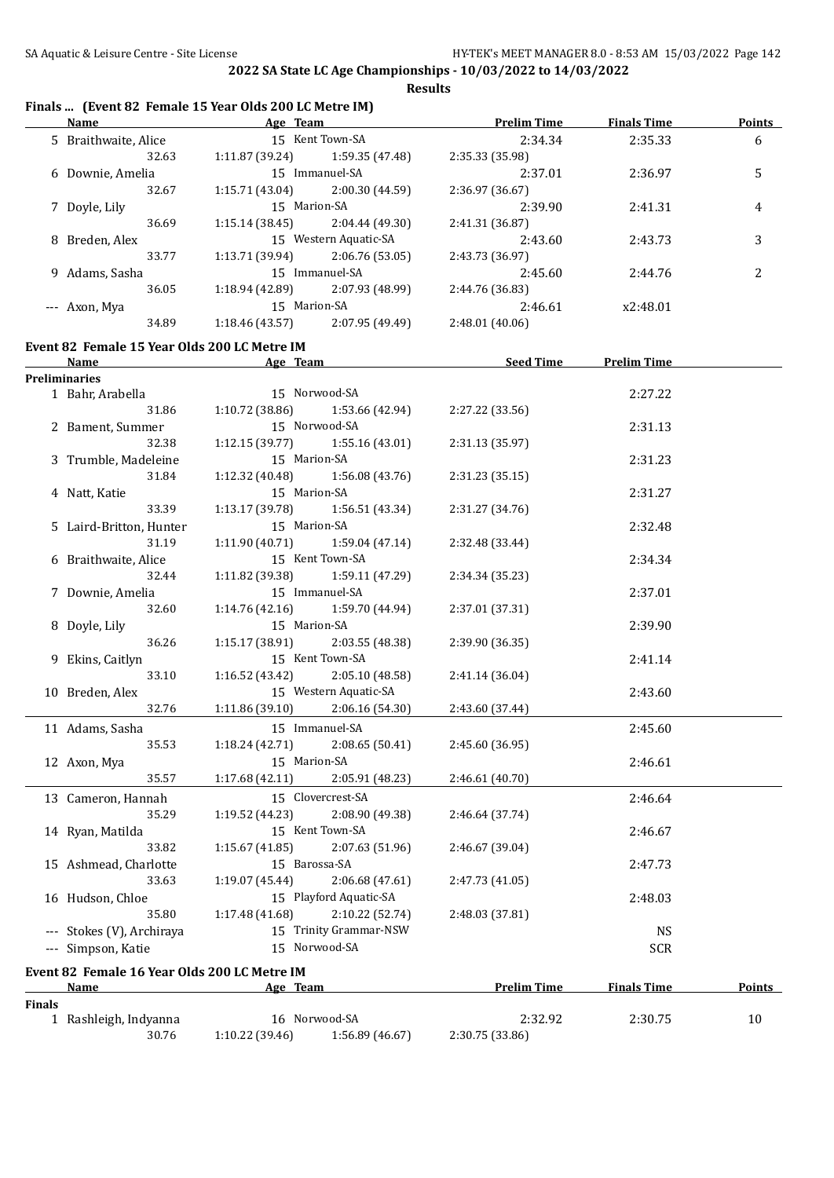**Results**

### **Finals ... (Event 82 Female 15 Year Olds 200 LC Metre IM)**

|               |                                              | Name Age Team                      |                                           | <b>Prelim Time Finals Time</b> | <b>Points</b> |
|---------------|----------------------------------------------|------------------------------------|-------------------------------------------|--------------------------------|---------------|
|               | 5 Braithwaite, Alice                         | 15 Kent Town-SA                    | 2:34.34                                   | 2:35.33                        | 6             |
|               | 32.63                                        | 1:11.87 (39.24)<br>1:59.35 (47.48) | 2:35.33 (35.98)                           |                                |               |
|               | 6 Downie, Amelia                             | 15 Immanuel-SA                     | 2:37.01                                   | 2:36.97                        | 5             |
|               | 32.67                                        | 1:15.71(43.04)<br>2:00.30 (44.59)  | 2:36.97 (36.67)                           |                                |               |
|               | 7 Doyle, Lily                                | 15 Marion-SA                       | 2:39.90                                   | 2:41.31                        | 4             |
|               | 36.69                                        | 1:15.14(38.45)<br>2:04.44 (49.30)  | 2:41.31 (36.87)                           |                                |               |
|               | 8 Breden, Alex                               | 15 Western Aquatic-SA              | 2:43.60                                   | 2:43.73                        | 3             |
|               | 33.77                                        | 1:13.71 (39.94)<br>2:06.76 (53.05) | 2:43.73 (36.97)                           |                                |               |
|               | 9 Adams, Sasha                               | 15 Immanuel-SA                     | 2:45.60                                   | 2:44.76                        | 2             |
|               |                                              |                                    |                                           |                                |               |
|               | 36.05                                        | 1:18.94 (42.89)<br>2:07.93 (48.99) | 2:44.76 (36.83)                           |                                |               |
|               | --- Axon, Mya                                | 15 Marion-SA                       | 2:46.61                                   | x2:48.01                       |               |
|               | 34.89                                        | 2:07.95 (49.49)<br>1:18.46 (43.57) | 2:48.01 (40.06)                           |                                |               |
|               | Event 82 Female 15 Year Olds 200 LC Metre IM |                                    |                                           |                                |               |
|               | <b>Name</b>                                  | <b>Example 2018 Age Team</b>       | <b>Example 15 Seed Time 5 Prelim Time</b> |                                |               |
|               | Preliminaries                                |                                    |                                           |                                |               |
|               | 1 Bahr, Arabella                             | 15 Norwood-SA                      |                                           | 2:27.22                        |               |
|               | 31.86                                        | 1:10.72 (38.86)<br>1:53.66 (42.94) | 2:27.22 (33.56)                           |                                |               |
|               | 2 Bament, Summer                             | 15 Norwood-SA                      |                                           | 2:31.13                        |               |
|               | 32.38                                        | $1:12.15(39.77)$ $1:55.16(43.01)$  | 2:31.13 (35.97)                           |                                |               |
|               | 3 Trumble, Madeleine                         | 15 Marion-SA                       |                                           | 2:31.23                        |               |
|               | 31.84                                        | 1:12.32 (40.48)<br>1:56.08 (43.76) | 2:31.23 (35.15)                           |                                |               |
|               | 4 Natt, Katie                                | 15 Marion-SA                       |                                           | 2:31.27                        |               |
|               | 33.39                                        | 1:13.17 (39.78)<br>1:56.51 (43.34) | 2:31.27 (34.76)                           |                                |               |
|               | 5 Laird-Britton, Hunter                      | 15 Marion-SA                       |                                           | 2:32.48                        |               |
|               | 31.19                                        | 1:11.90(40.71)<br>1:59.04 (47.14)  | 2:32.48 (33.44)                           |                                |               |
|               | 6 Braithwaite, Alice                         | 15 Kent Town-SA                    |                                           | 2:34.34                        |               |
|               | 32.44                                        | 1:11.82 (39.38)<br>1:59.11 (47.29) | 2:34.34 (35.23)                           |                                |               |
|               | 7 Downie, Amelia                             | 15 Immanuel-SA                     |                                           | 2:37.01                        |               |
|               | 32.60                                        | 1:14.76(42.16)<br>1:59.70 (44.94)  | 2:37.01 (37.31)                           |                                |               |
|               |                                              |                                    |                                           |                                |               |
|               | 8 Doyle, Lily                                | 15 Marion-SA                       |                                           | 2:39.90                        |               |
|               | 36.26                                        | 1:15.17(38.91)<br>2:03.55 (48.38)  | 2:39.90 (36.35)                           |                                |               |
|               | 9 Ekins, Caitlyn                             | 15 Kent Town-SA                    |                                           | 2:41.14                        |               |
|               | 33.10                                        | 1:16.52(43.42)<br>2:05.10 (48.58)  | 2:41.14 (36.04)                           |                                |               |
|               | 10 Breden, Alex                              | 15 Western Aquatic-SA              |                                           | 2:43.60                        |               |
|               | 32.76                                        | 1:11.86(39.10)<br>2:06.16 (54.30)  | 2:43.60 (37.44)                           |                                |               |
|               | 11 Adams, Sasha                              | 15 Immanuel-SA                     |                                           | 2:45.60                        |               |
|               | 35.53                                        | 1:18.24 (42.71)<br>2:08.65 (50.41) | 2:45.60 (36.95)                           |                                |               |
|               | 12 Axon, Mya                                 | 15 Marion-SA                       |                                           | 2:46.61                        |               |
|               | 35.57                                        | 1:17.68 (42.11)<br>2:05.91 (48.23) | 2:46.61 (40.70)                           |                                |               |
|               | 13 Cameron, Hannah                           | 15 Clovercrest-SA                  |                                           | 2:46.64                        |               |
|               | 35.29                                        | 2:08.90 (49.38)<br>1:19.52 (44.23) | 2:46.64 (37.74)                           |                                |               |
|               | 14 Ryan, Matilda                             | 15 Kent Town-SA                    |                                           | 2:46.67                        |               |
|               | 33.82                                        | 1:15.67(41.85)<br>2:07.63 (51.96)  | 2:46.67 (39.04)                           |                                |               |
|               | 15 Ashmead, Charlotte                        | 15 Barossa-SA                      |                                           | 2:47.73                        |               |
|               | 33.63                                        | 1:19.07(45.44)<br>2:06.68 (47.61)  | 2:47.73 (41.05)                           |                                |               |
|               | 16 Hudson, Chloe                             | 15 Playford Aquatic-SA             |                                           | 2:48.03                        |               |
|               | 35.80                                        | 1:17.48(41.68)<br>2:10.22 (52.74)  | 2:48.03 (37.81)                           |                                |               |
|               |                                              |                                    |                                           |                                |               |
|               | --- Stokes (V), Archiraya                    | 15 Trinity Grammar-NSW             |                                           | <b>NS</b>                      |               |
|               | --- Simpson, Katie                           | 15 Norwood-SA                      |                                           | <b>SCR</b>                     |               |
|               | Event 82 Female 16 Year Olds 200 LC Metre IM |                                    |                                           |                                |               |
|               | Name                                         | Age Team                           | <b>Prelim Time</b>                        | <b>Finals Time</b>             | Points        |
| <b>Finals</b> |                                              |                                    |                                           |                                |               |
|               | 1 Rashleigh, Indyanna                        | 16 Norwood-SA                      | 2:32.92                                   | 2:30.75                        | 10            |
|               | 30.76                                        | 1:10.22 (39.46)<br>1:56.89 (46.67) | 2:30.75 (33.86)                           |                                |               |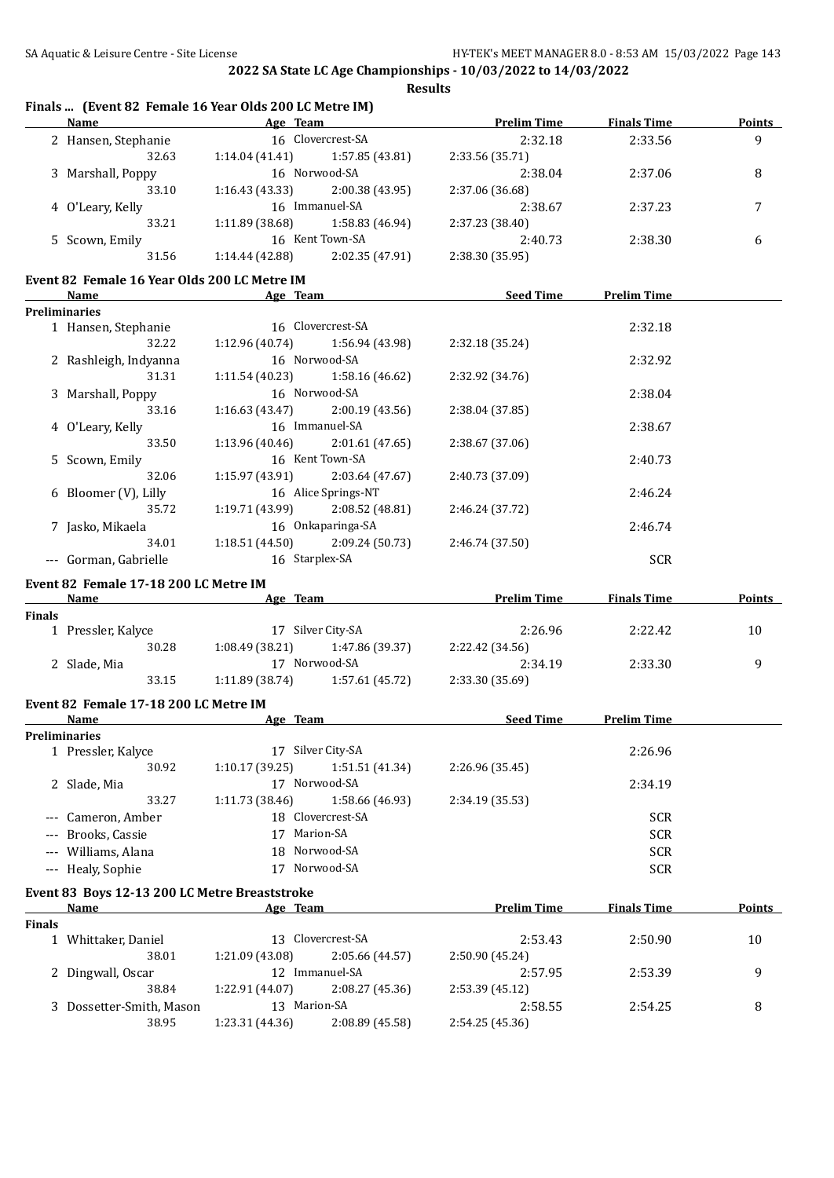#### **Finals ... (Event 82 Female 16 Year Olds 200 LC Metre IM)**

| Name                              | Age Team          |                 | <b>Prelim Time</b> | <b>Finals Time</b> | <b>Points</b> |
|-----------------------------------|-------------------|-----------------|--------------------|--------------------|---------------|
| 2 Hansen, Stephanie               | 16 Clovercrest-SA |                 | 2:32.18            | 2:33.56            | 9             |
| 32.63                             | 1:14.04(41.41)    | 1:57.85 (43.81) | 2:33.56 (35.71)    |                    |               |
| 3 Marshall, Poppy                 |                   | 16 Norwood-SA   |                    | 2:37.06            | 8             |
| 33.10                             | 1:16.43(43.33)    | 2:00.38 (43.95) | 2:37.06 (36.68)    |                    |               |
| 4 O'Leary, Kelly                  |                   | 16 Immanuel-SA  | 2:38.67            | 2:37.23            | 7             |
| 33.21                             | 1:11.89(38.68)    | 1:58.83 (46.94) | 2:37.23 (38.40)    |                    |               |
| 16 Kent Town-SA<br>5 Scown, Emily |                   | 2:40.73         | 2:38.30            | 6                  |               |
| 31.56                             | 1:14.44 (42.88)   | 2:02.35 (47.91) | 2:38.30 (35.95)    |                    |               |
|                                   |                   |                 |                    |                    |               |

#### **Event 82 Female 16 Year Olds 200 LC Metre IM**

| Name                  | Age Team                          |                                   | <b>Seed Time</b> | <b>Prelim Time</b> |  |
|-----------------------|-----------------------------------|-----------------------------------|------------------|--------------------|--|
| <b>Preliminaries</b>  |                                   |                                   |                  |                    |  |
| 1 Hansen, Stephanie   |                                   | 16 Clovercrest-SA                 |                  | 2:32.18            |  |
| 32.22                 |                                   | $1:12.96(40.74)$ $1:56.94(43.98)$ | 2:32.18 (35.24)  |                    |  |
| 2 Rashleigh, Indyanna |                                   | 16 Norwood-SA                     |                  | 2:32.92            |  |
| 31.31                 | $1:11.54(40.23)$ $1:58.16(46.62)$ |                                   | 2:32.92 (34.76)  |                    |  |
| 3 Marshall, Poppy     |                                   | 16 Norwood-SA                     |                  | 2:38.04            |  |
| 33.16                 |                                   | $1:16.63(43.47)$ $2:00.19(43.56)$ | 2:38.04 (37.85)  |                    |  |
| 4 O'Leary, Kelly      |                                   | 16 Immanuel-SA                    |                  | 2:38.67            |  |
| 33.50                 | $1:13.96(40.46)$ $2:01.61(47.65)$ |                                   | 2:38.67 (37.06)  |                    |  |
| 5 Scown, Emily        |                                   | 16 Kent Town-SA                   |                  | 2:40.73            |  |
| 32.06                 | $1:15.97(43.91)$ $2:03.64(47.67)$ |                                   | 2:40.73 (37.09)  |                    |  |
| 6 Bloomer (V), Lilly  |                                   | 16 Alice Springs-NT               |                  | 2:46.24            |  |
| 35.72                 |                                   | $1:19.71(43.99)$ 2:08.52 (48.81)  | 2:46.24 (37.72)  |                    |  |
| 7 Jasko, Mikaela      |                                   | 16 Onkaparinga-SA                 |                  | 2:46.74            |  |
| 34.01                 | $1:18.51(44.50)$ $2:09.24(50.73)$ |                                   | 2:46.74 (37.50)  |                    |  |
| Gorman, Gabrielle     | 16 Starplex-SA                    |                                   |                  | <b>SCR</b>         |  |

#### **Event 82 Female 17-18 200 LC Metre IM**

|               | Name                       | Age Team          |                 | <b>Prelim Time</b> | <b>Finals Time</b> | <b>Points</b> |
|---------------|----------------------------|-------------------|-----------------|--------------------|--------------------|---------------|
| <b>Finals</b> |                            |                   |                 |                    |                    |               |
|               | 1 Pressler, Kalyce         | 17 Silver City-SA |                 | 2:26.96            | 2:22.42            | 10            |
|               | 30.28                      | 1:08.49(38.21)    | 1:47.86 (39.37) | 2:22.42 (34.56)    |                    |               |
|               | Norwood-SA<br>2 Slade, Mia |                   |                 | 2:34.19            | 2:33.30            |               |
|               | 33.15                      | 1:11.89(38.74)    | 1:57.61 (45.72) | 2:33.30 (35.69)    |                    |               |

# **Event 82 Female 17-18 200 LC Metre IM**

|                     | Name                             | Age Team          |                   | <b>Seed Time</b> | <b>Prelim Time</b> |  |
|---------------------|----------------------------------|-------------------|-------------------|------------------|--------------------|--|
|                     | <b>Preliminaries</b>             |                   |                   |                  |                    |  |
|                     | 1 Pressler, Kalyce               | 17                | Silver City-SA    |                  | 2:26.96            |  |
|                     | 30.92                            | 1:10.17(39.25)    | 1:51.51(41.34)    | 2:26.96 (35.45)  |                    |  |
|                     | Norwood-SA<br>2 Slade, Mia<br>17 |                   |                   | 2:34.19          |                    |  |
|                     | 33.27                            | 1:11.73(38.46)    | 1:58.66 (46.93)   | 2:34.19(35.53)   |                    |  |
|                     | --- Cameron, Amber               |                   | 18 Clovercrest-SA |                  | <b>SCR</b>         |  |
|                     | --- Brooks, Cassie               | 17                | Marion-SA         |                  | <b>SCR</b>         |  |
| --- Williams, Alana |                                  | Norwood-SA<br>18. |                   |                  | <b>SCR</b>         |  |
|                     | --- Healy, Sophie                |                   | Norwood-SA        |                  | <b>SCR</b>         |  |

#### **Event 83 Boys 12-13 200 LC Metre Breaststroke**

|               | Name                     | Age Team                       |                 | <b>Prelim Time</b> | <b>Finals Time</b> | <b>Points</b> |
|---------------|--------------------------|--------------------------------|-----------------|--------------------|--------------------|---------------|
| <b>Finals</b> |                          |                                |                 |                    |                    |               |
|               | 1 Whittaker, Daniel      | 13 Clovercrest-SA              |                 | 2:53.43            | 2:50.90            | 10            |
|               | 38.01                    | 1:21.09 (43.08)                | 2:05.66 (44.57) | 2:50.90 (45.24)    |                    |               |
|               | 2 Dingwall, Oscar        | Immanuel-SA<br>12 <sup>1</sup> |                 | 2:57.95            | 2:53.39            | q             |
|               | 38.84                    | 1:22.91 (44.07)                | 2:08.27(45.36)  | 2:53.39(45.12)     |                    |               |
|               | 3 Dossetter-Smith, Mason | 13 Marion-SA                   |                 | 2:58.55            | 2:54.25            | 8             |
|               | 38.95                    | 1:23.31 (44.36)                | 2:08.89 (45.58) | 2:54.25(45.36)     |                    |               |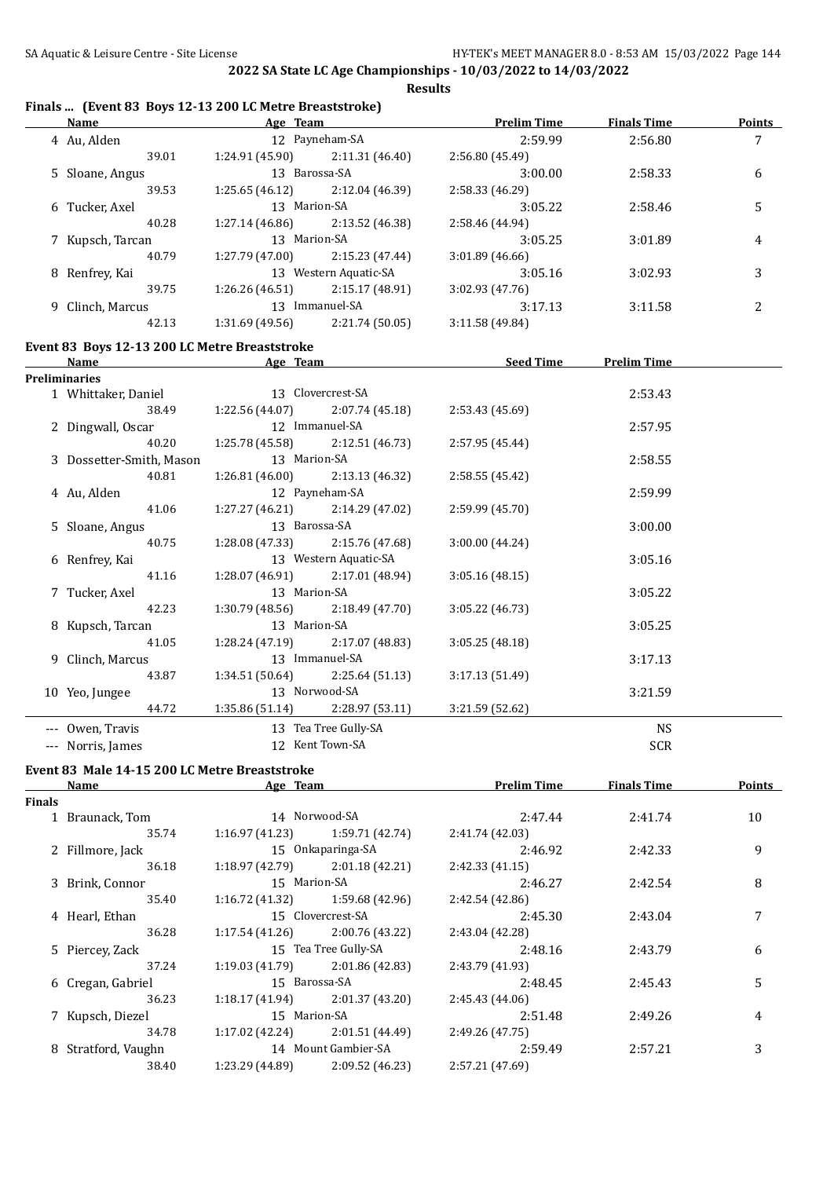**Results**

#### **Finals ... (Event 83 Boys 12-13 200 LC Metre Breaststroke)**

| 12 Payneham-SA<br>$\overline{7}$<br>4 Au, Alden<br>2:59.99<br>2:56.80<br>$1:24.91(45.90)$ $2:11.31(46.40)$<br>39.01<br>2:56.80 (45.49)<br>13 Barossa-SA<br>5 Sloane, Angus<br>3:00.00<br>2:58.33<br>6<br>39.53<br>1:25.65(46.12)<br>2:12.04 (46.39)<br>2:58.33 (46.29)<br>13 Marion-SA<br>5<br>6 Tucker, Axel<br>3:05.22<br>2:58.46<br>1:27.14 (46.86)<br>40.28<br>2:13.52 (46.38)<br>2:58.46 (44.94)<br>13 Marion-SA<br>7 Kupsch, Tarcan<br>3:05.25<br>3:01.89<br>4<br>40.79<br>$1:27.79(47.00)$ $2:15.23(47.44)$<br>3:01.89(46.66)<br>8 Renfrey, Kai<br>13 Western Aquatic-SA<br>3:05.16<br>3:02.93<br>3<br>39.75<br>$1:26.26(46.51)$ $2:15.17(48.91)$<br>3:02.93 (47.76)<br>13 Immanuel-SA<br>9 Clinch, Marcus<br>2<br>3:17.13<br>3:11.58<br>$1:31.69(49.56)$ $2:21.74(50.05)$<br>42.13<br>3:11.58(49.84)<br>Event 83 Boys 12-13 200 LC Metre Breaststroke<br><b>Exam Age Team Age Team Seed Time Prelim Time</b><br>Name<br><b>Preliminaries</b><br>1 Whittaker, Daniel<br>13 Clovercrest-SA<br>2:53.43<br>38.49<br>$1:22.56(44.07)$ $2:07.74(45.18)$<br>2:53.43 (45.69)<br>2 Dingwall, Oscar<br>12 Immanuel-SA<br>2:57.95<br>$1:25.78(45.58)$ $2:12.51(46.73)$<br>2:57.95 (45.44)<br>40.20<br>13 Marion-SA<br>3 Dossetter-Smith, Mason<br>2:58.55<br>$1:26.81(46.00)$ $2:13.13(46.32)$<br>40.81<br>2:58.55(45.42)<br>12 Payneham-SA<br>4 Au, Alden<br>2:59.99<br>$1:27.27(46.21)$ $2:14.29(47.02)$<br>41.06<br>2:59.99 (45.70)<br>13 Barossa-SA<br>5 Sloane, Angus<br>3:00.00<br>40.75<br>$1:28.08(47.33)$ $2:15.76(47.68)$<br>3:00.00 (44.24)<br>13 Western Aquatic-SA<br>6 Renfrey, Kai<br>3:05.16<br>1:28.07 (46.91)<br>41.16<br>2:17.01 (48.94)<br>3:05.16(48.15)<br>13 Marion-SA<br>7 Tucker, Axel<br>3:05.22<br>42.23<br>1:30.79(48.56)<br>2:18.49 (47.70)<br>3:05.22 (46.73)<br>13 Marion-SA<br>8 Kupsch, Tarcan<br>3:05.25<br>41.05<br>1:28.24 (47.19)<br>2:17.07 (48.83)<br>3:05.25(48.18)<br>13 Immanuel-SA<br>9 Clinch, Marcus<br>3:17.13<br>43.87<br>1:34.51(50.64)<br>2:25.64(51.13)<br>3:17.13 (51.49)<br>13 Norwood-SA<br>10 Yeo, Jungee<br>3:21.59<br>44.72<br>1:35.86(51.14)<br>2:28.97 (53.11)<br>3:21.59 (52.62) | <b>Name</b> | Age Team Prelim Time |  | <b>Finals Time</b> | <b>Points</b> |
|------------------------------------------------------------------------------------------------------------------------------------------------------------------------------------------------------------------------------------------------------------------------------------------------------------------------------------------------------------------------------------------------------------------------------------------------------------------------------------------------------------------------------------------------------------------------------------------------------------------------------------------------------------------------------------------------------------------------------------------------------------------------------------------------------------------------------------------------------------------------------------------------------------------------------------------------------------------------------------------------------------------------------------------------------------------------------------------------------------------------------------------------------------------------------------------------------------------------------------------------------------------------------------------------------------------------------------------------------------------------------------------------------------------------------------------------------------------------------------------------------------------------------------------------------------------------------------------------------------------------------------------------------------------------------------------------------------------------------------------------------------------------------------------------------------------------------------------------------------------------------------------------------------------------------------------------------------------------------------------------------------------------------------------------------------------------------------------------------------------------------------------|-------------|----------------------|--|--------------------|---------------|
|                                                                                                                                                                                                                                                                                                                                                                                                                                                                                                                                                                                                                                                                                                                                                                                                                                                                                                                                                                                                                                                                                                                                                                                                                                                                                                                                                                                                                                                                                                                                                                                                                                                                                                                                                                                                                                                                                                                                                                                                                                                                                                                                          |             |                      |  |                    |               |
|                                                                                                                                                                                                                                                                                                                                                                                                                                                                                                                                                                                                                                                                                                                                                                                                                                                                                                                                                                                                                                                                                                                                                                                                                                                                                                                                                                                                                                                                                                                                                                                                                                                                                                                                                                                                                                                                                                                                                                                                                                                                                                                                          |             |                      |  |                    |               |
|                                                                                                                                                                                                                                                                                                                                                                                                                                                                                                                                                                                                                                                                                                                                                                                                                                                                                                                                                                                                                                                                                                                                                                                                                                                                                                                                                                                                                                                                                                                                                                                                                                                                                                                                                                                                                                                                                                                                                                                                                                                                                                                                          |             |                      |  |                    |               |
|                                                                                                                                                                                                                                                                                                                                                                                                                                                                                                                                                                                                                                                                                                                                                                                                                                                                                                                                                                                                                                                                                                                                                                                                                                                                                                                                                                                                                                                                                                                                                                                                                                                                                                                                                                                                                                                                                                                                                                                                                                                                                                                                          |             |                      |  |                    |               |
|                                                                                                                                                                                                                                                                                                                                                                                                                                                                                                                                                                                                                                                                                                                                                                                                                                                                                                                                                                                                                                                                                                                                                                                                                                                                                                                                                                                                                                                                                                                                                                                                                                                                                                                                                                                                                                                                                                                                                                                                                                                                                                                                          |             |                      |  |                    |               |
|                                                                                                                                                                                                                                                                                                                                                                                                                                                                                                                                                                                                                                                                                                                                                                                                                                                                                                                                                                                                                                                                                                                                                                                                                                                                                                                                                                                                                                                                                                                                                                                                                                                                                                                                                                                                                                                                                                                                                                                                                                                                                                                                          |             |                      |  |                    |               |
|                                                                                                                                                                                                                                                                                                                                                                                                                                                                                                                                                                                                                                                                                                                                                                                                                                                                                                                                                                                                                                                                                                                                                                                                                                                                                                                                                                                                                                                                                                                                                                                                                                                                                                                                                                                                                                                                                                                                                                                                                                                                                                                                          |             |                      |  |                    |               |
|                                                                                                                                                                                                                                                                                                                                                                                                                                                                                                                                                                                                                                                                                                                                                                                                                                                                                                                                                                                                                                                                                                                                                                                                                                                                                                                                                                                                                                                                                                                                                                                                                                                                                                                                                                                                                                                                                                                                                                                                                                                                                                                                          |             |                      |  |                    |               |
|                                                                                                                                                                                                                                                                                                                                                                                                                                                                                                                                                                                                                                                                                                                                                                                                                                                                                                                                                                                                                                                                                                                                                                                                                                                                                                                                                                                                                                                                                                                                                                                                                                                                                                                                                                                                                                                                                                                                                                                                                                                                                                                                          |             |                      |  |                    |               |
|                                                                                                                                                                                                                                                                                                                                                                                                                                                                                                                                                                                                                                                                                                                                                                                                                                                                                                                                                                                                                                                                                                                                                                                                                                                                                                                                                                                                                                                                                                                                                                                                                                                                                                                                                                                                                                                                                                                                                                                                                                                                                                                                          |             |                      |  |                    |               |
|                                                                                                                                                                                                                                                                                                                                                                                                                                                                                                                                                                                                                                                                                                                                                                                                                                                                                                                                                                                                                                                                                                                                                                                                                                                                                                                                                                                                                                                                                                                                                                                                                                                                                                                                                                                                                                                                                                                                                                                                                                                                                                                                          |             |                      |  |                    |               |
|                                                                                                                                                                                                                                                                                                                                                                                                                                                                                                                                                                                                                                                                                                                                                                                                                                                                                                                                                                                                                                                                                                                                                                                                                                                                                                                                                                                                                                                                                                                                                                                                                                                                                                                                                                                                                                                                                                                                                                                                                                                                                                                                          |             |                      |  |                    |               |
|                                                                                                                                                                                                                                                                                                                                                                                                                                                                                                                                                                                                                                                                                                                                                                                                                                                                                                                                                                                                                                                                                                                                                                                                                                                                                                                                                                                                                                                                                                                                                                                                                                                                                                                                                                                                                                                                                                                                                                                                                                                                                                                                          |             |                      |  |                    |               |
|                                                                                                                                                                                                                                                                                                                                                                                                                                                                                                                                                                                                                                                                                                                                                                                                                                                                                                                                                                                                                                                                                                                                                                                                                                                                                                                                                                                                                                                                                                                                                                                                                                                                                                                                                                                                                                                                                                                                                                                                                                                                                                                                          |             |                      |  |                    |               |
|                                                                                                                                                                                                                                                                                                                                                                                                                                                                                                                                                                                                                                                                                                                                                                                                                                                                                                                                                                                                                                                                                                                                                                                                                                                                                                                                                                                                                                                                                                                                                                                                                                                                                                                                                                                                                                                                                                                                                                                                                                                                                                                                          |             |                      |  |                    |               |
|                                                                                                                                                                                                                                                                                                                                                                                                                                                                                                                                                                                                                                                                                                                                                                                                                                                                                                                                                                                                                                                                                                                                                                                                                                                                                                                                                                                                                                                                                                                                                                                                                                                                                                                                                                                                                                                                                                                                                                                                                                                                                                                                          |             |                      |  |                    |               |
|                                                                                                                                                                                                                                                                                                                                                                                                                                                                                                                                                                                                                                                                                                                                                                                                                                                                                                                                                                                                                                                                                                                                                                                                                                                                                                                                                                                                                                                                                                                                                                                                                                                                                                                                                                                                                                                                                                                                                                                                                                                                                                                                          |             |                      |  |                    |               |
|                                                                                                                                                                                                                                                                                                                                                                                                                                                                                                                                                                                                                                                                                                                                                                                                                                                                                                                                                                                                                                                                                                                                                                                                                                                                                                                                                                                                                                                                                                                                                                                                                                                                                                                                                                                                                                                                                                                                                                                                                                                                                                                                          |             |                      |  |                    |               |
|                                                                                                                                                                                                                                                                                                                                                                                                                                                                                                                                                                                                                                                                                                                                                                                                                                                                                                                                                                                                                                                                                                                                                                                                                                                                                                                                                                                                                                                                                                                                                                                                                                                                                                                                                                                                                                                                                                                                                                                                                                                                                                                                          |             |                      |  |                    |               |
|                                                                                                                                                                                                                                                                                                                                                                                                                                                                                                                                                                                                                                                                                                                                                                                                                                                                                                                                                                                                                                                                                                                                                                                                                                                                                                                                                                                                                                                                                                                                                                                                                                                                                                                                                                                                                                                                                                                                                                                                                                                                                                                                          |             |                      |  |                    |               |
|                                                                                                                                                                                                                                                                                                                                                                                                                                                                                                                                                                                                                                                                                                                                                                                                                                                                                                                                                                                                                                                                                                                                                                                                                                                                                                                                                                                                                                                                                                                                                                                                                                                                                                                                                                                                                                                                                                                                                                                                                                                                                                                                          |             |                      |  |                    |               |
|                                                                                                                                                                                                                                                                                                                                                                                                                                                                                                                                                                                                                                                                                                                                                                                                                                                                                                                                                                                                                                                                                                                                                                                                                                                                                                                                                                                                                                                                                                                                                                                                                                                                                                                                                                                                                                                                                                                                                                                                                                                                                                                                          |             |                      |  |                    |               |
|                                                                                                                                                                                                                                                                                                                                                                                                                                                                                                                                                                                                                                                                                                                                                                                                                                                                                                                                                                                                                                                                                                                                                                                                                                                                                                                                                                                                                                                                                                                                                                                                                                                                                                                                                                                                                                                                                                                                                                                                                                                                                                                                          |             |                      |  |                    |               |
|                                                                                                                                                                                                                                                                                                                                                                                                                                                                                                                                                                                                                                                                                                                                                                                                                                                                                                                                                                                                                                                                                                                                                                                                                                                                                                                                                                                                                                                                                                                                                                                                                                                                                                                                                                                                                                                                                                                                                                                                                                                                                                                                          |             |                      |  |                    |               |
|                                                                                                                                                                                                                                                                                                                                                                                                                                                                                                                                                                                                                                                                                                                                                                                                                                                                                                                                                                                                                                                                                                                                                                                                                                                                                                                                                                                                                                                                                                                                                                                                                                                                                                                                                                                                                                                                                                                                                                                                                                                                                                                                          |             |                      |  |                    |               |
|                                                                                                                                                                                                                                                                                                                                                                                                                                                                                                                                                                                                                                                                                                                                                                                                                                                                                                                                                                                                                                                                                                                                                                                                                                                                                                                                                                                                                                                                                                                                                                                                                                                                                                                                                                                                                                                                                                                                                                                                                                                                                                                                          |             |                      |  |                    |               |
|                                                                                                                                                                                                                                                                                                                                                                                                                                                                                                                                                                                                                                                                                                                                                                                                                                                                                                                                                                                                                                                                                                                                                                                                                                                                                                                                                                                                                                                                                                                                                                                                                                                                                                                                                                                                                                                                                                                                                                                                                                                                                                                                          |             |                      |  |                    |               |
|                                                                                                                                                                                                                                                                                                                                                                                                                                                                                                                                                                                                                                                                                                                                                                                                                                                                                                                                                                                                                                                                                                                                                                                                                                                                                                                                                                                                                                                                                                                                                                                                                                                                                                                                                                                                                                                                                                                                                                                                                                                                                                                                          |             |                      |  |                    |               |
|                                                                                                                                                                                                                                                                                                                                                                                                                                                                                                                                                                                                                                                                                                                                                                                                                                                                                                                                                                                                                                                                                                                                                                                                                                                                                                                                                                                                                                                                                                                                                                                                                                                                                                                                                                                                                                                                                                                                                                                                                                                                                                                                          |             |                      |  |                    |               |
|                                                                                                                                                                                                                                                                                                                                                                                                                                                                                                                                                                                                                                                                                                                                                                                                                                                                                                                                                                                                                                                                                                                                                                                                                                                                                                                                                                                                                                                                                                                                                                                                                                                                                                                                                                                                                                                                                                                                                                                                                                                                                                                                          |             |                      |  |                    |               |
|                                                                                                                                                                                                                                                                                                                                                                                                                                                                                                                                                                                                                                                                                                                                                                                                                                                                                                                                                                                                                                                                                                                                                                                                                                                                                                                                                                                                                                                                                                                                                                                                                                                                                                                                                                                                                                                                                                                                                                                                                                                                                                                                          |             |                      |  |                    |               |
|                                                                                                                                                                                                                                                                                                                                                                                                                                                                                                                                                                                                                                                                                                                                                                                                                                                                                                                                                                                                                                                                                                                                                                                                                                                                                                                                                                                                                                                                                                                                                                                                                                                                                                                                                                                                                                                                                                                                                                                                                                                                                                                                          |             |                      |  |                    |               |
|                                                                                                                                                                                                                                                                                                                                                                                                                                                                                                                                                                                                                                                                                                                                                                                                                                                                                                                                                                                                                                                                                                                                                                                                                                                                                                                                                                                                                                                                                                                                                                                                                                                                                                                                                                                                                                                                                                                                                                                                                                                                                                                                          |             |                      |  |                    |               |
|                                                                                                                                                                                                                                                                                                                                                                                                                                                                                                                                                                                                                                                                                                                                                                                                                                                                                                                                                                                                                                                                                                                                                                                                                                                                                                                                                                                                                                                                                                                                                                                                                                                                                                                                                                                                                                                                                                                                                                                                                                                                                                                                          |             |                      |  |                    |               |
|                                                                                                                                                                                                                                                                                                                                                                                                                                                                                                                                                                                                                                                                                                                                                                                                                                                                                                                                                                                                                                                                                                                                                                                                                                                                                                                                                                                                                                                                                                                                                                                                                                                                                                                                                                                                                                                                                                                                                                                                                                                                                                                                          |             |                      |  |                    |               |
| 13 Tea Tree Gully-SA<br><b>NS</b><br>--- Owen, Travis                                                                                                                                                                                                                                                                                                                                                                                                                                                                                                                                                                                                                                                                                                                                                                                                                                                                                                                                                                                                                                                                                                                                                                                                                                                                                                                                                                                                                                                                                                                                                                                                                                                                                                                                                                                                                                                                                                                                                                                                                                                                                    |             |                      |  |                    |               |
| 12 Kent Town-SA<br><b>SCR</b><br>--- Norris, James                                                                                                                                                                                                                                                                                                                                                                                                                                                                                                                                                                                                                                                                                                                                                                                                                                                                                                                                                                                                                                                                                                                                                                                                                                                                                                                                                                                                                                                                                                                                                                                                                                                                                                                                                                                                                                                                                                                                                                                                                                                                                       |             |                      |  |                    |               |

#### **Event 83 Male 14-15 200 LC Metre Breaststroke**

|               | Name                | <b>Prelim Time</b><br>Age Team |                                   |                 | <b>Finals Time</b> | <b>Points</b> |
|---------------|---------------------|--------------------------------|-----------------------------------|-----------------|--------------------|---------------|
| <b>Finals</b> |                     |                                |                                   |                 |                    |               |
|               | 1 Braunack, Tom     | 14 Norwood-SA                  |                                   | 2:47.44         | 2:41.74            | 10            |
|               | 35.74               |                                | $1:16.97(41.23)$ $1:59.71(42.74)$ | 2:41.74 (42.03) |                    |               |
|               | 2 Fillmore, Jack    |                                | 15 Onkaparinga-SA                 |                 | 2:42.33            | 9             |
|               | 36.18               |                                | $1:18.97(42.79)$ 2:01.18 (42.21)  | 2:42.33(41.15)  |                    |               |
|               | 3 Brink, Connor     | 15 Marion-SA                   |                                   | 2:46.27         | 2:42.54            | 8             |
|               | 35.40               | 1:16.72 (41.32)                | 1:59.68 (42.96)                   | 2:42.54(42.86)  |                    |               |
|               | 4 Hearl, Ethan      | 15 Clovercrest-SA              |                                   | 2:45.30         | 2:43.04            | 7             |
|               | 36.28               | 1:17.54 (41.26)                | 2:00.76 (43.22)                   | 2:43.04 (42.28) |                    |               |
|               | 5 Piercey, Zack     | 15 Tea Tree Gully-SA           |                                   | 2:48.16         | 2:43.79            | 6             |
|               | 37.24               |                                | $1:19.03(41.79)$ 2:01.86 (42.83)  | 2:43.79 (41.93) |                    |               |
|               | 6 Cregan, Gabriel   | 15 Barossa-SA                  |                                   | 2:48.45         | 2:45.43            | 5             |
|               | 36.23               |                                | $1:18.17(41.94)$ $2:01.37(43.20)$ | 2:45.43(44.06)  |                    |               |
|               | 7 Kupsch, Diezel    | 15 Marion-SA                   |                                   | 2:51.48         | 2:49.26            | 4             |
|               | 34.78               | 1:17.02 (42.24)                | 2:01.51 (44.49)                   | 2:49.26(47.75)  |                    |               |
|               | 8 Stratford, Vaughn | 14 Mount Gambier-SA            |                                   | 2:59.49         | 2:57.21            | 3             |
|               | 38.40               | 1:23.29 (44.89)                | 2:09.52 (46.23)                   | 2:57.21 (47.69) |                    |               |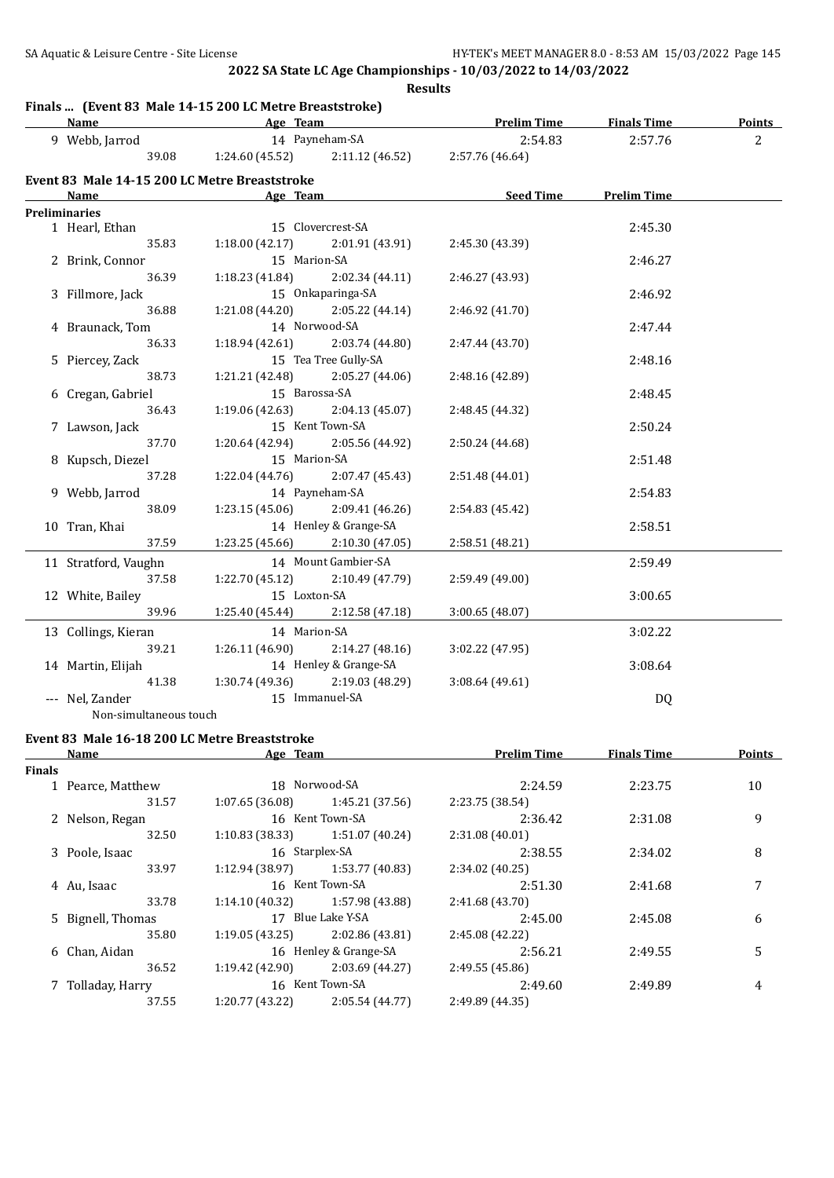**Results**

### **Finals ... (Event 83 Male 14-15 200 LC Metre Breaststroke)**

| <b>Name</b>                                   |                 | Age Team                                            | <b>Prelim Time</b> | <b>Finals Time</b> | <b>Points</b>  |
|-----------------------------------------------|-----------------|-----------------------------------------------------|--------------------|--------------------|----------------|
| 9 Webb, Jarrod                                |                 | 14 Payneham-SA                                      | 2:54.83            | 2:57.76            | $\overline{2}$ |
| 39.08                                         |                 | 1:24.60 (45.52) $2:11.12$ (46.52) $2:57.76$ (46.64) |                    |                    |                |
| Event 83 Male 14-15 200 LC Metre Breaststroke |                 |                                                     |                    |                    |                |
| Name                                          | Age Team        |                                                     | Seed Time          | <b>Prelim Time</b> |                |
| <b>Preliminaries</b>                          |                 |                                                     |                    |                    |                |
| 1 Hearl, Ethan                                |                 | 15 Clovercrest-SA                                   |                    | 2:45.30            |                |
| 35.83                                         | 1:18.00(42.17)  | 2:01.91 (43.91)                                     | 2:45.30 (43.39)    |                    |                |
| 2 Brink, Connor                               | 15 Marion-SA    |                                                     |                    | 2:46.27            |                |
| 36.39                                         |                 | $1:18.23(41.84)$ $2:02.34(44.11)$                   | 2:46.27 (43.93)    |                    |                |
| 3 Fillmore, Jack                              |                 | 15 Onkaparinga-SA                                   |                    | 2:46.92            |                |
| 36.88                                         |                 | $1:21.08(44.20)$ $2:05.22(44.14)$                   | 2:46.92 (41.70)    |                    |                |
| 4 Braunack, Tom                               |                 | 14 Norwood-SA                                       |                    | 2:47.44            |                |
| 36.33                                         |                 | $1:18.94(42.61)$ $2:03.74(44.80)$                   | 2:47.44 (43.70)    |                    |                |
| 5 Piercey, Zack                               |                 | 15 Tea Tree Gully-SA                                |                    | 2:48.16            |                |
| 38.73                                         |                 | $1:21.21(42.48)$ $2:05.27(44.06)$                   | 2:48.16 (42.89)    |                    |                |
| 6 Cregan, Gabriel                             |                 | 15 Barossa-SA                                       |                    | 2:48.45            |                |
| 36.43                                         |                 | $1:19.06(42.63)$ $2:04.13(45.07)$                   | 2:48.45 (44.32)    |                    |                |
| 7 Lawson, Jack                                |                 | 15 Kent Town-SA                                     |                    | 2:50.24            |                |
| 37.70                                         |                 | $1:20.64(42.94)$ $2:05.56(44.92)$                   | 2:50.24 (44.68)    |                    |                |
| 8 Kupsch, Diezel                              | 15 Marion-SA    |                                                     |                    | 2:51.48            |                |
| 37.28                                         |                 | $1:22.04(44.76)$ $2:07.47(45.43)$                   | 2:51.48 (44.01)    |                    |                |
| 9 Webb, Jarrod                                |                 | 14 Payneham-SA                                      |                    | 2:54.83            |                |
| 38.09                                         |                 | $1:23.15(45.06)$ $2:09.41(46.26)$                   | 2:54.83 (45.42)    |                    |                |
| 10 Tran, Khai                                 |                 | 14 Henley & Grange-SA                               |                    | 2:58.51            |                |
| 37.59                                         | 1:23.25(45.66)  | 2:10.30 (47.05)                                     | 2:58.51 (48.21)    |                    |                |
| 11 Stratford, Vaughn                          |                 | 14 Mount Gambier-SA                                 |                    | 2:59.49            |                |
| 37.58                                         | 1:22.70 (45.12) | 2:10.49 (47.79)                                     | 2:59.49 (49.00)    |                    |                |
| 12 White, Bailey                              | 15 Loxton-SA    |                                                     |                    | 3:00.65            |                |
| 39.96                                         | 1:25.40 (45.44) | 2:12.58 (47.18)                                     | 3:00.65(48.07)     |                    |                |
| 13 Collings, Kieran                           | 14 Marion-SA    |                                                     |                    | 3:02.22            |                |
| 39.21                                         |                 | $1:26.11(46.90)$ $2:14.27(48.16)$                   | 3:02.22 (47.95)    |                    |                |
| 14 Martin, Elijah                             |                 | 14 Henley & Grange-SA                               |                    | 3:08.64            |                |
| 41.38                                         |                 | $1:30.74(49.36)$ $2:19.03(48.29)$                   | 3:08.64 (49.61)    |                    |                |
| --- Nel, Zander                               |                 | 15 Immanuel-SA                                      |                    | DQ                 |                |
| Non-simultaneous touch                        |                 |                                                     |                    |                    |                |

# **Event 83 Male 16-18 200 LC Metre Breaststroke**

|               | Name              | Age Team        |                       | <b>Prelim Time</b> | <b>Finals Time</b> | <b>Points</b> |
|---------------|-------------------|-----------------|-----------------------|--------------------|--------------------|---------------|
| <b>Finals</b> |                   |                 |                       |                    |                    |               |
|               | 1 Pearce, Matthew |                 | 18 Norwood-SA         | 2:24.59            | 2:23.75            | 10            |
|               | 31.57             | 1:07.65(36.08)  | 1:45.21 (37.56)       | 2:23.75 (38.54)    |                    |               |
|               | 2 Nelson, Regan   |                 | 16 Kent Town-SA       | 2:36.42            | 2:31.08            | 9             |
|               | 32.50             | 1:10.83(38.33)  | 1:51.07 (40.24)       | 2:31.08(40.01)     |                    |               |
|               | 3 Poole, Isaac    |                 | 16 Starplex-SA        | 2:38.55            | 2:34.02            | 8             |
|               | 33.97             | 1:12.94(38.97)  | 1:53.77 (40.83)       | 2:34.02 (40.25)    |                    |               |
|               | 4 Au, Isaac       |                 | 16 Kent Town-SA       | 2:51.30            | 2:41.68            | 7             |
|               | 33.78             | 1:14.10(40.32)  | 1:57.98 (43.88)       | 2:41.68(43.70)     |                    |               |
|               | 5 Bignell, Thomas |                 | 17 Blue Lake Y-SA     | 2:45.00            | 2:45.08            | 6             |
|               | 35.80             | 1:19.05(43.25)  | 2:02.86 (43.81)       | 2:45.08 (42.22)    |                    |               |
|               | 6 Chan, Aidan     |                 | 16 Henley & Grange-SA | 2:56.21            | 2:49.55            | 5             |
|               | 36.52             | 1:19.42(42.90)  | 2:03.69 (44.27)       | 2:49.55(45.86)     |                    |               |
|               | 7 Tolladay, Harry |                 | 16 Kent Town-SA       | 2:49.60            | 2:49.89            | 4             |
|               | 37.55             | 1:20.77 (43.22) | 2:05.54 (44.77)       | 2:49.89 (44.35)    |                    |               |
|               |                   |                 |                       |                    |                    |               |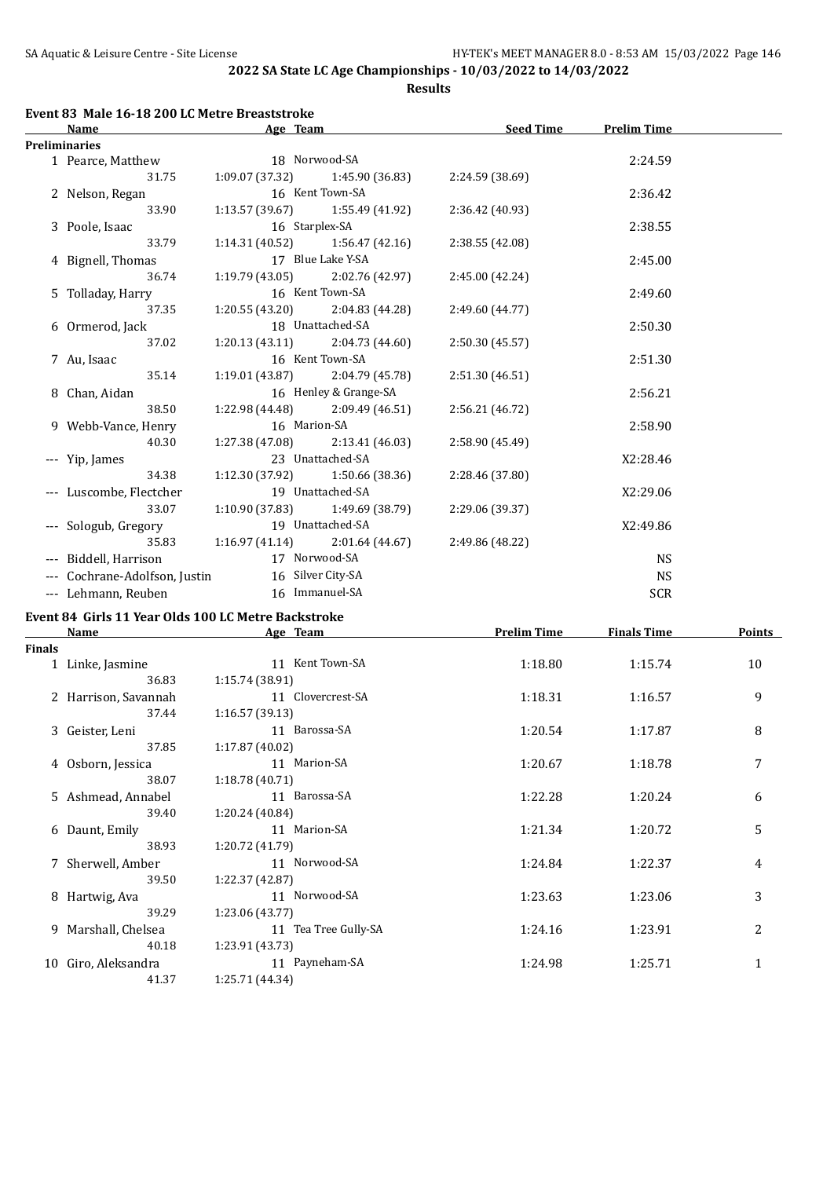**Results**

| Name                          | Age Team                          |                                   | <b>Seed Time</b> | <b>Prelim Time</b> |  |
|-------------------------------|-----------------------------------|-----------------------------------|------------------|--------------------|--|
| <b>Preliminaries</b>          |                                   |                                   |                  |                    |  |
| 1 Pearce, Matthew             | 18 Norwood-SA                     |                                   |                  | 2:24.59            |  |
| 31.75                         |                                   | $1:09.07(37.32)$ $1:45.90(36.83)$ | 2:24.59 (38.69)  |                    |  |
| 2 Nelson, Regan               |                                   | 16 Kent Town-SA                   |                  | 2:36.42            |  |
| 33.90                         |                                   | $1:13.57(39.67)$ $1:55.49(41.92)$ | 2:36.42 (40.93)  |                    |  |
| 3 Poole, Isaac                | 16 Starplex-SA                    |                                   |                  | 2:38.55            |  |
| 33.79                         |                                   | $1:14.31(40.52)$ $1:56.47(42.16)$ | 2:38.55 (42.08)  |                    |  |
| 4 Bignell, Thomas             |                                   | 17 Blue Lake Y-SA                 |                  | 2:45.00            |  |
| 36.74                         | $1:19.79(43.05)$ $2:02.76(42.97)$ |                                   | 2:45.00 (42.24)  |                    |  |
| 5 Tolladay, Harry             |                                   | 16 Kent Town-SA                   |                  | 2:49.60            |  |
| 37.35                         |                                   | $1:20.55(43.20)$ $2:04.83(44.28)$ | 2:49.60 (44.77)  |                    |  |
| 6 Ormerod, Jack               |                                   | 18 Unattached-SA                  |                  | 2:50.30            |  |
| 37.02                         |                                   | $1:20.13(43.11)$ $2:04.73(44.60)$ | 2:50.30 (45.57)  |                    |  |
| 7 Au, Isaac                   |                                   | 16 Kent Town-SA                   |                  | 2:51.30            |  |
| 35.14                         | $1:19.01(43.87)$ $2:04.79(45.78)$ |                                   | 2:51.30 (46.51)  |                    |  |
| 8 Chan, Aidan                 |                                   | 16 Henley & Grange-SA             |                  | 2:56.21            |  |
| 38.50                         | $1:22.98(44.48)$ $2:09.49(46.51)$ |                                   | 2:56.21 (46.72)  |                    |  |
| 9 Webb-Vance, Henry           | 16 Marion-SA                      |                                   |                  | 2:58.90            |  |
| 40.30                         | $1:27.38(47.08)$ $2:13.41(46.03)$ |                                   | 2:58.90 (45.49)  |                    |  |
| --- Yip, James                |                                   | 23 Unattached-SA                  |                  | X2:28.46           |  |
| 34.38                         | $1:12.30(37.92)$ $1:50.66(38.36)$ |                                   | 2:28.46 (37.80)  |                    |  |
| --- Luscombe, Flectcher       |                                   | 19 Unattached-SA                  |                  | X2:29.06           |  |
| 33.07                         |                                   | $1:10.90(37.83)$ $1:49.69(38.79)$ | 2:29.06 (39.37)  |                    |  |
| --- Sologub, Gregory          | 19 Unattached-SA                  |                                   |                  | X2:49.86           |  |
| 35.83                         |                                   | $1:16.97(41.14)$ $2:01.64(44.67)$ | 2:49.86 (48.22)  |                    |  |
| --- Biddell, Harrison         | 17 Norwood-SA                     |                                   |                  | <b>NS</b>          |  |
| --- Cochrane-Adolfson, Justin | 16 Silver City-SA                 |                                   |                  | <b>NS</b>          |  |
| --- Lehmann, Reuben           | 16 Immanuel-SA                    |                                   |                  | <b>SCR</b>         |  |
|                               |                                   |                                   |                  |                    |  |

#### **Event 84 Girls 11 Year Olds 100 LC Metre Backstroke**

|               | Name                 | Age Team             | <b>Prelim Time</b> | <b>Finals Time</b> | Points       |
|---------------|----------------------|----------------------|--------------------|--------------------|--------------|
| <b>Finals</b> |                      |                      |                    |                    |              |
|               | 1 Linke, Jasmine     | 11 Kent Town-SA      | 1:18.80            | 1:15.74            | 10           |
|               | 36.83                | 1:15.74(38.91)       |                    |                    |              |
|               | 2 Harrison, Savannah | 11 Clovercrest-SA    | 1:18.31            | 1:16.57            | 9            |
|               | 37.44                | 1:16.57(39.13)       |                    |                    |              |
|               | 3 Geister, Leni      | 11 Barossa-SA        | 1:20.54            | 1:17.87            | 8            |
|               | 37.85                | 1:17.87(40.02)       |                    |                    |              |
|               | 4 Osborn, Jessica    | 11 Marion-SA         | 1:20.67            | 1:18.78            | 7            |
|               | 38.07                | 1:18.78(40.71)       |                    |                    |              |
|               | 5 Ashmead, Annabel   | 11 Barossa-SA        | 1:22.28            | 1:20.24            | 6            |
|               | 39.40                | 1:20.24 (40.84)      |                    |                    |              |
|               | 6 Daunt, Emily       | 11 Marion-SA         | 1:21.34            | 1:20.72            | 5            |
|               | 38.93                | 1:20.72 (41.79)      |                    |                    |              |
|               | 7 Sherwell, Amber    | 11 Norwood-SA        | 1:24.84            | 1:22.37            | 4            |
|               | 39.50                | 1:22.37 (42.87)      |                    |                    |              |
|               | 8 Hartwig, Ava       | 11 Norwood-SA        | 1:23.63            | 1:23.06            | 3            |
|               | 39.29                | 1:23.06(43.77)       |                    |                    |              |
| 9.            | Marshall, Chelsea    | 11 Tea Tree Gully-SA | 1:24.16            | 1:23.91            | 2            |
|               | 40.18                | 1:23.91 (43.73)      |                    |                    |              |
| 10            | Giro, Aleksandra     | 11 Payneham-SA       | 1:24.98            | 1:25.71            | $\mathbf{1}$ |
|               | 41.37                | 1:25.71 (44.34)      |                    |                    |              |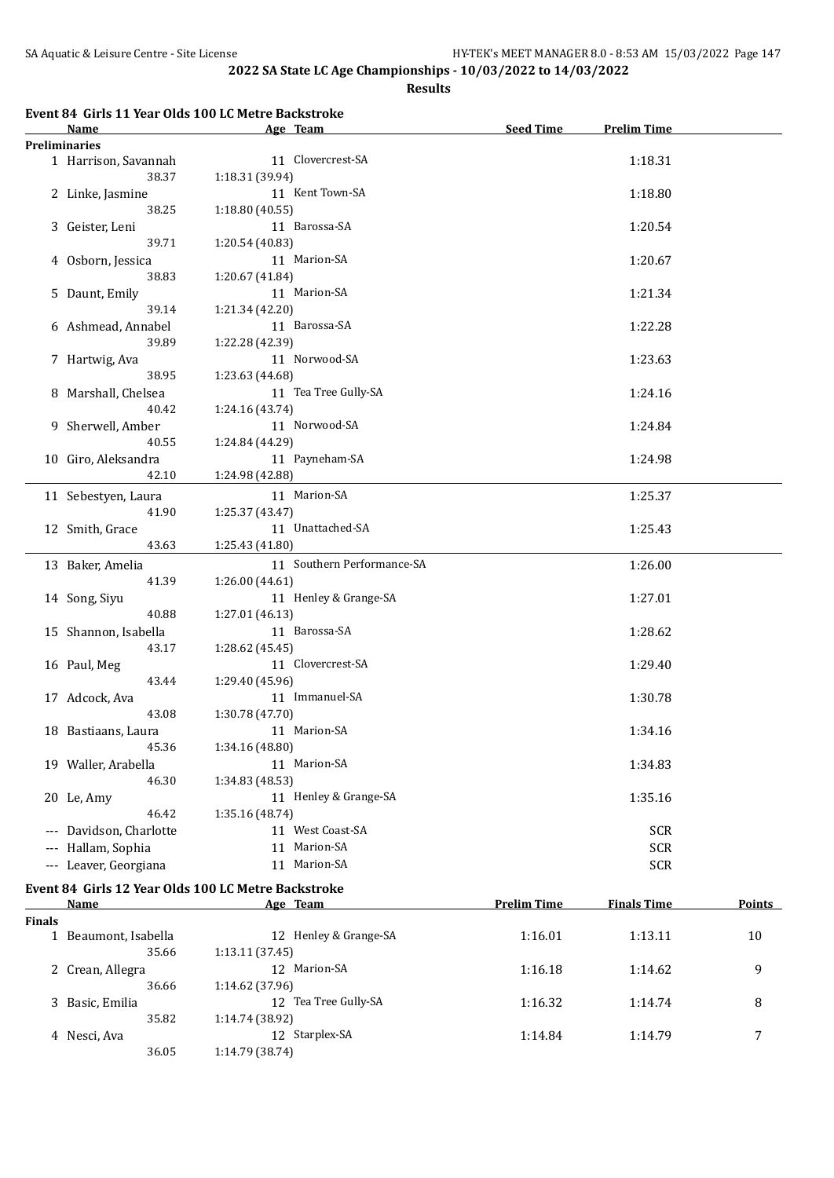**Results**

## **Event 84 Girls 11 Year Olds 100 LC Metre Backstroke**

|        | Name                          | Age Team                                                        | <b>Seed Time</b>   | <b>Prelim Time</b> |               |
|--------|-------------------------------|-----------------------------------------------------------------|--------------------|--------------------|---------------|
|        | <b>Preliminaries</b>          |                                                                 |                    |                    |               |
|        | 1 Harrison, Savannah<br>38.37 | 11 Clovercrest-SA<br>1:18.31 (39.94)                            |                    | 1:18.31            |               |
|        | 2 Linke, Jasmine              | 11 Kent Town-SA                                                 | 1:18.80            |                    |               |
|        | 38.25<br>3 Geister, Leni      | 1:18.80(40.55)<br>11 Barossa-SA                                 |                    | 1:20.54            |               |
|        | 39.71                         | 1:20.54 (40.83)                                                 |                    |                    |               |
|        | 4 Osborn, Jessica<br>38.83    | 11 Marion-SA<br>1:20.67 (41.84)                                 |                    | 1:20.67            |               |
|        | 5 Daunt, Emily<br>39.14       | 11 Marion-SA<br>1:21.34 (42.20)                                 |                    | 1:21.34            |               |
|        | 6 Ashmead, Annabel            | 11 Barossa-SA                                                   |                    | 1:22.28            |               |
|        | 39.89<br>7 Hartwig, Ava       | 1:22.28 (42.39)<br>11 Norwood-SA                                |                    | 1:23.63            |               |
|        | 38.95                         | 1:23.63 (44.68)                                                 |                    |                    |               |
|        | 8 Marshall, Chelsea<br>40.42  | 11 Tea Tree Gully-SA<br>1:24.16 (43.74)                         |                    | 1:24.16            |               |
|        | 9 Sherwell, Amber             | 11 Norwood-SA                                                   |                    | 1:24.84            |               |
|        | 40.55                         | 1:24.84 (44.29)                                                 |                    |                    |               |
|        | 10 Giro, Aleksandra<br>42.10  | 11 Payneham-SA<br>1:24.98 (42.88)                               |                    | 1:24.98            |               |
|        | 11 Sebestyen, Laura<br>41.90  | 11 Marion-SA<br>1:25.37 (43.47)                                 |                    | 1:25.37            |               |
|        | 12 Smith, Grace<br>43.63      | 11 Unattached-SA<br>1:25.43 (41.80)                             |                    | 1:25.43            |               |
|        |                               | 11 Southern Performance-SA                                      |                    |                    |               |
|        | 13 Baker, Amelia<br>41.39     | 1:26.00 (44.61)                                                 |                    | 1:26.00            |               |
|        | 14 Song, Siyu                 | 11 Henley & Grange-SA                                           |                    | 1:27.01            |               |
|        | 40.88                         | 1:27.01 (46.13)                                                 |                    |                    |               |
|        | 15 Shannon, Isabella          | 11 Barossa-SA                                                   |                    | 1:28.62            |               |
|        | 43.17                         | 1:28.62 (45.45)                                                 |                    |                    |               |
|        | 16 Paul, Meg                  | 11 Clovercrest-SA                                               |                    | 1:29.40            |               |
|        | 43.44                         | 1:29.40 (45.96)                                                 |                    |                    |               |
|        | 17 Adcock, Ava                | 11 Immanuel-SA                                                  |                    | 1:30.78            |               |
|        | 43.08                         | 1:30.78 (47.70)                                                 |                    |                    |               |
|        | 18 Bastiaans, Laura           | 11 Marion-SA                                                    |                    | 1:34.16            |               |
|        | 45.36                         | 1:34.16 (48.80)                                                 |                    |                    |               |
|        | 19 Waller, Arabella           | 11 Marion-SA                                                    |                    | 1:34.83            |               |
|        | 46.30                         | 1:34.83 (48.53)                                                 |                    |                    |               |
|        | 20 Le, Amy                    | 11 Henley & Grange-SA                                           |                    | 1:35.16            |               |
|        | 46.42                         | 1:35.16 (48.74)                                                 |                    |                    |               |
|        | --- Davidson, Charlotte       | 11 West Coast-SA                                                |                    | <b>SCR</b>         |               |
|        | --- Hallam, Sophia            | 11 Marion-SA                                                    | <b>SCR</b>         |                    |               |
|        | --- Leaver, Georgiana         | 11 Marion-SA                                                    |                    | <b>SCR</b>         |               |
|        | <b>Name</b>                   | Event 84 Girls 12 Year Olds 100 LC Metre Backstroke<br>Age Team | <b>Prelim Time</b> | <b>Finals Time</b> | <b>Points</b> |
| Finals |                               |                                                                 |                    |                    |               |
|        | 1 Beaumont, Isabella          | 12 Henley & Grange-SA                                           | 1:16.01            | 1:13.11            | 10            |
|        | 35.66<br>2 Crean, Allegra     | 1:13.11 (37.45)<br>12 Marion-SA                                 | 1:16.18            | 1:14.62            | 9             |
|        | 36.66                         | 1:14.62 (37.96)                                                 |                    |                    |               |
|        | 3 Basic, Emilia<br>35.82      | 12 Tea Tree Gully-SA<br>1:14.74 (38.92)                         | 1:16.32            | 1:14.74            | 8             |

4 Nesci, Ava 12 Starplex-SA 1:14.84 1:14.79 7

36.05 1:14.79 (38.74)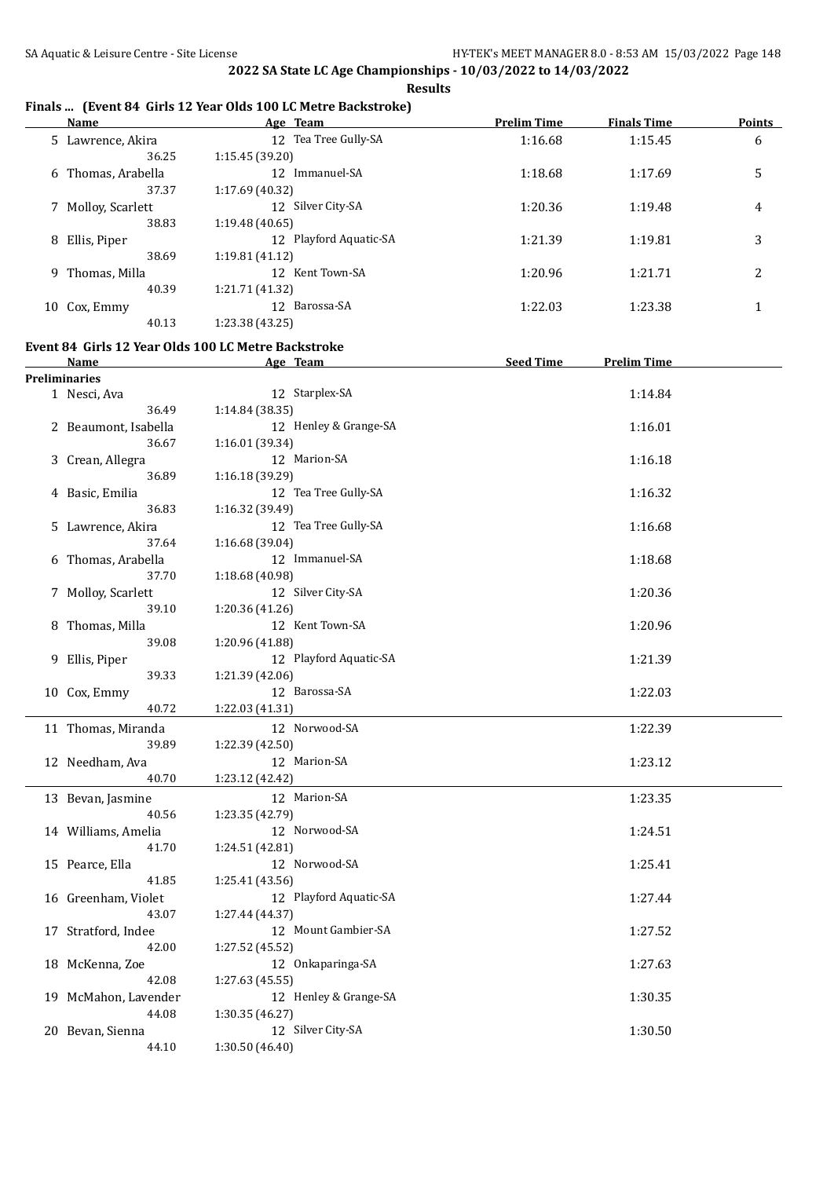**Results**

## **Finals ... (Event 84 Girls 12 Year Olds 100 LC Metre Backstroke)**

|   | Name              | Age Team                  | <b>Prelim Time</b> | <b>Finals Time</b> | <b>Points</b> |
|---|-------------------|---------------------------|--------------------|--------------------|---------------|
|   | 5 Lawrence, Akira | 12 Tea Tree Gully-SA      | 1:16.68            | 1:15.45            | 6             |
|   | 36.25             | 1:15.45(39.20)            |                    |                    |               |
| 6 | Thomas, Arabella  | Immanuel-SA<br>12         | 1:18.68            | 1:17.69            | 5             |
|   | 37.37             | 1:17.69 (40.32)           |                    |                    |               |
|   | Molloy, Scarlett  | 12 Silver City-SA         | 1:20.36            | 1:19.48            | 4             |
|   | 38.83             | 1:19.48(40.65)            |                    |                    |               |
| 8 | Ellis, Piper      | Playford Aquatic-SA<br>12 | 1:21.39            | 1:19.81            | 3             |
|   | 38.69             | 1:19.81 (41.12)           |                    |                    |               |
|   | 9 Thomas, Milla   | 12 Kent Town-SA           | 1:20.96            | 1:21.71            | 2             |
|   | 40.39             | 1:21.71 (41.32)           |                    |                    |               |
|   | 10 Cox, Emmy      | Barossa-SA<br>12          | 1:22.03            | 1:23.38            |               |
|   | 40.13             | 1:23.38 (43.25)           |                    |                    |               |
|   |                   |                           |                    |                    |               |

### **Event 84 Girls 12 Year Olds 100 LC Metre Backstroke**

| <b>Name</b>          | Age Team               | <b>Seed Time</b><br><b>Prelim Time</b> |
|----------------------|------------------------|----------------------------------------|
| <b>Preliminaries</b> |                        |                                        |
| 1 Nesci, Ava         | 12 Starplex-SA         | 1:14.84                                |
| 36.49                | 1:14.84(38.35)         |                                        |
| 2 Beaumont, Isabella | 12 Henley & Grange-SA  | 1:16.01                                |
| 36.67                | 1:16.01 (39.34)        |                                        |
| 3 Crean, Allegra     | 12 Marion-SA           | 1:16.18                                |
| 36.89                | 1:16.18 (39.29)        |                                        |
| 4 Basic, Emilia      | 12 Tea Tree Gully-SA   | 1:16.32                                |
| 36.83                | 1:16.32 (39.49)        |                                        |
| 5 Lawrence, Akira    | 12 Tea Tree Gully-SA   | 1:16.68                                |
| 37.64                | 1:16.68 (39.04)        |                                        |
| 6 Thomas, Arabella   | 12 Immanuel-SA         | 1:18.68                                |
| 37.70                | 1:18.68 (40.98)        |                                        |
| 7 Molloy, Scarlett   | 12 Silver City-SA      | 1:20.36                                |
| 39.10                | 1:20.36 (41.26)        |                                        |
| 8 Thomas, Milla      | 12 Kent Town-SA        | 1:20.96                                |
| 39.08                | 1:20.96 (41.88)        |                                        |
| 9 Ellis, Piper       | 12 Playford Aquatic-SA | 1:21.39                                |
| 39.33                | 1:21.39 (42.06)        |                                        |
| 10 Cox, Emmy         | 12 Barossa-SA          | 1:22.03                                |
| 40.72                | 1:22.03 (41.31)        |                                        |
| 11 Thomas, Miranda   | 12 Norwood-SA          | 1:22.39                                |
| 39.89                | 1:22.39 (42.50)        |                                        |
| 12 Needham, Ava      | 12 Marion-SA           | 1:23.12                                |
| 40.70                | 1:23.12 (42.42)        |                                        |
| 13 Bevan, Jasmine    | 12 Marion-SA           | 1:23.35                                |
| 40.56                | 1:23.35 (42.79)        |                                        |
| 14 Williams, Amelia  | 12 Norwood-SA          | 1:24.51                                |
| 41.70                | 1:24.51 (42.81)        |                                        |
| 15 Pearce, Ella      | 12 Norwood-SA          | 1:25.41                                |
| 41.85                | 1:25.41 (43.56)        |                                        |
| 16 Greenham, Violet  | 12 Playford Aquatic-SA | 1:27.44                                |
| 43.07                | 1:27.44 (44.37)        |                                        |
| 17 Stratford, Indee  | 12 Mount Gambier-SA    | 1:27.52                                |
| 42.00                | 1:27.52 (45.52)        |                                        |
| 18 McKenna, Zoe      | 12 Onkaparinga-SA      | 1:27.63                                |
| 42.08                | 1:27.63 (45.55)        |                                        |
| 19 McMahon, Lavender | 12 Henley & Grange-SA  | 1:30.35                                |
| 44.08                | 1:30.35 (46.27)        |                                        |
| 20 Bevan, Sienna     | 12 Silver City-SA      | 1:30.50                                |
| 44.10                | 1:30.50 (46.40)        |                                        |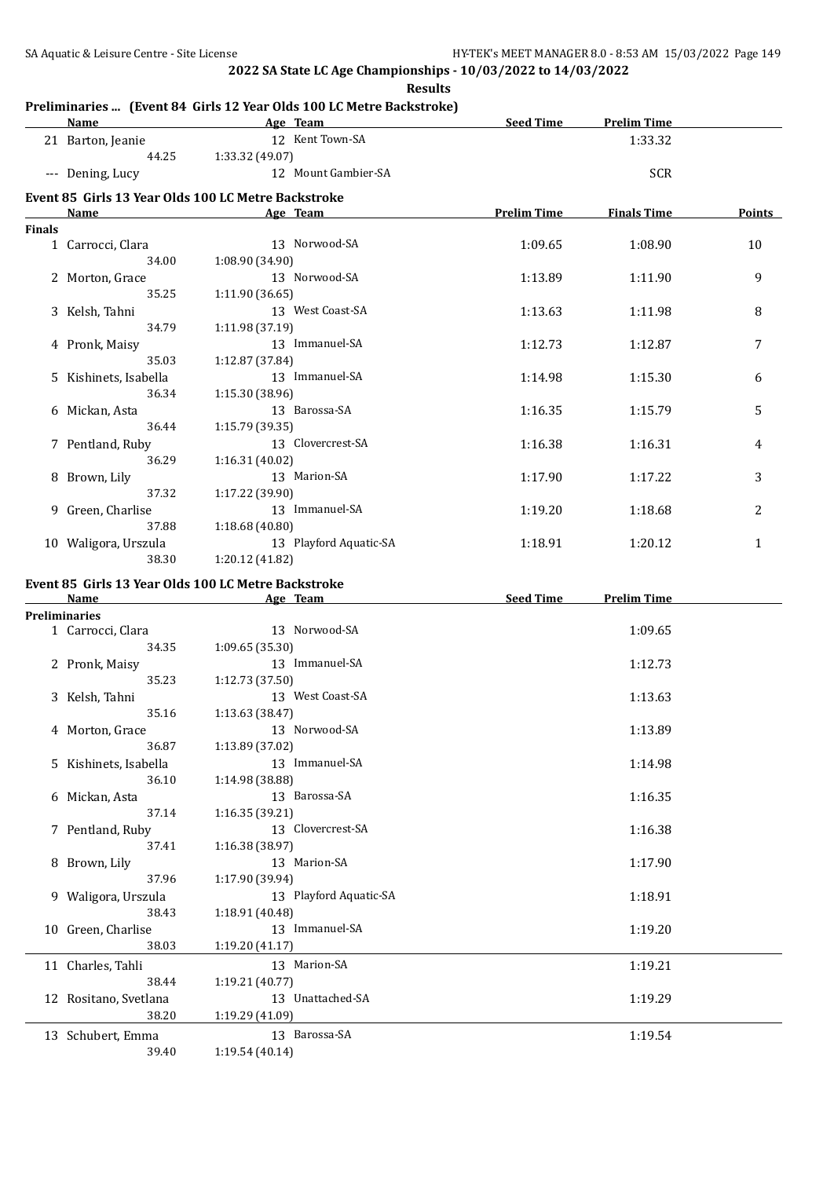|        | <b>Name</b>                                         |                 | Age Team               | <b>Seed Time</b>   | <b>Prelim Time</b> |        |
|--------|-----------------------------------------------------|-----------------|------------------------|--------------------|--------------------|--------|
|        | 21 Barton, Jeanie                                   |                 | 12 Kent Town-SA        |                    | 1:33.32            |        |
|        | 44.25                                               | 1:33.32 (49.07) |                        |                    |                    |        |
|        | --- Dening, Lucy                                    |                 | 12 Mount Gambier-SA    |                    | <b>SCR</b>         |        |
|        | Event 85 Girls 13 Year Olds 100 LC Metre Backstroke |                 |                        |                    |                    |        |
|        | Name                                                |                 | Age Team               | <b>Prelim Time</b> | <b>Finals Time</b> | Points |
| Finals |                                                     |                 |                        |                    |                    |        |
|        | 1 Carrocci, Clara                                   |                 | 13 Norwood-SA          | 1:09.65            | 1:08.90            | 10     |
|        | 34.00                                               | 1:08.90 (34.90) |                        |                    |                    |        |
|        | 2 Morton, Grace                                     |                 | 13 Norwood-SA          | 1:13.89            | 1:11.90            | 9      |
|        | 35.25                                               | 1:11.90 (36.65) |                        |                    |                    |        |
|        | 3 Kelsh, Tahni                                      |                 | 13 West Coast-SA       | 1:13.63            | 1:11.98            | 8      |
|        | 34.79                                               | 1:11.98 (37.19) |                        |                    |                    |        |
|        | 4 Pronk, Maisy<br>35.03                             |                 | 13 Immanuel-SA         | 1:12.73            | 1:12.87            | 7      |
|        |                                                     | 1:12.87 (37.84) | 13 Immanuel-SA         |                    |                    |        |
|        | 5 Kishinets, Isabella<br>36.34                      | 1:15.30 (38.96) |                        | 1:14.98            | 1:15.30            | 6      |
|        | 6 Mickan, Asta                                      |                 | 13 Barossa-SA          | 1:16.35            | 1:15.79            | 5      |
|        | 36.44                                               | 1:15.79 (39.35) |                        |                    |                    |        |
|        | 7 Pentland, Ruby                                    |                 | 13 Clovercrest-SA      | 1:16.38            | 1:16.31            | 4      |
|        | 36.29                                               | 1:16.31 (40.02) |                        |                    |                    |        |
|        | 8 Brown, Lily                                       |                 | 13 Marion-SA           | 1:17.90            | 1:17.22            | 3      |
|        | 37.32                                               | 1:17.22 (39.90) |                        |                    |                    |        |
|        | 9 Green, Charlise                                   |                 | 13 Immanuel-SA         | 1:19.20            | 1:18.68            | 2      |
|        | 37.88                                               | 1:18.68 (40.80) |                        |                    |                    |        |
|        | 10 Waligora, Urszula                                |                 | 13 Playford Aquatic-SA | 1:18.91            | 1:20.12            | 1      |
|        | 38.30                                               | 1:20.12 (41.82) |                        |                    |                    |        |
|        | Event 85 Girls 13 Year Olds 100 LC Metre Backstroke |                 |                        |                    |                    |        |
|        | Name                                                |                 | Age Team               | Seed Time          | <b>Prelim Time</b> |        |
|        | Preliminaries                                       |                 |                        |                    |                    |        |
|        | 1 Carrocci, Clara                                   |                 | 13 Norwood-SA          |                    | 1:09.65            |        |
|        | 34.35                                               | 1:09.65 (35.30) |                        |                    |                    |        |
|        | 2 Pronk, Maisy                                      |                 | 13 Immanuel-SA         |                    | 1:12.73            |        |
|        | 35.23                                               | 1:12.73 (37.50) | 13 West Coast-SA       |                    |                    |        |
|        | 3 Kelsh, Tahni<br>35.16                             | 1:13.63 (38.47) |                        |                    | 1:13.63            |        |
|        | 4 Morton, Grace                                     |                 | 13 Norwood-SA          |                    | 1:13.89            |        |
|        | 36.87                                               | 1:13.89 (37.02) |                        |                    |                    |        |
|        | 5 Kishinets, Isabella                               |                 | 13 Immanuel-SA         |                    | 1:14.98            |        |
|        | 36.10                                               | 1:14.98 (38.88) |                        |                    |                    |        |
|        | 6 Mickan, Asta                                      |                 | 13 Barossa-SA          |                    | 1:16.35            |        |
|        | 37.14                                               | 1:16.35(39.21)  |                        |                    |                    |        |
|        | 7 Pentland, Ruby                                    |                 | 13 Clovercrest-SA      |                    | 1:16.38            |        |
|        | 37.41                                               | 1:16.38 (38.97) |                        |                    |                    |        |
|        | 8 Brown, Lily                                       |                 | 13 Marion-SA           |                    | 1:17.90            |        |
|        | 37.96                                               | 1:17.90 (39.94) |                        |                    |                    |        |
|        | 9 Waligora, Urszula                                 |                 | 13 Playford Aquatic-SA |                    | 1:18.91            |        |
|        | 38.43                                               | 1:18.91 (40.48) |                        |                    |                    |        |
|        | 10 Green, Charlise                                  |                 | 13 Immanuel-SA         |                    | 1:19.20            |        |
|        | 38.03                                               | 1:19.20 (41.17) |                        |                    |                    |        |
|        | 11 Charles, Tahli                                   |                 | 13 Marion-SA           |                    | 1:19.21            |        |
|        | 38.44                                               | 1:19.21 (40.77) |                        |                    |                    |        |
|        | 12 Rositano, Svetlana                               |                 | 13 Unattached-SA       |                    | 1:19.29            |        |
|        | 38.20                                               | 1:19.29 (41.09) |                        |                    |                    |        |
|        | 13 Schubert, Emma                                   |                 | 13 Barossa-SA          |                    | 1:19.54            |        |
|        | 39.40                                               | 1:19.54 (40.14) |                        |                    |                    |        |

### **Results**

### **Preliminaries ... (Event 84 Girls 12 Year Olds 100 LC Metre Backstroke)**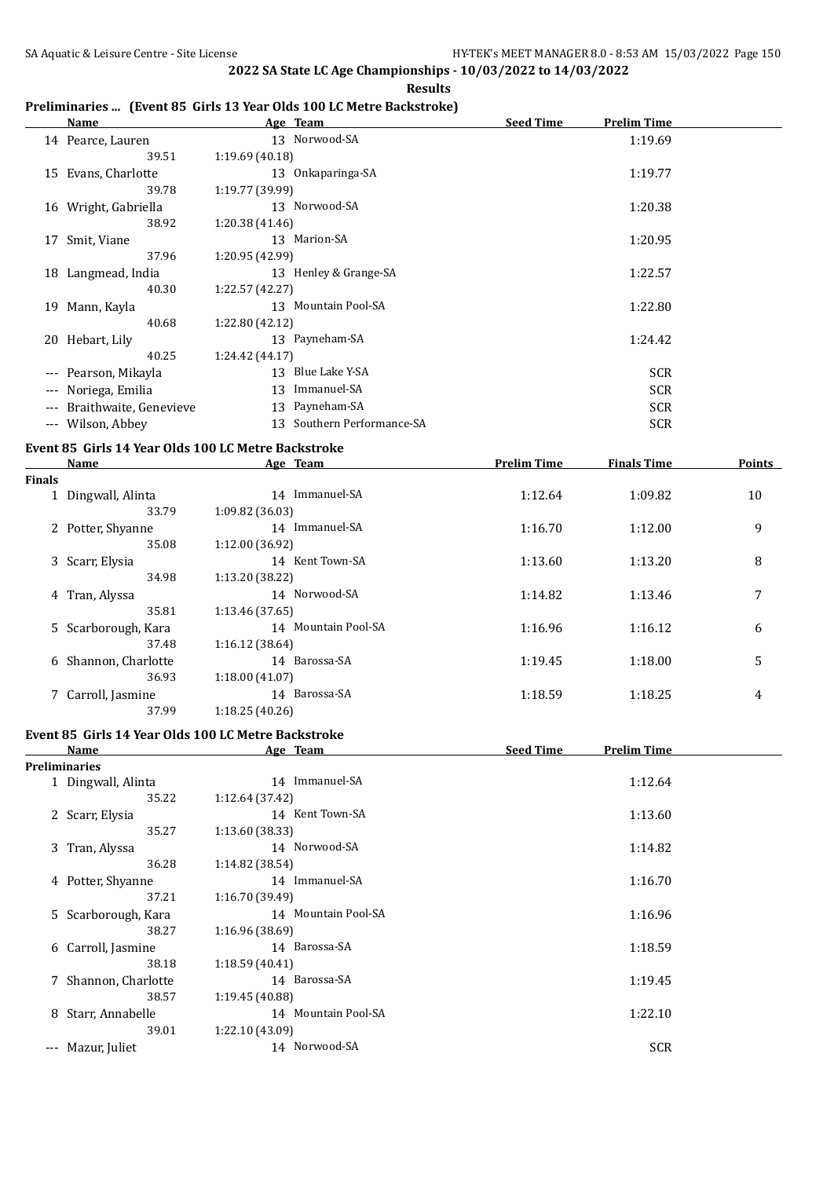**Results**

### **Preliminaries ... (Event 85 Girls 13 Year Olds 100 LC Metre Backstroke)**

|       | Name                   | Age Team                      | <b>Seed Time</b><br>Prelim Time |
|-------|------------------------|-------------------------------|---------------------------------|
|       | 14 Pearce, Lauren      | 13 Norwood-SA                 | 1:19.69                         |
|       | 39.51                  | 1:19.69(40.18)                |                                 |
|       | 15 Evans, Charlotte    | 13 Onkaparinga-SA             | 1:19.77                         |
|       | 39.78                  | 1:19.77 (39.99)               |                                 |
|       | 16 Wright, Gabriella   | 13 Norwood-SA                 | 1:20.38                         |
|       | 38.92                  | 1:20.38(41.46)                |                                 |
| 17    | Smit, Viane            | 13 Marion-SA                  | 1:20.95                         |
|       | 37.96                  | 1:20.95 (42.99)               |                                 |
| 18    | Langmead, India        | 13 Henley & Grange-SA         | 1:22.57                         |
|       | 40.30                  | 1:22.57(42.27)                |                                 |
| 19    | Mann, Kayla            | 13 Mountain Pool-SA           | 1:22.80                         |
|       | 40.68                  | 1:22.80 (42.12)               |                                 |
| 20    | Hebart, Lily           | 13 Payneham-SA                | 1:24.42                         |
|       | 40.25                  | 1:24.42 (44.17)               |                                 |
| $---$ | Pearson, Mikayla       | Blue Lake Y-SA<br>13          | <b>SCR</b>                      |
| $---$ | Noriega, Emilia        | Immanuel-SA<br>13             | <b>SCR</b>                      |
| $---$ | Braithwaite, Genevieve | 13 Payneham-SA                | <b>SCR</b>                      |
|       | --- Wilson, Abbey      | Southern Performance-SA<br>13 | <b>SCR</b>                      |
|       |                        |                               |                                 |

### **Event 85 Girls 14 Year Olds 100 LC Metre Backstroke**

|               | Name<br>Age Team    |                     | <b>Prelim Time</b> | <b>Finals Time</b> | Points |
|---------------|---------------------|---------------------|--------------------|--------------------|--------|
| <b>Finals</b> |                     |                     |                    |                    |        |
|               | 1 Dingwall, Alinta  | 14 Immanuel-SA      | 1:12.64            | 1:09.82            | 10     |
|               | 33.79               | 1:09.82 (36.03)     |                    |                    |        |
|               | 2 Potter, Shyanne   | 14 Immanuel-SA      | 1:16.70            | 1:12.00            | 9      |
|               | 35.08               | 1:12.00 (36.92)     |                    |                    |        |
|               | 3 Scarr, Elysia     | 14 Kent Town-SA     | 1:13.60            | 1:13.20            | 8      |
|               | 34.98               | 1:13.20 (38.22)     |                    |                    |        |
|               | 4 Tran, Alyssa      | 14 Norwood-SA       | 1:14.82            | 1:13.46            | 7      |
|               | 35.81               | 1:13.46 (37.65)     |                    |                    |        |
|               | 5 Scarborough, Kara | 14 Mountain Pool-SA | 1:16.96            | 1:16.12            | 6      |
|               | 37.48               | 1:16.12(38.64)      |                    |                    |        |
| 6             | Shannon, Charlotte  | 14 Barossa-SA       | 1:19.45            | 1:18.00            | 5      |
|               | 36.93               | 1:18.00 (41.07)     |                    |                    |        |
|               | Carroll, Jasmine    | 14 Barossa-SA       | 1:18.59            | 1:18.25            | 4      |
|               | 37.99               | 1:18.25(40.26)      |                    |                    |        |

## **Event 85 Girls 14 Year Olds 100 LC Metre Backstroke**

|                     | Name                 | Age Team               | <b>Seed Time</b><br><b>Prelim Time</b> |
|---------------------|----------------------|------------------------|----------------------------------------|
|                     | <b>Preliminaries</b> |                        |                                        |
|                     | 1 Dingwall, Alinta   | 14 Immanuel-SA         | 1:12.64                                |
|                     | 35.22                | 1:12.64 (37.42)        |                                        |
|                     | 2 Scarr, Elysia      | 14 Kent Town-SA        | 1:13.60                                |
|                     | 35.27                | 1:13.60 (38.33)        |                                        |
|                     | 3 Tran, Alyssa       | 14 Norwood-SA          | 1:14.82                                |
|                     | 36.28                | 1:14.82 (38.54)        |                                        |
|                     | 4 Potter, Shyanne    | 14 Immanuel-SA         | 1:16.70                                |
|                     | 37.21                | 1:16.70 (39.49)        |                                        |
|                     | 5 Scarborough, Kara  | 14 Mountain Pool-SA    | 1:16.96                                |
|                     | 38.27                | 1:16.96(38.69)         |                                        |
|                     | 6 Carroll, Jasmine   | 14 Barossa-SA          | 1:18.59                                |
|                     | 38.18                | 1:18.59(40.41)         |                                        |
|                     | 7 Shannon, Charlotte | 14 Barossa-SA          | 1:19.45                                |
|                     | 38.57                | 1:19.45 (40.88)        |                                        |
| 8                   | Starr, Annabelle     | Mountain Pool-SA<br>14 | 1:22.10                                |
|                     | 39.01                | 1:22.10 (43.09)        |                                        |
| $\qquad \qquad - -$ | Mazur, Juliet        | 14 Norwood-SA          | <b>SCR</b>                             |
|                     |                      |                        |                                        |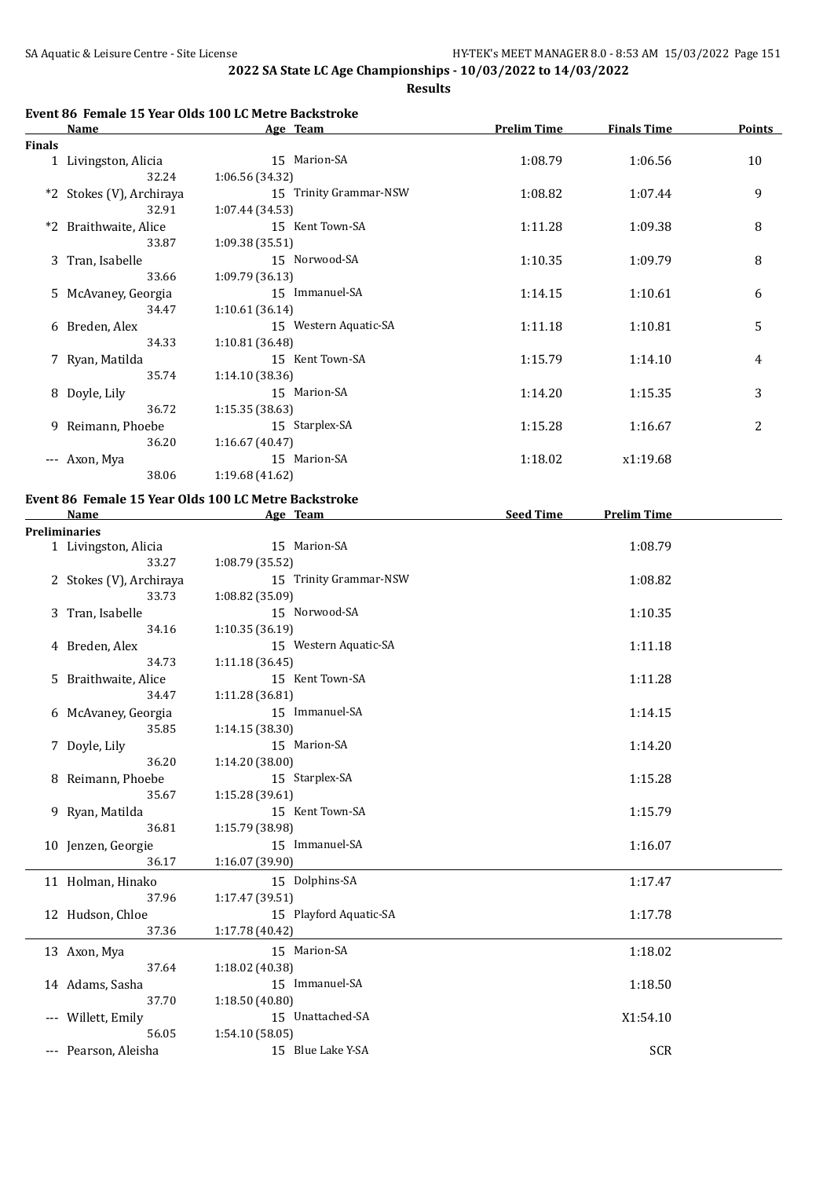**Results**

## **Event 86 Female 15 Year Olds 100 LC Metre Backstroke**

|               | Name                     | Age Team               | <b>Prelim Time</b> | <b>Finals Time</b> | <b>Points</b> |
|---------------|--------------------------|------------------------|--------------------|--------------------|---------------|
| <b>Finals</b> |                          |                        |                    |                    |               |
|               | 1 Livingston, Alicia     | 15 Marion-SA           | 1:08.79            | 1:06.56            | 10            |
|               | 32.24                    | 1:06.56(34.32)         |                    |                    |               |
|               | *2 Stokes (V), Archiraya | 15 Trinity Grammar-NSW | 1:08.82            | 1:07.44            | 9             |
|               | 32.91                    | 1:07.44 (34.53)        |                    |                    |               |
|               | *2 Braithwaite, Alice    | 15 Kent Town-SA        | 1:11.28            | 1:09.38            | 8             |
|               | 33.87                    | 1:09.38(35.51)         |                    |                    |               |
|               | 3 Tran, Isabelle         | 15 Norwood-SA          | 1:10.35            | 1:09.79            | 8             |
|               | 33.66                    | 1:09.79 (36.13)        |                    |                    |               |
|               | 5 McAvaney, Georgia      | 15 Immanuel-SA         | 1:14.15            | 1:10.61            | 6             |
|               | 34.47                    | 1:10.61(36.14)         |                    |                    |               |
|               | 6 Breden, Alex           | 15 Western Aquatic-SA  | 1:11.18            | 1:10.81            | 5             |
|               | 34.33                    | 1:10.81 (36.48)        |                    |                    |               |
|               | 7 Ryan, Matilda          | 15 Kent Town-SA        | 1:15.79            | 1:14.10            | 4             |
|               | 35.74                    | 1:14.10(38.36)         |                    |                    |               |
|               | 8 Doyle, Lily            | 15 Marion-SA           | 1:14.20            | 1:15.35            | 3             |
|               | 36.72                    | 1:15.35(38.63)         |                    |                    |               |
|               | 9 Reimann, Phoebe        | 15 Starplex-SA         | 1:15.28            | 1:16.67            | 2             |
|               | 36.20                    | 1:16.67(40.47)         |                    |                    |               |
|               | --- Axon, Mya            | 15 Marion-SA           | 1:18.02            | x1:19.68           |               |
|               | 38.06                    | 1:19.68(41.62)         |                    |                    |               |

### **Event 86 Female 15 Year Olds 100 LC Metre Backstroke**

| Name                    | Age Team               | <b>Seed Time</b>                  | <b>Prelim Time</b> |  |
|-------------------------|------------------------|-----------------------------------|--------------------|--|
| <b>Preliminaries</b>    |                        |                                   |                    |  |
| 1 Livingston, Alicia    | 15 Marion-SA           |                                   | 1:08.79            |  |
| 33.27                   | 1:08.79 (35.52)        |                                   |                    |  |
| 2 Stokes (V), Archiraya | 15 Trinity Grammar-NSW |                                   | 1:08.82            |  |
| 33.73                   | 1:08.82 (35.09)        |                                   |                    |  |
| 3 Tran, Isabelle        | 15 Norwood-SA          |                                   | 1:10.35            |  |
| 34.16                   | 1:10.35(36.19)         |                                   |                    |  |
| 4 Breden, Alex          | 15 Western Aquatic-SA  |                                   | 1:11.18            |  |
| 34.73                   | 1:11.18(36.45)         |                                   |                    |  |
| 5 Braithwaite, Alice    |                        |                                   | 1:11.28            |  |
| 34.47                   | 1:11.28 (36.81)        |                                   |                    |  |
| 6 McAvaney, Georgia     | 15 Immanuel-SA         |                                   | 1:14.15            |  |
| 35.85                   | 1:14.15 (38.30)        |                                   |                    |  |
| 7 Doyle, Lily           | 15 Marion-SA           |                                   | 1:14.20            |  |
| 36.20                   | 1:14.20 (38.00)        |                                   |                    |  |
| 8 Reimann, Phoebe       |                        |                                   | 1:15.28            |  |
| 35.67                   | 1:15.28(39.61)         |                                   |                    |  |
| 9 Ryan, Matilda         | 15 Kent Town-SA        |                                   | 1:15.79            |  |
| 36.81                   | 1:15.79 (38.98)        |                                   |                    |  |
| 10 Jenzen, Georgie      | 15 Immanuel-SA         |                                   | 1:16.07            |  |
| 36.17                   | 1:16.07 (39.90)        |                                   |                    |  |
| 11 Holman, Hinako       | 15 Dolphins-SA         |                                   | 1:17.47            |  |
| 37.96                   | 1:17.47 (39.51)        |                                   |                    |  |
| 12 Hudson, Chloe        | 15 Playford Aquatic-SA |                                   | 1:17.78            |  |
| 37.36                   | 1:17.78 (40.42)        |                                   |                    |  |
| 13 Axon, Mya            | 15 Marion-SA           |                                   | 1:18.02            |  |
| 37.64                   | 1:18.02 (40.38)        |                                   |                    |  |
| 14 Adams, Sasha         | 15 Immanuel-SA         |                                   | 1:18.50            |  |
| 37.70                   | 1:18.50(40.80)         |                                   |                    |  |
| --- Willett, Emily      | 15 Unattached-SA       |                                   | X1:54.10           |  |
| 56.05                   | 1:54.10(58.05)         |                                   |                    |  |
| --- Pearson, Aleisha    | 15 Blue Lake Y-SA      |                                   | <b>SCR</b>         |  |
|                         |                        | 15 Kent Town-SA<br>15 Starplex-SA |                    |  |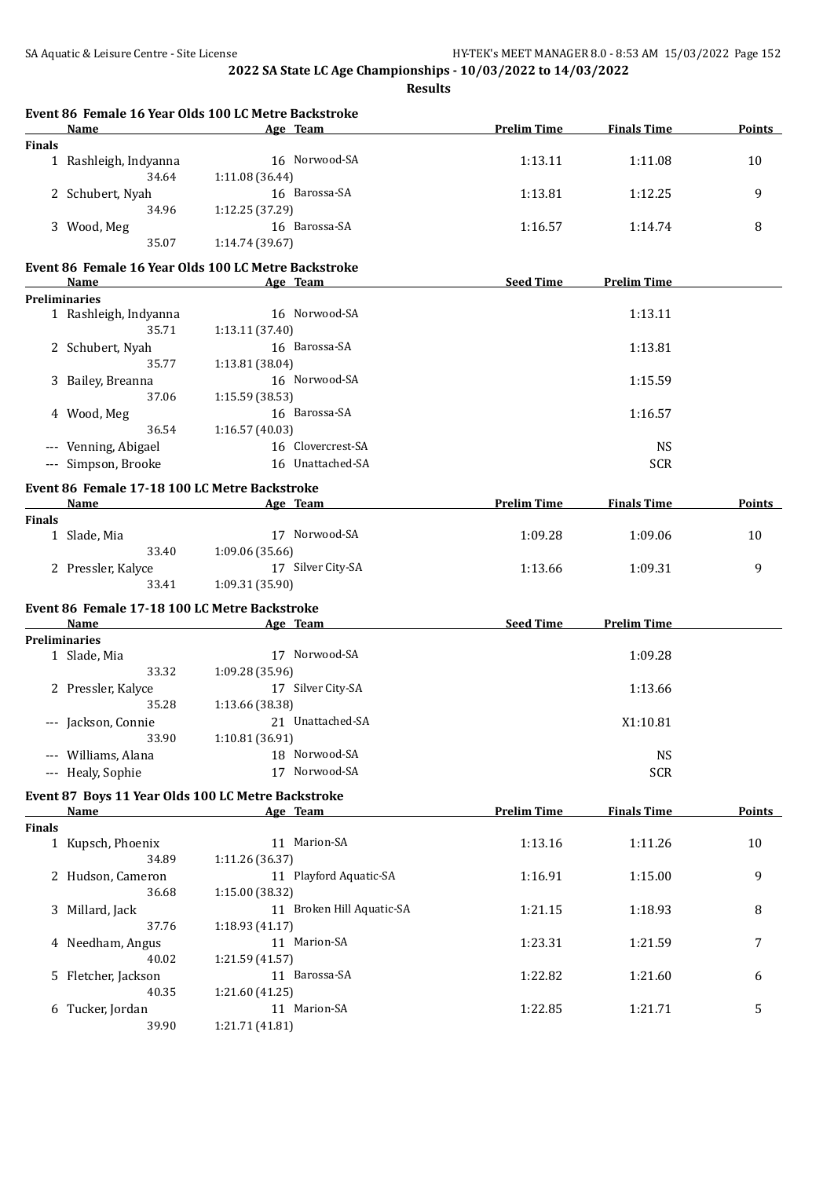**Results**

|               | Event 86 Female 16 Year Olds 100 LC Metre Backstroke<br>Name | Age Team        |                           | <b>Prelim Time</b> | <b>Finals Time</b> | Points        |
|---------------|--------------------------------------------------------------|-----------------|---------------------------|--------------------|--------------------|---------------|
| <b>Finals</b> |                                                              |                 |                           |                    |                    |               |
|               | 1 Rashleigh, Indyanna<br>34.64                               | 1:11.08 (36.44) | 16 Norwood-SA             | 1:13.11            | 1:11.08            | 10            |
|               | 2 Schubert, Nyah<br>34.96                                    | 1:12.25 (37.29) | 16 Barossa-SA             | 1:13.81            | 1:12.25            | 9             |
|               | 3 Wood, Meg                                                  |                 | 16 Barossa-SA             | 1:16.57            | 1:14.74            | 8             |
|               | 35.07                                                        | 1:14.74 (39.67) |                           |                    |                    |               |
|               |                                                              |                 |                           |                    |                    |               |
|               | Event 86 Female 16 Year Olds 100 LC Metre Backstroke<br>Name | Age Team        |                           | <b>Seed Time</b>   | <b>Prelim Time</b> |               |
|               | <b>Preliminaries</b>                                         |                 |                           |                    |                    |               |
|               | 1 Rashleigh, Indyanna                                        |                 | 16 Norwood-SA             |                    | 1:13.11            |               |
|               | 35.71                                                        | 1:13.11 (37.40) |                           |                    |                    |               |
|               | 2 Schubert, Nyah                                             |                 | 16 Barossa-SA             |                    | 1:13.81            |               |
|               | 35.77                                                        | 1:13.81 (38.04) |                           |                    |                    |               |
|               | 3 Bailey, Breanna                                            |                 | 16 Norwood-SA             |                    | 1:15.59            |               |
|               | 37.06                                                        | 1:15.59 (38.53) |                           |                    |                    |               |
|               | 4 Wood, Meg                                                  |                 | 16 Barossa-SA             |                    | 1:16.57            |               |
|               | 36.54                                                        | 1:16.57(40.03)  |                           |                    |                    |               |
|               | --- Venning, Abigael                                         |                 | 16 Clovercrest-SA         |                    | <b>NS</b>          |               |
|               | --- Simpson, Brooke                                          |                 | 16 Unattached-SA          |                    | <b>SCR</b>         |               |
|               | Event 86 Female 17-18 100 LC Metre Backstroke                |                 |                           |                    |                    |               |
|               | Name                                                         | Age Team        |                           | <b>Prelim Time</b> | <b>Finals Time</b> | Points        |
| <b>Finals</b> |                                                              |                 |                           |                    |                    |               |
|               | 1 Slade, Mia                                                 |                 | 17 Norwood-SA             | 1:09.28            | 1:09.06            | 10            |
|               | 33.40                                                        | 1:09.06 (35.66) |                           |                    |                    |               |
|               | 2 Pressler, Kalyce                                           |                 | 17 Silver City-SA         | 1:13.66            | 1:09.31            | 9             |
|               | 33.41                                                        | 1:09.31 (35.90) |                           |                    |                    |               |
|               | Event 86 Female 17-18 100 LC Metre Backstroke                |                 |                           |                    |                    |               |
|               | <b>Name</b>                                                  | Age Team        |                           | Seed Time          | <b>Prelim Time</b> |               |
|               | <b>Preliminaries</b>                                         |                 |                           |                    |                    |               |
|               | 1 Slade, Mia                                                 |                 | 17 Norwood-SA             |                    | 1:09.28            |               |
|               | 33.32                                                        | 1:09.28 (35.96) |                           |                    |                    |               |
|               | 2 Pressler, Kalyce                                           |                 | 17 Silver City-SA         |                    | 1:13.66            |               |
|               | 35.28                                                        | 1:13.66 (38.38) |                           |                    |                    |               |
|               | --- Jackson, Connie                                          |                 | 21 Unattached-SA          |                    | X1:10.81           |               |
|               | 33.90                                                        | 1:10.81 (36.91) |                           |                    |                    |               |
|               | --- Williams, Alana                                          |                 | 18 Norwood-SA             |                    | <b>NS</b>          |               |
|               | --- Healy, Sophie                                            |                 | 17 Norwood-SA             |                    | <b>SCR</b>         |               |
|               | Event 87 Boys 11 Year Olds 100 LC Metre Backstroke           |                 |                           |                    |                    |               |
|               | Name                                                         | Age Team        |                           | <b>Prelim Time</b> | <b>Finals Time</b> | <b>Points</b> |
| <b>Finals</b> |                                                              |                 |                           |                    |                    |               |
|               | 1 Kupsch, Phoenix                                            |                 | 11 Marion-SA              | 1:13.16            | 1:11.26            | 10            |
|               | 34.89                                                        | 1:11.26 (36.37) |                           |                    |                    |               |
|               | 2 Hudson, Cameron                                            |                 | 11 Playford Aquatic-SA    | 1:16.91            | 1:15.00            | 9             |
|               | 36.68                                                        | 1:15.00 (38.32) |                           |                    |                    |               |
|               | 3 Millard, Jack                                              |                 | 11 Broken Hill Aquatic-SA | 1:21.15            | 1:18.93            | 8             |
|               | 37.76                                                        | 1:18.93 (41.17) |                           |                    |                    |               |
|               | 4 Needham, Angus                                             |                 | 11 Marion-SA              | 1:23.31            | 1:21.59            | 7             |
|               | 40.02                                                        | 1:21.59 (41.57) |                           |                    |                    |               |
|               | 5 Fletcher, Jackson                                          |                 | 11 Barossa-SA             | 1:22.82            | 1:21.60            | 6             |
|               | 40.35                                                        | 1:21.60 (41.25) |                           |                    |                    |               |
|               | 6 Tucker, Jordan                                             |                 | 11 Marion-SA              | 1:22.85            | 1:21.71            | 5             |
|               | 39.90                                                        | 1:21.71 (41.81) |                           |                    |                    |               |
|               |                                                              |                 |                           |                    |                    |               |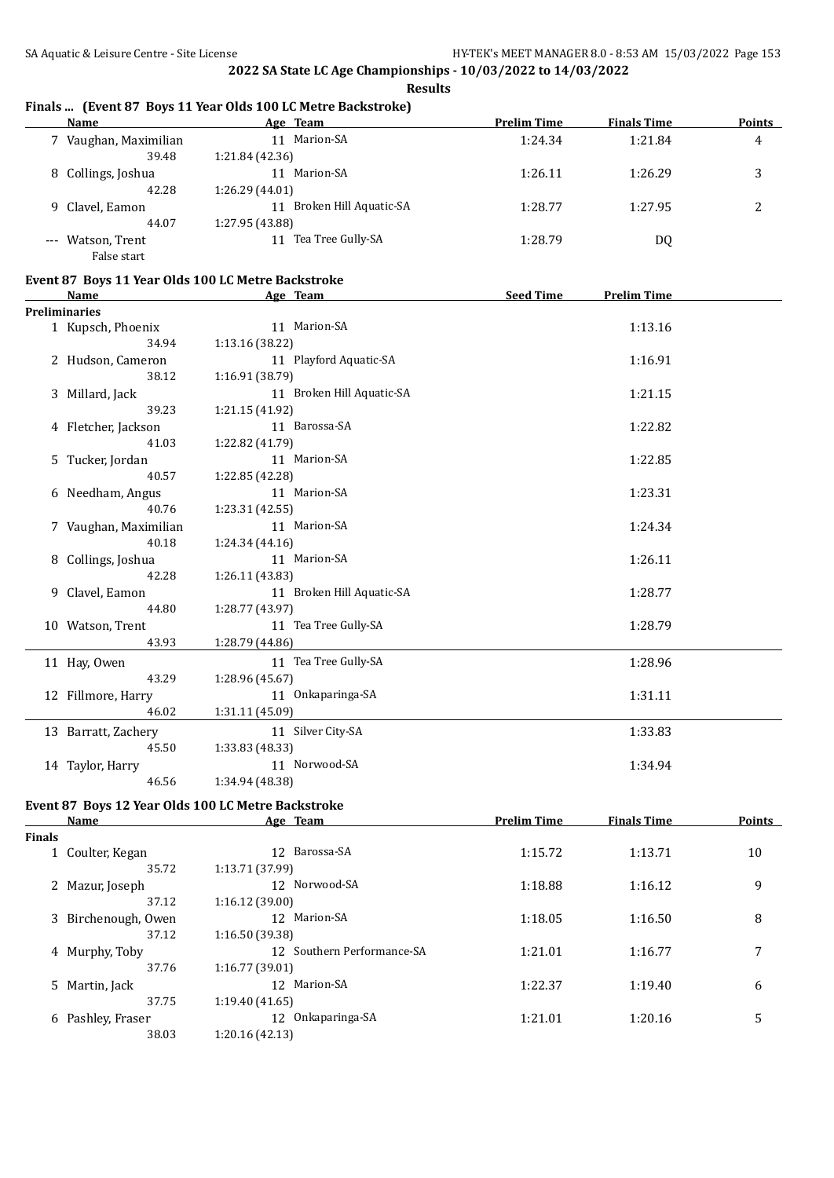**Results**

### **Finals ... (Event 87 Boys 11 Year Olds 100 LC Metre Backstroke)**

| <b>Name</b>           | Age Team                     | <b>Prelim Time</b> | <b>Finals Time</b> | <b>Points</b> |
|-----------------------|------------------------------|--------------------|--------------------|---------------|
| 7 Vaughan, Maximilian | Marion-SA<br>11              | 1:24.34            | 1:21.84            | 4             |
| 39.48                 | 1:21.84 (42.36)              |                    |                    |               |
| 8 Collings, Joshua    | Marion-SA<br>11              | 1:26.11            | 1:26.29            | 3             |
| 42.28                 | 1:26.29 (44.01)              |                    |                    |               |
| 9 Clavel, Eamon       | Broken Hill Aquatic-SA<br>11 | 1:28.77            | 1:27.95            | 2             |
| 44.07                 | 1:27.95 (43.88)              |                    |                    |               |
| --- Watson, Trent     | Tea Tree Gully-SA<br>11      | 1:28.79            | DQ                 |               |
| False start           |                              |                    |                    |               |

### **Event 87 Boys 11 Year Olds 100 LC Metre Backstroke**

| <b>Name</b>           | Age Team                  | <b>Seed Time</b><br><b>Prelim Time</b> |
|-----------------------|---------------------------|----------------------------------------|
| <b>Preliminaries</b>  |                           |                                        |
| 1 Kupsch, Phoenix     | 11 Marion-SA              | 1:13.16                                |
| 34.94                 | 1:13.16 (38.22)           |                                        |
| 2 Hudson, Cameron     | 11 Playford Aquatic-SA    | 1:16.91                                |
| 38.12                 | 1:16.91 (38.79)           |                                        |
| 3 Millard, Jack       | 11 Broken Hill Aquatic-SA | 1:21.15                                |
| 39.23                 | 1:21.15 (41.92)           |                                        |
| 4 Fletcher, Jackson   | 11 Barossa-SA             | 1:22.82                                |
| 41.03                 | 1:22.82 (41.79)           |                                        |
| 5 Tucker, Jordan      | 11 Marion-SA              | 1:22.85                                |
| 40.57                 | 1:22.85 (42.28)           |                                        |
| 6 Needham, Angus      | 11 Marion-SA              | 1:23.31                                |
| 40.76                 | 1:23.31 (42.55)           |                                        |
| 7 Vaughan, Maximilian | 11 Marion-SA              | 1:24.34                                |
| 40.18                 | 1:24.34(44.16)            |                                        |
| 8 Collings, Joshua    | 11 Marion-SA              | 1:26.11                                |
| 42.28                 | 1:26.11 (43.83)           |                                        |
| 9 Clavel, Eamon       | 11 Broken Hill Aquatic-SA | 1:28.77                                |
| 44.80                 | 1:28.77 (43.97)           |                                        |
| 10 Watson, Trent      | 11 Tea Tree Gully-SA      | 1:28.79                                |
| 43.93                 | 1:28.79 (44.86)           |                                        |
| 11 Hay, Owen          | 11 Tea Tree Gully-SA      | 1:28.96                                |
| 43.29                 | 1:28.96 (45.67)           |                                        |
| 12 Fillmore, Harry    | 11 Onkaparinga-SA         | 1:31.11                                |
| 46.02                 | 1:31.11 (45.09)           |                                        |
| 13 Barratt, Zachery   | 11 Silver City-SA         | 1:33.83                                |
| 45.50                 | 1:33.83 (48.33)           |                                        |
| 14 Taylor, Harry      | 11 Norwood-SA             | 1:34.94                                |
| 46.56                 | 1:34.94 (48.38)           |                                        |

### **Event 87 Boys 12 Year Olds 100 LC Metre Backstroke**

|        | Name                | Age Team                      | <b>Prelim Time</b> | <b>Finals Time</b> | <b>Points</b> |
|--------|---------------------|-------------------------------|--------------------|--------------------|---------------|
| Finals |                     |                               |                    |                    |               |
|        | 1 Coulter, Kegan    | Barossa-SA<br>12 <sup>°</sup> | 1:15.72            | 1:13.71            | 10            |
|        | 35.72               | 1:13.71 (37.99)               |                    |                    |               |
|        | 2 Mazur, Joseph     | 12 Norwood-SA                 | 1:18.88            | 1:16.12            | 9             |
|        | 37.12               | 1:16.12(39.00)                |                    |                    |               |
|        | 3 Birchenough, Owen | 12 Marion-SA                  | 1:18.05            | 1:16.50            | 8             |
|        | 37.12               | 1:16.50 (39.38)               |                    |                    |               |
|        | 4 Murphy, Toby      | 12 Southern Performance-SA    | 1:21.01            | 1:16.77            | 7             |
|        | 37.76               | 1:16.77(39.01)                |                    |                    |               |
|        | 5 Martin, Jack      | 12 Marion-SA                  | 1:22.37            | 1:19.40            | 6             |
|        | 37.75               | 1:19.40(41.65)                |                    |                    |               |
|        | 6 Pashley, Fraser   | Onkaparinga-SA<br>12          | 1:21.01            | 1:20.16            | 5             |
|        | 38.03               | 1:20.16(42.13)                |                    |                    |               |
|        |                     |                               |                    |                    |               |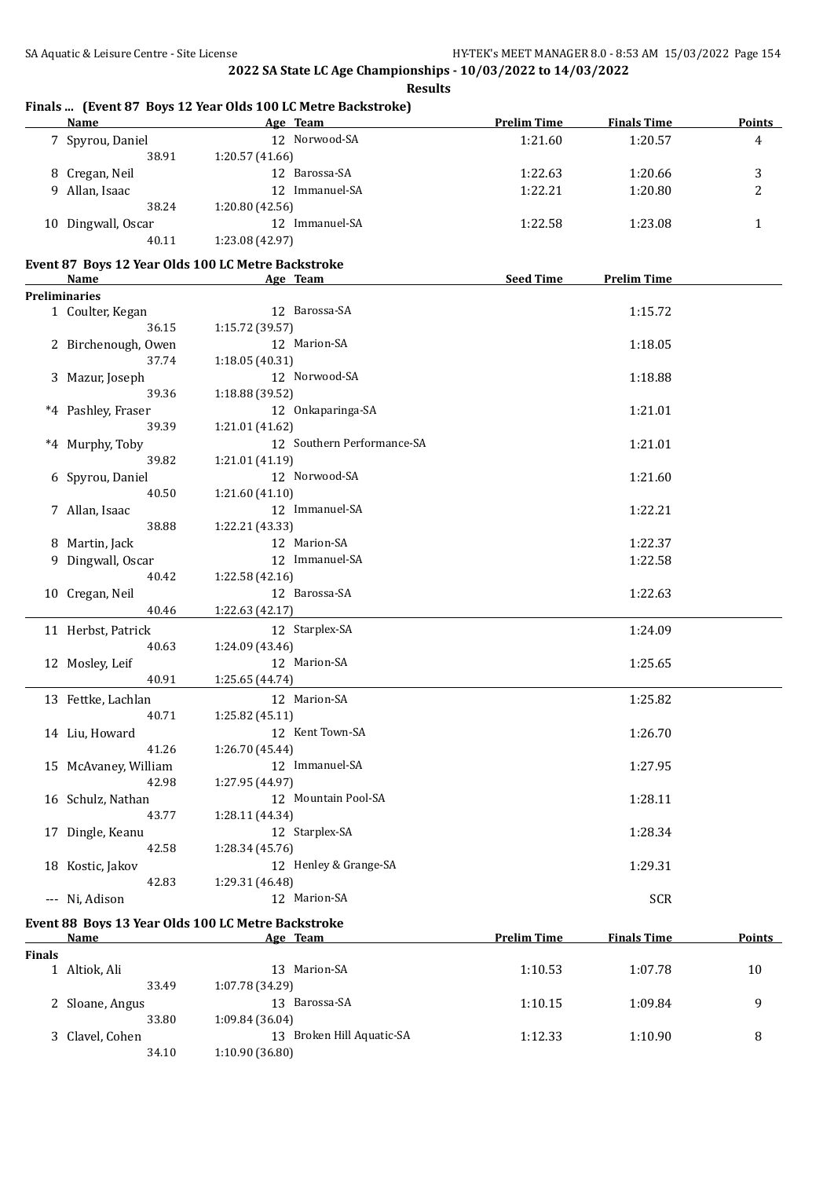**Finals ... (Event 87 Boys 12 Year Olds 100 LC Metre Backstroke)**

**2022 SA State LC Age Championships - 10/03/2022 to 14/03/2022**

**Results**

|        | Name                                               |                 | Age Team                   | <b>Prelim Time</b> | <b>Finals Time</b> | <b>Points</b> |
|--------|----------------------------------------------------|-----------------|----------------------------|--------------------|--------------------|---------------|
|        | 7 Spyrou, Daniel                                   |                 | 12 Norwood-SA              | 1:21.60            | 1:20.57            | 4             |
|        | 38.91                                              | 1:20.57 (41.66) |                            |                    |                    |               |
|        | 8 Cregan, Neil                                     |                 | 12 Barossa-SA              | 1:22.63            | 1:20.66            | 3             |
|        | 9 Allan, Isaac                                     |                 | 12 Immanuel-SA             | 1:22.21            | 1:20.80            | 2             |
|        | 38.24                                              | 1:20.80(42.56)  |                            |                    |                    |               |
|        |                                                    |                 | 12 Immanuel-SA             |                    |                    |               |
|        | 10 Dingwall, Oscar                                 |                 |                            | 1:22.58            | 1:23.08            | 1             |
|        | 40.11                                              | 1:23.08 (42.97) |                            |                    |                    |               |
|        | Event 87 Boys 12 Year Olds 100 LC Metre Backstroke |                 |                            |                    |                    |               |
|        | Name                                               |                 | Age Team                   | <b>Seed Time</b>   | <b>Prelim Time</b> |               |
|        | <b>Preliminaries</b>                               |                 |                            |                    |                    |               |
|        | 1 Coulter, Kegan                                   |                 | 12 Barossa-SA              |                    | 1:15.72            |               |
|        | 36.15                                              | 1:15.72 (39.57) |                            |                    |                    |               |
|        | 2 Birchenough, Owen                                |                 | 12 Marion-SA               |                    | 1:18.05            |               |
|        | 37.74                                              | 1:18.05 (40.31) |                            |                    |                    |               |
|        | 3 Mazur, Joseph                                    |                 | 12 Norwood-SA              |                    | 1:18.88            |               |
|        | 39.36                                              | 1:18.88 (39.52) |                            |                    |                    |               |
|        | *4 Pashley, Fraser                                 |                 | 12 Onkaparinga-SA          |                    | 1:21.01            |               |
|        | 39.39                                              | 1:21.01 (41.62) |                            |                    |                    |               |
|        | *4 Murphy, Toby                                    |                 | 12 Southern Performance-SA |                    | 1:21.01            |               |
|        | 39.82                                              | 1:21.01 (41.19) |                            |                    |                    |               |
|        | 6 Spyrou, Daniel                                   |                 | 12 Norwood-SA              |                    | 1:21.60            |               |
|        | 40.50                                              | 1:21.60 (41.10) |                            |                    |                    |               |
|        | 7 Allan, Isaac                                     |                 | 12 Immanuel-SA             |                    | 1:22.21            |               |
|        | 38.88                                              | 1:22.21 (43.33) |                            |                    |                    |               |
|        |                                                    |                 | 12 Marion-SA               |                    | 1:22.37            |               |
|        | 8 Martin, Jack                                     |                 | 12 Immanuel-SA             |                    |                    |               |
|        | 9 Dingwall, Oscar                                  |                 |                            |                    | 1:22.58            |               |
|        | 40.42                                              | 1:22.58 (42.16) |                            |                    |                    |               |
|        | 10 Cregan, Neil                                    |                 | 12 Barossa-SA              |                    | 1:22.63            |               |
|        | 40.46                                              | 1:22.63 (42.17) |                            |                    |                    |               |
|        | 11 Herbst, Patrick                                 |                 | 12 Starplex-SA             |                    | 1:24.09            |               |
|        | 40.63                                              | 1:24.09 (43.46) |                            |                    |                    |               |
|        | 12 Mosley, Leif                                    |                 | 12 Marion-SA               |                    | 1:25.65            |               |
|        | 40.91                                              | 1:25.65 (44.74) |                            |                    |                    |               |
|        | 13 Fettke, Lachlan                                 |                 | 12 Marion-SA               |                    | 1:25.82            |               |
|        | 40.71                                              | 1:25.82 (45.11) |                            |                    |                    |               |
|        | 14 Liu, Howard                                     |                 | 12 Kent Town-SA            |                    | 1:26.70            |               |
|        | 41.26                                              | 1:26.70 (45.44) |                            |                    |                    |               |
|        | 15 McAvaney, William                               |                 | 12 Immanuel-SA             |                    | 1:27.95            |               |
|        | 42.98                                              | 1:27.95 (44.97) |                            |                    |                    |               |
|        | 16 Schulz, Nathan                                  |                 | 12 Mountain Pool-SA        |                    | 1:28.11            |               |
|        | 43.77                                              | 1:28.11 (44.34) |                            |                    |                    |               |
|        | 17 Dingle, Keanu                                   |                 | 12 Starplex-SA             |                    | 1:28.34            |               |
|        | 42.58                                              | 1:28.34 (45.76) |                            |                    |                    |               |
|        | 18 Kostic, Jakov                                   |                 | 12 Henley & Grange-SA      |                    | 1:29.31            |               |
|        | 42.83                                              | 1:29.31 (46.48) |                            |                    |                    |               |
|        | --- Ni, Adison                                     |                 | 12 Marion-SA               |                    | <b>SCR</b>         |               |
|        |                                                    |                 |                            |                    |                    |               |
|        | Event 88 Boys 13 Year Olds 100 LC Metre Backstroke |                 |                            |                    |                    |               |
|        | <u>Name</u>                                        |                 | Age Team                   | <b>Prelim Time</b> | <b>Finals Time</b> | Points        |
| Finals |                                                    |                 |                            |                    |                    |               |
|        | 1 Altiok, Ali                                      |                 | 13 Marion-SA               | 1:10.53            | 1:07.78            | 10            |
|        | 33.49                                              | 1:07.78 (34.29) |                            |                    |                    |               |
|        | 2 Sloane, Angus                                    |                 | 13 Barossa-SA              | 1:10.15            | 1:09.84            | 9             |
|        | 33.80                                              | 1:09.84 (36.04) |                            |                    |                    |               |
|        | 3 Clavel, Cohen                                    |                 | 13 Broken Hill Aquatic-SA  | 1:12.33            | 1:10.90            | 8             |
|        | 34.10                                              | 1:10.90 (36.80) |                            |                    |                    |               |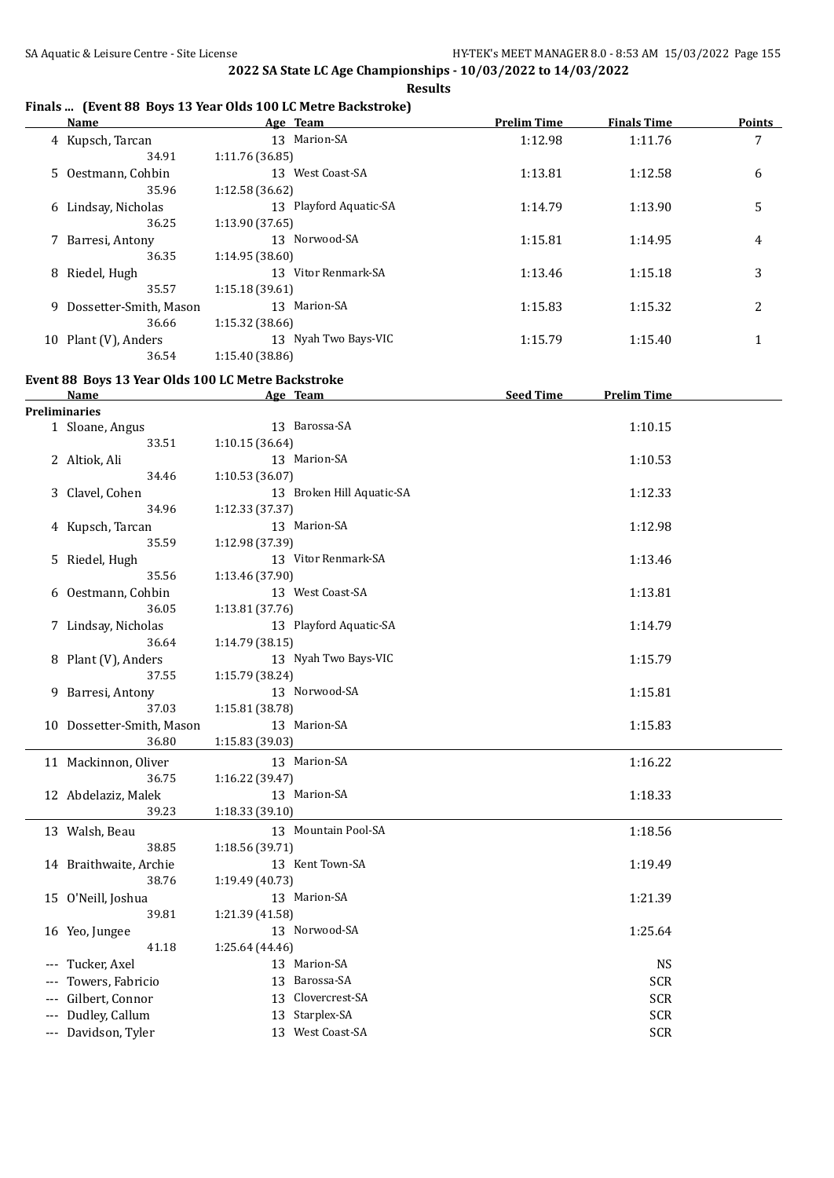## **Finals ... (Event 88 Boys 13 Year Olds 100 LC Metre Backstroke)**

|    | Name                   |                 | Age Team               | <b>Prelim Time</b> | <b>Finals Time</b> | Points |
|----|------------------------|-----------------|------------------------|--------------------|--------------------|--------|
|    | 4 Kupsch, Tarcan       |                 | 13 Marion-SA           | 1:12.98            | 1:11.76            | 7      |
|    | 34.91                  | 1:11.76(36.85)  |                        |                    |                    |        |
|    | 5 Oestmann, Cohbin     |                 | 13 West Coast-SA       | 1:13.81            | 1:12.58            | 6      |
|    | 35.96                  | 1:12.58(36.62)  |                        |                    |                    |        |
|    | 6 Lindsay, Nicholas    |                 | 13 Playford Aquatic-SA | 1:14.79            | 1:13.90            | 5      |
|    | 36.25                  | 1:13.90(37.65)  |                        |                    |                    |        |
|    | 7 Barresi, Antony      |                 | 13 Norwood-SA          | 1:15.81            | 1:14.95            | 4      |
|    | 36.35                  | 1:14.95(38.60)  |                        |                    |                    |        |
| 8  | Riedel, Hugh           |                 | 13 Vitor Renmark-SA    | 1:13.46            | 1:15.18            | 3      |
|    | 35.57                  | 1:15.18(39.61)  |                        |                    |                    |        |
| 9. | Dossetter-Smith, Mason |                 | 13 Marion-SA           | 1:15.83            | 1:15.32            | 2      |
|    | 36.66                  | 1:15.32(38.66)  |                        |                    |                    |        |
| 10 | Plant (V), Anders      |                 | 13 Nyah Two Bays-VIC   | 1:15.79            | 1:15.40            |        |
|    | 36.54                  | 1:15.40 (38.86) |                        |                    |                    |        |

### **Event 88 Boys 13 Year Olds 100 LC Metre Backstroke**

| <b>Preliminaries</b><br>13 Barossa-SA<br>1:10.15<br>1 Sloane, Angus<br>33.51<br>1:10.15(36.64)<br>13 Marion-SA<br>2 Altiok, Ali<br>1:10.53<br>34.46<br>1:10.53 (36.07)<br>13 Broken Hill Aquatic-SA<br>1:12.33<br>3 Clavel, Cohen<br>34.96<br>1:12.33 (37.37)<br>13 Marion-SA<br>1:12.98<br>4 Kupsch, Tarcan<br>35.59<br>1:12.98 (37.39)<br>13 Vitor Renmark-SA<br>1:13.46<br>5 Riedel, Hugh<br>35.56<br>1:13.46 (37.90)<br>13 West Coast-SA<br>6 Oestmann, Cohbin<br>1:13.81<br>36.05<br>1:13.81 (37.76)<br>13 Playford Aquatic-SA<br>7 Lindsay, Nicholas<br>1:14.79<br>36.64<br>1:14.79 (38.15)<br>13 Nyah Two Bays-VIC<br>8 Plant (V), Anders<br>1:15.79<br>37.55<br>1:15.79 (38.24)<br>13 Norwood-SA<br>9 Barresi, Antony<br>1:15.81<br>37.03<br>1:15.81 (38.78)<br>13 Marion-SA<br>1:15.83<br>10 Dossetter-Smith, Mason |
|------------------------------------------------------------------------------------------------------------------------------------------------------------------------------------------------------------------------------------------------------------------------------------------------------------------------------------------------------------------------------------------------------------------------------------------------------------------------------------------------------------------------------------------------------------------------------------------------------------------------------------------------------------------------------------------------------------------------------------------------------------------------------------------------------------------------------|
|                                                                                                                                                                                                                                                                                                                                                                                                                                                                                                                                                                                                                                                                                                                                                                                                                              |
|                                                                                                                                                                                                                                                                                                                                                                                                                                                                                                                                                                                                                                                                                                                                                                                                                              |
|                                                                                                                                                                                                                                                                                                                                                                                                                                                                                                                                                                                                                                                                                                                                                                                                                              |
|                                                                                                                                                                                                                                                                                                                                                                                                                                                                                                                                                                                                                                                                                                                                                                                                                              |
|                                                                                                                                                                                                                                                                                                                                                                                                                                                                                                                                                                                                                                                                                                                                                                                                                              |
|                                                                                                                                                                                                                                                                                                                                                                                                                                                                                                                                                                                                                                                                                                                                                                                                                              |
|                                                                                                                                                                                                                                                                                                                                                                                                                                                                                                                                                                                                                                                                                                                                                                                                                              |
|                                                                                                                                                                                                                                                                                                                                                                                                                                                                                                                                                                                                                                                                                                                                                                                                                              |
|                                                                                                                                                                                                                                                                                                                                                                                                                                                                                                                                                                                                                                                                                                                                                                                                                              |
|                                                                                                                                                                                                                                                                                                                                                                                                                                                                                                                                                                                                                                                                                                                                                                                                                              |
|                                                                                                                                                                                                                                                                                                                                                                                                                                                                                                                                                                                                                                                                                                                                                                                                                              |
|                                                                                                                                                                                                                                                                                                                                                                                                                                                                                                                                                                                                                                                                                                                                                                                                                              |
|                                                                                                                                                                                                                                                                                                                                                                                                                                                                                                                                                                                                                                                                                                                                                                                                                              |
|                                                                                                                                                                                                                                                                                                                                                                                                                                                                                                                                                                                                                                                                                                                                                                                                                              |
|                                                                                                                                                                                                                                                                                                                                                                                                                                                                                                                                                                                                                                                                                                                                                                                                                              |
|                                                                                                                                                                                                                                                                                                                                                                                                                                                                                                                                                                                                                                                                                                                                                                                                                              |
|                                                                                                                                                                                                                                                                                                                                                                                                                                                                                                                                                                                                                                                                                                                                                                                                                              |
|                                                                                                                                                                                                                                                                                                                                                                                                                                                                                                                                                                                                                                                                                                                                                                                                                              |
|                                                                                                                                                                                                                                                                                                                                                                                                                                                                                                                                                                                                                                                                                                                                                                                                                              |
|                                                                                                                                                                                                                                                                                                                                                                                                                                                                                                                                                                                                                                                                                                                                                                                                                              |
| 36.80<br>1:15.83 (39.03)                                                                                                                                                                                                                                                                                                                                                                                                                                                                                                                                                                                                                                                                                                                                                                                                     |
| 13 Marion-SA<br>11 Mackinnon, Oliver<br>1:16.22                                                                                                                                                                                                                                                                                                                                                                                                                                                                                                                                                                                                                                                                                                                                                                              |
| 36.75<br>1:16.22 (39.47)                                                                                                                                                                                                                                                                                                                                                                                                                                                                                                                                                                                                                                                                                                                                                                                                     |
| 13 Marion-SA<br>12 Abdelaziz, Malek<br>1:18.33                                                                                                                                                                                                                                                                                                                                                                                                                                                                                                                                                                                                                                                                                                                                                                               |
| 39.23<br>1:18.33 (39.10)                                                                                                                                                                                                                                                                                                                                                                                                                                                                                                                                                                                                                                                                                                                                                                                                     |
| 13 Mountain Pool-SA<br>13 Walsh, Beau<br>1:18.56                                                                                                                                                                                                                                                                                                                                                                                                                                                                                                                                                                                                                                                                                                                                                                             |
| 38.85<br>1:18.56 (39.71)                                                                                                                                                                                                                                                                                                                                                                                                                                                                                                                                                                                                                                                                                                                                                                                                     |
| 13 Kent Town-SA<br>14 Braithwaite, Archie<br>1:19.49                                                                                                                                                                                                                                                                                                                                                                                                                                                                                                                                                                                                                                                                                                                                                                         |
| 38.76<br>1:19.49 (40.73)                                                                                                                                                                                                                                                                                                                                                                                                                                                                                                                                                                                                                                                                                                                                                                                                     |
| 13 Marion-SA<br>15 O'Neill, Joshua<br>1:21.39                                                                                                                                                                                                                                                                                                                                                                                                                                                                                                                                                                                                                                                                                                                                                                                |
| 39.81<br>1:21.39 (41.58)                                                                                                                                                                                                                                                                                                                                                                                                                                                                                                                                                                                                                                                                                                                                                                                                     |
| 13 Norwood-SA<br>1:25.64<br>16 Yeo, Jungee                                                                                                                                                                                                                                                                                                                                                                                                                                                                                                                                                                                                                                                                                                                                                                                   |
| 41.18<br>1:25.64 (44.46)                                                                                                                                                                                                                                                                                                                                                                                                                                                                                                                                                                                                                                                                                                                                                                                                     |
| 13 Marion-SA<br>--- Tucker, Axel<br><b>NS</b>                                                                                                                                                                                                                                                                                                                                                                                                                                                                                                                                                                                                                                                                                                                                                                                |
| Towers, Fabricio<br>13 Barossa-SA<br><b>SCR</b>                                                                                                                                                                                                                                                                                                                                                                                                                                                                                                                                                                                                                                                                                                                                                                              |
| 13 Clovercrest-SA<br>--- Gilbert, Connor<br><b>SCR</b>                                                                                                                                                                                                                                                                                                                                                                                                                                                                                                                                                                                                                                                                                                                                                                       |
| --- Dudley, Callum<br>13 Starplex-SA<br><b>SCR</b>                                                                                                                                                                                                                                                                                                                                                                                                                                                                                                                                                                                                                                                                                                                                                                           |
| 13 West Coast-SA<br>--- Davidson, Tyler<br><b>SCR</b>                                                                                                                                                                                                                                                                                                                                                                                                                                                                                                                                                                                                                                                                                                                                                                        |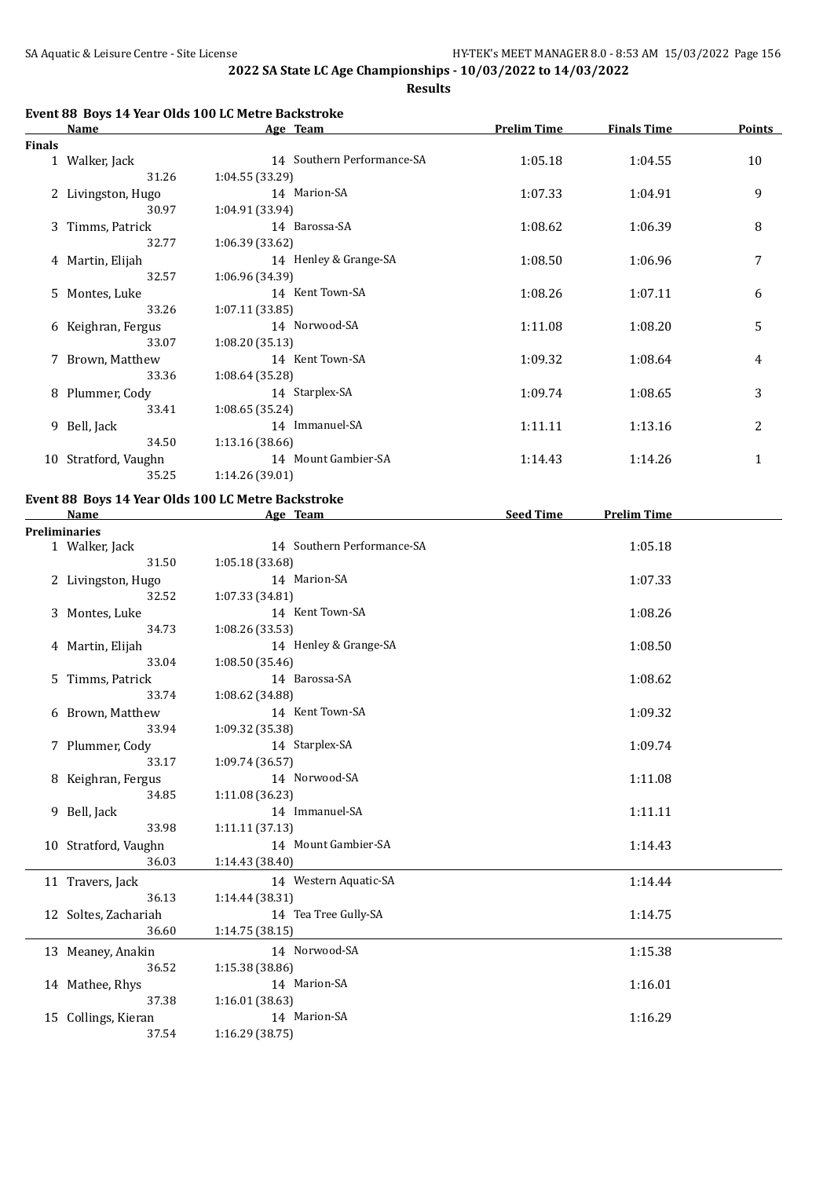**Results**

### **Event 88 Boys 14 Year Olds 100 LC Metre Backstroke**

|        | <b>Name</b>          | Age Team                   | <b>Prelim Time</b> | <b>Finals Time</b> | <b>Points</b> |
|--------|----------------------|----------------------------|--------------------|--------------------|---------------|
| Finals |                      |                            |                    |                    |               |
|        | 1 Walker, Jack       | 14 Southern Performance-SA | 1:05.18            | 1:04.55            | 10            |
|        | 31.26                | 1:04.55(33.29)             |                    |                    |               |
|        | 2 Livingston, Hugo   | 14 Marion-SA               | 1:07.33            | 1:04.91            | 9             |
|        | 30.97                | 1:04.91(33.94)             |                    |                    |               |
|        | 3 Timms, Patrick     | 14 Barossa-SA              | 1:08.62            | 1:06.39            | 8             |
|        | 32.77                | 1:06.39(33.62)             |                    |                    |               |
|        | 4 Martin, Elijah     | 14 Henley & Grange-SA      | 1:08.50            | 1:06.96            | 7             |
|        | 32.57                | 1:06.96 (34.39)            |                    |                    |               |
|        | 5 Montes, Luke       | 14 Kent Town-SA            | 1:08.26            | 1:07.11            | 6             |
|        | 33.26                | 1:07.11(33.85)             |                    |                    |               |
|        | 6 Keighran, Fergus   | 14 Norwood-SA              | 1:11.08            | 1:08.20            | 5             |
|        | 33.07                | 1:08.20(35.13)             |                    |                    |               |
|        | 7 Brown, Matthew     | 14 Kent Town-SA            | 1:09.32            | 1:08.64            | 4             |
|        | 33.36                | 1:08.64(35.28)             |                    |                    |               |
|        | 8 Plummer, Cody      | 14 Starplex-SA             | 1:09.74            | 1:08.65            | 3             |
|        | 33.41                | 1:08.65(35.24)             |                    |                    |               |
|        | 9 Bell, Jack         | 14 Immanuel-SA             | 1:11.11            | 1:13.16            | 2             |
|        | 34.50                | 1:13.16(38.66)             |                    |                    |               |
|        | 10 Stratford, Vaughn | 14 Mount Gambier-SA        | 1:14.43            | 1:14.26            | 1             |
|        | 35.25                | 1:14.26 (39.01)            |                    |                    |               |

### **Event 88 Boys 14 Year Olds 100 LC Metre Backstroke**

| <b>Name</b>          | Age Team                   | <b>Seed Time</b><br><b>Prelim Time</b> |
|----------------------|----------------------------|----------------------------------------|
| <b>Preliminaries</b> |                            |                                        |
| 1 Walker, Jack       | 14 Southern Performance-SA | 1:05.18                                |
| 31.50                | 1:05.18 (33.68)            |                                        |
| 2 Livingston, Hugo   | 14 Marion-SA               | 1:07.33                                |
| 32.52                | 1:07.33(34.81)             |                                        |
| 3 Montes, Luke       | 14 Kent Town-SA            | 1:08.26                                |
| 34.73                | 1:08.26 (33.53)            |                                        |
| 4 Martin, Elijah     | 14 Henley & Grange-SA      | 1:08.50                                |
| 33.04                | 1:08.50(35.46)             |                                        |
| 5 Timms, Patrick     | 14 Barossa-SA              | 1:08.62                                |
| 33.74                | 1:08.62 (34.88)            |                                        |
| 6 Brown, Matthew     | 14 Kent Town-SA            | 1:09.32                                |
| 33.94                | 1:09.32 (35.38)            |                                        |
| 7 Plummer, Cody      | 14 Starplex-SA             | 1:09.74                                |
| 33.17                | 1:09.74 (36.57)            |                                        |
| 8 Keighran, Fergus   | 14 Norwood-SA              | 1:11.08                                |
| 34.85                | 1:11.08(36.23)             |                                        |
| 9 Bell, Jack         | 14 Immanuel-SA             | 1:11.11                                |
| 33.98                | 1:11.11(37.13)             |                                        |
| 10 Stratford, Vaughn | 14 Mount Gambier-SA        | 1:14.43                                |
| 36.03                | 1:14.43 (38.40)            |                                        |
| 11 Travers, Jack     | 14 Western Aquatic-SA      | 1:14.44                                |
| 36.13                | 1:14.44 (38.31)            |                                        |
| 12 Soltes, Zachariah | 14 Tea Tree Gully-SA       | 1:14.75                                |
| 36.60                | 1:14.75 (38.15)            |                                        |
| 13 Meaney, Anakin    | 14 Norwood-SA              | 1:15.38                                |
| 36.52                | 1:15.38(38.86)             |                                        |
| 14 Mathee, Rhys      | 14 Marion-SA               | 1:16.01                                |
| 37.38                | 1:16.01(38.63)             |                                        |
| 15 Collings, Kieran  | 14 Marion-SA               | 1:16.29                                |
| 37.54                | 1:16.29(38.75)             |                                        |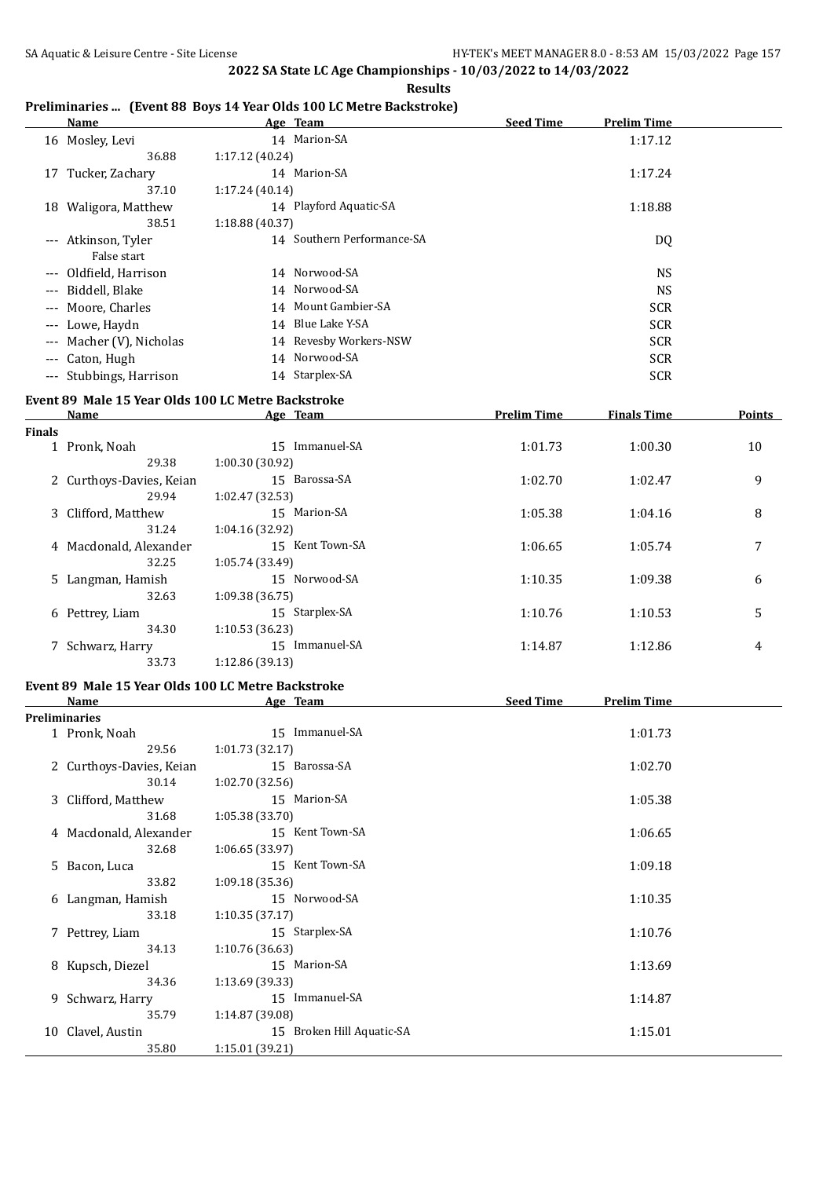**Results**

### **Preliminaries ... (Event 88 Boys 14 Year Olds 100 LC Metre Backstroke)**

|                                          | Name                    |                 | Age Team                   | <b>Seed Time</b> | <b>Prelim Time</b> |  |
|------------------------------------------|-------------------------|-----------------|----------------------------|------------------|--------------------|--|
|                                          | 16 Mosley, Levi         |                 | 14 Marion-SA               |                  | 1:17.12            |  |
|                                          | 36.88                   | 1:17.12 (40.24) |                            |                  |                    |  |
| 17                                       | Tucker, Zachary         |                 | 14 Marion-SA               |                  | 1:17.24            |  |
|                                          | 37.10                   | 1:17.24(40.14)  |                            |                  |                    |  |
|                                          | 18 Waligora, Matthew    |                 | 14 Playford Aquatic-SA     |                  | 1:18.88            |  |
|                                          | 38.51                   | 1:18.88(40.37)  |                            |                  |                    |  |
| $\qquad \qquad - -$                      | Atkinson, Tyler         |                 | 14 Southern Performance-SA |                  | DQ                 |  |
|                                          | False start             |                 |                            |                  |                    |  |
| $---$                                    | Oldfield, Harrison      |                 | 14 Norwood-SA              |                  | <b>NS</b>          |  |
| $---$                                    | Biddell, Blake          |                 | 14 Norwood-SA              |                  | NS.                |  |
| $---$                                    | Moore, Charles          |                 | 14 Mount Gambier-SA        |                  | <b>SCR</b>         |  |
| $\qquad \qquad - -$                      | Lowe, Haydn             |                 | 14 Blue Lake Y-SA          |                  | <b>SCR</b>         |  |
| $\hspace{0.05cm} \ldots \hspace{0.05cm}$ | Macher (V), Nicholas    |                 | 14 Revesby Workers-NSW     |                  | <b>SCR</b>         |  |
| $---$                                    | Caton, Hugh             |                 | 14 Norwood-SA              |                  | <b>SCR</b>         |  |
|                                          | --- Stubbings, Harrison |                 | 14 Starplex-SA             |                  | <b>SCR</b>         |  |

# **Event 89 Male 15 Year Olds 100 LC Metre Backstroke**

|               | Name                     | Age Team              | <b>Prelim Time</b> | <b>Finals Time</b> | <b>Points</b> |
|---------------|--------------------------|-----------------------|--------------------|--------------------|---------------|
| <b>Finals</b> |                          |                       |                    |                    |               |
|               | 1 Pronk, Noah            | Immanuel-SA<br>$15 -$ | 1:01.73            | 1:00.30            | 10            |
|               | 29.38                    | 1:00.30(30.92)        |                    |                    |               |
|               | 2 Curthoys-Davies, Keian | 15 Barossa-SA         | 1:02.70            | 1:02.47            | 9             |
|               | 29.94                    | 1:02.47(32.53)        |                    |                    |               |
|               | 3 Clifford, Matthew      | 15 Marion-SA          | 1:05.38            | 1:04.16            | 8             |
|               | 31.24                    | 1:04.16(32.92)        |                    |                    |               |
|               | 4 Macdonald, Alexander   | 15 Kent Town-SA       | 1:06.65            | 1:05.74            | 7             |
|               | 32.25                    | 1:05.74(33.49)        |                    |                    |               |
|               | 5 Langman, Hamish        | 15 Norwood-SA         | 1:10.35            | 1:09.38            | 6             |
|               | 32.63                    | 1:09.38 (36.75)       |                    |                    |               |
|               | 6 Pettrey, Liam          | 15 Starplex-SA        | 1:10.76            | 1:10.53            | 5             |
|               | 34.30                    | 1:10.53(36.23)        |                    |                    |               |
|               | 7 Schwarz, Harry         | Immanuel-SA<br>15     | 1:14.87            | 1:12.86            | 4             |
|               | 33.73                    | 1:12.86(39.13)        |                    |                    |               |

# **Event 89 Male 15 Year Olds 100 LC Metre Backstroke**

|    | <b>Name</b>              | Age Team                  | <b>Seed Time</b><br><b>Prelim Time</b> |
|----|--------------------------|---------------------------|----------------------------------------|
|    | <b>Preliminaries</b>     |                           |                                        |
|    | 1 Pronk, Noah            | 15 Immanuel-SA            | 1:01.73                                |
|    | 29.56                    | 1:01.73 (32.17)           |                                        |
|    | 2 Curthoys-Davies, Keian | 15 Barossa-SA             | 1:02.70                                |
|    | 30.14                    | 1:02.70(32.56)            |                                        |
|    | 3 Clifford, Matthew      | 15 Marion-SA              | 1:05.38                                |
|    | 31.68                    | 1:05.38 (33.70)           |                                        |
|    | 4 Macdonald, Alexander   | 15 Kent Town-SA           | 1:06.65                                |
|    | 32.68                    | 1:06.65(33.97)            |                                        |
|    | 5 Bacon, Luca            | 15 Kent Town-SA           | 1:09.18                                |
|    | 33.82                    | 1:09.18(35.36)            |                                        |
|    | 6 Langman, Hamish        | 15 Norwood-SA             | 1:10.35                                |
|    | 33.18                    | 1:10.35(37.17)            |                                        |
|    | 7 Pettrey, Liam          | 15 Starplex-SA            | 1:10.76                                |
|    | 34.13                    | 1:10.76(36.63)            |                                        |
|    | 8 Kupsch, Diezel         | 15 Marion-SA              | 1:13.69                                |
|    | 34.36                    | 1:13.69(39.33)            |                                        |
|    | 9 Schwarz, Harry         | 15 Immanuel-SA            | 1:14.87                                |
|    | 35.79                    | 1:14.87 (39.08)           |                                        |
| 10 | Clavel, Austin           | 15 Broken Hill Aquatic-SA | 1:15.01                                |
|    | 35.80                    | 1:15.01 (39.21)           |                                        |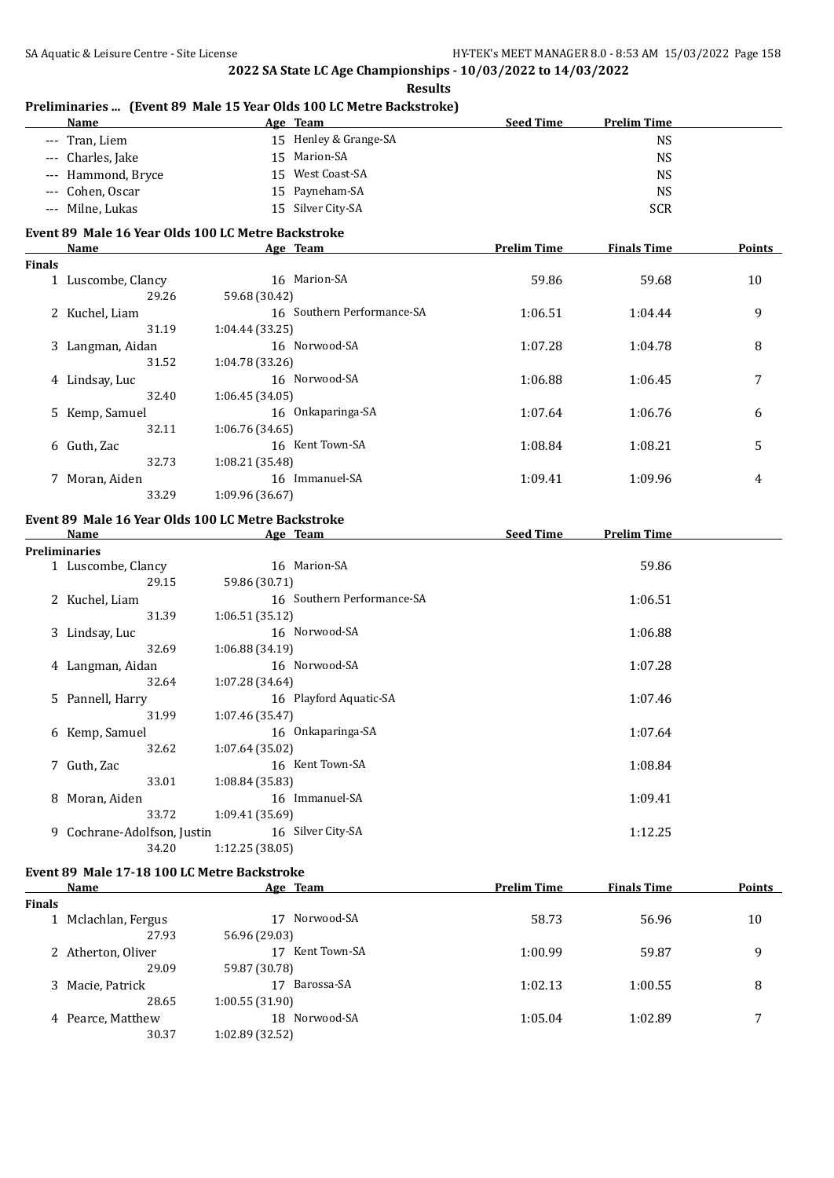**Results**

|               | --- Tran, Liem                                             |                 | 15 Henley & Grange-SA      |                    | <b>NS</b>          |        |
|---------------|------------------------------------------------------------|-----------------|----------------------------|--------------------|--------------------|--------|
|               | --- Charles, Jake                                          |                 | 15 Marion-SA               |                    | <b>NS</b>          |        |
|               | --- Hammond, Bryce                                         |                 | 15 West Coast-SA           |                    | <b>NS</b>          |        |
|               | --- Cohen, Oscar                                           |                 | 15 Payneham-SA             |                    | <b>NS</b>          |        |
|               | --- Milne, Lukas                                           |                 | 15 Silver City-SA          |                    | <b>SCR</b>         |        |
|               |                                                            |                 |                            |                    |                    |        |
|               | Event 89 Male 16 Year Olds 100 LC Metre Backstroke<br>Name |                 |                            | <b>Prelim Time</b> | <b>Finals Time</b> | Points |
| <b>Finals</b> |                                                            |                 | Age Team                   |                    |                    |        |
|               |                                                            |                 | 16 Marion-SA               | 59.86              | 59.68              | 10     |
|               | 1 Luscombe, Clancy<br>29.26                                |                 |                            |                    |                    |        |
|               |                                                            | 59.68 (30.42)   | 16 Southern Performance-SA |                    |                    |        |
|               | 2 Kuchel, Liam                                             |                 |                            | 1:06.51            | 1:04.44            | 9      |
|               | 31.19                                                      | 1:04.44 (33.25) |                            |                    |                    |        |
|               | 3 Langman, Aidan                                           |                 | 16 Norwood-SA              | 1:07.28            | 1:04.78            | 8      |
|               | 31.52                                                      | 1:04.78 (33.26) |                            |                    |                    |        |
|               | 4 Lindsay, Luc                                             |                 | 16 Norwood-SA              | 1:06.88            | 1:06.45            | 7      |
|               | 32.40                                                      | 1:06.45 (34.05) |                            |                    |                    |        |
|               | 5 Kemp, Samuel                                             |                 | 16 Onkaparinga-SA          | 1:07.64            | 1:06.76            | 6      |
|               | 32.11                                                      | 1:06.76 (34.65) |                            |                    |                    |        |
|               | 6 Guth, Zac                                                |                 | 16 Kent Town-SA            | 1:08.84            | 1:08.21            | 5      |
|               | 32.73                                                      | 1:08.21 (35.48) |                            |                    |                    |        |
|               | 7 Moran, Aiden                                             |                 | 16 Immanuel-SA             | 1:09.41            | 1:09.96            | 4      |
|               | 33.29                                                      | 1:09.96 (36.67) |                            |                    |                    |        |
|               | Event 89 Male 16 Year Olds 100 LC Metre Backstroke         |                 |                            |                    |                    |        |
|               | <b>Name</b>                                                |                 | Age Team                   | Seed Time          | <b>Prelim Time</b> |        |
|               | <b>Preliminaries</b>                                       |                 |                            |                    |                    |        |
|               | 1 Luscombe, Clancy                                         |                 | 16 Marion-SA               |                    | 59.86              |        |
|               | 29.15                                                      | 59.86 (30.71)   |                            |                    |                    |        |
|               | 2 Kuchel, Liam                                             |                 | 16 Southern Performance-SA |                    | 1:06.51            |        |
|               | 31.39                                                      | 1:06.51 (35.12) |                            |                    |                    |        |
|               | 3 Lindsay, Luc                                             |                 | 16 Norwood-SA              |                    | 1:06.88            |        |
|               | 32.69                                                      | 1:06.88 (34.19) |                            |                    |                    |        |
|               | 4 Langman, Aidan                                           |                 | 16 Norwood-SA              |                    | 1:07.28            |        |
|               | 32.64                                                      | 1:07.28 (34.64) |                            |                    |                    |        |
|               | 5 Pannell, Harry                                           |                 | 16 Playford Aquatic-SA     |                    | 1:07.46            |        |
|               | 31.99                                                      | 1:07.46 (35.47) |                            |                    |                    |        |
|               | 6 Kemp, Samuel                                             |                 | 16 Onkaparinga-SA          |                    | 1:07.64            |        |
|               | 32.62                                                      | 1:07.64 (35.02) |                            |                    |                    |        |
|               | 7 Guth, Zac                                                |                 | 16 Kent Town-SA            |                    | 1:08.84            |        |
|               | 33.01                                                      | 1:08.84 (35.83) |                            |                    |                    |        |
|               | 8 Moran, Aiden                                             |                 | 16 Immanuel-SA             |                    | 1:09.41            |        |
|               | 33.72                                                      | 1:09.41 (35.69) |                            |                    |                    |        |
|               | 9 Cochrane-Adolfson, Justin                                |                 | 16 Silver City-SA          |                    | 1:12.25            |        |
|               | 34.20                                                      | 1:12.25 (38.05) |                            |                    |                    |        |
|               |                                                            |                 |                            |                    |                    |        |
|               | Event 89 Male 17-18 100 LC Metre Backstroke                |                 |                            |                    |                    |        |
|               | Name                                                       |                 | Age Team                   | <b>Prelim Time</b> | <b>Finals Time</b> | Points |
| <b>Finals</b> |                                                            |                 |                            |                    |                    |        |
|               | 1 Mclachlan, Fergus                                        |                 | 17 Norwood-SA              | 58.73              | 56.96              | 10     |
|               | 27.93                                                      | 56.96 (29.03)   |                            |                    |                    |        |
|               | 2 Atherton, Oliver                                         |                 | 17 Kent Town-SA            | 1:00.99            | 59.87              | 9      |
|               | 29.09                                                      | 59.87 (30.78)   |                            |                    |                    |        |
|               | 3 Macie, Patrick                                           |                 | 17 Barossa-SA              | 1:02.13            | 1:00.55            | 8      |
|               | 28.65                                                      | 1:00.55(31.90)  |                            |                    |                    |        |
|               | 4 Pearce, Matthew                                          |                 | 18 Norwood-SA              | 1:05.04            | 1:02.89            | 7      |
|               | 30.37                                                      | 1:02.89 (32.52) |                            |                    |                    |        |

### **Preliminaries ... (Event 89 Male 15 Year Olds 100 LC Metre Backstroke) Age Team Seed Time Prelim Time**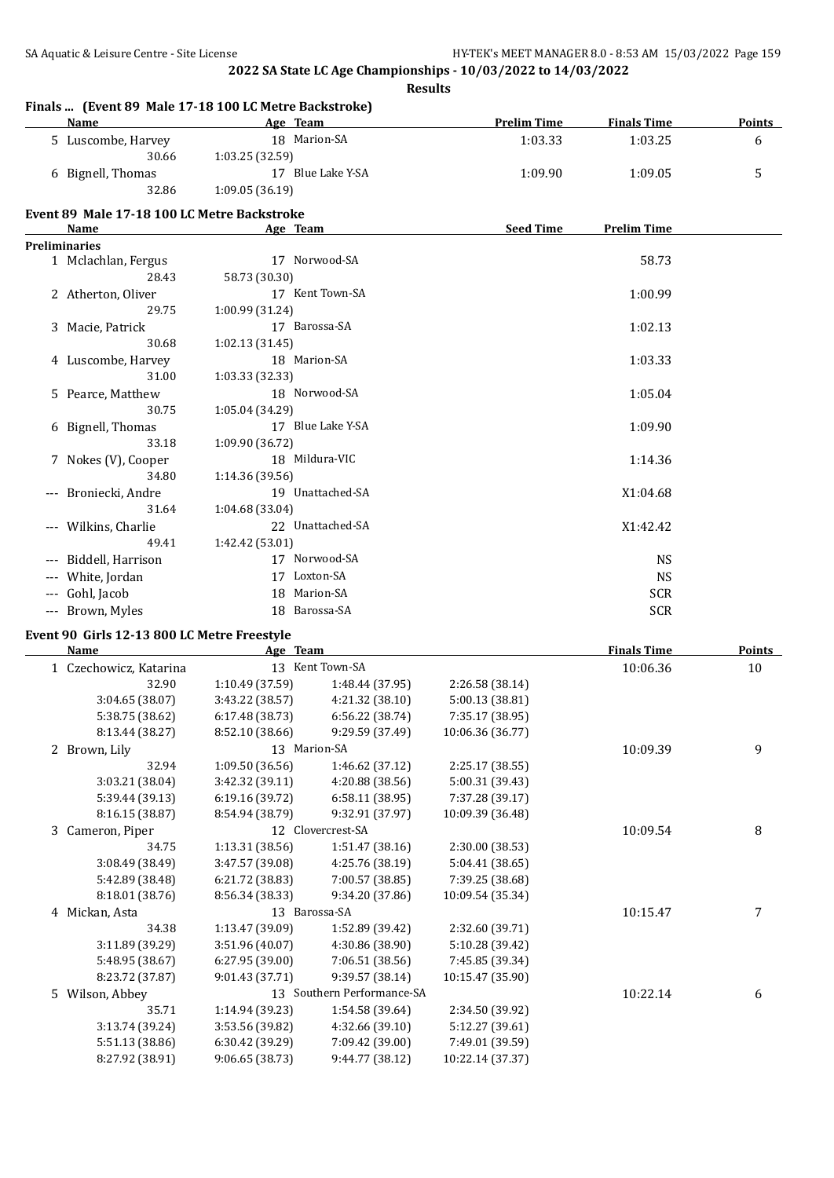**Finals ... (Event 89 Male 17-18 100 LC Metre Backstroke)**

**2022 SA State LC Age Championships - 10/03/2022 to 14/03/2022**

**Results**

| Name                                                       |                 | Age Team                   | <b>Prelim Time</b> | <b>Finals Time</b> | <b>Points</b> |
|------------------------------------------------------------|-----------------|----------------------------|--------------------|--------------------|---------------|
| 5 Luscombe, Harvey<br>30.66                                | 1:03.25 (32.59) | 18 Marion-SA               | 1:03.33            | 1:03.25            | 6             |
| 6 Bignell, Thomas                                          |                 | 17 Blue Lake Y-SA          | 1:09.90            | 1:09.05            | 5             |
| 32.86                                                      | 1:09.05 (36.19) |                            |                    |                    |               |
| Event 89 Male 17-18 100 LC Metre Backstroke<br><b>Name</b> |                 | Age Team                   | <b>Seed Time</b>   | <b>Prelim Time</b> |               |
| <b>Preliminaries</b>                                       |                 |                            |                    |                    |               |
| 1 Mclachlan, Fergus                                        |                 | 17 Norwood-SA              |                    | 58.73              |               |
| 28.43                                                      | 58.73 (30.30)   |                            |                    |                    |               |
| 2 Atherton, Oliver<br>29.75                                | 1:00.99 (31.24) | 17 Kent Town-SA            |                    | 1:00.99            |               |
| 3 Macie, Patrick                                           |                 | 17 Barossa-SA              |                    | 1:02.13            |               |
| 30.68                                                      | 1:02.13 (31.45) |                            |                    |                    |               |
| 4 Luscombe, Harvey                                         |                 | 18 Marion-SA               |                    | 1:03.33            |               |
| 31.00                                                      | 1:03.33 (32.33) |                            |                    |                    |               |
| 5 Pearce, Matthew                                          |                 | 18 Norwood-SA              |                    | 1:05.04            |               |
| 30.75                                                      | 1:05.04 (34.29) |                            |                    |                    |               |
| 6 Bignell, Thomas                                          |                 | 17 Blue Lake Y-SA          |                    | 1:09.90            |               |
| 33.18                                                      | 1:09.90 (36.72) |                            |                    |                    |               |
| 7 Nokes (V), Cooper                                        |                 | 18 Mildura-VIC             |                    | 1:14.36            |               |
| 34.80                                                      | 1:14.36 (39.56) |                            |                    |                    |               |
| --- Broniecki, Andre                                       |                 | 19 Unattached-SA           |                    | X1:04.68           |               |
| 31.64                                                      | 1:04.68 (33.04) |                            |                    |                    |               |
| --- Wilkins, Charlie                                       |                 | 22 Unattached-SA           |                    | X1:42.42           |               |
| 49.41                                                      | 1:42.42 (53.01) |                            |                    |                    |               |
|                                                            |                 | 17 Norwood-SA              |                    |                    |               |
| --- Biddell, Harrison                                      |                 |                            |                    | <b>NS</b>          |               |
| --- White, Jordan                                          |                 | 17 Loxton-SA               |                    | <b>NS</b>          |               |
| --- Gohl, Jacob                                            |                 | 18 Marion-SA               |                    | <b>SCR</b>         |               |
| --- Brown, Myles                                           |                 | 18 Barossa-SA              |                    | <b>SCR</b>         |               |
| Event 90 Girls 12-13 800 LC Metre Freestyle                |                 |                            |                    |                    |               |
| Name                                                       |                 | Age Team                   |                    | <b>Finals Time</b> | <b>Points</b> |
| 1 Czechowicz, Katarina                                     |                 | 13 Kent Town-SA            |                    | 10:06.36           | 10            |
| 32.90                                                      | 1:10.49 (37.59) | 1:48.44 (37.95)            | 2:26.58 (38.14)    |                    |               |
| 3:04.65 (38.07)                                            | 3:43.22 (38.57) | 4:21.32(38.10)             | 5:00.13 (38.81)    |                    |               |
| 5:38.75 (38.62)                                            | 6:17.48 (38.73) | 6:56.22 (38.74)            | 7:35.17 (38.95)    |                    |               |
| 8:13.44 (38.27)                                            | 8:52.10 (38.66) | 9:29.59 (37.49)            | 10:06.36 (36.77)   |                    |               |
| 2 Brown, Lily                                              |                 | 13 Marion-SA               |                    | 10:09.39           | 9             |
| 32.94                                                      | 1:09.50 (36.56) | 1:46.62 (37.12)            | 2:25.17 (38.55)    |                    |               |
| 3:03.21 (38.04)                                            | 3:42.32 (39.11) | 4:20.88 (38.56)            | 5:00.31 (39.43)    |                    |               |
| 5:39.44 (39.13)                                            | 6:19.16 (39.72) | 6:58.11 (38.95)            | 7:37.28 (39.17)    |                    |               |
| 8:16.15 (38.87)                                            | 8:54.94 (38.79) | 9:32.91 (37.97)            | 10:09.39 (36.48)   |                    |               |
| 3 Cameron, Piper                                           |                 | 12 Clovercrest-SA          |                    | 10:09.54           | 8             |
| 34.75                                                      | 1:13.31 (38.56) | 1:51.47 (38.16)            | 2:30.00 (38.53)    |                    |               |
| 3:08.49 (38.49)                                            | 3:47.57 (39.08) | 4:25.76 (38.19)            | 5:04.41 (38.65)    |                    |               |
| 5:42.89 (38.48)                                            | 6:21.72 (38.83) | 7:00.57 (38.85)            | 7:39.25 (38.68)    |                    |               |
| 8:18.01 (38.76)                                            | 8:56.34 (38.33) | 9:34.20 (37.86)            | 10:09.54 (35.34)   |                    |               |
| 4 Mickan, Asta                                             |                 | 13 Barossa-SA              |                    | 10:15.47           | 7             |
| 34.38                                                      | 1:13.47 (39.09) | 1:52.89 (39.42)            | 2:32.60 (39.71)    |                    |               |
| 3:11.89 (39.29)                                            | 3:51.96 (40.07) | 4:30.86 (38.90)            | 5:10.28 (39.42)    |                    |               |
| 5:48.95 (38.67)                                            | 6:27.95 (39.00) | 7:06.51 (38.56)            | 7:45.85 (39.34)    |                    |               |
| 8:23.72 (37.87)                                            | 9:01.43 (37.71) | 9:39.57 (38.14)            | 10:15.47 (35.90)   |                    |               |
| 5 Wilson, Abbey                                            |                 | 13 Southern Performance-SA |                    | 10:22.14           | 6             |
| 35.71                                                      | 1:14.94 (39.23) | 1:54.58 (39.64)            | 2:34.50 (39.92)    |                    |               |
| 3:13.74 (39.24)                                            | 3:53.56 (39.82) | 4:32.66 (39.10)            | 5:12.27 (39.61)    |                    |               |
| 5:51.13 (38.86)                                            | 6:30.42 (39.29) | 7:09.42 (39.00)            | 7:49.01 (39.59)    |                    |               |
| 8:27.92 (38.91)                                            | 9:06.65 (38.73) | 9:44.77 (38.12)            | 10:22.14 (37.37)   |                    |               |
|                                                            |                 |                            |                    |                    |               |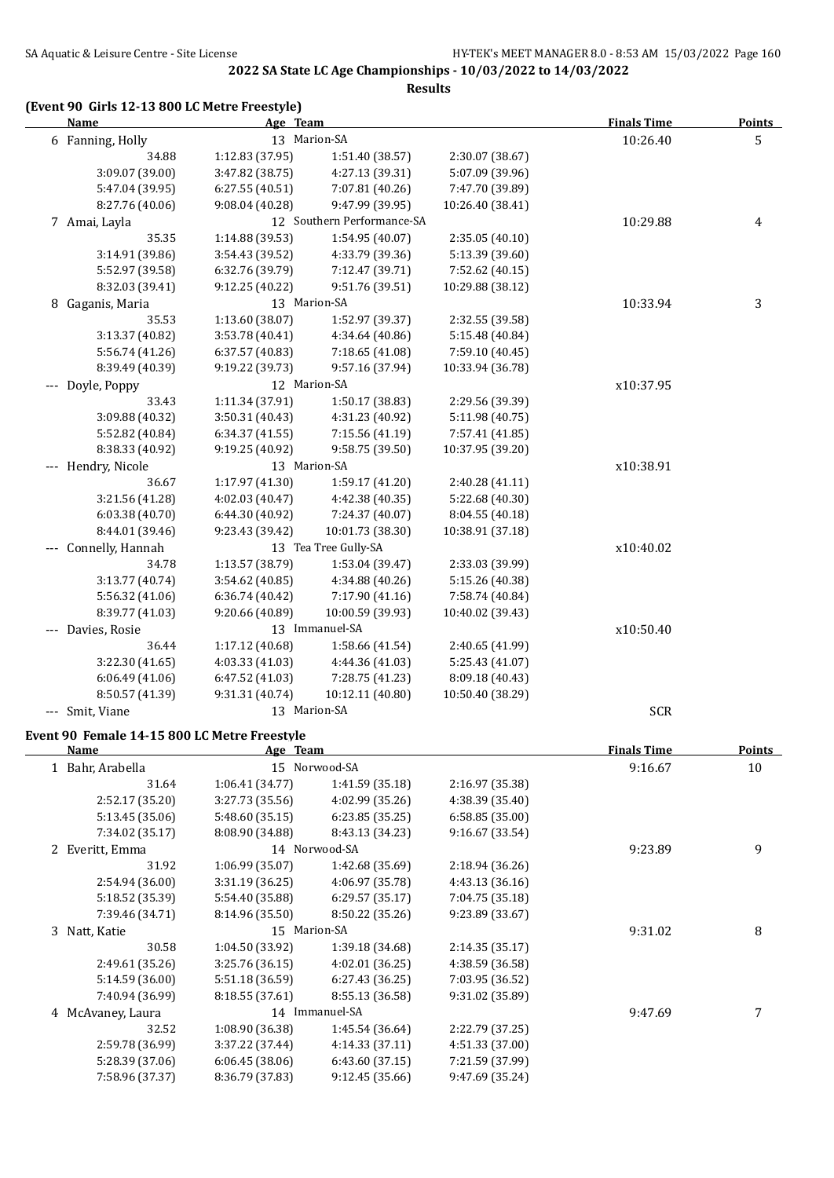**Results**

### **(Event 90 Girls 12-13 800 LC Metre Freestyle)**

| <b>Name</b>        | Age Team        |                            |                  | <b>Finals Time</b> | <b>Points</b>  |
|--------------------|-----------------|----------------------------|------------------|--------------------|----------------|
| 6 Fanning, Holly   |                 | 13 Marion-SA               |                  | 10:26.40           | 5              |
| 34.88              | 1:12.83 (37.95) | 1:51.40 (38.57)            | 2:30.07 (38.67)  |                    |                |
| 3:09.07 (39.00)    | 3:47.82 (38.75) | 4:27.13 (39.31)            | 5:07.09 (39.96)  |                    |                |
| 5:47.04 (39.95)    | 6:27.55(40.51)  | 7:07.81 (40.26)            | 7:47.70 (39.89)  |                    |                |
| 8:27.76 (40.06)    | 9:08.04 (40.28) | 9:47.99 (39.95)            | 10:26.40 (38.41) |                    |                |
| 7 Amai, Layla      |                 | 12 Southern Performance-SA |                  | 10:29.88           | $\overline{4}$ |
| 35.35              | 1:14.88 (39.53) | 1:54.95 (40.07)            | 2:35.05 (40.10)  |                    |                |
| 3:14.91 (39.86)    | 3:54.43 (39.52) | 4:33.79 (39.36)            | 5:13.39 (39.60)  |                    |                |
| 5:52.97 (39.58)    | 6:32.76 (39.79) | 7:12.47 (39.71)            | 7:52.62 (40.15)  |                    |                |
| 8:32.03 (39.41)    | 9:12.25 (40.22) | 9:51.76 (39.51)            | 10:29.88 (38.12) |                    |                |
| 8 Gaganis, Maria   |                 | 13 Marion-SA               |                  | 10:33.94           | 3              |
| 35.53              | 1:13.60 (38.07) | 1:52.97 (39.37)            | 2:32.55 (39.58)  |                    |                |
| 3:13.37 (40.82)    | 3:53.78 (40.41) | 4:34.64 (40.86)            | 5:15.48 (40.84)  |                    |                |
| 5:56.74 (41.26)    | 6:37.57 (40.83) | 7:18.65 (41.08)            | 7:59.10 (40.45)  |                    |                |
| 8:39.49 (40.39)    | 9:19.22 (39.73) | 9:57.16 (37.94)            | 10:33.94 (36.78) |                    |                |
| --- Doyle, Poppy   |                 | 12 Marion-SA               |                  | x10:37.95          |                |
| 33.43              | 1:11.34 (37.91) | 1:50.17 (38.83)            | 2:29.56 (39.39)  |                    |                |
| 3:09.88 (40.32)    | 3:50.31 (40.43) | 4:31.23 (40.92)            | 5:11.98 (40.75)  |                    |                |
| 5:52.82 (40.84)    | 6:34.37 (41.55) | 7:15.56 (41.19)            | 7:57.41 (41.85)  |                    |                |
| 8:38.33 (40.92)    | 9:19.25 (40.92) | 9:58.75 (39.50)            | 10:37.95 (39.20) |                    |                |
| --- Hendry, Nicole |                 | 13 Marion-SA               |                  | x10:38.91          |                |
| 36.67              | 1:17.97 (41.30) | 1:59.17 (41.20)            | 2:40.28 (41.11)  |                    |                |
| 3:21.56 (41.28)    | 4:02.03 (40.47) | 4:42.38 (40.35)            | 5:22.68 (40.30)  |                    |                |
| 6:03.38 (40.70)    | 6:44.30 (40.92) | 7:24.37 (40.07)            | 8:04.55 (40.18)  |                    |                |
| 8:44.01 (39.46)    | 9:23.43 (39.42) | 10:01.73 (38.30)           | 10:38.91 (37.18) |                    |                |
| Connelly, Hannah   |                 | 13 Tea Tree Gully-SA       |                  | x10:40.02          |                |
| 34.78              | 1:13.57 (38.79) | 1:53.04 (39.47)            | 2:33.03 (39.99)  |                    |                |
| 3:13.77 (40.74)    | 3:54.62 (40.85) | 4:34.88 (40.26)            | 5:15.26 (40.38)  |                    |                |
| 5:56.32 (41.06)    | 6:36.74(40.42)  | 7:17.90 (41.16)            | 7:58.74 (40.84)  |                    |                |
| 8:39.77 (41.03)    | 9:20.66 (40.89) | 10:00.59 (39.93)           | 10:40.02 (39.43) |                    |                |
| Davies, Rosie      |                 | 13 Immanuel-SA             |                  | x10:50.40          |                |
| 36.44              | 1:17.12 (40.68) | 1:58.66 (41.54)            | 2:40.65 (41.99)  |                    |                |
| 3:22.30 (41.65)    | 4:03.33 (41.03) | 4:44.36 (41.03)            | 5:25.43 (41.07)  |                    |                |
| 6:06.49(41.06)     | 6:47.52 (41.03) | 7:28.75 (41.23)            | 8:09.18 (40.43)  |                    |                |
| 8:50.57 (41.39)    | 9:31.31 (40.74) | 10:12.11 (40.80)           | 10:50.40 (38.29) |                    |                |
| --- Smit, Viane    |                 | 13 Marion-SA               |                  | <b>SCR</b>         |                |

# **Event 90 Female 14-15 800 LC Metre Freestyle**

| <b>Name</b>       | Age Team        |                 |                 | <b>Finals Time</b> | Points |
|-------------------|-----------------|-----------------|-----------------|--------------------|--------|
| 1 Bahr, Arabella  |                 | 15 Norwood-SA   |                 | 9:16.67            | 10     |
| 31.64             | 1:06.41(34.77)  | 1:41.59 (35.18) | 2:16.97 (35.38) |                    |        |
| 2:52.17 (35.20)   | 3:27.73 (35.56) | 4:02.99 (35.26) | 4:38.39 (35.40) |                    |        |
| 5:13.45(35.06)    | 5:48.60 (35.15) | 6:23.85(35.25)  | 6:58.85(35.00)  |                    |        |
| 7:34.02 (35.17)   | 8:08.90 (34.88) | 8:43.13 (34.23) | 9:16.67 (33.54) |                    |        |
| 2 Everitt, Emma   |                 | 14 Norwood-SA   |                 | 9:23.89            | 9      |
| 31.92             | 1:06.99(35.07)  | 1:42.68 (35.69) | 2:18.94(36.26)  |                    |        |
| 2:54.94 (36.00)   | 3:31.19 (36.25) | 4:06.97 (35.78) | 4:43.13 (36.16) |                    |        |
| 5:18.52 (35.39)   | 5:54.40 (35.88) | 6:29.57(35.17)  | 7:04.75 (35.18) |                    |        |
| 7:39.46 (34.71)   | 8:14.96 (35.50) | 8:50.22 (35.26) | 9:23.89 (33.67) |                    |        |
| 3 Natt, Katie     | 15 Marion-SA    |                 |                 | 9:31.02            | 8      |
| 30.58             | 1:04.50 (33.92) | 1:39.18 (34.68) | 2:14.35(35.17)  |                    |        |
| 2:49.61 (35.26)   | 3:25.76(36.15)  | 4:02.01(36.25)  | 4:38.59 (36.58) |                    |        |
| 5:14.59 (36.00)   | 5:51.18 (36.59) | 6:27.43 (36.25) | 7:03.95 (36.52) |                    |        |
| 7:40.94 (36.99)   | 8:18.55 (37.61) | 8:55.13 (36.58) | 9:31.02 (35.89) |                    |        |
| 4 McAvaney, Laura |                 | 14 Immanuel-SA  |                 | 9:47.69            | 7      |
| 32.52             | 1:08.90 (36.38) | 1:45.54 (36.64) | 2:22.79 (37.25) |                    |        |
| 2:59.78 (36.99)   | 3:37.22 (37.44) | 4:14.33(37.11)  | 4:51.33 (37.00) |                    |        |
| 5:28.39 (37.06)   | 6:06.45(38.06)  | 6:43.60 (37.15) | 7:21.59 (37.99) |                    |        |
| 7:58.96 (37.37)   | 8:36.79 (37.83) | 9:12.45 (35.66) | 9:47.69 (35.24) |                    |        |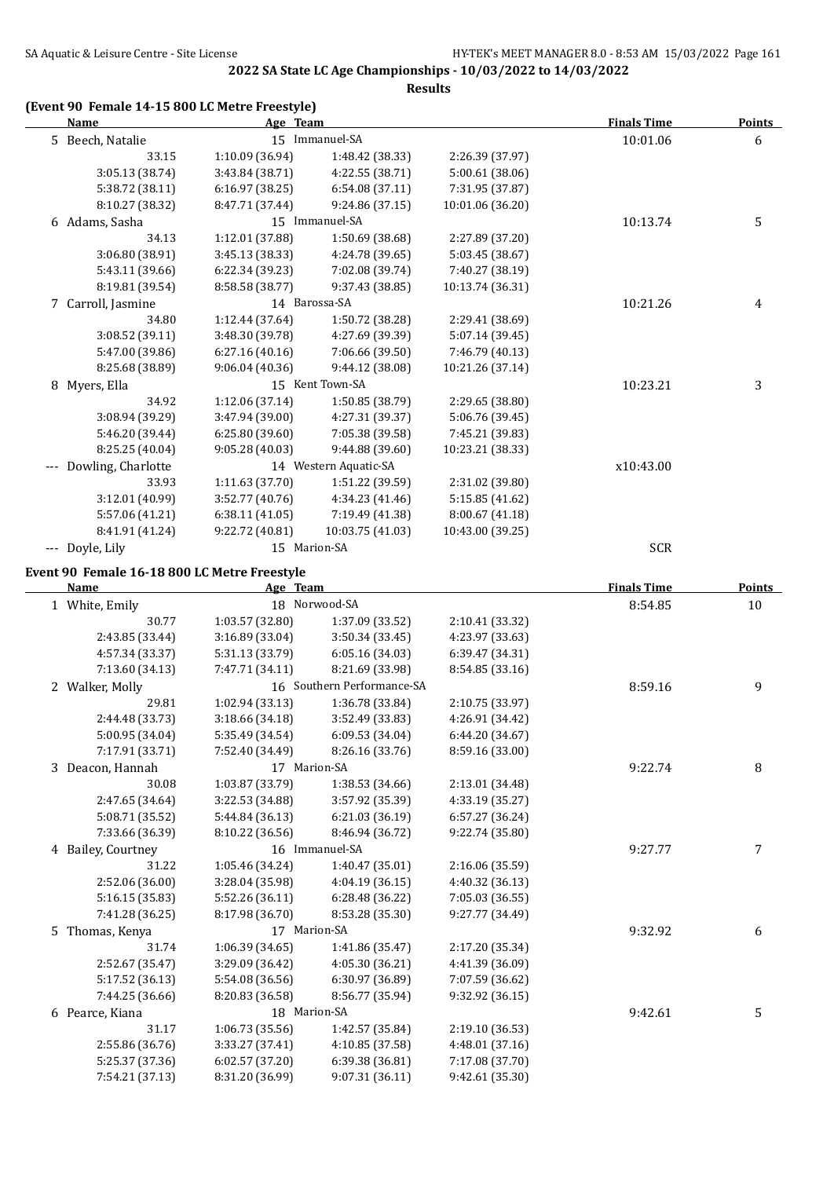**Results**

### **(Event 90 Female 14-15 800 LC Metre Freestyle)**

| <b>Name</b>                                  | Age Team        |                            |                  | <b>Finals Time</b> | <b>Points</b> |
|----------------------------------------------|-----------------|----------------------------|------------------|--------------------|---------------|
| 5 Beech, Natalie                             |                 | 15 Immanuel-SA             |                  | 10:01.06           | 6             |
| 33.15                                        | 1:10.09 (36.94) | 1:48.42 (38.33)            | 2:26.39 (37.97)  |                    |               |
| 3:05.13 (38.74)                              | 3:43.84 (38.71) | 4:22.55 (38.71)            | 5:00.61 (38.06)  |                    |               |
| 5:38.72 (38.11)                              | 6:16.97 (38.25) | 6:54.08 (37.11)            | 7:31.95 (37.87)  |                    |               |
| 8:10.27 (38.32)                              | 8:47.71 (37.44) | 9:24.86 (37.15)            | 10:01.06 (36.20) |                    |               |
| 6 Adams, Sasha                               |                 | 15 Immanuel-SA             |                  | 10:13.74           | 5             |
| 34.13                                        | 1:12.01 (37.88) | 1:50.69 (38.68)            | 2:27.89 (37.20)  |                    |               |
| 3:06.80 (38.91)                              | 3:45.13 (38.33) | 4:24.78 (39.65)            | 5:03.45 (38.67)  |                    |               |
| 5:43.11 (39.66)                              | 6:22.34 (39.23) | 7:02.08 (39.74)            | 7:40.27 (38.19)  |                    |               |
| 8:19.81 (39.54)                              | 8:58.58 (38.77) | 9:37.43 (38.85)            | 10:13.74 (36.31) |                    |               |
| 7 Carroll, Jasmine                           |                 | 14 Barossa-SA              |                  | 10:21.26           | 4             |
| 34.80                                        | 1:12.44 (37.64) | 1:50.72 (38.28)            | 2:29.41 (38.69)  |                    |               |
| 3:08.52 (39.11)                              | 3:48.30 (39.78) | 4:27.69 (39.39)            | 5:07.14 (39.45)  |                    |               |
| 5:47.00 (39.86)                              | 6:27.16(40.16)  | 7:06.66 (39.50)            | 7:46.79 (40.13)  |                    |               |
| 8:25.68 (38.89)                              | 9:06.04(40.36)  | 9:44.12 (38.08)            | 10:21.26 (37.14) |                    |               |
| 8 Myers, Ella                                |                 | 15 Kent Town-SA            |                  | 10:23.21           | 3             |
| 34.92                                        | 1:12.06(37.14)  | 1:50.85 (38.79)            | 2:29.65 (38.80)  |                    |               |
| 3:08.94 (39.29)                              | 3:47.94 (39.00) | 4:27.31 (39.37)            | 5:06.76 (39.45)  |                    |               |
| 5:46.20 (39.44)                              | 6:25.80 (39.60) | 7:05.38 (39.58)            | 7:45.21 (39.83)  |                    |               |
| 8:25.25 (40.04)                              | 9:05.28(40.03)  | 9:44.88 (39.60)            | 10:23.21 (38.33) |                    |               |
| --- Dowling, Charlotte                       |                 | 14 Western Aquatic-SA      |                  | x10:43.00          |               |
| 33.93                                        | 1:11.63 (37.70) | 1:51.22 (39.59)            | 2:31.02 (39.80)  |                    |               |
| 3:12.01 (40.99)                              | 3:52.77(40.76)  | 4:34.23 (41.46)            | 5:15.85 (41.62)  |                    |               |
| 5:57.06 (41.21)                              | 6:38.11(41.05)  | 7:19.49 (41.38)            | 8:00.67 (41.18)  |                    |               |
| 8:41.91 (41.24)                              | 9:22.72 (40.81) | 10:03.75 (41.03)           | 10:43.00 (39.25) |                    |               |
| --- Doyle, Lily                              | 15 Marion-SA    |                            |                  | <b>SCR</b>         |               |
| Event 90 Female 16-18 800 LC Metre Freestyle |                 |                            |                  |                    |               |
| Name                                         | Age Team        |                            |                  | <b>Finals Time</b> | <b>Points</b> |
| 1 White, Emily                               |                 | 18 Norwood-SA              |                  | 8:54.85            | 10            |
| 30.77                                        | 1:03.57 (32.80) | 1:37.09 (33.52)            | 2:10.41 (33.32)  |                    |               |
| 2:43.85 (33.44)                              | 3:16.89 (33.04) | 3:50.34 (33.45)            | 4:23.97 (33.63)  |                    |               |
| 4:57.34 (33.37)                              | 5:31.13 (33.79) | 6:05.16 (34.03)            | 6:39.47 (34.31)  |                    |               |
| 7:13.60 (34.13)                              | 7:47.71 (34.11) | 8:21.69 (33.98)            | 8:54.85 (33.16)  |                    |               |
| 2 Walker, Molly                              |                 | 16 Southern Performance-SA |                  | 8:59.16            | 9             |
| 29.81                                        | 1:02.94 (33.13) | 1:36.78 (33.84)            | 2:10.75 (33.97)  |                    |               |
| 2:44.48 (33.73)                              | 3:18.66 (34.18) | 3:52.49 (33.83)            | 4:26.91 (34.42)  |                    |               |
| 5:00.95 (34.04)                              | 5:35.49 (34.54) | 6:09.53 (34.04)            | 6:44.20 (34.67)  |                    |               |
| 7:17.91 (33.71)                              | 7:52.40 (34.49) | 8:26.16 (33.76)            | 8:59.16 (33.00)  |                    |               |
| 3 Deacon, Hannah                             | 17 Marion-SA    |                            |                  | 9:22.74            | 8             |
| 30.08                                        | 1:03.87 (33.79) | 1:38.53 (34.66)            | 2:13.01 (34.48)  |                    |               |
| 2:47.65 (34.64)                              | 3:22.53 (34.88) | 3:57.92 (35.39)            | 4:33.19 (35.27)  |                    |               |
| 5:08.71 (35.52)                              | 5:44.84 (36.13) | 6:21.03 (36.19)            | 6:57.27 (36.24)  |                    |               |
| 7:33.66 (36.39)                              | 8:10.22 (36.56) | 8:46.94 (36.72)            | 9:22.74 (35.80)  |                    |               |
| 4 Bailey, Courtney                           |                 | 16 Immanuel-SA             |                  | 9:27.77            | 7             |
| 31.22                                        | 1:05.46 (34.24) | 1:40.47 (35.01)            | 2:16.06 (35.59)  |                    |               |
| 2:52.06 (36.00)                              | 3:28.04 (35.98) | 4:04.19 (36.15)            | 4:40.32 (36.13)  |                    |               |
| 5:16.15 (35.83)                              | 5:52.26 (36.11) | 6:28.48 (36.22)            | 7:05.03 (36.55)  |                    |               |
| 7:41.28 (36.25)                              | 8:17.98 (36.70) | 8:53.28 (35.30)            | 9:27.77 (34.49)  |                    |               |
| 5 Thomas, Kenya                              | 17 Marion-SA    |                            |                  | 9:32.92            | 6             |
| 31.74                                        | 1:06.39 (34.65) | 1:41.86 (35.47)            | 2:17.20 (35.34)  |                    |               |
| 2:52.67 (35.47)                              | 3:29.09 (36.42) | 4:05.30 (36.21)            | 4:41.39 (36.09)  |                    |               |
| 5:17.52 (36.13)                              | 5:54.08 (36.56) | 6:30.97 (36.89)            | 7:07.59 (36.62)  |                    |               |
| 7:44.25 (36.66)                              | 8:20.83 (36.58) | 8:56.77 (35.94)            | 9:32.92 (36.15)  |                    |               |
| 6 Pearce, Kiana                              | 18 Marion-SA    |                            |                  | 9:42.61            | 5             |
| 31.17                                        | 1:06.73 (35.56) | 1:42.57 (35.84)            | 2:19.10 (36.53)  |                    |               |
| 2:55.86 (36.76)                              | 3:33.27 (37.41) | 4:10.85 (37.58)            | 4:48.01 (37.16)  |                    |               |
| 5:25.37 (37.36)                              | 6:02.57 (37.20) | 6:39.38 (36.81)            | 7:17.08 (37.70)  |                    |               |
| 7:54.21 (37.13)                              | 8:31.20 (36.99) | 9:07.31 (36.11)            | 9:42.61 (35.30)  |                    |               |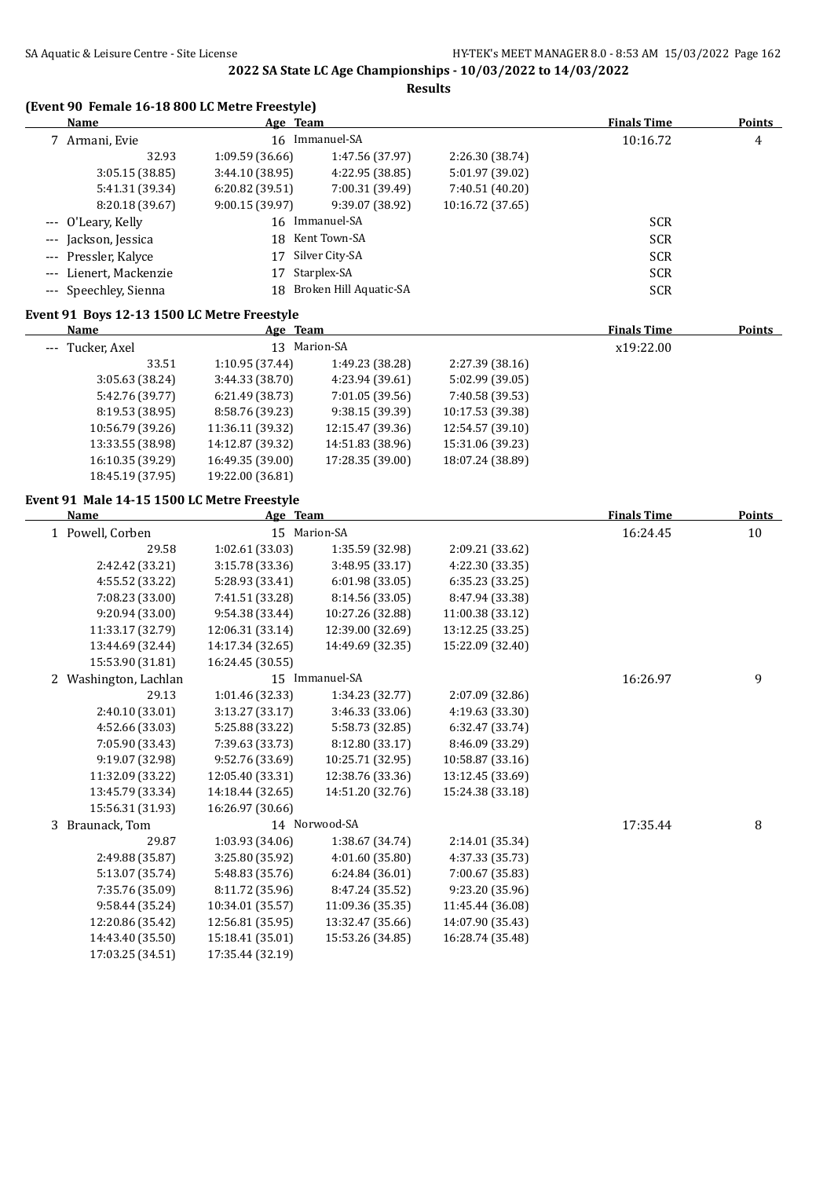**Results**

### **(Event 90 Female 16-18 800 LC Metre Freestyle)**

| Name                   | Age Team       |                        |                  | <b>Finals Time</b> | <b>Points</b> |
|------------------------|----------------|------------------------|------------------|--------------------|---------------|
| 7 Armani, Evie         | 16             | Immanuel-SA            |                  | 10:16.72           | 4             |
| 32.93                  | 1:09.59(36.66) | 1:47.56 (37.97)        | 2:26.30 (38.74)  |                    |               |
| 3:05.15(38.85)         | 3:44.10(38.95) | 4:22.95 (38.85)        | 5:01.97 (39.02)  |                    |               |
| 5:41.31 (39.34)        | 6:20.82(39.51) | 7:00.31 (39.49)        | 7:40.51 (40.20)  |                    |               |
| 8:20.18 (39.67)        | 9:00.15(39.97) | 9:39.07 (38.92)        | 10:16.72 (37.65) |                    |               |
| --- O'Leary, Kelly     |                | 16 Immanuel-SA         |                  | <b>SCR</b>         |               |
| --- Jackson, Jessica   | 18             | Kent Town-SA           |                  | <b>SCR</b>         |               |
| --- Pressler, Kalyce   | 17             | Silver City-SA         |                  | <b>SCR</b>         |               |
| --- Lienert, Mackenzie | 17             | Starplex-SA            |                  | <b>SCR</b>         |               |
| --- Speechley, Sienna  | 18             | Broken Hill Aquatic-SA |                  | <b>SCR</b>         |               |
|                        |                |                        |                  |                    |               |

## **Event 91 Boys 12-13 1500 LC Metre Freestyle**

| Name             | <u>Age Team</u>  |                  |                  | <b>Finals Time</b> | <b>Points</b> |
|------------------|------------------|------------------|------------------|--------------------|---------------|
| --- Tucker, Axel |                  | 13 Marion-SA     |                  | x19:22.00          |               |
| 33.51            | 1:10.95(37.44)   | 1:49.23 (38.28)  | 2:27.39(38.16)   |                    |               |
| 3:05.63(38.24)   | 3:44.33(38.70)   | 4:23.94 (39.61)  | 5:02.99 (39.05)  |                    |               |
| 5:42.76 (39.77)  | 6:21.49(38.73)   | 7:01.05 (39.56)  | 7:40.58 (39.53)  |                    |               |
| 8:19.53 (38.95)  | 8:58.76 (39.23)  | 9:38.15(39.39)   | 10:17.53 (39.38) |                    |               |
| 10:56.79 (39.26) | 11:36.11 (39.32) | 12:15.47 (39.36) | 12:54.57 (39.10) |                    |               |
| 13:33.55 (38.98) | 14:12.87 (39.32) | 14:51.83 (38.96) | 15:31.06 (39.23) |                    |               |
| 16:10.35 (39.29) | 16:49.35 (39.00) | 17:28.35 (39.00) | 18:07.24 (38.89) |                    |               |
| 18:45.19 (37.95) | 19:22.00 (36.81) |                  |                  |                    |               |
|                  |                  |                  |                  |                    |               |

### **Event 91 Male 14-15 1500 LC Metre Freestyle**

| Name |                       | Age Team         |                  |                  | <b>Finals Time</b> | <b>Points</b> |
|------|-----------------------|------------------|------------------|------------------|--------------------|---------------|
|      | 1 Powell, Corben      |                  | 15 Marion-SA     |                  | 16:24.45           | 10            |
|      | 29.58                 | 1:02.61 (33.03)  | 1:35.59 (32.98)  | 2:09.21 (33.62)  |                    |               |
|      | 2:42.42 (33.21)       | 3:15.78 (33.36)  | 3:48.95 (33.17)  | 4:22.30 (33.35)  |                    |               |
|      | 4:55.52 (33.22)       | 5:28.93 (33.41)  | 6:01.98(33.05)   | 6:35.23(33.25)   |                    |               |
|      | 7:08.23 (33.00)       | 7:41.51 (33.28)  | 8:14.56 (33.05)  | 8:47.94 (33.38)  |                    |               |
|      | 9:20.94 (33.00)       | 9:54.38 (33.44)  | 10:27.26 (32.88) | 11:00.38 (33.12) |                    |               |
|      | 11:33.17 (32.79)      | 12:06.31 (33.14) | 12:39.00 (32.69) | 13:12.25 (33.25) |                    |               |
|      | 13:44.69 (32.44)      | 14:17.34 (32.65) | 14:49.69 (32.35) | 15:22.09 (32.40) |                    |               |
|      | 15:53.90 (31.81)      | 16:24.45 (30.55) |                  |                  |                    |               |
|      | 2 Washington, Lachlan |                  | 15 Immanuel-SA   |                  | 16:26.97           | 9             |
|      | 29.13                 | 1:01.46 (32.33)  | 1:34.23 (32.77)  | 2:07.09 (32.86)  |                    |               |
|      | 2:40.10 (33.01)       | 3:13.27 (33.17)  | 3:46.33 (33.06)  | 4:19.63 (33.30)  |                    |               |
|      | 4:52.66 (33.03)       | 5:25.88 (33.22)  | 5:58.73 (32.85)  | 6:32.47 (33.74)  |                    |               |
|      | 7:05.90 (33.43)       | 7:39.63 (33.73)  | 8:12.80 (33.17)  | 8:46.09 (33.29)  |                    |               |
|      | 9:19.07 (32.98)       | 9:52.76 (33.69)  | 10:25.71 (32.95) | 10:58.87 (33.16) |                    |               |
|      | 11:32.09 (33.22)      | 12:05.40 (33.31) | 12:38.76 (33.36) | 13:12.45 (33.69) |                    |               |
|      | 13:45.79 (33.34)      | 14:18.44 (32.65) | 14:51.20 (32.76) | 15:24.38 (33.18) |                    |               |
|      | 15:56.31 (31.93)      | 16:26.97 (30.66) |                  |                  |                    |               |
|      | 3 Braunack, Tom       |                  | 14 Norwood-SA    |                  | 17:35.44           | 8             |
|      | 29.87                 | 1:03.93 (34.06)  | 1:38.67 (34.74)  | 2:14.01 (35.34)  |                    |               |
|      | 2:49.88 (35.87)       | 3:25.80 (35.92)  | 4:01.60 (35.80)  | 4:37.33 (35.73)  |                    |               |
|      | 5:13.07 (35.74)       | 5:48.83 (35.76)  | 6:24.84(36.01)   | 7:00.67 (35.83)  |                    |               |
|      | 7:35.76 (35.09)       | 8:11.72 (35.96)  | 8:47.24 (35.52)  | 9:23.20 (35.96)  |                    |               |
|      | 9:58.44 (35.24)       | 10:34.01 (35.57) | 11:09.36 (35.35) | 11:45.44 (36.08) |                    |               |
|      | 12:20.86 (35.42)      | 12:56.81 (35.95) | 13:32.47 (35.66) | 14:07.90 (35.43) |                    |               |
|      | 14:43.40 (35.50)      | 15:18.41 (35.01) | 15:53.26 (34.85) | 16:28.74 (35.48) |                    |               |
|      | 17:03.25 (34.51)      | 17:35.44 (32.19) |                  |                  |                    |               |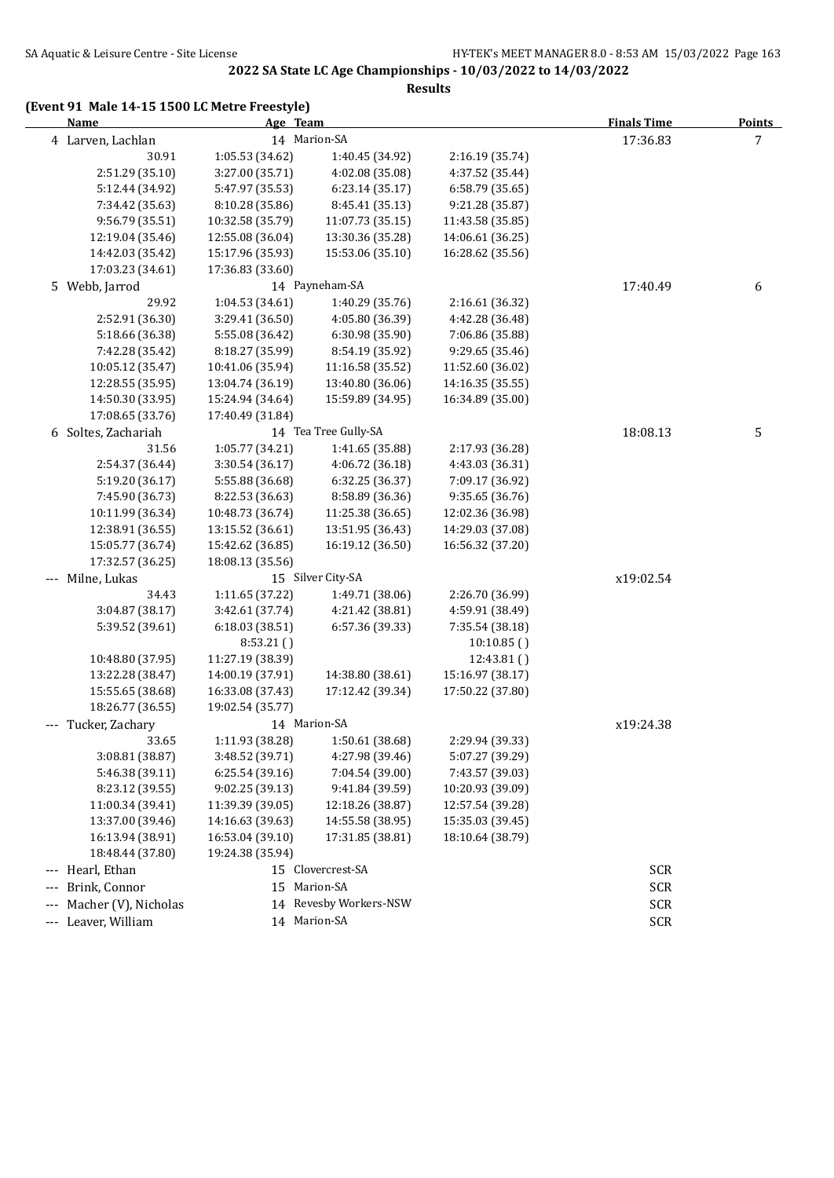**Results**

## **(Event 91 Male 14-15 1500 LC Metre Freestyle)**

| <u>Name</u>          | Age Team         |                        |                  | <b>Finals Time</b> | <b>Points</b> |
|----------------------|------------------|------------------------|------------------|--------------------|---------------|
| 4 Larven, Lachlan    |                  | 14 Marion-SA           |                  | 17:36.83           | 7             |
| 30.91                | 1:05.53 (34.62)  | 1:40.45 (34.92)        | 2:16.19 (35.74)  |                    |               |
| 2:51.29 (35.10)      | 3:27.00 (35.71)  | 4:02.08 (35.08)        | 4:37.52 (35.44)  |                    |               |
| 5:12.44 (34.92)      | 5:47.97 (35.53)  | 6:23.14(35.17)         | 6:58.79 (35.65)  |                    |               |
| 7:34.42 (35.63)      | 8:10.28 (35.86)  | 8:45.41 (35.13)        | 9:21.28 (35.87)  |                    |               |
| 9:56.79 (35.51)      | 10:32.58 (35.79) | 11:07.73 (35.15)       | 11:43.58 (35.85) |                    |               |
| 12:19.04 (35.46)     | 12:55.08 (36.04) | 13:30.36 (35.28)       | 14:06.61 (36.25) |                    |               |
| 14:42.03 (35.42)     | 15:17.96 (35.93) | 15:53.06 (35.10)       | 16:28.62 (35.56) |                    |               |
| 17:03.23 (34.61)     | 17:36.83 (33.60) |                        |                  |                    |               |
| 5 Webb, Jarrod       |                  | 14 Payneham-SA         |                  | 17:40.49           | 6             |
| 29.92                | 1:04.53 (34.61)  | 1:40.29 (35.76)        | 2:16.61 (36.32)  |                    |               |
| 2:52.91 (36.30)      | 3:29.41 (36.50)  | 4:05.80 (36.39)        | 4:42.28 (36.48)  |                    |               |
| 5:18.66 (36.38)      | 5:55.08 (36.42)  | 6:30.98 (35.90)        | 7:06.86 (35.88)  |                    |               |
| 7:42.28 (35.42)      | 8:18.27 (35.99)  | 8:54.19 (35.92)        | 9:29.65 (35.46)  |                    |               |
| 10:05.12 (35.47)     | 10:41.06 (35.94) | 11:16.58 (35.52)       | 11:52.60 (36.02) |                    |               |
| 12:28.55 (35.95)     | 13:04.74 (36.19) | 13:40.80 (36.06)       | 14:16.35 (35.55) |                    |               |
| 14:50.30 (33.95)     | 15:24.94 (34.64) | 15:59.89 (34.95)       | 16:34.89 (35.00) |                    |               |
| 17:08.65 (33.76)     | 17:40.49 (31.84) |                        |                  |                    |               |
| 6 Soltes, Zachariah  |                  | 14 Tea Tree Gully-SA   |                  | 18:08.13           | 5             |
| 31.56                | 1:05.77(34.21)   | 1:41.65 (35.88)        | 2:17.93 (36.28)  |                    |               |
| 2:54.37 (36.44)      | 3:30.54 (36.17)  | 4:06.72 (36.18)        | 4:43.03 (36.31)  |                    |               |
| 5:19.20 (36.17)      | 5:55.88 (36.68)  | 6:32.25 (36.37)        | 7:09.17 (36.92)  |                    |               |
| 7:45.90 (36.73)      | 8:22.53 (36.63)  | 8:58.89 (36.36)        | 9:35.65 (36.76)  |                    |               |
| 10:11.99 (36.34)     | 10:48.73 (36.74) | 11:25.38 (36.65)       | 12:02.36 (36.98) |                    |               |
| 12:38.91 (36.55)     | 13:15.52 (36.61) | 13:51.95 (36.43)       | 14:29.03 (37.08) |                    |               |
| 15:05.77 (36.74)     | 15:42.62 (36.85) | 16:19.12 (36.50)       | 16:56.32 (37.20) |                    |               |
| 17:32.57 (36.25)     | 18:08.13 (35.56) |                        |                  |                    |               |
| --- Milne, Lukas     |                  | 15 Silver City-SA      |                  | x19:02.54          |               |
| 34.43                | 1:11.65 (37.22)  | 1:49.71 (38.06)        | 2:26.70 (36.99)  |                    |               |
| 3:04.87 (38.17)      | 3:42.61 (37.74)  | 4:21.42 (38.81)        | 4:59.91 (38.49)  |                    |               |
| 5:39.52 (39.61)      | 6:18.03 (38.51)  | 6:57.36 (39.33)        | 7:35.54 (38.18)  |                    |               |
|                      | 8:53.21(         |                        | 10:10.85()       |                    |               |
| 10:48.80 (37.95)     | 11:27.19 (38.39) |                        | 12:43.81()       |                    |               |
| 13:22.28 (38.47)     | 14:00.19 (37.91) | 14:38.80 (38.61)       | 15:16.97 (38.17) |                    |               |
| 15:55.65 (38.68)     | 16:33.08 (37.43) | 17:12.42 (39.34)       | 17:50.22 (37.80) |                    |               |
| 18:26.77 (36.55)     | 19:02.54 (35.77) |                        |                  |                    |               |
| --- Tucker, Zachary  |                  | 14 Marion-SA           |                  | x19:24.38          |               |
| 33.65                | 1:11.93 (38.28)  | 1:50.61 (38.68)        | 2:29.94 (39.33)  |                    |               |
| 3:08.81 (38.87)      | 3:48.52 (39.71)  | 4:27.98 (39.46)        | 5:07.27 (39.29)  |                    |               |
| 5:46.38 (39.11)      | 6:25.54(39.16)   | 7:04.54 (39.00)        | 7:43.57 (39.03)  |                    |               |
| 8:23.12 (39.55)      | 9:02.25 (39.13)  | 9:41.84 (39.59)        | 10:20.93 (39.09) |                    |               |
| 11:00.34 (39.41)     | 11:39.39 (39.05) | 12:18.26 (38.87)       | 12:57.54 (39.28) |                    |               |
| 13:37.00 (39.46)     | 14:16.63 (39.63) | 14:55.58 (38.95)       | 15:35.03 (39.45) |                    |               |
| 16:13.94 (38.91)     | 16:53.04 (39.10) | 17:31.85 (38.81)       | 18:10.64 (38.79) |                    |               |
| 18:48.44 (37.80)     | 19:24.38 (35.94) |                        |                  |                    |               |
| --- Hearl, Ethan     |                  | 15 Clovercrest-SA      |                  | <b>SCR</b>         |               |
| Brink, Connor        |                  | 15 Marion-SA           |                  | <b>SCR</b>         |               |
| Macher (V), Nicholas |                  | 14 Revesby Workers-NSW |                  | <b>SCR</b>         |               |
| --- Leaver, William  |                  | 14 Marion-SA           |                  | <b>SCR</b>         |               |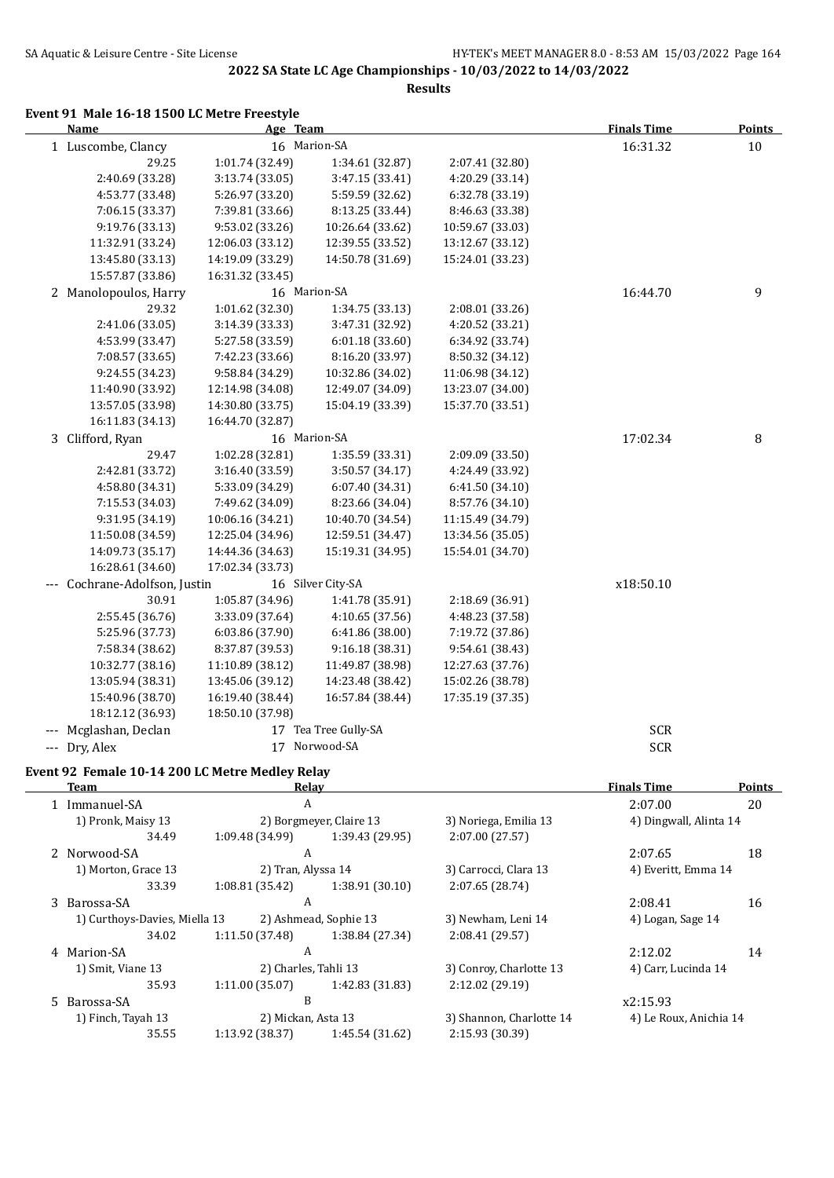**Results**

#### **Event 91 Male 16-18 1500 LC Metre Freestyle**

| <b>Name</b>                        | Age Team         |                      |                  | <b>Finals Time</b> | <b>Points</b> |
|------------------------------------|------------------|----------------------|------------------|--------------------|---------------|
| 1 Luscombe, Clancy                 |                  | 16 Marion-SA         |                  | 16:31.32           | 10            |
| 29.25                              | 1:01.74 (32.49)  | 1:34.61 (32.87)      | 2:07.41 (32.80)  |                    |               |
| 2:40.69 (33.28)                    | 3:13.74 (33.05)  | 3:47.15 (33.41)      | 4:20.29 (33.14)  |                    |               |
| 4:53.77 (33.48)                    | 5:26.97 (33.20)  | 5:59.59 (32.62)      | 6:32.78 (33.19)  |                    |               |
| 7:06.15 (33.37)                    | 7:39.81 (33.66)  | 8:13.25 (33.44)      | 8:46.63 (33.38)  |                    |               |
| 9:19.76 (33.13)                    | 9:53.02 (33.26)  | 10:26.64 (33.62)     | 10:59.67 (33.03) |                    |               |
| 11:32.91 (33.24)                   | 12:06.03 (33.12) | 12:39.55 (33.52)     | 13:12.67 (33.12) |                    |               |
| 13:45.80 (33.13)                   | 14:19.09 (33.29) | 14:50.78 (31.69)     | 15:24.01 (33.23) |                    |               |
| 15:57.87 (33.86)                   | 16:31.32 (33.45) |                      |                  |                    |               |
| 2 Manolopoulos, Harry              |                  | 16 Marion-SA         |                  | 16:44.70           | 9             |
| 29.32                              | 1:01.62 (32.30)  | 1:34.75 (33.13)      | 2:08.01 (33.26)  |                    |               |
| 2:41.06 (33.05)                    | 3:14.39 (33.33)  | 3:47.31 (32.92)      | 4:20.52 (33.21)  |                    |               |
| 4:53.99 (33.47)                    | 5:27.58 (33.59)  | 6:01.18 (33.60)      | 6:34.92 (33.74)  |                    |               |
| 7:08.57 (33.65)                    | 7:42.23 (33.66)  | 8:16.20 (33.97)      | 8:50.32 (34.12)  |                    |               |
| 9:24.55 (34.23)                    | 9:58.84 (34.29)  | 10:32.86 (34.02)     | 11:06.98 (34.12) |                    |               |
| 11:40.90 (33.92)                   | 12:14.98 (34.08) | 12:49.07 (34.09)     | 13:23.07 (34.00) |                    |               |
| 13:57.05 (33.98)                   | 14:30.80 (33.75) | 15:04.19 (33.39)     | 15:37.70 (33.51) |                    |               |
| 16:11.83 (34.13)                   | 16:44.70 (32.87) |                      |                  |                    |               |
| 3 Clifford, Ryan                   |                  | 16 Marion-SA         |                  | 17:02.34           | 8             |
| 29.47                              | 1:02.28 (32.81)  | 1:35.59 (33.31)      | 2:09.09 (33.50)  |                    |               |
| 2:42.81 (33.72)                    | 3:16.40 (33.59)  | 3:50.57 (34.17)      | 4:24.49 (33.92)  |                    |               |
| 4:58.80 (34.31)                    | 5:33.09 (34.29)  | 6:07.40 (34.31)      | 6:41.50 (34.10)  |                    |               |
| 7:15.53 (34.03)                    | 7:49.62 (34.09)  | 8:23.66 (34.04)      | 8:57.76 (34.10)  |                    |               |
| 9:31.95 (34.19)                    | 10:06.16 (34.21) | 10:40.70 (34.54)     | 11:15.49 (34.79) |                    |               |
| 11:50.08 (34.59)                   | 12:25.04 (34.96) | 12:59.51 (34.47)     | 13:34.56 (35.05) |                    |               |
| 14:09.73 (35.17)                   | 14:44.36 (34.63) | 15:19.31 (34.95)     | 15:54.01 (34.70) |                    |               |
| 16:28.61 (34.60)                   | 17:02.34 (33.73) |                      |                  |                    |               |
| Cochrane-Adolfson, Justin<br>$---$ |                  | 16 Silver City-SA    |                  | x18:50.10          |               |
| 30.91                              | 1:05.87 (34.96)  | 1:41.78 (35.91)      | 2:18.69 (36.91)  |                    |               |
| 2:55.45 (36.76)                    | 3:33.09 (37.64)  | 4:10.65 (37.56)      | 4:48.23 (37.58)  |                    |               |
| 5:25.96 (37.73)                    | 6:03.86 (37.90)  | 6:41.86 (38.00)      | 7:19.72 (37.86)  |                    |               |
| 7:58.34 (38.62)                    | 8:37.87 (39.53)  | 9:16.18 (38.31)      | 9:54.61 (38.43)  |                    |               |
| 10:32.77 (38.16)                   | 11:10.89 (38.12) | 11:49.87 (38.98)     | 12:27.63 (37.76) |                    |               |
| 13:05.94 (38.31)                   | 13:45.06 (39.12) | 14:23.48 (38.42)     | 15:02.26 (38.78) |                    |               |
| 15:40.96 (38.70)                   | 16:19.40 (38.44) | 16:57.84 (38.44)     | 17:35.19 (37.35) |                    |               |
| 18:12.12 (36.93)                   | 18:50.10 (37.98) |                      |                  |                    |               |
| Mcglashan, Declan                  |                  | 17 Tea Tree Gully-SA |                  | <b>SCR</b>         |               |
| --- Dry, Alex                      |                  | 17 Norwood-SA        |                  | <b>SCR</b>         |               |
|                                    |                  |                      |                  |                    |               |

# **Event 92 Female 10-14 200 LC Metre Medley Relay**

 $\overline{\phantom{a}}$ 

| Team                          | Relay                   |                 |                          | <b>Finals Time</b>     | <b>Points</b> |
|-------------------------------|-------------------------|-----------------|--------------------------|------------------------|---------------|
| 1 Immanuel-SA                 | A                       |                 |                          | 2:07.00                | 20            |
| 1) Pronk, Maisy 13            | 2) Borgmeyer, Claire 13 |                 | 3) Noriega, Emilia 13    | 4) Dingwall, Alinta 14 |               |
| 34.49                         | 1:09.48 (34.99)         | 1:39.43 (29.95) | 2:07.00 (27.57)          |                        |               |
| 2 Norwood-SA                  | A                       |                 |                          | 2:07.65                | 18            |
| 1) Morton, Grace 13           | 2) Tran, Alyssa 14      |                 | 3) Carrocci, Clara 13    | 4) Everitt, Emma 14    |               |
| 33.39                         | 1:08.81(35.42)          | 1:38.91 (30.10) | 2:07.65 (28.74)          |                        |               |
| 3 Barossa-SA                  | A                       |                 |                          | 2:08.41                | 16            |
| 1) Curthoys-Davies, Miella 13 | 2) Ashmead, Sophie 13   |                 | 3) Newham, Leni 14       | 4) Logan, Sage 14      |               |
| 34.02                         | 1:11.50(37.48)          | 1:38.84 (27.34) | 2:08.41 (29.57)          |                        |               |
| 4 Marion-SA                   | A                       |                 |                          | 2:12.02                | 14            |
| 1) Smit, Viane 13             | 2) Charles, Tahli 13    |                 | 3) Conroy, Charlotte 13  | 4) Carr, Lucinda 14    |               |
| 35.93                         | 1:11.00(35.07)          | 1:42.83 (31.83) | 2:12.02 (29.19)          |                        |               |
| 5 Barossa-SA                  | B                       |                 |                          | x2:15.93               |               |
| 1) Finch, Tayah 13            | 2) Mickan, Asta 13      |                 | 3) Shannon, Charlotte 14 | 4) Le Roux, Anichia 14 |               |
| 35.55                         | 1:13.92 (38.37)         | 1:45.54 (31.62) | 2:15.93 (30.39)          |                        |               |
|                               |                         |                 |                          |                        |               |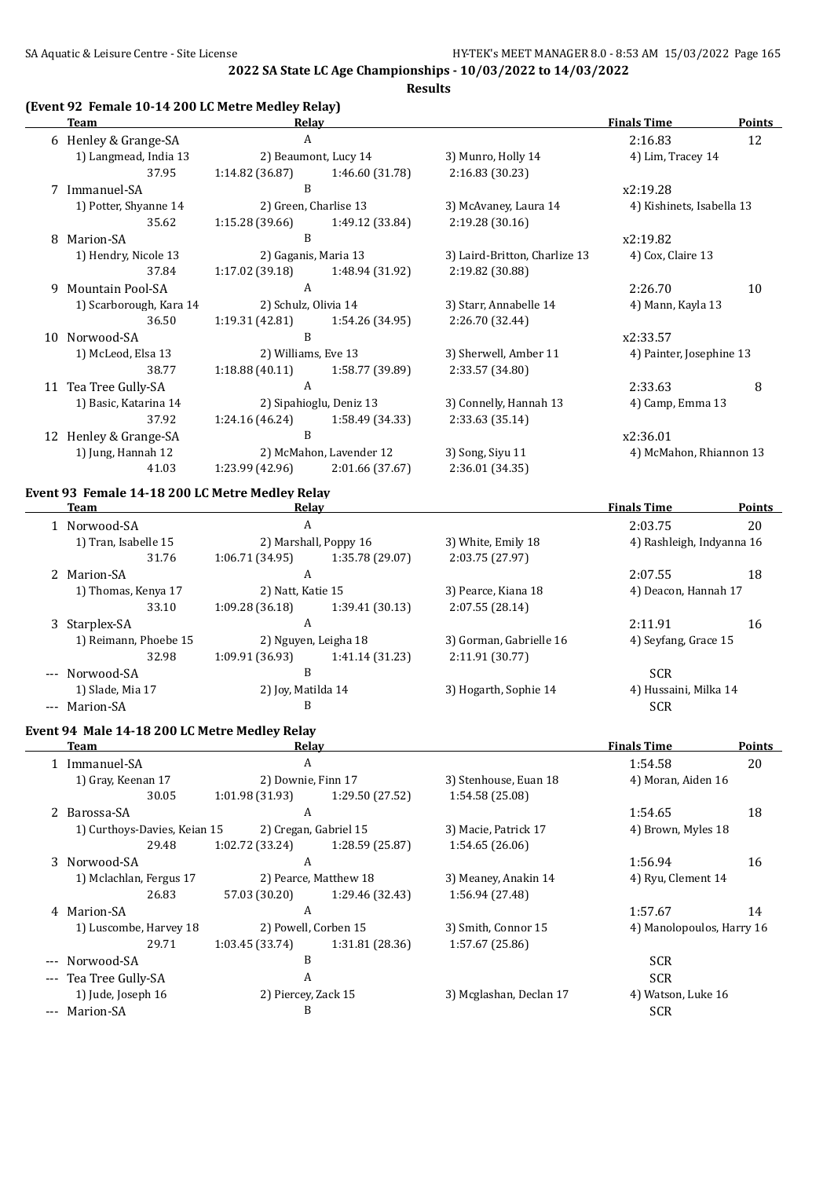**Results**

### **(Event 92 Female 10-14 200 LC Metre Medley Relay)**

|    | Team                                            | Relav                   |                         |                               | <b>Finals Time</b>        | <b>Points</b> |
|----|-------------------------------------------------|-------------------------|-------------------------|-------------------------------|---------------------------|---------------|
|    | 6 Henley & Grange-SA                            | A                       |                         |                               | 2:16.83                   | 12            |
|    | 1) Langmead, India 13                           |                         | 2) Beaumont, Lucy 14    | 3) Munro, Holly 14            | 4) Lim, Tracey 14         |               |
|    | 37.95                                           | 1:14.82 (36.87)         | 1:46.60 (31.78)         | 2:16.83 (30.23)               |                           |               |
|    | 7 Immanuel-SA                                   | B                       |                         |                               | x2:19.28                  |               |
|    | 1) Potter, Shyanne 14                           |                         | 2) Green, Charlise 13   | 3) McAvaney, Laura 14         | 4) Kishinets, Isabella 13 |               |
|    | 35.62                                           | 1:15.28 (39.66)         | 1:49.12 (33.84)         | 2:19.28(30.16)                |                           |               |
|    | 8 Marion-SA                                     | B                       |                         |                               | x2:19.82                  |               |
|    | 1) Hendry, Nicole 13                            | 2) Gaganis, Maria 13    |                         | 3) Laird-Britton, Charlize 13 | 4) Cox, Claire 13         |               |
|    | 37.84                                           | 1:17.02 (39.18)         | 1:48.94 (31.92)         | 2:19.82 (30.88)               |                           |               |
| 9  | <b>Mountain Pool-SA</b>                         | A                       |                         |                               | 2:26.70                   | 10            |
|    | 1) Scarborough, Kara 14                         | 2) Schulz, Olivia 14    |                         | 3) Starr, Annabelle 14        | 4) Mann, Kayla 13         |               |
|    | 36.50                                           | 1:19.31 (42.81)         | 1:54.26 (34.95)         | 2:26.70 (32.44)               |                           |               |
|    | 10 Norwood-SA                                   | B                       |                         |                               | x2:33.57                  |               |
|    | 1) McLeod, Elsa 13                              | 2) Williams, Eve 13     |                         | 3) Sherwell, Amber 11         | 4) Painter, Josephine 13  |               |
|    | 38.77                                           | 1:18.88(40.11)          | 1:58.77 (39.89)         | 2:33.57 (34.80)               |                           |               |
|    | 11 Tea Tree Gully-SA                            | A                       |                         |                               | 2:33.63                   | 8             |
|    | 1) Basic, Katarina 14                           |                         | 2) Sipahioglu, Deniz 13 | 3) Connelly, Hannah 13        | 4) Camp, Emma 13          |               |
|    | 37.92                                           | 1:24.16(46.24)          | 1:58.49 (34.33)         | 2:33.63 (35.14)               |                           |               |
| 12 | Henley & Grange-SA                              | B                       |                         |                               | x2:36.01                  |               |
|    | 1) Jung, Hannah 12                              | 2) McMahon, Lavender 12 |                         | 3) Song, Siyu 11              | 4) McMahon, Rhiannon 13   |               |
|    | 41.03                                           | 1:23.99 (42.96)         | 2:01.66 (37.67)         | 2:36.01 (34.35)               |                           |               |
|    | Event 93 Female 14-18 200 LC Metre Medley Relay |                         |                         |                               |                           |               |

| <b>Team</b>           | Relay                 |                 |                         | <b>Finals Time</b>        | <b>Points</b> |
|-----------------------|-----------------------|-----------------|-------------------------|---------------------------|---------------|
| 1 Norwood-SA          | A                     |                 |                         | 2:03.75                   | 20            |
| 1) Tran, Isabelle 15  | 2) Marshall, Poppy 16 |                 | 3) White, Emily 18      | 4) Rashleigh, Indyanna 16 |               |
| 31.76                 | 1:06.71(34.95)        | 1:35.78 (29.07) | 2:03.75 (27.97)         |                           |               |
| 2 Marion-SA           | A                     |                 |                         | 2:07.55                   | 18            |
| 1) Thomas, Kenya 17   | 2) Natt, Katie 15     |                 | 3) Pearce, Kiana 18     | 4) Deacon, Hannah 17      |               |
| 33.10                 | 1:09.28(36.18)        | 1:39.41 (30.13) | 2:07.55(28.14)          |                           |               |
| Starplex-SA<br>3      | A                     |                 |                         | 2:11.91                   | 16            |
| 1) Reimann, Phoebe 15 | 2) Nguyen, Leigha 18  |                 | 3) Gorman, Gabrielle 16 | 4) Seyfang, Grace 15      |               |
| 32.98                 | 1:09.91 (36.93)       | 1:41.14 (31.23) | 2:11.91(30.77)          |                           |               |
| --- Norwood-SA        | B                     |                 |                         | <b>SCR</b>                |               |
| 1) Slade, Mia 17      | 2) Joy, Matilda 14    |                 | 3) Hogarth, Sophie 14   | 4) Hussaini, Milka 14     |               |
| --- Marion-SA         | B                     |                 |                         | <b>SCR</b>                |               |

#### **Event 94 Male 14-18 200 LC Metre Medley Relay**

| Team                         | Relay                 |                       |                         | <b>Finals Time</b>        | <b>Points</b> |
|------------------------------|-----------------------|-----------------------|-------------------------|---------------------------|---------------|
| 1 Immanuel-SA                | A                     |                       |                         | 1:54.58                   | 20            |
| 1) Gray, Keenan 17           | 2) Downie, Finn 17    |                       | 3) Stenhouse, Euan 18   | 4) Moran, Aiden 16        |               |
| 30.05                        | 1:01.98(31.93)        | 1:29.50 (27.52)       | 1:54.58 (25.08)         |                           |               |
| 2 Barossa-SA                 | A                     |                       |                         | 1:54.65                   | 18            |
| 1) Curthoys-Davies, Keian 15 | 2) Cregan, Gabriel 15 |                       | 3) Macie, Patrick 17    | 4) Brown, Myles 18        |               |
| 29.48                        | 1:02.72 (33.24)       | 1:28.59 (25.87)       | 1:54.65(26.06)          |                           |               |
| 3 Norwood-SA                 | A                     |                       |                         | 1:56.94                   | 16            |
| 1) Mclachlan, Fergus 17      |                       | 2) Pearce, Matthew 18 | 3) Meaney, Anakin 14    | 4) Ryu, Clement 14        |               |
| 26.83                        | 57.03 (30.20)         | 1:29.46 (32.43)       | 1:56.94 (27.48)         |                           |               |
| 4 Marion-SA                  | A                     |                       |                         | 1:57.67                   | 14            |
| 1) Luscombe, Harvey 18       | 2) Powell, Corben 15  |                       | 3) Smith, Connor 15     | 4) Manolopoulos, Harry 16 |               |
| 29.71                        | 1:03.45(33.74)        | 1:31.81 (28.36)       | 1:57.67(25.86)          |                           |               |
| --- Norwood-SA               | B                     |                       |                         | <b>SCR</b>                |               |
| --- Tea Tree Gully-SA        | A                     |                       |                         | <b>SCR</b>                |               |
| 1) Jude, Joseph 16           | 2) Piercey, Zack 15   |                       | 3) Mcglashan, Declan 17 | 4) Watson, Luke 16        |               |
| --- Marion-SA                | B                     |                       |                         | <b>SCR</b>                |               |